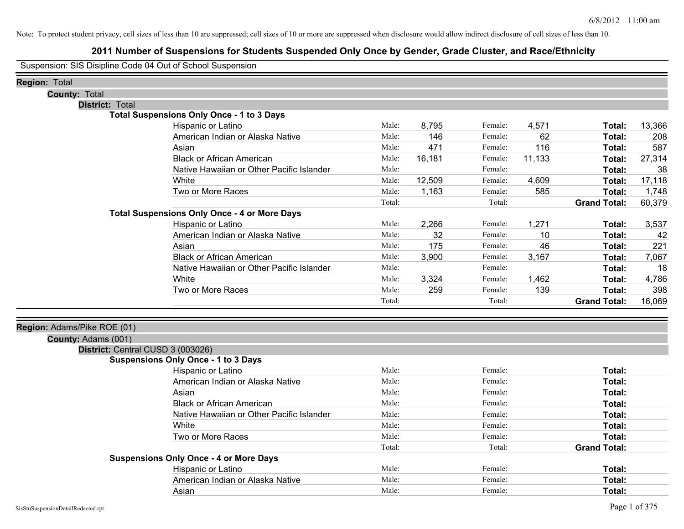## **2011 Number of Suspensions for Students Suspended Only Once by Gender, Grade Cluster, and Race/Ethnicity**

Suspension: SIS Disipline Code 04 Out of School Suspension

| <b>Region: Total</b>              |                                                     |        |        |         |        |                     |        |
|-----------------------------------|-----------------------------------------------------|--------|--------|---------|--------|---------------------|--------|
| <b>County: Total</b>              |                                                     |        |        |         |        |                     |        |
| District: Total                   | <b>Total Suspensions Only Once - 1 to 3 Days</b>    |        |        |         |        |                     |        |
|                                   | Hispanic or Latino                                  | Male:  | 8,795  | Female: | 4,571  | Total:              | 13,366 |
|                                   | American Indian or Alaska Native                    | Male:  | 146    | Female: | 62     | Total:              | 208    |
|                                   | Asian                                               | Male:  | 471    | Female: | 116    | Total:              | 587    |
|                                   | <b>Black or African American</b>                    | Male:  | 16,181 | Female: | 11,133 | Total:              | 27,314 |
|                                   | Native Hawaiian or Other Pacific Islander           | Male:  |        | Female: |        | Total:              | 38     |
|                                   | White                                               | Male:  | 12,509 | Female: | 4,609  | Total:              | 17,118 |
|                                   | Two or More Races                                   | Male:  | 1,163  | Female: | 585    | Total:              | 1,748  |
|                                   |                                                     | Total: |        | Total:  |        | <b>Grand Total:</b> | 60,379 |
|                                   | <b>Total Suspensions Only Once - 4 or More Days</b> |        |        |         |        |                     |        |
|                                   | Hispanic or Latino                                  | Male:  | 2,266  | Female: | 1,271  | Total:              | 3,537  |
|                                   | American Indian or Alaska Native                    | Male:  | 32     | Female: | 10     | Total:              | 42     |
|                                   | Asian                                               | Male:  | 175    | Female: | 46     | Total:              | 221    |
|                                   | <b>Black or African American</b>                    | Male:  | 3,900  | Female: | 3,167  | Total:              | 7,067  |
|                                   | Native Hawaiian or Other Pacific Islander           | Male:  |        | Female: |        | Total:              | 18     |
|                                   | White                                               | Male:  | 3,324  | Female: | 1,462  | Total:              | 4,786  |
|                                   | Two or More Races                                   | Male:  | 259    | Female: | 139    | Total:              | 398    |
|                                   |                                                     | Total: |        | Total:  |        | <b>Grand Total:</b> | 16,069 |
|                                   |                                                     |        |        |         |        |                     |        |
| Region: Adams/Pike ROE (01)       |                                                     |        |        |         |        |                     |        |
| County: Adams (001)               |                                                     |        |        |         |        |                     |        |
| District: Central CUSD 3 (003026) |                                                     |        |        |         |        |                     |        |
|                                   | <b>Suspensions Only Once - 1 to 3 Days</b>          |        |        |         |        |                     |        |
|                                   | Hispanic or Latino                                  | Male:  |        | Female: |        | Total:              |        |
|                                   | American Indian or Alaska Native                    | Male:  |        | Female: |        | Total:              |        |
|                                   | Asian                                               | Male:  |        | Female: |        | Total:              |        |
|                                   | <b>Black or African American</b>                    | Male:  |        | Female: |        | Total:              |        |
|                                   | Native Hawaiian or Other Pacific Islander           | Male:  |        | Female: |        | Total:              |        |
|                                   | White                                               | Male:  |        | Female: |        | Total:              |        |
|                                   | Two or More Races                                   | Male:  |        | Female: |        | Total:              |        |
|                                   |                                                     | Total: |        | Total:  |        | <b>Grand Total:</b> |        |
|                                   | <b>Suspensions Only Once - 4 or More Days</b>       |        |        |         |        |                     |        |
|                                   | Hispanic or Latino                                  | Male:  |        | Female: |        | Total:              |        |
|                                   | American Indian or Alaska Native                    | Male:  |        | Female: |        | Total:              |        |
|                                   | Asian                                               | Male:  |        | Female: |        | Total:              |        |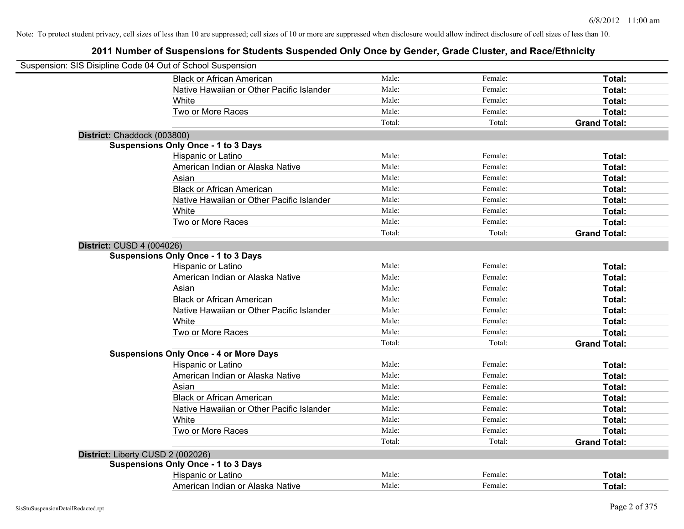| Suspension: SIS Disipline Code 04 Out of School Suspension |                                               |        |         |                     |
|------------------------------------------------------------|-----------------------------------------------|--------|---------|---------------------|
|                                                            | <b>Black or African American</b>              | Male:  | Female: | Total:              |
|                                                            | Native Hawaiian or Other Pacific Islander     | Male:  | Female: | Total:              |
|                                                            | White                                         | Male:  | Female: | Total:              |
|                                                            | Two or More Races                             | Male:  | Female: | Total:              |
|                                                            |                                               | Total: | Total:  | <b>Grand Total:</b> |
| District: Chaddock (003800)                                |                                               |        |         |                     |
|                                                            | <b>Suspensions Only Once - 1 to 3 Days</b>    |        |         |                     |
|                                                            | Hispanic or Latino                            | Male:  | Female: | Total:              |
|                                                            | American Indian or Alaska Native              | Male:  | Female: | Total:              |
|                                                            | Asian                                         | Male:  | Female: | Total:              |
|                                                            | <b>Black or African American</b>              | Male:  | Female: | Total:              |
|                                                            | Native Hawaiian or Other Pacific Islander     | Male:  | Female: | Total:              |
|                                                            | White                                         | Male:  | Female: | Total:              |
|                                                            | Two or More Races                             | Male:  | Female: | Total:              |
|                                                            |                                               | Total: | Total:  | <b>Grand Total:</b> |
| <b>District: CUSD 4 (004026)</b>                           |                                               |        |         |                     |
|                                                            | <b>Suspensions Only Once - 1 to 3 Days</b>    |        |         |                     |
|                                                            | Hispanic or Latino                            | Male:  | Female: | Total:              |
|                                                            | American Indian or Alaska Native              | Male:  | Female: | Total:              |
|                                                            | Asian                                         | Male:  | Female: | Total:              |
|                                                            | <b>Black or African American</b>              | Male:  | Female: | Total:              |
|                                                            | Native Hawaiian or Other Pacific Islander     | Male:  | Female: | Total:              |
|                                                            | White                                         | Male:  | Female: | Total:              |
|                                                            | Two or More Races                             | Male:  | Female: | Total:              |
|                                                            |                                               | Total: | Total:  | <b>Grand Total:</b> |
|                                                            | <b>Suspensions Only Once - 4 or More Days</b> |        |         |                     |
|                                                            | Hispanic or Latino                            | Male:  | Female: | Total:              |
|                                                            | American Indian or Alaska Native              | Male:  | Female: | Total:              |
|                                                            | Asian                                         | Male:  | Female: | Total:              |
|                                                            | <b>Black or African American</b>              | Male:  | Female: | Total:              |
|                                                            | Native Hawaiian or Other Pacific Islander     | Male:  | Female: | Total:              |
|                                                            | White                                         | Male:  | Female: | Total:              |
|                                                            | Two or More Races                             | Male:  | Female: | Total:              |
|                                                            |                                               | Total: | Total:  | <b>Grand Total:</b> |
| District: Liberty CUSD 2 (002026)                          |                                               |        |         |                     |
|                                                            | <b>Suspensions Only Once - 1 to 3 Days</b>    |        |         |                     |
|                                                            | Hispanic or Latino                            | Male:  | Female: | Total:              |
|                                                            | American Indian or Alaska Native              | Male:  | Female: | Total:              |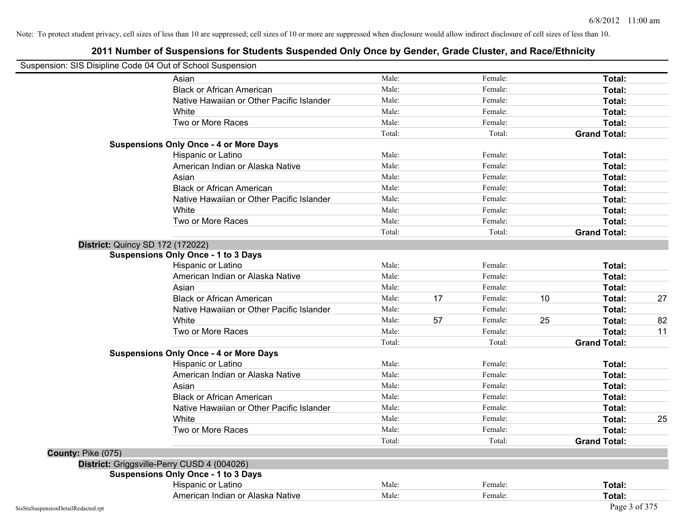| Suspension: SIS Disipline Code 04 Out of School Suspension |                                               |        |    |         |    |                     |    |
|------------------------------------------------------------|-----------------------------------------------|--------|----|---------|----|---------------------|----|
|                                                            | Asian                                         | Male:  |    | Female: |    | Total:              |    |
|                                                            | <b>Black or African American</b>              | Male:  |    | Female: |    | Total:              |    |
|                                                            | Native Hawaiian or Other Pacific Islander     | Male:  |    | Female: |    | Total:              |    |
|                                                            | White                                         | Male:  |    | Female: |    | Total:              |    |
|                                                            | Two or More Races                             | Male:  |    | Female: |    | Total:              |    |
|                                                            |                                               | Total: |    | Total:  |    | <b>Grand Total:</b> |    |
|                                                            | <b>Suspensions Only Once - 4 or More Days</b> |        |    |         |    |                     |    |
|                                                            | Hispanic or Latino                            | Male:  |    | Female: |    | Total:              |    |
|                                                            | American Indian or Alaska Native              | Male:  |    | Female: |    | Total:              |    |
|                                                            | Asian                                         | Male:  |    | Female: |    | Total:              |    |
|                                                            | <b>Black or African American</b>              | Male:  |    | Female: |    | Total:              |    |
|                                                            | Native Hawaiian or Other Pacific Islander     | Male:  |    | Female: |    | Total:              |    |
|                                                            | White                                         | Male:  |    | Female: |    | Total:              |    |
|                                                            | Two or More Races                             | Male:  |    | Female: |    | Total:              |    |
|                                                            |                                               | Total: |    | Total:  |    | <b>Grand Total:</b> |    |
| <b>District: Quincy SD 172 (172022)</b>                    |                                               |        |    |         |    |                     |    |
|                                                            | <b>Suspensions Only Once - 1 to 3 Days</b>    |        |    |         |    |                     |    |
|                                                            | Hispanic or Latino                            | Male:  |    | Female: |    | Total:              |    |
|                                                            | American Indian or Alaska Native              | Male:  |    | Female: |    | Total:              |    |
|                                                            | Asian                                         | Male:  |    | Female: |    | Total:              |    |
|                                                            | <b>Black or African American</b>              | Male:  | 17 | Female: | 10 | Total:              | 27 |
|                                                            | Native Hawaiian or Other Pacific Islander     | Male:  |    | Female: |    | Total:              |    |
|                                                            | White                                         | Male:  | 57 | Female: | 25 | Total:              | 82 |
|                                                            | Two or More Races                             | Male:  |    | Female: |    | Total:              | 11 |
|                                                            |                                               | Total: |    | Total:  |    | <b>Grand Total:</b> |    |
|                                                            | <b>Suspensions Only Once - 4 or More Days</b> |        |    |         |    |                     |    |
|                                                            | Hispanic or Latino                            | Male:  |    | Female: |    | Total:              |    |
|                                                            | American Indian or Alaska Native              | Male:  |    | Female: |    | Total:              |    |
|                                                            | Asian                                         | Male:  |    | Female: |    | Total:              |    |
|                                                            | <b>Black or African American</b>              | Male:  |    | Female: |    | Total:              |    |
|                                                            | Native Hawaiian or Other Pacific Islander     | Male:  |    | Female: |    | Total:              |    |
|                                                            | White                                         | Male:  |    | Female: |    | Total:              | 25 |
|                                                            | Two or More Races                             | Male:  |    | Female: |    | Total:              |    |
|                                                            |                                               | Total: |    | Total:  |    | <b>Grand Total:</b> |    |
| County: Pike (075)                                         |                                               |        |    |         |    |                     |    |
|                                                            | District: Griggsville-Perry CUSD 4 (004026)   |        |    |         |    |                     |    |
|                                                            | <b>Suspensions Only Once - 1 to 3 Days</b>    |        |    |         |    |                     |    |
|                                                            | Hispanic or Latino                            | Male:  |    | Female: |    | Total:              |    |
|                                                            | American Indian or Alaska Native              | Male:  |    | Female: |    | Total:              |    |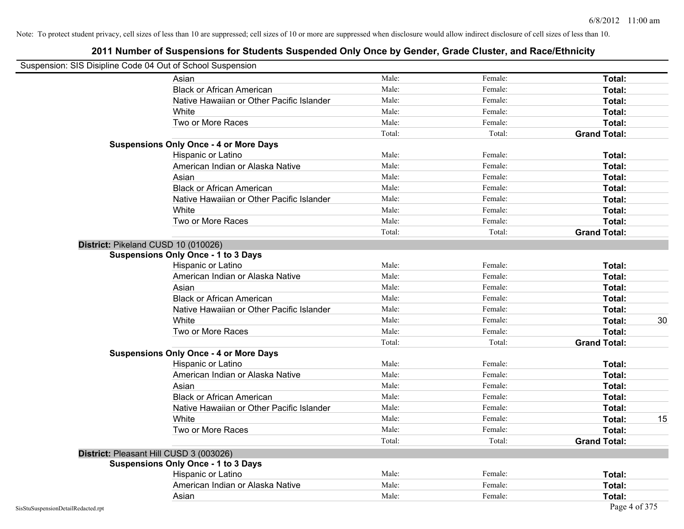| Suspension: SIS Disipline Code 04 Out of School Suspension |                                               |        |         |                     |    |
|------------------------------------------------------------|-----------------------------------------------|--------|---------|---------------------|----|
|                                                            | Asian                                         | Male:  | Female: | Total:              |    |
|                                                            | <b>Black or African American</b>              | Male:  | Female: | Total:              |    |
|                                                            | Native Hawaiian or Other Pacific Islander     | Male:  | Female: | Total:              |    |
|                                                            | White                                         | Male:  | Female: | Total:              |    |
|                                                            | Two or More Races                             | Male:  | Female: | Total:              |    |
|                                                            |                                               | Total: | Total:  | <b>Grand Total:</b> |    |
|                                                            | <b>Suspensions Only Once - 4 or More Days</b> |        |         |                     |    |
|                                                            | Hispanic or Latino                            | Male:  | Female: | Total:              |    |
|                                                            | American Indian or Alaska Native              | Male:  | Female: | Total:              |    |
|                                                            | Asian                                         | Male:  | Female: | Total:              |    |
|                                                            | <b>Black or African American</b>              | Male:  | Female: | Total:              |    |
|                                                            | Native Hawaiian or Other Pacific Islander     | Male:  | Female: | Total:              |    |
|                                                            | White                                         | Male:  | Female: | Total:              |    |
|                                                            | Two or More Races                             | Male:  | Female: | Total:              |    |
|                                                            |                                               | Total: | Total:  | <b>Grand Total:</b> |    |
| District: Pikeland CUSD 10 (010026)                        |                                               |        |         |                     |    |
|                                                            | <b>Suspensions Only Once - 1 to 3 Days</b>    |        |         |                     |    |
|                                                            | Hispanic or Latino                            | Male:  | Female: | Total:              |    |
|                                                            | American Indian or Alaska Native              | Male:  | Female: | Total:              |    |
|                                                            | Asian                                         | Male:  | Female: | Total:              |    |
|                                                            | <b>Black or African American</b>              | Male:  | Female: | Total:              |    |
|                                                            | Native Hawaiian or Other Pacific Islander     | Male:  | Female: | Total:              |    |
|                                                            | White                                         | Male:  | Female: | Total:              | 30 |
|                                                            | Two or More Races                             | Male:  | Female: | Total:              |    |
|                                                            |                                               | Total: | Total:  | <b>Grand Total:</b> |    |
|                                                            | <b>Suspensions Only Once - 4 or More Days</b> |        |         |                     |    |
|                                                            | Hispanic or Latino                            | Male:  | Female: | Total:              |    |
|                                                            | American Indian or Alaska Native              | Male:  | Female: | Total:              |    |
|                                                            | Asian                                         | Male:  | Female: | Total:              |    |
|                                                            | <b>Black or African American</b>              | Male:  | Female: | Total:              |    |
|                                                            | Native Hawaiian or Other Pacific Islander     | Male:  | Female: | Total:              |    |
|                                                            | White                                         | Male:  | Female: | Total:              | 15 |
|                                                            | Two or More Races                             | Male:  | Female: | Total:              |    |
|                                                            |                                               | Total: | Total:  | <b>Grand Total:</b> |    |
| District: Pleasant Hill CUSD 3 (003026)                    |                                               |        |         |                     |    |
|                                                            | <b>Suspensions Only Once - 1 to 3 Days</b>    |        |         |                     |    |
|                                                            | Hispanic or Latino                            | Male:  | Female: | Total:              |    |
|                                                            | American Indian or Alaska Native              | Male:  | Female: | Total:              |    |
|                                                            | Asian                                         | Male:  | Female: | Total:              |    |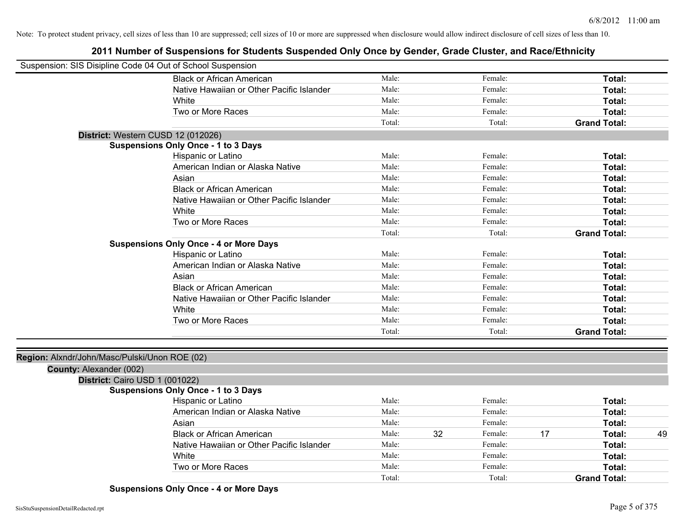## **2011 Number of Suspensions for Students Suspended Only Once by Gender, Grade Cluster, and Race/Ethnicity**

| Suspension: SIS Disipline Code 04 Out of School Suspension               |                                               |        |               |    |                     |    |
|--------------------------------------------------------------------------|-----------------------------------------------|--------|---------------|----|---------------------|----|
|                                                                          | <b>Black or African American</b>              | Male:  | Female:       |    | Total:              |    |
|                                                                          | Native Hawaiian or Other Pacific Islander     | Male:  | Female:       |    | Total:              |    |
|                                                                          | White                                         | Male:  | Female:       |    | Total:              |    |
|                                                                          | Two or More Races                             | Male:  | Female:       |    | Total:              |    |
|                                                                          |                                               | Total: | Total:        |    | <b>Grand Total:</b> |    |
|                                                                          | District: Western CUSD 12 (012026)            |        |               |    |                     |    |
|                                                                          | <b>Suspensions Only Once - 1 to 3 Days</b>    |        |               |    |                     |    |
|                                                                          | Hispanic or Latino                            | Male:  | Female:       |    | Total:              |    |
|                                                                          | American Indian or Alaska Native              | Male:  | Female:       |    | Total:              |    |
|                                                                          | Asian                                         | Male:  | Female:       |    | Total:              |    |
|                                                                          | <b>Black or African American</b>              | Male:  | Female:       |    | Total:              |    |
|                                                                          | Native Hawaiian or Other Pacific Islander     | Male:  | Female:       |    | Total:              |    |
|                                                                          | White                                         | Male:  | Female:       |    | Total:              |    |
|                                                                          | Two or More Races                             | Male:  | Female:       |    | Total:              |    |
|                                                                          |                                               | Total: | Total:        |    | <b>Grand Total:</b> |    |
|                                                                          | <b>Suspensions Only Once - 4 or More Days</b> |        |               |    |                     |    |
|                                                                          | Hispanic or Latino                            | Male:  | Female:       |    | Total:              |    |
|                                                                          | American Indian or Alaska Native              | Male:  | Female:       |    | Total:              |    |
|                                                                          | Asian                                         | Male:  | Female:       |    | Total:              |    |
|                                                                          | <b>Black or African American</b>              | Male:  | Female:       |    | Total:              |    |
|                                                                          | Native Hawaiian or Other Pacific Islander     | Male:  | Female:       |    | Total:              |    |
|                                                                          | White                                         | Male:  | Female:       |    | Total:              |    |
|                                                                          | Two or More Races                             | Male:  | Female:       |    | Total:              |    |
|                                                                          |                                               | Total: | Total:        |    | <b>Grand Total:</b> |    |
|                                                                          |                                               |        |               |    |                     |    |
| Region: Alxndr/John/Masc/Pulski/Unon ROE (02)<br>County: Alexander (002) |                                               |        |               |    |                     |    |
| District: Cairo USD 1 (001022)                                           |                                               |        |               |    |                     |    |
|                                                                          | <b>Suspensions Only Once - 1 to 3 Days</b>    |        |               |    |                     |    |
|                                                                          | Hispanic or Latino                            | Male:  | Female:       |    | Total:              |    |
|                                                                          | American Indian or Alaska Native              | Male:  | Female:       |    | Total:              |    |
|                                                                          | Asian                                         | Male:  | Female:       |    | Total:              |    |
|                                                                          | <b>Black or African American</b>              | Male:  | 32<br>Female: | 17 | Total:              | 49 |
|                                                                          | Native Hawaiian or Other Pacific Islander     | Male:  | Female:       |    | Total:              |    |
|                                                                          | White                                         | Male:  | Female:       |    | Total:              |    |
|                                                                          | Two or More Races                             | Male:  | Female:       |    | Total:              |    |
|                                                                          |                                               | Total: | Total:        |    | <b>Grand Total:</b> |    |
|                                                                          |                                               |        |               |    |                     |    |

**Suspensions Only Once - 4 or More Days**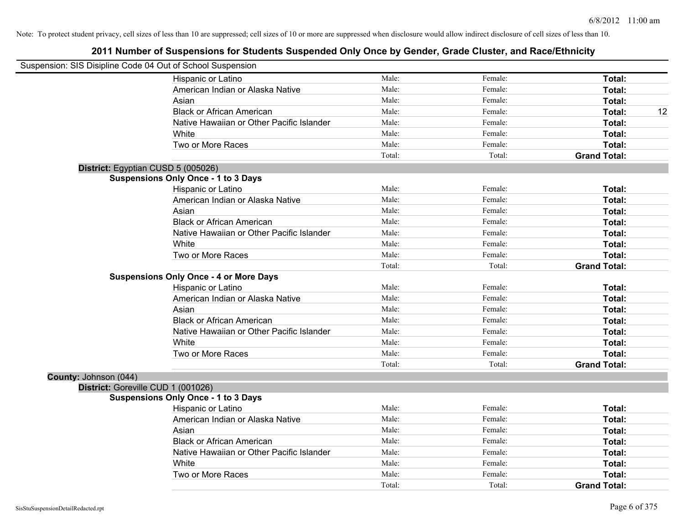|                       | Suspension: SIS Disipline Code 04 Out of School Suspension |        |         |                     |    |
|-----------------------|------------------------------------------------------------|--------|---------|---------------------|----|
|                       | Hispanic or Latino                                         | Male:  | Female: | Total:              |    |
|                       | American Indian or Alaska Native                           | Male:  | Female: | Total:              |    |
|                       | Asian                                                      | Male:  | Female: | Total:              |    |
|                       | <b>Black or African American</b>                           | Male:  | Female: | Total:              | 12 |
|                       | Native Hawaiian or Other Pacific Islander                  | Male:  | Female: | Total:              |    |
|                       | White                                                      | Male:  | Female: | Total:              |    |
|                       | Two or More Races                                          | Male:  | Female: | Total:              |    |
|                       |                                                            | Total: | Total:  | <b>Grand Total:</b> |    |
|                       | District: Egyptian CUSD 5 (005026)                         |        |         |                     |    |
|                       | <b>Suspensions Only Once - 1 to 3 Days</b>                 |        |         |                     |    |
|                       | Hispanic or Latino                                         | Male:  | Female: | Total:              |    |
|                       | American Indian or Alaska Native                           | Male:  | Female: | Total:              |    |
|                       | Asian                                                      | Male:  | Female: | Total:              |    |
|                       | <b>Black or African American</b>                           | Male:  | Female: | Total:              |    |
|                       | Native Hawaiian or Other Pacific Islander                  | Male:  | Female: | Total:              |    |
|                       | White                                                      | Male:  | Female: | Total:              |    |
|                       | Two or More Races                                          | Male:  | Female: | Total:              |    |
|                       |                                                            | Total: | Total:  | <b>Grand Total:</b> |    |
|                       | <b>Suspensions Only Once - 4 or More Days</b>              |        |         |                     |    |
|                       | Hispanic or Latino                                         | Male:  | Female: | Total:              |    |
|                       | American Indian or Alaska Native                           | Male:  | Female: | Total:              |    |
|                       | Asian                                                      | Male:  | Female: | Total:              |    |
|                       | <b>Black or African American</b>                           | Male:  | Female: | Total:              |    |
|                       | Native Hawaiian or Other Pacific Islander                  | Male:  | Female: | Total:              |    |
|                       | White                                                      | Male:  | Female: | Total:              |    |
|                       | Two or More Races                                          | Male:  | Female: | Total:              |    |
|                       |                                                            | Total: | Total:  | <b>Grand Total:</b> |    |
| County: Johnson (044) |                                                            |        |         |                     |    |
|                       | District: Goreville CUD 1 (001026)                         |        |         |                     |    |
|                       | <b>Suspensions Only Once - 1 to 3 Days</b>                 |        |         |                     |    |
|                       | Hispanic or Latino                                         | Male:  | Female: | Total:              |    |
|                       | American Indian or Alaska Native                           | Male:  | Female: | Total:              |    |
|                       | Asian                                                      | Male:  | Female: | Total:              |    |
|                       | <b>Black or African American</b>                           | Male:  | Female: | Total:              |    |
|                       | Native Hawaiian or Other Pacific Islander                  | Male:  | Female: | Total:              |    |
|                       | White                                                      | Male:  | Female: | Total:              |    |
|                       | Two or More Races                                          | Male:  | Female: | Total:              |    |
|                       |                                                            | Total: | Total:  | <b>Grand Total:</b> |    |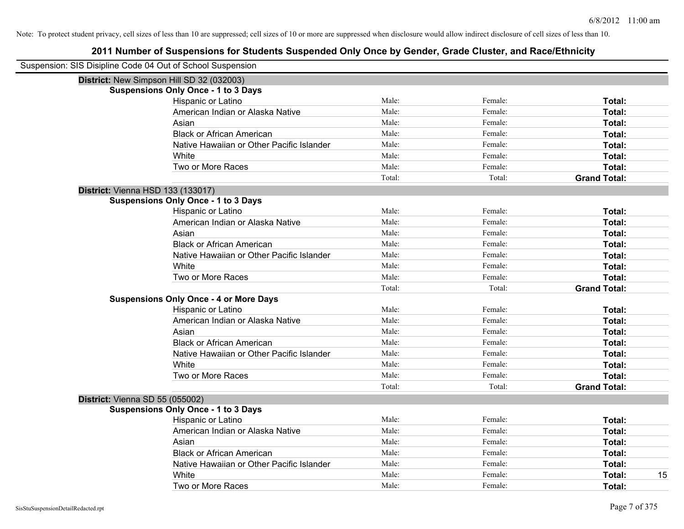| Suspension: SIS Disipline Code 04 Out of School Suspension |                                               |        |         |                     |
|------------------------------------------------------------|-----------------------------------------------|--------|---------|---------------------|
|                                                            | District: New Simpson Hill SD 32 (032003)     |        |         |                     |
|                                                            | <b>Suspensions Only Once - 1 to 3 Days</b>    |        |         |                     |
|                                                            | Hispanic or Latino                            | Male:  | Female: | Total:              |
|                                                            | American Indian or Alaska Native              | Male:  | Female: | Total:              |
|                                                            | Asian                                         | Male:  | Female: | Total:              |
|                                                            | <b>Black or African American</b>              | Male:  | Female: | Total:              |
|                                                            | Native Hawaiian or Other Pacific Islander     | Male:  | Female: | Total:              |
|                                                            | White                                         | Male:  | Female: | Total:              |
|                                                            | Two or More Races                             | Male:  | Female: | Total:              |
|                                                            |                                               | Total: | Total:  | <b>Grand Total:</b> |
| District: Vienna HSD 133 (133017)                          |                                               |        |         |                     |
|                                                            | <b>Suspensions Only Once - 1 to 3 Days</b>    |        |         |                     |
|                                                            | Hispanic or Latino                            | Male:  | Female: | Total:              |
|                                                            | American Indian or Alaska Native              | Male:  | Female: | Total:              |
|                                                            | Asian                                         | Male:  | Female: | Total:              |
|                                                            | <b>Black or African American</b>              | Male:  | Female: | Total:              |
|                                                            | Native Hawaiian or Other Pacific Islander     | Male:  | Female: | Total:              |
|                                                            | White                                         | Male:  | Female: | Total:              |
|                                                            | Two or More Races                             | Male:  | Female: | Total:              |
|                                                            |                                               | Total: | Total:  | <b>Grand Total:</b> |
|                                                            | <b>Suspensions Only Once - 4 or More Days</b> |        |         |                     |
|                                                            | Hispanic or Latino                            | Male:  | Female: | Total:              |
|                                                            | American Indian or Alaska Native              | Male:  | Female: | Total:              |
|                                                            | Asian                                         | Male:  | Female: | Total:              |
|                                                            | <b>Black or African American</b>              | Male:  | Female: | Total:              |
|                                                            | Native Hawaiian or Other Pacific Islander     | Male:  | Female: | Total:              |
|                                                            | White                                         | Male:  | Female: | Total:              |
|                                                            | Two or More Races                             | Male:  | Female: | Total:              |
|                                                            |                                               | Total: | Total:  | <b>Grand Total:</b> |
| District: Vienna SD 55 (055002)                            |                                               |        |         |                     |
|                                                            | <b>Suspensions Only Once - 1 to 3 Days</b>    |        |         |                     |
|                                                            | Hispanic or Latino                            | Male:  | Female: | Total:              |
|                                                            | American Indian or Alaska Native              | Male:  | Female: | Total:              |
|                                                            | Asian                                         | Male:  | Female: | Total:              |
|                                                            | <b>Black or African American</b>              | Male:  | Female: | Total:              |
|                                                            | Native Hawaiian or Other Pacific Islander     | Male:  | Female: | Total:              |
|                                                            | White                                         | Male:  | Female: | 15<br>Total:        |
|                                                            | Two or More Races                             | Male:  | Female: | Total:              |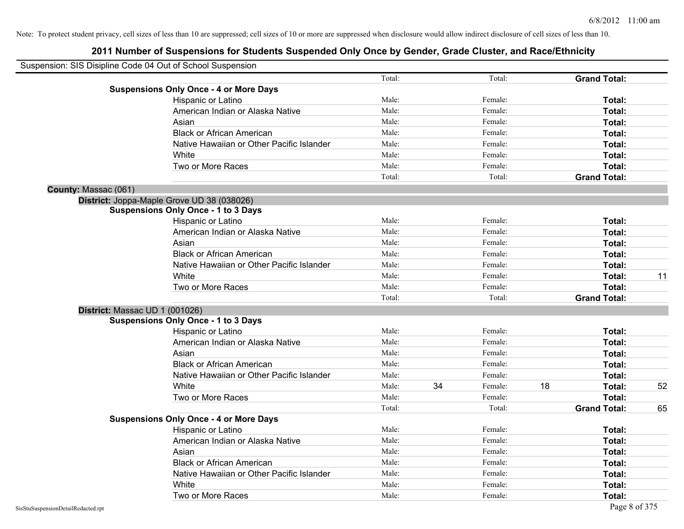|                                | Suspension: SIS Disipline Code 04 Out of School Suspension |        |    |         |    |                     |    |
|--------------------------------|------------------------------------------------------------|--------|----|---------|----|---------------------|----|
|                                |                                                            | Total: |    | Total:  |    | <b>Grand Total:</b> |    |
|                                | <b>Suspensions Only Once - 4 or More Days</b>              |        |    |         |    |                     |    |
|                                | Hispanic or Latino                                         | Male:  |    | Female: |    | Total:              |    |
|                                | American Indian or Alaska Native                           | Male:  |    | Female: |    | Total:              |    |
|                                | Asian                                                      | Male:  |    | Female: |    | Total:              |    |
|                                | <b>Black or African American</b>                           | Male:  |    | Female: |    | Total:              |    |
|                                | Native Hawaiian or Other Pacific Islander                  | Male:  |    | Female: |    | Total:              |    |
|                                | White                                                      | Male:  |    | Female: |    | Total:              |    |
|                                | Two or More Races                                          | Male:  |    | Female: |    | Total:              |    |
|                                |                                                            | Total: |    | Total:  |    | <b>Grand Total:</b> |    |
| County: Massac (061)           |                                                            |        |    |         |    |                     |    |
|                                | District: Joppa-Maple Grove UD 38 (038026)                 |        |    |         |    |                     |    |
|                                | <b>Suspensions Only Once - 1 to 3 Days</b>                 |        |    |         |    |                     |    |
|                                | Hispanic or Latino                                         | Male:  |    | Female: |    | Total:              |    |
|                                | American Indian or Alaska Native                           | Male:  |    | Female: |    | Total:              |    |
|                                | Asian                                                      | Male:  |    | Female: |    | Total:              |    |
|                                | <b>Black or African American</b>                           | Male:  |    | Female: |    | Total:              |    |
|                                | Native Hawaiian or Other Pacific Islander                  | Male:  |    | Female: |    | Total:              |    |
|                                | White                                                      | Male:  |    | Female: |    | Total:              | 11 |
|                                | Two or More Races                                          | Male:  |    | Female: |    | Total:              |    |
|                                |                                                            | Total: |    | Total:  |    | <b>Grand Total:</b> |    |
| District: Massac UD 1 (001026) |                                                            |        |    |         |    |                     |    |
|                                | <b>Suspensions Only Once - 1 to 3 Days</b>                 |        |    |         |    |                     |    |
|                                | Hispanic or Latino                                         | Male:  |    | Female: |    | Total:              |    |
|                                | American Indian or Alaska Native                           | Male:  |    | Female: |    | Total:              |    |
|                                | Asian                                                      | Male:  |    | Female: |    | Total:              |    |
|                                | <b>Black or African American</b>                           | Male:  |    | Female: |    | Total:              |    |
|                                | Native Hawaiian or Other Pacific Islander                  | Male:  |    | Female: |    | Total:              |    |
|                                | White                                                      | Male:  | 34 | Female: | 18 | Total:              | 52 |
|                                | Two or More Races                                          | Male:  |    | Female: |    | Total:              |    |
|                                |                                                            | Total: |    | Total:  |    | <b>Grand Total:</b> | 65 |
|                                | <b>Suspensions Only Once - 4 or More Days</b>              |        |    |         |    |                     |    |
|                                | Hispanic or Latino                                         | Male:  |    | Female: |    | Total:              |    |
|                                | American Indian or Alaska Native                           | Male:  |    | Female: |    | Total:              |    |
|                                | Asian                                                      | Male:  |    | Female: |    | Total:              |    |
|                                | <b>Black or African American</b>                           | Male:  |    | Female: |    | Total:              |    |
|                                | Native Hawaiian or Other Pacific Islander                  | Male:  |    | Female: |    | Total:              |    |
|                                | White                                                      | Male:  |    | Female: |    | Total:              |    |
|                                | Two or More Races                                          | Male:  |    | Female: |    | Total:              |    |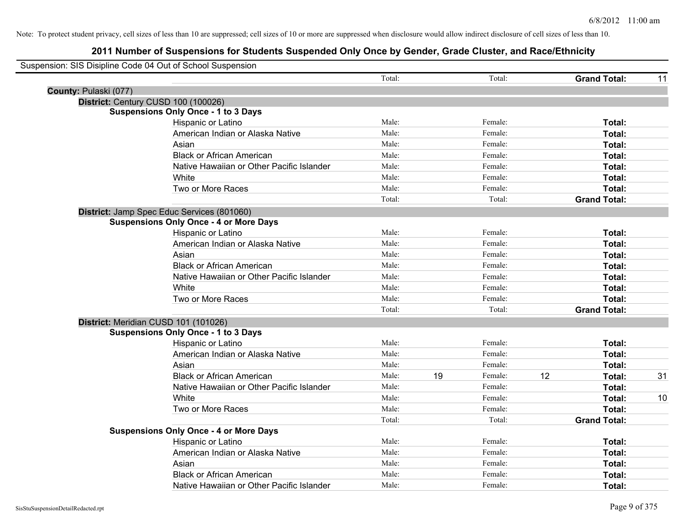|                       | Suspension: SIS Disipline Code 04 Out of School Suspension |        |    |         |    |                     |    |
|-----------------------|------------------------------------------------------------|--------|----|---------|----|---------------------|----|
|                       |                                                            | Total: |    | Total:  |    | <b>Grand Total:</b> | 11 |
| County: Pulaski (077) |                                                            |        |    |         |    |                     |    |
|                       | District: Century CUSD 100 (100026)                        |        |    |         |    |                     |    |
|                       | <b>Suspensions Only Once - 1 to 3 Days</b>                 |        |    |         |    |                     |    |
|                       | Hispanic or Latino                                         | Male:  |    | Female: |    | Total:              |    |
|                       | American Indian or Alaska Native                           | Male:  |    | Female: |    | Total:              |    |
|                       | Asian                                                      | Male:  |    | Female: |    | Total:              |    |
|                       | <b>Black or African American</b>                           | Male:  |    | Female: |    | Total:              |    |
|                       | Native Hawaiian or Other Pacific Islander                  | Male:  |    | Female: |    | Total:              |    |
|                       | White                                                      | Male:  |    | Female: |    | Total:              |    |
|                       | Two or More Races                                          | Male:  |    | Female: |    | Total:              |    |
|                       |                                                            | Total: |    | Total:  |    | <b>Grand Total:</b> |    |
|                       | District: Jamp Spec Educ Services (801060)                 |        |    |         |    |                     |    |
|                       | <b>Suspensions Only Once - 4 or More Days</b>              |        |    |         |    |                     |    |
|                       | Hispanic or Latino                                         | Male:  |    | Female: |    | Total:              |    |
|                       | American Indian or Alaska Native                           | Male:  |    | Female: |    | Total:              |    |
|                       | Asian                                                      | Male:  |    | Female: |    | Total:              |    |
|                       | <b>Black or African American</b>                           | Male:  |    | Female: |    | Total:              |    |
|                       | Native Hawaiian or Other Pacific Islander                  | Male:  |    | Female: |    | Total:              |    |
|                       | White                                                      | Male:  |    | Female: |    | Total:              |    |
|                       | Two or More Races                                          | Male:  |    | Female: |    | Total:              |    |
|                       |                                                            | Total: |    | Total:  |    | <b>Grand Total:</b> |    |
|                       | District: Meridian CUSD 101 (101026)                       |        |    |         |    |                     |    |
|                       | <b>Suspensions Only Once - 1 to 3 Days</b>                 |        |    |         |    |                     |    |
|                       | Hispanic or Latino                                         | Male:  |    | Female: |    | Total:              |    |
|                       | American Indian or Alaska Native                           | Male:  |    | Female: |    | Total:              |    |
|                       | Asian                                                      | Male:  |    | Female: |    | Total:              |    |
|                       | <b>Black or African American</b>                           | Male:  | 19 | Female: | 12 | Total:              | 31 |
|                       | Native Hawaiian or Other Pacific Islander                  | Male:  |    | Female: |    | Total:              |    |
|                       | White                                                      | Male:  |    | Female: |    | Total:              | 10 |
|                       | Two or More Races                                          | Male:  |    | Female: |    | Total:              |    |
|                       |                                                            | Total: |    | Total:  |    | <b>Grand Total:</b> |    |
|                       | <b>Suspensions Only Once - 4 or More Days</b>              |        |    |         |    |                     |    |
|                       | Hispanic or Latino                                         | Male:  |    | Female: |    | Total:              |    |
|                       | American Indian or Alaska Native                           | Male:  |    | Female: |    | Total:              |    |
|                       | Asian                                                      | Male:  |    | Female: |    | Total:              |    |
|                       | <b>Black or African American</b>                           | Male:  |    | Female: |    | Total:              |    |
|                       | Native Hawaiian or Other Pacific Islander                  | Male:  |    | Female: |    | Total:              |    |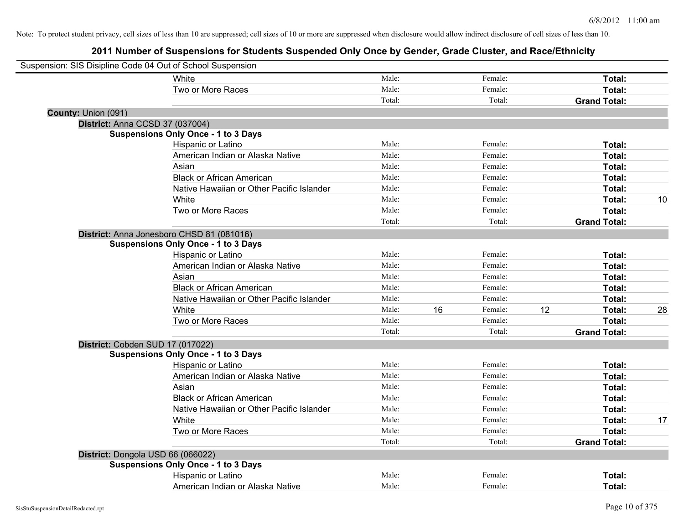| Suspension: SIS Disipline Code 04 Out of School Suspension |                                            |        |    |         |    |                     |    |
|------------------------------------------------------------|--------------------------------------------|--------|----|---------|----|---------------------|----|
|                                                            | <b>White</b>                               | Male:  |    | Female: |    | Total:              |    |
|                                                            | Two or More Races                          | Male:  |    | Female: |    | Total:              |    |
|                                                            |                                            | Total: |    | Total:  |    | <b>Grand Total:</b> |    |
| County: Union (091)                                        |                                            |        |    |         |    |                     |    |
| District: Anna CCSD 37 (037004)                            |                                            |        |    |         |    |                     |    |
|                                                            | <b>Suspensions Only Once - 1 to 3 Days</b> |        |    |         |    |                     |    |
|                                                            | Hispanic or Latino                         | Male:  |    | Female: |    | Total:              |    |
|                                                            | American Indian or Alaska Native           | Male:  |    | Female: |    | Total:              |    |
|                                                            | Asian                                      | Male:  |    | Female: |    | Total:              |    |
|                                                            | <b>Black or African American</b>           | Male:  |    | Female: |    | Total:              |    |
|                                                            | Native Hawaiian or Other Pacific Islander  | Male:  |    | Female: |    | Total:              |    |
|                                                            | White                                      | Male:  |    | Female: |    | Total:              | 10 |
|                                                            | Two or More Races                          | Male:  |    | Female: |    | Total:              |    |
|                                                            |                                            | Total: |    | Total:  |    | <b>Grand Total:</b> |    |
|                                                            | District: Anna Jonesboro CHSD 81 (081016)  |        |    |         |    |                     |    |
|                                                            | <b>Suspensions Only Once - 1 to 3 Days</b> |        |    |         |    |                     |    |
|                                                            | Hispanic or Latino                         | Male:  |    | Female: |    | Total:              |    |
|                                                            | American Indian or Alaska Native           | Male:  |    | Female: |    | Total:              |    |
|                                                            | Asian                                      | Male:  |    | Female: |    | Total:              |    |
|                                                            | <b>Black or African American</b>           | Male:  |    | Female: |    | Total:              |    |
|                                                            | Native Hawaiian or Other Pacific Islander  | Male:  |    | Female: |    | Total:              |    |
|                                                            | White                                      | Male:  | 16 | Female: | 12 | Total:              | 28 |
|                                                            | Two or More Races                          | Male:  |    | Female: |    | Total:              |    |
|                                                            |                                            | Total: |    | Total:  |    | <b>Grand Total:</b> |    |
| District: Cobden SUD 17 (017022)                           |                                            |        |    |         |    |                     |    |
|                                                            | <b>Suspensions Only Once - 1 to 3 Days</b> |        |    |         |    |                     |    |
|                                                            | Hispanic or Latino                         | Male:  |    | Female: |    | Total:              |    |
|                                                            | American Indian or Alaska Native           | Male:  |    | Female: |    | Total:              |    |
|                                                            | Asian                                      | Male:  |    | Female: |    | Total:              |    |
|                                                            | <b>Black or African American</b>           | Male:  |    | Female: |    | Total:              |    |
|                                                            | Native Hawaiian or Other Pacific Islander  | Male:  |    | Female: |    | Total:              |    |
|                                                            | White                                      | Male:  |    | Female: |    | Total:              | 17 |
|                                                            | Two or More Races                          | Male:  |    | Female: |    | Total:              |    |
|                                                            |                                            | Total: |    | Total:  |    | <b>Grand Total:</b> |    |
| District: Dongola USD 66 (066022)                          |                                            |        |    |         |    |                     |    |
|                                                            | <b>Suspensions Only Once - 1 to 3 Days</b> |        |    |         |    |                     |    |
|                                                            | Hispanic or Latino                         | Male:  |    | Female: |    | Total:              |    |
|                                                            | American Indian or Alaska Native           | Male:  |    | Female: |    | Total:              |    |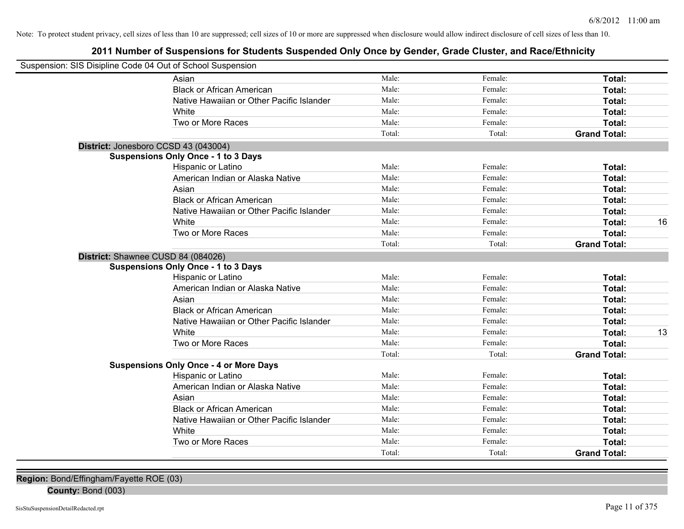## **2011 Number of Suspensions for Students Suspended Only Once by Gender, Grade Cluster, and Race/Ethnicity**

| Suspension: SIS Disipline Code 04 Out of School Suspension |                                               |        |         |                     |    |
|------------------------------------------------------------|-----------------------------------------------|--------|---------|---------------------|----|
|                                                            | Asian                                         | Male:  | Female: | Total:              |    |
|                                                            | <b>Black or African American</b>              | Male:  | Female: | Total:              |    |
|                                                            | Native Hawaiian or Other Pacific Islander     | Male:  | Female: | Total:              |    |
|                                                            | White                                         | Male:  | Female: | Total:              |    |
|                                                            | Two or More Races                             | Male:  | Female: | Total:              |    |
|                                                            |                                               | Total: | Total:  | <b>Grand Total:</b> |    |
| District: Jonesboro CCSD 43 (043004)                       |                                               |        |         |                     |    |
|                                                            | <b>Suspensions Only Once - 1 to 3 Days</b>    |        |         |                     |    |
|                                                            | Hispanic or Latino                            | Male:  | Female: | Total:              |    |
|                                                            | American Indian or Alaska Native              | Male:  | Female: | Total:              |    |
|                                                            | Asian                                         | Male:  | Female: | Total:              |    |
|                                                            | <b>Black or African American</b>              | Male:  | Female: | Total:              |    |
|                                                            | Native Hawaiian or Other Pacific Islander     | Male:  | Female: | Total:              |    |
|                                                            | White                                         | Male:  | Female: | Total:              | 16 |
|                                                            | Two or More Races                             | Male:  | Female: | Total:              |    |
|                                                            |                                               | Total: | Total:  | <b>Grand Total:</b> |    |
| District: Shawnee CUSD 84 (084026)                         | <b>Suspensions Only Once - 1 to 3 Days</b>    |        |         |                     |    |
|                                                            | Hispanic or Latino                            | Male:  | Female: | Total:              |    |
|                                                            | American Indian or Alaska Native              | Male:  | Female: | Total:              |    |
|                                                            | Asian                                         | Male:  | Female: | Total:              |    |
|                                                            | <b>Black or African American</b>              | Male:  | Female: | Total:              |    |
|                                                            | Native Hawaiian or Other Pacific Islander     | Male:  | Female: | Total:              |    |
|                                                            | White                                         | Male:  | Female: | Total:              | 13 |
|                                                            | Two or More Races                             | Male:  | Female: | Total:              |    |
|                                                            |                                               | Total: | Total:  | <b>Grand Total:</b> |    |
|                                                            | <b>Suspensions Only Once - 4 or More Days</b> |        |         |                     |    |
|                                                            | Hispanic or Latino                            | Male:  | Female: | Total:              |    |
|                                                            | American Indian or Alaska Native              | Male:  | Female: | Total:              |    |
|                                                            | Asian                                         | Male:  | Female: | Total:              |    |
|                                                            | <b>Black or African American</b>              | Male:  | Female: | Total:              |    |
|                                                            | Native Hawaiian or Other Pacific Islander     | Male:  | Female: | Total:              |    |
|                                                            | White                                         | Male:  | Female: | Total:              |    |
|                                                            | Two or More Races                             | Male:  | Female: | Total:              |    |
|                                                            |                                               | Total: | Total:  | <b>Grand Total:</b> |    |

**Region:** Bond/Effingham/Fayette ROE (03)

**County:** Bond (003)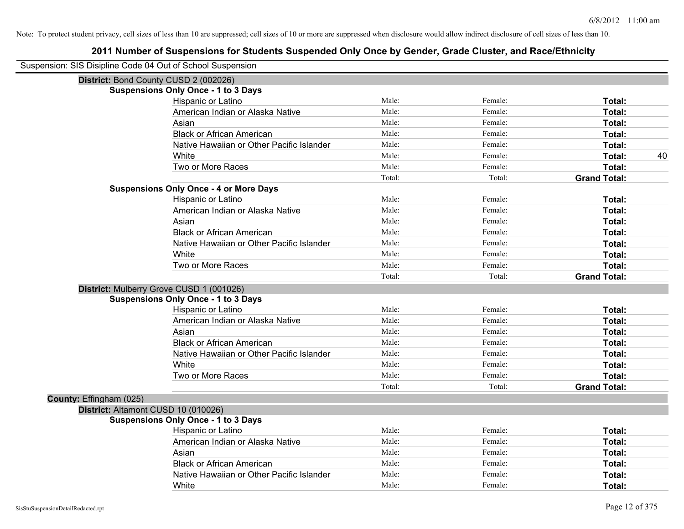| Suspension: SIS Disipline Code 04 Out of School Suspension |                                               |        |         |                     |
|------------------------------------------------------------|-----------------------------------------------|--------|---------|---------------------|
| District: Bond County CUSD 2 (002026)                      |                                               |        |         |                     |
|                                                            | <b>Suspensions Only Once - 1 to 3 Days</b>    |        |         |                     |
|                                                            | Hispanic or Latino                            | Male:  | Female: | Total:              |
|                                                            | American Indian or Alaska Native              | Male:  | Female: | Total:              |
|                                                            | Asian                                         | Male:  | Female: | Total:              |
|                                                            | <b>Black or African American</b>              | Male:  | Female: | Total:              |
|                                                            | Native Hawaiian or Other Pacific Islander     | Male:  | Female: | Total:              |
|                                                            | White                                         | Male:  | Female: | 40<br>Total:        |
|                                                            | Two or More Races                             | Male:  | Female: | Total:              |
|                                                            |                                               | Total: | Total:  | <b>Grand Total:</b> |
|                                                            | <b>Suspensions Only Once - 4 or More Days</b> |        |         |                     |
|                                                            | Hispanic or Latino                            | Male:  | Female: | Total:              |
|                                                            | American Indian or Alaska Native              | Male:  | Female: | Total:              |
|                                                            | Asian                                         | Male:  | Female: | Total:              |
|                                                            | <b>Black or African American</b>              | Male:  | Female: | Total:              |
|                                                            | Native Hawaiian or Other Pacific Islander     | Male:  | Female: | Total:              |
|                                                            | White                                         | Male:  | Female: | Total:              |
|                                                            | Two or More Races                             | Male:  | Female: | Total:              |
|                                                            |                                               | Total: | Total:  | <b>Grand Total:</b> |
|                                                            | District: Mulberry Grove CUSD 1 (001026)      |        |         |                     |
|                                                            | <b>Suspensions Only Once - 1 to 3 Days</b>    |        |         |                     |
|                                                            | Hispanic or Latino                            | Male:  | Female: | Total:              |
|                                                            | American Indian or Alaska Native              | Male:  | Female: | Total:              |
|                                                            | Asian                                         | Male:  | Female: | Total:              |
|                                                            | <b>Black or African American</b>              | Male:  | Female: | Total:              |
|                                                            | Native Hawaiian or Other Pacific Islander     | Male:  | Female: | Total:              |
|                                                            | White                                         | Male:  | Female: | Total:              |
|                                                            | Two or More Races                             | Male:  | Female: | Total:              |
|                                                            |                                               | Total: | Total:  | <b>Grand Total:</b> |
| County: Effingham (025)                                    |                                               |        |         |                     |
| District: Altamont CUSD 10 (010026)                        |                                               |        |         |                     |
|                                                            | <b>Suspensions Only Once - 1 to 3 Days</b>    |        |         |                     |
|                                                            | Hispanic or Latino                            | Male:  | Female: | Total:              |
|                                                            | American Indian or Alaska Native              | Male:  | Female: | Total:              |
|                                                            | Asian                                         | Male:  | Female: | Total:              |
|                                                            | <b>Black or African American</b>              | Male:  | Female: | Total:              |
|                                                            | Native Hawaiian or Other Pacific Islander     | Male:  | Female: | Total:              |
|                                                            | White                                         | Male:  | Female: | Total:              |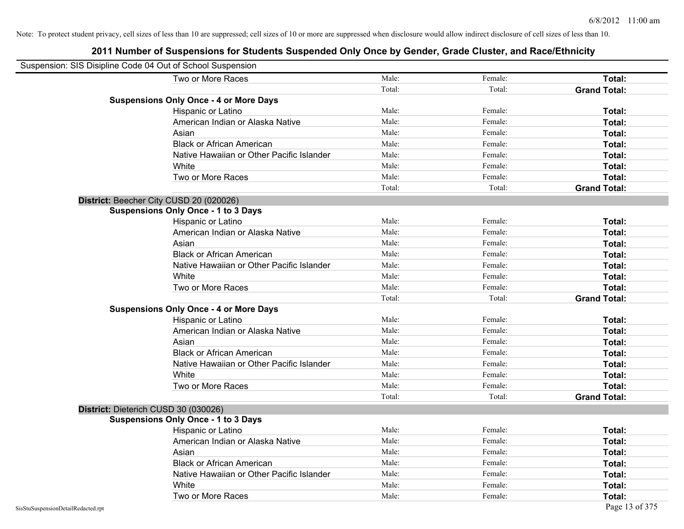| Suspension: SIS Disipline Code 04 Out of School Suspension |                                               |        |         |                     |
|------------------------------------------------------------|-----------------------------------------------|--------|---------|---------------------|
|                                                            | Two or More Races                             | Male:  | Female: | Total:              |
|                                                            |                                               | Total: | Total:  | <b>Grand Total:</b> |
|                                                            | <b>Suspensions Only Once - 4 or More Days</b> |        |         |                     |
|                                                            | Hispanic or Latino                            | Male:  | Female: | Total:              |
|                                                            | American Indian or Alaska Native              | Male:  | Female: | Total:              |
|                                                            | Asian                                         | Male:  | Female: | Total:              |
|                                                            | <b>Black or African American</b>              | Male:  | Female: | Total:              |
|                                                            | Native Hawaiian or Other Pacific Islander     | Male:  | Female: | Total:              |
|                                                            | White                                         | Male:  | Female: | Total:              |
|                                                            | Two or More Races                             | Male:  | Female: | Total:              |
|                                                            |                                               | Total: | Total:  | <b>Grand Total:</b> |
|                                                            | District: Beecher City CUSD 20 (020026)       |        |         |                     |
|                                                            | <b>Suspensions Only Once - 1 to 3 Days</b>    |        |         |                     |
|                                                            | Hispanic or Latino                            | Male:  | Female: | Total:              |
|                                                            | American Indian or Alaska Native              | Male:  | Female: | Total:              |
|                                                            | Asian                                         | Male:  | Female: | Total:              |
|                                                            | <b>Black or African American</b>              | Male:  | Female: | Total:              |
|                                                            | Native Hawaiian or Other Pacific Islander     | Male:  | Female: | Total:              |
|                                                            | White                                         | Male:  | Female: | Total:              |
|                                                            | Two or More Races                             | Male:  | Female: | Total:              |
|                                                            |                                               | Total: | Total:  | <b>Grand Total:</b> |
|                                                            | <b>Suspensions Only Once - 4 or More Days</b> |        |         |                     |
|                                                            | Hispanic or Latino                            | Male:  | Female: | Total:              |
|                                                            | American Indian or Alaska Native              | Male:  | Female: | Total:              |
|                                                            | Asian                                         | Male:  | Female: | Total:              |
|                                                            | <b>Black or African American</b>              | Male:  | Female: | Total:              |
|                                                            | Native Hawaiian or Other Pacific Islander     | Male:  | Female: | Total:              |
|                                                            | White                                         | Male:  | Female: | Total:              |
|                                                            | Two or More Races                             | Male:  | Female: | Total:              |
|                                                            |                                               | Total: | Total:  | <b>Grand Total:</b> |
|                                                            | District: Dieterich CUSD 30 (030026)          |        |         |                     |
|                                                            | <b>Suspensions Only Once - 1 to 3 Days</b>    |        |         |                     |
|                                                            | Hispanic or Latino                            | Male:  | Female: | Total:              |
|                                                            | American Indian or Alaska Native              | Male:  | Female: | Total:              |
|                                                            | Asian                                         | Male:  | Female: | Total:              |
|                                                            | <b>Black or African American</b>              | Male:  | Female: | Total:              |
|                                                            | Native Hawaiian or Other Pacific Islander     | Male:  | Female: | Total:              |
|                                                            | White                                         | Male:  | Female: | Total:              |
|                                                            | Two or More Races                             | Male:  | Female: | Total:              |
| SisStuSuspensionDetailRedacted.rpt                         |                                               |        |         | Page 13 of 375      |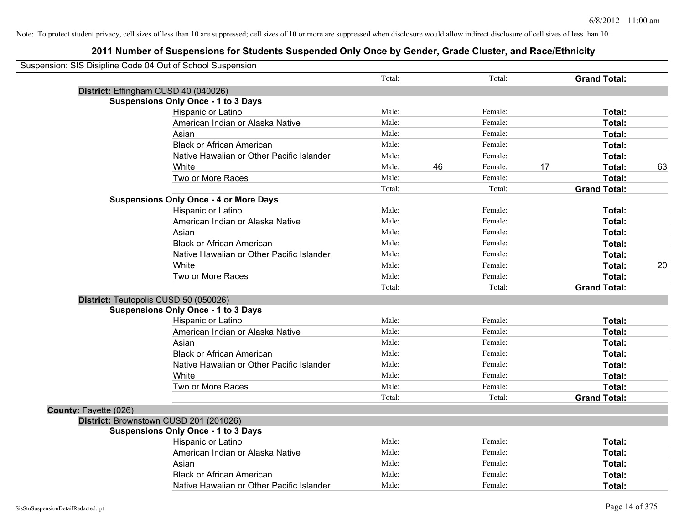| Suspension: SIS Disipline Code 04 Out of School Suspension |                                               |        |    |         |    |                     |    |
|------------------------------------------------------------|-----------------------------------------------|--------|----|---------|----|---------------------|----|
|                                                            |                                               | Total: |    | Total:  |    | <b>Grand Total:</b> |    |
| District: Effingham CUSD 40 (040026)                       |                                               |        |    |         |    |                     |    |
|                                                            | <b>Suspensions Only Once - 1 to 3 Days</b>    |        |    |         |    |                     |    |
|                                                            | Hispanic or Latino                            | Male:  |    | Female: |    | Total:              |    |
|                                                            | American Indian or Alaska Native              | Male:  |    | Female: |    | Total:              |    |
|                                                            | Asian                                         | Male:  |    | Female: |    | Total:              |    |
|                                                            | <b>Black or African American</b>              | Male:  |    | Female: |    | Total:              |    |
|                                                            | Native Hawaiian or Other Pacific Islander     | Male:  |    | Female: |    | Total:              |    |
|                                                            | White                                         | Male:  | 46 | Female: | 17 | Total:              | 63 |
|                                                            | Two or More Races                             | Male:  |    | Female: |    | Total:              |    |
|                                                            |                                               | Total: |    | Total:  |    | <b>Grand Total:</b> |    |
|                                                            | <b>Suspensions Only Once - 4 or More Days</b> |        |    |         |    |                     |    |
|                                                            | Hispanic or Latino                            | Male:  |    | Female: |    | Total:              |    |
|                                                            | American Indian or Alaska Native              | Male:  |    | Female: |    | Total:              |    |
|                                                            | Asian                                         | Male:  |    | Female: |    | Total:              |    |
|                                                            | <b>Black or African American</b>              | Male:  |    | Female: |    | Total:              |    |
|                                                            | Native Hawaiian or Other Pacific Islander     | Male:  |    | Female: |    | Total:              |    |
|                                                            | White                                         | Male:  |    | Female: |    | Total:              | 20 |
|                                                            | Two or More Races                             | Male:  |    | Female: |    | Total:              |    |
|                                                            |                                               | Total: |    | Total:  |    | <b>Grand Total:</b> |    |
| District: Teutopolis CUSD 50 (050026)                      |                                               |        |    |         |    |                     |    |
|                                                            | <b>Suspensions Only Once - 1 to 3 Days</b>    |        |    |         |    |                     |    |
|                                                            | Hispanic or Latino                            | Male:  |    | Female: |    | Total:              |    |
|                                                            | American Indian or Alaska Native              | Male:  |    | Female: |    | Total:              |    |
|                                                            | Asian                                         | Male:  |    | Female: |    | Total:              |    |
|                                                            | <b>Black or African American</b>              | Male:  |    | Female: |    | Total:              |    |
|                                                            | Native Hawaiian or Other Pacific Islander     | Male:  |    | Female: |    | Total:              |    |
|                                                            | White                                         | Male:  |    | Female: |    | Total:              |    |
|                                                            | Two or More Races                             | Male:  |    | Female: |    | Total:              |    |
|                                                            |                                               | Total: |    | Total:  |    | <b>Grand Total:</b> |    |
| County: Fayette (026)                                      |                                               |        |    |         |    |                     |    |
|                                                            | District: Brownstown CUSD 201 (201026)        |        |    |         |    |                     |    |
|                                                            | <b>Suspensions Only Once - 1 to 3 Days</b>    |        |    |         |    |                     |    |
|                                                            | Hispanic or Latino                            | Male:  |    | Female: |    | Total:              |    |
|                                                            | American Indian or Alaska Native              | Male:  |    | Female: |    | Total:              |    |
|                                                            | Asian                                         | Male:  |    | Female: |    | Total:              |    |
|                                                            | <b>Black or African American</b>              | Male:  |    | Female: |    | Total:              |    |
|                                                            | Native Hawaiian or Other Pacific Islander     | Male:  |    | Female: |    | Total:              |    |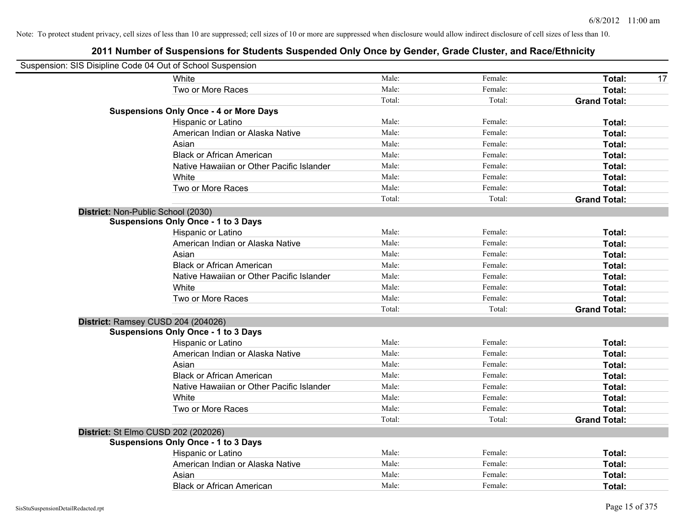| Suspension: SIS Disipline Code 04 Out of School Suspension |                                               |        |         |                     |
|------------------------------------------------------------|-----------------------------------------------|--------|---------|---------------------|
|                                                            | White                                         | Male:  | Female: | Total:<br>17        |
|                                                            | Two or More Races                             | Male:  | Female: | Total:              |
|                                                            |                                               | Total: | Total:  | <b>Grand Total:</b> |
|                                                            | <b>Suspensions Only Once - 4 or More Days</b> |        |         |                     |
|                                                            | Hispanic or Latino                            | Male:  | Female: | Total:              |
|                                                            | American Indian or Alaska Native              | Male:  | Female: | Total:              |
|                                                            | Asian                                         | Male:  | Female: | Total:              |
|                                                            | <b>Black or African American</b>              | Male:  | Female: | Total:              |
|                                                            | Native Hawaiian or Other Pacific Islander     | Male:  | Female: | Total:              |
|                                                            | White                                         | Male:  | Female: | Total:              |
|                                                            | Two or More Races                             | Male:  | Female: | Total:              |
|                                                            |                                               | Total: | Total:  | <b>Grand Total:</b> |
| District: Non-Public School (2030)                         |                                               |        |         |                     |
|                                                            | <b>Suspensions Only Once - 1 to 3 Days</b>    |        |         |                     |
|                                                            | Hispanic or Latino                            | Male:  | Female: | Total:              |
|                                                            | American Indian or Alaska Native              | Male:  | Female: | Total:              |
|                                                            | Asian                                         | Male:  | Female: | Total:              |
|                                                            | <b>Black or African American</b>              | Male:  | Female: | Total:              |
|                                                            | Native Hawaiian or Other Pacific Islander     | Male:  | Female: | Total:              |
|                                                            | White                                         | Male:  | Female: | Total:              |
|                                                            | Two or More Races                             | Male:  | Female: | Total:              |
|                                                            |                                               | Total: | Total:  | <b>Grand Total:</b> |
|                                                            | District: Ramsey CUSD 204 (204026)            |        |         |                     |
|                                                            | <b>Suspensions Only Once - 1 to 3 Days</b>    |        |         |                     |
|                                                            | Hispanic or Latino                            | Male:  | Female: | Total:              |
|                                                            | American Indian or Alaska Native              | Male:  | Female: | Total:              |
|                                                            | Asian                                         | Male:  | Female: | Total:              |
|                                                            | <b>Black or African American</b>              | Male:  | Female: | Total:              |
|                                                            | Native Hawaiian or Other Pacific Islander     | Male:  | Female: | Total:              |
|                                                            | White                                         | Male:  | Female: | Total:              |
|                                                            | Two or More Races                             | Male:  | Female: | Total:              |
|                                                            |                                               | Total: | Total:  | <b>Grand Total:</b> |
| District: St Elmo CUSD 202 (202026)                        |                                               |        |         |                     |
|                                                            | <b>Suspensions Only Once - 1 to 3 Days</b>    |        |         |                     |
|                                                            | Hispanic or Latino                            | Male:  | Female: | Total:              |
|                                                            | American Indian or Alaska Native              | Male:  | Female: | Total:              |
|                                                            | Asian                                         | Male:  | Female: | Total:              |
|                                                            | <b>Black or African American</b>              | Male:  | Female: | Total:              |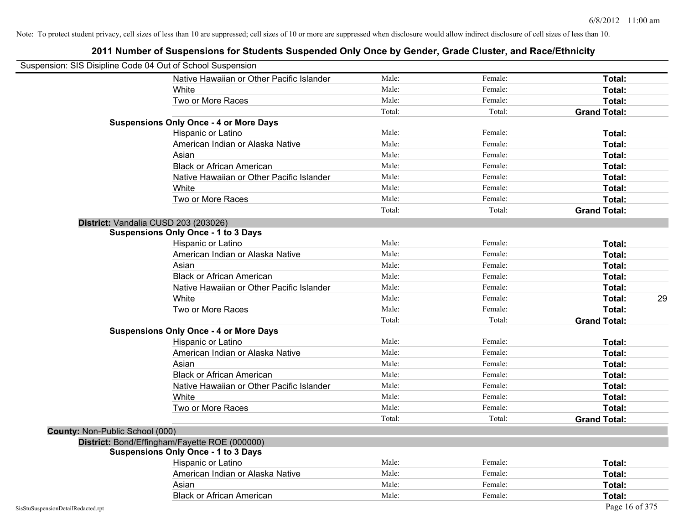| Suspension: SIS Disipline Code 04 Out of School Suspension |                                               |        |         |                     |
|------------------------------------------------------------|-----------------------------------------------|--------|---------|---------------------|
|                                                            | Native Hawaiian or Other Pacific Islander     | Male:  | Female: | Total:              |
|                                                            | White                                         | Male:  | Female: | Total:              |
|                                                            | Two or More Races                             | Male:  | Female: | Total:              |
|                                                            |                                               | Total: | Total:  | <b>Grand Total:</b> |
|                                                            | <b>Suspensions Only Once - 4 or More Days</b> |        |         |                     |
|                                                            | Hispanic or Latino                            | Male:  | Female: | Total:              |
|                                                            | American Indian or Alaska Native              | Male:  | Female: | Total:              |
|                                                            | Asian                                         | Male:  | Female: | Total:              |
|                                                            | <b>Black or African American</b>              | Male:  | Female: | Total:              |
|                                                            | Native Hawaiian or Other Pacific Islander     | Male:  | Female: | Total:              |
|                                                            | White                                         | Male:  | Female: | Total:              |
|                                                            | Two or More Races                             | Male:  | Female: | Total:              |
|                                                            |                                               | Total: | Total:  | <b>Grand Total:</b> |
|                                                            | District: Vandalia CUSD 203 (203026)          |        |         |                     |
|                                                            | <b>Suspensions Only Once - 1 to 3 Days</b>    |        |         |                     |
|                                                            | Hispanic or Latino                            | Male:  | Female: | Total:              |
|                                                            | American Indian or Alaska Native              | Male:  | Female: | Total:              |
|                                                            | Asian                                         | Male:  | Female: | Total:              |
|                                                            | <b>Black or African American</b>              | Male:  | Female: | Total:              |
|                                                            | Native Hawaiian or Other Pacific Islander     | Male:  | Female: | Total:              |
|                                                            | White                                         | Male:  | Female: | Total:<br>29        |
|                                                            | Two or More Races                             | Male:  | Female: | Total:              |
|                                                            |                                               | Total: | Total:  | <b>Grand Total:</b> |
|                                                            | <b>Suspensions Only Once - 4 or More Days</b> |        |         |                     |
|                                                            | Hispanic or Latino                            | Male:  | Female: | Total:              |
|                                                            | American Indian or Alaska Native              | Male:  | Female: | Total:              |
|                                                            | Asian                                         | Male:  | Female: | Total:              |
|                                                            | <b>Black or African American</b>              | Male:  | Female: | Total:              |
|                                                            | Native Hawaiian or Other Pacific Islander     | Male:  | Female: | Total:              |
|                                                            | White                                         | Male:  | Female: | Total:              |
|                                                            | Two or More Races                             | Male:  | Female: | Total:              |
|                                                            |                                               | Total: | Total:  | <b>Grand Total:</b> |
| County: Non-Public School (000)                            |                                               |        |         |                     |
|                                                            | District: Bond/Effingham/Fayette ROE (000000) |        |         |                     |
|                                                            | <b>Suspensions Only Once - 1 to 3 Days</b>    |        |         |                     |
|                                                            | Hispanic or Latino                            | Male:  | Female: | Total:              |
|                                                            | American Indian or Alaska Native              | Male:  | Female: | Total:              |
|                                                            | Asian                                         | Male:  | Female: | Total:              |
|                                                            | <b>Black or African American</b>              | Male:  | Female: | Total:              |
| SisStuSuspensionDetailRedacted.rpt                         |                                               |        |         | Page 16 of 375      |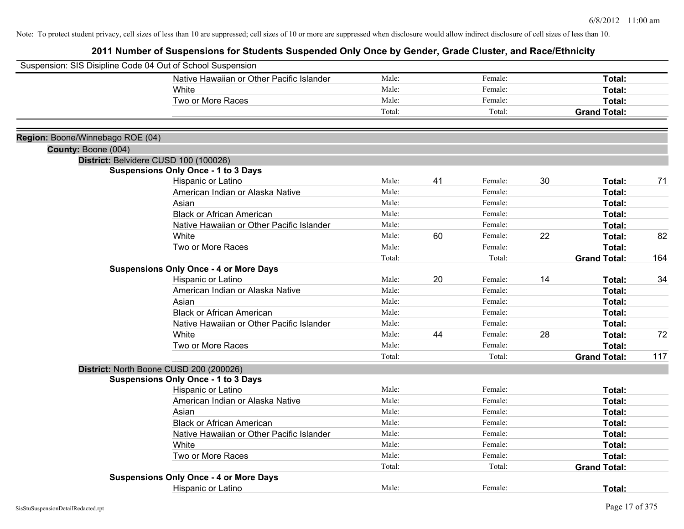| Suspension: SIS Disipline Code 04 Out of School Suspension |                                               |        |    |         |    |                     |     |
|------------------------------------------------------------|-----------------------------------------------|--------|----|---------|----|---------------------|-----|
|                                                            | Native Hawaiian or Other Pacific Islander     | Male:  |    | Female: |    | Total:              |     |
|                                                            | White                                         | Male:  |    | Female: |    | Total:              |     |
|                                                            | Two or More Races                             | Male:  |    | Female: |    | Total:              |     |
|                                                            |                                               | Total: |    | Total:  |    | <b>Grand Total:</b> |     |
|                                                            |                                               |        |    |         |    |                     |     |
| Region: Boone/Winnebago ROE (04)                           |                                               |        |    |         |    |                     |     |
| County: Boone (004)                                        |                                               |        |    |         |    |                     |     |
|                                                            | District: Belvidere CUSD 100 (100026)         |        |    |         |    |                     |     |
|                                                            | <b>Suspensions Only Once - 1 to 3 Days</b>    | Male:  |    | Female: |    |                     |     |
|                                                            | Hispanic or Latino                            | Male:  | 41 |         | 30 | Total:              | 71  |
|                                                            | American Indian or Alaska Native              | Male:  |    | Female: |    | Total:              |     |
|                                                            | Asian                                         |        |    | Female: |    | Total:              |     |
|                                                            | <b>Black or African American</b>              | Male:  |    | Female: |    | Total:              |     |
|                                                            | Native Hawaiian or Other Pacific Islander     | Male:  |    | Female: |    | Total:              |     |
|                                                            | White                                         | Male:  | 60 | Female: | 22 | Total:              | 82  |
|                                                            | Two or More Races                             | Male:  |    | Female: |    | Total:              |     |
|                                                            |                                               | Total: |    | Total:  |    | <b>Grand Total:</b> | 164 |
|                                                            | <b>Suspensions Only Once - 4 or More Days</b> |        |    |         |    |                     |     |
|                                                            | Hispanic or Latino                            | Male:  | 20 | Female: | 14 | Total:              | 34  |
|                                                            | American Indian or Alaska Native              | Male:  |    | Female: |    | Total:              |     |
|                                                            | Asian                                         | Male:  |    | Female: |    | Total:              |     |
|                                                            | <b>Black or African American</b>              | Male:  |    | Female: |    | Total:              |     |
|                                                            | Native Hawaiian or Other Pacific Islander     | Male:  |    | Female: |    | Total:              |     |
|                                                            | White                                         | Male:  | 44 | Female: | 28 | Total:              | 72  |
|                                                            | Two or More Races                             | Male:  |    | Female: |    | Total:              |     |
|                                                            |                                               | Total: |    | Total:  |    | <b>Grand Total:</b> | 117 |
|                                                            | District: North Boone CUSD 200 (200026)       |        |    |         |    |                     |     |
|                                                            | <b>Suspensions Only Once - 1 to 3 Days</b>    |        |    |         |    |                     |     |
|                                                            | Hispanic or Latino                            | Male:  |    | Female: |    | Total:              |     |
|                                                            | American Indian or Alaska Native              | Male:  |    | Female: |    | Total:              |     |
|                                                            | Asian                                         | Male:  |    | Female: |    | Total:              |     |
|                                                            | <b>Black or African American</b>              | Male:  |    | Female: |    | Total:              |     |
|                                                            | Native Hawaiian or Other Pacific Islander     | Male:  |    | Female: |    | Total:              |     |
|                                                            | White                                         | Male:  |    | Female: |    | Total:              |     |
|                                                            | Two or More Races                             | Male:  |    | Female: |    | Total:              |     |
|                                                            |                                               | Total: |    | Total:  |    | <b>Grand Total:</b> |     |
|                                                            | <b>Suspensions Only Once - 4 or More Days</b> |        |    |         |    |                     |     |
|                                                            | <b>Hispanic or Latino</b>                     | Male:  |    | Female: |    | Total:              |     |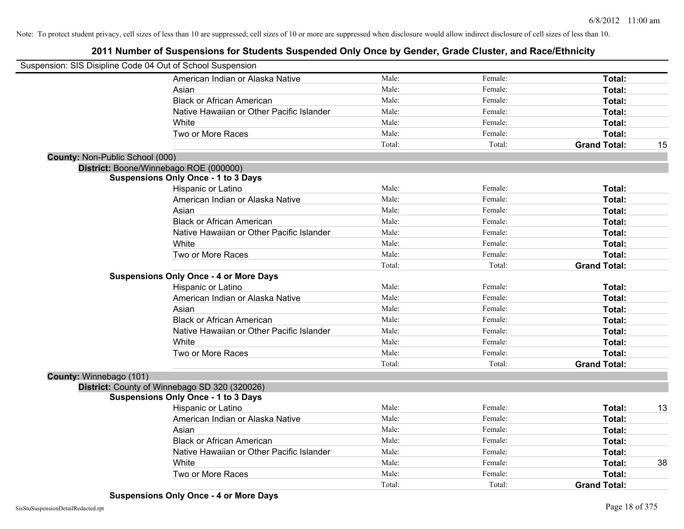|                                 | Suspension: SIS Disipline Code 04 Out of School Suspension |        |         |                     |    |
|---------------------------------|------------------------------------------------------------|--------|---------|---------------------|----|
|                                 | American Indian or Alaska Native                           | Male:  | Female: | Total:              |    |
|                                 | Asian                                                      | Male:  | Female: | Total:              |    |
|                                 | <b>Black or African American</b>                           | Male:  | Female: | Total:              |    |
|                                 | Native Hawaiian or Other Pacific Islander                  | Male:  | Female: | <b>Total:</b>       |    |
|                                 | White                                                      | Male:  | Female: | Total:              |    |
|                                 | Two or More Races                                          | Male:  | Female: | Total:              |    |
|                                 |                                                            | Total: | Total:  | <b>Grand Total:</b> | 15 |
| County: Non-Public School (000) |                                                            |        |         |                     |    |
|                                 | District: Boone/Winnebago ROE (000000)                     |        |         |                     |    |
|                                 | <b>Suspensions Only Once - 1 to 3 Days</b>                 |        |         |                     |    |
|                                 | Hispanic or Latino                                         | Male:  | Female: | Total:              |    |
|                                 | American Indian or Alaska Native                           | Male:  | Female: | Total:              |    |
|                                 | Asian                                                      | Male:  | Female: | Total:              |    |
|                                 | <b>Black or African American</b>                           | Male:  | Female: | Total:              |    |
|                                 | Native Hawaiian or Other Pacific Islander                  | Male:  | Female: | Total:              |    |
|                                 | White                                                      | Male:  | Female: | <b>Total:</b>       |    |
|                                 | Two or More Races                                          | Male:  | Female: | Total:              |    |
|                                 |                                                            | Total: | Total:  | <b>Grand Total:</b> |    |
|                                 | <b>Suspensions Only Once - 4 or More Days</b>              |        |         |                     |    |
|                                 | Hispanic or Latino                                         | Male:  | Female: | Total:              |    |
|                                 | American Indian or Alaska Native                           | Male:  | Female: | Total:              |    |
|                                 | Asian                                                      | Male:  | Female: | Total:              |    |
|                                 | <b>Black or African American</b>                           | Male:  | Female: | Total:              |    |
|                                 | Native Hawaiian or Other Pacific Islander                  | Male:  | Female: | Total:              |    |
|                                 | White                                                      | Male:  | Female: | Total:              |    |
|                                 | Two or More Races                                          | Male:  | Female: | Total:              |    |
|                                 |                                                            | Total: | Total:  | <b>Grand Total:</b> |    |
| County: Winnebago (101)         |                                                            |        |         |                     |    |
|                                 | District: County of Winnebago SD 320 (320026)              |        |         |                     |    |
|                                 | <b>Suspensions Only Once - 1 to 3 Days</b>                 |        |         |                     |    |
|                                 | Hispanic or Latino                                         | Male:  | Female: | Total:              | 13 |
|                                 | American Indian or Alaska Native                           | Male:  | Female: | Total:              |    |
|                                 | Asian                                                      | Male:  | Female: | Total:              |    |
|                                 | <b>Black or African American</b>                           | Male:  | Female: | Total:              |    |
|                                 | Native Hawaiian or Other Pacific Islander                  | Male:  | Female: | Total:              |    |
|                                 | White                                                      | Male:  | Female: | Total:              | 38 |
|                                 | Two or More Races                                          | Male:  | Female: | Total:              |    |
|                                 |                                                            | Total: | Total:  | <b>Grand Total:</b> |    |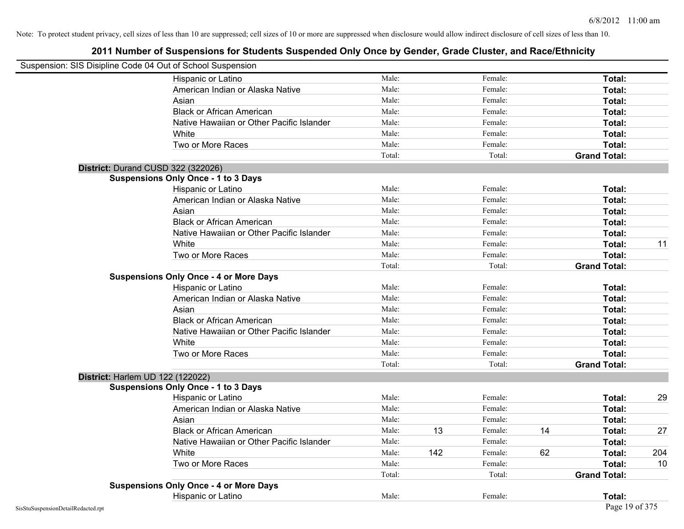| Suspension: SIS Disipline Code 04 Out of School Suspension |                                               |        |     |         |    |                     |     |
|------------------------------------------------------------|-----------------------------------------------|--------|-----|---------|----|---------------------|-----|
|                                                            | Hispanic or Latino                            | Male:  |     | Female: |    | Total:              |     |
|                                                            | American Indian or Alaska Native              | Male:  |     | Female: |    | Total:              |     |
|                                                            | Asian                                         | Male:  |     | Female: |    | Total:              |     |
|                                                            | <b>Black or African American</b>              | Male:  |     | Female: |    | Total:              |     |
|                                                            | Native Hawaiian or Other Pacific Islander     | Male:  |     | Female: |    | Total:              |     |
|                                                            | White                                         | Male:  |     | Female: |    | Total:              |     |
|                                                            | Two or More Races                             | Male:  |     | Female: |    | Total:              |     |
|                                                            |                                               | Total: |     | Total:  |    | <b>Grand Total:</b> |     |
|                                                            | District: Durand CUSD 322 (322026)            |        |     |         |    |                     |     |
|                                                            | <b>Suspensions Only Once - 1 to 3 Days</b>    |        |     |         |    |                     |     |
|                                                            | Hispanic or Latino                            | Male:  |     | Female: |    | Total:              |     |
|                                                            | American Indian or Alaska Native              | Male:  |     | Female: |    | Total:              |     |
|                                                            | Asian                                         | Male:  |     | Female: |    | Total:              |     |
|                                                            | <b>Black or African American</b>              | Male:  |     | Female: |    | Total:              |     |
|                                                            | Native Hawaiian or Other Pacific Islander     | Male:  |     | Female: |    | Total:              |     |
|                                                            | White                                         | Male:  |     | Female: |    | Total:              | 11  |
|                                                            | Two or More Races                             | Male:  |     | Female: |    | Total:              |     |
|                                                            |                                               | Total: |     | Total:  |    | <b>Grand Total:</b> |     |
|                                                            | <b>Suspensions Only Once - 4 or More Days</b> |        |     |         |    |                     |     |
|                                                            | Hispanic or Latino                            | Male:  |     | Female: |    | Total:              |     |
|                                                            | American Indian or Alaska Native              | Male:  |     | Female: |    | Total:              |     |
|                                                            | Asian                                         | Male:  |     | Female: |    | Total:              |     |
|                                                            | <b>Black or African American</b>              | Male:  |     | Female: |    | Total:              |     |
|                                                            | Native Hawaiian or Other Pacific Islander     | Male:  |     | Female: |    | Total:              |     |
|                                                            | White                                         | Male:  |     | Female: |    | Total:              |     |
|                                                            | Two or More Races                             | Male:  |     | Female: |    | Total:              |     |
|                                                            |                                               | Total: |     | Total:  |    | <b>Grand Total:</b> |     |
| District: Harlem UD 122 (122022)                           |                                               |        |     |         |    |                     |     |
|                                                            | <b>Suspensions Only Once - 1 to 3 Days</b>    |        |     |         |    |                     |     |
|                                                            | Hispanic or Latino                            | Male:  |     | Female: |    | Total:              | 29  |
|                                                            | American Indian or Alaska Native              | Male:  |     | Female: |    | Total:              |     |
|                                                            | Asian                                         | Male:  |     | Female: |    | Total:              |     |
|                                                            | <b>Black or African American</b>              | Male:  | 13  | Female: | 14 | Total:              | 27  |
|                                                            | Native Hawaiian or Other Pacific Islander     | Male:  |     | Female: |    | Total:              |     |
|                                                            | White                                         | Male:  | 142 | Female: | 62 | Total:              | 204 |
|                                                            | Two or More Races                             | Male:  |     | Female: |    | Total:              | 10  |
|                                                            |                                               | Total: |     | Total:  |    | <b>Grand Total:</b> |     |
|                                                            | <b>Suspensions Only Once - 4 or More Days</b> |        |     |         |    |                     |     |
|                                                            | Hispanic or Latino                            | Male:  |     | Female: |    | Total:              |     |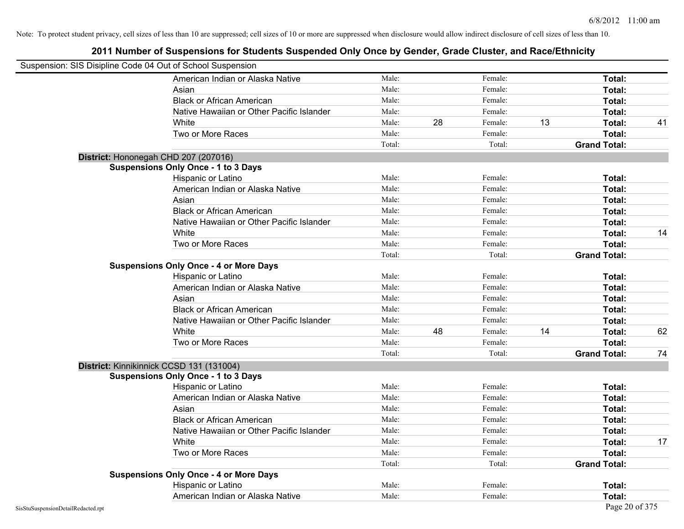| Suspension: SIS Disipline Code 04 Out of School Suspension |                                               |        |    |         |    |                     |    |
|------------------------------------------------------------|-----------------------------------------------|--------|----|---------|----|---------------------|----|
|                                                            | American Indian or Alaska Native              | Male:  |    | Female: |    | Total:              |    |
|                                                            | Asian                                         | Male:  |    | Female: |    | Total:              |    |
|                                                            | <b>Black or African American</b>              | Male:  |    | Female: |    | Total:              |    |
|                                                            | Native Hawaiian or Other Pacific Islander     | Male:  |    | Female: |    | Total:              |    |
|                                                            | White                                         | Male:  | 28 | Female: | 13 | Total:              | 41 |
|                                                            | Two or More Races                             | Male:  |    | Female: |    | Total:              |    |
|                                                            |                                               | Total: |    | Total:  |    | <b>Grand Total:</b> |    |
|                                                            | District: Hononegah CHD 207 (207016)          |        |    |         |    |                     |    |
|                                                            | <b>Suspensions Only Once - 1 to 3 Days</b>    |        |    |         |    |                     |    |
|                                                            | Hispanic or Latino                            | Male:  |    | Female: |    | Total:              |    |
|                                                            | American Indian or Alaska Native              | Male:  |    | Female: |    | Total:              |    |
|                                                            | Asian                                         | Male:  |    | Female: |    | Total:              |    |
|                                                            | <b>Black or African American</b>              | Male:  |    | Female: |    | Total:              |    |
|                                                            | Native Hawaiian or Other Pacific Islander     | Male:  |    | Female: |    | Total:              |    |
|                                                            | White                                         | Male:  |    | Female: |    | Total:              | 14 |
|                                                            | Two or More Races                             | Male:  |    | Female: |    | Total:              |    |
|                                                            |                                               | Total: |    | Total:  |    | <b>Grand Total:</b> |    |
|                                                            | <b>Suspensions Only Once - 4 or More Days</b> |        |    |         |    |                     |    |
|                                                            | Hispanic or Latino                            | Male:  |    | Female: |    | Total:              |    |
|                                                            | American Indian or Alaska Native              | Male:  |    | Female: |    | Total:              |    |
|                                                            | Asian                                         | Male:  |    | Female: |    | Total:              |    |
|                                                            | <b>Black or African American</b>              | Male:  |    | Female: |    | Total:              |    |
|                                                            | Native Hawaiian or Other Pacific Islander     | Male:  |    | Female: |    | Total:              |    |
|                                                            | White                                         | Male:  | 48 | Female: | 14 | Total:              | 62 |
|                                                            | Two or More Races                             | Male:  |    | Female: |    | Total:              |    |
|                                                            |                                               | Total: |    | Total:  |    | <b>Grand Total:</b> | 74 |
|                                                            | District: Kinnikinnick CCSD 131 (131004)      |        |    |         |    |                     |    |
|                                                            | <b>Suspensions Only Once - 1 to 3 Days</b>    |        |    |         |    |                     |    |
|                                                            | Hispanic or Latino                            | Male:  |    | Female: |    | Total:              |    |
|                                                            | American Indian or Alaska Native              | Male:  |    | Female: |    | Total:              |    |
|                                                            | Asian                                         | Male:  |    | Female: |    | Total:              |    |
|                                                            | <b>Black or African American</b>              | Male:  |    | Female: |    | Total:              |    |
|                                                            | Native Hawaiian or Other Pacific Islander     | Male:  |    | Female: |    | Total:              |    |
|                                                            | White                                         | Male:  |    | Female: |    | Total:              | 17 |
|                                                            | Two or More Races                             | Male:  |    | Female: |    | Total:              |    |
|                                                            |                                               | Total: |    | Total:  |    | <b>Grand Total:</b> |    |
|                                                            | <b>Suspensions Only Once - 4 or More Days</b> |        |    |         |    |                     |    |
|                                                            | Hispanic or Latino                            | Male:  |    | Female: |    | Total:              |    |
|                                                            | American Indian or Alaska Native              | Male:  |    | Female: |    | Total:              |    |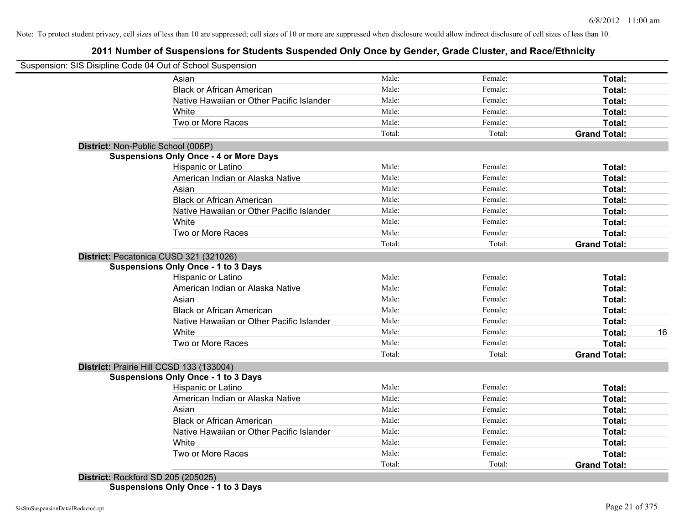## **2011 Number of Suspensions for Students Suspended Only Once by Gender, Grade Cluster, and Race/Ethnicity**

|                                    | Suspension: SIS Disipline Code 04 Out of School Suspension |        |         |                     |    |
|------------------------------------|------------------------------------------------------------|--------|---------|---------------------|----|
|                                    | Asian                                                      | Male:  | Female: | Total:              |    |
|                                    | <b>Black or African American</b>                           | Male:  | Female: | Total:              |    |
|                                    | Native Hawaiian or Other Pacific Islander                  | Male:  | Female: | Total:              |    |
|                                    | White                                                      | Male:  | Female: | Total:              |    |
|                                    | Two or More Races                                          | Male:  | Female: | Total:              |    |
|                                    |                                                            | Total: | Total:  | <b>Grand Total:</b> |    |
| District: Non-Public School (006P) |                                                            |        |         |                     |    |
|                                    | <b>Suspensions Only Once - 4 or More Days</b>              |        |         |                     |    |
|                                    | Hispanic or Latino                                         | Male:  | Female: | Total:              |    |
|                                    | American Indian or Alaska Native                           | Male:  | Female: | Total:              |    |
|                                    | Asian                                                      | Male:  | Female: | Total:              |    |
|                                    | <b>Black or African American</b>                           | Male:  | Female: | Total:              |    |
|                                    | Native Hawaiian or Other Pacific Islander                  | Male:  | Female: | Total:              |    |
|                                    | White                                                      | Male:  | Female: | Total:              |    |
|                                    | Two or More Races                                          | Male:  | Female: | Total:              |    |
|                                    |                                                            | Total: | Total:  | <b>Grand Total:</b> |    |
|                                    | District: Pecatonica CUSD 321 (321026)                     |        |         |                     |    |
|                                    | <b>Suspensions Only Once - 1 to 3 Days</b>                 |        |         |                     |    |
|                                    | Hispanic or Latino                                         | Male:  | Female: | Total:              |    |
|                                    | American Indian or Alaska Native                           | Male:  | Female: | Total:              |    |
|                                    | Asian                                                      | Male:  | Female: | Total:              |    |
|                                    | <b>Black or African American</b>                           | Male:  | Female: | Total:              |    |
|                                    | Native Hawaiian or Other Pacific Islander                  | Male:  | Female: | Total:              |    |
|                                    | White                                                      | Male:  | Female: | Total:              | 16 |
|                                    | Two or More Races                                          | Male:  | Female: | Total:              |    |
|                                    |                                                            | Total: | Total:  | <b>Grand Total:</b> |    |
|                                    | District: Prairie Hill CCSD 133 (133004)                   |        |         |                     |    |
|                                    | <b>Suspensions Only Once - 1 to 3 Days</b>                 |        |         |                     |    |
|                                    | Hispanic or Latino                                         | Male:  | Female: | Total:              |    |
|                                    | American Indian or Alaska Native                           | Male:  | Female: | Total:              |    |
|                                    | Asian                                                      | Male:  | Female: | Total:              |    |
|                                    | <b>Black or African American</b>                           | Male:  | Female: | Total:              |    |
|                                    | Native Hawaiian or Other Pacific Islander                  | Male:  | Female: | Total:              |    |
|                                    | White                                                      | Male:  | Female: | Total:              |    |
|                                    | Two or More Races                                          | Male:  | Female: | Total:              |    |
|                                    |                                                            | Total: | Total:  | <b>Grand Total:</b> |    |

**Suspensions Only Once - 1 to 3 Days**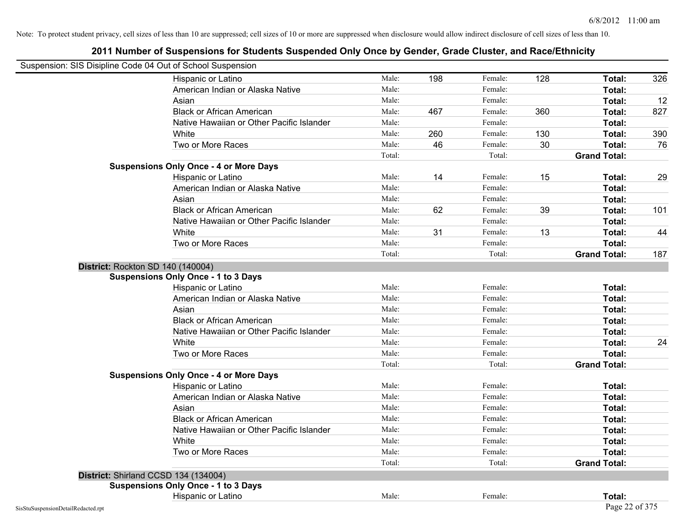| Suspension: SIS Disipline Code 04 Out of School Suspension |                                               |        |     |         |     |                     |     |
|------------------------------------------------------------|-----------------------------------------------|--------|-----|---------|-----|---------------------|-----|
|                                                            | Hispanic or Latino                            | Male:  | 198 | Female: | 128 | Total:              | 326 |
|                                                            | American Indian or Alaska Native              | Male:  |     | Female: |     | Total:              |     |
|                                                            | Asian                                         | Male:  |     | Female: |     | Total:              | 12  |
|                                                            | <b>Black or African American</b>              | Male:  | 467 | Female: | 360 | Total:              | 827 |
|                                                            | Native Hawaiian or Other Pacific Islander     | Male:  |     | Female: |     | Total:              |     |
|                                                            | White                                         | Male:  | 260 | Female: | 130 | Total:              | 390 |
|                                                            | Two or More Races                             | Male:  | 46  | Female: | 30  | Total:              | 76  |
|                                                            |                                               | Total: |     | Total:  |     | <b>Grand Total:</b> |     |
|                                                            | <b>Suspensions Only Once - 4 or More Days</b> |        |     |         |     |                     |     |
|                                                            | Hispanic or Latino                            | Male:  | 14  | Female: | 15  | Total:              | 29  |
|                                                            | American Indian or Alaska Native              | Male:  |     | Female: |     | Total:              |     |
|                                                            | Asian                                         | Male:  |     | Female: |     | Total:              |     |
|                                                            | <b>Black or African American</b>              | Male:  | 62  | Female: | 39  | Total:              | 101 |
|                                                            | Native Hawaiian or Other Pacific Islander     | Male:  |     | Female: |     | Total:              |     |
|                                                            | White                                         | Male:  | 31  | Female: | 13  | Total:              | 44  |
|                                                            | Two or More Races                             | Male:  |     | Female: |     | Total:              |     |
|                                                            |                                               | Total: |     | Total:  |     | <b>Grand Total:</b> | 187 |
|                                                            | District: Rockton SD 140 (140004)             |        |     |         |     |                     |     |
|                                                            | <b>Suspensions Only Once - 1 to 3 Days</b>    |        |     |         |     |                     |     |
|                                                            | Hispanic or Latino                            | Male:  |     | Female: |     | Total:              |     |
|                                                            | American Indian or Alaska Native              | Male:  |     | Female: |     | Total:              |     |
|                                                            | Asian                                         | Male:  |     | Female: |     | Total:              |     |
|                                                            | <b>Black or African American</b>              | Male:  |     | Female: |     | Total:              |     |
|                                                            | Native Hawaiian or Other Pacific Islander     | Male:  |     | Female: |     | Total:              |     |
|                                                            | White                                         | Male:  |     | Female: |     | Total:              | 24  |
|                                                            | Two or More Races                             | Male:  |     | Female: |     | Total:              |     |
|                                                            |                                               | Total: |     | Total:  |     | <b>Grand Total:</b> |     |
|                                                            | <b>Suspensions Only Once - 4 or More Days</b> |        |     |         |     |                     |     |
|                                                            | Hispanic or Latino                            | Male:  |     | Female: |     | Total:              |     |
|                                                            | American Indian or Alaska Native              | Male:  |     | Female: |     | Total:              |     |
|                                                            | Asian                                         | Male:  |     | Female: |     | Total:              |     |
|                                                            | <b>Black or African American</b>              | Male:  |     | Female: |     | Total:              |     |
|                                                            | Native Hawaiian or Other Pacific Islander     | Male:  |     | Female: |     | Total:              |     |
|                                                            | White                                         | Male:  |     | Female: |     | Total:              |     |
|                                                            | Two or More Races                             | Male:  |     | Female: |     | Total:              |     |
|                                                            |                                               | Total: |     | Total:  |     | <b>Grand Total:</b> |     |
|                                                            | District: Shirland CCSD 134 (134004)          |        |     |         |     |                     |     |
|                                                            | <b>Suspensions Only Once - 1 to 3 Days</b>    |        |     |         |     |                     |     |
|                                                            | Hispanic or Latino                            | Male:  |     | Female: |     | Total:              |     |
| SisStuSuspensionDetailRedacted.rpt                         |                                               |        |     |         |     | Page 22 of 375      |     |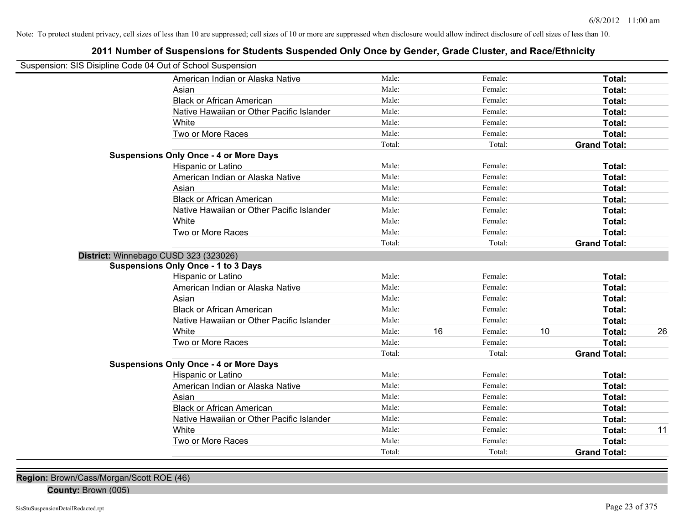## **2011 Number of Suspensions for Students Suspended Only Once by Gender, Grade Cluster, and Race/Ethnicity**

| Suspension: SIS Disipline Code 04 Out of School Suspension |                                               |        |    |         |    |                     |    |
|------------------------------------------------------------|-----------------------------------------------|--------|----|---------|----|---------------------|----|
|                                                            | American Indian or Alaska Native              | Male:  |    | Female: |    | Total:              |    |
|                                                            | Asian                                         | Male:  |    | Female: |    | Total:              |    |
|                                                            | <b>Black or African American</b>              | Male:  |    | Female: |    | Total:              |    |
|                                                            | Native Hawaiian or Other Pacific Islander     | Male:  |    | Female: |    | Total:              |    |
|                                                            | White                                         | Male:  |    | Female: |    | Total:              |    |
|                                                            | Two or More Races                             | Male:  |    | Female: |    | Total:              |    |
|                                                            |                                               | Total: |    | Total:  |    | <b>Grand Total:</b> |    |
|                                                            | <b>Suspensions Only Once - 4 or More Days</b> |        |    |         |    |                     |    |
|                                                            | Hispanic or Latino                            | Male:  |    | Female: |    | Total:              |    |
|                                                            | American Indian or Alaska Native              | Male:  |    | Female: |    | Total:              |    |
|                                                            | Asian                                         | Male:  |    | Female: |    | Total:              |    |
|                                                            | <b>Black or African American</b>              | Male:  |    | Female: |    | Total:              |    |
|                                                            | Native Hawaiian or Other Pacific Islander     | Male:  |    | Female: |    | Total:              |    |
|                                                            | White                                         | Male:  |    | Female: |    | Total:              |    |
|                                                            | Two or More Races                             | Male:  |    | Female: |    | Total:              |    |
|                                                            |                                               | Total: |    | Total:  |    | <b>Grand Total:</b> |    |
|                                                            | District: Winnebago CUSD 323 (323026)         |        |    |         |    |                     |    |
|                                                            | <b>Suspensions Only Once - 1 to 3 Days</b>    |        |    |         |    |                     |    |
|                                                            | Hispanic or Latino                            | Male:  |    | Female: |    | Total:              |    |
|                                                            | American Indian or Alaska Native              | Male:  |    | Female: |    | Total:              |    |
|                                                            | Asian                                         | Male:  |    | Female: |    | Total:              |    |
|                                                            | <b>Black or African American</b>              | Male:  |    | Female: |    | Total:              |    |
|                                                            | Native Hawaiian or Other Pacific Islander     | Male:  |    | Female: |    | Total:              |    |
|                                                            | White                                         | Male:  | 16 | Female: | 10 | Total:              | 26 |
|                                                            | Two or More Races                             | Male:  |    | Female: |    | <b>Total:</b>       |    |
|                                                            |                                               | Total: |    | Total:  |    | <b>Grand Total:</b> |    |
|                                                            | <b>Suspensions Only Once - 4 or More Days</b> |        |    |         |    |                     |    |
|                                                            | Hispanic or Latino                            | Male:  |    | Female: |    | Total:              |    |
|                                                            | American Indian or Alaska Native              | Male:  |    | Female: |    | Total:              |    |
|                                                            | Asian                                         | Male:  |    | Female: |    | Total:              |    |
|                                                            | <b>Black or African American</b>              | Male:  |    | Female: |    | Total:              |    |
|                                                            | Native Hawaiian or Other Pacific Islander     | Male:  |    | Female: |    | Total:              |    |
|                                                            | White                                         | Male:  |    | Female: |    | Total:              | 11 |
|                                                            | Two or More Races                             | Male:  |    | Female: |    | Total:              |    |
|                                                            |                                               | Total: |    | Total:  |    | <b>Grand Total:</b> |    |
|                                                            |                                               |        |    |         |    |                     |    |

**Region:** Brown/Cass/Morgan/Scott ROE (46)

**County:** Brown (005)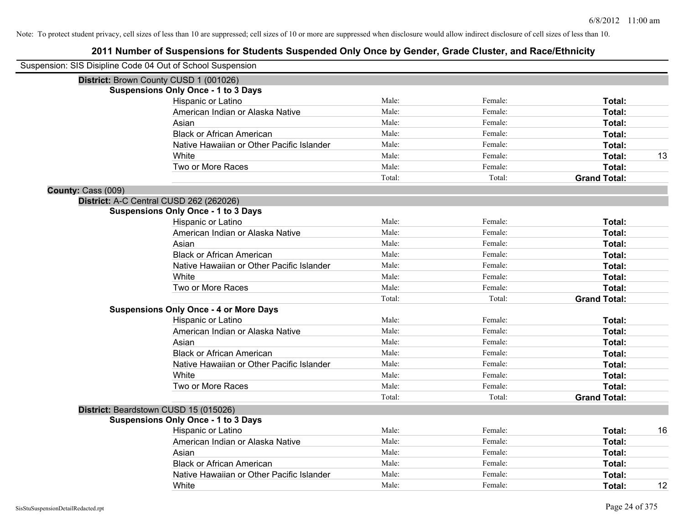|                    | Suspension: SIS Disipline Code 04 Out of School Suspension |        |         |                     |    |
|--------------------|------------------------------------------------------------|--------|---------|---------------------|----|
|                    | District: Brown County CUSD 1 (001026)                     |        |         |                     |    |
|                    | <b>Suspensions Only Once - 1 to 3 Days</b>                 |        |         |                     |    |
|                    | Hispanic or Latino                                         | Male:  | Female: | Total:              |    |
|                    | American Indian or Alaska Native                           | Male:  | Female: | Total:              |    |
|                    | Asian                                                      | Male:  | Female: | Total:              |    |
|                    | <b>Black or African American</b>                           | Male:  | Female: | Total:              |    |
|                    | Native Hawaiian or Other Pacific Islander                  | Male:  | Female: | Total:              |    |
|                    | White                                                      | Male:  | Female: | Total:              | 13 |
|                    | Two or More Races                                          | Male:  | Female: | Total:              |    |
|                    |                                                            | Total: | Total:  | <b>Grand Total:</b> |    |
| County: Cass (009) |                                                            |        |         |                     |    |
|                    | District: A-C Central CUSD 262 (262026)                    |        |         |                     |    |
|                    | <b>Suspensions Only Once - 1 to 3 Days</b>                 |        |         |                     |    |
|                    | Hispanic or Latino                                         | Male:  | Female: | Total:              |    |
|                    | American Indian or Alaska Native                           | Male:  | Female: | Total:              |    |
|                    | Asian                                                      | Male:  | Female: | Total:              |    |
|                    | <b>Black or African American</b>                           | Male:  | Female: | Total:              |    |
|                    | Native Hawaiian or Other Pacific Islander                  | Male:  | Female: | Total:              |    |
|                    | White                                                      | Male:  | Female: | Total:              |    |
|                    | Two or More Races                                          | Male:  | Female: | Total:              |    |
|                    |                                                            | Total: | Total:  | <b>Grand Total:</b> |    |
|                    | <b>Suspensions Only Once - 4 or More Days</b>              |        |         |                     |    |
|                    | Hispanic or Latino                                         | Male:  | Female: | Total:              |    |
|                    | American Indian or Alaska Native                           | Male:  | Female: | Total:              |    |
|                    | Asian                                                      | Male:  | Female: | Total:              |    |
|                    | <b>Black or African American</b>                           | Male:  | Female: | Total:              |    |
|                    | Native Hawaiian or Other Pacific Islander                  | Male:  | Female: | Total:              |    |
|                    | White                                                      | Male:  | Female: | Total:              |    |
|                    | Two or More Races                                          | Male:  | Female: | Total:              |    |
|                    |                                                            | Total: | Total:  | <b>Grand Total:</b> |    |
|                    | District: Beardstown CUSD 15 (015026)                      |        |         |                     |    |
|                    | <b>Suspensions Only Once - 1 to 3 Days</b>                 |        |         |                     |    |
|                    | Hispanic or Latino                                         | Male:  | Female: | Total:              | 16 |
|                    | American Indian or Alaska Native                           | Male:  | Female: | Total:              |    |
|                    | Asian                                                      | Male:  | Female: | Total:              |    |
|                    | <b>Black or African American</b>                           | Male:  | Female: | Total:              |    |
|                    | Native Hawaiian or Other Pacific Islander                  | Male:  | Female: | Total:              |    |
|                    | White                                                      | Male:  | Female: | Total:              | 12 |
|                    |                                                            |        |         |                     |    |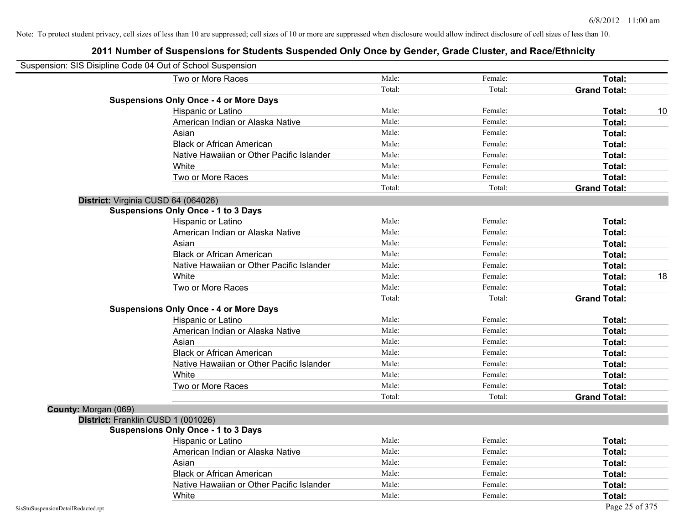|                      | Suspension: SIS Disipline Code 04 Out of School Suspension |        |         |                     |    |
|----------------------|------------------------------------------------------------|--------|---------|---------------------|----|
|                      | Two or More Races                                          | Male:  | Female: | Total:              |    |
|                      |                                                            | Total: | Total:  | <b>Grand Total:</b> |    |
|                      | <b>Suspensions Only Once - 4 or More Days</b>              |        |         |                     |    |
|                      | Hispanic or Latino                                         | Male:  | Female: | Total:              | 10 |
|                      | American Indian or Alaska Native                           | Male:  | Female: | Total:              |    |
|                      | Asian                                                      | Male:  | Female: | Total:              |    |
|                      | <b>Black or African American</b>                           | Male:  | Female: | Total:              |    |
|                      | Native Hawaiian or Other Pacific Islander                  | Male:  | Female: | Total:              |    |
|                      | White                                                      | Male:  | Female: | Total:              |    |
|                      | Two or More Races                                          | Male:  | Female: | Total:              |    |
|                      |                                                            | Total: | Total:  | <b>Grand Total:</b> |    |
|                      | District: Virginia CUSD 64 (064026)                        |        |         |                     |    |
|                      | <b>Suspensions Only Once - 1 to 3 Days</b>                 |        |         |                     |    |
|                      | Hispanic or Latino                                         | Male:  | Female: | Total:              |    |
|                      | American Indian or Alaska Native                           | Male:  | Female: | Total:              |    |
|                      | Asian                                                      | Male:  | Female: | Total:              |    |
|                      | <b>Black or African American</b>                           | Male:  | Female: | Total:              |    |
|                      | Native Hawaiian or Other Pacific Islander                  | Male:  | Female: | Total:              |    |
|                      | White                                                      | Male:  | Female: | Total:              | 18 |
|                      | Two or More Races                                          | Male:  | Female: | Total:              |    |
|                      |                                                            | Total: | Total:  | <b>Grand Total:</b> |    |
|                      | <b>Suspensions Only Once - 4 or More Days</b>              |        |         |                     |    |
|                      | Hispanic or Latino                                         | Male:  | Female: | Total:              |    |
|                      | American Indian or Alaska Native                           | Male:  | Female: | Total:              |    |
|                      | Asian                                                      | Male:  | Female: | Total:              |    |
|                      | <b>Black or African American</b>                           | Male:  | Female: | Total:              |    |
|                      | Native Hawaiian or Other Pacific Islander                  | Male:  | Female: | Total:              |    |
|                      | White                                                      | Male:  | Female: | Total:              |    |
|                      | Two or More Races                                          | Male:  | Female: | Total:              |    |
|                      |                                                            | Total: | Total:  | <b>Grand Total:</b> |    |
| County: Morgan (069) |                                                            |        |         |                     |    |
|                      | District: Franklin CUSD 1 (001026)                         |        |         |                     |    |
|                      | <b>Suspensions Only Once - 1 to 3 Days</b>                 |        |         |                     |    |
|                      | Hispanic or Latino                                         | Male:  | Female: | Total:              |    |
|                      | American Indian or Alaska Native                           | Male:  | Female: | Total:              |    |
|                      | Asian                                                      | Male:  | Female: | Total:              |    |
|                      | <b>Black or African American</b>                           | Male:  | Female: | Total:              |    |
|                      | Native Hawaiian or Other Pacific Islander                  | Male:  | Female: | Total:              |    |
|                      | White                                                      | Male:  | Female: | Total:              |    |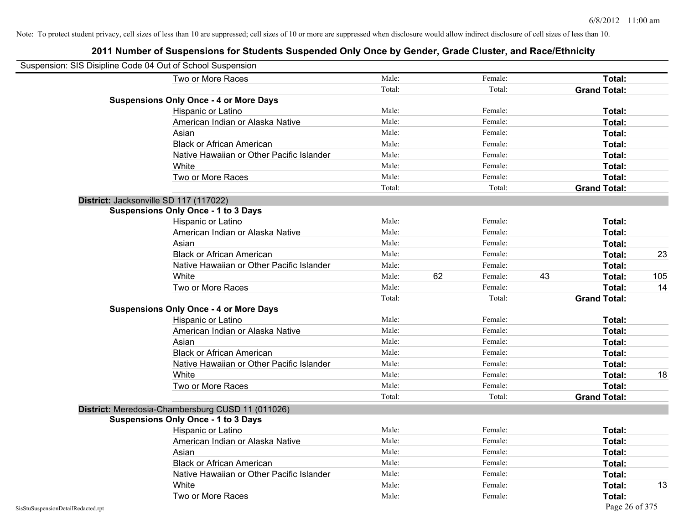| Suspension: SIS Disipline Code 04 Out of School Suspension |                                                   |        |    |         |    |                     |     |
|------------------------------------------------------------|---------------------------------------------------|--------|----|---------|----|---------------------|-----|
|                                                            | Two or More Races                                 | Male:  |    | Female: |    | Total:              |     |
|                                                            |                                                   | Total: |    | Total:  |    | <b>Grand Total:</b> |     |
|                                                            | <b>Suspensions Only Once - 4 or More Days</b>     |        |    |         |    |                     |     |
|                                                            | Hispanic or Latino                                | Male:  |    | Female: |    | Total:              |     |
|                                                            | American Indian or Alaska Native                  | Male:  |    | Female: |    | Total:              |     |
|                                                            | Asian                                             | Male:  |    | Female: |    | Total:              |     |
|                                                            | <b>Black or African American</b>                  | Male:  |    | Female: |    | Total:              |     |
|                                                            | Native Hawaiian or Other Pacific Islander         | Male:  |    | Female: |    | Total:              |     |
|                                                            | White                                             | Male:  |    | Female: |    | Total:              |     |
|                                                            | Two or More Races                                 | Male:  |    | Female: |    | Total:              |     |
|                                                            |                                                   | Total: |    | Total:  |    | <b>Grand Total:</b> |     |
|                                                            | District: Jacksonville SD 117 (117022)            |        |    |         |    |                     |     |
|                                                            | <b>Suspensions Only Once - 1 to 3 Days</b>        |        |    |         |    |                     |     |
|                                                            | Hispanic or Latino                                | Male:  |    | Female: |    | Total:              |     |
|                                                            | American Indian or Alaska Native                  | Male:  |    | Female: |    | Total:              |     |
|                                                            | Asian                                             | Male:  |    | Female: |    | Total:              |     |
|                                                            | <b>Black or African American</b>                  | Male:  |    | Female: |    | Total:              | 23  |
|                                                            | Native Hawaiian or Other Pacific Islander         | Male:  |    | Female: |    | Total:              |     |
|                                                            | White                                             | Male:  | 62 | Female: | 43 | Total:              | 105 |
|                                                            | Two or More Races                                 | Male:  |    | Female: |    | Total:              | 14  |
|                                                            |                                                   | Total: |    | Total:  |    | <b>Grand Total:</b> |     |
|                                                            | <b>Suspensions Only Once - 4 or More Days</b>     |        |    |         |    |                     |     |
|                                                            | Hispanic or Latino                                | Male:  |    | Female: |    | Total:              |     |
|                                                            | American Indian or Alaska Native                  | Male:  |    | Female: |    | Total:              |     |
|                                                            | Asian                                             | Male:  |    | Female: |    | Total:              |     |
|                                                            | <b>Black or African American</b>                  | Male:  |    | Female: |    | Total:              |     |
|                                                            | Native Hawaiian or Other Pacific Islander         | Male:  |    | Female: |    | Total:              |     |
|                                                            | White                                             | Male:  |    | Female: |    | Total:              | 18  |
|                                                            | Two or More Races                                 | Male:  |    | Female: |    | Total:              |     |
|                                                            |                                                   | Total: |    | Total:  |    | <b>Grand Total:</b> |     |
|                                                            | District: Meredosia-Chambersburg CUSD 11 (011026) |        |    |         |    |                     |     |
|                                                            | <b>Suspensions Only Once - 1 to 3 Days</b>        |        |    |         |    |                     |     |
|                                                            | Hispanic or Latino                                | Male:  |    | Female: |    | Total:              |     |
|                                                            | American Indian or Alaska Native                  | Male:  |    | Female: |    | Total:              |     |
|                                                            | Asian                                             | Male:  |    | Female: |    | Total:              |     |
|                                                            | <b>Black or African American</b>                  | Male:  |    | Female: |    | Total:              |     |
|                                                            | Native Hawaiian or Other Pacific Islander         | Male:  |    | Female: |    | Total:              |     |
|                                                            | White                                             | Male:  |    | Female: |    | Total:              | 13  |
|                                                            | Two or More Races                                 | Male:  |    | Female: |    | Total:              |     |
| SisStuSuspensionDetailRedacted.rpt                         |                                                   |        |    |         |    | Page 26 of 375      |     |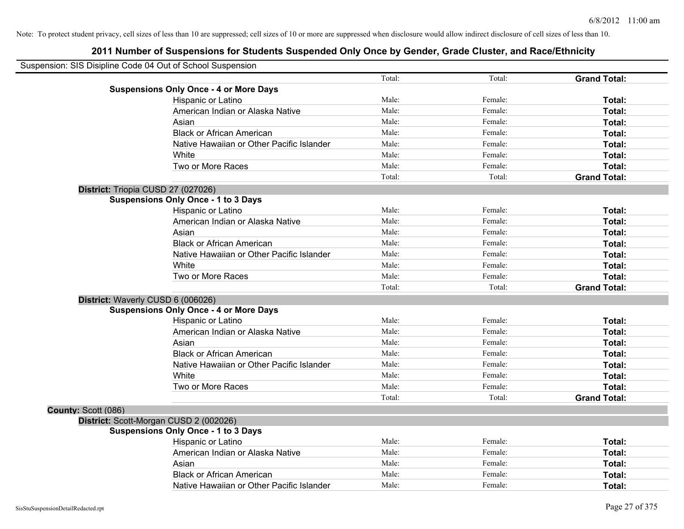|                     | Suspension: SIS Disipline Code 04 Out of School Suspension |        |         |                     |
|---------------------|------------------------------------------------------------|--------|---------|---------------------|
|                     |                                                            | Total: | Total:  | <b>Grand Total:</b> |
|                     | <b>Suspensions Only Once - 4 or More Days</b>              |        |         |                     |
|                     | Hispanic or Latino                                         | Male:  | Female: | Total:              |
|                     | American Indian or Alaska Native                           | Male:  | Female: | Total:              |
|                     | Asian                                                      | Male:  | Female: | Total:              |
|                     | <b>Black or African American</b>                           | Male:  | Female: | Total:              |
|                     | Native Hawaiian or Other Pacific Islander                  | Male:  | Female: | Total:              |
|                     | White                                                      | Male:  | Female: | Total:              |
|                     | Two or More Races                                          | Male:  | Female: | Total:              |
|                     |                                                            | Total: | Total:  | <b>Grand Total:</b> |
|                     | District: Triopia CUSD 27 (027026)                         |        |         |                     |
|                     | <b>Suspensions Only Once - 1 to 3 Days</b>                 |        |         |                     |
|                     | Hispanic or Latino                                         | Male:  | Female: | Total:              |
|                     | American Indian or Alaska Native                           | Male:  | Female: | Total:              |
|                     | Asian                                                      | Male:  | Female: | Total:              |
|                     | <b>Black or African American</b>                           | Male:  | Female: | Total:              |
|                     | Native Hawaiian or Other Pacific Islander                  | Male:  | Female: | Total:              |
|                     | White                                                      | Male:  | Female: | Total:              |
|                     | Two or More Races                                          | Male:  | Female: | Total:              |
|                     |                                                            | Total: | Total:  | <b>Grand Total:</b> |
|                     | District: Waverly CUSD 6 (006026)                          |        |         |                     |
|                     | <b>Suspensions Only Once - 4 or More Days</b>              |        |         |                     |
|                     | Hispanic or Latino                                         | Male:  | Female: | Total:              |
|                     | American Indian or Alaska Native                           | Male:  | Female: | Total:              |
|                     | Asian                                                      | Male:  | Female: | Total:              |
|                     | <b>Black or African American</b>                           | Male:  | Female: | Total:              |
|                     | Native Hawaiian or Other Pacific Islander                  | Male:  | Female: | Total:              |
|                     | White                                                      | Male:  | Female: | Total:              |
|                     | Two or More Races                                          | Male:  | Female: | Total:              |
|                     |                                                            | Total: | Total:  | <b>Grand Total:</b> |
| County: Scott (086) |                                                            |        |         |                     |
|                     | District: Scott-Morgan CUSD 2 (002026)                     |        |         |                     |
|                     | <b>Suspensions Only Once - 1 to 3 Days</b>                 |        |         |                     |
|                     | Hispanic or Latino                                         | Male:  | Female: | Total:              |
|                     | American Indian or Alaska Native                           | Male:  | Female: | Total:              |
|                     | Asian                                                      | Male:  | Female: | Total:              |
|                     | <b>Black or African American</b>                           | Male:  | Female: | Total:              |
|                     | Native Hawaiian or Other Pacific Islander                  | Male:  | Female: | Total:              |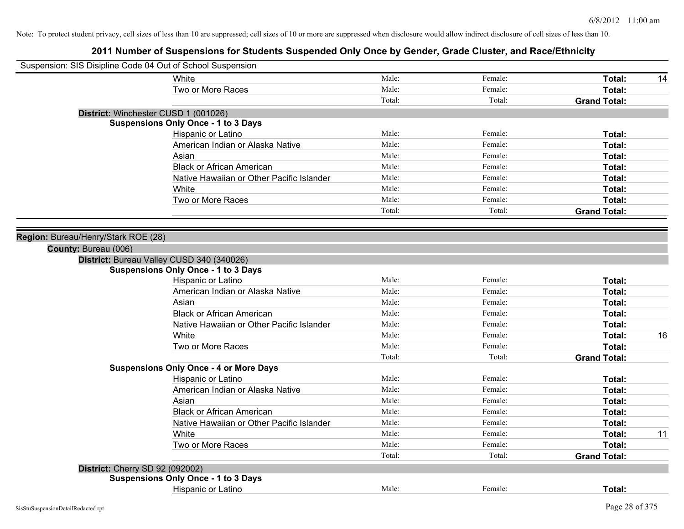| Suspension: SIS Disipline Code 04 Out of School Suspension |                                               |        |         |                     |
|------------------------------------------------------------|-----------------------------------------------|--------|---------|---------------------|
|                                                            | White                                         | Male:  | Female: | Total:<br>14        |
|                                                            | Two or More Races                             | Male:  | Female: | <b>Total:</b>       |
|                                                            |                                               | Total: | Total:  | <b>Grand Total:</b> |
|                                                            | District: Winchester CUSD 1 (001026)          |        |         |                     |
|                                                            | <b>Suspensions Only Once - 1 to 3 Days</b>    |        |         |                     |
|                                                            | Hispanic or Latino                            | Male:  | Female: | Total:              |
|                                                            | American Indian or Alaska Native              | Male:  | Female: | Total:              |
|                                                            | Asian                                         | Male:  | Female: | Total:              |
|                                                            | <b>Black or African American</b>              | Male:  | Female: | Total:              |
|                                                            | Native Hawaiian or Other Pacific Islander     | Male:  | Female: | Total:              |
|                                                            | White                                         | Male:  | Female: | Total:              |
|                                                            | Two or More Races                             | Male:  | Female: | Total:              |
|                                                            |                                               | Total: | Total:  | <b>Grand Total:</b> |
|                                                            |                                               |        |         |                     |
| Region: Bureau/Henry/Stark ROE (28)                        |                                               |        |         |                     |
| County: Bureau (006)                                       |                                               |        |         |                     |
|                                                            | District: Bureau Valley CUSD 340 (340026)     |        |         |                     |
|                                                            | <b>Suspensions Only Once - 1 to 3 Days</b>    |        |         |                     |
|                                                            | Hispanic or Latino                            | Male:  | Female: | Total:              |
|                                                            | American Indian or Alaska Native              | Male:  | Female: | Total:              |
|                                                            | Asian                                         | Male:  | Female: | Total:              |
|                                                            | <b>Black or African American</b>              | Male:  | Female: | Total:              |
|                                                            | Native Hawaiian or Other Pacific Islander     | Male:  | Female: | Total:              |
|                                                            | White                                         | Male:  | Female: | 16<br>Total:        |
|                                                            | Two or More Races                             | Male:  | Female: | Total:              |
|                                                            |                                               | Total: | Total:  | <b>Grand Total:</b> |
|                                                            | <b>Suspensions Only Once - 4 or More Days</b> |        |         |                     |
|                                                            | Hispanic or Latino                            | Male:  | Female: | Total:              |
|                                                            | American Indian or Alaska Native              | Male:  | Female: | Total:              |
|                                                            | Asian                                         | Male:  | Female: | Total:              |
|                                                            | <b>Black or African American</b>              | Male:  | Female: | Total:              |
|                                                            | Native Hawaiian or Other Pacific Islander     | Male:  | Female: | Total:              |
|                                                            | White                                         | Male:  | Female: | 11<br>Total:        |
|                                                            | Two or More Races                             | Male:  | Female: | Total:              |
|                                                            |                                               | Total: | Total:  | <b>Grand Total:</b> |
| District: Cherry SD 92 (092002)                            |                                               |        |         |                     |
|                                                            | <b>Suspensions Only Once - 1 to 3 Days</b>    |        |         |                     |
|                                                            | Hispanic or Latino                            | Male:  | Female: | Total:              |
|                                                            |                                               |        |         |                     |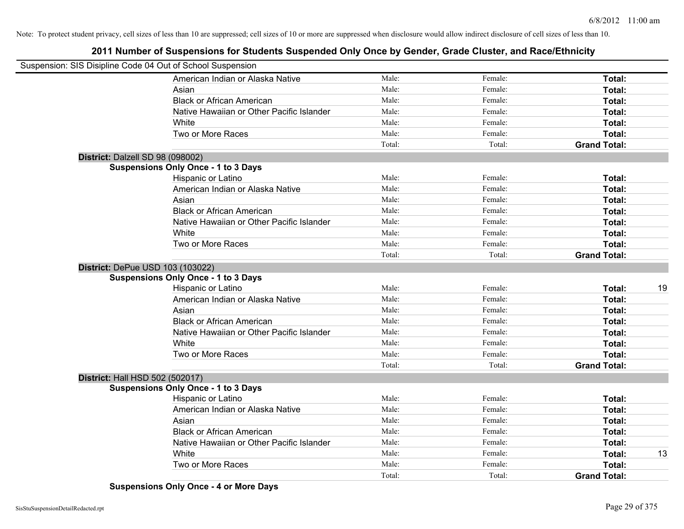## **2011 Number of Suspensions for Students Suspended Only Once by Gender, Grade Cluster, and Race/Ethnicity**

|                                  | Suspension: SIS Disipline Code 04 Out of School Suspension |        |         |                     |    |
|----------------------------------|------------------------------------------------------------|--------|---------|---------------------|----|
|                                  | American Indian or Alaska Native                           | Male:  | Female: | Total:              |    |
|                                  | Asian                                                      | Male:  | Female: | Total:              |    |
|                                  | <b>Black or African American</b>                           | Male:  | Female: | Total:              |    |
|                                  | Native Hawaiian or Other Pacific Islander                  | Male:  | Female: | Total:              |    |
|                                  | White                                                      | Male:  | Female: | Total:              |    |
|                                  | Two or More Races                                          | Male:  | Female: | Total:              |    |
|                                  |                                                            | Total: | Total:  | <b>Grand Total:</b> |    |
| District: Dalzell SD 98 (098002) |                                                            |        |         |                     |    |
|                                  | <b>Suspensions Only Once - 1 to 3 Days</b>                 |        |         |                     |    |
|                                  | Hispanic or Latino                                         | Male:  | Female: | Total:              |    |
|                                  | American Indian or Alaska Native                           | Male:  | Female: | Total:              |    |
|                                  | Asian                                                      | Male:  | Female: | Total:              |    |
|                                  | <b>Black or African American</b>                           | Male:  | Female: | Total:              |    |
|                                  | Native Hawaiian or Other Pacific Islander                  | Male:  | Female: | Total:              |    |
|                                  | White                                                      | Male:  | Female: | Total:              |    |
|                                  | Two or More Races                                          | Male:  | Female: | <b>Total:</b>       |    |
|                                  |                                                            | Total: | Total:  | <b>Grand Total:</b> |    |
|                                  | District: DePue USD 103 (103022)                           |        |         |                     |    |
|                                  | <b>Suspensions Only Once - 1 to 3 Days</b>                 |        |         |                     |    |
|                                  | Hispanic or Latino                                         | Male:  | Female: | Total:              | 19 |
|                                  | American Indian or Alaska Native                           | Male:  | Female: | Total:              |    |
|                                  | Asian                                                      | Male:  | Female: | Total:              |    |
|                                  | <b>Black or African American</b>                           | Male:  | Female: | Total:              |    |
|                                  | Native Hawaiian or Other Pacific Islander                  | Male:  | Female: | Total:              |    |
|                                  | White                                                      | Male:  | Female: | Total:              |    |
|                                  | Two or More Races                                          | Male:  | Female: | <b>Total:</b>       |    |
|                                  |                                                            | Total: | Total:  | <b>Grand Total:</b> |    |
| District: Hall HSD 502 (502017)  |                                                            |        |         |                     |    |
|                                  | <b>Suspensions Only Once - 1 to 3 Days</b>                 |        |         |                     |    |
|                                  | Hispanic or Latino                                         | Male:  | Female: | Total:              |    |
|                                  | American Indian or Alaska Native                           | Male:  | Female: | Total:              |    |
|                                  | Asian                                                      | Male:  | Female: | Total:              |    |
|                                  | <b>Black or African American</b>                           | Male:  | Female: | Total:              |    |
|                                  | Native Hawaiian or Other Pacific Islander                  | Male:  | Female: | Total:              |    |
|                                  | White                                                      | Male:  | Female: | Total:              | 13 |
|                                  | Two or More Races                                          | Male:  | Female: | Total:              |    |
|                                  |                                                            | Total: | Total:  | <b>Grand Total:</b> |    |

**Suspensions Only Once - 4 or More Days**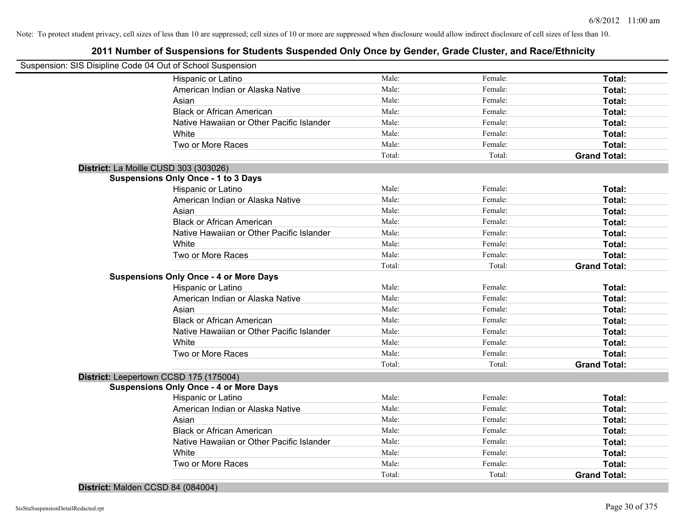| Suspension: SIS Disipline Code 04 Out of School Suspension |        |         |                     |
|------------------------------------------------------------|--------|---------|---------------------|
| Hispanic or Latino                                         | Male:  | Female: | Total:              |
| American Indian or Alaska Native                           | Male:  | Female: | Total:              |
| Asian                                                      | Male:  | Female: | Total:              |
| <b>Black or African American</b>                           | Male:  | Female: | Total:              |
| Native Hawaiian or Other Pacific Islander                  | Male:  | Female: | Total:              |
| White                                                      | Male:  | Female: | Total:              |
| Two or More Races                                          | Male:  | Female: | Total:              |
|                                                            | Total: | Total:  | <b>Grand Total:</b> |
| District: La Moille CUSD 303 (303026)                      |        |         |                     |
| <b>Suspensions Only Once - 1 to 3 Days</b>                 |        |         |                     |
| Hispanic or Latino                                         | Male:  | Female: | Total:              |
| American Indian or Alaska Native                           | Male:  | Female: | Total:              |
| Asian                                                      | Male:  | Female: | Total:              |
| <b>Black or African American</b>                           | Male:  | Female: | Total:              |
| Native Hawaiian or Other Pacific Islander                  | Male:  | Female: | Total:              |
| White                                                      | Male:  | Female: | Total:              |
| Two or More Races                                          | Male:  | Female: | Total:              |
|                                                            | Total: | Total:  | <b>Grand Total:</b> |
| <b>Suspensions Only Once - 4 or More Days</b>              |        |         |                     |
| Hispanic or Latino                                         | Male:  | Female: | Total:              |
| American Indian or Alaska Native                           | Male:  | Female: | Total:              |
| Asian                                                      | Male:  | Female: | Total:              |
| <b>Black or African American</b>                           | Male:  | Female: | Total:              |
| Native Hawaiian or Other Pacific Islander                  | Male:  | Female: | Total:              |
| White                                                      | Male:  | Female: | Total:              |
| Two or More Races                                          | Male:  | Female: | Total:              |
|                                                            | Total: | Total:  | <b>Grand Total:</b> |
| District: Leepertown CCSD 175 (175004)                     |        |         |                     |
| <b>Suspensions Only Once - 4 or More Days</b>              |        |         |                     |
| Hispanic or Latino                                         | Male:  | Female: | Total:              |
| American Indian or Alaska Native                           | Male:  | Female: | Total:              |
| Asian                                                      | Male:  | Female: | Total:              |
| <b>Black or African American</b>                           | Male:  | Female: | Total:              |
| Native Hawaiian or Other Pacific Islander                  | Male:  | Female: | Total:              |
| White                                                      | Male:  | Female: | Total:              |
| Two or More Races                                          | Male:  | Female: | <b>Total:</b>       |
|                                                            | Total: | Total:  | <b>Grand Total:</b> |

**District:** Malden CCSD 84 (084004)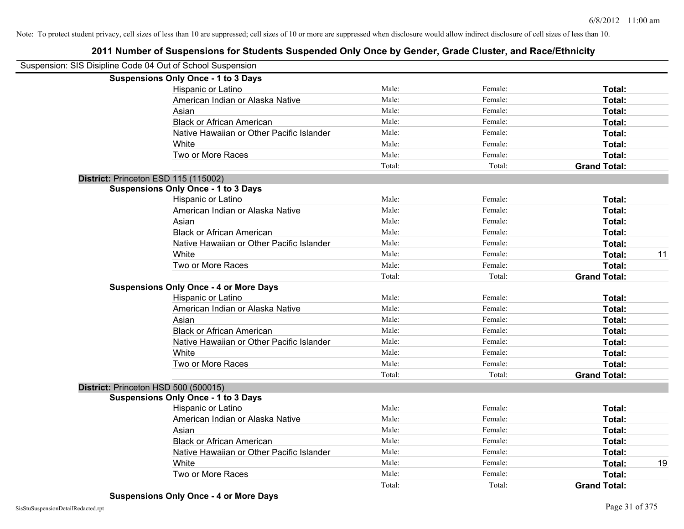| Suspension: SIS Disipline Code 04 Out of School Suspension |                                               |        |         |                     |    |
|------------------------------------------------------------|-----------------------------------------------|--------|---------|---------------------|----|
|                                                            | <b>Suspensions Only Once - 1 to 3 Days</b>    |        |         |                     |    |
|                                                            | Hispanic or Latino                            | Male:  | Female: | Total:              |    |
|                                                            | American Indian or Alaska Native              | Male:  | Female: | Total:              |    |
|                                                            | Asian                                         | Male:  | Female: | Total:              |    |
|                                                            | <b>Black or African American</b>              | Male:  | Female: | Total:              |    |
|                                                            | Native Hawaiian or Other Pacific Islander     | Male:  | Female: | Total:              |    |
|                                                            | White                                         | Male:  | Female: | Total:              |    |
|                                                            | Two or More Races                             | Male:  | Female: | Total:              |    |
|                                                            |                                               | Total: | Total:  | <b>Grand Total:</b> |    |
|                                                            | District: Princeton ESD 115 (115002)          |        |         |                     |    |
|                                                            | <b>Suspensions Only Once - 1 to 3 Days</b>    |        |         |                     |    |
|                                                            | Hispanic or Latino                            | Male:  | Female: | Total:              |    |
|                                                            | American Indian or Alaska Native              | Male:  | Female: | Total:              |    |
|                                                            | Asian                                         | Male:  | Female: | Total:              |    |
|                                                            | <b>Black or African American</b>              | Male:  | Female: | Total:              |    |
|                                                            | Native Hawaiian or Other Pacific Islander     | Male:  | Female: | Total:              |    |
|                                                            | White                                         | Male:  | Female: | Total:              | 11 |
|                                                            | Two or More Races                             | Male:  | Female: | Total:              |    |
|                                                            |                                               | Total: | Total:  | <b>Grand Total:</b> |    |
|                                                            | <b>Suspensions Only Once - 4 or More Days</b> |        |         |                     |    |
|                                                            | Hispanic or Latino                            | Male:  | Female: | Total:              |    |
|                                                            | American Indian or Alaska Native              | Male:  | Female: | Total:              |    |
|                                                            | Asian                                         | Male:  | Female: | Total:              |    |
|                                                            | <b>Black or African American</b>              | Male:  | Female: | Total:              |    |
|                                                            | Native Hawaiian or Other Pacific Islander     | Male:  | Female: | Total:              |    |
|                                                            | White                                         | Male:  | Female: | Total:              |    |
|                                                            | Two or More Races                             | Male:  | Female: | Total:              |    |
|                                                            |                                               | Total: | Total:  | <b>Grand Total:</b> |    |
|                                                            | District: Princeton HSD 500 (500015)          |        |         |                     |    |
|                                                            | <b>Suspensions Only Once - 1 to 3 Days</b>    |        |         |                     |    |
|                                                            | Hispanic or Latino                            | Male:  | Female: | Total:              |    |
|                                                            | American Indian or Alaska Native              | Male:  | Female: | Total:              |    |
|                                                            | Asian                                         | Male:  | Female: | Total:              |    |
|                                                            | <b>Black or African American</b>              | Male:  | Female: | Total:              |    |
|                                                            | Native Hawaiian or Other Pacific Islander     | Male:  | Female: | Total:              |    |
|                                                            | White                                         | Male:  | Female: | Total:              | 19 |
|                                                            | Two or More Races                             | Male:  | Female: | <b>Total:</b>       |    |
|                                                            |                                               | Total: | Total:  | <b>Grand Total:</b> |    |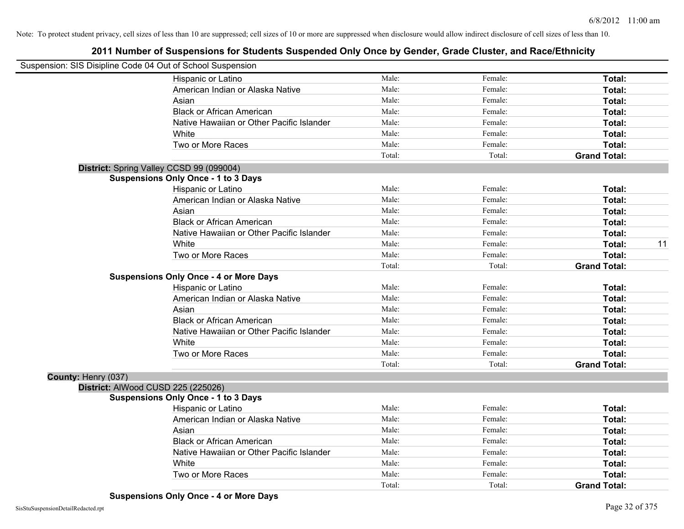|                     | Suspension: SIS Disipline Code 04 Out of School Suspension |        |         |                     |
|---------------------|------------------------------------------------------------|--------|---------|---------------------|
|                     | Hispanic or Latino                                         | Male:  | Female: | Total:              |
|                     | American Indian or Alaska Native                           | Male:  | Female: | Total:              |
|                     | Asian                                                      | Male:  | Female: | Total:              |
|                     | <b>Black or African American</b>                           | Male:  | Female: | Total:              |
|                     | Native Hawaiian or Other Pacific Islander                  | Male:  | Female: | Total:              |
|                     | White                                                      | Male:  | Female: | Total:              |
|                     | Two or More Races                                          | Male:  | Female: | Total:              |
|                     |                                                            | Total: | Total:  | <b>Grand Total:</b> |
|                     | District: Spring Valley CCSD 99 (099004)                   |        |         |                     |
|                     | <b>Suspensions Only Once - 1 to 3 Days</b>                 |        |         |                     |
|                     | Hispanic or Latino                                         | Male:  | Female: | Total:              |
|                     | American Indian or Alaska Native                           | Male:  | Female: | Total:              |
|                     | Asian                                                      | Male:  | Female: | Total:              |
|                     | <b>Black or African American</b>                           | Male:  | Female: | Total:              |
|                     | Native Hawaiian or Other Pacific Islander                  | Male:  | Female: | Total:              |
|                     | White                                                      | Male:  | Female: | 11<br>Total:        |
|                     | Two or More Races                                          | Male:  | Female: | Total:              |
|                     |                                                            | Total: | Total:  | <b>Grand Total:</b> |
|                     | <b>Suspensions Only Once - 4 or More Days</b>              |        |         |                     |
|                     | Hispanic or Latino                                         | Male:  | Female: | Total:              |
|                     | American Indian or Alaska Native                           | Male:  | Female: | Total:              |
|                     | Asian                                                      | Male:  | Female: | Total:              |
|                     | <b>Black or African American</b>                           | Male:  | Female: | Total:              |
|                     | Native Hawaiian or Other Pacific Islander                  | Male:  | Female: | Total:              |
|                     | White                                                      | Male:  | Female: | Total:              |
|                     | Two or More Races                                          | Male:  | Female: | Total:              |
|                     |                                                            | Total: | Total:  | <b>Grand Total:</b> |
| County: Henry (037) |                                                            |        |         |                     |
|                     | District: AlWood CUSD 225 (225026)                         |        |         |                     |
|                     | <b>Suspensions Only Once - 1 to 3 Days</b>                 |        |         |                     |
|                     | Hispanic or Latino                                         | Male:  | Female: | Total:              |
|                     | American Indian or Alaska Native                           | Male:  | Female: | Total:              |
|                     | Asian                                                      | Male:  | Female: | Total:              |
|                     | <b>Black or African American</b>                           | Male:  | Female: | Total:              |
|                     | Native Hawaiian or Other Pacific Islander                  | Male:  | Female: | Total:              |
|                     | White                                                      | Male:  | Female: | Total:              |
|                     | Two or More Races                                          | Male:  | Female: | <b>Total:</b>       |
|                     |                                                            | Total: | Total:  | <b>Grand Total:</b> |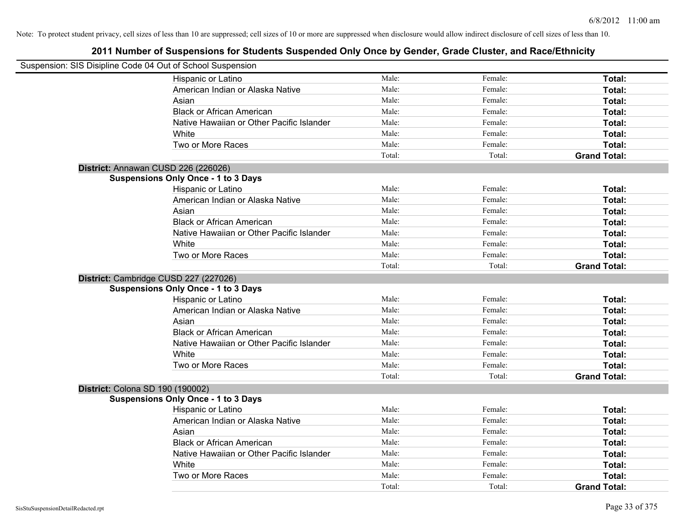| Suspension: SIS Disipline Code 04 Out of School Suspension |                                            |        |         |                     |
|------------------------------------------------------------|--------------------------------------------|--------|---------|---------------------|
|                                                            | Hispanic or Latino                         | Male:  | Female: | Total:              |
|                                                            | American Indian or Alaska Native           | Male:  | Female: | Total:              |
|                                                            | Asian                                      | Male:  | Female: | Total:              |
|                                                            | <b>Black or African American</b>           | Male:  | Female: | Total:              |
|                                                            | Native Hawaiian or Other Pacific Islander  | Male:  | Female: | Total:              |
|                                                            | White                                      | Male:  | Female: | Total:              |
|                                                            | Two or More Races                          | Male:  | Female: | Total:              |
|                                                            |                                            | Total: | Total:  | <b>Grand Total:</b> |
|                                                            | District: Annawan CUSD 226 (226026)        |        |         |                     |
|                                                            | <b>Suspensions Only Once - 1 to 3 Days</b> |        |         |                     |
|                                                            | Hispanic or Latino                         | Male:  | Female: | Total:              |
|                                                            | American Indian or Alaska Native           | Male:  | Female: | Total:              |
|                                                            | Asian                                      | Male:  | Female: | Total:              |
|                                                            | <b>Black or African American</b>           | Male:  | Female: | Total:              |
|                                                            | Native Hawaiian or Other Pacific Islander  | Male:  | Female: | Total:              |
|                                                            | White                                      | Male:  | Female: | Total:              |
|                                                            | Two or More Races                          | Male:  | Female: | Total:              |
|                                                            |                                            | Total: | Total:  | <b>Grand Total:</b> |
|                                                            | District: Cambridge CUSD 227 (227026)      |        |         |                     |
|                                                            | <b>Suspensions Only Once - 1 to 3 Days</b> |        |         |                     |
|                                                            | Hispanic or Latino                         | Male:  | Female: | Total:              |
|                                                            | American Indian or Alaska Native           | Male:  | Female: | Total:              |
|                                                            | Asian                                      | Male:  | Female: | Total:              |
|                                                            | <b>Black or African American</b>           | Male:  | Female: | Total:              |
|                                                            | Native Hawaiian or Other Pacific Islander  | Male:  | Female: | Total:              |
|                                                            | White                                      | Male:  | Female: | Total:              |
|                                                            | Two or More Races                          | Male:  | Female: | Total:              |
|                                                            |                                            | Total: | Total:  | <b>Grand Total:</b> |
| District: Colona SD 190 (190002)                           |                                            |        |         |                     |
|                                                            | <b>Suspensions Only Once - 1 to 3 Days</b> |        |         |                     |
|                                                            | Hispanic or Latino                         | Male:  | Female: | Total:              |
|                                                            | American Indian or Alaska Native           | Male:  | Female: | Total:              |
|                                                            | Asian                                      | Male:  | Female: | Total:              |
|                                                            | <b>Black or African American</b>           | Male:  | Female: | Total:              |
|                                                            | Native Hawaiian or Other Pacific Islander  | Male:  | Female: | Total:              |
|                                                            | White                                      | Male:  | Female: | Total:              |
|                                                            | Two or More Races                          | Male:  | Female: | <b>Total:</b>       |
|                                                            |                                            | Total: | Total:  | <b>Grand Total:</b> |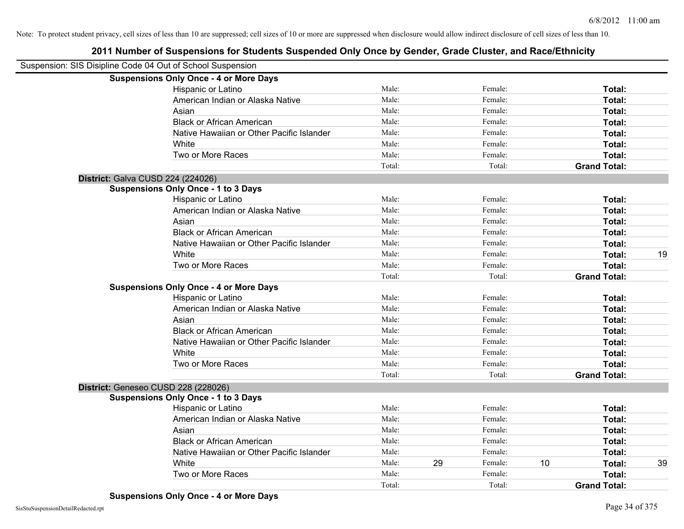| Suspension: SIS Disipline Code 04 Out of School Suspension |                                               |        |    |         |    |                     |    |
|------------------------------------------------------------|-----------------------------------------------|--------|----|---------|----|---------------------|----|
|                                                            | <b>Suspensions Only Once - 4 or More Days</b> |        |    |         |    |                     |    |
|                                                            | Hispanic or Latino                            | Male:  |    | Female: |    | Total:              |    |
|                                                            | American Indian or Alaska Native              | Male:  |    | Female: |    | Total:              |    |
|                                                            | Asian                                         | Male:  |    | Female: |    | Total:              |    |
|                                                            | <b>Black or African American</b>              | Male:  |    | Female: |    | Total:              |    |
|                                                            | Native Hawaiian or Other Pacific Islander     | Male:  |    | Female: |    | Total:              |    |
|                                                            | White                                         | Male:  |    | Female: |    | Total:              |    |
|                                                            | Two or More Races                             | Male:  |    | Female: |    | Total:              |    |
|                                                            |                                               | Total: |    | Total:  |    | <b>Grand Total:</b> |    |
|                                                            | District: Galva CUSD 224 (224026)             |        |    |         |    |                     |    |
|                                                            | <b>Suspensions Only Once - 1 to 3 Days</b>    |        |    |         |    |                     |    |
|                                                            | Hispanic or Latino                            | Male:  |    | Female: |    | Total:              |    |
|                                                            | American Indian or Alaska Native              | Male:  |    | Female: |    | Total:              |    |
|                                                            | Asian                                         | Male:  |    | Female: |    | Total:              |    |
|                                                            | <b>Black or African American</b>              | Male:  |    | Female: |    | Total:              |    |
|                                                            | Native Hawaiian or Other Pacific Islander     | Male:  |    | Female: |    | Total:              |    |
|                                                            | White                                         | Male:  |    | Female: |    | Total:              | 19 |
|                                                            | Two or More Races                             | Male:  |    | Female: |    | Total:              |    |
|                                                            |                                               | Total: |    | Total:  |    | <b>Grand Total:</b> |    |
|                                                            | <b>Suspensions Only Once - 4 or More Days</b> |        |    |         |    |                     |    |
|                                                            | Hispanic or Latino                            | Male:  |    | Female: |    | Total:              |    |
|                                                            | American Indian or Alaska Native              | Male:  |    | Female: |    | Total:              |    |
|                                                            | Asian                                         | Male:  |    | Female: |    | Total:              |    |
|                                                            | <b>Black or African American</b>              | Male:  |    | Female: |    | Total:              |    |
|                                                            | Native Hawaiian or Other Pacific Islander     | Male:  |    | Female: |    | Total:              |    |
|                                                            | White                                         | Male:  |    | Female: |    | Total:              |    |
|                                                            | Two or More Races                             | Male:  |    | Female: |    | Total:              |    |
|                                                            |                                               | Total: |    | Total:  |    | <b>Grand Total:</b> |    |
|                                                            | District: Geneseo CUSD 228 (228026)           |        |    |         |    |                     |    |
|                                                            | <b>Suspensions Only Once - 1 to 3 Days</b>    |        |    |         |    |                     |    |
|                                                            | Hispanic or Latino                            | Male:  |    | Female: |    | Total:              |    |
|                                                            | American Indian or Alaska Native              | Male:  |    | Female: |    | Total:              |    |
|                                                            | Asian                                         | Male:  |    | Female: |    | Total:              |    |
|                                                            | <b>Black or African American</b>              | Male:  |    | Female: |    | Total:              |    |
|                                                            | Native Hawaiian or Other Pacific Islander     | Male:  |    | Female: |    | Total:              |    |
|                                                            | White                                         | Male:  | 29 | Female: | 10 | Total:              | 39 |
|                                                            | Two or More Races                             | Male:  |    | Female: |    | <b>Total:</b>       |    |
|                                                            |                                               | Total: |    | Total:  |    | <b>Grand Total:</b> |    |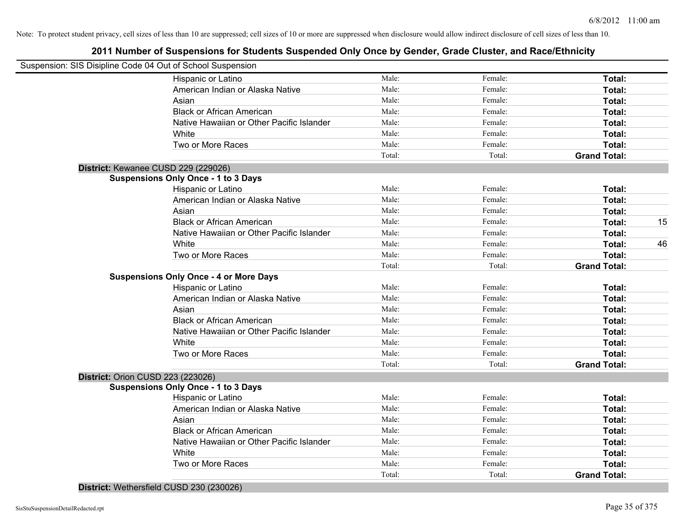## **2011 Number of Suspensions for Students Suspended Only Once by Gender, Grade Cluster, and Race/Ethnicity**

| Suspension: SIS Disipline Code 04 Out of School Suspension |        |         |                     |    |
|------------------------------------------------------------|--------|---------|---------------------|----|
| Hispanic or Latino                                         | Male:  | Female: | Total:              |    |
| American Indian or Alaska Native                           | Male:  | Female: | Total:              |    |
| Asian                                                      | Male:  | Female: | Total:              |    |
| <b>Black or African American</b>                           | Male:  | Female: | Total:              |    |
| Native Hawaiian or Other Pacific Islander                  | Male:  | Female: | Total:              |    |
| White                                                      | Male:  | Female: | Total:              |    |
| Two or More Races                                          | Male:  | Female: | Total:              |    |
|                                                            | Total: | Total:  | <b>Grand Total:</b> |    |
| District: Kewanee CUSD 229 (229026)                        |        |         |                     |    |
| <b>Suspensions Only Once - 1 to 3 Days</b>                 |        |         |                     |    |
| Hispanic or Latino                                         | Male:  | Female: | Total:              |    |
| American Indian or Alaska Native                           | Male:  | Female: | Total:              |    |
| Asian                                                      | Male:  | Female: | Total:              |    |
| <b>Black or African American</b>                           | Male:  | Female: | Total:              | 15 |
| Native Hawaiian or Other Pacific Islander                  | Male:  | Female: | Total:              |    |
| White                                                      | Male:  | Female: | Total:              | 46 |
| Two or More Races                                          | Male:  | Female: | Total:              |    |
|                                                            | Total: | Total:  | <b>Grand Total:</b> |    |
| <b>Suspensions Only Once - 4 or More Days</b>              |        |         |                     |    |
| Hispanic or Latino                                         | Male:  | Female: | Total:              |    |
| American Indian or Alaska Native                           | Male:  | Female: | Total:              |    |
| Asian                                                      | Male:  | Female: | Total:              |    |
| <b>Black or African American</b>                           | Male:  | Female: | Total:              |    |
| Native Hawaiian or Other Pacific Islander                  | Male:  | Female: | Total:              |    |
| White                                                      | Male:  | Female: | Total:              |    |
| Two or More Races                                          | Male:  | Female: | Total:              |    |
|                                                            | Total: | Total:  | <b>Grand Total:</b> |    |
| <b>District: Orion CUSD 223 (223026)</b>                   |        |         |                     |    |
| <b>Suspensions Only Once - 1 to 3 Days</b>                 |        |         |                     |    |
| Hispanic or Latino                                         | Male:  | Female: | Total:              |    |
| American Indian or Alaska Native                           | Male:  | Female: | Total:              |    |
| Asian                                                      | Male:  | Female: | Total:              |    |
| <b>Black or African American</b>                           | Male:  | Female: | Total:              |    |
| Native Hawaiian or Other Pacific Islander                  | Male:  | Female: | Total:              |    |
| White                                                      | Male:  | Female: | Total:              |    |
| Two or More Races                                          | Male:  | Female: | Total:              |    |
|                                                            | Total: | Total:  | <b>Grand Total:</b> |    |

**District:** Wethersfield CUSD 230 (230026)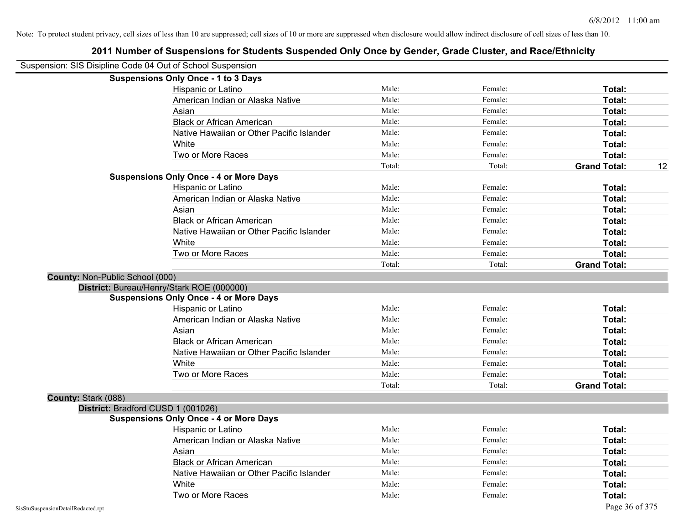|                                 | Suspension: SIS Disipline Code 04 Out of School Suspension |        |         |                           |
|---------------------------------|------------------------------------------------------------|--------|---------|---------------------------|
|                                 | <b>Suspensions Only Once - 1 to 3 Days</b>                 |        |         |                           |
|                                 | Hispanic or Latino                                         | Male:  | Female: | Total:                    |
|                                 | American Indian or Alaska Native                           | Male:  | Female: | Total:                    |
|                                 | Asian                                                      | Male:  | Female: | Total:                    |
|                                 | <b>Black or African American</b>                           | Male:  | Female: | Total:                    |
|                                 | Native Hawaiian or Other Pacific Islander                  | Male:  | Female: | Total:                    |
|                                 | White                                                      | Male:  | Female: | Total:                    |
|                                 | Two or More Races                                          | Male:  | Female: | Total:                    |
|                                 |                                                            | Total: | Total:  | <b>Grand Total:</b><br>12 |
|                                 | <b>Suspensions Only Once - 4 or More Days</b>              |        |         |                           |
|                                 | Hispanic or Latino                                         | Male:  | Female: | Total:                    |
|                                 | American Indian or Alaska Native                           | Male:  | Female: | Total:                    |
|                                 | Asian                                                      | Male:  | Female: | Total:                    |
|                                 | <b>Black or African American</b>                           | Male:  | Female: | Total:                    |
|                                 | Native Hawaiian or Other Pacific Islander                  | Male:  | Female: | Total:                    |
|                                 | White                                                      | Male:  | Female: | Total:                    |
|                                 | Two or More Races                                          | Male:  | Female: | Total:                    |
|                                 |                                                            | Total: | Total:  | <b>Grand Total:</b>       |
| County: Non-Public School (000) |                                                            |        |         |                           |
|                                 | District: Bureau/Henry/Stark ROE (000000)                  |        |         |                           |
|                                 | <b>Suspensions Only Once - 4 or More Days</b>              |        |         |                           |
|                                 | Hispanic or Latino                                         | Male:  | Female: | Total:                    |
|                                 | American Indian or Alaska Native                           | Male:  | Female: | Total:                    |
|                                 | Asian                                                      | Male:  | Female: | Total:                    |
|                                 | <b>Black or African American</b>                           | Male:  | Female: | Total:                    |
|                                 | Native Hawaiian or Other Pacific Islander                  | Male:  | Female: | Total:                    |
|                                 | White                                                      | Male:  | Female: | Total:                    |
|                                 | Two or More Races                                          | Male:  | Female: | Total:                    |
|                                 |                                                            | Total: | Total:  | <b>Grand Total:</b>       |
| County: Stark (088)             |                                                            |        |         |                           |
|                                 | District: Bradford CUSD 1 (001026)                         |        |         |                           |
|                                 | <b>Suspensions Only Once - 4 or More Days</b>              |        |         |                           |
|                                 | Hispanic or Latino                                         | Male:  | Female: | Total:                    |
|                                 | American Indian or Alaska Native                           | Male:  | Female: | Total:                    |
|                                 | Asian                                                      | Male:  | Female: | Total:                    |
|                                 | <b>Black or African American</b>                           | Male:  | Female: | Total:                    |
|                                 | Native Hawaiian or Other Pacific Islander                  | Male:  | Female: | Total:                    |
|                                 | White                                                      | Male:  | Female: | Total:                    |
|                                 | Two or More Races                                          | Male:  | Female: | Total:                    |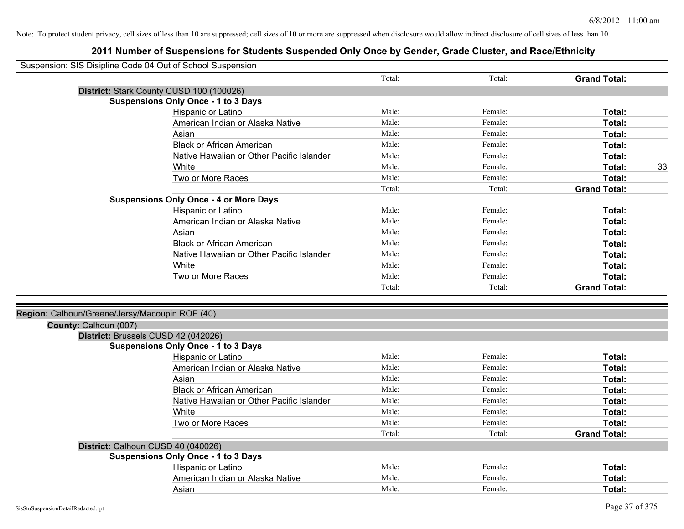| Suspension: SIS Disipline Code 04 Out of School Suspension |                                               |        |         |                     |
|------------------------------------------------------------|-----------------------------------------------|--------|---------|---------------------|
|                                                            |                                               | Total: | Total:  | <b>Grand Total:</b> |
| District: Stark County CUSD 100 (100026)                   |                                               |        |         |                     |
|                                                            | <b>Suspensions Only Once - 1 to 3 Days</b>    |        |         |                     |
|                                                            | Hispanic or Latino                            | Male:  | Female: | Total:              |
|                                                            | American Indian or Alaska Native              | Male:  | Female: | Total:              |
|                                                            | Asian                                         | Male:  | Female: | Total:              |
|                                                            | <b>Black or African American</b>              | Male:  | Female: | Total:              |
|                                                            | Native Hawaiian or Other Pacific Islander     | Male:  | Female: | Total:              |
|                                                            | White                                         | Male:  | Female: | 33<br>Total:        |
|                                                            | Two or More Races                             | Male:  | Female: | Total:              |
|                                                            |                                               | Total: | Total:  | <b>Grand Total:</b> |
|                                                            | <b>Suspensions Only Once - 4 or More Days</b> |        |         |                     |
|                                                            | Hispanic or Latino                            | Male:  | Female: | Total:              |
|                                                            | American Indian or Alaska Native              | Male:  | Female: | Total:              |
|                                                            | Asian                                         | Male:  | Female: | Total:              |
|                                                            | <b>Black or African American</b>              | Male:  | Female: | Total:              |
|                                                            | Native Hawaiian or Other Pacific Islander     | Male:  | Female: | Total:              |
|                                                            | White                                         | Male:  | Female: | Total:              |
|                                                            | Two or More Races                             | Male:  | Female: | Total:              |
|                                                            |                                               | Total: | Total:  | <b>Grand Total:</b> |
|                                                            |                                               |        |         |                     |
| Region: Calhoun/Greene/Jersy/Macoupin ROE (40)             |                                               |        |         |                     |
| County: Calhoun (007)                                      |                                               |        |         |                     |
| District: Brussels CUSD 42 (042026)                        |                                               |        |         |                     |
|                                                            | <b>Suspensions Only Once - 1 to 3 Days</b>    |        |         |                     |
|                                                            | Hispanic or Latino                            | Male:  | Female: | Total:              |
|                                                            | American Indian or Alaska Native              | Male:  | Female: | Total:              |
|                                                            | Asian                                         | Male:  | Female: | Total:              |
|                                                            | <b>Black or African American</b>              | Male:  | Female: | Total:              |
|                                                            | Native Hawaiian or Other Pacific Islander     | Male:  | Female: | Total:              |
|                                                            | White                                         | Male:  | Female: | Total:              |
|                                                            | Two or More Races                             | Male:  | Female: | Total:              |
|                                                            |                                               | Total: | Total:  | <b>Grand Total:</b> |
| District: Calhoun CUSD 40 (040026)                         |                                               |        |         |                     |
|                                                            | <b>Suspensions Only Once - 1 to 3 Days</b>    |        |         |                     |
|                                                            | Hispanic or Latino                            | Male:  | Female: | Total:              |
|                                                            | American Indian or Alaska Native              | Male:  | Female: | Total:              |
|                                                            | Asian                                         | Male:  | Female: | Total:              |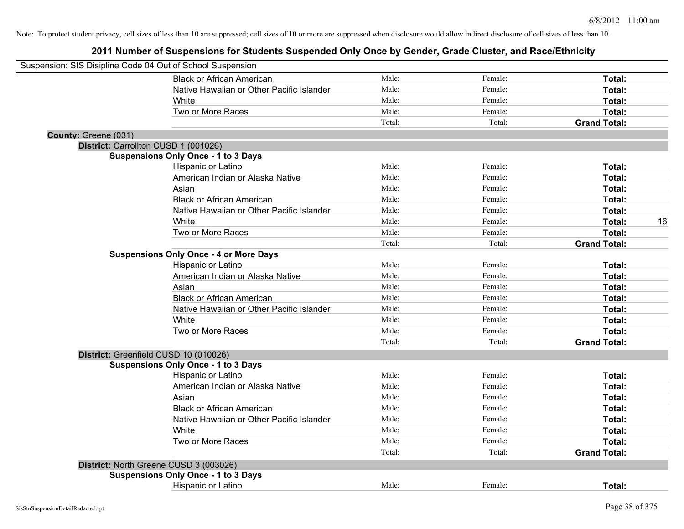| Suspension: SIS Disipline Code 04 Out of School Suspension |                                               |        |         |                     |    |
|------------------------------------------------------------|-----------------------------------------------|--------|---------|---------------------|----|
|                                                            | <b>Black or African American</b>              | Male:  | Female: | Total:              |    |
|                                                            | Native Hawaiian or Other Pacific Islander     | Male:  | Female: | Total:              |    |
|                                                            | White                                         | Male:  | Female: | Total:              |    |
|                                                            | Two or More Races                             | Male:  | Female: | Total:              |    |
|                                                            |                                               | Total: | Total:  | <b>Grand Total:</b> |    |
| County: Greene (031)                                       |                                               |        |         |                     |    |
|                                                            | District: Carrollton CUSD 1 (001026)          |        |         |                     |    |
|                                                            | <b>Suspensions Only Once - 1 to 3 Days</b>    |        |         |                     |    |
|                                                            | Hispanic or Latino                            | Male:  | Female: | Total:              |    |
|                                                            | American Indian or Alaska Native              | Male:  | Female: | Total:              |    |
|                                                            | Asian                                         | Male:  | Female: | Total:              |    |
|                                                            | <b>Black or African American</b>              | Male:  | Female: | Total:              |    |
|                                                            | Native Hawaiian or Other Pacific Islander     | Male:  | Female: | Total:              |    |
|                                                            | White                                         | Male:  | Female: | Total:              | 16 |
|                                                            | Two or More Races                             | Male:  | Female: | Total:              |    |
|                                                            |                                               | Total: | Total:  | <b>Grand Total:</b> |    |
|                                                            | <b>Suspensions Only Once - 4 or More Days</b> |        |         |                     |    |
|                                                            | Hispanic or Latino                            | Male:  | Female: | Total:              |    |
|                                                            | American Indian or Alaska Native              | Male:  | Female: | Total:              |    |
|                                                            | Asian                                         | Male:  | Female: | Total:              |    |
|                                                            | <b>Black or African American</b>              | Male:  | Female: | Total:              |    |
|                                                            | Native Hawaiian or Other Pacific Islander     | Male:  | Female: | Total:              |    |
|                                                            | White                                         | Male:  | Female: | Total:              |    |
|                                                            | Two or More Races                             | Male:  | Female: | Total:              |    |
|                                                            |                                               | Total: | Total:  | <b>Grand Total:</b> |    |
|                                                            | District: Greenfield CUSD 10 (010026)         |        |         |                     |    |
|                                                            | <b>Suspensions Only Once - 1 to 3 Days</b>    |        |         |                     |    |
|                                                            | Hispanic or Latino                            | Male:  | Female: | Total:              |    |
|                                                            | American Indian or Alaska Native              | Male:  | Female: | Total:              |    |
|                                                            | Asian                                         | Male:  | Female: | Total:              |    |
|                                                            | <b>Black or African American</b>              | Male:  | Female: | Total:              |    |
|                                                            | Native Hawaiian or Other Pacific Islander     | Male:  | Female: | Total:              |    |
|                                                            | White                                         | Male:  | Female: | Total:              |    |
|                                                            | Two or More Races                             | Male:  | Female: | Total:              |    |
|                                                            |                                               | Total: | Total:  | <b>Grand Total:</b> |    |
|                                                            | District: North Greene CUSD 3 (003026)        |        |         |                     |    |
|                                                            | <b>Suspensions Only Once - 1 to 3 Days</b>    |        |         |                     |    |
|                                                            | <b>Hispanic or Latino</b>                     | Male:  | Female: | Total:              |    |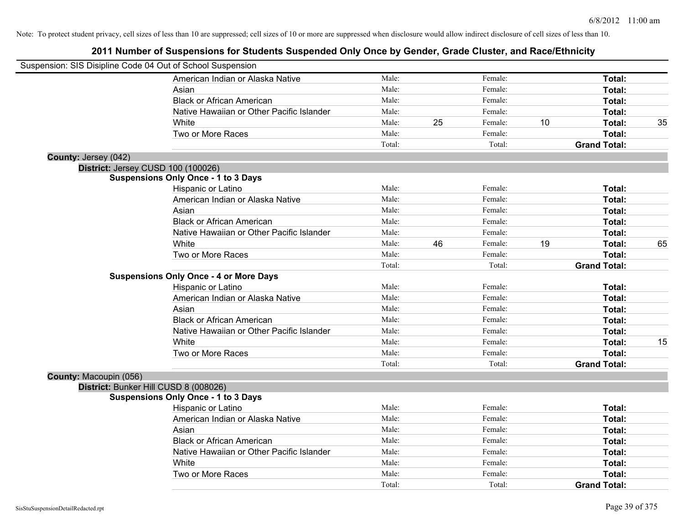| Suspension: SIS Disipline Code 04 Out of School Suspension |                                               |        |    |         |    |                     |    |
|------------------------------------------------------------|-----------------------------------------------|--------|----|---------|----|---------------------|----|
|                                                            | American Indian or Alaska Native              | Male:  |    | Female: |    | Total:              |    |
|                                                            | Asian                                         | Male:  |    | Female: |    | Total:              |    |
|                                                            | <b>Black or African American</b>              | Male:  |    | Female: |    | Total:              |    |
|                                                            | Native Hawaiian or Other Pacific Islander     | Male:  |    | Female: |    | Total:              |    |
|                                                            | White                                         | Male:  | 25 | Female: | 10 | Total:              | 35 |
|                                                            | Two or More Races                             | Male:  |    | Female: |    | Total:              |    |
|                                                            |                                               | Total: |    | Total:  |    | <b>Grand Total:</b> |    |
| County: Jersey (042)                                       |                                               |        |    |         |    |                     |    |
| District: Jersey CUSD 100 (100026)                         |                                               |        |    |         |    |                     |    |
|                                                            | <b>Suspensions Only Once - 1 to 3 Days</b>    |        |    |         |    |                     |    |
|                                                            | Hispanic or Latino                            | Male:  |    | Female: |    | Total:              |    |
|                                                            | American Indian or Alaska Native              | Male:  |    | Female: |    | Total:              |    |
|                                                            | Asian                                         | Male:  |    | Female: |    | Total:              |    |
|                                                            | <b>Black or African American</b>              | Male:  |    | Female: |    | Total:              |    |
|                                                            | Native Hawaiian or Other Pacific Islander     | Male:  |    | Female: |    | Total:              |    |
|                                                            | White                                         | Male:  | 46 | Female: | 19 | Total:              | 65 |
|                                                            | Two or More Races                             | Male:  |    | Female: |    | Total:              |    |
|                                                            |                                               | Total: |    | Total:  |    | <b>Grand Total:</b> |    |
|                                                            | <b>Suspensions Only Once - 4 or More Days</b> |        |    |         |    |                     |    |
|                                                            | Hispanic or Latino                            | Male:  |    | Female: |    | Total:              |    |
|                                                            | American Indian or Alaska Native              | Male:  |    | Female: |    | Total:              |    |
|                                                            | Asian                                         | Male:  |    | Female: |    | Total:              |    |
|                                                            | <b>Black or African American</b>              | Male:  |    | Female: |    | Total:              |    |
|                                                            | Native Hawaiian or Other Pacific Islander     | Male:  |    | Female: |    | Total:              |    |
|                                                            | White                                         | Male:  |    | Female: |    | Total:              | 15 |
|                                                            | Two or More Races                             | Male:  |    | Female: |    | <b>Total:</b>       |    |
|                                                            |                                               | Total: |    | Total:  |    | <b>Grand Total:</b> |    |
| County: Macoupin (056)                                     |                                               |        |    |         |    |                     |    |
| District: Bunker Hill CUSD 8 (008026)                      |                                               |        |    |         |    |                     |    |
|                                                            | <b>Suspensions Only Once - 1 to 3 Days</b>    |        |    |         |    |                     |    |
|                                                            | Hispanic or Latino                            | Male:  |    | Female: |    | Total:              |    |
|                                                            | American Indian or Alaska Native              | Male:  |    | Female: |    | Total:              |    |
|                                                            | Asian                                         | Male:  |    | Female: |    | Total:              |    |
|                                                            | <b>Black or African American</b>              | Male:  |    | Female: |    | Total:              |    |
|                                                            | Native Hawaiian or Other Pacific Islander     | Male:  |    | Female: |    | Total:              |    |
|                                                            | White                                         | Male:  |    | Female: |    | Total:              |    |
|                                                            | Two or More Races                             | Male:  |    | Female: |    | <b>Total:</b>       |    |
|                                                            |                                               | Total: |    | Total:  |    | <b>Grand Total:</b> |    |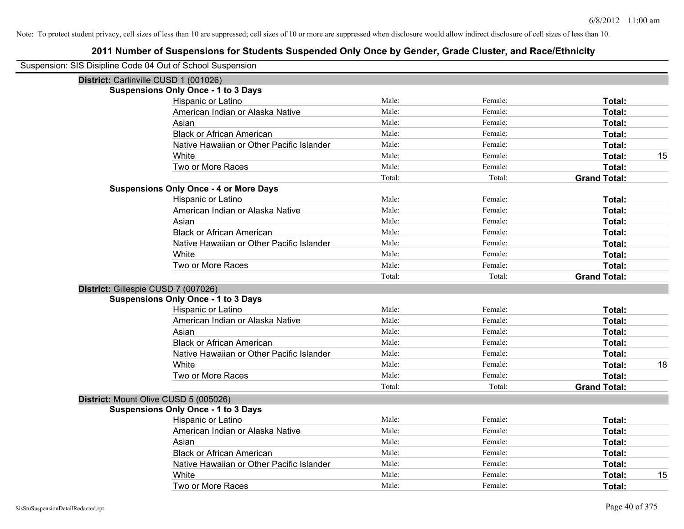| Suspension: SIS Disipline Code 04 Out of School Suspension |                                               |        |         |                     |    |
|------------------------------------------------------------|-----------------------------------------------|--------|---------|---------------------|----|
| District: Carlinville CUSD 1 (001026)                      |                                               |        |         |                     |    |
|                                                            | <b>Suspensions Only Once - 1 to 3 Days</b>    |        |         |                     |    |
|                                                            | Hispanic or Latino                            | Male:  | Female: | Total:              |    |
|                                                            | American Indian or Alaska Native              | Male:  | Female: | Total:              |    |
|                                                            | Asian                                         | Male:  | Female: | Total:              |    |
|                                                            | <b>Black or African American</b>              | Male:  | Female: | Total:              |    |
|                                                            | Native Hawaiian or Other Pacific Islander     | Male:  | Female: | Total:              |    |
|                                                            | White                                         | Male:  | Female: | Total:              | 15 |
|                                                            | Two or More Races                             | Male:  | Female: | Total:              |    |
|                                                            |                                               | Total: | Total:  | <b>Grand Total:</b> |    |
|                                                            | <b>Suspensions Only Once - 4 or More Days</b> |        |         |                     |    |
|                                                            | Hispanic or Latino                            | Male:  | Female: | Total:              |    |
|                                                            | American Indian or Alaska Native              | Male:  | Female: | Total:              |    |
|                                                            | Asian                                         | Male:  | Female: | Total:              |    |
|                                                            | <b>Black or African American</b>              | Male:  | Female: | Total:              |    |
|                                                            | Native Hawaiian or Other Pacific Islander     | Male:  | Female: | Total:              |    |
|                                                            | White                                         | Male:  | Female: | Total:              |    |
|                                                            | Two or More Races                             | Male:  | Female: | Total:              |    |
|                                                            |                                               | Total: | Total:  | <b>Grand Total:</b> |    |
| District: Gillespie CUSD 7 (007026)                        |                                               |        |         |                     |    |
|                                                            | <b>Suspensions Only Once - 1 to 3 Days</b>    |        |         |                     |    |
|                                                            | Hispanic or Latino                            | Male:  | Female: | Total:              |    |
|                                                            | American Indian or Alaska Native              | Male:  | Female: | Total:              |    |
|                                                            | Asian                                         | Male:  | Female: | Total:              |    |
|                                                            | <b>Black or African American</b>              | Male:  | Female: | Total:              |    |
|                                                            | Native Hawaiian or Other Pacific Islander     | Male:  | Female: | Total:              |    |
|                                                            | White                                         | Male:  | Female: | Total:              | 18 |
|                                                            | Two or More Races                             | Male:  | Female: | Total:              |    |
|                                                            |                                               | Total: | Total:  | <b>Grand Total:</b> |    |
| District: Mount Olive CUSD 5 (005026)                      |                                               |        |         |                     |    |
|                                                            | <b>Suspensions Only Once - 1 to 3 Days</b>    |        |         |                     |    |
|                                                            | Hispanic or Latino                            | Male:  | Female: | Total:              |    |
|                                                            | American Indian or Alaska Native              | Male:  | Female: | Total:              |    |
|                                                            | Asian                                         | Male:  | Female: | Total:              |    |
|                                                            | <b>Black or African American</b>              | Male:  | Female: | Total:              |    |
|                                                            | Native Hawaiian or Other Pacific Islander     | Male:  | Female: | Total:              |    |
|                                                            | White                                         | Male:  | Female: | Total:              | 15 |
|                                                            | Two or More Races                             | Male:  | Female: | Total:              |    |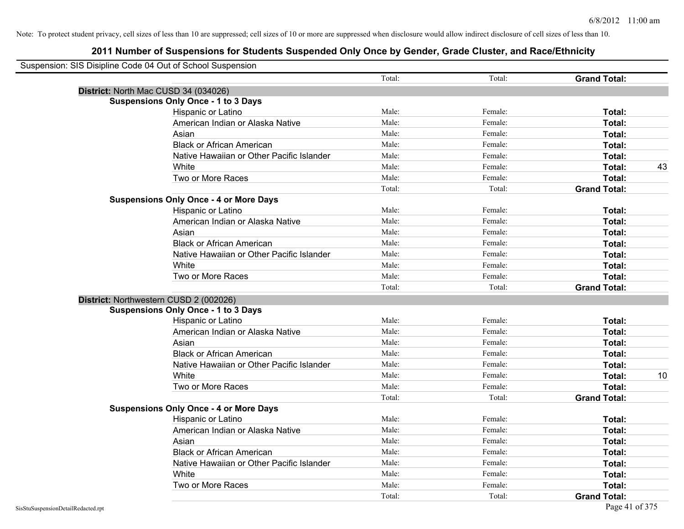| Suspension: SIS Disipline Code 04 Out of School Suspension    |                     |    |
|---------------------------------------------------------------|---------------------|----|
| Total:<br>Total:                                              | <b>Grand Total:</b> |    |
| District: North Mac CUSD 34 (034026)                          |                     |    |
| <b>Suspensions Only Once - 1 to 3 Days</b>                    |                     |    |
| Male:<br>Female:<br>Hispanic or Latino                        | Total:              |    |
| Male:<br>American Indian or Alaska Native<br>Female:          | Total:              |    |
| Male:<br>Asian<br>Female:                                     | Total:              |    |
| <b>Black or African American</b><br>Male:<br>Female:          | Total:              |    |
| Native Hawaiian or Other Pacific Islander<br>Male:<br>Female: | Total:              |    |
| Male:<br>White<br>Female:                                     | Total:              | 43 |
| Male:<br>Two or More Races<br>Female:                         | Total:              |    |
| Total:<br>Total:                                              | <b>Grand Total:</b> |    |
| <b>Suspensions Only Once - 4 or More Days</b>                 |                     |    |
| Hispanic or Latino<br>Male:<br>Female:                        | Total:              |    |
| American Indian or Alaska Native<br>Male:<br>Female:          | Total:              |    |
| Male:<br>Asian<br>Female:                                     | Total:              |    |
| <b>Black or African American</b><br>Male:<br>Female:          | Total:              |    |
| Male:<br>Native Hawaiian or Other Pacific Islander<br>Female: | Total:              |    |
| Male:<br>White<br>Female:                                     | Total:              |    |
| Two or More Races<br>Male:<br>Female:                         | Total:              |    |
| Total:<br>Total:                                              | <b>Grand Total:</b> |    |
| District: Northwestern CUSD 2 (002026)                        |                     |    |
| <b>Suspensions Only Once - 1 to 3 Days</b>                    |                     |    |
| Male:<br>Female:<br>Hispanic or Latino                        | Total:              |    |
| Male:<br>American Indian or Alaska Native<br>Female:          | Total:              |    |
| Male:<br>Asian<br>Female:                                     | Total:              |    |
| Male:<br>Female:<br><b>Black or African American</b>          | Total:              |    |
| Native Hawaiian or Other Pacific Islander<br>Male:<br>Female: | Total:              |    |
| Male:<br>White<br>Female:                                     | Total:              | 10 |
| Two or More Races<br>Male:<br>Female:                         | Total:              |    |
| Total:<br>Total:                                              | <b>Grand Total:</b> |    |
| <b>Suspensions Only Once - 4 or More Days</b>                 |                     |    |
| Male:<br>Female:<br>Hispanic or Latino                        | Total:              |    |
| Male:<br>Female:<br>American Indian or Alaska Native          | Total:              |    |
| Male:<br>Asian<br>Female:                                     | Total:              |    |
| <b>Black or African American</b><br>Male:<br>Female:          | Total:              |    |
| Native Hawaiian or Other Pacific Islander<br>Male:<br>Female: | Total:              |    |
| Male:<br>Female:<br>White                                     | Total:              |    |
| Male:<br>Two or More Races<br>Female:                         | Total:              |    |
| Total:<br>Total:                                              | <b>Grand Total:</b> |    |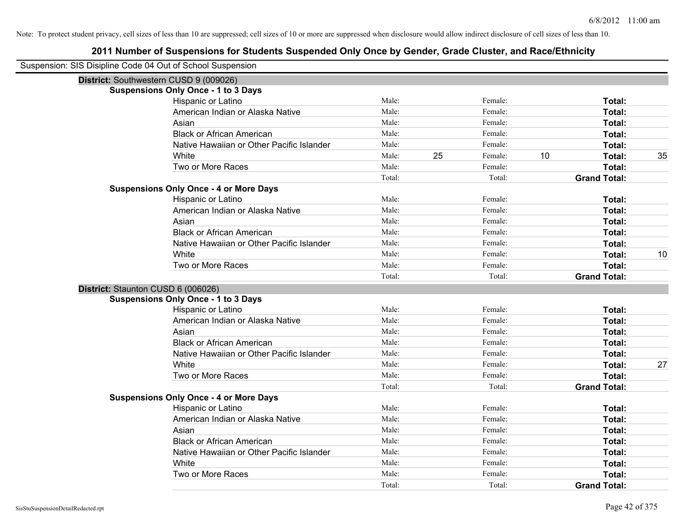| Suspension: SIS Disipline Code 04 Out of School Suspension |                                               |        |    |         |    |                     |    |
|------------------------------------------------------------|-----------------------------------------------|--------|----|---------|----|---------------------|----|
| District: Southwestern CUSD 9 (009026)                     |                                               |        |    |         |    |                     |    |
|                                                            | <b>Suspensions Only Once - 1 to 3 Days</b>    |        |    |         |    |                     |    |
|                                                            | Hispanic or Latino                            | Male:  |    | Female: |    | Total:              |    |
|                                                            | American Indian or Alaska Native              | Male:  |    | Female: |    | Total:              |    |
|                                                            | Asian                                         | Male:  |    | Female: |    | Total:              |    |
|                                                            | <b>Black or African American</b>              | Male:  |    | Female: |    | Total:              |    |
|                                                            | Native Hawaiian or Other Pacific Islander     | Male:  |    | Female: |    | Total:              |    |
|                                                            | White                                         | Male:  | 25 | Female: | 10 | Total:              | 35 |
|                                                            | Two or More Races                             | Male:  |    | Female: |    | Total:              |    |
|                                                            |                                               | Total: |    | Total:  |    | <b>Grand Total:</b> |    |
|                                                            | <b>Suspensions Only Once - 4 or More Days</b> |        |    |         |    |                     |    |
|                                                            | Hispanic or Latino                            | Male:  |    | Female: |    | Total:              |    |
|                                                            | American Indian or Alaska Native              | Male:  |    | Female: |    | Total:              |    |
|                                                            | Asian                                         | Male:  |    | Female: |    | Total:              |    |
|                                                            | <b>Black or African American</b>              | Male:  |    | Female: |    | Total:              |    |
|                                                            | Native Hawaiian or Other Pacific Islander     | Male:  |    | Female: |    | Total:              |    |
|                                                            | White                                         | Male:  |    | Female: |    | Total:              | 10 |
|                                                            | Two or More Races                             | Male:  |    | Female: |    | Total:              |    |
|                                                            |                                               | Total: |    | Total:  |    | <b>Grand Total:</b> |    |
| District: Staunton CUSD 6 (006026)                         |                                               |        |    |         |    |                     |    |
|                                                            | <b>Suspensions Only Once - 1 to 3 Days</b>    |        |    |         |    |                     |    |
|                                                            | Hispanic or Latino                            | Male:  |    | Female: |    | Total:              |    |
|                                                            | American Indian or Alaska Native              | Male:  |    | Female: |    | Total:              |    |
|                                                            | Asian                                         | Male:  |    | Female: |    | Total:              |    |
|                                                            | <b>Black or African American</b>              | Male:  |    | Female: |    | Total:              |    |
|                                                            | Native Hawaiian or Other Pacific Islander     | Male:  |    | Female: |    | Total:              |    |
|                                                            | White                                         | Male:  |    | Female: |    | Total:              | 27 |
|                                                            | Two or More Races                             | Male:  |    | Female: |    | Total:              |    |
|                                                            |                                               | Total: |    | Total:  |    | <b>Grand Total:</b> |    |
|                                                            | <b>Suspensions Only Once - 4 or More Days</b> |        |    |         |    |                     |    |
|                                                            | Hispanic or Latino                            | Male:  |    | Female: |    | Total:              |    |
|                                                            | American Indian or Alaska Native              | Male:  |    | Female: |    | Total:              |    |
|                                                            | Asian                                         | Male:  |    | Female: |    | Total:              |    |
|                                                            | <b>Black or African American</b>              | Male:  |    | Female: |    | Total:              |    |
|                                                            | Native Hawaiian or Other Pacific Islander     | Male:  |    | Female: |    | Total:              |    |
|                                                            | White                                         | Male:  |    | Female: |    | Total:              |    |
|                                                            | Two or More Races                             | Male:  |    | Female: |    | Total:              |    |
|                                                            |                                               | Total: |    | Total:  |    | <b>Grand Total:</b> |    |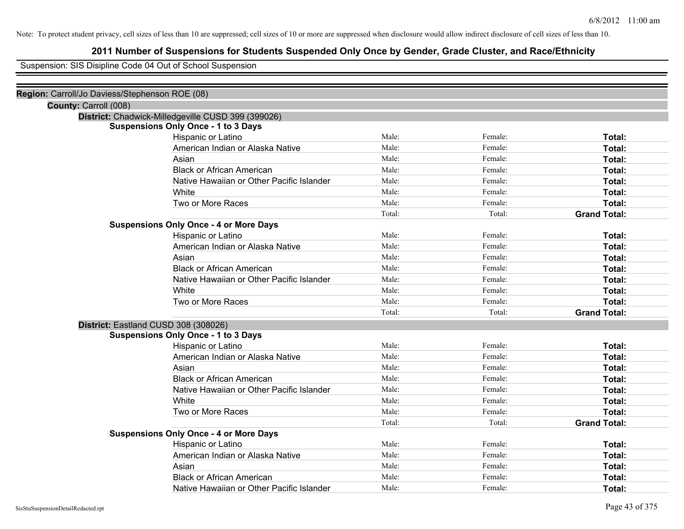# **2011 Number of Suspensions for Students Suspended Only Once by Gender, Grade Cluster, and Race/Ethnicity**

Suspension: SIS Disipline Code 04 Out of School Suspension

| Region: Carroll/Jo Daviess/Stephenson ROE (08) |                                                    |        |         |                     |
|------------------------------------------------|----------------------------------------------------|--------|---------|---------------------|
| County: Carroll (008)                          |                                                    |        |         |                     |
|                                                | District: Chadwick-Milledgeville CUSD 399 (399026) |        |         |                     |
|                                                | <b>Suspensions Only Once - 1 to 3 Days</b>         |        |         |                     |
|                                                | Hispanic or Latino                                 | Male:  | Female: | Total:              |
|                                                | American Indian or Alaska Native                   | Male:  | Female: | Total:              |
|                                                | Asian                                              | Male:  | Female: | Total:              |
|                                                | <b>Black or African American</b>                   | Male:  | Female: | Total:              |
|                                                | Native Hawaiian or Other Pacific Islander          | Male:  | Female: | Total:              |
|                                                | White                                              | Male:  | Female: | Total:              |
|                                                | Two or More Races                                  | Male:  | Female: | Total:              |
|                                                |                                                    | Total: | Total:  | <b>Grand Total:</b> |
|                                                | <b>Suspensions Only Once - 4 or More Days</b>      |        |         |                     |
|                                                | Hispanic or Latino                                 | Male:  | Female: | Total:              |
|                                                | American Indian or Alaska Native                   | Male:  | Female: | Total:              |
|                                                | Asian                                              | Male:  | Female: | Total:              |
|                                                | <b>Black or African American</b>                   | Male:  | Female: | Total:              |
|                                                | Native Hawaiian or Other Pacific Islander          | Male:  | Female: | Total:              |
|                                                | White                                              | Male:  | Female: | Total:              |
|                                                | Two or More Races                                  | Male:  | Female: | Total:              |
|                                                |                                                    | Total: | Total:  | <b>Grand Total:</b> |
|                                                | District: Eastland CUSD 308 (308026)               |        |         |                     |
|                                                | <b>Suspensions Only Once - 1 to 3 Days</b>         |        |         |                     |
|                                                | Hispanic or Latino                                 | Male:  | Female: | Total:              |
|                                                | American Indian or Alaska Native                   | Male:  | Female: | Total:              |
|                                                | Asian                                              | Male:  | Female: | Total:              |
|                                                | <b>Black or African American</b>                   | Male:  | Female: | Total:              |
|                                                | Native Hawaiian or Other Pacific Islander          | Male:  | Female: | Total:              |
|                                                | White                                              | Male:  | Female: | Total:              |
|                                                | Two or More Races                                  | Male:  | Female: | Total:              |
|                                                |                                                    | Total: | Total:  | <b>Grand Total:</b> |
|                                                | <b>Suspensions Only Once - 4 or More Days</b>      |        |         |                     |
|                                                | Hispanic or Latino                                 | Male:  | Female: | Total:              |
|                                                | American Indian or Alaska Native                   | Male:  | Female: | Total:              |
|                                                | Asian                                              | Male:  | Female: | Total:              |
|                                                | <b>Black or African American</b>                   | Male:  | Female: | Total:              |
|                                                | Native Hawaiian or Other Pacific Islander          | Male:  | Female: | Total:              |
|                                                |                                                    |        |         |                     |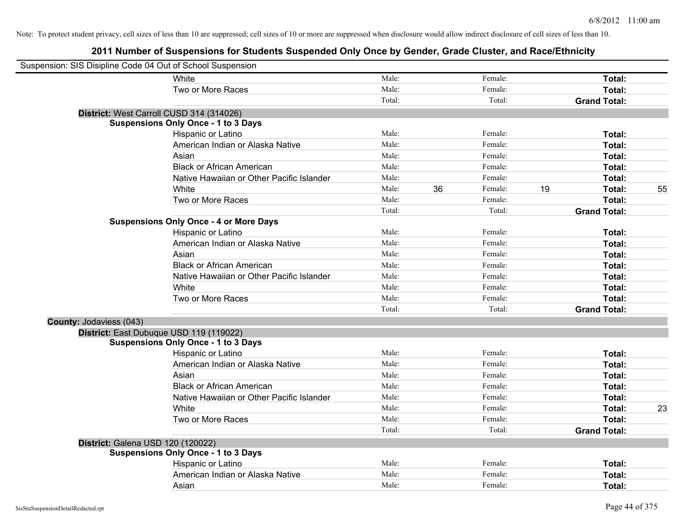| Suspension: SIS Disipline Code 04 Out of School Suspension |                                               |        |    |         |    |                     |    |
|------------------------------------------------------------|-----------------------------------------------|--------|----|---------|----|---------------------|----|
|                                                            | White                                         | Male:  |    | Female: |    | Total:              |    |
|                                                            | Two or More Races                             | Male:  |    | Female: |    | Total:              |    |
|                                                            |                                               | Total: |    | Total:  |    | <b>Grand Total:</b> |    |
|                                                            | District: West Carroll CUSD 314 (314026)      |        |    |         |    |                     |    |
|                                                            | <b>Suspensions Only Once - 1 to 3 Days</b>    |        |    |         |    |                     |    |
|                                                            | Hispanic or Latino                            | Male:  |    | Female: |    | Total:              |    |
|                                                            | American Indian or Alaska Native              | Male:  |    | Female: |    | Total:              |    |
|                                                            | Asian                                         | Male:  |    | Female: |    | Total:              |    |
|                                                            | <b>Black or African American</b>              | Male:  |    | Female: |    | Total:              |    |
|                                                            | Native Hawaiian or Other Pacific Islander     | Male:  |    | Female: |    | Total:              |    |
|                                                            | White                                         | Male:  | 36 | Female: | 19 | Total:              | 55 |
|                                                            | Two or More Races                             | Male:  |    | Female: |    | Total:              |    |
|                                                            |                                               | Total: |    | Total:  |    | <b>Grand Total:</b> |    |
|                                                            | <b>Suspensions Only Once - 4 or More Days</b> |        |    |         |    |                     |    |
|                                                            | Hispanic or Latino                            | Male:  |    | Female: |    | Total:              |    |
|                                                            | American Indian or Alaska Native              | Male:  |    | Female: |    | Total:              |    |
|                                                            | Asian                                         | Male:  |    | Female: |    | Total:              |    |
|                                                            | <b>Black or African American</b>              | Male:  |    | Female: |    | Total:              |    |
|                                                            | Native Hawaiian or Other Pacific Islander     | Male:  |    | Female: |    | Total:              |    |
|                                                            | White                                         | Male:  |    | Female: |    | Total:              |    |
|                                                            | Two or More Races                             | Male:  |    | Female: |    | Total:              |    |
|                                                            |                                               | Total: |    | Total:  |    | <b>Grand Total:</b> |    |
| County: Jodaviess (043)                                    |                                               |        |    |         |    |                     |    |
|                                                            | District: East Dubuque USD 119 (119022)       |        |    |         |    |                     |    |
|                                                            | <b>Suspensions Only Once - 1 to 3 Days</b>    |        |    |         |    |                     |    |
|                                                            | Hispanic or Latino                            | Male:  |    | Female: |    | Total:              |    |
|                                                            | American Indian or Alaska Native              | Male:  |    | Female: |    | Total:              |    |
|                                                            | Asian                                         | Male:  |    | Female: |    | Total:              |    |
|                                                            | <b>Black or African American</b>              | Male:  |    | Female: |    | Total:              |    |
|                                                            | Native Hawaiian or Other Pacific Islander     | Male:  |    | Female: |    | Total:              |    |
|                                                            | White                                         | Male:  |    | Female: |    | Total:              | 23 |
|                                                            | Two or More Races                             | Male:  |    | Female: |    | Total:              |    |
|                                                            |                                               | Total: |    | Total:  |    | <b>Grand Total:</b> |    |
| District: Galena USD 120 (120022)                          |                                               |        |    |         |    |                     |    |
|                                                            | <b>Suspensions Only Once - 1 to 3 Days</b>    |        |    |         |    |                     |    |
|                                                            | Hispanic or Latino                            | Male:  |    | Female: |    | Total:              |    |
|                                                            | American Indian or Alaska Native              | Male:  |    | Female: |    | Total:              |    |
|                                                            | Asian                                         | Male:  |    | Female: |    | Total:              |    |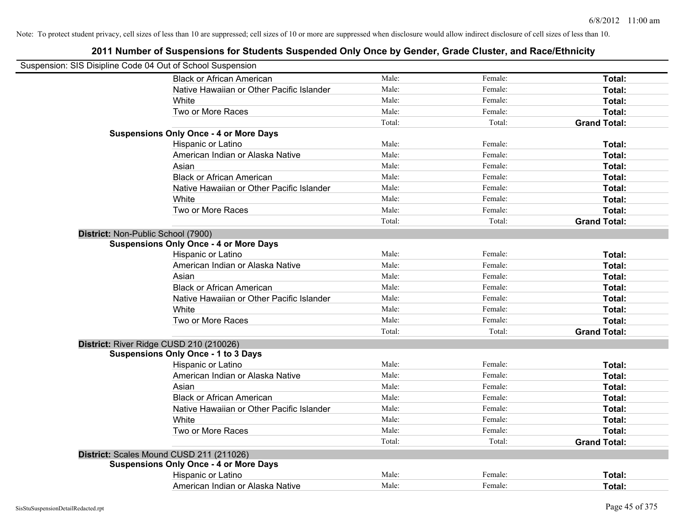| Suspension: SIS Disipline Code 04 Out of School Suspension |                                               |        |         |                     |
|------------------------------------------------------------|-----------------------------------------------|--------|---------|---------------------|
|                                                            | <b>Black or African American</b>              | Male:  | Female: | Total:              |
|                                                            | Native Hawaiian or Other Pacific Islander     | Male:  | Female: | Total:              |
|                                                            | White                                         | Male:  | Female: | Total:              |
|                                                            | Two or More Races                             | Male:  | Female: | Total:              |
|                                                            |                                               | Total: | Total:  | <b>Grand Total:</b> |
|                                                            | <b>Suspensions Only Once - 4 or More Days</b> |        |         |                     |
|                                                            | Hispanic or Latino                            | Male:  | Female: | Total:              |
|                                                            | American Indian or Alaska Native              | Male:  | Female: | Total:              |
|                                                            | Asian                                         | Male:  | Female: | Total:              |
|                                                            | <b>Black or African American</b>              | Male:  | Female: | Total:              |
|                                                            | Native Hawaiian or Other Pacific Islander     | Male:  | Female: | Total:              |
|                                                            | White                                         | Male:  | Female: | Total:              |
|                                                            | Two or More Races                             | Male:  | Female: | Total:              |
|                                                            |                                               | Total: | Total:  | <b>Grand Total:</b> |
| District: Non-Public School (7900)                         |                                               |        |         |                     |
|                                                            | <b>Suspensions Only Once - 4 or More Days</b> |        |         |                     |
|                                                            | Hispanic or Latino                            | Male:  | Female: | Total:              |
|                                                            | American Indian or Alaska Native              | Male:  | Female: | Total:              |
|                                                            | Asian                                         | Male:  | Female: | Total:              |
|                                                            | <b>Black or African American</b>              | Male:  | Female: | Total:              |
|                                                            | Native Hawaiian or Other Pacific Islander     | Male:  | Female: | Total:              |
|                                                            | White                                         | Male:  | Female: | Total:              |
|                                                            | Two or More Races                             | Male:  | Female: | Total:              |
|                                                            |                                               | Total: | Total:  | <b>Grand Total:</b> |
|                                                            | District: River Ridge CUSD 210 (210026)       |        |         |                     |
|                                                            | <b>Suspensions Only Once - 1 to 3 Days</b>    |        |         |                     |
|                                                            | Hispanic or Latino                            | Male:  | Female: | Total:              |
|                                                            | American Indian or Alaska Native              | Male:  | Female: | Total:              |
|                                                            | Asian                                         | Male:  | Female: | Total:              |
|                                                            | <b>Black or African American</b>              | Male:  | Female: | Total:              |
|                                                            | Native Hawaiian or Other Pacific Islander     | Male:  | Female: | Total:              |
|                                                            | White                                         | Male:  | Female: | Total:              |
|                                                            | Two or More Races                             | Male:  | Female: | Total:              |
|                                                            |                                               | Total: | Total:  | <b>Grand Total:</b> |
|                                                            | District: Scales Mound CUSD 211 (211026)      |        |         |                     |
|                                                            | <b>Suspensions Only Once - 4 or More Days</b> |        |         |                     |
|                                                            | Hispanic or Latino                            | Male:  | Female: | Total:              |
|                                                            | American Indian or Alaska Native              | Male:  | Female: | Total:              |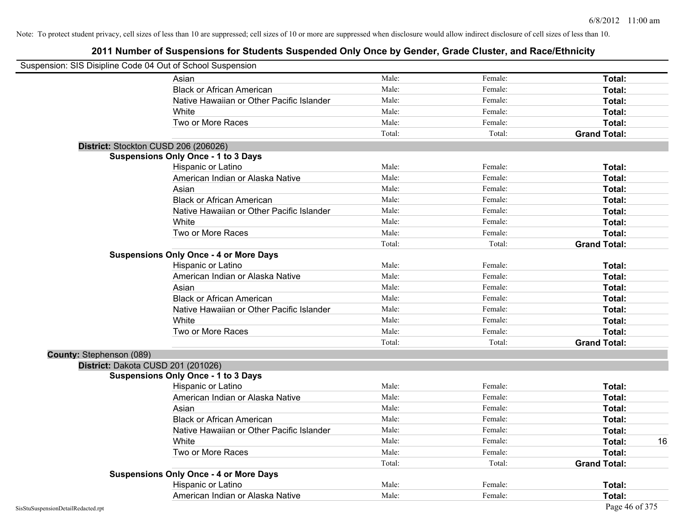| Suspension: SIS Disipline Code 04 Out of School Suspension |                                               |        |         |                     |
|------------------------------------------------------------|-----------------------------------------------|--------|---------|---------------------|
|                                                            | Asian                                         | Male:  | Female: | Total:              |
|                                                            | <b>Black or African American</b>              | Male:  | Female: | Total:              |
|                                                            | Native Hawaiian or Other Pacific Islander     | Male:  | Female: | Total:              |
|                                                            | White                                         | Male:  | Female: | Total:              |
|                                                            | Two or More Races                             | Male:  | Female: | Total:              |
|                                                            |                                               | Total: | Total:  | <b>Grand Total:</b> |
|                                                            | District: Stockton CUSD 206 (206026)          |        |         |                     |
|                                                            | <b>Suspensions Only Once - 1 to 3 Days</b>    |        |         |                     |
|                                                            | Hispanic or Latino                            | Male:  | Female: | Total:              |
|                                                            | American Indian or Alaska Native              | Male:  | Female: | Total:              |
|                                                            | Asian                                         | Male:  | Female: | Total:              |
|                                                            | <b>Black or African American</b>              | Male:  | Female: | Total:              |
|                                                            | Native Hawaiian or Other Pacific Islander     | Male:  | Female: | Total:              |
|                                                            | White                                         | Male:  | Female: | Total:              |
|                                                            | Two or More Races                             | Male:  | Female: | Total:              |
|                                                            |                                               | Total: | Total:  | <b>Grand Total:</b> |
|                                                            | <b>Suspensions Only Once - 4 or More Days</b> |        |         |                     |
|                                                            | Hispanic or Latino                            | Male:  | Female: | Total:              |
|                                                            | American Indian or Alaska Native              | Male:  | Female: | Total:              |
|                                                            | Asian                                         | Male:  | Female: | Total:              |
|                                                            | <b>Black or African American</b>              | Male:  | Female: | Total:              |
|                                                            | Native Hawaiian or Other Pacific Islander     | Male:  | Female: | Total:              |
|                                                            | White                                         | Male:  | Female: | Total:              |
|                                                            | Two or More Races                             | Male:  | Female: | Total:              |
|                                                            |                                               | Total: | Total:  | <b>Grand Total:</b> |
| County: Stephenson (089)                                   |                                               |        |         |                     |
| District: Dakota CUSD 201 (201026)                         |                                               |        |         |                     |
|                                                            | <b>Suspensions Only Once - 1 to 3 Days</b>    |        |         |                     |
|                                                            | Hispanic or Latino                            | Male:  | Female: | Total:              |
|                                                            | American Indian or Alaska Native              | Male:  | Female: | Total:              |
|                                                            | Asian                                         | Male:  | Female: | Total:              |
|                                                            | <b>Black or African American</b>              | Male:  | Female: | Total:              |
|                                                            | Native Hawaiian or Other Pacific Islander     | Male:  | Female: | Total:              |
|                                                            | White                                         | Male:  | Female: | Total:<br>16        |
|                                                            | Two or More Races                             | Male:  | Female: | Total:              |
|                                                            |                                               | Total: | Total:  | <b>Grand Total:</b> |
|                                                            | <b>Suspensions Only Once - 4 or More Days</b> |        |         |                     |
|                                                            | Hispanic or Latino                            | Male:  | Female: | Total:              |
|                                                            | American Indian or Alaska Native              | Male:  | Female: | Total:              |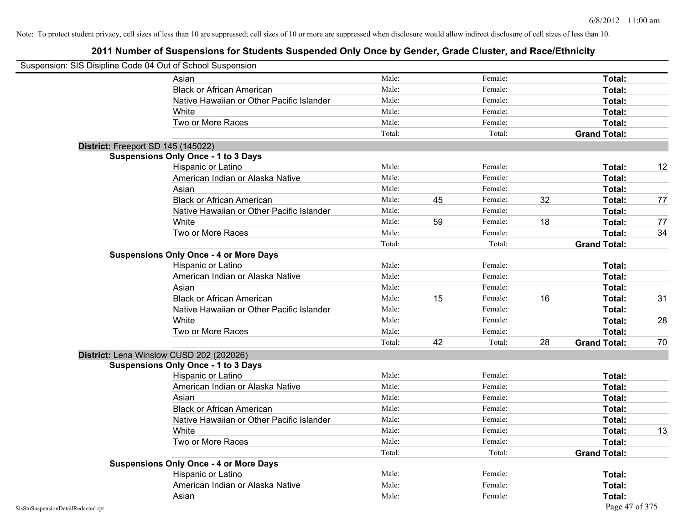|                                    | Suspension: SIS Disipline Code 04 Out of School Suspension |        |    |         |    |                     |    |
|------------------------------------|------------------------------------------------------------|--------|----|---------|----|---------------------|----|
|                                    | Asian                                                      | Male:  |    | Female: |    | Total:              |    |
|                                    | <b>Black or African American</b>                           | Male:  |    | Female: |    | Total:              |    |
|                                    | Native Hawaiian or Other Pacific Islander                  | Male:  |    | Female: |    | Total:              |    |
|                                    | White                                                      | Male:  |    | Female: |    | Total:              |    |
|                                    | Two or More Races                                          | Male:  |    | Female: |    | Total:              |    |
|                                    |                                                            | Total: |    | Total:  |    | <b>Grand Total:</b> |    |
|                                    | District: Freeport SD 145 (145022)                         |        |    |         |    |                     |    |
|                                    | <b>Suspensions Only Once - 1 to 3 Days</b>                 |        |    |         |    |                     |    |
|                                    | Hispanic or Latino                                         | Male:  |    | Female: |    | Total:              | 12 |
|                                    | American Indian or Alaska Native                           | Male:  |    | Female: |    | Total:              |    |
|                                    | Asian                                                      | Male:  |    | Female: |    | Total:              |    |
|                                    | <b>Black or African American</b>                           | Male:  | 45 | Female: | 32 | Total:              | 77 |
|                                    | Native Hawaiian or Other Pacific Islander                  | Male:  |    | Female: |    | <b>Total:</b>       |    |
|                                    | White                                                      | Male:  | 59 | Female: | 18 | Total:              | 77 |
|                                    | Two or More Races                                          | Male:  |    | Female: |    | Total:              | 34 |
|                                    |                                                            | Total: |    | Total:  |    | <b>Grand Total:</b> |    |
|                                    | <b>Suspensions Only Once - 4 or More Days</b>              |        |    |         |    |                     |    |
|                                    | Hispanic or Latino                                         | Male:  |    | Female: |    | Total:              |    |
|                                    | American Indian or Alaska Native                           | Male:  |    | Female: |    | Total:              |    |
|                                    | Asian                                                      | Male:  |    | Female: |    | Total:              |    |
|                                    | <b>Black or African American</b>                           | Male:  | 15 | Female: | 16 | Total:              | 31 |
|                                    | Native Hawaiian or Other Pacific Islander                  | Male:  |    | Female: |    | Total:              |    |
|                                    | White                                                      | Male:  |    | Female: |    | Total:              | 28 |
|                                    | Two or More Races                                          | Male:  |    | Female: |    | <b>Total:</b>       |    |
|                                    |                                                            | Total: | 42 | Total:  | 28 | <b>Grand Total:</b> | 70 |
|                                    | District: Lena Winslow CUSD 202 (202026)                   |        |    |         |    |                     |    |
|                                    | <b>Suspensions Only Once - 1 to 3 Days</b>                 |        |    |         |    |                     |    |
|                                    | Hispanic or Latino                                         | Male:  |    | Female: |    | <b>Total:</b>       |    |
|                                    | American Indian or Alaska Native                           | Male:  |    | Female: |    | <b>Total:</b>       |    |
|                                    | Asian                                                      | Male:  |    | Female: |    | Total:              |    |
|                                    | <b>Black or African American</b>                           | Male:  |    | Female: |    | Total:              |    |
|                                    | Native Hawaiian or Other Pacific Islander                  | Male:  |    | Female: |    | <b>Total:</b>       |    |
|                                    | White                                                      | Male:  |    | Female: |    | <b>Total:</b>       | 13 |
|                                    | Two or More Races                                          | Male:  |    | Female: |    | <b>Total:</b>       |    |
|                                    |                                                            | Total: |    | Total:  |    | <b>Grand Total:</b> |    |
|                                    | <b>Suspensions Only Once - 4 or More Days</b>              |        |    |         |    |                     |    |
|                                    | Hispanic or Latino                                         | Male:  |    | Female: |    | Total:              |    |
|                                    | American Indian or Alaska Native                           | Male:  |    | Female: |    | Total:              |    |
|                                    | Asian                                                      | Male:  |    | Female: |    | Total:              |    |
| SisStuSuspensionDetailRedacted.rpt |                                                            |        |    |         |    | Page 47 of 375      |    |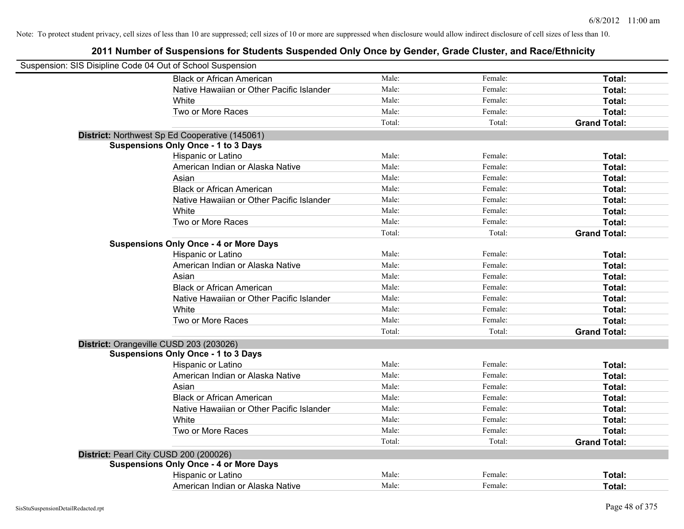| Suspension: SIS Disipline Code 04 Out of School Suspension |                                                |        |         |                     |
|------------------------------------------------------------|------------------------------------------------|--------|---------|---------------------|
|                                                            | <b>Black or African American</b>               | Male:  | Female: | Total:              |
|                                                            | Native Hawaiian or Other Pacific Islander      | Male:  | Female: | Total:              |
|                                                            | White                                          | Male:  | Female: | Total:              |
|                                                            | Two or More Races                              | Male:  | Female: | Total:              |
|                                                            |                                                | Total: | Total:  | <b>Grand Total:</b> |
|                                                            | District: Northwest Sp Ed Cooperative (145061) |        |         |                     |
|                                                            | <b>Suspensions Only Once - 1 to 3 Days</b>     |        |         |                     |
|                                                            | Hispanic or Latino                             | Male:  | Female: | Total:              |
|                                                            | American Indian or Alaska Native               | Male:  | Female: | Total:              |
|                                                            | Asian                                          | Male:  | Female: | Total:              |
|                                                            | <b>Black or African American</b>               | Male:  | Female: | Total:              |
|                                                            | Native Hawaiian or Other Pacific Islander      | Male:  | Female: | Total:              |
|                                                            | White                                          | Male:  | Female: | Total:              |
|                                                            | Two or More Races                              | Male:  | Female: | Total:              |
|                                                            |                                                | Total: | Total:  | <b>Grand Total:</b> |
|                                                            | <b>Suspensions Only Once - 4 or More Days</b>  |        |         |                     |
|                                                            | Hispanic or Latino                             | Male:  | Female: | Total:              |
|                                                            | American Indian or Alaska Native               | Male:  | Female: | Total:              |
|                                                            | Asian                                          | Male:  | Female: | Total:              |
|                                                            | <b>Black or African American</b>               | Male:  | Female: | Total:              |
|                                                            | Native Hawaiian or Other Pacific Islander      | Male:  | Female: | Total:              |
|                                                            | White                                          | Male:  | Female: | Total:              |
|                                                            | Two or More Races                              | Male:  | Female: | Total:              |
|                                                            |                                                | Total: | Total:  | <b>Grand Total:</b> |
|                                                            | District: Orangeville CUSD 203 (203026)        |        |         |                     |
|                                                            | <b>Suspensions Only Once - 1 to 3 Days</b>     |        |         |                     |
|                                                            | Hispanic or Latino                             | Male:  | Female: | Total:              |
|                                                            | American Indian or Alaska Native               | Male:  | Female: | Total:              |
|                                                            | Asian                                          | Male:  | Female: | Total:              |
|                                                            | <b>Black or African American</b>               | Male:  | Female: | Total:              |
|                                                            | Native Hawaiian or Other Pacific Islander      | Male:  | Female: | Total:              |
|                                                            | White                                          | Male:  | Female: | Total:              |
|                                                            | Two or More Races                              | Male:  | Female: | Total:              |
|                                                            |                                                | Total: | Total:  | <b>Grand Total:</b> |
| District: Pearl City CUSD 200 (200026)                     |                                                |        |         |                     |
|                                                            | <b>Suspensions Only Once - 4 or More Days</b>  |        |         |                     |
|                                                            | Hispanic or Latino                             | Male:  | Female: | Total:              |
|                                                            | American Indian or Alaska Native               | Male:  | Female: | Total:              |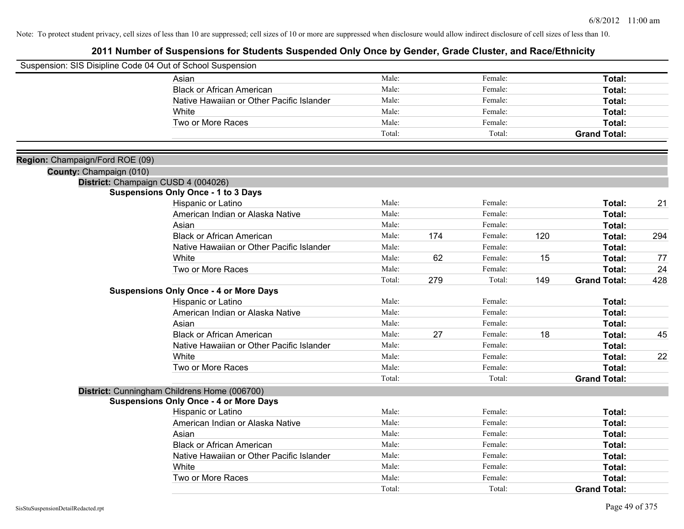| Suspension: SIS Disipline Code 04 Out of School Suspension |                                               |        |     |         |     |                     |     |
|------------------------------------------------------------|-----------------------------------------------|--------|-----|---------|-----|---------------------|-----|
|                                                            | Asian                                         | Male:  |     | Female: |     | Total:              |     |
|                                                            | <b>Black or African American</b>              | Male:  |     | Female: |     | Total:              |     |
|                                                            | Native Hawaiian or Other Pacific Islander     | Male:  |     | Female: |     | Total:              |     |
|                                                            | White                                         | Male:  |     | Female: |     | Total:              |     |
|                                                            | Two or More Races                             | Male:  |     | Female: |     | Total:              |     |
|                                                            |                                               | Total: |     | Total:  |     | <b>Grand Total:</b> |     |
| Region: Champaign/Ford ROE (09)                            |                                               |        |     |         |     |                     |     |
| County: Champaign (010)                                    |                                               |        |     |         |     |                     |     |
|                                                            | District: Champaign CUSD 4 (004026)           |        |     |         |     |                     |     |
|                                                            | <b>Suspensions Only Once - 1 to 3 Days</b>    |        |     |         |     |                     |     |
|                                                            | Hispanic or Latino                            | Male:  |     | Female: |     | Total:              | 21  |
|                                                            | American Indian or Alaska Native              | Male:  |     | Female: |     | Total:              |     |
|                                                            | Asian                                         | Male:  |     | Female: |     | Total:              |     |
|                                                            | <b>Black or African American</b>              | Male:  | 174 | Female: | 120 | Total:              | 294 |
|                                                            | Native Hawaiian or Other Pacific Islander     | Male:  |     | Female: |     | Total:              |     |
|                                                            | White                                         | Male:  | 62  | Female: | 15  | Total:              | 77  |
|                                                            | Two or More Races                             | Male:  |     | Female: |     | Total:              | 24  |
|                                                            |                                               | Total: | 279 | Total:  | 149 | <b>Grand Total:</b> | 428 |
|                                                            | <b>Suspensions Only Once - 4 or More Days</b> |        |     |         |     |                     |     |
|                                                            | Hispanic or Latino                            | Male:  |     | Female: |     | Total:              |     |
|                                                            | American Indian or Alaska Native              | Male:  |     | Female: |     | Total:              |     |
|                                                            | Asian                                         | Male:  |     | Female: |     | Total:              |     |
|                                                            | <b>Black or African American</b>              | Male:  | 27  | Female: | 18  | Total:              | 45  |
|                                                            | Native Hawaiian or Other Pacific Islander     | Male:  |     | Female: |     | Total:              |     |
|                                                            | White                                         | Male:  |     | Female: |     | Total:              | 22  |
|                                                            | Two or More Races                             | Male:  |     | Female: |     | Total:              |     |
|                                                            |                                               | Total: |     | Total:  |     | <b>Grand Total:</b> |     |
|                                                            | District: Cunningham Childrens Home (006700)  |        |     |         |     |                     |     |
|                                                            | <b>Suspensions Only Once - 4 or More Days</b> |        |     |         |     |                     |     |
|                                                            | Hispanic or Latino                            | Male:  |     | Female: |     | Total:              |     |
|                                                            | American Indian or Alaska Native              | Male:  |     | Female: |     | Total:              |     |
|                                                            | Asian                                         | Male:  |     | Female: |     | Total:              |     |
|                                                            | <b>Black or African American</b>              | Male:  |     | Female: |     | Total:              |     |
|                                                            | Native Hawaiian or Other Pacific Islander     | Male:  |     | Female: |     | Total:              |     |
|                                                            | White                                         | Male:  |     | Female: |     | Total:              |     |
|                                                            | Two or More Races                             | Male:  |     | Female: |     | <b>Total:</b>       |     |
|                                                            |                                               | Total: |     | Total:  |     | <b>Grand Total:</b> |     |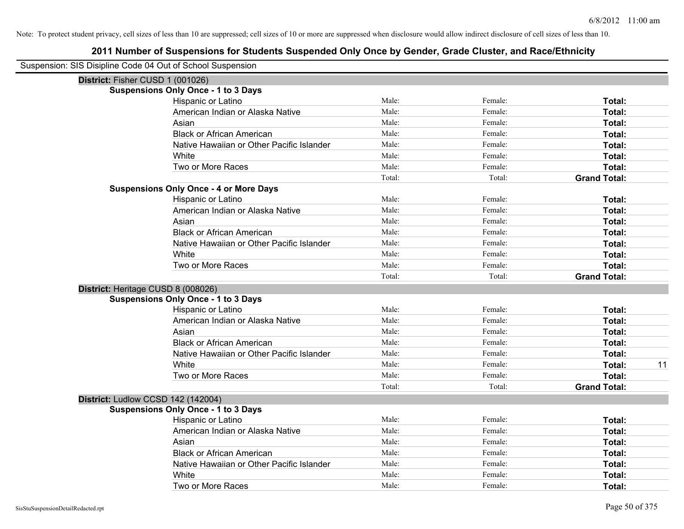| Suspension: SIS Disipline Code 04 Out of School Suspension |                                               |        |         |                     |
|------------------------------------------------------------|-----------------------------------------------|--------|---------|---------------------|
| District: Fisher CUSD 1 (001026)                           |                                               |        |         |                     |
|                                                            | <b>Suspensions Only Once - 1 to 3 Days</b>    |        |         |                     |
|                                                            | Hispanic or Latino                            | Male:  | Female: | Total:              |
|                                                            | American Indian or Alaska Native              | Male:  | Female: | Total:              |
|                                                            | Asian                                         | Male:  | Female: | Total:              |
|                                                            | <b>Black or African American</b>              | Male:  | Female: | Total:              |
|                                                            | Native Hawaiian or Other Pacific Islander     | Male:  | Female: | Total:              |
|                                                            | White                                         | Male:  | Female: | Total:              |
|                                                            | Two or More Races                             | Male:  | Female: | Total:              |
|                                                            |                                               | Total: | Total:  | <b>Grand Total:</b> |
|                                                            | <b>Suspensions Only Once - 4 or More Days</b> |        |         |                     |
|                                                            | Hispanic or Latino                            | Male:  | Female: | Total:              |
|                                                            | American Indian or Alaska Native              | Male:  | Female: | Total:              |
|                                                            | Asian                                         | Male:  | Female: | Total:              |
|                                                            | <b>Black or African American</b>              | Male:  | Female: | Total:              |
|                                                            | Native Hawaiian or Other Pacific Islander     | Male:  | Female: | Total:              |
|                                                            | White                                         | Male:  | Female: | Total:              |
|                                                            | Two or More Races                             | Male:  | Female: | Total:              |
|                                                            |                                               | Total: | Total:  | <b>Grand Total:</b> |
| District: Heritage CUSD 8 (008026)                         |                                               |        |         |                     |
|                                                            | <b>Suspensions Only Once - 1 to 3 Days</b>    |        |         |                     |
|                                                            | Hispanic or Latino                            | Male:  | Female: | Total:              |
|                                                            | American Indian or Alaska Native              | Male:  | Female: | Total:              |
|                                                            | Asian                                         | Male:  | Female: | Total:              |
|                                                            | <b>Black or African American</b>              | Male:  | Female: | Total:              |
|                                                            | Native Hawaiian or Other Pacific Islander     | Male:  | Female: | Total:              |
|                                                            | White                                         | Male:  | Female: | Total:<br>11        |
|                                                            | Two or More Races                             | Male:  | Female: | Total:              |
|                                                            |                                               | Total: | Total:  | <b>Grand Total:</b> |
| District: Ludlow CCSD 142 (142004)                         |                                               |        |         |                     |
|                                                            | <b>Suspensions Only Once - 1 to 3 Days</b>    |        |         |                     |
|                                                            | Hispanic or Latino                            | Male:  | Female: | Total:              |
|                                                            | American Indian or Alaska Native              | Male:  | Female: | Total:              |
|                                                            | Asian                                         | Male:  | Female: | Total:              |
|                                                            | <b>Black or African American</b>              | Male:  | Female: | Total:              |
|                                                            | Native Hawaiian or Other Pacific Islander     | Male:  | Female: | Total:              |
|                                                            | White                                         | Male:  | Female: | Total:              |
|                                                            | Two or More Races                             | Male:  | Female: | Total:              |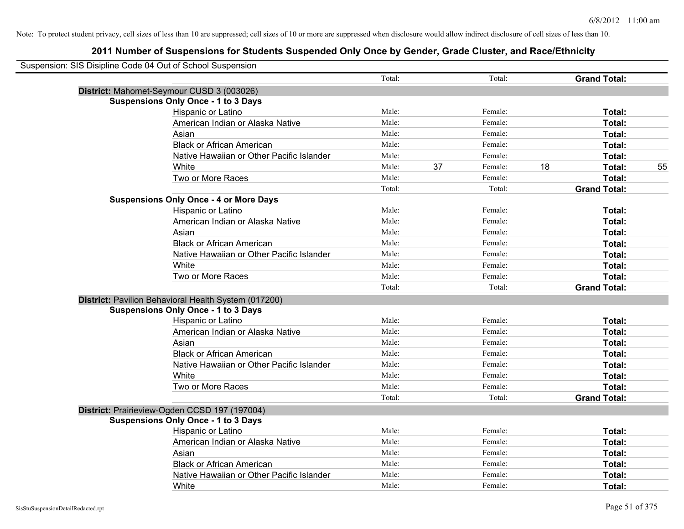| Suspension: SIS Disipline Code 04 Out of School Suspension |                                                      |        |    |         |    |                     |    |
|------------------------------------------------------------|------------------------------------------------------|--------|----|---------|----|---------------------|----|
|                                                            |                                                      | Total: |    | Total:  |    | <b>Grand Total:</b> |    |
|                                                            | District: Mahomet-Seymour CUSD 3 (003026)            |        |    |         |    |                     |    |
|                                                            | <b>Suspensions Only Once - 1 to 3 Days</b>           |        |    |         |    |                     |    |
|                                                            | Hispanic or Latino                                   | Male:  |    | Female: |    | Total:              |    |
|                                                            | American Indian or Alaska Native                     | Male:  |    | Female: |    | Total:              |    |
|                                                            | Asian                                                | Male:  |    | Female: |    | Total:              |    |
|                                                            | <b>Black or African American</b>                     | Male:  |    | Female: |    | Total:              |    |
|                                                            | Native Hawaiian or Other Pacific Islander            | Male:  |    | Female: |    | Total:              |    |
|                                                            | White                                                | Male:  | 37 | Female: | 18 | Total:              | 55 |
|                                                            | Two or More Races                                    | Male:  |    | Female: |    | Total:              |    |
|                                                            |                                                      | Total: |    | Total:  |    | <b>Grand Total:</b> |    |
|                                                            | <b>Suspensions Only Once - 4 or More Days</b>        |        |    |         |    |                     |    |
|                                                            | Hispanic or Latino                                   | Male:  |    | Female: |    | Total:              |    |
|                                                            | American Indian or Alaska Native                     | Male:  |    | Female: |    | Total:              |    |
|                                                            | Asian                                                | Male:  |    | Female: |    | Total:              |    |
|                                                            | <b>Black or African American</b>                     | Male:  |    | Female: |    | Total:              |    |
|                                                            | Native Hawaiian or Other Pacific Islander            | Male:  |    | Female: |    | Total:              |    |
|                                                            | White                                                | Male:  |    | Female: |    | Total:              |    |
|                                                            | Two or More Races                                    | Male:  |    | Female: |    | Total:              |    |
|                                                            |                                                      | Total: |    | Total:  |    | <b>Grand Total:</b> |    |
|                                                            | District: Pavilion Behavioral Health System (017200) |        |    |         |    |                     |    |
|                                                            | <b>Suspensions Only Once - 1 to 3 Days</b>           |        |    |         |    |                     |    |
|                                                            | Hispanic or Latino                                   | Male:  |    | Female: |    | Total:              |    |
|                                                            | American Indian or Alaska Native                     | Male:  |    | Female: |    | Total:              |    |
|                                                            | Asian                                                | Male:  |    | Female: |    | Total:              |    |
|                                                            | <b>Black or African American</b>                     | Male:  |    | Female: |    | Total:              |    |
|                                                            | Native Hawaiian or Other Pacific Islander            | Male:  |    | Female: |    | Total:              |    |
|                                                            | White                                                | Male:  |    | Female: |    | Total:              |    |
|                                                            | Two or More Races                                    | Male:  |    | Female: |    | Total:              |    |
|                                                            |                                                      | Total: |    | Total:  |    | <b>Grand Total:</b> |    |
|                                                            | District: Prairieview-Ogden CCSD 197 (197004)        |        |    |         |    |                     |    |
|                                                            | <b>Suspensions Only Once - 1 to 3 Days</b>           |        |    |         |    |                     |    |
|                                                            | Hispanic or Latino                                   | Male:  |    | Female: |    | Total:              |    |
|                                                            | American Indian or Alaska Native                     | Male:  |    | Female: |    | Total:              |    |
|                                                            | Asian                                                | Male:  |    | Female: |    | Total:              |    |
|                                                            | <b>Black or African American</b>                     | Male:  |    | Female: |    | Total:              |    |
|                                                            | Native Hawaiian or Other Pacific Islander            | Male:  |    | Female: |    | Total:              |    |
|                                                            | White                                                | Male:  |    | Female: |    | Total:              |    |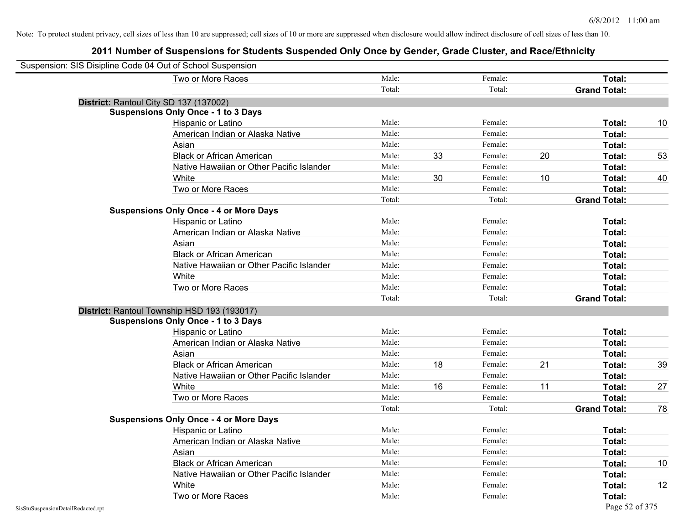| Suspension: SIS Disipline Code 04 Out of School Suspension |                                               |        |    |         |    |                     |    |
|------------------------------------------------------------|-----------------------------------------------|--------|----|---------|----|---------------------|----|
|                                                            | Two or More Races                             | Male:  |    | Female: |    | <b>Total:</b>       |    |
|                                                            |                                               | Total: |    | Total:  |    | <b>Grand Total:</b> |    |
| District: Rantoul City SD 137 (137002)                     |                                               |        |    |         |    |                     |    |
|                                                            | <b>Suspensions Only Once - 1 to 3 Days</b>    |        |    |         |    |                     |    |
|                                                            | Hispanic or Latino                            | Male:  |    | Female: |    | Total:              | 10 |
|                                                            | American Indian or Alaska Native              | Male:  |    | Female: |    | Total:              |    |
|                                                            | Asian                                         | Male:  |    | Female: |    | Total:              |    |
|                                                            | <b>Black or African American</b>              | Male:  | 33 | Female: | 20 | Total:              | 53 |
|                                                            | Native Hawaiian or Other Pacific Islander     | Male:  |    | Female: |    | Total:              |    |
|                                                            | White                                         | Male:  | 30 | Female: | 10 | Total:              | 40 |
|                                                            | Two or More Races                             | Male:  |    | Female: |    | Total:              |    |
|                                                            |                                               | Total: |    | Total:  |    | <b>Grand Total:</b> |    |
|                                                            | <b>Suspensions Only Once - 4 or More Days</b> |        |    |         |    |                     |    |
|                                                            | Hispanic or Latino                            | Male:  |    | Female: |    | Total:              |    |
|                                                            | American Indian or Alaska Native              | Male:  |    | Female: |    | Total:              |    |
|                                                            | Asian                                         | Male:  |    | Female: |    | Total:              |    |
|                                                            | <b>Black or African American</b>              | Male:  |    | Female: |    | Total:              |    |
|                                                            | Native Hawaiian or Other Pacific Islander     | Male:  |    | Female: |    | Total:              |    |
|                                                            | White                                         | Male:  |    | Female: |    | Total:              |    |
|                                                            | Two or More Races                             | Male:  |    | Female: |    | Total:              |    |
|                                                            |                                               | Total: |    | Total:  |    | <b>Grand Total:</b> |    |
|                                                            | District: Rantoul Township HSD 193 (193017)   |        |    |         |    |                     |    |
|                                                            | <b>Suspensions Only Once - 1 to 3 Days</b>    |        |    |         |    |                     |    |
|                                                            | Hispanic or Latino                            | Male:  |    | Female: |    | Total:              |    |
|                                                            | American Indian or Alaska Native              | Male:  |    | Female: |    | Total:              |    |
|                                                            | Asian                                         | Male:  |    | Female: |    | Total:              |    |
|                                                            | <b>Black or African American</b>              | Male:  | 18 | Female: | 21 | Total:              | 39 |
|                                                            | Native Hawaiian or Other Pacific Islander     | Male:  |    | Female: |    | Total:              |    |
|                                                            | White                                         | Male:  | 16 | Female: | 11 | Total:              | 27 |
|                                                            | Two or More Races                             | Male:  |    | Female: |    | Total:              |    |
|                                                            |                                               | Total: |    | Total:  |    | <b>Grand Total:</b> | 78 |
|                                                            | <b>Suspensions Only Once - 4 or More Days</b> |        |    |         |    |                     |    |
|                                                            | Hispanic or Latino                            | Male:  |    | Female: |    | Total:              |    |
|                                                            | American Indian or Alaska Native              | Male:  |    | Female: |    | Total:              |    |
|                                                            | Asian                                         | Male:  |    | Female: |    | Total:              |    |
|                                                            | <b>Black or African American</b>              | Male:  |    | Female: |    | Total:              | 10 |
|                                                            | Native Hawaiian or Other Pacific Islander     | Male:  |    | Female: |    | Total:              |    |
|                                                            | White                                         | Male:  |    | Female: |    | Total:              | 12 |
|                                                            | Two or More Races                             | Male:  |    | Female: |    | Total:              |    |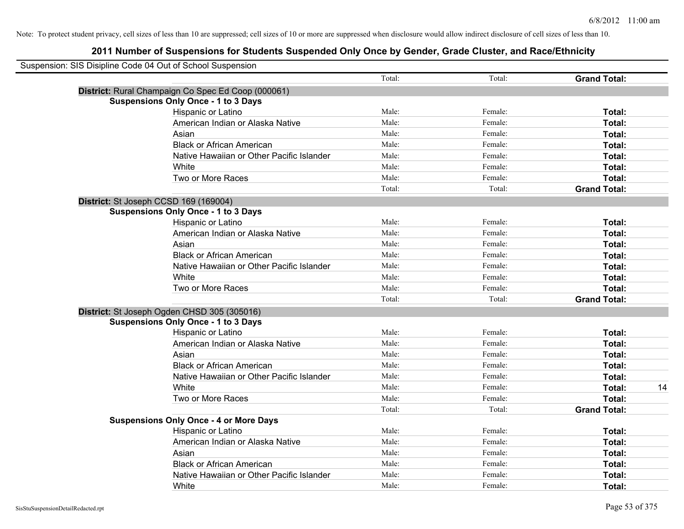| Suspension: SIS Disipline Code 04 Out of School Suspension |                                                    |        |         |                     |    |
|------------------------------------------------------------|----------------------------------------------------|--------|---------|---------------------|----|
|                                                            |                                                    | Total: | Total:  | <b>Grand Total:</b> |    |
|                                                            | District: Rural Champaign Co Spec Ed Coop (000061) |        |         |                     |    |
|                                                            | <b>Suspensions Only Once - 1 to 3 Days</b>         |        |         |                     |    |
|                                                            | Hispanic or Latino                                 | Male:  | Female: | Total:              |    |
|                                                            | American Indian or Alaska Native                   | Male:  | Female: | Total:              |    |
|                                                            | Asian                                              | Male:  | Female: | Total:              |    |
|                                                            | <b>Black or African American</b>                   | Male:  | Female: | Total:              |    |
|                                                            | Native Hawaiian or Other Pacific Islander          | Male:  | Female: | Total:              |    |
|                                                            | White                                              | Male:  | Female: | Total:              |    |
|                                                            | Two or More Races                                  | Male:  | Female: | Total:              |    |
|                                                            |                                                    | Total: | Total:  | <b>Grand Total:</b> |    |
|                                                            | District: St Joseph CCSD 169 (169004)              |        |         |                     |    |
|                                                            | <b>Suspensions Only Once - 1 to 3 Days</b>         |        |         |                     |    |
|                                                            | Hispanic or Latino                                 | Male:  | Female: | Total:              |    |
|                                                            | American Indian or Alaska Native                   | Male:  | Female: | Total:              |    |
|                                                            | Asian                                              | Male:  | Female: | Total:              |    |
|                                                            | <b>Black or African American</b>                   | Male:  | Female: | Total:              |    |
|                                                            | Native Hawaiian or Other Pacific Islander          | Male:  | Female: | Total:              |    |
|                                                            | White                                              | Male:  | Female: | Total:              |    |
|                                                            | Two or More Races                                  | Male:  | Female: | Total:              |    |
|                                                            |                                                    | Total: | Total:  | <b>Grand Total:</b> |    |
|                                                            | District: St Joseph Ogden CHSD 305 (305016)        |        |         |                     |    |
|                                                            | <b>Suspensions Only Once - 1 to 3 Days</b>         |        |         |                     |    |
|                                                            | Hispanic or Latino                                 | Male:  | Female: | Total:              |    |
|                                                            | American Indian or Alaska Native                   | Male:  | Female: | Total:              |    |
|                                                            | Asian                                              | Male:  | Female: | Total:              |    |
|                                                            | <b>Black or African American</b>                   | Male:  | Female: | Total:              |    |
|                                                            | Native Hawaiian or Other Pacific Islander          | Male:  | Female: | Total:              |    |
|                                                            | White                                              | Male:  | Female: | Total:              | 14 |
|                                                            | Two or More Races                                  | Male:  | Female: | Total:              |    |
|                                                            |                                                    | Total: | Total:  | <b>Grand Total:</b> |    |
|                                                            | <b>Suspensions Only Once - 4 or More Days</b>      |        |         |                     |    |
|                                                            | Hispanic or Latino                                 | Male:  | Female: | Total:              |    |
|                                                            | American Indian or Alaska Native                   | Male:  | Female: | Total:              |    |
|                                                            | Asian                                              | Male:  | Female: | Total:              |    |
|                                                            | <b>Black or African American</b>                   | Male:  | Female: | Total:              |    |
|                                                            | Native Hawaiian or Other Pacific Islander          | Male:  | Female: | <b>Total:</b>       |    |
|                                                            | White                                              | Male:  | Female: | Total:              |    |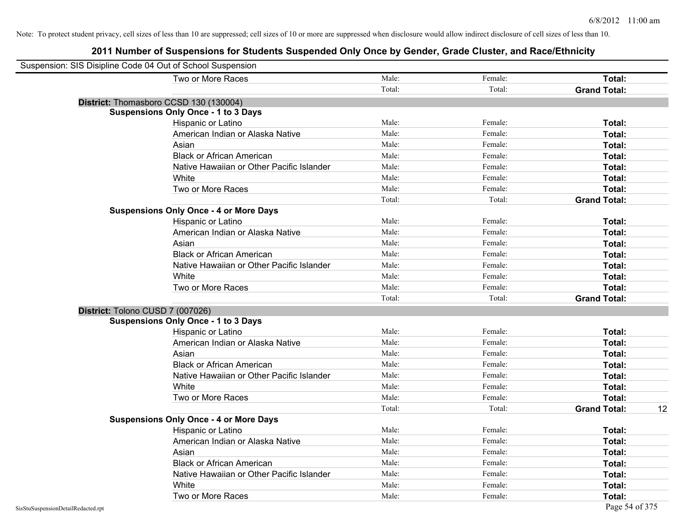| Suspension: SIS Disipline Code 04 Out of School Suspension |                                               |        |         |                           |
|------------------------------------------------------------|-----------------------------------------------|--------|---------|---------------------------|
|                                                            | Two or More Races                             | Male:  | Female: | Total:                    |
|                                                            |                                               | Total: | Total:  | <b>Grand Total:</b>       |
|                                                            | District: Thomasboro CCSD 130 (130004)        |        |         |                           |
|                                                            | <b>Suspensions Only Once - 1 to 3 Days</b>    |        |         |                           |
|                                                            | Hispanic or Latino                            | Male:  | Female: | Total:                    |
|                                                            | American Indian or Alaska Native              | Male:  | Female: | Total:                    |
|                                                            | Asian                                         | Male:  | Female: | Total:                    |
|                                                            | <b>Black or African American</b>              | Male:  | Female: | Total:                    |
|                                                            | Native Hawaiian or Other Pacific Islander     | Male:  | Female: | Total:                    |
|                                                            | White                                         | Male:  | Female: | Total:                    |
|                                                            | Two or More Races                             | Male:  | Female: | Total:                    |
|                                                            |                                               | Total: | Total:  | <b>Grand Total:</b>       |
|                                                            | <b>Suspensions Only Once - 4 or More Days</b> |        |         |                           |
|                                                            | Hispanic or Latino                            | Male:  | Female: | Total:                    |
|                                                            | American Indian or Alaska Native              | Male:  | Female: | Total:                    |
|                                                            | Asian                                         | Male:  | Female: | Total:                    |
|                                                            | <b>Black or African American</b>              | Male:  | Female: | Total:                    |
|                                                            | Native Hawaiian or Other Pacific Islander     | Male:  | Female: | Total:                    |
|                                                            | White                                         | Male:  | Female: | Total:                    |
|                                                            | Two or More Races                             | Male:  | Female: | Total:                    |
|                                                            |                                               | Total: | Total:  | <b>Grand Total:</b>       |
|                                                            | District: Tolono CUSD 7 (007026)              |        |         |                           |
|                                                            | <b>Suspensions Only Once - 1 to 3 Days</b>    |        |         |                           |
|                                                            | Hispanic or Latino                            | Male:  | Female: | Total:                    |
|                                                            | American Indian or Alaska Native              | Male:  | Female: | Total:                    |
|                                                            | Asian                                         | Male:  | Female: | Total:                    |
|                                                            | <b>Black or African American</b>              | Male:  | Female: | Total:                    |
|                                                            | Native Hawaiian or Other Pacific Islander     | Male:  | Female: | Total:                    |
|                                                            | White                                         | Male:  | Female: | Total:                    |
|                                                            | Two or More Races                             | Male:  | Female: | Total:                    |
|                                                            |                                               | Total: | Total:  | <b>Grand Total:</b><br>12 |
|                                                            | <b>Suspensions Only Once - 4 or More Days</b> |        |         |                           |
|                                                            | <b>Hispanic or Latino</b>                     | Male:  | Female: | Total:                    |
|                                                            | American Indian or Alaska Native              | Male:  | Female: | Total:                    |
|                                                            | Asian                                         | Male:  | Female: | Total:                    |
|                                                            | <b>Black or African American</b>              | Male:  | Female: | Total:                    |
|                                                            | Native Hawaiian or Other Pacific Islander     | Male:  | Female: | Total:                    |
|                                                            | White                                         | Male:  | Female: | <b>Total:</b>             |
|                                                            | Two or More Races                             | Male:  | Female: | Total:                    |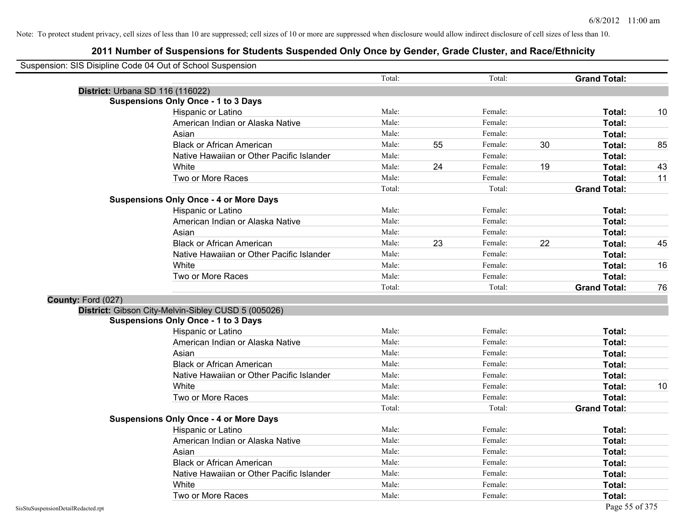|                    | Suspension: SIS Disipline Code 04 Out of School Suspension |        |    |         |    |                     |    |
|--------------------|------------------------------------------------------------|--------|----|---------|----|---------------------|----|
|                    |                                                            | Total: |    | Total:  |    | <b>Grand Total:</b> |    |
|                    | <b>District: Urbana SD 116 (116022)</b>                    |        |    |         |    |                     |    |
|                    | <b>Suspensions Only Once - 1 to 3 Days</b>                 |        |    |         |    |                     |    |
|                    | Hispanic or Latino                                         | Male:  |    | Female: |    | Total:              | 10 |
|                    | American Indian or Alaska Native                           | Male:  |    | Female: |    | Total:              |    |
|                    | Asian                                                      | Male:  |    | Female: |    | Total:              |    |
|                    | <b>Black or African American</b>                           | Male:  | 55 | Female: | 30 | Total:              | 85 |
|                    | Native Hawaiian or Other Pacific Islander                  | Male:  |    | Female: |    | Total:              |    |
|                    | White                                                      | Male:  | 24 | Female: | 19 | Total:              | 43 |
|                    | Two or More Races                                          | Male:  |    | Female: |    | Total:              | 11 |
|                    |                                                            | Total: |    | Total:  |    | <b>Grand Total:</b> |    |
|                    | <b>Suspensions Only Once - 4 or More Days</b>              |        |    |         |    |                     |    |
|                    | Hispanic or Latino                                         | Male:  |    | Female: |    | Total:              |    |
|                    | American Indian or Alaska Native                           | Male:  |    | Female: |    | Total:              |    |
|                    | Asian                                                      | Male:  |    | Female: |    | Total:              |    |
|                    | <b>Black or African American</b>                           | Male:  | 23 | Female: | 22 | Total:              | 45 |
|                    | Native Hawaiian or Other Pacific Islander                  | Male:  |    | Female: |    | Total:              |    |
|                    | White                                                      | Male:  |    | Female: |    | Total:              | 16 |
|                    | Two or More Races                                          | Male:  |    | Female: |    | Total:              |    |
|                    |                                                            | Total: |    | Total:  |    | <b>Grand Total:</b> | 76 |
| County: Ford (027) |                                                            |        |    |         |    |                     |    |
|                    | District: Gibson City-Melvin-Sibley CUSD 5 (005026)        |        |    |         |    |                     |    |
|                    | <b>Suspensions Only Once - 1 to 3 Days</b>                 |        |    |         |    |                     |    |
|                    | Hispanic or Latino                                         | Male:  |    | Female: |    | Total:              |    |
|                    | American Indian or Alaska Native                           | Male:  |    | Female: |    | Total:              |    |
|                    | Asian                                                      | Male:  |    | Female: |    | Total:              |    |
|                    | <b>Black or African American</b>                           | Male:  |    | Female: |    | Total:              |    |
|                    | Native Hawaiian or Other Pacific Islander                  | Male:  |    | Female: |    | Total:              |    |
|                    | White                                                      | Male:  |    | Female: |    | Total:              | 10 |
|                    | Two or More Races                                          | Male:  |    | Female: |    | Total:              |    |
|                    |                                                            | Total: |    | Total:  |    | <b>Grand Total:</b> |    |
|                    | <b>Suspensions Only Once - 4 or More Days</b>              |        |    |         |    |                     |    |
|                    | Hispanic or Latino                                         | Male:  |    | Female: |    | Total:              |    |
|                    | American Indian or Alaska Native                           | Male:  |    | Female: |    | Total:              |    |
|                    | Asian                                                      | Male:  |    | Female: |    | Total:              |    |
|                    | <b>Black or African American</b>                           | Male:  |    | Female: |    | Total:              |    |
|                    | Native Hawaiian or Other Pacific Islander                  | Male:  |    | Female: |    | Total:              |    |
|                    | White                                                      | Male:  |    | Female: |    | Total:              |    |
|                    | Two or More Races                                          | Male:  |    | Female: |    | Total:              |    |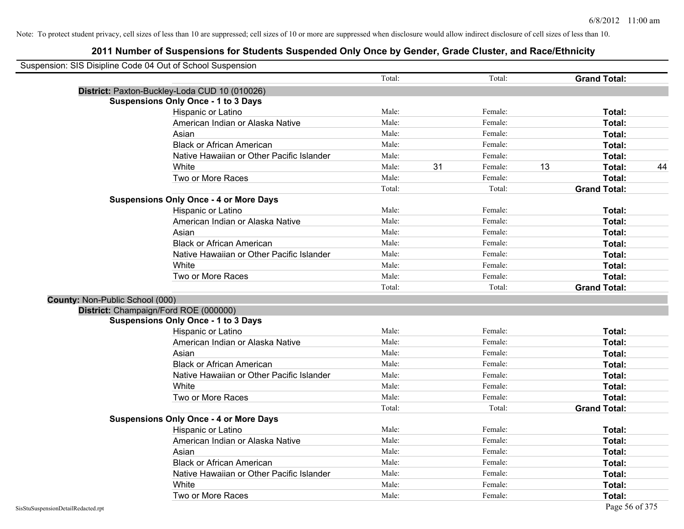|                                 | Suspension: SIS Disipline Code 04 Out of School Suspension |        |    |         |    |                     |    |
|---------------------------------|------------------------------------------------------------|--------|----|---------|----|---------------------|----|
|                                 |                                                            | Total: |    | Total:  |    | <b>Grand Total:</b> |    |
|                                 | District: Paxton-Buckley-Loda CUD 10 (010026)              |        |    |         |    |                     |    |
|                                 | <b>Suspensions Only Once - 1 to 3 Days</b>                 |        |    |         |    |                     |    |
|                                 | Hispanic or Latino                                         | Male:  |    | Female: |    | Total:              |    |
|                                 | American Indian or Alaska Native                           | Male:  |    | Female: |    | Total:              |    |
|                                 | Asian                                                      | Male:  |    | Female: |    | Total:              |    |
|                                 | <b>Black or African American</b>                           | Male:  |    | Female: |    | Total:              |    |
|                                 | Native Hawaiian or Other Pacific Islander                  | Male:  |    | Female: |    | Total:              |    |
|                                 | White                                                      | Male:  | 31 | Female: | 13 | Total:              | 44 |
|                                 | Two or More Races                                          | Male:  |    | Female: |    | Total:              |    |
|                                 |                                                            | Total: |    | Total:  |    | <b>Grand Total:</b> |    |
|                                 | <b>Suspensions Only Once - 4 or More Days</b>              |        |    |         |    |                     |    |
|                                 | Hispanic or Latino                                         | Male:  |    | Female: |    | Total:              |    |
|                                 | American Indian or Alaska Native                           | Male:  |    | Female: |    | Total:              |    |
|                                 | Asian                                                      | Male:  |    | Female: |    | Total:              |    |
|                                 | <b>Black or African American</b>                           | Male:  |    | Female: |    | Total:              |    |
|                                 | Native Hawaiian or Other Pacific Islander                  | Male:  |    | Female: |    | Total:              |    |
|                                 | White                                                      | Male:  |    | Female: |    | Total:              |    |
|                                 | Two or More Races                                          | Male:  |    | Female: |    | Total:              |    |
|                                 |                                                            | Total: |    | Total:  |    | <b>Grand Total:</b> |    |
| County: Non-Public School (000) |                                                            |        |    |         |    |                     |    |
|                                 | District: Champaign/Ford ROE (000000)                      |        |    |         |    |                     |    |
|                                 | <b>Suspensions Only Once - 1 to 3 Days</b>                 |        |    |         |    |                     |    |
|                                 | Hispanic or Latino                                         | Male:  |    | Female: |    | Total:              |    |
|                                 | American Indian or Alaska Native                           | Male:  |    | Female: |    | Total:              |    |
|                                 | Asian                                                      | Male:  |    | Female: |    | Total:              |    |
|                                 | <b>Black or African American</b>                           | Male:  |    | Female: |    | Total:              |    |
|                                 | Native Hawaiian or Other Pacific Islander                  | Male:  |    | Female: |    | Total:              |    |
|                                 | White                                                      | Male:  |    | Female: |    | Total:              |    |
|                                 | Two or More Races                                          | Male:  |    | Female: |    | Total:              |    |
|                                 |                                                            | Total: |    | Total:  |    | <b>Grand Total:</b> |    |
|                                 | <b>Suspensions Only Once - 4 or More Days</b>              |        |    |         |    |                     |    |
|                                 | Hispanic or Latino                                         | Male:  |    | Female: |    | Total:              |    |
|                                 | American Indian or Alaska Native                           | Male:  |    | Female: |    | Total:              |    |
|                                 | Asian                                                      | Male:  |    | Female: |    | Total:              |    |
|                                 | <b>Black or African American</b>                           | Male:  |    | Female: |    | Total:              |    |
|                                 | Native Hawaiian or Other Pacific Islander                  | Male:  |    | Female: |    | Total:              |    |
|                                 | White                                                      | Male:  |    | Female: |    | Total:              |    |
|                                 | Two or More Races                                          | Male:  |    | Female: |    | Total:              |    |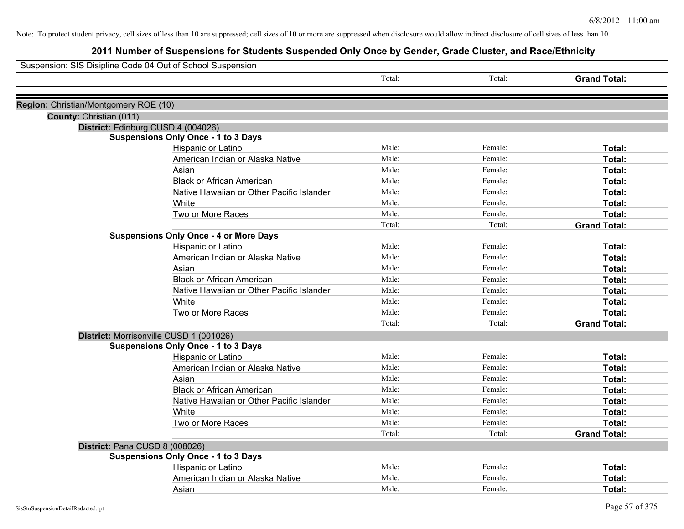| Suspension: SIS Disipline Code 04 Out of School Suspension |                                               |        |         |                     |
|------------------------------------------------------------|-----------------------------------------------|--------|---------|---------------------|
|                                                            |                                               | Total: | Total:  | <b>Grand Total:</b> |
| Region: Christian/Montgomery ROE (10)                      |                                               |        |         |                     |
| County: Christian (011)                                    |                                               |        |         |                     |
| District: Edinburg CUSD 4 (004026)                         |                                               |        |         |                     |
|                                                            | <b>Suspensions Only Once - 1 to 3 Days</b>    |        |         |                     |
|                                                            | Hispanic or Latino                            | Male:  | Female: | Total:              |
|                                                            | American Indian or Alaska Native              | Male:  | Female: | <b>Total:</b>       |
|                                                            | Asian                                         | Male:  | Female: | Total:              |
|                                                            | <b>Black or African American</b>              | Male:  | Female: | Total:              |
|                                                            | Native Hawaiian or Other Pacific Islander     | Male:  | Female: | Total:              |
|                                                            | White                                         | Male:  | Female: | Total:              |
|                                                            | Two or More Races                             | Male:  | Female: | Total:              |
|                                                            |                                               | Total: | Total:  | <b>Grand Total:</b> |
|                                                            | <b>Suspensions Only Once - 4 or More Days</b> |        |         |                     |
|                                                            | Hispanic or Latino                            | Male:  | Female: | Total:              |
|                                                            | American Indian or Alaska Native              | Male:  | Female: | Total:              |
|                                                            | Asian                                         | Male:  | Female: | Total:              |
|                                                            | <b>Black or African American</b>              | Male:  | Female: | Total:              |
|                                                            | Native Hawaiian or Other Pacific Islander     | Male:  | Female: | Total:              |
|                                                            | White                                         | Male:  | Female: | Total:              |
|                                                            | Two or More Races                             | Male:  | Female: | Total:              |
|                                                            |                                               | Total: | Total:  | <b>Grand Total:</b> |
| District: Morrisonville CUSD 1 (001026)                    |                                               |        |         |                     |
|                                                            | <b>Suspensions Only Once - 1 to 3 Days</b>    |        |         |                     |
|                                                            | Hispanic or Latino                            | Male:  | Female: | Total:              |
|                                                            | American Indian or Alaska Native              | Male:  | Female: | Total:              |
|                                                            | Asian                                         | Male:  | Female: | Total:              |
|                                                            | <b>Black or African American</b>              | Male:  | Female: | Total:              |
|                                                            | Native Hawaiian or Other Pacific Islander     | Male:  | Female: | Total:              |
|                                                            | White                                         | Male:  | Female: | Total:              |
|                                                            | Two or More Races                             | Male:  | Female: | Total:              |
|                                                            |                                               | Total: | Total:  | <b>Grand Total:</b> |
| District: Pana CUSD 8 (008026)                             |                                               |        |         |                     |
|                                                            | <b>Suspensions Only Once - 1 to 3 Days</b>    |        |         |                     |
|                                                            | Hispanic or Latino                            | Male:  | Female: | Total:              |
|                                                            | American Indian or Alaska Native              | Male:  | Female: | Total:              |
|                                                            | Asian                                         | Male:  | Female: | Total:              |
| SisStuSuspensionDetailRedacted.rpt                         |                                               |        |         | Page 57 of 375      |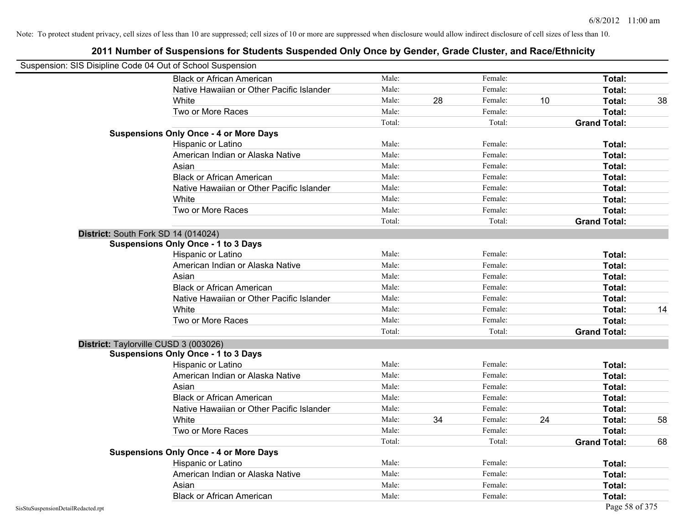| Suspension: SIS Disipline Code 04 Out of School Suspension |                                               |        |    |         |    |                     |    |
|------------------------------------------------------------|-----------------------------------------------|--------|----|---------|----|---------------------|----|
|                                                            | <b>Black or African American</b>              | Male:  |    | Female: |    | Total:              |    |
|                                                            | Native Hawaiian or Other Pacific Islander     | Male:  |    | Female: |    | Total:              |    |
|                                                            | White                                         | Male:  | 28 | Female: | 10 | Total:              | 38 |
|                                                            | Two or More Races                             | Male:  |    | Female: |    | Total:              |    |
|                                                            |                                               | Total: |    | Total:  |    | <b>Grand Total:</b> |    |
|                                                            | <b>Suspensions Only Once - 4 or More Days</b> |        |    |         |    |                     |    |
|                                                            | Hispanic or Latino                            | Male:  |    | Female: |    | Total:              |    |
|                                                            | American Indian or Alaska Native              | Male:  |    | Female: |    | Total:              |    |
|                                                            | Asian                                         | Male:  |    | Female: |    | Total:              |    |
|                                                            | <b>Black or African American</b>              | Male:  |    | Female: |    | Total:              |    |
|                                                            | Native Hawaiian or Other Pacific Islander     | Male:  |    | Female: |    | Total:              |    |
|                                                            | White                                         | Male:  |    | Female: |    | Total:              |    |
|                                                            | Two or More Races                             | Male:  |    | Female: |    | Total:              |    |
|                                                            |                                               | Total: |    | Total:  |    | <b>Grand Total:</b> |    |
|                                                            | District: South Fork SD 14 (014024)           |        |    |         |    |                     |    |
|                                                            | <b>Suspensions Only Once - 1 to 3 Days</b>    |        |    |         |    |                     |    |
|                                                            | Hispanic or Latino                            | Male:  |    | Female: |    | Total:              |    |
|                                                            | American Indian or Alaska Native              | Male:  |    | Female: |    | Total:              |    |
|                                                            | Asian                                         | Male:  |    | Female: |    | Total:              |    |
|                                                            | <b>Black or African American</b>              | Male:  |    | Female: |    | Total:              |    |
|                                                            | Native Hawaiian or Other Pacific Islander     | Male:  |    | Female: |    | Total:              |    |
|                                                            | White                                         | Male:  |    | Female: |    | Total:              | 14 |
|                                                            | Two or More Races                             | Male:  |    | Female: |    | Total:              |    |
|                                                            |                                               | Total: |    | Total:  |    | <b>Grand Total:</b> |    |
|                                                            | District: Taylorville CUSD 3 (003026)         |        |    |         |    |                     |    |
|                                                            | <b>Suspensions Only Once - 1 to 3 Days</b>    |        |    |         |    |                     |    |
|                                                            | Hispanic or Latino                            | Male:  |    | Female: |    | Total:              |    |
|                                                            | American Indian or Alaska Native              | Male:  |    | Female: |    | Total:              |    |
|                                                            | Asian                                         | Male:  |    | Female: |    | Total:              |    |
|                                                            | <b>Black or African American</b>              | Male:  |    | Female: |    | Total:              |    |
|                                                            | Native Hawaiian or Other Pacific Islander     | Male:  |    | Female: |    | Total:              |    |
|                                                            | White                                         | Male:  | 34 | Female: | 24 | Total:              | 58 |
|                                                            | Two or More Races                             | Male:  |    | Female: |    | Total:              |    |
|                                                            |                                               | Total: |    | Total:  |    | <b>Grand Total:</b> | 68 |
|                                                            | <b>Suspensions Only Once - 4 or More Days</b> |        |    |         |    |                     |    |
|                                                            | Hispanic or Latino                            | Male:  |    | Female: |    | Total:              |    |
|                                                            | American Indian or Alaska Native              | Male:  |    | Female: |    | Total:              |    |
|                                                            | Asian                                         | Male:  |    | Female: |    | Total:              |    |
|                                                            | <b>Black or African American</b>              | Male:  |    | Female: |    | Total:              |    |
| SisStuSuspensionDetailRedacted.rpt                         |                                               |        |    |         |    | Page 58 of 375      |    |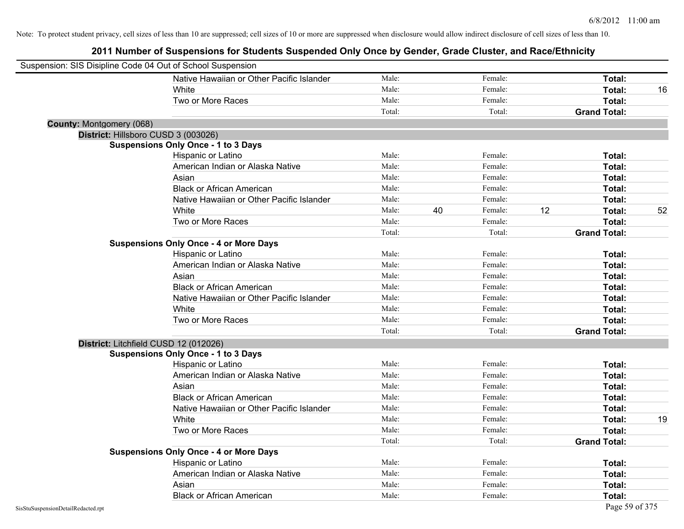| Suspension: SIS Disipline Code 04 Out of School Suspension |                                               |        |    |         |    |                     |    |
|------------------------------------------------------------|-----------------------------------------------|--------|----|---------|----|---------------------|----|
|                                                            | Native Hawaiian or Other Pacific Islander     | Male:  |    | Female: |    | Total:              |    |
|                                                            | White                                         | Male:  |    | Female: |    | Total:              | 16 |
|                                                            | Two or More Races                             | Male:  |    | Female: |    | Total:              |    |
|                                                            |                                               | Total: |    | Total:  |    | <b>Grand Total:</b> |    |
| <b>County: Montgomery (068)</b>                            |                                               |        |    |         |    |                     |    |
| District: Hillsboro CUSD 3 (003026)                        |                                               |        |    |         |    |                     |    |
|                                                            | <b>Suspensions Only Once - 1 to 3 Days</b>    |        |    |         |    |                     |    |
|                                                            | Hispanic or Latino                            | Male:  |    | Female: |    | Total:              |    |
|                                                            | American Indian or Alaska Native              | Male:  |    | Female: |    | Total:              |    |
|                                                            | Asian                                         | Male:  |    | Female: |    | Total:              |    |
|                                                            | <b>Black or African American</b>              | Male:  |    | Female: |    | Total:              |    |
|                                                            | Native Hawaiian or Other Pacific Islander     | Male:  |    | Female: |    | Total:              |    |
|                                                            | White                                         | Male:  | 40 | Female: | 12 | Total:              | 52 |
|                                                            | Two or More Races                             | Male:  |    | Female: |    | Total:              |    |
|                                                            |                                               | Total: |    | Total:  |    | <b>Grand Total:</b> |    |
|                                                            | <b>Suspensions Only Once - 4 or More Days</b> |        |    |         |    |                     |    |
|                                                            | Hispanic or Latino                            | Male:  |    | Female: |    | Total:              |    |
|                                                            | American Indian or Alaska Native              | Male:  |    | Female: |    | Total:              |    |
|                                                            | Asian                                         | Male:  |    | Female: |    | Total:              |    |
|                                                            | <b>Black or African American</b>              | Male:  |    | Female: |    | Total:              |    |
|                                                            | Native Hawaiian or Other Pacific Islander     | Male:  |    | Female: |    | Total:              |    |
|                                                            | White                                         | Male:  |    | Female: |    | Total:              |    |
|                                                            | Two or More Races                             | Male:  |    | Female: |    | Total:              |    |
|                                                            |                                               | Total: |    | Total:  |    | <b>Grand Total:</b> |    |
| District: Litchfield CUSD 12 (012026)                      |                                               |        |    |         |    |                     |    |
|                                                            | <b>Suspensions Only Once - 1 to 3 Days</b>    |        |    |         |    |                     |    |
|                                                            | Hispanic or Latino                            | Male:  |    | Female: |    | Total:              |    |
|                                                            | American Indian or Alaska Native              | Male:  |    | Female: |    | Total:              |    |
|                                                            | Asian                                         | Male:  |    | Female: |    | Total:              |    |
|                                                            | <b>Black or African American</b>              | Male:  |    | Female: |    | Total:              |    |
|                                                            | Native Hawaiian or Other Pacific Islander     | Male:  |    | Female: |    | Total:              |    |
|                                                            | <b>White</b>                                  | Male:  |    | Female: |    | Total:              | 19 |
|                                                            | Two or More Races                             | Male:  |    | Female: |    | Total:              |    |
|                                                            |                                               | Total: |    | Total:  |    | <b>Grand Total:</b> |    |
|                                                            | <b>Suspensions Only Once - 4 or More Days</b> |        |    |         |    |                     |    |
|                                                            | Hispanic or Latino                            | Male:  |    | Female: |    | Total:              |    |
|                                                            | American Indian or Alaska Native              | Male:  |    | Female: |    | Total:              |    |
|                                                            | Asian                                         | Male:  |    | Female: |    | <b>Total:</b>       |    |
|                                                            | <b>Black or African American</b>              | Male:  |    | Female: |    | Total:              |    |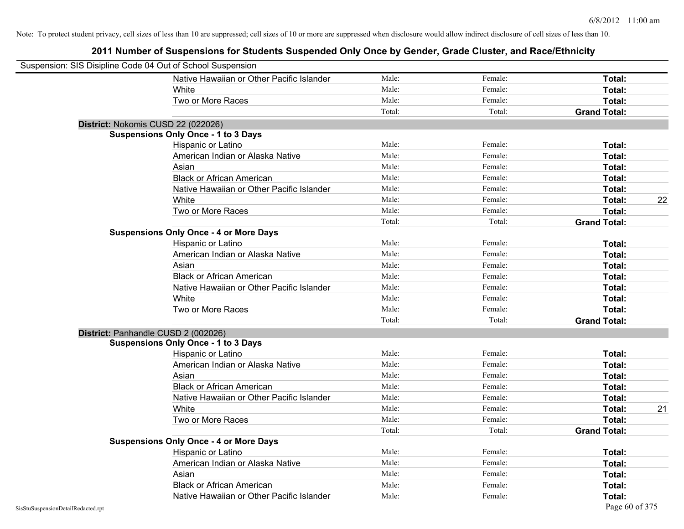| Suspension: SIS Disipline Code 04 Out of School Suspension |                                               |        |         |                     |
|------------------------------------------------------------|-----------------------------------------------|--------|---------|---------------------|
|                                                            | Native Hawaiian or Other Pacific Islander     | Male:  | Female: | Total:              |
|                                                            | <b>White</b>                                  | Male:  | Female: | Total:              |
|                                                            | Two or More Races                             | Male:  | Female: | Total:              |
|                                                            |                                               | Total: | Total:  | <b>Grand Total:</b> |
| District: Nokomis CUSD 22 (022026)                         |                                               |        |         |                     |
|                                                            | <b>Suspensions Only Once - 1 to 3 Days</b>    |        |         |                     |
|                                                            | Hispanic or Latino                            | Male:  | Female: | Total:              |
|                                                            | American Indian or Alaska Native              | Male:  | Female: | Total:              |
|                                                            | Asian                                         | Male:  | Female: | Total:              |
|                                                            | <b>Black or African American</b>              | Male:  | Female: | Total:              |
|                                                            | Native Hawaiian or Other Pacific Islander     | Male:  | Female: | Total:              |
|                                                            | White                                         | Male:  | Female: | 22<br>Total:        |
|                                                            | Two or More Races                             | Male:  | Female: | Total:              |
|                                                            |                                               | Total: | Total:  | <b>Grand Total:</b> |
|                                                            | <b>Suspensions Only Once - 4 or More Days</b> |        |         |                     |
|                                                            | Hispanic or Latino                            | Male:  | Female: | Total:              |
|                                                            | American Indian or Alaska Native              | Male:  | Female: | Total:              |
|                                                            | Asian                                         | Male:  | Female: | Total:              |
|                                                            | <b>Black or African American</b>              | Male:  | Female: | Total:              |
|                                                            | Native Hawaiian or Other Pacific Islander     | Male:  | Female: | Total:              |
|                                                            | White                                         | Male:  | Female: | Total:              |
|                                                            | Two or More Races                             | Male:  | Female: | Total:              |
|                                                            |                                               | Total: | Total:  | <b>Grand Total:</b> |
| District: Panhandle CUSD 2 (002026)                        |                                               |        |         |                     |
|                                                            | <b>Suspensions Only Once - 1 to 3 Days</b>    |        |         |                     |
|                                                            | Hispanic or Latino                            | Male:  | Female: | Total:              |
|                                                            | American Indian or Alaska Native              | Male:  | Female: | Total:              |
|                                                            | Asian                                         | Male:  | Female: | Total:              |
|                                                            | <b>Black or African American</b>              | Male:  | Female: | Total:              |
|                                                            | Native Hawaiian or Other Pacific Islander     | Male:  | Female: | Total:              |
|                                                            | White                                         | Male:  | Female: | Total:<br>21        |
|                                                            | Two or More Races                             | Male:  | Female: | Total:              |
|                                                            |                                               | Total: | Total:  | <b>Grand Total:</b> |
|                                                            | <b>Suspensions Only Once - 4 or More Days</b> |        |         |                     |
|                                                            | Hispanic or Latino                            | Male:  | Female: | Total:              |
|                                                            | American Indian or Alaska Native              | Male:  | Female: | Total:              |
|                                                            | Asian                                         | Male:  | Female: | Total:              |
|                                                            | <b>Black or African American</b>              | Male:  | Female: | Total:              |
|                                                            | Native Hawaiian or Other Pacific Islander     | Male:  | Female: | Total:              |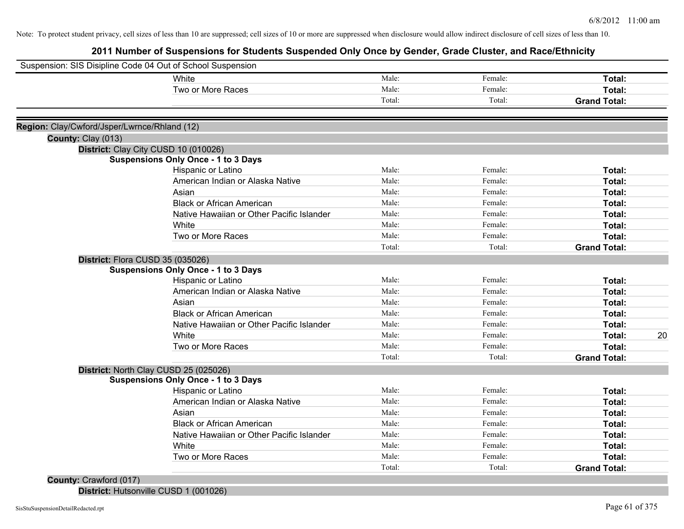# **2011 Number of Suspensions for Students Suspended Only Once by Gender, Grade Cluster, and Race/Ethnicity**

| Suspension: SIS Disipline Code 04 Out of School Suspension |        |         |                     |
|------------------------------------------------------------|--------|---------|---------------------|
| White                                                      | Male:  | Female: | Total:              |
| Two or More Races                                          | Male:  | Female: | Total:              |
|                                                            | Total: | Total:  | <b>Grand Total:</b> |
| Region: Clay/Cwford/Jsper/Lwrnce/Rhland (12)               |        |         |                     |
| County: Clay (013)                                         |        |         |                     |
| District: Clay City CUSD 10 (010026)                       |        |         |                     |
| <b>Suspensions Only Once - 1 to 3 Days</b>                 |        |         |                     |
| Hispanic or Latino                                         | Male:  | Female: | Total:              |
| American Indian or Alaska Native                           | Male:  | Female: | Total:              |
| Asian                                                      | Male:  | Female: | Total:              |
| <b>Black or African American</b>                           | Male:  | Female: | Total:              |
| Native Hawaiian or Other Pacific Islander                  | Male:  | Female: | Total:              |
| White                                                      | Male:  | Female: | Total:              |
| Two or More Races                                          | Male:  | Female: | Total:              |
|                                                            | Total: | Total:  | <b>Grand Total:</b> |
| District: Flora CUSD 35 (035026)                           |        |         |                     |
| <b>Suspensions Only Once - 1 to 3 Days</b>                 |        |         |                     |
| Hispanic or Latino                                         | Male:  | Female: | Total:              |
| American Indian or Alaska Native                           | Male:  | Female: | <b>Total:</b>       |
| Asian                                                      | Male:  | Female: | <b>Total:</b>       |
| <b>Black or African American</b>                           | Male:  | Female: | Total:              |
| Native Hawaiian or Other Pacific Islander                  | Male:  | Female: | Total:              |
| White                                                      | Male:  | Female: | 20<br>Total:        |
| Two or More Races                                          | Male:  | Female: | Total:              |
|                                                            | Total: | Total:  | <b>Grand Total:</b> |
| District: North Clay CUSD 25 (025026)                      |        |         |                     |
| <b>Suspensions Only Once - 1 to 3 Days</b>                 |        |         |                     |
| Hispanic or Latino                                         | Male:  | Female: | Total:              |
| American Indian or Alaska Native                           | Male:  | Female: | Total:              |
| Asian                                                      | Male:  | Female: | Total:              |
| <b>Black or African American</b>                           | Male:  | Female: | Total:              |
| Native Hawaiian or Other Pacific Islander                  | Male:  | Female: | Total:              |
| White                                                      | Male:  | Female: | Total:              |
| Two or More Races                                          | Male:  | Female: | <b>Total:</b>       |
|                                                            | Total: | Total:  | <b>Grand Total:</b> |
| County: Crawford (017)                                     |        |         |                     |

**District:** Hutsonville CUSD 1 (001026)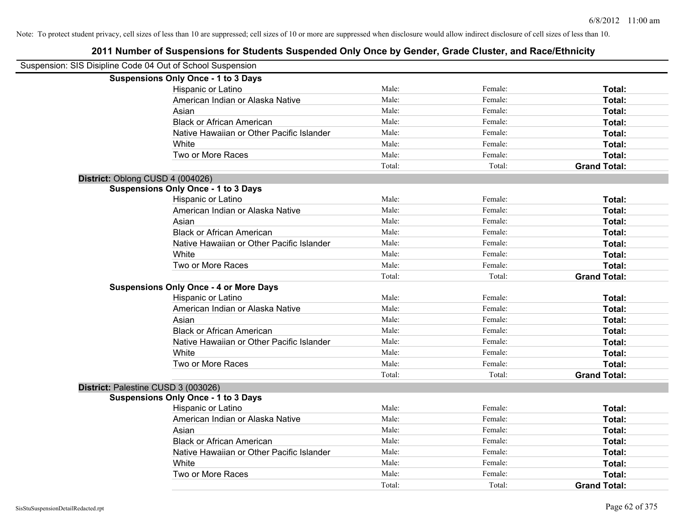| Suspension: SIS Disipline Code 04 Out of School Suspension |                                               |        |         |                     |
|------------------------------------------------------------|-----------------------------------------------|--------|---------|---------------------|
|                                                            | <b>Suspensions Only Once - 1 to 3 Days</b>    |        |         |                     |
|                                                            | Hispanic or Latino                            | Male:  | Female: | Total:              |
|                                                            | American Indian or Alaska Native              | Male:  | Female: | Total:              |
|                                                            | Asian                                         | Male:  | Female: | Total:              |
|                                                            | <b>Black or African American</b>              | Male:  | Female: | Total:              |
|                                                            | Native Hawaiian or Other Pacific Islander     | Male:  | Female: | Total:              |
|                                                            | White                                         | Male:  | Female: | Total:              |
|                                                            | Two or More Races                             | Male:  | Female: | Total:              |
|                                                            |                                               | Total: | Total:  | <b>Grand Total:</b> |
| District: Oblong CUSD 4 (004026)                           |                                               |        |         |                     |
|                                                            | <b>Suspensions Only Once - 1 to 3 Days</b>    |        |         |                     |
|                                                            | Hispanic or Latino                            | Male:  | Female: | Total:              |
|                                                            | American Indian or Alaska Native              | Male:  | Female: | Total:              |
|                                                            | Asian                                         | Male:  | Female: | Total:              |
|                                                            | <b>Black or African American</b>              | Male:  | Female: | Total:              |
|                                                            | Native Hawaiian or Other Pacific Islander     | Male:  | Female: | Total:              |
|                                                            | White                                         | Male:  | Female: | Total:              |
|                                                            | Two or More Races                             | Male:  | Female: | Total:              |
|                                                            |                                               | Total: | Total:  | <b>Grand Total:</b> |
|                                                            | <b>Suspensions Only Once - 4 or More Days</b> |        |         |                     |
|                                                            | Hispanic or Latino                            | Male:  | Female: | Total:              |
|                                                            | American Indian or Alaska Native              | Male:  | Female: | Total:              |
|                                                            | Asian                                         | Male:  | Female: | Total:              |
|                                                            | <b>Black or African American</b>              | Male:  | Female: | Total:              |
|                                                            | Native Hawaiian or Other Pacific Islander     | Male:  | Female: | Total:              |
|                                                            | White                                         | Male:  | Female: | Total:              |
|                                                            | Two or More Races                             | Male:  | Female: | Total:              |
|                                                            |                                               | Total: | Total:  | <b>Grand Total:</b> |
| District: Palestine CUSD 3 (003026)                        |                                               |        |         |                     |
|                                                            | <b>Suspensions Only Once - 1 to 3 Days</b>    |        |         |                     |
|                                                            | Hispanic or Latino                            | Male:  | Female: | Total:              |
|                                                            | American Indian or Alaska Native              | Male:  | Female: | Total:              |
|                                                            | Asian                                         | Male:  | Female: | Total:              |
|                                                            | <b>Black or African American</b>              | Male:  | Female: | Total:              |
|                                                            | Native Hawaiian or Other Pacific Islander     | Male:  | Female: | Total:              |
|                                                            | White                                         | Male:  | Female: | Total:              |
|                                                            | Two or More Races                             | Male:  | Female: | <b>Total:</b>       |
|                                                            |                                               | Total: | Total:  | <b>Grand Total:</b> |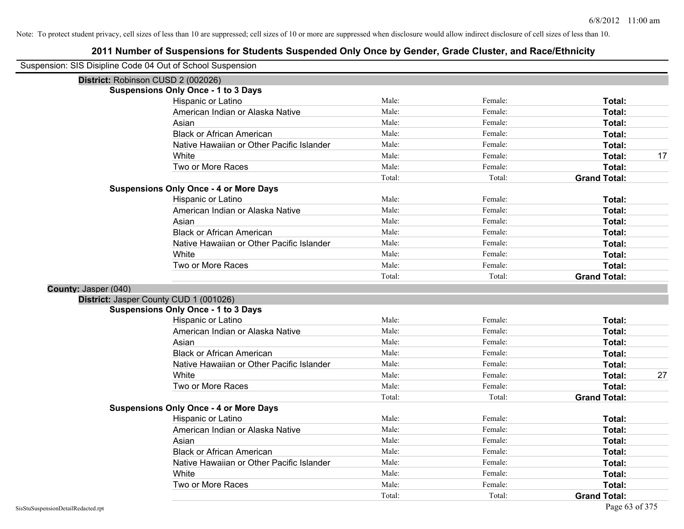| Suspension: SIS Disipline Code 04 Out of School Suspension |                                               |        |         |                     |    |
|------------------------------------------------------------|-----------------------------------------------|--------|---------|---------------------|----|
| District: Robinson CUSD 2 (002026)                         |                                               |        |         |                     |    |
|                                                            | <b>Suspensions Only Once - 1 to 3 Days</b>    |        |         |                     |    |
|                                                            | Hispanic or Latino                            | Male:  | Female: | Total:              |    |
|                                                            | American Indian or Alaska Native              | Male:  | Female: | Total:              |    |
|                                                            | Asian                                         | Male:  | Female: | Total:              |    |
|                                                            | <b>Black or African American</b>              | Male:  | Female: | Total:              |    |
|                                                            | Native Hawaiian or Other Pacific Islander     | Male:  | Female: | Total:              |    |
|                                                            | White                                         | Male:  | Female: | Total:              | 17 |
|                                                            | Two or More Races                             | Male:  | Female: | Total:              |    |
|                                                            |                                               | Total: | Total:  | <b>Grand Total:</b> |    |
|                                                            | <b>Suspensions Only Once - 4 or More Days</b> |        |         |                     |    |
|                                                            | Hispanic or Latino                            | Male:  | Female: | Total:              |    |
|                                                            | American Indian or Alaska Native              | Male:  | Female: | Total:              |    |
|                                                            | Asian                                         | Male:  | Female: | Total:              |    |
|                                                            | <b>Black or African American</b>              | Male:  | Female: | Total:              |    |
|                                                            | Native Hawaiian or Other Pacific Islander     | Male:  | Female: | Total:              |    |
|                                                            | White                                         | Male:  | Female: | <b>Total:</b>       |    |
|                                                            | Two or More Races                             | Male:  | Female: | Total:              |    |
|                                                            |                                               | Total: | Total:  | <b>Grand Total:</b> |    |
| County: Jasper (040)                                       |                                               |        |         |                     |    |
|                                                            | District: Jasper County CUD 1 (001026)        |        |         |                     |    |
|                                                            | <b>Suspensions Only Once - 1 to 3 Days</b>    |        |         |                     |    |
|                                                            | Hispanic or Latino                            | Male:  | Female: | Total:              |    |
|                                                            | American Indian or Alaska Native              | Male:  | Female: | Total:              |    |
|                                                            | Asian                                         | Male:  | Female: | Total:              |    |
|                                                            | <b>Black or African American</b>              | Male:  | Female: | Total:              |    |
|                                                            | Native Hawaiian or Other Pacific Islander     | Male:  | Female: | Total:              |    |
|                                                            | White                                         | Male:  | Female: | Total:              | 27 |
|                                                            | Two or More Races                             | Male:  | Female: | Total:              |    |
|                                                            |                                               | Total: | Total:  | <b>Grand Total:</b> |    |
|                                                            | <b>Suspensions Only Once - 4 or More Days</b> |        |         |                     |    |
|                                                            | Hispanic or Latino                            | Male:  | Female: | Total:              |    |
|                                                            | American Indian or Alaska Native              | Male:  | Female: | Total:              |    |
|                                                            | Asian                                         | Male:  | Female: | Total:              |    |
|                                                            | <b>Black or African American</b>              | Male:  | Female: | Total:              |    |
|                                                            | Native Hawaiian or Other Pacific Islander     | Male:  | Female: | Total:              |    |
|                                                            | White                                         | Male:  | Female: | Total:              |    |
|                                                            | Two or More Races                             | Male:  | Female: | Total:              |    |
|                                                            |                                               | Total: | Total:  | <b>Grand Total:</b> |    |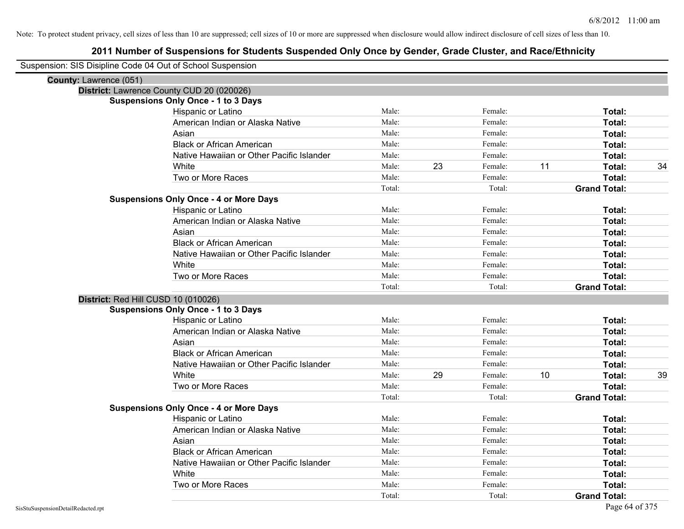| Suspension: SIS Disipline Code 04 Out of School Suspension |                                               |        |    |         |    |                     |    |
|------------------------------------------------------------|-----------------------------------------------|--------|----|---------|----|---------------------|----|
| County: Lawrence (051)                                     |                                               |        |    |         |    |                     |    |
|                                                            | District: Lawrence County CUD 20 (020026)     |        |    |         |    |                     |    |
|                                                            | <b>Suspensions Only Once - 1 to 3 Days</b>    |        |    |         |    |                     |    |
|                                                            | Hispanic or Latino                            | Male:  |    | Female: |    | Total:              |    |
|                                                            | American Indian or Alaska Native              | Male:  |    | Female: |    | Total:              |    |
|                                                            | Asian                                         | Male:  |    | Female: |    | Total:              |    |
|                                                            | <b>Black or African American</b>              | Male:  |    | Female: |    | Total:              |    |
|                                                            | Native Hawaiian or Other Pacific Islander     | Male:  |    | Female: |    | Total:              |    |
|                                                            | White                                         | Male:  | 23 | Female: | 11 | Total:              | 34 |
|                                                            | Two or More Races                             | Male:  |    | Female: |    | Total:              |    |
|                                                            |                                               | Total: |    | Total:  |    | <b>Grand Total:</b> |    |
|                                                            | <b>Suspensions Only Once - 4 or More Days</b> |        |    |         |    |                     |    |
|                                                            | Hispanic or Latino                            | Male:  |    | Female: |    | Total:              |    |
|                                                            | American Indian or Alaska Native              | Male:  |    | Female: |    | Total:              |    |
|                                                            | Asian                                         | Male:  |    | Female: |    | Total:              |    |
|                                                            | <b>Black or African American</b>              | Male:  |    | Female: |    | Total:              |    |
|                                                            | Native Hawaiian or Other Pacific Islander     | Male:  |    | Female: |    | Total:              |    |
|                                                            | White                                         | Male:  |    | Female: |    | Total:              |    |
|                                                            | Two or More Races                             | Male:  |    | Female: |    | Total:              |    |
|                                                            |                                               | Total: |    | Total:  |    | <b>Grand Total:</b> |    |
| District: Red Hill CUSD 10 (010026)                        |                                               |        |    |         |    |                     |    |
|                                                            | <b>Suspensions Only Once - 1 to 3 Days</b>    |        |    |         |    |                     |    |
|                                                            | Hispanic or Latino                            | Male:  |    | Female: |    | Total:              |    |
|                                                            | American Indian or Alaska Native              | Male:  |    | Female: |    | Total:              |    |
|                                                            | Asian                                         | Male:  |    | Female: |    | Total:              |    |
|                                                            | <b>Black or African American</b>              | Male:  |    | Female: |    | Total:              |    |
|                                                            | Native Hawaiian or Other Pacific Islander     | Male:  |    | Female: |    | Total:              |    |
|                                                            | White                                         | Male:  | 29 | Female: | 10 | Total:              | 39 |
|                                                            | Two or More Races                             | Male:  |    | Female: |    | Total:              |    |
|                                                            |                                               | Total: |    | Total:  |    | <b>Grand Total:</b> |    |
|                                                            | <b>Suspensions Only Once - 4 or More Days</b> |        |    |         |    |                     |    |
|                                                            | Hispanic or Latino                            | Male:  |    | Female: |    | Total:              |    |
|                                                            | American Indian or Alaska Native              | Male:  |    | Female: |    | Total:              |    |
|                                                            | Asian                                         | Male:  |    | Female: |    | Total:              |    |
|                                                            | <b>Black or African American</b>              | Male:  |    | Female: |    | Total:              |    |
|                                                            | Native Hawaiian or Other Pacific Islander     | Male:  |    | Female: |    | Total:              |    |
|                                                            | White                                         | Male:  |    | Female: |    | Total:              |    |
|                                                            | Two or More Races                             | Male:  |    | Female: |    | Total:              |    |
|                                                            |                                               | Total: |    | Total:  |    | <b>Grand Total:</b> |    |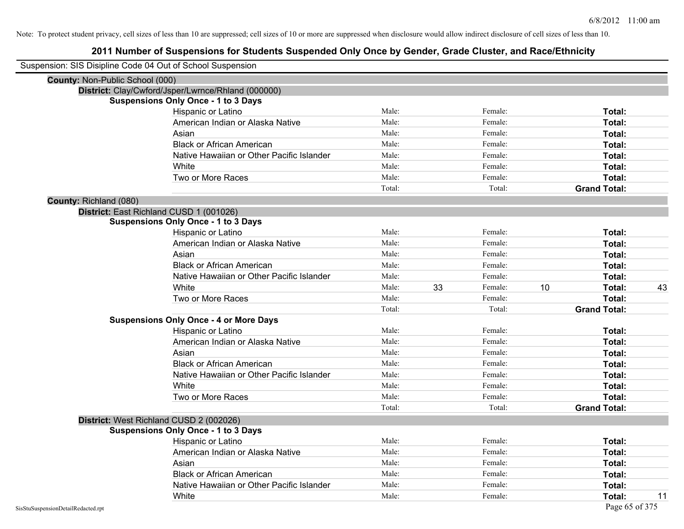|                                        | Suspension: SIS Disipline Code 04 Out of School Suspension |        |    |         |    |                     |    |
|----------------------------------------|------------------------------------------------------------|--------|----|---------|----|---------------------|----|
| <b>County: Non-Public School (000)</b> |                                                            |        |    |         |    |                     |    |
|                                        | District: Clay/Cwford/Jsper/Lwrnce/Rhland (000000)         |        |    |         |    |                     |    |
|                                        | <b>Suspensions Only Once - 1 to 3 Days</b>                 |        |    |         |    |                     |    |
|                                        | Hispanic or Latino                                         | Male:  |    | Female: |    | Total:              |    |
|                                        | American Indian or Alaska Native                           | Male:  |    | Female: |    | Total:              |    |
|                                        | Asian                                                      | Male:  |    | Female: |    | Total:              |    |
|                                        | <b>Black or African American</b>                           | Male:  |    | Female: |    | Total:              |    |
|                                        | Native Hawaiian or Other Pacific Islander                  | Male:  |    | Female: |    | Total:              |    |
|                                        | White                                                      | Male:  |    | Female: |    | Total:              |    |
|                                        | Two or More Races                                          | Male:  |    | Female: |    | Total:              |    |
|                                        |                                                            | Total: |    | Total:  |    | <b>Grand Total:</b> |    |
| County: Richland (080)                 |                                                            |        |    |         |    |                     |    |
|                                        | District: East Richland CUSD 1 (001026)                    |        |    |         |    |                     |    |
|                                        | <b>Suspensions Only Once - 1 to 3 Days</b>                 |        |    |         |    |                     |    |
|                                        | Hispanic or Latino                                         | Male:  |    | Female: |    | Total:              |    |
|                                        | American Indian or Alaska Native                           | Male:  |    | Female: |    | Total:              |    |
|                                        | Asian                                                      | Male:  |    | Female: |    | Total:              |    |
|                                        | <b>Black or African American</b>                           | Male:  |    | Female: |    | Total:              |    |
|                                        | Native Hawaiian or Other Pacific Islander                  | Male:  |    | Female: |    | Total:              |    |
|                                        | White                                                      | Male:  | 33 | Female: | 10 | Total:              | 43 |
|                                        | Two or More Races                                          | Male:  |    | Female: |    | Total:              |    |
|                                        |                                                            | Total: |    | Total:  |    | <b>Grand Total:</b> |    |
|                                        | <b>Suspensions Only Once - 4 or More Days</b>              |        |    |         |    |                     |    |
|                                        | Hispanic or Latino                                         | Male:  |    | Female: |    | Total:              |    |
|                                        | American Indian or Alaska Native                           | Male:  |    | Female: |    | Total:              |    |
|                                        | Asian                                                      | Male:  |    | Female: |    | Total:              |    |
|                                        | <b>Black or African American</b>                           | Male:  |    | Female: |    | Total:              |    |
|                                        | Native Hawaiian or Other Pacific Islander                  | Male:  |    | Female: |    | Total:              |    |
|                                        | White                                                      | Male:  |    | Female: |    | Total:              |    |
|                                        | Two or More Races                                          | Male:  |    | Female: |    | Total:              |    |
|                                        |                                                            | Total: |    | Total:  |    | <b>Grand Total:</b> |    |
|                                        | District: West Richland CUSD 2 (002026)                    |        |    |         |    |                     |    |
|                                        | <b>Suspensions Only Once - 1 to 3 Days</b>                 |        |    |         |    |                     |    |
|                                        | <b>Hispanic or Latino</b>                                  | Male:  |    | Female: |    | Total:              |    |
|                                        | American Indian or Alaska Native                           | Male:  |    | Female: |    | Total:              |    |
|                                        | Asian                                                      | Male:  |    | Female: |    | Total:              |    |
|                                        | <b>Black or African American</b>                           | Male:  |    | Female: |    | Total:              |    |
|                                        | Native Hawaiian or Other Pacific Islander                  | Male:  |    | Female: |    | Total:              |    |
|                                        | White                                                      | Male:  |    | Female: |    | Total:              | 11 |
| SisStuSuspensionDetailRedacted.rpt     |                                                            |        |    |         |    | Page 65 of 375      |    |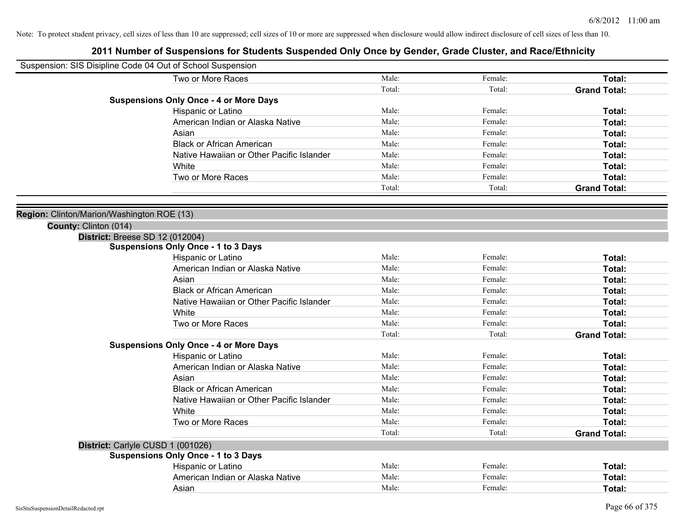| Suspension: SIS Disipline Code 04 Out of School Suspension |        |         |                     |
|------------------------------------------------------------|--------|---------|---------------------|
| Two or More Races                                          | Male:  | Female: | Total:              |
|                                                            | Total: | Total:  | <b>Grand Total:</b> |
| <b>Suspensions Only Once - 4 or More Days</b>              |        |         |                     |
| Hispanic or Latino                                         | Male:  | Female: | Total:              |
| American Indian or Alaska Native                           | Male:  | Female: | Total:              |
| Asian                                                      | Male:  | Female: | Total:              |
| <b>Black or African American</b>                           | Male:  | Female: | Total:              |
| Native Hawaiian or Other Pacific Islander                  | Male:  | Female: | Total:              |
| White                                                      | Male:  | Female: | Total:              |
| Two or More Races                                          | Male:  | Female: | Total:              |
|                                                            | Total: | Total:  | <b>Grand Total:</b> |
|                                                            |        |         |                     |
| Region: Clinton/Marion/Washington ROE (13)                 |        |         |                     |
| County: Clinton (014)                                      |        |         |                     |
| <b>District: Breese SD 12 (012004)</b>                     |        |         |                     |
| <b>Suspensions Only Once - 1 to 3 Days</b>                 |        |         |                     |
| Hispanic or Latino                                         | Male:  | Female: | Total:              |
| American Indian or Alaska Native                           | Male:  | Female: | Total:              |
| Asian                                                      | Male:  | Female: | Total:              |
| <b>Black or African American</b>                           | Male:  | Female: | Total:              |
| Native Hawaiian or Other Pacific Islander                  | Male:  | Female: | Total:              |
| White                                                      | Male:  | Female: | Total:              |
| Two or More Races                                          | Male:  | Female: | Total:              |
|                                                            | Total: | Total:  | <b>Grand Total:</b> |
| <b>Suspensions Only Once - 4 or More Days</b>              |        |         |                     |
| Hispanic or Latino                                         | Male:  | Female: | Total:              |
| American Indian or Alaska Native                           | Male:  | Female: | Total:              |
| Asian                                                      | Male:  | Female: | Total:              |
| <b>Black or African American</b>                           | Male:  | Female: | Total:              |
| Native Hawaiian or Other Pacific Islander                  | Male:  | Female: | Total:              |
| White                                                      | Male:  | Female: | Total:              |
| Two or More Races                                          | Male:  | Female: | Total:              |
|                                                            | Total: | Total:  | <b>Grand Total:</b> |
| District: Carlyle CUSD 1 (001026)                          |        |         |                     |
| <b>Suspensions Only Once - 1 to 3 Days</b>                 |        |         |                     |
| Hispanic or Latino                                         | Male:  | Female: | Total:              |
| American Indian or Alaska Native                           | Male:  | Female: | Total:              |
| Asian                                                      | Male:  | Female: | Total:              |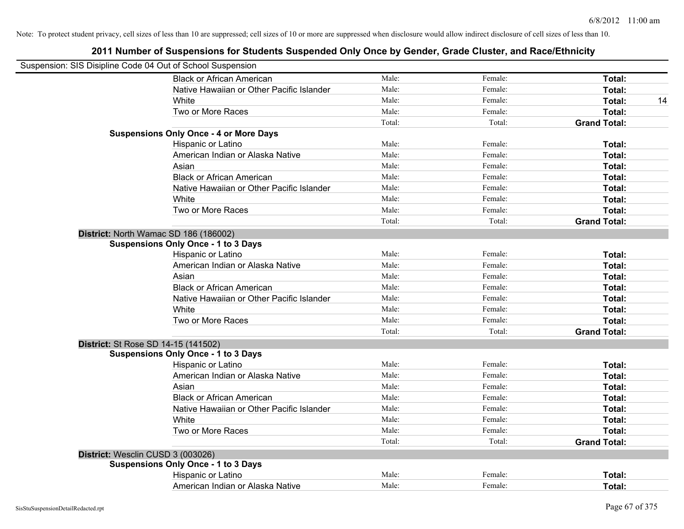| Suspension: SIS Disipline Code 04 Out of School Suspension |        |         |                     |
|------------------------------------------------------------|--------|---------|---------------------|
| <b>Black or African American</b>                           | Male:  | Female: | Total:              |
| Native Hawaiian or Other Pacific Islander                  | Male:  | Female: | Total:              |
| White                                                      | Male:  | Female: | Total:<br>14        |
| Two or More Races                                          | Male:  | Female: | Total:              |
|                                                            | Total: | Total:  | <b>Grand Total:</b> |
| <b>Suspensions Only Once - 4 or More Days</b>              |        |         |                     |
| Hispanic or Latino                                         | Male:  | Female: | Total:              |
| American Indian or Alaska Native                           | Male:  | Female: | Total:              |
| Asian                                                      | Male:  | Female: | Total:              |
| <b>Black or African American</b>                           | Male:  | Female: | Total:              |
| Native Hawaiian or Other Pacific Islander                  | Male:  | Female: | Total:              |
| White                                                      | Male:  | Female: | Total:              |
| Two or More Races                                          | Male:  | Female: | Total:              |
|                                                            | Total: | Total:  | <b>Grand Total:</b> |
| District: North Wamac SD 186 (186002)                      |        |         |                     |
| <b>Suspensions Only Once - 1 to 3 Days</b>                 |        |         |                     |
| Hispanic or Latino                                         | Male:  | Female: | Total:              |
| American Indian or Alaska Native                           | Male:  | Female: | Total:              |
| Asian                                                      | Male:  | Female: | Total:              |
| <b>Black or African American</b>                           | Male:  | Female: | Total:              |
| Native Hawaiian or Other Pacific Islander                  | Male:  | Female: | Total:              |
| White                                                      | Male:  | Female: | Total:              |
| Two or More Races                                          | Male:  | Female: | Total:              |
|                                                            | Total: | Total:  | <b>Grand Total:</b> |
| District: St Rose SD 14-15 (141502)                        |        |         |                     |
| <b>Suspensions Only Once - 1 to 3 Days</b>                 |        |         |                     |
| Hispanic or Latino                                         | Male:  | Female: | Total:              |
| American Indian or Alaska Native                           | Male:  | Female: | Total:              |
| Asian                                                      | Male:  | Female: | Total:              |
| <b>Black or African American</b>                           | Male:  | Female: | Total:              |
| Native Hawaiian or Other Pacific Islander                  | Male:  | Female: | Total:              |
| White                                                      | Male:  | Female: | Total:              |
| Two or More Races                                          | Male:  | Female: | Total:              |
|                                                            | Total: | Total:  | <b>Grand Total:</b> |
| District: Wesclin CUSD 3 (003026)                          |        |         |                     |
| <b>Suspensions Only Once - 1 to 3 Days</b>                 |        |         |                     |
| Hispanic or Latino                                         | Male:  | Female: | Total:              |
| American Indian or Alaska Native                           | Male:  | Female: | Total:              |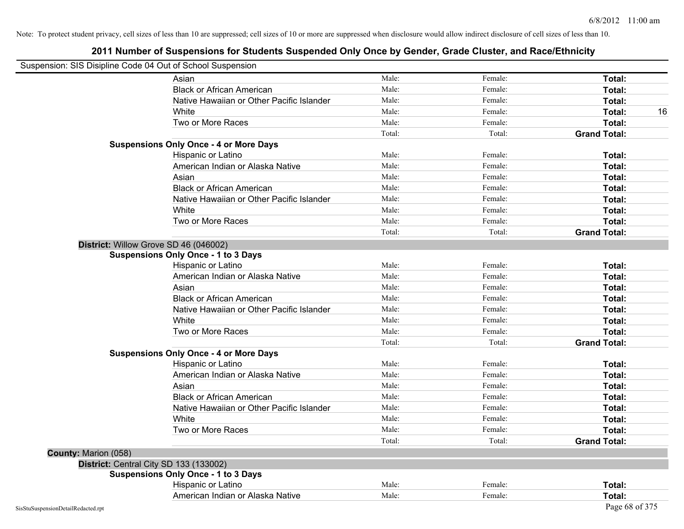| Suspension: SIS Disipline Code 04 Out of School Suspension |                                               |        |         |                     |    |
|------------------------------------------------------------|-----------------------------------------------|--------|---------|---------------------|----|
|                                                            | Asian                                         | Male:  | Female: | Total:              |    |
|                                                            | <b>Black or African American</b>              | Male:  | Female: | Total:              |    |
|                                                            | Native Hawaiian or Other Pacific Islander     | Male:  | Female: | Total:              |    |
|                                                            | White                                         | Male:  | Female: | Total:              | 16 |
|                                                            | Two or More Races                             | Male:  | Female: | Total:              |    |
|                                                            |                                               | Total: | Total:  | <b>Grand Total:</b> |    |
|                                                            | <b>Suspensions Only Once - 4 or More Days</b> |        |         |                     |    |
|                                                            | Hispanic or Latino                            | Male:  | Female: | Total:              |    |
|                                                            | American Indian or Alaska Native              | Male:  | Female: | Total:              |    |
|                                                            | Asian                                         | Male:  | Female: | Total:              |    |
|                                                            | <b>Black or African American</b>              | Male:  | Female: | Total:              |    |
|                                                            | Native Hawaiian or Other Pacific Islander     | Male:  | Female: | Total:              |    |
|                                                            | White                                         | Male:  | Female: | Total:              |    |
|                                                            | Two or More Races                             | Male:  | Female: | Total:              |    |
|                                                            |                                               | Total: | Total:  | <b>Grand Total:</b> |    |
|                                                            | District: Willow Grove SD 46 (046002)         |        |         |                     |    |
|                                                            | <b>Suspensions Only Once - 1 to 3 Days</b>    |        |         |                     |    |
|                                                            | Hispanic or Latino                            | Male:  | Female: | Total:              |    |
|                                                            | American Indian or Alaska Native              | Male:  | Female: | Total:              |    |
|                                                            | Asian                                         | Male:  | Female: | Total:              |    |
|                                                            | <b>Black or African American</b>              | Male:  | Female: | Total:              |    |
|                                                            | Native Hawaiian or Other Pacific Islander     | Male:  | Female: | Total:              |    |
|                                                            | White                                         | Male:  | Female: | Total:              |    |
|                                                            | Two or More Races                             | Male:  | Female: | Total:              |    |
|                                                            |                                               | Total: | Total:  | <b>Grand Total:</b> |    |
|                                                            | <b>Suspensions Only Once - 4 or More Days</b> |        |         |                     |    |
|                                                            | Hispanic or Latino                            | Male:  | Female: | Total:              |    |
|                                                            | American Indian or Alaska Native              | Male:  | Female: | Total:              |    |
|                                                            | Asian                                         | Male:  | Female: | Total:              |    |
|                                                            | <b>Black or African American</b>              | Male:  | Female: | Total:              |    |
|                                                            | Native Hawaiian or Other Pacific Islander     | Male:  | Female: | Total:              |    |
|                                                            | White                                         | Male:  | Female: | Total:              |    |
|                                                            | Two or More Races                             | Male:  | Female: | Total:              |    |
|                                                            |                                               | Total: | Total:  | <b>Grand Total:</b> |    |
| County: Marion (058)                                       |                                               |        |         |                     |    |
|                                                            | District: Central City SD 133 (133002)        |        |         |                     |    |
|                                                            | <b>Suspensions Only Once - 1 to 3 Days</b>    |        |         |                     |    |
|                                                            | Hispanic or Latino                            | Male:  | Female: | Total:              |    |
|                                                            | American Indian or Alaska Native              | Male:  | Female: | Total:              |    |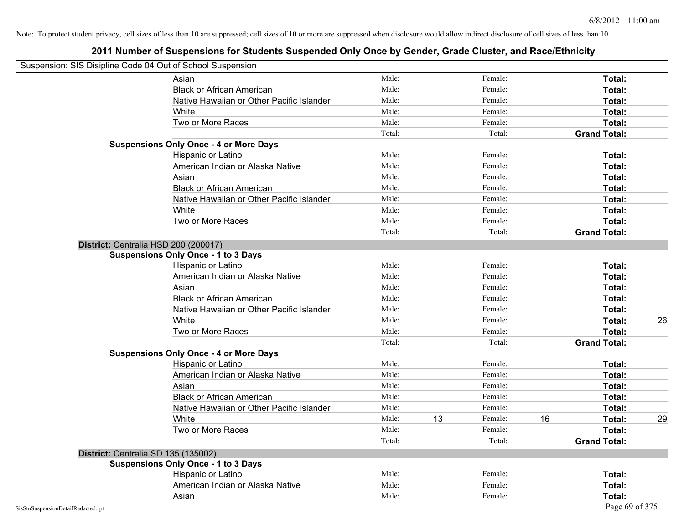| Suspension: SIS Disipline Code 04 Out of School Suspension |                                               |        |    |         |    |                     |    |
|------------------------------------------------------------|-----------------------------------------------|--------|----|---------|----|---------------------|----|
|                                                            | Asian                                         | Male:  |    | Female: |    | Total:              |    |
|                                                            | <b>Black or African American</b>              | Male:  |    | Female: |    | Total:              |    |
|                                                            | Native Hawaiian or Other Pacific Islander     | Male:  |    | Female: |    | Total:              |    |
|                                                            | White                                         | Male:  |    | Female: |    | Total:              |    |
|                                                            | Two or More Races                             | Male:  |    | Female: |    | Total:              |    |
|                                                            |                                               | Total: |    | Total:  |    | <b>Grand Total:</b> |    |
|                                                            | <b>Suspensions Only Once - 4 or More Days</b> |        |    |         |    |                     |    |
|                                                            | Hispanic or Latino                            | Male:  |    | Female: |    | Total:              |    |
|                                                            | American Indian or Alaska Native              | Male:  |    | Female: |    | Total:              |    |
|                                                            | Asian                                         | Male:  |    | Female: |    | Total:              |    |
|                                                            | <b>Black or African American</b>              | Male:  |    | Female: |    | Total:              |    |
|                                                            | Native Hawaiian or Other Pacific Islander     | Male:  |    | Female: |    | Total:              |    |
|                                                            | White                                         | Male:  |    | Female: |    | Total:              |    |
|                                                            | Two or More Races                             | Male:  |    | Female: |    | Total:              |    |
|                                                            |                                               | Total: |    | Total:  |    | <b>Grand Total:</b> |    |
|                                                            | District: Centralia HSD 200 (200017)          |        |    |         |    |                     |    |
|                                                            | <b>Suspensions Only Once - 1 to 3 Days</b>    |        |    |         |    |                     |    |
|                                                            | Hispanic or Latino                            | Male:  |    | Female: |    | Total:              |    |
|                                                            | American Indian or Alaska Native              | Male:  |    | Female: |    | Total:              |    |
|                                                            | Asian                                         | Male:  |    | Female: |    | Total:              |    |
|                                                            | <b>Black or African American</b>              | Male:  |    | Female: |    | Total:              |    |
|                                                            | Native Hawaiian or Other Pacific Islander     | Male:  |    | Female: |    | Total:              |    |
|                                                            | White                                         | Male:  |    | Female: |    | Total:              | 26 |
|                                                            | Two or More Races                             | Male:  |    | Female: |    | Total:              |    |
|                                                            |                                               | Total: |    | Total:  |    | <b>Grand Total:</b> |    |
|                                                            | <b>Suspensions Only Once - 4 or More Days</b> |        |    |         |    |                     |    |
|                                                            | Hispanic or Latino                            | Male:  |    | Female: |    | Total:              |    |
|                                                            | American Indian or Alaska Native              | Male:  |    | Female: |    | Total:              |    |
|                                                            | Asian                                         | Male:  |    | Female: |    | Total:              |    |
|                                                            | <b>Black or African American</b>              | Male:  |    | Female: |    | Total:              |    |
|                                                            | Native Hawaiian or Other Pacific Islander     | Male:  |    | Female: |    | Total:              |    |
|                                                            | White                                         | Male:  | 13 | Female: | 16 | Total:              | 29 |
|                                                            | Two or More Races                             | Male:  |    | Female: |    | Total:              |    |
|                                                            |                                               | Total: |    | Total:  |    | <b>Grand Total:</b> |    |
| District: Centralia SD 135 (135002)                        |                                               |        |    |         |    |                     |    |
|                                                            | <b>Suspensions Only Once - 1 to 3 Days</b>    |        |    |         |    |                     |    |
|                                                            | Hispanic or Latino                            | Male:  |    | Female: |    | Total:              |    |
|                                                            | American Indian or Alaska Native              | Male:  |    | Female: |    | Total:              |    |
|                                                            | Asian                                         | Male:  |    | Female: |    | Total:              |    |
| SisStuSuspensionDetailRedacted.rpt                         |                                               |        |    |         |    | Page 69 of 375      |    |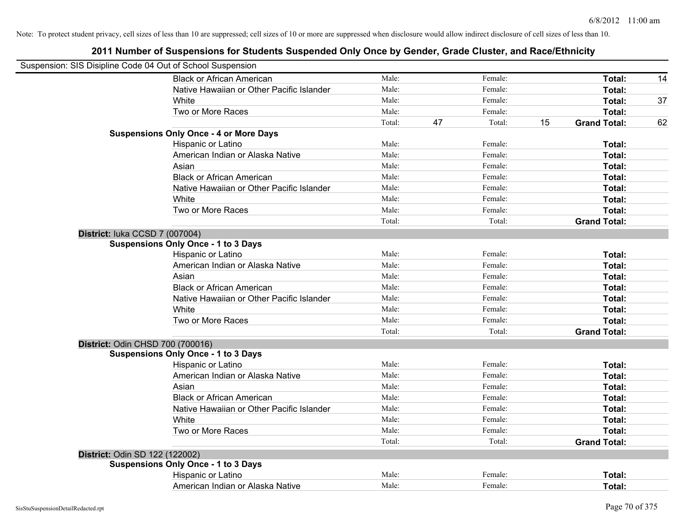|                                | Suspension: SIS Disipline Code 04 Out of School Suspension |        |    |         |    |                     |    |
|--------------------------------|------------------------------------------------------------|--------|----|---------|----|---------------------|----|
|                                | <b>Black or African American</b>                           | Male:  |    | Female: |    | Total:              | 14 |
|                                | Native Hawaiian or Other Pacific Islander                  | Male:  |    | Female: |    | Total:              |    |
|                                | White                                                      | Male:  |    | Female: |    | Total:              | 37 |
|                                | Two or More Races                                          | Male:  |    | Female: |    | Total:              |    |
|                                |                                                            | Total: | 47 | Total:  | 15 | <b>Grand Total:</b> | 62 |
|                                | <b>Suspensions Only Once - 4 or More Days</b>              |        |    |         |    |                     |    |
|                                | Hispanic or Latino                                         | Male:  |    | Female: |    | Total:              |    |
|                                | American Indian or Alaska Native                           | Male:  |    | Female: |    | Total:              |    |
|                                | Asian                                                      | Male:  |    | Female: |    | Total:              |    |
|                                | <b>Black or African American</b>                           | Male:  |    | Female: |    | Total:              |    |
|                                | Native Hawaiian or Other Pacific Islander                  | Male:  |    | Female: |    | Total:              |    |
|                                | White                                                      | Male:  |    | Female: |    | Total:              |    |
|                                | Two or More Races                                          | Male:  |    | Female: |    | Total:              |    |
|                                |                                                            | Total: |    | Total:  |    | <b>Grand Total:</b> |    |
| District: luka CCSD 7 (007004) |                                                            |        |    |         |    |                     |    |
|                                | <b>Suspensions Only Once - 1 to 3 Days</b>                 |        |    |         |    |                     |    |
|                                | Hispanic or Latino                                         | Male:  |    | Female: |    | Total:              |    |
|                                | American Indian or Alaska Native                           | Male:  |    | Female: |    | Total:              |    |
|                                | Asian                                                      | Male:  |    | Female: |    | Total:              |    |
|                                | <b>Black or African American</b>                           | Male:  |    | Female: |    | Total:              |    |
|                                | Native Hawaiian or Other Pacific Islander                  | Male:  |    | Female: |    | Total:              |    |
|                                | White                                                      | Male:  |    | Female: |    | Total:              |    |
|                                | Two or More Races                                          | Male:  |    | Female: |    | Total:              |    |
|                                |                                                            | Total: |    | Total:  |    | <b>Grand Total:</b> |    |
|                                | District: Odin CHSD 700 (700016)                           |        |    |         |    |                     |    |
|                                | <b>Suspensions Only Once - 1 to 3 Days</b>                 |        |    |         |    |                     |    |
|                                | Hispanic or Latino                                         | Male:  |    | Female: |    | Total:              |    |
|                                | American Indian or Alaska Native                           | Male:  |    | Female: |    | Total:              |    |
|                                | Asian                                                      | Male:  |    | Female: |    | Total:              |    |
|                                | <b>Black or African American</b>                           | Male:  |    | Female: |    | Total:              |    |
|                                | Native Hawaiian or Other Pacific Islander                  | Male:  |    | Female: |    | Total:              |    |
|                                | White                                                      | Male:  |    | Female: |    | Total:              |    |
|                                | Two or More Races                                          | Male:  |    | Female: |    | Total:              |    |
|                                |                                                            | Total: |    | Total:  |    | <b>Grand Total:</b> |    |
| District: Odin SD 122 (122002) |                                                            |        |    |         |    |                     |    |
|                                | <b>Suspensions Only Once - 1 to 3 Days</b>                 |        |    |         |    |                     |    |
|                                | Hispanic or Latino                                         | Male:  |    | Female: |    | Total:              |    |
|                                | American Indian or Alaska Native                           | Male:  |    | Female: |    | Total:              |    |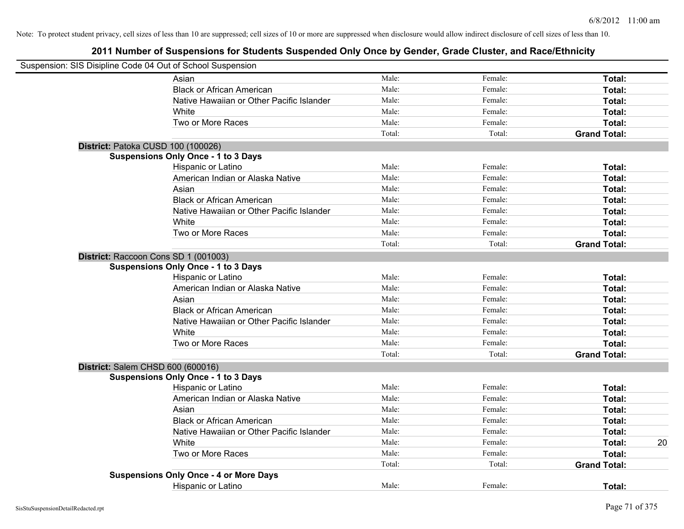| Suspension: SIS Disipline Code 04 Out of School Suspension |                                               |        |         |                     |    |
|------------------------------------------------------------|-----------------------------------------------|--------|---------|---------------------|----|
|                                                            | Asian                                         | Male:  | Female: | Total:              |    |
|                                                            | <b>Black or African American</b>              | Male:  | Female: | Total:              |    |
|                                                            | Native Hawaiian or Other Pacific Islander     | Male:  | Female: | Total:              |    |
|                                                            | White                                         | Male:  | Female: | Total:              |    |
|                                                            | Two or More Races                             | Male:  | Female: | Total:              |    |
|                                                            |                                               | Total: | Total:  | <b>Grand Total:</b> |    |
| District: Patoka CUSD 100 (100026)                         |                                               |        |         |                     |    |
|                                                            | <b>Suspensions Only Once - 1 to 3 Days</b>    |        |         |                     |    |
|                                                            | Hispanic or Latino                            | Male:  | Female: | Total:              |    |
|                                                            | American Indian or Alaska Native              | Male:  | Female: | Total:              |    |
|                                                            | Asian                                         | Male:  | Female: | Total:              |    |
|                                                            | <b>Black or African American</b>              | Male:  | Female: | Total:              |    |
|                                                            | Native Hawaiian or Other Pacific Islander     | Male:  | Female: | Total:              |    |
|                                                            | White                                         | Male:  | Female: | Total:              |    |
|                                                            | Two or More Races                             | Male:  | Female: | Total:              |    |
|                                                            |                                               | Total: | Total:  | <b>Grand Total:</b> |    |
|                                                            | District: Raccoon Cons SD 1 (001003)          |        |         |                     |    |
|                                                            | <b>Suspensions Only Once - 1 to 3 Days</b>    |        |         |                     |    |
|                                                            | Hispanic or Latino                            | Male:  | Female: | Total:              |    |
|                                                            | American Indian or Alaska Native              | Male:  | Female: | Total:              |    |
|                                                            | Asian                                         | Male:  | Female: | Total:              |    |
|                                                            | <b>Black or African American</b>              | Male:  | Female: | Total:              |    |
|                                                            | Native Hawaiian or Other Pacific Islander     | Male:  | Female: | Total:              |    |
|                                                            | White                                         | Male:  | Female: | Total:              |    |
|                                                            | Two or More Races                             | Male:  | Female: | Total:              |    |
|                                                            |                                               | Total: | Total:  | <b>Grand Total:</b> |    |
| District: Salem CHSD 600 (600016)                          |                                               |        |         |                     |    |
|                                                            | <b>Suspensions Only Once - 1 to 3 Days</b>    |        |         |                     |    |
|                                                            | Hispanic or Latino                            | Male:  | Female: | Total:              |    |
|                                                            | American Indian or Alaska Native              | Male:  | Female: | Total:              |    |
|                                                            | Asian                                         | Male:  | Female: | Total:              |    |
|                                                            | <b>Black or African American</b>              | Male:  | Female: | Total:              |    |
|                                                            | Native Hawaiian or Other Pacific Islander     | Male:  | Female: | Total:              |    |
|                                                            | White                                         | Male:  | Female: | Total:              | 20 |
|                                                            | Two or More Races                             | Male:  | Female: | Total:              |    |
|                                                            |                                               | Total: | Total:  | <b>Grand Total:</b> |    |
|                                                            | <b>Suspensions Only Once - 4 or More Days</b> |        |         |                     |    |
|                                                            | Hispanic or Latino                            | Male:  | Female: | Total:              |    |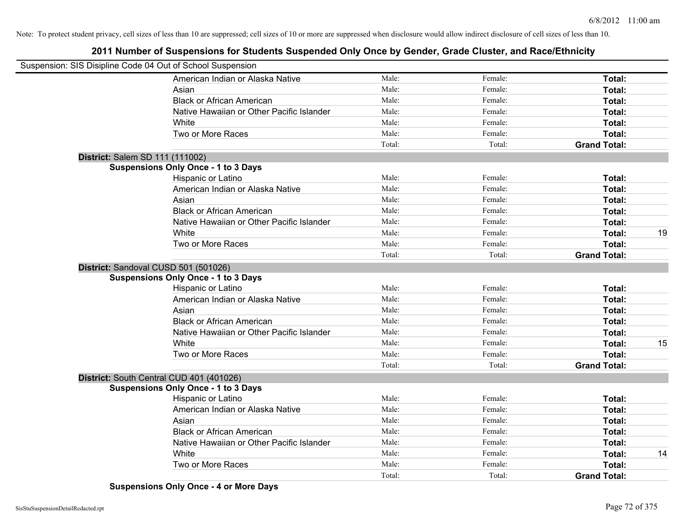# **2011 Number of Suspensions for Students Suspended Only Once by Gender, Grade Cluster, and Race/Ethnicity**

| Suspension: SIS Disipline Code 04 Out of School Suspension |        |         |                     |    |
|------------------------------------------------------------|--------|---------|---------------------|----|
| American Indian or Alaska Native                           | Male:  | Female: | Total:              |    |
| Asian                                                      | Male:  | Female: | Total:              |    |
| <b>Black or African American</b>                           | Male:  | Female: | Total:              |    |
| Native Hawaiian or Other Pacific Islander                  | Male:  | Female: | Total:              |    |
| White                                                      | Male:  | Female: | Total:              |    |
| Two or More Races                                          | Male:  | Female: | Total:              |    |
|                                                            | Total: | Total:  | <b>Grand Total:</b> |    |
| District: Salem SD 111 (111002)                            |        |         |                     |    |
| <b>Suspensions Only Once - 1 to 3 Days</b>                 |        |         |                     |    |
| Hispanic or Latino                                         | Male:  | Female: | Total:              |    |
| American Indian or Alaska Native                           | Male:  | Female: | Total:              |    |
| Asian                                                      | Male:  | Female: | Total:              |    |
| <b>Black or African American</b>                           | Male:  | Female: | Total:              |    |
| Native Hawaiian or Other Pacific Islander                  | Male:  | Female: | Total:              |    |
| White                                                      | Male:  | Female: | Total:              | 19 |
| Two or More Races                                          | Male:  | Female: | Total:              |    |
|                                                            | Total: | Total:  | <b>Grand Total:</b> |    |
| District: Sandoval CUSD 501 (501026)                       |        |         |                     |    |
| <b>Suspensions Only Once - 1 to 3 Days</b>                 |        |         |                     |    |
| Hispanic or Latino                                         | Male:  | Female: | Total:              |    |
| American Indian or Alaska Native                           | Male:  | Female: | Total:              |    |
| Asian                                                      | Male:  | Female: | Total:              |    |
| <b>Black or African American</b>                           | Male:  | Female: | Total:              |    |
| Native Hawaiian or Other Pacific Islander                  | Male:  | Female: | Total:              |    |
| White                                                      | Male:  | Female: | Total:              | 15 |
| Two or More Races                                          | Male:  | Female: | Total:              |    |
|                                                            | Total: | Total:  | <b>Grand Total:</b> |    |
| District: South Central CUD 401 (401026)                   |        |         |                     |    |
| <b>Suspensions Only Once - 1 to 3 Days</b>                 |        |         |                     |    |
| Hispanic or Latino                                         | Male:  | Female: | Total:              |    |
| American Indian or Alaska Native                           | Male:  | Female: | Total:              |    |
| Asian                                                      | Male:  | Female: | Total:              |    |
| <b>Black or African American</b>                           | Male:  | Female: | Total:              |    |
| Native Hawaiian or Other Pacific Islander                  | Male:  | Female: | Total:              |    |
| White                                                      | Male:  | Female: | Total:              | 14 |
| Two or More Races                                          | Male:  | Female: | Total:              |    |
|                                                            | Total: | Total:  | <b>Grand Total:</b> |    |

**Suspensions Only Once - 4 or More Days**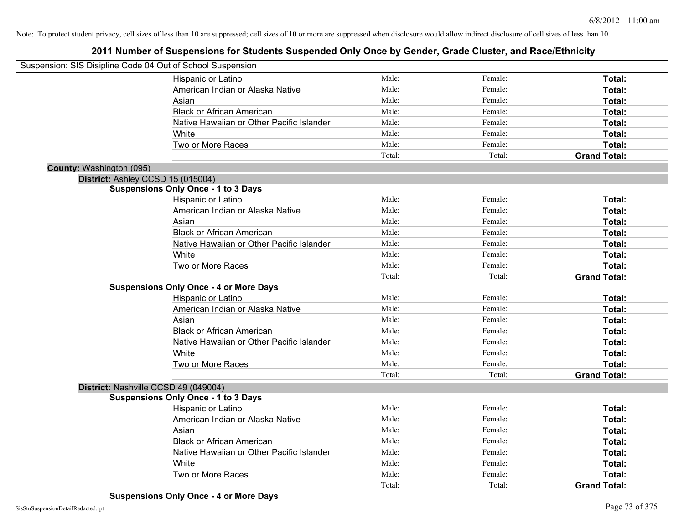| Suspension: SIS Disipline Code 04 Out of School Suspension |                                               |        |         |                     |
|------------------------------------------------------------|-----------------------------------------------|--------|---------|---------------------|
|                                                            | Hispanic or Latino                            | Male:  | Female: | Total:              |
|                                                            | American Indian or Alaska Native              | Male:  | Female: | Total:              |
|                                                            | Asian                                         | Male:  | Female: | Total:              |
|                                                            | <b>Black or African American</b>              | Male:  | Female: | Total:              |
|                                                            | Native Hawaiian or Other Pacific Islander     | Male:  | Female: | Total:              |
|                                                            | White                                         | Male:  | Female: | Total:              |
|                                                            | Two or More Races                             | Male:  | Female: | Total:              |
|                                                            |                                               | Total: | Total:  | <b>Grand Total:</b> |
| County: Washington (095)                                   |                                               |        |         |                     |
|                                                            | District: Ashley CCSD 15 (015004)             |        |         |                     |
|                                                            | <b>Suspensions Only Once - 1 to 3 Days</b>    |        |         |                     |
|                                                            | Hispanic or Latino                            | Male:  | Female: | Total:              |
|                                                            | American Indian or Alaska Native              | Male:  | Female: | Total:              |
|                                                            | Asian                                         | Male:  | Female: | Total:              |
|                                                            | <b>Black or African American</b>              | Male:  | Female: | Total:              |
|                                                            | Native Hawaiian or Other Pacific Islander     | Male:  | Female: | Total:              |
|                                                            | White                                         | Male:  | Female: | Total:              |
|                                                            | Two or More Races                             | Male:  | Female: | Total:              |
|                                                            |                                               | Total: | Total:  | <b>Grand Total:</b> |
|                                                            | <b>Suspensions Only Once - 4 or More Days</b> |        |         |                     |
|                                                            | Hispanic or Latino                            | Male:  | Female: | Total:              |
|                                                            | American Indian or Alaska Native              | Male:  | Female: | Total:              |
|                                                            | Asian                                         | Male:  | Female: | Total:              |
|                                                            | <b>Black or African American</b>              | Male:  | Female: | Total:              |
|                                                            | Native Hawaiian or Other Pacific Islander     | Male:  | Female: | Total:              |
|                                                            | White                                         | Male:  | Female: | Total:              |
|                                                            | Two or More Races                             | Male:  | Female: | Total:              |
|                                                            |                                               | Total: | Total:  | <b>Grand Total:</b> |
|                                                            | District: Nashville CCSD 49 (049004)          |        |         |                     |
|                                                            | <b>Suspensions Only Once - 1 to 3 Days</b>    |        |         |                     |
|                                                            | Hispanic or Latino                            | Male:  | Female: | Total:              |
|                                                            | American Indian or Alaska Native              | Male:  | Female: | Total:              |
|                                                            | Asian                                         | Male:  | Female: | Total:              |
|                                                            | <b>Black or African American</b>              | Male:  | Female: | Total:              |
|                                                            | Native Hawaiian or Other Pacific Islander     | Male:  | Female: | Total:              |
|                                                            | White                                         | Male:  | Female: | Total:              |
|                                                            | Two or More Races                             | Male:  | Female: | <b>Total:</b>       |
|                                                            |                                               | Total: | Total:  | <b>Grand Total:</b> |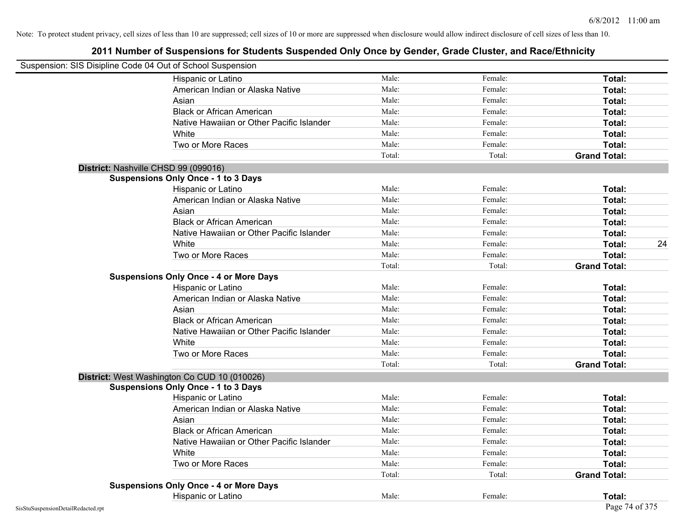| Suspension: SIS Disipline Code 04 Out of School Suspension |                                               |        |         |                     |    |
|------------------------------------------------------------|-----------------------------------------------|--------|---------|---------------------|----|
|                                                            | <b>Hispanic or Latino</b>                     | Male:  | Female: | Total:              |    |
|                                                            | American Indian or Alaska Native              | Male:  | Female: | Total:              |    |
|                                                            | Asian                                         | Male:  | Female: | Total:              |    |
|                                                            | <b>Black or African American</b>              | Male:  | Female: | Total:              |    |
|                                                            | Native Hawaiian or Other Pacific Islander     | Male:  | Female: | Total:              |    |
|                                                            | White                                         | Male:  | Female: | Total:              |    |
|                                                            | Two or More Races                             | Male:  | Female: | Total:              |    |
|                                                            |                                               | Total: | Total:  | <b>Grand Total:</b> |    |
|                                                            | District: Nashville CHSD 99 (099016)          |        |         |                     |    |
|                                                            | <b>Suspensions Only Once - 1 to 3 Days</b>    |        |         |                     |    |
|                                                            | Hispanic or Latino                            | Male:  | Female: | Total:              |    |
|                                                            | American Indian or Alaska Native              | Male:  | Female: | Total:              |    |
|                                                            | Asian                                         | Male:  | Female: | Total:              |    |
|                                                            | <b>Black or African American</b>              | Male:  | Female: | Total:              |    |
|                                                            | Native Hawaiian or Other Pacific Islander     | Male:  | Female: | Total:              |    |
|                                                            | White                                         | Male:  | Female: | Total:              | 24 |
|                                                            | Two or More Races                             | Male:  | Female: | Total:              |    |
|                                                            |                                               | Total: | Total:  | <b>Grand Total:</b> |    |
|                                                            | <b>Suspensions Only Once - 4 or More Days</b> |        |         |                     |    |
|                                                            | Hispanic or Latino                            | Male:  | Female: | Total:              |    |
|                                                            | American Indian or Alaska Native              | Male:  | Female: | Total:              |    |
|                                                            | Asian                                         | Male:  | Female: | Total:              |    |
|                                                            | <b>Black or African American</b>              | Male:  | Female: | Total:              |    |
|                                                            | Native Hawaiian or Other Pacific Islander     | Male:  | Female: | Total:              |    |
|                                                            | White                                         | Male:  | Female: | Total:              |    |
|                                                            | Two or More Races                             | Male:  | Female: | Total:              |    |
|                                                            |                                               | Total: | Total:  | <b>Grand Total:</b> |    |
|                                                            | District: West Washington Co CUD 10 (010026)  |        |         |                     |    |
|                                                            | <b>Suspensions Only Once - 1 to 3 Days</b>    |        |         |                     |    |
|                                                            | Hispanic or Latino                            | Male:  | Female: | Total:              |    |
|                                                            | American Indian or Alaska Native              | Male:  | Female: | Total:              |    |
|                                                            | Asian                                         | Male:  | Female: | Total:              |    |
|                                                            | <b>Black or African American</b>              | Male:  | Female: | Total:              |    |
|                                                            | Native Hawaiian or Other Pacific Islander     | Male:  | Female: | Total:              |    |
|                                                            | White                                         | Male:  | Female: | Total:              |    |
|                                                            | Two or More Races                             | Male:  | Female: | Total:              |    |
|                                                            |                                               | Total: | Total:  | <b>Grand Total:</b> |    |
|                                                            | <b>Suspensions Only Once - 4 or More Days</b> |        |         |                     |    |
|                                                            | Hispanic or Latino                            | Male:  | Female: | Total:              |    |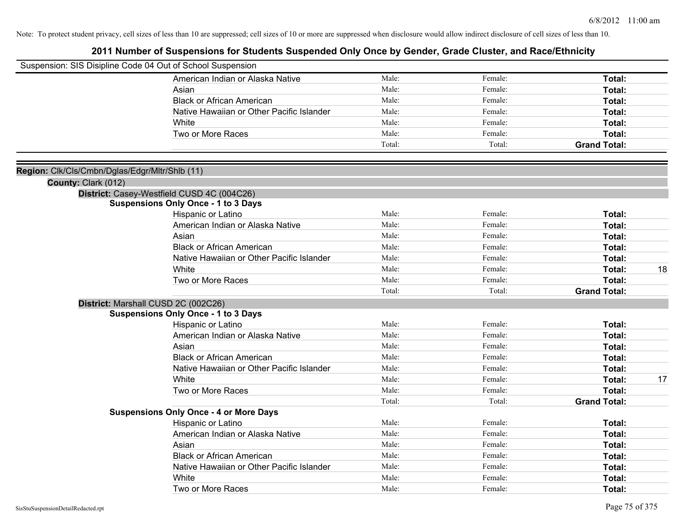| Suspension: SIS Disipline Code 04 Out of School Suspension |                                               |        |         |                     |    |
|------------------------------------------------------------|-----------------------------------------------|--------|---------|---------------------|----|
|                                                            | American Indian or Alaska Native              | Male:  | Female: | Total:              |    |
|                                                            | Asian                                         | Male:  | Female: | Total:              |    |
|                                                            | <b>Black or African American</b>              | Male:  | Female: | Total:              |    |
|                                                            | Native Hawaiian or Other Pacific Islander     | Male:  | Female: | Total:              |    |
|                                                            | White                                         | Male:  | Female: | Total:              |    |
|                                                            | Two or More Races                             | Male:  | Female: | Total:              |    |
|                                                            |                                               | Total: | Total:  | <b>Grand Total:</b> |    |
|                                                            |                                               |        |         |                     |    |
| Region: Clk/Cls/Cmbn/Dglas/Edgr/Mltr/Shlb (11)             |                                               |        |         |                     |    |
| County: Clark (012)                                        |                                               |        |         |                     |    |
|                                                            | District: Casey-Westfield CUSD 4C (004C26)    |        |         |                     |    |
|                                                            | <b>Suspensions Only Once - 1 to 3 Days</b>    |        |         |                     |    |
|                                                            | Hispanic or Latino                            | Male:  | Female: | Total:              |    |
|                                                            | American Indian or Alaska Native              | Male:  | Female: | Total:              |    |
|                                                            | Asian                                         | Male:  | Female: | Total:              |    |
|                                                            | <b>Black or African American</b>              | Male:  | Female: | Total:              |    |
|                                                            | Native Hawaiian or Other Pacific Islander     | Male:  | Female: | Total:              |    |
|                                                            | White                                         | Male:  | Female: | Total:              | 18 |
|                                                            | Two or More Races                             | Male:  | Female: | Total:              |    |
|                                                            |                                               | Total: | Total:  | <b>Grand Total:</b> |    |
| District: Marshall CUSD 2C (002C26)                        |                                               |        |         |                     |    |
|                                                            | <b>Suspensions Only Once - 1 to 3 Days</b>    |        |         |                     |    |
|                                                            | Hispanic or Latino                            | Male:  | Female: | Total:              |    |
|                                                            | American Indian or Alaska Native              | Male:  | Female: | Total:              |    |
|                                                            | Asian                                         | Male:  | Female: | Total:              |    |
|                                                            | <b>Black or African American</b>              | Male:  | Female: | Total:              |    |
|                                                            | Native Hawaiian or Other Pacific Islander     | Male:  | Female: | Total:              |    |
|                                                            | White                                         | Male:  | Female: | Total:              | 17 |
|                                                            | Two or More Races                             | Male:  | Female: | <b>Total:</b>       |    |
|                                                            |                                               | Total: | Total:  | <b>Grand Total:</b> |    |
|                                                            | <b>Suspensions Only Once - 4 or More Days</b> |        |         |                     |    |
|                                                            | Hispanic or Latino                            | Male:  | Female: | Total:              |    |
|                                                            | American Indian or Alaska Native              | Male:  | Female: | Total:              |    |
|                                                            | Asian                                         | Male:  | Female: | Total:              |    |
|                                                            | <b>Black or African American</b>              | Male:  | Female: | Total:              |    |
|                                                            | Native Hawaiian or Other Pacific Islander     | Male:  | Female: | Total:              |    |
|                                                            | White                                         | Male:  | Female: | <b>Total:</b>       |    |
|                                                            | Two or More Races                             | Male:  | Female: | Total:              |    |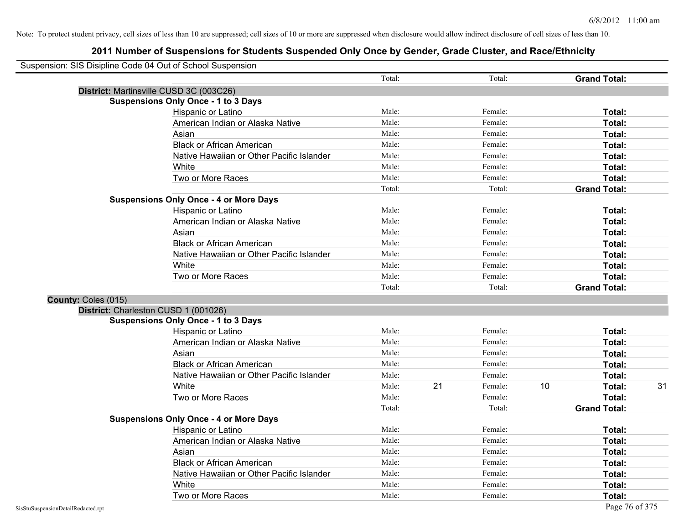|                     | Suspension: SIS Disipline Code 04 Out of School Suspension |        |    |         |    |                     |    |
|---------------------|------------------------------------------------------------|--------|----|---------|----|---------------------|----|
|                     |                                                            | Total: |    | Total:  |    | <b>Grand Total:</b> |    |
|                     | District: Martinsville CUSD 3C (003C26)                    |        |    |         |    |                     |    |
|                     | <b>Suspensions Only Once - 1 to 3 Days</b>                 |        |    |         |    |                     |    |
|                     | Hispanic or Latino                                         | Male:  |    | Female: |    | Total:              |    |
|                     | American Indian or Alaska Native                           | Male:  |    | Female: |    | Total:              |    |
|                     | Asian                                                      | Male:  |    | Female: |    | Total:              |    |
|                     | <b>Black or African American</b>                           | Male:  |    | Female: |    | Total:              |    |
|                     | Native Hawaiian or Other Pacific Islander                  | Male:  |    | Female: |    | Total:              |    |
|                     | White                                                      | Male:  |    | Female: |    | Total:              |    |
|                     | Two or More Races                                          | Male:  |    | Female: |    | Total:              |    |
|                     |                                                            | Total: |    | Total:  |    | <b>Grand Total:</b> |    |
|                     | <b>Suspensions Only Once - 4 or More Days</b>              |        |    |         |    |                     |    |
|                     | Hispanic or Latino                                         | Male:  |    | Female: |    | Total:              |    |
|                     | American Indian or Alaska Native                           | Male:  |    | Female: |    | Total:              |    |
|                     | Asian                                                      | Male:  |    | Female: |    | Total:              |    |
|                     | <b>Black or African American</b>                           | Male:  |    | Female: |    | Total:              |    |
|                     | Native Hawaiian or Other Pacific Islander                  | Male:  |    | Female: |    | Total:              |    |
|                     | White                                                      | Male:  |    | Female: |    | Total:              |    |
|                     | Two or More Races                                          | Male:  |    | Female: |    | Total:              |    |
|                     |                                                            | Total: |    | Total:  |    | <b>Grand Total:</b> |    |
| County: Coles (015) |                                                            |        |    |         |    |                     |    |
|                     | District: Charleston CUSD 1 (001026)                       |        |    |         |    |                     |    |
|                     | <b>Suspensions Only Once - 1 to 3 Days</b>                 |        |    |         |    |                     |    |
|                     | Hispanic or Latino                                         | Male:  |    | Female: |    | Total:              |    |
|                     | American Indian or Alaska Native                           | Male:  |    | Female: |    | Total:              |    |
|                     | Asian                                                      | Male:  |    | Female: |    | Total:              |    |
|                     | <b>Black or African American</b>                           | Male:  |    | Female: |    | Total:              |    |
|                     | Native Hawaiian or Other Pacific Islander                  | Male:  |    | Female: |    | Total:              |    |
|                     | White                                                      | Male:  | 21 | Female: | 10 | Total:              | 31 |
|                     | Two or More Races                                          | Male:  |    | Female: |    | Total:              |    |
|                     |                                                            | Total: |    | Total:  |    | <b>Grand Total:</b> |    |
|                     | <b>Suspensions Only Once - 4 or More Days</b>              |        |    |         |    |                     |    |
|                     | Hispanic or Latino                                         | Male:  |    | Female: |    | Total:              |    |
|                     | American Indian or Alaska Native                           | Male:  |    | Female: |    | Total:              |    |
|                     | Asian                                                      | Male:  |    | Female: |    | Total:              |    |
|                     | <b>Black or African American</b>                           | Male:  |    | Female: |    | Total:              |    |
|                     | Native Hawaiian or Other Pacific Islander                  | Male:  |    | Female: |    | Total:              |    |
|                     | White                                                      | Male:  |    | Female: |    | Total:              |    |
|                     | Two or More Races                                          | Male:  |    | Female: |    | Total:              |    |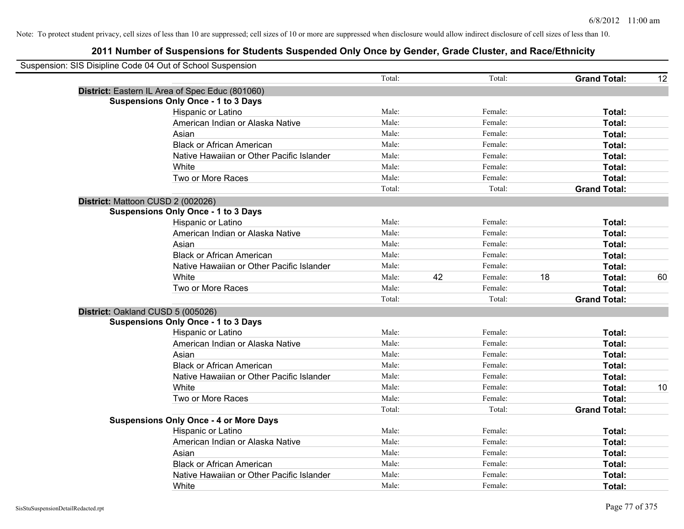| Suspension: SIS Disipline Code 04 Out of School Suspension |        |    |         |    |                     |    |
|------------------------------------------------------------|--------|----|---------|----|---------------------|----|
|                                                            | Total: |    | Total:  |    | <b>Grand Total:</b> | 12 |
| District: Eastern IL Area of Spec Educ (801060)            |        |    |         |    |                     |    |
| <b>Suspensions Only Once - 1 to 3 Days</b>                 |        |    |         |    |                     |    |
| Hispanic or Latino                                         | Male:  |    | Female: |    | Total:              |    |
| American Indian or Alaska Native                           | Male:  |    | Female: |    | Total:              |    |
| Asian                                                      | Male:  |    | Female: |    | Total:              |    |
| <b>Black or African American</b>                           | Male:  |    | Female: |    | Total:              |    |
| Native Hawaiian or Other Pacific Islander                  | Male:  |    | Female: |    | Total:              |    |
| White                                                      | Male:  |    | Female: |    | Total:              |    |
| Two or More Races                                          | Male:  |    | Female: |    | Total:              |    |
|                                                            | Total: |    | Total:  |    | <b>Grand Total:</b> |    |
| District: Mattoon CUSD 2 (002026)                          |        |    |         |    |                     |    |
| <b>Suspensions Only Once - 1 to 3 Days</b>                 |        |    |         |    |                     |    |
| Hispanic or Latino                                         | Male:  |    | Female: |    | Total:              |    |
| American Indian or Alaska Native                           | Male:  |    | Female: |    | Total:              |    |
| Asian                                                      | Male:  |    | Female: |    | Total:              |    |
| <b>Black or African American</b>                           | Male:  |    | Female: |    | Total:              |    |
| Native Hawaiian or Other Pacific Islander                  | Male:  |    | Female: |    | Total:              |    |
| White                                                      | Male:  | 42 | Female: | 18 | Total:              | 60 |
| Two or More Races                                          | Male:  |    | Female: |    | <b>Total:</b>       |    |
|                                                            | Total: |    | Total:  |    | <b>Grand Total:</b> |    |
| District: Oakland CUSD 5 (005026)                          |        |    |         |    |                     |    |
| <b>Suspensions Only Once - 1 to 3 Days</b>                 |        |    |         |    |                     |    |
| Hispanic or Latino                                         | Male:  |    | Female: |    | Total:              |    |
| American Indian or Alaska Native                           | Male:  |    | Female: |    | Total:              |    |
| Asian                                                      | Male:  |    | Female: |    | Total:              |    |
| <b>Black or African American</b>                           | Male:  |    | Female: |    | Total:              |    |
| Native Hawaiian or Other Pacific Islander                  | Male:  |    | Female: |    | Total:              |    |
| White                                                      | Male:  |    | Female: |    | Total:              | 10 |
| Two or More Races                                          | Male:  |    | Female: |    | <b>Total:</b>       |    |
|                                                            | Total: |    | Total:  |    | <b>Grand Total:</b> |    |
| <b>Suspensions Only Once - 4 or More Days</b>              |        |    |         |    |                     |    |
| Hispanic or Latino                                         | Male:  |    | Female: |    | Total:              |    |
| American Indian or Alaska Native                           | Male:  |    | Female: |    | Total:              |    |
| Asian                                                      | Male:  |    | Female: |    | Total:              |    |
| <b>Black or African American</b>                           | Male:  |    | Female: |    | Total:              |    |
| Native Hawaiian or Other Pacific Islander                  | Male:  |    | Female: |    | <b>Total:</b>       |    |
| White                                                      | Male:  |    | Female: |    | Total:              |    |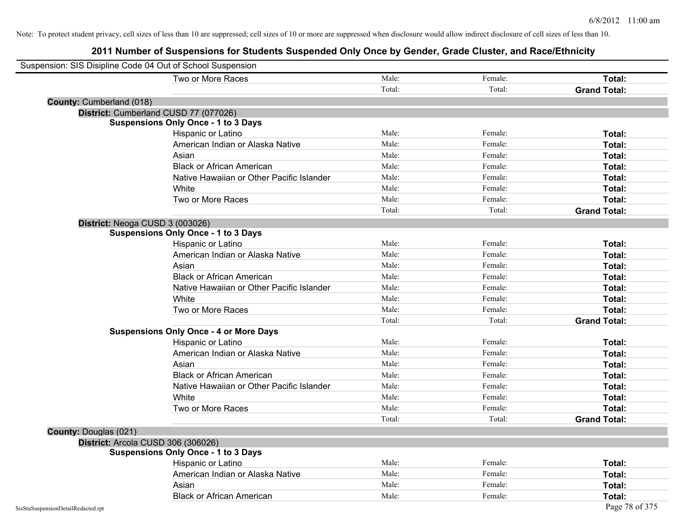| Suspension: SIS Disipline Code 04 Out of School Suspension |                                               |        |         |                     |
|------------------------------------------------------------|-----------------------------------------------|--------|---------|---------------------|
|                                                            | Two or More Races                             | Male:  | Female: | Total:              |
|                                                            |                                               | Total: | Total:  | <b>Grand Total:</b> |
| County: Cumberland (018)                                   |                                               |        |         |                     |
| District: Cumberland CUSD 77 (077026)                      |                                               |        |         |                     |
|                                                            | <b>Suspensions Only Once - 1 to 3 Days</b>    |        |         |                     |
|                                                            | Hispanic or Latino                            | Male:  | Female: | Total:              |
|                                                            | American Indian or Alaska Native              | Male:  | Female: | Total:              |
|                                                            | Asian                                         | Male:  | Female: | Total:              |
|                                                            | <b>Black or African American</b>              | Male:  | Female: | Total:              |
|                                                            | Native Hawaiian or Other Pacific Islander     | Male:  | Female: | Total:              |
|                                                            | White                                         | Male:  | Female: | Total:              |
|                                                            | Two or More Races                             | Male:  | Female: | Total:              |
|                                                            |                                               | Total: | Total:  | <b>Grand Total:</b> |
| District: Neoga CUSD 3 (003026)                            |                                               |        |         |                     |
|                                                            | <b>Suspensions Only Once - 1 to 3 Days</b>    |        |         |                     |
|                                                            | Hispanic or Latino                            | Male:  | Female: | Total:              |
|                                                            | American Indian or Alaska Native              | Male:  | Female: | Total:              |
|                                                            | Asian                                         | Male:  | Female: | Total:              |
|                                                            | <b>Black or African American</b>              | Male:  | Female: | Total:              |
|                                                            | Native Hawaiian or Other Pacific Islander     | Male:  | Female: | Total:              |
|                                                            | White                                         | Male:  | Female: | Total:              |
|                                                            | Two or More Races                             | Male:  | Female: | Total:              |
|                                                            |                                               | Total: | Total:  | <b>Grand Total:</b> |
|                                                            | <b>Suspensions Only Once - 4 or More Days</b> |        |         |                     |
|                                                            | Hispanic or Latino                            | Male:  | Female: | Total:              |
|                                                            | American Indian or Alaska Native              | Male:  | Female: | Total:              |
|                                                            | Asian                                         | Male:  | Female: | Total:              |
|                                                            | <b>Black or African American</b>              | Male:  | Female: | Total:              |
|                                                            | Native Hawaiian or Other Pacific Islander     | Male:  | Female: | Total:              |
|                                                            | White                                         | Male:  | Female: | Total:              |
|                                                            | Two or More Races                             | Male:  | Female: | Total:              |
|                                                            |                                               | Total: | Total:  | <b>Grand Total:</b> |
| County: Douglas (021)                                      |                                               |        |         |                     |
| District: Arcola CUSD 306 (306026)                         |                                               |        |         |                     |
|                                                            | <b>Suspensions Only Once - 1 to 3 Days</b>    |        |         |                     |
|                                                            | Hispanic or Latino                            | Male:  | Female: | Total:              |
|                                                            | American Indian or Alaska Native              | Male:  | Female: | Total:              |
|                                                            | Asian                                         | Male:  | Female: | Total:              |
|                                                            | <b>Black or African American</b>              | Male:  | Female: | Total:              |
| SisStuSuspensionDetailRedacted.rpt                         |                                               |        |         | Page 78 of 375      |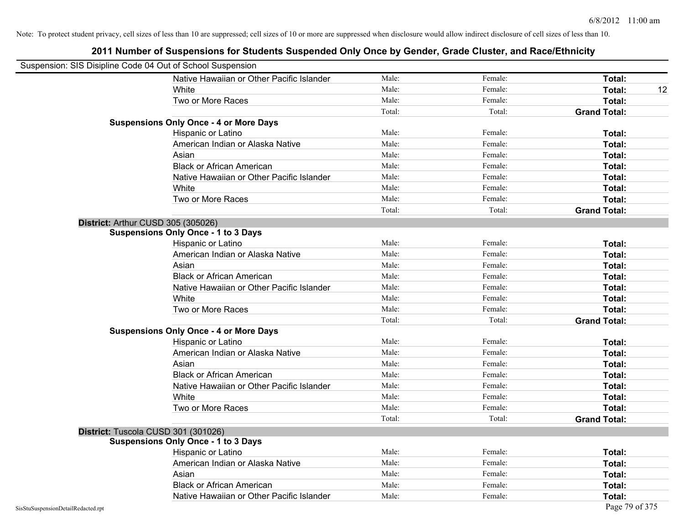| Suspension: SIS Disipline Code 04 Out of School Suspension |                                               |        |         |                     |
|------------------------------------------------------------|-----------------------------------------------|--------|---------|---------------------|
|                                                            | Native Hawaiian or Other Pacific Islander     | Male:  | Female: | Total:              |
|                                                            | White                                         | Male:  | Female: | Total:<br>12        |
|                                                            | Two or More Races                             | Male:  | Female: | Total:              |
|                                                            |                                               | Total: | Total:  | <b>Grand Total:</b> |
|                                                            | <b>Suspensions Only Once - 4 or More Days</b> |        |         |                     |
|                                                            | Hispanic or Latino                            | Male:  | Female: | Total:              |
|                                                            | American Indian or Alaska Native              | Male:  | Female: | Total:              |
|                                                            | Asian                                         | Male:  | Female: | Total:              |
|                                                            | <b>Black or African American</b>              | Male:  | Female: | Total:              |
|                                                            | Native Hawaiian or Other Pacific Islander     | Male:  | Female: | Total:              |
|                                                            | White                                         | Male:  | Female: | Total:              |
|                                                            | Two or More Races                             | Male:  | Female: | Total:              |
|                                                            |                                               | Total: | Total:  | <b>Grand Total:</b> |
|                                                            | District: Arthur CUSD 305 (305026)            |        |         |                     |
|                                                            | <b>Suspensions Only Once - 1 to 3 Days</b>    |        |         |                     |
|                                                            | Hispanic or Latino                            | Male:  | Female: | Total:              |
|                                                            | American Indian or Alaska Native              | Male:  | Female: | Total:              |
|                                                            | Asian                                         | Male:  | Female: | Total:              |
|                                                            | <b>Black or African American</b>              | Male:  | Female: | Total:              |
|                                                            | Native Hawaiian or Other Pacific Islander     | Male:  | Female: | Total:              |
|                                                            | White                                         | Male:  | Female: | Total:              |
|                                                            | Two or More Races                             | Male:  | Female: | Total:              |
|                                                            |                                               | Total: | Total:  | <b>Grand Total:</b> |
|                                                            | <b>Suspensions Only Once - 4 or More Days</b> |        |         |                     |
|                                                            | Hispanic or Latino                            | Male:  | Female: | Total:              |
|                                                            | American Indian or Alaska Native              | Male:  | Female: | Total:              |
|                                                            | Asian                                         | Male:  | Female: | Total:              |
|                                                            | <b>Black or African American</b>              | Male:  | Female: | Total:              |
|                                                            | Native Hawaiian or Other Pacific Islander     | Male:  | Female: | Total:              |
|                                                            | White                                         | Male:  | Female: | Total:              |
|                                                            | Two or More Races                             | Male:  | Female: | Total:              |
|                                                            |                                               | Total: | Total:  | <b>Grand Total:</b> |
|                                                            | District: Tuscola CUSD 301 (301026)           |        |         |                     |
|                                                            | <b>Suspensions Only Once - 1 to 3 Days</b>    |        |         |                     |
|                                                            | Hispanic or Latino                            | Male:  | Female: | Total:              |
|                                                            | American Indian or Alaska Native              | Male:  | Female: | Total:              |
|                                                            | Asian                                         | Male:  | Female: | Total:              |
|                                                            | <b>Black or African American</b>              | Male:  | Female: | Total:              |
|                                                            | Native Hawaiian or Other Pacific Islander     | Male:  | Female: | Total:              |
| SisStuSuspensionDetailRedacted.rpt                         |                                               |        |         | Page 79 of 375      |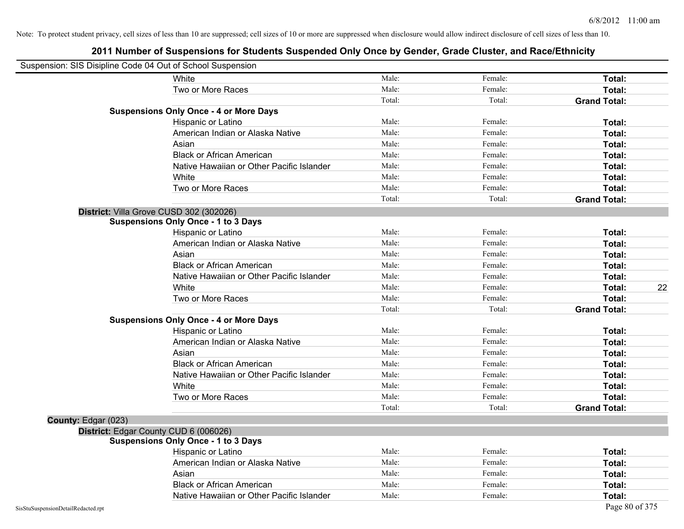|                                    | Suspension: SIS Disipline Code 04 Out of School Suspension |        |         |                     |
|------------------------------------|------------------------------------------------------------|--------|---------|---------------------|
|                                    | White                                                      | Male:  | Female: | Total:              |
|                                    | Two or More Races                                          | Male:  | Female: | Total:              |
|                                    |                                                            | Total: | Total:  | <b>Grand Total:</b> |
|                                    | <b>Suspensions Only Once - 4 or More Days</b>              |        |         |                     |
|                                    | Hispanic or Latino                                         | Male:  | Female: | Total:              |
|                                    | American Indian or Alaska Native                           | Male:  | Female: | Total:              |
|                                    | Asian                                                      | Male:  | Female: | Total:              |
|                                    | <b>Black or African American</b>                           | Male:  | Female: | Total:              |
|                                    | Native Hawaiian or Other Pacific Islander                  | Male:  | Female: | Total:              |
|                                    | White                                                      | Male:  | Female: | Total:              |
|                                    | Two or More Races                                          | Male:  | Female: | Total:              |
|                                    |                                                            | Total: | Total:  | <b>Grand Total:</b> |
|                                    | District: Villa Grove CUSD 302 (302026)                    |        |         |                     |
|                                    | <b>Suspensions Only Once - 1 to 3 Days</b>                 |        |         |                     |
|                                    | Hispanic or Latino                                         | Male:  | Female: | Total:              |
|                                    | American Indian or Alaska Native                           | Male:  | Female: | Total:              |
|                                    | Asian                                                      | Male:  | Female: | Total:              |
|                                    | <b>Black or African American</b>                           | Male:  | Female: | Total:              |
|                                    | Native Hawaiian or Other Pacific Islander                  | Male:  | Female: | Total:              |
|                                    | White                                                      | Male:  | Female: | 22<br>Total:        |
|                                    | Two or More Races                                          | Male:  | Female: | Total:              |
|                                    |                                                            | Total: | Total:  | <b>Grand Total:</b> |
|                                    | <b>Suspensions Only Once - 4 or More Days</b>              |        |         |                     |
|                                    | Hispanic or Latino                                         | Male:  | Female: | Total:              |
|                                    | American Indian or Alaska Native                           | Male:  | Female: | Total:              |
|                                    | Asian                                                      | Male:  | Female: | Total:              |
|                                    | <b>Black or African American</b>                           | Male:  | Female: | Total:              |
|                                    | Native Hawaiian or Other Pacific Islander                  | Male:  | Female: | Total:              |
|                                    | White                                                      | Male:  | Female: | Total:              |
|                                    | Two or More Races                                          | Male:  | Female: | Total:              |
|                                    |                                                            | Total: | Total:  | <b>Grand Total:</b> |
| County: Edgar (023)                |                                                            |        |         |                     |
|                                    | District: Edgar County CUD 6 (006026)                      |        |         |                     |
|                                    | <b>Suspensions Only Once - 1 to 3 Days</b>                 |        |         |                     |
|                                    | Hispanic or Latino                                         | Male:  | Female: | Total:              |
|                                    | American Indian or Alaska Native                           | Male:  | Female: | Total:              |
|                                    | Asian                                                      | Male:  | Female: | Total:              |
|                                    | <b>Black or African American</b>                           | Male:  | Female: | Total:              |
|                                    | Native Hawaiian or Other Pacific Islander                  | Male:  | Female: | Total:              |
| SisStuSuspensionDetailRedacted.rpt |                                                            |        |         | Page 80 of 375      |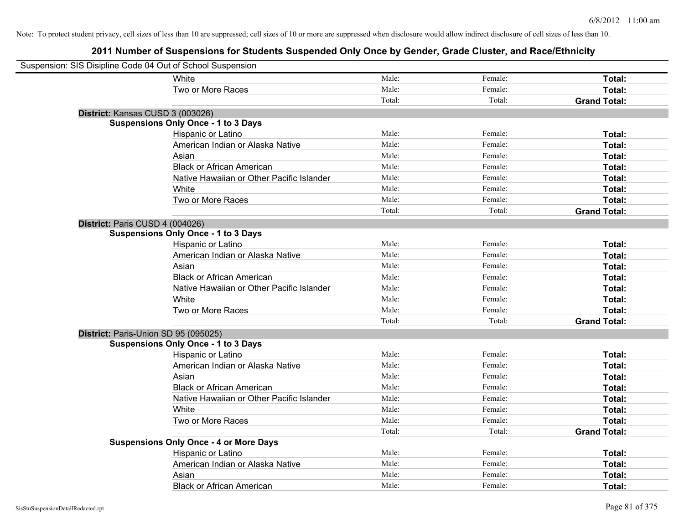| Suspension: SIS Disipline Code 04 Out of School Suspension |                                               |        |         |                     |
|------------------------------------------------------------|-----------------------------------------------|--------|---------|---------------------|
|                                                            | White                                         | Male:  | Female: | Total:              |
|                                                            | Two or More Races                             | Male:  | Female: | Total:              |
|                                                            |                                               | Total: | Total:  | <b>Grand Total:</b> |
| District: Kansas CUSD 3 (003026)                           |                                               |        |         |                     |
|                                                            | <b>Suspensions Only Once - 1 to 3 Days</b>    |        |         |                     |
|                                                            | Hispanic or Latino                            | Male:  | Female: | Total:              |
|                                                            | American Indian or Alaska Native              | Male:  | Female: | Total:              |
|                                                            | Asian                                         | Male:  | Female: | Total:              |
|                                                            | <b>Black or African American</b>              | Male:  | Female: | Total:              |
|                                                            | Native Hawaiian or Other Pacific Islander     | Male:  | Female: | Total:              |
|                                                            | White                                         | Male:  | Female: | Total:              |
|                                                            | Two or More Races                             | Male:  | Female: | Total:              |
|                                                            |                                               | Total: | Total:  | <b>Grand Total:</b> |
| District: Paris CUSD 4 (004026)                            |                                               |        |         |                     |
|                                                            | <b>Suspensions Only Once - 1 to 3 Days</b>    |        |         |                     |
|                                                            | Hispanic or Latino                            | Male:  | Female: | Total:              |
|                                                            | American Indian or Alaska Native              | Male:  | Female: | Total:              |
|                                                            | Asian                                         | Male:  | Female: | Total:              |
|                                                            | <b>Black or African American</b>              | Male:  | Female: | Total:              |
|                                                            | Native Hawaiian or Other Pacific Islander     | Male:  | Female: | Total:              |
|                                                            | White                                         | Male:  | Female: | Total:              |
|                                                            | Two or More Races                             | Male:  | Female: | Total:              |
|                                                            |                                               | Total: | Total:  | <b>Grand Total:</b> |
| District: Paris-Union SD 95 (095025)                       |                                               |        |         |                     |
|                                                            | <b>Suspensions Only Once - 1 to 3 Days</b>    |        |         |                     |
|                                                            | Hispanic or Latino                            | Male:  | Female: | Total:              |
|                                                            | American Indian or Alaska Native              | Male:  | Female: | Total:              |
|                                                            | Asian                                         | Male:  | Female: | Total:              |
|                                                            | <b>Black or African American</b>              | Male:  | Female: | Total:              |
|                                                            | Native Hawaiian or Other Pacific Islander     | Male:  | Female: | Total:              |
|                                                            | White                                         | Male:  | Female: | Total:              |
|                                                            | Two or More Races                             | Male:  | Female: | Total:              |
|                                                            |                                               | Total: | Total:  | <b>Grand Total:</b> |
|                                                            | <b>Suspensions Only Once - 4 or More Days</b> |        |         |                     |
|                                                            | Hispanic or Latino                            | Male:  | Female: | Total:              |
|                                                            | American Indian or Alaska Native              | Male:  | Female: | Total:              |
|                                                            | Asian                                         | Male:  | Female: | Total:              |
|                                                            | <b>Black or African American</b>              | Male:  | Female: | Total:              |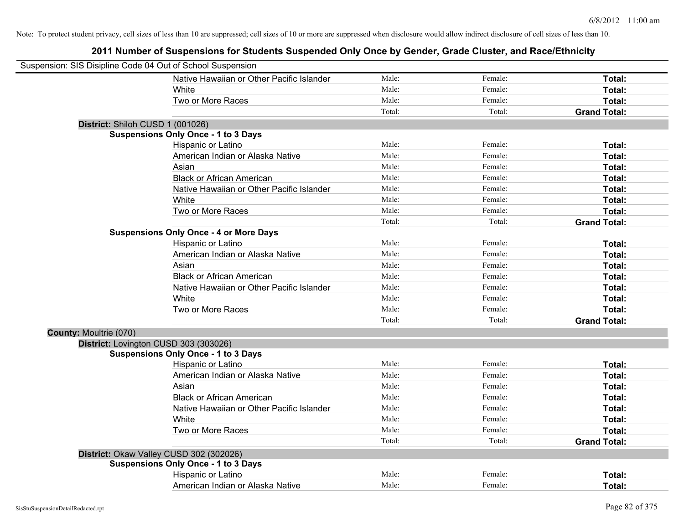| Suspension: SIS Disipline Code 04 Out of School Suspension |                                               |        |         |                     |
|------------------------------------------------------------|-----------------------------------------------|--------|---------|---------------------|
|                                                            | Native Hawaiian or Other Pacific Islander     | Male:  | Female: | Total:              |
|                                                            | White                                         | Male:  | Female: | Total:              |
|                                                            | Two or More Races                             | Male:  | Female: | Total:              |
|                                                            |                                               | Total: | Total:  | <b>Grand Total:</b> |
| District: Shiloh CUSD 1 (001026)                           |                                               |        |         |                     |
|                                                            | <b>Suspensions Only Once - 1 to 3 Days</b>    |        |         |                     |
|                                                            | Hispanic or Latino                            | Male:  | Female: | Total:              |
|                                                            | American Indian or Alaska Native              | Male:  | Female: | Total:              |
|                                                            | Asian                                         | Male:  | Female: | Total:              |
|                                                            | <b>Black or African American</b>              | Male:  | Female: | Total:              |
|                                                            | Native Hawaiian or Other Pacific Islander     | Male:  | Female: | Total:              |
|                                                            | White                                         | Male:  | Female: | Total:              |
|                                                            | Two or More Races                             | Male:  | Female: | Total:              |
|                                                            |                                               | Total: | Total:  | <b>Grand Total:</b> |
|                                                            | <b>Suspensions Only Once - 4 or More Days</b> |        |         |                     |
|                                                            | Hispanic or Latino                            | Male:  | Female: | Total:              |
|                                                            | American Indian or Alaska Native              | Male:  | Female: | Total:              |
|                                                            | Asian                                         | Male:  | Female: | Total:              |
|                                                            | <b>Black or African American</b>              | Male:  | Female: | Total:              |
|                                                            | Native Hawaiian or Other Pacific Islander     | Male:  | Female: | Total:              |
|                                                            | White                                         | Male:  | Female: | Total:              |
|                                                            | Two or More Races                             | Male:  | Female: | Total:              |
|                                                            |                                               | Total: | Total:  | <b>Grand Total:</b> |
| <b>County: Moultrie (070)</b>                              |                                               |        |         |                     |
| District: Lovington CUSD 303 (303026)                      |                                               |        |         |                     |
|                                                            | <b>Suspensions Only Once - 1 to 3 Days</b>    |        |         |                     |
|                                                            | Hispanic or Latino                            | Male:  | Female: | Total:              |
|                                                            | American Indian or Alaska Native              | Male:  | Female: | Total:              |
|                                                            | Asian                                         | Male:  | Female: | Total:              |
|                                                            | <b>Black or African American</b>              | Male:  | Female: | Total:              |
|                                                            | Native Hawaiian or Other Pacific Islander     | Male:  | Female: | Total:              |
|                                                            | White                                         | Male:  | Female: | Total:              |
|                                                            | Two or More Races                             | Male:  | Female: | Total:              |
|                                                            |                                               | Total: | Total:  | <b>Grand Total:</b> |
|                                                            | District: Okaw Valley CUSD 302 (302026)       |        |         |                     |
|                                                            | <b>Suspensions Only Once - 1 to 3 Days</b>    |        |         |                     |
|                                                            | Hispanic or Latino                            | Male:  | Female: | Total:              |
|                                                            | American Indian or Alaska Native              | Male:  | Female: | Total:              |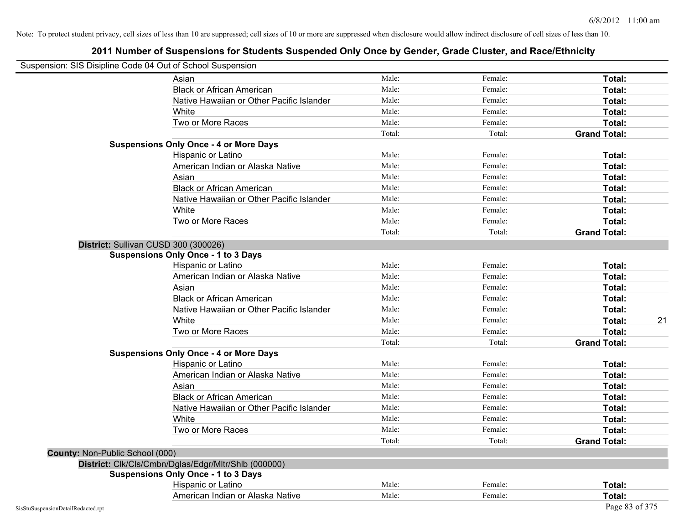| Suspension: SIS Disipline Code 04 Out of School Suspension |                                                      |        |         |                     |    |
|------------------------------------------------------------|------------------------------------------------------|--------|---------|---------------------|----|
|                                                            | Asian                                                | Male:  | Female: | Total:              |    |
|                                                            | <b>Black or African American</b>                     | Male:  | Female: | Total:              |    |
|                                                            | Native Hawaiian or Other Pacific Islander            | Male:  | Female: | Total:              |    |
|                                                            | White                                                | Male:  | Female: | Total:              |    |
|                                                            | Two or More Races                                    | Male:  | Female: | Total:              |    |
|                                                            |                                                      | Total: | Total:  | <b>Grand Total:</b> |    |
|                                                            | <b>Suspensions Only Once - 4 or More Days</b>        |        |         |                     |    |
|                                                            | Hispanic or Latino                                   | Male:  | Female: | Total:              |    |
|                                                            | American Indian or Alaska Native                     | Male:  | Female: | Total:              |    |
|                                                            | Asian                                                | Male:  | Female: | Total:              |    |
|                                                            | <b>Black or African American</b>                     | Male:  | Female: | Total:              |    |
|                                                            | Native Hawaiian or Other Pacific Islander            | Male:  | Female: | Total:              |    |
|                                                            | White                                                | Male:  | Female: | Total:              |    |
|                                                            | Two or More Races                                    | Male:  | Female: | Total:              |    |
|                                                            |                                                      | Total: | Total:  | <b>Grand Total:</b> |    |
|                                                            | District: Sullivan CUSD 300 (300026)                 |        |         |                     |    |
|                                                            | <b>Suspensions Only Once - 1 to 3 Days</b>           |        |         |                     |    |
|                                                            | Hispanic or Latino                                   | Male:  | Female: | Total:              |    |
|                                                            | American Indian or Alaska Native                     | Male:  | Female: | Total:              |    |
|                                                            | Asian                                                | Male:  | Female: | Total:              |    |
|                                                            | <b>Black or African American</b>                     | Male:  | Female: | Total:              |    |
|                                                            | Native Hawaiian or Other Pacific Islander            | Male:  | Female: | Total:              |    |
|                                                            | White                                                | Male:  | Female: | Total:              | 21 |
|                                                            | Two or More Races                                    | Male:  | Female: | Total:              |    |
|                                                            |                                                      | Total: | Total:  | <b>Grand Total:</b> |    |
|                                                            | <b>Suspensions Only Once - 4 or More Days</b>        |        |         |                     |    |
|                                                            | Hispanic or Latino                                   | Male:  | Female: | Total:              |    |
|                                                            | American Indian or Alaska Native                     | Male:  | Female: | Total:              |    |
|                                                            | Asian                                                | Male:  | Female: | Total:              |    |
|                                                            | <b>Black or African American</b>                     | Male:  | Female: | Total:              |    |
|                                                            | Native Hawaiian or Other Pacific Islander            | Male:  | Female: | Total:              |    |
|                                                            | White                                                | Male:  | Female: | Total:              |    |
|                                                            | Two or More Races                                    | Male:  | Female: | Total:              |    |
|                                                            |                                                      | Total: | Total:  | <b>Grand Total:</b> |    |
| County: Non-Public School (000)                            |                                                      |        |         |                     |    |
|                                                            | District: Clk/Cls/Cmbn/Dglas/Edgr/Mltr/Shlb (000000) |        |         |                     |    |
|                                                            | <b>Suspensions Only Once - 1 to 3 Days</b>           |        |         |                     |    |
|                                                            | Hispanic or Latino                                   | Male:  | Female: | Total:              |    |
|                                                            | American Indian or Alaska Native                     | Male:  | Female: | Total:              |    |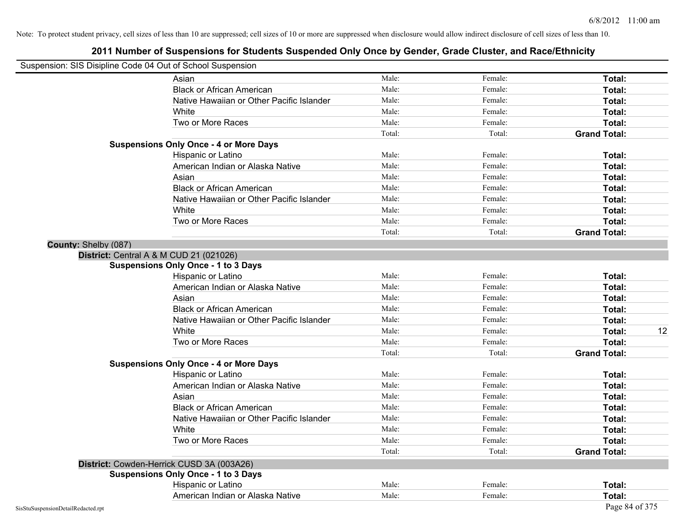| Suspension: SIS Disipline Code 04 Out of School Suspension |                                               |        |         |                     |    |
|------------------------------------------------------------|-----------------------------------------------|--------|---------|---------------------|----|
|                                                            | Asian                                         | Male:  | Female: | Total:              |    |
|                                                            | <b>Black or African American</b>              | Male:  | Female: | Total:              |    |
|                                                            | Native Hawaiian or Other Pacific Islander     | Male:  | Female: | Total:              |    |
|                                                            | White                                         | Male:  | Female: | Total:              |    |
|                                                            | Two or More Races                             | Male:  | Female: | Total:              |    |
|                                                            |                                               | Total: | Total:  | <b>Grand Total:</b> |    |
|                                                            | <b>Suspensions Only Once - 4 or More Days</b> |        |         |                     |    |
|                                                            | Hispanic or Latino                            | Male:  | Female: | Total:              |    |
|                                                            | American Indian or Alaska Native              | Male:  | Female: | Total:              |    |
|                                                            | Asian                                         | Male:  | Female: | Total:              |    |
|                                                            | <b>Black or African American</b>              | Male:  | Female: | Total:              |    |
|                                                            | Native Hawaiian or Other Pacific Islander     | Male:  | Female: | Total:              |    |
|                                                            | White                                         | Male:  | Female: | Total:              |    |
|                                                            | Two or More Races                             | Male:  | Female: | Total:              |    |
|                                                            |                                               | Total: | Total:  | <b>Grand Total:</b> |    |
| County: Shelby (087)                                       |                                               |        |         |                     |    |
| District: Central A & M CUD 21 (021026)                    |                                               |        |         |                     |    |
|                                                            | <b>Suspensions Only Once - 1 to 3 Days</b>    |        |         |                     |    |
|                                                            | Hispanic or Latino                            | Male:  | Female: | Total:              |    |
|                                                            | American Indian or Alaska Native              | Male:  | Female: | Total:              |    |
|                                                            | Asian                                         | Male:  | Female: | Total:              |    |
|                                                            | <b>Black or African American</b>              | Male:  | Female: | Total:              |    |
|                                                            | Native Hawaiian or Other Pacific Islander     | Male:  | Female: | Total:              |    |
|                                                            | White                                         | Male:  | Female: | Total:              | 12 |
|                                                            | Two or More Races                             | Male:  | Female: | Total:              |    |
|                                                            |                                               | Total: | Total:  | <b>Grand Total:</b> |    |
|                                                            | <b>Suspensions Only Once - 4 or More Days</b> |        |         |                     |    |
|                                                            | Hispanic or Latino                            | Male:  | Female: | Total:              |    |
|                                                            | American Indian or Alaska Native              | Male:  | Female: | Total:              |    |
|                                                            | Asian                                         | Male:  | Female: | Total:              |    |
|                                                            | <b>Black or African American</b>              | Male:  | Female: | Total:              |    |
|                                                            | Native Hawaiian or Other Pacific Islander     | Male:  | Female: | Total:              |    |
|                                                            | White                                         | Male:  | Female: | Total:              |    |
|                                                            | Two or More Races                             | Male:  | Female: | Total:              |    |
|                                                            |                                               | Total: | Total:  | <b>Grand Total:</b> |    |
|                                                            | District: Cowden-Herrick CUSD 3A (003A26)     |        |         |                     |    |
|                                                            | <b>Suspensions Only Once - 1 to 3 Days</b>    |        |         |                     |    |
|                                                            | Hispanic or Latino                            | Male:  | Female: | Total:              |    |
|                                                            | American Indian or Alaska Native              | Male:  | Female: | Total:              |    |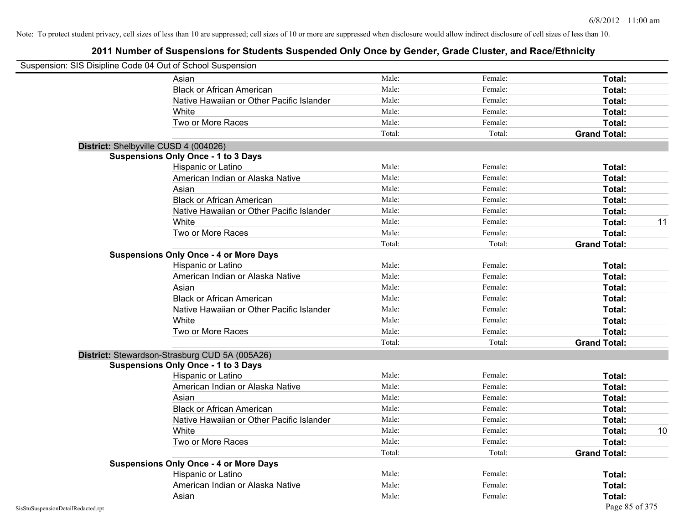|                                    | Suspension: SIS Disipline Code 04 Out of School Suspension |        |         |                     |    |
|------------------------------------|------------------------------------------------------------|--------|---------|---------------------|----|
|                                    | Asian                                                      | Male:  | Female: | Total:              |    |
|                                    | <b>Black or African American</b>                           | Male:  | Female: | Total:              |    |
|                                    | Native Hawaiian or Other Pacific Islander                  | Male:  | Female: | Total:              |    |
|                                    | White                                                      | Male:  | Female: | Total:              |    |
|                                    | Two or More Races                                          | Male:  | Female: | Total:              |    |
|                                    |                                                            | Total: | Total:  | <b>Grand Total:</b> |    |
|                                    | District: Shelbyville CUSD 4 (004026)                      |        |         |                     |    |
|                                    | <b>Suspensions Only Once - 1 to 3 Days</b>                 |        |         |                     |    |
|                                    | Hispanic or Latino                                         | Male:  | Female: | Total:              |    |
|                                    | American Indian or Alaska Native                           | Male:  | Female: | Total:              |    |
|                                    | Asian                                                      | Male:  | Female: | Total:              |    |
|                                    | <b>Black or African American</b>                           | Male:  | Female: | Total:              |    |
|                                    | Native Hawaiian or Other Pacific Islander                  | Male:  | Female: | Total:              |    |
|                                    | White                                                      | Male:  | Female: | Total:              | 11 |
|                                    | Two or More Races                                          | Male:  | Female: | Total:              |    |
|                                    |                                                            | Total: | Total:  | <b>Grand Total:</b> |    |
|                                    | <b>Suspensions Only Once - 4 or More Days</b>              |        |         |                     |    |
|                                    | Hispanic or Latino                                         | Male:  | Female: | Total:              |    |
|                                    | American Indian or Alaska Native                           | Male:  | Female: | Total:              |    |
|                                    | Asian                                                      | Male:  | Female: | Total:              |    |
|                                    | <b>Black or African American</b>                           | Male:  | Female: | Total:              |    |
|                                    | Native Hawaiian or Other Pacific Islander                  | Male:  | Female: | Total:              |    |
|                                    | White                                                      | Male:  | Female: | <b>Total:</b>       |    |
|                                    | Two or More Races                                          | Male:  | Female: | Total:              |    |
|                                    |                                                            | Total: | Total:  | <b>Grand Total:</b> |    |
|                                    | District: Stewardson-Strasburg CUD 5A (005A26)             |        |         |                     |    |
|                                    | <b>Suspensions Only Once - 1 to 3 Days</b>                 |        |         |                     |    |
|                                    | Hispanic or Latino                                         | Male:  | Female: | <b>Total:</b>       |    |
|                                    | American Indian or Alaska Native                           | Male:  | Female: | <b>Total:</b>       |    |
|                                    | Asian                                                      | Male:  | Female: | Total:              |    |
|                                    | <b>Black or African American</b>                           | Male:  | Female: | Total:              |    |
|                                    | Native Hawaiian or Other Pacific Islander                  | Male:  | Female: | Total:              |    |
|                                    | White                                                      | Male:  | Female: | <b>Total:</b>       | 10 |
|                                    | Two or More Races                                          | Male:  | Female: | <b>Total:</b>       |    |
|                                    |                                                            | Total: | Total:  | <b>Grand Total:</b> |    |
|                                    | <b>Suspensions Only Once - 4 or More Days</b>              |        |         |                     |    |
|                                    | Hispanic or Latino                                         | Male:  | Female: | Total:              |    |
|                                    | American Indian or Alaska Native                           | Male:  | Female: | Total:              |    |
|                                    | Asian                                                      | Male:  | Female: | Total:              |    |
| SisStuSuspensionDetailRedacted.rpt |                                                            |        |         | Page 85 of 375      |    |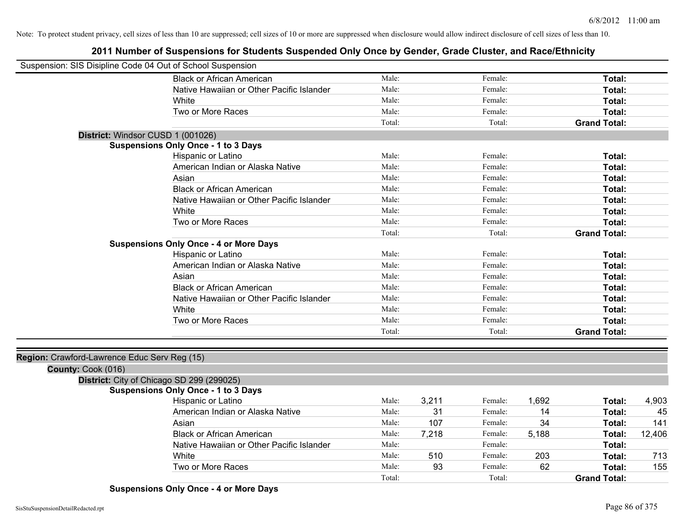| Suspension: SIS Disipline Code 04 Out of School Suspension         |        |       |         |       |                     |        |
|--------------------------------------------------------------------|--------|-------|---------|-------|---------------------|--------|
| <b>Black or African American</b>                                   | Male:  |       | Female: |       | Total:              |        |
| Native Hawaiian or Other Pacific Islander                          | Male:  |       | Female: |       | Total:              |        |
| White                                                              | Male:  |       | Female: |       | Total:              |        |
| Two or More Races                                                  | Male:  |       | Female: |       | Total:              |        |
|                                                                    | Total: |       | Total:  |       | <b>Grand Total:</b> |        |
| District: Windsor CUSD 1 (001026)                                  |        |       |         |       |                     |        |
| <b>Suspensions Only Once - 1 to 3 Days</b>                         |        |       |         |       |                     |        |
| Hispanic or Latino                                                 | Male:  |       | Female: |       | Total:              |        |
| American Indian or Alaska Native                                   | Male:  |       | Female: |       | Total:              |        |
| Asian                                                              | Male:  |       | Female: |       | Total:              |        |
| <b>Black or African American</b>                                   | Male:  |       | Female: |       | Total:              |        |
| Native Hawaiian or Other Pacific Islander                          | Male:  |       | Female: |       | Total:              |        |
| White                                                              | Male:  |       | Female: |       | Total:              |        |
| Two or More Races                                                  | Male:  |       | Female: |       | Total:              |        |
|                                                                    | Total: |       | Total:  |       | <b>Grand Total:</b> |        |
| <b>Suspensions Only Once - 4 or More Days</b>                      |        |       |         |       |                     |        |
| Hispanic or Latino                                                 | Male:  |       | Female: |       | Total:              |        |
| American Indian or Alaska Native                                   | Male:  |       | Female: |       | Total:              |        |
| Asian                                                              | Male:  |       | Female: |       | Total:              |        |
| <b>Black or African American</b>                                   | Male:  |       | Female: |       | Total:              |        |
| Native Hawaiian or Other Pacific Islander                          | Male:  |       | Female: |       | Total:              |        |
| White                                                              | Male:  |       | Female: |       | Total:              |        |
| Two or More Races                                                  | Male:  |       | Female: |       | Total:              |        |
|                                                                    | Total: |       | Total:  |       | <b>Grand Total:</b> |        |
|                                                                    |        |       |         |       |                     |        |
| Region: Crawford-Lawrence Educ Serv Reg (15)<br>County: Cook (016) |        |       |         |       |                     |        |
| District: City of Chicago SD 299 (299025)                          |        |       |         |       |                     |        |
| <b>Suspensions Only Once - 1 to 3 Days</b>                         |        |       |         |       |                     |        |
| Hispanic or Latino                                                 | Male:  | 3,211 | Female: | 1,692 | Total:              | 4,903  |
| American Indian or Alaska Native                                   | Male:  | 31    | Female: | 14    | Total:              | 45     |
| Asian                                                              | Male:  | 107   | Female: | 34    | Total:              | 141    |
| <b>Black or African American</b>                                   | Male:  | 7,218 | Female: | 5,188 | Total:              | 12,406 |
| Native Hawaiian or Other Pacific Islander                          | Male:  |       | Female: |       | Total:              |        |
| White                                                              | Male:  | 510   | Female: | 203   | Total:              | 713    |
| Two or More Races                                                  | Male:  | 93    | Female: | 62    | Total:              | 155    |
|                                                                    | Total: |       | Total:  |       | <b>Grand Total:</b> |        |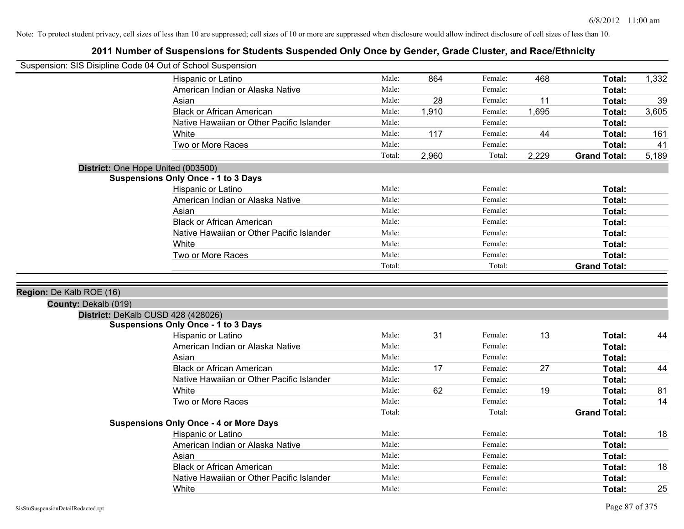| Suspension: SIS Disipline Code 04 Out of School Suspension |                                                                  |        |       |         |       |                     |       |
|------------------------------------------------------------|------------------------------------------------------------------|--------|-------|---------|-------|---------------------|-------|
|                                                            | Hispanic or Latino                                               | Male:  | 864   | Female: | 468   | Total:              | 1,332 |
|                                                            | American Indian or Alaska Native                                 | Male:  |       | Female: |       | Total:              |       |
|                                                            | Asian                                                            | Male:  | 28    | Female: | 11    | Total:              | 39    |
|                                                            | <b>Black or African American</b>                                 | Male:  | 1,910 | Female: | 1,695 | Total:              | 3,605 |
|                                                            | Native Hawaiian or Other Pacific Islander                        | Male:  |       | Female: |       | Total:              |       |
|                                                            | White                                                            | Male:  | 117   | Female: | 44    | Total:              | 161   |
|                                                            | Two or More Races                                                | Male:  |       | Female: |       | Total:              | 41    |
|                                                            |                                                                  | Total: | 2,960 | Total:  | 2,229 | <b>Grand Total:</b> | 5,189 |
| District: One Hope United (003500)                         |                                                                  |        |       |         |       |                     |       |
|                                                            | <b>Suspensions Only Once - 1 to 3 Days</b>                       |        |       |         |       |                     |       |
|                                                            | Hispanic or Latino                                               | Male:  |       | Female: |       | Total:              |       |
|                                                            | American Indian or Alaska Native                                 | Male:  |       | Female: |       | Total:              |       |
|                                                            | Asian                                                            | Male:  |       | Female: |       | Total:              |       |
|                                                            | <b>Black or African American</b>                                 | Male:  |       | Female: |       | Total:              |       |
|                                                            | Native Hawaiian or Other Pacific Islander                        | Male:  |       | Female: |       | Total:              |       |
|                                                            | White                                                            | Male:  |       | Female: |       | Total:              |       |
|                                                            | Two or More Races                                                | Male:  |       | Female: |       | Total:              |       |
|                                                            |                                                                  | Total: |       | Total:  |       | <b>Grand Total:</b> |       |
| Region: De Kalb ROE (16)<br>County: Dekalb (019)           |                                                                  |        |       |         |       |                     |       |
|                                                            | District: DeKalb CUSD 428 (428026)                               |        |       |         |       |                     |       |
|                                                            | <b>Suspensions Only Once - 1 to 3 Days</b><br>Hispanic or Latino | Male:  | 31    | Female: | 13    |                     |       |
|                                                            | American Indian or Alaska Native                                 | Male:  |       | Female: |       | Total:<br>Total:    | 44    |
|                                                            | Asian                                                            | Male:  |       | Female: |       | Total:              |       |
|                                                            | <b>Black or African American</b>                                 | Male:  | 17    | Female: | 27    | Total:              | 44    |
|                                                            | Native Hawaiian or Other Pacific Islander                        | Male:  |       | Female: |       | <b>Total:</b>       |       |
|                                                            | White                                                            | Male:  | 62    | Female: | 19    | Total:              | 81    |
|                                                            | Two or More Races                                                | Male:  |       | Female: |       | Total:              | 14    |
|                                                            |                                                                  | Total: |       | Total:  |       | <b>Grand Total:</b> |       |
|                                                            | <b>Suspensions Only Once - 4 or More Days</b>                    |        |       |         |       |                     |       |
|                                                            | Hispanic or Latino                                               | Male:  |       | Female: |       | Total:              | 18    |
|                                                            | American Indian or Alaska Native                                 | Male:  |       | Female: |       | Total:              |       |
|                                                            | Asian                                                            | Male:  |       | Female: |       | Total:              |       |
|                                                            | <b>Black or African American</b>                                 | Male:  |       | Female: |       | Total:              | 18    |
|                                                            | Native Hawaiian or Other Pacific Islander                        | Male:  |       | Female: |       | Total:              |       |
|                                                            | White                                                            | Male:  |       | Female: |       | Total:              | 25    |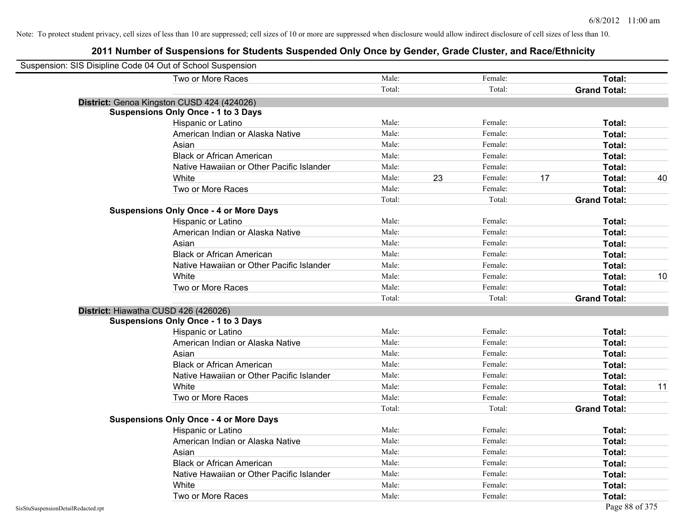| Suspension: SIS Disipline Code 04 Out of School Suspension |                                               |        |    |         |    |                     |    |
|------------------------------------------------------------|-----------------------------------------------|--------|----|---------|----|---------------------|----|
|                                                            | Two or More Races                             | Male:  |    | Female: |    | Total:              |    |
|                                                            |                                               | Total: |    | Total:  |    | <b>Grand Total:</b> |    |
|                                                            | District: Genoa Kingston CUSD 424 (424026)    |        |    |         |    |                     |    |
|                                                            | <b>Suspensions Only Once - 1 to 3 Days</b>    |        |    |         |    |                     |    |
|                                                            | Hispanic or Latino                            | Male:  |    | Female: |    | Total:              |    |
|                                                            | American Indian or Alaska Native              | Male:  |    | Female: |    | Total:              |    |
|                                                            | Asian                                         | Male:  |    | Female: |    | Total:              |    |
|                                                            | <b>Black or African American</b>              | Male:  |    | Female: |    | Total:              |    |
|                                                            | Native Hawaiian or Other Pacific Islander     | Male:  |    | Female: |    | Total:              |    |
|                                                            | White                                         | Male:  | 23 | Female: | 17 | Total:              | 40 |
|                                                            | Two or More Races                             | Male:  |    | Female: |    | Total:              |    |
|                                                            |                                               | Total: |    | Total:  |    | <b>Grand Total:</b> |    |
|                                                            | <b>Suspensions Only Once - 4 or More Days</b> |        |    |         |    |                     |    |
|                                                            | Hispanic or Latino                            | Male:  |    | Female: |    | Total:              |    |
|                                                            | American Indian or Alaska Native              | Male:  |    | Female: |    | Total:              |    |
|                                                            | Asian                                         | Male:  |    | Female: |    | Total:              |    |
|                                                            | <b>Black or African American</b>              | Male:  |    | Female: |    | Total:              |    |
|                                                            | Native Hawaiian or Other Pacific Islander     | Male:  |    | Female: |    | Total:              |    |
|                                                            | White                                         | Male:  |    | Female: |    | Total:              | 10 |
|                                                            | Two or More Races                             | Male:  |    | Female: |    | Total:              |    |
|                                                            |                                               | Total: |    | Total:  |    | <b>Grand Total:</b> |    |
| District: Hiawatha CUSD 426 (426026)                       |                                               |        |    |         |    |                     |    |
|                                                            | <b>Suspensions Only Once - 1 to 3 Days</b>    |        |    |         |    |                     |    |
|                                                            | Hispanic or Latino                            | Male:  |    | Female: |    | Total:              |    |
|                                                            | American Indian or Alaska Native              | Male:  |    | Female: |    | Total:              |    |
|                                                            | Asian                                         | Male:  |    | Female: |    | Total:              |    |
|                                                            | <b>Black or African American</b>              | Male:  |    | Female: |    | Total:              |    |
|                                                            | Native Hawaiian or Other Pacific Islander     | Male:  |    | Female: |    | Total:              |    |
|                                                            | White                                         | Male:  |    | Female: |    | Total:              | 11 |
|                                                            | Two or More Races                             | Male:  |    | Female: |    | Total:              |    |
|                                                            |                                               | Total: |    | Total:  |    | <b>Grand Total:</b> |    |
|                                                            | <b>Suspensions Only Once - 4 or More Days</b> |        |    |         |    |                     |    |
|                                                            | Hispanic or Latino                            | Male:  |    | Female: |    | Total:              |    |
|                                                            | American Indian or Alaska Native              | Male:  |    | Female: |    | Total:              |    |
|                                                            | Asian                                         | Male:  |    | Female: |    | Total:              |    |
|                                                            | <b>Black or African American</b>              | Male:  |    | Female: |    | Total:              |    |
|                                                            | Native Hawaiian or Other Pacific Islander     | Male:  |    | Female: |    | Total:              |    |
|                                                            | White                                         | Male:  |    | Female: |    | Total:              |    |
|                                                            | Two or More Races                             | Male:  |    | Female: |    | Total:              |    |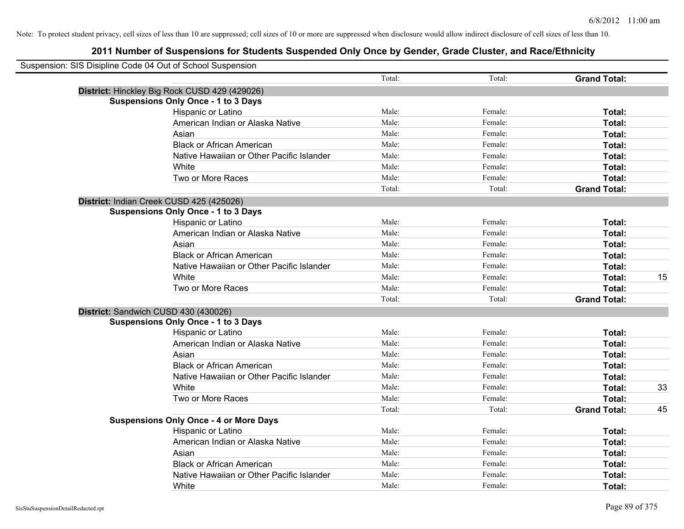| Suspension: SIS Disipline Code 04 Out of School Suspension |                                               |        |         |                     |    |
|------------------------------------------------------------|-----------------------------------------------|--------|---------|---------------------|----|
|                                                            |                                               | Total: | Total:  | <b>Grand Total:</b> |    |
|                                                            | District: Hinckley Big Rock CUSD 429 (429026) |        |         |                     |    |
|                                                            | <b>Suspensions Only Once - 1 to 3 Days</b>    |        |         |                     |    |
|                                                            | Hispanic or Latino                            | Male:  | Female: | Total:              |    |
|                                                            | American Indian or Alaska Native              | Male:  | Female: | Total:              |    |
|                                                            | Asian                                         | Male:  | Female: | Total:              |    |
|                                                            | <b>Black or African American</b>              | Male:  | Female: | Total:              |    |
|                                                            | Native Hawaiian or Other Pacific Islander     | Male:  | Female: | Total:              |    |
|                                                            | White                                         | Male:  | Female: | Total:              |    |
|                                                            | Two or More Races                             | Male:  | Female: | Total:              |    |
|                                                            |                                               | Total: | Total:  | <b>Grand Total:</b> |    |
|                                                            | District: Indian Creek CUSD 425 (425026)      |        |         |                     |    |
|                                                            | <b>Suspensions Only Once - 1 to 3 Days</b>    |        |         |                     |    |
|                                                            | Hispanic or Latino                            | Male:  | Female: | Total:              |    |
|                                                            | American Indian or Alaska Native              | Male:  | Female: | Total:              |    |
|                                                            | Asian                                         | Male:  | Female: | Total:              |    |
|                                                            | <b>Black or African American</b>              | Male:  | Female: | Total:              |    |
|                                                            | Native Hawaiian or Other Pacific Islander     | Male:  | Female: | Total:              |    |
|                                                            | White                                         | Male:  | Female: | Total:              | 15 |
|                                                            | Two or More Races                             | Male:  | Female: | Total:              |    |
|                                                            |                                               | Total: | Total:  | <b>Grand Total:</b> |    |
|                                                            | District: Sandwich CUSD 430 (430026)          |        |         |                     |    |
|                                                            | <b>Suspensions Only Once - 1 to 3 Days</b>    |        |         |                     |    |
|                                                            | Hispanic or Latino                            | Male:  | Female: | Total:              |    |
|                                                            | American Indian or Alaska Native              | Male:  | Female: | Total:              |    |
|                                                            | Asian                                         | Male:  | Female: | Total:              |    |
|                                                            | <b>Black or African American</b>              | Male:  | Female: | Total:              |    |
|                                                            | Native Hawaiian or Other Pacific Islander     | Male:  | Female: | Total:              |    |
|                                                            | White                                         | Male:  | Female: | Total:              | 33 |
|                                                            | Two or More Races                             | Male:  | Female: | Total:              |    |
|                                                            |                                               | Total: | Total:  | <b>Grand Total:</b> | 45 |
|                                                            | <b>Suspensions Only Once - 4 or More Days</b> |        |         |                     |    |
|                                                            | Hispanic or Latino                            | Male:  | Female: | Total:              |    |
|                                                            | American Indian or Alaska Native              | Male:  | Female: | Total:              |    |
|                                                            | Asian                                         | Male:  | Female: | Total:              |    |
|                                                            | <b>Black or African American</b>              | Male:  | Female: | Total:              |    |
|                                                            | Native Hawaiian or Other Pacific Islander     | Male:  | Female: | Total:              |    |
|                                                            | White                                         | Male:  | Female: | Total:              |    |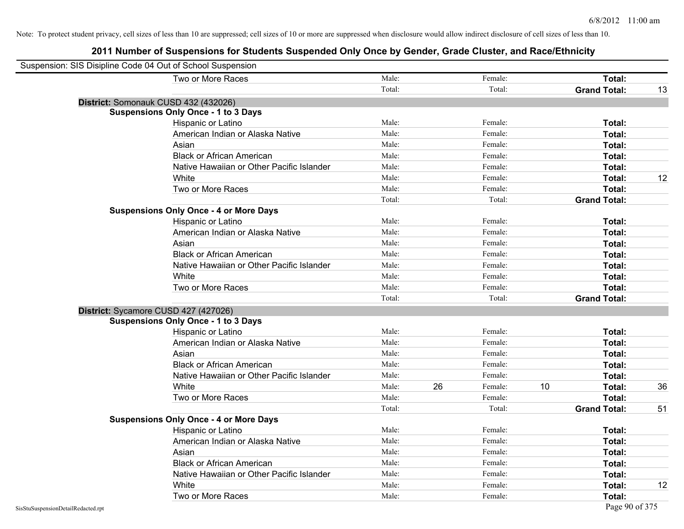| Suspension: SIS Disipline Code 04 Out of School Suspension |                                               |        |    |         |    |                     |    |
|------------------------------------------------------------|-----------------------------------------------|--------|----|---------|----|---------------------|----|
|                                                            | Two or More Races                             | Male:  |    | Female: |    | <b>Total:</b>       |    |
|                                                            |                                               | Total: |    | Total:  |    | <b>Grand Total:</b> | 13 |
|                                                            | District: Somonauk CUSD 432 (432026)          |        |    |         |    |                     |    |
|                                                            | <b>Suspensions Only Once - 1 to 3 Days</b>    |        |    |         |    |                     |    |
|                                                            | Hispanic or Latino                            | Male:  |    | Female: |    | Total:              |    |
|                                                            | American Indian or Alaska Native              | Male:  |    | Female: |    | Total:              |    |
|                                                            | Asian                                         | Male:  |    | Female: |    | Total:              |    |
|                                                            | <b>Black or African American</b>              | Male:  |    | Female: |    | Total:              |    |
|                                                            | Native Hawaiian or Other Pacific Islander     | Male:  |    | Female: |    | Total:              |    |
|                                                            | White                                         | Male:  |    | Female: |    | Total:              | 12 |
|                                                            | Two or More Races                             | Male:  |    | Female: |    | Total:              |    |
|                                                            |                                               | Total: |    | Total:  |    | <b>Grand Total:</b> |    |
|                                                            | <b>Suspensions Only Once - 4 or More Days</b> |        |    |         |    |                     |    |
|                                                            | Hispanic or Latino                            | Male:  |    | Female: |    | Total:              |    |
|                                                            | American Indian or Alaska Native              | Male:  |    | Female: |    | Total:              |    |
|                                                            | Asian                                         | Male:  |    | Female: |    | Total:              |    |
|                                                            | <b>Black or African American</b>              | Male:  |    | Female: |    | Total:              |    |
|                                                            | Native Hawaiian or Other Pacific Islander     | Male:  |    | Female: |    | Total:              |    |
|                                                            | White                                         | Male:  |    | Female: |    | Total:              |    |
|                                                            | Two or More Races                             | Male:  |    | Female: |    | Total:              |    |
|                                                            |                                               | Total: |    | Total:  |    | <b>Grand Total:</b> |    |
|                                                            | District: Sycamore CUSD 427 (427026)          |        |    |         |    |                     |    |
|                                                            | <b>Suspensions Only Once - 1 to 3 Days</b>    |        |    |         |    |                     |    |
|                                                            | Hispanic or Latino                            | Male:  |    | Female: |    | Total:              |    |
|                                                            | American Indian or Alaska Native              | Male:  |    | Female: |    | Total:              |    |
|                                                            | Asian                                         | Male:  |    | Female: |    | Total:              |    |
|                                                            | <b>Black or African American</b>              | Male:  |    | Female: |    | Total:              |    |
|                                                            | Native Hawaiian or Other Pacific Islander     | Male:  |    | Female: |    | Total:              |    |
|                                                            | White                                         | Male:  | 26 | Female: | 10 | Total:              | 36 |
|                                                            | Two or More Races                             | Male:  |    | Female: |    | Total:              |    |
|                                                            |                                               | Total: |    | Total:  |    | <b>Grand Total:</b> | 51 |
|                                                            | <b>Suspensions Only Once - 4 or More Days</b> |        |    |         |    |                     |    |
|                                                            | Hispanic or Latino                            | Male:  |    | Female: |    | Total:              |    |
|                                                            | American Indian or Alaska Native              | Male:  |    | Female: |    | Total:              |    |
|                                                            | Asian                                         | Male:  |    | Female: |    | Total:              |    |
|                                                            | <b>Black or African American</b>              | Male:  |    | Female: |    | Total:              |    |
|                                                            | Native Hawaiian or Other Pacific Islander     | Male:  |    | Female: |    | Total:              |    |
|                                                            | White                                         | Male:  |    | Female: |    | Total:              | 12 |
|                                                            | Two or More Races                             | Male:  |    | Female: |    | Total:              |    |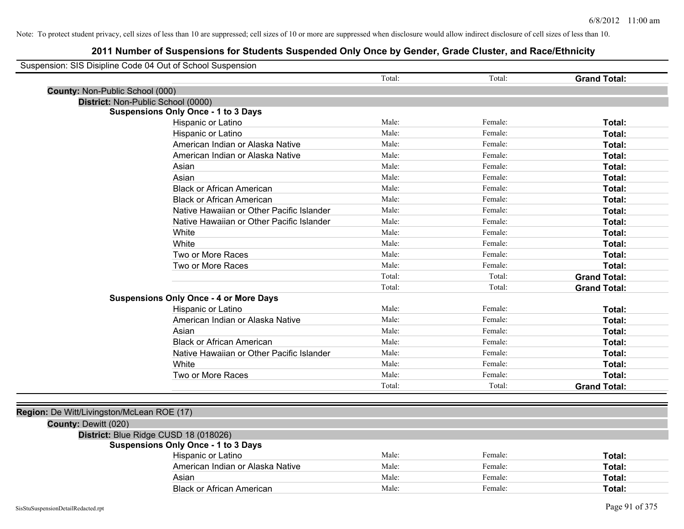| Suspension: SIS Disipline Code 04 Out of School Suspension |                                               |        |         |                     |
|------------------------------------------------------------|-----------------------------------------------|--------|---------|---------------------|
|                                                            |                                               | Total: | Total:  | <b>Grand Total:</b> |
| County: Non-Public School (000)                            |                                               |        |         |                     |
| District: Non-Public School (0000)                         |                                               |        |         |                     |
|                                                            | <b>Suspensions Only Once - 1 to 3 Days</b>    |        |         |                     |
|                                                            | Hispanic or Latino                            | Male:  | Female: | Total:              |
|                                                            | Hispanic or Latino                            | Male:  | Female: | Total:              |
|                                                            | American Indian or Alaska Native              | Male:  | Female: | Total:              |
|                                                            | American Indian or Alaska Native              | Male:  | Female: | Total:              |
|                                                            | Asian                                         | Male:  | Female: | Total:              |
|                                                            | Asian                                         | Male:  | Female: | Total:              |
|                                                            | <b>Black or African American</b>              | Male:  | Female: | Total:              |
|                                                            | <b>Black or African American</b>              | Male:  | Female: | Total:              |
|                                                            | Native Hawaiian or Other Pacific Islander     | Male:  | Female: | Total:              |
|                                                            | Native Hawaiian or Other Pacific Islander     | Male:  | Female: | Total:              |
|                                                            | White                                         | Male:  | Female: | Total:              |
|                                                            | White                                         | Male:  | Female: | Total:              |
|                                                            | Two or More Races                             | Male:  | Female: | Total:              |
|                                                            | Two or More Races                             | Male:  | Female: | Total:              |
|                                                            |                                               | Total: | Total:  | <b>Grand Total:</b> |
|                                                            |                                               | Total: | Total:  | <b>Grand Total:</b> |
|                                                            | <b>Suspensions Only Once - 4 or More Days</b> |        |         |                     |
|                                                            | Hispanic or Latino                            | Male:  | Female: | Total:              |
|                                                            | American Indian or Alaska Native              | Male:  | Female: | Total:              |
|                                                            | Asian                                         | Male:  | Female: | Total:              |
|                                                            | <b>Black or African American</b>              | Male:  | Female: | Total:              |
|                                                            | Native Hawaiian or Other Pacific Islander     | Male:  | Female: | Total:              |
|                                                            | White                                         | Male:  | Female: | Total:              |
|                                                            | Two or More Races                             | Male:  | Female: | Total:              |
|                                                            |                                               | Total: | Total:  | <b>Grand Total:</b> |
|                                                            |                                               |        |         |                     |
| Region: De Witt/Livingston/McLean ROE (17)                 |                                               |        |         |                     |
| County: Dewitt (020)                                       |                                               |        |         |                     |
|                                                            | District: Blue Ridge CUSD 18 (018026)         |        |         |                     |
|                                                            | <b>Suspensions Only Once - 1 to 3 Days</b>    |        |         |                     |
|                                                            | Hispanic or Latino                            | Male:  | Female: | Total:              |
|                                                            | American Indian or Alaska Native              | Male:  | Female: | Total:              |
|                                                            | Asian                                         | Male:  | Female: | Total:              |
|                                                            | <b>Black or African American</b>              | Male:  | Female: | Total:              |
|                                                            |                                               |        |         |                     |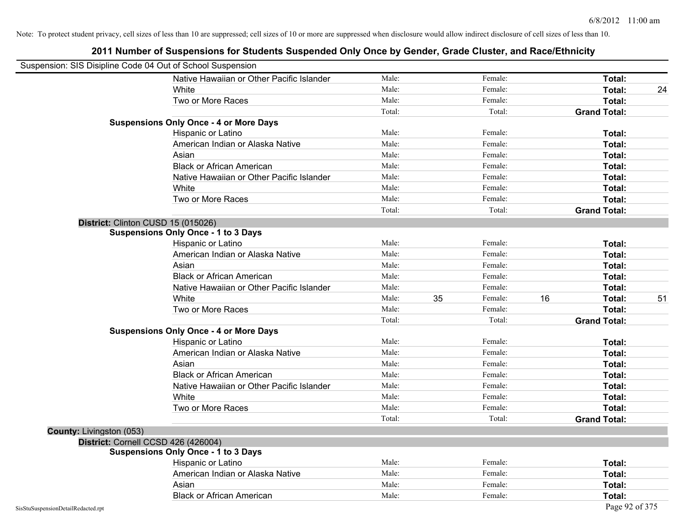| Suspension: SIS Disipline Code 04 Out of School Suspension |                                               |        |    |         |    |                     |    |
|------------------------------------------------------------|-----------------------------------------------|--------|----|---------|----|---------------------|----|
|                                                            | Native Hawaiian or Other Pacific Islander     | Male:  |    | Female: |    | Total:              |    |
|                                                            | White                                         | Male:  |    | Female: |    | Total:              | 24 |
|                                                            | Two or More Races                             | Male:  |    | Female: |    | Total:              |    |
|                                                            |                                               | Total: |    | Total:  |    | <b>Grand Total:</b> |    |
|                                                            | <b>Suspensions Only Once - 4 or More Days</b> |        |    |         |    |                     |    |
|                                                            | Hispanic or Latino                            | Male:  |    | Female: |    | Total:              |    |
|                                                            | American Indian or Alaska Native              | Male:  |    | Female: |    | Total:              |    |
|                                                            | Asian                                         | Male:  |    | Female: |    | Total:              |    |
|                                                            | <b>Black or African American</b>              | Male:  |    | Female: |    | Total:              |    |
|                                                            | Native Hawaiian or Other Pacific Islander     | Male:  |    | Female: |    | Total:              |    |
|                                                            | White                                         | Male:  |    | Female: |    | Total:              |    |
|                                                            | Two or More Races                             | Male:  |    | Female: |    | Total:              |    |
|                                                            |                                               | Total: |    | Total:  |    | <b>Grand Total:</b> |    |
|                                                            | District: Clinton CUSD 15 (015026)            |        |    |         |    |                     |    |
|                                                            | <b>Suspensions Only Once - 1 to 3 Days</b>    |        |    |         |    |                     |    |
|                                                            | Hispanic or Latino                            | Male:  |    | Female: |    | Total:              |    |
|                                                            | American Indian or Alaska Native              | Male:  |    | Female: |    | Total:              |    |
|                                                            | Asian                                         | Male:  |    | Female: |    | Total:              |    |
|                                                            | <b>Black or African American</b>              | Male:  |    | Female: |    | Total:              |    |
|                                                            | Native Hawaiian or Other Pacific Islander     | Male:  |    | Female: |    | Total:              |    |
|                                                            | White                                         | Male:  | 35 | Female: | 16 | Total:              | 51 |
|                                                            | Two or More Races                             | Male:  |    | Female: |    | Total:              |    |
|                                                            |                                               | Total: |    | Total:  |    | <b>Grand Total:</b> |    |
|                                                            | <b>Suspensions Only Once - 4 or More Days</b> |        |    |         |    |                     |    |
|                                                            | Hispanic or Latino                            | Male:  |    | Female: |    | Total:              |    |
|                                                            | American Indian or Alaska Native              | Male:  |    | Female: |    | Total:              |    |
|                                                            | Asian                                         | Male:  |    | Female: |    | Total:              |    |
|                                                            | <b>Black or African American</b>              | Male:  |    | Female: |    | Total:              |    |
|                                                            | Native Hawaiian or Other Pacific Islander     | Male:  |    | Female: |    | Total:              |    |
|                                                            | White                                         | Male:  |    | Female: |    | Total:              |    |
|                                                            | Two or More Races                             | Male:  |    | Female: |    | Total:              |    |
|                                                            |                                               | Total: |    | Total:  |    | <b>Grand Total:</b> |    |
| <b>County: Livingston (053)</b>                            |                                               |        |    |         |    |                     |    |
|                                                            | District: Cornell CCSD 426 (426004)           |        |    |         |    |                     |    |
|                                                            | <b>Suspensions Only Once - 1 to 3 Days</b>    |        |    |         |    |                     |    |
|                                                            | Hispanic or Latino                            | Male:  |    | Female: |    | Total:              |    |
|                                                            | American Indian or Alaska Native              | Male:  |    | Female: |    | Total:              |    |
|                                                            | Asian                                         | Male:  |    | Female: |    | Total:              |    |
|                                                            | <b>Black or African American</b>              | Male:  |    | Female: |    | Total:              |    |
| SisStuSuspensionDetailRedacted.rpt                         |                                               |        |    |         |    | Page 92 of 375      |    |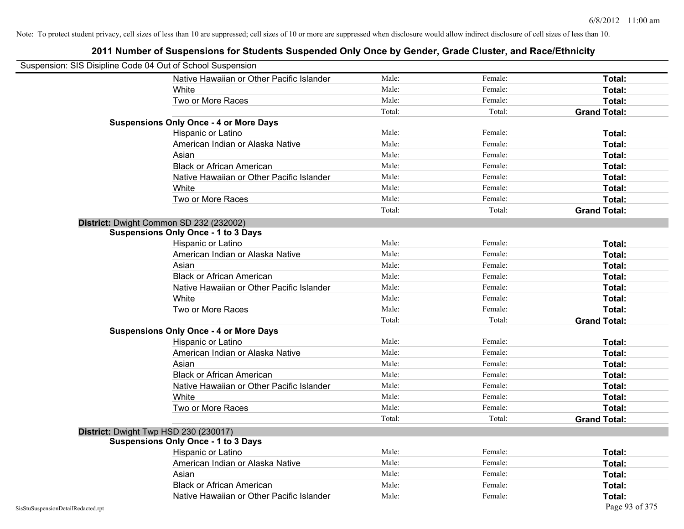| Suspension: SIS Disipline Code 04 Out of School Suspension |                                               |        |         |                     |
|------------------------------------------------------------|-----------------------------------------------|--------|---------|---------------------|
|                                                            | Native Hawaiian or Other Pacific Islander     | Male:  | Female: | Total:              |
|                                                            | White                                         | Male:  | Female: | Total:              |
|                                                            | Two or More Races                             | Male:  | Female: | Total:              |
|                                                            |                                               | Total: | Total:  | <b>Grand Total:</b> |
|                                                            | <b>Suspensions Only Once - 4 or More Days</b> |        |         |                     |
|                                                            | Hispanic or Latino                            | Male:  | Female: | Total:              |
|                                                            | American Indian or Alaska Native              | Male:  | Female: | Total:              |
|                                                            | Asian                                         | Male:  | Female: | Total:              |
|                                                            | <b>Black or African American</b>              | Male:  | Female: | Total:              |
|                                                            | Native Hawaiian or Other Pacific Islander     | Male:  | Female: | Total:              |
|                                                            | White                                         | Male:  | Female: | Total:              |
|                                                            | Two or More Races                             | Male:  | Female: | Total:              |
|                                                            |                                               | Total: | Total:  | <b>Grand Total:</b> |
|                                                            | District: Dwight Common SD 232 (232002)       |        |         |                     |
|                                                            | <b>Suspensions Only Once - 1 to 3 Days</b>    |        |         |                     |
|                                                            | Hispanic or Latino                            | Male:  | Female: | Total:              |
|                                                            | American Indian or Alaska Native              | Male:  | Female: | Total:              |
|                                                            | Asian                                         | Male:  | Female: | Total:              |
|                                                            | <b>Black or African American</b>              | Male:  | Female: | Total:              |
|                                                            | Native Hawaiian or Other Pacific Islander     | Male:  | Female: | Total:              |
|                                                            | White                                         | Male:  | Female: | Total:              |
|                                                            | Two or More Races                             | Male:  | Female: | Total:              |
|                                                            |                                               | Total: | Total:  | <b>Grand Total:</b> |
|                                                            | <b>Suspensions Only Once - 4 or More Days</b> |        |         |                     |
|                                                            | Hispanic or Latino                            | Male:  | Female: | Total:              |
|                                                            | American Indian or Alaska Native              | Male:  | Female: | Total:              |
|                                                            | Asian                                         | Male:  | Female: | Total:              |
|                                                            | <b>Black or African American</b>              | Male:  | Female: | Total:              |
|                                                            | Native Hawaiian or Other Pacific Islander     | Male:  | Female: | Total:              |
|                                                            | White                                         | Male:  | Female: | Total:              |
|                                                            | Two or More Races                             | Male:  | Female: | Total:              |
|                                                            |                                               | Total: | Total:  | <b>Grand Total:</b> |
|                                                            | District: Dwight Twp HSD 230 (230017)         |        |         |                     |
|                                                            | <b>Suspensions Only Once - 1 to 3 Days</b>    |        |         |                     |
|                                                            | Hispanic or Latino                            | Male:  | Female: | Total:              |
|                                                            | American Indian or Alaska Native              | Male:  | Female: | Total:              |
|                                                            | Asian                                         | Male:  | Female: | Total:              |
|                                                            | <b>Black or African American</b>              | Male:  | Female: | Total:              |
|                                                            | Native Hawaiian or Other Pacific Islander     | Male:  | Female: | Total:              |
| SisStuSuspensionDetailRedacted.rpt                         |                                               |        |         | Page 93 of 375      |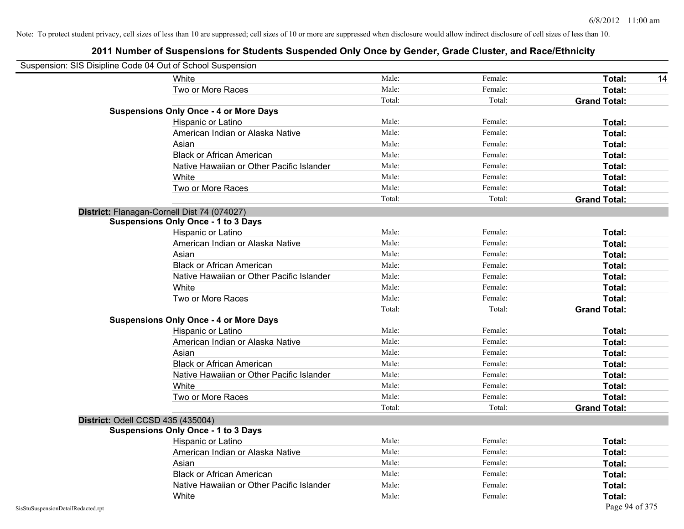| Suspension: SIS Disipline Code 04 Out of School Suspension |                                               |        |         |                     |
|------------------------------------------------------------|-----------------------------------------------|--------|---------|---------------------|
|                                                            | White                                         | Male:  | Female: | Total:<br>14        |
|                                                            | Two or More Races                             | Male:  | Female: | Total:              |
|                                                            |                                               | Total: | Total:  | <b>Grand Total:</b> |
|                                                            | <b>Suspensions Only Once - 4 or More Days</b> |        |         |                     |
|                                                            | Hispanic or Latino                            | Male:  | Female: | Total:              |
|                                                            | American Indian or Alaska Native              | Male:  | Female: | Total:              |
|                                                            | Asian                                         | Male:  | Female: | Total:              |
|                                                            | <b>Black or African American</b>              | Male:  | Female: | Total:              |
|                                                            | Native Hawaiian or Other Pacific Islander     | Male:  | Female: | Total:              |
|                                                            | White                                         | Male:  | Female: | Total:              |
|                                                            | Two or More Races                             | Male:  | Female: | Total:              |
|                                                            |                                               | Total: | Total:  | <b>Grand Total:</b> |
|                                                            | District: Flanagan-Cornell Dist 74 (074027)   |        |         |                     |
|                                                            | <b>Suspensions Only Once - 1 to 3 Days</b>    |        |         |                     |
|                                                            | Hispanic or Latino                            | Male:  | Female: | Total:              |
|                                                            | American Indian or Alaska Native              | Male:  | Female: | Total:              |
|                                                            | Asian                                         | Male:  | Female: | Total:              |
|                                                            | <b>Black or African American</b>              | Male:  | Female: | Total:              |
|                                                            | Native Hawaiian or Other Pacific Islander     | Male:  | Female: | Total:              |
|                                                            | White                                         | Male:  | Female: | Total:              |
|                                                            | Two or More Races                             | Male:  | Female: | Total:              |
|                                                            |                                               | Total: | Total:  | <b>Grand Total:</b> |
|                                                            | <b>Suspensions Only Once - 4 or More Days</b> |        |         |                     |
|                                                            | Hispanic or Latino                            | Male:  | Female: | Total:              |
|                                                            | American Indian or Alaska Native              | Male:  | Female: | Total:              |
|                                                            | Asian                                         | Male:  | Female: | Total:              |
|                                                            | <b>Black or African American</b>              | Male:  | Female: | Total:              |
|                                                            | Native Hawaiian or Other Pacific Islander     | Male:  | Female: | Total:              |
|                                                            | White                                         | Male:  | Female: | Total:              |
|                                                            | Two or More Races                             | Male:  | Female: | Total:              |
|                                                            |                                               | Total: | Total:  | <b>Grand Total:</b> |
|                                                            | District: Odell CCSD 435 (435004)             |        |         |                     |
|                                                            | <b>Suspensions Only Once - 1 to 3 Days</b>    |        |         |                     |
|                                                            | Hispanic or Latino                            | Male:  | Female: | Total:              |
|                                                            | American Indian or Alaska Native              | Male:  | Female: | Total:              |
|                                                            | Asian                                         | Male:  | Female: | Total:              |
|                                                            | <b>Black or African American</b>              | Male:  | Female: | Total:              |
|                                                            | Native Hawaiian or Other Pacific Islander     | Male:  | Female: | Total:              |
|                                                            | White                                         | Male:  | Female: | Total:              |
| SisStuSuspensionDetailRedacted.rpt                         |                                               |        |         | Page 94 of 375      |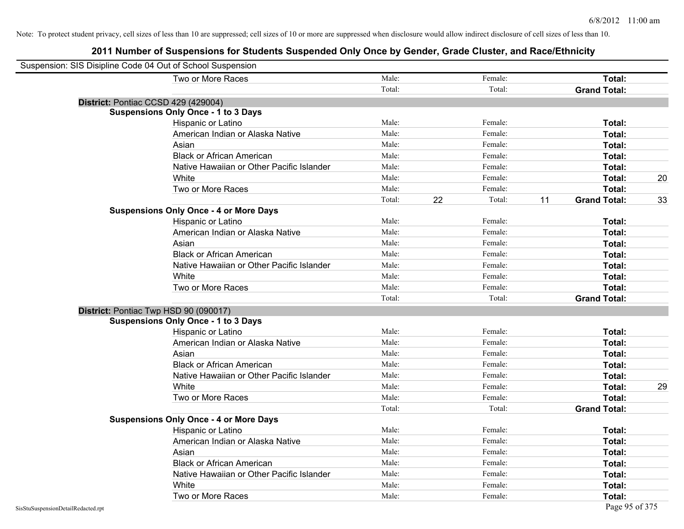| Suspension: SIS Disipline Code 04 Out of School Suspension |                                               |        |    |         |    |                     |    |
|------------------------------------------------------------|-----------------------------------------------|--------|----|---------|----|---------------------|----|
|                                                            | Two or More Races                             | Male:  |    | Female: |    | Total:              |    |
|                                                            |                                               | Total: |    | Total:  |    | <b>Grand Total:</b> |    |
| District: Pontiac CCSD 429 (429004)                        |                                               |        |    |         |    |                     |    |
|                                                            | <b>Suspensions Only Once - 1 to 3 Days</b>    |        |    |         |    |                     |    |
|                                                            | Hispanic or Latino                            | Male:  |    | Female: |    | Total:              |    |
|                                                            | American Indian or Alaska Native              | Male:  |    | Female: |    | Total:              |    |
|                                                            | Asian                                         | Male:  |    | Female: |    | Total:              |    |
|                                                            | <b>Black or African American</b>              | Male:  |    | Female: |    | Total:              |    |
|                                                            | Native Hawaiian or Other Pacific Islander     | Male:  |    | Female: |    | Total:              |    |
|                                                            | White                                         | Male:  |    | Female: |    | Total:              | 20 |
|                                                            | Two or More Races                             | Male:  |    | Female: |    | Total:              |    |
|                                                            |                                               | Total: | 22 | Total:  | 11 | <b>Grand Total:</b> | 33 |
|                                                            | <b>Suspensions Only Once - 4 or More Days</b> |        |    |         |    |                     |    |
|                                                            | Hispanic or Latino                            | Male:  |    | Female: |    | Total:              |    |
|                                                            | American Indian or Alaska Native              | Male:  |    | Female: |    | Total:              |    |
|                                                            | Asian                                         | Male:  |    | Female: |    | Total:              |    |
|                                                            | <b>Black or African American</b>              | Male:  |    | Female: |    | Total:              |    |
|                                                            | Native Hawaiian or Other Pacific Islander     | Male:  |    | Female: |    | Total:              |    |
|                                                            | White                                         | Male:  |    | Female: |    | Total:              |    |
|                                                            | Two or More Races                             | Male:  |    | Female: |    | Total:              |    |
|                                                            |                                               | Total: |    | Total:  |    | <b>Grand Total:</b> |    |
| District: Pontiac Twp HSD 90 (090017)                      |                                               |        |    |         |    |                     |    |
|                                                            | <b>Suspensions Only Once - 1 to 3 Days</b>    |        |    |         |    |                     |    |
|                                                            | Hispanic or Latino                            | Male:  |    | Female: |    | Total:              |    |
|                                                            | American Indian or Alaska Native              | Male:  |    | Female: |    | Total:              |    |
|                                                            | Asian                                         | Male:  |    | Female: |    | Total:              |    |
|                                                            | <b>Black or African American</b>              | Male:  |    | Female: |    | Total:              |    |
|                                                            | Native Hawaiian or Other Pacific Islander     | Male:  |    | Female: |    | Total:              |    |
|                                                            | White                                         | Male:  |    | Female: |    | Total:              | 29 |
|                                                            | Two or More Races                             | Male:  |    | Female: |    | Total:              |    |
|                                                            |                                               | Total: |    | Total:  |    | <b>Grand Total:</b> |    |
|                                                            | <b>Suspensions Only Once - 4 or More Days</b> |        |    |         |    |                     |    |
|                                                            | Hispanic or Latino                            | Male:  |    | Female: |    | Total:              |    |
|                                                            | American Indian or Alaska Native              | Male:  |    | Female: |    | Total:              |    |
|                                                            | Asian                                         | Male:  |    | Female: |    | Total:              |    |
|                                                            | <b>Black or African American</b>              | Male:  |    | Female: |    | Total:              |    |
|                                                            | Native Hawaiian or Other Pacific Islander     | Male:  |    | Female: |    | Total:              |    |
|                                                            | White                                         | Male:  |    | Female: |    | Total:              |    |
|                                                            | Two or More Races                             | Male:  |    | Female: |    | Total:              |    |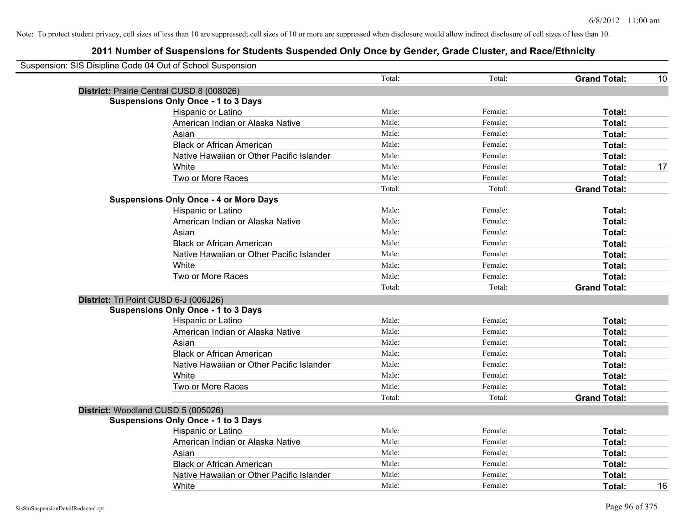| Suspension: SIS Disipline Code 04 Out of School Suspension |                                               |        |         |                     |    |
|------------------------------------------------------------|-----------------------------------------------|--------|---------|---------------------|----|
|                                                            |                                               | Total: | Total:  | <b>Grand Total:</b> | 10 |
|                                                            | District: Prairie Central CUSD 8 (008026)     |        |         |                     |    |
|                                                            | <b>Suspensions Only Once - 1 to 3 Days</b>    |        |         |                     |    |
|                                                            | Hispanic or Latino                            | Male:  | Female: | Total:              |    |
|                                                            | American Indian or Alaska Native              | Male:  | Female: | Total:              |    |
|                                                            | Asian                                         | Male:  | Female: | Total:              |    |
|                                                            | <b>Black or African American</b>              | Male:  | Female: | Total:              |    |
|                                                            | Native Hawaiian or Other Pacific Islander     | Male:  | Female: | Total:              |    |
|                                                            | White                                         | Male:  | Female: | Total:              | 17 |
|                                                            | Two or More Races                             | Male:  | Female: | Total:              |    |
|                                                            |                                               | Total: | Total:  | <b>Grand Total:</b> |    |
|                                                            | <b>Suspensions Only Once - 4 or More Days</b> |        |         |                     |    |
|                                                            | Hispanic or Latino                            | Male:  | Female: | Total:              |    |
|                                                            | American Indian or Alaska Native              | Male:  | Female: | Total:              |    |
|                                                            | Asian                                         | Male:  | Female: | Total:              |    |
|                                                            | <b>Black or African American</b>              | Male:  | Female: | Total:              |    |
|                                                            | Native Hawaiian or Other Pacific Islander     | Male:  | Female: | Total:              |    |
|                                                            | White                                         | Male:  | Female: | Total:              |    |
|                                                            | Two or More Races                             | Male:  | Female: | Total:              |    |
|                                                            |                                               | Total: | Total:  | <b>Grand Total:</b> |    |
|                                                            | District: Tri Point CUSD 6-J (006J26)         |        |         |                     |    |
|                                                            | <b>Suspensions Only Once - 1 to 3 Days</b>    |        |         |                     |    |
|                                                            | Hispanic or Latino                            | Male:  | Female: | Total:              |    |
|                                                            | American Indian or Alaska Native              | Male:  | Female: | Total:              |    |
|                                                            | Asian                                         | Male:  | Female: | Total:              |    |
|                                                            | <b>Black or African American</b>              | Male:  | Female: | Total:              |    |
|                                                            | Native Hawaiian or Other Pacific Islander     | Male:  | Female: | Total:              |    |
|                                                            | White                                         | Male:  | Female: | Total:              |    |
|                                                            | Two or More Races                             | Male:  | Female: | Total:              |    |
|                                                            |                                               | Total: | Total:  | <b>Grand Total:</b> |    |
|                                                            | District: Woodland CUSD 5 (005026)            |        |         |                     |    |
|                                                            | <b>Suspensions Only Once - 1 to 3 Days</b>    |        |         |                     |    |
|                                                            | Hispanic or Latino                            | Male:  | Female: | Total:              |    |
|                                                            | American Indian or Alaska Native              | Male:  | Female: | Total:              |    |
|                                                            | Asian                                         | Male:  | Female: | Total:              |    |
|                                                            | <b>Black or African American</b>              | Male:  | Female: | Total:              |    |
|                                                            | Native Hawaiian or Other Pacific Islander     | Male:  | Female: | Total:              |    |
|                                                            | White                                         | Male:  | Female: | Total:              | 16 |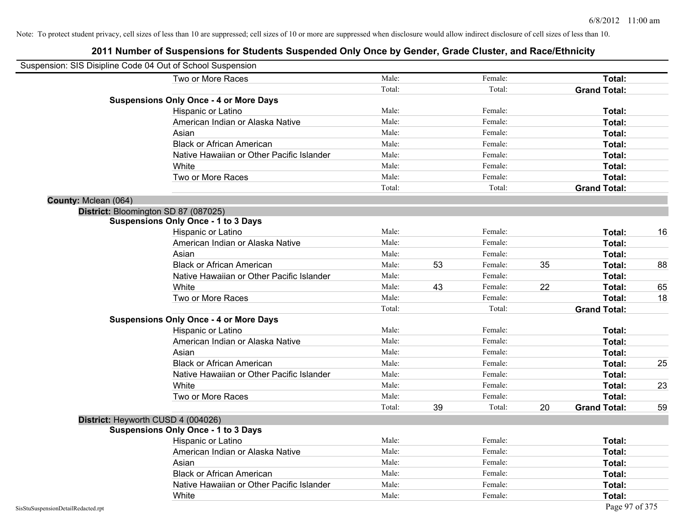| Suspension: SIS Disipline Code 04 Out of School Suspension |                                               |        |    |         |    |                     |    |
|------------------------------------------------------------|-----------------------------------------------|--------|----|---------|----|---------------------|----|
|                                                            | Two or More Races                             | Male:  |    | Female: |    | Total:              |    |
|                                                            |                                               | Total: |    | Total:  |    | <b>Grand Total:</b> |    |
|                                                            | <b>Suspensions Only Once - 4 or More Days</b> |        |    |         |    |                     |    |
|                                                            | Hispanic or Latino                            | Male:  |    | Female: |    | Total:              |    |
|                                                            | American Indian or Alaska Native              | Male:  |    | Female: |    | <b>Total:</b>       |    |
|                                                            | Asian                                         | Male:  |    | Female: |    | <b>Total:</b>       |    |
|                                                            | <b>Black or African American</b>              | Male:  |    | Female: |    | Total:              |    |
|                                                            | Native Hawaiian or Other Pacific Islander     | Male:  |    | Female: |    | Total:              |    |
|                                                            | White                                         | Male:  |    | Female: |    | Total:              |    |
|                                                            | Two or More Races                             | Male:  |    | Female: |    | Total:              |    |
|                                                            |                                               | Total: |    | Total:  |    | <b>Grand Total:</b> |    |
| County: Mclean (064)                                       |                                               |        |    |         |    |                     |    |
|                                                            | District: Bloomington SD 87 (087025)          |        |    |         |    |                     |    |
|                                                            | <b>Suspensions Only Once - 1 to 3 Days</b>    |        |    |         |    |                     |    |
|                                                            | Hispanic or Latino                            | Male:  |    | Female: |    | Total:              | 16 |
|                                                            | American Indian or Alaska Native              | Male:  |    | Female: |    | Total:              |    |
|                                                            | Asian                                         | Male:  |    | Female: |    | <b>Total:</b>       |    |
|                                                            | <b>Black or African American</b>              | Male:  | 53 | Female: | 35 | Total:              | 88 |
|                                                            | Native Hawaiian or Other Pacific Islander     | Male:  |    | Female: |    | Total:              |    |
|                                                            | White                                         | Male:  | 43 | Female: | 22 | Total:              | 65 |
|                                                            | Two or More Races                             | Male:  |    | Female: |    | Total:              | 18 |
|                                                            |                                               | Total: |    | Total:  |    | <b>Grand Total:</b> |    |
|                                                            | <b>Suspensions Only Once - 4 or More Days</b> |        |    |         |    |                     |    |
|                                                            | Hispanic or Latino                            | Male:  |    | Female: |    | Total:              |    |
|                                                            | American Indian or Alaska Native              | Male:  |    | Female: |    | Total:              |    |
|                                                            | Asian                                         | Male:  |    | Female: |    | Total:              |    |
|                                                            | <b>Black or African American</b>              | Male:  |    | Female: |    | Total:              | 25 |
|                                                            | Native Hawaiian or Other Pacific Islander     | Male:  |    | Female: |    | Total:              |    |
|                                                            | White                                         | Male:  |    | Female: |    | <b>Total:</b>       | 23 |
|                                                            | Two or More Races                             | Male:  |    | Female: |    | Total:              |    |
|                                                            |                                               | Total: | 39 | Total:  | 20 | <b>Grand Total:</b> | 59 |
|                                                            | District: Heyworth CUSD 4 (004026)            |        |    |         |    |                     |    |
|                                                            | <b>Suspensions Only Once - 1 to 3 Days</b>    |        |    |         |    |                     |    |
|                                                            | Hispanic or Latino                            | Male:  |    | Female: |    | <b>Total:</b>       |    |
|                                                            | American Indian or Alaska Native              | Male:  |    | Female: |    | Total:              |    |
|                                                            | Asian                                         | Male:  |    | Female: |    | Total:              |    |
|                                                            | <b>Black or African American</b>              | Male:  |    | Female: |    | Total:              |    |
|                                                            | Native Hawaiian or Other Pacific Islander     | Male:  |    | Female: |    | <b>Total:</b>       |    |
|                                                            | White                                         | Male:  |    | Female: |    | <b>Total:</b>       |    |
| SisStuSuspensionDetailRedacted.rpt                         |                                               |        |    |         |    | Page 97 of 375      |    |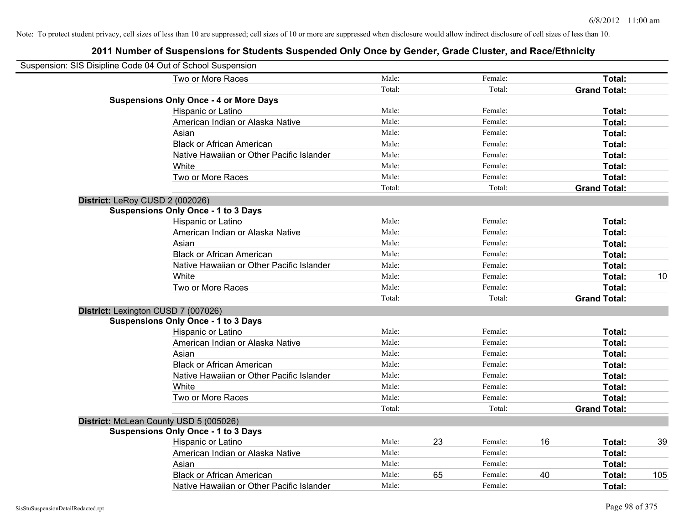| Suspension: SIS Disipline Code 04 Out of School Suspension |                                               |        |    |         |    |                     |     |
|------------------------------------------------------------|-----------------------------------------------|--------|----|---------|----|---------------------|-----|
|                                                            | Two or More Races                             | Male:  |    | Female: |    | Total:              |     |
|                                                            |                                               | Total: |    | Total:  |    | <b>Grand Total:</b> |     |
|                                                            | <b>Suspensions Only Once - 4 or More Days</b> |        |    |         |    |                     |     |
|                                                            | Hispanic or Latino                            | Male:  |    | Female: |    | Total:              |     |
|                                                            | American Indian or Alaska Native              | Male:  |    | Female: |    | Total:              |     |
|                                                            | Asian                                         | Male:  |    | Female: |    | Total:              |     |
|                                                            | <b>Black or African American</b>              | Male:  |    | Female: |    | Total:              |     |
|                                                            | Native Hawaiian or Other Pacific Islander     | Male:  |    | Female: |    | Total:              |     |
|                                                            | White                                         | Male:  |    | Female: |    | Total:              |     |
|                                                            | Two or More Races                             | Male:  |    | Female: |    | Total:              |     |
|                                                            |                                               | Total: |    | Total:  |    | <b>Grand Total:</b> |     |
| District: LeRoy CUSD 2 (002026)                            |                                               |        |    |         |    |                     |     |
|                                                            | <b>Suspensions Only Once - 1 to 3 Days</b>    |        |    |         |    |                     |     |
|                                                            | Hispanic or Latino                            | Male:  |    | Female: |    | Total:              |     |
|                                                            | American Indian or Alaska Native              | Male:  |    | Female: |    | Total:              |     |
|                                                            | Asian                                         | Male:  |    | Female: |    | Total:              |     |
|                                                            | <b>Black or African American</b>              | Male:  |    | Female: |    | Total:              |     |
|                                                            | Native Hawaiian or Other Pacific Islander     | Male:  |    | Female: |    | Total:              |     |
|                                                            | White                                         | Male:  |    | Female: |    | Total:              | 10  |
|                                                            | Two or More Races                             | Male:  |    | Female: |    | Total:              |     |
|                                                            |                                               | Total: |    | Total:  |    | <b>Grand Total:</b> |     |
|                                                            | District: Lexington CUSD 7 (007026)           |        |    |         |    |                     |     |
|                                                            | <b>Suspensions Only Once - 1 to 3 Days</b>    |        |    |         |    |                     |     |
|                                                            | Hispanic or Latino                            | Male:  |    | Female: |    | Total:              |     |
|                                                            | American Indian or Alaska Native              | Male:  |    | Female: |    | Total:              |     |
|                                                            | Asian                                         | Male:  |    | Female: |    | Total:              |     |
|                                                            | <b>Black or African American</b>              | Male:  |    | Female: |    | Total:              |     |
|                                                            | Native Hawaiian or Other Pacific Islander     | Male:  |    | Female: |    | Total:              |     |
|                                                            | White                                         | Male:  |    | Female: |    | Total:              |     |
|                                                            | Two or More Races                             | Male:  |    | Female: |    | Total:              |     |
|                                                            |                                               | Total: |    | Total:  |    | <b>Grand Total:</b> |     |
|                                                            | District: McLean County USD 5 (005026)        |        |    |         |    |                     |     |
|                                                            | <b>Suspensions Only Once - 1 to 3 Days</b>    |        |    |         |    |                     |     |
|                                                            | Hispanic or Latino                            | Male:  | 23 | Female: | 16 | Total:              | 39  |
|                                                            | American Indian or Alaska Native              | Male:  |    | Female: |    | Total:              |     |
|                                                            | Asian                                         | Male:  |    | Female: |    | Total:              |     |
|                                                            | <b>Black or African American</b>              | Male:  | 65 | Female: | 40 | Total:              | 105 |
|                                                            | Native Hawaiian or Other Pacific Islander     | Male:  |    | Female: |    | Total:              |     |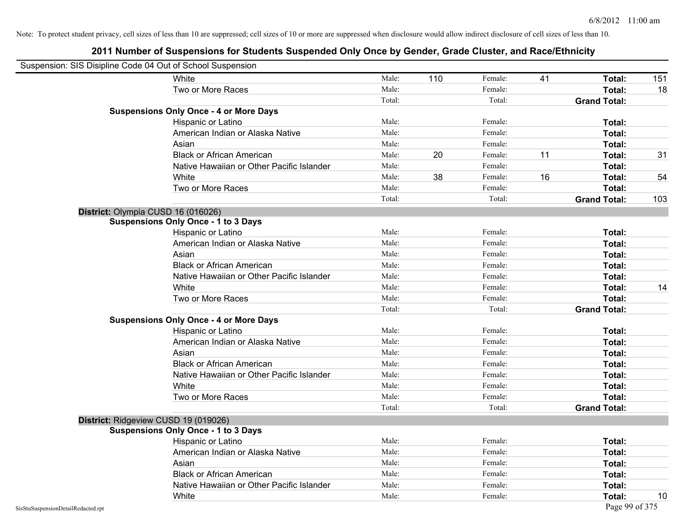|                                    | Suspension: SIS Disipline Code 04 Out of School Suspension |        |     |         |    |                     |     |
|------------------------------------|------------------------------------------------------------|--------|-----|---------|----|---------------------|-----|
|                                    | White                                                      | Male:  | 110 | Female: | 41 | Total:              | 151 |
|                                    | Two or More Races                                          | Male:  |     | Female: |    | Total:              | 18  |
|                                    |                                                            | Total: |     | Total:  |    | <b>Grand Total:</b> |     |
|                                    | <b>Suspensions Only Once - 4 or More Days</b>              |        |     |         |    |                     |     |
|                                    | Hispanic or Latino                                         | Male:  |     | Female: |    | Total:              |     |
|                                    | American Indian or Alaska Native                           | Male:  |     | Female: |    | Total:              |     |
|                                    | Asian                                                      | Male:  |     | Female: |    | Total:              |     |
|                                    | <b>Black or African American</b>                           | Male:  | 20  | Female: | 11 | Total:              | 31  |
|                                    | Native Hawaiian or Other Pacific Islander                  | Male:  |     | Female: |    | <b>Total:</b>       |     |
|                                    | White                                                      | Male:  | 38  | Female: | 16 | Total:              | 54  |
|                                    | Two or More Races                                          | Male:  |     | Female: |    | Total:              |     |
|                                    |                                                            | Total: |     | Total:  |    | <b>Grand Total:</b> | 103 |
|                                    | District: Olympia CUSD 16 (016026)                         |        |     |         |    |                     |     |
|                                    | <b>Suspensions Only Once - 1 to 3 Days</b>                 |        |     |         |    |                     |     |
|                                    | Hispanic or Latino                                         | Male:  |     | Female: |    | Total:              |     |
|                                    | American Indian or Alaska Native                           | Male:  |     | Female: |    | Total:              |     |
|                                    | Asian                                                      | Male:  |     | Female: |    | Total:              |     |
|                                    | <b>Black or African American</b>                           | Male:  |     | Female: |    | Total:              |     |
|                                    | Native Hawaiian or Other Pacific Islander                  | Male:  |     | Female: |    | Total:              |     |
|                                    | White                                                      | Male:  |     | Female: |    | Total:              | 14  |
|                                    | Two or More Races                                          | Male:  |     | Female: |    | Total:              |     |
|                                    |                                                            | Total: |     | Total:  |    | <b>Grand Total:</b> |     |
|                                    | <b>Suspensions Only Once - 4 or More Days</b>              |        |     |         |    |                     |     |
|                                    | Hispanic or Latino                                         | Male:  |     | Female: |    | Total:              |     |
|                                    | American Indian or Alaska Native                           | Male:  |     | Female: |    | Total:              |     |
|                                    | Asian                                                      | Male:  |     | Female: |    | Total:              |     |
|                                    | <b>Black or African American</b>                           | Male:  |     | Female: |    | Total:              |     |
|                                    | Native Hawaiian or Other Pacific Islander                  | Male:  |     | Female: |    | Total:              |     |
|                                    | White                                                      | Male:  |     | Female: |    | Total:              |     |
|                                    | Two or More Races                                          | Male:  |     | Female: |    | Total:              |     |
|                                    |                                                            | Total: |     | Total:  |    | <b>Grand Total:</b> |     |
|                                    | District: Ridgeview CUSD 19 (019026)                       |        |     |         |    |                     |     |
|                                    | <b>Suspensions Only Once - 1 to 3 Days</b>                 |        |     |         |    |                     |     |
|                                    | <b>Hispanic or Latino</b>                                  | Male:  |     | Female: |    | Total:              |     |
|                                    | American Indian or Alaska Native                           | Male:  |     | Female: |    | <b>Total:</b>       |     |
|                                    | Asian                                                      | Male:  |     | Female: |    | Total:              |     |
|                                    | <b>Black or African American</b>                           | Male:  |     | Female: |    | Total:              |     |
|                                    | Native Hawaiian or Other Pacific Islander                  | Male:  |     | Female: |    | Total:              |     |
|                                    | White                                                      | Male:  |     | Female: |    | Total:              | 10  |
| SisStuSuspensionDetailRedacted.rpt |                                                            |        |     |         |    | Page 99 of 375      |     |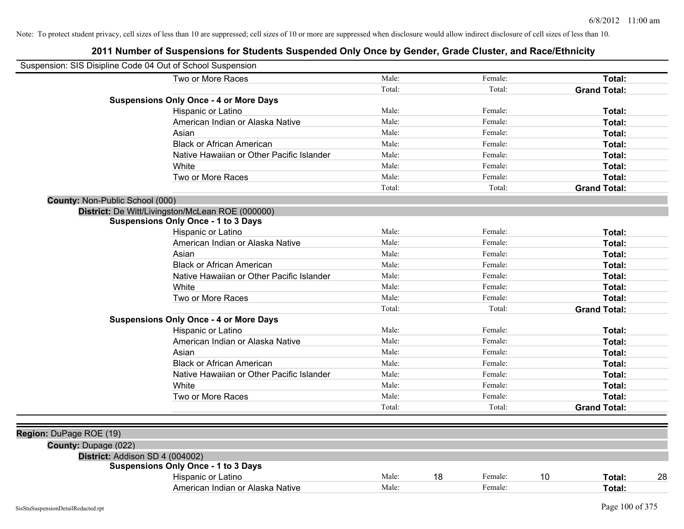|                                 | Suspension: SIS Disipline Code 04 Out of School Suspension |        |    |         |    |                     |    |
|---------------------------------|------------------------------------------------------------|--------|----|---------|----|---------------------|----|
|                                 | Two or More Races                                          | Male:  |    | Female: |    | Total:              |    |
|                                 |                                                            | Total: |    | Total:  |    | <b>Grand Total:</b> |    |
|                                 | <b>Suspensions Only Once - 4 or More Days</b>              |        |    |         |    |                     |    |
|                                 | Hispanic or Latino                                         | Male:  |    | Female: |    | Total:              |    |
|                                 | American Indian or Alaska Native                           | Male:  |    | Female: |    | Total:              |    |
|                                 | Asian                                                      | Male:  |    | Female: |    | Total:              |    |
|                                 | <b>Black or African American</b>                           | Male:  |    | Female: |    | Total:              |    |
|                                 | Native Hawaiian or Other Pacific Islander                  | Male:  |    | Female: |    | Total:              |    |
|                                 | White                                                      | Male:  |    | Female: |    | Total:              |    |
|                                 | Two or More Races                                          | Male:  |    | Female: |    | Total:              |    |
|                                 |                                                            | Total: |    | Total:  |    | <b>Grand Total:</b> |    |
| County: Non-Public School (000) |                                                            |        |    |         |    |                     |    |
|                                 | District: De Witt/Livingston/McLean ROE (000000)           |        |    |         |    |                     |    |
|                                 | <b>Suspensions Only Once - 1 to 3 Days</b>                 |        |    |         |    |                     |    |
|                                 | Hispanic or Latino                                         | Male:  |    | Female: |    | Total:              |    |
|                                 | American Indian or Alaska Native                           | Male:  |    | Female: |    | Total:              |    |
|                                 | Asian                                                      | Male:  |    | Female: |    | Total:              |    |
|                                 | <b>Black or African American</b>                           | Male:  |    | Female: |    | Total:              |    |
|                                 | Native Hawaiian or Other Pacific Islander                  | Male:  |    | Female: |    | Total:              |    |
|                                 | White                                                      | Male:  |    | Female: |    | Total:              |    |
|                                 | Two or More Races                                          | Male:  |    | Female: |    | Total:              |    |
|                                 |                                                            | Total: |    | Total:  |    | <b>Grand Total:</b> |    |
|                                 | <b>Suspensions Only Once - 4 or More Days</b>              |        |    |         |    |                     |    |
|                                 | Hispanic or Latino                                         | Male:  |    | Female: |    | Total:              |    |
|                                 | American Indian or Alaska Native                           | Male:  |    | Female: |    | Total:              |    |
|                                 | Asian                                                      | Male:  |    | Female: |    | Total:              |    |
|                                 | <b>Black or African American</b>                           | Male:  |    | Female: |    | Total:              |    |
|                                 | Native Hawaiian or Other Pacific Islander                  | Male:  |    | Female: |    | Total:              |    |
|                                 | White                                                      | Male:  |    | Female: |    | Total:              |    |
|                                 | Two or More Races                                          | Male:  |    | Female: |    | Total:              |    |
|                                 |                                                            | Total: |    | Total:  |    | <b>Grand Total:</b> |    |
|                                 |                                                            |        |    |         |    |                     |    |
| Region: DuPage ROE (19)         |                                                            |        |    |         |    |                     |    |
| County: Dupage (022)            |                                                            |        |    |         |    |                     |    |
|                                 | District: Addison SD 4 (004002)                            |        |    |         |    |                     |    |
|                                 | <b>Suspensions Only Once - 1 to 3 Days</b>                 |        |    |         |    |                     |    |
|                                 | Hispanic or Latino                                         | Male:  | 18 | Female: | 10 | Total:              | 28 |
|                                 | American Indian or Alaska Native                           | Male:  |    | Female: |    | Total:              |    |
|                                 |                                                            |        |    |         |    |                     |    |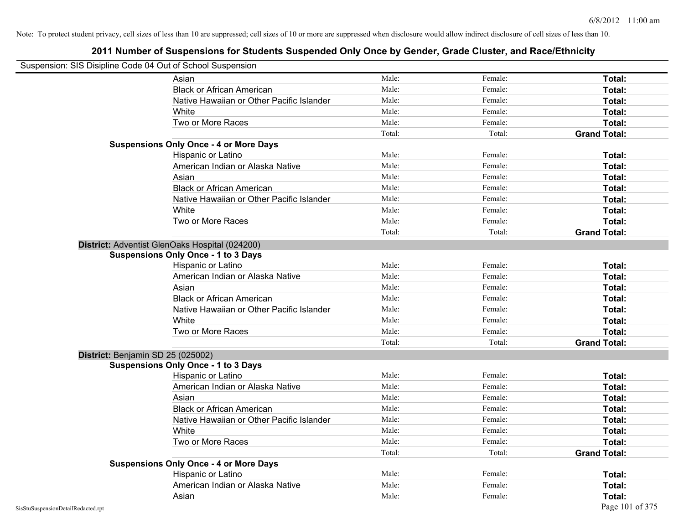| Suspension: SIS Disipline Code 04 Out of School Suspension |                                                |        |         |                     |
|------------------------------------------------------------|------------------------------------------------|--------|---------|---------------------|
|                                                            | Asian                                          | Male:  | Female: | Total:              |
|                                                            | <b>Black or African American</b>               | Male:  | Female: | Total:              |
|                                                            | Native Hawaiian or Other Pacific Islander      | Male:  | Female: | Total:              |
|                                                            | White                                          | Male:  | Female: | Total:              |
|                                                            | Two or More Races                              | Male:  | Female: | Total:              |
|                                                            |                                                | Total: | Total:  | <b>Grand Total:</b> |
|                                                            | <b>Suspensions Only Once - 4 or More Days</b>  |        |         |                     |
|                                                            | Hispanic or Latino                             | Male:  | Female: | Total:              |
|                                                            | American Indian or Alaska Native               | Male:  | Female: | Total:              |
|                                                            | Asian                                          | Male:  | Female: | Total:              |
|                                                            | <b>Black or African American</b>               | Male:  | Female: | Total:              |
|                                                            | Native Hawaiian or Other Pacific Islander      | Male:  | Female: | Total:              |
|                                                            | White                                          | Male:  | Female: | Total:              |
|                                                            | Two or More Races                              | Male:  | Female: | Total:              |
|                                                            |                                                | Total: | Total:  | <b>Grand Total:</b> |
|                                                            | District: Adventist GlenOaks Hospital (024200) |        |         |                     |
|                                                            | <b>Suspensions Only Once - 1 to 3 Days</b>     |        |         |                     |
|                                                            | Hispanic or Latino                             | Male:  | Female: | Total:              |
|                                                            | American Indian or Alaska Native               | Male:  | Female: | Total:              |
|                                                            | Asian                                          | Male:  | Female: | Total:              |
|                                                            | <b>Black or African American</b>               | Male:  | Female: | Total:              |
|                                                            | Native Hawaiian or Other Pacific Islander      | Male:  | Female: | Total:              |
|                                                            | White                                          | Male:  | Female: | Total:              |
|                                                            | Two or More Races                              | Male:  | Female: | Total:              |
|                                                            |                                                | Total: | Total:  | <b>Grand Total:</b> |
| District: Benjamin SD 25 (025002)                          |                                                |        |         |                     |
|                                                            | <b>Suspensions Only Once - 1 to 3 Days</b>     |        |         |                     |
|                                                            | Hispanic or Latino                             | Male:  | Female: | Total:              |
|                                                            | American Indian or Alaska Native               | Male:  | Female: | Total:              |
|                                                            | Asian                                          | Male:  | Female: | Total:              |
|                                                            | <b>Black or African American</b>               | Male:  | Female: | Total:              |
|                                                            | Native Hawaiian or Other Pacific Islander      | Male:  | Female: | Total:              |
|                                                            | White                                          | Male:  | Female: | Total:              |
|                                                            | Two or More Races                              | Male:  | Female: | Total:              |
|                                                            |                                                | Total: | Total:  | <b>Grand Total:</b> |
|                                                            | <b>Suspensions Only Once - 4 or More Days</b>  |        |         |                     |
|                                                            | Hispanic or Latino                             | Male:  | Female: | Total:              |
|                                                            | American Indian or Alaska Native               | Male:  | Female: | Total:              |
|                                                            | Asian                                          | Male:  | Female: | Total:              |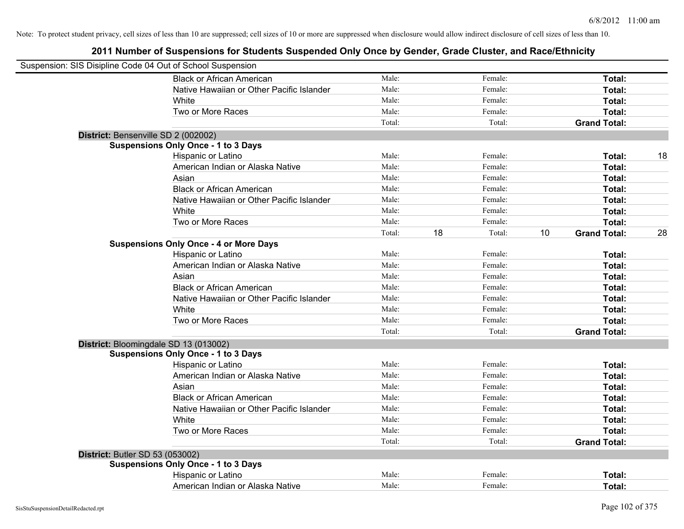| Suspension: SIS Disipline Code 04 Out of School Suspension |                                               |        |    |         |    |                     |    |
|------------------------------------------------------------|-----------------------------------------------|--------|----|---------|----|---------------------|----|
|                                                            | <b>Black or African American</b>              | Male:  |    | Female: |    | Total:              |    |
|                                                            | Native Hawaiian or Other Pacific Islander     | Male:  |    | Female: |    | Total:              |    |
|                                                            | White                                         | Male:  |    | Female: |    | Total:              |    |
|                                                            | Two or More Races                             | Male:  |    | Female: |    | Total:              |    |
|                                                            |                                               | Total: |    | Total:  |    | <b>Grand Total:</b> |    |
|                                                            | District: Bensenville SD 2 (002002)           |        |    |         |    |                     |    |
|                                                            | <b>Suspensions Only Once - 1 to 3 Days</b>    |        |    |         |    |                     |    |
|                                                            | Hispanic or Latino                            | Male:  |    | Female: |    | Total:              | 18 |
|                                                            | American Indian or Alaska Native              | Male:  |    | Female: |    | Total:              |    |
|                                                            | Asian                                         | Male:  |    | Female: |    | Total:              |    |
|                                                            | <b>Black or African American</b>              | Male:  |    | Female: |    | Total:              |    |
|                                                            | Native Hawaiian or Other Pacific Islander     | Male:  |    | Female: |    | Total:              |    |
|                                                            | White                                         | Male:  |    | Female: |    | Total:              |    |
|                                                            | Two or More Races                             | Male:  |    | Female: |    | Total:              |    |
|                                                            |                                               | Total: | 18 | Total:  | 10 | <b>Grand Total:</b> | 28 |
|                                                            | <b>Suspensions Only Once - 4 or More Days</b> |        |    |         |    |                     |    |
|                                                            | Hispanic or Latino                            | Male:  |    | Female: |    | Total:              |    |
|                                                            | American Indian or Alaska Native              | Male:  |    | Female: |    | Total:              |    |
|                                                            | Asian                                         | Male:  |    | Female: |    | Total:              |    |
|                                                            | <b>Black or African American</b>              | Male:  |    | Female: |    | Total:              |    |
|                                                            | Native Hawaiian or Other Pacific Islander     | Male:  |    | Female: |    | Total:              |    |
|                                                            | White                                         | Male:  |    | Female: |    | Total:              |    |
|                                                            | Two or More Races                             | Male:  |    | Female: |    | Total:              |    |
|                                                            |                                               | Total: |    | Total:  |    | <b>Grand Total:</b> |    |
|                                                            | District: Bloomingdale SD 13 (013002)         |        |    |         |    |                     |    |
|                                                            | <b>Suspensions Only Once - 1 to 3 Days</b>    |        |    |         |    |                     |    |
|                                                            | Hispanic or Latino                            | Male:  |    | Female: |    | Total:              |    |
|                                                            | American Indian or Alaska Native              | Male:  |    | Female: |    | Total:              |    |
|                                                            | Asian                                         | Male:  |    | Female: |    | Total:              |    |
|                                                            | <b>Black or African American</b>              | Male:  |    | Female: |    | Total:              |    |
|                                                            | Native Hawaiian or Other Pacific Islander     | Male:  |    | Female: |    | Total:              |    |
|                                                            | White                                         | Male:  |    | Female: |    | Total:              |    |
|                                                            | Two or More Races                             | Male:  |    | Female: |    | Total:              |    |
|                                                            |                                               | Total: |    | Total:  |    | <b>Grand Total:</b> |    |
| <b>District: Butler SD 53 (053002)</b>                     |                                               |        |    |         |    |                     |    |
|                                                            | <b>Suspensions Only Once - 1 to 3 Days</b>    |        |    |         |    |                     |    |
|                                                            | Hispanic or Latino                            | Male:  |    | Female: |    | <b>Total:</b>       |    |
|                                                            | American Indian or Alaska Native              | Male:  |    | Female: |    | Total:              |    |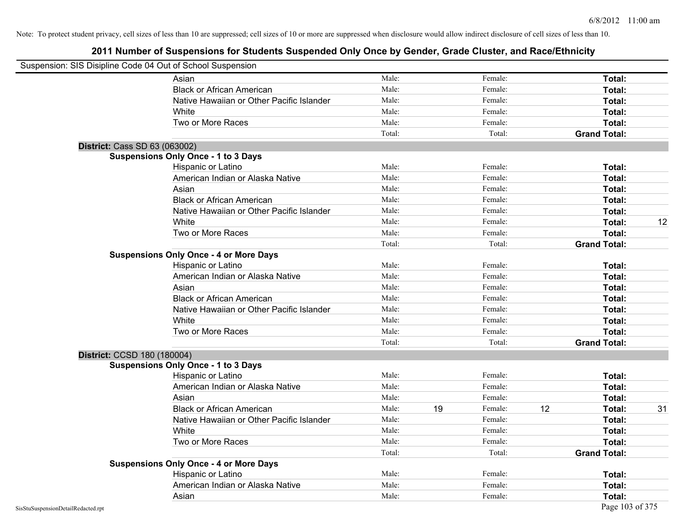|                                    | Suspension: SIS Disipline Code 04 Out of School Suspension |        |    |         |    |                     |    |
|------------------------------------|------------------------------------------------------------|--------|----|---------|----|---------------------|----|
|                                    | Asian                                                      | Male:  |    | Female: |    | Total:              |    |
|                                    | <b>Black or African American</b>                           | Male:  |    | Female: |    | Total:              |    |
|                                    | Native Hawaiian or Other Pacific Islander                  | Male:  |    | Female: |    | Total:              |    |
|                                    | White                                                      | Male:  |    | Female: |    | Total:              |    |
|                                    | Two or More Races                                          | Male:  |    | Female: |    | Total:              |    |
|                                    |                                                            | Total: |    | Total:  |    | <b>Grand Total:</b> |    |
|                                    | District: Cass SD 63 (063002)                              |        |    |         |    |                     |    |
|                                    | <b>Suspensions Only Once - 1 to 3 Days</b>                 |        |    |         |    |                     |    |
|                                    | Hispanic or Latino                                         | Male:  |    | Female: |    | Total:              |    |
|                                    | American Indian or Alaska Native                           | Male:  |    | Female: |    | Total:              |    |
|                                    | Asian                                                      | Male:  |    | Female: |    | Total:              |    |
|                                    | <b>Black or African American</b>                           | Male:  |    | Female: |    | Total:              |    |
|                                    | Native Hawaiian or Other Pacific Islander                  | Male:  |    | Female: |    | Total:              |    |
|                                    | White                                                      | Male:  |    | Female: |    | Total:              | 12 |
|                                    | Two or More Races                                          | Male:  |    | Female: |    | Total:              |    |
|                                    |                                                            | Total: |    | Total:  |    | <b>Grand Total:</b> |    |
|                                    | <b>Suspensions Only Once - 4 or More Days</b>              |        |    |         |    |                     |    |
|                                    | Hispanic or Latino                                         | Male:  |    | Female: |    | Total:              |    |
|                                    | American Indian or Alaska Native                           | Male:  |    | Female: |    | Total:              |    |
|                                    | Asian                                                      | Male:  |    | Female: |    | Total:              |    |
|                                    | <b>Black or African American</b>                           | Male:  |    | Female: |    | Total:              |    |
|                                    | Native Hawaiian or Other Pacific Islander                  | Male:  |    | Female: |    | Total:              |    |
|                                    | White                                                      | Male:  |    | Female: |    | <b>Total:</b>       |    |
|                                    | Two or More Races                                          | Male:  |    | Female: |    | Total:              |    |
|                                    |                                                            | Total: |    | Total:  |    | <b>Grand Total:</b> |    |
|                                    | District: CCSD 180 (180004)                                |        |    |         |    |                     |    |
|                                    | <b>Suspensions Only Once - 1 to 3 Days</b>                 |        |    |         |    |                     |    |
|                                    | Hispanic or Latino                                         | Male:  |    | Female: |    | Total:              |    |
|                                    | American Indian or Alaska Native                           | Male:  |    | Female: |    | <b>Total:</b>       |    |
|                                    | Asian                                                      | Male:  |    | Female: |    | Total:              |    |
|                                    | <b>Black or African American</b>                           | Male:  | 19 | Female: | 12 | Total:              | 31 |
|                                    | Native Hawaiian or Other Pacific Islander                  | Male:  |    | Female: |    | Total:              |    |
|                                    | White                                                      | Male:  |    | Female: |    | <b>Total:</b>       |    |
|                                    | Two or More Races                                          | Male:  |    | Female: |    | <b>Total:</b>       |    |
|                                    |                                                            | Total: |    | Total:  |    | <b>Grand Total:</b> |    |
|                                    | <b>Suspensions Only Once - 4 or More Days</b>              |        |    |         |    |                     |    |
|                                    | Hispanic or Latino                                         | Male:  |    | Female: |    | Total:              |    |
|                                    | American Indian or Alaska Native                           | Male:  |    | Female: |    | Total:              |    |
|                                    | Asian                                                      | Male:  |    | Female: |    | Total:              |    |
| SisStuSuspensionDetailRedacted.rpt |                                                            |        |    |         |    | Page 103 of 375     |    |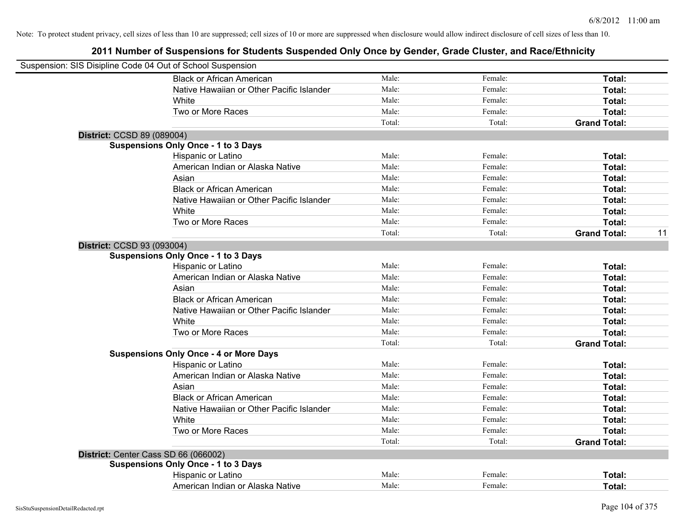| Suspension: SIS Disipline Code 04 Out of School Suspension |                                               |        |         |                     |    |
|------------------------------------------------------------|-----------------------------------------------|--------|---------|---------------------|----|
|                                                            | <b>Black or African American</b>              | Male:  | Female: | Total:              |    |
|                                                            | Native Hawaiian or Other Pacific Islander     | Male:  | Female: | Total:              |    |
|                                                            | White                                         | Male:  | Female: | Total:              |    |
|                                                            | Two or More Races                             | Male:  | Female: | Total:              |    |
|                                                            |                                               | Total: | Total:  | <b>Grand Total:</b> |    |
| District: CCSD 89 (089004)                                 |                                               |        |         |                     |    |
|                                                            | <b>Suspensions Only Once - 1 to 3 Days</b>    |        |         |                     |    |
|                                                            | Hispanic or Latino                            | Male:  | Female: | Total:              |    |
|                                                            | American Indian or Alaska Native              | Male:  | Female: | Total:              |    |
|                                                            | Asian                                         | Male:  | Female: | Total:              |    |
|                                                            | <b>Black or African American</b>              | Male:  | Female: | Total:              |    |
|                                                            | Native Hawaiian or Other Pacific Islander     | Male:  | Female: | Total:              |    |
|                                                            | White                                         | Male:  | Female: | Total:              |    |
|                                                            | Two or More Races                             | Male:  | Female: | Total:              |    |
|                                                            |                                               | Total: | Total:  | <b>Grand Total:</b> | 11 |
| District: CCSD 93 (093004)                                 |                                               |        |         |                     |    |
|                                                            | <b>Suspensions Only Once - 1 to 3 Days</b>    |        |         |                     |    |
|                                                            | Hispanic or Latino                            | Male:  | Female: | Total:              |    |
|                                                            | American Indian or Alaska Native              | Male:  | Female: | Total:              |    |
|                                                            | Asian                                         | Male:  | Female: | Total:              |    |
|                                                            | <b>Black or African American</b>              | Male:  | Female: | Total:              |    |
|                                                            | Native Hawaiian or Other Pacific Islander     | Male:  | Female: | Total:              |    |
|                                                            | White                                         | Male:  | Female: | Total:              |    |
|                                                            | Two or More Races                             | Male:  | Female: | Total:              |    |
|                                                            |                                               | Total: | Total:  | <b>Grand Total:</b> |    |
|                                                            | <b>Suspensions Only Once - 4 or More Days</b> |        |         |                     |    |
|                                                            | Hispanic or Latino                            | Male:  | Female: | Total:              |    |
|                                                            | American Indian or Alaska Native              | Male:  | Female: | Total:              |    |
|                                                            | Asian                                         | Male:  | Female: | Total:              |    |
|                                                            | <b>Black or African American</b>              | Male:  | Female: | Total:              |    |
|                                                            | Native Hawaiian or Other Pacific Islander     | Male:  | Female: | Total:              |    |
|                                                            | White                                         | Male:  | Female: | Total:              |    |
|                                                            | Two or More Races                             | Male:  | Female: | Total:              |    |
|                                                            |                                               | Total: | Total:  | <b>Grand Total:</b> |    |
|                                                            | District: Center Cass SD 66 (066002)          |        |         |                     |    |
|                                                            | <b>Suspensions Only Once - 1 to 3 Days</b>    |        |         |                     |    |
|                                                            | Hispanic or Latino                            | Male:  | Female: | Total:              |    |
|                                                            | American Indian or Alaska Native              | Male:  | Female: | Total:              |    |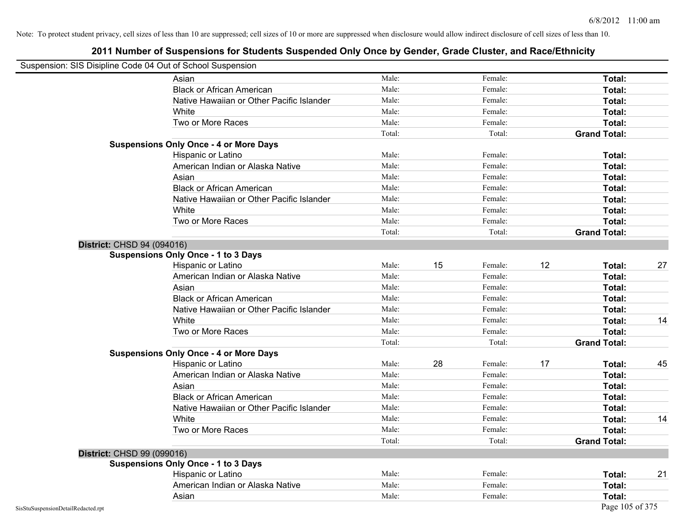| Suspension: SIS Disipline Code 04 Out of School Suspension |  |
|------------------------------------------------------------|--|
|------------------------------------------------------------|--|

| <b>Propondict:</b> Oil Digiting Ocap 0 Foat of Concor Cappondicti |                                               |        |    |         |    |                     |    |
|-------------------------------------------------------------------|-----------------------------------------------|--------|----|---------|----|---------------------|----|
|                                                                   | Asian                                         | Male:  |    | Female: |    | Total:              |    |
|                                                                   | <b>Black or African American</b>              | Male:  |    | Female: |    | Total:              |    |
|                                                                   | Native Hawaiian or Other Pacific Islander     | Male:  |    | Female: |    | Total:              |    |
|                                                                   | White                                         | Male:  |    | Female: |    | Total:              |    |
|                                                                   | Two or More Races                             | Male:  |    | Female: |    | Total:              |    |
|                                                                   |                                               | Total: |    | Total:  |    | <b>Grand Total:</b> |    |
|                                                                   | <b>Suspensions Only Once - 4 or More Days</b> |        |    |         |    |                     |    |
|                                                                   | Hispanic or Latino                            | Male:  |    | Female: |    | Total:              |    |
|                                                                   | American Indian or Alaska Native              | Male:  |    | Female: |    | Total:              |    |
|                                                                   | Asian                                         | Male:  |    | Female: |    | Total:              |    |
|                                                                   | <b>Black or African American</b>              | Male:  |    | Female: |    | Total:              |    |
|                                                                   | Native Hawaiian or Other Pacific Islander     | Male:  |    | Female: |    | Total:              |    |
|                                                                   | White                                         | Male:  |    | Female: |    | Total:              |    |
|                                                                   | Two or More Races                             | Male:  |    | Female: |    | Total:              |    |
|                                                                   |                                               | Total: |    | Total:  |    | <b>Grand Total:</b> |    |
| District: CHSD 94 (094016)                                        |                                               |        |    |         |    |                     |    |
|                                                                   | <b>Suspensions Only Once - 1 to 3 Days</b>    |        |    |         |    |                     |    |
|                                                                   | Hispanic or Latino                            | Male:  | 15 | Female: | 12 | Total:              | 27 |
|                                                                   | American Indian or Alaska Native              | Male:  |    | Female: |    | Total:              |    |
|                                                                   | Asian                                         | Male:  |    | Female: |    | Total:              |    |
|                                                                   | <b>Black or African American</b>              | Male:  |    | Female: |    | Total:              |    |
|                                                                   | Native Hawaiian or Other Pacific Islander     | Male:  |    | Female: |    | Total:              |    |
|                                                                   | White                                         | Male:  |    | Female: |    | Total:              | 14 |
|                                                                   | Two or More Races                             | Male:  |    | Female: |    | Total:              |    |
|                                                                   |                                               | Total: |    | Total:  |    | <b>Grand Total:</b> |    |
|                                                                   | <b>Suspensions Only Once - 4 or More Days</b> |        |    |         |    |                     |    |
|                                                                   | Hispanic or Latino                            | Male:  | 28 | Female: | 17 | Total:              | 45 |
|                                                                   | American Indian or Alaska Native              | Male:  |    | Female: |    | Total:              |    |
|                                                                   | Asian                                         | Male:  |    | Female: |    | Total:              |    |
|                                                                   | <b>Black or African American</b>              | Male:  |    | Female: |    | Total:              |    |
|                                                                   | Native Hawaiian or Other Pacific Islander     | Male:  |    | Female: |    | Total:              |    |
|                                                                   | White                                         | Male:  |    | Female: |    | Total:              | 14 |
|                                                                   | Two or More Races                             | Male:  |    | Female: |    | Total:              |    |
|                                                                   |                                               | Total: |    | Total:  |    | <b>Grand Total:</b> |    |
| District: CHSD 99 (099016)                                        |                                               |        |    |         |    |                     |    |
|                                                                   | <b>Suspensions Only Once - 1 to 3 Days</b>    |        |    |         |    |                     |    |
|                                                                   | Hispanic or Latino                            | Male:  |    | Female: |    | Total:              | 21 |
|                                                                   | American Indian or Alaska Native              | Male:  |    | Female: |    | Total:              |    |
|                                                                   | Asian                                         | Male:  |    | Female: |    | Total:              |    |
| SisStuSuspensionDetailRedacted.rpt                                |                                               |        |    |         |    | Page 105 of 375     |    |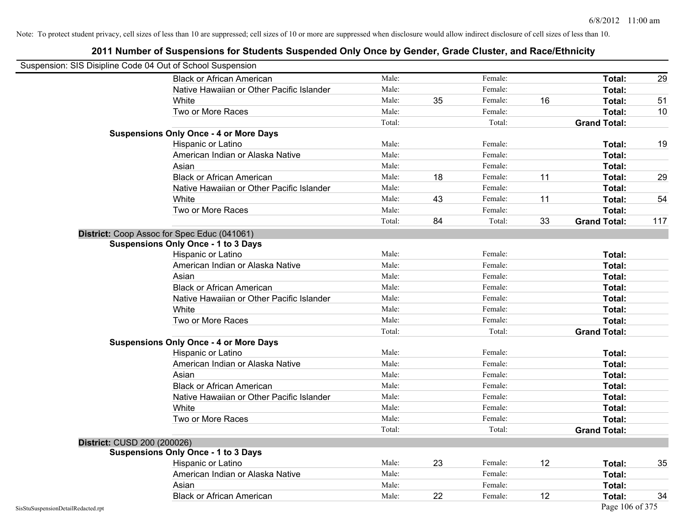| Suspension: SIS Disipline Code 04 Out of School Suspension |                                               |        |    |         |    |                     |     |
|------------------------------------------------------------|-----------------------------------------------|--------|----|---------|----|---------------------|-----|
|                                                            | <b>Black or African American</b>              | Male:  |    | Female: |    | Total:              | 29  |
|                                                            | Native Hawaiian or Other Pacific Islander     | Male:  |    | Female: |    | Total:              |     |
|                                                            | White                                         | Male:  | 35 | Female: | 16 | Total:              | 51  |
|                                                            | Two or More Races                             | Male:  |    | Female: |    | Total:              | 10  |
|                                                            |                                               | Total: |    | Total:  |    | <b>Grand Total:</b> |     |
|                                                            | <b>Suspensions Only Once - 4 or More Days</b> |        |    |         |    |                     |     |
|                                                            | Hispanic or Latino                            | Male:  |    | Female: |    | Total:              | 19  |
|                                                            | American Indian or Alaska Native              | Male:  |    | Female: |    | Total:              |     |
|                                                            | Asian                                         | Male:  |    | Female: |    | Total:              |     |
|                                                            | <b>Black or African American</b>              | Male:  | 18 | Female: | 11 | Total:              | 29  |
|                                                            | Native Hawaiian or Other Pacific Islander     | Male:  |    | Female: |    | Total:              |     |
|                                                            | White                                         | Male:  | 43 | Female: | 11 | Total:              | 54  |
|                                                            | Two or More Races                             | Male:  |    | Female: |    | Total:              |     |
|                                                            |                                               | Total: | 84 | Total:  | 33 | <b>Grand Total:</b> | 117 |
|                                                            | District: Coop Assoc for Spec Educ (041061)   |        |    |         |    |                     |     |
|                                                            | <b>Suspensions Only Once - 1 to 3 Days</b>    |        |    |         |    |                     |     |
|                                                            | Hispanic or Latino                            | Male:  |    | Female: |    | Total:              |     |
|                                                            | American Indian or Alaska Native              | Male:  |    | Female: |    | Total:              |     |
|                                                            | Asian                                         | Male:  |    | Female: |    | Total:              |     |
|                                                            | <b>Black or African American</b>              | Male:  |    | Female: |    | Total:              |     |
|                                                            | Native Hawaiian or Other Pacific Islander     | Male:  |    | Female: |    | Total:              |     |
|                                                            | White                                         | Male:  |    | Female: |    | Total:              |     |
|                                                            | Two or More Races                             | Male:  |    | Female: |    | Total:              |     |
|                                                            |                                               | Total: |    | Total:  |    | <b>Grand Total:</b> |     |
|                                                            | <b>Suspensions Only Once - 4 or More Days</b> |        |    |         |    |                     |     |
|                                                            | Hispanic or Latino                            | Male:  |    | Female: |    | Total:              |     |
|                                                            | American Indian or Alaska Native              | Male:  |    | Female: |    | Total:              |     |
|                                                            | Asian                                         | Male:  |    | Female: |    | Total:              |     |
|                                                            | <b>Black or African American</b>              | Male:  |    | Female: |    | Total:              |     |
|                                                            | Native Hawaiian or Other Pacific Islander     | Male:  |    | Female: |    | Total:              |     |
|                                                            | White                                         | Male:  |    | Female: |    | Total:              |     |
|                                                            | Two or More Races                             | Male:  |    | Female: |    | Total:              |     |
|                                                            |                                               | Total: |    | Total:  |    | <b>Grand Total:</b> |     |
| District: CUSD 200 (200026)                                |                                               |        |    |         |    |                     |     |
|                                                            | <b>Suspensions Only Once - 1 to 3 Days</b>    |        |    |         |    |                     |     |
|                                                            | Hispanic or Latino                            | Male:  | 23 | Female: | 12 | Total:              | 35  |
|                                                            | American Indian or Alaska Native              | Male:  |    | Female: |    | Total:              |     |
|                                                            | Asian                                         | Male:  |    | Female: |    | Total:              |     |
|                                                            | <b>Black or African American</b>              | Male:  | 22 | Female: | 12 | Total:              | 34  |
| SisStuSuspensionDetailRedacted.rpt                         |                                               |        |    |         |    | Page 106 of 375     |     |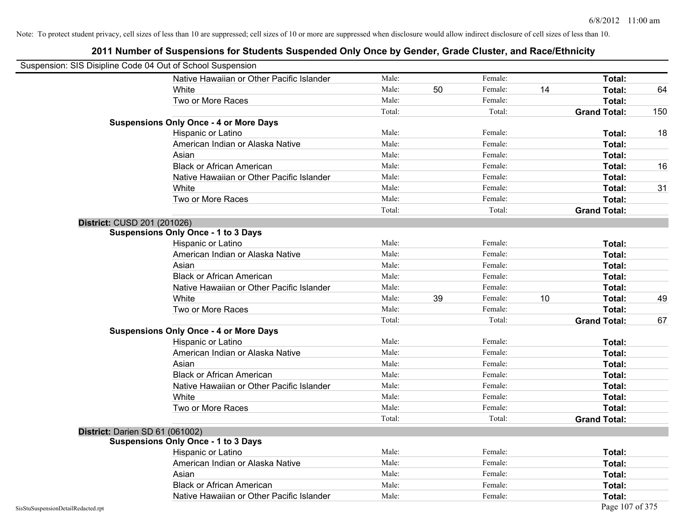| Suspension: SIS Disipline Code 04 Out of School Suspension |                                               |        |    |         |    |                     |     |
|------------------------------------------------------------|-----------------------------------------------|--------|----|---------|----|---------------------|-----|
|                                                            | Native Hawaiian or Other Pacific Islander     | Male:  |    | Female: |    | Total:              |     |
|                                                            | White                                         | Male:  | 50 | Female: | 14 | Total:              | 64  |
|                                                            | Two or More Races                             | Male:  |    | Female: |    | Total:              |     |
|                                                            |                                               | Total: |    | Total:  |    | <b>Grand Total:</b> | 150 |
|                                                            | <b>Suspensions Only Once - 4 or More Days</b> |        |    |         |    |                     |     |
|                                                            | Hispanic or Latino                            | Male:  |    | Female: |    | Total:              | 18  |
|                                                            | American Indian or Alaska Native              | Male:  |    | Female: |    | Total:              |     |
|                                                            | Asian                                         | Male:  |    | Female: |    | Total:              |     |
|                                                            | <b>Black or African American</b>              | Male:  |    | Female: |    | Total:              | 16  |
|                                                            | Native Hawaiian or Other Pacific Islander     | Male:  |    | Female: |    | Total:              |     |
|                                                            | White                                         | Male:  |    | Female: |    | Total:              | 31  |
|                                                            | Two or More Races                             | Male:  |    | Female: |    | Total:              |     |
|                                                            |                                               | Total: |    | Total:  |    | <b>Grand Total:</b> |     |
| District: CUSD 201 (201026)                                |                                               |        |    |         |    |                     |     |
|                                                            | <b>Suspensions Only Once - 1 to 3 Days</b>    |        |    |         |    |                     |     |
|                                                            | Hispanic or Latino                            | Male:  |    | Female: |    | Total:              |     |
|                                                            | American Indian or Alaska Native              | Male:  |    | Female: |    | Total:              |     |
|                                                            | Asian                                         | Male:  |    | Female: |    | Total:              |     |
|                                                            | <b>Black or African American</b>              | Male:  |    | Female: |    | Total:              |     |
|                                                            | Native Hawaiian or Other Pacific Islander     | Male:  |    | Female: |    | Total:              |     |
|                                                            | White                                         | Male:  | 39 | Female: | 10 | Total:              | 49  |
|                                                            | Two or More Races                             | Male:  |    | Female: |    | Total:              |     |
|                                                            |                                               | Total: |    | Total:  |    | <b>Grand Total:</b> | 67  |
|                                                            | <b>Suspensions Only Once - 4 or More Days</b> |        |    |         |    |                     |     |
|                                                            | Hispanic or Latino                            | Male:  |    | Female: |    | Total:              |     |
|                                                            | American Indian or Alaska Native              | Male:  |    | Female: |    | Total:              |     |
|                                                            | Asian                                         | Male:  |    | Female: |    | Total:              |     |
|                                                            | <b>Black or African American</b>              | Male:  |    | Female: |    | Total:              |     |
|                                                            | Native Hawaiian or Other Pacific Islander     | Male:  |    | Female: |    | Total:              |     |
|                                                            | White                                         | Male:  |    | Female: |    | Total:              |     |
|                                                            | Two or More Races                             | Male:  |    | Female: |    | Total:              |     |
|                                                            |                                               | Total: |    | Total:  |    | <b>Grand Total:</b> |     |
| District: Darien SD 61 (061002)                            |                                               |        |    |         |    |                     |     |
|                                                            | <b>Suspensions Only Once - 1 to 3 Days</b>    |        |    |         |    |                     |     |
|                                                            | Hispanic or Latino                            | Male:  |    | Female: |    | Total:              |     |
|                                                            | American Indian or Alaska Native              | Male:  |    | Female: |    | Total:              |     |
|                                                            | Asian                                         | Male:  |    | Female: |    | Total:              |     |
|                                                            | <b>Black or African American</b>              | Male:  |    | Female: |    | Total:              |     |
|                                                            | Native Hawaiian or Other Pacific Islander     | Male:  |    | Female: |    | Total:              |     |
| SisStuSuspensionDetailRedacted.rpt                         |                                               |        |    |         |    | Page 107 of 375     |     |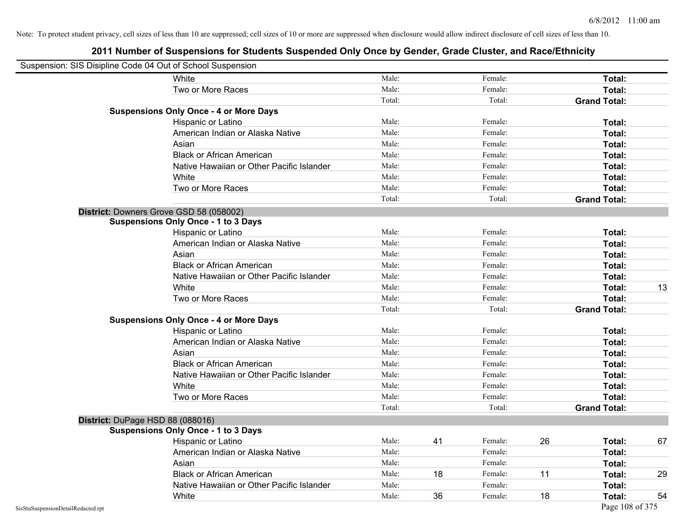|                                    | Suspension: SIS Disipline Code 04 Out of School Suspension |        |    |         |    |                     |    |
|------------------------------------|------------------------------------------------------------|--------|----|---------|----|---------------------|----|
|                                    | White                                                      | Male:  |    | Female: |    | Total:              |    |
|                                    | Two or More Races                                          | Male:  |    | Female: |    | Total:              |    |
|                                    |                                                            | Total: |    | Total:  |    | <b>Grand Total:</b> |    |
|                                    | <b>Suspensions Only Once - 4 or More Days</b>              |        |    |         |    |                     |    |
|                                    | Hispanic or Latino                                         | Male:  |    | Female: |    | Total:              |    |
|                                    | American Indian or Alaska Native                           | Male:  |    | Female: |    | Total:              |    |
|                                    | Asian                                                      | Male:  |    | Female: |    | Total:              |    |
|                                    | <b>Black or African American</b>                           | Male:  |    | Female: |    | Total:              |    |
|                                    | Native Hawaiian or Other Pacific Islander                  | Male:  |    | Female: |    | Total:              |    |
|                                    | White                                                      | Male:  |    | Female: |    | Total:              |    |
|                                    | Two or More Races                                          | Male:  |    | Female: |    | Total:              |    |
|                                    |                                                            | Total: |    | Total:  |    | <b>Grand Total:</b> |    |
|                                    | District: Downers Grove GSD 58 (058002)                    |        |    |         |    |                     |    |
|                                    | <b>Suspensions Only Once - 1 to 3 Days</b>                 |        |    |         |    |                     |    |
|                                    | Hispanic or Latino                                         | Male:  |    | Female: |    | Total:              |    |
|                                    | American Indian or Alaska Native                           | Male:  |    | Female: |    | Total:              |    |
|                                    | Asian                                                      | Male:  |    | Female: |    | Total:              |    |
|                                    | <b>Black or African American</b>                           | Male:  |    | Female: |    | Total:              |    |
|                                    | Native Hawaiian or Other Pacific Islander                  | Male:  |    | Female: |    | Total:              |    |
|                                    | White                                                      | Male:  |    | Female: |    | Total:              | 13 |
|                                    | Two or More Races                                          | Male:  |    | Female: |    | Total:              |    |
|                                    |                                                            | Total: |    | Total:  |    | <b>Grand Total:</b> |    |
|                                    | <b>Suspensions Only Once - 4 or More Days</b>              |        |    |         |    |                     |    |
|                                    | Hispanic or Latino                                         | Male:  |    | Female: |    | Total:              |    |
|                                    | American Indian or Alaska Native                           | Male:  |    | Female: |    | Total:              |    |
|                                    | Asian                                                      | Male:  |    | Female: |    | Total:              |    |
|                                    | <b>Black or African American</b>                           | Male:  |    | Female: |    | Total:              |    |
|                                    | Native Hawaiian or Other Pacific Islander                  | Male:  |    | Female: |    | Total:              |    |
|                                    | White                                                      | Male:  |    | Female: |    | Total:              |    |
|                                    | Two or More Races                                          | Male:  |    | Female: |    | Total:              |    |
|                                    |                                                            | Total: |    | Total:  |    | <b>Grand Total:</b> |    |
|                                    | District: DuPage HSD 88 (088016)                           |        |    |         |    |                     |    |
|                                    | <b>Suspensions Only Once - 1 to 3 Days</b>                 |        |    |         |    |                     |    |
|                                    | Hispanic or Latino                                         | Male:  | 41 | Female: | 26 | Total:              | 67 |
|                                    | American Indian or Alaska Native                           | Male:  |    | Female: |    | Total:              |    |
|                                    | Asian                                                      | Male:  |    | Female: |    | Total:              |    |
|                                    | <b>Black or African American</b>                           | Male:  | 18 | Female: | 11 | Total:              | 29 |
|                                    | Native Hawaiian or Other Pacific Islander                  | Male:  |    | Female: |    | Total:              |    |
|                                    | White                                                      | Male:  | 36 | Female: | 18 | Total:              | 54 |
| SisStuSuspensionDetailRedacted.rpt |                                                            |        |    |         |    | Page 108 of 375     |    |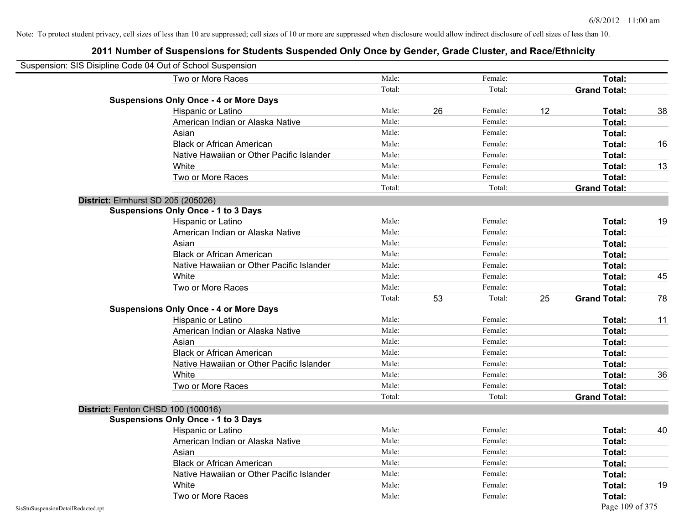| Suspension: SIS Disipline Code 04 Out of School Suspension |                                               |        |    |         |    |                     |    |
|------------------------------------------------------------|-----------------------------------------------|--------|----|---------|----|---------------------|----|
|                                                            | Two or More Races                             | Male:  |    | Female: |    | Total:              |    |
|                                                            |                                               | Total: |    | Total:  |    | <b>Grand Total:</b> |    |
|                                                            | <b>Suspensions Only Once - 4 or More Days</b> |        |    |         |    |                     |    |
|                                                            | Hispanic or Latino                            | Male:  | 26 | Female: | 12 | Total:              | 38 |
|                                                            | American Indian or Alaska Native              | Male:  |    | Female: |    | Total:              |    |
|                                                            | Asian                                         | Male:  |    | Female: |    | Total:              |    |
|                                                            | <b>Black or African American</b>              | Male:  |    | Female: |    | Total:              | 16 |
|                                                            | Native Hawaiian or Other Pacific Islander     | Male:  |    | Female: |    | Total:              |    |
|                                                            | White                                         | Male:  |    | Female: |    | Total:              | 13 |
|                                                            | Two or More Races                             | Male:  |    | Female: |    | Total:              |    |
|                                                            |                                               | Total: |    | Total:  |    | <b>Grand Total:</b> |    |
|                                                            | District: Elmhurst SD 205 (205026)            |        |    |         |    |                     |    |
|                                                            | <b>Suspensions Only Once - 1 to 3 Days</b>    |        |    |         |    |                     |    |
|                                                            | Hispanic or Latino                            | Male:  |    | Female: |    | Total:              | 19 |
|                                                            | American Indian or Alaska Native              | Male:  |    | Female: |    | Total:              |    |
|                                                            | Asian                                         | Male:  |    | Female: |    | Total:              |    |
|                                                            | <b>Black or African American</b>              | Male:  |    | Female: |    | Total:              |    |
|                                                            | Native Hawaiian or Other Pacific Islander     | Male:  |    | Female: |    | Total:              |    |
|                                                            | White                                         | Male:  |    | Female: |    | Total:              | 45 |
|                                                            | Two or More Races                             | Male:  |    | Female: |    | Total:              |    |
|                                                            |                                               | Total: | 53 | Total:  | 25 | <b>Grand Total:</b> | 78 |
|                                                            | <b>Suspensions Only Once - 4 or More Days</b> |        |    |         |    |                     |    |
|                                                            | Hispanic or Latino                            | Male:  |    | Female: |    | Total:              | 11 |
|                                                            | American Indian or Alaska Native              | Male:  |    | Female: |    | Total:              |    |
|                                                            | Asian                                         | Male:  |    | Female: |    | Total:              |    |
|                                                            | <b>Black or African American</b>              | Male:  |    | Female: |    | Total:              |    |
|                                                            | Native Hawaiian or Other Pacific Islander     | Male:  |    | Female: |    | Total:              |    |
|                                                            | White                                         | Male:  |    | Female: |    | Total:              | 36 |
|                                                            | Two or More Races                             | Male:  |    | Female: |    | Total:              |    |
|                                                            |                                               | Total: |    | Total:  |    | <b>Grand Total:</b> |    |
|                                                            | District: Fenton CHSD 100 (100016)            |        |    |         |    |                     |    |
|                                                            | <b>Suspensions Only Once - 1 to 3 Days</b>    |        |    |         |    |                     |    |
|                                                            | Hispanic or Latino                            | Male:  |    | Female: |    | Total:              | 40 |
|                                                            | American Indian or Alaska Native              | Male:  |    | Female: |    | Total:              |    |
|                                                            | Asian                                         | Male:  |    | Female: |    | Total:              |    |
|                                                            | <b>Black or African American</b>              | Male:  |    | Female: |    | Total:              |    |
|                                                            | Native Hawaiian or Other Pacific Islander     | Male:  |    | Female: |    | Total:              |    |
|                                                            | White                                         | Male:  |    | Female: |    | Total:              | 19 |
|                                                            | Two or More Races                             | Male:  |    | Female: |    | Total:              |    |
| SisStuSuspensionDetailRedacted.rpt                         |                                               |        |    |         |    | Page 109 of 375     |    |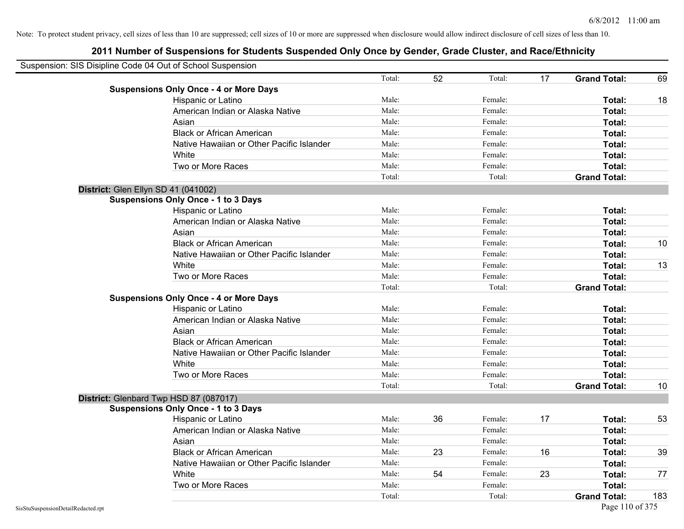| Suspension: SIS Disipline Code 04 Out of School Suspension |                                               |        |    |         |    |                     |     |
|------------------------------------------------------------|-----------------------------------------------|--------|----|---------|----|---------------------|-----|
|                                                            |                                               | Total: | 52 | Total:  | 17 | <b>Grand Total:</b> | 69  |
|                                                            | <b>Suspensions Only Once - 4 or More Days</b> |        |    |         |    |                     |     |
|                                                            | Hispanic or Latino                            | Male:  |    | Female: |    | Total:              | 18  |
|                                                            | American Indian or Alaska Native              | Male:  |    | Female: |    | Total:              |     |
|                                                            | Asian                                         | Male:  |    | Female: |    | Total:              |     |
|                                                            | <b>Black or African American</b>              | Male:  |    | Female: |    | Total:              |     |
|                                                            | Native Hawaiian or Other Pacific Islander     | Male:  |    | Female: |    | Total:              |     |
|                                                            | White                                         | Male:  |    | Female: |    | Total:              |     |
|                                                            | Two or More Races                             | Male:  |    | Female: |    | Total:              |     |
|                                                            |                                               | Total: |    | Total:  |    | <b>Grand Total:</b> |     |
|                                                            | District: Glen Ellyn SD 41 (041002)           |        |    |         |    |                     |     |
|                                                            | <b>Suspensions Only Once - 1 to 3 Days</b>    |        |    |         |    |                     |     |
|                                                            | Hispanic or Latino                            | Male:  |    | Female: |    | Total:              |     |
|                                                            | American Indian or Alaska Native              | Male:  |    | Female: |    | Total:              |     |
|                                                            | Asian                                         | Male:  |    | Female: |    | Total:              |     |
|                                                            | <b>Black or African American</b>              | Male:  |    | Female: |    | Total:              | 10  |
|                                                            | Native Hawaiian or Other Pacific Islander     | Male:  |    | Female: |    | Total:              |     |
|                                                            | White                                         | Male:  |    | Female: |    | Total:              | 13  |
|                                                            | Two or More Races                             | Male:  |    | Female: |    | Total:              |     |
|                                                            |                                               | Total: |    | Total:  |    | <b>Grand Total:</b> |     |
|                                                            | <b>Suspensions Only Once - 4 or More Days</b> |        |    |         |    |                     |     |
|                                                            | Hispanic or Latino                            | Male:  |    | Female: |    | Total:              |     |
|                                                            | American Indian or Alaska Native              | Male:  |    | Female: |    | Total:              |     |
|                                                            | Asian                                         | Male:  |    | Female: |    | Total:              |     |
|                                                            | <b>Black or African American</b>              | Male:  |    | Female: |    | Total:              |     |
|                                                            | Native Hawaiian or Other Pacific Islander     | Male:  |    | Female: |    | Total:              |     |
|                                                            | White                                         | Male:  |    | Female: |    | Total:              |     |
|                                                            | Two or More Races                             | Male:  |    | Female: |    | Total:              |     |
|                                                            |                                               | Total: |    | Total:  |    | <b>Grand Total:</b> | 10  |
|                                                            | District: Glenbard Twp HSD 87 (087017)        |        |    |         |    |                     |     |
|                                                            | <b>Suspensions Only Once - 1 to 3 Days</b>    |        |    |         |    |                     |     |
|                                                            | Hispanic or Latino                            | Male:  | 36 | Female: | 17 | Total:              | 53  |
|                                                            | American Indian or Alaska Native              | Male:  |    | Female: |    | Total:              |     |
|                                                            | Asian                                         | Male:  |    | Female: |    | Total:              |     |
|                                                            | <b>Black or African American</b>              | Male:  | 23 | Female: | 16 | Total:              | 39  |
|                                                            | Native Hawaiian or Other Pacific Islander     | Male:  |    | Female: |    | Total:              |     |
|                                                            | White                                         | Male:  | 54 | Female: | 23 | Total:              | 77  |
|                                                            | Two or More Races                             | Male:  |    | Female: |    | Total:              |     |
|                                                            |                                               | Total: |    | Total:  |    | <b>Grand Total:</b> | 183 |
| SisStuSuspensionDetailRedacted.rpt                         |                                               |        |    |         |    | Page 110 of 375     |     |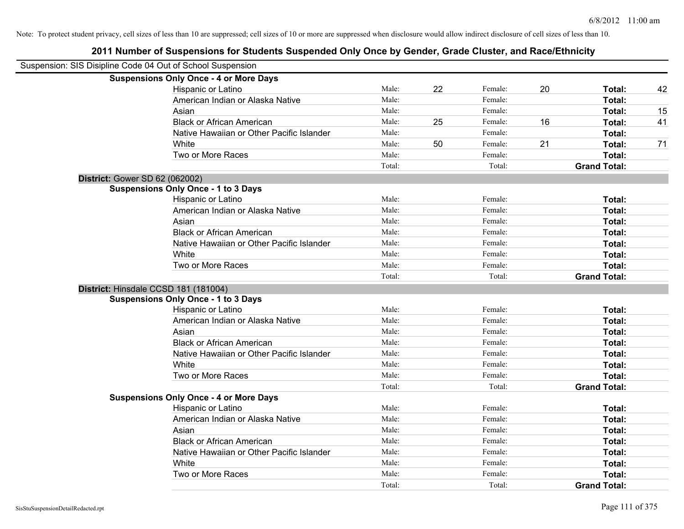| Suspension: SIS Disipline Code 04 Out of School Suspension |                                               |        |    |         |    |                     |    |
|------------------------------------------------------------|-----------------------------------------------|--------|----|---------|----|---------------------|----|
|                                                            | <b>Suspensions Only Once - 4 or More Days</b> |        |    |         |    |                     |    |
|                                                            | Hispanic or Latino                            | Male:  | 22 | Female: | 20 | Total:              | 42 |
|                                                            | American Indian or Alaska Native              | Male:  |    | Female: |    | Total:              |    |
|                                                            | Asian                                         | Male:  |    | Female: |    | Total:              | 15 |
|                                                            | <b>Black or African American</b>              | Male:  | 25 | Female: | 16 | Total:              | 41 |
|                                                            | Native Hawaiian or Other Pacific Islander     | Male:  |    | Female: |    | Total:              |    |
|                                                            | White                                         | Male:  | 50 | Female: | 21 | Total:              | 71 |
|                                                            | Two or More Races                             | Male:  |    | Female: |    | Total:              |    |
|                                                            |                                               | Total: |    | Total:  |    | <b>Grand Total:</b> |    |
| District: Gower SD 62 (062002)                             |                                               |        |    |         |    |                     |    |
|                                                            | <b>Suspensions Only Once - 1 to 3 Days</b>    |        |    |         |    |                     |    |
|                                                            | Hispanic or Latino                            | Male:  |    | Female: |    | Total:              |    |
|                                                            | American Indian or Alaska Native              | Male:  |    | Female: |    | Total:              |    |
|                                                            | Asian                                         | Male:  |    | Female: |    | Total:              |    |
|                                                            | <b>Black or African American</b>              | Male:  |    | Female: |    | Total:              |    |
|                                                            | Native Hawaiian or Other Pacific Islander     | Male:  |    | Female: |    | Total:              |    |
|                                                            | White                                         | Male:  |    | Female: |    | Total:              |    |
|                                                            | Two or More Races                             | Male:  |    | Female: |    | Total:              |    |
|                                                            |                                               | Total: |    | Total:  |    | <b>Grand Total:</b> |    |
| District: Hinsdale CCSD 181 (181004)                       |                                               |        |    |         |    |                     |    |
|                                                            | <b>Suspensions Only Once - 1 to 3 Days</b>    |        |    |         |    |                     |    |
|                                                            | Hispanic or Latino                            | Male:  |    | Female: |    | Total:              |    |
|                                                            | American Indian or Alaska Native              | Male:  |    | Female: |    | Total:              |    |
|                                                            | Asian                                         | Male:  |    | Female: |    | Total:              |    |
|                                                            | <b>Black or African American</b>              | Male:  |    | Female: |    | Total:              |    |
|                                                            | Native Hawaiian or Other Pacific Islander     | Male:  |    | Female: |    | Total:              |    |
|                                                            | White                                         | Male:  |    | Female: |    | Total:              |    |
|                                                            | Two or More Races                             | Male:  |    | Female: |    | Total:              |    |
|                                                            |                                               | Total: |    | Total:  |    | <b>Grand Total:</b> |    |
|                                                            | <b>Suspensions Only Once - 4 or More Days</b> |        |    |         |    |                     |    |
|                                                            | Hispanic or Latino                            | Male:  |    | Female: |    | Total:              |    |
|                                                            | American Indian or Alaska Native              | Male:  |    | Female: |    | Total:              |    |
|                                                            | Asian                                         | Male:  |    | Female: |    | Total:              |    |
|                                                            | <b>Black or African American</b>              | Male:  |    | Female: |    | Total:              |    |
|                                                            | Native Hawaiian or Other Pacific Islander     | Male:  |    | Female: |    | Total:              |    |
|                                                            | White                                         | Male:  |    | Female: |    | Total:              |    |
|                                                            | Two or More Races                             | Male:  |    | Female: |    | Total:              |    |
|                                                            |                                               | Total: |    | Total:  |    | <b>Grand Total:</b> |    |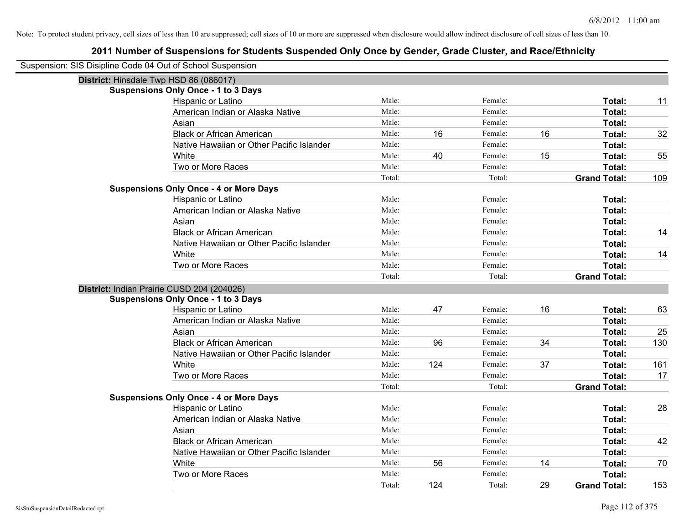| Suspension: SIS Disipline Code 04 Out of School Suspension |                                               |        |     |         |    |                     |     |
|------------------------------------------------------------|-----------------------------------------------|--------|-----|---------|----|---------------------|-----|
| District: Hinsdale Twp HSD 86 (086017)                     |                                               |        |     |         |    |                     |     |
|                                                            | <b>Suspensions Only Once - 1 to 3 Days</b>    |        |     |         |    |                     |     |
|                                                            | Hispanic or Latino                            | Male:  |     | Female: |    | Total:              | 11  |
|                                                            | American Indian or Alaska Native              | Male:  |     | Female: |    | Total:              |     |
|                                                            | Asian                                         | Male:  |     | Female: |    | Total:              |     |
|                                                            | <b>Black or African American</b>              | Male:  | 16  | Female: | 16 | Total:              | 32  |
|                                                            | Native Hawaiian or Other Pacific Islander     | Male:  |     | Female: |    | Total:              |     |
|                                                            | White                                         | Male:  | 40  | Female: | 15 | Total:              | 55  |
|                                                            | Two or More Races                             | Male:  |     | Female: |    | Total:              |     |
|                                                            |                                               | Total: |     | Total:  |    | <b>Grand Total:</b> | 109 |
|                                                            | <b>Suspensions Only Once - 4 or More Days</b> |        |     |         |    |                     |     |
|                                                            | Hispanic or Latino                            | Male:  |     | Female: |    | Total:              |     |
|                                                            | American Indian or Alaska Native              | Male:  |     | Female: |    | Total:              |     |
|                                                            | Asian                                         | Male:  |     | Female: |    | Total:              |     |
|                                                            | <b>Black or African American</b>              | Male:  |     | Female: |    | Total:              | 14  |
|                                                            | Native Hawaiian or Other Pacific Islander     | Male:  |     | Female: |    | Total:              |     |
|                                                            | White                                         | Male:  |     | Female: |    | Total:              | 14  |
|                                                            | Two or More Races                             | Male:  |     | Female: |    | Total:              |     |
|                                                            |                                               | Total: |     | Total:  |    | <b>Grand Total:</b> |     |
|                                                            | District: Indian Prairie CUSD 204 (204026)    |        |     |         |    |                     |     |
|                                                            | <b>Suspensions Only Once - 1 to 3 Days</b>    |        |     |         |    |                     |     |
|                                                            | Hispanic or Latino                            | Male:  | 47  | Female: | 16 | Total:              | 63  |
|                                                            | American Indian or Alaska Native              | Male:  |     | Female: |    | Total:              |     |
|                                                            | Asian                                         | Male:  |     | Female: |    | Total:              | 25  |
|                                                            | <b>Black or African American</b>              | Male:  | 96  | Female: | 34 | Total:              | 130 |
|                                                            | Native Hawaiian or Other Pacific Islander     | Male:  |     | Female: |    | Total:              |     |
|                                                            | White                                         | Male:  | 124 | Female: | 37 | Total:              | 161 |
|                                                            | Two or More Races                             | Male:  |     | Female: |    | Total:              | 17  |
|                                                            |                                               | Total: |     | Total:  |    | <b>Grand Total:</b> |     |
|                                                            | <b>Suspensions Only Once - 4 or More Days</b> |        |     |         |    |                     |     |
|                                                            | Hispanic or Latino                            | Male:  |     | Female: |    | Total:              | 28  |
|                                                            | American Indian or Alaska Native              | Male:  |     | Female: |    | Total:              |     |
|                                                            | Asian                                         | Male:  |     | Female: |    | Total:              |     |
|                                                            | <b>Black or African American</b>              | Male:  |     | Female: |    | Total:              | 42  |
|                                                            | Native Hawaiian or Other Pacific Islander     | Male:  |     | Female: |    | Total:              |     |
|                                                            | White                                         | Male:  | 56  | Female: | 14 | Total:              | 70  |
|                                                            | Two or More Races                             | Male:  |     | Female: |    | Total:              |     |
|                                                            |                                               | Total: | 124 | Total:  | 29 | <b>Grand Total:</b> | 153 |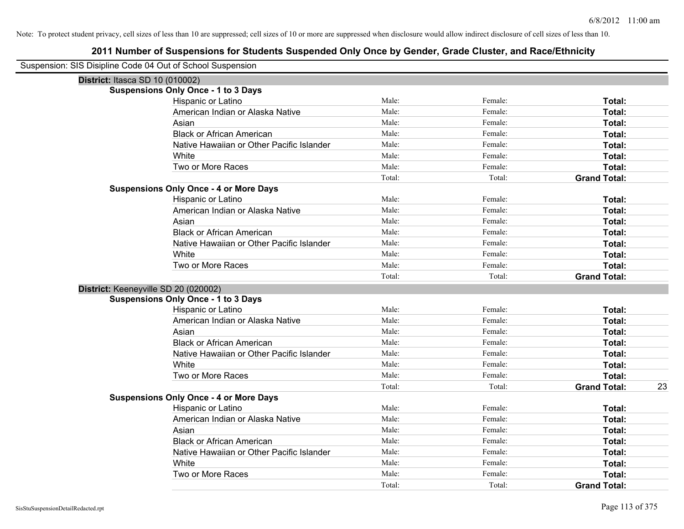| Suspension: SIS Disipline Code 04 Out of School Suspension |                                               |        |         |                     |    |
|------------------------------------------------------------|-----------------------------------------------|--------|---------|---------------------|----|
| District: Itasca SD 10 (010002)                            |                                               |        |         |                     |    |
|                                                            | <b>Suspensions Only Once - 1 to 3 Days</b>    |        |         |                     |    |
|                                                            | Hispanic or Latino                            | Male:  | Female: | Total:              |    |
|                                                            | American Indian or Alaska Native              | Male:  | Female: | Total:              |    |
|                                                            | Asian                                         | Male:  | Female: | Total:              |    |
|                                                            | <b>Black or African American</b>              | Male:  | Female: | Total:              |    |
|                                                            | Native Hawaiian or Other Pacific Islander     | Male:  | Female: | Total:              |    |
|                                                            | White                                         | Male:  | Female: | Total:              |    |
|                                                            | Two or More Races                             | Male:  | Female: | Total:              |    |
|                                                            |                                               | Total: | Total:  | <b>Grand Total:</b> |    |
|                                                            | <b>Suspensions Only Once - 4 or More Days</b> |        |         |                     |    |
|                                                            | Hispanic or Latino                            | Male:  | Female: | Total:              |    |
|                                                            | American Indian or Alaska Native              | Male:  | Female: | Total:              |    |
|                                                            | Asian                                         | Male:  | Female: | Total:              |    |
|                                                            | <b>Black or African American</b>              | Male:  | Female: | Total:              |    |
|                                                            | Native Hawaiian or Other Pacific Islander     | Male:  | Female: | Total:              |    |
|                                                            | White                                         | Male:  | Female: | Total:              |    |
|                                                            | Two or More Races                             | Male:  | Female: | Total:              |    |
|                                                            |                                               | Total: | Total:  | <b>Grand Total:</b> |    |
| District: Keeneyville SD 20 (020002)                       |                                               |        |         |                     |    |
|                                                            | <b>Suspensions Only Once - 1 to 3 Days</b>    |        |         |                     |    |
|                                                            | Hispanic or Latino                            | Male:  | Female: | Total:              |    |
|                                                            | American Indian or Alaska Native              | Male:  | Female: | Total:              |    |
|                                                            | Asian                                         | Male:  | Female: | Total:              |    |
|                                                            | <b>Black or African American</b>              | Male:  | Female: | Total:              |    |
|                                                            | Native Hawaiian or Other Pacific Islander     | Male:  | Female: | Total:              |    |
|                                                            | White                                         | Male:  | Female: | Total:              |    |
|                                                            | Two or More Races                             | Male:  | Female: | Total:              |    |
|                                                            |                                               | Total: | Total:  | <b>Grand Total:</b> | 23 |
|                                                            | <b>Suspensions Only Once - 4 or More Days</b> |        |         |                     |    |
|                                                            | Hispanic or Latino                            | Male:  | Female: | Total:              |    |
|                                                            | American Indian or Alaska Native              | Male:  | Female: | Total:              |    |
|                                                            | Asian                                         | Male:  | Female: | Total:              |    |
|                                                            | <b>Black or African American</b>              | Male:  | Female: | Total:              |    |
|                                                            | Native Hawaiian or Other Pacific Islander     | Male:  | Female: | Total:              |    |
|                                                            | White                                         | Male:  | Female: | Total:              |    |
|                                                            | Two or More Races                             | Male:  | Female: | Total:              |    |
|                                                            |                                               | Total: | Total:  | <b>Grand Total:</b> |    |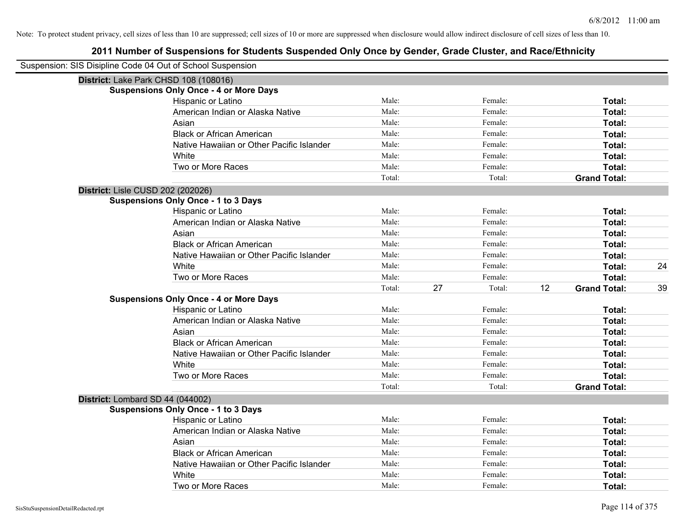| Suspension: SIS Disipline Code 04 Out of School Suspension |                                               |        |    |         |    |                     |    |
|------------------------------------------------------------|-----------------------------------------------|--------|----|---------|----|---------------------|----|
| District: Lake Park CHSD 108 (108016)                      |                                               |        |    |         |    |                     |    |
|                                                            | <b>Suspensions Only Once - 4 or More Days</b> |        |    |         |    |                     |    |
|                                                            | Hispanic or Latino                            | Male:  |    | Female: |    | Total:              |    |
|                                                            | American Indian or Alaska Native              | Male:  |    | Female: |    | Total:              |    |
|                                                            | Asian                                         | Male:  |    | Female: |    | Total:              |    |
|                                                            | <b>Black or African American</b>              | Male:  |    | Female: |    | Total:              |    |
|                                                            | Native Hawaiian or Other Pacific Islander     | Male:  |    | Female: |    | Total:              |    |
|                                                            | White                                         | Male:  |    | Female: |    | Total:              |    |
|                                                            | Two or More Races                             | Male:  |    | Female: |    | Total:              |    |
|                                                            |                                               | Total: |    | Total:  |    | <b>Grand Total:</b> |    |
| District: Lisle CUSD 202 (202026)                          |                                               |        |    |         |    |                     |    |
|                                                            | <b>Suspensions Only Once - 1 to 3 Days</b>    |        |    |         |    |                     |    |
|                                                            | Hispanic or Latino                            | Male:  |    | Female: |    | Total:              |    |
|                                                            | American Indian or Alaska Native              | Male:  |    | Female: |    | Total:              |    |
|                                                            | Asian                                         | Male:  |    | Female: |    | Total:              |    |
|                                                            | <b>Black or African American</b>              | Male:  |    | Female: |    | Total:              |    |
|                                                            | Native Hawaiian or Other Pacific Islander     | Male:  |    | Female: |    | Total:              |    |
|                                                            | White                                         | Male:  |    | Female: |    | Total:              | 24 |
|                                                            | Two or More Races                             | Male:  |    | Female: |    | Total:              |    |
|                                                            |                                               | Total: | 27 | Total:  | 12 | <b>Grand Total:</b> | 39 |
|                                                            | <b>Suspensions Only Once - 4 or More Days</b> |        |    |         |    |                     |    |
|                                                            | Hispanic or Latino                            | Male:  |    | Female: |    | Total:              |    |
|                                                            | American Indian or Alaska Native              | Male:  |    | Female: |    | Total:              |    |
|                                                            | Asian                                         | Male:  |    | Female: |    | Total:              |    |
|                                                            | <b>Black or African American</b>              | Male:  |    | Female: |    | Total:              |    |
|                                                            | Native Hawaiian or Other Pacific Islander     | Male:  |    | Female: |    | Total:              |    |
|                                                            | White                                         | Male:  |    | Female: |    | Total:              |    |
|                                                            | Two or More Races                             | Male:  |    | Female: |    | Total:              |    |
|                                                            |                                               | Total: |    | Total:  |    | <b>Grand Total:</b> |    |
| District: Lombard SD 44 (044002)                           |                                               |        |    |         |    |                     |    |
|                                                            | <b>Suspensions Only Once - 1 to 3 Days</b>    |        |    |         |    |                     |    |
|                                                            | Hispanic or Latino                            | Male:  |    | Female: |    | Total:              |    |
|                                                            | American Indian or Alaska Native              | Male:  |    | Female: |    | Total:              |    |
|                                                            | Asian                                         | Male:  |    | Female: |    | Total:              |    |
|                                                            | <b>Black or African American</b>              | Male:  |    | Female: |    | Total:              |    |
|                                                            | Native Hawaiian or Other Pacific Islander     | Male:  |    | Female: |    | Total:              |    |
|                                                            | White                                         | Male:  |    | Female: |    | Total:              |    |
|                                                            | Two or More Races                             | Male:  |    | Female: |    | Total:              |    |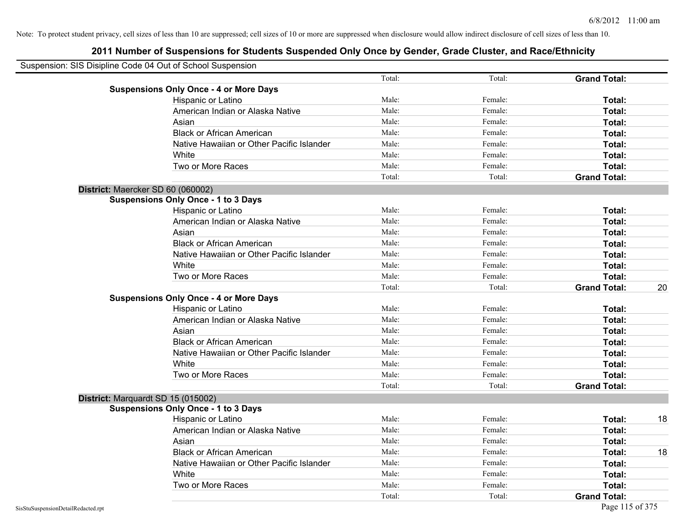| Suspension: SIS Disipline Code 04 Out of School Suspension |        |         |                     |    |
|------------------------------------------------------------|--------|---------|---------------------|----|
|                                                            | Total: | Total:  | <b>Grand Total:</b> |    |
| <b>Suspensions Only Once - 4 or More Days</b>              |        |         |                     |    |
| Hispanic or Latino                                         | Male:  | Female: | Total:              |    |
| American Indian or Alaska Native                           | Male:  | Female: | Total:              |    |
| Asian                                                      | Male:  | Female: | Total:              |    |
| <b>Black or African American</b>                           | Male:  | Female: | Total:              |    |
| Native Hawaiian or Other Pacific Islander                  | Male:  | Female: | Total:              |    |
| White                                                      | Male:  | Female: | Total:              |    |
| Two or More Races                                          | Male:  | Female: | Total:              |    |
|                                                            | Total: | Total:  | <b>Grand Total:</b> |    |
| District: Maercker SD 60 (060002)                          |        |         |                     |    |
| <b>Suspensions Only Once - 1 to 3 Days</b>                 |        |         |                     |    |
| Hispanic or Latino                                         | Male:  | Female: | Total:              |    |
| American Indian or Alaska Native                           | Male:  | Female: | Total:              |    |
| Asian                                                      | Male:  | Female: | Total:              |    |
| <b>Black or African American</b>                           | Male:  | Female: | Total:              |    |
| Native Hawaiian or Other Pacific Islander                  | Male:  | Female: | Total:              |    |
| White                                                      | Male:  | Female: | Total:              |    |
| Two or More Races                                          | Male:  | Female: | Total:              |    |
|                                                            | Total: | Total:  | <b>Grand Total:</b> | 20 |
| <b>Suspensions Only Once - 4 or More Days</b>              |        |         |                     |    |
| Hispanic or Latino                                         | Male:  | Female: | Total:              |    |
| American Indian or Alaska Native                           | Male:  | Female: | Total:              |    |
| Asian                                                      | Male:  | Female: | Total:              |    |
| <b>Black or African American</b>                           | Male:  | Female: | Total:              |    |
| Native Hawaiian or Other Pacific Islander                  | Male:  | Female: | Total:              |    |
| White                                                      | Male:  | Female: | Total:              |    |
| Two or More Races                                          | Male:  | Female: | Total:              |    |
|                                                            | Total: | Total:  | <b>Grand Total:</b> |    |
| District: Marquardt SD 15 (015002)                         |        |         |                     |    |
| <b>Suspensions Only Once - 1 to 3 Days</b>                 |        |         |                     |    |
| Hispanic or Latino                                         | Male:  | Female: | Total:              | 18 |
| American Indian or Alaska Native                           | Male:  | Female: | Total:              |    |
| Asian                                                      | Male:  | Female: | Total:              |    |
| <b>Black or African American</b>                           | Male:  | Female: | Total:              | 18 |
| Native Hawaiian or Other Pacific Islander                  | Male:  | Female: | Total:              |    |
| White                                                      | Male:  | Female: | Total:              |    |
| Two or More Races                                          | Male:  | Female: | Total:              |    |
|                                                            | Total: | Total:  | <b>Grand Total:</b> |    |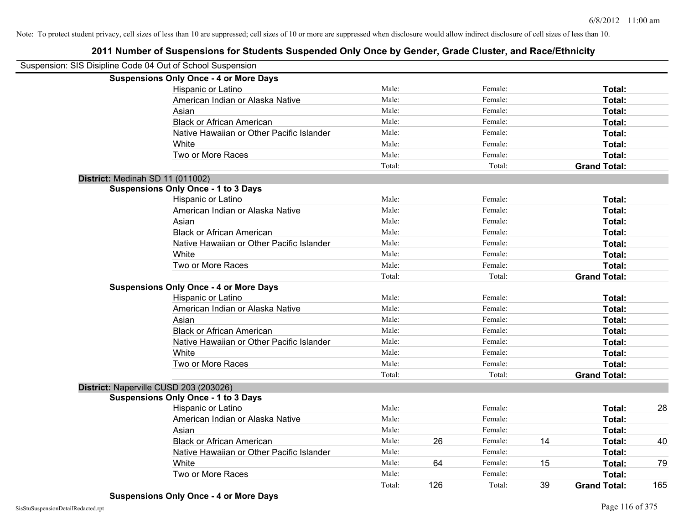| Suspension: SIS Disipline Code 04 Out of School Suspension |                                               |        |     |         |    |                     |     |
|------------------------------------------------------------|-----------------------------------------------|--------|-----|---------|----|---------------------|-----|
|                                                            | <b>Suspensions Only Once - 4 or More Days</b> |        |     |         |    |                     |     |
|                                                            | Hispanic or Latino                            | Male:  |     | Female: |    | Total:              |     |
|                                                            | American Indian or Alaska Native              | Male:  |     | Female: |    | Total:              |     |
|                                                            | Asian                                         | Male:  |     | Female: |    | Total:              |     |
|                                                            | <b>Black or African American</b>              | Male:  |     | Female: |    | Total:              |     |
|                                                            | Native Hawaiian or Other Pacific Islander     | Male:  |     | Female: |    | Total:              |     |
|                                                            | White                                         | Male:  |     | Female: |    | Total:              |     |
|                                                            | Two or More Races                             | Male:  |     | Female: |    | Total:              |     |
|                                                            |                                               | Total: |     | Total:  |    | <b>Grand Total:</b> |     |
|                                                            | District: Medinah SD 11 (011002)              |        |     |         |    |                     |     |
|                                                            | <b>Suspensions Only Once - 1 to 3 Days</b>    |        |     |         |    |                     |     |
|                                                            | Hispanic or Latino                            | Male:  |     | Female: |    | Total:              |     |
|                                                            | American Indian or Alaska Native              | Male:  |     | Female: |    | Total:              |     |
|                                                            | Asian                                         | Male:  |     | Female: |    | Total:              |     |
|                                                            | <b>Black or African American</b>              | Male:  |     | Female: |    | Total:              |     |
|                                                            | Native Hawaiian or Other Pacific Islander     | Male:  |     | Female: |    | Total:              |     |
|                                                            | White                                         | Male:  |     | Female: |    | Total:              |     |
|                                                            | Two or More Races                             | Male:  |     | Female: |    | Total:              |     |
|                                                            |                                               | Total: |     | Total:  |    | <b>Grand Total:</b> |     |
|                                                            | <b>Suspensions Only Once - 4 or More Days</b> |        |     |         |    |                     |     |
|                                                            | Hispanic or Latino                            | Male:  |     | Female: |    | Total:              |     |
|                                                            | American Indian or Alaska Native              | Male:  |     | Female: |    | Total:              |     |
|                                                            | Asian                                         | Male:  |     | Female: |    | Total:              |     |
|                                                            | <b>Black or African American</b>              | Male:  |     | Female: |    | Total:              |     |
|                                                            | Native Hawaiian or Other Pacific Islander     | Male:  |     | Female: |    | Total:              |     |
|                                                            | White                                         | Male:  |     | Female: |    | Total:              |     |
|                                                            | Two or More Races                             | Male:  |     | Female: |    | Total:              |     |
|                                                            |                                               | Total: |     | Total:  |    | <b>Grand Total:</b> |     |
|                                                            | District: Naperville CUSD 203 (203026)        |        |     |         |    |                     |     |
|                                                            | <b>Suspensions Only Once - 1 to 3 Days</b>    |        |     |         |    |                     |     |
|                                                            | Hispanic or Latino                            | Male:  |     | Female: |    | Total:              | 28  |
|                                                            | American Indian or Alaska Native              | Male:  |     | Female: |    | Total:              |     |
|                                                            | Asian                                         | Male:  |     | Female: |    | Total:              |     |
|                                                            | <b>Black or African American</b>              | Male:  | 26  | Female: | 14 | Total:              | 40  |
|                                                            | Native Hawaiian or Other Pacific Islander     | Male:  |     | Female: |    | Total:              |     |
|                                                            | White                                         | Male:  | 64  | Female: | 15 | Total:              | 79  |
|                                                            | Two or More Races                             | Male:  |     | Female: |    | Total:              |     |
|                                                            |                                               | Total: | 126 | Total:  | 39 | <b>Grand Total:</b> | 165 |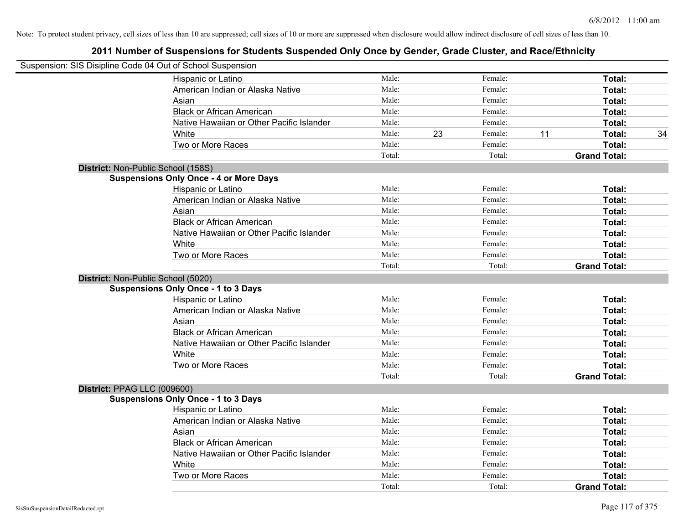| Suspension: SIS Disipline Code 04 Out of School Suspension |        |    |         |    |                     |    |
|------------------------------------------------------------|--------|----|---------|----|---------------------|----|
| Hispanic or Latino                                         | Male:  |    | Female: |    | Total:              |    |
| American Indian or Alaska Native                           | Male:  |    | Female: |    | Total:              |    |
| Asian                                                      | Male:  |    | Female: |    | Total:              |    |
| <b>Black or African American</b>                           | Male:  |    | Female: |    | Total:              |    |
| Native Hawaiian or Other Pacific Islander                  | Male:  |    | Female: |    | Total:              |    |
| White                                                      | Male:  | 23 | Female: | 11 | Total:              | 34 |
| Two or More Races                                          | Male:  |    | Female: |    | Total:              |    |
|                                                            | Total: |    | Total:  |    | <b>Grand Total:</b> |    |
| District: Non-Public School (158S)                         |        |    |         |    |                     |    |
| <b>Suspensions Only Once - 4 or More Days</b>              |        |    |         |    |                     |    |
| Hispanic or Latino                                         | Male:  |    | Female: |    | Total:              |    |
| American Indian or Alaska Native                           | Male:  |    | Female: |    | Total:              |    |
| Asian                                                      | Male:  |    | Female: |    | Total:              |    |
| <b>Black or African American</b>                           | Male:  |    | Female: |    | Total:              |    |
| Native Hawaiian or Other Pacific Islander                  | Male:  |    | Female: |    | Total:              |    |
| White                                                      | Male:  |    | Female: |    | Total:              |    |
| Two or More Races                                          | Male:  |    | Female: |    | Total:              |    |
|                                                            | Total: |    | Total:  |    | <b>Grand Total:</b> |    |
| District: Non-Public School (5020)                         |        |    |         |    |                     |    |
| <b>Suspensions Only Once - 1 to 3 Days</b>                 |        |    |         |    |                     |    |
| Hispanic or Latino                                         | Male:  |    | Female: |    | Total:              |    |
| American Indian or Alaska Native                           | Male:  |    | Female: |    | Total:              |    |
| Asian                                                      | Male:  |    | Female: |    | Total:              |    |
| <b>Black or African American</b>                           | Male:  |    | Female: |    | Total:              |    |
| Native Hawaiian or Other Pacific Islander                  | Male:  |    | Female: |    | Total:              |    |
| White                                                      | Male:  |    | Female: |    | Total:              |    |
| Two or More Races                                          | Male:  |    | Female: |    | Total:              |    |
|                                                            | Total: |    | Total:  |    | <b>Grand Total:</b> |    |
| District: PPAG LLC (009600)                                |        |    |         |    |                     |    |
| <b>Suspensions Only Once - 1 to 3 Days</b>                 |        |    |         |    |                     |    |
| Hispanic or Latino                                         | Male:  |    | Female: |    | Total:              |    |
| American Indian or Alaska Native                           | Male:  |    | Female: |    | Total:              |    |
| Asian                                                      | Male:  |    | Female: |    | Total:              |    |
| <b>Black or African American</b>                           | Male:  |    | Female: |    | Total:              |    |
| Native Hawaiian or Other Pacific Islander                  | Male:  |    | Female: |    | Total:              |    |
| White                                                      | Male:  |    | Female: |    | Total:              |    |
| Two or More Races                                          | Male:  |    | Female: |    | Total:              |    |
|                                                            | Total: |    | Total:  |    | <b>Grand Total:</b> |    |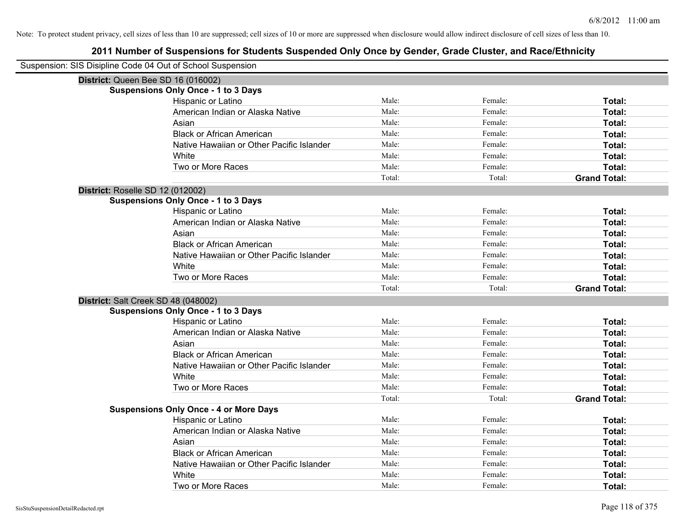| Suspension: SIS Disipline Code 04 Out of School Suspension |                                               |        |         |                     |
|------------------------------------------------------------|-----------------------------------------------|--------|---------|---------------------|
|                                                            | District: Queen Bee SD 16 (016002)            |        |         |                     |
|                                                            | <b>Suspensions Only Once - 1 to 3 Days</b>    |        |         |                     |
|                                                            | Hispanic or Latino                            | Male:  | Female: | Total:              |
|                                                            | American Indian or Alaska Native              | Male:  | Female: | Total:              |
|                                                            | Asian                                         | Male:  | Female: | <b>Total:</b>       |
|                                                            | <b>Black or African American</b>              | Male:  | Female: | Total:              |
|                                                            | Native Hawaiian or Other Pacific Islander     | Male:  | Female: | Total:              |
|                                                            | White                                         | Male:  | Female: | Total:              |
|                                                            | Two or More Races                             | Male:  | Female: | Total:              |
|                                                            |                                               | Total: | Total:  | <b>Grand Total:</b> |
| District: Roselle SD 12 (012002)                           |                                               |        |         |                     |
|                                                            | <b>Suspensions Only Once - 1 to 3 Days</b>    |        |         |                     |
|                                                            | Hispanic or Latino                            | Male:  | Female: | Total:              |
|                                                            | American Indian or Alaska Native              | Male:  | Female: | Total:              |
|                                                            | Asian                                         | Male:  | Female: | Total:              |
|                                                            | <b>Black or African American</b>              | Male:  | Female: | Total:              |
|                                                            | Native Hawaiian or Other Pacific Islander     | Male:  | Female: | Total:              |
|                                                            | White                                         | Male:  | Female: | Total:              |
|                                                            | Two or More Races                             | Male:  | Female: | Total:              |
|                                                            |                                               | Total: | Total:  | <b>Grand Total:</b> |
| District: Salt Creek SD 48 (048002)                        |                                               |        |         |                     |
|                                                            | <b>Suspensions Only Once - 1 to 3 Days</b>    |        |         |                     |
|                                                            | Hispanic or Latino                            | Male:  | Female: | Total:              |
|                                                            | American Indian or Alaska Native              | Male:  | Female: | Total:              |
|                                                            | Asian                                         | Male:  | Female: | Total:              |
|                                                            | <b>Black or African American</b>              | Male:  | Female: | Total:              |
|                                                            | Native Hawaiian or Other Pacific Islander     | Male:  | Female: | <b>Total:</b>       |
|                                                            | White                                         | Male:  | Female: | Total:              |
|                                                            | Two or More Races                             | Male:  | Female: | Total:              |
|                                                            |                                               | Total: | Total:  | <b>Grand Total:</b> |
|                                                            | <b>Suspensions Only Once - 4 or More Days</b> |        |         |                     |
|                                                            | Hispanic or Latino                            | Male:  | Female: | Total:              |
|                                                            | American Indian or Alaska Native              | Male:  | Female: | Total:              |
|                                                            | Asian                                         | Male:  | Female: | Total:              |
|                                                            | <b>Black or African American</b>              | Male:  | Female: | Total:              |
|                                                            | Native Hawaiian or Other Pacific Islander     | Male:  | Female: | Total:              |
|                                                            | White                                         | Male:  | Female: | <b>Total:</b>       |
|                                                            | Two or More Races                             | Male:  | Female: | Total:              |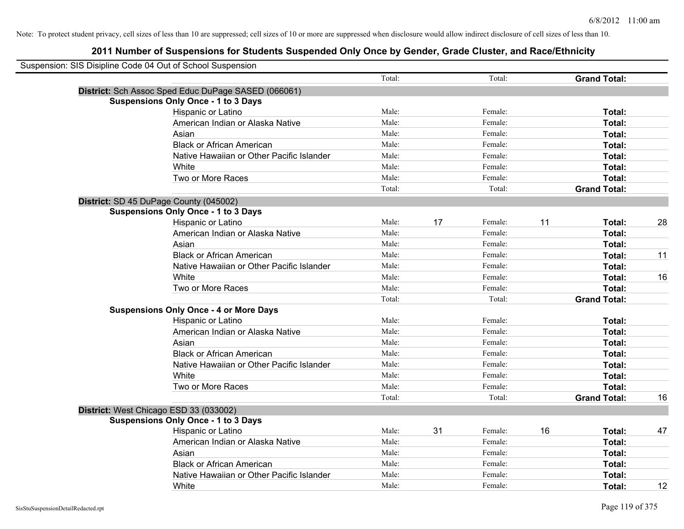| Suspension: SIS Disipline Code 04 Out of School Suspension |        |    |         |    |                     |    |
|------------------------------------------------------------|--------|----|---------|----|---------------------|----|
|                                                            | Total: |    | Total:  |    | <b>Grand Total:</b> |    |
| District: Sch Assoc Sped Educ DuPage SASED (066061)        |        |    |         |    |                     |    |
| <b>Suspensions Only Once - 1 to 3 Days</b>                 |        |    |         |    |                     |    |
| Hispanic or Latino                                         | Male:  |    | Female: |    | Total:              |    |
| American Indian or Alaska Native                           | Male:  |    | Female: |    | Total:              |    |
| Asian                                                      | Male:  |    | Female: |    | Total:              |    |
| <b>Black or African American</b>                           | Male:  |    | Female: |    | Total:              |    |
| Native Hawaiian or Other Pacific Islander                  | Male:  |    | Female: |    | Total:              |    |
| White                                                      | Male:  |    | Female: |    | Total:              |    |
| Two or More Races                                          | Male:  |    | Female: |    | Total:              |    |
|                                                            | Total: |    | Total:  |    | <b>Grand Total:</b> |    |
| District: SD 45 DuPage County (045002)                     |        |    |         |    |                     |    |
| <b>Suspensions Only Once - 1 to 3 Days</b>                 |        |    |         |    |                     |    |
| Hispanic or Latino                                         | Male:  | 17 | Female: | 11 | Total:              | 28 |
| American Indian or Alaska Native                           | Male:  |    | Female: |    | Total:              |    |
| Asian                                                      | Male:  |    | Female: |    | Total:              |    |
| <b>Black or African American</b>                           | Male:  |    | Female: |    | Total:              | 11 |
| Native Hawaiian or Other Pacific Islander                  | Male:  |    | Female: |    | Total:              |    |
| White                                                      | Male:  |    | Female: |    | Total:              | 16 |
| Two or More Races                                          | Male:  |    | Female: |    | Total:              |    |
|                                                            | Total: |    | Total:  |    | <b>Grand Total:</b> |    |
| <b>Suspensions Only Once - 4 or More Days</b>              |        |    |         |    |                     |    |
| Hispanic or Latino                                         | Male:  |    | Female: |    | Total:              |    |
| American Indian or Alaska Native                           | Male:  |    | Female: |    | Total:              |    |
| Asian                                                      | Male:  |    | Female: |    | Total:              |    |
| <b>Black or African American</b>                           | Male:  |    | Female: |    | Total:              |    |
| Native Hawaiian or Other Pacific Islander                  | Male:  |    | Female: |    | Total:              |    |
| White                                                      | Male:  |    | Female: |    | Total:              |    |
| Two or More Races                                          | Male:  |    | Female: |    | Total:              |    |
|                                                            | Total: |    | Total:  |    | <b>Grand Total:</b> | 16 |
| District: West Chicago ESD 33 (033002)                     |        |    |         |    |                     |    |
| <b>Suspensions Only Once - 1 to 3 Days</b>                 |        |    |         |    |                     |    |
| Hispanic or Latino                                         | Male:  | 31 | Female: | 16 | Total:              | 47 |
| American Indian or Alaska Native                           | Male:  |    | Female: |    | Total:              |    |
| Asian                                                      | Male:  |    | Female: |    | Total:              |    |
| <b>Black or African American</b>                           | Male:  |    | Female: |    | Total:              |    |
| Native Hawaiian or Other Pacific Islander                  | Male:  |    | Female: |    | Total:              |    |
| White                                                      | Male:  |    | Female: |    | Total:              | 12 |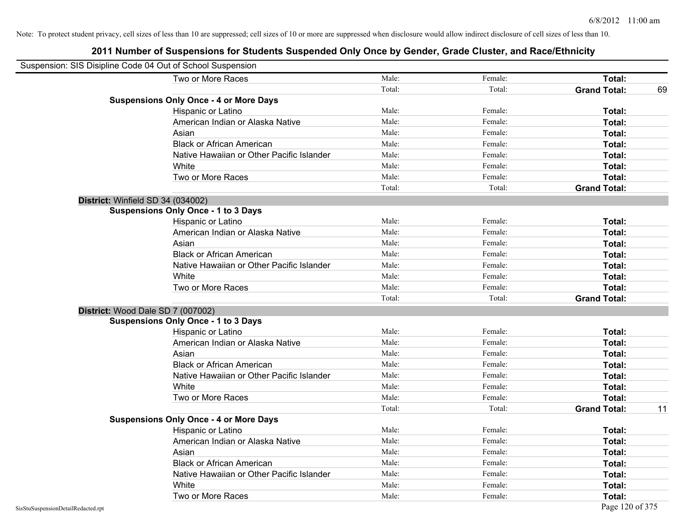| Suspension: SIS Disipline Code 04 Out of School Suspension |        |         |                     |    |
|------------------------------------------------------------|--------|---------|---------------------|----|
| Two or More Races                                          | Male:  | Female: | Total:              |    |
|                                                            | Total: | Total:  | <b>Grand Total:</b> | 69 |
| <b>Suspensions Only Once - 4 or More Days</b>              |        |         |                     |    |
| Hispanic or Latino                                         | Male:  | Female: | Total:              |    |
| American Indian or Alaska Native                           | Male:  | Female: | Total:              |    |
| Asian                                                      | Male:  | Female: | Total:              |    |
| <b>Black or African American</b>                           | Male:  | Female: | Total:              |    |
| Native Hawaiian or Other Pacific Islander                  | Male:  | Female: | Total:              |    |
| White                                                      | Male:  | Female: | Total:              |    |
| Two or More Races                                          | Male:  | Female: | Total:              |    |
|                                                            | Total: | Total:  | <b>Grand Total:</b> |    |
| District: Winfield SD 34 (034002)                          |        |         |                     |    |
| <b>Suspensions Only Once - 1 to 3 Days</b>                 |        |         |                     |    |
| Hispanic or Latino                                         | Male:  | Female: | Total:              |    |
| American Indian or Alaska Native                           | Male:  | Female: | Total:              |    |
| Asian                                                      | Male:  | Female: | Total:              |    |
| <b>Black or African American</b>                           | Male:  | Female: | Total:              |    |
| Native Hawaiian or Other Pacific Islander                  | Male:  | Female: | Total:              |    |
| White                                                      | Male:  | Female: | Total:              |    |
| Two or More Races                                          | Male:  | Female: | Total:              |    |
|                                                            | Total: | Total:  | <b>Grand Total:</b> |    |
| District: Wood Dale SD 7 (007002)                          |        |         |                     |    |
| <b>Suspensions Only Once - 1 to 3 Days</b>                 |        |         |                     |    |
| Hispanic or Latino                                         | Male:  | Female: | Total:              |    |
| American Indian or Alaska Native                           | Male:  | Female: | Total:              |    |
| Asian                                                      | Male:  | Female: | Total:              |    |
| <b>Black or African American</b>                           | Male:  | Female: | Total:              |    |
| Native Hawaiian or Other Pacific Islander                  | Male:  | Female: | Total:              |    |
| White                                                      | Male:  | Female: | Total:              |    |
| Two or More Races                                          | Male:  | Female: | Total:              |    |
|                                                            | Total: | Total:  | <b>Grand Total:</b> | 11 |
| <b>Suspensions Only Once - 4 or More Days</b>              |        |         |                     |    |
| Hispanic or Latino                                         | Male:  | Female: | Total:              |    |
| American Indian or Alaska Native                           | Male:  | Female: | Total:              |    |
| Asian                                                      | Male:  | Female: | Total:              |    |
| <b>Black or African American</b>                           | Male:  | Female: | Total:              |    |
| Native Hawaiian or Other Pacific Islander                  | Male:  | Female: | Total:              |    |
| White                                                      | Male:  | Female: | <b>Total:</b>       |    |
| Two or More Races                                          | Male:  | Female: | Total:              |    |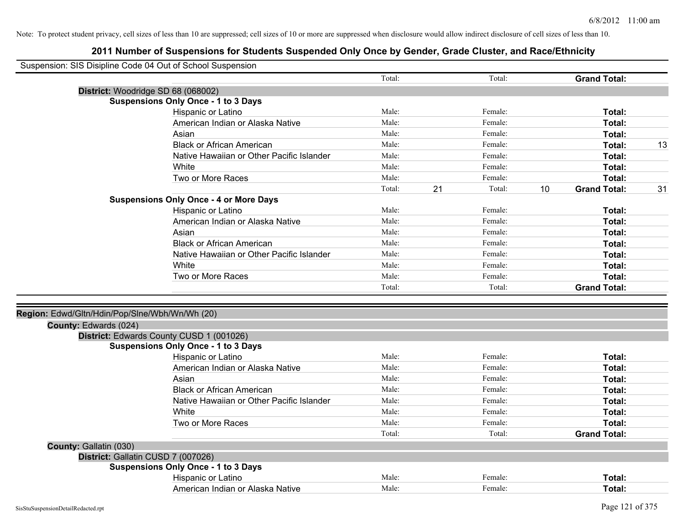| Suspension: SIS Disipline Code 04 Out of School Suspension |                                               |        |    |         |    |                     |    |
|------------------------------------------------------------|-----------------------------------------------|--------|----|---------|----|---------------------|----|
|                                                            |                                               | Total: |    | Total:  |    | <b>Grand Total:</b> |    |
| District: Woodridge SD 68 (068002)                         |                                               |        |    |         |    |                     |    |
|                                                            | <b>Suspensions Only Once - 1 to 3 Days</b>    |        |    |         |    |                     |    |
|                                                            | Hispanic or Latino                            | Male:  |    | Female: |    | Total:              |    |
|                                                            | American Indian or Alaska Native              | Male:  |    | Female: |    | Total:              |    |
|                                                            | Asian                                         | Male:  |    | Female: |    | Total:              |    |
|                                                            | <b>Black or African American</b>              | Male:  |    | Female: |    | Total:              | 13 |
|                                                            | Native Hawaiian or Other Pacific Islander     | Male:  |    | Female: |    | Total:              |    |
|                                                            | White                                         | Male:  |    | Female: |    | Total:              |    |
|                                                            | Two or More Races                             | Male:  |    | Female: |    | Total:              |    |
|                                                            |                                               | Total: | 21 | Total:  | 10 | <b>Grand Total:</b> | 31 |
|                                                            | <b>Suspensions Only Once - 4 or More Days</b> |        |    |         |    |                     |    |
|                                                            | Hispanic or Latino                            | Male:  |    | Female: |    | Total:              |    |
|                                                            | American Indian or Alaska Native              | Male:  |    | Female: |    | Total:              |    |
|                                                            | Asian                                         | Male:  |    | Female: |    | Total:              |    |
|                                                            | <b>Black or African American</b>              | Male:  |    | Female: |    | Total:              |    |
|                                                            | Native Hawaiian or Other Pacific Islander     | Male:  |    | Female: |    | Total:              |    |
|                                                            | White                                         | Male:  |    | Female: |    | Total:              |    |
|                                                            | Two or More Races                             | Male:  |    | Female: |    | Total:              |    |
|                                                            |                                               | Total: |    | Total:  |    | <b>Grand Total:</b> |    |
| Region: Edwd/Gltn/Hdin/Pop/Slne/Wbh/Wn/Wh (20)             |                                               |        |    |         |    |                     |    |
| County: Edwards (024)                                      |                                               |        |    |         |    |                     |    |
|                                                            | District: Edwards County CUSD 1 (001026)      |        |    |         |    |                     |    |
|                                                            | <b>Suspensions Only Once - 1 to 3 Days</b>    |        |    |         |    |                     |    |
|                                                            | Hispanic or Latino                            | Male:  |    | Female: |    | Total:              |    |
|                                                            | American Indian or Alaska Native              | Male:  |    | Female: |    | Total:              |    |
|                                                            | Asian                                         | Male:  |    | Female: |    | Total:              |    |
|                                                            | <b>Black or African American</b>              | Male:  |    | Female: |    | Total:              |    |
|                                                            | Native Hawaiian or Other Pacific Islander     | Male:  |    | Female: |    | Total:              |    |
|                                                            | White                                         | Male:  |    | Female: |    | Total:              |    |
|                                                            | Two or More Races                             | Male:  |    | Female: |    | Total:              |    |
|                                                            |                                               | Total: |    | Total:  |    | <b>Grand Total:</b> |    |
| County: Gallatin (030)                                     |                                               |        |    |         |    |                     |    |
| District: Gallatin CUSD 7 (007026)                         |                                               |        |    |         |    |                     |    |
|                                                            | <b>Suspensions Only Once - 1 to 3 Days</b>    |        |    |         |    |                     |    |
|                                                            | Hispanic or Latino                            | Male:  |    | Female: |    | Total:              |    |
|                                                            | American Indian or Alaska Native              | Male:  |    | Female: |    | Total:              |    |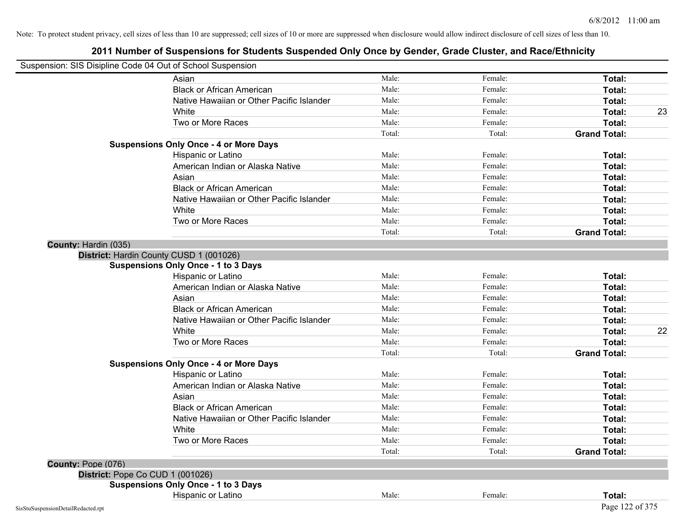|                      | Suspension: SIS Disipline Code 04 Out of School Suspension |        |         |                     |    |
|----------------------|------------------------------------------------------------|--------|---------|---------------------|----|
|                      | Asian                                                      | Male:  | Female: | Total:              |    |
|                      | <b>Black or African American</b>                           | Male:  | Female: | Total:              |    |
|                      | Native Hawaiian or Other Pacific Islander                  | Male:  | Female: | Total:              |    |
|                      | White                                                      | Male:  | Female: | Total:              | 23 |
|                      | Two or More Races                                          | Male:  | Female: | Total:              |    |
|                      |                                                            | Total: | Total:  | <b>Grand Total:</b> |    |
|                      | <b>Suspensions Only Once - 4 or More Days</b>              |        |         |                     |    |
|                      | Hispanic or Latino                                         | Male:  | Female: | Total:              |    |
|                      | American Indian or Alaska Native                           | Male:  | Female: | Total:              |    |
|                      | Asian                                                      | Male:  | Female: | Total:              |    |
|                      | <b>Black or African American</b>                           | Male:  | Female: | Total:              |    |
|                      | Native Hawaiian or Other Pacific Islander                  | Male:  | Female: | Total:              |    |
|                      | White                                                      | Male:  | Female: | Total:              |    |
|                      | Two or More Races                                          | Male:  | Female: | Total:              |    |
|                      |                                                            | Total: | Total:  | <b>Grand Total:</b> |    |
| County: Hardin (035) |                                                            |        |         |                     |    |
|                      | District: Hardin County CUSD 1 (001026)                    |        |         |                     |    |
|                      | <b>Suspensions Only Once - 1 to 3 Days</b>                 |        |         |                     |    |
|                      | Hispanic or Latino                                         | Male:  | Female: | Total:              |    |
|                      | American Indian or Alaska Native                           | Male:  | Female: | Total:              |    |
|                      | Asian                                                      | Male:  | Female: | Total:              |    |
|                      | <b>Black or African American</b>                           | Male:  | Female: | Total:              |    |
|                      | Native Hawaiian or Other Pacific Islander                  | Male:  | Female: | Total:              |    |
|                      | White                                                      | Male:  | Female: | Total:              | 22 |
|                      | Two or More Races                                          | Male:  | Female: | Total:              |    |
|                      |                                                            | Total: | Total:  | <b>Grand Total:</b> |    |
|                      | <b>Suspensions Only Once - 4 or More Days</b>              |        |         |                     |    |
|                      | Hispanic or Latino                                         | Male:  | Female: | Total:              |    |
|                      | American Indian or Alaska Native                           | Male:  | Female: | Total:              |    |
|                      | Asian                                                      | Male:  | Female: | Total:              |    |
|                      | <b>Black or African American</b>                           | Male:  | Female: | Total:              |    |
|                      | Native Hawaiian or Other Pacific Islander                  | Male:  | Female: | Total:              |    |
|                      | White                                                      | Male:  | Female: | Total:              |    |
|                      | Two or More Races                                          | Male:  | Female: | Total:              |    |
|                      |                                                            | Total: | Total:  | <b>Grand Total:</b> |    |
| County: Pope (076)   |                                                            |        |         |                     |    |
|                      | District: Pope Co CUD 1 (001026)                           |        |         |                     |    |
|                      | <b>Suspensions Only Once - 1 to 3 Days</b>                 |        |         |                     |    |
|                      | Hispanic or Latino                                         | Male:  | Female: | Total:              |    |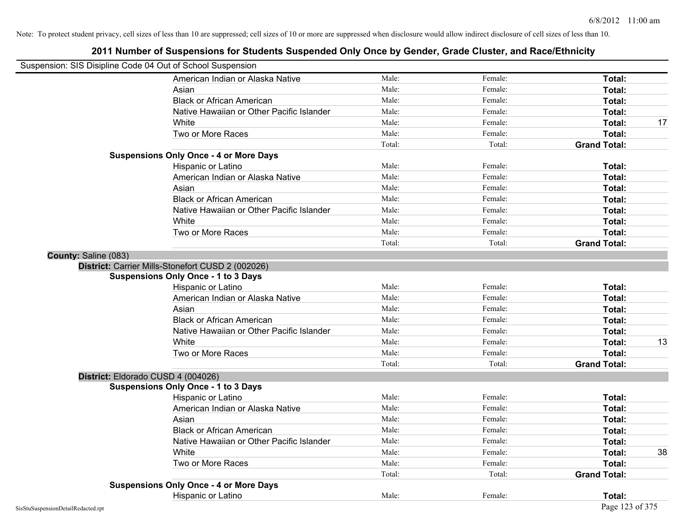| Suspension: SIS Disipline Code 04 Out of School Suspension |                                                   |        |         |                     |    |
|------------------------------------------------------------|---------------------------------------------------|--------|---------|---------------------|----|
|                                                            | American Indian or Alaska Native                  | Male:  | Female: | Total:              |    |
|                                                            | Asian                                             | Male:  | Female: | Total:              |    |
|                                                            | <b>Black or African American</b>                  | Male:  | Female: | Total:              |    |
|                                                            | Native Hawaiian or Other Pacific Islander         | Male:  | Female: | Total:              |    |
|                                                            | White                                             | Male:  | Female: | Total:              | 17 |
|                                                            | Two or More Races                                 | Male:  | Female: | Total:              |    |
|                                                            |                                                   | Total: | Total:  | <b>Grand Total:</b> |    |
|                                                            | <b>Suspensions Only Once - 4 or More Days</b>     |        |         |                     |    |
|                                                            | Hispanic or Latino                                | Male:  | Female: | Total:              |    |
|                                                            | American Indian or Alaska Native                  | Male:  | Female: | Total:              |    |
|                                                            | Asian                                             | Male:  | Female: | Total:              |    |
|                                                            | <b>Black or African American</b>                  | Male:  | Female: | Total:              |    |
|                                                            | Native Hawaiian or Other Pacific Islander         | Male:  | Female: | Total:              |    |
|                                                            | White                                             | Male:  | Female: | Total:              |    |
|                                                            | Two or More Races                                 | Male:  | Female: | Total:              |    |
|                                                            |                                                   | Total: | Total:  | <b>Grand Total:</b> |    |
| County: Saline (083)                                       |                                                   |        |         |                     |    |
|                                                            | District: Carrier Mills-Stonefort CUSD 2 (002026) |        |         |                     |    |
|                                                            | <b>Suspensions Only Once - 1 to 3 Days</b>        |        |         |                     |    |
|                                                            | Hispanic or Latino                                | Male:  | Female: | Total:              |    |
|                                                            | American Indian or Alaska Native                  | Male:  | Female: | Total:              |    |
|                                                            | Asian                                             | Male:  | Female: | Total:              |    |
|                                                            | <b>Black or African American</b>                  | Male:  | Female: | Total:              |    |
|                                                            | Native Hawaiian or Other Pacific Islander         | Male:  | Female: | Total:              |    |
|                                                            | White                                             | Male:  | Female: | Total:              | 13 |
|                                                            | Two or More Races                                 | Male:  | Female: | Total:              |    |
|                                                            |                                                   | Total: | Total:  | <b>Grand Total:</b> |    |
|                                                            | District: Eldorado CUSD 4 (004026)                |        |         |                     |    |
|                                                            | <b>Suspensions Only Once - 1 to 3 Days</b>        |        |         |                     |    |
|                                                            | Hispanic or Latino                                | Male:  | Female: | Total:              |    |
|                                                            | American Indian or Alaska Native                  | Male:  | Female: | Total:              |    |
|                                                            | Asian                                             | Male:  | Female: | Total:              |    |
|                                                            | <b>Black or African American</b>                  | Male:  | Female: | Total:              |    |
|                                                            | Native Hawaiian or Other Pacific Islander         | Male:  | Female: | Total:              |    |
|                                                            | White                                             | Male:  | Female: | Total:              | 38 |
|                                                            | Two or More Races                                 | Male:  | Female: | Total:              |    |
|                                                            |                                                   | Total: | Total:  | <b>Grand Total:</b> |    |
|                                                            | <b>Suspensions Only Once - 4 or More Days</b>     |        |         |                     |    |
|                                                            | Hispanic or Latino                                | Male:  | Female: | Total:              |    |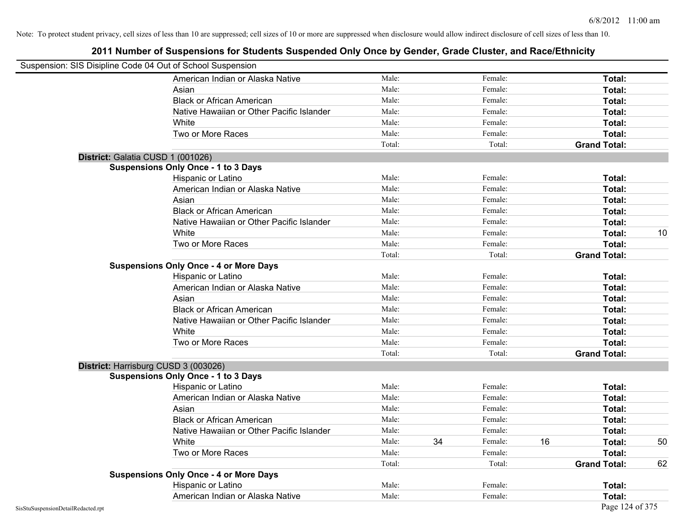| Suspension: SIS Disipline Code 04 Out of School Suspension |                                               |        |    |         |    |                     |    |
|------------------------------------------------------------|-----------------------------------------------|--------|----|---------|----|---------------------|----|
|                                                            | American Indian or Alaska Native              | Male:  |    | Female: |    | <b>Total:</b>       |    |
|                                                            | Asian                                         | Male:  |    | Female: |    | Total:              |    |
|                                                            | <b>Black or African American</b>              | Male:  |    | Female: |    | Total:              |    |
|                                                            | Native Hawaiian or Other Pacific Islander     | Male:  |    | Female: |    | Total:              |    |
|                                                            | White                                         | Male:  |    | Female: |    | Total:              |    |
|                                                            | Two or More Races                             | Male:  |    | Female: |    | Total:              |    |
|                                                            |                                               | Total: |    | Total:  |    | <b>Grand Total:</b> |    |
|                                                            | District: Galatia CUSD 1 (001026)             |        |    |         |    |                     |    |
|                                                            | <b>Suspensions Only Once - 1 to 3 Days</b>    |        |    |         |    |                     |    |
|                                                            | Hispanic or Latino                            | Male:  |    | Female: |    | Total:              |    |
|                                                            | American Indian or Alaska Native              | Male:  |    | Female: |    | Total:              |    |
|                                                            | Asian                                         | Male:  |    | Female: |    | Total:              |    |
|                                                            | <b>Black or African American</b>              | Male:  |    | Female: |    | Total:              |    |
|                                                            | Native Hawaiian or Other Pacific Islander     | Male:  |    | Female: |    | Total:              |    |
|                                                            | White                                         | Male:  |    | Female: |    | Total:              | 10 |
|                                                            | Two or More Races                             | Male:  |    | Female: |    | Total:              |    |
|                                                            |                                               | Total: |    | Total:  |    | <b>Grand Total:</b> |    |
|                                                            | <b>Suspensions Only Once - 4 or More Days</b> |        |    |         |    |                     |    |
|                                                            | Hispanic or Latino                            | Male:  |    | Female: |    | Total:              |    |
|                                                            | American Indian or Alaska Native              | Male:  |    | Female: |    | Total:              |    |
|                                                            | Asian                                         | Male:  |    | Female: |    | Total:              |    |
|                                                            | <b>Black or African American</b>              | Male:  |    | Female: |    | Total:              |    |
|                                                            | Native Hawaiian or Other Pacific Islander     | Male:  |    | Female: |    | Total:              |    |
|                                                            | White                                         | Male:  |    | Female: |    | Total:              |    |
|                                                            | Two or More Races                             | Male:  |    | Female: |    | Total:              |    |
|                                                            |                                               | Total: |    | Total:  |    | <b>Grand Total:</b> |    |
|                                                            | District: Harrisburg CUSD 3 (003026)          |        |    |         |    |                     |    |
|                                                            | <b>Suspensions Only Once - 1 to 3 Days</b>    |        |    |         |    |                     |    |
|                                                            | Hispanic or Latino                            | Male:  |    | Female: |    | Total:              |    |
|                                                            | American Indian or Alaska Native              | Male:  |    | Female: |    | Total:              |    |
|                                                            | Asian                                         | Male:  |    | Female: |    | Total:              |    |
|                                                            | <b>Black or African American</b>              | Male:  |    | Female: |    | Total:              |    |
|                                                            | Native Hawaiian or Other Pacific Islander     | Male:  |    | Female: |    | Total:              |    |
|                                                            | White                                         | Male:  | 34 | Female: | 16 | Total:              | 50 |
|                                                            | Two or More Races                             | Male:  |    | Female: |    | <b>Total:</b>       |    |
|                                                            |                                               | Total: |    | Total:  |    | <b>Grand Total:</b> | 62 |
|                                                            | <b>Suspensions Only Once - 4 or More Days</b> |        |    |         |    |                     |    |
|                                                            | Hispanic or Latino                            | Male:  |    | Female: |    | Total:              |    |
|                                                            | American Indian or Alaska Native              | Male:  |    | Female: |    | Total:              |    |
| SisStuSuspensionDetailRedacted.rpt                         |                                               |        |    |         |    | Page 124 of 375     |    |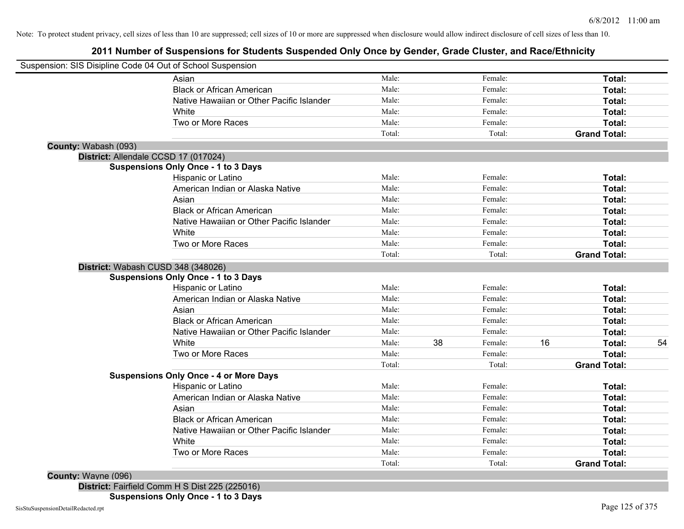## **2011 Number of Suspensions for Students Suspended Only Once by Gender, Grade Cluster, and Race/Ethnicity**

|                      | Suspension: SIS Disipline Code 04 Out of School Suspension |        |    |         |    |                     |    |
|----------------------|------------------------------------------------------------|--------|----|---------|----|---------------------|----|
|                      | Asian                                                      | Male:  |    | Female: |    | Total:              |    |
|                      | <b>Black or African American</b>                           | Male:  |    | Female: |    | Total:              |    |
|                      | Native Hawaiian or Other Pacific Islander                  | Male:  |    | Female: |    | Total:              |    |
|                      | White                                                      | Male:  |    | Female: |    | Total:              |    |
|                      | Two or More Races                                          | Male:  |    | Female: |    | Total:              |    |
|                      |                                                            | Total: |    | Total:  |    | <b>Grand Total:</b> |    |
| County: Wabash (093) |                                                            |        |    |         |    |                     |    |
|                      | District: Allendale CCSD 17 (017024)                       |        |    |         |    |                     |    |
|                      | <b>Suspensions Only Once - 1 to 3 Days</b>                 |        |    |         |    |                     |    |
|                      | Hispanic or Latino                                         | Male:  |    | Female: |    | Total:              |    |
|                      | American Indian or Alaska Native                           | Male:  |    | Female: |    | Total:              |    |
|                      | Asian                                                      | Male:  |    | Female: |    | Total:              |    |
|                      | <b>Black or African American</b>                           | Male:  |    | Female: |    | Total:              |    |
|                      | Native Hawaiian or Other Pacific Islander                  | Male:  |    | Female: |    | Total:              |    |
|                      | White                                                      | Male:  |    | Female: |    | Total:              |    |
|                      | Two or More Races                                          | Male:  |    | Female: |    | Total:              |    |
|                      |                                                            | Total: |    | Total:  |    | <b>Grand Total:</b> |    |
|                      | District: Wabash CUSD 348 (348026)                         |        |    |         |    |                     |    |
|                      | <b>Suspensions Only Once - 1 to 3 Days</b>                 |        |    |         |    |                     |    |
|                      | <b>Hispanic or Latino</b>                                  | Male:  |    | Female: |    | Total:              |    |
|                      | American Indian or Alaska Native                           | Male:  |    | Female: |    | Total:              |    |
|                      | Asian                                                      | Male:  |    | Female: |    | Total:              |    |
|                      | <b>Black or African American</b>                           | Male:  |    | Female: |    | Total:              |    |
|                      | Native Hawaiian or Other Pacific Islander                  | Male:  |    | Female: |    | Total:              |    |
|                      | White                                                      | Male:  | 38 | Female: | 16 | Total:              | 54 |
|                      | Two or More Races                                          | Male:  |    | Female: |    | Total:              |    |
|                      |                                                            | Total: |    | Total:  |    | <b>Grand Total:</b> |    |
|                      | <b>Suspensions Only Once - 4 or More Days</b>              |        |    |         |    |                     |    |
|                      | Hispanic or Latino                                         | Male:  |    | Female: |    | Total:              |    |
|                      | American Indian or Alaska Native                           | Male:  |    | Female: |    | Total:              |    |
|                      | Asian                                                      | Male:  |    | Female: |    | Total:              |    |
|                      | <b>Black or African American</b>                           | Male:  |    | Female: |    | Total:              |    |
|                      | Native Hawaiian or Other Pacific Islander                  | Male:  |    | Female: |    | Total:              |    |
|                      | White                                                      | Male:  |    | Female: |    | Total:              |    |
|                      | Two or More Races                                          | Male:  |    | Female: |    | Total:              |    |
|                      |                                                            | Total: |    | Total:  |    | <b>Grand Total:</b> |    |
| County: Wayne (096)  |                                                            |        |    |         |    |                     |    |

**District:** Fairfield Comm H S Dist 225 (225016) **Suspensions Only Once - 1 to 3 Days**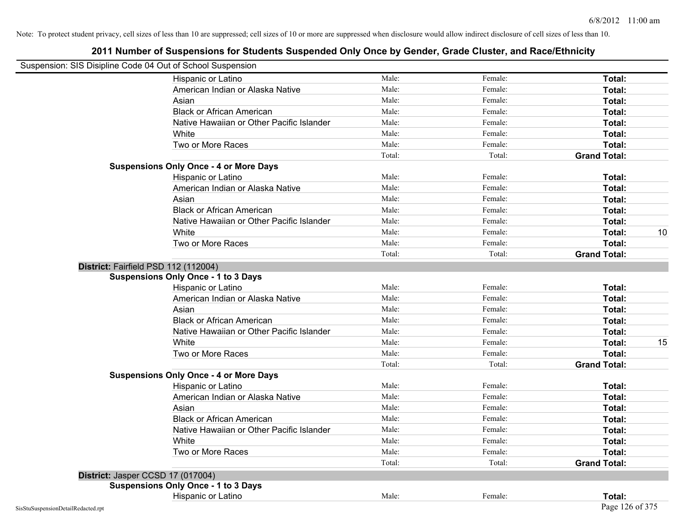| Suspension: SIS Disipline Code 04 Out of School Suspension |                                               |        |         |                     |    |
|------------------------------------------------------------|-----------------------------------------------|--------|---------|---------------------|----|
|                                                            | Hispanic or Latino                            | Male:  | Female: | Total:              |    |
|                                                            | American Indian or Alaska Native              | Male:  | Female: | Total:              |    |
|                                                            | Asian                                         | Male:  | Female: | Total:              |    |
|                                                            | <b>Black or African American</b>              | Male:  | Female: | Total:              |    |
|                                                            | Native Hawaiian or Other Pacific Islander     | Male:  | Female: | Total:              |    |
|                                                            | White                                         | Male:  | Female: | Total:              |    |
|                                                            | Two or More Races                             | Male:  | Female: | Total:              |    |
|                                                            |                                               | Total: | Total:  | <b>Grand Total:</b> |    |
|                                                            | <b>Suspensions Only Once - 4 or More Days</b> |        |         |                     |    |
|                                                            | Hispanic or Latino                            | Male:  | Female: | Total:              |    |
|                                                            | American Indian or Alaska Native              | Male:  | Female: | Total:              |    |
|                                                            | Asian                                         | Male:  | Female: | Total:              |    |
|                                                            | <b>Black or African American</b>              | Male:  | Female: | Total:              |    |
|                                                            | Native Hawaiian or Other Pacific Islander     | Male:  | Female: | Total:              |    |
|                                                            | White                                         | Male:  | Female: | Total:              | 10 |
|                                                            | Two or More Races                             | Male:  | Female: | Total:              |    |
|                                                            |                                               | Total: | Total:  | <b>Grand Total:</b> |    |
|                                                            | District: Fairfield PSD 112 (112004)          |        |         |                     |    |
|                                                            | <b>Suspensions Only Once - 1 to 3 Days</b>    |        |         |                     |    |
|                                                            | Hispanic or Latino                            | Male:  | Female: | Total:              |    |
|                                                            | American Indian or Alaska Native              | Male:  | Female: | Total:              |    |
|                                                            | Asian                                         | Male:  | Female: | Total:              |    |
|                                                            | <b>Black or African American</b>              | Male:  | Female: | Total:              |    |
|                                                            | Native Hawaiian or Other Pacific Islander     | Male:  | Female: | Total:              |    |
|                                                            | White                                         | Male:  | Female: | Total:              | 15 |
|                                                            | Two or More Races                             | Male:  | Female: | Total:              |    |
|                                                            |                                               | Total: | Total:  | <b>Grand Total:</b> |    |
|                                                            | <b>Suspensions Only Once - 4 or More Days</b> |        |         |                     |    |
|                                                            | Hispanic or Latino                            | Male:  | Female: | Total:              |    |
|                                                            | American Indian or Alaska Native              | Male:  | Female: | Total:              |    |
|                                                            | Asian                                         | Male:  | Female: | Total:              |    |
|                                                            | <b>Black or African American</b>              | Male:  | Female: | Total:              |    |
|                                                            | Native Hawaiian or Other Pacific Islander     | Male:  | Female: | Total:              |    |
|                                                            | White                                         | Male:  | Female: | Total:              |    |
|                                                            | Two or More Races                             | Male:  | Female: | Total:              |    |
|                                                            |                                               | Total: | Total:  | <b>Grand Total:</b> |    |
|                                                            | District: Jasper CCSD 17 (017004)             |        |         |                     |    |
|                                                            | <b>Suspensions Only Once - 1 to 3 Days</b>    |        |         |                     |    |
|                                                            | Hispanic or Latino                            | Male:  | Female: | Total:              |    |
| SisStuSuspensionDetailRedacted.rpt                         |                                               |        |         | Page 126 of 375     |    |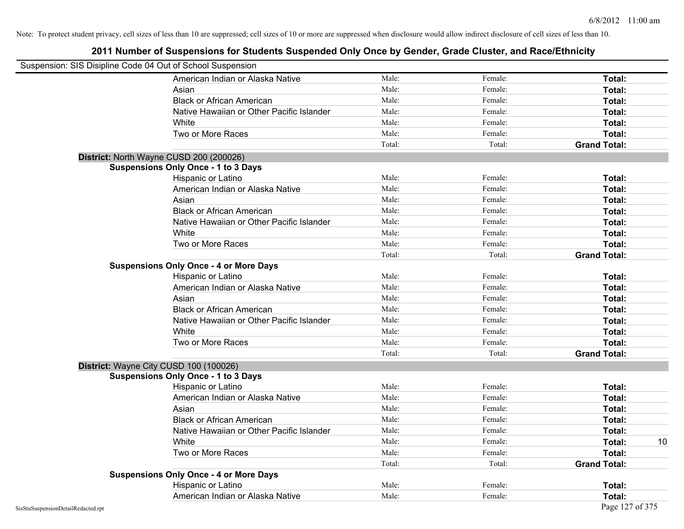| Suspension: SIS Disipline Code 04 Out of School Suspension |        |         |                     |  |
|------------------------------------------------------------|--------|---------|---------------------|--|
| American Indian or Alaska Native                           | Male:  | Female: | Total:              |  |
| Asian                                                      | Male:  | Female: | Total:              |  |
| <b>Black or African American</b>                           | Male:  | Female: | Total:              |  |
| Native Hawaiian or Other Pacific Islander                  | Male:  | Female: | Total:              |  |
| White                                                      | Male:  | Female: | Total:              |  |
| Two or More Races                                          | Male:  | Female: | Total:              |  |
|                                                            | Total: | Total:  | <b>Grand Total:</b> |  |
| District: North Wayne CUSD 200 (200026)                    |        |         |                     |  |
| <b>Suspensions Only Once - 1 to 3 Days</b>                 |        |         |                     |  |
| Hispanic or Latino                                         | Male:  | Female: | Total:              |  |
| American Indian or Alaska Native                           | Male:  | Female: | Total:              |  |
| Asian                                                      | Male:  | Female: | Total:              |  |
| <b>Black or African American</b>                           | Male:  | Female: | Total:              |  |
| Native Hawaiian or Other Pacific Islander                  | Male:  | Female: | Total:              |  |
| White                                                      | Male:  | Female: | Total:              |  |
| Two or More Races                                          | Male:  | Female: | Total:              |  |
|                                                            | Total: | Total:  | <b>Grand Total:</b> |  |
| <b>Suspensions Only Once - 4 or More Days</b>              |        |         |                     |  |
| Hispanic or Latino                                         | Male:  | Female: | Total:              |  |
| American Indian or Alaska Native                           | Male:  | Female: | Total:              |  |
| Asian                                                      | Male:  | Female: | Total:              |  |
| <b>Black or African American</b>                           | Male:  | Female: | Total:              |  |
| Native Hawaiian or Other Pacific Islander                  | Male:  | Female: | Total:              |  |
| White                                                      | Male:  | Female: | Total:              |  |
| Two or More Races                                          | Male:  | Female: | Total:              |  |
|                                                            | Total: | Total:  | <b>Grand Total:</b> |  |
| District: Wayne City CUSD 100 (100026)                     |        |         |                     |  |
| <b>Suspensions Only Once - 1 to 3 Days</b>                 |        |         |                     |  |
| Hispanic or Latino                                         | Male:  | Female: | <b>Total:</b>       |  |
| American Indian or Alaska Native                           | Male:  | Female: | Total:              |  |
| Asian                                                      | Male:  | Female: | Total:              |  |
| <b>Black or African American</b>                           | Male:  | Female: | Total:              |  |
| Native Hawaiian or Other Pacific Islander                  | Male:  | Female: | Total:              |  |
| White                                                      | Male:  | Female: | Total:<br>10        |  |
| Two or More Races                                          | Male:  | Female: | Total:              |  |
|                                                            | Total: | Total:  | <b>Grand Total:</b> |  |
| <b>Suspensions Only Once - 4 or More Days</b>              |        |         |                     |  |
| Hispanic or Latino                                         | Male:  | Female: | Total:              |  |
| American Indian or Alaska Native                           | Male:  | Female: | Total:              |  |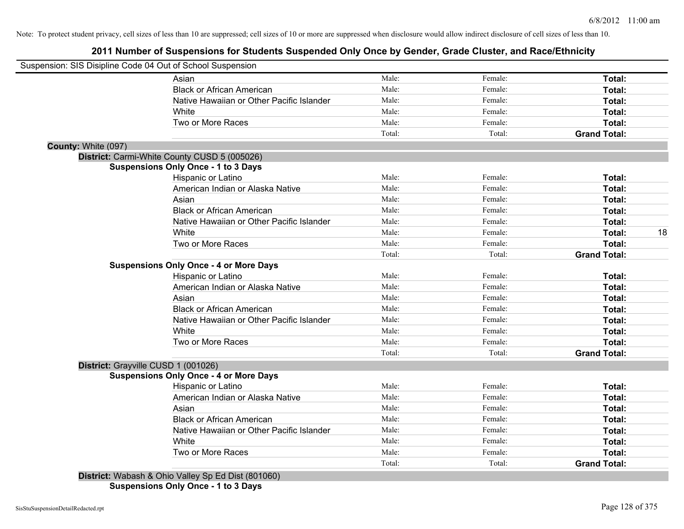## **2011 Number of Suspensions for Students Suspended Only Once by Gender, Grade Cluster, and Race/Ethnicity**

|                     | Suspension: SIS Disipline Code 04 Out of School Suspension |        |         |                     |    |
|---------------------|------------------------------------------------------------|--------|---------|---------------------|----|
|                     | Asian                                                      | Male:  | Female: | Total:              |    |
|                     | <b>Black or African American</b>                           | Male:  | Female: | Total:              |    |
|                     | Native Hawaiian or Other Pacific Islander                  | Male:  | Female: | Total:              |    |
|                     | White                                                      | Male:  | Female: | Total:              |    |
|                     | Two or More Races                                          | Male:  | Female: | Total:              |    |
|                     |                                                            | Total: | Total:  | <b>Grand Total:</b> |    |
| County: White (097) |                                                            |        |         |                     |    |
|                     | District: Carmi-White County CUSD 5 (005026)               |        |         |                     |    |
|                     | <b>Suspensions Only Once - 1 to 3 Days</b>                 |        |         |                     |    |
|                     | Hispanic or Latino                                         | Male:  | Female: | Total:              |    |
|                     | American Indian or Alaska Native                           | Male:  | Female: | Total:              |    |
|                     | Asian                                                      | Male:  | Female: | Total:              |    |
|                     | <b>Black or African American</b>                           | Male:  | Female: | Total:              |    |
|                     | Native Hawaiian or Other Pacific Islander                  | Male:  | Female: | Total:              |    |
|                     | White                                                      | Male:  | Female: | Total:              | 18 |
|                     | Two or More Races                                          | Male:  | Female: | Total:              |    |
|                     |                                                            | Total: | Total:  | <b>Grand Total:</b> |    |
|                     | <b>Suspensions Only Once - 4 or More Days</b>              |        |         |                     |    |
|                     | Hispanic or Latino                                         | Male:  | Female: | Total:              |    |
|                     | American Indian or Alaska Native                           | Male:  | Female: | Total:              |    |
|                     | Asian                                                      | Male:  | Female: | Total:              |    |
|                     | <b>Black or African American</b>                           | Male:  | Female: | Total:              |    |
|                     | Native Hawaiian or Other Pacific Islander                  | Male:  | Female: | Total:              |    |
|                     | White                                                      | Male:  | Female: | Total:              |    |
|                     | Two or More Races                                          | Male:  | Female: | Total:              |    |
|                     |                                                            | Total: | Total:  | <b>Grand Total:</b> |    |
|                     | District: Grayville CUSD 1 (001026)                        |        |         |                     |    |
|                     | <b>Suspensions Only Once - 4 or More Days</b>              |        |         |                     |    |
|                     | <b>Hispanic or Latino</b>                                  | Male:  | Female: | Total:              |    |
|                     | American Indian or Alaska Native                           | Male:  | Female: | Total:              |    |
|                     | Asian                                                      | Male:  | Female: | Total:              |    |
|                     | <b>Black or African American</b>                           | Male:  | Female: | Total:              |    |
|                     | Native Hawaiian or Other Pacific Islander                  | Male:  | Female: | Total:              |    |
|                     | White                                                      | Male:  | Female: | Total:              |    |
|                     | Two or More Races                                          | Male:  | Female: | Total:              |    |
|                     |                                                            | Total: | Total:  | <b>Grand Total:</b> |    |
|                     | District: Wabash & Ohio Valley Sp Ed Dist (801060)         |        |         |                     |    |
|                     |                                                            |        |         |                     |    |

**Suspensions Only Once - 1 to 3 Days**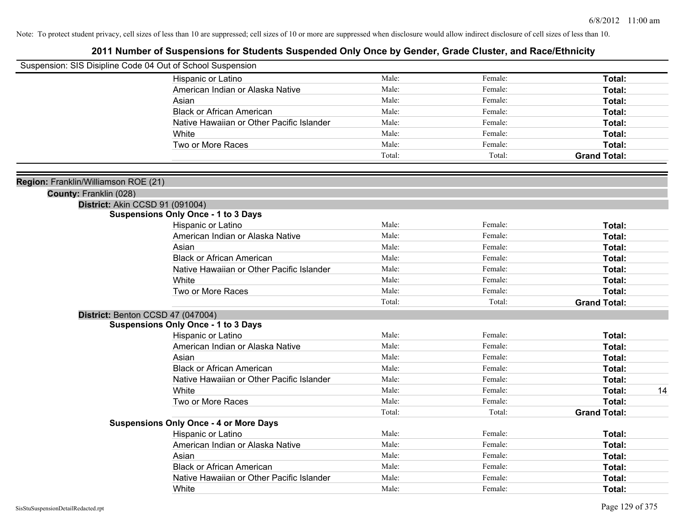| Suspension: SIS Disipline Code 04 Out of School Suspension |                                               |        |         |                     |
|------------------------------------------------------------|-----------------------------------------------|--------|---------|---------------------|
|                                                            | Hispanic or Latino                            | Male:  | Female: | Total:              |
|                                                            | American Indian or Alaska Native              | Male:  | Female: | Total:              |
|                                                            | Asian                                         | Male:  | Female: | Total:              |
|                                                            | <b>Black or African American</b>              | Male:  | Female: | Total:              |
|                                                            | Native Hawaiian or Other Pacific Islander     | Male:  | Female: | Total:              |
|                                                            | White                                         | Male:  | Female: | Total:              |
|                                                            | Two or More Races                             | Male:  | Female: | Total:              |
|                                                            |                                               | Total: | Total:  | <b>Grand Total:</b> |
| Region: Franklin/Williamson ROE (21)                       |                                               |        |         |                     |
| County: Franklin (028)                                     |                                               |        |         |                     |
|                                                            | District: Akin CCSD 91 (091004)               |        |         |                     |
|                                                            | <b>Suspensions Only Once - 1 to 3 Days</b>    |        |         |                     |
|                                                            | Hispanic or Latino                            | Male:  | Female: | Total:              |
|                                                            | American Indian or Alaska Native              | Male:  | Female: | Total:              |
|                                                            | Asian                                         | Male:  | Female: | Total:              |
|                                                            | <b>Black or African American</b>              | Male:  | Female: | Total:              |
|                                                            | Native Hawaiian or Other Pacific Islander     | Male:  | Female: | Total:              |
|                                                            | White                                         | Male:  | Female: | Total:              |
|                                                            | Two or More Races                             | Male:  | Female: | Total:              |
|                                                            |                                               | Total: | Total:  | <b>Grand Total:</b> |
|                                                            | District: Benton CCSD 47 (047004)             |        |         |                     |
|                                                            | <b>Suspensions Only Once - 1 to 3 Days</b>    |        |         |                     |
|                                                            | Hispanic or Latino                            | Male:  | Female: | Total:              |
|                                                            | American Indian or Alaska Native              | Male:  | Female: | Total:              |
|                                                            | Asian                                         | Male:  | Female: | Total:              |
|                                                            | <b>Black or African American</b>              | Male:  | Female: | Total:              |
|                                                            | Native Hawaiian or Other Pacific Islander     | Male:  | Female: | Total:              |
|                                                            | White                                         | Male:  | Female: | 14<br>Total:        |
|                                                            | Two or More Races                             | Male:  | Female: | Total:              |
|                                                            |                                               | Total: | Total:  | <b>Grand Total:</b> |
|                                                            | <b>Suspensions Only Once - 4 or More Days</b> |        |         |                     |
|                                                            | Hispanic or Latino                            | Male:  | Female: | Total:              |
|                                                            | American Indian or Alaska Native              | Male:  | Female: | Total:              |
|                                                            | Asian                                         | Male:  | Female: | Total:              |
|                                                            | <b>Black or African American</b>              | Male:  | Female: | Total:              |
|                                                            | Native Hawaiian or Other Pacific Islander     | Male:  | Female: | <b>Total:</b>       |
|                                                            | White                                         | Male:  | Female: | Total:              |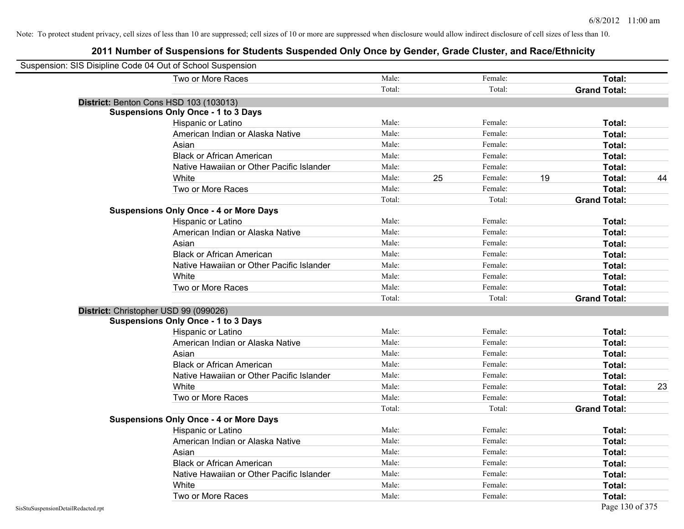| Suspension: SIS Disipline Code 04 Out of School Suspension |        |    |         |    |                     |    |
|------------------------------------------------------------|--------|----|---------|----|---------------------|----|
| Two or More Races                                          | Male:  |    | Female: |    | Total:              |    |
|                                                            | Total: |    | Total:  |    | <b>Grand Total:</b> |    |
| District: Benton Cons HSD 103 (103013)                     |        |    |         |    |                     |    |
| <b>Suspensions Only Once - 1 to 3 Days</b>                 |        |    |         |    |                     |    |
| Hispanic or Latino                                         | Male:  |    | Female: |    | Total:              |    |
| American Indian or Alaska Native                           | Male:  |    | Female: |    | Total:              |    |
| Asian                                                      | Male:  |    | Female: |    | Total:              |    |
| <b>Black or African American</b>                           | Male:  |    | Female: |    | Total:              |    |
| Native Hawaiian or Other Pacific Islander                  | Male:  |    | Female: |    | Total:              |    |
| White                                                      | Male:  | 25 | Female: | 19 | Total:              | 44 |
| Two or More Races                                          | Male:  |    | Female: |    | Total:              |    |
|                                                            | Total: |    | Total:  |    | <b>Grand Total:</b> |    |
| <b>Suspensions Only Once - 4 or More Days</b>              |        |    |         |    |                     |    |
| Hispanic or Latino                                         | Male:  |    | Female: |    | Total:              |    |
| American Indian or Alaska Native                           | Male:  |    | Female: |    | Total:              |    |
| Asian                                                      | Male:  |    | Female: |    | Total:              |    |
| <b>Black or African American</b>                           | Male:  |    | Female: |    | Total:              |    |
| Native Hawaiian or Other Pacific Islander                  | Male:  |    | Female: |    | Total:              |    |
| White                                                      | Male:  |    | Female: |    | Total:              |    |
| Two or More Races                                          | Male:  |    | Female: |    | Total:              |    |
|                                                            | Total: |    | Total:  |    | <b>Grand Total:</b> |    |
| District: Christopher USD 99 (099026)                      |        |    |         |    |                     |    |
| <b>Suspensions Only Once - 1 to 3 Days</b>                 |        |    |         |    |                     |    |
| Hispanic or Latino                                         | Male:  |    | Female: |    | Total:              |    |
| American Indian or Alaska Native                           | Male:  |    | Female: |    | Total:              |    |
| Asian                                                      | Male:  |    | Female: |    | Total:              |    |
| <b>Black or African American</b>                           | Male:  |    | Female: |    | Total:              |    |
| Native Hawaiian or Other Pacific Islander                  | Male:  |    | Female: |    | Total:              |    |
| White                                                      | Male:  |    | Female: |    | Total:              | 23 |
| Two or More Races                                          | Male:  |    | Female: |    | Total:              |    |
|                                                            | Total: |    | Total:  |    | <b>Grand Total:</b> |    |
| <b>Suspensions Only Once - 4 or More Days</b>              |        |    |         |    |                     |    |
| Hispanic or Latino                                         | Male:  |    | Female: |    | Total:              |    |
| American Indian or Alaska Native                           | Male:  |    | Female: |    | Total:              |    |
| Asian                                                      | Male:  |    | Female: |    | Total:              |    |
| <b>Black or African American</b>                           | Male:  |    | Female: |    | Total:              |    |
| Native Hawaiian or Other Pacific Islander                  | Male:  |    | Female: |    | Total:              |    |
| White                                                      | Male:  |    | Female: |    | Total:              |    |
| Two or More Races                                          | Male:  |    | Female: |    | Total:              |    |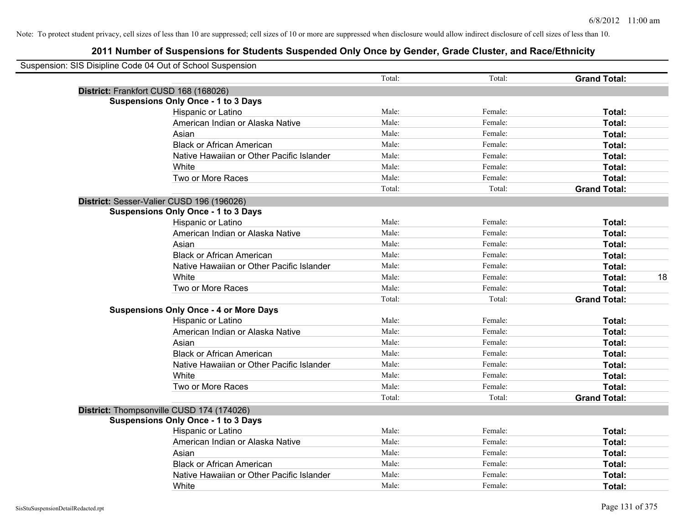| Suspension: SIS Disipline Code 04 Out of School Suspension |                                               |        |         |                     |    |
|------------------------------------------------------------|-----------------------------------------------|--------|---------|---------------------|----|
|                                                            |                                               | Total: | Total:  | <b>Grand Total:</b> |    |
|                                                            | District: Frankfort CUSD 168 (168026)         |        |         |                     |    |
|                                                            | <b>Suspensions Only Once - 1 to 3 Days</b>    |        |         |                     |    |
|                                                            | Hispanic or Latino                            | Male:  | Female: | Total:              |    |
|                                                            | American Indian or Alaska Native              | Male:  | Female: | Total:              |    |
|                                                            | Asian                                         | Male:  | Female: | Total:              |    |
|                                                            | <b>Black or African American</b>              | Male:  | Female: | Total:              |    |
|                                                            | Native Hawaiian or Other Pacific Islander     | Male:  | Female: | Total:              |    |
|                                                            | White                                         | Male:  | Female: | Total:              |    |
|                                                            | Two or More Races                             | Male:  | Female: | Total:              |    |
|                                                            |                                               | Total: | Total:  | <b>Grand Total:</b> |    |
|                                                            | District: Sesser-Valier CUSD 196 (196026)     |        |         |                     |    |
|                                                            | <b>Suspensions Only Once - 1 to 3 Days</b>    |        |         |                     |    |
|                                                            | Hispanic or Latino                            | Male:  | Female: | Total:              |    |
|                                                            | American Indian or Alaska Native              | Male:  | Female: | Total:              |    |
|                                                            | Asian                                         | Male:  | Female: | Total:              |    |
|                                                            | <b>Black or African American</b>              | Male:  | Female: | Total:              |    |
|                                                            | Native Hawaiian or Other Pacific Islander     | Male:  | Female: | Total:              |    |
|                                                            | White                                         | Male:  | Female: | Total:              | 18 |
|                                                            | Two or More Races                             | Male:  | Female: | Total:              |    |
|                                                            |                                               | Total: | Total:  | <b>Grand Total:</b> |    |
|                                                            | <b>Suspensions Only Once - 4 or More Days</b> |        |         |                     |    |
|                                                            | Hispanic or Latino                            | Male:  | Female: | Total:              |    |
|                                                            | American Indian or Alaska Native              | Male:  | Female: | Total:              |    |
|                                                            | Asian                                         | Male:  | Female: | Total:              |    |
|                                                            | <b>Black or African American</b>              | Male:  | Female: | Total:              |    |
|                                                            | Native Hawaiian or Other Pacific Islander     | Male:  | Female: | Total:              |    |
|                                                            | White                                         | Male:  | Female: | Total:              |    |
|                                                            | Two or More Races                             | Male:  | Female: | Total:              |    |
|                                                            |                                               | Total: | Total:  | <b>Grand Total:</b> |    |
|                                                            | District: Thompsonville CUSD 174 (174026)     |        |         |                     |    |
|                                                            | <b>Suspensions Only Once - 1 to 3 Days</b>    |        |         |                     |    |
|                                                            | Hispanic or Latino                            | Male:  | Female: | Total:              |    |
|                                                            | American Indian or Alaska Native              | Male:  | Female: | Total:              |    |
|                                                            | Asian                                         | Male:  | Female: | Total:              |    |
|                                                            | <b>Black or African American</b>              | Male:  | Female: | Total:              |    |
|                                                            | Native Hawaiian or Other Pacific Islander     | Male:  | Female: | Total:              |    |
|                                                            | White                                         | Male:  | Female: | Total:              |    |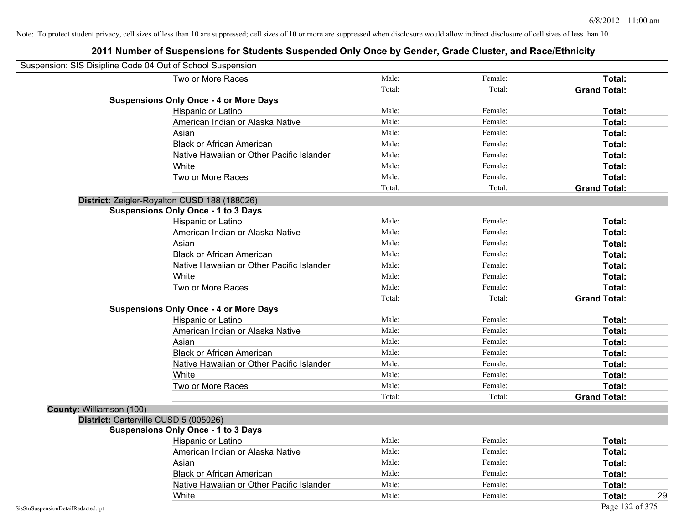| Suspension: SIS Disipline Code 04 Out of School Suspension |                                               |        |         |                     |
|------------------------------------------------------------|-----------------------------------------------|--------|---------|---------------------|
|                                                            | Two or More Races                             | Male:  | Female: | <b>Total:</b>       |
|                                                            |                                               | Total: | Total:  | <b>Grand Total:</b> |
|                                                            | <b>Suspensions Only Once - 4 or More Days</b> |        |         |                     |
|                                                            | Hispanic or Latino                            | Male:  | Female: | Total:              |
|                                                            | American Indian or Alaska Native              | Male:  | Female: | Total:              |
|                                                            | Asian                                         | Male:  | Female: | Total:              |
|                                                            | <b>Black or African American</b>              | Male:  | Female: | Total:              |
|                                                            | Native Hawaiian or Other Pacific Islander     | Male:  | Female: | Total:              |
|                                                            | White                                         | Male:  | Female: | Total:              |
|                                                            | Two or More Races                             | Male:  | Female: | Total:              |
|                                                            |                                               | Total: | Total:  | <b>Grand Total:</b> |
|                                                            | District: Zeigler-Royalton CUSD 188 (188026)  |        |         |                     |
|                                                            | <b>Suspensions Only Once - 1 to 3 Days</b>    |        |         |                     |
|                                                            | Hispanic or Latino                            | Male:  | Female: | Total:              |
|                                                            | American Indian or Alaska Native              | Male:  | Female: | Total:              |
|                                                            | Asian                                         | Male:  | Female: | Total:              |
|                                                            | <b>Black or African American</b>              | Male:  | Female: | Total:              |
|                                                            | Native Hawaiian or Other Pacific Islander     | Male:  | Female: | Total:              |
|                                                            | White                                         | Male:  | Female: | Total:              |
|                                                            | Two or More Races                             | Male:  | Female: | Total:              |
|                                                            |                                               | Total: | Total:  | <b>Grand Total:</b> |
|                                                            | <b>Suspensions Only Once - 4 or More Days</b> |        |         |                     |
|                                                            | Hispanic or Latino                            | Male:  | Female: | Total:              |
|                                                            | American Indian or Alaska Native              | Male:  | Female: | Total:              |
|                                                            | Asian                                         | Male:  | Female: | Total:              |
|                                                            | <b>Black or African American</b>              | Male:  | Female: | Total:              |
|                                                            | Native Hawaiian or Other Pacific Islander     | Male:  | Female: | Total:              |
|                                                            | White                                         | Male:  | Female: | Total:              |
|                                                            | Two or More Races                             | Male:  | Female: | Total:              |
|                                                            |                                               | Total: | Total:  | <b>Grand Total:</b> |
| County: Williamson (100)                                   |                                               |        |         |                     |
|                                                            | District: Carterville CUSD 5 (005026)         |        |         |                     |
|                                                            | <b>Suspensions Only Once - 1 to 3 Days</b>    |        |         |                     |
|                                                            | Hispanic or Latino                            | Male:  | Female: | Total:              |
|                                                            | American Indian or Alaska Native              | Male:  | Female: | Total:              |
|                                                            | Asian                                         | Male:  | Female: | Total:              |
|                                                            | <b>Black or African American</b>              | Male:  | Female: | Total:              |
|                                                            | Native Hawaiian or Other Pacific Islander     | Male:  | Female: | Total:              |
|                                                            | White                                         | Male:  | Female: | Total:<br>29        |
| SisStuSuspensionDetailRedacted.rpt                         |                                               |        |         | Page 132 of 375     |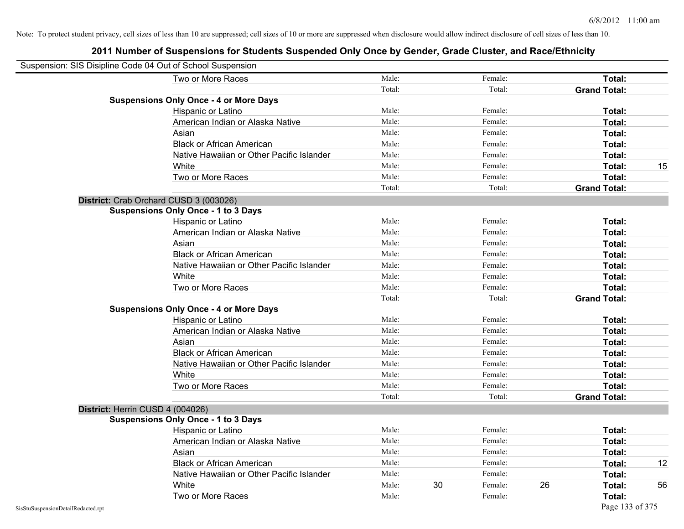| Suspension: SIS Disipline Code 04 Out of School Suspension |                                               |        |    |         |    |                     |    |
|------------------------------------------------------------|-----------------------------------------------|--------|----|---------|----|---------------------|----|
|                                                            | Two or More Races                             | Male:  |    | Female: |    | Total:              |    |
|                                                            |                                               | Total: |    | Total:  |    | <b>Grand Total:</b> |    |
|                                                            | <b>Suspensions Only Once - 4 or More Days</b> |        |    |         |    |                     |    |
|                                                            | Hispanic or Latino                            | Male:  |    | Female: |    | Total:              |    |
|                                                            | American Indian or Alaska Native              | Male:  |    | Female: |    | <b>Total:</b>       |    |
|                                                            | Asian                                         | Male:  |    | Female: |    | <b>Total:</b>       |    |
|                                                            | <b>Black or African American</b>              | Male:  |    | Female: |    | Total:              |    |
|                                                            | Native Hawaiian or Other Pacific Islander     | Male:  |    | Female: |    | Total:              |    |
|                                                            | White                                         | Male:  |    | Female: |    | Total:              | 15 |
|                                                            | Two or More Races                             | Male:  |    | Female: |    | Total:              |    |
|                                                            |                                               | Total: |    | Total:  |    | <b>Grand Total:</b> |    |
|                                                            | District: Crab Orchard CUSD 3 (003026)        |        |    |         |    |                     |    |
|                                                            | <b>Suspensions Only Once - 1 to 3 Days</b>    |        |    |         |    |                     |    |
|                                                            | Hispanic or Latino                            | Male:  |    | Female: |    | <b>Total:</b>       |    |
|                                                            | American Indian or Alaska Native              | Male:  |    | Female: |    | Total:              |    |
|                                                            | Asian                                         | Male:  |    | Female: |    | Total:              |    |
|                                                            | <b>Black or African American</b>              | Male:  |    | Female: |    | Total:              |    |
|                                                            | Native Hawaiian or Other Pacific Islander     | Male:  |    | Female: |    | <b>Total:</b>       |    |
|                                                            | White                                         | Male:  |    | Female: |    | <b>Total:</b>       |    |
|                                                            | Two or More Races                             | Male:  |    | Female: |    | Total:              |    |
|                                                            |                                               | Total: |    | Total:  |    | <b>Grand Total:</b> |    |
|                                                            | <b>Suspensions Only Once - 4 or More Days</b> |        |    |         |    |                     |    |
|                                                            | Hispanic or Latino                            | Male:  |    | Female: |    | Total:              |    |
|                                                            | American Indian or Alaska Native              | Male:  |    | Female: |    | Total:              |    |
|                                                            | Asian                                         | Male:  |    | Female: |    | Total:              |    |
|                                                            | <b>Black or African American</b>              | Male:  |    | Female: |    | Total:              |    |
|                                                            | Native Hawaiian or Other Pacific Islander     | Male:  |    | Female: |    | Total:              |    |
|                                                            | White                                         | Male:  |    | Female: |    | <b>Total:</b>       |    |
|                                                            | Two or More Races                             | Male:  |    | Female: |    | Total:              |    |
|                                                            |                                               | Total: |    | Total:  |    | <b>Grand Total:</b> |    |
|                                                            | District: Herrin CUSD 4 (004026)              |        |    |         |    |                     |    |
|                                                            | <b>Suspensions Only Once - 1 to 3 Days</b>    |        |    |         |    |                     |    |
|                                                            | Hispanic or Latino                            | Male:  |    | Female: |    | Total:              |    |
|                                                            | American Indian or Alaska Native              | Male:  |    | Female: |    | <b>Total:</b>       |    |
|                                                            | Asian                                         | Male:  |    | Female: |    | Total:              |    |
|                                                            | <b>Black or African American</b>              | Male:  |    | Female: |    | Total:              | 12 |
|                                                            | Native Hawaiian or Other Pacific Islander     | Male:  |    | Female: |    | Total:              |    |
|                                                            | White                                         | Male:  | 30 | Female: | 26 | Total:              | 56 |
|                                                            | Two or More Races                             | Male:  |    | Female: |    | <b>Total:</b>       |    |
| SisStuSuspensionDetailRedacted.rpt                         |                                               |        |    |         |    | Page 133 of 375     |    |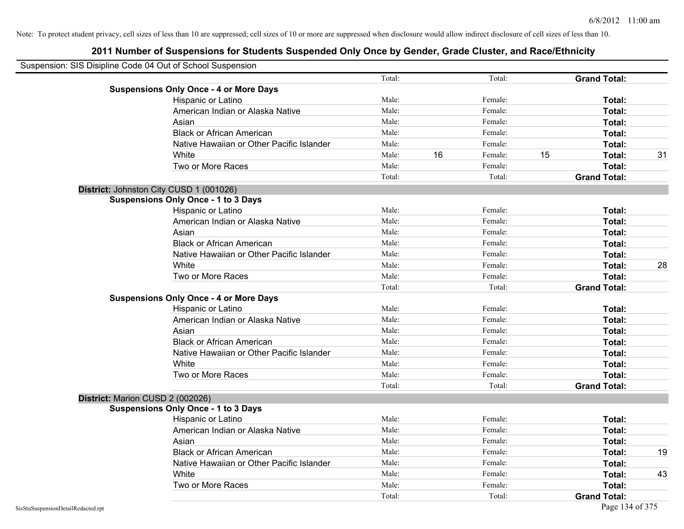| Suspension: SIS Disipline Code 04 Out of School Suspension |        |    |         |    |                     |    |
|------------------------------------------------------------|--------|----|---------|----|---------------------|----|
|                                                            | Total: |    | Total:  |    | <b>Grand Total:</b> |    |
| <b>Suspensions Only Once - 4 or More Days</b>              |        |    |         |    |                     |    |
| Hispanic or Latino                                         | Male:  |    | Female: |    | Total:              |    |
| American Indian or Alaska Native                           | Male:  |    | Female: |    | Total:              |    |
| Asian                                                      | Male:  |    | Female: |    | Total:              |    |
| <b>Black or African American</b>                           | Male:  |    | Female: |    | Total:              |    |
| Native Hawaiian or Other Pacific Islander                  | Male:  |    | Female: |    | Total:              |    |
| White                                                      | Male:  | 16 | Female: | 15 | Total:              | 31 |
| Two or More Races                                          | Male:  |    | Female: |    | Total:              |    |
|                                                            | Total: |    | Total:  |    | <b>Grand Total:</b> |    |
| District: Johnston City CUSD 1 (001026)                    |        |    |         |    |                     |    |
| <b>Suspensions Only Once - 1 to 3 Days</b>                 |        |    |         |    |                     |    |
| Hispanic or Latino                                         | Male:  |    | Female: |    | Total:              |    |
| American Indian or Alaska Native                           | Male:  |    | Female: |    | Total:              |    |
| Asian                                                      | Male:  |    | Female: |    | Total:              |    |
| <b>Black or African American</b>                           | Male:  |    | Female: |    | Total:              |    |
| Native Hawaiian or Other Pacific Islander                  | Male:  |    | Female: |    | Total:              |    |
| White                                                      | Male:  |    | Female: |    | Total:              | 28 |
| Two or More Races                                          | Male:  |    | Female: |    | Total:              |    |
|                                                            | Total: |    | Total:  |    | <b>Grand Total:</b> |    |
| <b>Suspensions Only Once - 4 or More Days</b>              |        |    |         |    |                     |    |
| Hispanic or Latino                                         | Male:  |    | Female: |    | Total:              |    |
| American Indian or Alaska Native                           | Male:  |    | Female: |    | Total:              |    |
| Asian                                                      | Male:  |    | Female: |    | Total:              |    |
| <b>Black or African American</b>                           | Male:  |    | Female: |    | Total:              |    |
| Native Hawaiian or Other Pacific Islander                  | Male:  |    | Female: |    | Total:              |    |
| White                                                      | Male:  |    | Female: |    | Total:              |    |
| Two or More Races                                          | Male:  |    | Female: |    | Total:              |    |
|                                                            | Total: |    | Total:  |    | <b>Grand Total:</b> |    |
| District: Marion CUSD 2 (002026)                           |        |    |         |    |                     |    |
| <b>Suspensions Only Once - 1 to 3 Days</b>                 |        |    |         |    |                     |    |
| Hispanic or Latino                                         | Male:  |    | Female: |    | Total:              |    |
| American Indian or Alaska Native                           | Male:  |    | Female: |    | Total:              |    |
| Asian                                                      | Male:  |    | Female: |    | Total:              |    |
| <b>Black or African American</b>                           | Male:  |    | Female: |    | Total:              | 19 |
| Native Hawaiian or Other Pacific Islander                  | Male:  |    | Female: |    | Total:              |    |
| White                                                      | Male:  |    | Female: |    | Total:              | 43 |
| Two or More Races                                          | Male:  |    | Female: |    | Total:              |    |
|                                                            | Total: |    | Total:  |    | <b>Grand Total:</b> |    |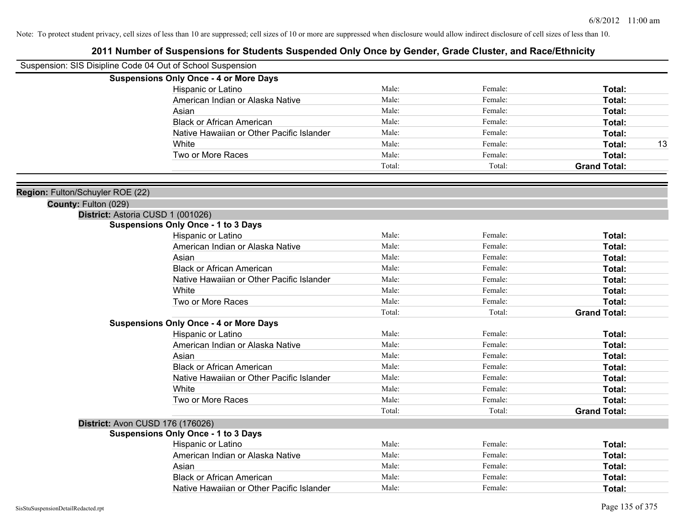| Suspension: SIS Disipline Code 04 Out of School Suspension |                                               |        |         |                     |
|------------------------------------------------------------|-----------------------------------------------|--------|---------|---------------------|
|                                                            | <b>Suspensions Only Once - 4 or More Days</b> |        |         |                     |
|                                                            | Hispanic or Latino                            | Male:  | Female: | Total:              |
|                                                            | American Indian or Alaska Native              | Male:  | Female: | Total:              |
|                                                            | Asian                                         | Male:  | Female: | Total:              |
|                                                            | <b>Black or African American</b>              | Male:  | Female: | Total:              |
|                                                            | Native Hawaiian or Other Pacific Islander     | Male:  | Female: | <b>Total:</b>       |
|                                                            | White                                         | Male:  | Female: | Total:<br>13        |
|                                                            | Two or More Races                             | Male:  | Female: | Total:              |
|                                                            |                                               | Total: | Total:  | <b>Grand Total:</b> |
| Region: Fulton/Schuyler ROE (22)                           |                                               |        |         |                     |
| County: Fulton (029)                                       |                                               |        |         |                     |
|                                                            | District: Astoria CUSD 1 (001026)             |        |         |                     |
|                                                            | <b>Suspensions Only Once - 1 to 3 Days</b>    |        |         |                     |
|                                                            | Hispanic or Latino                            | Male:  | Female: | Total:              |
|                                                            | American Indian or Alaska Native              | Male:  | Female: | <b>Total:</b>       |
|                                                            | Asian                                         | Male:  | Female: | Total:              |
|                                                            | <b>Black or African American</b>              | Male:  | Female: | Total:              |
|                                                            | Native Hawaiian or Other Pacific Islander     | Male:  | Female: | Total:              |
|                                                            | White                                         | Male:  | Female: | <b>Total:</b>       |
|                                                            | Two or More Races                             | Male:  | Female: | Total:              |
|                                                            |                                               | Total: | Total:  | <b>Grand Total:</b> |
|                                                            | <b>Suspensions Only Once - 4 or More Days</b> |        |         |                     |
|                                                            | Hispanic or Latino                            | Male:  | Female: | Total:              |
|                                                            | American Indian or Alaska Native              | Male:  | Female: | Total:              |
|                                                            | Asian                                         | Male:  | Female: | Total:              |
|                                                            | <b>Black or African American</b>              | Male:  | Female: | Total:              |
|                                                            | Native Hawaiian or Other Pacific Islander     | Male:  | Female: | <b>Total:</b>       |
|                                                            | White                                         | Male:  | Female: | Total:              |
|                                                            | Two or More Races                             | Male:  | Female: | Total:              |
|                                                            |                                               | Total: | Total:  | <b>Grand Total:</b> |
|                                                            | District: Avon CUSD 176 (176026)              |        |         |                     |
|                                                            | <b>Suspensions Only Once - 1 to 3 Days</b>    |        |         |                     |
|                                                            | Hispanic or Latino                            | Male:  | Female: | Total:              |
|                                                            | American Indian or Alaska Native              | Male:  | Female: | Total:              |
|                                                            | Asian                                         | Male:  | Female: | Total:              |
|                                                            | <b>Black or African American</b>              | Male:  | Female: | Total:              |
|                                                            | Native Hawaiian or Other Pacific Islander     | Male:  | Female: | Total:              |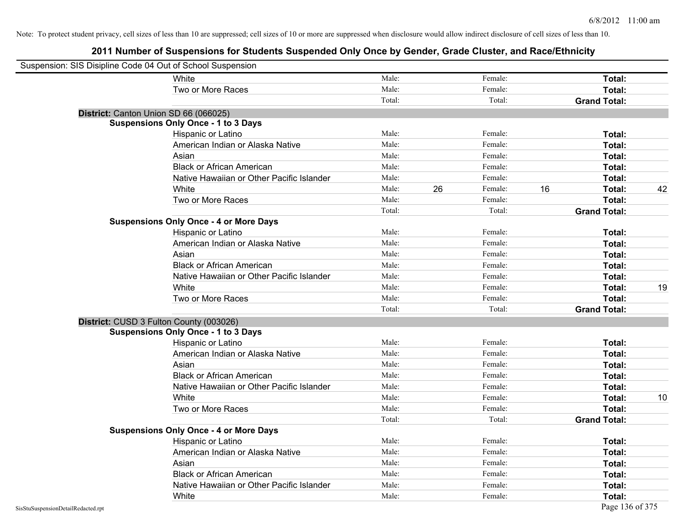| Suspension: SIS Disipline Code 04 Out of School Suspension |                                               |        |    |         |    |                     |    |
|------------------------------------------------------------|-----------------------------------------------|--------|----|---------|----|---------------------|----|
|                                                            | <b>White</b>                                  | Male:  |    | Female: |    | Total:              |    |
|                                                            | Two or More Races                             | Male:  |    | Female: |    | Total:              |    |
|                                                            |                                               | Total: |    | Total:  |    | <b>Grand Total:</b> |    |
| District: Canton Union SD 66 (066025)                      |                                               |        |    |         |    |                     |    |
|                                                            | <b>Suspensions Only Once - 1 to 3 Days</b>    |        |    |         |    |                     |    |
|                                                            | Hispanic or Latino                            | Male:  |    | Female: |    | Total:              |    |
|                                                            | American Indian or Alaska Native              | Male:  |    | Female: |    | Total:              |    |
|                                                            | Asian                                         | Male:  |    | Female: |    | Total:              |    |
|                                                            | <b>Black or African American</b>              | Male:  |    | Female: |    | Total:              |    |
|                                                            | Native Hawaiian or Other Pacific Islander     | Male:  |    | Female: |    | Total:              |    |
|                                                            | White                                         | Male:  | 26 | Female: | 16 | Total:              | 42 |
|                                                            | Two or More Races                             | Male:  |    | Female: |    | Total:              |    |
|                                                            |                                               | Total: |    | Total:  |    | <b>Grand Total:</b> |    |
|                                                            | <b>Suspensions Only Once - 4 or More Days</b> |        |    |         |    |                     |    |
|                                                            | Hispanic or Latino                            | Male:  |    | Female: |    | Total:              |    |
|                                                            | American Indian or Alaska Native              | Male:  |    | Female: |    | Total:              |    |
|                                                            | Asian                                         | Male:  |    | Female: |    | Total:              |    |
|                                                            | <b>Black or African American</b>              | Male:  |    | Female: |    | Total:              |    |
|                                                            | Native Hawaiian or Other Pacific Islander     | Male:  |    | Female: |    | Total:              |    |
|                                                            | White                                         | Male:  |    | Female: |    | Total:              | 19 |
|                                                            | Two or More Races                             | Male:  |    | Female: |    | Total:              |    |
|                                                            |                                               | Total: |    | Total:  |    | <b>Grand Total:</b> |    |
|                                                            | District: CUSD 3 Fulton County (003026)       |        |    |         |    |                     |    |
|                                                            | <b>Suspensions Only Once - 1 to 3 Days</b>    |        |    |         |    |                     |    |
|                                                            | Hispanic or Latino                            | Male:  |    | Female: |    | Total:              |    |
|                                                            | American Indian or Alaska Native              | Male:  |    | Female: |    | Total:              |    |
|                                                            | Asian                                         | Male:  |    | Female: |    | Total:              |    |
|                                                            | <b>Black or African American</b>              | Male:  |    | Female: |    | Total:              |    |
|                                                            | Native Hawaiian or Other Pacific Islander     | Male:  |    | Female: |    | Total:              |    |
|                                                            | White                                         | Male:  |    | Female: |    | Total:              | 10 |
|                                                            | Two or More Races                             | Male:  |    | Female: |    | Total:              |    |
|                                                            |                                               | Total: |    | Total:  |    | <b>Grand Total:</b> |    |
|                                                            | <b>Suspensions Only Once - 4 or More Days</b> |        |    |         |    |                     |    |
|                                                            | Hispanic or Latino                            | Male:  |    | Female: |    | Total:              |    |
|                                                            | American Indian or Alaska Native              | Male:  |    | Female: |    | Total:              |    |
|                                                            | Asian                                         | Male:  |    | Female: |    | Total:              |    |
|                                                            | <b>Black or African American</b>              | Male:  |    | Female: |    | Total:              |    |
|                                                            | Native Hawaiian or Other Pacific Islander     | Male:  |    | Female: |    | Total:              |    |
|                                                            | White                                         | Male:  |    | Female: |    | Total:              |    |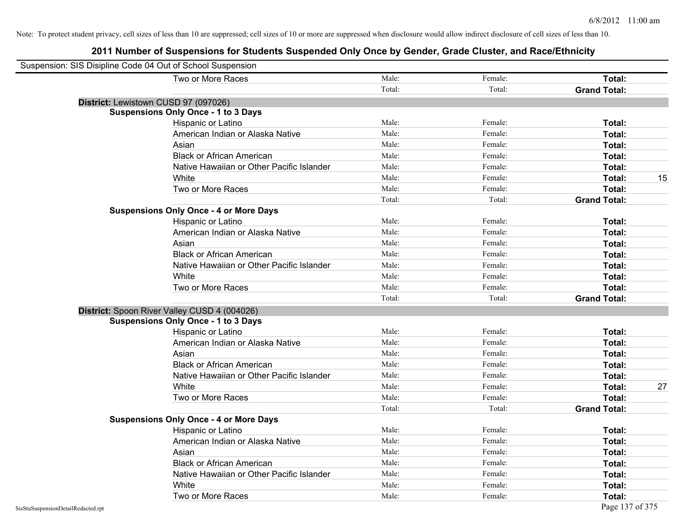| Suspension: SIS Disipline Code 04 Out of School Suspension |                                               |        |         |                     |    |
|------------------------------------------------------------|-----------------------------------------------|--------|---------|---------------------|----|
|                                                            | Two or More Races                             | Male:  | Female: | Total:              |    |
|                                                            |                                               | Total: | Total:  | <b>Grand Total:</b> |    |
|                                                            | District: Lewistown CUSD 97 (097026)          |        |         |                     |    |
|                                                            | <b>Suspensions Only Once - 1 to 3 Days</b>    |        |         |                     |    |
|                                                            | Hispanic or Latino                            | Male:  | Female: | Total:              |    |
|                                                            | American Indian or Alaska Native              | Male:  | Female: | Total:              |    |
|                                                            | Asian                                         | Male:  | Female: | Total:              |    |
|                                                            | <b>Black or African American</b>              | Male:  | Female: | Total:              |    |
|                                                            | Native Hawaiian or Other Pacific Islander     | Male:  | Female: | Total:              |    |
|                                                            | White                                         | Male:  | Female: | Total:              | 15 |
|                                                            | Two or More Races                             | Male:  | Female: | Total:              |    |
|                                                            |                                               | Total: | Total:  | <b>Grand Total:</b> |    |
|                                                            | <b>Suspensions Only Once - 4 or More Days</b> |        |         |                     |    |
|                                                            | Hispanic or Latino                            | Male:  | Female: | Total:              |    |
|                                                            | American Indian or Alaska Native              | Male:  | Female: | Total:              |    |
|                                                            | Asian                                         | Male:  | Female: | Total:              |    |
|                                                            | <b>Black or African American</b>              | Male:  | Female: | Total:              |    |
|                                                            | Native Hawaiian or Other Pacific Islander     | Male:  | Female: | Total:              |    |
|                                                            | White                                         | Male:  | Female: | Total:              |    |
|                                                            | Two or More Races                             | Male:  | Female: | Total:              |    |
|                                                            |                                               | Total: | Total:  | <b>Grand Total:</b> |    |
|                                                            | District: Spoon River Valley CUSD 4 (004026)  |        |         |                     |    |
|                                                            | <b>Suspensions Only Once - 1 to 3 Days</b>    |        |         |                     |    |
|                                                            | Hispanic or Latino                            | Male:  | Female: | Total:              |    |
|                                                            | American Indian or Alaska Native              | Male:  | Female: | Total:              |    |
|                                                            | Asian                                         | Male:  | Female: | Total:              |    |
|                                                            | <b>Black or African American</b>              | Male:  | Female: | Total:              |    |
|                                                            | Native Hawaiian or Other Pacific Islander     | Male:  | Female: | Total:              |    |
|                                                            | White                                         | Male:  | Female: | Total:              | 27 |
|                                                            | Two or More Races                             | Male:  | Female: | Total:              |    |
|                                                            |                                               | Total: | Total:  | <b>Grand Total:</b> |    |
|                                                            | <b>Suspensions Only Once - 4 or More Days</b> |        |         |                     |    |
|                                                            | Hispanic or Latino                            | Male:  | Female: | Total:              |    |
|                                                            | American Indian or Alaska Native              | Male:  | Female: | Total:              |    |
|                                                            | Asian                                         | Male:  | Female: | Total:              |    |
|                                                            | <b>Black or African American</b>              | Male:  | Female: | Total:              |    |
|                                                            | Native Hawaiian or Other Pacific Islander     | Male:  | Female: | Total:              |    |
|                                                            | White                                         | Male:  | Female: | Total:              |    |
|                                                            | Two or More Races                             | Male:  | Female: | Total:              |    |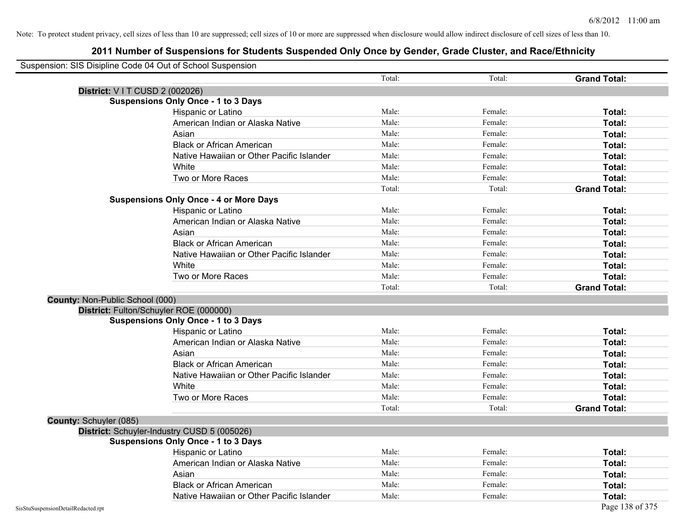|                                    | Suspension: SIS Disipline Code 04 Out of School Suspension |        |         |                     |
|------------------------------------|------------------------------------------------------------|--------|---------|---------------------|
|                                    |                                                            | Total: | Total:  | <b>Grand Total:</b> |
|                                    | <b>District: VIT CUSD 2 (002026)</b>                       |        |         |                     |
|                                    | <b>Suspensions Only Once - 1 to 3 Days</b>                 |        |         |                     |
|                                    | Hispanic or Latino                                         | Male:  | Female: | Total:              |
|                                    | American Indian or Alaska Native                           | Male:  | Female: | Total:              |
|                                    | Asian                                                      | Male:  | Female: | Total:              |
|                                    | <b>Black or African American</b>                           | Male:  | Female: | Total:              |
|                                    | Native Hawaiian or Other Pacific Islander                  | Male:  | Female: | Total:              |
|                                    | White                                                      | Male:  | Female: | Total:              |
|                                    | Two or More Races                                          | Male:  | Female: | Total:              |
|                                    |                                                            | Total: | Total:  | <b>Grand Total:</b> |
|                                    | <b>Suspensions Only Once - 4 or More Days</b>              |        |         |                     |
|                                    | Hispanic or Latino                                         | Male:  | Female: | Total:              |
|                                    | American Indian or Alaska Native                           | Male:  | Female: | Total:              |
|                                    | Asian                                                      | Male:  | Female: | Total:              |
|                                    | <b>Black or African American</b>                           | Male:  | Female: | Total:              |
|                                    | Native Hawaiian or Other Pacific Islander                  | Male:  | Female: | Total:              |
|                                    | White                                                      | Male:  | Female: | Total:              |
|                                    | Two or More Races                                          | Male:  | Female: | Total:              |
|                                    |                                                            | Total: | Total:  | <b>Grand Total:</b> |
| County: Non-Public School (000)    |                                                            |        |         |                     |
|                                    | District: Fulton/Schuyler ROE (000000)                     |        |         |                     |
|                                    | <b>Suspensions Only Once - 1 to 3 Days</b>                 |        |         |                     |
|                                    | Hispanic or Latino                                         | Male:  | Female: | Total:              |
|                                    | American Indian or Alaska Native                           | Male:  | Female: | Total:              |
|                                    | Asian                                                      | Male:  | Female: | Total:              |
|                                    | <b>Black or African American</b>                           | Male:  | Female: | Total:              |
|                                    | Native Hawaiian or Other Pacific Islander                  | Male:  | Female: | Total:              |
|                                    | White                                                      | Male:  | Female: | Total:              |
|                                    | Two or More Races                                          | Male:  | Female: | Total:              |
|                                    |                                                            | Total: | Total:  | <b>Grand Total:</b> |
| County: Schuyler (085)             |                                                            |        |         |                     |
|                                    | District: Schuyler-Industry CUSD 5 (005026)                |        |         |                     |
|                                    | <b>Suspensions Only Once - 1 to 3 Days</b>                 |        |         |                     |
|                                    | Hispanic or Latino                                         | Male:  | Female: | Total:              |
|                                    | American Indian or Alaska Native                           | Male:  | Female: | Total:              |
|                                    | Asian                                                      | Male:  | Female: | Total:              |
|                                    | <b>Black or African American</b>                           | Male:  | Female: | Total:              |
|                                    | Native Hawaiian or Other Pacific Islander                  | Male:  | Female: | Total:              |
| SisStuSuspensionDetailRedacted.rpt |                                                            |        |         | Page 138 of 375     |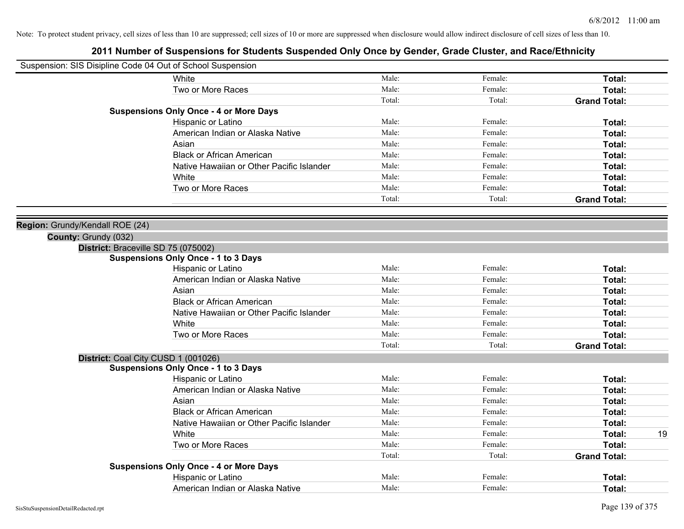| Suspension: SIS Disipline Code 04 Out of School Suspension |                                               |        |         |                     |    |
|------------------------------------------------------------|-----------------------------------------------|--------|---------|---------------------|----|
|                                                            | White                                         | Male:  | Female: | Total:              |    |
|                                                            | Two or More Races                             | Male:  | Female: | Total:              |    |
|                                                            |                                               | Total: | Total:  | <b>Grand Total:</b> |    |
|                                                            | <b>Suspensions Only Once - 4 or More Days</b> |        |         |                     |    |
|                                                            | Hispanic or Latino                            | Male:  | Female: | Total:              |    |
|                                                            | American Indian or Alaska Native              | Male:  | Female: | Total:              |    |
|                                                            | Asian                                         | Male:  | Female: | Total:              |    |
|                                                            | <b>Black or African American</b>              | Male:  | Female: | Total:              |    |
|                                                            | Native Hawaiian or Other Pacific Islander     | Male:  | Female: | Total:              |    |
|                                                            | White                                         | Male:  | Female: | Total:              |    |
|                                                            | Two or More Races                             | Male:  | Female: | Total:              |    |
|                                                            |                                               | Total: | Total:  | <b>Grand Total:</b> |    |
|                                                            |                                               |        |         |                     |    |
| Region: Grundy/Kendall ROE (24)                            |                                               |        |         |                     |    |
| County: Grundy (032)                                       |                                               |        |         |                     |    |
|                                                            | District: Braceville SD 75 (075002)           |        |         |                     |    |
|                                                            | <b>Suspensions Only Once - 1 to 3 Days</b>    |        |         |                     |    |
|                                                            | Hispanic or Latino                            | Male:  | Female: | Total:              |    |
|                                                            | American Indian or Alaska Native              | Male:  | Female: | Total:              |    |
|                                                            | Asian                                         | Male:  | Female: | Total:              |    |
|                                                            | <b>Black or African American</b>              | Male:  | Female: | Total:              |    |
|                                                            | Native Hawaiian or Other Pacific Islander     | Male:  | Female: | Total:              |    |
|                                                            | White                                         | Male:  | Female: | Total:              |    |
|                                                            | Two or More Races                             | Male:  | Female: | Total:              |    |
|                                                            |                                               | Total: | Total:  | <b>Grand Total:</b> |    |
|                                                            | District: Coal City CUSD 1 (001026)           |        |         |                     |    |
|                                                            | <b>Suspensions Only Once - 1 to 3 Days</b>    |        |         |                     |    |
|                                                            | Hispanic or Latino                            | Male:  | Female: | Total:              |    |
|                                                            | American Indian or Alaska Native              | Male:  | Female: | Total:              |    |
|                                                            | Asian                                         | Male:  | Female: | Total:              |    |
|                                                            | <b>Black or African American</b>              | Male:  | Female: | Total:              |    |
|                                                            | Native Hawaiian or Other Pacific Islander     | Male:  | Female: | Total:              |    |
|                                                            | White                                         | Male:  | Female: | Total:              | 19 |
|                                                            | Two or More Races                             | Male:  | Female: | Total:              |    |
|                                                            |                                               | Total: | Total:  | <b>Grand Total:</b> |    |
|                                                            | <b>Suspensions Only Once - 4 or More Days</b> |        |         |                     |    |
|                                                            | Hispanic or Latino                            | Male:  | Female: | Total:              |    |
|                                                            | American Indian or Alaska Native              | Male:  | Female: | Total:              |    |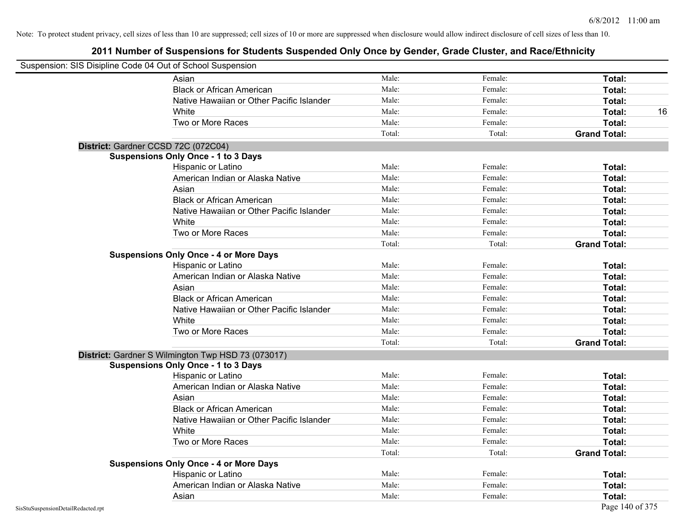|                                    | Suspension: SIS Disipline Code 04 Out of School Suspension |        |         |                     |
|------------------------------------|------------------------------------------------------------|--------|---------|---------------------|
|                                    | Asian                                                      | Male:  | Female: | Total:              |
|                                    | <b>Black or African American</b>                           | Male:  | Female: | Total:              |
|                                    | Native Hawaiian or Other Pacific Islander                  | Male:  | Female: | Total:              |
|                                    | White                                                      | Male:  | Female: | Total:<br>16        |
|                                    | Two or More Races                                          | Male:  | Female: | Total:              |
|                                    |                                                            | Total: | Total:  | <b>Grand Total:</b> |
|                                    | District: Gardner CCSD 72C (072C04)                        |        |         |                     |
|                                    | <b>Suspensions Only Once - 1 to 3 Days</b>                 |        |         |                     |
|                                    | Hispanic or Latino                                         | Male:  | Female: | Total:              |
|                                    | American Indian or Alaska Native                           | Male:  | Female: | Total:              |
|                                    | Asian                                                      | Male:  | Female: | Total:              |
|                                    | <b>Black or African American</b>                           | Male:  | Female: | Total:              |
|                                    | Native Hawaiian or Other Pacific Islander                  | Male:  | Female: | Total:              |
|                                    | White                                                      | Male:  | Female: | Total:              |
|                                    | Two or More Races                                          | Male:  | Female: | Total:              |
|                                    |                                                            | Total: | Total:  | <b>Grand Total:</b> |
|                                    | <b>Suspensions Only Once - 4 or More Days</b>              |        |         |                     |
|                                    | Hispanic or Latino                                         | Male:  | Female: | Total:              |
|                                    | American Indian or Alaska Native                           | Male:  | Female: | Total:              |
|                                    | Asian                                                      | Male:  | Female: | Total:              |
|                                    | <b>Black or African American</b>                           | Male:  | Female: | Total:              |
|                                    | Native Hawaiian or Other Pacific Islander                  | Male:  | Female: | Total:              |
|                                    | White                                                      | Male:  | Female: | Total:              |
|                                    | Two or More Races                                          | Male:  | Female: | Total:              |
|                                    |                                                            | Total: | Total:  | <b>Grand Total:</b> |
|                                    | District: Gardner S Wilmington Twp HSD 73 (073017)         |        |         |                     |
|                                    | <b>Suspensions Only Once - 1 to 3 Days</b>                 |        |         |                     |
|                                    | Hispanic or Latino                                         | Male:  | Female: | Total:              |
|                                    | American Indian or Alaska Native                           | Male:  | Female: | Total:              |
|                                    | Asian                                                      | Male:  | Female: | Total:              |
|                                    | <b>Black or African American</b>                           | Male:  | Female: | Total:              |
|                                    | Native Hawaiian or Other Pacific Islander                  | Male:  | Female: | Total:              |
|                                    | White                                                      | Male:  | Female: | Total:              |
|                                    | Two or More Races                                          | Male:  | Female: | Total:              |
|                                    |                                                            | Total: | Total:  | <b>Grand Total:</b> |
|                                    | <b>Suspensions Only Once - 4 or More Days</b>              |        |         |                     |
|                                    | Hispanic or Latino                                         | Male:  | Female: | Total:              |
|                                    | American Indian or Alaska Native                           | Male:  | Female: | Total:              |
|                                    | Asian                                                      | Male:  | Female: | Total:              |
| SisStuSuspensionDetailRedacted.rpt |                                                            |        |         | Page 140 of 375     |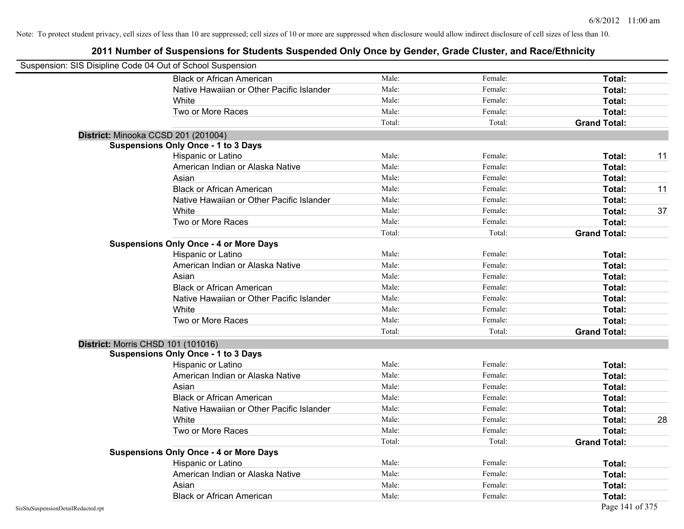| Suspension: SIS Disipline Code 04 Out of School Suspension |                                               |        |         |                     |    |
|------------------------------------------------------------|-----------------------------------------------|--------|---------|---------------------|----|
|                                                            | <b>Black or African American</b>              | Male:  | Female: | Total:              |    |
|                                                            | Native Hawaiian or Other Pacific Islander     | Male:  | Female: | Total:              |    |
|                                                            | White                                         | Male:  | Female: | Total:              |    |
|                                                            | Two or More Races                             | Male:  | Female: | Total:              |    |
|                                                            |                                               | Total: | Total:  | <b>Grand Total:</b> |    |
|                                                            | District: Minooka CCSD 201 (201004)           |        |         |                     |    |
|                                                            | <b>Suspensions Only Once - 1 to 3 Days</b>    |        |         |                     |    |
|                                                            | Hispanic or Latino                            | Male:  | Female: | Total:              | 11 |
|                                                            | American Indian or Alaska Native              | Male:  | Female: | Total:              |    |
|                                                            | Asian                                         | Male:  | Female: | Total:              |    |
|                                                            | <b>Black or African American</b>              | Male:  | Female: | Total:              | 11 |
|                                                            | Native Hawaiian or Other Pacific Islander     | Male:  | Female: | Total:              |    |
|                                                            | White                                         | Male:  | Female: | Total:              | 37 |
|                                                            | Two or More Races                             | Male:  | Female: | Total:              |    |
|                                                            |                                               | Total: | Total:  | <b>Grand Total:</b> |    |
|                                                            | <b>Suspensions Only Once - 4 or More Days</b> |        |         |                     |    |
|                                                            | Hispanic or Latino                            | Male:  | Female: | Total:              |    |
|                                                            | American Indian or Alaska Native              | Male:  | Female: | Total:              |    |
|                                                            | Asian                                         | Male:  | Female: | Total:              |    |
|                                                            | <b>Black or African American</b>              | Male:  | Female: | Total:              |    |
|                                                            | Native Hawaiian or Other Pacific Islander     | Male:  | Female: | Total:              |    |
|                                                            | White                                         | Male:  | Female: | Total:              |    |
|                                                            | Two or More Races                             | Male:  | Female: | Total:              |    |
|                                                            |                                               | Total: | Total:  | <b>Grand Total:</b> |    |
|                                                            | <b>District: Morris CHSD 101 (101016)</b>     |        |         |                     |    |
|                                                            | <b>Suspensions Only Once - 1 to 3 Days</b>    |        |         |                     |    |
|                                                            | Hispanic or Latino                            | Male:  | Female: | Total:              |    |
|                                                            | American Indian or Alaska Native              | Male:  | Female: | Total:              |    |
|                                                            | Asian                                         | Male:  | Female: | Total:              |    |
|                                                            | <b>Black or African American</b>              | Male:  | Female: | Total:              |    |
|                                                            | Native Hawaiian or Other Pacific Islander     | Male:  | Female: | Total:              |    |
|                                                            | White                                         | Male:  | Female: | Total:              | 28 |
|                                                            | Two or More Races                             | Male:  | Female: | Total:              |    |
|                                                            |                                               | Total: | Total:  | <b>Grand Total:</b> |    |
|                                                            | <b>Suspensions Only Once - 4 or More Days</b> |        |         |                     |    |
|                                                            | Hispanic or Latino                            | Male:  | Female: | Total:              |    |
|                                                            | American Indian or Alaska Native              | Male:  | Female: | Total:              |    |
|                                                            | Asian                                         | Male:  | Female: | Total:              |    |
|                                                            | <b>Black or African American</b>              | Male:  | Female: | Total:              |    |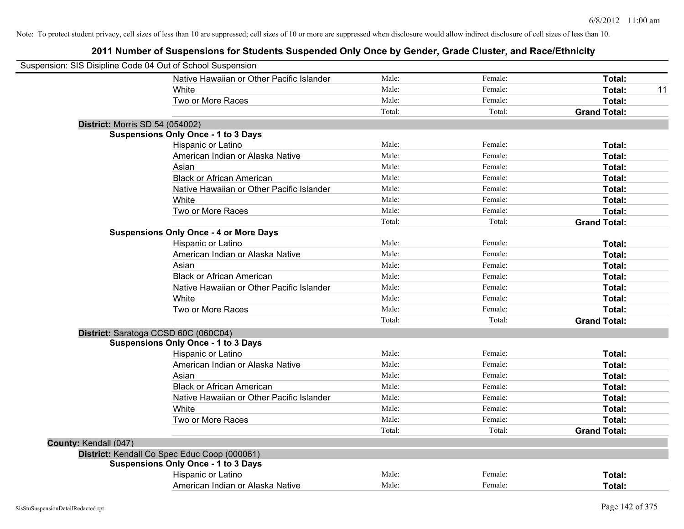| Suspension: SIS Disipline Code 04 Out of School Suspension |                                               |        |         |                     |    |
|------------------------------------------------------------|-----------------------------------------------|--------|---------|---------------------|----|
|                                                            | Native Hawaiian or Other Pacific Islander     | Male:  | Female: | Total:              |    |
|                                                            | White                                         | Male:  | Female: | <b>Total:</b>       | 11 |
|                                                            | Two or More Races                             | Male:  | Female: | Total:              |    |
|                                                            |                                               | Total: | Total:  | <b>Grand Total:</b> |    |
| <b>District: Morris SD 54 (054002)</b>                     |                                               |        |         |                     |    |
|                                                            | <b>Suspensions Only Once - 1 to 3 Days</b>    |        |         |                     |    |
|                                                            | Hispanic or Latino                            | Male:  | Female: | Total:              |    |
|                                                            | American Indian or Alaska Native              | Male:  | Female: | Total:              |    |
|                                                            | Asian                                         | Male:  | Female: | Total:              |    |
|                                                            | <b>Black or African American</b>              | Male:  | Female: | Total:              |    |
|                                                            | Native Hawaiian or Other Pacific Islander     | Male:  | Female: | Total:              |    |
|                                                            | White                                         | Male:  | Female: | Total:              |    |
|                                                            | Two or More Races                             | Male:  | Female: | Total:              |    |
|                                                            |                                               | Total: | Total:  | <b>Grand Total:</b> |    |
|                                                            | <b>Suspensions Only Once - 4 or More Days</b> |        |         |                     |    |
|                                                            | Hispanic or Latino                            | Male:  | Female: | Total:              |    |
|                                                            | American Indian or Alaska Native              | Male:  | Female: | Total:              |    |
|                                                            | Asian                                         | Male:  | Female: | Total:              |    |
|                                                            | <b>Black or African American</b>              | Male:  | Female: | Total:              |    |
|                                                            | Native Hawaiian or Other Pacific Islander     | Male:  | Female: | Total:              |    |
|                                                            | White                                         | Male:  | Female: | Total:              |    |
|                                                            | Two or More Races                             | Male:  | Female: | Total:              |    |
|                                                            |                                               | Total: | Total:  | <b>Grand Total:</b> |    |
| District: Saratoga CCSD 60C (060C04)                       |                                               |        |         |                     |    |
|                                                            | <b>Suspensions Only Once - 1 to 3 Days</b>    |        |         |                     |    |
|                                                            | Hispanic or Latino                            | Male:  | Female: | Total:              |    |
|                                                            | American Indian or Alaska Native              | Male:  | Female: | Total:              |    |
|                                                            | Asian                                         | Male:  | Female: | Total:              |    |
|                                                            | <b>Black or African American</b>              | Male:  | Female: | Total:              |    |
|                                                            | Native Hawaiian or Other Pacific Islander     | Male:  | Female: | Total:              |    |
|                                                            | White                                         | Male:  | Female: | Total:              |    |
|                                                            | Two or More Races                             | Male:  | Female: | Total:              |    |
|                                                            |                                               | Total: | Total:  | <b>Grand Total:</b> |    |
| County: Kendall (047)                                      |                                               |        |         |                     |    |
|                                                            | District: Kendall Co Spec Educ Coop (000061)  |        |         |                     |    |
|                                                            | <b>Suspensions Only Once - 1 to 3 Days</b>    |        |         |                     |    |
|                                                            | Hispanic or Latino                            | Male:  | Female: | Total:              |    |
|                                                            | American Indian or Alaska Native              | Male:  | Female: | Total:              |    |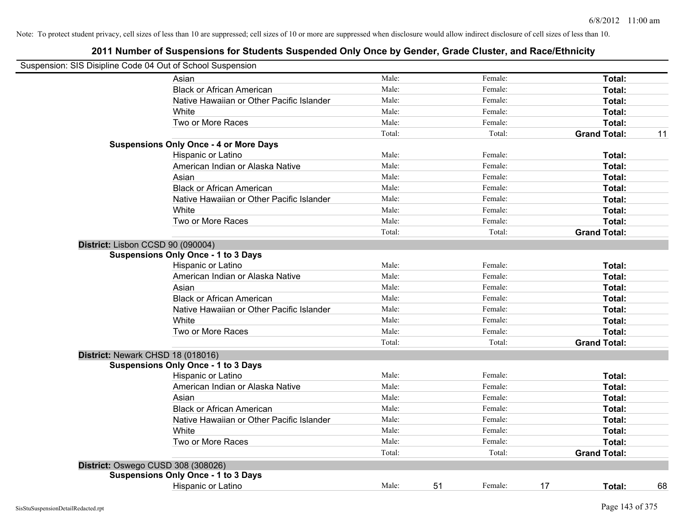| Suspension: SIS Disipline Code 04 Out of School Suspension |        |               |                     |    |
|------------------------------------------------------------|--------|---------------|---------------------|----|
| Asian                                                      | Male:  | Female:       | Total:              |    |
| <b>Black or African American</b>                           | Male:  | Female:       | Total:              |    |
| Native Hawaiian or Other Pacific Islander                  | Male:  | Female:       | Total:              |    |
| White                                                      | Male:  | Female:       | Total:              |    |
| Two or More Races                                          | Male:  | Female:       | Total:              |    |
|                                                            | Total: | Total:        | <b>Grand Total:</b> | 11 |
| <b>Suspensions Only Once - 4 or More Days</b>              |        |               |                     |    |
| Hispanic or Latino                                         | Male:  | Female:       | Total:              |    |
| American Indian or Alaska Native                           | Male:  | Female:       | Total:              |    |
| Asian                                                      | Male:  | Female:       | Total:              |    |
| <b>Black or African American</b>                           | Male:  | Female:       | Total:              |    |
| Native Hawaiian or Other Pacific Islander                  | Male:  | Female:       | Total:              |    |
| White                                                      | Male:  | Female:       | Total:              |    |
| Two or More Races                                          | Male:  | Female:       | Total:              |    |
|                                                            | Total: | Total:        | <b>Grand Total:</b> |    |
| District: Lisbon CCSD 90 (090004)                          |        |               |                     |    |
| <b>Suspensions Only Once - 1 to 3 Days</b>                 |        |               |                     |    |
| Hispanic or Latino                                         | Male:  | Female:       | Total:              |    |
| American Indian or Alaska Native                           | Male:  | Female:       | Total:              |    |
| Asian                                                      | Male:  | Female:       | Total:              |    |
| <b>Black or African American</b>                           | Male:  | Female:       | Total:              |    |
| Native Hawaiian or Other Pacific Islander                  | Male:  | Female:       | Total:              |    |
| White                                                      | Male:  | Female:       | Total:              |    |
| Two or More Races                                          | Male:  | Female:       | Total:              |    |
|                                                            | Total: | Total:        | <b>Grand Total:</b> |    |
| District: Newark CHSD 18 (018016)                          |        |               |                     |    |
| <b>Suspensions Only Once - 1 to 3 Days</b>                 |        |               |                     |    |
| Hispanic or Latino                                         | Male:  | Female:       | Total:              |    |
| American Indian or Alaska Native                           | Male:  | Female:       | Total:              |    |
| Asian                                                      | Male:  | Female:       | Total:              |    |
| <b>Black or African American</b>                           | Male:  | Female:       | Total:              |    |
| Native Hawaiian or Other Pacific Islander                  | Male:  | Female:       | Total:              |    |
| White                                                      | Male:  | Female:       | Total:              |    |
| Two or More Races                                          | Male:  | Female:       | Total:              |    |
|                                                            | Total: | Total:        | <b>Grand Total:</b> |    |
| District: Oswego CUSD 308 (308026)                         |        |               |                     |    |
| <b>Suspensions Only Once - 1 to 3 Days</b>                 |        |               |                     |    |
| <b>Hispanic or Latino</b>                                  | Male:  | 51<br>Female: | 17<br>Total:        | 68 |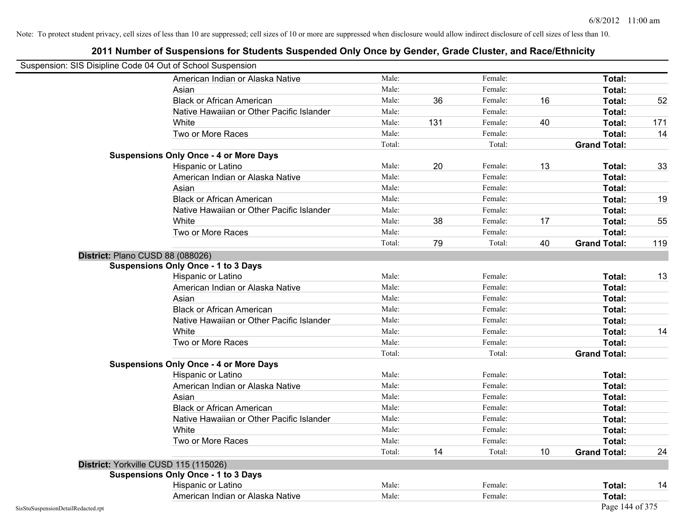| Suspension: SIS Disipline Code 04 Out of School Suspension |                                               |        |     |         |    |                     |     |
|------------------------------------------------------------|-----------------------------------------------|--------|-----|---------|----|---------------------|-----|
|                                                            | American Indian or Alaska Native              | Male:  |     | Female: |    | <b>Total:</b>       |     |
|                                                            | Asian                                         | Male:  |     | Female: |    | Total:              |     |
|                                                            | <b>Black or African American</b>              | Male:  | 36  | Female: | 16 | Total:              | 52  |
|                                                            | Native Hawaiian or Other Pacific Islander     | Male:  |     | Female: |    | Total:              |     |
|                                                            | White                                         | Male:  | 131 | Female: | 40 | Total:              | 171 |
|                                                            | Two or More Races                             | Male:  |     | Female: |    | Total:              | 14  |
|                                                            |                                               | Total: |     | Total:  |    | <b>Grand Total:</b> |     |
|                                                            | <b>Suspensions Only Once - 4 or More Days</b> |        |     |         |    |                     |     |
|                                                            | Hispanic or Latino                            | Male:  | 20  | Female: | 13 | Total:              | 33  |
|                                                            | American Indian or Alaska Native              | Male:  |     | Female: |    | Total:              |     |
|                                                            | Asian                                         | Male:  |     | Female: |    | Total:              |     |
|                                                            | <b>Black or African American</b>              | Male:  |     | Female: |    | Total:              | 19  |
|                                                            | Native Hawaiian or Other Pacific Islander     | Male:  |     | Female: |    | Total:              |     |
|                                                            | White                                         | Male:  | 38  | Female: | 17 | Total:              | 55  |
|                                                            | Two or More Races                             | Male:  |     | Female: |    | Total:              |     |
|                                                            |                                               | Total: | 79  | Total:  | 40 | <b>Grand Total:</b> | 119 |
|                                                            | District: Plano CUSD 88 (088026)              |        |     |         |    |                     |     |
|                                                            | <b>Suspensions Only Once - 1 to 3 Days</b>    |        |     |         |    |                     |     |
|                                                            | Hispanic or Latino                            | Male:  |     | Female: |    | Total:              | 13  |
|                                                            | American Indian or Alaska Native              | Male:  |     | Female: |    | Total:              |     |
|                                                            | Asian                                         | Male:  |     | Female: |    | Total:              |     |
|                                                            | <b>Black or African American</b>              | Male:  |     | Female: |    | Total:              |     |
|                                                            | Native Hawaiian or Other Pacific Islander     | Male:  |     | Female: |    | <b>Total:</b>       |     |
|                                                            | White                                         | Male:  |     | Female: |    | <b>Total:</b>       | 14  |
|                                                            | Two or More Races                             | Male:  |     | Female: |    | Total:              |     |
|                                                            |                                               | Total: |     | Total:  |    | <b>Grand Total:</b> |     |
|                                                            | <b>Suspensions Only Once - 4 or More Days</b> |        |     |         |    |                     |     |
|                                                            | Hispanic or Latino                            | Male:  |     | Female: |    | Total:              |     |
|                                                            | American Indian or Alaska Native              | Male:  |     | Female: |    | Total:              |     |
|                                                            | Asian                                         | Male:  |     | Female: |    | Total:              |     |
|                                                            | <b>Black or African American</b>              | Male:  |     | Female: |    | Total:              |     |
|                                                            | Native Hawaiian or Other Pacific Islander     | Male:  |     | Female: |    | Total:              |     |
|                                                            | White                                         | Male:  |     | Female: |    | <b>Total:</b>       |     |
|                                                            | Two or More Races                             | Male:  |     | Female: |    | Total:              |     |
|                                                            |                                               | Total: | 14  | Total:  | 10 | <b>Grand Total:</b> | 24  |
|                                                            | District: Yorkville CUSD 115 (115026)         |        |     |         |    |                     |     |
|                                                            | <b>Suspensions Only Once - 1 to 3 Days</b>    |        |     |         |    |                     |     |
|                                                            | Hispanic or Latino                            | Male:  |     | Female: |    | Total:              | 14  |
|                                                            | American Indian or Alaska Native              | Male:  |     | Female: |    | Total:              |     |
| SisStuSuspensionDetailRedacted.rpt                         |                                               |        |     |         |    | Page 144 of 375     |     |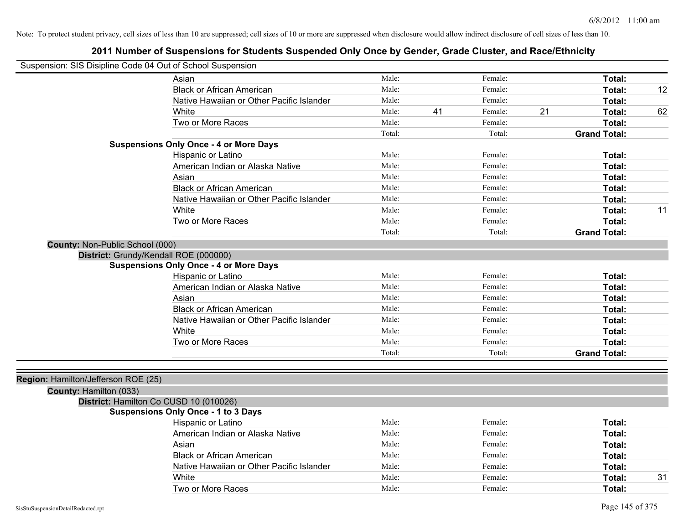| Suspension: SIS Disipline Code 04 Out of School Suspension |                                               |        |    |         |    |                     |    |
|------------------------------------------------------------|-----------------------------------------------|--------|----|---------|----|---------------------|----|
|                                                            | Asian                                         | Male:  |    | Female: |    | Total:              |    |
|                                                            | <b>Black or African American</b>              | Male:  |    | Female: |    | Total:              | 12 |
|                                                            | Native Hawaiian or Other Pacific Islander     | Male:  |    | Female: |    | Total:              |    |
|                                                            | White                                         | Male:  | 41 | Female: | 21 | Total:              | 62 |
|                                                            | Two or More Races                             | Male:  |    | Female: |    | Total:              |    |
|                                                            |                                               | Total: |    | Total:  |    | <b>Grand Total:</b> |    |
|                                                            | <b>Suspensions Only Once - 4 or More Days</b> |        |    |         |    |                     |    |
|                                                            | Hispanic or Latino                            | Male:  |    | Female: |    | Total:              |    |
|                                                            | American Indian or Alaska Native              | Male:  |    | Female: |    | Total:              |    |
|                                                            | Asian                                         | Male:  |    | Female: |    | Total:              |    |
|                                                            | <b>Black or African American</b>              | Male:  |    | Female: |    | Total:              |    |
|                                                            | Native Hawaiian or Other Pacific Islander     | Male:  |    | Female: |    | Total:              |    |
|                                                            | White                                         | Male:  |    | Female: |    | Total:              | 11 |
|                                                            | Two or More Races                             | Male:  |    | Female: |    | Total:              |    |
|                                                            |                                               | Total: |    | Total:  |    | <b>Grand Total:</b> |    |
| County: Non-Public School (000)                            |                                               |        |    |         |    |                     |    |
| District: Grundy/Kendall ROE (000000)                      |                                               |        |    |         |    |                     |    |
|                                                            | <b>Suspensions Only Once - 4 or More Days</b> |        |    |         |    |                     |    |
|                                                            | Hispanic or Latino                            | Male:  |    | Female: |    | Total:              |    |
|                                                            | American Indian or Alaska Native              | Male:  |    | Female: |    | Total:              |    |
|                                                            | Asian                                         | Male:  |    | Female: |    | Total:              |    |
|                                                            | <b>Black or African American</b>              | Male:  |    | Female: |    | Total:              |    |
|                                                            | Native Hawaiian or Other Pacific Islander     | Male:  |    | Female: |    | Total:              |    |
|                                                            | White                                         | Male:  |    | Female: |    | Total:              |    |
|                                                            | Two or More Races                             | Male:  |    | Female: |    | Total:              |    |
|                                                            |                                               | Total: |    | Total:  |    | <b>Grand Total:</b> |    |
| Region: Hamilton/Jefferson ROE (25)                        |                                               |        |    |         |    |                     |    |
| County: Hamilton (033)                                     |                                               |        |    |         |    |                     |    |
|                                                            | District: Hamilton Co CUSD 10 (010026)        |        |    |         |    |                     |    |
|                                                            | <b>Suspensions Only Once - 1 to 3 Days</b>    | Male:  |    | Female: |    |                     |    |
|                                                            | Hispanic or Latino                            | Male:  |    |         |    | Total:              |    |
|                                                            | American Indian or Alaska Native              |        |    | Female: |    | Total:              |    |
|                                                            | Asian                                         | Male:  |    | Female: |    | Total:              |    |
|                                                            | <b>Black or African American</b>              | Male:  |    | Female: |    | Total:              |    |
|                                                            | Native Hawaiian or Other Pacific Islander     | Male:  |    | Female: |    | Total:              |    |
|                                                            | White                                         | Male:  |    | Female: |    | Total:              | 31 |
|                                                            | Two or More Races                             | Male:  |    | Female: |    | Total:              |    |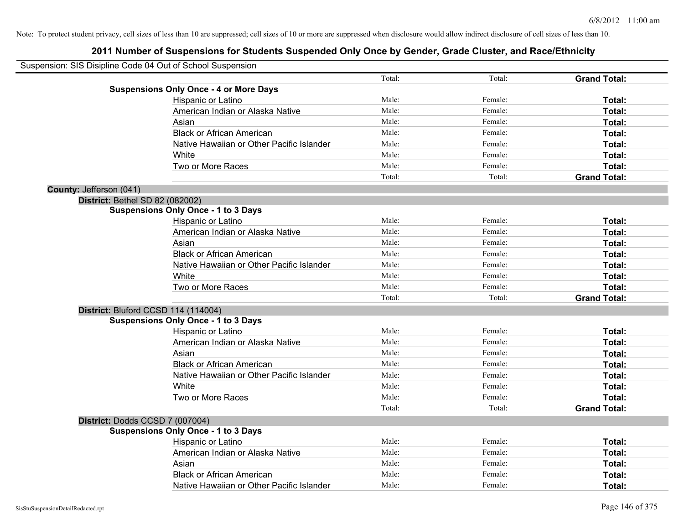|                         | Suspension: SIS Disipline Code 04 Out of School Suspension |        |         |                     |
|-------------------------|------------------------------------------------------------|--------|---------|---------------------|
|                         |                                                            | Total: | Total:  | <b>Grand Total:</b> |
|                         | <b>Suspensions Only Once - 4 or More Days</b>              |        |         |                     |
|                         | Hispanic or Latino                                         | Male:  | Female: | Total:              |
|                         | American Indian or Alaska Native                           | Male:  | Female: | Total:              |
|                         | Asian                                                      | Male:  | Female: | Total:              |
|                         | <b>Black or African American</b>                           | Male:  | Female: | Total:              |
|                         | Native Hawaiian or Other Pacific Islander                  | Male:  | Female: | Total:              |
|                         | White                                                      | Male:  | Female: | Total:              |
|                         | Two or More Races                                          | Male:  | Female: | Total:              |
|                         |                                                            | Total: | Total:  | <b>Grand Total:</b> |
| County: Jefferson (041) |                                                            |        |         |                     |
|                         | <b>District: Bethel SD 82 (082002)</b>                     |        |         |                     |
|                         | <b>Suspensions Only Once - 1 to 3 Days</b>                 |        |         |                     |
|                         | Hispanic or Latino                                         | Male:  | Female: | Total:              |
|                         | American Indian or Alaska Native                           | Male:  | Female: | Total:              |
|                         | Asian                                                      | Male:  | Female: | Total:              |
|                         | <b>Black or African American</b>                           | Male:  | Female: | Total:              |
|                         | Native Hawaiian or Other Pacific Islander                  | Male:  | Female: | Total:              |
|                         | White                                                      | Male:  | Female: | Total:              |
|                         | Two or More Races                                          | Male:  | Female: | Total:              |
|                         |                                                            | Total: | Total:  | <b>Grand Total:</b> |
|                         | District: Bluford CCSD 114 (114004)                        |        |         |                     |
|                         | <b>Suspensions Only Once - 1 to 3 Days</b>                 |        |         |                     |
|                         | Hispanic or Latino                                         | Male:  | Female: | Total:              |
|                         | American Indian or Alaska Native                           | Male:  | Female: | Total:              |
|                         | Asian                                                      | Male:  | Female: | Total:              |
|                         | <b>Black or African American</b>                           | Male:  | Female: | Total:              |
|                         | Native Hawaiian or Other Pacific Islander                  | Male:  | Female: | Total:              |
|                         | <b>White</b>                                               | Male:  | Female: | Total:              |
|                         | Two or More Races                                          | Male:  | Female: | Total:              |
|                         |                                                            | Total: | Total:  | <b>Grand Total:</b> |
|                         | District: Dodds CCSD 7 (007004)                            |        |         |                     |
|                         | <b>Suspensions Only Once - 1 to 3 Days</b>                 |        |         |                     |
|                         | Hispanic or Latino                                         | Male:  | Female: | Total:              |
|                         | American Indian or Alaska Native                           | Male:  | Female: | Total:              |
|                         | Asian                                                      | Male:  | Female: | Total:              |
|                         | <b>Black or African American</b>                           | Male:  | Female: | Total:              |
|                         | Native Hawaiian or Other Pacific Islander                  | Male:  | Female: | Total:              |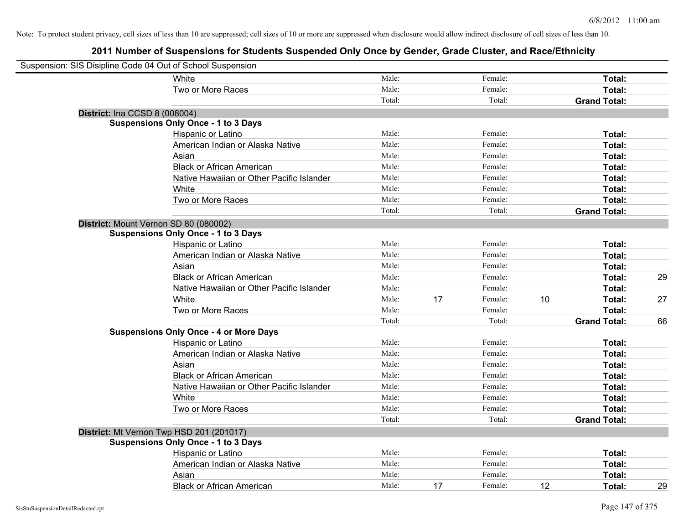| Suspension: SIS Disipline Code 04 Out of School Suspension |                                               |        |    |         |    |                     |    |
|------------------------------------------------------------|-----------------------------------------------|--------|----|---------|----|---------------------|----|
|                                                            | White                                         | Male:  |    | Female: |    | Total:              |    |
|                                                            | Two or More Races                             | Male:  |    | Female: |    | Total:              |    |
|                                                            |                                               | Total: |    | Total:  |    | <b>Grand Total:</b> |    |
| <b>District: Ina CCSD 8 (008004)</b>                       |                                               |        |    |         |    |                     |    |
|                                                            | <b>Suspensions Only Once - 1 to 3 Days</b>    |        |    |         |    |                     |    |
|                                                            | Hispanic or Latino                            | Male:  |    | Female: |    | Total:              |    |
|                                                            | American Indian or Alaska Native              | Male:  |    | Female: |    | Total:              |    |
|                                                            | Asian                                         | Male:  |    | Female: |    | Total:              |    |
|                                                            | <b>Black or African American</b>              | Male:  |    | Female: |    | Total:              |    |
|                                                            | Native Hawaiian or Other Pacific Islander     | Male:  |    | Female: |    | Total:              |    |
|                                                            | White                                         | Male:  |    | Female: |    | Total:              |    |
|                                                            | Two or More Races                             | Male:  |    | Female: |    | Total:              |    |
|                                                            |                                               | Total: |    | Total:  |    | <b>Grand Total:</b> |    |
| District: Mount Vernon SD 80 (080002)                      |                                               |        |    |         |    |                     |    |
|                                                            | <b>Suspensions Only Once - 1 to 3 Days</b>    |        |    |         |    |                     |    |
|                                                            | Hispanic or Latino                            | Male:  |    | Female: |    | Total:              |    |
|                                                            | American Indian or Alaska Native              | Male:  |    | Female: |    | Total:              |    |
|                                                            | Asian                                         | Male:  |    | Female: |    | Total:              |    |
|                                                            | <b>Black or African American</b>              | Male:  |    | Female: |    | Total:              | 29 |
|                                                            | Native Hawaiian or Other Pacific Islander     | Male:  |    | Female: |    | Total:              |    |
|                                                            | White                                         | Male:  | 17 | Female: | 10 | Total:              | 27 |
|                                                            | Two or More Races                             | Male:  |    | Female: |    | Total:              |    |
|                                                            |                                               | Total: |    | Total:  |    | <b>Grand Total:</b> | 66 |
|                                                            | <b>Suspensions Only Once - 4 or More Days</b> |        |    |         |    |                     |    |
|                                                            | Hispanic or Latino                            | Male:  |    | Female: |    | Total:              |    |
|                                                            | American Indian or Alaska Native              | Male:  |    | Female: |    | Total:              |    |
|                                                            | Asian                                         | Male:  |    | Female: |    | Total:              |    |
|                                                            | <b>Black or African American</b>              | Male:  |    | Female: |    | Total:              |    |
|                                                            | Native Hawaiian or Other Pacific Islander     | Male:  |    | Female: |    | Total:              |    |
|                                                            | White                                         | Male:  |    | Female: |    | Total:              |    |
|                                                            | Two or More Races                             | Male:  |    | Female: |    | Total:              |    |
|                                                            |                                               | Total: |    | Total:  |    | <b>Grand Total:</b> |    |
| District: Mt Vernon Twp HSD 201 (201017)                   |                                               |        |    |         |    |                     |    |
|                                                            | <b>Suspensions Only Once - 1 to 3 Days</b>    |        |    |         |    |                     |    |
|                                                            | Hispanic or Latino                            | Male:  |    | Female: |    | Total:              |    |
|                                                            | American Indian or Alaska Native              | Male:  |    | Female: |    | Total:              |    |
|                                                            | Asian                                         | Male:  |    | Female: |    | Total:              |    |
|                                                            | <b>Black or African American</b>              | Male:  | 17 | Female: | 12 | Total:              | 29 |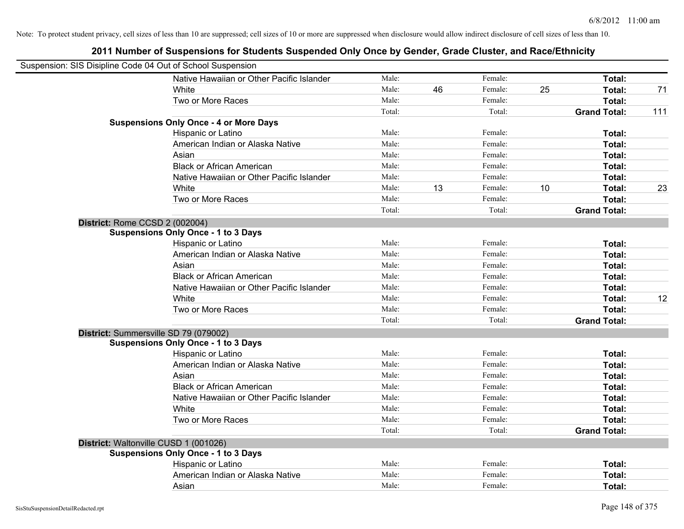| Suspension: SIS Disipline Code 04 Out of School Suspension |        |    |         |    |                     |     |
|------------------------------------------------------------|--------|----|---------|----|---------------------|-----|
| Native Hawaiian or Other Pacific Islander                  | Male:  |    | Female: |    | Total:              |     |
| White                                                      | Male:  | 46 | Female: | 25 | Total:              | 71  |
| Two or More Races                                          | Male:  |    | Female: |    | <b>Total:</b>       |     |
|                                                            | Total: |    | Total:  |    | <b>Grand Total:</b> | 111 |
| <b>Suspensions Only Once - 4 or More Days</b>              |        |    |         |    |                     |     |
| Hispanic or Latino                                         | Male:  |    | Female: |    | Total:              |     |
| American Indian or Alaska Native                           | Male:  |    | Female: |    | Total:              |     |
| Asian                                                      | Male:  |    | Female: |    | Total:              |     |
| <b>Black or African American</b>                           | Male:  |    | Female: |    | Total:              |     |
| Native Hawaiian or Other Pacific Islander                  | Male:  |    | Female: |    | Total:              |     |
| White                                                      | Male:  | 13 | Female: | 10 | Total:              | 23  |
| Two or More Races                                          | Male:  |    | Female: |    | Total:              |     |
|                                                            | Total: |    | Total:  |    | <b>Grand Total:</b> |     |
| District: Rome CCSD 2 (002004)                             |        |    |         |    |                     |     |
| <b>Suspensions Only Once - 1 to 3 Days</b>                 |        |    |         |    |                     |     |
| Hispanic or Latino                                         | Male:  |    | Female: |    | Total:              |     |
| American Indian or Alaska Native                           | Male:  |    | Female: |    | Total:              |     |
| Asian                                                      | Male:  |    | Female: |    | Total:              |     |
| <b>Black or African American</b>                           | Male:  |    | Female: |    | Total:              |     |
| Native Hawaiian or Other Pacific Islander                  | Male:  |    | Female: |    | Total:              |     |
| White                                                      | Male:  |    | Female: |    | Total:              | 12  |
| Two or More Races                                          | Male:  |    | Female: |    | Total:              |     |
|                                                            | Total: |    | Total:  |    | <b>Grand Total:</b> |     |
| District: Summersville SD 79 (079002)                      |        |    |         |    |                     |     |
| <b>Suspensions Only Once - 1 to 3 Days</b>                 |        |    |         |    |                     |     |
| Hispanic or Latino                                         | Male:  |    | Female: |    | Total:              |     |
| American Indian or Alaska Native                           | Male:  |    | Female: |    | Total:              |     |
| Asian                                                      | Male:  |    | Female: |    | Total:              |     |
| <b>Black or African American</b>                           | Male:  |    | Female: |    | Total:              |     |
| Native Hawaiian or Other Pacific Islander                  | Male:  |    | Female: |    | Total:              |     |
| White                                                      | Male:  |    | Female: |    | Total:              |     |
| Two or More Races                                          | Male:  |    | Female: |    | Total:              |     |
|                                                            | Total: |    | Total:  |    | <b>Grand Total:</b> |     |
| District: Waltonville CUSD 1 (001026)                      |        |    |         |    |                     |     |
| <b>Suspensions Only Once - 1 to 3 Days</b>                 |        |    |         |    |                     |     |
| Hispanic or Latino                                         | Male:  |    | Female: |    | Total:              |     |
| American Indian or Alaska Native                           | Male:  |    | Female: |    | Total:              |     |
| Asian                                                      | Male:  |    | Female: |    | Total:              |     |
|                                                            |        |    |         |    |                     |     |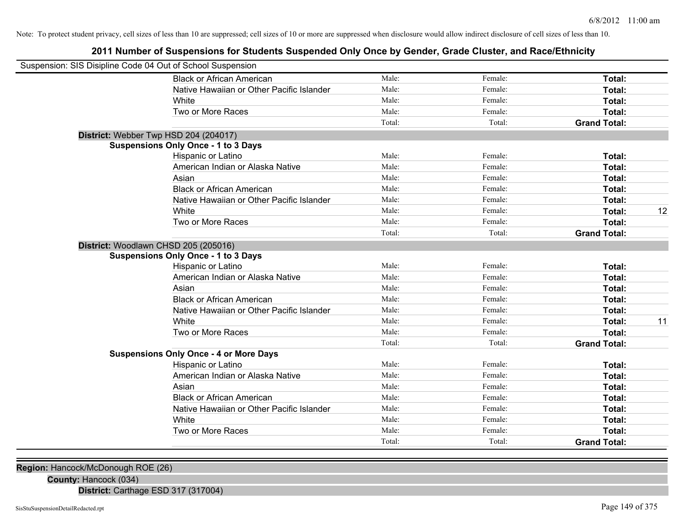# **2011 Number of Suspensions for Students Suspended Only Once by Gender, Grade Cluster, and Race/Ethnicity**

| Suspension: SIS Disipline Code 04 Out of School Suspension |        |         |                     |    |
|------------------------------------------------------------|--------|---------|---------------------|----|
| <b>Black or African American</b>                           | Male:  | Female: | Total:              |    |
| Native Hawaiian or Other Pacific Islander                  | Male:  | Female: | Total:              |    |
| White                                                      | Male:  | Female: | Total:              |    |
| Two or More Races                                          | Male:  | Female: | Total:              |    |
|                                                            | Total: | Total:  | <b>Grand Total:</b> |    |
| District: Webber Twp HSD 204 (204017)                      |        |         |                     |    |
| <b>Suspensions Only Once - 1 to 3 Days</b>                 |        |         |                     |    |
| Hispanic or Latino                                         | Male:  | Female: | Total:              |    |
| American Indian or Alaska Native                           | Male:  | Female: | Total:              |    |
| Asian                                                      | Male:  | Female: | Total:              |    |
| <b>Black or African American</b>                           | Male:  | Female: | Total:              |    |
| Native Hawaiian or Other Pacific Islander                  | Male:  | Female: | <b>Total:</b>       |    |
| White                                                      | Male:  | Female: | Total:              | 12 |
| Two or More Races                                          | Male:  | Female: | Total:              |    |
|                                                            | Total: | Total:  | <b>Grand Total:</b> |    |
| District: Woodlawn CHSD 205 (205016)                       |        |         |                     |    |
| <b>Suspensions Only Once - 1 to 3 Days</b>                 |        |         |                     |    |
| Hispanic or Latino                                         | Male:  | Female: | Total:              |    |
| American Indian or Alaska Native                           | Male:  | Female: | Total:              |    |
| Asian                                                      | Male:  | Female: | Total:              |    |
| <b>Black or African American</b>                           | Male:  | Female: | Total:              |    |
| Native Hawaiian or Other Pacific Islander                  | Male:  | Female: | Total:              |    |
| White                                                      | Male:  | Female: | Total:              | 11 |
| Two or More Races                                          | Male:  | Female: | Total:              |    |
|                                                            | Total: | Total:  | <b>Grand Total:</b> |    |
| <b>Suspensions Only Once - 4 or More Days</b>              |        |         |                     |    |
| <b>Hispanic or Latino</b>                                  | Male:  | Female: | Total:              |    |
| American Indian or Alaska Native                           | Male:  | Female: | Total:              |    |
| Asian                                                      | Male:  | Female: | Total:              |    |
| <b>Black or African American</b>                           | Male:  | Female: | Total:              |    |
| Native Hawaiian or Other Pacific Islander                  | Male:  | Female: | Total:              |    |
| White                                                      | Male:  | Female: | Total:              |    |
| Two or More Races                                          | Male:  | Female: | <b>Total:</b>       |    |
|                                                            | Total: | Total:  | <b>Grand Total:</b> |    |

**Region:** Hancock/McDonough ROE (26)

**County:** Hancock (034)

**District:** Carthage ESD 317 (317004)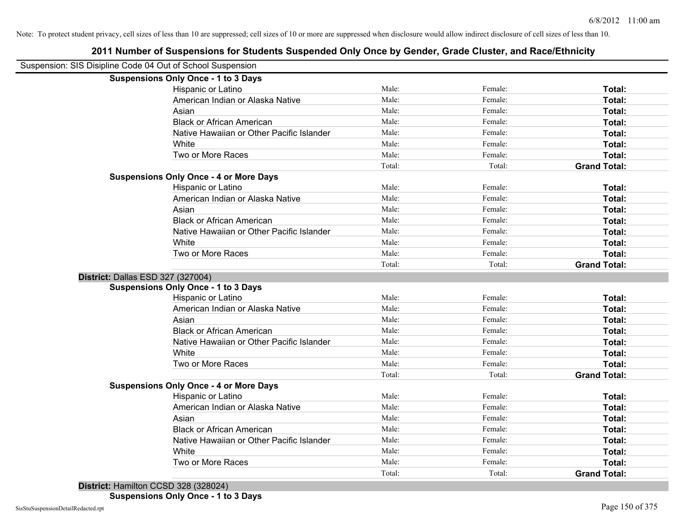| Suspension: SIS Disipline Code 04 Out of School Suspension |                                               |        |         |                     |
|------------------------------------------------------------|-----------------------------------------------|--------|---------|---------------------|
|                                                            | <b>Suspensions Only Once - 1 to 3 Days</b>    |        |         |                     |
|                                                            | Hispanic or Latino                            | Male:  | Female: | Total:              |
|                                                            | American Indian or Alaska Native              | Male:  | Female: | Total:              |
|                                                            | Asian                                         | Male:  | Female: | Total:              |
|                                                            | <b>Black or African American</b>              | Male:  | Female: | Total:              |
|                                                            | Native Hawaiian or Other Pacific Islander     | Male:  | Female: | Total:              |
|                                                            | White                                         | Male:  | Female: | Total:              |
|                                                            | Two or More Races                             | Male:  | Female: | Total:              |
|                                                            |                                               | Total: | Total:  | <b>Grand Total:</b> |
|                                                            | <b>Suspensions Only Once - 4 or More Days</b> |        |         |                     |
|                                                            | Hispanic or Latino                            | Male:  | Female: | Total:              |
|                                                            | American Indian or Alaska Native              | Male:  | Female: | Total:              |
|                                                            | Asian                                         | Male:  | Female: | Total:              |
|                                                            | <b>Black or African American</b>              | Male:  | Female: | Total:              |
|                                                            | Native Hawaiian or Other Pacific Islander     | Male:  | Female: | Total:              |
|                                                            | White                                         | Male:  | Female: | Total:              |
|                                                            | Two or More Races                             | Male:  | Female: | Total:              |
|                                                            |                                               | Total: | Total:  | <b>Grand Total:</b> |
| District: Dallas ESD 327 (327004)                          |                                               |        |         |                     |
|                                                            | <b>Suspensions Only Once - 1 to 3 Days</b>    |        |         |                     |
|                                                            | <b>Hispanic or Latino</b>                     | Male:  | Female: | Total:              |
|                                                            | American Indian or Alaska Native              | Male:  | Female: | Total:              |
|                                                            | Asian                                         | Male:  | Female: | Total:              |
|                                                            | <b>Black or African American</b>              | Male:  | Female: | Total:              |
|                                                            | Native Hawaiian or Other Pacific Islander     | Male:  | Female: | Total:              |
|                                                            | White                                         | Male:  | Female: | Total:              |
|                                                            | Two or More Races                             | Male:  | Female: | Total:              |
|                                                            |                                               | Total: | Total:  | <b>Grand Total:</b> |
|                                                            | <b>Suspensions Only Once - 4 or More Days</b> |        |         |                     |
|                                                            | Hispanic or Latino                            | Male:  | Female: | Total:              |
|                                                            | American Indian or Alaska Native              | Male:  | Female: | Total:              |
|                                                            | Asian                                         | Male:  | Female: | Total:              |
|                                                            | <b>Black or African American</b>              | Male:  | Female: | Total:              |
|                                                            | Native Hawaiian or Other Pacific Islander     | Male:  | Female: | Total:              |
|                                                            | White                                         | Male:  | Female: | Total:              |
|                                                            | Two or More Races                             | Male:  | Female: | Total:              |
|                                                            |                                               | Total: | Total:  | <b>Grand Total:</b> |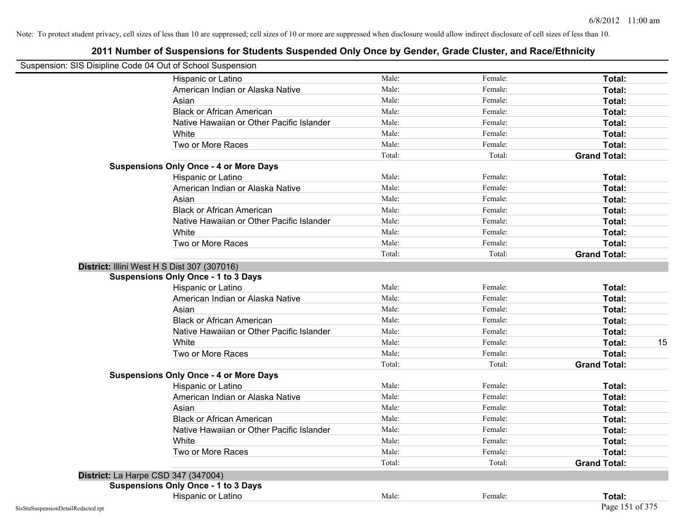|                                    | Suspension: SIS Disipline Code 04 Out of School Suspension |        |         |                     |
|------------------------------------|------------------------------------------------------------|--------|---------|---------------------|
|                                    | Hispanic or Latino                                         | Male:  | Female: | Total:              |
|                                    | American Indian or Alaska Native                           | Male:  | Female: | Total:              |
|                                    | Asian                                                      | Male:  | Female: | Total:              |
|                                    | <b>Black or African American</b>                           | Male:  | Female: | Total:              |
|                                    | Native Hawaiian or Other Pacific Islander                  | Male:  | Female: | Total:              |
|                                    | White                                                      | Male:  | Female: | Total:              |
|                                    | Two or More Races                                          | Male:  | Female: | Total:              |
|                                    |                                                            | Total: | Total:  | <b>Grand Total:</b> |
|                                    | <b>Suspensions Only Once - 4 or More Days</b>              |        |         |                     |
|                                    | Hispanic or Latino                                         | Male:  | Female: | Total:              |
|                                    | American Indian or Alaska Native                           | Male:  | Female: | Total:              |
|                                    | Asian                                                      | Male:  | Female: | Total:              |
|                                    | <b>Black or African American</b>                           | Male:  | Female: | Total:              |
|                                    | Native Hawaiian or Other Pacific Islander                  | Male:  | Female: | Total:              |
|                                    | White                                                      | Male:  | Female: | Total:              |
|                                    | Two or More Races                                          | Male:  | Female: | Total:              |
|                                    |                                                            | Total: | Total:  | <b>Grand Total:</b> |
|                                    | District: Illini West H S Dist 307 (307016)                |        |         |                     |
|                                    | <b>Suspensions Only Once - 1 to 3 Days</b>                 |        |         |                     |
|                                    | Hispanic or Latino                                         | Male:  | Female: | Total:              |
|                                    | American Indian or Alaska Native                           | Male:  | Female: | Total:              |
|                                    | Asian                                                      | Male:  | Female: | Total:              |
|                                    | <b>Black or African American</b>                           | Male:  | Female: | Total:              |
|                                    | Native Hawaiian or Other Pacific Islander                  | Male:  | Female: | Total:              |
|                                    | White                                                      | Male:  | Female: | 15<br>Total:        |
|                                    | Two or More Races                                          | Male:  | Female: | Total:              |
|                                    |                                                            | Total: | Total:  | <b>Grand Total:</b> |
|                                    | <b>Suspensions Only Once - 4 or More Days</b>              |        |         |                     |
|                                    | Hispanic or Latino                                         | Male:  | Female: | Total:              |
|                                    | American Indian or Alaska Native                           | Male:  | Female: | Total:              |
|                                    | Asian                                                      | Male:  | Female: | Total:              |
|                                    | <b>Black or African American</b>                           | Male:  | Female: | Total:              |
|                                    | Native Hawaiian or Other Pacific Islander                  | Male:  | Female: | Total:              |
|                                    | White                                                      | Male:  | Female: | Total:              |
|                                    | Two or More Races                                          | Male:  | Female: | Total:              |
|                                    |                                                            | Total: | Total:  | <b>Grand Total:</b> |
|                                    | District: La Harpe CSD 347 (347004)                        |        |         |                     |
|                                    | <b>Suspensions Only Once - 1 to 3 Days</b>                 |        |         |                     |
|                                    | Hispanic or Latino                                         | Male:  | Female: | Total:              |
| SisStuSuspensionDetailRedacted.rpt |                                                            |        |         | Page 151 of 375     |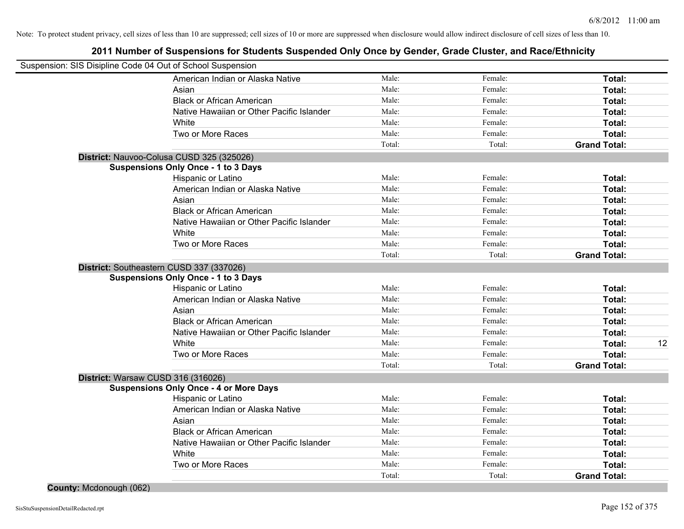|                         | Suspension: SIS Disipline Code 04 Out of School Suspension |        |         |                     |    |
|-------------------------|------------------------------------------------------------|--------|---------|---------------------|----|
|                         | American Indian or Alaska Native                           | Male:  | Female: | Total:              |    |
|                         | Asian                                                      | Male:  | Female: | Total:              |    |
|                         | <b>Black or African American</b>                           | Male:  | Female: | Total:              |    |
|                         | Native Hawaiian or Other Pacific Islander                  | Male:  | Female: | Total:              |    |
|                         | White                                                      | Male:  | Female: | Total:              |    |
|                         | Two or More Races                                          | Male:  | Female: | Total:              |    |
|                         |                                                            | Total: | Total:  | <b>Grand Total:</b> |    |
|                         | District: Nauvoo-Colusa CUSD 325 (325026)                  |        |         |                     |    |
|                         | <b>Suspensions Only Once - 1 to 3 Days</b>                 |        |         |                     |    |
|                         | Hispanic or Latino                                         | Male:  | Female: | Total:              |    |
|                         | American Indian or Alaska Native                           | Male:  | Female: | Total:              |    |
|                         | Asian                                                      | Male:  | Female: | Total:              |    |
|                         | <b>Black or African American</b>                           | Male:  | Female: | Total:              |    |
|                         | Native Hawaiian or Other Pacific Islander                  | Male:  | Female: | Total:              |    |
|                         | White                                                      | Male:  | Female: | Total:              |    |
|                         | Two or More Races                                          | Male:  | Female: | Total:              |    |
|                         |                                                            | Total: | Total:  | <b>Grand Total:</b> |    |
|                         | District: Southeastern CUSD 337 (337026)                   |        |         |                     |    |
|                         | <b>Suspensions Only Once - 1 to 3 Days</b>                 |        |         |                     |    |
|                         | Hispanic or Latino                                         | Male:  | Female: | Total:              |    |
|                         | American Indian or Alaska Native                           | Male:  | Female: | Total:              |    |
|                         | Asian                                                      | Male:  | Female: | Total:              |    |
|                         | <b>Black or African American</b>                           | Male:  | Female: | Total:              |    |
|                         | Native Hawaiian or Other Pacific Islander                  | Male:  | Female: | Total:              |    |
|                         | White                                                      | Male:  | Female: | Total:              | 12 |
|                         | Two or More Races                                          | Male:  | Female: | Total:              |    |
|                         |                                                            | Total: | Total:  | <b>Grand Total:</b> |    |
|                         | District: Warsaw CUSD 316 (316026)                         |        |         |                     |    |
|                         | <b>Suspensions Only Once - 4 or More Days</b>              |        |         |                     |    |
|                         | Hispanic or Latino                                         | Male:  | Female: | Total:              |    |
|                         | American Indian or Alaska Native                           | Male:  | Female: | Total:              |    |
|                         | Asian                                                      | Male:  | Female: | Total:              |    |
|                         | <b>Black or African American</b>                           | Male:  | Female: | Total:              |    |
|                         | Native Hawaiian or Other Pacific Islander                  | Male:  | Female: | Total:              |    |
|                         | White                                                      | Male:  | Female: | Total:              |    |
|                         | Two or More Races                                          | Male:  | Female: | Total:              |    |
|                         |                                                            | Total: | Total:  | <b>Grand Total:</b> |    |
| County: Mcdonough (062) |                                                            |        |         |                     |    |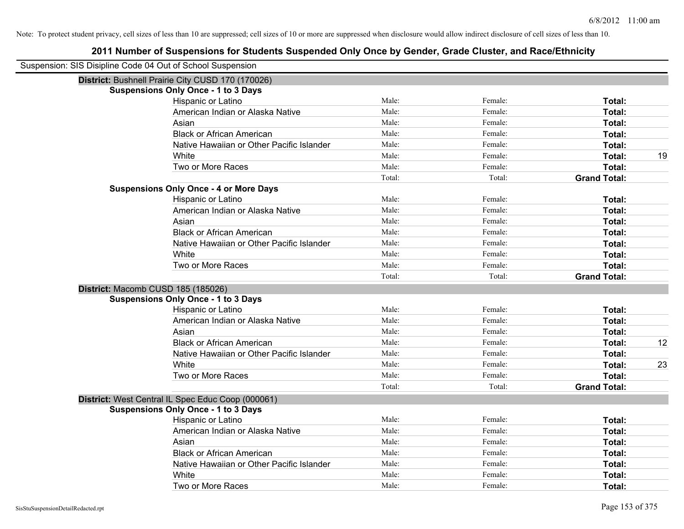| Suspension: SIS Disipline Code 04 Out of School Suspension |                                                   |        |         |                     |    |
|------------------------------------------------------------|---------------------------------------------------|--------|---------|---------------------|----|
|                                                            | District: Bushnell Prairie City CUSD 170 (170026) |        |         |                     |    |
|                                                            | <b>Suspensions Only Once - 1 to 3 Days</b>        |        |         |                     |    |
|                                                            | Hispanic or Latino                                | Male:  | Female: | Total:              |    |
|                                                            | American Indian or Alaska Native                  | Male:  | Female: | Total:              |    |
|                                                            | Asian                                             | Male:  | Female: | Total:              |    |
|                                                            | <b>Black or African American</b>                  | Male:  | Female: | Total:              |    |
|                                                            | Native Hawaiian or Other Pacific Islander         | Male:  | Female: | Total:              |    |
|                                                            | White                                             | Male:  | Female: | Total:              | 19 |
|                                                            | Two or More Races                                 | Male:  | Female: | Total:              |    |
|                                                            |                                                   | Total: | Total:  | <b>Grand Total:</b> |    |
|                                                            | <b>Suspensions Only Once - 4 or More Days</b>     |        |         |                     |    |
|                                                            | Hispanic or Latino                                | Male:  | Female: | Total:              |    |
|                                                            | American Indian or Alaska Native                  | Male:  | Female: | Total:              |    |
|                                                            | Asian                                             | Male:  | Female: | Total:              |    |
|                                                            | <b>Black or African American</b>                  | Male:  | Female: | Total:              |    |
|                                                            | Native Hawaiian or Other Pacific Islander         | Male:  | Female: | Total:              |    |
|                                                            | White                                             | Male:  | Female: | Total:              |    |
|                                                            | Two or More Races                                 | Male:  | Female: | Total:              |    |
|                                                            |                                                   | Total: | Total:  | <b>Grand Total:</b> |    |
| District: Macomb CUSD 185 (185026)                         |                                                   |        |         |                     |    |
|                                                            | <b>Suspensions Only Once - 1 to 3 Days</b>        |        |         |                     |    |
|                                                            | Hispanic or Latino                                | Male:  | Female: | Total:              |    |
|                                                            | American Indian or Alaska Native                  | Male:  | Female: | Total:              |    |
|                                                            | Asian                                             | Male:  | Female: | Total:              |    |
|                                                            | <b>Black or African American</b>                  | Male:  | Female: | Total:              | 12 |
|                                                            | Native Hawaiian or Other Pacific Islander         | Male:  | Female: | Total:              |    |
|                                                            | White                                             | Male:  | Female: | Total:              | 23 |
|                                                            | Two or More Races                                 | Male:  | Female: | Total:              |    |
|                                                            |                                                   | Total: | Total:  | <b>Grand Total:</b> |    |
|                                                            | District: West Central IL Spec Educ Coop (000061) |        |         |                     |    |
|                                                            | <b>Suspensions Only Once - 1 to 3 Days</b>        |        |         |                     |    |
|                                                            | Hispanic or Latino                                | Male:  | Female: | Total:              |    |
|                                                            | American Indian or Alaska Native                  | Male:  | Female: | Total:              |    |
|                                                            | Asian                                             | Male:  | Female: | Total:              |    |
|                                                            | <b>Black or African American</b>                  | Male:  | Female: | Total:              |    |
|                                                            | Native Hawaiian or Other Pacific Islander         | Male:  | Female: | Total:              |    |
|                                                            | White                                             | Male:  | Female: | <b>Total:</b>       |    |
|                                                            | Two or More Races                                 | Male:  | Female: | Total:              |    |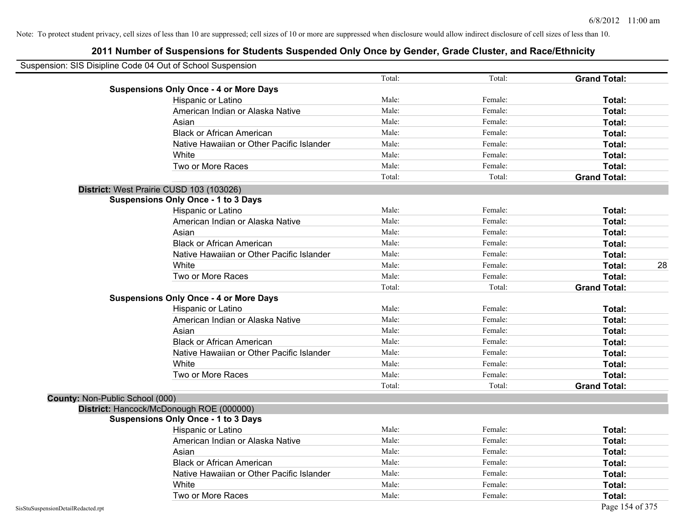| Suspension: SIS Disipline Code 04 Out of School Suspension |        |         |                     |
|------------------------------------------------------------|--------|---------|---------------------|
|                                                            | Total: | Total:  | <b>Grand Total:</b> |
| <b>Suspensions Only Once - 4 or More Days</b>              |        |         |                     |
| Hispanic or Latino                                         | Male:  | Female: | Total:              |
| American Indian or Alaska Native                           | Male:  | Female: | Total:              |
| Asian                                                      | Male:  | Female: | Total:              |
| <b>Black or African American</b>                           | Male:  | Female: | Total:              |
| Native Hawaiian or Other Pacific Islander                  | Male:  | Female: | Total:              |
| White                                                      | Male:  | Female: | Total:              |
| Two or More Races                                          | Male:  | Female: | Total:              |
|                                                            | Total: | Total:  | <b>Grand Total:</b> |
| District: West Prairie CUSD 103 (103026)                   |        |         |                     |
| <b>Suspensions Only Once - 1 to 3 Days</b>                 |        |         |                     |
| Hispanic or Latino                                         | Male:  | Female: | Total:              |
| American Indian or Alaska Native                           | Male:  | Female: | Total:              |
| Asian                                                      | Male:  | Female: | Total:              |
| <b>Black or African American</b>                           | Male:  | Female: | Total:              |
| Native Hawaiian or Other Pacific Islander                  | Male:  | Female: | Total:              |
| White                                                      | Male:  | Female: | 28<br>Total:        |
| Two or More Races                                          | Male:  | Female: | Total:              |
|                                                            | Total: | Total:  | <b>Grand Total:</b> |
| <b>Suspensions Only Once - 4 or More Days</b>              |        |         |                     |
| Hispanic or Latino                                         | Male:  | Female: | Total:              |
| American Indian or Alaska Native                           | Male:  | Female: | Total:              |
| Asian                                                      | Male:  | Female: | Total:              |
| <b>Black or African American</b>                           | Male:  | Female: | Total:              |
| Native Hawaiian or Other Pacific Islander                  | Male:  | Female: | Total:              |
| White                                                      | Male:  | Female: | Total:              |
| Two or More Races                                          | Male:  | Female: | Total:              |
|                                                            | Total: | Total:  | <b>Grand Total:</b> |
| County: Non-Public School (000)                            |        |         |                     |
| District: Hancock/McDonough ROE (000000)                   |        |         |                     |
| <b>Suspensions Only Once - 1 to 3 Days</b>                 |        |         |                     |
| Hispanic or Latino                                         | Male:  | Female: | Total:              |
| American Indian or Alaska Native                           | Male:  | Female: | Total:              |
| Asian                                                      | Male:  | Female: | Total:              |
| <b>Black or African American</b>                           | Male:  | Female: | Total:              |
| Native Hawaiian or Other Pacific Islander                  | Male:  | Female: | Total:              |
| White                                                      | Male:  | Female: | Total:              |
| Two or More Races                                          | Male:  | Female: | Total:              |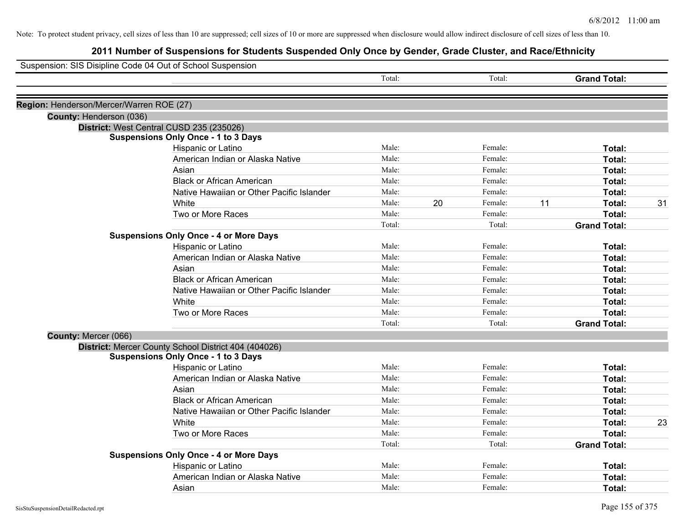| Suspension: SIS Disipline Code 04 Out of School Suspension |                                                                                        |        |    |         |    |                     |    |
|------------------------------------------------------------|----------------------------------------------------------------------------------------|--------|----|---------|----|---------------------|----|
|                                                            |                                                                                        | Total: |    | Total:  |    | <b>Grand Total:</b> |    |
|                                                            |                                                                                        |        |    |         |    |                     |    |
| Region: Henderson/Mercer/Warren ROE (27)                   |                                                                                        |        |    |         |    |                     |    |
| County: Henderson (036)                                    |                                                                                        |        |    |         |    |                     |    |
|                                                            | District: West Central CUSD 235 (235026)<br><b>Suspensions Only Once - 1 to 3 Days</b> |        |    |         |    |                     |    |
|                                                            | Hispanic or Latino                                                                     | Male:  |    | Female: |    | Total:              |    |
|                                                            | American Indian or Alaska Native                                                       | Male:  |    | Female: |    | Total:              |    |
|                                                            | Asian                                                                                  | Male:  |    | Female: |    | Total:              |    |
|                                                            | <b>Black or African American</b>                                                       | Male:  |    | Female: |    | Total:              |    |
|                                                            | Native Hawaiian or Other Pacific Islander                                              | Male:  |    | Female: |    | Total:              |    |
|                                                            | White                                                                                  | Male:  | 20 | Female: | 11 | Total:              | 31 |
|                                                            | Two or More Races                                                                      | Male:  |    | Female: |    | Total:              |    |
|                                                            |                                                                                        | Total: |    | Total:  |    | <b>Grand Total:</b> |    |
|                                                            | <b>Suspensions Only Once - 4 or More Days</b>                                          |        |    |         |    |                     |    |
|                                                            | Hispanic or Latino                                                                     | Male:  |    | Female: |    | Total:              |    |
|                                                            | American Indian or Alaska Native                                                       | Male:  |    | Female: |    | Total:              |    |
|                                                            | Asian                                                                                  | Male:  |    | Female: |    | Total:              |    |
|                                                            | <b>Black or African American</b>                                                       | Male:  |    | Female: |    | Total:              |    |
|                                                            | Native Hawaiian or Other Pacific Islander                                              | Male:  |    | Female: |    | Total:              |    |
|                                                            | White                                                                                  | Male:  |    | Female: |    | Total:              |    |
|                                                            | Two or More Races                                                                      | Male:  |    | Female: |    | Total:              |    |
|                                                            |                                                                                        | Total: |    | Total:  |    | <b>Grand Total:</b> |    |
| County: Mercer (066)                                       |                                                                                        |        |    |         |    |                     |    |
|                                                            | District: Mercer County School District 404 (404026)                                   |        |    |         |    |                     |    |
|                                                            | <b>Suspensions Only Once - 1 to 3 Days</b>                                             |        |    |         |    |                     |    |
|                                                            | Hispanic or Latino                                                                     | Male:  |    | Female: |    | Total:              |    |
|                                                            | American Indian or Alaska Native                                                       | Male:  |    | Female: |    | Total:              |    |
|                                                            | Asian                                                                                  | Male:  |    | Female: |    | Total:              |    |
|                                                            | <b>Black or African American</b>                                                       | Male:  |    | Female: |    | Total:              |    |
|                                                            | Native Hawaiian or Other Pacific Islander                                              | Male:  |    | Female: |    | Total:              |    |
|                                                            | White                                                                                  | Male:  |    | Female: |    | Total:              | 23 |
|                                                            | Two or More Races                                                                      | Male:  |    | Female: |    | Total:              |    |
|                                                            |                                                                                        | Total: |    | Total:  |    | <b>Grand Total:</b> |    |
|                                                            | <b>Suspensions Only Once - 4 or More Days</b>                                          |        |    |         |    |                     |    |
|                                                            | Hispanic or Latino                                                                     | Male:  |    | Female: |    | Total:              |    |
|                                                            | American Indian or Alaska Native                                                       | Male:  |    | Female: |    | Total:              |    |
|                                                            | Asian                                                                                  | Male:  |    | Female: |    | Total:              |    |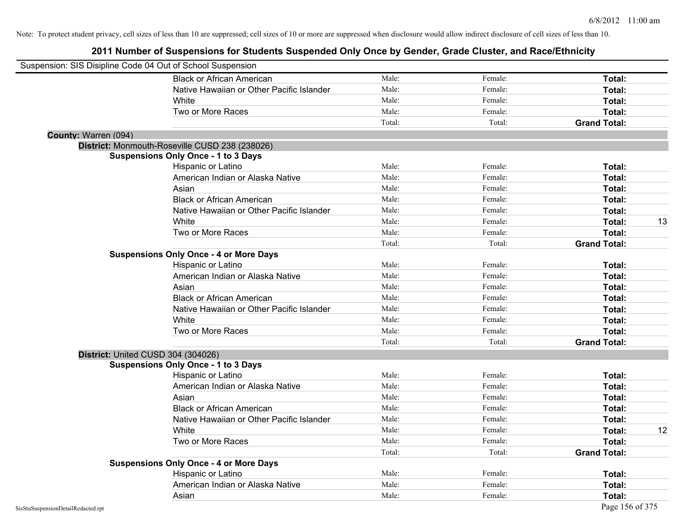|                      | Suspension: SIS Disipline Code 04 Out of School Suspension |        |         |                     |    |
|----------------------|------------------------------------------------------------|--------|---------|---------------------|----|
|                      | <b>Black or African American</b>                           | Male:  | Female: | Total:              |    |
|                      | Native Hawaiian or Other Pacific Islander                  | Male:  | Female: | Total:              |    |
|                      | White                                                      | Male:  | Female: | Total:              |    |
|                      | Two or More Races                                          | Male:  | Female: | Total:              |    |
|                      |                                                            | Total: | Total:  | <b>Grand Total:</b> |    |
| County: Warren (094) |                                                            |        |         |                     |    |
|                      | District: Monmouth-Roseville CUSD 238 (238026)             |        |         |                     |    |
|                      | <b>Suspensions Only Once - 1 to 3 Days</b>                 |        |         |                     |    |
|                      | Hispanic or Latino                                         | Male:  | Female: | Total:              |    |
|                      | American Indian or Alaska Native                           | Male:  | Female: | Total:              |    |
|                      | Asian                                                      | Male:  | Female: | Total:              |    |
|                      | <b>Black or African American</b>                           | Male:  | Female: | Total:              |    |
|                      | Native Hawaiian or Other Pacific Islander                  | Male:  | Female: | Total:              |    |
|                      | White                                                      | Male:  | Female: | Total:              | 13 |
|                      | Two or More Races                                          | Male:  | Female: | Total:              |    |
|                      |                                                            | Total: | Total:  | <b>Grand Total:</b> |    |
|                      | <b>Suspensions Only Once - 4 or More Days</b>              |        |         |                     |    |
|                      | Hispanic or Latino                                         | Male:  | Female: | <b>Total:</b>       |    |
|                      | American Indian or Alaska Native                           | Male:  | Female: | Total:              |    |
|                      | Asian                                                      | Male:  | Female: | Total:              |    |
|                      | <b>Black or African American</b>                           | Male:  | Female: | Total:              |    |
|                      | Native Hawaiian or Other Pacific Islander                  | Male:  | Female: | Total:              |    |
|                      | White                                                      | Male:  | Female: | Total:              |    |
|                      | Two or More Races                                          | Male:  | Female: | Total:              |    |
|                      |                                                            | Total: | Total:  | <b>Grand Total:</b> |    |
|                      | District: United CUSD 304 (304026)                         |        |         |                     |    |
|                      | <b>Suspensions Only Once - 1 to 3 Days</b>                 |        |         |                     |    |
|                      | Hispanic or Latino                                         | Male:  | Female: | Total:              |    |
|                      | American Indian or Alaska Native                           | Male:  | Female: | Total:              |    |
|                      | Asian                                                      | Male:  | Female: | Total:              |    |
|                      | <b>Black or African American</b>                           | Male:  | Female: | Total:              |    |
|                      | Native Hawaiian or Other Pacific Islander                  | Male:  | Female: | Total:              |    |
|                      | White                                                      | Male:  | Female: | Total:              | 12 |
|                      | Two or More Races                                          | Male:  | Female: | Total:              |    |
|                      |                                                            | Total: | Total:  | <b>Grand Total:</b> |    |
|                      | <b>Suspensions Only Once - 4 or More Days</b>              |        |         |                     |    |
|                      | Hispanic or Latino                                         | Male:  | Female: | Total:              |    |
|                      | American Indian or Alaska Native                           | Male:  | Female: | <b>Total:</b>       |    |
|                      | Asian                                                      | Male:  | Female: | Total:              |    |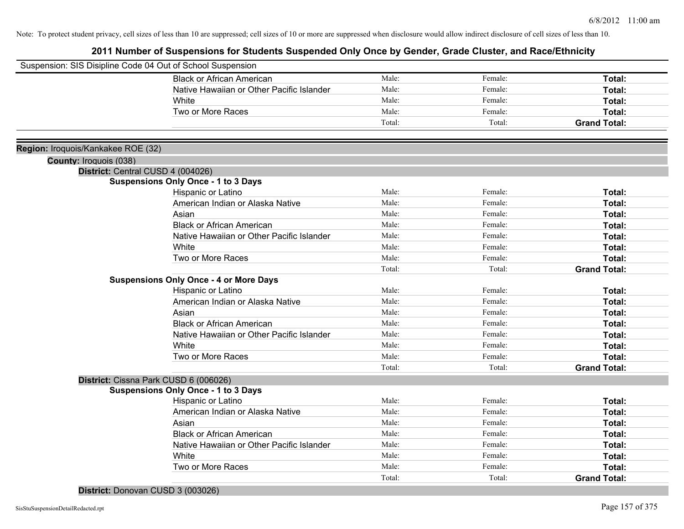| Suspension: SIS Disipline Code 04 Out of School Suspension |                                               |        |         |                     |
|------------------------------------------------------------|-----------------------------------------------|--------|---------|---------------------|
|                                                            | <b>Black or African American</b>              | Male:  | Female: | <b>Total:</b>       |
|                                                            | Native Hawaiian or Other Pacific Islander     | Male:  | Female: | Total:              |
|                                                            | White                                         | Male:  | Female: | Total:              |
|                                                            | Two or More Races                             | Male:  | Female: | <b>Total:</b>       |
|                                                            |                                               | Total: | Total:  | <b>Grand Total:</b> |
|                                                            |                                               |        |         |                     |
| Region: Iroquois/Kankakee ROE (32)                         |                                               |        |         |                     |
| County: Iroquois (038)                                     |                                               |        |         |                     |
|                                                            | District: Central CUSD 4 (004026)             |        |         |                     |
|                                                            | <b>Suspensions Only Once - 1 to 3 Days</b>    |        |         |                     |
|                                                            | Hispanic or Latino                            | Male:  | Female: | Total:              |
|                                                            | American Indian or Alaska Native              | Male:  | Female: | Total:              |
|                                                            | Asian                                         | Male:  | Female: | Total:              |
|                                                            | <b>Black or African American</b>              | Male:  | Female: | Total:              |
|                                                            | Native Hawaiian or Other Pacific Islander     | Male:  | Female: | Total:              |
|                                                            | <b>White</b>                                  | Male:  | Female: | Total:              |
|                                                            | Two or More Races                             | Male:  | Female: | Total:              |
|                                                            |                                               | Total: | Total:  | <b>Grand Total:</b> |
|                                                            | <b>Suspensions Only Once - 4 or More Days</b> |        |         |                     |
|                                                            | Hispanic or Latino                            | Male:  | Female: | Total:              |
|                                                            | American Indian or Alaska Native              | Male:  | Female: | <b>Total:</b>       |
|                                                            | Asian                                         | Male:  | Female: | <b>Total:</b>       |
|                                                            | <b>Black or African American</b>              | Male:  | Female: | Total:              |
|                                                            | Native Hawaiian or Other Pacific Islander     | Male:  | Female: | Total:              |
|                                                            | White                                         | Male:  | Female: | Total:              |
|                                                            | Two or More Races                             | Male:  | Female: | Total:              |
|                                                            |                                               | Total: | Total:  | <b>Grand Total:</b> |
|                                                            | District: Cissna Park CUSD 6 (006026)         |        |         |                     |
|                                                            | <b>Suspensions Only Once - 1 to 3 Days</b>    |        |         |                     |
|                                                            | Hispanic or Latino                            | Male:  | Female: | <b>Total:</b>       |
|                                                            | American Indian or Alaska Native              | Male:  | Female: | <b>Total:</b>       |
|                                                            | Asian                                         | Male:  | Female: | Total:              |
|                                                            | <b>Black or African American</b>              | Male:  | Female: | Total:              |
|                                                            | Native Hawaiian or Other Pacific Islander     | Male:  | Female: | Total:              |
|                                                            | White                                         | Male:  | Female: | Total:              |
|                                                            | Two or More Races                             | Male:  | Female: | <b>Total:</b>       |
|                                                            |                                               | Total: | Total:  | <b>Grand Total:</b> |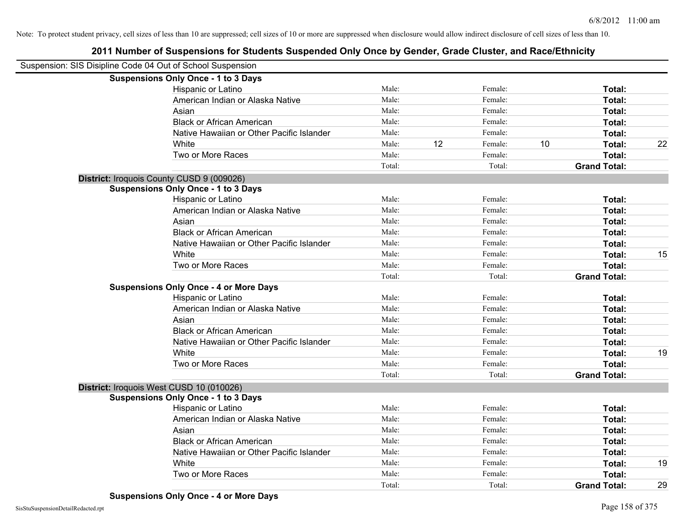| Suspension: SIS Disipline Code 04 Out of School Suspension |                                               |        |    |         |    |                     |    |
|------------------------------------------------------------|-----------------------------------------------|--------|----|---------|----|---------------------|----|
|                                                            | <b>Suspensions Only Once - 1 to 3 Days</b>    |        |    |         |    |                     |    |
|                                                            | Hispanic or Latino                            | Male:  |    | Female: |    | Total:              |    |
|                                                            | American Indian or Alaska Native              | Male:  |    | Female: |    | Total:              |    |
|                                                            | Asian                                         | Male:  |    | Female: |    | Total:              |    |
|                                                            | <b>Black or African American</b>              | Male:  |    | Female: |    | Total:              |    |
|                                                            | Native Hawaiian or Other Pacific Islander     | Male:  |    | Female: |    | Total:              |    |
|                                                            | White                                         | Male:  | 12 | Female: | 10 | Total:              | 22 |
|                                                            | Two or More Races                             | Male:  |    | Female: |    | Total:              |    |
|                                                            |                                               | Total: |    | Total:  |    | <b>Grand Total:</b> |    |
|                                                            | District: Iroquois County CUSD 9 (009026)     |        |    |         |    |                     |    |
|                                                            | <b>Suspensions Only Once - 1 to 3 Days</b>    |        |    |         |    |                     |    |
|                                                            | Hispanic or Latino                            | Male:  |    | Female: |    | Total:              |    |
|                                                            | American Indian or Alaska Native              | Male:  |    | Female: |    | Total:              |    |
|                                                            | Asian                                         | Male:  |    | Female: |    | Total:              |    |
|                                                            | <b>Black or African American</b>              | Male:  |    | Female: |    | Total:              |    |
|                                                            | Native Hawaiian or Other Pacific Islander     | Male:  |    | Female: |    | Total:              |    |
|                                                            | White                                         | Male:  |    | Female: |    | Total:              | 15 |
|                                                            | Two or More Races                             | Male:  |    | Female: |    | Total:              |    |
|                                                            |                                               | Total: |    | Total:  |    | <b>Grand Total:</b> |    |
|                                                            | <b>Suspensions Only Once - 4 or More Days</b> |        |    |         |    |                     |    |
|                                                            | Hispanic or Latino                            | Male:  |    | Female: |    | Total:              |    |
|                                                            | American Indian or Alaska Native              | Male:  |    | Female: |    | Total:              |    |
|                                                            | Asian                                         | Male:  |    | Female: |    | Total:              |    |
|                                                            | <b>Black or African American</b>              | Male:  |    | Female: |    | Total:              |    |
|                                                            | Native Hawaiian or Other Pacific Islander     | Male:  |    | Female: |    | Total:              |    |
|                                                            | White                                         | Male:  |    | Female: |    | Total:              | 19 |
|                                                            | Two or More Races                             | Male:  |    | Female: |    | Total:              |    |
|                                                            |                                               | Total: |    | Total:  |    | <b>Grand Total:</b> |    |
|                                                            | District: Iroquois West CUSD 10 (010026)      |        |    |         |    |                     |    |
|                                                            | <b>Suspensions Only Once - 1 to 3 Days</b>    |        |    |         |    |                     |    |
|                                                            | Hispanic or Latino                            | Male:  |    | Female: |    | Total:              |    |
|                                                            | American Indian or Alaska Native              | Male:  |    | Female: |    | Total:              |    |
|                                                            | Asian                                         | Male:  |    | Female: |    | Total:              |    |
|                                                            | <b>Black or African American</b>              | Male:  |    | Female: |    | Total:              |    |
|                                                            | Native Hawaiian or Other Pacific Islander     | Male:  |    | Female: |    | Total:              |    |
|                                                            | White                                         | Male:  |    | Female: |    | Total:              | 19 |
|                                                            | Two or More Races                             | Male:  |    | Female: |    | <b>Total:</b>       |    |
|                                                            |                                               | Total: |    | Total:  |    | <b>Grand Total:</b> | 29 |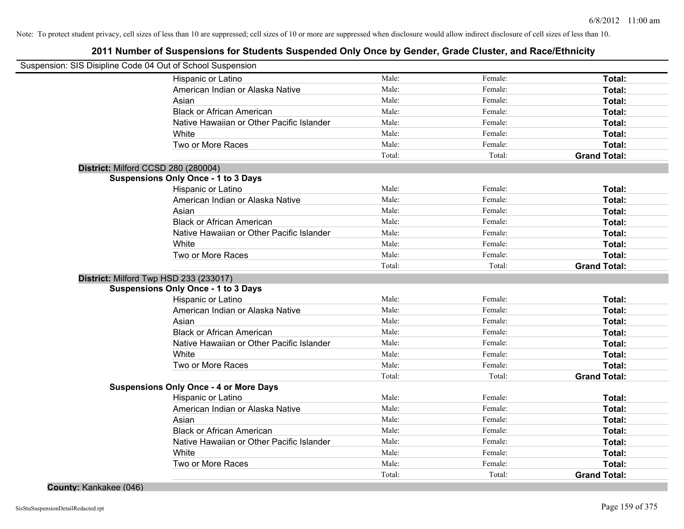# **2011 Number of Suspensions for Students Suspended Only Once by Gender, Grade Cluster, and Race/Ethnicity**

| Suspension: SIS Disipline Code 04 Out of School Suspension |                                               |        |         |                     |
|------------------------------------------------------------|-----------------------------------------------|--------|---------|---------------------|
|                                                            | Hispanic or Latino                            | Male:  | Female: | Total:              |
|                                                            | American Indian or Alaska Native              | Male:  | Female: | Total:              |
|                                                            | Asian                                         | Male:  | Female: | Total:              |
|                                                            | <b>Black or African American</b>              | Male:  | Female: | Total:              |
|                                                            | Native Hawaiian or Other Pacific Islander     | Male:  | Female: | Total:              |
|                                                            | White                                         | Male:  | Female: | Total:              |
|                                                            | Two or More Races                             | Male:  | Female: | Total:              |
|                                                            |                                               | Total: | Total:  | <b>Grand Total:</b> |
| District: Milford CCSD 280 (280004)                        |                                               |        |         |                     |
|                                                            | <b>Suspensions Only Once - 1 to 3 Days</b>    |        |         |                     |
|                                                            | Hispanic or Latino                            | Male:  | Female: | Total:              |
|                                                            | American Indian or Alaska Native              | Male:  | Female: | Total:              |
|                                                            | Asian                                         | Male:  | Female: | Total:              |
|                                                            | <b>Black or African American</b>              | Male:  | Female: | Total:              |
|                                                            | Native Hawaiian or Other Pacific Islander     | Male:  | Female: | Total:              |
|                                                            | White                                         | Male:  | Female: | Total:              |
|                                                            | Two or More Races                             | Male:  | Female: | <b>Total:</b>       |
|                                                            |                                               | Total: | Total:  | <b>Grand Total:</b> |
|                                                            | District: Milford Twp HSD 233 (233017)        |        |         |                     |
|                                                            | <b>Suspensions Only Once - 1 to 3 Days</b>    |        |         |                     |
|                                                            | Hispanic or Latino                            | Male:  | Female: | Total:              |
|                                                            | American Indian or Alaska Native              | Male:  | Female: | Total:              |
|                                                            | Asian                                         | Male:  | Female: | Total:              |
|                                                            | <b>Black or African American</b>              | Male:  | Female: | Total:              |
|                                                            | Native Hawaiian or Other Pacific Islander     | Male:  | Female: | Total:              |
|                                                            | White                                         | Male:  | Female: | Total:              |
|                                                            | Two or More Races                             | Male:  | Female: | Total:              |
|                                                            |                                               | Total: | Total:  | <b>Grand Total:</b> |
|                                                            | <b>Suspensions Only Once - 4 or More Days</b> |        |         |                     |
|                                                            | <b>Hispanic or Latino</b>                     | Male:  | Female: | Total:              |
|                                                            | American Indian or Alaska Native              | Male:  | Female: | Total:              |
|                                                            | Asian                                         | Male:  | Female: | Total:              |
|                                                            | <b>Black or African American</b>              | Male:  | Female: | Total:              |
|                                                            | Native Hawaiian or Other Pacific Islander     | Male:  | Female: | Total:              |
|                                                            | White                                         | Male:  | Female: | Total:              |
|                                                            | Two or More Races                             | Male:  | Female: | <b>Total:</b>       |
|                                                            |                                               | Total: | Total:  | <b>Grand Total:</b> |

**County:** Kankakee (046)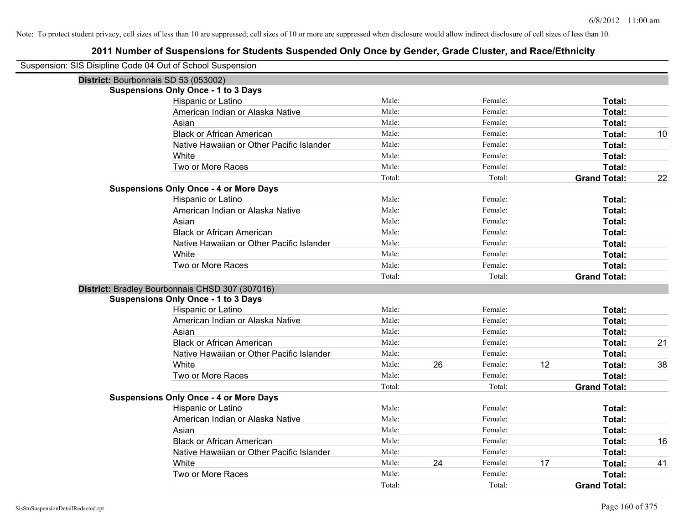| Suspension: SIS Disipline Code 04 Out of School Suspension |                                                 |        |    |         |    |                     |    |
|------------------------------------------------------------|-------------------------------------------------|--------|----|---------|----|---------------------|----|
| District: Bourbonnais SD 53 (053002)                       |                                                 |        |    |         |    |                     |    |
|                                                            | <b>Suspensions Only Once - 1 to 3 Days</b>      |        |    |         |    |                     |    |
|                                                            | Hispanic or Latino                              | Male:  |    | Female: |    | Total:              |    |
|                                                            | American Indian or Alaska Native                | Male:  |    | Female: |    | Total:              |    |
|                                                            | Asian                                           | Male:  |    | Female: |    | Total:              |    |
|                                                            | <b>Black or African American</b>                | Male:  |    | Female: |    | Total:              | 10 |
|                                                            | Native Hawaiian or Other Pacific Islander       | Male:  |    | Female: |    | Total:              |    |
|                                                            | White                                           | Male:  |    | Female: |    | Total:              |    |
|                                                            | Two or More Races                               | Male:  |    | Female: |    | Total:              |    |
|                                                            |                                                 | Total: |    | Total:  |    | <b>Grand Total:</b> | 22 |
|                                                            | <b>Suspensions Only Once - 4 or More Days</b>   |        |    |         |    |                     |    |
|                                                            | Hispanic or Latino                              | Male:  |    | Female: |    | Total:              |    |
|                                                            | American Indian or Alaska Native                | Male:  |    | Female: |    | Total:              |    |
|                                                            | Asian                                           | Male:  |    | Female: |    | Total:              |    |
|                                                            | <b>Black or African American</b>                | Male:  |    | Female: |    | Total:              |    |
|                                                            | Native Hawaiian or Other Pacific Islander       | Male:  |    | Female: |    | <b>Total:</b>       |    |
|                                                            | White                                           | Male:  |    | Female: |    | Total:              |    |
|                                                            | Two or More Races                               | Male:  |    | Female: |    | Total:              |    |
|                                                            |                                                 | Total: |    | Total:  |    | <b>Grand Total:</b> |    |
|                                                            | District: Bradley Bourbonnais CHSD 307 (307016) |        |    |         |    |                     |    |
|                                                            | <b>Suspensions Only Once - 1 to 3 Days</b>      |        |    |         |    |                     |    |
|                                                            | Hispanic or Latino                              | Male:  |    | Female: |    | Total:              |    |
|                                                            | American Indian or Alaska Native                | Male:  |    | Female: |    | Total:              |    |
|                                                            | Asian                                           | Male:  |    | Female: |    | Total:              |    |
|                                                            | <b>Black or African American</b>                | Male:  |    | Female: |    | Total:              | 21 |
|                                                            | Native Hawaiian or Other Pacific Islander       | Male:  |    | Female: |    | Total:              |    |
|                                                            | White                                           | Male:  | 26 | Female: | 12 | Total:              | 38 |
|                                                            | Two or More Races                               | Male:  |    | Female: |    | Total:              |    |
|                                                            |                                                 | Total: |    | Total:  |    | <b>Grand Total:</b> |    |
|                                                            | <b>Suspensions Only Once - 4 or More Days</b>   |        |    |         |    |                     |    |
|                                                            | Hispanic or Latino                              | Male:  |    | Female: |    | Total:              |    |
|                                                            | American Indian or Alaska Native                | Male:  |    | Female: |    | Total:              |    |
|                                                            | Asian                                           | Male:  |    | Female: |    | Total:              |    |
|                                                            | <b>Black or African American</b>                | Male:  |    | Female: |    | Total:              | 16 |
|                                                            | Native Hawaiian or Other Pacific Islander       | Male:  |    | Female: |    | Total:              |    |
|                                                            | White                                           | Male:  | 24 | Female: | 17 | Total:              | 41 |
|                                                            | Two or More Races                               | Male:  |    | Female: |    | Total:              |    |
|                                                            |                                                 | Total: |    | Total:  |    | <b>Grand Total:</b> |    |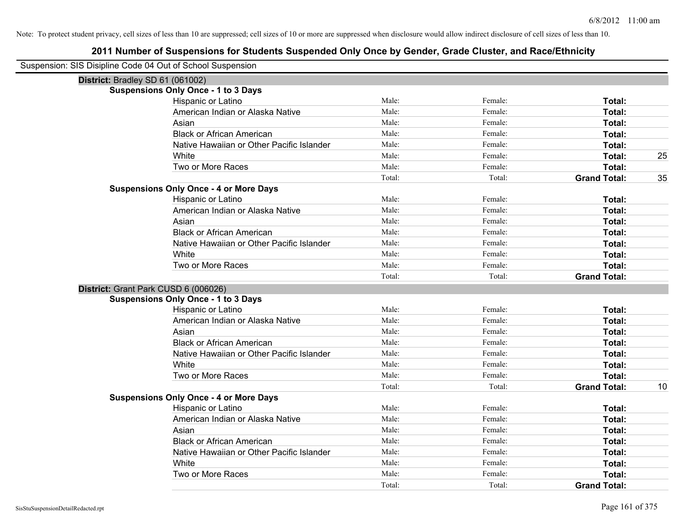| Suspension: SIS Disipline Code 04 Out of School Suspension |                                               |        |         |                     |    |
|------------------------------------------------------------|-----------------------------------------------|--------|---------|---------------------|----|
| District: Bradley SD 61 (061002)                           |                                               |        |         |                     |    |
|                                                            | <b>Suspensions Only Once - 1 to 3 Days</b>    |        |         |                     |    |
|                                                            | Hispanic or Latino                            | Male:  | Female: | Total:              |    |
|                                                            | American Indian or Alaska Native              | Male:  | Female: | Total:              |    |
|                                                            | Asian                                         | Male:  | Female: | Total:              |    |
|                                                            | <b>Black or African American</b>              | Male:  | Female: | Total:              |    |
|                                                            | Native Hawaiian or Other Pacific Islander     | Male:  | Female: | Total:              |    |
|                                                            | White                                         | Male:  | Female: | Total:              | 25 |
|                                                            | Two or More Races                             | Male:  | Female: | Total:              |    |
|                                                            |                                               | Total: | Total:  | <b>Grand Total:</b> | 35 |
|                                                            | <b>Suspensions Only Once - 4 or More Days</b> |        |         |                     |    |
|                                                            | Hispanic or Latino                            | Male:  | Female: | Total:              |    |
|                                                            | American Indian or Alaska Native              | Male:  | Female: | Total:              |    |
|                                                            | Asian                                         | Male:  | Female: | Total:              |    |
|                                                            | <b>Black or African American</b>              | Male:  | Female: | Total:              |    |
|                                                            | Native Hawaiian or Other Pacific Islander     | Male:  | Female: | Total:              |    |
|                                                            | White                                         | Male:  | Female: | Total:              |    |
|                                                            | Two or More Races                             | Male:  | Female: | Total:              |    |
|                                                            |                                               | Total: | Total:  | <b>Grand Total:</b> |    |
| District: Grant Park CUSD 6 (006026)                       |                                               |        |         |                     |    |
|                                                            | <b>Suspensions Only Once - 1 to 3 Days</b>    |        |         |                     |    |
|                                                            | Hispanic or Latino                            | Male:  | Female: | Total:              |    |
|                                                            | American Indian or Alaska Native              | Male:  | Female: | Total:              |    |
|                                                            | Asian                                         | Male:  | Female: | Total:              |    |
|                                                            | <b>Black or African American</b>              | Male:  | Female: | Total:              |    |
|                                                            | Native Hawaiian or Other Pacific Islander     | Male:  | Female: | Total:              |    |
|                                                            | White                                         | Male:  | Female: | Total:              |    |
|                                                            | Two or More Races                             | Male:  | Female: | Total:              |    |
|                                                            |                                               | Total: | Total:  | <b>Grand Total:</b> | 10 |
|                                                            | <b>Suspensions Only Once - 4 or More Days</b> |        |         |                     |    |
|                                                            | Hispanic or Latino                            | Male:  | Female: | Total:              |    |
|                                                            | American Indian or Alaska Native              | Male:  | Female: | Total:              |    |
|                                                            | Asian                                         | Male:  | Female: | Total:              |    |
|                                                            | <b>Black or African American</b>              | Male:  | Female: | Total:              |    |
|                                                            | Native Hawaiian or Other Pacific Islander     | Male:  | Female: | Total:              |    |
|                                                            | White                                         | Male:  | Female: | Total:              |    |
|                                                            | Two or More Races                             | Male:  | Female: | Total:              |    |
|                                                            |                                               | Total: | Total:  | <b>Grand Total:</b> |    |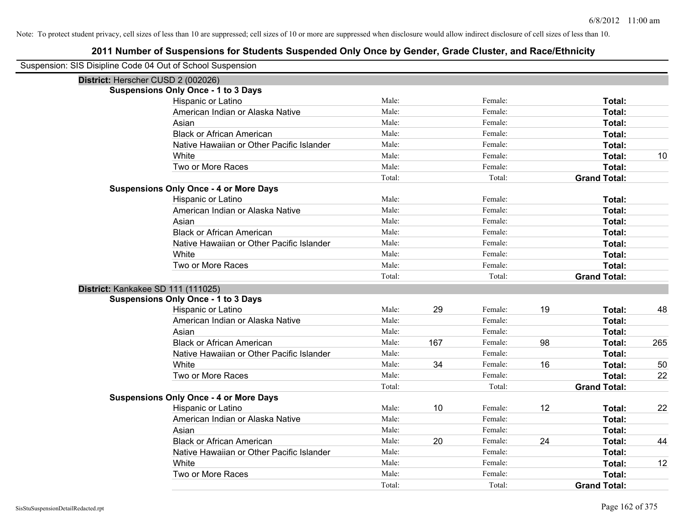| Suspension: SIS Disipline Code 04 Out of School Suspension |                                               |        |     |         |    |                     |     |
|------------------------------------------------------------|-----------------------------------------------|--------|-----|---------|----|---------------------|-----|
| District: Herscher CUSD 2 (002026)                         |                                               |        |     |         |    |                     |     |
|                                                            | <b>Suspensions Only Once - 1 to 3 Days</b>    |        |     |         |    |                     |     |
|                                                            | Hispanic or Latino                            | Male:  |     | Female: |    | Total:              |     |
|                                                            | American Indian or Alaska Native              | Male:  |     | Female: |    | Total:              |     |
|                                                            | Asian                                         | Male:  |     | Female: |    | <b>Total:</b>       |     |
|                                                            | <b>Black or African American</b>              | Male:  |     | Female: |    | Total:              |     |
|                                                            | Native Hawaiian or Other Pacific Islander     | Male:  |     | Female: |    | Total:              |     |
|                                                            | White                                         | Male:  |     | Female: |    | Total:              | 10  |
|                                                            | Two or More Races                             | Male:  |     | Female: |    | Total:              |     |
|                                                            |                                               | Total: |     | Total:  |    | <b>Grand Total:</b> |     |
|                                                            | <b>Suspensions Only Once - 4 or More Days</b> |        |     |         |    |                     |     |
|                                                            | Hispanic or Latino                            | Male:  |     | Female: |    | Total:              |     |
|                                                            | American Indian or Alaska Native              | Male:  |     | Female: |    | Total:              |     |
|                                                            | Asian                                         | Male:  |     | Female: |    | Total:              |     |
|                                                            | <b>Black or African American</b>              | Male:  |     | Female: |    | Total:              |     |
|                                                            | Native Hawaiian or Other Pacific Islander     | Male:  |     | Female: |    | Total:              |     |
|                                                            | White                                         | Male:  |     | Female: |    | Total:              |     |
|                                                            | Two or More Races                             | Male:  |     | Female: |    | Total:              |     |
|                                                            |                                               | Total: |     | Total:  |    | <b>Grand Total:</b> |     |
| District: Kankakee SD 111 (111025)                         |                                               |        |     |         |    |                     |     |
|                                                            | <b>Suspensions Only Once - 1 to 3 Days</b>    |        |     |         |    |                     |     |
|                                                            | Hispanic or Latino                            | Male:  | 29  | Female: | 19 | Total:              | 48  |
|                                                            | American Indian or Alaska Native              | Male:  |     | Female: |    | Total:              |     |
|                                                            | Asian                                         | Male:  |     | Female: |    | Total:              |     |
|                                                            | <b>Black or African American</b>              | Male:  | 167 | Female: | 98 | Total:              | 265 |
|                                                            | Native Hawaiian or Other Pacific Islander     | Male:  |     | Female: |    | Total:              |     |
|                                                            | White                                         | Male:  | 34  | Female: | 16 | Total:              | 50  |
|                                                            | Two or More Races                             | Male:  |     | Female: |    | Total:              | 22  |
|                                                            |                                               | Total: |     | Total:  |    | <b>Grand Total:</b> |     |
|                                                            | <b>Suspensions Only Once - 4 or More Days</b> |        |     |         |    |                     |     |
|                                                            | Hispanic or Latino                            | Male:  | 10  | Female: | 12 | Total:              | 22  |
|                                                            | American Indian or Alaska Native              | Male:  |     | Female: |    | Total:              |     |
|                                                            | Asian                                         | Male:  |     | Female: |    | Total:              |     |
|                                                            | <b>Black or African American</b>              | Male:  | 20  | Female: | 24 | Total:              | 44  |
|                                                            | Native Hawaiian or Other Pacific Islander     | Male:  |     | Female: |    | Total:              |     |
|                                                            | White                                         | Male:  |     | Female: |    | Total:              | 12  |
|                                                            | Two or More Races                             | Male:  |     | Female: |    | Total:              |     |
|                                                            |                                               | Total: |     | Total:  |    | <b>Grand Total:</b> |     |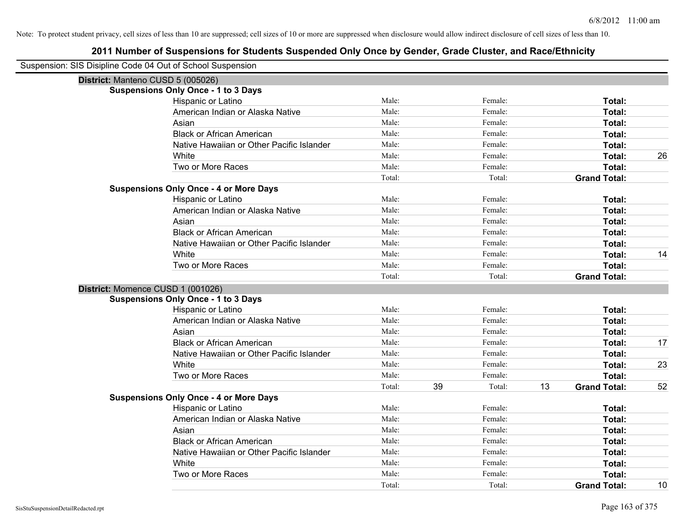| Suspension: SIS Disipline Code 04 Out of School Suspension |                                               |        |    |         |    |                     |    |
|------------------------------------------------------------|-----------------------------------------------|--------|----|---------|----|---------------------|----|
| District: Manteno CUSD 5 (005026)                          |                                               |        |    |         |    |                     |    |
|                                                            | <b>Suspensions Only Once - 1 to 3 Days</b>    |        |    |         |    |                     |    |
|                                                            | Hispanic or Latino                            | Male:  |    | Female: |    | Total:              |    |
|                                                            | American Indian or Alaska Native              | Male:  |    | Female: |    | Total:              |    |
|                                                            | Asian                                         | Male:  |    | Female: |    | Total:              |    |
|                                                            | <b>Black or African American</b>              | Male:  |    | Female: |    | Total:              |    |
|                                                            | Native Hawaiian or Other Pacific Islander     | Male:  |    | Female: |    | Total:              |    |
|                                                            | White                                         | Male:  |    | Female: |    | Total:              | 26 |
|                                                            | Two or More Races                             | Male:  |    | Female: |    | Total:              |    |
|                                                            |                                               | Total: |    | Total:  |    | <b>Grand Total:</b> |    |
|                                                            | <b>Suspensions Only Once - 4 or More Days</b> |        |    |         |    |                     |    |
|                                                            | Hispanic or Latino                            | Male:  |    | Female: |    | Total:              |    |
|                                                            | American Indian or Alaska Native              | Male:  |    | Female: |    | Total:              |    |
|                                                            | Asian                                         | Male:  |    | Female: |    | Total:              |    |
|                                                            | <b>Black or African American</b>              | Male:  |    | Female: |    | Total:              |    |
|                                                            | Native Hawaiian or Other Pacific Islander     | Male:  |    | Female: |    | Total:              |    |
|                                                            | White                                         | Male:  |    | Female: |    | Total:              | 14 |
|                                                            | Two or More Races                             | Male:  |    | Female: |    | Total:              |    |
|                                                            |                                               | Total: |    | Total:  |    | <b>Grand Total:</b> |    |
| District: Momence CUSD 1 (001026)                          |                                               |        |    |         |    |                     |    |
|                                                            | <b>Suspensions Only Once - 1 to 3 Days</b>    |        |    |         |    |                     |    |
|                                                            | Hispanic or Latino                            | Male:  |    | Female: |    | Total:              |    |
|                                                            | American Indian or Alaska Native              | Male:  |    | Female: |    | Total:              |    |
|                                                            | Asian                                         | Male:  |    | Female: |    | Total:              |    |
|                                                            | <b>Black or African American</b>              | Male:  |    | Female: |    | Total:              | 17 |
|                                                            | Native Hawaiian or Other Pacific Islander     | Male:  |    | Female: |    | Total:              |    |
|                                                            | White                                         | Male:  |    | Female: |    | Total:              | 23 |
|                                                            | Two or More Races                             | Male:  |    | Female: |    | Total:              |    |
|                                                            |                                               | Total: | 39 | Total:  | 13 | <b>Grand Total:</b> | 52 |
|                                                            | <b>Suspensions Only Once - 4 or More Days</b> |        |    |         |    |                     |    |
|                                                            | Hispanic or Latino                            | Male:  |    | Female: |    | Total:              |    |
|                                                            | American Indian or Alaska Native              | Male:  |    | Female: |    | Total:              |    |
|                                                            | Asian                                         | Male:  |    | Female: |    | Total:              |    |
|                                                            | <b>Black or African American</b>              | Male:  |    | Female: |    | Total:              |    |
|                                                            | Native Hawaiian or Other Pacific Islander     | Male:  |    | Female: |    | Total:              |    |
|                                                            | White                                         | Male:  |    | Female: |    | Total:              |    |
|                                                            | Two or More Races                             | Male:  |    | Female: |    | Total:              |    |
|                                                            |                                               | Total: |    | Total:  |    | <b>Grand Total:</b> | 10 |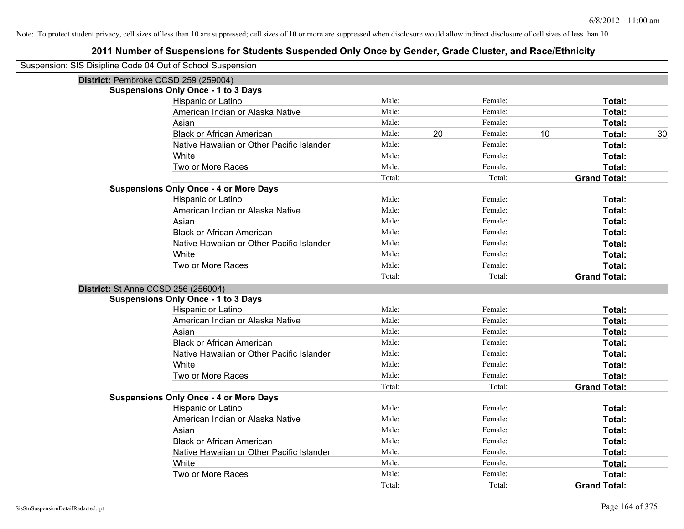| Suspension: SIS Disipline Code 04 Out of School Suspension |                                               |        |    |         |    |                     |    |
|------------------------------------------------------------|-----------------------------------------------|--------|----|---------|----|---------------------|----|
| District: Pembroke CCSD 259 (259004)                       |                                               |        |    |         |    |                     |    |
|                                                            | <b>Suspensions Only Once - 1 to 3 Days</b>    |        |    |         |    |                     |    |
|                                                            | Hispanic or Latino                            | Male:  |    | Female: |    | Total:              |    |
|                                                            | American Indian or Alaska Native              | Male:  |    | Female: |    | Total:              |    |
|                                                            | Asian                                         | Male:  |    | Female: |    | Total:              |    |
|                                                            | <b>Black or African American</b>              | Male:  | 20 | Female: | 10 | Total:              | 30 |
|                                                            | Native Hawaiian or Other Pacific Islander     | Male:  |    | Female: |    | Total:              |    |
|                                                            | White                                         | Male:  |    | Female: |    | Total:              |    |
|                                                            | Two or More Races                             | Male:  |    | Female: |    | Total:              |    |
|                                                            |                                               | Total: |    | Total:  |    | <b>Grand Total:</b> |    |
|                                                            | <b>Suspensions Only Once - 4 or More Days</b> |        |    |         |    |                     |    |
|                                                            | Hispanic or Latino                            | Male:  |    | Female: |    | Total:              |    |
|                                                            | American Indian or Alaska Native              | Male:  |    | Female: |    | Total:              |    |
|                                                            | Asian                                         | Male:  |    | Female: |    | Total:              |    |
|                                                            | <b>Black or African American</b>              | Male:  |    | Female: |    | Total:              |    |
|                                                            | Native Hawaiian or Other Pacific Islander     | Male:  |    | Female: |    | Total:              |    |
|                                                            | White                                         | Male:  |    | Female: |    | Total:              |    |
|                                                            | Two or More Races                             | Male:  |    | Female: |    | Total:              |    |
|                                                            |                                               | Total: |    | Total:  |    | <b>Grand Total:</b> |    |
| <b>District: St Anne CCSD 256 (256004)</b>                 |                                               |        |    |         |    |                     |    |
|                                                            | <b>Suspensions Only Once - 1 to 3 Days</b>    |        |    |         |    |                     |    |
|                                                            | Hispanic or Latino                            | Male:  |    | Female: |    | Total:              |    |
|                                                            | American Indian or Alaska Native              | Male:  |    | Female: |    | Total:              |    |
|                                                            | Asian                                         | Male:  |    | Female: |    | Total:              |    |
|                                                            | <b>Black or African American</b>              | Male:  |    | Female: |    | Total:              |    |
|                                                            | Native Hawaiian or Other Pacific Islander     | Male:  |    | Female: |    | Total:              |    |
|                                                            | White                                         | Male:  |    | Female: |    | Total:              |    |
|                                                            | Two or More Races                             | Male:  |    | Female: |    | Total:              |    |
|                                                            |                                               | Total: |    | Total:  |    | <b>Grand Total:</b> |    |
|                                                            | <b>Suspensions Only Once - 4 or More Days</b> |        |    |         |    |                     |    |
|                                                            | Hispanic or Latino                            | Male:  |    | Female: |    | Total:              |    |
|                                                            | American Indian or Alaska Native              | Male:  |    | Female: |    | Total:              |    |
|                                                            | Asian                                         | Male:  |    | Female: |    | Total:              |    |
|                                                            | <b>Black or African American</b>              | Male:  |    | Female: |    | Total:              |    |
|                                                            | Native Hawaiian or Other Pacific Islander     | Male:  |    | Female: |    | Total:              |    |
|                                                            | White                                         | Male:  |    | Female: |    | Total:              |    |
|                                                            | Two or More Races                             | Male:  |    | Female: |    | <b>Total:</b>       |    |
|                                                            |                                               | Total: |    | Total:  |    | <b>Grand Total:</b> |    |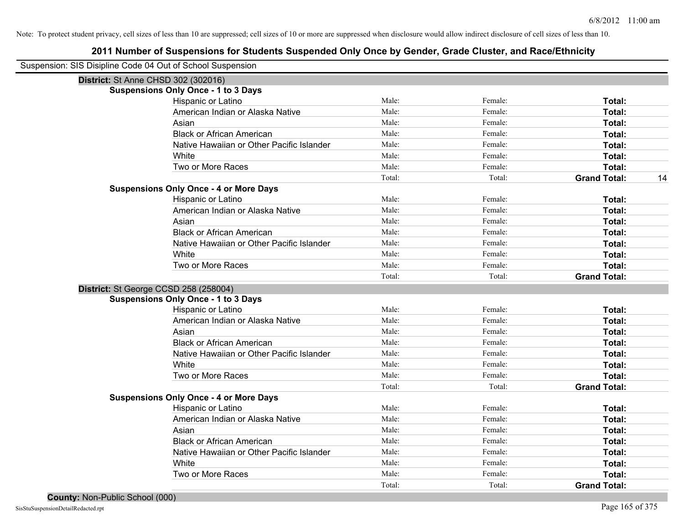| Suspension: SIS Disipline Code 04 Out of School Suspension |                                               |        |         |                           |
|------------------------------------------------------------|-----------------------------------------------|--------|---------|---------------------------|
|                                                            | District: St Anne CHSD 302 (302016)           |        |         |                           |
|                                                            | <b>Suspensions Only Once - 1 to 3 Days</b>    |        |         |                           |
|                                                            | Hispanic or Latino                            | Male:  | Female: | Total:                    |
|                                                            | American Indian or Alaska Native              | Male:  | Female: | Total:                    |
|                                                            | Asian                                         | Male:  | Female: | <b>Total:</b>             |
|                                                            | <b>Black or African American</b>              | Male:  | Female: | Total:                    |
|                                                            | Native Hawaiian or Other Pacific Islander     | Male:  | Female: | Total:                    |
|                                                            | White                                         | Male:  | Female: | Total:                    |
|                                                            | Two or More Races                             | Male:  | Female: | Total:                    |
|                                                            |                                               | Total: | Total:  | 14<br><b>Grand Total:</b> |
|                                                            | <b>Suspensions Only Once - 4 or More Days</b> |        |         |                           |
|                                                            | Hispanic or Latino                            | Male:  | Female: | Total:                    |
|                                                            | American Indian or Alaska Native              | Male:  | Female: | Total:                    |
|                                                            | Asian                                         | Male:  | Female: | Total:                    |
|                                                            | <b>Black or African American</b>              | Male:  | Female: | Total:                    |
|                                                            | Native Hawaiian or Other Pacific Islander     | Male:  | Female: | Total:                    |
|                                                            | White                                         | Male:  | Female: | Total:                    |
|                                                            | Two or More Races                             | Male:  | Female: | Total:                    |
|                                                            |                                               | Total: | Total:  | <b>Grand Total:</b>       |
|                                                            | District: St George CCSD 258 (258004)         |        |         |                           |
|                                                            | <b>Suspensions Only Once - 1 to 3 Days</b>    |        |         |                           |
|                                                            | Hispanic or Latino                            | Male:  | Female: | Total:                    |
|                                                            | American Indian or Alaska Native              | Male:  | Female: | <b>Total:</b>             |
|                                                            | Asian                                         | Male:  | Female: | Total:                    |
|                                                            | <b>Black or African American</b>              | Male:  | Female: | Total:                    |
|                                                            | Native Hawaiian or Other Pacific Islander     | Male:  | Female: | Total:                    |
|                                                            | White                                         | Male:  | Female: | Total:                    |
|                                                            | Two or More Races                             | Male:  | Female: | Total:                    |
|                                                            |                                               | Total: | Total:  | <b>Grand Total:</b>       |
|                                                            | <b>Suspensions Only Once - 4 or More Days</b> |        |         |                           |
|                                                            | Hispanic or Latino                            | Male:  | Female: | Total:                    |
|                                                            | American Indian or Alaska Native              | Male:  | Female: | Total:                    |
|                                                            | Asian                                         | Male:  | Female: | Total:                    |
|                                                            | <b>Black or African American</b>              | Male:  | Female: | Total:                    |
|                                                            | Native Hawaiian or Other Pacific Islander     | Male:  | Female: | Total:                    |
|                                                            | White                                         | Male:  | Female: | Total:                    |
|                                                            | Two or More Races                             | Male:  | Female: | Total:                    |
|                                                            |                                               | Total: | Total:  | <b>Grand Total:</b>       |
|                                                            |                                               |        |         |                           |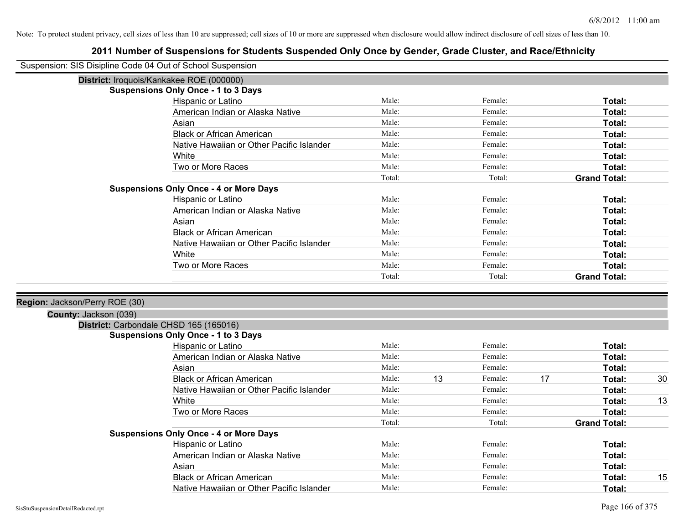| Suspension: SIS Disipline Code 04 Out of School Suspension |                                               |        |    |         |    |                     |    |
|------------------------------------------------------------|-----------------------------------------------|--------|----|---------|----|---------------------|----|
|                                                            | District: Iroquois/Kankakee ROE (000000)      |        |    |         |    |                     |    |
|                                                            | <b>Suspensions Only Once - 1 to 3 Days</b>    |        |    |         |    |                     |    |
|                                                            | Hispanic or Latino                            | Male:  |    | Female: |    | Total:              |    |
|                                                            | American Indian or Alaska Native              | Male:  |    | Female: |    | Total:              |    |
|                                                            | Asian                                         | Male:  |    | Female: |    | Total:              |    |
|                                                            | <b>Black or African American</b>              | Male:  |    | Female: |    | Total:              |    |
|                                                            | Native Hawaiian or Other Pacific Islander     | Male:  |    | Female: |    | Total:              |    |
|                                                            | White                                         | Male:  |    | Female: |    | Total:              |    |
|                                                            | Two or More Races                             | Male:  |    | Female: |    | Total:              |    |
|                                                            |                                               | Total: |    | Total:  |    | <b>Grand Total:</b> |    |
|                                                            | <b>Suspensions Only Once - 4 or More Days</b> |        |    |         |    |                     |    |
|                                                            | Hispanic or Latino                            | Male:  |    | Female: |    | Total:              |    |
|                                                            | American Indian or Alaska Native              | Male:  |    | Female: |    | Total:              |    |
|                                                            | Asian                                         | Male:  |    | Female: |    | Total:              |    |
|                                                            | <b>Black or African American</b>              | Male:  |    | Female: |    | Total:              |    |
|                                                            | Native Hawaiian or Other Pacific Islander     | Male:  |    | Female: |    | Total:              |    |
|                                                            | White                                         | Male:  |    | Female: |    | Total:              |    |
|                                                            | Two or More Races                             | Male:  |    | Female: |    | Total:              |    |
|                                                            |                                               | Total: |    | Total:  |    | <b>Grand Total:</b> |    |
|                                                            |                                               |        |    |         |    |                     |    |
| Region: Jackson/Perry ROE (30)                             |                                               |        |    |         |    |                     |    |
| County: Jackson (039)                                      |                                               |        |    |         |    |                     |    |
|                                                            | District: Carbondale CHSD 165 (165016)        |        |    |         |    |                     |    |
|                                                            | <b>Suspensions Only Once - 1 to 3 Days</b>    |        |    |         |    |                     |    |
|                                                            | Hispanic or Latino                            | Male:  |    | Female: |    | Total:              |    |
|                                                            | American Indian or Alaska Native              | Male:  |    | Female: |    | Total:              |    |
|                                                            | Asian                                         | Male:  |    | Female: |    | Total:              |    |
|                                                            | <b>Black or African American</b>              | Male:  | 13 | Female: | 17 | Total:              | 30 |
|                                                            | Native Hawaiian or Other Pacific Islander     | Male:  |    | Female: |    | Total:              |    |
|                                                            | White                                         | Male:  |    | Female: |    | Total:              | 13 |
|                                                            | Two or More Races                             | Male:  |    | Female: |    | Total:              |    |
|                                                            |                                               | Total: |    | Total:  |    | <b>Grand Total:</b> |    |
|                                                            | <b>Suspensions Only Once - 4 or More Days</b> |        |    |         |    |                     |    |
|                                                            | Hispanic or Latino                            | Male:  |    | Female: |    | Total:              |    |
|                                                            | American Indian or Alaska Native              | Male:  |    | Female: |    | Total:              |    |
|                                                            | Asian                                         | Male:  |    | Female: |    | Total:              |    |
|                                                            | <b>Black or African American</b>              | Male:  |    | Female: |    | Total:              | 15 |
|                                                            | Native Hawaiian or Other Pacific Islander     | Male:  |    | Female: |    | Total:              |    |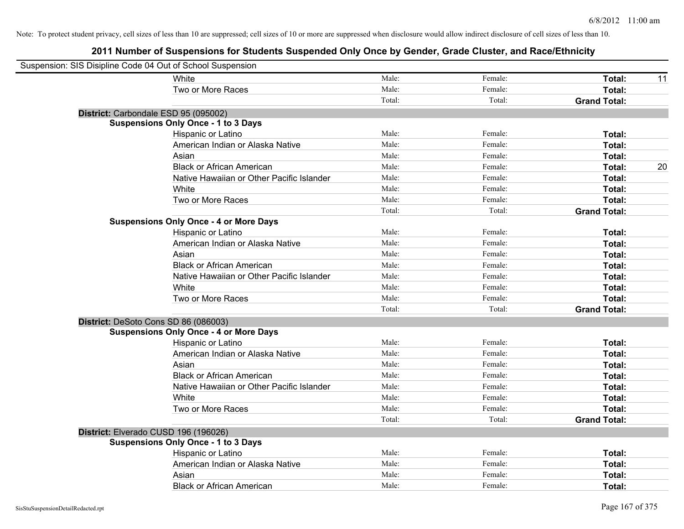| Suspension: SIS Disipline Code 04 Out of School Suspension |                                               |        |         |                     |    |
|------------------------------------------------------------|-----------------------------------------------|--------|---------|---------------------|----|
|                                                            | White                                         | Male:  | Female: | Total:              | 11 |
|                                                            | Two or More Races                             | Male:  | Female: | Total:              |    |
|                                                            |                                               | Total: | Total:  | <b>Grand Total:</b> |    |
| District: Carbondale ESD 95 (095002)                       |                                               |        |         |                     |    |
|                                                            | <b>Suspensions Only Once - 1 to 3 Days</b>    |        |         |                     |    |
|                                                            | Hispanic or Latino                            | Male:  | Female: | Total:              |    |
|                                                            | American Indian or Alaska Native              | Male:  | Female: | Total:              |    |
|                                                            | Asian                                         | Male:  | Female: | Total:              |    |
|                                                            | <b>Black or African American</b>              | Male:  | Female: | Total:              | 20 |
|                                                            | Native Hawaiian or Other Pacific Islander     | Male:  | Female: | Total:              |    |
|                                                            | White                                         | Male:  | Female: | Total:              |    |
|                                                            | Two or More Races                             | Male:  | Female: | Total:              |    |
|                                                            |                                               | Total: | Total:  | <b>Grand Total:</b> |    |
|                                                            | <b>Suspensions Only Once - 4 or More Days</b> |        |         |                     |    |
|                                                            | Hispanic or Latino                            | Male:  | Female: | Total:              |    |
|                                                            | American Indian or Alaska Native              | Male:  | Female: | Total:              |    |
|                                                            | Asian                                         | Male:  | Female: | Total:              |    |
|                                                            | <b>Black or African American</b>              | Male:  | Female: | Total:              |    |
|                                                            | Native Hawaiian or Other Pacific Islander     | Male:  | Female: | Total:              |    |
|                                                            | White                                         | Male:  | Female: | Total:              |    |
|                                                            | Two or More Races                             | Male:  | Female: | Total:              |    |
|                                                            |                                               | Total: | Total:  | <b>Grand Total:</b> |    |
| District: DeSoto Cons SD 86 (086003)                       |                                               |        |         |                     |    |
|                                                            | <b>Suspensions Only Once - 4 or More Days</b> |        |         |                     |    |
|                                                            | Hispanic or Latino                            | Male:  | Female: | Total:              |    |
|                                                            | American Indian or Alaska Native              | Male:  | Female: | Total:              |    |
|                                                            | Asian                                         | Male:  | Female: | Total:              |    |
|                                                            | <b>Black or African American</b>              | Male:  | Female: | Total:              |    |
|                                                            | Native Hawaiian or Other Pacific Islander     | Male:  | Female: | Total:              |    |
|                                                            | <b>White</b>                                  | Male:  | Female: | Total:              |    |
|                                                            | Two or More Races                             | Male:  | Female: | Total:              |    |
|                                                            |                                               | Total: | Total:  | <b>Grand Total:</b> |    |
| District: Elverado CUSD 196 (196026)                       |                                               |        |         |                     |    |
|                                                            | <b>Suspensions Only Once - 1 to 3 Days</b>    |        |         |                     |    |
|                                                            | Hispanic or Latino                            | Male:  | Female: | Total:              |    |
|                                                            | American Indian or Alaska Native              | Male:  | Female: | Total:              |    |
|                                                            | Asian                                         | Male:  | Female: | Total:              |    |
|                                                            | <b>Black or African American</b>              | Male:  | Female: | Total:              |    |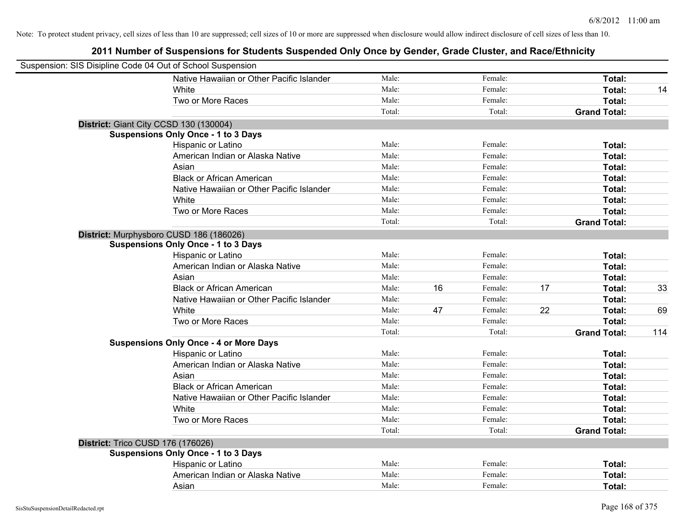| Suspension: SIS Disipline Code 04 Out of School Suspension |                                               |        |    |         |    |                     |     |
|------------------------------------------------------------|-----------------------------------------------|--------|----|---------|----|---------------------|-----|
|                                                            | Native Hawaiian or Other Pacific Islander     | Male:  |    | Female: |    | Total:              |     |
|                                                            | White                                         | Male:  |    | Female: |    | Total:              | 14  |
|                                                            | Two or More Races                             | Male:  |    | Female: |    | Total:              |     |
|                                                            |                                               | Total: |    | Total:  |    | <b>Grand Total:</b> |     |
| District: Giant City CCSD 130 (130004)                     |                                               |        |    |         |    |                     |     |
|                                                            | <b>Suspensions Only Once - 1 to 3 Days</b>    |        |    |         |    |                     |     |
|                                                            | Hispanic or Latino                            | Male:  |    | Female: |    | Total:              |     |
|                                                            | American Indian or Alaska Native              | Male:  |    | Female: |    | Total:              |     |
|                                                            | Asian                                         | Male:  |    | Female: |    | Total:              |     |
|                                                            | <b>Black or African American</b>              | Male:  |    | Female: |    | Total:              |     |
|                                                            | Native Hawaiian or Other Pacific Islander     | Male:  |    | Female: |    | Total:              |     |
|                                                            | White                                         | Male:  |    | Female: |    | Total:              |     |
|                                                            | Two or More Races                             | Male:  |    | Female: |    | Total:              |     |
|                                                            |                                               | Total: |    | Total:  |    | <b>Grand Total:</b> |     |
| District: Murphysboro CUSD 186 (186026)                    |                                               |        |    |         |    |                     |     |
|                                                            | <b>Suspensions Only Once - 1 to 3 Days</b>    |        |    |         |    |                     |     |
|                                                            | Hispanic or Latino                            | Male:  |    | Female: |    | Total:              |     |
|                                                            | American Indian or Alaska Native              | Male:  |    | Female: |    | Total:              |     |
|                                                            | Asian                                         | Male:  |    | Female: |    | Total:              |     |
|                                                            | <b>Black or African American</b>              | Male:  | 16 | Female: | 17 | Total:              | 33  |
|                                                            | Native Hawaiian or Other Pacific Islander     | Male:  |    | Female: |    | Total:              |     |
|                                                            | White                                         | Male:  | 47 | Female: | 22 | Total:              | 69  |
|                                                            | Two or More Races                             | Male:  |    | Female: |    | Total:              |     |
|                                                            |                                               | Total: |    | Total:  |    | <b>Grand Total:</b> | 114 |
|                                                            | <b>Suspensions Only Once - 4 or More Days</b> |        |    |         |    |                     |     |
|                                                            | Hispanic or Latino                            | Male:  |    | Female: |    | Total:              |     |
|                                                            | American Indian or Alaska Native              | Male:  |    | Female: |    | Total:              |     |
|                                                            | Asian                                         | Male:  |    | Female: |    | Total:              |     |
|                                                            | <b>Black or African American</b>              | Male:  |    | Female: |    | Total:              |     |
|                                                            | Native Hawaiian or Other Pacific Islander     | Male:  |    | Female: |    | Total:              |     |
|                                                            | White                                         | Male:  |    | Female: |    | Total:              |     |
|                                                            | Two or More Races                             | Male:  |    | Female: |    | Total:              |     |
|                                                            |                                               | Total: |    | Total:  |    | <b>Grand Total:</b> |     |
| <b>District: Trico CUSD 176 (176026)</b>                   |                                               |        |    |         |    |                     |     |
|                                                            | <b>Suspensions Only Once - 1 to 3 Days</b>    |        |    |         |    |                     |     |
|                                                            | Hispanic or Latino                            | Male:  |    | Female: |    | Total:              |     |
|                                                            | American Indian or Alaska Native              | Male:  |    | Female: |    | Total:              |     |
|                                                            | Asian                                         | Male:  |    | Female: |    | Total:              |     |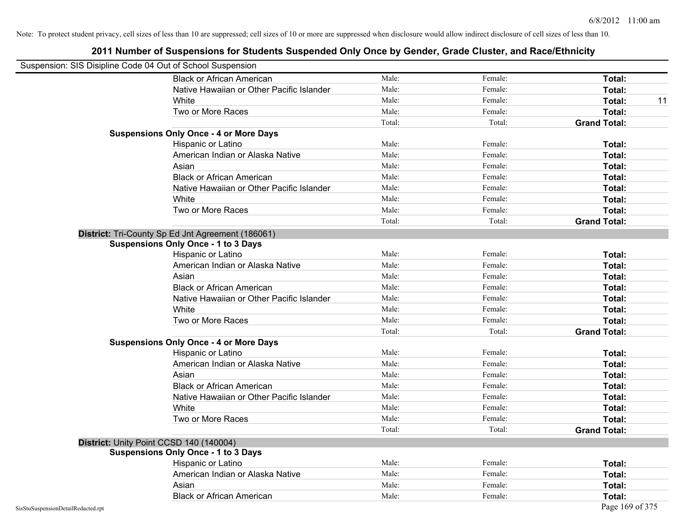| Suspension: SIS Disipline Code 04 Out of School Suspension |                                                   |        |         |                     |
|------------------------------------------------------------|---------------------------------------------------|--------|---------|---------------------|
|                                                            | <b>Black or African American</b>                  | Male:  | Female: | Total:              |
|                                                            | Native Hawaiian or Other Pacific Islander         | Male:  | Female: | Total:              |
|                                                            | White                                             | Male:  | Female: | Total:<br>11        |
|                                                            | Two or More Races                                 | Male:  | Female: | Total:              |
|                                                            |                                                   | Total: | Total:  | <b>Grand Total:</b> |
|                                                            | <b>Suspensions Only Once - 4 or More Days</b>     |        |         |                     |
|                                                            | Hispanic or Latino                                | Male:  | Female: | Total:              |
|                                                            | American Indian or Alaska Native                  | Male:  | Female: | Total:              |
|                                                            | Asian                                             | Male:  | Female: | Total:              |
|                                                            | <b>Black or African American</b>                  | Male:  | Female: | Total:              |
|                                                            | Native Hawaiian or Other Pacific Islander         | Male:  | Female: | Total:              |
|                                                            | White                                             | Male:  | Female: | Total:              |
|                                                            | Two or More Races                                 | Male:  | Female: | Total:              |
|                                                            |                                                   | Total: | Total:  | <b>Grand Total:</b> |
|                                                            | District: Tri-County Sp Ed Jnt Agreement (186061) |        |         |                     |
|                                                            | <b>Suspensions Only Once - 1 to 3 Days</b>        |        |         |                     |
|                                                            | Hispanic or Latino                                | Male:  | Female: | Total:              |
|                                                            | American Indian or Alaska Native                  | Male:  | Female: | Total:              |
|                                                            | Asian                                             | Male:  | Female: | Total:              |
|                                                            | <b>Black or African American</b>                  | Male:  | Female: | Total:              |
|                                                            | Native Hawaiian or Other Pacific Islander         | Male:  | Female: | Total:              |
|                                                            | White                                             | Male:  | Female: | Total:              |
|                                                            | Two or More Races                                 | Male:  | Female: | Total:              |
|                                                            |                                                   | Total: | Total:  | <b>Grand Total:</b> |
|                                                            | <b>Suspensions Only Once - 4 or More Days</b>     |        |         |                     |
|                                                            | Hispanic or Latino                                | Male:  | Female: | Total:              |
|                                                            | American Indian or Alaska Native                  | Male:  | Female: | Total:              |
|                                                            | Asian                                             | Male:  | Female: | Total:              |
|                                                            | <b>Black or African American</b>                  | Male:  | Female: | Total:              |
|                                                            | Native Hawaiian or Other Pacific Islander         | Male:  | Female: | Total:              |
|                                                            | White                                             | Male:  | Female: | Total:              |
|                                                            | Two or More Races                                 | Male:  | Female: | Total:              |
|                                                            |                                                   | Total: | Total:  | <b>Grand Total:</b> |
|                                                            | District: Unity Point CCSD 140 (140004)           |        |         |                     |
|                                                            | <b>Suspensions Only Once - 1 to 3 Days</b>        |        |         |                     |
|                                                            | Hispanic or Latino                                | Male:  | Female: | Total:              |
|                                                            | American Indian or Alaska Native                  | Male:  | Female: | Total:              |
|                                                            | Asian                                             | Male:  | Female: | Total:              |
|                                                            | <b>Black or African American</b>                  | Male:  | Female: | Total:              |
| SisStuSuspensionDetailRedacted.rpt                         |                                                   |        |         | Page 169 of 375     |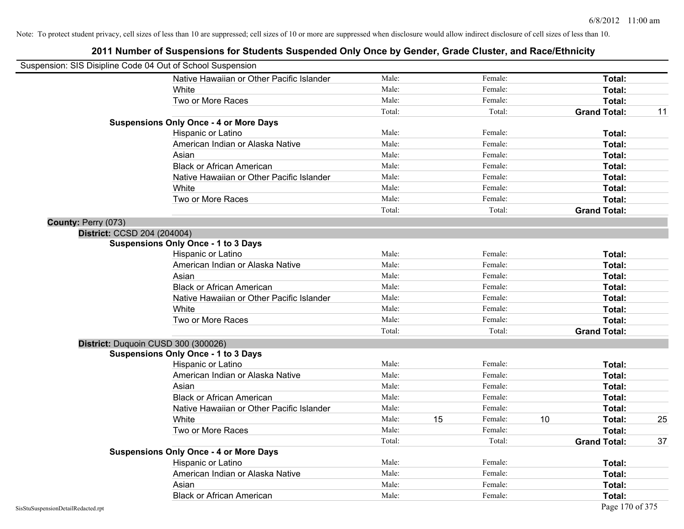|                                    | Suspension: SIS Disipline Code 04 Out of School Suspension |        |    |         |    |                     |    |
|------------------------------------|------------------------------------------------------------|--------|----|---------|----|---------------------|----|
|                                    | Native Hawaiian or Other Pacific Islander                  | Male:  |    | Female: |    | Total:              |    |
|                                    | White                                                      | Male:  |    | Female: |    | Total:              |    |
|                                    | Two or More Races                                          | Male:  |    | Female: |    | Total:              |    |
|                                    |                                                            | Total: |    | Total:  |    | <b>Grand Total:</b> | 11 |
|                                    | <b>Suspensions Only Once - 4 or More Days</b>              |        |    |         |    |                     |    |
|                                    | Hispanic or Latino                                         | Male:  |    | Female: |    | Total:              |    |
|                                    | American Indian or Alaska Native                           | Male:  |    | Female: |    | Total:              |    |
|                                    | Asian                                                      | Male:  |    | Female: |    | Total:              |    |
|                                    | <b>Black or African American</b>                           | Male:  |    | Female: |    | Total:              |    |
|                                    | Native Hawaiian or Other Pacific Islander                  | Male:  |    | Female: |    | Total:              |    |
|                                    | White                                                      | Male:  |    | Female: |    | <b>Total:</b>       |    |
|                                    | Two or More Races                                          | Male:  |    | Female: |    | Total:              |    |
|                                    |                                                            | Total: |    | Total:  |    | <b>Grand Total:</b> |    |
| County: Perry (073)                |                                                            |        |    |         |    |                     |    |
|                                    | District: CCSD 204 (204004)                                |        |    |         |    |                     |    |
|                                    | <b>Suspensions Only Once - 1 to 3 Days</b>                 |        |    |         |    |                     |    |
|                                    | Hispanic or Latino                                         | Male:  |    | Female: |    | Total:              |    |
|                                    | American Indian or Alaska Native                           | Male:  |    | Female: |    | Total:              |    |
|                                    | Asian                                                      | Male:  |    | Female: |    | Total:              |    |
|                                    | <b>Black or African American</b>                           | Male:  |    | Female: |    | Total:              |    |
|                                    | Native Hawaiian or Other Pacific Islander                  | Male:  |    | Female: |    | <b>Total:</b>       |    |
|                                    | White                                                      | Male:  |    | Female: |    | Total:              |    |
|                                    | Two or More Races                                          | Male:  |    | Female: |    | Total:              |    |
|                                    |                                                            | Total: |    | Total:  |    | <b>Grand Total:</b> |    |
|                                    | District: Duquoin CUSD 300 (300026)                        |        |    |         |    |                     |    |
|                                    | <b>Suspensions Only Once - 1 to 3 Days</b>                 |        |    |         |    |                     |    |
|                                    | Hispanic or Latino                                         | Male:  |    | Female: |    | <b>Total:</b>       |    |
|                                    | American Indian or Alaska Native                           | Male:  |    | Female: |    | <b>Total:</b>       |    |
|                                    | Asian                                                      | Male:  |    | Female: |    | Total:              |    |
|                                    | <b>Black or African American</b>                           | Male:  |    | Female: |    | <b>Total:</b>       |    |
|                                    | Native Hawaiian or Other Pacific Islander                  | Male:  |    | Female: |    | Total:              |    |
|                                    | White                                                      | Male:  | 15 | Female: | 10 | Total:              | 25 |
|                                    | Two or More Races                                          | Male:  |    | Female: |    | Total:              |    |
|                                    |                                                            | Total: |    | Total:  |    | <b>Grand Total:</b> | 37 |
|                                    | <b>Suspensions Only Once - 4 or More Days</b>              |        |    |         |    |                     |    |
|                                    | Hispanic or Latino                                         | Male:  |    | Female: |    | Total:              |    |
|                                    | American Indian or Alaska Native                           | Male:  |    | Female: |    | Total:              |    |
|                                    | Asian                                                      | Male:  |    | Female: |    | <b>Total:</b>       |    |
|                                    | <b>Black or African American</b>                           | Male:  |    | Female: |    | <b>Total:</b>       |    |
| SisStuSuspensionDetailRedacted.rpt |                                                            |        |    |         |    | Page 170 of 375     |    |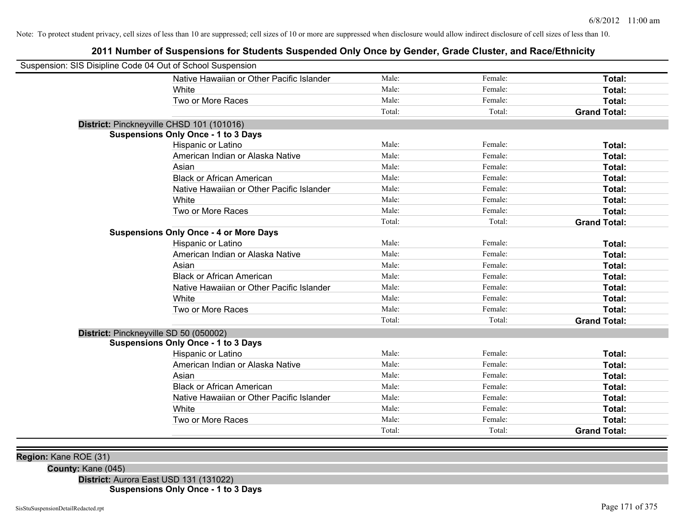# **2011 Number of Suspensions for Students Suspended Only Once by Gender, Grade Cluster, and Race/Ethnicity**

| Suspension: SIS Disipline Code 04 Out of School Suspension |                                               |        |         |                     |
|------------------------------------------------------------|-----------------------------------------------|--------|---------|---------------------|
|                                                            | Native Hawaiian or Other Pacific Islander     | Male:  | Female: | Total:              |
|                                                            | White                                         | Male:  | Female: | Total:              |
|                                                            | Two or More Races                             | Male:  | Female: | Total:              |
|                                                            |                                               | Total: | Total:  | <b>Grand Total:</b> |
| District: Pinckneyville CHSD 101 (101016)                  |                                               |        |         |                     |
|                                                            | <b>Suspensions Only Once - 1 to 3 Days</b>    |        |         |                     |
|                                                            | Hispanic or Latino                            | Male:  | Female: | Total:              |
|                                                            | American Indian or Alaska Native              | Male:  | Female: | Total:              |
|                                                            | Asian                                         | Male:  | Female: | Total:              |
|                                                            | <b>Black or African American</b>              | Male:  | Female: | Total:              |
|                                                            | Native Hawaiian or Other Pacific Islander     | Male:  | Female: | Total:              |
|                                                            | White                                         | Male:  | Female: | Total:              |
|                                                            | Two or More Races                             | Male:  | Female: | Total:              |
|                                                            |                                               | Total: | Total:  | <b>Grand Total:</b> |
|                                                            | <b>Suspensions Only Once - 4 or More Days</b> |        |         |                     |
|                                                            | Hispanic or Latino                            | Male:  | Female: | Total:              |
|                                                            | American Indian or Alaska Native              | Male:  | Female: | Total:              |
|                                                            | Asian                                         | Male:  | Female: | Total:              |
|                                                            | <b>Black or African American</b>              | Male:  | Female: | Total:              |
|                                                            | Native Hawaiian or Other Pacific Islander     | Male:  | Female: | Total:              |
|                                                            | White                                         | Male:  | Female: | Total:              |
|                                                            | Two or More Races                             | Male:  | Female: | Total:              |
|                                                            |                                               | Total: | Total:  | <b>Grand Total:</b> |
| District: Pinckneyville SD 50 (050002)                     | <b>Suspensions Only Once - 1 to 3 Days</b>    |        |         |                     |
|                                                            | Hispanic or Latino                            | Male:  | Female: | Total:              |
|                                                            | American Indian or Alaska Native              | Male:  | Female: | Total:              |
|                                                            | Asian                                         | Male:  | Female: | Total:              |
|                                                            | <b>Black or African American</b>              | Male:  | Female: | Total:              |
|                                                            | Native Hawaiian or Other Pacific Islander     | Male:  | Female: | Total:              |
|                                                            | White                                         | Male:  | Female: | Total:              |
|                                                            | Two or More Races                             | Male:  | Female: | Total:              |
|                                                            |                                               | Total: | Total:  | <b>Grand Total:</b> |

**Region:** Kane ROE (31)

**County:** Kane (045)

**District:** Aurora East USD 131 (131022) **Suspensions Only Once - 1 to 3 Days**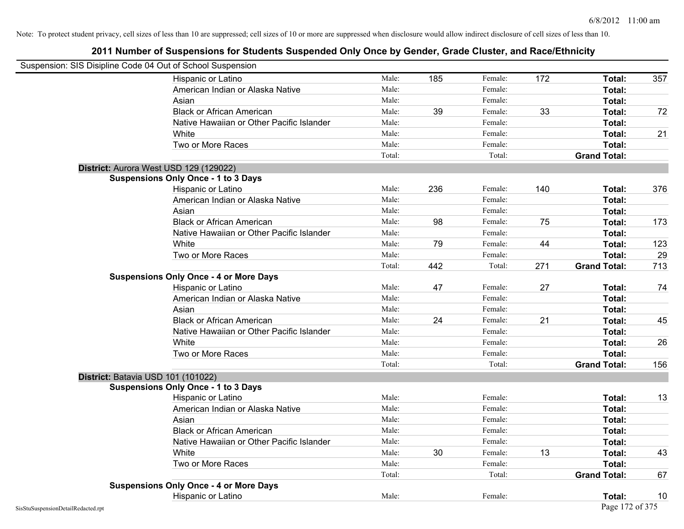| Suspension: SIS Disipline Code 04 Out of School Suspension |                                               |        |     |         |     |                     |     |
|------------------------------------------------------------|-----------------------------------------------|--------|-----|---------|-----|---------------------|-----|
|                                                            | Hispanic or Latino                            | Male:  | 185 | Female: | 172 | Total:              | 357 |
|                                                            | American Indian or Alaska Native              | Male:  |     | Female: |     | Total:              |     |
|                                                            | Asian                                         | Male:  |     | Female: |     | Total:              |     |
|                                                            | <b>Black or African American</b>              | Male:  | 39  | Female: | 33  | Total:              | 72  |
|                                                            | Native Hawaiian or Other Pacific Islander     | Male:  |     | Female: |     | Total:              |     |
|                                                            | White                                         | Male:  |     | Female: |     | Total:              | 21  |
|                                                            | Two or More Races                             | Male:  |     | Female: |     | Total:              |     |
|                                                            |                                               | Total: |     | Total:  |     | <b>Grand Total:</b> |     |
|                                                            | District: Aurora West USD 129 (129022)        |        |     |         |     |                     |     |
|                                                            | <b>Suspensions Only Once - 1 to 3 Days</b>    |        |     |         |     |                     |     |
|                                                            | Hispanic or Latino                            | Male:  | 236 | Female: | 140 | Total:              | 376 |
|                                                            | American Indian or Alaska Native              | Male:  |     | Female: |     | Total:              |     |
|                                                            | Asian                                         | Male:  |     | Female: |     | Total:              |     |
|                                                            | <b>Black or African American</b>              | Male:  | 98  | Female: | 75  | Total:              | 173 |
|                                                            | Native Hawaiian or Other Pacific Islander     | Male:  |     | Female: |     | Total:              |     |
|                                                            | White                                         | Male:  | 79  | Female: | 44  | Total:              | 123 |
|                                                            | Two or More Races                             | Male:  |     | Female: |     | Total:              | 29  |
|                                                            |                                               | Total: | 442 | Total:  | 271 | <b>Grand Total:</b> | 713 |
|                                                            | <b>Suspensions Only Once - 4 or More Days</b> |        |     |         |     |                     |     |
|                                                            | Hispanic or Latino                            | Male:  | 47  | Female: | 27  | Total:              | 74  |
|                                                            | American Indian or Alaska Native              | Male:  |     | Female: |     | Total:              |     |
|                                                            | Asian                                         | Male:  |     | Female: |     | Total:              |     |
|                                                            | <b>Black or African American</b>              | Male:  | 24  | Female: | 21  | Total:              | 45  |
|                                                            | Native Hawaiian or Other Pacific Islander     | Male:  |     | Female: |     | Total:              |     |
|                                                            | White                                         | Male:  |     | Female: |     | Total:              | 26  |
|                                                            | Two or More Races                             | Male:  |     | Female: |     | Total:              |     |
|                                                            |                                               | Total: |     | Total:  |     | <b>Grand Total:</b> | 156 |
|                                                            | District: Batavia USD 101 (101022)            |        |     |         |     |                     |     |
|                                                            | <b>Suspensions Only Once - 1 to 3 Days</b>    |        |     |         |     |                     |     |
|                                                            | Hispanic or Latino                            | Male:  |     | Female: |     | Total:              | 13  |
|                                                            | American Indian or Alaska Native              | Male:  |     | Female: |     | Total:              |     |
|                                                            | Asian                                         | Male:  |     | Female: |     | Total:              |     |
|                                                            | <b>Black or African American</b>              | Male:  |     | Female: |     | Total:              |     |
|                                                            | Native Hawaiian or Other Pacific Islander     | Male:  |     | Female: |     | Total:              |     |
|                                                            | White                                         | Male:  | 30  | Female: | 13  | Total:              | 43  |
|                                                            | Two or More Races                             | Male:  |     | Female: |     | Total:              |     |
|                                                            |                                               | Total: |     | Total:  |     | <b>Grand Total:</b> | 67  |
|                                                            | <b>Suspensions Only Once - 4 or More Days</b> |        |     |         |     |                     |     |
|                                                            | Hispanic or Latino                            | Male:  |     | Female: |     | Total:              | 10  |
| SisStuSuspensionDetailRedacted.rpt                         |                                               |        |     |         |     | Page 172 of 375     |     |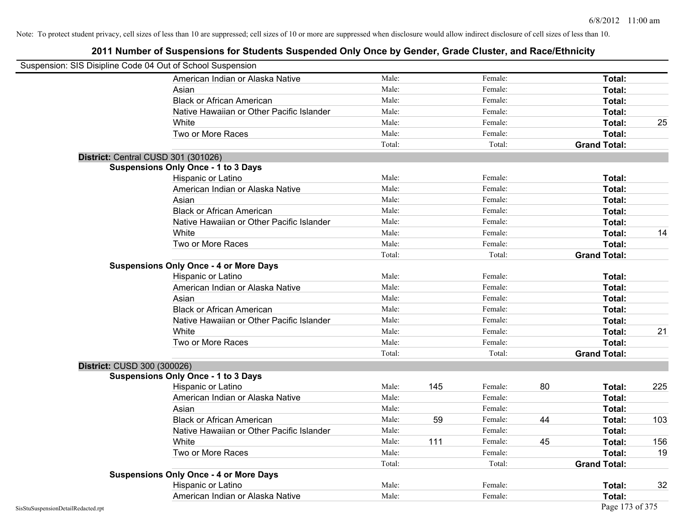|                                    | Suspension: SIS Disipline Code 04 Out of School Suspension |        |     |         |    |                     |     |
|------------------------------------|------------------------------------------------------------|--------|-----|---------|----|---------------------|-----|
|                                    | American Indian or Alaska Native                           | Male:  |     | Female: |    | Total:              |     |
|                                    | Asian                                                      | Male:  |     | Female: |    | Total:              |     |
|                                    | <b>Black or African American</b>                           | Male:  |     | Female: |    | Total:              |     |
|                                    | Native Hawaiian or Other Pacific Islander                  | Male:  |     | Female: |    | Total:              |     |
|                                    | White                                                      | Male:  |     | Female: |    | Total:              | 25  |
|                                    | Two or More Races                                          | Male:  |     | Female: |    | Total:              |     |
|                                    |                                                            | Total: |     | Total:  |    | <b>Grand Total:</b> |     |
|                                    | District: Central CUSD 301 (301026)                        |        |     |         |    |                     |     |
|                                    | <b>Suspensions Only Once - 1 to 3 Days</b>                 |        |     |         |    |                     |     |
|                                    | Hispanic or Latino                                         | Male:  |     | Female: |    | Total:              |     |
|                                    | American Indian or Alaska Native                           | Male:  |     | Female: |    | Total:              |     |
|                                    | Asian                                                      | Male:  |     | Female: |    | Total:              |     |
|                                    | <b>Black or African American</b>                           | Male:  |     | Female: |    | Total:              |     |
|                                    | Native Hawaiian or Other Pacific Islander                  | Male:  |     | Female: |    | Total:              |     |
|                                    | White                                                      | Male:  |     | Female: |    | Total:              | 14  |
|                                    | Two or More Races                                          | Male:  |     | Female: |    | Total:              |     |
|                                    |                                                            | Total: |     | Total:  |    | <b>Grand Total:</b> |     |
|                                    | <b>Suspensions Only Once - 4 or More Days</b>              |        |     |         |    |                     |     |
|                                    | Hispanic or Latino                                         | Male:  |     | Female: |    | Total:              |     |
|                                    | American Indian or Alaska Native                           | Male:  |     | Female: |    | Total:              |     |
|                                    | Asian                                                      | Male:  |     | Female: |    | Total:              |     |
|                                    | <b>Black or African American</b>                           | Male:  |     | Female: |    | Total:              |     |
|                                    | Native Hawaiian or Other Pacific Islander                  | Male:  |     | Female: |    | Total:              |     |
|                                    | White                                                      | Male:  |     | Female: |    | Total:              | 21  |
|                                    | Two or More Races                                          | Male:  |     | Female: |    | Total:              |     |
|                                    |                                                            | Total: |     | Total:  |    | <b>Grand Total:</b> |     |
|                                    | District: CUSD 300 (300026)                                |        |     |         |    |                     |     |
|                                    | <b>Suspensions Only Once - 1 to 3 Days</b>                 |        |     |         |    |                     |     |
|                                    | Hispanic or Latino                                         | Male:  | 145 | Female: | 80 | Total:              | 225 |
|                                    | American Indian or Alaska Native                           | Male:  |     | Female: |    | Total:              |     |
|                                    | Asian                                                      | Male:  |     | Female: |    | Total:              |     |
|                                    | <b>Black or African American</b>                           | Male:  | 59  | Female: | 44 | Total:              | 103 |
|                                    | Native Hawaiian or Other Pacific Islander                  | Male:  |     | Female: |    | Total:              |     |
|                                    | White                                                      | Male:  | 111 | Female: | 45 | Total:              | 156 |
|                                    | Two or More Races                                          | Male:  |     | Female: |    | Total:              | 19  |
|                                    |                                                            | Total: |     | Total:  |    | <b>Grand Total:</b> |     |
|                                    | <b>Suspensions Only Once - 4 or More Days</b>              |        |     |         |    |                     |     |
|                                    | Hispanic or Latino                                         | Male:  |     | Female: |    | Total:              | 32  |
|                                    | American Indian or Alaska Native                           | Male:  |     | Female: |    | Total:              |     |
| SisStuSuspensionDetailRedacted.rpt |                                                            |        |     |         |    | Page 173 of 375     |     |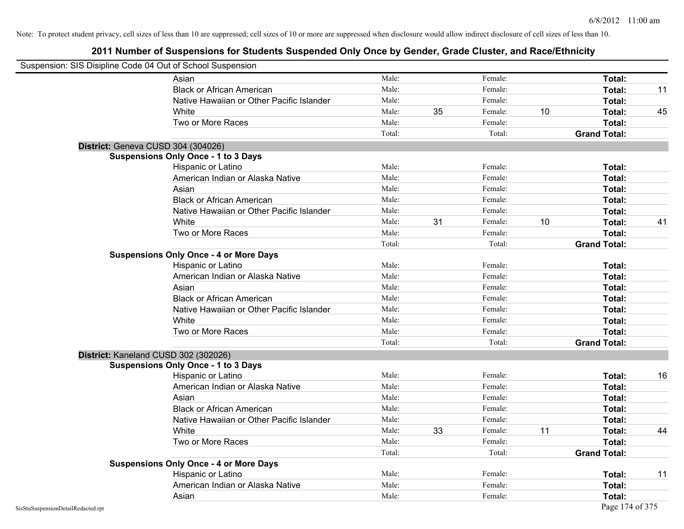|                                    | Suspension: SIS Disipline Code 04 Out of School Suspension |        |    |         |    |                     |    |
|------------------------------------|------------------------------------------------------------|--------|----|---------|----|---------------------|----|
|                                    | Asian                                                      | Male:  |    | Female: |    | Total:              |    |
|                                    | <b>Black or African American</b>                           | Male:  |    | Female: |    | Total:              | 11 |
|                                    | Native Hawaiian or Other Pacific Islander                  | Male:  |    | Female: |    | Total:              |    |
|                                    | White                                                      | Male:  | 35 | Female: | 10 | Total:              | 45 |
|                                    | Two or More Races                                          | Male:  |    | Female: |    | Total:              |    |
|                                    |                                                            | Total: |    | Total:  |    | <b>Grand Total:</b> |    |
|                                    | District: Geneva CUSD 304 (304026)                         |        |    |         |    |                     |    |
|                                    | <b>Suspensions Only Once - 1 to 3 Days</b>                 |        |    |         |    |                     |    |
|                                    | Hispanic or Latino                                         | Male:  |    | Female: |    | Total:              |    |
|                                    | American Indian or Alaska Native                           | Male:  |    | Female: |    | Total:              |    |
|                                    | Asian                                                      | Male:  |    | Female: |    | Total:              |    |
|                                    | <b>Black or African American</b>                           | Male:  |    | Female: |    | Total:              |    |
|                                    | Native Hawaiian or Other Pacific Islander                  | Male:  |    | Female: |    | Total:              |    |
|                                    | White                                                      | Male:  | 31 | Female: | 10 | Total:              | 41 |
|                                    | Two or More Races                                          | Male:  |    | Female: |    | Total:              |    |
|                                    |                                                            | Total: |    | Total:  |    | <b>Grand Total:</b> |    |
|                                    | <b>Suspensions Only Once - 4 or More Days</b>              |        |    |         |    |                     |    |
|                                    | Hispanic or Latino                                         | Male:  |    | Female: |    | Total:              |    |
|                                    | American Indian or Alaska Native                           | Male:  |    | Female: |    | Total:              |    |
|                                    | Asian                                                      | Male:  |    | Female: |    | Total:              |    |
|                                    | <b>Black or African American</b>                           | Male:  |    | Female: |    | Total:              |    |
|                                    | Native Hawaiian or Other Pacific Islander                  | Male:  |    | Female: |    | Total:              |    |
|                                    | White                                                      | Male:  |    | Female: |    | Total:              |    |
|                                    | Two or More Races                                          | Male:  |    | Female: |    | Total:              |    |
|                                    |                                                            | Total: |    | Total:  |    | <b>Grand Total:</b> |    |
|                                    | District: Kaneland CUSD 302 (302026)                       |        |    |         |    |                     |    |
|                                    | <b>Suspensions Only Once - 1 to 3 Days</b>                 |        |    |         |    |                     |    |
|                                    | Hispanic or Latino                                         | Male:  |    | Female: |    | Total:              | 16 |
|                                    | American Indian or Alaska Native                           | Male:  |    | Female: |    | Total:              |    |
|                                    | Asian                                                      | Male:  |    | Female: |    | Total:              |    |
|                                    | <b>Black or African American</b>                           | Male:  |    | Female: |    | Total:              |    |
|                                    | Native Hawaiian or Other Pacific Islander                  | Male:  |    | Female: |    | Total:              |    |
|                                    | White                                                      | Male:  | 33 | Female: | 11 | Total:              | 44 |
|                                    | Two or More Races                                          | Male:  |    | Female: |    | Total:              |    |
|                                    |                                                            | Total: |    | Total:  |    | <b>Grand Total:</b> |    |
|                                    | <b>Suspensions Only Once - 4 or More Days</b>              |        |    |         |    |                     |    |
|                                    | Hispanic or Latino                                         | Male:  |    | Female: |    | Total:              | 11 |
|                                    | American Indian or Alaska Native                           | Male:  |    | Female: |    | Total:              |    |
|                                    | Asian                                                      | Male:  |    | Female: |    | Total:              |    |
| SisStuSuspensionDetailRedacted.rpt |                                                            |        |    |         |    | Page 174 of 375     |    |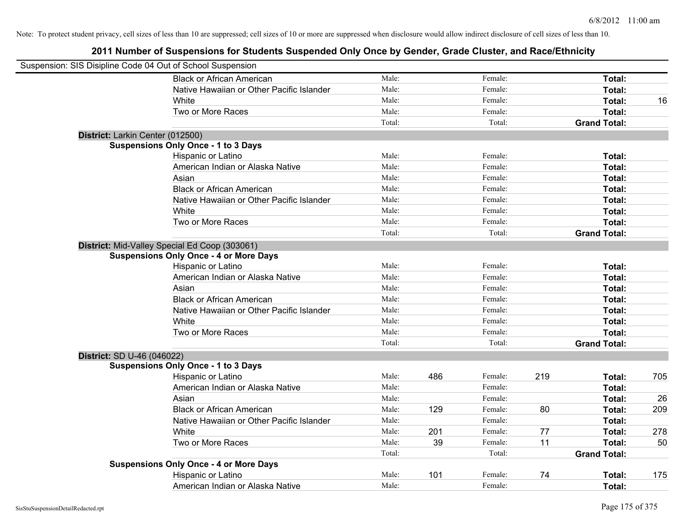| Suspension: SIS Disipline Code 04 Out of School Suspension |                                               |        |     |         |     |                     |     |
|------------------------------------------------------------|-----------------------------------------------|--------|-----|---------|-----|---------------------|-----|
|                                                            | <b>Black or African American</b>              | Male:  |     | Female: |     | Total:              |     |
|                                                            | Native Hawaiian or Other Pacific Islander     | Male:  |     | Female: |     | Total:              |     |
|                                                            | White                                         | Male:  |     | Female: |     | Total:              | 16  |
|                                                            | Two or More Races                             | Male:  |     | Female: |     | Total:              |     |
|                                                            |                                               | Total: |     | Total:  |     | <b>Grand Total:</b> |     |
| District: Larkin Center (012500)                           |                                               |        |     |         |     |                     |     |
|                                                            | <b>Suspensions Only Once - 1 to 3 Days</b>    |        |     |         |     |                     |     |
|                                                            | Hispanic or Latino                            | Male:  |     | Female: |     | Total:              |     |
|                                                            | American Indian or Alaska Native              | Male:  |     | Female: |     | Total:              |     |
|                                                            | Asian                                         | Male:  |     | Female: |     | Total:              |     |
|                                                            | <b>Black or African American</b>              | Male:  |     | Female: |     | Total:              |     |
|                                                            | Native Hawaiian or Other Pacific Islander     | Male:  |     | Female: |     | Total:              |     |
|                                                            | White                                         | Male:  |     | Female: |     | Total:              |     |
|                                                            | Two or More Races                             | Male:  |     | Female: |     | Total:              |     |
|                                                            |                                               | Total: |     | Total:  |     | <b>Grand Total:</b> |     |
|                                                            | District: Mid-Valley Special Ed Coop (303061) |        |     |         |     |                     |     |
|                                                            | <b>Suspensions Only Once - 4 or More Days</b> |        |     |         |     |                     |     |
|                                                            | Hispanic or Latino                            | Male:  |     | Female: |     | Total:              |     |
|                                                            | American Indian or Alaska Native              | Male:  |     | Female: |     | Total:              |     |
|                                                            | Asian                                         | Male:  |     | Female: |     | Total:              |     |
|                                                            | <b>Black or African American</b>              | Male:  |     | Female: |     | Total:              |     |
|                                                            | Native Hawaiian or Other Pacific Islander     | Male:  |     | Female: |     | Total:              |     |
|                                                            | White                                         | Male:  |     | Female: |     | Total:              |     |
|                                                            | Two or More Races                             | Male:  |     | Female: |     | Total:              |     |
|                                                            |                                               | Total: |     | Total:  |     | <b>Grand Total:</b> |     |
| District: SD U-46 (046022)                                 |                                               |        |     |         |     |                     |     |
|                                                            | <b>Suspensions Only Once - 1 to 3 Days</b>    |        |     |         |     |                     |     |
|                                                            | Hispanic or Latino                            | Male:  | 486 | Female: | 219 | Total:              | 705 |
|                                                            | American Indian or Alaska Native              | Male:  |     | Female: |     | Total:              |     |
|                                                            | Asian                                         | Male:  |     | Female: |     | Total:              | 26  |
|                                                            | <b>Black or African American</b>              | Male:  | 129 | Female: | 80  | Total:              | 209 |
|                                                            | Native Hawaiian or Other Pacific Islander     | Male:  |     | Female: |     | Total:              |     |
|                                                            | <b>White</b>                                  | Male:  | 201 | Female: | 77  | Total:              | 278 |
|                                                            | Two or More Races                             | Male:  | 39  | Female: | 11  | Total:              | 50  |
|                                                            |                                               | Total: |     | Total:  |     | <b>Grand Total:</b> |     |
|                                                            | <b>Suspensions Only Once - 4 or More Days</b> |        |     |         |     |                     |     |
|                                                            | Hispanic or Latino                            | Male:  | 101 | Female: | 74  | Total:              | 175 |
|                                                            | American Indian or Alaska Native              | Male:  |     | Female: |     | Total:              |     |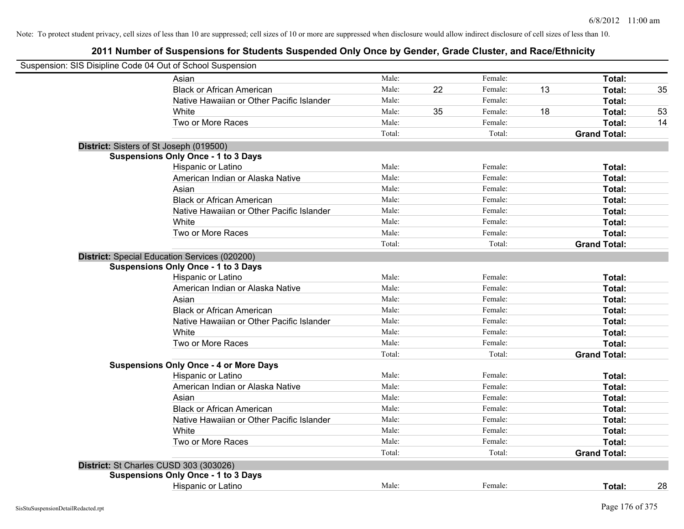| Suspension: SIS Disipline Code 04 Out of School Suspension |                                               |        |    |         |    |                     |    |
|------------------------------------------------------------|-----------------------------------------------|--------|----|---------|----|---------------------|----|
|                                                            | Asian                                         | Male:  |    | Female: |    | Total:              |    |
|                                                            | <b>Black or African American</b>              | Male:  | 22 | Female: | 13 | Total:              | 35 |
|                                                            | Native Hawaiian or Other Pacific Islander     | Male:  |    | Female: |    | Total:              |    |
|                                                            | White                                         | Male:  | 35 | Female: | 18 | Total:              | 53 |
|                                                            | Two or More Races                             | Male:  |    | Female: |    | <b>Total:</b>       | 14 |
|                                                            |                                               | Total: |    | Total:  |    | <b>Grand Total:</b> |    |
|                                                            | District: Sisters of St Joseph (019500)       |        |    |         |    |                     |    |
|                                                            | <b>Suspensions Only Once - 1 to 3 Days</b>    |        |    |         |    |                     |    |
|                                                            | Hispanic or Latino                            | Male:  |    | Female: |    | Total:              |    |
|                                                            | American Indian or Alaska Native              | Male:  |    | Female: |    | Total:              |    |
|                                                            | Asian                                         | Male:  |    | Female: |    | Total:              |    |
|                                                            | <b>Black or African American</b>              | Male:  |    | Female: |    | Total:              |    |
|                                                            | Native Hawaiian or Other Pacific Islander     | Male:  |    | Female: |    | Total:              |    |
|                                                            | White                                         | Male:  |    | Female: |    | Total:              |    |
|                                                            | Two or More Races                             | Male:  |    | Female: |    | Total:              |    |
|                                                            |                                               | Total: |    | Total:  |    | <b>Grand Total:</b> |    |
|                                                            | District: Special Education Services (020200) |        |    |         |    |                     |    |
|                                                            | <b>Suspensions Only Once - 1 to 3 Days</b>    |        |    |         |    |                     |    |
|                                                            | Hispanic or Latino                            | Male:  |    | Female: |    | Total:              |    |
|                                                            | American Indian or Alaska Native              | Male:  |    | Female: |    | Total:              |    |
|                                                            | Asian                                         | Male:  |    | Female: |    | Total:              |    |
|                                                            | <b>Black or African American</b>              | Male:  |    | Female: |    | Total:              |    |
|                                                            | Native Hawaiian or Other Pacific Islander     | Male:  |    | Female: |    | Total:              |    |
|                                                            | White                                         | Male:  |    | Female: |    | Total:              |    |
|                                                            | Two or More Races                             | Male:  |    | Female: |    | Total:              |    |
|                                                            |                                               | Total: |    | Total:  |    | <b>Grand Total:</b> |    |
|                                                            | <b>Suspensions Only Once - 4 or More Days</b> |        |    |         |    |                     |    |
|                                                            | Hispanic or Latino                            | Male:  |    | Female: |    | Total:              |    |
|                                                            | American Indian or Alaska Native              | Male:  |    | Female: |    | Total:              |    |
|                                                            | Asian                                         | Male:  |    | Female: |    | Total:              |    |
|                                                            | <b>Black or African American</b>              | Male:  |    | Female: |    | Total:              |    |
|                                                            | Native Hawaiian or Other Pacific Islander     | Male:  |    | Female: |    | Total:              |    |
|                                                            | White                                         | Male:  |    | Female: |    | Total:              |    |
|                                                            | Two or More Races                             | Male:  |    | Female: |    | Total:              |    |
|                                                            |                                               | Total: |    | Total:  |    | <b>Grand Total:</b> |    |
|                                                            | District: St Charles CUSD 303 (303026)        |        |    |         |    |                     |    |
|                                                            | <b>Suspensions Only Once - 1 to 3 Days</b>    |        |    |         |    |                     |    |
|                                                            | Hispanic or Latino                            | Male:  |    | Female: |    | Total:              | 28 |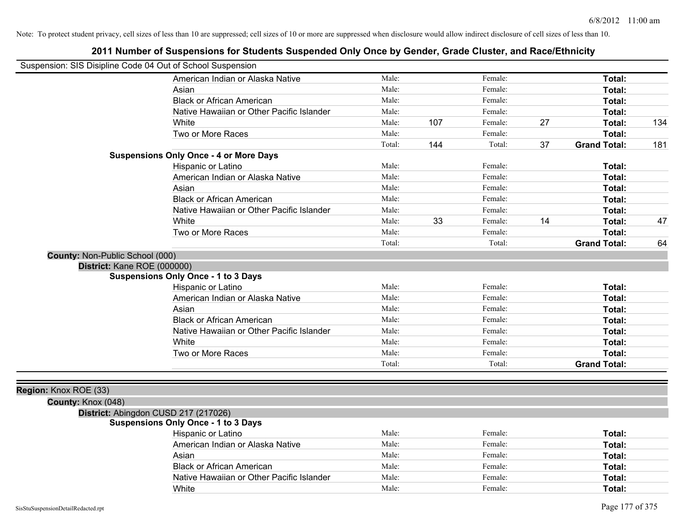|                                 | Native Hawaiian or Other Pacific Islander          | Male:          |     | Female:            |    | Total:              |     |
|---------------------------------|----------------------------------------------------|----------------|-----|--------------------|----|---------------------|-----|
|                                 | White                                              |                | 107 |                    | 27 | Total:              | 134 |
|                                 | Two or More Races                                  | Male:          |     | Female:            |    | Total:              |     |
|                                 |                                                    | Total:         | 144 | Total:             | 37 | <b>Grand Total:</b> | 181 |
|                                 | <b>Suspensions Only Once - 4 or More Days</b>      |                |     |                    |    |                     |     |
|                                 | Hispanic or Latino                                 | Male:          |     | Female:            |    | Total:              |     |
|                                 | American Indian or Alaska Native                   | Male:          |     | Female:            |    | Total:              |     |
|                                 | Asian                                              | Male:          |     | Female:            |    | Total:              |     |
|                                 | <b>Black or African American</b>                   | Male:          |     | Female:            |    | Total:              |     |
|                                 | Native Hawaiian or Other Pacific Islander          | Male:          |     | Female:            |    | Total:              |     |
|                                 | White                                              | Male:          | 33  | Female:            | 14 | Total:              | 47  |
|                                 | Two or More Races                                  | Male:          |     | Female:            |    | Total:              |     |
|                                 |                                                    | Total:         |     | Total:             |    | <b>Grand Total:</b> | 64  |
| County: Non-Public School (000) |                                                    |                |     |                    |    |                     |     |
| District: Kane ROE (000000)     |                                                    |                |     |                    |    |                     |     |
|                                 | <b>Suspensions Only Once - 1 to 3 Days</b>         |                |     |                    |    |                     |     |
|                                 | Hispanic or Latino                                 | Male:          |     | Female:            |    | Total:              |     |
|                                 |                                                    |                |     |                    |    |                     |     |
|                                 | American Indian or Alaska Native                   | Male:          |     | Female:            |    | Total:              |     |
|                                 | Asian                                              | Male:          |     | Female:            |    | Total:              |     |
|                                 | <b>Black or African American</b>                   | Male:          |     | Female:            |    | Total:              |     |
|                                 | Native Hawaiian or Other Pacific Islander          | Male:          |     | Female:            |    | Total:              |     |
|                                 | White                                              | Male:          |     | Female:            |    | Total:              |     |
|                                 | Two or More Races                                  | Male:          |     | Female:            |    | Total:              |     |
|                                 |                                                    | Total:         |     | Total:             |    | <b>Grand Total:</b> |     |
|                                 |                                                    |                |     |                    |    |                     |     |
|                                 |                                                    |                |     |                    |    |                     |     |
| Region: Knox ROE (33)           |                                                    |                |     |                    |    |                     |     |
| County: Knox (048)              |                                                    |                |     |                    |    |                     |     |
|                                 | District: Abingdon CUSD 217 (217026)               |                |     |                    |    |                     |     |
|                                 | <b>Suspensions Only Once - 1 to 3 Days</b>         | Male:          |     | Female:            |    |                     |     |
|                                 | Hispanic or Latino                                 | Male:          |     | Female:            |    | Total:              |     |
|                                 | American Indian or Alaska Native                   | Male:          |     | Female:            |    | Total:              |     |
|                                 | Asian                                              |                |     |                    |    | Total:              |     |
|                                 | <b>Black or African American</b>                   | Male:          |     | Female:            |    | Total:              |     |
|                                 | Native Hawaiian or Other Pacific Islander<br>White | Male:<br>Male: |     | Female:<br>Female: |    | Total:<br>Total:    |     |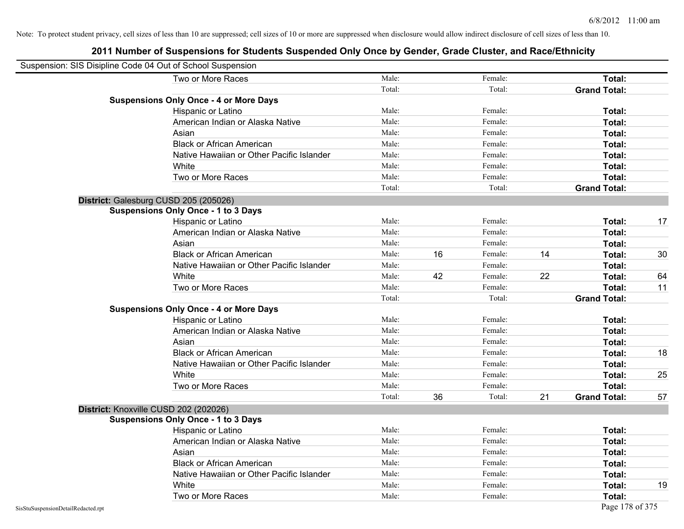| Suspension: SIS Disipline Code 04 Out of School Suspension |                                               |        |    |         |    |                     |    |
|------------------------------------------------------------|-----------------------------------------------|--------|----|---------|----|---------------------|----|
|                                                            | Two or More Races                             | Male:  |    | Female: |    | Total:              |    |
|                                                            |                                               | Total: |    | Total:  |    | <b>Grand Total:</b> |    |
|                                                            | <b>Suspensions Only Once - 4 or More Days</b> |        |    |         |    |                     |    |
|                                                            | Hispanic or Latino                            | Male:  |    | Female: |    | Total:              |    |
|                                                            | American Indian or Alaska Native              | Male:  |    | Female: |    | <b>Total:</b>       |    |
|                                                            | Asian                                         | Male:  |    | Female: |    | <b>Total:</b>       |    |
|                                                            | <b>Black or African American</b>              | Male:  |    | Female: |    | Total:              |    |
|                                                            | Native Hawaiian or Other Pacific Islander     | Male:  |    | Female: |    | Total:              |    |
|                                                            | White                                         | Male:  |    | Female: |    | Total:              |    |
|                                                            | Two or More Races                             | Male:  |    | Female: |    | Total:              |    |
|                                                            |                                               | Total: |    | Total:  |    | <b>Grand Total:</b> |    |
|                                                            | District: Galesburg CUSD 205 (205026)         |        |    |         |    |                     |    |
|                                                            | <b>Suspensions Only Once - 1 to 3 Days</b>    |        |    |         |    |                     |    |
|                                                            | Hispanic or Latino                            | Male:  |    | Female: |    | <b>Total:</b>       | 17 |
|                                                            | American Indian or Alaska Native              | Male:  |    | Female: |    | Total:              |    |
|                                                            | Asian                                         | Male:  |    | Female: |    | Total:              |    |
|                                                            | <b>Black or African American</b>              | Male:  | 16 | Female: | 14 | Total:              | 30 |
|                                                            | Native Hawaiian or Other Pacific Islander     | Male:  |    | Female: |    | <b>Total:</b>       |    |
|                                                            | White                                         | Male:  | 42 | Female: | 22 | Total:              | 64 |
|                                                            | Two or More Races                             | Male:  |    | Female: |    | Total:              | 11 |
|                                                            |                                               | Total: |    | Total:  |    | <b>Grand Total:</b> |    |
|                                                            | <b>Suspensions Only Once - 4 or More Days</b> |        |    |         |    |                     |    |
|                                                            | Hispanic or Latino                            | Male:  |    | Female: |    | Total:              |    |
|                                                            | American Indian or Alaska Native              | Male:  |    | Female: |    | <b>Total:</b>       |    |
|                                                            | Asian                                         | Male:  |    | Female: |    | Total:              |    |
|                                                            | <b>Black or African American</b>              | Male:  |    | Female: |    | Total:              | 18 |
|                                                            | Native Hawaiian or Other Pacific Islander     | Male:  |    | Female: |    | Total:              |    |
|                                                            | White                                         | Male:  |    | Female: |    | Total:              | 25 |
|                                                            | Two or More Races                             | Male:  |    | Female: |    | Total:              |    |
|                                                            |                                               | Total: | 36 | Total:  | 21 | <b>Grand Total:</b> | 57 |
|                                                            | District: Knoxville CUSD 202 (202026)         |        |    |         |    |                     |    |
|                                                            | <b>Suspensions Only Once - 1 to 3 Days</b>    |        |    |         |    |                     |    |
|                                                            | Hispanic or Latino                            | Male:  |    | Female: |    | Total:              |    |
|                                                            | American Indian or Alaska Native              | Male:  |    | Female: |    | <b>Total:</b>       |    |
|                                                            | Asian                                         | Male:  |    | Female: |    | Total:              |    |
|                                                            | <b>Black or African American</b>              | Male:  |    | Female: |    | Total:              |    |
|                                                            | Native Hawaiian or Other Pacific Islander     | Male:  |    | Female: |    | Total:              |    |
|                                                            | White                                         | Male:  |    | Female: |    | <b>Total:</b>       | 19 |
|                                                            | Two or More Races                             | Male:  |    | Female: |    | <b>Total:</b>       |    |
| SisStuSuspensionDetailRedacted.rpt                         |                                               |        |    |         |    | Page 178 of 375     |    |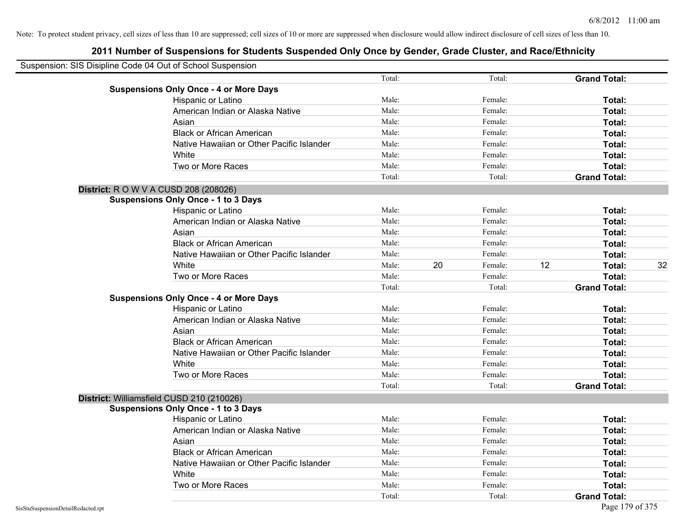| Suspension: SIS Disipline Code 04 Out of School Suspension |                                               |        |    |         |    |                     |    |
|------------------------------------------------------------|-----------------------------------------------|--------|----|---------|----|---------------------|----|
|                                                            |                                               | Total: |    | Total:  |    | <b>Grand Total:</b> |    |
|                                                            | <b>Suspensions Only Once - 4 or More Days</b> |        |    |         |    |                     |    |
|                                                            | Hispanic or Latino                            | Male:  |    | Female: |    | Total:              |    |
|                                                            | American Indian or Alaska Native              | Male:  |    | Female: |    | Total:              |    |
|                                                            | Asian                                         | Male:  |    | Female: |    | Total:              |    |
|                                                            | <b>Black or African American</b>              | Male:  |    | Female: |    | Total:              |    |
|                                                            | Native Hawaiian or Other Pacific Islander     | Male:  |    | Female: |    | Total:              |    |
|                                                            | White                                         | Male:  |    | Female: |    | Total:              |    |
|                                                            | Two or More Races                             | Male:  |    | Female: |    | Total:              |    |
|                                                            |                                               | Total: |    | Total:  |    | <b>Grand Total:</b> |    |
|                                                            | <b>District: R O W V A CUSD 208 (208026)</b>  |        |    |         |    |                     |    |
|                                                            | <b>Suspensions Only Once - 1 to 3 Days</b>    |        |    |         |    |                     |    |
|                                                            | Hispanic or Latino                            | Male:  |    | Female: |    | Total:              |    |
|                                                            | American Indian or Alaska Native              | Male:  |    | Female: |    | Total:              |    |
|                                                            | Asian                                         | Male:  |    | Female: |    | Total:              |    |
|                                                            | <b>Black or African American</b>              | Male:  |    | Female: |    | Total:              |    |
|                                                            | Native Hawaiian or Other Pacific Islander     | Male:  |    | Female: |    | Total:              |    |
|                                                            | White                                         | Male:  | 20 | Female: | 12 | Total:              | 32 |
|                                                            | Two or More Races                             | Male:  |    | Female: |    | Total:              |    |
|                                                            |                                               | Total: |    | Total:  |    | <b>Grand Total:</b> |    |
|                                                            | <b>Suspensions Only Once - 4 or More Days</b> |        |    |         |    |                     |    |
|                                                            | Hispanic or Latino                            | Male:  |    | Female: |    | Total:              |    |
|                                                            | American Indian or Alaska Native              | Male:  |    | Female: |    | Total:              |    |
|                                                            | Asian                                         | Male:  |    | Female: |    | Total:              |    |
|                                                            | <b>Black or African American</b>              | Male:  |    | Female: |    | Total:              |    |
|                                                            | Native Hawaiian or Other Pacific Islander     | Male:  |    | Female: |    | Total:              |    |
|                                                            | White                                         | Male:  |    | Female: |    | Total:              |    |
|                                                            | Two or More Races                             | Male:  |    | Female: |    | Total:              |    |
|                                                            |                                               | Total: |    | Total:  |    | <b>Grand Total:</b> |    |
|                                                            | District: Williamsfield CUSD 210 (210026)     |        |    |         |    |                     |    |
|                                                            | <b>Suspensions Only Once - 1 to 3 Days</b>    |        |    |         |    |                     |    |
|                                                            | Hispanic or Latino                            | Male:  |    | Female: |    | Total:              |    |
|                                                            | American Indian or Alaska Native              | Male:  |    | Female: |    | Total:              |    |
|                                                            | Asian                                         | Male:  |    | Female: |    | Total:              |    |
|                                                            | <b>Black or African American</b>              | Male:  |    | Female: |    | Total:              |    |
|                                                            | Native Hawaiian or Other Pacific Islander     | Male:  |    | Female: |    | Total:              |    |
|                                                            | White                                         | Male:  |    | Female: |    | Total:              |    |
|                                                            | Two or More Races                             | Male:  |    | Female: |    | Total:              |    |
|                                                            |                                               | Total: |    | Total:  |    | <b>Grand Total:</b> |    |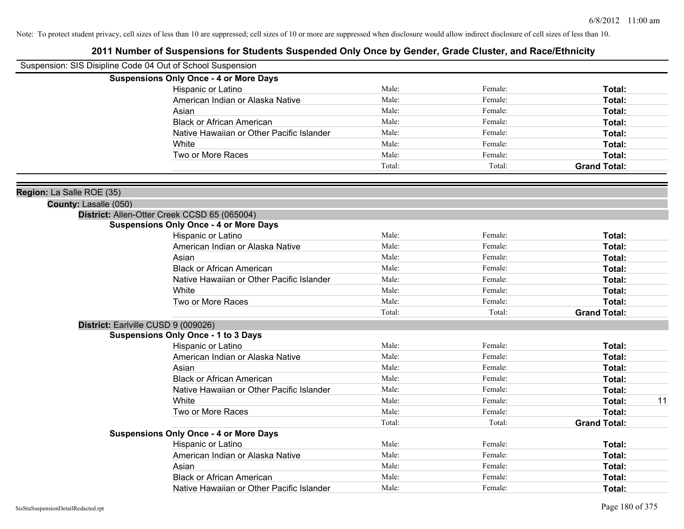|                           | Suspension: SIS Disipline Code 04 Out of School Suspension |        |         |                     |    |
|---------------------------|------------------------------------------------------------|--------|---------|---------------------|----|
|                           | <b>Suspensions Only Once - 4 or More Days</b>              |        |         |                     |    |
|                           | Hispanic or Latino                                         | Male:  | Female: | Total:              |    |
|                           | American Indian or Alaska Native                           | Male:  | Female: | Total:              |    |
|                           | Asian                                                      | Male:  | Female: | Total:              |    |
|                           | <b>Black or African American</b>                           | Male:  | Female: | Total:              |    |
|                           | Native Hawaiian or Other Pacific Islander                  | Male:  | Female: | Total:              |    |
|                           | White                                                      | Male:  | Female: | Total:              |    |
|                           | Two or More Races                                          | Male:  | Female: | Total:              |    |
|                           |                                                            | Total: | Total:  | <b>Grand Total:</b> |    |
| Region: La Salle ROE (35) |                                                            |        |         |                     |    |
| County: Lasalle (050)     |                                                            |        |         |                     |    |
|                           | District: Allen-Otter Creek CCSD 65 (065004)               |        |         |                     |    |
|                           | <b>Suspensions Only Once - 4 or More Days</b>              |        |         |                     |    |
|                           | Hispanic or Latino                                         | Male:  | Female: | Total:              |    |
|                           | American Indian or Alaska Native                           | Male:  | Female: | Total:              |    |
|                           | Asian                                                      | Male:  | Female: | Total:              |    |
|                           | <b>Black or African American</b>                           | Male:  | Female: | Total:              |    |
|                           | Native Hawaiian or Other Pacific Islander                  | Male:  | Female: | Total:              |    |
|                           | White                                                      | Male:  | Female: | Total:              |    |
|                           | Two or More Races                                          | Male:  | Female: | Total:              |    |
|                           |                                                            | Total: | Total:  | <b>Grand Total:</b> |    |
|                           | District: Earlville CUSD 9 (009026)                        |        |         |                     |    |
|                           | <b>Suspensions Only Once - 1 to 3 Days</b>                 |        |         |                     |    |
|                           | Hispanic or Latino                                         | Male:  | Female: | Total:              |    |
|                           | American Indian or Alaska Native                           | Male:  | Female: | Total:              |    |
|                           | Asian                                                      | Male:  | Female: | Total:              |    |
|                           | <b>Black or African American</b>                           | Male:  | Female: | Total:              |    |
|                           | Native Hawaiian or Other Pacific Islander                  | Male:  | Female: | Total:              |    |
|                           | White                                                      | Male:  | Female: | Total:              | 11 |
|                           | Two or More Races                                          | Male:  | Female: | Total:              |    |
|                           |                                                            | Total: | Total:  | <b>Grand Total:</b> |    |
|                           | <b>Suspensions Only Once - 4 or More Days</b>              |        |         |                     |    |
|                           | Hispanic or Latino                                         | Male:  | Female: | Total:              |    |
|                           | American Indian or Alaska Native                           | Male:  | Female: | Total:              |    |
|                           | Asian                                                      | Male:  | Female: | Total:              |    |
|                           | <b>Black or African American</b>                           | Male:  | Female: | Total:              |    |
|                           | Native Hawaiian or Other Pacific Islander                  | Male:  | Female: | Total:              |    |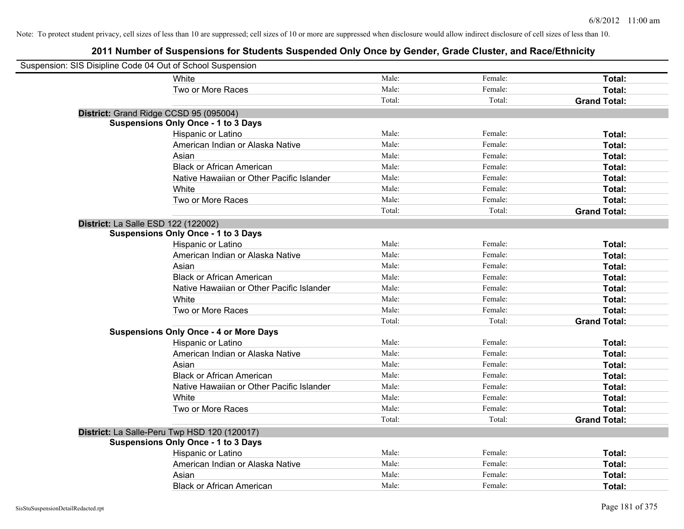| Suspension: SIS Disipline Code 04 Out of School Suspension |                                               |        |         |                     |
|------------------------------------------------------------|-----------------------------------------------|--------|---------|---------------------|
|                                                            | White                                         | Male:  | Female: | Total:              |
|                                                            | Two or More Races                             | Male:  | Female: | Total:              |
|                                                            |                                               | Total: | Total:  | <b>Grand Total:</b> |
| District: Grand Ridge CCSD 95 (095004)                     |                                               |        |         |                     |
|                                                            | <b>Suspensions Only Once - 1 to 3 Days</b>    |        |         |                     |
|                                                            | Hispanic or Latino                            | Male:  | Female: | Total:              |
|                                                            | American Indian or Alaska Native              | Male:  | Female: | Total:              |
|                                                            | Asian                                         | Male:  | Female: | Total:              |
|                                                            | <b>Black or African American</b>              | Male:  | Female: | Total:              |
|                                                            | Native Hawaiian or Other Pacific Islander     | Male:  | Female: | Total:              |
|                                                            | White                                         | Male:  | Female: | Total:              |
|                                                            | Two or More Races                             | Male:  | Female: | Total:              |
|                                                            |                                               | Total: | Total:  | <b>Grand Total:</b> |
| <b>District:</b> La Salle ESD 122 (122002)                 |                                               |        |         |                     |
|                                                            | <b>Suspensions Only Once - 1 to 3 Days</b>    |        |         |                     |
|                                                            | Hispanic or Latino                            | Male:  | Female: | Total:              |
|                                                            | American Indian or Alaska Native              | Male:  | Female: | Total:              |
|                                                            | Asian                                         | Male:  | Female: | Total:              |
|                                                            | <b>Black or African American</b>              | Male:  | Female: | Total:              |
|                                                            | Native Hawaiian or Other Pacific Islander     | Male:  | Female: | Total:              |
|                                                            | White                                         | Male:  | Female: | Total:              |
|                                                            | Two or More Races                             | Male:  | Female: | Total:              |
|                                                            |                                               | Total: | Total:  | <b>Grand Total:</b> |
|                                                            | <b>Suspensions Only Once - 4 or More Days</b> |        |         |                     |
|                                                            | Hispanic or Latino                            | Male:  | Female: | Total:              |
|                                                            | American Indian or Alaska Native              | Male:  | Female: | Total:              |
|                                                            | Asian                                         | Male:  | Female: | Total:              |
|                                                            | <b>Black or African American</b>              | Male:  | Female: | Total:              |
|                                                            | Native Hawaiian or Other Pacific Islander     | Male:  | Female: | Total:              |
|                                                            | White                                         | Male:  | Female: | Total:              |
|                                                            | Two or More Races                             | Male:  | Female: | Total:              |
|                                                            |                                               | Total: | Total:  | <b>Grand Total:</b> |
|                                                            | District: La Salle-Peru Twp HSD 120 (120017)  |        |         |                     |
|                                                            | <b>Suspensions Only Once - 1 to 3 Days</b>    |        |         |                     |
|                                                            | Hispanic or Latino                            | Male:  | Female: | Total:              |
|                                                            | American Indian or Alaska Native              | Male:  | Female: | Total:              |
|                                                            | Asian                                         | Male:  | Female: | Total:              |
|                                                            | <b>Black or African American</b>              | Male:  | Female: | Total:              |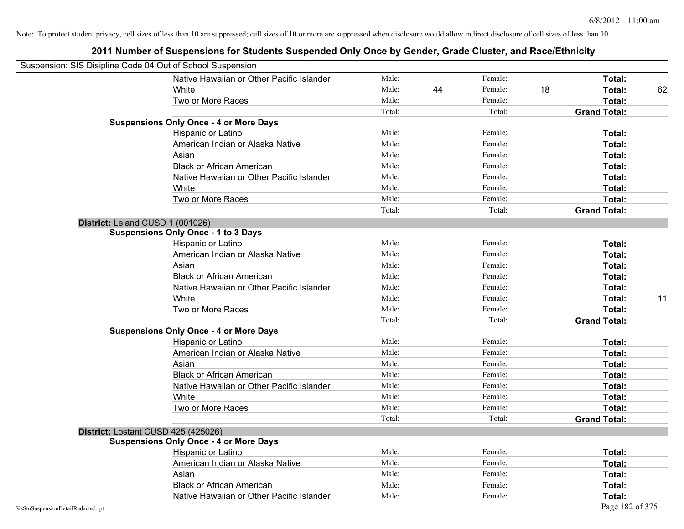| Suspension: SIS Disipline Code 04 Out of School Suspension |                                               |        |    |         |    |                     |    |
|------------------------------------------------------------|-----------------------------------------------|--------|----|---------|----|---------------------|----|
|                                                            | Native Hawaiian or Other Pacific Islander     | Male:  |    | Female: |    | Total:              |    |
|                                                            | White                                         | Male:  | 44 | Female: | 18 | Total:              | 62 |
|                                                            | Two or More Races                             | Male:  |    | Female: |    | Total:              |    |
|                                                            |                                               | Total: |    | Total:  |    | <b>Grand Total:</b> |    |
|                                                            | <b>Suspensions Only Once - 4 or More Days</b> |        |    |         |    |                     |    |
|                                                            | Hispanic or Latino                            | Male:  |    | Female: |    | Total:              |    |
|                                                            | American Indian or Alaska Native              | Male:  |    | Female: |    | Total:              |    |
|                                                            | Asian                                         | Male:  |    | Female: |    | Total:              |    |
|                                                            | <b>Black or African American</b>              | Male:  |    | Female: |    | Total:              |    |
|                                                            | Native Hawaiian or Other Pacific Islander     | Male:  |    | Female: |    | Total:              |    |
|                                                            | White                                         | Male:  |    | Female: |    | Total:              |    |
|                                                            | Two or More Races                             | Male:  |    | Female: |    | Total:              |    |
|                                                            |                                               | Total: |    | Total:  |    | <b>Grand Total:</b> |    |
| District: Leland CUSD 1 (001026)                           |                                               |        |    |         |    |                     |    |
|                                                            | <b>Suspensions Only Once - 1 to 3 Days</b>    |        |    |         |    |                     |    |
|                                                            | Hispanic or Latino                            | Male:  |    | Female: |    | Total:              |    |
|                                                            | American Indian or Alaska Native              | Male:  |    | Female: |    | Total:              |    |
|                                                            | Asian                                         | Male:  |    | Female: |    | Total:              |    |
|                                                            | <b>Black or African American</b>              | Male:  |    | Female: |    | Total:              |    |
|                                                            | Native Hawaiian or Other Pacific Islander     | Male:  |    | Female: |    | Total:              |    |
|                                                            | White                                         | Male:  |    | Female: |    | Total:              | 11 |
|                                                            | Two or More Races                             | Male:  |    | Female: |    | Total:              |    |
|                                                            |                                               | Total: |    | Total:  |    | <b>Grand Total:</b> |    |
|                                                            | <b>Suspensions Only Once - 4 or More Days</b> |        |    |         |    |                     |    |
|                                                            | Hispanic or Latino                            | Male:  |    | Female: |    | Total:              |    |
|                                                            | American Indian or Alaska Native              | Male:  |    | Female: |    | Total:              |    |
|                                                            | Asian                                         | Male:  |    | Female: |    | Total:              |    |
|                                                            | <b>Black or African American</b>              | Male:  |    | Female: |    | Total:              |    |
|                                                            | Native Hawaiian or Other Pacific Islander     | Male:  |    | Female: |    | Total:              |    |
|                                                            | White                                         | Male:  |    | Female: |    | Total:              |    |
|                                                            | Two or More Races                             | Male:  |    | Female: |    | Total:              |    |
|                                                            |                                               | Total: |    | Total:  |    | <b>Grand Total:</b> |    |
|                                                            | District: Lostant CUSD 425 (425026)           |        |    |         |    |                     |    |
|                                                            | <b>Suspensions Only Once - 4 or More Days</b> |        |    |         |    |                     |    |
|                                                            | Hispanic or Latino                            | Male:  |    | Female: |    | Total:              |    |
|                                                            | American Indian or Alaska Native              | Male:  |    | Female: |    | Total:              |    |
|                                                            | Asian                                         | Male:  |    | Female: |    | Total:              |    |
|                                                            | <b>Black or African American</b>              | Male:  |    | Female: |    | Total:              |    |
|                                                            | Native Hawaiian or Other Pacific Islander     | Male:  |    | Female: |    | Total:              |    |
| SisStuSuspensionDetailRedacted.rpt                         |                                               |        |    |         |    | Page 182 of 375     |    |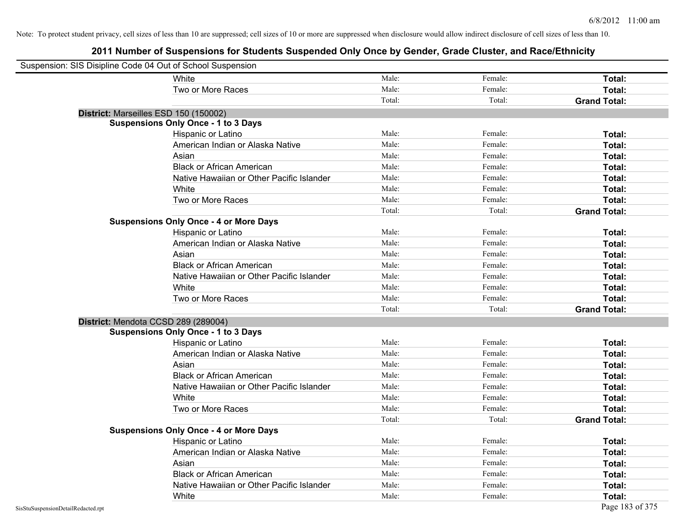| Suspension: SIS Disipline Code 04 Out of School Suspension |                                               |        |         |                     |
|------------------------------------------------------------|-----------------------------------------------|--------|---------|---------------------|
|                                                            | <b>White</b>                                  | Male:  | Female: | Total:              |
|                                                            | Two or More Races                             | Male:  | Female: | Total:              |
|                                                            |                                               | Total: | Total:  | <b>Grand Total:</b> |
| District: Marseilles ESD 150 (150002)                      |                                               |        |         |                     |
|                                                            | <b>Suspensions Only Once - 1 to 3 Days</b>    |        |         |                     |
|                                                            | Hispanic or Latino                            | Male:  | Female: | Total:              |
|                                                            | American Indian or Alaska Native              | Male:  | Female: | Total:              |
|                                                            | Asian                                         | Male:  | Female: | Total:              |
|                                                            | <b>Black or African American</b>              | Male:  | Female: | Total:              |
|                                                            | Native Hawaiian or Other Pacific Islander     | Male:  | Female: | Total:              |
|                                                            | White                                         | Male:  | Female: | Total:              |
|                                                            | Two or More Races                             | Male:  | Female: | Total:              |
|                                                            |                                               | Total: | Total:  | <b>Grand Total:</b> |
|                                                            | <b>Suspensions Only Once - 4 or More Days</b> |        |         |                     |
|                                                            | Hispanic or Latino                            | Male:  | Female: | Total:              |
|                                                            | American Indian or Alaska Native              | Male:  | Female: | Total:              |
|                                                            | Asian                                         | Male:  | Female: | Total:              |
|                                                            | <b>Black or African American</b>              | Male:  | Female: | Total:              |
|                                                            | Native Hawaiian or Other Pacific Islander     | Male:  | Female: | Total:              |
|                                                            | White                                         | Male:  | Female: | Total:              |
|                                                            | Two or More Races                             | Male:  | Female: | Total:              |
|                                                            |                                               | Total: | Total:  | <b>Grand Total:</b> |
| District: Mendota CCSD 289 (289004)                        |                                               |        |         |                     |
|                                                            | <b>Suspensions Only Once - 1 to 3 Days</b>    |        |         |                     |
|                                                            | Hispanic or Latino                            | Male:  | Female: | Total:              |
|                                                            | American Indian or Alaska Native              | Male:  | Female: | Total:              |
|                                                            | Asian                                         | Male:  | Female: | Total:              |
|                                                            | <b>Black or African American</b>              | Male:  | Female: | Total:              |
|                                                            | Native Hawaiian or Other Pacific Islander     | Male:  | Female: | Total:              |
|                                                            | White                                         | Male:  | Female: | Total:              |
|                                                            | Two or More Races                             | Male:  | Female: | Total:              |
|                                                            |                                               | Total: | Total:  | <b>Grand Total:</b> |
|                                                            | <b>Suspensions Only Once - 4 or More Days</b> |        |         |                     |
|                                                            | Hispanic or Latino                            | Male:  | Female: | Total:              |
|                                                            | American Indian or Alaska Native              | Male:  | Female: | Total:              |
|                                                            | Asian                                         | Male:  | Female: | Total:              |
|                                                            | <b>Black or African American</b>              | Male:  | Female: | Total:              |
|                                                            | Native Hawaiian or Other Pacific Islander     | Male:  | Female: | Total:              |
|                                                            | White                                         | Male:  | Female: | Total:              |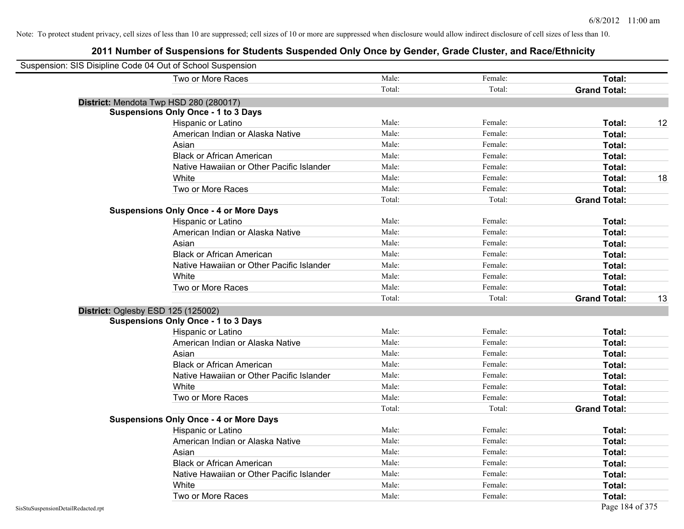| Suspension: SIS Disipline Code 04 Out of School Suspension |                                               |        |         |                     |    |
|------------------------------------------------------------|-----------------------------------------------|--------|---------|---------------------|----|
|                                                            | Two or More Races                             | Male:  | Female: | <b>Total:</b>       |    |
|                                                            |                                               | Total: | Total:  | <b>Grand Total:</b> |    |
|                                                            | District: Mendota Twp HSD 280 (280017)        |        |         |                     |    |
|                                                            | <b>Suspensions Only Once - 1 to 3 Days</b>    |        |         |                     |    |
|                                                            | Hispanic or Latino                            | Male:  | Female: | Total:              | 12 |
|                                                            | American Indian or Alaska Native              | Male:  | Female: | Total:              |    |
|                                                            | Asian                                         | Male:  | Female: | Total:              |    |
|                                                            | <b>Black or African American</b>              | Male:  | Female: | Total:              |    |
|                                                            | Native Hawaiian or Other Pacific Islander     | Male:  | Female: | Total:              |    |
|                                                            | White                                         | Male:  | Female: | Total:              | 18 |
|                                                            | Two or More Races                             | Male:  | Female: | Total:              |    |
|                                                            |                                               | Total: | Total:  | <b>Grand Total:</b> |    |
|                                                            | <b>Suspensions Only Once - 4 or More Days</b> |        |         |                     |    |
|                                                            | Hispanic or Latino                            | Male:  | Female: | Total:              |    |
|                                                            | American Indian or Alaska Native              | Male:  | Female: | Total:              |    |
|                                                            | Asian                                         | Male:  | Female: | Total:              |    |
|                                                            | <b>Black or African American</b>              | Male:  | Female: | Total:              |    |
|                                                            | Native Hawaiian or Other Pacific Islander     | Male:  | Female: | Total:              |    |
|                                                            | White                                         | Male:  | Female: | Total:              |    |
|                                                            | Two or More Races                             | Male:  | Female: | Total:              |    |
|                                                            |                                               | Total: | Total:  | <b>Grand Total:</b> | 13 |
|                                                            | District: Oglesby ESD 125 (125002)            |        |         |                     |    |
|                                                            | <b>Suspensions Only Once - 1 to 3 Days</b>    |        |         |                     |    |
|                                                            | Hispanic or Latino                            | Male:  | Female: | Total:              |    |
|                                                            | American Indian or Alaska Native              | Male:  | Female: | Total:              |    |
|                                                            | Asian                                         | Male:  | Female: | Total:              |    |
|                                                            | <b>Black or African American</b>              | Male:  | Female: | Total:              |    |
|                                                            | Native Hawaiian or Other Pacific Islander     | Male:  | Female: | Total:              |    |
|                                                            | White                                         | Male:  | Female: | Total:              |    |
|                                                            | Two or More Races                             | Male:  | Female: | Total:              |    |
|                                                            |                                               | Total: | Total:  | <b>Grand Total:</b> |    |
|                                                            | <b>Suspensions Only Once - 4 or More Days</b> |        |         |                     |    |
|                                                            | Hispanic or Latino                            | Male:  | Female: | Total:              |    |
|                                                            | American Indian or Alaska Native              | Male:  | Female: | Total:              |    |
|                                                            | Asian                                         | Male:  | Female: | Total:              |    |
|                                                            | <b>Black or African American</b>              | Male:  | Female: | Total:              |    |
|                                                            | Native Hawaiian or Other Pacific Islander     | Male:  | Female: | Total:              |    |
|                                                            | White                                         | Male:  | Female: | Total:              |    |
|                                                            | Two or More Races                             | Male:  | Female: | Total:              |    |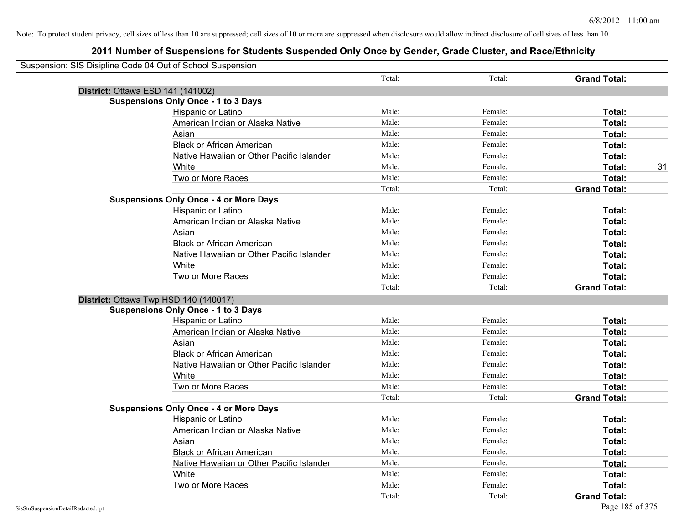| Suspension: SIS Disipline Code 04 Out of School Suspension |                                               |        |         |                     |    |
|------------------------------------------------------------|-----------------------------------------------|--------|---------|---------------------|----|
|                                                            |                                               | Total: | Total:  | <b>Grand Total:</b> |    |
| District: Ottawa ESD 141 (141002)                          |                                               |        |         |                     |    |
|                                                            | <b>Suspensions Only Once - 1 to 3 Days</b>    |        |         |                     |    |
|                                                            | Hispanic or Latino                            | Male:  | Female: | Total:              |    |
|                                                            | American Indian or Alaska Native              | Male:  | Female: | Total:              |    |
|                                                            | Asian                                         | Male:  | Female: | Total:              |    |
|                                                            | <b>Black or African American</b>              | Male:  | Female: | Total:              |    |
|                                                            | Native Hawaiian or Other Pacific Islander     | Male:  | Female: | Total:              |    |
|                                                            | White                                         | Male:  | Female: | Total:              | 31 |
|                                                            | Two or More Races                             | Male:  | Female: | Total:              |    |
|                                                            |                                               | Total: | Total:  | <b>Grand Total:</b> |    |
|                                                            | <b>Suspensions Only Once - 4 or More Days</b> |        |         |                     |    |
|                                                            | Hispanic or Latino                            | Male:  | Female: | Total:              |    |
|                                                            | American Indian or Alaska Native              | Male:  | Female: | Total:              |    |
|                                                            | Asian                                         | Male:  | Female: | Total:              |    |
|                                                            | <b>Black or African American</b>              | Male:  | Female: | Total:              |    |
|                                                            | Native Hawaiian or Other Pacific Islander     | Male:  | Female: | Total:              |    |
|                                                            | White                                         | Male:  | Female: | Total:              |    |
|                                                            | Two or More Races                             | Male:  | Female: | Total:              |    |
|                                                            |                                               | Total: | Total:  | <b>Grand Total:</b> |    |
| District: Ottawa Twp HSD 140 (140017)                      |                                               |        |         |                     |    |
|                                                            | <b>Suspensions Only Once - 1 to 3 Days</b>    |        |         |                     |    |
|                                                            | Hispanic or Latino                            | Male:  | Female: | Total:              |    |
|                                                            | American Indian or Alaska Native              | Male:  | Female: | Total:              |    |
|                                                            | Asian                                         | Male:  | Female: | Total:              |    |
|                                                            | <b>Black or African American</b>              | Male:  | Female: | Total:              |    |
|                                                            | Native Hawaiian or Other Pacific Islander     | Male:  | Female: | Total:              |    |
|                                                            | White                                         | Male:  | Female: | Total:              |    |
|                                                            | Two or More Races                             | Male:  | Female: | Total:              |    |
|                                                            |                                               | Total: | Total:  | <b>Grand Total:</b> |    |
|                                                            | <b>Suspensions Only Once - 4 or More Days</b> |        |         |                     |    |
|                                                            | Hispanic or Latino                            | Male:  | Female: | <b>Total:</b>       |    |
|                                                            | American Indian or Alaska Native              | Male:  | Female: | Total:              |    |
|                                                            | Asian                                         | Male:  | Female: | Total:              |    |
|                                                            | <b>Black or African American</b>              | Male:  | Female: | Total:              |    |
|                                                            | Native Hawaiian or Other Pacific Islander     | Male:  | Female: | Total:              |    |
|                                                            | White                                         | Male:  | Female: | Total:              |    |
|                                                            | Two or More Races                             | Male:  | Female: | <b>Total:</b>       |    |
|                                                            |                                               | Total: | Total:  | <b>Grand Total:</b> |    |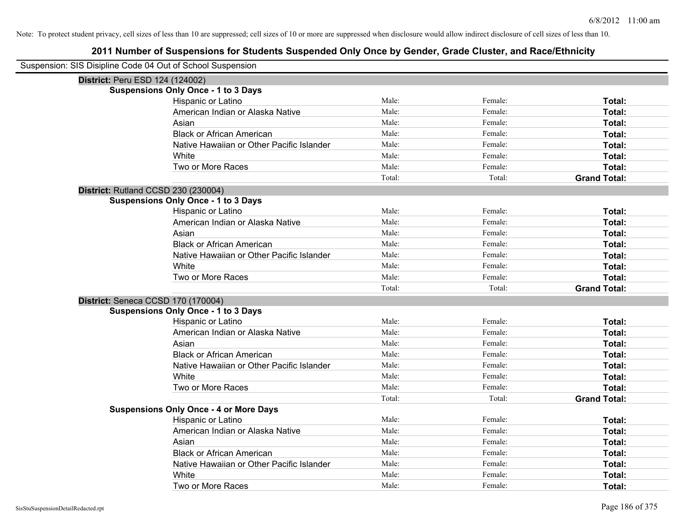| Suspension: SIS Disipline Code 04 Out of School Suspension |                                               |        |         |                     |
|------------------------------------------------------------|-----------------------------------------------|--------|---------|---------------------|
| District: Peru ESD 124 (124002)                            |                                               |        |         |                     |
|                                                            | <b>Suspensions Only Once - 1 to 3 Days</b>    |        |         |                     |
|                                                            | Hispanic or Latino                            | Male:  | Female: | Total:              |
|                                                            | American Indian or Alaska Native              | Male:  | Female: | Total:              |
|                                                            | Asian                                         | Male:  | Female: | <b>Total:</b>       |
|                                                            | <b>Black or African American</b>              | Male:  | Female: | Total:              |
|                                                            | Native Hawaiian or Other Pacific Islander     | Male:  | Female: | Total:              |
|                                                            | White                                         | Male:  | Female: | Total:              |
|                                                            | Two or More Races                             | Male:  | Female: | Total:              |
|                                                            |                                               | Total: | Total:  | <b>Grand Total:</b> |
| District: Rutland CCSD 230 (230004)                        |                                               |        |         |                     |
|                                                            | <b>Suspensions Only Once - 1 to 3 Days</b>    |        |         |                     |
|                                                            | Hispanic or Latino                            | Male:  | Female: | Total:              |
|                                                            | American Indian or Alaska Native              | Male:  | Female: | Total:              |
|                                                            | Asian                                         | Male:  | Female: | Total:              |
|                                                            | <b>Black or African American</b>              | Male:  | Female: | Total:              |
|                                                            | Native Hawaiian or Other Pacific Islander     | Male:  | Female: | Total:              |
|                                                            | White                                         | Male:  | Female: | Total:              |
|                                                            | Two or More Races                             | Male:  | Female: | Total:              |
|                                                            |                                               | Total: | Total:  | <b>Grand Total:</b> |
| District: Seneca CCSD 170 (170004)                         |                                               |        |         |                     |
|                                                            | <b>Suspensions Only Once - 1 to 3 Days</b>    |        |         |                     |
|                                                            | Hispanic or Latino                            | Male:  | Female: | Total:              |
|                                                            | American Indian or Alaska Native              | Male:  | Female: | Total:              |
|                                                            | Asian                                         | Male:  | Female: | Total:              |
|                                                            | <b>Black or African American</b>              | Male:  | Female: | Total:              |
|                                                            | Native Hawaiian or Other Pacific Islander     | Male:  | Female: | <b>Total:</b>       |
|                                                            | White                                         | Male:  | Female: | Total:              |
|                                                            | Two or More Races                             | Male:  | Female: | Total:              |
|                                                            |                                               | Total: | Total:  | <b>Grand Total:</b> |
|                                                            | <b>Suspensions Only Once - 4 or More Days</b> |        |         |                     |
|                                                            | Hispanic or Latino                            | Male:  | Female: | Total:              |
|                                                            | American Indian or Alaska Native              | Male:  | Female: | Total:              |
|                                                            | Asian                                         | Male:  | Female: | Total:              |
|                                                            | <b>Black or African American</b>              | Male:  | Female: | Total:              |
|                                                            | Native Hawaiian or Other Pacific Islander     | Male:  | Female: | Total:              |
|                                                            | White                                         | Male:  | Female: | <b>Total:</b>       |
|                                                            | Two or More Races                             | Male:  | Female: | Total:              |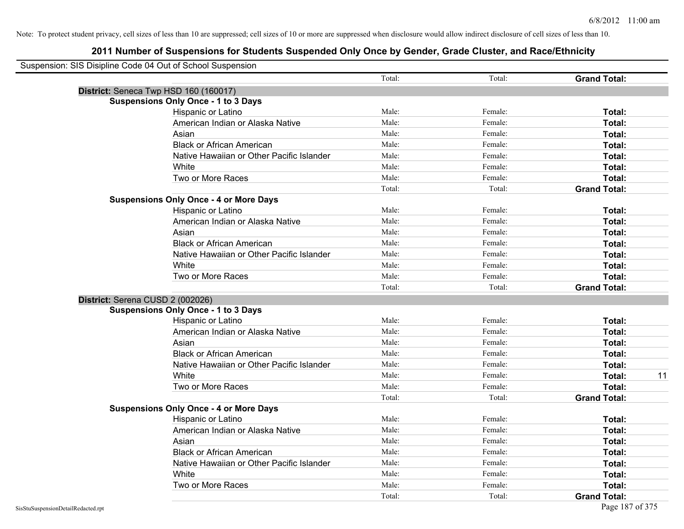| Suspension: SIS Disipline Code 04 Out of School Suspension |                                               |        |         |                     |    |
|------------------------------------------------------------|-----------------------------------------------|--------|---------|---------------------|----|
|                                                            |                                               | Total: | Total:  | <b>Grand Total:</b> |    |
| District: Seneca Twp HSD 160 (160017)                      |                                               |        |         |                     |    |
|                                                            | <b>Suspensions Only Once - 1 to 3 Days</b>    |        |         |                     |    |
|                                                            | Hispanic or Latino                            | Male:  | Female: | Total:              |    |
|                                                            | American Indian or Alaska Native              | Male:  | Female: | Total:              |    |
|                                                            | Asian                                         | Male:  | Female: | Total:              |    |
|                                                            | <b>Black or African American</b>              | Male:  | Female: | Total:              |    |
|                                                            | Native Hawaiian or Other Pacific Islander     | Male:  | Female: | Total:              |    |
|                                                            | White                                         | Male:  | Female: | Total:              |    |
|                                                            | Two or More Races                             | Male:  | Female: | Total:              |    |
|                                                            |                                               | Total: | Total:  | <b>Grand Total:</b> |    |
|                                                            | <b>Suspensions Only Once - 4 or More Days</b> |        |         |                     |    |
|                                                            | Hispanic or Latino                            | Male:  | Female: | Total:              |    |
|                                                            | American Indian or Alaska Native              | Male:  | Female: | Total:              |    |
|                                                            | Asian                                         | Male:  | Female: | Total:              |    |
|                                                            | <b>Black or African American</b>              | Male:  | Female: | Total:              |    |
|                                                            | Native Hawaiian or Other Pacific Islander     | Male:  | Female: | Total:              |    |
|                                                            | White                                         | Male:  | Female: | Total:              |    |
|                                                            | Two or More Races                             | Male:  | Female: | Total:              |    |
|                                                            |                                               | Total: | Total:  | <b>Grand Total:</b> |    |
| District: Serena CUSD 2 (002026)                           |                                               |        |         |                     |    |
|                                                            | <b>Suspensions Only Once - 1 to 3 Days</b>    |        |         |                     |    |
|                                                            | Hispanic or Latino                            | Male:  | Female: | Total:              |    |
|                                                            | American Indian or Alaska Native              | Male:  | Female: | Total:              |    |
|                                                            | Asian                                         | Male:  | Female: | Total:              |    |
|                                                            | <b>Black or African American</b>              | Male:  | Female: | Total:              |    |
|                                                            | Native Hawaiian or Other Pacific Islander     | Male:  | Female: | Total:              |    |
|                                                            | White                                         | Male:  | Female: | Total:              | 11 |
|                                                            | Two or More Races                             | Male:  | Female: | Total:              |    |
|                                                            |                                               | Total: | Total:  | <b>Grand Total:</b> |    |
|                                                            | <b>Suspensions Only Once - 4 or More Days</b> |        |         |                     |    |
|                                                            | Hispanic or Latino                            | Male:  | Female: | Total:              |    |
|                                                            | American Indian or Alaska Native              | Male:  | Female: | Total:              |    |
|                                                            | Asian                                         | Male:  | Female: | Total:              |    |
|                                                            | <b>Black or African American</b>              | Male:  | Female: | Total:              |    |
|                                                            | Native Hawaiian or Other Pacific Islander     | Male:  | Female: | Total:              |    |
|                                                            | White                                         | Male:  | Female: | Total:              |    |
|                                                            | Two or More Races                             | Male:  | Female: | <b>Total:</b>       |    |
|                                                            |                                               | Total: | Total:  | <b>Grand Total:</b> |    |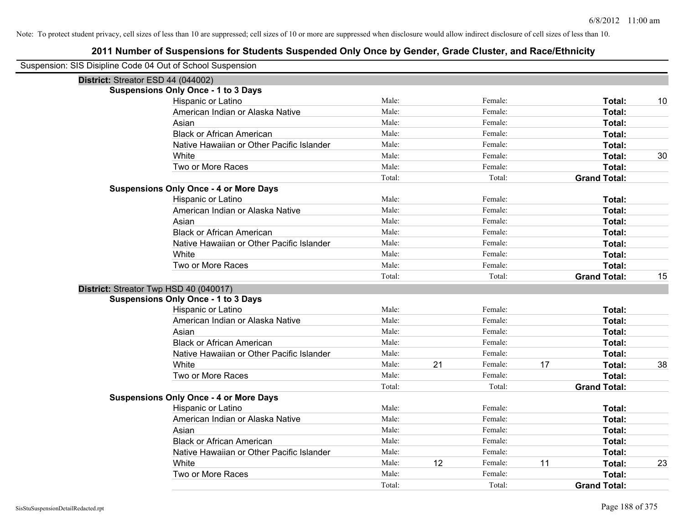| Suspension: SIS Disipline Code 04 Out of School Suspension |                                               |        |    |         |    |                     |    |
|------------------------------------------------------------|-----------------------------------------------|--------|----|---------|----|---------------------|----|
| District: Streator ESD 44 (044002)                         |                                               |        |    |         |    |                     |    |
|                                                            | <b>Suspensions Only Once - 1 to 3 Days</b>    |        |    |         |    |                     |    |
|                                                            | Hispanic or Latino                            | Male:  |    | Female: |    | Total:              | 10 |
|                                                            | American Indian or Alaska Native              | Male:  |    | Female: |    | Total:              |    |
|                                                            | Asian                                         | Male:  |    | Female: |    | Total:              |    |
|                                                            | <b>Black or African American</b>              | Male:  |    | Female: |    | Total:              |    |
|                                                            | Native Hawaiian or Other Pacific Islander     | Male:  |    | Female: |    | Total:              |    |
|                                                            | White                                         | Male:  |    | Female: |    | Total:              | 30 |
|                                                            | Two or More Races                             | Male:  |    | Female: |    | Total:              |    |
|                                                            |                                               | Total: |    | Total:  |    | <b>Grand Total:</b> |    |
|                                                            | <b>Suspensions Only Once - 4 or More Days</b> |        |    |         |    |                     |    |
|                                                            | Hispanic or Latino                            | Male:  |    | Female: |    | Total:              |    |
|                                                            | American Indian or Alaska Native              | Male:  |    | Female: |    | Total:              |    |
|                                                            | Asian                                         | Male:  |    | Female: |    | Total:              |    |
|                                                            | <b>Black or African American</b>              | Male:  |    | Female: |    | Total:              |    |
|                                                            | Native Hawaiian or Other Pacific Islander     | Male:  |    | Female: |    | Total:              |    |
|                                                            | White                                         | Male:  |    | Female: |    | Total:              |    |
|                                                            | Two or More Races                             | Male:  |    | Female: |    | Total:              |    |
|                                                            |                                               | Total: |    | Total:  |    | <b>Grand Total:</b> | 15 |
| District: Streator Twp HSD 40 (040017)                     |                                               |        |    |         |    |                     |    |
|                                                            | <b>Suspensions Only Once - 1 to 3 Days</b>    |        |    |         |    |                     |    |
|                                                            | Hispanic or Latino                            | Male:  |    | Female: |    | Total:              |    |
|                                                            | American Indian or Alaska Native              | Male:  |    | Female: |    | Total:              |    |
|                                                            | Asian                                         | Male:  |    | Female: |    | Total:              |    |
|                                                            | <b>Black or African American</b>              | Male:  |    | Female: |    | Total:              |    |
|                                                            | Native Hawaiian or Other Pacific Islander     | Male:  |    | Female: |    | Total:              |    |
|                                                            | White                                         | Male:  | 21 | Female: | 17 | Total:              | 38 |
|                                                            | Two or More Races                             | Male:  |    | Female: |    | Total:              |    |
|                                                            |                                               | Total: |    | Total:  |    | <b>Grand Total:</b> |    |
|                                                            | <b>Suspensions Only Once - 4 or More Days</b> |        |    |         |    |                     |    |
|                                                            | Hispanic or Latino                            | Male:  |    | Female: |    | Total:              |    |
|                                                            | American Indian or Alaska Native              | Male:  |    | Female: |    | Total:              |    |
|                                                            | Asian                                         | Male:  |    | Female: |    | Total:              |    |
|                                                            | <b>Black or African American</b>              | Male:  |    | Female: |    | Total:              |    |
|                                                            | Native Hawaiian or Other Pacific Islander     | Male:  |    | Female: |    | Total:              |    |
|                                                            | White                                         | Male:  | 12 | Female: | 11 | Total:              | 23 |
|                                                            | Two or More Races                             | Male:  |    | Female: |    | <b>Total:</b>       |    |
|                                                            |                                               | Total: |    | Total:  |    | <b>Grand Total:</b> |    |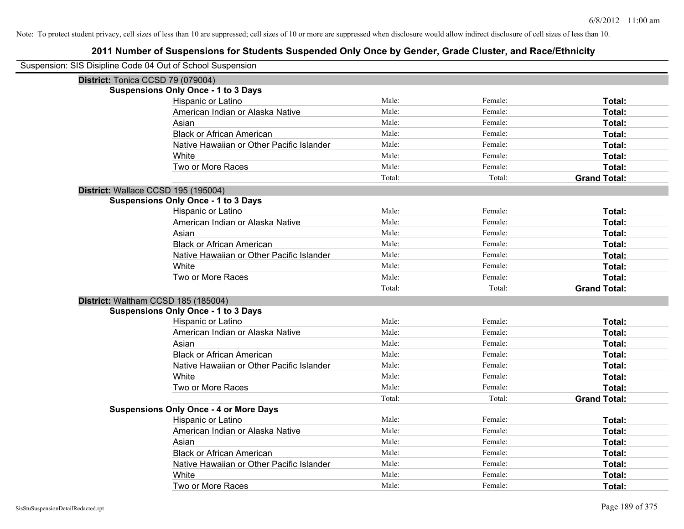| Suspension: SIS Disipline Code 04 Out of School Suspension |                                               |        |         |                     |
|------------------------------------------------------------|-----------------------------------------------|--------|---------|---------------------|
| District: Tonica CCSD 79 (079004)                          |                                               |        |         |                     |
|                                                            | <b>Suspensions Only Once - 1 to 3 Days</b>    |        |         |                     |
|                                                            | Hispanic or Latino                            | Male:  | Female: | Total:              |
|                                                            | American Indian or Alaska Native              | Male:  | Female: | Total:              |
|                                                            | Asian                                         | Male:  | Female: | <b>Total:</b>       |
|                                                            | <b>Black or African American</b>              | Male:  | Female: | Total:              |
|                                                            | Native Hawaiian or Other Pacific Islander     | Male:  | Female: | Total:              |
|                                                            | White                                         | Male:  | Female: | Total:              |
|                                                            | Two or More Races                             | Male:  | Female: | Total:              |
|                                                            |                                               | Total: | Total:  | <b>Grand Total:</b> |
| District: Wallace CCSD 195 (195004)                        |                                               |        |         |                     |
|                                                            | <b>Suspensions Only Once - 1 to 3 Days</b>    |        |         |                     |
|                                                            | Hispanic or Latino                            | Male:  | Female: | Total:              |
|                                                            | American Indian or Alaska Native              | Male:  | Female: | Total:              |
|                                                            | Asian                                         | Male:  | Female: | Total:              |
|                                                            | <b>Black or African American</b>              | Male:  | Female: | Total:              |
|                                                            | Native Hawaiian or Other Pacific Islander     | Male:  | Female: | Total:              |
|                                                            | White                                         | Male:  | Female: | Total:              |
|                                                            | Two or More Races                             | Male:  | Female: | Total:              |
|                                                            |                                               | Total: | Total:  | <b>Grand Total:</b> |
|                                                            | District: Waltham CCSD 185 (185004)           |        |         |                     |
|                                                            | <b>Suspensions Only Once - 1 to 3 Days</b>    |        |         |                     |
|                                                            | Hispanic or Latino                            | Male:  | Female: | Total:              |
|                                                            | American Indian or Alaska Native              | Male:  | Female: | Total:              |
|                                                            | Asian                                         | Male:  | Female: | Total:              |
|                                                            | <b>Black or African American</b>              | Male:  | Female: | Total:              |
|                                                            | Native Hawaiian or Other Pacific Islander     | Male:  | Female: | <b>Total:</b>       |
|                                                            | White                                         | Male:  | Female: | Total:              |
|                                                            | Two or More Races                             | Male:  | Female: | Total:              |
|                                                            |                                               | Total: | Total:  | <b>Grand Total:</b> |
|                                                            | <b>Suspensions Only Once - 4 or More Days</b> |        |         |                     |
|                                                            | Hispanic or Latino                            | Male:  | Female: | Total:              |
|                                                            | American Indian or Alaska Native              | Male:  | Female: | Total:              |
|                                                            | Asian                                         | Male:  | Female: | Total:              |
|                                                            | <b>Black or African American</b>              | Male:  | Female: | Total:              |
|                                                            | Native Hawaiian or Other Pacific Islander     | Male:  | Female: | Total:              |
|                                                            | White                                         | Male:  | Female: | <b>Total:</b>       |
|                                                            | Two or More Races                             | Male:  | Female: | Total:              |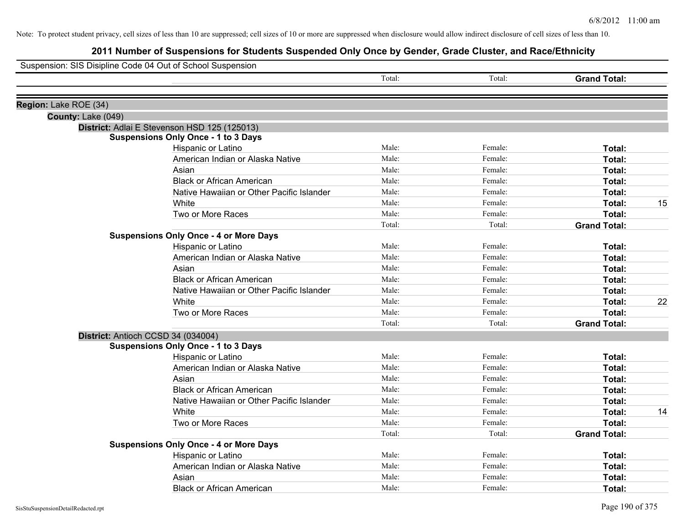| Suspension: SIS Disipline Code 04 Out of School Suspension |                                               |        |         |                     |    |
|------------------------------------------------------------|-----------------------------------------------|--------|---------|---------------------|----|
|                                                            |                                               | Total: | Total:  | <b>Grand Total:</b> |    |
| Region: Lake ROE (34)                                      |                                               |        |         |                     |    |
| County: Lake (049)                                         |                                               |        |         |                     |    |
|                                                            | District: Adlai E Stevenson HSD 125 (125013)  |        |         |                     |    |
|                                                            | <b>Suspensions Only Once - 1 to 3 Days</b>    |        |         |                     |    |
|                                                            | Hispanic or Latino                            | Male:  | Female: | <b>Total:</b>       |    |
|                                                            | American Indian or Alaska Native              | Male:  | Female: | <b>Total:</b>       |    |
|                                                            | Asian                                         | Male:  | Female: | Total:              |    |
|                                                            | <b>Black or African American</b>              | Male:  | Female: | Total:              |    |
|                                                            | Native Hawaiian or Other Pacific Islander     | Male:  | Female: | Total:              |    |
|                                                            | White                                         | Male:  | Female: | Total:              | 15 |
|                                                            | Two or More Races                             | Male:  | Female: | Total:              |    |
|                                                            |                                               | Total: | Total:  | <b>Grand Total:</b> |    |
|                                                            | <b>Suspensions Only Once - 4 or More Days</b> |        |         |                     |    |
|                                                            | Hispanic or Latino                            | Male:  | Female: | Total:              |    |
|                                                            | American Indian or Alaska Native              | Male:  | Female: | <b>Total:</b>       |    |
|                                                            | Asian                                         | Male:  | Female: | Total:              |    |
|                                                            | <b>Black or African American</b>              | Male:  | Female: | Total:              |    |
|                                                            | Native Hawaiian or Other Pacific Islander     | Male:  | Female: | Total:              |    |
|                                                            | White                                         | Male:  | Female: | Total:              | 22 |
|                                                            | Two or More Races                             | Male:  | Female: | Total:              |    |
|                                                            |                                               | Total: | Total:  | <b>Grand Total:</b> |    |
|                                                            | District: Antioch CCSD 34 (034004)            |        |         |                     |    |
|                                                            | <b>Suspensions Only Once - 1 to 3 Days</b>    |        |         |                     |    |
|                                                            | Hispanic or Latino                            | Male:  | Female: | Total:              |    |
|                                                            | American Indian or Alaska Native              | Male:  | Female: | Total:              |    |
|                                                            | Asian                                         | Male:  | Female: | Total:              |    |
|                                                            | <b>Black or African American</b>              | Male:  | Female: | Total:              |    |
|                                                            | Native Hawaiian or Other Pacific Islander     | Male:  | Female: | Total:              |    |
|                                                            | White                                         | Male:  | Female: | Total:              | 14 |
|                                                            | Two or More Races                             | Male:  | Female: | <b>Total:</b>       |    |
|                                                            |                                               | Total: | Total:  | <b>Grand Total:</b> |    |
|                                                            | <b>Suspensions Only Once - 4 or More Days</b> |        |         |                     |    |
|                                                            | Hispanic or Latino                            | Male:  | Female: | Total:              |    |
|                                                            | American Indian or Alaska Native              | Male:  | Female: | Total:              |    |
|                                                            | Asian                                         | Male:  | Female: | Total:              |    |
|                                                            | <b>Black or African American</b>              | Male:  | Female: | Total:              |    |
|                                                            |                                               |        |         |                     |    |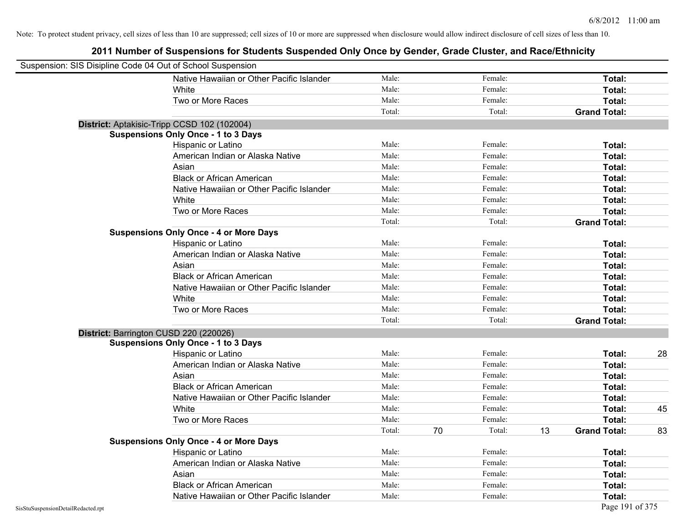| Suspension: SIS Disipline Code 04 Out of School Suspension |                                               |        |              |    |                     |    |
|------------------------------------------------------------|-----------------------------------------------|--------|--------------|----|---------------------|----|
|                                                            | Native Hawaiian or Other Pacific Islander     | Male:  | Female:      |    | Total:              |    |
|                                                            | White                                         | Male:  | Female:      |    | Total:              |    |
|                                                            | Two or More Races                             | Male:  | Female:      |    | Total:              |    |
|                                                            |                                               | Total: | Total:       |    | <b>Grand Total:</b> |    |
| District: Aptakisic-Tripp CCSD 102 (102004)                |                                               |        |              |    |                     |    |
|                                                            | <b>Suspensions Only Once - 1 to 3 Days</b>    |        |              |    |                     |    |
|                                                            | Hispanic or Latino                            | Male:  | Female:      |    | Total:              |    |
|                                                            | American Indian or Alaska Native              | Male:  | Female:      |    | Total:              |    |
|                                                            | Asian                                         | Male:  | Female:      |    | Total:              |    |
|                                                            | <b>Black or African American</b>              | Male:  | Female:      |    | Total:              |    |
|                                                            | Native Hawaiian or Other Pacific Islander     | Male:  | Female:      |    | Total:              |    |
|                                                            | White                                         | Male:  | Female:      |    | Total:              |    |
|                                                            | Two or More Races                             | Male:  | Female:      |    | Total:              |    |
|                                                            |                                               | Total: | Total:       |    | <b>Grand Total:</b> |    |
|                                                            | <b>Suspensions Only Once - 4 or More Days</b> |        |              |    |                     |    |
|                                                            | Hispanic or Latino                            | Male:  | Female:      |    | Total:              |    |
|                                                            | American Indian or Alaska Native              | Male:  | Female:      |    | Total:              |    |
|                                                            | Asian                                         | Male:  | Female:      |    | Total:              |    |
|                                                            | <b>Black or African American</b>              | Male:  | Female:      |    | Total:              |    |
|                                                            | Native Hawaiian or Other Pacific Islander     | Male:  | Female:      |    | Total:              |    |
|                                                            | White                                         | Male:  | Female:      |    | Total:              |    |
|                                                            | Two or More Races                             | Male:  | Female:      |    | Total:              |    |
|                                                            |                                               | Total: | Total:       |    | <b>Grand Total:</b> |    |
| District: Barrington CUSD 220 (220026)                     |                                               |        |              |    |                     |    |
|                                                            | <b>Suspensions Only Once - 1 to 3 Days</b>    |        |              |    |                     |    |
|                                                            | Hispanic or Latino                            | Male:  | Female:      |    | Total:              | 28 |
|                                                            | American Indian or Alaska Native              | Male:  | Female:      |    | Total:              |    |
|                                                            | Asian                                         | Male:  | Female:      |    | Total:              |    |
|                                                            | <b>Black or African American</b>              | Male:  | Female:      |    | Total:              |    |
|                                                            | Native Hawaiian or Other Pacific Islander     | Male:  | Female:      |    | Total:              |    |
|                                                            | White                                         | Male:  | Female:      |    | Total:              | 45 |
|                                                            | Two or More Races                             | Male:  | Female:      |    | Total:              |    |
|                                                            |                                               | Total: | 70<br>Total: | 13 | <b>Grand Total:</b> | 83 |
|                                                            | <b>Suspensions Only Once - 4 or More Days</b> |        |              |    |                     |    |
|                                                            | Hispanic or Latino                            | Male:  | Female:      |    | Total:              |    |
|                                                            | American Indian or Alaska Native              | Male:  | Female:      |    | Total:              |    |
|                                                            | Asian                                         | Male:  | Female:      |    | Total:              |    |
|                                                            | <b>Black or African American</b>              | Male:  | Female:      |    | Total:              |    |
|                                                            | Native Hawaiian or Other Pacific Islander     | Male:  | Female:      |    | Total:              |    |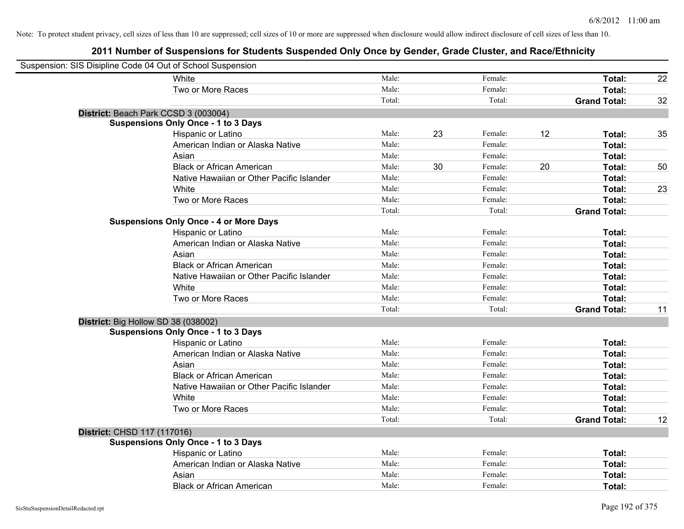| Suspension: SIS Disipline Code 04 Out of School Suspension |                                               |        |    |         |    |                     |    |
|------------------------------------------------------------|-----------------------------------------------|--------|----|---------|----|---------------------|----|
|                                                            | White                                         | Male:  |    | Female: |    | Total:              | 22 |
|                                                            | Two or More Races                             | Male:  |    | Female: |    | Total:              |    |
|                                                            |                                               | Total: |    | Total:  |    | <b>Grand Total:</b> | 32 |
| District: Beach Park CCSD 3 (003004)                       |                                               |        |    |         |    |                     |    |
|                                                            | <b>Suspensions Only Once - 1 to 3 Days</b>    |        |    |         |    |                     |    |
|                                                            | Hispanic or Latino                            | Male:  | 23 | Female: | 12 | Total:              | 35 |
|                                                            | American Indian or Alaska Native              | Male:  |    | Female: |    | Total:              |    |
|                                                            | Asian                                         | Male:  |    | Female: |    | Total:              |    |
|                                                            | <b>Black or African American</b>              | Male:  | 30 | Female: | 20 | Total:              | 50 |
|                                                            | Native Hawaiian or Other Pacific Islander     | Male:  |    | Female: |    | Total:              |    |
|                                                            | White                                         | Male:  |    | Female: |    | Total:              | 23 |
|                                                            | Two or More Races                             | Male:  |    | Female: |    | Total:              |    |
|                                                            |                                               | Total: |    | Total:  |    | <b>Grand Total:</b> |    |
|                                                            | <b>Suspensions Only Once - 4 or More Days</b> |        |    |         |    |                     |    |
|                                                            | Hispanic or Latino                            | Male:  |    | Female: |    | Total:              |    |
|                                                            | American Indian or Alaska Native              | Male:  |    | Female: |    | Total:              |    |
|                                                            | Asian                                         | Male:  |    | Female: |    | Total:              |    |
|                                                            | <b>Black or African American</b>              | Male:  |    | Female: |    | Total:              |    |
|                                                            | Native Hawaiian or Other Pacific Islander     | Male:  |    | Female: |    | Total:              |    |
|                                                            | White                                         | Male:  |    | Female: |    | Total:              |    |
|                                                            | Two or More Races                             | Male:  |    | Female: |    | Total:              |    |
|                                                            |                                               | Total: |    | Total:  |    | <b>Grand Total:</b> | 11 |
| District: Big Hollow SD 38 (038002)                        |                                               |        |    |         |    |                     |    |
|                                                            | <b>Suspensions Only Once - 1 to 3 Days</b>    |        |    |         |    |                     |    |
|                                                            | Hispanic or Latino                            | Male:  |    | Female: |    | Total:              |    |
|                                                            | American Indian or Alaska Native              | Male:  |    | Female: |    | Total:              |    |
|                                                            | Asian                                         | Male:  |    | Female: |    | Total:              |    |
|                                                            | <b>Black or African American</b>              | Male:  |    | Female: |    | Total:              |    |
|                                                            | Native Hawaiian or Other Pacific Islander     | Male:  |    | Female: |    | Total:              |    |
|                                                            | White                                         | Male:  |    | Female: |    | Total:              |    |
|                                                            | Two or More Races                             | Male:  |    | Female: |    | Total:              |    |
|                                                            |                                               | Total: |    | Total:  |    | <b>Grand Total:</b> | 12 |
| District: CHSD 117 (117016)                                |                                               |        |    |         |    |                     |    |
|                                                            | <b>Suspensions Only Once - 1 to 3 Days</b>    |        |    |         |    |                     |    |
|                                                            | Hispanic or Latino                            | Male:  |    | Female: |    | Total:              |    |
|                                                            | American Indian or Alaska Native              | Male:  |    | Female: |    | Total:              |    |
|                                                            | Asian                                         | Male:  |    | Female: |    | Total:              |    |
|                                                            | <b>Black or African American</b>              | Male:  |    | Female: |    | Total:              |    |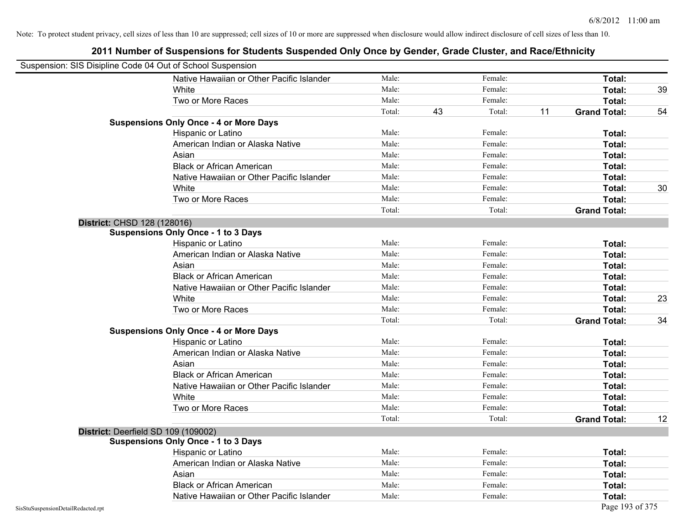| Suspension: SIS Disipline Code 04 Out of School Suspension |                                               |        |    |         |    |                     |    |
|------------------------------------------------------------|-----------------------------------------------|--------|----|---------|----|---------------------|----|
|                                                            | Native Hawaiian or Other Pacific Islander     | Male:  |    | Female: |    | Total:              |    |
|                                                            | White                                         | Male:  |    | Female: |    | Total:              | 39 |
|                                                            | Two or More Races                             | Male:  |    | Female: |    | Total:              |    |
|                                                            |                                               | Total: | 43 | Total:  | 11 | <b>Grand Total:</b> | 54 |
|                                                            | <b>Suspensions Only Once - 4 or More Days</b> |        |    |         |    |                     |    |
|                                                            | Hispanic or Latino                            | Male:  |    | Female: |    | Total:              |    |
|                                                            | American Indian or Alaska Native              | Male:  |    | Female: |    | Total:              |    |
|                                                            | Asian                                         | Male:  |    | Female: |    | Total:              |    |
|                                                            | <b>Black or African American</b>              | Male:  |    | Female: |    | Total:              |    |
|                                                            | Native Hawaiian or Other Pacific Islander     | Male:  |    | Female: |    | Total:              |    |
|                                                            | White                                         | Male:  |    | Female: |    | Total:              | 30 |
|                                                            | Two or More Races                             | Male:  |    | Female: |    | Total:              |    |
|                                                            |                                               | Total: |    | Total:  |    | <b>Grand Total:</b> |    |
| District: CHSD 128 (128016)                                |                                               |        |    |         |    |                     |    |
|                                                            | <b>Suspensions Only Once - 1 to 3 Days</b>    |        |    |         |    |                     |    |
|                                                            | Hispanic or Latino                            | Male:  |    | Female: |    | Total:              |    |
|                                                            | American Indian or Alaska Native              | Male:  |    | Female: |    | Total:              |    |
|                                                            | Asian                                         | Male:  |    | Female: |    | Total:              |    |
|                                                            | <b>Black or African American</b>              | Male:  |    | Female: |    | Total:              |    |
|                                                            | Native Hawaiian or Other Pacific Islander     | Male:  |    | Female: |    | Total:              |    |
|                                                            | White                                         | Male:  |    | Female: |    | Total:              | 23 |
|                                                            | Two or More Races                             | Male:  |    | Female: |    | Total:              |    |
|                                                            |                                               | Total: |    | Total:  |    | <b>Grand Total:</b> | 34 |
|                                                            | <b>Suspensions Only Once - 4 or More Days</b> |        |    |         |    |                     |    |
|                                                            | Hispanic or Latino                            | Male:  |    | Female: |    | Total:              |    |
|                                                            | American Indian or Alaska Native              | Male:  |    | Female: |    | Total:              |    |
|                                                            | Asian                                         | Male:  |    | Female: |    | Total:              |    |
|                                                            | <b>Black or African American</b>              | Male:  |    | Female: |    | Total:              |    |
|                                                            | Native Hawaiian or Other Pacific Islander     | Male:  |    | Female: |    | Total:              |    |
|                                                            | White                                         | Male:  |    | Female: |    | Total:              |    |
|                                                            | Two or More Races                             | Male:  |    | Female: |    | Total:              |    |
|                                                            |                                               | Total: |    | Total:  |    | <b>Grand Total:</b> | 12 |
|                                                            | District: Deerfield SD 109 (109002)           |        |    |         |    |                     |    |
|                                                            | <b>Suspensions Only Once - 1 to 3 Days</b>    |        |    |         |    |                     |    |
|                                                            | Hispanic or Latino                            | Male:  |    | Female: |    | Total:              |    |
|                                                            | American Indian or Alaska Native              | Male:  |    | Female: |    | Total:              |    |
|                                                            | Asian                                         | Male:  |    | Female: |    | Total:              |    |
|                                                            | <b>Black or African American</b>              | Male:  |    | Female: |    | Total:              |    |
|                                                            | Native Hawaiian or Other Pacific Islander     | Male:  |    | Female: |    | Total:              |    |
| SisStuSuspensionDetailRedacted.rpt                         |                                               |        |    |         |    | Page 193 of 375     |    |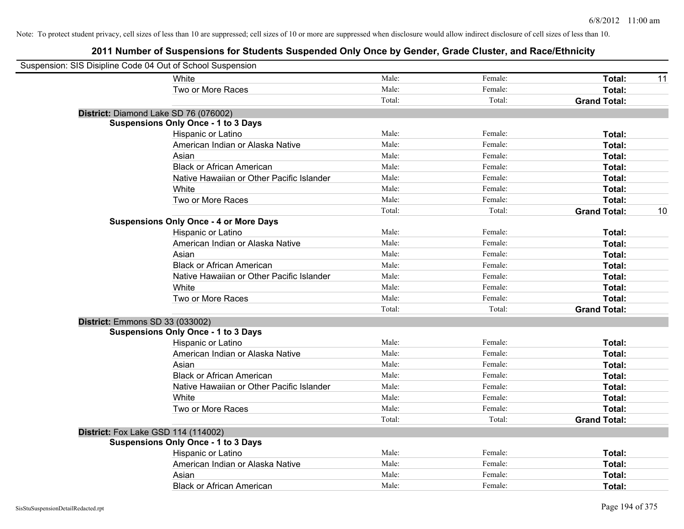| Suspension: SIS Disipline Code 04 Out of School Suspension |                                               |        |         |                     |    |
|------------------------------------------------------------|-----------------------------------------------|--------|---------|---------------------|----|
|                                                            | White                                         | Male:  | Female: | Total:              | 11 |
|                                                            | Two or More Races                             | Male:  | Female: | Total:              |    |
|                                                            |                                               | Total: | Total:  | <b>Grand Total:</b> |    |
| District: Diamond Lake SD 76 (076002)                      |                                               |        |         |                     |    |
|                                                            | <b>Suspensions Only Once - 1 to 3 Days</b>    |        |         |                     |    |
|                                                            | Hispanic or Latino                            | Male:  | Female: | Total:              |    |
|                                                            | American Indian or Alaska Native              | Male:  | Female: | Total:              |    |
|                                                            | Asian                                         | Male:  | Female: | Total:              |    |
|                                                            | <b>Black or African American</b>              | Male:  | Female: | Total:              |    |
|                                                            | Native Hawaiian or Other Pacific Islander     | Male:  | Female: | Total:              |    |
|                                                            | White                                         | Male:  | Female: | Total:              |    |
|                                                            | Two or More Races                             | Male:  | Female: | Total:              |    |
|                                                            |                                               | Total: | Total:  | <b>Grand Total:</b> | 10 |
|                                                            | <b>Suspensions Only Once - 4 or More Days</b> |        |         |                     |    |
|                                                            | Hispanic or Latino                            | Male:  | Female: | Total:              |    |
|                                                            | American Indian or Alaska Native              | Male:  | Female: | Total:              |    |
|                                                            | Asian                                         | Male:  | Female: | Total:              |    |
|                                                            | <b>Black or African American</b>              | Male:  | Female: | Total:              |    |
|                                                            | Native Hawaiian or Other Pacific Islander     | Male:  | Female: | Total:              |    |
|                                                            | White                                         | Male:  | Female: | Total:              |    |
|                                                            | Two or More Races                             | Male:  | Female: | Total:              |    |
|                                                            |                                               | Total: | Total:  | <b>Grand Total:</b> |    |
| District: Emmons SD 33 (033002)                            |                                               |        |         |                     |    |
|                                                            | <b>Suspensions Only Once - 1 to 3 Days</b>    |        |         |                     |    |
|                                                            | Hispanic or Latino                            | Male:  | Female: | Total:              |    |
|                                                            | American Indian or Alaska Native              | Male:  | Female: | Total:              |    |
|                                                            | Asian                                         | Male:  | Female: | Total:              |    |
|                                                            | <b>Black or African American</b>              | Male:  | Female: | Total:              |    |
|                                                            | Native Hawaiian or Other Pacific Islander     | Male:  | Female: | Total:              |    |
|                                                            | <b>White</b>                                  | Male:  | Female: | Total:              |    |
|                                                            | Two or More Races                             | Male:  | Female: | Total:              |    |
|                                                            |                                               | Total: | Total:  | <b>Grand Total:</b> |    |
| <b>District:</b> Fox Lake GSD 114 (114002)                 |                                               |        |         |                     |    |
|                                                            | <b>Suspensions Only Once - 1 to 3 Days</b>    |        |         |                     |    |
|                                                            | Hispanic or Latino                            | Male:  | Female: | Total:              |    |
|                                                            | American Indian or Alaska Native              | Male:  | Female: | Total:              |    |
|                                                            | Asian                                         | Male:  | Female: | Total:              |    |
|                                                            | <b>Black or African American</b>              | Male:  | Female: | Total:              |    |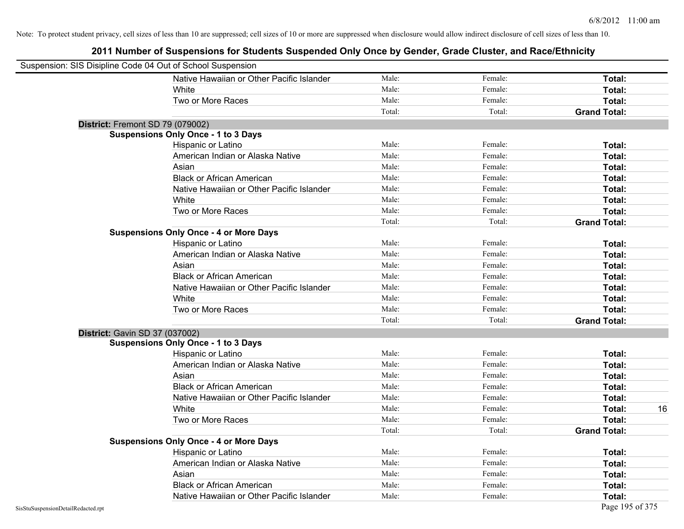| Suspension: SIS Disipline Code 04 Out of School Suspension |                                               |        |         |                     |
|------------------------------------------------------------|-----------------------------------------------|--------|---------|---------------------|
|                                                            | Native Hawaiian or Other Pacific Islander     | Male:  | Female: | Total:              |
|                                                            | White                                         | Male:  | Female: | Total:              |
|                                                            | Two or More Races                             | Male:  | Female: | Total:              |
|                                                            |                                               | Total: | Total:  | <b>Grand Total:</b> |
| District: Fremont SD 79 (079002)                           |                                               |        |         |                     |
|                                                            | <b>Suspensions Only Once - 1 to 3 Days</b>    |        |         |                     |
|                                                            | Hispanic or Latino                            | Male:  | Female: | Total:              |
|                                                            | American Indian or Alaska Native              | Male:  | Female: | Total:              |
|                                                            | Asian                                         | Male:  | Female: | Total:              |
|                                                            | <b>Black or African American</b>              | Male:  | Female: | Total:              |
|                                                            | Native Hawaiian or Other Pacific Islander     | Male:  | Female: | Total:              |
|                                                            | White                                         | Male:  | Female: | Total:              |
|                                                            | Two or More Races                             | Male:  | Female: | Total:              |
|                                                            |                                               | Total: | Total:  | <b>Grand Total:</b> |
|                                                            | <b>Suspensions Only Once - 4 or More Days</b> |        |         |                     |
|                                                            | Hispanic or Latino                            | Male:  | Female: | Total:              |
|                                                            | American Indian or Alaska Native              | Male:  | Female: | Total:              |
|                                                            | Asian                                         | Male:  | Female: | Total:              |
|                                                            | <b>Black or African American</b>              | Male:  | Female: | Total:              |
|                                                            | Native Hawaiian or Other Pacific Islander     | Male:  | Female: | Total:              |
|                                                            | White                                         | Male:  | Female: | Total:              |
|                                                            | Two or More Races                             | Male:  | Female: | Total:              |
|                                                            |                                               | Total: | Total:  | <b>Grand Total:</b> |
| District: Gavin SD 37 (037002)                             |                                               |        |         |                     |
|                                                            | <b>Suspensions Only Once - 1 to 3 Days</b>    |        |         |                     |
|                                                            | Hispanic or Latino                            | Male:  | Female: | Total:              |
|                                                            | American Indian or Alaska Native              | Male:  | Female: | Total:              |
|                                                            | Asian                                         | Male:  | Female: | Total:              |
|                                                            | <b>Black or African American</b>              | Male:  | Female: | Total:              |
|                                                            | Native Hawaiian or Other Pacific Islander     | Male:  | Female: | Total:              |
|                                                            | White                                         | Male:  | Female: | Total:<br>16        |
|                                                            | Two or More Races                             | Male:  | Female: | Total:              |
|                                                            |                                               | Total: | Total:  | <b>Grand Total:</b> |
|                                                            | <b>Suspensions Only Once - 4 or More Days</b> |        |         |                     |
|                                                            | Hispanic or Latino                            | Male:  | Female: | Total:              |
|                                                            | American Indian or Alaska Native              | Male:  | Female: | Total:              |
|                                                            | Asian                                         | Male:  | Female: | Total:              |
|                                                            | <b>Black or African American</b>              | Male:  | Female: | Total:              |
|                                                            | Native Hawaiian or Other Pacific Islander     | Male:  | Female: | Total:              |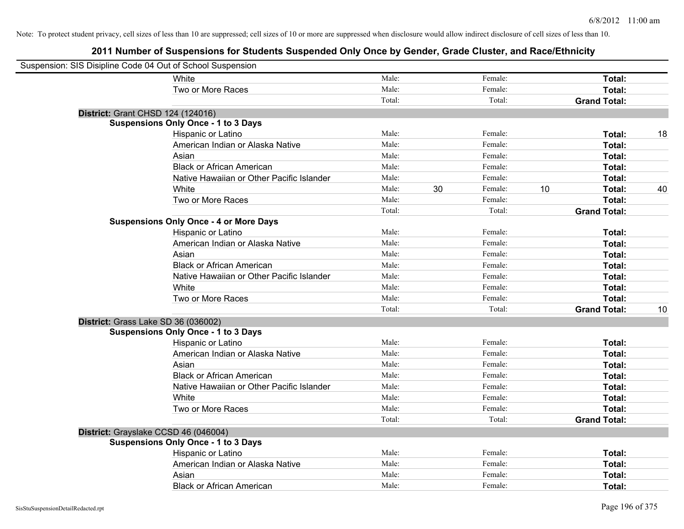| Suspension: SIS Disipline Code 04 Out of School Suspension |                                               |        |    |         |    |                     |    |
|------------------------------------------------------------|-----------------------------------------------|--------|----|---------|----|---------------------|----|
|                                                            | White                                         | Male:  |    | Female: |    | Total:              |    |
|                                                            | Two or More Races                             | Male:  |    | Female: |    | Total:              |    |
|                                                            |                                               | Total: |    | Total:  |    | <b>Grand Total:</b> |    |
| District: Grant CHSD 124 (124016)                          |                                               |        |    |         |    |                     |    |
|                                                            | <b>Suspensions Only Once - 1 to 3 Days</b>    |        |    |         |    |                     |    |
|                                                            | Hispanic or Latino                            | Male:  |    | Female: |    | Total:              | 18 |
|                                                            | American Indian or Alaska Native              | Male:  |    | Female: |    | Total:              |    |
|                                                            | Asian                                         | Male:  |    | Female: |    | Total:              |    |
|                                                            | <b>Black or African American</b>              | Male:  |    | Female: |    | Total:              |    |
|                                                            | Native Hawaiian or Other Pacific Islander     | Male:  |    | Female: |    | Total:              |    |
|                                                            | White                                         | Male:  | 30 | Female: | 10 | Total:              | 40 |
|                                                            | Two or More Races                             | Male:  |    | Female: |    | Total:              |    |
|                                                            |                                               | Total: |    | Total:  |    | <b>Grand Total:</b> |    |
|                                                            | <b>Suspensions Only Once - 4 or More Days</b> |        |    |         |    |                     |    |
|                                                            | Hispanic or Latino                            | Male:  |    | Female: |    | Total:              |    |
|                                                            | American Indian or Alaska Native              | Male:  |    | Female: |    | Total:              |    |
|                                                            | Asian                                         | Male:  |    | Female: |    | Total:              |    |
|                                                            | <b>Black or African American</b>              | Male:  |    | Female: |    | Total:              |    |
|                                                            | Native Hawaiian or Other Pacific Islander     | Male:  |    | Female: |    | Total:              |    |
|                                                            | White                                         | Male:  |    | Female: |    | Total:              |    |
|                                                            | Two or More Races                             | Male:  |    | Female: |    | Total:              |    |
|                                                            |                                               | Total: |    | Total:  |    | <b>Grand Total:</b> | 10 |
| District: Grass Lake SD 36 (036002)                        |                                               |        |    |         |    |                     |    |
|                                                            | <b>Suspensions Only Once - 1 to 3 Days</b>    |        |    |         |    |                     |    |
|                                                            | Hispanic or Latino                            | Male:  |    | Female: |    | Total:              |    |
|                                                            | American Indian or Alaska Native              | Male:  |    | Female: |    | Total:              |    |
|                                                            | Asian                                         | Male:  |    | Female: |    | Total:              |    |
|                                                            | <b>Black or African American</b>              | Male:  |    | Female: |    | Total:              |    |
|                                                            | Native Hawaiian or Other Pacific Islander     | Male:  |    | Female: |    | Total:              |    |
|                                                            | White                                         | Male:  |    | Female: |    | Total:              |    |
|                                                            | Two or More Races                             | Male:  |    | Female: |    | Total:              |    |
|                                                            |                                               | Total: |    | Total:  |    | <b>Grand Total:</b> |    |
| District: Grayslake CCSD 46 (046004)                       |                                               |        |    |         |    |                     |    |
|                                                            | <b>Suspensions Only Once - 1 to 3 Days</b>    |        |    |         |    |                     |    |
|                                                            | Hispanic or Latino                            | Male:  |    | Female: |    | Total:              |    |
|                                                            | American Indian or Alaska Native              | Male:  |    | Female: |    | Total:              |    |
|                                                            | Asian                                         | Male:  |    | Female: |    | Total:              |    |
|                                                            | <b>Black or African American</b>              | Male:  |    | Female: |    | Total:              |    |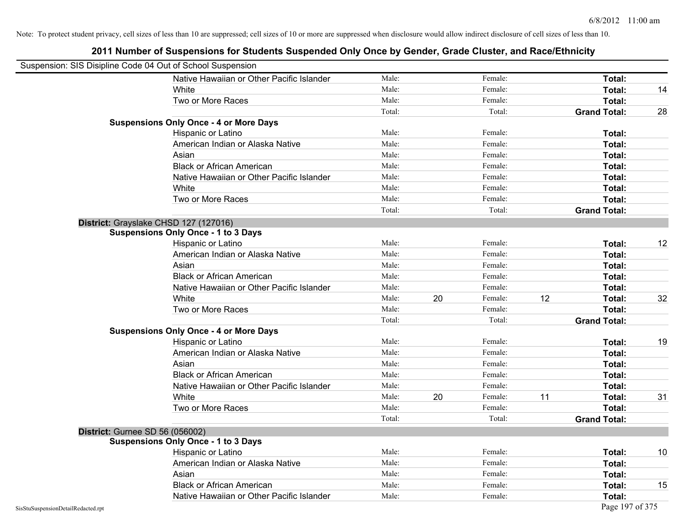| Suspension: SIS Disipline Code 04 Out of School Suspension |                                               |        |    |         |    |                     |    |
|------------------------------------------------------------|-----------------------------------------------|--------|----|---------|----|---------------------|----|
|                                                            | Native Hawaiian or Other Pacific Islander     | Male:  |    | Female: |    | Total:              |    |
|                                                            | White                                         | Male:  |    | Female: |    | Total:              | 14 |
|                                                            | Two or More Races                             | Male:  |    | Female: |    | Total:              |    |
|                                                            |                                               | Total: |    | Total:  |    | <b>Grand Total:</b> | 28 |
|                                                            | <b>Suspensions Only Once - 4 or More Days</b> |        |    |         |    |                     |    |
|                                                            | Hispanic or Latino                            | Male:  |    | Female: |    | Total:              |    |
|                                                            | American Indian or Alaska Native              | Male:  |    | Female: |    | Total:              |    |
|                                                            | Asian                                         | Male:  |    | Female: |    | Total:              |    |
|                                                            | <b>Black or African American</b>              | Male:  |    | Female: |    | Total:              |    |
|                                                            | Native Hawaiian or Other Pacific Islander     | Male:  |    | Female: |    | Total:              |    |
|                                                            | White                                         | Male:  |    | Female: |    | Total:              |    |
|                                                            | Two or More Races                             | Male:  |    | Female: |    | Total:              |    |
|                                                            |                                               | Total: |    | Total:  |    | <b>Grand Total:</b> |    |
|                                                            | District: Grayslake CHSD 127 (127016)         |        |    |         |    |                     |    |
|                                                            | <b>Suspensions Only Once - 1 to 3 Days</b>    |        |    |         |    |                     |    |
|                                                            | Hispanic or Latino                            | Male:  |    | Female: |    | Total:              | 12 |
|                                                            | American Indian or Alaska Native              | Male:  |    | Female: |    | Total:              |    |
|                                                            | Asian                                         | Male:  |    | Female: |    | Total:              |    |
|                                                            | <b>Black or African American</b>              | Male:  |    | Female: |    | Total:              |    |
|                                                            | Native Hawaiian or Other Pacific Islander     | Male:  |    | Female: |    | Total:              |    |
|                                                            | White                                         | Male:  | 20 | Female: | 12 | Total:              | 32 |
|                                                            | Two or More Races                             | Male:  |    | Female: |    | Total:              |    |
|                                                            |                                               | Total: |    | Total:  |    | <b>Grand Total:</b> |    |
|                                                            | <b>Suspensions Only Once - 4 or More Days</b> |        |    |         |    |                     |    |
|                                                            | Hispanic or Latino                            | Male:  |    | Female: |    | Total:              | 19 |
|                                                            | American Indian or Alaska Native              | Male:  |    | Female: |    | Total:              |    |
|                                                            | Asian                                         | Male:  |    | Female: |    | Total:              |    |
|                                                            | <b>Black or African American</b>              | Male:  |    | Female: |    | Total:              |    |
|                                                            | Native Hawaiian or Other Pacific Islander     | Male:  |    | Female: |    | Total:              |    |
|                                                            | White                                         | Male:  | 20 | Female: | 11 | Total:              | 31 |
|                                                            | Two or More Races                             | Male:  |    | Female: |    | Total:              |    |
|                                                            |                                               | Total: |    | Total:  |    | <b>Grand Total:</b> |    |
| District: Gurnee SD 56 (056002)                            |                                               |        |    |         |    |                     |    |
|                                                            | <b>Suspensions Only Once - 1 to 3 Days</b>    |        |    |         |    |                     |    |
|                                                            | Hispanic or Latino                            | Male:  |    | Female: |    | Total:              | 10 |
|                                                            | American Indian or Alaska Native              | Male:  |    | Female: |    | Total:              |    |
|                                                            | Asian                                         | Male:  |    | Female: |    | Total:              |    |
|                                                            | <b>Black or African American</b>              | Male:  |    | Female: |    | Total:              | 15 |
|                                                            | Native Hawaiian or Other Pacific Islander     | Male:  |    | Female: |    | Total:              |    |
| SisStuSuspensionDetailRedacted.rpt                         |                                               |        |    |         |    | Page 197 of 375     |    |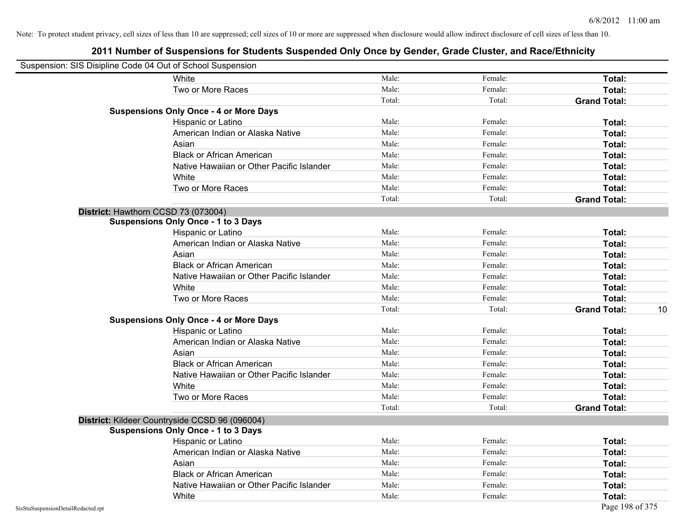|                                    | Suspension: SIS Disipline Code 04 Out of School Suspension                                   |        |         |                           |
|------------------------------------|----------------------------------------------------------------------------------------------|--------|---------|---------------------------|
|                                    | White                                                                                        | Male:  | Female: | Total:                    |
|                                    | Two or More Races                                                                            | Male:  | Female: | Total:                    |
|                                    |                                                                                              | Total: | Total:  | <b>Grand Total:</b>       |
|                                    | <b>Suspensions Only Once - 4 or More Days</b>                                                |        |         |                           |
|                                    | Hispanic or Latino                                                                           | Male:  | Female: | Total:                    |
|                                    | American Indian or Alaska Native                                                             | Male:  | Female: | Total:                    |
|                                    | Asian                                                                                        | Male:  | Female: | Total:                    |
|                                    | <b>Black or African American</b>                                                             | Male:  | Female: | Total:                    |
|                                    | Native Hawaiian or Other Pacific Islander                                                    | Male:  | Female: | Total:                    |
|                                    | White                                                                                        | Male:  | Female: | Total:                    |
|                                    | Two or More Races                                                                            | Male:  | Female: | Total:                    |
|                                    |                                                                                              | Total: | Total:  | <b>Grand Total:</b>       |
|                                    | District: Hawthorn CCSD 73 (073004)                                                          |        |         |                           |
|                                    | <b>Suspensions Only Once - 1 to 3 Days</b>                                                   |        |         |                           |
|                                    | Hispanic or Latino                                                                           | Male:  | Female: | Total:                    |
|                                    | American Indian or Alaska Native                                                             | Male:  | Female: | Total:                    |
|                                    | Asian                                                                                        | Male:  | Female: | Total:                    |
|                                    | <b>Black or African American</b>                                                             | Male:  | Female: | Total:                    |
|                                    | Native Hawaiian or Other Pacific Islander                                                    | Male:  | Female: | Total:                    |
|                                    | White                                                                                        | Male:  | Female: | Total:                    |
|                                    | Two or More Races                                                                            | Male:  | Female: | Total:                    |
|                                    |                                                                                              | Total: | Total:  | 10<br><b>Grand Total:</b> |
|                                    | <b>Suspensions Only Once - 4 or More Days</b>                                                |        |         |                           |
|                                    | Hispanic or Latino                                                                           | Male:  | Female: | Total:                    |
|                                    | American Indian or Alaska Native                                                             | Male:  | Female: | Total:                    |
|                                    | Asian                                                                                        | Male:  | Female: | Total:                    |
|                                    | <b>Black or African American</b>                                                             | Male:  | Female: | Total:                    |
|                                    | Native Hawaiian or Other Pacific Islander                                                    | Male:  | Female: | Total:                    |
|                                    | White                                                                                        | Male:  | Female: | Total:                    |
|                                    | Two or More Races                                                                            | Male:  | Female: | Total:                    |
|                                    |                                                                                              | Total: | Total:  | <b>Grand Total:</b>       |
|                                    |                                                                                              |        |         |                           |
|                                    | District: Kildeer Countryside CCSD 96 (096004)<br><b>Suspensions Only Once - 1 to 3 Days</b> |        |         |                           |
|                                    | Hispanic or Latino                                                                           | Male:  | Female: | Total:                    |
|                                    | American Indian or Alaska Native                                                             | Male:  | Female: | Total:                    |
|                                    |                                                                                              | Male:  | Female: |                           |
|                                    | Asian                                                                                        |        |         | Total:                    |
|                                    | <b>Black or African American</b>                                                             | Male:  | Female: | Total:                    |
|                                    | Native Hawaiian or Other Pacific Islander                                                    | Male:  | Female: | Total:                    |
|                                    | White                                                                                        | Male:  | Female: | Total:                    |
| SisStuSuspensionDetailRedacted.rpt |                                                                                              |        |         | Page 198 of 375           |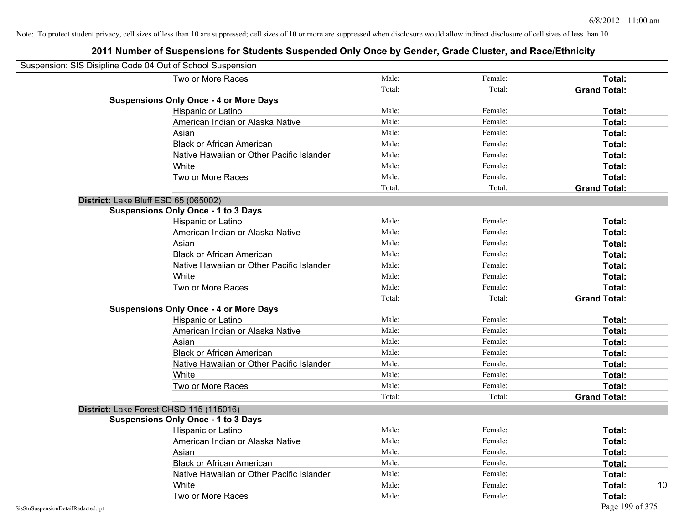| Suspension: SIS Disipline Code 04 Out of School Suspension |                                               |        |         |                     |
|------------------------------------------------------------|-----------------------------------------------|--------|---------|---------------------|
|                                                            | Two or More Races                             | Male:  | Female: | Total:              |
|                                                            |                                               | Total: | Total:  | <b>Grand Total:</b> |
|                                                            | <b>Suspensions Only Once - 4 or More Days</b> |        |         |                     |
|                                                            | Hispanic or Latino                            | Male:  | Female: | Total:              |
|                                                            | American Indian or Alaska Native              | Male:  | Female: | Total:              |
|                                                            | Asian                                         | Male:  | Female: | Total:              |
|                                                            | <b>Black or African American</b>              | Male:  | Female: | Total:              |
|                                                            | Native Hawaiian or Other Pacific Islander     | Male:  | Female: | Total:              |
|                                                            | White                                         | Male:  | Female: | Total:              |
|                                                            | Two or More Races                             | Male:  | Female: | Total:              |
|                                                            |                                               | Total: | Total:  | <b>Grand Total:</b> |
|                                                            | District: Lake Bluff ESD 65 (065002)          |        |         |                     |
|                                                            | <b>Suspensions Only Once - 1 to 3 Days</b>    |        |         |                     |
|                                                            | Hispanic or Latino                            | Male:  | Female: | Total:              |
|                                                            | American Indian or Alaska Native              | Male:  | Female: | Total:              |
|                                                            | Asian                                         | Male:  | Female: | Total:              |
|                                                            | <b>Black or African American</b>              | Male:  | Female: | Total:              |
|                                                            | Native Hawaiian or Other Pacific Islander     | Male:  | Female: | Total:              |
|                                                            | White                                         | Male:  | Female: | Total:              |
|                                                            | Two or More Races                             | Male:  | Female: | Total:              |
|                                                            |                                               | Total: | Total:  | <b>Grand Total:</b> |
|                                                            | <b>Suspensions Only Once - 4 or More Days</b> |        |         |                     |
|                                                            | Hispanic or Latino                            | Male:  | Female: | Total:              |
|                                                            | American Indian or Alaska Native              | Male:  | Female: | Total:              |
|                                                            | Asian                                         | Male:  | Female: | Total:              |
|                                                            | <b>Black or African American</b>              | Male:  | Female: | Total:              |
|                                                            | Native Hawaiian or Other Pacific Islander     | Male:  | Female: | Total:              |
|                                                            | White                                         | Male:  | Female: | Total:              |
|                                                            | Two or More Races                             | Male:  | Female: | Total:              |
|                                                            |                                               | Total: | Total:  | <b>Grand Total:</b> |
|                                                            | District: Lake Forest CHSD 115 (115016)       |        |         |                     |
|                                                            | <b>Suspensions Only Once - 1 to 3 Days</b>    |        |         |                     |
|                                                            | Hispanic or Latino                            | Male:  | Female: | Total:              |
|                                                            | American Indian or Alaska Native              | Male:  | Female: | Total:              |
|                                                            | Asian                                         | Male:  | Female: | Total:              |
|                                                            | <b>Black or African American</b>              | Male:  | Female: | Total:              |
|                                                            | Native Hawaiian or Other Pacific Islander     | Male:  | Female: | Total:              |
|                                                            | White                                         | Male:  | Female: | Total:<br>10        |
|                                                            | Two or More Races                             | Male:  | Female: | Total:              |
| SisStuSuspensionDetailRedacted.rpt                         |                                               |        |         | Page 199 of 375     |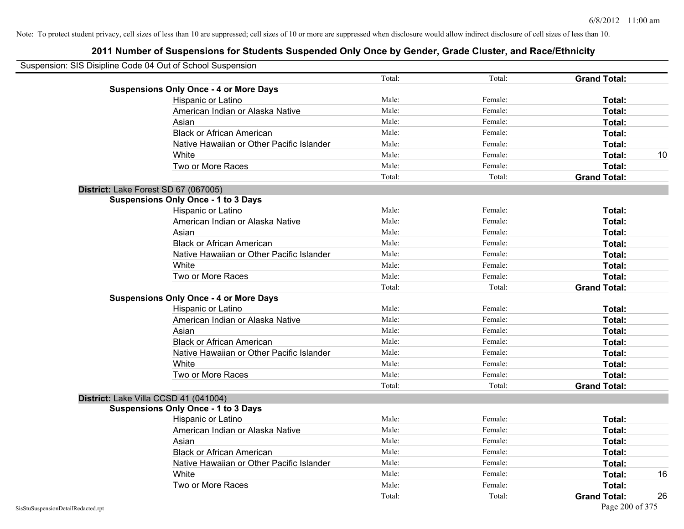| Suspension: SIS Disipline Code 04 Out of School Suspension |        |         |                     |    |
|------------------------------------------------------------|--------|---------|---------------------|----|
|                                                            | Total: | Total:  | <b>Grand Total:</b> |    |
| <b>Suspensions Only Once - 4 or More Days</b>              |        |         |                     |    |
| Hispanic or Latino                                         | Male:  | Female: | Total:              |    |
| American Indian or Alaska Native                           | Male:  | Female: | Total:              |    |
| Asian                                                      | Male:  | Female: | Total:              |    |
| <b>Black or African American</b>                           | Male:  | Female: | Total:              |    |
| Native Hawaiian or Other Pacific Islander                  | Male:  | Female: | Total:              |    |
| White                                                      | Male:  | Female: | Total:              | 10 |
| Two or More Races                                          | Male:  | Female: | Total:              |    |
|                                                            | Total: | Total:  | <b>Grand Total:</b> |    |
| District: Lake Forest SD 67 (067005)                       |        |         |                     |    |
| <b>Suspensions Only Once - 1 to 3 Days</b>                 |        |         |                     |    |
| Hispanic or Latino                                         | Male:  | Female: | Total:              |    |
| American Indian or Alaska Native                           | Male:  | Female: | Total:              |    |
| Asian                                                      | Male:  | Female: | Total:              |    |
| <b>Black or African American</b>                           | Male:  | Female: | Total:              |    |
| Native Hawaiian or Other Pacific Islander                  | Male:  | Female: | Total:              |    |
| White                                                      | Male:  | Female: | Total:              |    |
| Two or More Races                                          | Male:  | Female: | Total:              |    |
|                                                            | Total: | Total:  | <b>Grand Total:</b> |    |
| <b>Suspensions Only Once - 4 or More Days</b>              |        |         |                     |    |
| Hispanic or Latino                                         | Male:  | Female: | Total:              |    |
| American Indian or Alaska Native                           | Male:  | Female: | Total:              |    |
| Asian                                                      | Male:  | Female: | Total:              |    |
| <b>Black or African American</b>                           | Male:  | Female: | Total:              |    |
| Native Hawaiian or Other Pacific Islander                  | Male:  | Female: | Total:              |    |
| White                                                      | Male:  | Female: | Total:              |    |
| Two or More Races                                          | Male:  | Female: | Total:              |    |
|                                                            | Total: | Total:  | <b>Grand Total:</b> |    |
| District: Lake Villa CCSD 41 (041004)                      |        |         |                     |    |
| <b>Suspensions Only Once - 1 to 3 Days</b>                 |        |         |                     |    |
| Hispanic or Latino                                         | Male:  | Female: | Total:              |    |
| American Indian or Alaska Native                           | Male:  | Female: | Total:              |    |
| Asian                                                      | Male:  | Female: | Total:              |    |
| <b>Black or African American</b>                           | Male:  | Female: | Total:              |    |
| Native Hawaiian or Other Pacific Islander                  | Male:  | Female: | Total:              |    |
| White                                                      | Male:  | Female: | Total:              | 16 |
| Two or More Races                                          | Male:  | Female: | Total:              |    |
|                                                            | Total: | Total:  | <b>Grand Total:</b> | 26 |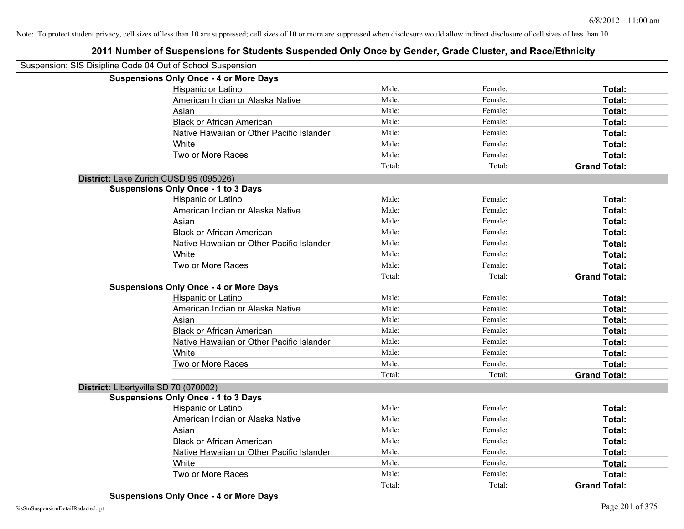| Suspension: SIS Disipline Code 04 Out of School Suspension |                                               |        |         |                     |
|------------------------------------------------------------|-----------------------------------------------|--------|---------|---------------------|
|                                                            | <b>Suspensions Only Once - 4 or More Days</b> |        |         |                     |
|                                                            | Hispanic or Latino                            | Male:  | Female: | Total:              |
|                                                            | American Indian or Alaska Native              | Male:  | Female: | Total:              |
|                                                            | Asian                                         | Male:  | Female: | Total:              |
|                                                            | <b>Black or African American</b>              | Male:  | Female: | Total:              |
|                                                            | Native Hawaiian or Other Pacific Islander     | Male:  | Female: | Total:              |
|                                                            | White                                         | Male:  | Female: | Total:              |
|                                                            | Two or More Races                             | Male:  | Female: | Total:              |
|                                                            |                                               | Total: | Total:  | <b>Grand Total:</b> |
|                                                            | District: Lake Zurich CUSD 95 (095026)        |        |         |                     |
|                                                            | <b>Suspensions Only Once - 1 to 3 Days</b>    |        |         |                     |
|                                                            | Hispanic or Latino                            | Male:  | Female: | Total:              |
|                                                            | American Indian or Alaska Native              | Male:  | Female: | Total:              |
|                                                            | Asian                                         | Male:  | Female: | Total:              |
|                                                            | <b>Black or African American</b>              | Male:  | Female: | Total:              |
|                                                            | Native Hawaiian or Other Pacific Islander     | Male:  | Female: | Total:              |
|                                                            | White                                         | Male:  | Female: | Total:              |
|                                                            | Two or More Races                             | Male:  | Female: | Total:              |
|                                                            |                                               | Total: | Total:  | <b>Grand Total:</b> |
|                                                            | <b>Suspensions Only Once - 4 or More Days</b> |        |         |                     |
|                                                            | Hispanic or Latino                            | Male:  | Female: | Total:              |
|                                                            | American Indian or Alaska Native              | Male:  | Female: | Total:              |
|                                                            | Asian                                         | Male:  | Female: | Total:              |
|                                                            | <b>Black or African American</b>              | Male:  | Female: | Total:              |
|                                                            | Native Hawaiian or Other Pacific Islander     | Male:  | Female: | Total:              |
|                                                            | White                                         | Male:  | Female: | Total:              |
|                                                            | Two or More Races                             | Male:  | Female: | Total:              |
|                                                            |                                               | Total: | Total:  | <b>Grand Total:</b> |
| District: Libertyville SD 70 (070002)                      |                                               |        |         |                     |
|                                                            | <b>Suspensions Only Once - 1 to 3 Days</b>    |        |         |                     |
|                                                            | Hispanic or Latino                            | Male:  | Female: | Total:              |
|                                                            | American Indian or Alaska Native              | Male:  | Female: | Total:              |
|                                                            | Asian                                         | Male:  | Female: | Total:              |
|                                                            | <b>Black or African American</b>              | Male:  | Female: | Total:              |
|                                                            | Native Hawaiian or Other Pacific Islander     | Male:  | Female: | Total:              |
|                                                            | White                                         | Male:  | Female: | Total:              |
|                                                            | Two or More Races                             | Male:  | Female: | Total:              |
|                                                            |                                               | Total: | Total:  | <b>Grand Total:</b> |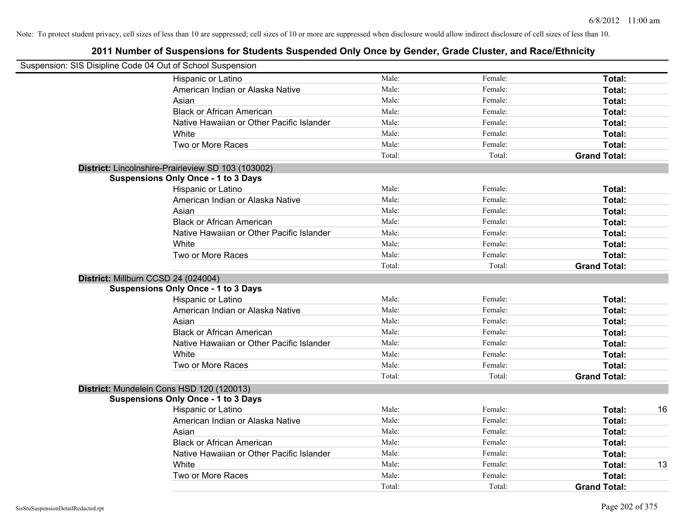|                                     | Suspension: SIS Disipline Code 04 Out of School Suspension |        |         |                     |    |
|-------------------------------------|------------------------------------------------------------|--------|---------|---------------------|----|
|                                     | Hispanic or Latino                                         | Male:  | Female: | Total:              |    |
|                                     | American Indian or Alaska Native                           | Male:  | Female: | Total:              |    |
|                                     | Asian                                                      | Male:  | Female: | Total:              |    |
|                                     | <b>Black or African American</b>                           | Male:  | Female: | Total:              |    |
|                                     | Native Hawaiian or Other Pacific Islander                  | Male:  | Female: | Total:              |    |
|                                     | White                                                      | Male:  | Female: | Total:              |    |
|                                     | Two or More Races                                          | Male:  | Female: | Total:              |    |
|                                     |                                                            | Total: | Total:  | <b>Grand Total:</b> |    |
|                                     | District: Lincolnshire-Prairieview SD 103 (103002)         |        |         |                     |    |
|                                     | <b>Suspensions Only Once - 1 to 3 Days</b>                 |        |         |                     |    |
|                                     | Hispanic or Latino                                         | Male:  | Female: | Total:              |    |
|                                     | American Indian or Alaska Native                           | Male:  | Female: | Total:              |    |
|                                     | Asian                                                      | Male:  | Female: | Total:              |    |
|                                     | <b>Black or African American</b>                           | Male:  | Female: | Total:              |    |
|                                     | Native Hawaiian or Other Pacific Islander                  | Male:  | Female: | Total:              |    |
|                                     | White                                                      | Male:  | Female: | Total:              |    |
|                                     | Two or More Races                                          | Male:  | Female: | Total:              |    |
|                                     |                                                            | Total: | Total:  | <b>Grand Total:</b> |    |
| District: Millburn CCSD 24 (024004) |                                                            |        |         |                     |    |
|                                     | <b>Suspensions Only Once - 1 to 3 Days</b>                 |        |         |                     |    |
|                                     | Hispanic or Latino                                         | Male:  | Female: | Total:              |    |
|                                     | American Indian or Alaska Native                           | Male:  | Female: | Total:              |    |
|                                     | Asian                                                      | Male:  | Female: | Total:              |    |
|                                     | <b>Black or African American</b>                           | Male:  | Female: | Total:              |    |
|                                     | Native Hawaiian or Other Pacific Islander                  | Male:  | Female: | Total:              |    |
|                                     | White                                                      | Male:  | Female: | Total:              |    |
|                                     | Two or More Races                                          | Male:  | Female: | Total:              |    |
|                                     |                                                            | Total: | Total:  | <b>Grand Total:</b> |    |
|                                     | District: Mundelein Cons HSD 120 (120013)                  |        |         |                     |    |
|                                     | <b>Suspensions Only Once - 1 to 3 Days</b>                 |        |         |                     |    |
|                                     | Hispanic or Latino                                         | Male:  | Female: | Total:              | 16 |
|                                     | American Indian or Alaska Native                           | Male:  | Female: | Total:              |    |
|                                     | Asian                                                      | Male:  | Female: | Total:              |    |
|                                     | <b>Black or African American</b>                           | Male:  | Female: | Total:              |    |
|                                     | Native Hawaiian or Other Pacific Islander                  | Male:  | Female: | Total:              |    |
|                                     | White                                                      | Male:  | Female: | Total:              | 13 |
|                                     | Two or More Races                                          | Male:  | Female: | <b>Total:</b>       |    |
|                                     |                                                            | Total: | Total:  | <b>Grand Total:</b> |    |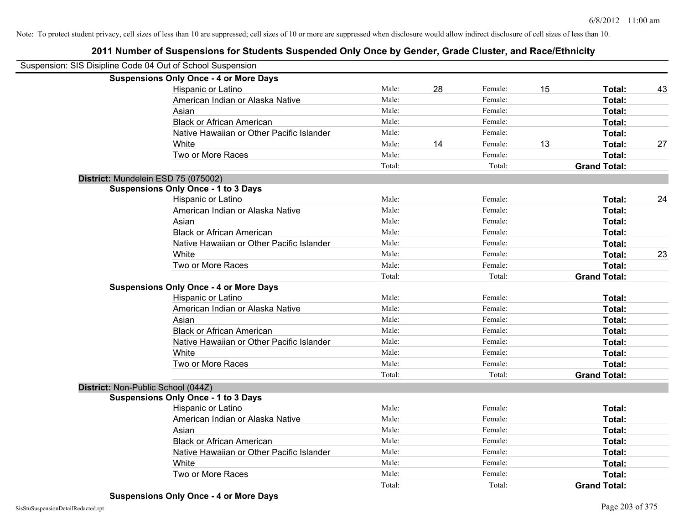| Suspension: SIS Disipline Code 04 Out of School Suspension |                                               |        |    |         |    |                     |    |
|------------------------------------------------------------|-----------------------------------------------|--------|----|---------|----|---------------------|----|
|                                                            | <b>Suspensions Only Once - 4 or More Days</b> |        |    |         |    |                     |    |
|                                                            | Hispanic or Latino                            | Male:  | 28 | Female: | 15 | Total:              | 43 |
|                                                            | American Indian or Alaska Native              | Male:  |    | Female: |    | <b>Total:</b>       |    |
|                                                            | Asian                                         | Male:  |    | Female: |    | Total:              |    |
|                                                            | <b>Black or African American</b>              | Male:  |    | Female: |    | Total:              |    |
|                                                            | Native Hawaiian or Other Pacific Islander     | Male:  |    | Female: |    | Total:              |    |
|                                                            | White                                         | Male:  | 14 | Female: | 13 | Total:              | 27 |
|                                                            | Two or More Races                             | Male:  |    | Female: |    | Total:              |    |
|                                                            |                                               | Total: |    | Total:  |    | <b>Grand Total:</b> |    |
|                                                            | District: Mundelein ESD 75 (075002)           |        |    |         |    |                     |    |
|                                                            | <b>Suspensions Only Once - 1 to 3 Days</b>    |        |    |         |    |                     |    |
|                                                            | Hispanic or Latino                            | Male:  |    | Female: |    | Total:              | 24 |
|                                                            | American Indian or Alaska Native              | Male:  |    | Female: |    | Total:              |    |
|                                                            | Asian                                         | Male:  |    | Female: |    | <b>Total:</b>       |    |
|                                                            | <b>Black or African American</b>              | Male:  |    | Female: |    | Total:              |    |
|                                                            | Native Hawaiian or Other Pacific Islander     | Male:  |    | Female: |    | <b>Total:</b>       |    |
|                                                            | White                                         | Male:  |    | Female: |    | Total:              | 23 |
|                                                            | Two or More Races                             | Male:  |    | Female: |    | Total:              |    |
|                                                            |                                               | Total: |    | Total:  |    | <b>Grand Total:</b> |    |
|                                                            | <b>Suspensions Only Once - 4 or More Days</b> |        |    |         |    |                     |    |
|                                                            | Hispanic or Latino                            | Male:  |    | Female: |    | Total:              |    |
|                                                            | American Indian or Alaska Native              | Male:  |    | Female: |    | Total:              |    |
|                                                            | Asian                                         | Male:  |    | Female: |    | Total:              |    |
|                                                            | <b>Black or African American</b>              | Male:  |    | Female: |    | Total:              |    |
|                                                            | Native Hawaiian or Other Pacific Islander     | Male:  |    | Female: |    | Total:              |    |
|                                                            | White                                         | Male:  |    | Female: |    | Total:              |    |
|                                                            | Two or More Races                             | Male:  |    | Female: |    | Total:              |    |
|                                                            |                                               | Total: |    | Total:  |    | <b>Grand Total:</b> |    |
| District: Non-Public School (044Z)                         |                                               |        |    |         |    |                     |    |
|                                                            | <b>Suspensions Only Once - 1 to 3 Days</b>    |        |    |         |    |                     |    |
|                                                            | Hispanic or Latino                            | Male:  |    | Female: |    | Total:              |    |
|                                                            | American Indian or Alaska Native              | Male:  |    | Female: |    | Total:              |    |
|                                                            | Asian                                         | Male:  |    | Female: |    | Total:              |    |
|                                                            | <b>Black or African American</b>              | Male:  |    | Female: |    | Total:              |    |
|                                                            | Native Hawaiian or Other Pacific Islander     | Male:  |    | Female: |    | Total:              |    |
|                                                            | White                                         | Male:  |    | Female: |    | Total:              |    |
|                                                            | Two or More Races                             | Male:  |    | Female: |    | Total:              |    |
|                                                            |                                               | Total: |    | Total:  |    | <b>Grand Total:</b> |    |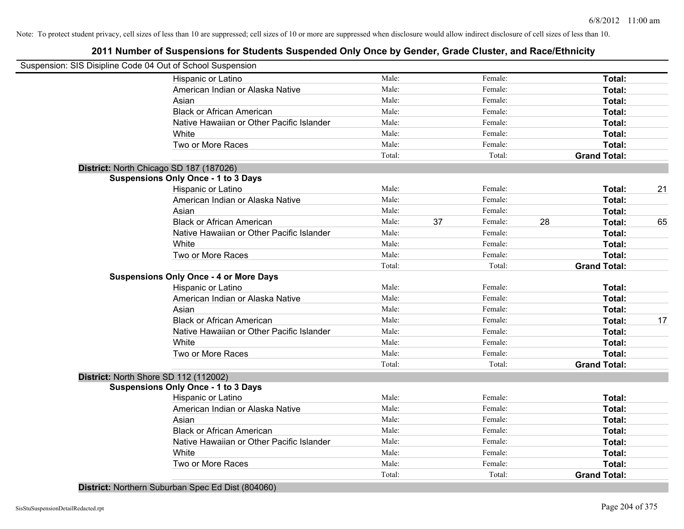# **2011 Number of Suspensions for Students Suspended Only Once by Gender, Grade Cluster, and Race/Ethnicity**

| Suspension: SIS Disipline Code 04 Out of School Suspension |                                           |        |    |         |    |                     |    |
|------------------------------------------------------------|-------------------------------------------|--------|----|---------|----|---------------------|----|
| Hispanic or Latino                                         |                                           | Male:  |    | Female: |    | Total:              |    |
| American Indian or Alaska Native                           |                                           | Male:  |    | Female: |    | Total:              |    |
| Asian                                                      |                                           | Male:  |    | Female: |    | Total:              |    |
| <b>Black or African American</b>                           |                                           | Male:  |    | Female: |    | Total:              |    |
|                                                            | Native Hawaiian or Other Pacific Islander | Male:  |    | Female: |    | Total:              |    |
| White                                                      |                                           | Male:  |    | Female: |    | Total:              |    |
| Two or More Races                                          |                                           | Male:  |    | Female: |    | Total:              |    |
|                                                            |                                           | Total: |    | Total:  |    | <b>Grand Total:</b> |    |
| District: North Chicago SD 187 (187026)                    |                                           |        |    |         |    |                     |    |
| <b>Suspensions Only Once - 1 to 3 Days</b>                 |                                           |        |    |         |    |                     |    |
| Hispanic or Latino                                         |                                           | Male:  |    | Female: |    | Total:              | 21 |
| American Indian or Alaska Native                           |                                           | Male:  |    | Female: |    | Total:              |    |
| Asian                                                      |                                           | Male:  |    | Female: |    | Total:              |    |
| <b>Black or African American</b>                           |                                           | Male:  | 37 | Female: | 28 | Total:              | 65 |
|                                                            | Native Hawaiian or Other Pacific Islander | Male:  |    | Female: |    | Total:              |    |
| White                                                      |                                           | Male:  |    | Female: |    | Total:              |    |
| Two or More Races                                          |                                           | Male:  |    | Female: |    | Total:              |    |
|                                                            |                                           | Total: |    | Total:  |    | <b>Grand Total:</b> |    |
| <b>Suspensions Only Once - 4 or More Days</b>              |                                           |        |    |         |    |                     |    |
| Hispanic or Latino                                         |                                           | Male:  |    | Female: |    | Total:              |    |
| American Indian or Alaska Native                           |                                           | Male:  |    | Female: |    | Total:              |    |
| Asian                                                      |                                           | Male:  |    | Female: |    | Total:              |    |
| <b>Black or African American</b>                           |                                           | Male:  |    | Female: |    | Total:              | 17 |
|                                                            | Native Hawaiian or Other Pacific Islander | Male:  |    | Female: |    | Total:              |    |
| White                                                      |                                           | Male:  |    | Female: |    | Total:              |    |
| Two or More Races                                          |                                           | Male:  |    | Female: |    | Total:              |    |
|                                                            |                                           | Total: |    | Total:  |    | <b>Grand Total:</b> |    |
| District: North Shore SD 112 (112002)                      |                                           |        |    |         |    |                     |    |
| <b>Suspensions Only Once - 1 to 3 Days</b>                 |                                           |        |    |         |    |                     |    |
| Hispanic or Latino                                         |                                           | Male:  |    | Female: |    | Total:              |    |
| American Indian or Alaska Native                           |                                           | Male:  |    | Female: |    | Total:              |    |
| Asian                                                      |                                           | Male:  |    | Female: |    | Total:              |    |
| <b>Black or African American</b>                           |                                           | Male:  |    | Female: |    | Total:              |    |
|                                                            | Native Hawaiian or Other Pacific Islander | Male:  |    | Female: |    | Total:              |    |
| White                                                      |                                           | Male:  |    | Female: |    | Total:              |    |
| Two or More Races                                          |                                           | Male:  |    | Female: |    | Total:              |    |
|                                                            |                                           | Total: |    | Total:  |    | <b>Grand Total:</b> |    |

**District:** Northern Suburban Spec Ed Dist (804060)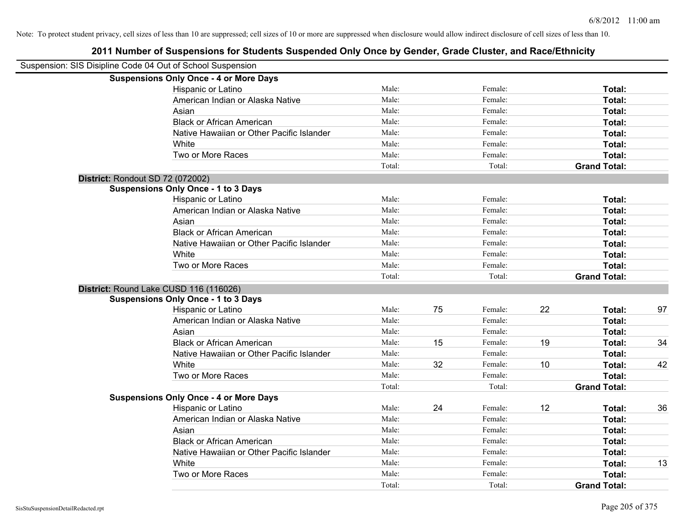| Suspension: SIS Disipline Code 04 Out of School Suspension |        |    |         |    |                     |    |
|------------------------------------------------------------|--------|----|---------|----|---------------------|----|
| <b>Suspensions Only Once - 4 or More Days</b>              |        |    |         |    |                     |    |
| Hispanic or Latino                                         | Male:  |    | Female: |    | Total:              |    |
| American Indian or Alaska Native                           | Male:  |    | Female: |    | Total:              |    |
| Asian                                                      | Male:  |    | Female: |    | Total:              |    |
| <b>Black or African American</b>                           | Male:  |    | Female: |    | Total:              |    |
| Native Hawaiian or Other Pacific Islander                  | Male:  |    | Female: |    | Total:              |    |
| White                                                      | Male:  |    | Female: |    | Total:              |    |
| Two or More Races                                          | Male:  |    | Female: |    | Total:              |    |
|                                                            | Total: |    | Total:  |    | <b>Grand Total:</b> |    |
| District: Rondout SD 72 (072002)                           |        |    |         |    |                     |    |
| <b>Suspensions Only Once - 1 to 3 Days</b>                 |        |    |         |    |                     |    |
| Hispanic or Latino                                         | Male:  |    | Female: |    | Total:              |    |
| American Indian or Alaska Native                           | Male:  |    | Female: |    | Total:              |    |
| Asian                                                      | Male:  |    | Female: |    | Total:              |    |
| <b>Black or African American</b>                           | Male:  |    | Female: |    | Total:              |    |
| Native Hawaiian or Other Pacific Islander                  | Male:  |    | Female: |    | <b>Total:</b>       |    |
| White                                                      | Male:  |    | Female: |    | Total:              |    |
| Two or More Races                                          | Male:  |    | Female: |    | Total:              |    |
|                                                            | Total: |    | Total:  |    | <b>Grand Total:</b> |    |
| District: Round Lake CUSD 116 (116026)                     |        |    |         |    |                     |    |
| <b>Suspensions Only Once - 1 to 3 Days</b>                 |        |    |         |    |                     |    |
| Hispanic or Latino                                         | Male:  | 75 | Female: | 22 | Total:              | 97 |
| American Indian or Alaska Native                           | Male:  |    | Female: |    | Total:              |    |
| Asian                                                      | Male:  |    | Female: |    | Total:              |    |
| <b>Black or African American</b>                           | Male:  | 15 | Female: | 19 | Total:              | 34 |
| Native Hawaiian or Other Pacific Islander                  | Male:  |    | Female: |    | Total:              |    |
| White                                                      | Male:  | 32 | Female: | 10 | Total:              | 42 |
| Two or More Races                                          | Male:  |    | Female: |    | Total:              |    |
|                                                            | Total: |    | Total:  |    | <b>Grand Total:</b> |    |
| <b>Suspensions Only Once - 4 or More Days</b>              |        |    |         |    |                     |    |
| Hispanic or Latino                                         | Male:  | 24 | Female: | 12 | Total:              | 36 |
| American Indian or Alaska Native                           | Male:  |    | Female: |    | Total:              |    |
| Asian                                                      | Male:  |    | Female: |    | Total:              |    |
| <b>Black or African American</b>                           | Male:  |    | Female: |    | Total:              |    |
| Native Hawaiian or Other Pacific Islander                  | Male:  |    | Female: |    | Total:              |    |
| White                                                      | Male:  |    | Female: |    | Total:              | 13 |
| Two or More Races                                          | Male:  |    | Female: |    | <b>Total:</b>       |    |
|                                                            | Total: |    | Total:  |    | <b>Grand Total:</b> |    |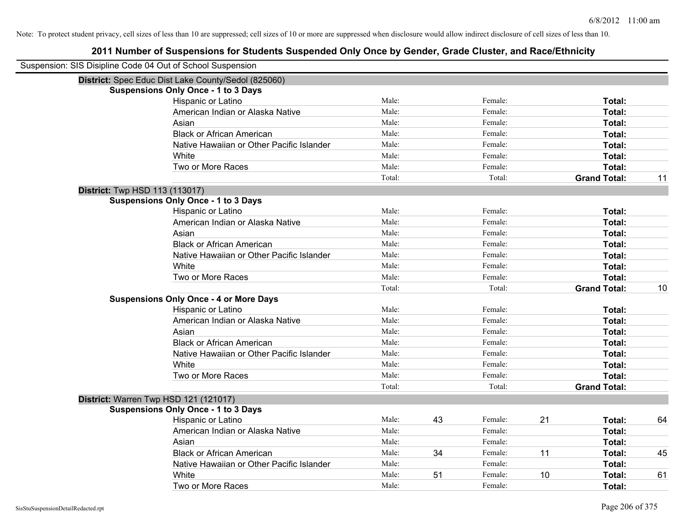| Suspension: SIS Disipline Code 04 Out of School Suspension |                                                     |        |    |               |                     |    |
|------------------------------------------------------------|-----------------------------------------------------|--------|----|---------------|---------------------|----|
|                                                            | District: Spec Educ Dist Lake County/Sedol (825060) |        |    |               |                     |    |
|                                                            | <b>Suspensions Only Once - 1 to 3 Days</b>          |        |    |               |                     |    |
|                                                            | Hispanic or Latino                                  | Male:  |    | Female:       | Total:              |    |
|                                                            | American Indian or Alaska Native                    | Male:  |    | Female:       | Total:              |    |
|                                                            | Asian                                               | Male:  |    | Female:       | Total:              |    |
|                                                            | <b>Black or African American</b>                    | Male:  |    | Female:       | Total:              |    |
|                                                            | Native Hawaiian or Other Pacific Islander           | Male:  |    | Female:       | Total:              |    |
|                                                            | White                                               | Male:  |    | Female:       | Total:              |    |
|                                                            | Two or More Races                                   | Male:  |    | Female:       | Total:              |    |
|                                                            |                                                     | Total: |    | Total:        | <b>Grand Total:</b> | 11 |
| <b>District:</b> Twp HSD 113 (113017)                      |                                                     |        |    |               |                     |    |
|                                                            | <b>Suspensions Only Once - 1 to 3 Days</b>          |        |    |               |                     |    |
|                                                            | Hispanic or Latino                                  | Male:  |    | Female:       | Total:              |    |
|                                                            | American Indian or Alaska Native                    | Male:  |    | Female:       | Total:              |    |
|                                                            | Asian                                               | Male:  |    | Female:       | Total:              |    |
|                                                            | <b>Black or African American</b>                    | Male:  |    | Female:       | Total:              |    |
|                                                            | Native Hawaiian or Other Pacific Islander           | Male:  |    | Female:       | Total:              |    |
|                                                            | White                                               | Male:  |    | Female:       | Total:              |    |
|                                                            | Two or More Races                                   | Male:  |    | Female:       | Total:              |    |
|                                                            |                                                     | Total: |    | Total:        | <b>Grand Total:</b> | 10 |
|                                                            | <b>Suspensions Only Once - 4 or More Days</b>       |        |    |               |                     |    |
|                                                            | Hispanic or Latino                                  | Male:  |    | Female:       | Total:              |    |
|                                                            | American Indian or Alaska Native                    | Male:  |    | Female:       | Total:              |    |
|                                                            | Asian                                               | Male:  |    | Female:       | Total:              |    |
|                                                            | <b>Black or African American</b>                    | Male:  |    | Female:       | Total:              |    |
|                                                            | Native Hawaiian or Other Pacific Islander           | Male:  |    | Female:       | Total:              |    |
|                                                            | White                                               | Male:  |    | Female:       | Total:              |    |
|                                                            | Two or More Races                                   | Male:  |    | Female:       | <b>Total:</b>       |    |
|                                                            |                                                     | Total: |    | Total:        | <b>Grand Total:</b> |    |
| District: Warren Twp HSD 121 (121017)                      |                                                     |        |    |               |                     |    |
|                                                            | <b>Suspensions Only Once - 1 to 3 Days</b>          |        |    |               |                     |    |
|                                                            | Hispanic or Latino                                  | Male:  | 43 | 21<br>Female: | Total:              | 64 |
|                                                            | American Indian or Alaska Native                    | Male:  |    | Female:       | Total:              |    |
|                                                            | Asian                                               | Male:  |    | Female:       | Total:              |    |
|                                                            | <b>Black or African American</b>                    | Male:  | 34 | 11<br>Female: | Total:              | 45 |
|                                                            | Native Hawaiian or Other Pacific Islander           | Male:  |    | Female:       | Total:              |    |
|                                                            | White                                               | Male:  | 51 | Female:<br>10 | Total:              | 61 |
|                                                            | Two or More Races                                   | Male:  |    | Female:       | Total:              |    |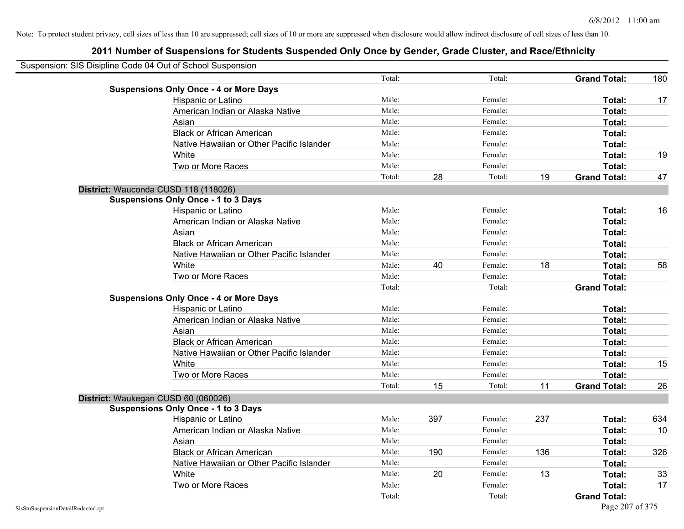| Suspension: SIS Disipline Code 04 Out of School Suspension |                                               |        |     |         |     |                     |     |
|------------------------------------------------------------|-----------------------------------------------|--------|-----|---------|-----|---------------------|-----|
|                                                            |                                               | Total: |     | Total:  |     | <b>Grand Total:</b> | 180 |
|                                                            | <b>Suspensions Only Once - 4 or More Days</b> |        |     |         |     |                     |     |
|                                                            | Hispanic or Latino                            | Male:  |     | Female: |     | Total:              | 17  |
|                                                            | American Indian or Alaska Native              | Male:  |     | Female: |     | Total:              |     |
|                                                            | Asian                                         | Male:  |     | Female: |     | Total:              |     |
|                                                            | <b>Black or African American</b>              | Male:  |     | Female: |     | Total:              |     |
|                                                            | Native Hawaiian or Other Pacific Islander     | Male:  |     | Female: |     | Total:              |     |
|                                                            | White                                         | Male:  |     | Female: |     | Total:              | 19  |
|                                                            | Two or More Races                             | Male:  |     | Female: |     | Total:              |     |
|                                                            |                                               | Total: | 28  | Total:  | 19  | <b>Grand Total:</b> | 47  |
|                                                            | District: Wauconda CUSD 118 (118026)          |        |     |         |     |                     |     |
|                                                            | <b>Suspensions Only Once - 1 to 3 Days</b>    |        |     |         |     |                     |     |
|                                                            | Hispanic or Latino                            | Male:  |     | Female: |     | Total:              | 16  |
|                                                            | American Indian or Alaska Native              | Male:  |     | Female: |     | Total:              |     |
|                                                            | Asian                                         | Male:  |     | Female: |     | Total:              |     |
|                                                            | <b>Black or African American</b>              | Male:  |     | Female: |     | Total:              |     |
|                                                            | Native Hawaiian or Other Pacific Islander     | Male:  |     | Female: |     | Total:              |     |
|                                                            | White                                         | Male:  | 40  | Female: | 18  | Total:              | 58  |
|                                                            | Two or More Races                             | Male:  |     | Female: |     | Total:              |     |
|                                                            |                                               | Total: |     | Total:  |     | <b>Grand Total:</b> |     |
|                                                            | <b>Suspensions Only Once - 4 or More Days</b> |        |     |         |     |                     |     |
|                                                            | Hispanic or Latino                            | Male:  |     | Female: |     | Total:              |     |
|                                                            | American Indian or Alaska Native              | Male:  |     | Female: |     | Total:              |     |
|                                                            | Asian                                         | Male:  |     | Female: |     | Total:              |     |
|                                                            | <b>Black or African American</b>              | Male:  |     | Female: |     | Total:              |     |
|                                                            | Native Hawaiian or Other Pacific Islander     | Male:  |     | Female: |     | Total:              |     |
|                                                            | White                                         | Male:  |     | Female: |     | Total:              | 15  |
|                                                            | Two or More Races                             | Male:  |     | Female: |     | Total:              |     |
|                                                            |                                               | Total: | 15  | Total:  | 11  | <b>Grand Total:</b> | 26  |
| District: Waukegan CUSD 60 (060026)                        |                                               |        |     |         |     |                     |     |
|                                                            | <b>Suspensions Only Once - 1 to 3 Days</b>    |        |     |         |     |                     |     |
|                                                            | Hispanic or Latino                            | Male:  | 397 | Female: | 237 | Total:              | 634 |
|                                                            | American Indian or Alaska Native              | Male:  |     | Female: |     | Total:              | 10  |
|                                                            | Asian                                         | Male:  |     | Female: |     | Total:              |     |
|                                                            | <b>Black or African American</b>              | Male:  | 190 | Female: | 136 | Total:              | 326 |
|                                                            | Native Hawaiian or Other Pacific Islander     | Male:  |     | Female: |     | Total:              |     |
|                                                            | White                                         | Male:  | 20  | Female: | 13  | Total:              | 33  |
|                                                            | Two or More Races                             | Male:  |     | Female: |     | Total:              | 17  |
|                                                            |                                               | Total: |     | Total:  |     | <b>Grand Total:</b> |     |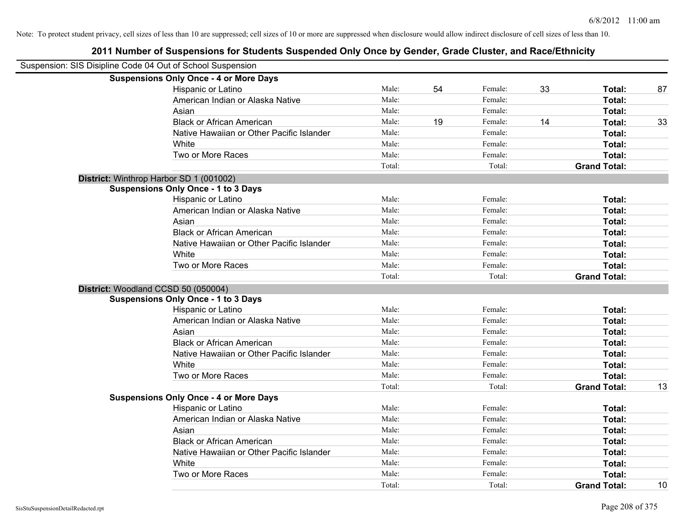| Suspension: SIS Disipline Code 04 Out of School Suspension |        |    |         |    |                     |    |
|------------------------------------------------------------|--------|----|---------|----|---------------------|----|
| <b>Suspensions Only Once - 4 or More Days</b>              |        |    |         |    |                     |    |
| Hispanic or Latino                                         | Male:  | 54 | Female: | 33 | Total:              | 87 |
| American Indian or Alaska Native                           | Male:  |    | Female: |    | Total:              |    |
| Asian                                                      | Male:  |    | Female: |    | Total:              |    |
| <b>Black or African American</b>                           | Male:  | 19 | Female: | 14 | Total:              | 33 |
| Native Hawaiian or Other Pacific Islander                  | Male:  |    | Female: |    | Total:              |    |
| White                                                      | Male:  |    | Female: |    | Total:              |    |
| Two or More Races                                          | Male:  |    | Female: |    | Total:              |    |
|                                                            | Total: |    | Total:  |    | <b>Grand Total:</b> |    |
| District: Winthrop Harbor SD 1 (001002)                    |        |    |         |    |                     |    |
| <b>Suspensions Only Once - 1 to 3 Days</b>                 |        |    |         |    |                     |    |
| Hispanic or Latino                                         | Male:  |    | Female: |    | Total:              |    |
| American Indian or Alaska Native                           | Male:  |    | Female: |    | Total:              |    |
| Asian                                                      | Male:  |    | Female: |    | Total:              |    |
| <b>Black or African American</b>                           | Male:  |    | Female: |    | Total:              |    |
| Native Hawaiian or Other Pacific Islander                  | Male:  |    | Female: |    | Total:              |    |
| White                                                      | Male:  |    | Female: |    | Total:              |    |
| Two or More Races                                          | Male:  |    | Female: |    | Total:              |    |
|                                                            | Total: |    | Total:  |    | <b>Grand Total:</b> |    |
| District: Woodland CCSD 50 (050004)                        |        |    |         |    |                     |    |
| <b>Suspensions Only Once - 1 to 3 Days</b>                 |        |    |         |    |                     |    |
| Hispanic or Latino                                         | Male:  |    | Female: |    | Total:              |    |
| American Indian or Alaska Native                           | Male:  |    | Female: |    | Total:              |    |
| Asian                                                      | Male:  |    | Female: |    | Total:              |    |
| <b>Black or African American</b>                           | Male:  |    | Female: |    | Total:              |    |
| Native Hawaiian or Other Pacific Islander                  | Male:  |    | Female: |    | Total:              |    |
| White                                                      | Male:  |    | Female: |    | Total:              |    |
| Two or More Races                                          | Male:  |    | Female: |    | Total:              |    |
|                                                            | Total: |    | Total:  |    | <b>Grand Total:</b> | 13 |
| <b>Suspensions Only Once - 4 or More Days</b>              |        |    |         |    |                     |    |
| Hispanic or Latino                                         | Male:  |    | Female: |    | Total:              |    |
| American Indian or Alaska Native                           | Male:  |    | Female: |    | Total:              |    |
| Asian                                                      | Male:  |    | Female: |    | Total:              |    |
| <b>Black or African American</b>                           | Male:  |    | Female: |    | Total:              |    |
| Native Hawaiian or Other Pacific Islander                  | Male:  |    | Female: |    | Total:              |    |
| White                                                      | Male:  |    | Female: |    | Total:              |    |
| Two or More Races                                          | Male:  |    | Female: |    | Total:              |    |
|                                                            | Total: |    | Total:  |    | <b>Grand Total:</b> | 10 |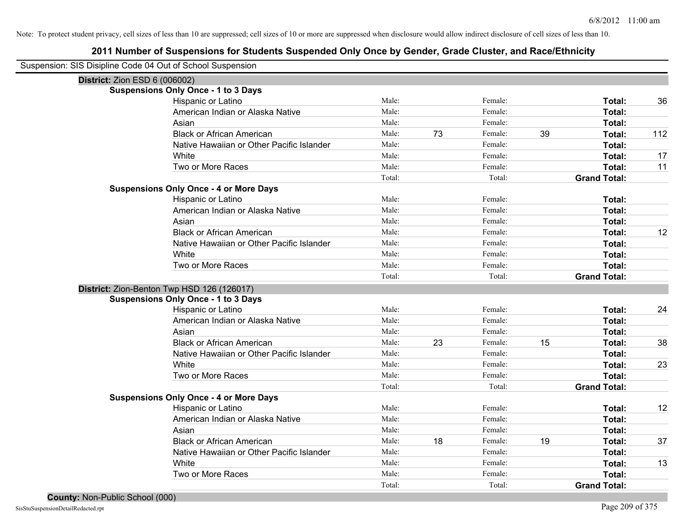| Suspension: SIS Disipline Code 04 Out of School Suspension |                                               |        |    |         |    |                     |     |
|------------------------------------------------------------|-----------------------------------------------|--------|----|---------|----|---------------------|-----|
| District: Zion ESD 6 (006002)                              |                                               |        |    |         |    |                     |     |
|                                                            | <b>Suspensions Only Once - 1 to 3 Days</b>    |        |    |         |    |                     |     |
|                                                            | Hispanic or Latino                            | Male:  |    | Female: |    | Total:              | 36  |
|                                                            | American Indian or Alaska Native              | Male:  |    | Female: |    | Total:              |     |
|                                                            | Asian                                         | Male:  |    | Female: |    | Total:              |     |
|                                                            | <b>Black or African American</b>              | Male:  | 73 | Female: | 39 | Total:              | 112 |
|                                                            | Native Hawaiian or Other Pacific Islander     | Male:  |    | Female: |    | Total:              |     |
|                                                            | White                                         | Male:  |    | Female: |    | Total:              | 17  |
|                                                            | Two or More Races                             | Male:  |    | Female: |    | Total:              | 11  |
|                                                            |                                               | Total: |    | Total:  |    | <b>Grand Total:</b> |     |
|                                                            | <b>Suspensions Only Once - 4 or More Days</b> |        |    |         |    |                     |     |
|                                                            | Hispanic or Latino                            | Male:  |    | Female: |    | Total:              |     |
|                                                            | American Indian or Alaska Native              | Male:  |    | Female: |    | Total:              |     |
|                                                            | Asian                                         | Male:  |    | Female: |    | Total:              |     |
|                                                            | <b>Black or African American</b>              | Male:  |    | Female: |    | Total:              | 12  |
|                                                            | Native Hawaiian or Other Pacific Islander     | Male:  |    | Female: |    | Total:              |     |
|                                                            | White                                         | Male:  |    | Female: |    | Total:              |     |
|                                                            | Two or More Races                             | Male:  |    | Female: |    | Total:              |     |
|                                                            |                                               | Total: |    | Total:  |    | <b>Grand Total:</b> |     |
|                                                            | District: Zion-Benton Twp HSD 126 (126017)    |        |    |         |    |                     |     |
|                                                            | <b>Suspensions Only Once - 1 to 3 Days</b>    |        |    |         |    |                     |     |
|                                                            | Hispanic or Latino                            | Male:  |    | Female: |    | Total:              | 24  |
|                                                            | American Indian or Alaska Native              | Male:  |    | Female: |    | Total:              |     |
|                                                            | Asian                                         | Male:  |    | Female: |    | Total:              |     |
|                                                            | <b>Black or African American</b>              | Male:  | 23 | Female: | 15 | Total:              | 38  |
|                                                            | Native Hawaiian or Other Pacific Islander     | Male:  |    | Female: |    | Total:              |     |
|                                                            | White                                         | Male:  |    | Female: |    | Total:              | 23  |
|                                                            | Two or More Races                             | Male:  |    | Female: |    | Total:              |     |
|                                                            |                                               | Total: |    | Total:  |    | <b>Grand Total:</b> |     |
|                                                            | <b>Suspensions Only Once - 4 or More Days</b> |        |    |         |    |                     |     |
|                                                            | Hispanic or Latino                            | Male:  |    | Female: |    | Total:              | 12  |
|                                                            | American Indian or Alaska Native              | Male:  |    | Female: |    | Total:              |     |
|                                                            | Asian                                         | Male:  |    | Female: |    | Total:              |     |
|                                                            | <b>Black or African American</b>              | Male:  | 18 | Female: | 19 | Total:              | 37  |
|                                                            | Native Hawaiian or Other Pacific Islander     | Male:  |    | Female: |    | Total:              |     |
|                                                            | White                                         | Male:  |    | Female: |    | Total:              | 13  |
|                                                            | Two or More Races                             | Male:  |    | Female: |    | Total:              |     |
|                                                            |                                               | Total: |    | Total:  |    | <b>Grand Total:</b> |     |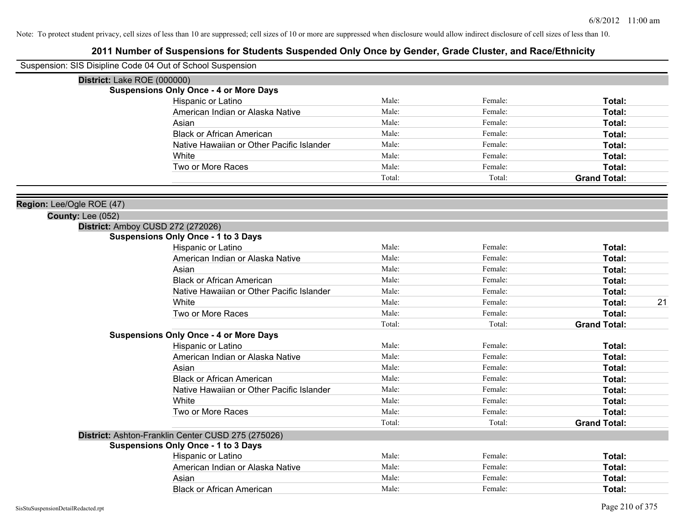| Suspension: SIS Disipline Code 04 Out of School Suspension |                                                    |        |         |                     |
|------------------------------------------------------------|----------------------------------------------------|--------|---------|---------------------|
| District: Lake ROE (000000)                                |                                                    |        |         |                     |
|                                                            | <b>Suspensions Only Once - 4 or More Days</b>      |        |         |                     |
|                                                            | Hispanic or Latino                                 | Male:  | Female: | Total:              |
|                                                            | American Indian or Alaska Native                   | Male:  | Female: | Total:              |
|                                                            | Asian                                              | Male:  | Female: | Total:              |
|                                                            | <b>Black or African American</b>                   | Male:  | Female: | Total:              |
|                                                            | Native Hawaiian or Other Pacific Islander          | Male:  | Female: | Total:              |
|                                                            | White                                              | Male:  | Female: | Total:              |
|                                                            | Two or More Races                                  | Male:  | Female: | Total:              |
|                                                            |                                                    | Total: | Total:  | <b>Grand Total:</b> |
| Region: Lee/Ogle ROE (47)                                  |                                                    |        |         |                     |
| <b>County: Lee (052)</b>                                   |                                                    |        |         |                     |
|                                                            | District: Amboy CUSD 272 (272026)                  |        |         |                     |
|                                                            | <b>Suspensions Only Once - 1 to 3 Days</b>         |        |         |                     |
|                                                            | Hispanic or Latino                                 | Male:  | Female: | Total:              |
|                                                            | American Indian or Alaska Native                   | Male:  | Female: | Total:              |
|                                                            | Asian                                              | Male:  | Female: | Total:              |
|                                                            | <b>Black or African American</b>                   | Male:  | Female: | Total:              |
|                                                            | Native Hawaiian or Other Pacific Islander          | Male:  | Female: | Total:              |
|                                                            | White                                              | Male:  | Female: | 21<br>Total:        |
|                                                            | Two or More Races                                  | Male:  | Female: | Total:              |
|                                                            |                                                    | Total: | Total:  | <b>Grand Total:</b> |
|                                                            | <b>Suspensions Only Once - 4 or More Days</b>      |        |         |                     |
|                                                            | Hispanic or Latino                                 | Male:  | Female: | Total:              |
|                                                            | American Indian or Alaska Native                   | Male:  | Female: | Total:              |
|                                                            | Asian                                              | Male:  | Female: | Total:              |
|                                                            | <b>Black or African American</b>                   | Male:  | Female: | Total:              |
|                                                            | Native Hawaiian or Other Pacific Islander          | Male:  | Female: | Total:              |
|                                                            | White                                              | Male:  | Female: | Total:              |
|                                                            | Two or More Races                                  | Male:  | Female: | Total:              |
|                                                            |                                                    | Total: | Total:  | <b>Grand Total:</b> |
|                                                            | District: Ashton-Franklin Center CUSD 275 (275026) |        |         |                     |
|                                                            | <b>Suspensions Only Once - 1 to 3 Days</b>         |        |         |                     |
|                                                            | Hispanic or Latino                                 | Male:  | Female: | Total:              |
|                                                            | American Indian or Alaska Native                   | Male:  | Female: | Total:              |
|                                                            | Asian                                              | Male:  | Female: | Total:              |
|                                                            | <b>Black or African American</b>                   | Male:  | Female: | Total:              |
| SisStuSuspensionDetailRedacted.rpt                         |                                                    |        |         | Page 210 of 375     |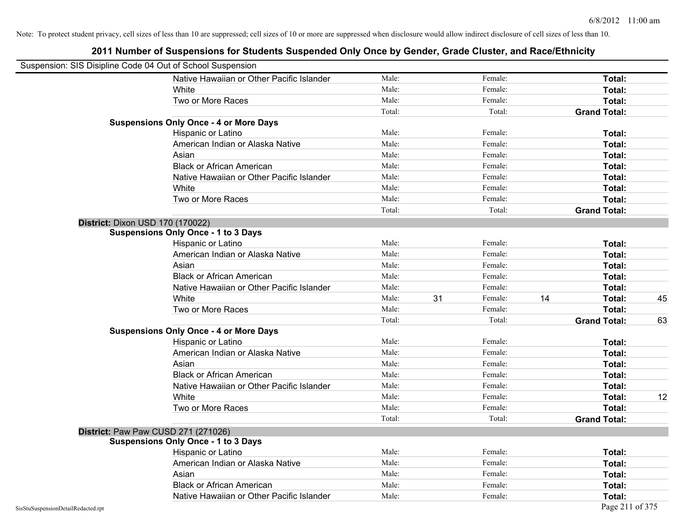| Suspension: SIS Disipline Code 04 Out of School Suspension |                                               |        |    |         |    |                     |    |
|------------------------------------------------------------|-----------------------------------------------|--------|----|---------|----|---------------------|----|
|                                                            | Native Hawaiian or Other Pacific Islander     | Male:  |    | Female: |    | Total:              |    |
|                                                            | White                                         | Male:  |    | Female: |    | Total:              |    |
|                                                            | Two or More Races                             | Male:  |    | Female: |    | Total:              |    |
|                                                            |                                               | Total: |    | Total:  |    | <b>Grand Total:</b> |    |
|                                                            | <b>Suspensions Only Once - 4 or More Days</b> |        |    |         |    |                     |    |
|                                                            | Hispanic or Latino                            | Male:  |    | Female: |    | Total:              |    |
|                                                            | American Indian or Alaska Native              | Male:  |    | Female: |    | Total:              |    |
|                                                            | Asian                                         | Male:  |    | Female: |    | Total:              |    |
|                                                            | <b>Black or African American</b>              | Male:  |    | Female: |    | Total:              |    |
|                                                            | Native Hawaiian or Other Pacific Islander     | Male:  |    | Female: |    | Total:              |    |
|                                                            | White                                         | Male:  |    | Female: |    | Total:              |    |
|                                                            | Two or More Races                             | Male:  |    | Female: |    | Total:              |    |
|                                                            |                                               | Total: |    | Total:  |    | <b>Grand Total:</b> |    |
| District: Dixon USD 170 (170022)                           |                                               |        |    |         |    |                     |    |
|                                                            | <b>Suspensions Only Once - 1 to 3 Days</b>    |        |    |         |    |                     |    |
|                                                            | Hispanic or Latino                            | Male:  |    | Female: |    | Total:              |    |
|                                                            | American Indian or Alaska Native              | Male:  |    | Female: |    | Total:              |    |
|                                                            | Asian                                         | Male:  |    | Female: |    | Total:              |    |
|                                                            | <b>Black or African American</b>              | Male:  |    | Female: |    | Total:              |    |
|                                                            | Native Hawaiian or Other Pacific Islander     | Male:  |    | Female: |    | Total:              |    |
|                                                            | White                                         | Male:  | 31 | Female: | 14 | Total:              | 45 |
|                                                            | Two or More Races                             | Male:  |    | Female: |    | Total:              |    |
|                                                            |                                               | Total: |    | Total:  |    | <b>Grand Total:</b> | 63 |
|                                                            | <b>Suspensions Only Once - 4 or More Days</b> |        |    |         |    |                     |    |
|                                                            | Hispanic or Latino                            | Male:  |    | Female: |    | Total:              |    |
|                                                            | American Indian or Alaska Native              | Male:  |    | Female: |    | Total:              |    |
|                                                            | Asian                                         | Male:  |    | Female: |    | Total:              |    |
|                                                            | <b>Black or African American</b>              | Male:  |    | Female: |    | Total:              |    |
|                                                            | Native Hawaiian or Other Pacific Islander     | Male:  |    | Female: |    | Total:              |    |
|                                                            | White                                         | Male:  |    | Female: |    | Total:              | 12 |
|                                                            | Two or More Races                             | Male:  |    | Female: |    | Total:              |    |
|                                                            |                                               | Total: |    | Total:  |    | <b>Grand Total:</b> |    |
| District: Paw Paw CUSD 271 (271026)                        |                                               |        |    |         |    |                     |    |
|                                                            | <b>Suspensions Only Once - 1 to 3 Days</b>    |        |    |         |    |                     |    |
|                                                            | Hispanic or Latino                            | Male:  |    | Female: |    | Total:              |    |
|                                                            | American Indian or Alaska Native              | Male:  |    | Female: |    | Total:              |    |
|                                                            | Asian                                         | Male:  |    | Female: |    | Total:              |    |
|                                                            | <b>Black or African American</b>              | Male:  |    | Female: |    | Total:              |    |
|                                                            | Native Hawaiian or Other Pacific Islander     | Male:  |    | Female: |    | Total:              |    |
| SisStuSuspensionDetailRedacted.rpt                         |                                               |        |    |         |    | Page 211 of 375     |    |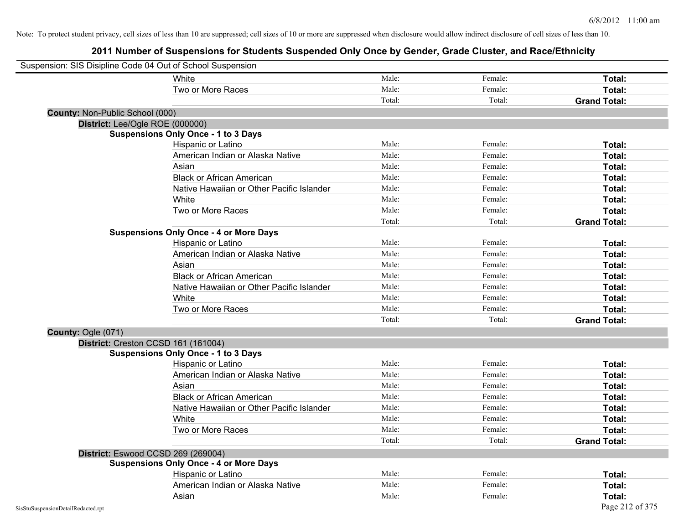| Suspension: SIS Disipline Code 04 Out of School Suspension |                                               |        |         |                     |
|------------------------------------------------------------|-----------------------------------------------|--------|---------|---------------------|
|                                                            | White                                         | Male:  | Female: | Total:              |
|                                                            | Two or More Races                             | Male:  | Female: | Total:              |
|                                                            |                                               | Total: | Total:  | <b>Grand Total:</b> |
| <b>County: Non-Public School (000)</b>                     |                                               |        |         |                     |
| District: Lee/Ogle ROE (000000)                            |                                               |        |         |                     |
|                                                            | <b>Suspensions Only Once - 1 to 3 Days</b>    |        |         |                     |
|                                                            | Hispanic or Latino                            | Male:  | Female: | Total:              |
|                                                            | American Indian or Alaska Native              | Male:  | Female: | Total:              |
|                                                            | Asian                                         | Male:  | Female: | Total:              |
|                                                            | <b>Black or African American</b>              | Male:  | Female: | Total:              |
|                                                            | Native Hawaiian or Other Pacific Islander     | Male:  | Female: | Total:              |
|                                                            | White                                         | Male:  | Female: | Total:              |
|                                                            | Two or More Races                             | Male:  | Female: | Total:              |
|                                                            |                                               | Total: | Total:  | <b>Grand Total:</b> |
|                                                            | <b>Suspensions Only Once - 4 or More Days</b> |        |         |                     |
|                                                            | Hispanic or Latino                            | Male:  | Female: | Total:              |
|                                                            | American Indian or Alaska Native              | Male:  | Female: | Total:              |
|                                                            | Asian                                         | Male:  | Female: | Total:              |
|                                                            | <b>Black or African American</b>              | Male:  | Female: | Total:              |
|                                                            | Native Hawaiian or Other Pacific Islander     | Male:  | Female: | Total:              |
|                                                            | White                                         | Male:  | Female: | Total:              |
|                                                            | Two or More Races                             | Male:  | Female: | Total:              |
|                                                            |                                               | Total: | Total:  | <b>Grand Total:</b> |
| County: Ogle (071)                                         |                                               |        |         |                     |
| District: Creston CCSD 161 (161004)                        |                                               |        |         |                     |
|                                                            | <b>Suspensions Only Once - 1 to 3 Days</b>    |        |         |                     |
|                                                            | Hispanic or Latino                            | Male:  | Female: | Total:              |
|                                                            | American Indian or Alaska Native              | Male:  | Female: | Total:              |
|                                                            | Asian                                         | Male:  | Female: | Total:              |
|                                                            | <b>Black or African American</b>              | Male:  | Female: | Total:              |
|                                                            | Native Hawaiian or Other Pacific Islander     | Male:  | Female: | Total:              |
|                                                            | White                                         | Male:  | Female: | Total:              |
|                                                            | Two or More Races                             | Male:  | Female: | Total:              |
|                                                            |                                               | Total: | Total:  | <b>Grand Total:</b> |
| District: Eswood CCSD 269 (269004)                         |                                               |        |         |                     |
|                                                            | <b>Suspensions Only Once - 4 or More Days</b> |        |         |                     |
|                                                            | Hispanic or Latino                            | Male:  | Female: | Total:              |
|                                                            | American Indian or Alaska Native              | Male:  | Female: | Total:              |
|                                                            | Asian                                         | Male:  | Female: | Total:              |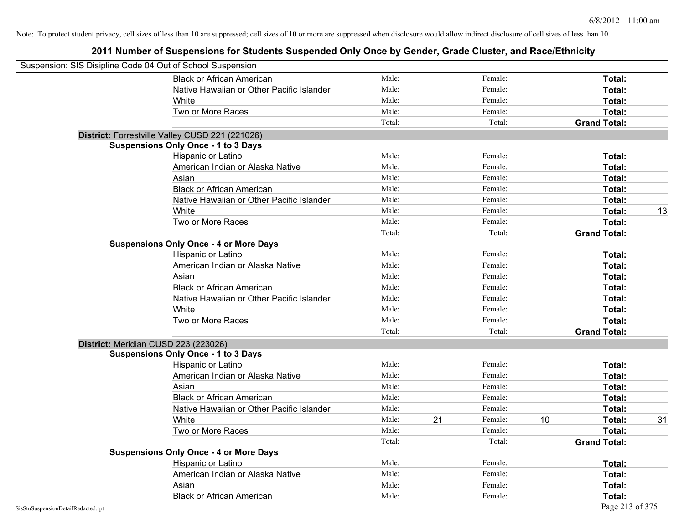| Suspension: SIS Disipline Code 04 Out of School Suspension |                                                 |        |    |         |    |                     |    |
|------------------------------------------------------------|-------------------------------------------------|--------|----|---------|----|---------------------|----|
|                                                            | <b>Black or African American</b>                | Male:  |    | Female: |    | <b>Total:</b>       |    |
|                                                            | Native Hawaiian or Other Pacific Islander       | Male:  |    | Female: |    | Total:              |    |
|                                                            | White                                           | Male:  |    | Female: |    | Total:              |    |
|                                                            | Two or More Races                               | Male:  |    | Female: |    | Total:              |    |
|                                                            |                                                 | Total: |    | Total:  |    | <b>Grand Total:</b> |    |
|                                                            | District: Forrestville Valley CUSD 221 (221026) |        |    |         |    |                     |    |
|                                                            | <b>Suspensions Only Once - 1 to 3 Days</b>      |        |    |         |    |                     |    |
|                                                            | Hispanic or Latino                              | Male:  |    | Female: |    | Total:              |    |
|                                                            | American Indian or Alaska Native                | Male:  |    | Female: |    | Total:              |    |
|                                                            | Asian                                           | Male:  |    | Female: |    | Total:              |    |
|                                                            | <b>Black or African American</b>                | Male:  |    | Female: |    | Total:              |    |
|                                                            | Native Hawaiian or Other Pacific Islander       | Male:  |    | Female: |    | Total:              |    |
|                                                            | White                                           | Male:  |    | Female: |    | Total:              | 13 |
|                                                            | Two or More Races                               | Male:  |    | Female: |    | Total:              |    |
|                                                            |                                                 | Total: |    | Total:  |    | <b>Grand Total:</b> |    |
|                                                            | <b>Suspensions Only Once - 4 or More Days</b>   |        |    |         |    |                     |    |
|                                                            | Hispanic or Latino                              | Male:  |    | Female: |    | Total:              |    |
|                                                            | American Indian or Alaska Native                | Male:  |    | Female: |    | Total:              |    |
|                                                            | Asian                                           | Male:  |    | Female: |    | Total:              |    |
|                                                            | <b>Black or African American</b>                | Male:  |    | Female: |    | Total:              |    |
|                                                            | Native Hawaiian or Other Pacific Islander       | Male:  |    | Female: |    | Total:              |    |
|                                                            | White                                           | Male:  |    | Female: |    | Total:              |    |
|                                                            | Two or More Races                               | Male:  |    | Female: |    | Total:              |    |
|                                                            |                                                 | Total: |    | Total:  |    | <b>Grand Total:</b> |    |
|                                                            | District: Meridian CUSD 223 (223026)            |        |    |         |    |                     |    |
|                                                            | <b>Suspensions Only Once - 1 to 3 Days</b>      |        |    |         |    |                     |    |
|                                                            | Hispanic or Latino                              | Male:  |    | Female: |    | Total:              |    |
|                                                            | American Indian or Alaska Native                | Male:  |    | Female: |    | Total:              |    |
|                                                            | Asian                                           | Male:  |    | Female: |    | Total:              |    |
|                                                            | <b>Black or African American</b>                | Male:  |    | Female: |    | Total:              |    |
|                                                            | Native Hawaiian or Other Pacific Islander       | Male:  |    | Female: |    | Total:              |    |
|                                                            | White                                           | Male:  | 21 | Female: | 10 | Total:              | 31 |
|                                                            | Two or More Races                               | Male:  |    | Female: |    | Total:              |    |
|                                                            |                                                 | Total: |    | Total:  |    | <b>Grand Total:</b> |    |
|                                                            | <b>Suspensions Only Once - 4 or More Days</b>   |        |    |         |    |                     |    |
|                                                            | Hispanic or Latino                              | Male:  |    | Female: |    | Total:              |    |
|                                                            | American Indian or Alaska Native                | Male:  |    | Female: |    | Total:              |    |
|                                                            | Asian                                           | Male:  |    | Female: |    | Total:              |    |
|                                                            | <b>Black or African American</b>                | Male:  |    | Female: |    | Total:              |    |
| SisStuSuspensionDetailRedacted.rpt                         |                                                 |        |    |         |    | Page 213 of 375     |    |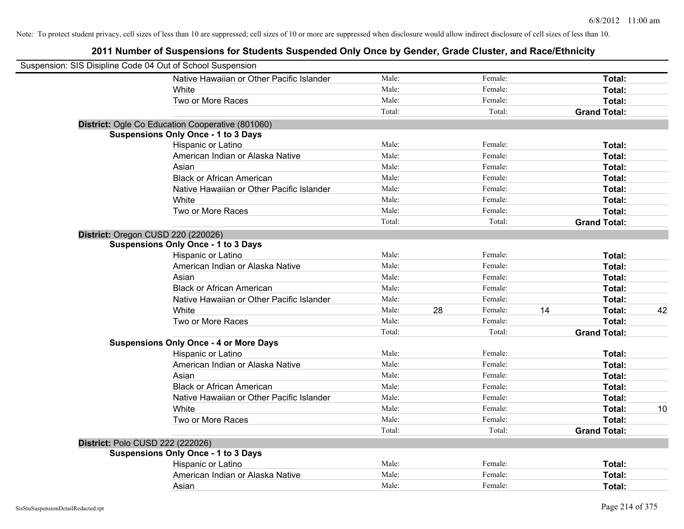| Suspension: SIS Disipline Code 04 Out of School Suspension |                                                  |        |    |         |    |                     |    |
|------------------------------------------------------------|--------------------------------------------------|--------|----|---------|----|---------------------|----|
|                                                            | Native Hawaiian or Other Pacific Islander        | Male:  |    | Female: |    | Total:              |    |
|                                                            | White                                            | Male:  |    | Female: |    | Total:              |    |
|                                                            | Two or More Races                                | Male:  |    | Female: |    | Total:              |    |
|                                                            |                                                  | Total: |    | Total:  |    | <b>Grand Total:</b> |    |
|                                                            | District: Ogle Co Education Cooperative (801060) |        |    |         |    |                     |    |
|                                                            | <b>Suspensions Only Once - 1 to 3 Days</b>       |        |    |         |    |                     |    |
|                                                            | Hispanic or Latino                               | Male:  |    | Female: |    | Total:              |    |
|                                                            | American Indian or Alaska Native                 | Male:  |    | Female: |    | Total:              |    |
|                                                            | Asian                                            | Male:  |    | Female: |    | Total:              |    |
|                                                            | <b>Black or African American</b>                 | Male:  |    | Female: |    | Total:              |    |
|                                                            | Native Hawaiian or Other Pacific Islander        | Male:  |    | Female: |    | Total:              |    |
|                                                            | White                                            | Male:  |    | Female: |    | Total:              |    |
|                                                            | Two or More Races                                | Male:  |    | Female: |    | Total:              |    |
|                                                            |                                                  | Total: |    | Total:  |    | <b>Grand Total:</b> |    |
| District: Oregon CUSD 220 (220026)                         |                                                  |        |    |         |    |                     |    |
|                                                            | <b>Suspensions Only Once - 1 to 3 Days</b>       |        |    |         |    |                     |    |
|                                                            | Hispanic or Latino                               | Male:  |    | Female: |    | Total:              |    |
|                                                            | American Indian or Alaska Native                 | Male:  |    | Female: |    | Total:              |    |
|                                                            | Asian                                            | Male:  |    | Female: |    | Total:              |    |
|                                                            | <b>Black or African American</b>                 | Male:  |    | Female: |    | Total:              |    |
|                                                            | Native Hawaiian or Other Pacific Islander        | Male:  |    | Female: |    | Total:              |    |
|                                                            | White                                            | Male:  | 28 | Female: | 14 | Total:              | 42 |
|                                                            | Two or More Races                                | Male:  |    | Female: |    | Total:              |    |
|                                                            |                                                  | Total: |    | Total:  |    | <b>Grand Total:</b> |    |
|                                                            | <b>Suspensions Only Once - 4 or More Days</b>    |        |    |         |    |                     |    |
|                                                            | Hispanic or Latino                               | Male:  |    | Female: |    | Total:              |    |
|                                                            | American Indian or Alaska Native                 | Male:  |    | Female: |    | Total:              |    |
|                                                            | Asian                                            | Male:  |    | Female: |    | Total:              |    |
|                                                            | <b>Black or African American</b>                 | Male:  |    | Female: |    | Total:              |    |
|                                                            | Native Hawaiian or Other Pacific Islander        | Male:  |    | Female: |    | Total:              |    |
|                                                            | White                                            | Male:  |    | Female: |    | Total:              | 10 |
|                                                            | Two or More Races                                | Male:  |    | Female: |    | Total:              |    |
|                                                            |                                                  | Total: |    | Total:  |    | <b>Grand Total:</b> |    |
| District: Polo CUSD 222 (222026)                           |                                                  |        |    |         |    |                     |    |
|                                                            | <b>Suspensions Only Once - 1 to 3 Days</b>       |        |    |         |    |                     |    |
|                                                            | Hispanic or Latino                               | Male:  |    | Female: |    | Total:              |    |
|                                                            | American Indian or Alaska Native                 | Male:  |    | Female: |    | <b>Total:</b>       |    |
|                                                            | Asian                                            | Male:  |    | Female: |    | Total:              |    |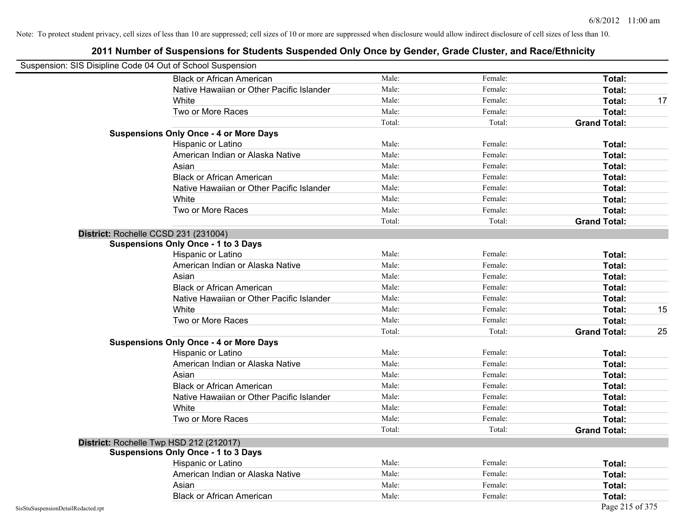| Suspension: SIS Disipline Code 04 Out of School Suspension |                                               |        |         |                     |    |
|------------------------------------------------------------|-----------------------------------------------|--------|---------|---------------------|----|
|                                                            | <b>Black or African American</b>              | Male:  | Female: | Total:              |    |
|                                                            | Native Hawaiian or Other Pacific Islander     | Male:  | Female: | Total:              |    |
|                                                            | White                                         | Male:  | Female: | Total:              | 17 |
|                                                            | Two or More Races                             | Male:  | Female: | Total:              |    |
|                                                            |                                               | Total: | Total:  | <b>Grand Total:</b> |    |
|                                                            | <b>Suspensions Only Once - 4 or More Days</b> |        |         |                     |    |
|                                                            | Hispanic or Latino                            | Male:  | Female: | Total:              |    |
|                                                            | American Indian or Alaska Native              | Male:  | Female: | Total:              |    |
|                                                            | Asian                                         | Male:  | Female: | Total:              |    |
|                                                            | <b>Black or African American</b>              | Male:  | Female: | Total:              |    |
|                                                            | Native Hawaiian or Other Pacific Islander     | Male:  | Female: | Total:              |    |
|                                                            | White                                         | Male:  | Female: | Total:              |    |
|                                                            | Two or More Races                             | Male:  | Female: | Total:              |    |
|                                                            |                                               | Total: | Total:  | <b>Grand Total:</b> |    |
|                                                            | District: Rochelle CCSD 231 (231004)          |        |         |                     |    |
|                                                            | <b>Suspensions Only Once - 1 to 3 Days</b>    |        |         |                     |    |
|                                                            | Hispanic or Latino                            | Male:  | Female: | Total:              |    |
|                                                            | American Indian or Alaska Native              | Male:  | Female: | Total:              |    |
|                                                            | Asian                                         | Male:  | Female: | Total:              |    |
|                                                            | <b>Black or African American</b>              | Male:  | Female: | Total:              |    |
|                                                            | Native Hawaiian or Other Pacific Islander     | Male:  | Female: | Total:              |    |
|                                                            | White                                         | Male:  | Female: | Total:              | 15 |
|                                                            | Two or More Races                             | Male:  | Female: | Total:              |    |
|                                                            |                                               | Total: | Total:  | <b>Grand Total:</b> | 25 |
|                                                            | <b>Suspensions Only Once - 4 or More Days</b> |        |         |                     |    |
|                                                            | Hispanic or Latino                            | Male:  | Female: | Total:              |    |
|                                                            | American Indian or Alaska Native              | Male:  | Female: | Total:              |    |
|                                                            | Asian                                         | Male:  | Female: | Total:              |    |
|                                                            | <b>Black or African American</b>              | Male:  | Female: | Total:              |    |
|                                                            | Native Hawaiian or Other Pacific Islander     | Male:  | Female: | Total:              |    |
|                                                            | White                                         | Male:  | Female: | Total:              |    |
|                                                            | Two or More Races                             | Male:  | Female: | Total:              |    |
|                                                            |                                               | Total: | Total:  | <b>Grand Total:</b> |    |
|                                                            | District: Rochelle Twp HSD 212 (212017)       |        |         |                     |    |
|                                                            | <b>Suspensions Only Once - 1 to 3 Days</b>    |        |         |                     |    |
|                                                            | Hispanic or Latino                            | Male:  | Female: | Total:              |    |
|                                                            | American Indian or Alaska Native              | Male:  | Female: | Total:              |    |
|                                                            | Asian                                         | Male:  | Female: | Total:              |    |
|                                                            | <b>Black or African American</b>              | Male:  | Female: | Total:              |    |
| SisStuSuspensionDetailRedacted.rpt                         |                                               |        |         | Page 215 of 375     |    |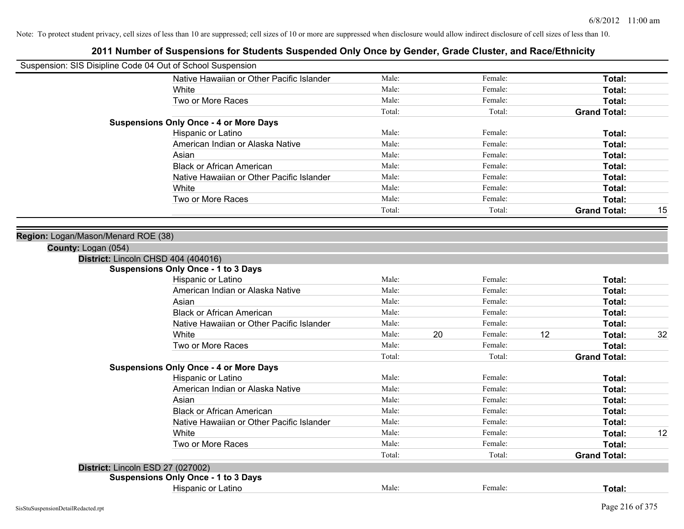| Suspension: SIS Disipline Code 04 Out of School Suspension |                                               |        |    |         |    |                     |    |
|------------------------------------------------------------|-----------------------------------------------|--------|----|---------|----|---------------------|----|
|                                                            | Native Hawaiian or Other Pacific Islander     | Male:  |    | Female: |    | Total:              |    |
|                                                            | White                                         | Male:  |    | Female: |    | Total:              |    |
|                                                            | Two or More Races                             | Male:  |    | Female: |    | Total:              |    |
|                                                            |                                               | Total: |    | Total:  |    | <b>Grand Total:</b> |    |
|                                                            | <b>Suspensions Only Once - 4 or More Days</b> |        |    |         |    |                     |    |
|                                                            | Hispanic or Latino                            | Male:  |    | Female: |    | Total:              |    |
|                                                            | American Indian or Alaska Native              | Male:  |    | Female: |    | Total:              |    |
|                                                            | Asian                                         | Male:  |    | Female: |    | Total:              |    |
|                                                            | <b>Black or African American</b>              | Male:  |    | Female: |    | Total:              |    |
|                                                            | Native Hawaiian or Other Pacific Islander     | Male:  |    | Female: |    | Total:              |    |
|                                                            | White                                         | Male:  |    | Female: |    | Total:              |    |
|                                                            | Two or More Races                             | Male:  |    | Female: |    | Total:              |    |
|                                                            |                                               | Total: |    | Total:  |    | <b>Grand Total:</b> | 15 |
| Region: Logan/Mason/Menard ROE (38)<br>County: Logan (054) |                                               |        |    |         |    |                     |    |
|                                                            | District: Lincoln CHSD 404 (404016)           |        |    |         |    |                     |    |
|                                                            | <b>Suspensions Only Once - 1 to 3 Days</b>    |        |    |         |    |                     |    |
|                                                            | Hispanic or Latino                            | Male:  |    | Female: |    | Total:              |    |
|                                                            | American Indian or Alaska Native              | Male:  |    | Female: |    | Total:              |    |
|                                                            | Asian                                         | Male:  |    | Female: |    | Total:              |    |
|                                                            | <b>Black or African American</b>              | Male:  |    | Female: |    | Total:              |    |
|                                                            | Native Hawaiian or Other Pacific Islander     | Male:  |    | Female: |    | Total:              |    |
|                                                            | White                                         | Male:  | 20 | Female: | 12 | Total:              | 32 |
|                                                            | Two or More Races                             | Male:  |    | Female: |    | Total:              |    |
|                                                            |                                               | Total: |    | Total:  |    | <b>Grand Total:</b> |    |
|                                                            | <b>Suspensions Only Once - 4 or More Days</b> |        |    |         |    |                     |    |
|                                                            | Hispanic or Latino                            | Male:  |    | Female: |    | Total:              |    |
|                                                            | American Indian or Alaska Native              | Male:  |    | Female: |    | Total:              |    |
|                                                            | Asian                                         | Male:  |    | Female: |    | Total:              |    |
|                                                            | <b>Black or African American</b>              | Male:  |    | Female: |    | Total:              |    |
|                                                            | Native Hawaiian or Other Pacific Islander     | Male:  |    | Female: |    | Total:              |    |
|                                                            | White                                         | Male:  |    | Female: |    | Total:              | 12 |
|                                                            | Two or More Races                             | Male:  |    | Female: |    | Total:              |    |
|                                                            |                                               | Total: |    | Total:  |    | <b>Grand Total:</b> |    |
|                                                            | District: Lincoln ESD 27 (027002)             |        |    |         |    |                     |    |
|                                                            | <b>Suspensions Only Once - 1 to 3 Days</b>    |        |    |         |    |                     |    |
|                                                            | Hispanic or Latino                            | Male:  |    | Female: |    | Total:              |    |
|                                                            |                                               |        |    |         |    |                     |    |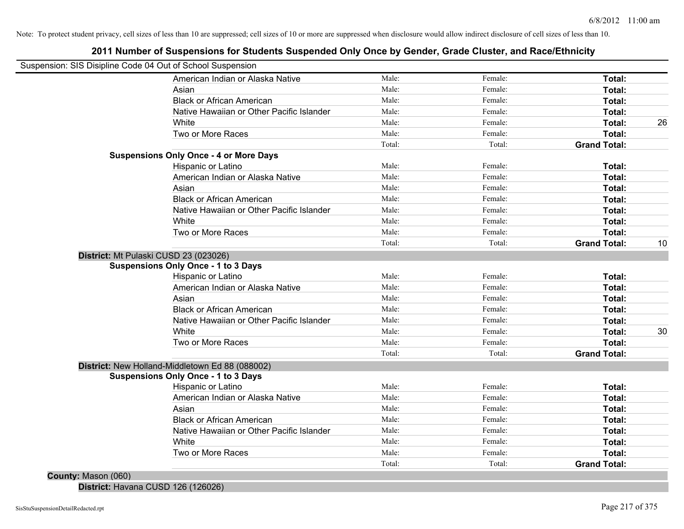# **2011 Number of Suspensions for Students Suspended Only Once by Gender, Grade Cluster, and Race/Ethnicity**

| Suspension: SIS Disipline Code 04 Out of School Suspension |                                                 |        |         |                     |    |
|------------------------------------------------------------|-------------------------------------------------|--------|---------|---------------------|----|
|                                                            | American Indian or Alaska Native                | Male:  | Female: | Total:              |    |
|                                                            | Asian                                           | Male:  | Female: | Total:              |    |
|                                                            | <b>Black or African American</b>                | Male:  | Female: | Total:              |    |
|                                                            | Native Hawaiian or Other Pacific Islander       | Male:  | Female: | Total:              |    |
|                                                            | White                                           | Male:  | Female: | Total:              | 26 |
|                                                            | Two or More Races                               | Male:  | Female: | Total:              |    |
|                                                            |                                                 | Total: | Total:  | <b>Grand Total:</b> |    |
|                                                            | <b>Suspensions Only Once - 4 or More Days</b>   |        |         |                     |    |
|                                                            | Hispanic or Latino                              | Male:  | Female: | Total:              |    |
|                                                            | American Indian or Alaska Native                | Male:  | Female: | Total:              |    |
|                                                            | Asian                                           | Male:  | Female: | Total:              |    |
|                                                            | <b>Black or African American</b>                | Male:  | Female: | Total:              |    |
|                                                            | Native Hawaiian or Other Pacific Islander       | Male:  | Female: | Total:              |    |
|                                                            | White                                           | Male:  | Female: | Total:              |    |
|                                                            | Two or More Races                               | Male:  | Female: | Total:              |    |
|                                                            |                                                 | Total: | Total:  | <b>Grand Total:</b> | 10 |
|                                                            | District: Mt Pulaski CUSD 23 (023026)           |        |         |                     |    |
|                                                            | <b>Suspensions Only Once - 1 to 3 Days</b>      |        |         |                     |    |
|                                                            | Hispanic or Latino                              | Male:  | Female: | Total:              |    |
|                                                            | American Indian or Alaska Native                | Male:  | Female: | Total:              |    |
|                                                            | Asian                                           | Male:  | Female: | Total:              |    |
|                                                            | <b>Black or African American</b>                | Male:  | Female: | Total:              |    |
|                                                            | Native Hawaiian or Other Pacific Islander       | Male:  | Female: | Total:              |    |
|                                                            | White                                           | Male:  | Female: | Total:              | 30 |
|                                                            | Two or More Races                               | Male:  | Female: | Total:              |    |
|                                                            |                                                 | Total: | Total:  | <b>Grand Total:</b> |    |
|                                                            | District: New Holland-Middletown Ed 88 (088002) |        |         |                     |    |
|                                                            | <b>Suspensions Only Once - 1 to 3 Days</b>      |        |         |                     |    |
|                                                            | Hispanic or Latino                              | Male:  | Female: | Total:              |    |
|                                                            | American Indian or Alaska Native                | Male:  | Female: | Total:              |    |
|                                                            | Asian                                           | Male:  | Female: | Total:              |    |
|                                                            | <b>Black or African American</b>                | Male:  | Female: | Total:              |    |
|                                                            | Native Hawaiian or Other Pacific Islander       | Male:  | Female: | Total:              |    |
|                                                            | White                                           | Male:  | Female: | Total:              |    |
|                                                            | Two or More Races                               | Male:  | Female: | Total:              |    |
|                                                            |                                                 |        |         |                     |    |
|                                                            |                                                 | Total: | Total:  | <b>Grand Total:</b> |    |

**District:** Havana CUSD 126 (126026)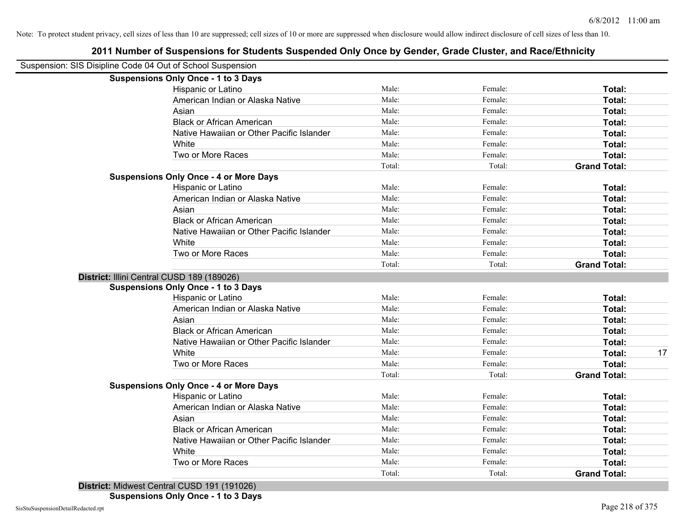# **2011 Number of Suspensions for Students Suspended Only Once by Gender, Grade Cluster, and Race/Ethnicity**

| Suspension: SIS Disipline Code 04 Out of School Suspension |        |         |                     |    |
|------------------------------------------------------------|--------|---------|---------------------|----|
| <b>Suspensions Only Once - 1 to 3 Days</b>                 |        |         |                     |    |
| Hispanic or Latino                                         | Male:  | Female: | Total:              |    |
| American Indian or Alaska Native                           | Male:  | Female: | Total:              |    |
| Asian                                                      | Male:  | Female: | Total:              |    |
| <b>Black or African American</b>                           | Male:  | Female: | Total:              |    |
| Native Hawaiian or Other Pacific Islander                  | Male:  | Female: | Total:              |    |
| White                                                      | Male:  | Female: | Total:              |    |
| Two or More Races                                          | Male:  | Female: | Total:              |    |
|                                                            | Total: | Total:  | <b>Grand Total:</b> |    |
| <b>Suspensions Only Once - 4 or More Days</b>              |        |         |                     |    |
| Hispanic or Latino                                         | Male:  | Female: | Total:              |    |
| American Indian or Alaska Native                           | Male:  | Female: | Total:              |    |
| Asian                                                      | Male:  | Female: | Total:              |    |
| <b>Black or African American</b>                           | Male:  | Female: | Total:              |    |
| Native Hawaiian or Other Pacific Islander                  | Male:  | Female: | Total:              |    |
| White                                                      | Male:  | Female: | Total:              |    |
| Two or More Races                                          | Male:  | Female: | Total:              |    |
|                                                            | Total: | Total:  | <b>Grand Total:</b> |    |
| District: Illini Central CUSD 189 (189026)                 |        |         |                     |    |
| <b>Suspensions Only Once - 1 to 3 Days</b>                 |        |         |                     |    |
| Hispanic or Latino                                         | Male:  | Female: | Total:              |    |
| American Indian or Alaska Native                           | Male:  | Female: | Total:              |    |
| Asian                                                      | Male:  | Female: | Total:              |    |
| <b>Black or African American</b>                           | Male:  | Female: | Total:              |    |
| Native Hawaiian or Other Pacific Islander                  | Male:  | Female: | Total:              |    |
| White                                                      | Male:  | Female: | Total:              | 17 |
| Two or More Races                                          | Male:  | Female: | Total:              |    |
|                                                            | Total: | Total:  | <b>Grand Total:</b> |    |
| <b>Suspensions Only Once - 4 or More Days</b>              |        |         |                     |    |
| Hispanic or Latino                                         | Male:  | Female: | Total:              |    |
| American Indian or Alaska Native                           | Male:  | Female: | Total:              |    |
| Asian                                                      | Male:  | Female: | Total:              |    |
| <b>Black or African American</b>                           | Male:  | Female: | Total:              |    |
| Native Hawaiian or Other Pacific Islander                  | Male:  | Female: | Total:              |    |
| White                                                      | Male:  | Female: | Total:              |    |
| Two or More Races                                          | Male:  | Female: | Total:              |    |
|                                                            | Total: | Total:  | <b>Grand Total:</b> |    |
|                                                            |        |         |                     |    |

**District:** Midwest Central CUSD 191 (191026) **Suspensions Only Once - 1 to 3 Days**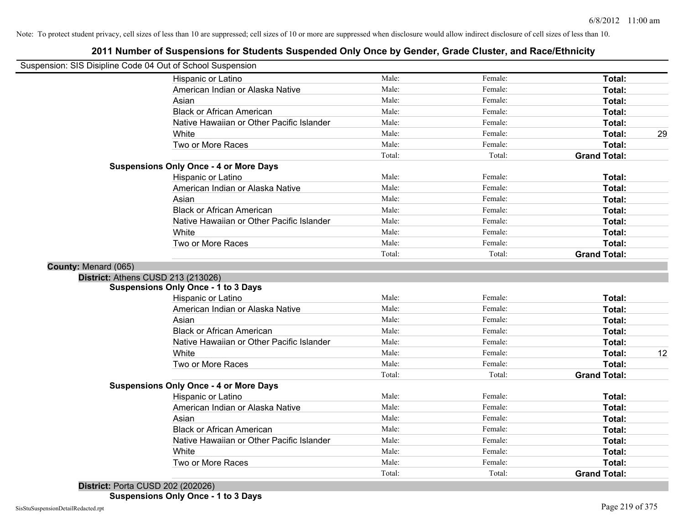# **2011 Number of Suspensions for Students Suspended Only Once by Gender, Grade Cluster, and Race/Ethnicity**

| Suspension: SIS Disipline Code 04 Out of School Suspension |                                               |        |         |                     |    |
|------------------------------------------------------------|-----------------------------------------------|--------|---------|---------------------|----|
|                                                            | Hispanic or Latino                            | Male:  | Female: | Total:              |    |
|                                                            | American Indian or Alaska Native              | Male:  | Female: | Total:              |    |
|                                                            | Asian                                         | Male:  | Female: | Total:              |    |
|                                                            | <b>Black or African American</b>              | Male:  | Female: | Total:              |    |
|                                                            | Native Hawaiian or Other Pacific Islander     | Male:  | Female: | Total:              |    |
|                                                            | White                                         | Male:  | Female: | Total:              | 29 |
|                                                            | Two or More Races                             | Male:  | Female: | Total:              |    |
|                                                            |                                               | Total: | Total:  | <b>Grand Total:</b> |    |
|                                                            | <b>Suspensions Only Once - 4 or More Days</b> |        |         |                     |    |
|                                                            | Hispanic or Latino                            | Male:  | Female: | Total:              |    |
|                                                            | American Indian or Alaska Native              | Male:  | Female: | Total:              |    |
|                                                            | Asian                                         | Male:  | Female: | Total:              |    |
|                                                            | <b>Black or African American</b>              | Male:  | Female: | Total:              |    |
|                                                            | Native Hawaiian or Other Pacific Islander     | Male:  | Female: | Total:              |    |
|                                                            | White                                         | Male:  | Female: | Total:              |    |
|                                                            | Two or More Races                             | Male:  | Female: | Total:              |    |
|                                                            |                                               | Total: | Total:  | <b>Grand Total:</b> |    |
| County: Menard (065)                                       |                                               |        |         |                     |    |
|                                                            | District: Athens CUSD 213 (213026)            |        |         |                     |    |
|                                                            | <b>Suspensions Only Once - 1 to 3 Days</b>    |        |         |                     |    |
|                                                            | Hispanic or Latino                            | Male:  | Female: | Total:              |    |
|                                                            | American Indian or Alaska Native              | Male:  | Female: | Total:              |    |
|                                                            | Asian                                         | Male:  | Female: | Total:              |    |
|                                                            | <b>Black or African American</b>              | Male:  | Female: | Total:              |    |
|                                                            | Native Hawaiian or Other Pacific Islander     | Male:  | Female: | Total:              |    |
|                                                            | White                                         | Male:  | Female: | Total:              | 12 |
|                                                            | Two or More Races                             | Male:  | Female: | Total:              |    |
|                                                            |                                               | Total: | Total:  | <b>Grand Total:</b> |    |
|                                                            | <b>Suspensions Only Once - 4 or More Days</b> |        |         |                     |    |
|                                                            | Hispanic or Latino                            | Male:  | Female: | Total:              |    |
|                                                            | American Indian or Alaska Native              | Male:  | Female: | Total:              |    |
|                                                            | Asian                                         | Male:  | Female: | Total:              |    |
|                                                            | <b>Black or African American</b>              | Male:  | Female: | Total:              |    |
|                                                            | Native Hawaiian or Other Pacific Islander     | Male:  | Female: | Total:              |    |
|                                                            | White                                         | Male:  | Female: | Total:              |    |
|                                                            | Two or More Races                             | Male:  | Female: | Total:              |    |
|                                                            |                                               | Total: | Total:  | <b>Grand Total:</b> |    |

**District:** Porta CUSD 202 (202026)

**Suspensions Only Once - 1 to 3 Days**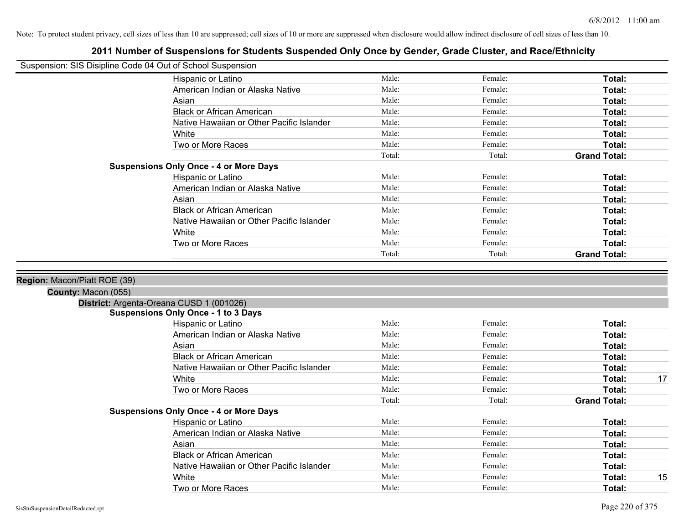|                              | Suspension: SIS Disipline Code 04 Out of School Suspension |        |         |                     |
|------------------------------|------------------------------------------------------------|--------|---------|---------------------|
|                              | Hispanic or Latino                                         | Male:  | Female: | Total:              |
|                              | American Indian or Alaska Native                           | Male:  | Female: | Total:              |
|                              | Asian                                                      | Male:  | Female: | Total:              |
|                              | <b>Black or African American</b>                           | Male:  | Female: | Total:              |
|                              | Native Hawaiian or Other Pacific Islander                  | Male:  | Female: | Total:              |
|                              | White                                                      | Male:  | Female: | Total:              |
|                              | Two or More Races                                          | Male:  | Female: | Total:              |
|                              |                                                            | Total: | Total:  | <b>Grand Total:</b> |
|                              | <b>Suspensions Only Once - 4 or More Days</b>              |        |         |                     |
|                              | Hispanic or Latino                                         | Male:  | Female: | Total:              |
|                              | American Indian or Alaska Native                           | Male:  | Female: | Total:              |
|                              | Asian                                                      | Male:  | Female: | Total:              |
|                              | <b>Black or African American</b>                           | Male:  | Female: | Total:              |
|                              | Native Hawaiian or Other Pacific Islander                  | Male:  | Female: | Total:              |
|                              | White                                                      | Male:  | Female: | Total:              |
|                              | Two or More Races                                          | Male:  | Female: | Total:              |
|                              |                                                            | Total: | Total:  | <b>Grand Total:</b> |
| Region: Macon/Piatt ROE (39) |                                                            |        |         |                     |
| County: Macon (055)          |                                                            |        |         |                     |
|                              | District: Argenta-Oreana CUSD 1 (001026)                   |        |         |                     |
|                              | <b>Suspensions Only Once - 1 to 3 Days</b>                 |        |         |                     |
|                              | Hispanic or Latino                                         | Male:  | Female: | Total:              |
|                              | American Indian or Alaska Native                           | Male:  | Female: | Total:              |
|                              | Asian                                                      | Male:  | Female: | Total:              |
|                              | <b>Black or African American</b>                           | Male:  | Female: | Total:              |
|                              | Native Hawaiian or Other Pacific Islander                  | Male:  | Female: | Total:              |
|                              | White                                                      | Male:  | Female: | Total:<br>17        |
|                              | Two or More Races                                          | Male:  | Female: | Total:              |
|                              |                                                            | Total: | Total:  | <b>Grand Total:</b> |
|                              | <b>Suspensions Only Once - 4 or More Days</b>              |        |         |                     |
|                              | Hispanic or Latino                                         | Male:  | Female: | Total:              |
|                              | American Indian or Alaska Native                           | Male:  | Female: | Total:              |
|                              | Asian                                                      | Male:  | Female: | Total:              |
|                              | <b>Black or African American</b>                           | Male:  | Female: | Total:              |
|                              | Native Hawaiian or Other Pacific Islander                  | Male:  | Female: | Total:              |
|                              | White                                                      | Male:  | Female: | Total:<br>15        |
|                              | Two or More Races                                          | Male:  | Female: | Total:              |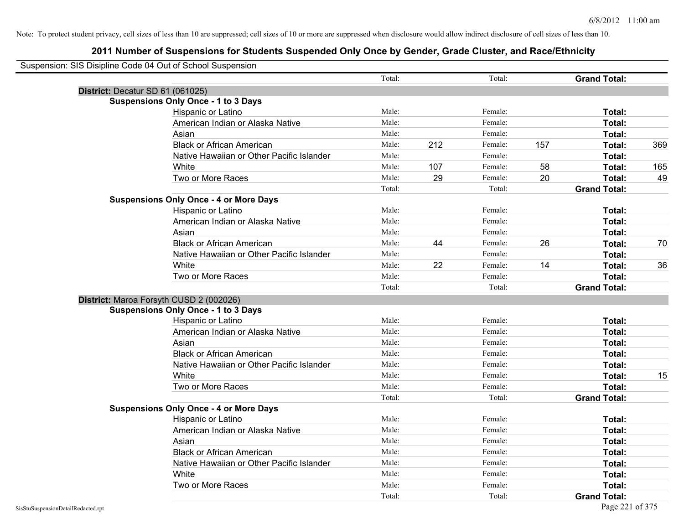| Suspension: SIS Disipline Code 04 Out of School Suspension |                                               |        |     |         |     |                     |     |
|------------------------------------------------------------|-----------------------------------------------|--------|-----|---------|-----|---------------------|-----|
|                                                            |                                               | Total: |     | Total:  |     | <b>Grand Total:</b> |     |
| District: Decatur SD 61 (061025)                           |                                               |        |     |         |     |                     |     |
|                                                            | <b>Suspensions Only Once - 1 to 3 Days</b>    |        |     |         |     |                     |     |
|                                                            | Hispanic or Latino                            | Male:  |     | Female: |     | Total:              |     |
|                                                            | American Indian or Alaska Native              | Male:  |     | Female: |     | Total:              |     |
|                                                            | Asian                                         | Male:  |     | Female: |     | Total:              |     |
|                                                            | <b>Black or African American</b>              | Male:  | 212 | Female: | 157 | Total:              | 369 |
|                                                            | Native Hawaiian or Other Pacific Islander     | Male:  |     | Female: |     | Total:              |     |
|                                                            | White                                         | Male:  | 107 | Female: | 58  | Total:              | 165 |
|                                                            | Two or More Races                             | Male:  | 29  | Female: | 20  | Total:              | 49  |
|                                                            |                                               | Total: |     | Total:  |     | <b>Grand Total:</b> |     |
|                                                            | <b>Suspensions Only Once - 4 or More Days</b> |        |     |         |     |                     |     |
|                                                            | Hispanic or Latino                            | Male:  |     | Female: |     | Total:              |     |
|                                                            | American Indian or Alaska Native              | Male:  |     | Female: |     | Total:              |     |
|                                                            | Asian                                         | Male:  |     | Female: |     | Total:              |     |
|                                                            | <b>Black or African American</b>              | Male:  | 44  | Female: | 26  | Total:              | 70  |
|                                                            | Native Hawaiian or Other Pacific Islander     | Male:  |     | Female: |     | Total:              |     |
|                                                            | White                                         | Male:  | 22  | Female: | 14  | Total:              | 36  |
|                                                            | Two or More Races                             | Male:  |     | Female: |     | Total:              |     |
|                                                            |                                               | Total: |     | Total:  |     | <b>Grand Total:</b> |     |
| District: Maroa Forsyth CUSD 2 (002026)                    |                                               |        |     |         |     |                     |     |
|                                                            | <b>Suspensions Only Once - 1 to 3 Days</b>    |        |     |         |     |                     |     |
|                                                            | Hispanic or Latino                            | Male:  |     | Female: |     | Total:              |     |
|                                                            | American Indian or Alaska Native              | Male:  |     | Female: |     | Total:              |     |
|                                                            | Asian                                         | Male:  |     | Female: |     | Total:              |     |
|                                                            | <b>Black or African American</b>              | Male:  |     | Female: |     | Total:              |     |
|                                                            | Native Hawaiian or Other Pacific Islander     | Male:  |     | Female: |     | Total:              |     |
|                                                            | White                                         | Male:  |     | Female: |     | Total:              | 15  |
|                                                            | Two or More Races                             | Male:  |     | Female: |     | Total:              |     |
|                                                            |                                               | Total: |     | Total:  |     | <b>Grand Total:</b> |     |
|                                                            | <b>Suspensions Only Once - 4 or More Days</b> |        |     |         |     |                     |     |
|                                                            | Hispanic or Latino                            | Male:  |     | Female: |     | Total:              |     |
|                                                            | American Indian or Alaska Native              | Male:  |     | Female: |     | Total:              |     |
|                                                            | Asian                                         | Male:  |     | Female: |     | Total:              |     |
|                                                            | <b>Black or African American</b>              | Male:  |     | Female: |     | Total:              |     |
|                                                            | Native Hawaiian or Other Pacific Islander     | Male:  |     | Female: |     | Total:              |     |
|                                                            | White                                         | Male:  |     | Female: |     | Total:              |     |
|                                                            | Two or More Races                             | Male:  |     | Female: |     | <b>Total:</b>       |     |
|                                                            |                                               | Total: |     | Total:  |     | <b>Grand Total:</b> |     |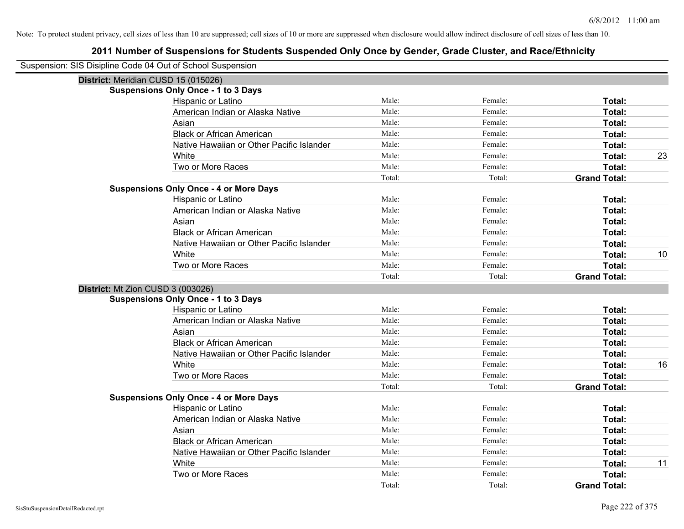| Suspension: SIS Disipline Code 04 Out of School Suspension |                                               |        |         |                     |    |
|------------------------------------------------------------|-----------------------------------------------|--------|---------|---------------------|----|
| District: Meridian CUSD 15 (015026)                        |                                               |        |         |                     |    |
|                                                            | <b>Suspensions Only Once - 1 to 3 Days</b>    |        |         |                     |    |
|                                                            | Hispanic or Latino                            | Male:  | Female: | Total:              |    |
|                                                            | American Indian or Alaska Native              | Male:  | Female: | Total:              |    |
|                                                            | Asian                                         | Male:  | Female: | Total:              |    |
|                                                            | <b>Black or African American</b>              | Male:  | Female: | Total:              |    |
|                                                            | Native Hawaiian or Other Pacific Islander     | Male:  | Female: | Total:              |    |
|                                                            | White                                         | Male:  | Female: | Total:              | 23 |
|                                                            | Two or More Races                             | Male:  | Female: | Total:              |    |
|                                                            |                                               | Total: | Total:  | <b>Grand Total:</b> |    |
|                                                            | <b>Suspensions Only Once - 4 or More Days</b> |        |         |                     |    |
|                                                            | Hispanic or Latino                            | Male:  | Female: | Total:              |    |
|                                                            | American Indian or Alaska Native              | Male:  | Female: | Total:              |    |
|                                                            | Asian                                         | Male:  | Female: | Total:              |    |
|                                                            | <b>Black or African American</b>              | Male:  | Female: | Total:              |    |
|                                                            | Native Hawaiian or Other Pacific Islander     | Male:  | Female: | Total:              |    |
|                                                            | White                                         | Male:  | Female: | Total:              | 10 |
|                                                            | Two or More Races                             | Male:  | Female: | Total:              |    |
|                                                            |                                               | Total: | Total:  | <b>Grand Total:</b> |    |
| District: Mt Zion CUSD 3 (003026)                          |                                               |        |         |                     |    |
|                                                            | <b>Suspensions Only Once - 1 to 3 Days</b>    |        |         |                     |    |
|                                                            | Hispanic or Latino                            | Male:  | Female: | Total:              |    |
|                                                            | American Indian or Alaska Native              | Male:  | Female: | Total:              |    |
|                                                            | Asian                                         | Male:  | Female: | Total:              |    |
|                                                            | <b>Black or African American</b>              | Male:  | Female: | Total:              |    |
|                                                            | Native Hawaiian or Other Pacific Islander     | Male:  | Female: | Total:              |    |
|                                                            | White                                         | Male:  | Female: | Total:              | 16 |
|                                                            | Two or More Races                             | Male:  | Female: | Total:              |    |
|                                                            |                                               | Total: | Total:  | <b>Grand Total:</b> |    |
|                                                            | <b>Suspensions Only Once - 4 or More Days</b> |        |         |                     |    |
|                                                            | Hispanic or Latino                            | Male:  | Female: | Total:              |    |
|                                                            | American Indian or Alaska Native              | Male:  | Female: | Total:              |    |
|                                                            | Asian                                         | Male:  | Female: | Total:              |    |
|                                                            | <b>Black or African American</b>              | Male:  | Female: | Total:              |    |
|                                                            | Native Hawaiian or Other Pacific Islander     | Male:  | Female: | Total:              |    |
|                                                            | White                                         | Male:  | Female: | Total:              | 11 |
|                                                            | Two or More Races                             | Male:  | Female: | Total:              |    |
|                                                            |                                               | Total: | Total:  | <b>Grand Total:</b> |    |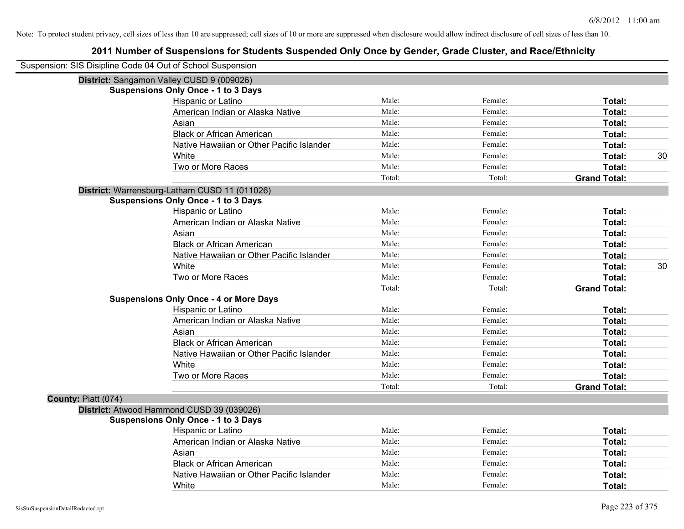| Suspension: SIS Disipline Code 04 Out of School Suspension |                                               |        |         |                     |    |
|------------------------------------------------------------|-----------------------------------------------|--------|---------|---------------------|----|
|                                                            | District: Sangamon Valley CUSD 9 (009026)     |        |         |                     |    |
|                                                            | <b>Suspensions Only Once - 1 to 3 Days</b>    |        |         |                     |    |
|                                                            | Hispanic or Latino                            | Male:  | Female: | Total:              |    |
|                                                            | American Indian or Alaska Native              | Male:  | Female: | Total:              |    |
|                                                            | Asian                                         | Male:  | Female: | Total:              |    |
|                                                            | <b>Black or African American</b>              | Male:  | Female: | Total:              |    |
|                                                            | Native Hawaiian or Other Pacific Islander     | Male:  | Female: | Total:              |    |
|                                                            | White                                         | Male:  | Female: | Total:              | 30 |
|                                                            | Two or More Races                             | Male:  | Female: | Total:              |    |
|                                                            |                                               | Total: | Total:  | <b>Grand Total:</b> |    |
|                                                            | District: Warrensburg-Latham CUSD 11 (011026) |        |         |                     |    |
|                                                            | <b>Suspensions Only Once - 1 to 3 Days</b>    |        |         |                     |    |
|                                                            | Hispanic or Latino                            | Male:  | Female: | Total:              |    |
|                                                            | American Indian or Alaska Native              | Male:  | Female: | Total:              |    |
|                                                            | Asian                                         | Male:  | Female: | Total:              |    |
|                                                            | <b>Black or African American</b>              | Male:  | Female: | <b>Total:</b>       |    |
|                                                            | Native Hawaiian or Other Pacific Islander     | Male:  | Female: | Total:              |    |
|                                                            | White                                         | Male:  | Female: | Total:              | 30 |
|                                                            | Two or More Races                             | Male:  | Female: | Total:              |    |
|                                                            |                                               | Total: | Total:  | <b>Grand Total:</b> |    |
|                                                            | <b>Suspensions Only Once - 4 or More Days</b> |        |         |                     |    |
|                                                            | Hispanic or Latino                            | Male:  | Female: | Total:              |    |
|                                                            | American Indian or Alaska Native              | Male:  | Female: | Total:              |    |
|                                                            | Asian                                         | Male:  | Female: | Total:              |    |
|                                                            | <b>Black or African American</b>              | Male:  | Female: | Total:              |    |
|                                                            | Native Hawaiian or Other Pacific Islander     | Male:  | Female: | <b>Total:</b>       |    |
|                                                            | White                                         | Male:  | Female: | Total:              |    |
|                                                            | Two or More Races                             | Male:  | Female: | Total:              |    |
|                                                            |                                               | Total: | Total:  | <b>Grand Total:</b> |    |
| County: Piatt (074)                                        |                                               |        |         |                     |    |
|                                                            | District: Atwood Hammond CUSD 39 (039026)     |        |         |                     |    |
|                                                            | <b>Suspensions Only Once - 1 to 3 Days</b>    |        |         |                     |    |
|                                                            | Hispanic or Latino                            | Male:  | Female: | Total:              |    |
|                                                            | American Indian or Alaska Native              | Male:  | Female: | Total:              |    |
|                                                            | Asian                                         | Male:  | Female: | Total:              |    |
|                                                            | <b>Black or African American</b>              | Male:  | Female: | Total:              |    |
|                                                            | Native Hawaiian or Other Pacific Islander     | Male:  | Female: | <b>Total:</b>       |    |
|                                                            | White                                         | Male:  | Female: | Total:              |    |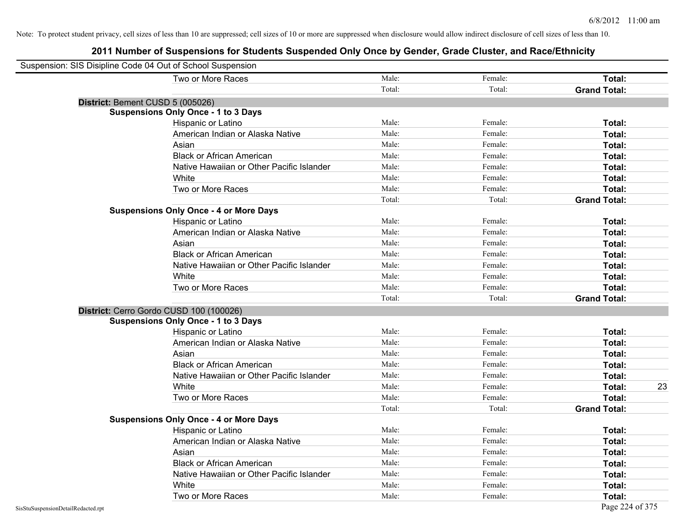| Suspension: SIS Disipline Code 04 Out of School Suspension |                                               |        |         |                     |
|------------------------------------------------------------|-----------------------------------------------|--------|---------|---------------------|
|                                                            | Two or More Races                             | Male:  | Female: | Total:              |
|                                                            |                                               | Total: | Total:  | <b>Grand Total:</b> |
| District: Bement CUSD 5 (005026)                           |                                               |        |         |                     |
|                                                            | <b>Suspensions Only Once - 1 to 3 Days</b>    |        |         |                     |
|                                                            | Hispanic or Latino                            | Male:  | Female: | Total:              |
|                                                            | American Indian or Alaska Native              | Male:  | Female: | Total:              |
|                                                            | Asian                                         | Male:  | Female: | Total:              |
|                                                            | <b>Black or African American</b>              | Male:  | Female: | Total:              |
|                                                            | Native Hawaiian or Other Pacific Islander     | Male:  | Female: | Total:              |
|                                                            | White                                         | Male:  | Female: | Total:              |
|                                                            | Two or More Races                             | Male:  | Female: | Total:              |
|                                                            |                                               | Total: | Total:  | <b>Grand Total:</b> |
|                                                            | <b>Suspensions Only Once - 4 or More Days</b> |        |         |                     |
|                                                            | Hispanic or Latino                            | Male:  | Female: | Total:              |
|                                                            | American Indian or Alaska Native              | Male:  | Female: | Total:              |
|                                                            | Asian                                         | Male:  | Female: | Total:              |
|                                                            | <b>Black or African American</b>              | Male:  | Female: | Total:              |
|                                                            | Native Hawaiian or Other Pacific Islander     | Male:  | Female: | Total:              |
|                                                            | White                                         | Male:  | Female: | Total:              |
|                                                            | Two or More Races                             | Male:  | Female: | Total:              |
|                                                            |                                               | Total: | Total:  | <b>Grand Total:</b> |
|                                                            | District: Cerro Gordo CUSD 100 (100026)       |        |         |                     |
|                                                            | <b>Suspensions Only Once - 1 to 3 Days</b>    |        |         |                     |
|                                                            | Hispanic or Latino                            | Male:  | Female: | Total:              |
|                                                            | American Indian or Alaska Native              | Male:  | Female: | Total:              |
|                                                            | Asian                                         | Male:  | Female: | Total:              |
|                                                            | <b>Black or African American</b>              | Male:  | Female: | Total:              |
|                                                            | Native Hawaiian or Other Pacific Islander     | Male:  | Female: | Total:              |
|                                                            | White                                         | Male:  | Female: | Total:<br>23        |
|                                                            | Two or More Races                             | Male:  | Female: | Total:              |
|                                                            |                                               | Total: | Total:  | <b>Grand Total:</b> |
|                                                            | <b>Suspensions Only Once - 4 or More Days</b> |        |         |                     |
|                                                            | Hispanic or Latino                            | Male:  | Female: | Total:              |
|                                                            | American Indian or Alaska Native              | Male:  | Female: | Total:              |
|                                                            | Asian                                         | Male:  | Female: | Total:              |
|                                                            | <b>Black or African American</b>              | Male:  | Female: | Total:              |
|                                                            | Native Hawaiian or Other Pacific Islander     | Male:  | Female: | Total:              |
|                                                            | White                                         | Male:  | Female: | Total:              |
|                                                            | Two or More Races                             | Male:  | Female: | Total:              |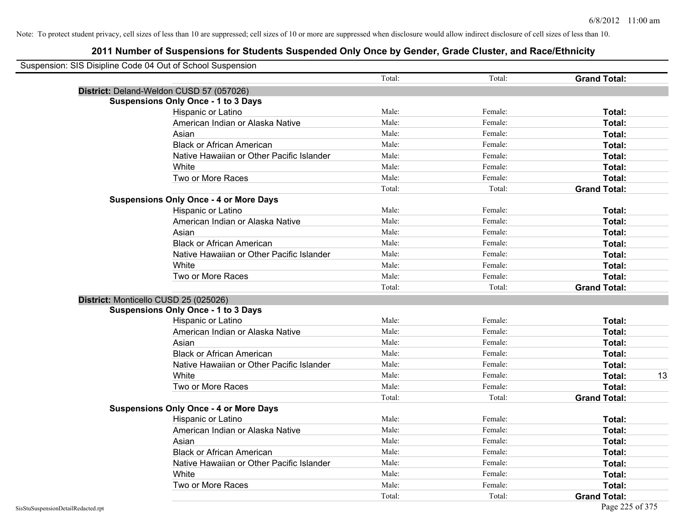| Suspension: SIS Disipline Code 04 Out of School Suspension |                                               |        |         |                     |
|------------------------------------------------------------|-----------------------------------------------|--------|---------|---------------------|
|                                                            |                                               | Total: | Total:  | <b>Grand Total:</b> |
| District: Deland-Weldon CUSD 57 (057026)                   |                                               |        |         |                     |
|                                                            | <b>Suspensions Only Once - 1 to 3 Days</b>    |        |         |                     |
|                                                            | Hispanic or Latino                            | Male:  | Female: | Total:              |
|                                                            | American Indian or Alaska Native              | Male:  | Female: | Total:              |
|                                                            | Asian                                         | Male:  | Female: | Total:              |
|                                                            | <b>Black or African American</b>              | Male:  | Female: | Total:              |
|                                                            | Native Hawaiian or Other Pacific Islander     | Male:  | Female: | Total:              |
|                                                            | White                                         | Male:  | Female: | Total:              |
|                                                            | Two or More Races                             | Male:  | Female: | Total:              |
|                                                            |                                               | Total: | Total:  | <b>Grand Total:</b> |
|                                                            | <b>Suspensions Only Once - 4 or More Days</b> |        |         |                     |
|                                                            | Hispanic or Latino                            | Male:  | Female: | Total:              |
|                                                            | American Indian or Alaska Native              | Male:  | Female: | Total:              |
|                                                            | Asian                                         | Male:  | Female: | Total:              |
|                                                            | <b>Black or African American</b>              | Male:  | Female: | Total:              |
|                                                            | Native Hawaiian or Other Pacific Islander     | Male:  | Female: | Total:              |
|                                                            | White                                         | Male:  | Female: | Total:              |
|                                                            | Two or More Races                             | Male:  | Female: | Total:              |
|                                                            |                                               | Total: | Total:  | <b>Grand Total:</b> |
| District: Monticello CUSD 25 (025026)                      |                                               |        |         |                     |
|                                                            | <b>Suspensions Only Once - 1 to 3 Days</b>    |        |         |                     |
|                                                            | Hispanic or Latino                            | Male:  | Female: | Total:              |
|                                                            | American Indian or Alaska Native              | Male:  | Female: | Total:              |
|                                                            | Asian                                         | Male:  | Female: | Total:              |
|                                                            | <b>Black or African American</b>              | Male:  | Female: | Total:              |
|                                                            | Native Hawaiian or Other Pacific Islander     | Male:  | Female: | Total:              |
|                                                            | White                                         | Male:  | Female: | Total:<br>13        |
|                                                            | Two or More Races                             | Male:  | Female: | Total:              |
|                                                            |                                               | Total: | Total:  | <b>Grand Total:</b> |
|                                                            | <b>Suspensions Only Once - 4 or More Days</b> |        |         |                     |
|                                                            | Hispanic or Latino                            | Male:  | Female: | Total:              |
|                                                            | American Indian or Alaska Native              | Male:  | Female: | Total:              |
|                                                            | Asian                                         | Male:  | Female: | Total:              |
|                                                            | <b>Black or African American</b>              | Male:  | Female: | Total:              |
|                                                            | Native Hawaiian or Other Pacific Islander     | Male:  | Female: | Total:              |
|                                                            | White                                         | Male:  | Female: | Total:              |
|                                                            | Two or More Races                             | Male:  | Female: | Total:              |
|                                                            |                                               | Total: | Total:  | <b>Grand Total:</b> |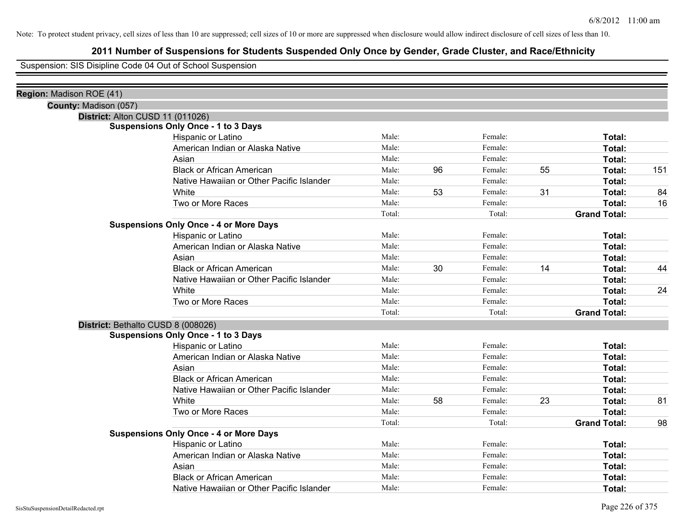# **2011 Number of Suspensions for Students Suspended Only Once by Gender, Grade Cluster, and Race/Ethnicity**

Suspension: SIS Disipline Code 04 Out of School Suspension

| Region: Madison ROE (41) |                                               |        |    |         |    |                     |     |
|--------------------------|-----------------------------------------------|--------|----|---------|----|---------------------|-----|
| County: Madison (057)    |                                               |        |    |         |    |                     |     |
|                          | District: Alton CUSD 11 (011026)              |        |    |         |    |                     |     |
|                          | <b>Suspensions Only Once - 1 to 3 Days</b>    |        |    |         |    |                     |     |
|                          | Hispanic or Latino                            | Male:  |    | Female: |    | Total:              |     |
|                          | American Indian or Alaska Native              | Male:  |    | Female: |    | Total:              |     |
|                          | Asian                                         | Male:  |    | Female: |    | Total:              |     |
|                          | <b>Black or African American</b>              | Male:  | 96 | Female: | 55 | Total:              | 151 |
|                          | Native Hawaiian or Other Pacific Islander     | Male:  |    | Female: |    | Total:              |     |
|                          | White                                         | Male:  | 53 | Female: | 31 | Total:              | 84  |
|                          | Two or More Races                             | Male:  |    | Female: |    | Total:              | 16  |
|                          |                                               | Total: |    | Total:  |    | <b>Grand Total:</b> |     |
|                          | <b>Suspensions Only Once - 4 or More Days</b> |        |    |         |    |                     |     |
|                          | Hispanic or Latino                            | Male:  |    | Female: |    | Total:              |     |
|                          | American Indian or Alaska Native              | Male:  |    | Female: |    | Total:              |     |
|                          | Asian                                         | Male:  |    | Female: |    | Total:              |     |
|                          | <b>Black or African American</b>              | Male:  | 30 | Female: | 14 | Total:              | 44  |
|                          | Native Hawaiian or Other Pacific Islander     | Male:  |    | Female: |    | Total:              |     |
|                          | White                                         | Male:  |    | Female: |    | Total:              | 24  |
|                          | Two or More Races                             | Male:  |    | Female: |    | Total:              |     |
|                          |                                               | Total: |    | Total:  |    | <b>Grand Total:</b> |     |
|                          | District: Bethalto CUSD 8 (008026)            |        |    |         |    |                     |     |
|                          | <b>Suspensions Only Once - 1 to 3 Days</b>    |        |    |         |    |                     |     |
|                          | Hispanic or Latino                            | Male:  |    | Female: |    | Total:              |     |
|                          | American Indian or Alaska Native              | Male:  |    | Female: |    | Total:              |     |
|                          | Asian                                         | Male:  |    | Female: |    | Total:              |     |
|                          | <b>Black or African American</b>              | Male:  |    | Female: |    | Total:              |     |
|                          | Native Hawaiian or Other Pacific Islander     | Male:  |    | Female: |    | Total:              |     |
|                          | White                                         | Male:  | 58 | Female: | 23 | Total:              | 81  |
|                          | Two or More Races                             | Male:  |    | Female: |    | Total:              |     |
|                          |                                               | Total: |    | Total:  |    | <b>Grand Total:</b> | 98  |
|                          | <b>Suspensions Only Once - 4 or More Days</b> |        |    |         |    |                     |     |
|                          | Hispanic or Latino                            | Male:  |    | Female: |    | Total:              |     |
|                          | American Indian or Alaska Native              | Male:  |    | Female: |    | Total:              |     |
|                          | Asian                                         | Male:  |    | Female: |    | Total:              |     |
|                          | <b>Black or African American</b>              | Male:  |    | Female: |    | Total:              |     |
|                          | Native Hawaiian or Other Pacific Islander     | Male:  |    | Female: |    | Total:              |     |
|                          |                                               |        |    |         |    |                     |     |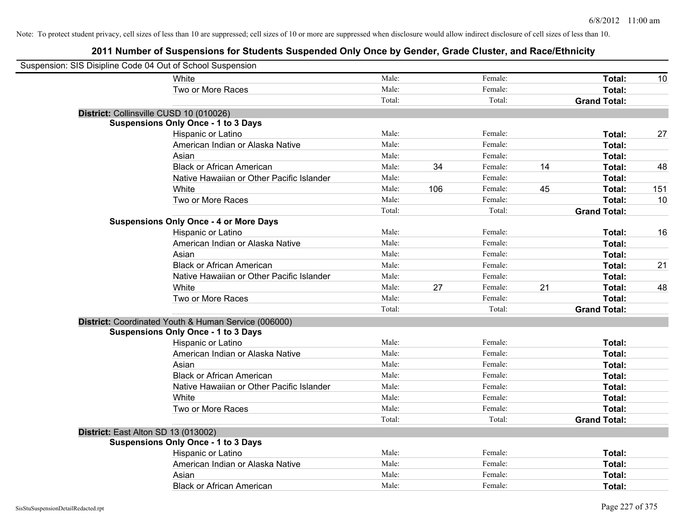| Suspension: SIS Disipline Code 04 Out of School Suspension |                                                      |        |     |         |    |                     |     |
|------------------------------------------------------------|------------------------------------------------------|--------|-----|---------|----|---------------------|-----|
|                                                            | White                                                | Male:  |     | Female: |    | Total:              | 10  |
|                                                            | Two or More Races                                    | Male:  |     | Female: |    | Total:              |     |
|                                                            |                                                      | Total: |     | Total:  |    | <b>Grand Total:</b> |     |
| District: Collinsville CUSD 10 (010026)                    |                                                      |        |     |         |    |                     |     |
|                                                            | <b>Suspensions Only Once - 1 to 3 Days</b>           |        |     |         |    |                     |     |
|                                                            | Hispanic or Latino                                   | Male:  |     | Female: |    | Total:              | 27  |
|                                                            | American Indian or Alaska Native                     | Male:  |     | Female: |    | Total:              |     |
|                                                            | Asian                                                | Male:  |     | Female: |    | Total:              |     |
|                                                            | <b>Black or African American</b>                     | Male:  | 34  | Female: | 14 | Total:              | 48  |
|                                                            | Native Hawaiian or Other Pacific Islander            | Male:  |     | Female: |    | Total:              |     |
|                                                            | White                                                | Male:  | 106 | Female: | 45 | Total:              | 151 |
|                                                            | Two or More Races                                    | Male:  |     | Female: |    | Total:              | 10  |
|                                                            |                                                      | Total: |     | Total:  |    | <b>Grand Total:</b> |     |
|                                                            | <b>Suspensions Only Once - 4 or More Days</b>        |        |     |         |    |                     |     |
|                                                            | Hispanic or Latino                                   | Male:  |     | Female: |    | Total:              | 16  |
|                                                            | American Indian or Alaska Native                     | Male:  |     | Female: |    | Total:              |     |
|                                                            | Asian                                                | Male:  |     | Female: |    | Total:              |     |
|                                                            | <b>Black or African American</b>                     | Male:  |     | Female: |    | Total:              | 21  |
|                                                            | Native Hawaiian or Other Pacific Islander            | Male:  |     | Female: |    | Total:              |     |
|                                                            | White                                                | Male:  | 27  | Female: | 21 | Total:              | 48  |
|                                                            | Two or More Races                                    | Male:  |     | Female: |    | Total:              |     |
|                                                            |                                                      | Total: |     | Total:  |    | <b>Grand Total:</b> |     |
|                                                            | District: Coordinated Youth & Human Service (006000) |        |     |         |    |                     |     |
|                                                            | <b>Suspensions Only Once - 1 to 3 Days</b>           |        |     |         |    |                     |     |
|                                                            | Hispanic or Latino                                   | Male:  |     | Female: |    | Total:              |     |
|                                                            | American Indian or Alaska Native                     | Male:  |     | Female: |    | Total:              |     |
|                                                            | Asian                                                | Male:  |     | Female: |    | Total:              |     |
|                                                            | <b>Black or African American</b>                     | Male:  |     | Female: |    | Total:              |     |
|                                                            | Native Hawaiian or Other Pacific Islander            | Male:  |     | Female: |    | Total:              |     |
|                                                            | White                                                | Male:  |     | Female: |    | Total:              |     |
|                                                            | Two or More Races                                    | Male:  |     | Female: |    | Total:              |     |
|                                                            |                                                      | Total: |     | Total:  |    | <b>Grand Total:</b> |     |
| District: East Alton SD 13 (013002)                        |                                                      |        |     |         |    |                     |     |
|                                                            | <b>Suspensions Only Once - 1 to 3 Days</b>           |        |     |         |    |                     |     |
|                                                            | Hispanic or Latino                                   | Male:  |     | Female: |    | Total:              |     |
|                                                            | American Indian or Alaska Native                     | Male:  |     | Female: |    | Total:              |     |
|                                                            | Asian                                                | Male:  |     | Female: |    | Total:              |     |
|                                                            | <b>Black or African American</b>                     | Male:  |     | Female: |    | Total:              |     |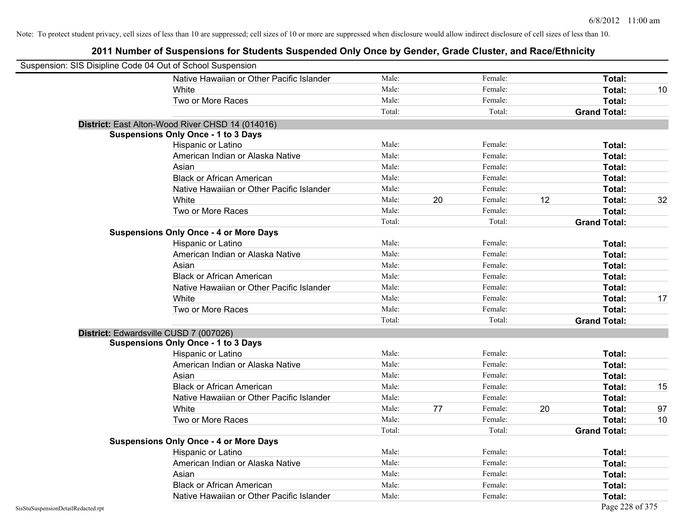|                                    | Suspension: SIS Disipline Code 04 Out of School Suspension |        |    |         |    |                     |    |
|------------------------------------|------------------------------------------------------------|--------|----|---------|----|---------------------|----|
|                                    | Native Hawaiian or Other Pacific Islander                  | Male:  |    | Female: |    | Total:              |    |
|                                    | White                                                      | Male:  |    | Female: |    | Total:              | 10 |
|                                    | Two or More Races                                          | Male:  |    | Female: |    | Total:              |    |
|                                    |                                                            | Total: |    | Total:  |    | <b>Grand Total:</b> |    |
|                                    | District: East Alton-Wood River CHSD 14 (014016)           |        |    |         |    |                     |    |
|                                    | <b>Suspensions Only Once - 1 to 3 Days</b>                 |        |    |         |    |                     |    |
|                                    | Hispanic or Latino                                         | Male:  |    | Female: |    | Total:              |    |
|                                    | American Indian or Alaska Native                           | Male:  |    | Female: |    | Total:              |    |
|                                    | Asian                                                      | Male:  |    | Female: |    | Total:              |    |
|                                    | <b>Black or African American</b>                           | Male:  |    | Female: |    | Total:              |    |
|                                    | Native Hawaiian or Other Pacific Islander                  | Male:  |    | Female: |    | Total:              |    |
|                                    | White                                                      | Male:  | 20 | Female: | 12 | Total:              | 32 |
|                                    | Two or More Races                                          | Male:  |    | Female: |    | Total:              |    |
|                                    |                                                            | Total: |    | Total:  |    | <b>Grand Total:</b> |    |
|                                    | <b>Suspensions Only Once - 4 or More Days</b>              |        |    |         |    |                     |    |
|                                    | Hispanic or Latino                                         | Male:  |    | Female: |    | Total:              |    |
|                                    | American Indian or Alaska Native                           | Male:  |    | Female: |    | Total:              |    |
|                                    | Asian                                                      | Male:  |    | Female: |    | Total:              |    |
|                                    | <b>Black or African American</b>                           | Male:  |    | Female: |    | Total:              |    |
|                                    | Native Hawaiian or Other Pacific Islander                  | Male:  |    | Female: |    | Total:              |    |
|                                    | White                                                      | Male:  |    | Female: |    | Total:              | 17 |
|                                    | Two or More Races                                          | Male:  |    | Female: |    | Total:              |    |
|                                    |                                                            | Total: |    | Total:  |    | <b>Grand Total:</b> |    |
|                                    | District: Edwardsville CUSD 7 (007026)                     |        |    |         |    |                     |    |
|                                    | <b>Suspensions Only Once - 1 to 3 Days</b>                 |        |    |         |    |                     |    |
|                                    | Hispanic or Latino                                         | Male:  |    | Female: |    | Total:              |    |
|                                    | American Indian or Alaska Native                           | Male:  |    | Female: |    | Total:              |    |
|                                    | Asian                                                      | Male:  |    | Female: |    | Total:              |    |
|                                    | <b>Black or African American</b>                           | Male:  |    | Female: |    | Total:              | 15 |
|                                    | Native Hawaiian or Other Pacific Islander                  | Male:  |    | Female: |    | Total:              |    |
|                                    | White                                                      | Male:  | 77 | Female: | 20 | Total:              | 97 |
|                                    | Two or More Races                                          | Male:  |    | Female: |    | Total:              | 10 |
|                                    |                                                            | Total: |    | Total:  |    | <b>Grand Total:</b> |    |
|                                    | <b>Suspensions Only Once - 4 or More Days</b>              |        |    |         |    |                     |    |
|                                    | Hispanic or Latino                                         | Male:  |    | Female: |    | Total:              |    |
|                                    | American Indian or Alaska Native                           | Male:  |    | Female: |    | Total:              |    |
|                                    | Asian                                                      | Male:  |    | Female: |    | Total:              |    |
|                                    | <b>Black or African American</b>                           | Male:  |    | Female: |    | Total:              |    |
|                                    | Native Hawaiian or Other Pacific Islander                  | Male:  |    | Female: |    | Total:              |    |
| SisStuSuspensionDetailRedacted.rpt |                                                            |        |    |         |    | Page 228 of 375     |    |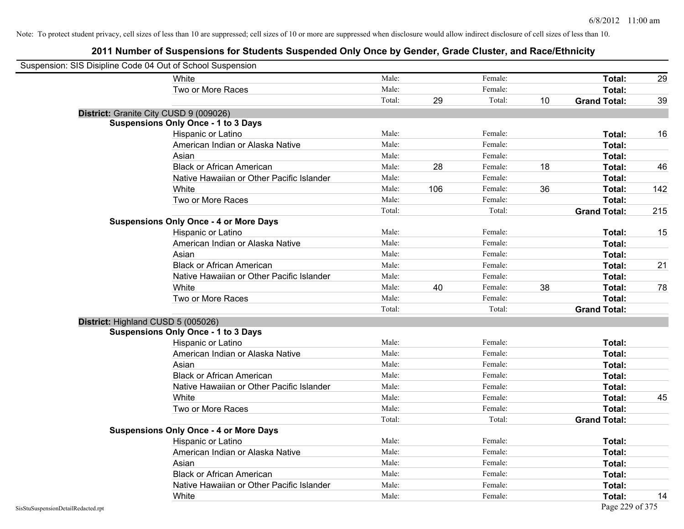| Suspension: SIS Disipline Code 04 Out of School Suspension |                                               |        |     |         |    |                     |     |
|------------------------------------------------------------|-----------------------------------------------|--------|-----|---------|----|---------------------|-----|
|                                                            | White                                         | Male:  |     | Female: |    | Total:              | 29  |
|                                                            | Two or More Races                             | Male:  |     | Female: |    | Total:              |     |
|                                                            |                                               | Total: | 29  | Total:  | 10 | <b>Grand Total:</b> | 39  |
|                                                            | District: Granite City CUSD 9 (009026)        |        |     |         |    |                     |     |
|                                                            | <b>Suspensions Only Once - 1 to 3 Days</b>    |        |     |         |    |                     |     |
|                                                            | Hispanic or Latino                            | Male:  |     | Female: |    | Total:              | 16  |
|                                                            | American Indian or Alaska Native              | Male:  |     | Female: |    | Total:              |     |
|                                                            | Asian                                         | Male:  |     | Female: |    | Total:              |     |
|                                                            | <b>Black or African American</b>              | Male:  | 28  | Female: | 18 | Total:              | 46  |
|                                                            | Native Hawaiian or Other Pacific Islander     | Male:  |     | Female: |    | Total:              |     |
|                                                            | White                                         | Male:  | 106 | Female: | 36 | Total:              | 142 |
|                                                            | Two or More Races                             | Male:  |     | Female: |    | Total:              |     |
|                                                            |                                               | Total: |     | Total:  |    | <b>Grand Total:</b> | 215 |
|                                                            | <b>Suspensions Only Once - 4 or More Days</b> |        |     |         |    |                     |     |
|                                                            | Hispanic or Latino                            | Male:  |     | Female: |    | Total:              | 15  |
|                                                            | American Indian or Alaska Native              | Male:  |     | Female: |    | Total:              |     |
|                                                            | Asian                                         | Male:  |     | Female: |    | Total:              |     |
|                                                            | <b>Black or African American</b>              | Male:  |     | Female: |    | Total:              | 21  |
|                                                            | Native Hawaiian or Other Pacific Islander     | Male:  |     | Female: |    | Total:              |     |
|                                                            | White                                         | Male:  | 40  | Female: | 38 | Total:              | 78  |
|                                                            | Two or More Races                             | Male:  |     | Female: |    | Total:              |     |
|                                                            |                                               | Total: |     | Total:  |    | <b>Grand Total:</b> |     |
|                                                            | District: Highland CUSD 5 (005026)            |        |     |         |    |                     |     |
|                                                            | <b>Suspensions Only Once - 1 to 3 Days</b>    |        |     |         |    |                     |     |
|                                                            | Hispanic or Latino                            | Male:  |     | Female: |    | Total:              |     |
|                                                            | American Indian or Alaska Native              | Male:  |     | Female: |    | Total:              |     |
|                                                            | Asian                                         | Male:  |     | Female: |    | Total:              |     |
|                                                            | <b>Black or African American</b>              | Male:  |     | Female: |    | Total:              |     |
|                                                            | Native Hawaiian or Other Pacific Islander     | Male:  |     | Female: |    | Total:              |     |
|                                                            | White                                         | Male:  |     | Female: |    | Total:              | 45  |
|                                                            | Two or More Races                             | Male:  |     | Female: |    | Total:              |     |
|                                                            |                                               | Total: |     | Total:  |    | <b>Grand Total:</b> |     |
|                                                            | <b>Suspensions Only Once - 4 or More Days</b> |        |     |         |    |                     |     |
|                                                            | Hispanic or Latino                            | Male:  |     | Female: |    | Total:              |     |
|                                                            | American Indian or Alaska Native              | Male:  |     | Female: |    | Total:              |     |
|                                                            | Asian                                         | Male:  |     | Female: |    | Total:              |     |
|                                                            | <b>Black or African American</b>              | Male:  |     | Female: |    | Total:              |     |
|                                                            | Native Hawaiian or Other Pacific Islander     | Male:  |     | Female: |    | Total:              |     |
|                                                            | White                                         | Male:  |     | Female: |    | Total:              | 14  |
| SisStuSuspensionDetailRedacted.rpt                         |                                               |        |     |         |    | Page 229 of 375     |     |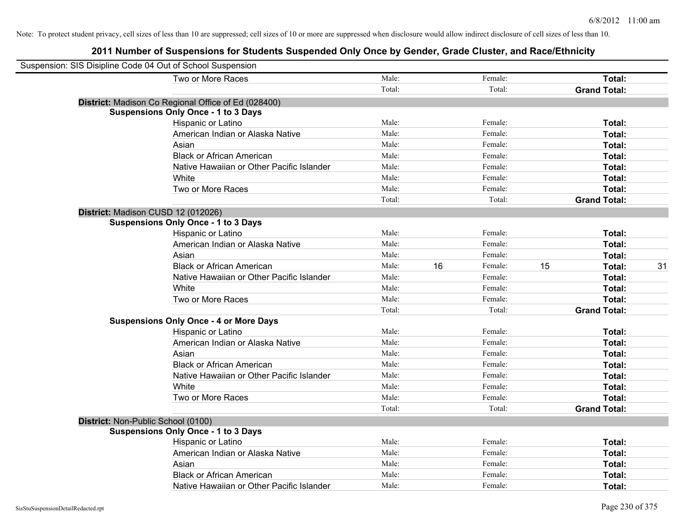| Suspension: SIS Disipline Code 04 Out of School Suspension |        |    |         |    |                     |    |
|------------------------------------------------------------|--------|----|---------|----|---------------------|----|
| Two or More Races                                          | Male:  |    | Female: |    | Total:              |    |
|                                                            | Total: |    | Total:  |    | <b>Grand Total:</b> |    |
| District: Madison Co Regional Office of Ed (028400)        |        |    |         |    |                     |    |
| <b>Suspensions Only Once - 1 to 3 Days</b>                 |        |    |         |    |                     |    |
| Hispanic or Latino                                         | Male:  |    | Female: |    | Total:              |    |
| American Indian or Alaska Native                           | Male:  |    | Female: |    | Total:              |    |
| Asian                                                      | Male:  |    | Female: |    | Total:              |    |
| <b>Black or African American</b>                           | Male:  |    | Female: |    | Total:              |    |
| Native Hawaiian or Other Pacific Islander                  | Male:  |    | Female: |    | Total:              |    |
| White                                                      | Male:  |    | Female: |    | Total:              |    |
| Two or More Races                                          | Male:  |    | Female: |    | Total:              |    |
|                                                            | Total: |    | Total:  |    | <b>Grand Total:</b> |    |
| District: Madison CUSD 12 (012026)                         |        |    |         |    |                     |    |
| <b>Suspensions Only Once - 1 to 3 Days</b>                 |        |    |         |    |                     |    |
| Hispanic or Latino                                         | Male:  |    | Female: |    | Total:              |    |
| American Indian or Alaska Native                           | Male:  |    | Female: |    | Total:              |    |
| Asian                                                      | Male:  |    | Female: |    | Total:              |    |
| <b>Black or African American</b>                           | Male:  | 16 | Female: | 15 | Total:              | 31 |
| Native Hawaiian or Other Pacific Islander                  | Male:  |    | Female: |    | Total:              |    |
| White                                                      | Male:  |    | Female: |    | Total:              |    |
| Two or More Races                                          | Male:  |    | Female: |    | Total:              |    |
|                                                            | Total: |    | Total:  |    | <b>Grand Total:</b> |    |
| <b>Suspensions Only Once - 4 or More Days</b>              |        |    |         |    |                     |    |
| Hispanic or Latino                                         | Male:  |    | Female: |    | Total:              |    |
| American Indian or Alaska Native                           | Male:  |    | Female: |    | Total:              |    |
| Asian                                                      | Male:  |    | Female: |    | Total:              |    |
| <b>Black or African American</b>                           | Male:  |    | Female: |    | Total:              |    |
| Native Hawaiian or Other Pacific Islander                  | Male:  |    | Female: |    | Total:              |    |
| White                                                      | Male:  |    | Female: |    | Total:              |    |
| Two or More Races                                          | Male:  |    | Female: |    | Total:              |    |
|                                                            | Total: |    | Total:  |    | <b>Grand Total:</b> |    |
| District: Non-Public School (0100)                         |        |    |         |    |                     |    |
| <b>Suspensions Only Once - 1 to 3 Days</b>                 |        |    |         |    |                     |    |
| Hispanic or Latino                                         | Male:  |    | Female: |    | Total:              |    |
| American Indian or Alaska Native                           | Male:  |    | Female: |    | Total:              |    |
| Asian                                                      | Male:  |    | Female: |    | Total:              |    |
| <b>Black or African American</b>                           | Male:  |    | Female: |    | Total:              |    |
| Native Hawaiian or Other Pacific Islander                  | Male:  |    | Female: |    | Total:              |    |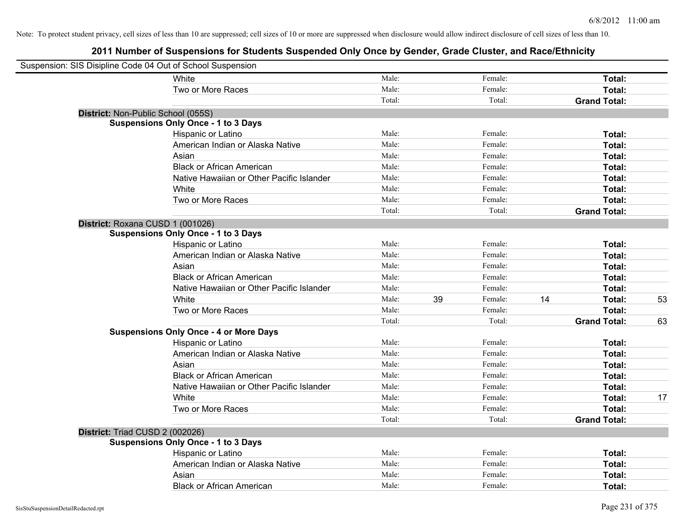| Suspension: SIS Disipline Code 04 Out of School Suspension |                                               |        |    |         |    |                     |    |
|------------------------------------------------------------|-----------------------------------------------|--------|----|---------|----|---------------------|----|
|                                                            | White                                         | Male:  |    | Female: |    | Total:              |    |
|                                                            | Two or More Races                             | Male:  |    | Female: |    | Total:              |    |
|                                                            |                                               | Total: |    | Total:  |    | <b>Grand Total:</b> |    |
| District: Non-Public School (055S)                         |                                               |        |    |         |    |                     |    |
|                                                            | <b>Suspensions Only Once - 1 to 3 Days</b>    |        |    |         |    |                     |    |
|                                                            | Hispanic or Latino                            | Male:  |    | Female: |    | Total:              |    |
|                                                            | American Indian or Alaska Native              | Male:  |    | Female: |    | Total:              |    |
|                                                            | Asian                                         | Male:  |    | Female: |    | Total:              |    |
|                                                            | <b>Black or African American</b>              | Male:  |    | Female: |    | Total:              |    |
|                                                            | Native Hawaiian or Other Pacific Islander     | Male:  |    | Female: |    | Total:              |    |
|                                                            | White                                         | Male:  |    | Female: |    | Total:              |    |
|                                                            | Two or More Races                             | Male:  |    | Female: |    | Total:              |    |
|                                                            |                                               | Total: |    | Total:  |    | <b>Grand Total:</b> |    |
| District: Roxana CUSD 1 (001026)                           |                                               |        |    |         |    |                     |    |
|                                                            | <b>Suspensions Only Once - 1 to 3 Days</b>    |        |    |         |    |                     |    |
|                                                            | Hispanic or Latino                            | Male:  |    | Female: |    | Total:              |    |
|                                                            | American Indian or Alaska Native              | Male:  |    | Female: |    | Total:              |    |
|                                                            | Asian                                         | Male:  |    | Female: |    | Total:              |    |
|                                                            | <b>Black or African American</b>              | Male:  |    | Female: |    | Total:              |    |
|                                                            | Native Hawaiian or Other Pacific Islander     | Male:  |    | Female: |    | Total:              |    |
|                                                            | White                                         | Male:  | 39 | Female: | 14 | Total:              | 53 |
|                                                            | Two or More Races                             | Male:  |    | Female: |    | Total:              |    |
|                                                            |                                               | Total: |    | Total:  |    | <b>Grand Total:</b> | 63 |
|                                                            | <b>Suspensions Only Once - 4 or More Days</b> |        |    |         |    |                     |    |
|                                                            | Hispanic or Latino                            | Male:  |    | Female: |    | Total:              |    |
|                                                            | American Indian or Alaska Native              | Male:  |    | Female: |    | Total:              |    |
|                                                            | Asian                                         | Male:  |    | Female: |    | Total:              |    |
|                                                            | <b>Black or African American</b>              | Male:  |    | Female: |    | Total:              |    |
|                                                            | Native Hawaiian or Other Pacific Islander     | Male:  |    | Female: |    | Total:              |    |
|                                                            | White                                         | Male:  |    | Female: |    | Total:              | 17 |
|                                                            | Two or More Races                             | Male:  |    | Female: |    | Total:              |    |
|                                                            |                                               | Total: |    | Total:  |    | <b>Grand Total:</b> |    |
| District: Triad CUSD 2 (002026)                            |                                               |        |    |         |    |                     |    |
|                                                            | <b>Suspensions Only Once - 1 to 3 Days</b>    |        |    |         |    |                     |    |
|                                                            | Hispanic or Latino                            | Male:  |    | Female: |    | Total:              |    |
|                                                            | American Indian or Alaska Native              | Male:  |    | Female: |    | Total:              |    |
|                                                            | Asian                                         | Male:  |    | Female: |    | Total:              |    |
|                                                            | <b>Black or African American</b>              | Male:  |    | Female: |    | Total:              |    |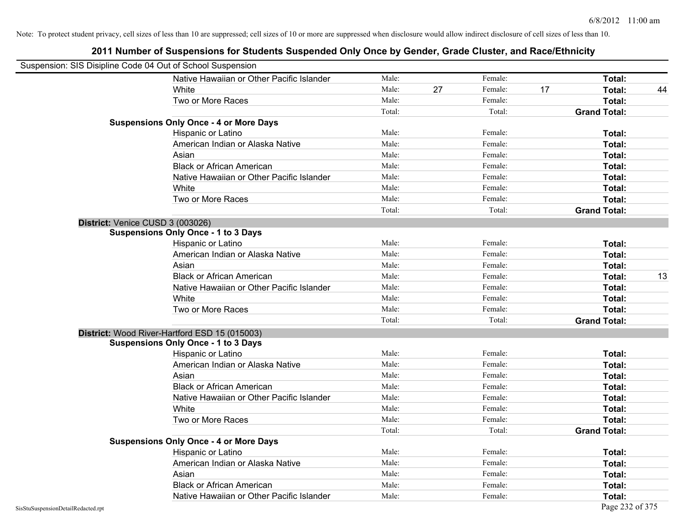|                                    | Suspension: SIS Disipline Code 04 Out of School Suspension |        |    |         |    |                     |    |
|------------------------------------|------------------------------------------------------------|--------|----|---------|----|---------------------|----|
|                                    | Native Hawaiian or Other Pacific Islander                  | Male:  |    | Female: |    | Total:              |    |
|                                    | White                                                      | Male:  | 27 | Female: | 17 | Total:              | 44 |
|                                    | Two or More Races                                          | Male:  |    | Female: |    | Total:              |    |
|                                    |                                                            | Total: |    | Total:  |    | <b>Grand Total:</b> |    |
|                                    | <b>Suspensions Only Once - 4 or More Days</b>              |        |    |         |    |                     |    |
|                                    | Hispanic or Latino                                         | Male:  |    | Female: |    | Total:              |    |
|                                    | American Indian or Alaska Native                           | Male:  |    | Female: |    | Total:              |    |
|                                    | Asian                                                      | Male:  |    | Female: |    | Total:              |    |
|                                    | <b>Black or African American</b>                           | Male:  |    | Female: |    | Total:              |    |
|                                    | Native Hawaiian or Other Pacific Islander                  | Male:  |    | Female: |    | Total:              |    |
|                                    | White                                                      | Male:  |    | Female: |    | Total:              |    |
|                                    | Two or More Races                                          | Male:  |    | Female: |    | Total:              |    |
|                                    |                                                            | Total: |    | Total:  |    | <b>Grand Total:</b> |    |
|                                    | District: Venice CUSD 3 (003026)                           |        |    |         |    |                     |    |
|                                    | <b>Suspensions Only Once - 1 to 3 Days</b>                 |        |    |         |    |                     |    |
|                                    | Hispanic or Latino                                         | Male:  |    | Female: |    | Total:              |    |
|                                    | American Indian or Alaska Native                           | Male:  |    | Female: |    | Total:              |    |
|                                    | Asian                                                      | Male:  |    | Female: |    | Total:              |    |
|                                    | <b>Black or African American</b>                           | Male:  |    | Female: |    | Total:              | 13 |
|                                    | Native Hawaiian or Other Pacific Islander                  | Male:  |    | Female: |    | Total:              |    |
|                                    | White                                                      | Male:  |    | Female: |    | Total:              |    |
|                                    | Two or More Races                                          | Male:  |    | Female: |    | Total:              |    |
|                                    |                                                            | Total: |    | Total:  |    | <b>Grand Total:</b> |    |
|                                    | District: Wood River-Hartford ESD 15 (015003)              |        |    |         |    |                     |    |
|                                    | <b>Suspensions Only Once - 1 to 3 Days</b>                 |        |    |         |    |                     |    |
|                                    | Hispanic or Latino                                         | Male:  |    | Female: |    | Total:              |    |
|                                    | American Indian or Alaska Native                           | Male:  |    | Female: |    | Total:              |    |
|                                    | Asian                                                      | Male:  |    | Female: |    | Total:              |    |
|                                    | <b>Black or African American</b>                           | Male:  |    | Female: |    | Total:              |    |
|                                    | Native Hawaiian or Other Pacific Islander                  | Male:  |    | Female: |    | Total:              |    |
|                                    | White                                                      | Male:  |    | Female: |    | Total:              |    |
|                                    | Two or More Races                                          | Male:  |    | Female: |    | Total:              |    |
|                                    |                                                            | Total: |    | Total:  |    | <b>Grand Total:</b> |    |
|                                    | <b>Suspensions Only Once - 4 or More Days</b>              |        |    |         |    |                     |    |
|                                    | Hispanic or Latino                                         | Male:  |    | Female: |    | Total:              |    |
|                                    | American Indian or Alaska Native                           | Male:  |    | Female: |    | Total:              |    |
|                                    | Asian                                                      | Male:  |    | Female: |    | Total:              |    |
|                                    | <b>Black or African American</b>                           | Male:  |    | Female: |    | Total:              |    |
|                                    | Native Hawaiian or Other Pacific Islander                  | Male:  |    | Female: |    | Total:              |    |
| SisStuSuspensionDetailRedacted.rpt |                                                            |        |    |         |    | Page 232 of 375     |    |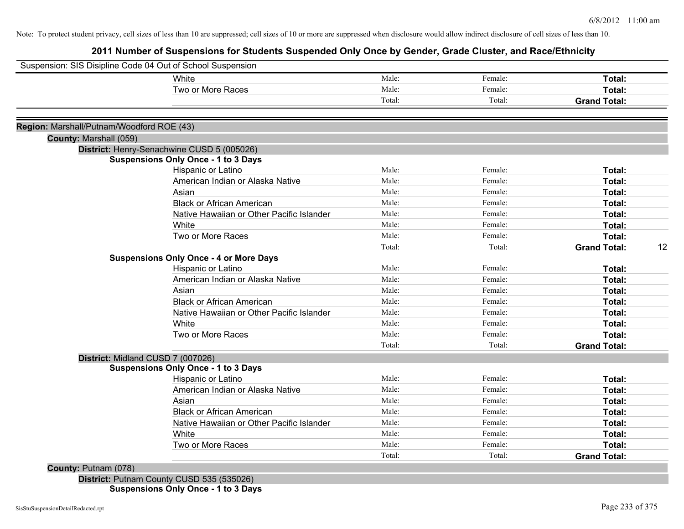# **2011 Number of Suspensions for Students Suspended Only Once by Gender, Grade Cluster, and Race/Ethnicity**

|                                           | Suspension: SIS Disipline Code 04 Out of School Suspension |        |         |                     |    |
|-------------------------------------------|------------------------------------------------------------|--------|---------|---------------------|----|
|                                           | White                                                      | Male:  | Female: | Total:              |    |
|                                           | Two or More Races                                          | Male:  | Female: | Total:              |    |
|                                           |                                                            | Total: | Total:  | <b>Grand Total:</b> |    |
| Region: Marshall/Putnam/Woodford ROE (43) |                                                            |        |         |                     |    |
| County: Marshall (059)                    |                                                            |        |         |                     |    |
|                                           | District: Henry-Senachwine CUSD 5 (005026)                 |        |         |                     |    |
|                                           | <b>Suspensions Only Once - 1 to 3 Days</b>                 |        |         |                     |    |
|                                           | Hispanic or Latino                                         | Male:  | Female: | Total:              |    |
|                                           | American Indian or Alaska Native                           | Male:  | Female: | Total:              |    |
|                                           | Asian                                                      | Male:  | Female: | <b>Total:</b>       |    |
|                                           | <b>Black or African American</b>                           | Male:  | Female: | Total:              |    |
|                                           | Native Hawaiian or Other Pacific Islander                  | Male:  | Female: | <b>Total:</b>       |    |
|                                           | White                                                      | Male:  | Female: | Total:              |    |
|                                           | Two or More Races                                          | Male:  | Female: | Total:              |    |
|                                           |                                                            | Total: | Total:  | <b>Grand Total:</b> | 12 |
|                                           | <b>Suspensions Only Once - 4 or More Days</b>              |        |         |                     |    |
|                                           | Hispanic or Latino                                         | Male:  | Female: | Total:              |    |
|                                           | American Indian or Alaska Native                           | Male:  | Female: | <b>Total:</b>       |    |
|                                           | Asian                                                      | Male:  | Female: | Total:              |    |
|                                           | <b>Black or African American</b>                           | Male:  | Female: | Total:              |    |
|                                           | Native Hawaiian or Other Pacific Islander                  | Male:  | Female: | Total:              |    |
|                                           | White                                                      | Male:  | Female: | Total:              |    |
|                                           | Two or More Races                                          | Male:  | Female: | <b>Total:</b>       |    |
|                                           |                                                            | Total: | Total:  | <b>Grand Total:</b> |    |
| District: Midland CUSD 7 (007026)         |                                                            |        |         |                     |    |
|                                           | <b>Suspensions Only Once - 1 to 3 Days</b>                 |        |         |                     |    |
|                                           | Hispanic or Latino                                         | Male:  | Female: | Total:              |    |
|                                           | American Indian or Alaska Native                           | Male:  | Female: | Total:              |    |
|                                           | Asian                                                      | Male:  | Female: | Total:              |    |
|                                           | <b>Black or African American</b>                           | Male:  | Female: | Total:              |    |
|                                           | Native Hawaiian or Other Pacific Islander                  | Male:  | Female: | <b>Total:</b>       |    |
|                                           | White                                                      | Male:  | Female: | Total:              |    |
|                                           | Two or More Races                                          | Male:  | Female: | <b>Total:</b>       |    |
|                                           |                                                            | Total: | Total:  | <b>Grand Total:</b> |    |

**District:** Putnam County CUSD 535 (535026) **Suspensions Only Once - 1 to 3 Days**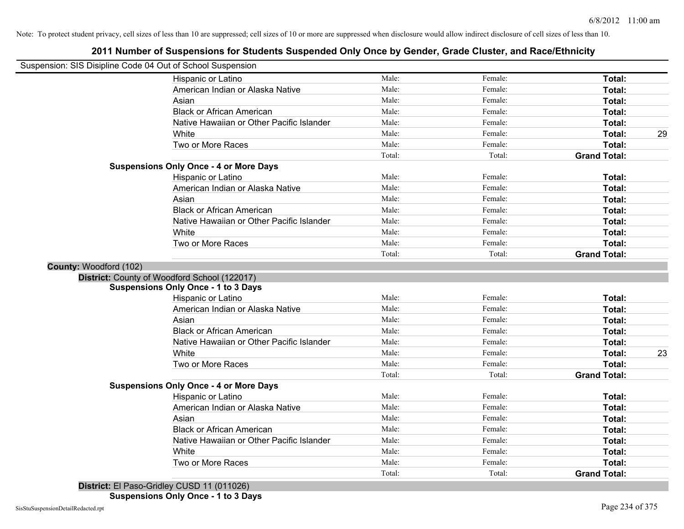# **2011 Number of Suspensions for Students Suspended Only Once by Gender, Grade Cluster, and Race/Ethnicity**

|                        | Suspension: SIS Disipline Code 04 Out of School Suspension |        |         |                     |    |
|------------------------|------------------------------------------------------------|--------|---------|---------------------|----|
|                        | Hispanic or Latino                                         | Male:  | Female: | Total:              |    |
|                        | American Indian or Alaska Native                           | Male:  | Female: | Total:              |    |
|                        | Asian                                                      | Male:  | Female: | Total:              |    |
|                        | <b>Black or African American</b>                           | Male:  | Female: | Total:              |    |
|                        | Native Hawaiian or Other Pacific Islander                  | Male:  | Female: | Total:              |    |
|                        | White                                                      | Male:  | Female: | Total:              | 29 |
|                        | Two or More Races                                          | Male:  | Female: | Total:              |    |
|                        |                                                            | Total: | Total:  | <b>Grand Total:</b> |    |
|                        | <b>Suspensions Only Once - 4 or More Days</b>              |        |         |                     |    |
|                        | Hispanic or Latino                                         | Male:  | Female: | Total:              |    |
|                        | American Indian or Alaska Native                           | Male:  | Female: | Total:              |    |
|                        | Asian                                                      | Male:  | Female: | Total:              |    |
|                        | <b>Black or African American</b>                           | Male:  | Female: | Total:              |    |
|                        | Native Hawaiian or Other Pacific Islander                  | Male:  | Female: | Total:              |    |
|                        | White                                                      | Male:  | Female: | Total:              |    |
|                        | Two or More Races                                          | Male:  | Female: | Total:              |    |
|                        |                                                            | Total: | Total:  | <b>Grand Total:</b> |    |
| County: Woodford (102) |                                                            |        |         |                     |    |
|                        | District: County of Woodford School (122017)               |        |         |                     |    |
|                        | <b>Suspensions Only Once - 1 to 3 Days</b>                 |        |         |                     |    |
|                        | Hispanic or Latino                                         | Male:  | Female: | Total:              |    |
|                        | American Indian or Alaska Native                           | Male:  | Female: | Total:              |    |
|                        | Asian                                                      | Male:  | Female: | Total:              |    |
|                        | <b>Black or African American</b>                           | Male:  | Female: | Total:              |    |
|                        | Native Hawaiian or Other Pacific Islander                  | Male:  | Female: | Total:              |    |
|                        | White                                                      | Male:  | Female: | Total:              | 23 |
|                        | Two or More Races                                          | Male:  | Female: | Total:              |    |
|                        |                                                            | Total: | Total:  | <b>Grand Total:</b> |    |
|                        | <b>Suspensions Only Once - 4 or More Days</b>              |        |         |                     |    |
|                        | Hispanic or Latino                                         | Male:  | Female: | Total:              |    |
|                        | American Indian or Alaska Native                           | Male:  | Female: | Total:              |    |
|                        | Asian                                                      | Male:  | Female: | Total:              |    |
|                        | <b>Black or African American</b>                           | Male:  | Female: | Total:              |    |
|                        | Native Hawaiian or Other Pacific Islander                  | Male:  | Female: | Total:              |    |
|                        | White                                                      | Male:  | Female: | Total:              |    |
|                        | Two or More Races                                          | Male:  | Female: | Total:              |    |
|                        |                                                            | Total: | Total:  | <b>Grand Total:</b> |    |
|                        |                                                            |        |         |                     |    |

**District:** El Paso-Gridley CUSD 11 (011026)

**Suspensions Only Once - 1 to 3 Days**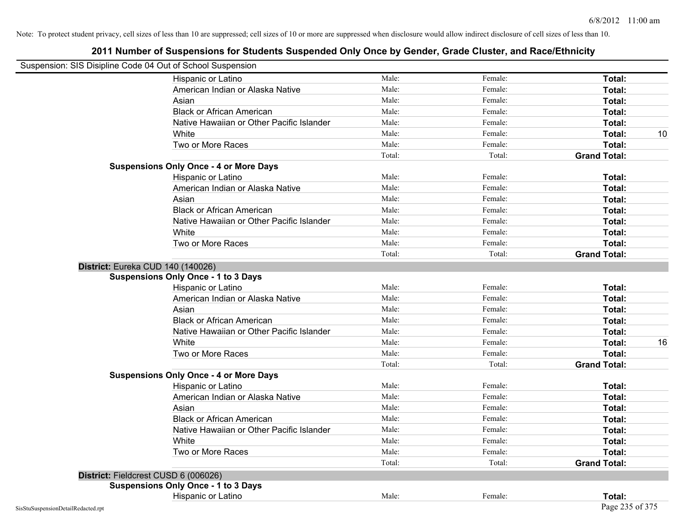| Suspension: SIS Disipline Code 04 Out of School Suspension |                                               |        |         |                     |    |
|------------------------------------------------------------|-----------------------------------------------|--------|---------|---------------------|----|
|                                                            | Hispanic or Latino                            | Male:  | Female: | <b>Total:</b>       |    |
|                                                            | American Indian or Alaska Native              | Male:  | Female: | Total:              |    |
|                                                            | Asian                                         | Male:  | Female: | Total:              |    |
|                                                            | <b>Black or African American</b>              | Male:  | Female: | Total:              |    |
|                                                            | Native Hawaiian or Other Pacific Islander     | Male:  | Female: | Total:              |    |
|                                                            | White                                         | Male:  | Female: | Total:              | 10 |
|                                                            | Two or More Races                             | Male:  | Female: | Total:              |    |
|                                                            |                                               | Total: | Total:  | <b>Grand Total:</b> |    |
|                                                            | <b>Suspensions Only Once - 4 or More Days</b> |        |         |                     |    |
|                                                            | Hispanic or Latino                            | Male:  | Female: | Total:              |    |
|                                                            | American Indian or Alaska Native              | Male:  | Female: | Total:              |    |
|                                                            | Asian                                         | Male:  | Female: | Total:              |    |
|                                                            | <b>Black or African American</b>              | Male:  | Female: | Total:              |    |
|                                                            | Native Hawaiian or Other Pacific Islander     | Male:  | Female: | Total:              |    |
|                                                            | White                                         | Male:  | Female: | Total:              |    |
|                                                            | Two or More Races                             | Male:  | Female: | Total:              |    |
|                                                            |                                               | Total: | Total:  | <b>Grand Total:</b> |    |
|                                                            | District: Eureka CUD 140 (140026)             |        |         |                     |    |
|                                                            | <b>Suspensions Only Once - 1 to 3 Days</b>    |        |         |                     |    |
|                                                            | Hispanic or Latino                            | Male:  | Female: | Total:              |    |
|                                                            | American Indian or Alaska Native              | Male:  | Female: | Total:              |    |
|                                                            | Asian                                         | Male:  | Female: | Total:              |    |
|                                                            | <b>Black or African American</b>              | Male:  | Female: | Total:              |    |
|                                                            | Native Hawaiian or Other Pacific Islander     | Male:  | Female: | Total:              |    |
|                                                            | White                                         | Male:  | Female: | Total:              | 16 |
|                                                            | Two or More Races                             | Male:  | Female: | Total:              |    |
|                                                            |                                               | Total: | Total:  | <b>Grand Total:</b> |    |
|                                                            | <b>Suspensions Only Once - 4 or More Days</b> |        |         |                     |    |
|                                                            | Hispanic or Latino                            | Male:  | Female: | Total:              |    |
|                                                            | American Indian or Alaska Native              | Male:  | Female: | Total:              |    |
|                                                            | Asian                                         | Male:  | Female: | Total:              |    |
|                                                            | <b>Black or African American</b>              | Male:  | Female: | Total:              |    |
|                                                            | Native Hawaiian or Other Pacific Islander     | Male:  | Female: | Total:              |    |
|                                                            | White                                         | Male:  | Female: | Total:              |    |
|                                                            | Two or More Races                             | Male:  | Female: | Total:              |    |
|                                                            |                                               | Total: | Total:  | <b>Grand Total:</b> |    |
|                                                            | District: Fieldcrest CUSD 6 (006026)          |        |         |                     |    |
|                                                            | <b>Suspensions Only Once - 1 to 3 Days</b>    |        |         |                     |    |
|                                                            | Hispanic or Latino                            | Male:  | Female: | Total:              |    |
| SisStuSuspensionDetailRedacted.rpt                         |                                               |        |         | Page 235 of 375     |    |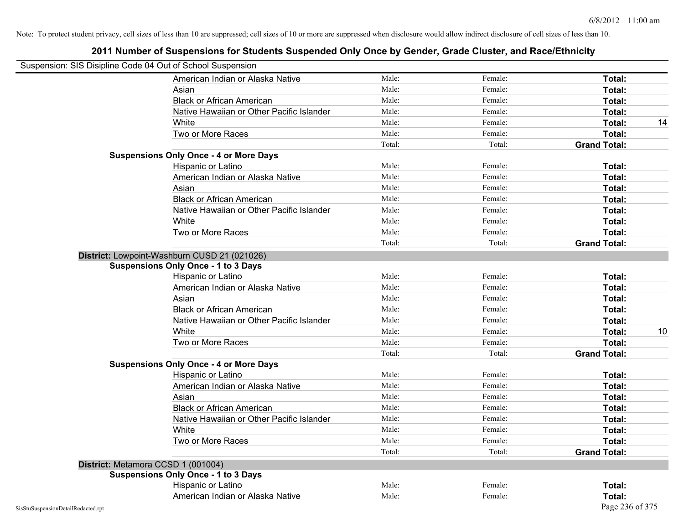| Suspension: SIS Disipline Code 04 Out of School Suspension |                                               |        |         |                     |
|------------------------------------------------------------|-----------------------------------------------|--------|---------|---------------------|
|                                                            | American Indian or Alaska Native              | Male:  | Female: | Total:              |
|                                                            | Asian                                         | Male:  | Female: | Total:              |
|                                                            | <b>Black or African American</b>              | Male:  | Female: | Total:              |
|                                                            | Native Hawaiian or Other Pacific Islander     | Male:  | Female: | Total:              |
|                                                            | White                                         | Male:  | Female: | Total:<br>14        |
|                                                            | Two or More Races                             | Male:  | Female: | Total:              |
|                                                            |                                               | Total: | Total:  | <b>Grand Total:</b> |
|                                                            | <b>Suspensions Only Once - 4 or More Days</b> |        |         |                     |
|                                                            | Hispanic or Latino                            | Male:  | Female: | Total:              |
|                                                            | American Indian or Alaska Native              | Male:  | Female: | Total:              |
|                                                            | Asian                                         | Male:  | Female: | Total:              |
|                                                            | <b>Black or African American</b>              | Male:  | Female: | Total:              |
|                                                            | Native Hawaiian or Other Pacific Islander     | Male:  | Female: | Total:              |
|                                                            | White                                         | Male:  | Female: | Total:              |
|                                                            | Two or More Races                             | Male:  | Female: | Total:              |
|                                                            |                                               | Total: | Total:  | <b>Grand Total:</b> |
|                                                            | District: Lowpoint-Washburn CUSD 21 (021026)  |        |         |                     |
|                                                            | <b>Suspensions Only Once - 1 to 3 Days</b>    |        |         |                     |
|                                                            | Hispanic or Latino                            | Male:  | Female: | Total:              |
|                                                            | American Indian or Alaska Native              | Male:  | Female: | Total:              |
|                                                            | Asian                                         | Male:  | Female: | Total:              |
|                                                            | <b>Black or African American</b>              | Male:  | Female: | Total:              |
|                                                            | Native Hawaiian or Other Pacific Islander     | Male:  | Female: | Total:              |
|                                                            | White                                         | Male:  | Female: | 10<br>Total:        |
|                                                            | Two or More Races                             | Male:  | Female: | Total:              |
|                                                            |                                               | Total: | Total:  | <b>Grand Total:</b> |
|                                                            | <b>Suspensions Only Once - 4 or More Days</b> |        |         |                     |
|                                                            | Hispanic or Latino                            | Male:  | Female: | Total:              |
|                                                            | American Indian or Alaska Native              | Male:  | Female: | Total:              |
|                                                            | Asian                                         | Male:  | Female: | Total:              |
|                                                            | <b>Black or African American</b>              | Male:  | Female: | Total:              |
|                                                            | Native Hawaiian or Other Pacific Islander     | Male:  | Female: | Total:              |
|                                                            | White                                         | Male:  | Female: | Total:              |
|                                                            | Two or More Races                             | Male:  | Female: | Total:              |
|                                                            |                                               | Total: | Total:  | <b>Grand Total:</b> |
|                                                            | District: Metamora CCSD 1 (001004)            |        |         |                     |
|                                                            | <b>Suspensions Only Once - 1 to 3 Days</b>    |        |         |                     |
|                                                            | Hispanic or Latino                            | Male:  | Female: | Total:              |
|                                                            | American Indian or Alaska Native              | Male:  | Female: | Total:              |
| SisStuSuspensionDetailRedacted.rpt                         |                                               |        |         | Page 236 of 375     |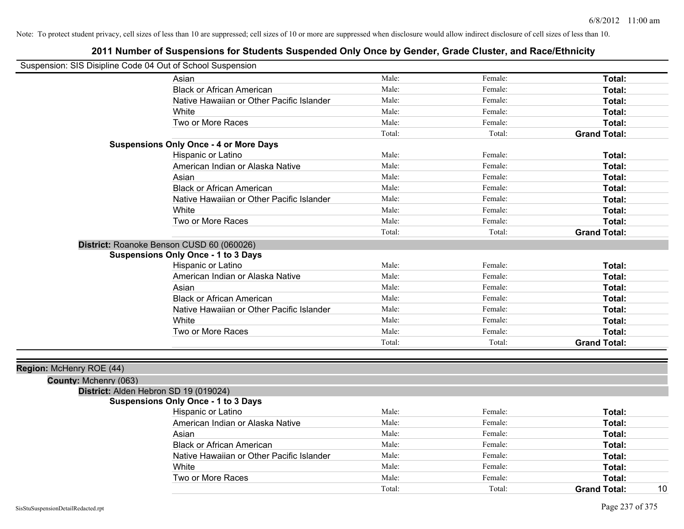# **2011 Number of Suspensions for Students Suspended Only Once by Gender, Grade Cluster, and Race/Ethnicity**

| Suspension: SIS Disipline Code 04 Out of School Suspension |                                               |        |         |                     |
|------------------------------------------------------------|-----------------------------------------------|--------|---------|---------------------|
|                                                            | Asian                                         | Male:  | Female: | Total:              |
|                                                            | <b>Black or African American</b>              | Male:  | Female: | Total:              |
|                                                            | Native Hawaiian or Other Pacific Islander     | Male:  | Female: | Total:              |
|                                                            | White                                         | Male:  | Female: | Total:              |
|                                                            | Two or More Races                             | Male:  | Female: | Total:              |
|                                                            |                                               | Total: | Total:  | <b>Grand Total:</b> |
|                                                            | <b>Suspensions Only Once - 4 or More Days</b> |        |         |                     |
|                                                            | Hispanic or Latino                            | Male:  | Female: | Total:              |
|                                                            | American Indian or Alaska Native              | Male:  | Female: | Total:              |
|                                                            | Asian                                         | Male:  | Female: | Total:              |
|                                                            | <b>Black or African American</b>              | Male:  | Female: | Total:              |
|                                                            | Native Hawaiian or Other Pacific Islander     | Male:  | Female: | Total:              |
|                                                            | White                                         | Male:  | Female: | Total:              |
|                                                            | Two or More Races                             | Male:  | Female: | <b>Total:</b>       |
|                                                            |                                               | Total: | Total:  | <b>Grand Total:</b> |
|                                                            | District: Roanoke Benson CUSD 60 (060026)     |        |         |                     |
|                                                            | <b>Suspensions Only Once - 1 to 3 Days</b>    |        |         |                     |
|                                                            | Hispanic or Latino                            | Male:  | Female: | Total:              |
|                                                            | American Indian or Alaska Native              | Male:  | Female: | Total:              |
|                                                            | Asian                                         | Male:  | Female: | Total:              |
|                                                            | <b>Black or African American</b>              | Male:  | Female: | Total:              |
|                                                            | Native Hawaiian or Other Pacific Islander     | Male:  | Female: | Total:              |
|                                                            | White                                         | Male:  | Female: | Total:              |
|                                                            | Two or More Races                             | Male:  | Female: | Total:              |
|                                                            |                                               | Total: | Total:  | <b>Grand Total:</b> |
|                                                            |                                               |        |         |                     |
| Region: McHenry ROE (44)                                   |                                               |        |         |                     |
| County: Mchenry (063)                                      |                                               |        |         |                     |
|                                                            | District: Alden Hebron SD 19 (019024)         |        |         |                     |
|                                                            | <b>Suspensions Only Once - 1 to 3 Days</b>    |        |         |                     |
|                                                            | Hispanic or Latino                            | Male:  | Female: | Total:              |
|                                                            | American Indian or Alaska Native              | Male:  | Female: | Total:              |
|                                                            | Asian                                         | Male:  | Female: | Total:              |
|                                                            | <b>Black or African American</b>              | Male:  | Female: | Total:              |
|                                                            | Native Hawaiian or Other Pacific Islander     | Male:  | Female: | Total:              |

White **Total:** Male: Female: **Total:** Total: **Total:** Female: **Total:** Total: Two or More Races **Total:** Male: Female: Female: **Total:** Total:

Total: Total: Total: **Grand Total:** 10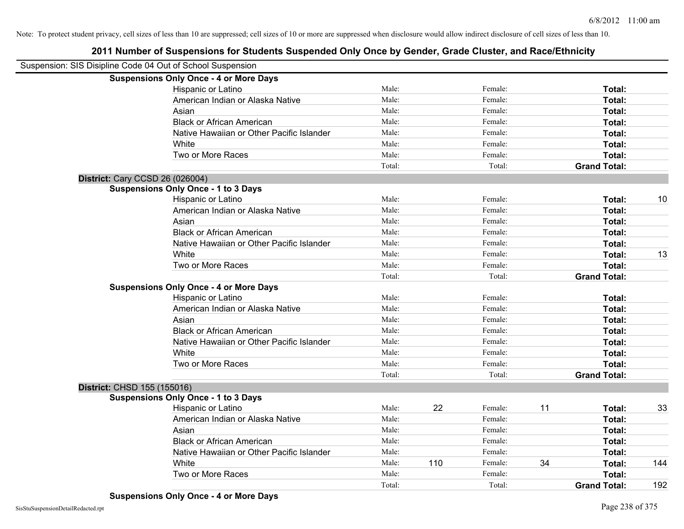| Suspension: SIS Disipline Code 04 Out of School Suspension |                                               |        |     |         |    |                     |     |
|------------------------------------------------------------|-----------------------------------------------|--------|-----|---------|----|---------------------|-----|
|                                                            | <b>Suspensions Only Once - 4 or More Days</b> |        |     |         |    |                     |     |
|                                                            | Hispanic or Latino                            | Male:  |     | Female: |    | Total:              |     |
|                                                            | American Indian or Alaska Native              | Male:  |     | Female: |    | Total:              |     |
|                                                            | Asian                                         | Male:  |     | Female: |    | Total:              |     |
|                                                            | <b>Black or African American</b>              | Male:  |     | Female: |    | Total:              |     |
|                                                            | Native Hawaiian or Other Pacific Islander     | Male:  |     | Female: |    | Total:              |     |
|                                                            | White                                         | Male:  |     | Female: |    | Total:              |     |
|                                                            | Two or More Races                             | Male:  |     | Female: |    | Total:              |     |
|                                                            |                                               | Total: |     | Total:  |    | <b>Grand Total:</b> |     |
|                                                            | District: Cary CCSD 26 (026004)               |        |     |         |    |                     |     |
|                                                            | <b>Suspensions Only Once - 1 to 3 Days</b>    |        |     |         |    |                     |     |
|                                                            | Hispanic or Latino                            | Male:  |     | Female: |    | Total:              | 10  |
|                                                            | American Indian or Alaska Native              | Male:  |     | Female: |    | Total:              |     |
|                                                            | Asian                                         | Male:  |     | Female: |    | Total:              |     |
|                                                            | <b>Black or African American</b>              | Male:  |     | Female: |    | Total:              |     |
|                                                            | Native Hawaiian or Other Pacific Islander     | Male:  |     | Female: |    | Total:              |     |
|                                                            | White                                         | Male:  |     | Female: |    | Total:              | 13  |
|                                                            | Two or More Races                             | Male:  |     | Female: |    | Total:              |     |
|                                                            |                                               | Total: |     | Total:  |    | <b>Grand Total:</b> |     |
|                                                            | <b>Suspensions Only Once - 4 or More Days</b> |        |     |         |    |                     |     |
|                                                            | Hispanic or Latino                            | Male:  |     | Female: |    | Total:              |     |
|                                                            | American Indian or Alaska Native              | Male:  |     | Female: |    | Total:              |     |
|                                                            | Asian                                         | Male:  |     | Female: |    | Total:              |     |
|                                                            | <b>Black or African American</b>              | Male:  |     | Female: |    | Total:              |     |
|                                                            | Native Hawaiian or Other Pacific Islander     | Male:  |     | Female: |    | Total:              |     |
|                                                            | White                                         | Male:  |     | Female: |    | Total:              |     |
|                                                            | Two or More Races                             | Male:  |     | Female: |    | Total:              |     |
|                                                            |                                               | Total: |     | Total:  |    | <b>Grand Total:</b> |     |
| District: CHSD 155 (155016)                                |                                               |        |     |         |    |                     |     |
|                                                            | <b>Suspensions Only Once - 1 to 3 Days</b>    |        |     |         |    |                     |     |
|                                                            | Hispanic or Latino                            | Male:  | 22  | Female: | 11 | Total:              | 33  |
|                                                            | American Indian or Alaska Native              | Male:  |     | Female: |    | Total:              |     |
|                                                            | Asian                                         | Male:  |     | Female: |    | Total:              |     |
|                                                            | <b>Black or African American</b>              | Male:  |     | Female: |    | Total:              |     |
|                                                            | Native Hawaiian or Other Pacific Islander     | Male:  |     | Female: |    | Total:              |     |
|                                                            | White                                         | Male:  | 110 | Female: | 34 | Total:              | 144 |
|                                                            | Two or More Races                             | Male:  |     | Female: |    | <b>Total:</b>       |     |
|                                                            |                                               | Total: |     | Total:  |    | <b>Grand Total:</b> | 192 |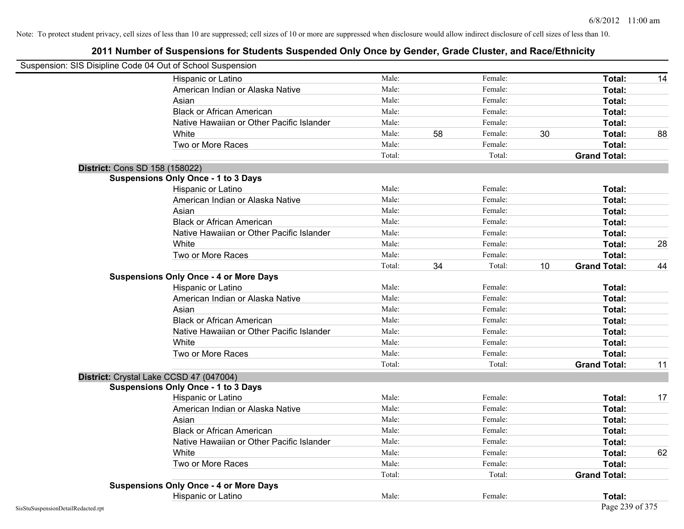| Suspension: SIS Disipline Code 04 Out of School Suspension |                                               |        |    |         |    |                     |    |
|------------------------------------------------------------|-----------------------------------------------|--------|----|---------|----|---------------------|----|
|                                                            | Hispanic or Latino                            | Male:  |    | Female: |    | Total:              | 14 |
|                                                            | American Indian or Alaska Native              | Male:  |    | Female: |    | Total:              |    |
|                                                            | Asian                                         | Male:  |    | Female: |    | Total:              |    |
|                                                            | <b>Black or African American</b>              | Male:  |    | Female: |    | Total:              |    |
|                                                            | Native Hawaiian or Other Pacific Islander     | Male:  |    | Female: |    | Total:              |    |
|                                                            | White                                         | Male:  | 58 | Female: | 30 | Total:              | 88 |
|                                                            | Two or More Races                             | Male:  |    | Female: |    | Total:              |    |
|                                                            |                                               | Total: |    | Total:  |    | <b>Grand Total:</b> |    |
| District: Cons SD 158 (158022)                             |                                               |        |    |         |    |                     |    |
|                                                            | <b>Suspensions Only Once - 1 to 3 Days</b>    |        |    |         |    |                     |    |
|                                                            | Hispanic or Latino                            | Male:  |    | Female: |    | Total:              |    |
|                                                            | American Indian or Alaska Native              | Male:  |    | Female: |    | Total:              |    |
|                                                            | Asian                                         | Male:  |    | Female: |    | Total:              |    |
|                                                            | <b>Black or African American</b>              | Male:  |    | Female: |    | Total:              |    |
|                                                            | Native Hawaiian or Other Pacific Islander     | Male:  |    | Female: |    | Total:              |    |
|                                                            | White                                         | Male:  |    | Female: |    | Total:              | 28 |
|                                                            | Two or More Races                             | Male:  |    | Female: |    | Total:              |    |
|                                                            |                                               | Total: | 34 | Total:  | 10 | <b>Grand Total:</b> | 44 |
|                                                            | <b>Suspensions Only Once - 4 or More Days</b> |        |    |         |    |                     |    |
|                                                            | Hispanic or Latino                            | Male:  |    | Female: |    | Total:              |    |
|                                                            | American Indian or Alaska Native              | Male:  |    | Female: |    | Total:              |    |
|                                                            | Asian                                         | Male:  |    | Female: |    | Total:              |    |
|                                                            | <b>Black or African American</b>              | Male:  |    | Female: |    | Total:              |    |
|                                                            | Native Hawaiian or Other Pacific Islander     | Male:  |    | Female: |    | Total:              |    |
|                                                            | White                                         | Male:  |    | Female: |    | Total:              |    |
|                                                            | Two or More Races                             | Male:  |    | Female: |    | Total:              |    |
|                                                            |                                               | Total: |    | Total:  |    | <b>Grand Total:</b> | 11 |
| District: Crystal Lake CCSD 47 (047004)                    |                                               |        |    |         |    |                     |    |
|                                                            | <b>Suspensions Only Once - 1 to 3 Days</b>    |        |    |         |    |                     |    |
|                                                            | Hispanic or Latino                            | Male:  |    | Female: |    | Total:              | 17 |
|                                                            | American Indian or Alaska Native              | Male:  |    | Female: |    | Total:              |    |
|                                                            | Asian                                         | Male:  |    | Female: |    | Total:              |    |
|                                                            | <b>Black or African American</b>              | Male:  |    | Female: |    | Total:              |    |
|                                                            | Native Hawaiian or Other Pacific Islander     | Male:  |    | Female: |    | Total:              |    |
|                                                            | White                                         | Male:  |    | Female: |    | Total:              | 62 |
|                                                            | Two or More Races                             | Male:  |    | Female: |    | Total:              |    |
|                                                            |                                               | Total: |    | Total:  |    | <b>Grand Total:</b> |    |
|                                                            | <b>Suspensions Only Once - 4 or More Days</b> |        |    |         |    |                     |    |
|                                                            | Hispanic or Latino                            | Male:  |    | Female: |    | Total:              |    |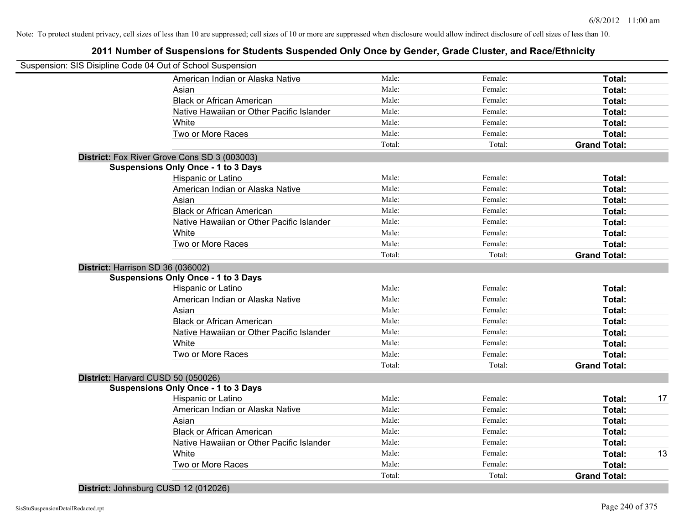# **2011 Number of Suspensions for Students Suspended Only Once by Gender, Grade Cluster, and Race/Ethnicity**

|                                    | Suspension: SIS Disipline Code 04 Out of School Suspension |        |         |                     |
|------------------------------------|------------------------------------------------------------|--------|---------|---------------------|
|                                    | American Indian or Alaska Native                           | Male:  | Female: | Total:              |
|                                    | Asian                                                      | Male:  | Female: | Total:              |
|                                    | <b>Black or African American</b>                           | Male:  | Female: | Total:              |
|                                    | Native Hawaiian or Other Pacific Islander                  | Male:  | Female: | Total:              |
|                                    | White                                                      | Male:  | Female: | Total:              |
|                                    | Two or More Races                                          | Male:  | Female: | Total:              |
|                                    |                                                            | Total: | Total:  | <b>Grand Total:</b> |
|                                    | District: Fox River Grove Cons SD 3 (003003)               |        |         |                     |
|                                    | <b>Suspensions Only Once - 1 to 3 Days</b>                 |        |         |                     |
|                                    | Hispanic or Latino                                         | Male:  | Female: | Total:              |
|                                    | American Indian or Alaska Native                           | Male:  | Female: | Total:              |
|                                    | Asian                                                      | Male:  | Female: | Total:              |
|                                    | <b>Black or African American</b>                           | Male:  | Female: | Total:              |
|                                    | Native Hawaiian or Other Pacific Islander                  | Male:  | Female: | Total:              |
|                                    | White                                                      | Male:  | Female: | Total:              |
|                                    | Two or More Races                                          | Male:  | Female: | Total:              |
|                                    |                                                            | Total: | Total:  | <b>Grand Total:</b> |
| District: Harrison SD 36 (036002)  |                                                            |        |         |                     |
|                                    | <b>Suspensions Only Once - 1 to 3 Days</b>                 |        |         |                     |
|                                    | Hispanic or Latino                                         | Male:  | Female: | Total:              |
|                                    | American Indian or Alaska Native                           | Male:  | Female: | Total:              |
|                                    | Asian                                                      | Male:  | Female: | Total:              |
|                                    | <b>Black or African American</b>                           | Male:  | Female: | Total:              |
|                                    | Native Hawaiian or Other Pacific Islander                  | Male:  | Female: | Total:              |
|                                    | White                                                      | Male:  | Female: | Total:              |
|                                    | Two or More Races                                          | Male:  | Female: | Total:              |
|                                    |                                                            | Total: | Total:  | <b>Grand Total:</b> |
| District: Harvard CUSD 50 (050026) |                                                            |        |         |                     |
|                                    | <b>Suspensions Only Once - 1 to 3 Days</b>                 |        |         |                     |
|                                    | Hispanic or Latino                                         | Male:  | Female: | Total:              |
|                                    | American Indian or Alaska Native                           | Male:  | Female: | Total:              |
|                                    | Asian                                                      | Male:  | Female: | Total:              |
|                                    | <b>Black or African American</b>                           | Male:  | Female: | Total:              |
|                                    | Native Hawaiian or Other Pacific Islander                  | Male:  | Female: | Total:              |
|                                    | White                                                      | Male:  | Female: | Total:              |
|                                    | Two or More Races                                          | Male:  | Female: | Total:              |
|                                    |                                                            | Total: | Total:  | <b>Grand Total:</b> |

**District:** Johnsburg CUSD 12 (012026)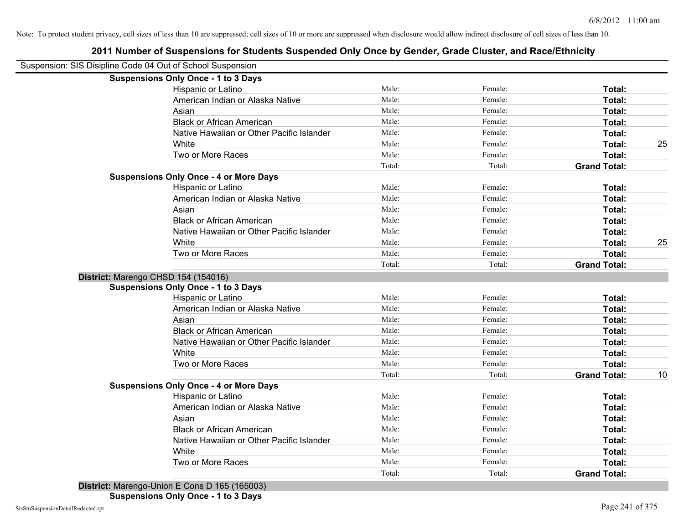|                                                            | 2011 Number of Suspensions for Students Suspended Only Once by Gender, Grade Cluster, and Race/Ethnicity |        |         |                     |    |
|------------------------------------------------------------|----------------------------------------------------------------------------------------------------------|--------|---------|---------------------|----|
| Suspension: SIS Disipline Code 04 Out of School Suspension |                                                                                                          |        |         |                     |    |
|                                                            | <b>Suspensions Only Once - 1 to 3 Days</b>                                                               |        |         |                     |    |
|                                                            | Hispanic or Latino                                                                                       | Male:  | Female: | Total:              |    |
|                                                            | American Indian or Alaska Native                                                                         | Male:  | Female: | Total:              |    |
|                                                            | Asian                                                                                                    | Male:  | Female: | Total:              |    |
|                                                            | <b>Black or African American</b>                                                                         | Male:  | Female: | Total:              |    |
|                                                            | Native Hawaiian or Other Pacific Islander                                                                | Male:  | Female: | Total:              |    |
|                                                            | White                                                                                                    | Male:  | Female: | Total:              | 25 |
|                                                            | Two or More Races                                                                                        | Male:  | Female: | Total:              |    |
|                                                            |                                                                                                          | Total: | Total:  | <b>Grand Total:</b> |    |
|                                                            | <b>Suspensions Only Once - 4 or More Days</b>                                                            |        |         |                     |    |
|                                                            | Hispanic or Latino                                                                                       | Male:  | Female: | Total:              |    |
|                                                            | American Indian or Alaska Native                                                                         | Male:  | Female: | Total:              |    |
|                                                            | Asian                                                                                                    | Male:  | Female: | Total:              |    |
|                                                            | <b>Black or African American</b>                                                                         | Male:  | Female: | Total:              |    |
|                                                            | Native Hawaiian or Other Pacific Islander                                                                | Male:  | Female: | Total:              |    |
|                                                            | White                                                                                                    | Male:  | Female: | Total:              | 25 |
|                                                            | Two or More Races                                                                                        | Male:  | Female: | Total:              |    |
|                                                            |                                                                                                          | Total: | Total:  | <b>Grand Total:</b> |    |
|                                                            | District: Marengo CHSD 154 (154016)                                                                      |        |         |                     |    |
|                                                            | <b>Suspensions Only Once - 1 to 3 Days</b>                                                               |        |         |                     |    |
|                                                            | Hispanic or Latino                                                                                       | Male:  | Female: | Total:              |    |
|                                                            | American Indian or Alaska Native                                                                         | Male:  | Female: | Total:              |    |
|                                                            | Asian                                                                                                    | Male:  | Female: | Total:              |    |
|                                                            | <b>Black or African American</b>                                                                         | Male:  | Female: | Total:              |    |
|                                                            | Native Hawaiian or Other Pacific Islander                                                                | Male:  | Female: | Total:              |    |
|                                                            | White                                                                                                    | Male:  | Female: | Total:              |    |
|                                                            | Two or More Races                                                                                        | Male:  | Female: | Total:              |    |
|                                                            |                                                                                                          | Total: | Total:  | <b>Grand Total:</b> | 10 |
|                                                            | <b>Suspensions Only Once - 4 or More Days</b>                                                            |        |         |                     |    |
|                                                            | Hispanic or Latino                                                                                       | Male:  | Female: | Total:              |    |
|                                                            | American Indian or Alaska Native                                                                         | Male:  | Female: | Total:              |    |
|                                                            | Asian                                                                                                    | Male:  | Female: | Total:              |    |
|                                                            | <b>Black or African American</b>                                                                         | Male:  | Female: | Total:              |    |
|                                                            | Native Hawaiian or Other Pacific Islander                                                                | Male:  | Female: | Total:              |    |
|                                                            | White                                                                                                    | Male:  | Female: | Total:              |    |
|                                                            | Two or More Races                                                                                        | Male:  | Female: | Total:              |    |
|                                                            |                                                                                                          | Total: | Total:  | <b>Grand Total:</b> |    |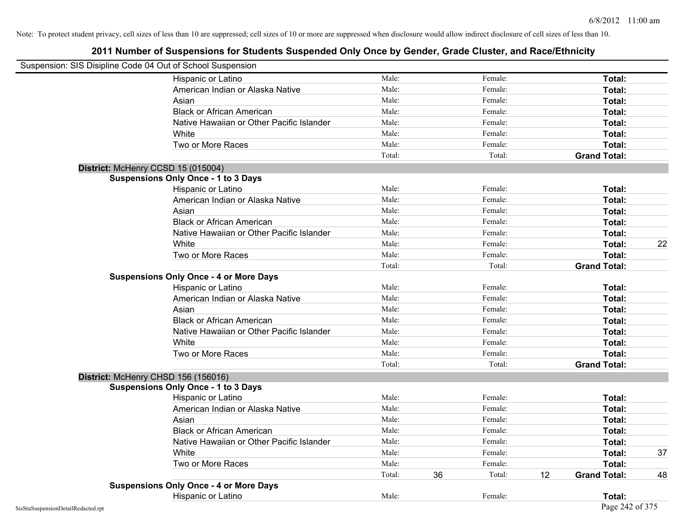| Suspension: SIS Disipline Code 04 Out of School Suspension |                                               |        |    |         |    |                     |    |
|------------------------------------------------------------|-----------------------------------------------|--------|----|---------|----|---------------------|----|
|                                                            | <b>Hispanic or Latino</b>                     | Male:  |    | Female: |    | Total:              |    |
|                                                            | American Indian or Alaska Native              | Male:  |    | Female: |    | Total:              |    |
|                                                            | Asian                                         | Male:  |    | Female: |    | Total:              |    |
|                                                            | <b>Black or African American</b>              | Male:  |    | Female: |    | Total:              |    |
|                                                            | Native Hawaiian or Other Pacific Islander     | Male:  |    | Female: |    | Total:              |    |
|                                                            | White                                         | Male:  |    | Female: |    | Total:              |    |
|                                                            | Two or More Races                             | Male:  |    | Female: |    | Total:              |    |
|                                                            |                                               | Total: |    | Total:  |    | <b>Grand Total:</b> |    |
|                                                            | District: McHenry CCSD 15 (015004)            |        |    |         |    |                     |    |
|                                                            | <b>Suspensions Only Once - 1 to 3 Days</b>    |        |    |         |    |                     |    |
|                                                            | Hispanic or Latino                            | Male:  |    | Female: |    | Total:              |    |
|                                                            | American Indian or Alaska Native              | Male:  |    | Female: |    | Total:              |    |
|                                                            | Asian                                         | Male:  |    | Female: |    | Total:              |    |
|                                                            | <b>Black or African American</b>              | Male:  |    | Female: |    | Total:              |    |
|                                                            | Native Hawaiian or Other Pacific Islander     | Male:  |    | Female: |    | Total:              |    |
|                                                            | White                                         | Male:  |    | Female: |    | Total:              | 22 |
|                                                            | Two or More Races                             | Male:  |    | Female: |    | Total:              |    |
|                                                            |                                               | Total: |    | Total:  |    | <b>Grand Total:</b> |    |
|                                                            | <b>Suspensions Only Once - 4 or More Days</b> |        |    |         |    |                     |    |
|                                                            | Hispanic or Latino                            | Male:  |    | Female: |    | Total:              |    |
|                                                            | American Indian or Alaska Native              | Male:  |    | Female: |    | Total:              |    |
|                                                            | Asian                                         | Male:  |    | Female: |    | Total:              |    |
|                                                            | <b>Black or African American</b>              | Male:  |    | Female: |    | Total:              |    |
|                                                            | Native Hawaiian or Other Pacific Islander     | Male:  |    | Female: |    | Total:              |    |
|                                                            | White                                         | Male:  |    | Female: |    | Total:              |    |
|                                                            | Two or More Races                             | Male:  |    | Female: |    | Total:              |    |
|                                                            |                                               | Total: |    | Total:  |    | <b>Grand Total:</b> |    |
|                                                            | District: McHenry CHSD 156 (156016)           |        |    |         |    |                     |    |
|                                                            | <b>Suspensions Only Once - 1 to 3 Days</b>    |        |    |         |    |                     |    |
|                                                            | Hispanic or Latino                            | Male:  |    | Female: |    | Total:              |    |
|                                                            | American Indian or Alaska Native              | Male:  |    | Female: |    | Total:              |    |
|                                                            | Asian                                         | Male:  |    | Female: |    | Total:              |    |
|                                                            | <b>Black or African American</b>              | Male:  |    | Female: |    | Total:              |    |
|                                                            | Native Hawaiian or Other Pacific Islander     | Male:  |    | Female: |    | Total:              |    |
|                                                            | White                                         | Male:  |    | Female: |    | Total:              | 37 |
|                                                            | Two or More Races                             | Male:  |    | Female: |    | Total:              |    |
|                                                            |                                               | Total: | 36 | Total:  | 12 | <b>Grand Total:</b> | 48 |
|                                                            | <b>Suspensions Only Once - 4 or More Days</b> |        |    |         |    |                     |    |
|                                                            | Hispanic or Latino                            | Male:  |    | Female: |    | Total:              |    |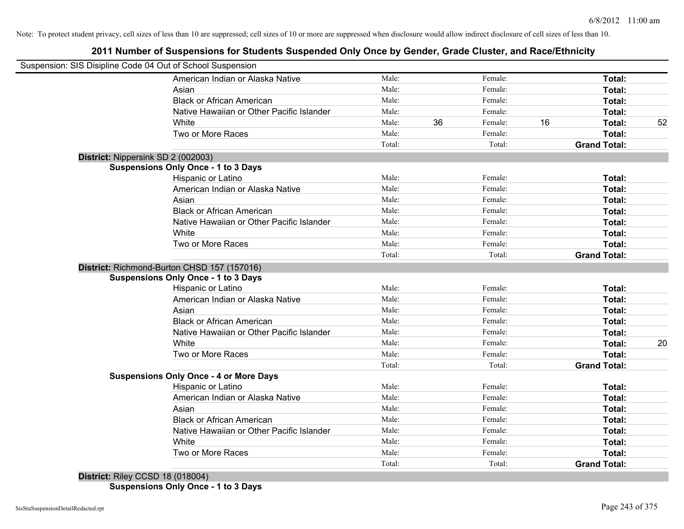# **2011 Number of Suspensions for Students Suspended Only Once by Gender, Grade Cluster, and Race/Ethnicity**

| Suspension: SIS Disipline Code 04 Out of School Suspension |        |    |         |                     |    |
|------------------------------------------------------------|--------|----|---------|---------------------|----|
| American Indian or Alaska Native                           | Male:  |    | Female: | Total:              |    |
| Asian                                                      | Male:  |    | Female: | Total:              |    |
| <b>Black or African American</b>                           | Male:  |    | Female: | Total:              |    |
| Native Hawaiian or Other Pacific Islander                  | Male:  |    | Female: | Total:              |    |
| White                                                      | Male:  | 36 | Female: | 16<br>Total:        | 52 |
| Two or More Races                                          | Male:  |    | Female: | Total:              |    |
|                                                            | Total: |    | Total:  | <b>Grand Total:</b> |    |
| District: Nippersink SD 2 (002003)                         |        |    |         |                     |    |
| <b>Suspensions Only Once - 1 to 3 Days</b>                 |        |    |         |                     |    |
| Hispanic or Latino                                         | Male:  |    | Female: | Total:              |    |
| American Indian or Alaska Native                           | Male:  |    | Female: | Total:              |    |
| Asian                                                      | Male:  |    | Female: | Total:              |    |
| <b>Black or African American</b>                           | Male:  |    | Female: | Total:              |    |
| Native Hawaiian or Other Pacific Islander                  | Male:  |    | Female: | Total:              |    |
| White                                                      | Male:  |    | Female: | Total:              |    |
| Two or More Races                                          | Male:  |    | Female: | Total:              |    |
|                                                            | Total: |    | Total:  | <b>Grand Total:</b> |    |
| District: Richmond-Burton CHSD 157 (157016)                |        |    |         |                     |    |
| <b>Suspensions Only Once - 1 to 3 Days</b>                 |        |    |         |                     |    |
| Hispanic or Latino                                         | Male:  |    | Female: | Total:              |    |
| American Indian or Alaska Native                           | Male:  |    | Female: | Total:              |    |
| Asian                                                      | Male:  |    | Female: | Total:              |    |
| <b>Black or African American</b>                           | Male:  |    | Female: | Total:              |    |
| Native Hawaiian or Other Pacific Islander                  | Male:  |    | Female: | Total:              |    |
| White                                                      | Male:  |    | Female: | Total:              | 20 |
| Two or More Races                                          | Male:  |    | Female: | Total:              |    |
|                                                            | Total: |    | Total:  | <b>Grand Total:</b> |    |
| <b>Suspensions Only Once - 4 or More Days</b>              |        |    |         |                     |    |
| Hispanic or Latino                                         | Male:  |    | Female: | Total:              |    |
| American Indian or Alaska Native                           | Male:  |    | Female: | Total:              |    |
| Asian                                                      | Male:  |    | Female: | Total:              |    |
| <b>Black or African American</b>                           | Male:  |    | Female: | Total:              |    |
| Native Hawaiian or Other Pacific Islander                  | Male:  |    | Female: | Total:              |    |
| White                                                      | Male:  |    | Female: | Total:              |    |
| Two or More Races                                          | Male:  |    | Female: | Total:              |    |
|                                                            | Total: |    | Total:  | <b>Grand Total:</b> |    |

**District:** Riley CCSD 18 (018004) **Suspensions Only Once - 1 to 3 Days**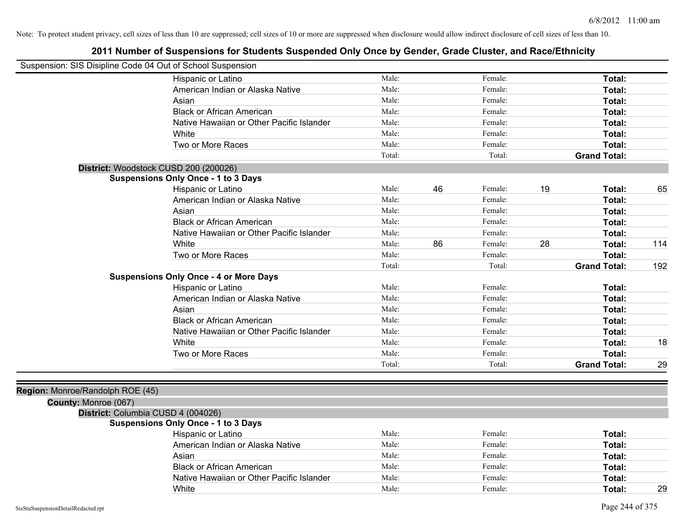| Suspension: SIS Disipline Code 04 Out of School Suspension |                                               |        |    |         |    |                     |     |
|------------------------------------------------------------|-----------------------------------------------|--------|----|---------|----|---------------------|-----|
|                                                            | Hispanic or Latino                            | Male:  |    | Female: |    | Total:              |     |
|                                                            | American Indian or Alaska Native              | Male:  |    | Female: |    | Total:              |     |
|                                                            | Asian                                         | Male:  |    | Female: |    | Total:              |     |
|                                                            | <b>Black or African American</b>              | Male:  |    | Female: |    | <b>Total:</b>       |     |
|                                                            | Native Hawaiian or Other Pacific Islander     | Male:  |    | Female: |    | Total:              |     |
|                                                            | White                                         | Male:  |    | Female: |    | Total:              |     |
|                                                            | Two or More Races                             | Male:  |    | Female: |    | <b>Total:</b>       |     |
|                                                            |                                               | Total: |    | Total:  |    | <b>Grand Total:</b> |     |
|                                                            | District: Woodstock CUSD 200 (200026)         |        |    |         |    |                     |     |
|                                                            | <b>Suspensions Only Once - 1 to 3 Days</b>    |        |    |         |    |                     |     |
|                                                            | Hispanic or Latino                            | Male:  | 46 | Female: | 19 | Total:              | 65  |
|                                                            | American Indian or Alaska Native              | Male:  |    | Female: |    | Total:              |     |
|                                                            | Asian                                         | Male:  |    | Female: |    | <b>Total:</b>       |     |
|                                                            | <b>Black or African American</b>              | Male:  |    | Female: |    | Total:              |     |
|                                                            | Native Hawaiian or Other Pacific Islander     | Male:  |    | Female: |    | Total:              |     |
|                                                            | White                                         | Male:  | 86 | Female: | 28 | <b>Total:</b>       | 114 |
|                                                            | Two or More Races                             | Male:  |    | Female: |    | <b>Total:</b>       |     |
|                                                            |                                               | Total: |    | Total:  |    | <b>Grand Total:</b> | 192 |
|                                                            | <b>Suspensions Only Once - 4 or More Days</b> |        |    |         |    |                     |     |
|                                                            | Hispanic or Latino                            | Male:  |    | Female: |    | Total:              |     |
|                                                            | American Indian or Alaska Native              | Male:  |    | Female: |    | <b>Total:</b>       |     |
|                                                            | Asian                                         | Male:  |    | Female: |    | <b>Total:</b>       |     |
|                                                            | <b>Black or African American</b>              | Male:  |    | Female: |    | Total:              |     |
|                                                            | Native Hawaiian or Other Pacific Islander     | Male:  |    | Female: |    | <b>Total:</b>       |     |
|                                                            | White                                         | Male:  |    | Female: |    | <b>Total:</b>       | 18  |
|                                                            | Two or More Races                             | Male:  |    | Female: |    | <b>Total:</b>       |     |
|                                                            |                                               | Total: |    | Total:  |    | <b>Grand Total:</b> | 29  |
|                                                            |                                               |        |    |         |    |                     |     |
| Region: Monroe/Randolph ROE (45)                           |                                               |        |    |         |    |                     |     |
| County: Monroe (067)                                       |                                               |        |    |         |    |                     |     |
| District: Columbia CUSD 4 (004026)                         |                                               |        |    |         |    |                     |     |
|                                                            | <b>Suspensions Only Once - 1 to 3 Days</b>    |        |    |         |    |                     |     |
|                                                            | Hispanic or Latino                            | Male:  |    | Female: |    | Total:              |     |
|                                                            | American Indian or Alaska Native              | Male:  |    | Female: |    | Total:              |     |
|                                                            | Asian                                         | Male:  |    | Female: |    | Total:              |     |
|                                                            | <b>Black or African American</b>              | Male:  |    | Female: |    | <b>Total:</b>       |     |
|                                                            | Native Hawaiian or Other Pacific Islander     | Male:  |    | Female: |    | <b>Total:</b>       |     |
|                                                            | White                                         | Male:  |    | Female: |    | Total:              | 29  |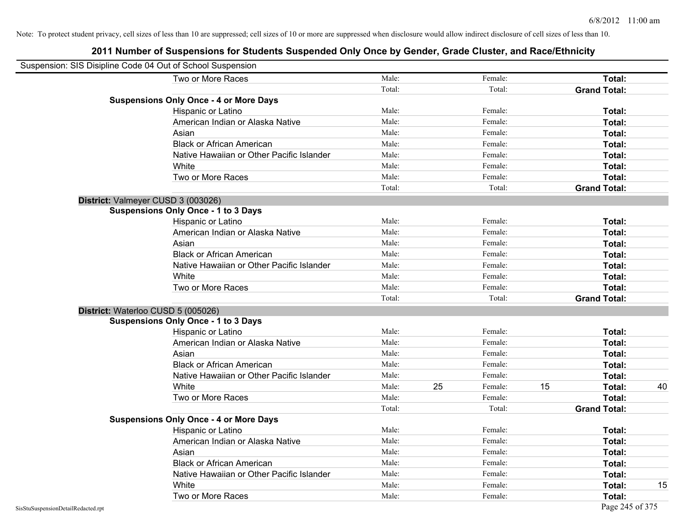| Suspension: SIS Disipline Code 04 Out of School Suspension |                                               |        |    |         |    |                     |    |
|------------------------------------------------------------|-----------------------------------------------|--------|----|---------|----|---------------------|----|
|                                                            | Two or More Races                             | Male:  |    | Female: |    | <b>Total:</b>       |    |
|                                                            |                                               | Total: |    | Total:  |    | <b>Grand Total:</b> |    |
|                                                            | <b>Suspensions Only Once - 4 or More Days</b> |        |    |         |    |                     |    |
|                                                            | Hispanic or Latino                            | Male:  |    | Female: |    | Total:              |    |
|                                                            | American Indian or Alaska Native              | Male:  |    | Female: |    | Total:              |    |
|                                                            | Asian                                         | Male:  |    | Female: |    | Total:              |    |
|                                                            | <b>Black or African American</b>              | Male:  |    | Female: |    | Total:              |    |
|                                                            | Native Hawaiian or Other Pacific Islander     | Male:  |    | Female: |    | Total:              |    |
|                                                            | White                                         | Male:  |    | Female: |    | Total:              |    |
|                                                            | Two or More Races                             | Male:  |    | Female: |    | Total:              |    |
|                                                            |                                               | Total: |    | Total:  |    | <b>Grand Total:</b> |    |
|                                                            | District: Valmeyer CUSD 3 (003026)            |        |    |         |    |                     |    |
|                                                            | <b>Suspensions Only Once - 1 to 3 Days</b>    |        |    |         |    |                     |    |
|                                                            | Hispanic or Latino                            | Male:  |    | Female: |    | Total:              |    |
|                                                            | American Indian or Alaska Native              | Male:  |    | Female: |    | Total:              |    |
|                                                            | Asian                                         | Male:  |    | Female: |    | Total:              |    |
|                                                            | <b>Black or African American</b>              | Male:  |    | Female: |    | Total:              |    |
|                                                            | Native Hawaiian or Other Pacific Islander     | Male:  |    | Female: |    | Total:              |    |
|                                                            | White                                         | Male:  |    | Female: |    | Total:              |    |
|                                                            | Two or More Races                             | Male:  |    | Female: |    | Total:              |    |
|                                                            |                                               | Total: |    | Total:  |    | <b>Grand Total:</b> |    |
|                                                            | District: Waterloo CUSD 5 (005026)            |        |    |         |    |                     |    |
|                                                            | <b>Suspensions Only Once - 1 to 3 Days</b>    |        |    |         |    |                     |    |
|                                                            | Hispanic or Latino                            | Male:  |    | Female: |    | Total:              |    |
|                                                            | American Indian or Alaska Native              | Male:  |    | Female: |    | Total:              |    |
|                                                            | Asian                                         | Male:  |    | Female: |    | Total:              |    |
|                                                            | <b>Black or African American</b>              | Male:  |    | Female: |    | Total:              |    |
|                                                            | Native Hawaiian or Other Pacific Islander     | Male:  |    | Female: |    | Total:              |    |
|                                                            | White                                         | Male:  | 25 | Female: | 15 | Total:              | 40 |
|                                                            | Two or More Races                             | Male:  |    | Female: |    | Total:              |    |
|                                                            |                                               | Total: |    | Total:  |    | <b>Grand Total:</b> |    |
|                                                            | <b>Suspensions Only Once - 4 or More Days</b> |        |    |         |    |                     |    |
|                                                            | Hispanic or Latino                            | Male:  |    | Female: |    | Total:              |    |
|                                                            | American Indian or Alaska Native              | Male:  |    | Female: |    | Total:              |    |
|                                                            | Asian                                         | Male:  |    | Female: |    | Total:              |    |
|                                                            | <b>Black or African American</b>              | Male:  |    | Female: |    | Total:              |    |
|                                                            | Native Hawaiian or Other Pacific Islander     | Male:  |    | Female: |    | Total:              |    |
|                                                            | White                                         | Male:  |    | Female: |    | Total:              | 15 |
|                                                            | Two or More Races                             | Male:  |    | Female: |    | Total:              |    |
| SisStuSuspensionDetailRedacted.rpt                         |                                               |        |    |         |    | Page 245 of 375     |    |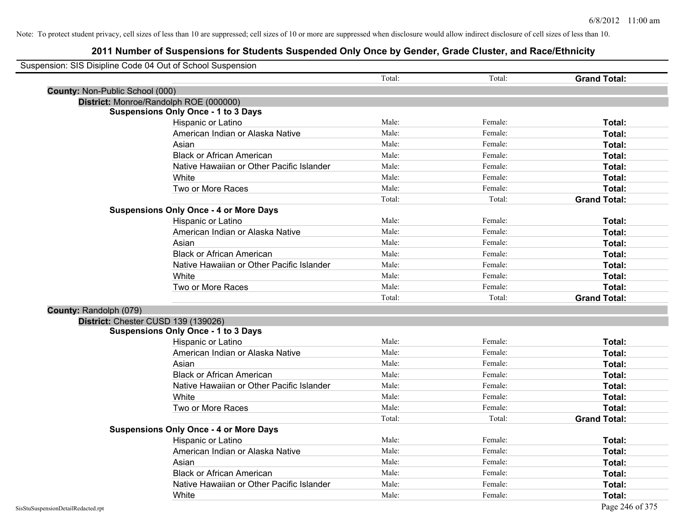|                                 | Suspension: SIS Disipline Code 04 Out of School Suspension |        |         |                     |
|---------------------------------|------------------------------------------------------------|--------|---------|---------------------|
|                                 |                                                            | Total: | Total:  | <b>Grand Total:</b> |
| County: Non-Public School (000) |                                                            |        |         |                     |
|                                 | District: Monroe/Randolph ROE (000000)                     |        |         |                     |
|                                 | <b>Suspensions Only Once - 1 to 3 Days</b>                 |        |         |                     |
|                                 | Hispanic or Latino                                         | Male:  | Female: | Total:              |
|                                 | American Indian or Alaska Native                           | Male:  | Female: | Total:              |
|                                 | Asian                                                      | Male:  | Female: | Total:              |
|                                 | <b>Black or African American</b>                           | Male:  | Female: | Total:              |
|                                 | Native Hawaiian or Other Pacific Islander                  | Male:  | Female: | Total:              |
|                                 | White                                                      | Male:  | Female: | Total:              |
|                                 | Two or More Races                                          | Male:  | Female: | Total:              |
|                                 |                                                            | Total: | Total:  | <b>Grand Total:</b> |
|                                 | <b>Suspensions Only Once - 4 or More Days</b>              |        |         |                     |
|                                 | Hispanic or Latino                                         | Male:  | Female: | Total:              |
|                                 | American Indian or Alaska Native                           | Male:  | Female: | Total:              |
|                                 | Asian                                                      | Male:  | Female: | Total:              |
|                                 | <b>Black or African American</b>                           | Male:  | Female: | Total:              |
|                                 | Native Hawaiian or Other Pacific Islander                  | Male:  | Female: | Total:              |
|                                 | White                                                      | Male:  | Female: | Total:              |
|                                 | Two or More Races                                          | Male:  | Female: | Total:              |
|                                 |                                                            | Total: | Total:  | <b>Grand Total:</b> |
| County: Randolph (079)          |                                                            |        |         |                     |
|                                 | District: Chester CUSD 139 (139026)                        |        |         |                     |
|                                 | <b>Suspensions Only Once - 1 to 3 Days</b>                 |        |         |                     |
|                                 | Hispanic or Latino                                         | Male:  | Female: | Total:              |
|                                 | American Indian or Alaska Native                           | Male:  | Female: | Total:              |
|                                 | Asian                                                      | Male:  | Female: | Total:              |
|                                 | <b>Black or African American</b>                           | Male:  | Female: | Total:              |
|                                 | Native Hawaiian or Other Pacific Islander                  | Male:  | Female: | Total:              |
|                                 | White                                                      | Male:  | Female: | Total:              |
|                                 | Two or More Races                                          | Male:  | Female: | <b>Total:</b>       |
|                                 |                                                            | Total: | Total:  | <b>Grand Total:</b> |
|                                 | <b>Suspensions Only Once - 4 or More Days</b>              |        |         |                     |
|                                 | Hispanic or Latino                                         | Male:  | Female: | Total:              |
|                                 | American Indian or Alaska Native                           | Male:  | Female: | Total:              |
|                                 | Asian                                                      | Male:  | Female: | Total:              |
|                                 | <b>Black or African American</b>                           | Male:  | Female: | Total:              |
|                                 | Native Hawaiian or Other Pacific Islander                  | Male:  | Female: | Total:              |
|                                 | White                                                      | Male:  | Female: | Total:              |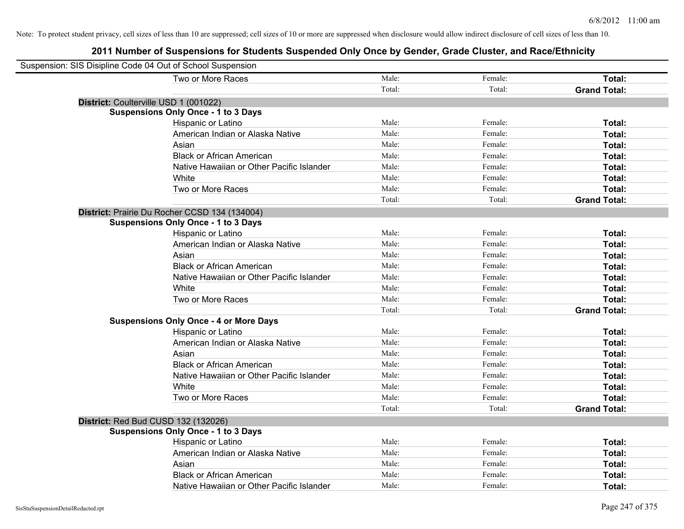| Suspension: SIS Disipline Code 04 Out of School Suspension |                                               |        |         |                     |
|------------------------------------------------------------|-----------------------------------------------|--------|---------|---------------------|
|                                                            | Two or More Races                             | Male:  | Female: | Total:              |
|                                                            |                                               | Total: | Total:  | <b>Grand Total:</b> |
| District: Coulterville USD 1 (001022)                      |                                               |        |         |                     |
|                                                            | <b>Suspensions Only Once - 1 to 3 Days</b>    |        |         |                     |
|                                                            | Hispanic or Latino                            | Male:  | Female: | Total:              |
|                                                            | American Indian or Alaska Native              | Male:  | Female: | Total:              |
|                                                            | Asian                                         | Male:  | Female: | Total:              |
|                                                            | <b>Black or African American</b>              | Male:  | Female: | Total:              |
|                                                            | Native Hawaiian or Other Pacific Islander     | Male:  | Female: | Total:              |
|                                                            | White                                         | Male:  | Female: | Total:              |
|                                                            | Two or More Races                             | Male:  | Female: | Total:              |
|                                                            |                                               | Total: | Total:  | <b>Grand Total:</b> |
|                                                            | District: Prairie Du Rocher CCSD 134 (134004) |        |         |                     |
|                                                            | <b>Suspensions Only Once - 1 to 3 Days</b>    |        |         |                     |
|                                                            | Hispanic or Latino                            | Male:  | Female: | Total:              |
|                                                            | American Indian or Alaska Native              | Male:  | Female: | Total:              |
|                                                            | Asian                                         | Male:  | Female: | Total:              |
|                                                            | <b>Black or African American</b>              | Male:  | Female: | Total:              |
|                                                            | Native Hawaiian or Other Pacific Islander     | Male:  | Female: | Total:              |
|                                                            | White                                         | Male:  | Female: | Total:              |
|                                                            | Two or More Races                             | Male:  | Female: | Total:              |
|                                                            |                                               | Total: | Total:  | <b>Grand Total:</b> |
|                                                            | <b>Suspensions Only Once - 4 or More Days</b> |        |         |                     |
|                                                            | Hispanic or Latino                            | Male:  | Female: | Total:              |
|                                                            | American Indian or Alaska Native              | Male:  | Female: | Total:              |
|                                                            | Asian                                         | Male:  | Female: | Total:              |
|                                                            | <b>Black or African American</b>              | Male:  | Female: | Total:              |
|                                                            | Native Hawaiian or Other Pacific Islander     | Male:  | Female: | Total:              |
|                                                            | White                                         | Male:  | Female: | Total:              |
|                                                            | Two or More Races                             | Male:  | Female: | Total:              |
|                                                            |                                               | Total: | Total:  | <b>Grand Total:</b> |
| <b>District: Red Bud CUSD 132 (132026)</b>                 |                                               |        |         |                     |
|                                                            | <b>Suspensions Only Once - 1 to 3 Days</b>    |        |         |                     |
|                                                            | Hispanic or Latino                            | Male:  | Female: | Total:              |
|                                                            | American Indian or Alaska Native              | Male:  | Female: | Total:              |
|                                                            | Asian                                         | Male:  | Female: | Total:              |
|                                                            | <b>Black or African American</b>              | Male:  | Female: | Total:              |
|                                                            | Native Hawaiian or Other Pacific Islander     | Male:  | Female: | Total:              |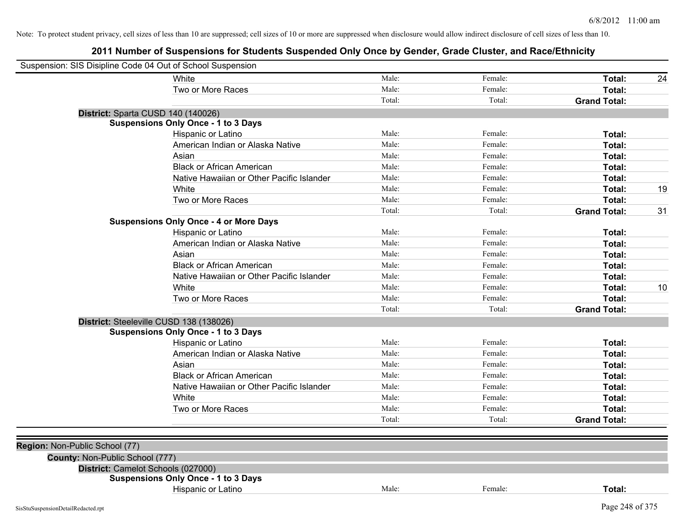| Suspension: SIS Disipline Code 04 Out of School Suspension |                                               |        |         |                     |    |
|------------------------------------------------------------|-----------------------------------------------|--------|---------|---------------------|----|
|                                                            | White                                         | Male:  | Female: | Total:              | 24 |
|                                                            | Two or More Races                             | Male:  | Female: | Total:              |    |
|                                                            |                                               | Total: | Total:  | <b>Grand Total:</b> |    |
|                                                            | District: Sparta CUSD 140 (140026)            |        |         |                     |    |
|                                                            | <b>Suspensions Only Once - 1 to 3 Days</b>    |        |         |                     |    |
|                                                            | Hispanic or Latino                            | Male:  | Female: | Total:              |    |
|                                                            | American Indian or Alaska Native              | Male:  | Female: | Total:              |    |
|                                                            | Asian                                         | Male:  | Female: | Total:              |    |
|                                                            | <b>Black or African American</b>              | Male:  | Female: | Total:              |    |
|                                                            | Native Hawaiian or Other Pacific Islander     | Male:  | Female: | Total:              |    |
|                                                            | White                                         | Male:  | Female: | Total:              | 19 |
|                                                            | Two or More Races                             | Male:  | Female: | Total:              |    |
|                                                            |                                               | Total: | Total:  | <b>Grand Total:</b> | 31 |
|                                                            | <b>Suspensions Only Once - 4 or More Days</b> |        |         |                     |    |
|                                                            | Hispanic or Latino                            | Male:  | Female: | Total:              |    |
|                                                            | American Indian or Alaska Native              | Male:  | Female: | Total:              |    |
|                                                            | Asian                                         | Male:  | Female: | Total:              |    |
|                                                            | <b>Black or African American</b>              | Male:  | Female: | Total:              |    |
|                                                            | Native Hawaiian or Other Pacific Islander     | Male:  | Female: | Total:              |    |
|                                                            | White                                         | Male:  | Female: | Total:              | 10 |
|                                                            | Two or More Races                             | Male:  | Female: | Total:              |    |
|                                                            |                                               | Total: | Total:  | <b>Grand Total:</b> |    |
|                                                            | District: Steeleville CUSD 138 (138026)       |        |         |                     |    |
|                                                            | <b>Suspensions Only Once - 1 to 3 Days</b>    |        |         |                     |    |
|                                                            | Hispanic or Latino                            | Male:  | Female: | Total:              |    |
|                                                            | American Indian or Alaska Native              | Male:  | Female: | Total:              |    |
|                                                            | Asian                                         | Male:  | Female: | Total:              |    |
|                                                            | <b>Black or African American</b>              | Male:  | Female: | Total:              |    |
|                                                            | Native Hawaiian or Other Pacific Islander     | Male:  | Female: | Total:              |    |
|                                                            | White                                         | Male:  | Female: | Total:              |    |
|                                                            | Two or More Races                             | Male:  | Female: | Total:              |    |
|                                                            |                                               | Total: | Total:  | <b>Grand Total:</b> |    |
|                                                            |                                               |        |         |                     |    |
| Region: Non-Public School (77)                             |                                               |        |         |                     |    |
| County: Non-Public School (777)                            |                                               |        |         |                     |    |
|                                                            | District: Camelot Schools (027000)            |        |         |                     |    |
|                                                            | <b>Suspensions Only Once - 1 to 3 Days</b>    |        |         |                     |    |
|                                                            | Hispanic or Latino                            | Male:  | Female: | Total:              |    |
| SisStuSuspensionDetailRedacted.rpt                         |                                               |        |         | Page 248 of 375     |    |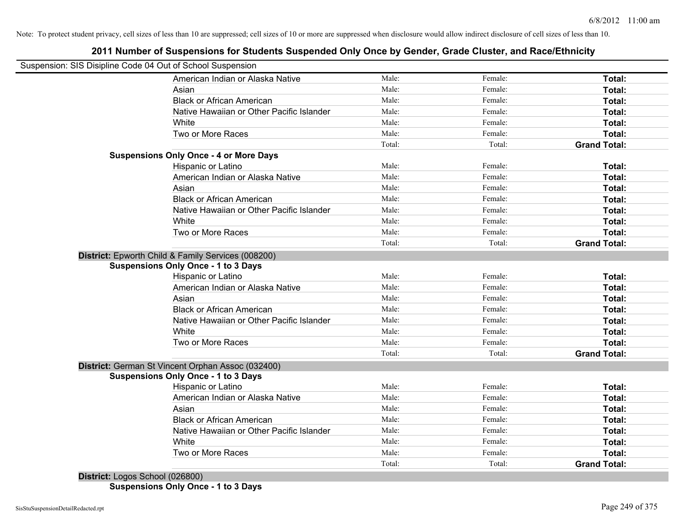# **2011 Number of Suspensions for Students Suspended Only Once by Gender, Grade Cluster, and Race/Ethnicity**

| Suspension: SIS Disipline Code 04 Out of School Suspension |        |         |                     |
|------------------------------------------------------------|--------|---------|---------------------|
| American Indian or Alaska Native                           | Male:  | Female: | Total:              |
| Asian                                                      | Male:  | Female: | Total:              |
| <b>Black or African American</b>                           | Male:  | Female: | Total:              |
| Native Hawaiian or Other Pacific Islander                  | Male:  | Female: | Total:              |
| White                                                      | Male:  | Female: | Total:              |
| Two or More Races                                          | Male:  | Female: | Total:              |
|                                                            | Total: | Total:  | <b>Grand Total:</b> |
| <b>Suspensions Only Once - 4 or More Days</b>              |        |         |                     |
| Hispanic or Latino                                         | Male:  | Female: | Total:              |
| American Indian or Alaska Native                           | Male:  | Female: | Total:              |
| Asian                                                      | Male:  | Female: | Total:              |
| <b>Black or African American</b>                           | Male:  | Female: | Total:              |
| Native Hawaiian or Other Pacific Islander                  | Male:  | Female: | Total:              |
| White                                                      | Male:  | Female: | Total:              |
| Two or More Races                                          | Male:  | Female: | Total:              |
|                                                            | Total: | Total:  | <b>Grand Total:</b> |
| District: Epworth Child & Family Services (008200)         |        |         |                     |
| <b>Suspensions Only Once - 1 to 3 Days</b>                 |        |         |                     |
| Hispanic or Latino                                         | Male:  | Female: | Total:              |
| American Indian or Alaska Native                           | Male:  | Female: | Total:              |
| Asian                                                      | Male:  | Female: | Total:              |
| <b>Black or African American</b>                           | Male:  | Female: | Total:              |
| Native Hawaiian or Other Pacific Islander                  | Male:  | Female: | Total:              |
| White                                                      | Male:  | Female: | Total:              |
| Two or More Races                                          | Male:  | Female: | Total:              |
|                                                            | Total: | Total:  | <b>Grand Total:</b> |
| District: German St Vincent Orphan Assoc (032400)          |        |         |                     |
| <b>Suspensions Only Once - 1 to 3 Days</b>                 |        |         |                     |
| Hispanic or Latino                                         | Male:  | Female: | Total:              |
| American Indian or Alaska Native                           | Male:  | Female: | Total:              |
| Asian                                                      | Male:  | Female: | Total:              |
| <b>Black or African American</b>                           | Male:  | Female: | Total:              |
| Native Hawaiian or Other Pacific Islander                  | Male:  | Female: | Total:              |
| White                                                      | Male:  | Female: | Total:              |
|                                                            |        |         |                     |
| Two or More Races                                          | Male:  | Female: | Total:              |

**District:** Logos School (026800) **Suspensions Only Once - 1 to 3 Days**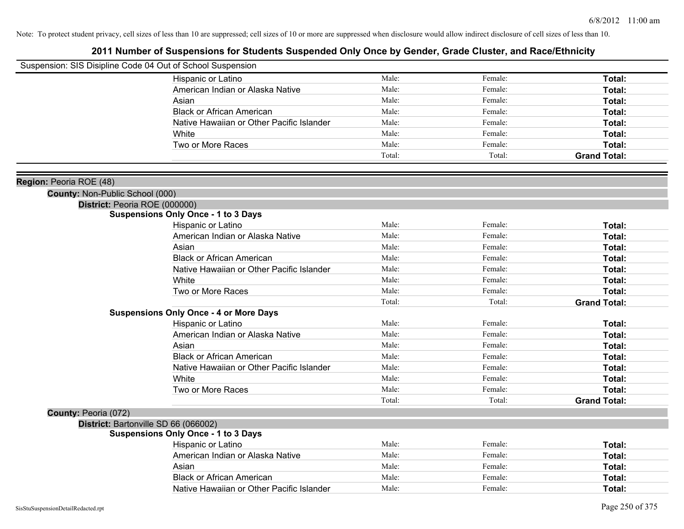| Suspension: SIS Disipline Code 04 Out of School Suspension |                                               |        |         |                     |
|------------------------------------------------------------|-----------------------------------------------|--------|---------|---------------------|
|                                                            | Hispanic or Latino                            | Male:  | Female: | Total:              |
|                                                            | American Indian or Alaska Native              | Male:  | Female: | Total:              |
|                                                            | Asian                                         | Male:  | Female: | Total:              |
|                                                            | <b>Black or African American</b>              | Male:  | Female: | Total:              |
|                                                            | Native Hawaiian or Other Pacific Islander     | Male:  | Female: | Total:              |
|                                                            | White                                         | Male:  | Female: | Total:              |
|                                                            | Two or More Races                             | Male:  | Female: | Total:              |
|                                                            |                                               | Total: | Total:  | <b>Grand Total:</b> |
| Region: Peoria ROE (48)                                    |                                               |        |         |                     |
| <b>County: Non-Public School (000)</b>                     |                                               |        |         |                     |
| District: Peoria ROE (000000)                              |                                               |        |         |                     |
|                                                            | <b>Suspensions Only Once - 1 to 3 Days</b>    |        |         |                     |
|                                                            | Hispanic or Latino                            | Male:  | Female: | Total:              |
|                                                            | American Indian or Alaska Native              | Male:  | Female: | Total:              |
|                                                            | Asian                                         | Male:  | Female: | Total:              |
|                                                            | <b>Black or African American</b>              | Male:  | Female: | Total:              |
|                                                            | Native Hawaiian or Other Pacific Islander     | Male:  | Female: | Total:              |
|                                                            | White                                         | Male:  | Female: | Total:              |
|                                                            | Two or More Races                             | Male:  | Female: | Total:              |
|                                                            |                                               | Total: | Total:  | <b>Grand Total:</b> |
|                                                            | <b>Suspensions Only Once - 4 or More Days</b> |        |         |                     |
|                                                            | Hispanic or Latino                            | Male:  | Female: | Total:              |
|                                                            | American Indian or Alaska Native              | Male:  | Female: | Total:              |
|                                                            | Asian                                         | Male:  | Female: | Total:              |
|                                                            | <b>Black or African American</b>              | Male:  | Female: | Total:              |
|                                                            | Native Hawaiian or Other Pacific Islander     | Male:  | Female: | Total:              |
|                                                            | White                                         | Male:  | Female: | Total:              |
|                                                            | Two or More Races                             | Male:  | Female: | Total:              |
|                                                            |                                               | Total: | Total:  | <b>Grand Total:</b> |
| County: Peoria (072)                                       |                                               |        |         |                     |
|                                                            | District: Bartonville SD 66 (066002)          |        |         |                     |
|                                                            | <b>Suspensions Only Once - 1 to 3 Days</b>    |        |         |                     |
|                                                            | Hispanic or Latino                            | Male:  | Female: | Total:              |
|                                                            | American Indian or Alaska Native              | Male:  | Female: | Total:              |
|                                                            | Asian                                         | Male:  | Female: | Total:              |
|                                                            | <b>Black or African American</b>              | Male:  | Female: | Total:              |
|                                                            | Native Hawaiian or Other Pacific Islander     | Male:  | Female: | Total:              |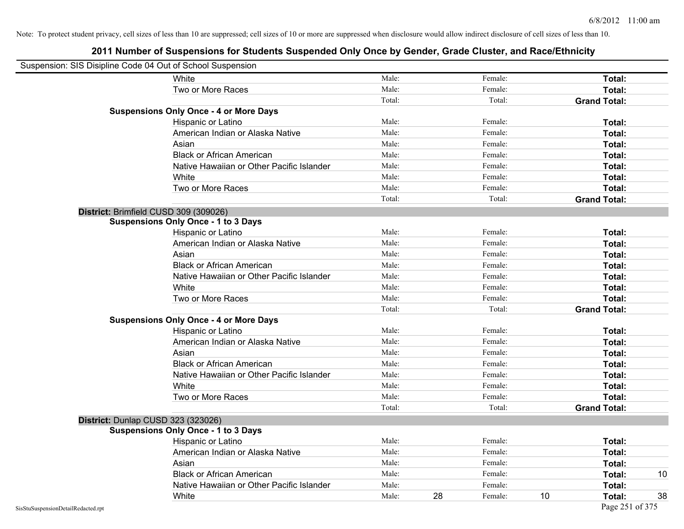| Suspension: SIS Disipline Code 04 Out of School Suspension |                                               |        |    |         |    |                     |    |
|------------------------------------------------------------|-----------------------------------------------|--------|----|---------|----|---------------------|----|
|                                                            | White                                         | Male:  |    | Female: |    | Total:              |    |
|                                                            | Two or More Races                             | Male:  |    | Female: |    | Total:              |    |
|                                                            |                                               | Total: |    | Total:  |    | <b>Grand Total:</b> |    |
|                                                            | <b>Suspensions Only Once - 4 or More Days</b> |        |    |         |    |                     |    |
|                                                            | Hispanic or Latino                            | Male:  |    | Female: |    | Total:              |    |
|                                                            | American Indian or Alaska Native              | Male:  |    | Female: |    | Total:              |    |
|                                                            | Asian                                         | Male:  |    | Female: |    | Total:              |    |
|                                                            | <b>Black or African American</b>              | Male:  |    | Female: |    | Total:              |    |
|                                                            | Native Hawaiian or Other Pacific Islander     | Male:  |    | Female: |    | Total:              |    |
|                                                            | White                                         | Male:  |    | Female: |    | Total:              |    |
|                                                            | Two or More Races                             | Male:  |    | Female: |    | Total:              |    |
|                                                            |                                               | Total: |    | Total:  |    | <b>Grand Total:</b> |    |
|                                                            | District: Brimfield CUSD 309 (309026)         |        |    |         |    |                     |    |
|                                                            | <b>Suspensions Only Once - 1 to 3 Days</b>    |        |    |         |    |                     |    |
|                                                            | Hispanic or Latino                            | Male:  |    | Female: |    | Total:              |    |
|                                                            | American Indian or Alaska Native              | Male:  |    | Female: |    | Total:              |    |
|                                                            | Asian                                         | Male:  |    | Female: |    | Total:              |    |
|                                                            | <b>Black or African American</b>              | Male:  |    | Female: |    | Total:              |    |
|                                                            | Native Hawaiian or Other Pacific Islander     | Male:  |    | Female: |    | Total:              |    |
|                                                            | White                                         | Male:  |    | Female: |    | Total:              |    |
|                                                            | Two or More Races                             | Male:  |    | Female: |    | Total:              |    |
|                                                            |                                               | Total: |    | Total:  |    | <b>Grand Total:</b> |    |
|                                                            | <b>Suspensions Only Once - 4 or More Days</b> |        |    |         |    |                     |    |
|                                                            | Hispanic or Latino                            | Male:  |    | Female: |    | Total:              |    |
|                                                            | American Indian or Alaska Native              | Male:  |    | Female: |    | Total:              |    |
|                                                            | Asian                                         | Male:  |    | Female: |    | Total:              |    |
|                                                            | <b>Black or African American</b>              | Male:  |    | Female: |    | Total:              |    |
|                                                            | Native Hawaiian or Other Pacific Islander     | Male:  |    | Female: |    | Total:              |    |
|                                                            | White                                         | Male:  |    | Female: |    | Total:              |    |
|                                                            | Two or More Races                             | Male:  |    | Female: |    | Total:              |    |
|                                                            |                                               | Total: |    | Total:  |    | <b>Grand Total:</b> |    |
|                                                            | District: Dunlap CUSD 323 (323026)            |        |    |         |    |                     |    |
|                                                            | <b>Suspensions Only Once - 1 to 3 Days</b>    |        |    |         |    |                     |    |
|                                                            | Hispanic or Latino                            | Male:  |    | Female: |    | Total:              |    |
|                                                            | American Indian or Alaska Native              | Male:  |    | Female: |    | Total:              |    |
|                                                            | Asian                                         | Male:  |    | Female: |    | Total:              |    |
|                                                            | <b>Black or African American</b>              | Male:  |    | Female: |    | Total:              | 10 |
|                                                            | Native Hawaiian or Other Pacific Islander     | Male:  |    | Female: |    | Total:              |    |
|                                                            | White                                         | Male:  | 28 | Female: | 10 | Total:              | 38 |
|                                                            |                                               |        |    |         |    | Page 251 of 375     |    |
| SisStuSuspensionDetailRedacted.rpt                         |                                               |        |    |         |    |                     |    |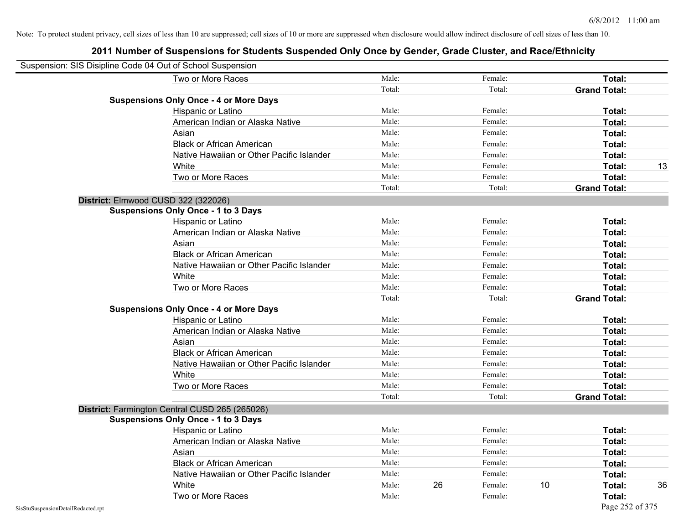| Suspension: SIS Disipline Code 04 Out of School Suspension |                                                |        |    |         |    |                     |    |
|------------------------------------------------------------|------------------------------------------------|--------|----|---------|----|---------------------|----|
|                                                            | Two or More Races                              | Male:  |    | Female: |    | Total:              |    |
|                                                            |                                                | Total: |    | Total:  |    | <b>Grand Total:</b> |    |
|                                                            | <b>Suspensions Only Once - 4 or More Days</b>  |        |    |         |    |                     |    |
|                                                            | Hispanic or Latino                             | Male:  |    | Female: |    | Total:              |    |
|                                                            | American Indian or Alaska Native               | Male:  |    | Female: |    | Total:              |    |
|                                                            | Asian                                          | Male:  |    | Female: |    | Total:              |    |
|                                                            | <b>Black or African American</b>               | Male:  |    | Female: |    | Total:              |    |
|                                                            | Native Hawaiian or Other Pacific Islander      | Male:  |    | Female: |    | Total:              |    |
|                                                            | White                                          | Male:  |    | Female: |    | Total:              | 13 |
|                                                            | Two or More Races                              | Male:  |    | Female: |    | Total:              |    |
|                                                            |                                                | Total: |    | Total:  |    | <b>Grand Total:</b> |    |
|                                                            | District: Elmwood CUSD 322 (322026)            |        |    |         |    |                     |    |
|                                                            | <b>Suspensions Only Once - 1 to 3 Days</b>     |        |    |         |    |                     |    |
|                                                            | Hispanic or Latino                             | Male:  |    | Female: |    | Total:              |    |
|                                                            | American Indian or Alaska Native               | Male:  |    | Female: |    | Total:              |    |
|                                                            | Asian                                          | Male:  |    | Female: |    | Total:              |    |
|                                                            | <b>Black or African American</b>               | Male:  |    | Female: |    | Total:              |    |
|                                                            | Native Hawaiian or Other Pacific Islander      | Male:  |    | Female: |    | Total:              |    |
|                                                            | White                                          | Male:  |    | Female: |    | Total:              |    |
|                                                            | Two or More Races                              | Male:  |    | Female: |    | Total:              |    |
|                                                            |                                                | Total: |    | Total:  |    | <b>Grand Total:</b> |    |
|                                                            | <b>Suspensions Only Once - 4 or More Days</b>  |        |    |         |    |                     |    |
|                                                            | Hispanic or Latino                             | Male:  |    | Female: |    | Total:              |    |
|                                                            | American Indian or Alaska Native               | Male:  |    | Female: |    | Total:              |    |
|                                                            | Asian                                          | Male:  |    | Female: |    | Total:              |    |
|                                                            | <b>Black or African American</b>               | Male:  |    | Female: |    | Total:              |    |
|                                                            | Native Hawaiian or Other Pacific Islander      | Male:  |    | Female: |    | Total:              |    |
|                                                            | White                                          | Male:  |    | Female: |    | Total:              |    |
|                                                            | Two or More Races                              | Male:  |    | Female: |    | Total:              |    |
|                                                            |                                                | Total: |    | Total:  |    | <b>Grand Total:</b> |    |
|                                                            | District: Farmington Central CUSD 265 (265026) |        |    |         |    |                     |    |
|                                                            | <b>Suspensions Only Once - 1 to 3 Days</b>     |        |    |         |    |                     |    |
|                                                            | Hispanic or Latino                             | Male:  |    | Female: |    | Total:              |    |
|                                                            | American Indian or Alaska Native               | Male:  |    | Female: |    | Total:              |    |
|                                                            | Asian                                          | Male:  |    | Female: |    | Total:              |    |
|                                                            | <b>Black or African American</b>               | Male:  |    | Female: |    | Total:              |    |
|                                                            | Native Hawaiian or Other Pacific Islander      | Male:  |    | Female: |    | Total:              |    |
|                                                            | White                                          | Male:  | 26 | Female: | 10 | Total:              | 36 |
|                                                            | Two or More Races                              | Male:  |    | Female: |    | Total:              |    |
| SisStuSuspensionDetailRedacted.rpt                         |                                                |        |    |         |    | Page 252 of 375     |    |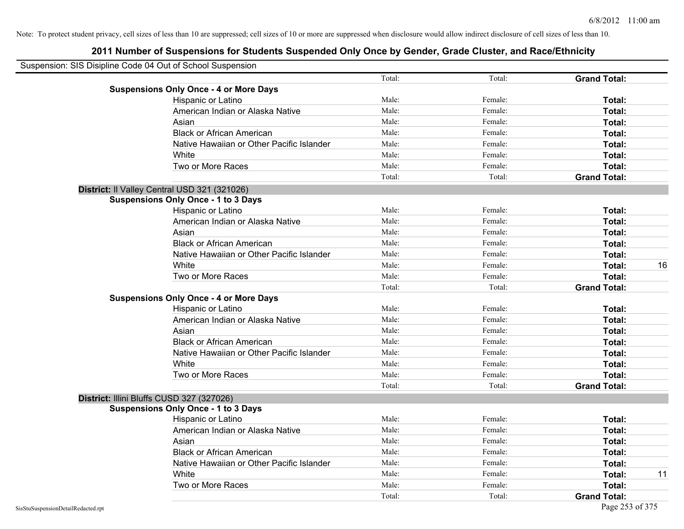| Suspension: SIS Disipline Code 04 Out of School Suspension |        |         |                     |    |
|------------------------------------------------------------|--------|---------|---------------------|----|
|                                                            | Total: | Total:  | <b>Grand Total:</b> |    |
| <b>Suspensions Only Once - 4 or More Days</b>              |        |         |                     |    |
| Hispanic or Latino                                         | Male:  | Female: | Total:              |    |
| American Indian or Alaska Native                           | Male:  | Female: | Total:              |    |
| Asian                                                      | Male:  | Female: | Total:              |    |
| <b>Black or African American</b>                           | Male:  | Female: | Total:              |    |
| Native Hawaiian or Other Pacific Islander                  | Male:  | Female: | Total:              |    |
| White                                                      | Male:  | Female: | Total:              |    |
| Two or More Races                                          | Male:  | Female: | Total:              |    |
|                                                            | Total: | Total:  | <b>Grand Total:</b> |    |
| District: Il Valley Central USD 321 (321026)               |        |         |                     |    |
| <b>Suspensions Only Once - 1 to 3 Days</b>                 |        |         |                     |    |
| Hispanic or Latino                                         | Male:  | Female: | Total:              |    |
| American Indian or Alaska Native                           | Male:  | Female: | Total:              |    |
| Asian                                                      | Male:  | Female: | Total:              |    |
| <b>Black or African American</b>                           | Male:  | Female: | Total:              |    |
| Native Hawaiian or Other Pacific Islander                  | Male:  | Female: | Total:              |    |
| White                                                      | Male:  | Female: | Total:              | 16 |
| Two or More Races                                          | Male:  | Female: | Total:              |    |
|                                                            | Total: | Total:  | <b>Grand Total:</b> |    |
| <b>Suspensions Only Once - 4 or More Days</b>              |        |         |                     |    |
| Hispanic or Latino                                         | Male:  | Female: | Total:              |    |
| American Indian or Alaska Native                           | Male:  | Female: | Total:              |    |
| Asian                                                      | Male:  | Female: | Total:              |    |
| <b>Black or African American</b>                           | Male:  | Female: | Total:              |    |
| Native Hawaiian or Other Pacific Islander                  | Male:  | Female: | Total:              |    |
| White                                                      | Male:  | Female: | Total:              |    |
| Two or More Races                                          | Male:  | Female: | Total:              |    |
|                                                            | Total: | Total:  | <b>Grand Total:</b> |    |
| District: Illini Bluffs CUSD 327 (327026)                  |        |         |                     |    |
| <b>Suspensions Only Once - 1 to 3 Days</b>                 |        |         |                     |    |
| Hispanic or Latino                                         | Male:  | Female: | Total:              |    |
| American Indian or Alaska Native                           | Male:  | Female: | Total:              |    |
| Asian                                                      | Male:  | Female: | Total:              |    |
| <b>Black or African American</b>                           | Male:  | Female: | Total:              |    |
| Native Hawaiian or Other Pacific Islander                  | Male:  | Female: | Total:              |    |
| White                                                      | Male:  | Female: | Total:              | 11 |
| Two or More Races                                          | Male:  | Female: | Total:              |    |
|                                                            | Total: | Total:  | <b>Grand Total:</b> |    |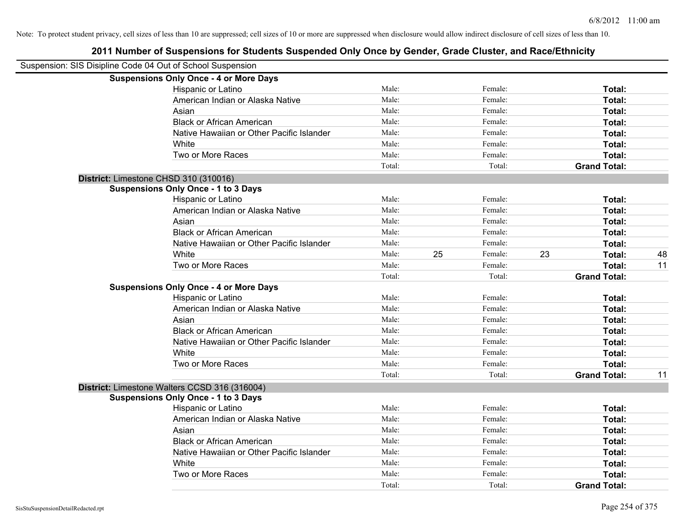| Suspension: SIS Disipline Code 04 Out of School Suspension |        |    |         |    |                     |    |
|------------------------------------------------------------|--------|----|---------|----|---------------------|----|
| <b>Suspensions Only Once - 4 or More Days</b>              |        |    |         |    |                     |    |
| Hispanic or Latino                                         | Male:  |    | Female: |    | Total:              |    |
| American Indian or Alaska Native                           | Male:  |    | Female: |    | Total:              |    |
| Asian                                                      | Male:  |    | Female: |    | Total:              |    |
| <b>Black or African American</b>                           | Male:  |    | Female: |    | Total:              |    |
| Native Hawaiian or Other Pacific Islander                  | Male:  |    | Female: |    | Total:              |    |
| White                                                      | Male:  |    | Female: |    | Total:              |    |
| Two or More Races                                          | Male:  |    | Female: |    | Total:              |    |
|                                                            | Total: |    | Total:  |    | <b>Grand Total:</b> |    |
| District: Limestone CHSD 310 (310016)                      |        |    |         |    |                     |    |
| <b>Suspensions Only Once - 1 to 3 Days</b>                 |        |    |         |    |                     |    |
| Hispanic or Latino                                         | Male:  |    | Female: |    | Total:              |    |
| American Indian or Alaska Native                           | Male:  |    | Female: |    | Total:              |    |
| Asian                                                      | Male:  |    | Female: |    | Total:              |    |
| <b>Black or African American</b>                           | Male:  |    | Female: |    | Total:              |    |
| Native Hawaiian or Other Pacific Islander                  | Male:  |    | Female: |    | Total:              |    |
| White                                                      | Male:  | 25 | Female: | 23 | Total:              | 48 |
| Two or More Races                                          | Male:  |    | Female: |    | Total:              | 11 |
|                                                            | Total: |    | Total:  |    | <b>Grand Total:</b> |    |
| <b>Suspensions Only Once - 4 or More Days</b>              |        |    |         |    |                     |    |
| Hispanic or Latino                                         | Male:  |    | Female: |    | Total:              |    |
| American Indian or Alaska Native                           | Male:  |    | Female: |    | Total:              |    |
| Asian                                                      | Male:  |    | Female: |    | Total:              |    |
| <b>Black or African American</b>                           | Male:  |    | Female: |    | Total:              |    |
| Native Hawaiian or Other Pacific Islander                  | Male:  |    | Female: |    | Total:              |    |
| White                                                      | Male:  |    | Female: |    | Total:              |    |
| Two or More Races                                          | Male:  |    | Female: |    | Total:              |    |
|                                                            | Total: |    | Total:  |    | <b>Grand Total:</b> | 11 |
| District: Limestone Walters CCSD 316 (316004)              |        |    |         |    |                     |    |
| <b>Suspensions Only Once - 1 to 3 Days</b>                 |        |    |         |    |                     |    |
| Hispanic or Latino                                         | Male:  |    | Female: |    | Total:              |    |
| American Indian or Alaska Native                           | Male:  |    | Female: |    | Total:              |    |
| Asian                                                      | Male:  |    | Female: |    | Total:              |    |
| <b>Black or African American</b>                           | Male:  |    | Female: |    | Total:              |    |
| Native Hawaiian or Other Pacific Islander                  | Male:  |    | Female: |    | Total:              |    |
| White                                                      | Male:  |    | Female: |    | Total:              |    |
| Two or More Races                                          | Male:  |    | Female: |    | Total:              |    |
|                                                            | Total: |    | Total:  |    | <b>Grand Total:</b> |    |
|                                                            |        |    |         |    |                     |    |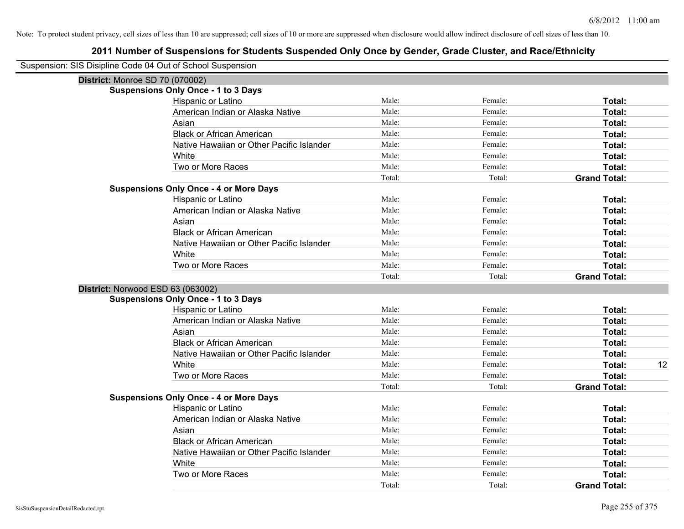| Suspension: SIS Disipline Code 04 Out of School Suspension |                                               |        |         |                     |
|------------------------------------------------------------|-----------------------------------------------|--------|---------|---------------------|
| <b>District: Monroe SD 70 (070002)</b>                     |                                               |        |         |                     |
|                                                            | <b>Suspensions Only Once - 1 to 3 Days</b>    |        |         |                     |
|                                                            | Hispanic or Latino                            | Male:  | Female: | Total:              |
|                                                            | American Indian or Alaska Native              | Male:  | Female: | Total:              |
|                                                            | Asian                                         | Male:  | Female: | Total:              |
|                                                            | <b>Black or African American</b>              | Male:  | Female: | Total:              |
|                                                            | Native Hawaiian or Other Pacific Islander     | Male:  | Female: | Total:              |
|                                                            | White                                         | Male:  | Female: | Total:              |
|                                                            | Two or More Races                             | Male:  | Female: | Total:              |
|                                                            |                                               | Total: | Total:  | <b>Grand Total:</b> |
|                                                            | <b>Suspensions Only Once - 4 or More Days</b> |        |         |                     |
|                                                            | Hispanic or Latino                            | Male:  | Female: | Total:              |
|                                                            | American Indian or Alaska Native              | Male:  | Female: | Total:              |
|                                                            | Asian                                         | Male:  | Female: | Total:              |
|                                                            | <b>Black or African American</b>              | Male:  | Female: | Total:              |
|                                                            | Native Hawaiian or Other Pacific Islander     | Male:  | Female: | Total:              |
|                                                            | White                                         | Male:  | Female: | Total:              |
|                                                            | Two or More Races                             | Male:  | Female: | Total:              |
|                                                            |                                               | Total: | Total:  | <b>Grand Total:</b> |
| District: Norwood ESD 63 (063002)                          |                                               |        |         |                     |
|                                                            | <b>Suspensions Only Once - 1 to 3 Days</b>    |        |         |                     |
|                                                            | Hispanic or Latino                            | Male:  | Female: | Total:              |
|                                                            | American Indian or Alaska Native              | Male:  | Female: | Total:              |
|                                                            | Asian                                         | Male:  | Female: | Total:              |
|                                                            | <b>Black or African American</b>              | Male:  | Female: | Total:              |
|                                                            | Native Hawaiian or Other Pacific Islander     | Male:  | Female: | Total:              |
|                                                            | White                                         | Male:  | Female: | Total:<br>12        |
|                                                            | Two or More Races                             | Male:  | Female: | Total:              |
|                                                            |                                               | Total: | Total:  | <b>Grand Total:</b> |
|                                                            | <b>Suspensions Only Once - 4 or More Days</b> |        |         |                     |
|                                                            | Hispanic or Latino                            | Male:  | Female: | Total:              |
|                                                            | American Indian or Alaska Native              | Male:  | Female: | Total:              |
|                                                            | Asian                                         | Male:  | Female: | Total:              |
|                                                            | <b>Black or African American</b>              | Male:  | Female: | Total:              |
|                                                            | Native Hawaiian or Other Pacific Islander     | Male:  | Female: | Total:              |
|                                                            | White                                         | Male:  | Female: | Total:              |
|                                                            | Two or More Races                             | Male:  | Female: | Total:              |
|                                                            |                                               | Total: | Total:  | <b>Grand Total:</b> |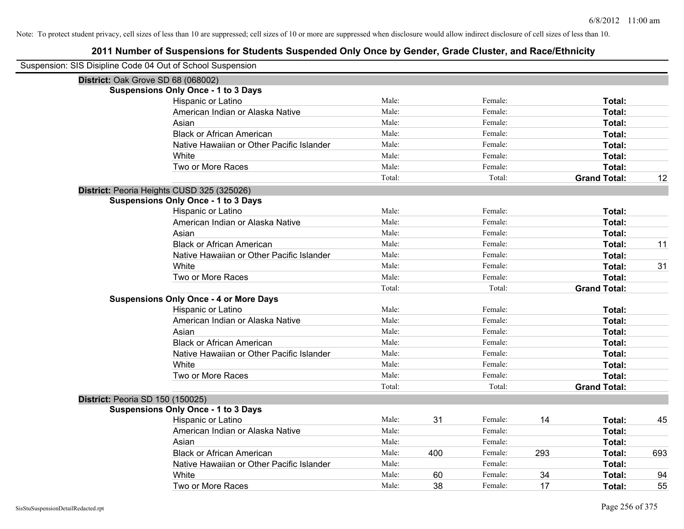| Suspension: SIS Disipline Code 04 Out of School Suspension |                                               |        |     |         |     |                     |     |
|------------------------------------------------------------|-----------------------------------------------|--------|-----|---------|-----|---------------------|-----|
| District: Oak Grove SD 68 (068002)                         |                                               |        |     |         |     |                     |     |
|                                                            | <b>Suspensions Only Once - 1 to 3 Days</b>    |        |     |         |     |                     |     |
|                                                            | Hispanic or Latino                            | Male:  |     | Female: |     | Total:              |     |
|                                                            | American Indian or Alaska Native              | Male:  |     | Female: |     | Total:              |     |
|                                                            | Asian                                         | Male:  |     | Female: |     | Total:              |     |
|                                                            | <b>Black or African American</b>              | Male:  |     | Female: |     | Total:              |     |
|                                                            | Native Hawaiian or Other Pacific Islander     | Male:  |     | Female: |     | Total:              |     |
|                                                            | White                                         | Male:  |     | Female: |     | Total:              |     |
|                                                            | Two or More Races                             | Male:  |     | Female: |     | Total:              |     |
|                                                            |                                               | Total: |     | Total:  |     | <b>Grand Total:</b> | 12  |
|                                                            | District: Peoria Heights CUSD 325 (325026)    |        |     |         |     |                     |     |
|                                                            | <b>Suspensions Only Once - 1 to 3 Days</b>    |        |     |         |     |                     |     |
|                                                            | Hispanic or Latino                            | Male:  |     | Female: |     | Total:              |     |
|                                                            | American Indian or Alaska Native              | Male:  |     | Female: |     | Total:              |     |
|                                                            | Asian                                         | Male:  |     | Female: |     | Total:              |     |
|                                                            | <b>Black or African American</b>              | Male:  |     | Female: |     | Total:              | 11  |
|                                                            | Native Hawaiian or Other Pacific Islander     | Male:  |     | Female: |     | Total:              |     |
|                                                            | White                                         | Male:  |     | Female: |     | Total:              | 31  |
|                                                            | Two or More Races                             | Male:  |     | Female: |     | Total:              |     |
|                                                            |                                               | Total: |     | Total:  |     | <b>Grand Total:</b> |     |
|                                                            | <b>Suspensions Only Once - 4 or More Days</b> |        |     |         |     |                     |     |
|                                                            | Hispanic or Latino                            | Male:  |     | Female: |     | Total:              |     |
|                                                            | American Indian or Alaska Native              | Male:  |     | Female: |     | Total:              |     |
|                                                            | Asian                                         | Male:  |     | Female: |     | Total:              |     |
|                                                            | <b>Black or African American</b>              | Male:  |     | Female: |     | Total:              |     |
|                                                            | Native Hawaiian or Other Pacific Islander     | Male:  |     | Female: |     | Total:              |     |
|                                                            | White                                         | Male:  |     | Female: |     | Total:              |     |
|                                                            | Two or More Races                             | Male:  |     | Female: |     | Total:              |     |
|                                                            |                                               | Total: |     | Total:  |     | <b>Grand Total:</b> |     |
| District: Peoria SD 150 (150025)                           |                                               |        |     |         |     |                     |     |
|                                                            | <b>Suspensions Only Once - 1 to 3 Days</b>    |        |     |         |     |                     |     |
|                                                            | Hispanic or Latino                            | Male:  | 31  | Female: | 14  | Total:              | 45  |
|                                                            | American Indian or Alaska Native              | Male:  |     | Female: |     | Total:              |     |
|                                                            | Asian                                         | Male:  |     | Female: |     | Total:              |     |
|                                                            | <b>Black or African American</b>              | Male:  | 400 | Female: | 293 | Total:              | 693 |
|                                                            | Native Hawaiian or Other Pacific Islander     | Male:  |     | Female: |     | Total:              |     |
|                                                            | White                                         | Male:  | 60  | Female: | 34  | Total:              | 94  |
|                                                            | Two or More Races                             | Male:  | 38  | Female: | 17  | Total:              | 55  |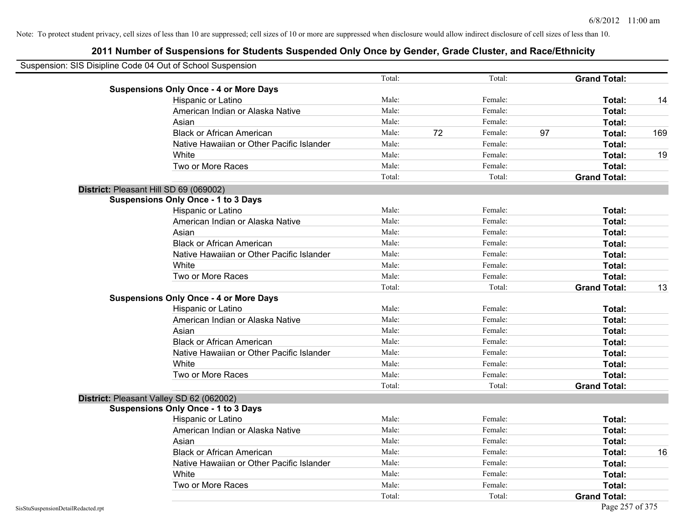| Suspension: SIS Disipline Code 04 Out of School Suspension |                                               |        |    |         |                     |        |     |
|------------------------------------------------------------|-----------------------------------------------|--------|----|---------|---------------------|--------|-----|
|                                                            |                                               | Total: |    | Total:  | <b>Grand Total:</b> |        |     |
|                                                            | <b>Suspensions Only Once - 4 or More Days</b> |        |    |         |                     |        |     |
|                                                            | Hispanic or Latino                            | Male:  |    | Female: |                     | Total: | 14  |
|                                                            | American Indian or Alaska Native              | Male:  |    | Female: |                     | Total: |     |
|                                                            | Asian                                         | Male:  |    | Female: |                     | Total: |     |
|                                                            | <b>Black or African American</b>              | Male:  | 72 | Female: | 97                  | Total: | 169 |
|                                                            | Native Hawaiian or Other Pacific Islander     | Male:  |    | Female: |                     | Total: |     |
|                                                            | White                                         | Male:  |    | Female: |                     | Total: | 19  |
|                                                            | Two or More Races                             | Male:  |    | Female: |                     | Total: |     |
|                                                            |                                               | Total: |    | Total:  | <b>Grand Total:</b> |        |     |
|                                                            | District: Pleasant Hill SD 69 (069002)        |        |    |         |                     |        |     |
|                                                            | <b>Suspensions Only Once - 1 to 3 Days</b>    |        |    |         |                     |        |     |
|                                                            | Hispanic or Latino                            | Male:  |    | Female: |                     | Total: |     |
|                                                            | American Indian or Alaska Native              | Male:  |    | Female: |                     | Total: |     |
|                                                            | Asian                                         | Male:  |    | Female: |                     | Total: |     |
|                                                            | <b>Black or African American</b>              | Male:  |    | Female: |                     | Total: |     |
|                                                            | Native Hawaiian or Other Pacific Islander     | Male:  |    | Female: |                     | Total: |     |
|                                                            | White                                         | Male:  |    | Female: |                     | Total: |     |
|                                                            | Two or More Races                             | Male:  |    | Female: |                     | Total: |     |
|                                                            |                                               | Total: |    | Total:  | <b>Grand Total:</b> |        | 13  |
|                                                            | <b>Suspensions Only Once - 4 or More Days</b> |        |    |         |                     |        |     |
|                                                            | Hispanic or Latino                            | Male:  |    | Female: |                     | Total: |     |
|                                                            | American Indian or Alaska Native              | Male:  |    | Female: |                     | Total: |     |
|                                                            | Asian                                         | Male:  |    | Female: |                     | Total: |     |
|                                                            | <b>Black or African American</b>              | Male:  |    | Female: |                     | Total: |     |
|                                                            | Native Hawaiian or Other Pacific Islander     | Male:  |    | Female: |                     | Total: |     |
|                                                            | White                                         | Male:  |    | Female: |                     | Total: |     |
|                                                            | Two or More Races                             | Male:  |    | Female: |                     | Total: |     |
|                                                            |                                               | Total: |    | Total:  | <b>Grand Total:</b> |        |     |
|                                                            | District: Pleasant Valley SD 62 (062002)      |        |    |         |                     |        |     |
|                                                            | <b>Suspensions Only Once - 1 to 3 Days</b>    |        |    |         |                     |        |     |
|                                                            | Hispanic or Latino                            | Male:  |    | Female: |                     | Total: |     |
|                                                            | American Indian or Alaska Native              | Male:  |    | Female: |                     | Total: |     |
|                                                            | Asian                                         | Male:  |    | Female: |                     | Total: |     |
|                                                            | <b>Black or African American</b>              | Male:  |    | Female: |                     | Total: | 16  |
|                                                            | Native Hawaiian or Other Pacific Islander     | Male:  |    | Female: |                     | Total: |     |
|                                                            | White                                         | Male:  |    | Female: |                     | Total: |     |
|                                                            | Two or More Races                             | Male:  |    | Female: |                     | Total: |     |
|                                                            |                                               | Total: |    | Total:  | <b>Grand Total:</b> |        |     |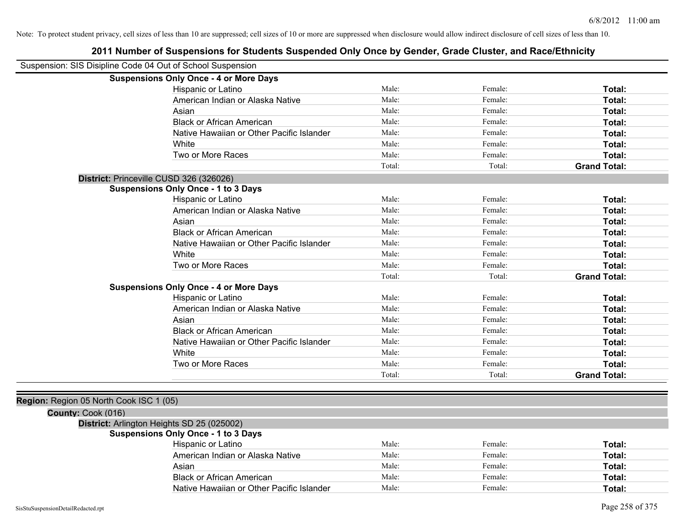| Suspension: SIS Disipline Code 04 Out of School Suspension |                                               |        |         |                     |
|------------------------------------------------------------|-----------------------------------------------|--------|---------|---------------------|
|                                                            | <b>Suspensions Only Once - 4 or More Days</b> |        |         |                     |
|                                                            | Hispanic or Latino                            | Male:  | Female: | Total:              |
|                                                            | American Indian or Alaska Native              | Male:  | Female: | Total:              |
|                                                            | Asian                                         | Male:  | Female: | Total:              |
|                                                            | <b>Black or African American</b>              | Male:  | Female: | Total:              |
|                                                            | Native Hawaiian or Other Pacific Islander     | Male:  | Female: | Total:              |
|                                                            | White                                         | Male:  | Female: | Total:              |
|                                                            | Two or More Races                             | Male:  | Female: | Total:              |
|                                                            |                                               | Total: | Total:  | <b>Grand Total:</b> |
| District: Princeville CUSD 326 (326026)                    |                                               |        |         |                     |
|                                                            | <b>Suspensions Only Once - 1 to 3 Days</b>    |        |         |                     |
|                                                            | Hispanic or Latino                            | Male:  | Female: | Total:              |
|                                                            | American Indian or Alaska Native              | Male:  | Female: | Total:              |
|                                                            | Asian                                         | Male:  | Female: | Total:              |
|                                                            | <b>Black or African American</b>              | Male:  | Female: | Total:              |
|                                                            | Native Hawaiian or Other Pacific Islander     | Male:  | Female: | Total:              |
|                                                            | White                                         | Male:  | Female: | Total:              |
|                                                            | Two or More Races                             | Male:  | Female: | Total:              |
|                                                            |                                               | Total: | Total:  | <b>Grand Total:</b> |
|                                                            | <b>Suspensions Only Once - 4 or More Days</b> |        |         |                     |
|                                                            | Hispanic or Latino                            | Male:  | Female: | Total:              |
|                                                            | American Indian or Alaska Native              | Male:  | Female: | Total:              |
|                                                            | Asian                                         | Male:  | Female: | Total:              |
|                                                            | <b>Black or African American</b>              | Male:  | Female: | Total:              |
|                                                            | Native Hawaiian or Other Pacific Islander     | Male:  | Female: | Total:              |
|                                                            | White                                         | Male:  | Female: | Total:              |
|                                                            | Two or More Races                             | Male:  | Female: | Total:              |
|                                                            |                                               | Total: | Total:  | <b>Grand Total:</b> |
|                                                            |                                               |        |         |                     |
| Region: Region 05 North Cook ISC 1 (05)                    |                                               |        |         |                     |
| County: Cook (016)                                         |                                               |        |         |                     |
|                                                            | District: Arlington Heights SD 25 (025002)    |        |         |                     |
|                                                            | <b>Suspensions Only Once - 1 to 3 Days</b>    |        |         |                     |
|                                                            | Hispanic or Latino                            | Male:  | Female: | Total:              |
|                                                            | American Indian or Alaska Native              | Male:  | Female: | Total:              |
|                                                            | Asian                                         | Male:  | Female: | Total:              |
|                                                            | <b>Black or African American</b>              | Male:  | Female: | Total:              |
|                                                            | Native Hawaiian or Other Pacific Islander     | Male:  | Female: | Total:              |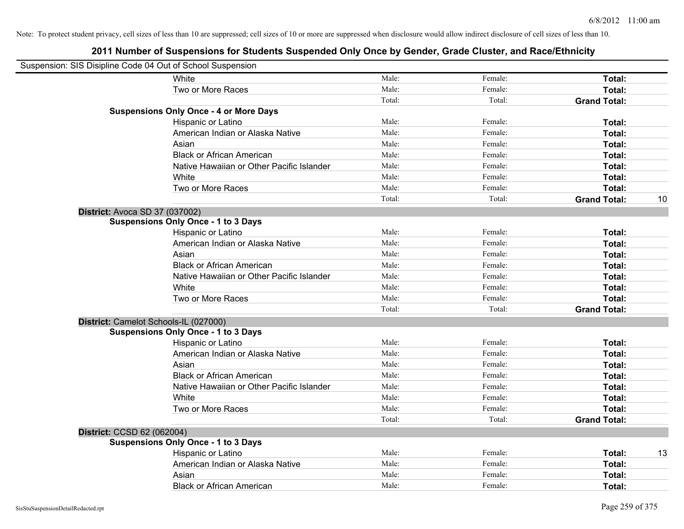|                            | Suspension: SIS Disipline Code 04 Out of School Suspension |        |         |                     |    |
|----------------------------|------------------------------------------------------------|--------|---------|---------------------|----|
|                            | White                                                      | Male:  | Female: | Total:              |    |
|                            | Two or More Races                                          | Male:  | Female: | Total:              |    |
|                            |                                                            | Total: | Total:  | <b>Grand Total:</b> |    |
|                            | <b>Suspensions Only Once - 4 or More Days</b>              |        |         |                     |    |
|                            | Hispanic or Latino                                         | Male:  | Female: | Total:              |    |
|                            | American Indian or Alaska Native                           | Male:  | Female: | Total:              |    |
|                            | Asian                                                      | Male:  | Female: | Total:              |    |
|                            | <b>Black or African American</b>                           | Male:  | Female: | Total:              |    |
|                            | Native Hawaiian or Other Pacific Islander                  | Male:  | Female: | Total:              |    |
|                            | White                                                      | Male:  | Female: | Total:              |    |
|                            | Two or More Races                                          | Male:  | Female: | Total:              |    |
|                            |                                                            | Total: | Total:  | <b>Grand Total:</b> | 10 |
|                            | District: Avoca SD 37 (037002)                             |        |         |                     |    |
|                            | <b>Suspensions Only Once - 1 to 3 Days</b>                 |        |         |                     |    |
|                            | Hispanic or Latino                                         | Male:  | Female: | Total:              |    |
|                            | American Indian or Alaska Native                           | Male:  | Female: | Total:              |    |
|                            | Asian                                                      | Male:  | Female: | Total:              |    |
|                            | <b>Black or African American</b>                           | Male:  | Female: | Total:              |    |
|                            | Native Hawaiian or Other Pacific Islander                  | Male:  | Female: | Total:              |    |
|                            | White                                                      | Male:  | Female: | Total:              |    |
|                            | Two or More Races                                          | Male:  | Female: | Total:              |    |
|                            |                                                            | Total: | Total:  | <b>Grand Total:</b> |    |
|                            | District: Camelot Schools-IL (027000)                      |        |         |                     |    |
|                            | <b>Suspensions Only Once - 1 to 3 Days</b>                 |        |         |                     |    |
|                            | Hispanic or Latino                                         | Male:  | Female: | Total:              |    |
|                            | American Indian or Alaska Native                           | Male:  | Female: | Total:              |    |
|                            | Asian                                                      | Male:  | Female: | Total:              |    |
|                            | <b>Black or African American</b>                           | Male:  | Female: | Total:              |    |
|                            | Native Hawaiian or Other Pacific Islander                  | Male:  | Female: | Total:              |    |
|                            | White                                                      | Male:  | Female: | Total:              |    |
|                            | Two or More Races                                          | Male:  | Female: | Total:              |    |
|                            |                                                            | Total: | Total:  | <b>Grand Total:</b> |    |
| District: CCSD 62 (062004) |                                                            |        |         |                     |    |
|                            | <b>Suspensions Only Once - 1 to 3 Days</b>                 |        |         |                     |    |
|                            | Hispanic or Latino                                         | Male:  | Female: | Total:              | 13 |
|                            | American Indian or Alaska Native                           | Male:  | Female: | Total:              |    |
|                            | Asian                                                      | Male:  | Female: | Total:              |    |
|                            | <b>Black or African American</b>                           | Male:  | Female: | Total:              |    |
|                            |                                                            |        |         |                     |    |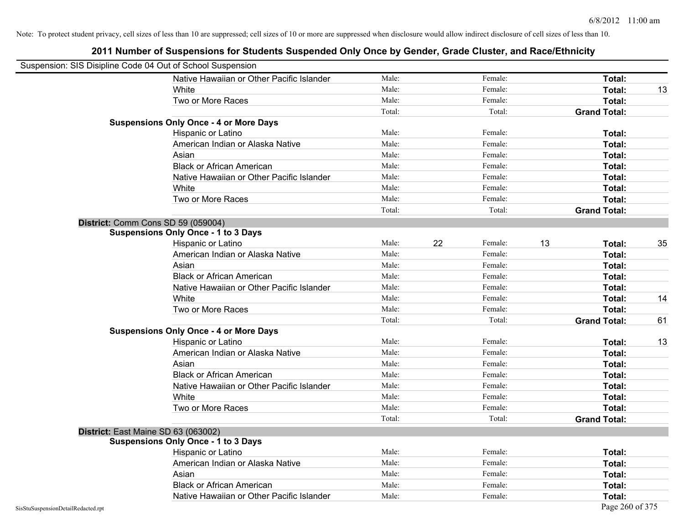|                                    | Suspension: SIS Disipline Code 04 Out of School Suspension |        |    |         |                     |    |
|------------------------------------|------------------------------------------------------------|--------|----|---------|---------------------|----|
|                                    | Native Hawaiian or Other Pacific Islander                  | Male:  |    | Female: | Total:              |    |
|                                    | White                                                      | Male:  |    | Female: | Total:              | 13 |
|                                    | Two or More Races                                          | Male:  |    | Female: | Total:              |    |
|                                    |                                                            | Total: |    | Total:  | <b>Grand Total:</b> |    |
|                                    | <b>Suspensions Only Once - 4 or More Days</b>              |        |    |         |                     |    |
|                                    | Hispanic or Latino                                         | Male:  |    | Female: | Total:              |    |
|                                    | American Indian or Alaska Native                           | Male:  |    | Female: | Total:              |    |
|                                    | Asian                                                      | Male:  |    | Female: | Total:              |    |
|                                    | <b>Black or African American</b>                           | Male:  |    | Female: | Total:              |    |
|                                    | Native Hawaiian or Other Pacific Islander                  | Male:  |    | Female: | Total:              |    |
|                                    | White                                                      | Male:  |    | Female: | Total:              |    |
|                                    | Two or More Races                                          | Male:  |    | Female: | Total:              |    |
|                                    |                                                            | Total: |    | Total:  | <b>Grand Total:</b> |    |
|                                    | District: Comm Cons SD 59 (059004)                         |        |    |         |                     |    |
|                                    | <b>Suspensions Only Once - 1 to 3 Days</b>                 |        |    |         |                     |    |
|                                    | Hispanic or Latino                                         | Male:  | 22 | Female: | 13<br>Total:        | 35 |
|                                    | American Indian or Alaska Native                           | Male:  |    | Female: | Total:              |    |
|                                    | Asian                                                      | Male:  |    | Female: | Total:              |    |
|                                    | <b>Black or African American</b>                           | Male:  |    | Female: | Total:              |    |
|                                    | Native Hawaiian or Other Pacific Islander                  | Male:  |    | Female: | Total:              |    |
|                                    | White                                                      | Male:  |    | Female: | Total:              | 14 |
|                                    | Two or More Races                                          | Male:  |    | Female: | Total:              |    |
|                                    |                                                            | Total: |    | Total:  | <b>Grand Total:</b> | 61 |
|                                    | <b>Suspensions Only Once - 4 or More Days</b>              |        |    |         |                     |    |
|                                    | Hispanic or Latino                                         | Male:  |    | Female: | Total:              | 13 |
|                                    | American Indian or Alaska Native                           | Male:  |    | Female: | Total:              |    |
|                                    | Asian                                                      | Male:  |    | Female: | Total:              |    |
|                                    | <b>Black or African American</b>                           | Male:  |    | Female: | Total:              |    |
|                                    | Native Hawaiian or Other Pacific Islander                  | Male:  |    | Female: | Total:              |    |
|                                    | White                                                      | Male:  |    | Female: | Total:              |    |
|                                    | Two or More Races                                          | Male:  |    | Female: | Total:              |    |
|                                    |                                                            | Total: |    | Total:  | <b>Grand Total:</b> |    |
|                                    | District: East Maine SD 63 (063002)                        |        |    |         |                     |    |
|                                    | <b>Suspensions Only Once - 1 to 3 Days</b>                 |        |    |         |                     |    |
|                                    | Hispanic or Latino                                         | Male:  |    | Female: | Total:              |    |
|                                    | American Indian or Alaska Native                           | Male:  |    | Female: | Total:              |    |
|                                    | Asian                                                      | Male:  |    | Female: | Total:              |    |
|                                    | <b>Black or African American</b>                           | Male:  |    | Female: | Total:              |    |
|                                    | Native Hawaiian or Other Pacific Islander                  | Male:  |    | Female: | Total:              |    |
| SisStuSuspensionDetailRedacted.rpt |                                                            |        |    |         | Page 260 of 375     |    |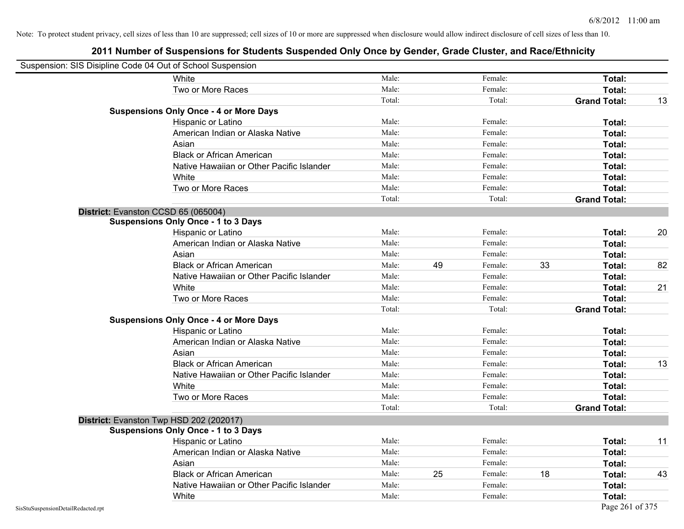| Suspension: SIS Disipline Code 04 Out of School Suspension |                                               |        |    |         |    |                     |    |
|------------------------------------------------------------|-----------------------------------------------|--------|----|---------|----|---------------------|----|
|                                                            | White                                         | Male:  |    | Female: |    | Total:              |    |
|                                                            | Two or More Races                             | Male:  |    | Female: |    | Total:              |    |
|                                                            |                                               | Total: |    | Total:  |    | <b>Grand Total:</b> | 13 |
|                                                            | <b>Suspensions Only Once - 4 or More Days</b> |        |    |         |    |                     |    |
|                                                            | Hispanic or Latino                            | Male:  |    | Female: |    | Total:              |    |
|                                                            | American Indian or Alaska Native              | Male:  |    | Female: |    | Total:              |    |
|                                                            | Asian                                         | Male:  |    | Female: |    | Total:              |    |
|                                                            | <b>Black or African American</b>              | Male:  |    | Female: |    | Total:              |    |
|                                                            | Native Hawaiian or Other Pacific Islander     | Male:  |    | Female: |    | Total:              |    |
|                                                            | White                                         | Male:  |    | Female: |    | Total:              |    |
|                                                            | Two or More Races                             | Male:  |    | Female: |    | Total:              |    |
|                                                            |                                               | Total: |    | Total:  |    | <b>Grand Total:</b> |    |
|                                                            | District: Evanston CCSD 65 (065004)           |        |    |         |    |                     |    |
|                                                            | <b>Suspensions Only Once - 1 to 3 Days</b>    |        |    |         |    |                     |    |
|                                                            | Hispanic or Latino                            | Male:  |    | Female: |    | Total:              | 20 |
|                                                            | American Indian or Alaska Native              | Male:  |    | Female: |    | <b>Total:</b>       |    |
|                                                            | Asian                                         | Male:  |    | Female: |    | Total:              |    |
|                                                            | <b>Black or African American</b>              | Male:  | 49 | Female: | 33 | Total:              | 82 |
|                                                            | Native Hawaiian or Other Pacific Islander     | Male:  |    | Female: |    | Total:              |    |
|                                                            | White                                         | Male:  |    | Female: |    | Total:              | 21 |
|                                                            | Two or More Races                             | Male:  |    | Female: |    | Total:              |    |
|                                                            |                                               | Total: |    | Total:  |    | <b>Grand Total:</b> |    |
|                                                            | <b>Suspensions Only Once - 4 or More Days</b> |        |    |         |    |                     |    |
|                                                            | Hispanic or Latino                            | Male:  |    | Female: |    | Total:              |    |
|                                                            | American Indian or Alaska Native              | Male:  |    | Female: |    | Total:              |    |
|                                                            | Asian                                         | Male:  |    | Female: |    | Total:              |    |
|                                                            | <b>Black or African American</b>              | Male:  |    | Female: |    | Total:              | 13 |
|                                                            | Native Hawaiian or Other Pacific Islander     | Male:  |    | Female: |    | Total:              |    |
|                                                            | White                                         | Male:  |    | Female: |    | Total:              |    |
|                                                            | Two or More Races                             | Male:  |    | Female: |    | Total:              |    |
|                                                            |                                               | Total: |    | Total:  |    | <b>Grand Total:</b> |    |
|                                                            | District: Evanston Twp HSD 202 (202017)       |        |    |         |    |                     |    |
|                                                            | <b>Suspensions Only Once - 1 to 3 Days</b>    |        |    |         |    |                     |    |
|                                                            | Hispanic or Latino                            | Male:  |    | Female: |    | Total:              | 11 |
|                                                            | American Indian or Alaska Native              | Male:  |    | Female: |    | Total:              |    |
|                                                            | Asian                                         | Male:  |    | Female: |    | Total:              |    |
|                                                            | <b>Black or African American</b>              | Male:  | 25 | Female: | 18 | Total:              | 43 |
|                                                            | Native Hawaiian or Other Pacific Islander     | Male:  |    | Female: |    | Total:              |    |
|                                                            | White                                         | Male:  |    | Female: |    | Total:              |    |
| SisStuSuspensionDetailRedacted.rpt                         |                                               |        |    |         |    | Page 261 of 375     |    |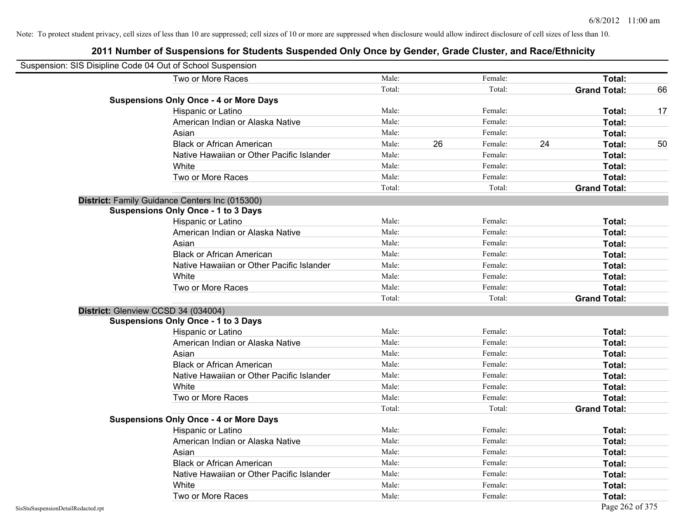| Suspension: SIS Disipline Code 04 Out of School Suspension |        |    |         |    |                     |    |
|------------------------------------------------------------|--------|----|---------|----|---------------------|----|
| Two or More Races                                          | Male:  |    | Female: |    | Total:              |    |
|                                                            | Total: |    | Total:  |    | <b>Grand Total:</b> | 66 |
| <b>Suspensions Only Once - 4 or More Days</b>              |        |    |         |    |                     |    |
| Hispanic or Latino                                         | Male:  |    | Female: |    | Total:              | 17 |
| American Indian or Alaska Native                           | Male:  |    | Female: |    | Total:              |    |
| Asian                                                      | Male:  |    | Female: |    | Total:              |    |
| <b>Black or African American</b>                           | Male:  | 26 | Female: | 24 | Total:              | 50 |
| Native Hawaiian or Other Pacific Islander                  | Male:  |    | Female: |    | Total:              |    |
| White                                                      | Male:  |    | Female: |    | Total:              |    |
| Two or More Races                                          | Male:  |    | Female: |    | Total:              |    |
|                                                            | Total: |    | Total:  |    | <b>Grand Total:</b> |    |
| District: Family Guidance Centers Inc (015300)             |        |    |         |    |                     |    |
| <b>Suspensions Only Once - 1 to 3 Days</b>                 |        |    |         |    |                     |    |
| Hispanic or Latino                                         | Male:  |    | Female: |    | Total:              |    |
| American Indian or Alaska Native                           | Male:  |    | Female: |    | Total:              |    |
| Asian                                                      | Male:  |    | Female: |    | Total:              |    |
| <b>Black or African American</b>                           | Male:  |    | Female: |    | Total:              |    |
| Native Hawaiian or Other Pacific Islander                  | Male:  |    | Female: |    | Total:              |    |
| White                                                      | Male:  |    | Female: |    | Total:              |    |
| Two or More Races                                          | Male:  |    | Female: |    | Total:              |    |
|                                                            | Total: |    | Total:  |    | <b>Grand Total:</b> |    |
| District: Glenview CCSD 34 (034004)                        |        |    |         |    |                     |    |
| <b>Suspensions Only Once - 1 to 3 Days</b>                 |        |    |         |    |                     |    |
| Hispanic or Latino                                         | Male:  |    | Female: |    | Total:              |    |
| American Indian or Alaska Native                           | Male:  |    | Female: |    | Total:              |    |
| Asian                                                      | Male:  |    | Female: |    | Total:              |    |
| <b>Black or African American</b>                           | Male:  |    | Female: |    | Total:              |    |
| Native Hawaiian or Other Pacific Islander                  | Male:  |    | Female: |    | Total:              |    |
| White                                                      | Male:  |    | Female: |    | Total:              |    |
| Two or More Races                                          | Male:  |    | Female: |    | Total:              |    |
|                                                            | Total: |    | Total:  |    | <b>Grand Total:</b> |    |
| <b>Suspensions Only Once - 4 or More Days</b>              |        |    |         |    |                     |    |
| Hispanic or Latino                                         | Male:  |    | Female: |    | Total:              |    |
| American Indian or Alaska Native                           | Male:  |    | Female: |    | Total:              |    |
| Asian                                                      | Male:  |    | Female: |    | Total:              |    |
| <b>Black or African American</b>                           | Male:  |    | Female: |    | Total:              |    |
| Native Hawaiian or Other Pacific Islander                  | Male:  |    | Female: |    | Total:              |    |
| White                                                      | Male:  |    | Female: |    | Total:              |    |
| Two or More Races                                          | Male:  |    | Female: |    | Total:              |    |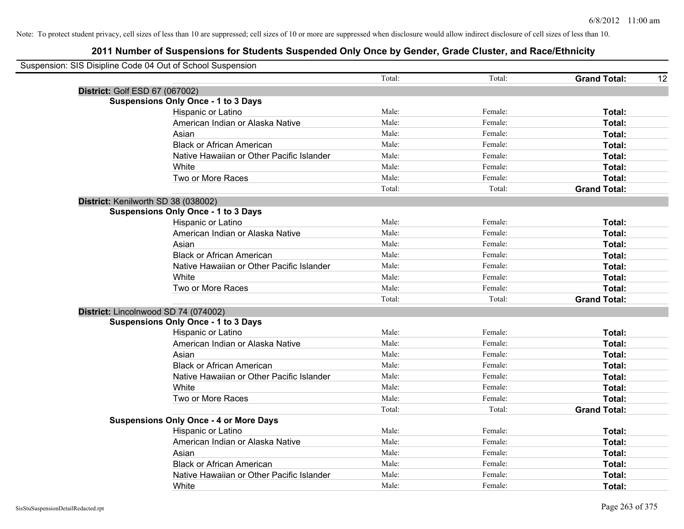| Suspension: SIS Disipline Code 04 Out of School Suspension |        |         |                           |
|------------------------------------------------------------|--------|---------|---------------------------|
|                                                            | Total: | Total:  | <b>Grand Total:</b><br>12 |
| District: Golf ESD 67 (067002)                             |        |         |                           |
| <b>Suspensions Only Once - 1 to 3 Days</b>                 |        |         |                           |
| Hispanic or Latino                                         | Male:  | Female: | Total:                    |
| American Indian or Alaska Native                           | Male:  | Female: | Total:                    |
| Asian                                                      | Male:  | Female: | Total:                    |
| <b>Black or African American</b>                           | Male:  | Female: | Total:                    |
| Native Hawaiian or Other Pacific Islander                  | Male:  | Female: | Total:                    |
| White                                                      | Male:  | Female: | Total:                    |
| Two or More Races                                          | Male:  | Female: | Total:                    |
|                                                            | Total: | Total:  | <b>Grand Total:</b>       |
| District: Kenilworth SD 38 (038002)                        |        |         |                           |
| <b>Suspensions Only Once - 1 to 3 Days</b>                 |        |         |                           |
| Hispanic or Latino                                         | Male:  | Female: | Total:                    |
| American Indian or Alaska Native                           | Male:  | Female: | Total:                    |
| Asian                                                      | Male:  | Female: | Total:                    |
| <b>Black or African American</b>                           | Male:  | Female: | Total:                    |
| Native Hawaiian or Other Pacific Islander                  | Male:  | Female: | Total:                    |
| White                                                      | Male:  | Female: | Total:                    |
| Two or More Races                                          | Male:  | Female: | Total:                    |
|                                                            | Total: | Total:  | <b>Grand Total:</b>       |
| District: Lincolnwood SD 74 (074002)                       |        |         |                           |
| <b>Suspensions Only Once - 1 to 3 Days</b>                 |        |         |                           |
| Hispanic or Latino                                         | Male:  | Female: | Total:                    |
| American Indian or Alaska Native                           | Male:  | Female: | Total:                    |
| Asian                                                      | Male:  | Female: | Total:                    |
| <b>Black or African American</b>                           | Male:  | Female: | Total:                    |
| Native Hawaiian or Other Pacific Islander                  | Male:  | Female: | Total:                    |
| White                                                      | Male:  | Female: | Total:                    |
| Two or More Races                                          | Male:  | Female: | Total:                    |
|                                                            | Total: | Total:  | <b>Grand Total:</b>       |
| <b>Suspensions Only Once - 4 or More Days</b>              |        |         |                           |
| Hispanic or Latino                                         | Male:  | Female: | Total:                    |
| American Indian or Alaska Native                           | Male:  | Female: | Total:                    |
| Asian                                                      | Male:  | Female: | Total:                    |
| <b>Black or African American</b>                           | Male:  | Female: | Total:                    |
| Native Hawaiian or Other Pacific Islander                  | Male:  | Female: | Total:                    |
| White                                                      | Male:  | Female: | Total:                    |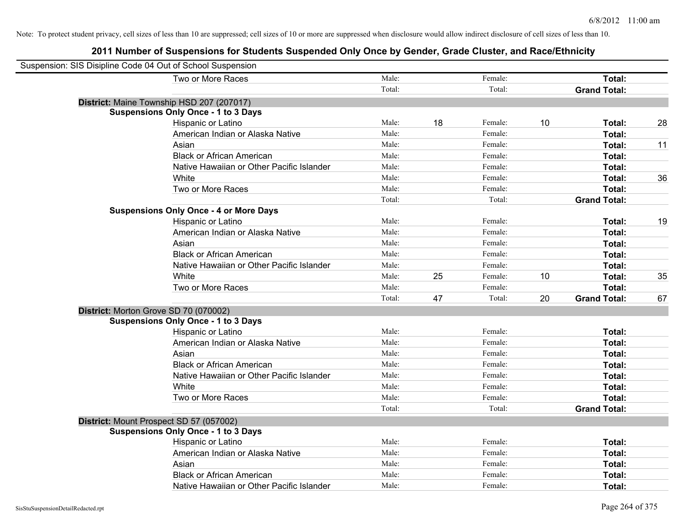| Suspension: SIS Disipline Code 04 Out of School Suspension |                                               |        |    |         |    |                     |    |
|------------------------------------------------------------|-----------------------------------------------|--------|----|---------|----|---------------------|----|
|                                                            | Two or More Races                             | Male:  |    | Female: |    | Total:              |    |
|                                                            |                                               | Total: |    | Total:  |    | <b>Grand Total:</b> |    |
|                                                            | District: Maine Township HSD 207 (207017)     |        |    |         |    |                     |    |
|                                                            | <b>Suspensions Only Once - 1 to 3 Days</b>    |        |    |         |    |                     |    |
|                                                            | Hispanic or Latino                            | Male:  | 18 | Female: | 10 | Total:              | 28 |
|                                                            | American Indian or Alaska Native              | Male:  |    | Female: |    | Total:              |    |
|                                                            | Asian                                         | Male:  |    | Female: |    | Total:              | 11 |
|                                                            | <b>Black or African American</b>              | Male:  |    | Female: |    | Total:              |    |
|                                                            | Native Hawaiian or Other Pacific Islander     | Male:  |    | Female: |    | Total:              |    |
|                                                            | White                                         | Male:  |    | Female: |    | Total:              | 36 |
|                                                            | Two or More Races                             | Male:  |    | Female: |    | Total:              |    |
|                                                            |                                               | Total: |    | Total:  |    | <b>Grand Total:</b> |    |
|                                                            | <b>Suspensions Only Once - 4 or More Days</b> |        |    |         |    |                     |    |
|                                                            | Hispanic or Latino                            | Male:  |    | Female: |    | Total:              | 19 |
|                                                            | American Indian or Alaska Native              | Male:  |    | Female: |    | Total:              |    |
|                                                            | Asian                                         | Male:  |    | Female: |    | Total:              |    |
|                                                            | <b>Black or African American</b>              | Male:  |    | Female: |    | Total:              |    |
|                                                            | Native Hawaiian or Other Pacific Islander     | Male:  |    | Female: |    | Total:              |    |
|                                                            | White                                         | Male:  | 25 | Female: | 10 | Total:              | 35 |
|                                                            | Two or More Races                             | Male:  |    | Female: |    | Total:              |    |
|                                                            |                                               | Total: | 47 | Total:  | 20 | <b>Grand Total:</b> | 67 |
|                                                            | District: Morton Grove SD 70 (070002)         |        |    |         |    |                     |    |
|                                                            | <b>Suspensions Only Once - 1 to 3 Days</b>    |        |    |         |    |                     |    |
|                                                            | Hispanic or Latino                            | Male:  |    | Female: |    | Total:              |    |
|                                                            | American Indian or Alaska Native              | Male:  |    | Female: |    | Total:              |    |
|                                                            | Asian                                         | Male:  |    | Female: |    | Total:              |    |
|                                                            | <b>Black or African American</b>              | Male:  |    | Female: |    | Total:              |    |
|                                                            | Native Hawaiian or Other Pacific Islander     | Male:  |    | Female: |    | Total:              |    |
|                                                            | White                                         | Male:  |    | Female: |    | Total:              |    |
|                                                            | Two or More Races                             | Male:  |    | Female: |    | Total:              |    |
|                                                            |                                               | Total: |    | Total:  |    | <b>Grand Total:</b> |    |
|                                                            | District: Mount Prospect SD 57 (057002)       |        |    |         |    |                     |    |
|                                                            | <b>Suspensions Only Once - 1 to 3 Days</b>    |        |    |         |    |                     |    |
|                                                            | Hispanic or Latino                            | Male:  |    | Female: |    | Total:              |    |
|                                                            | American Indian or Alaska Native              | Male:  |    | Female: |    | Total:              |    |
|                                                            | Asian                                         | Male:  |    | Female: |    | Total:              |    |
|                                                            | <b>Black or African American</b>              | Male:  |    | Female: |    | Total:              |    |
|                                                            | Native Hawaiian or Other Pacific Islander     | Male:  |    | Female: |    | Total:              |    |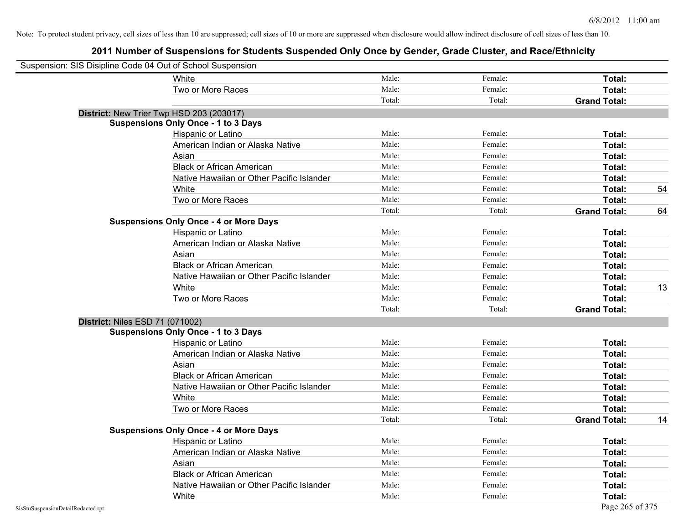| Suspension: SIS Disipline Code 04 Out of School Suspension |                                               |        |         |                     |    |
|------------------------------------------------------------|-----------------------------------------------|--------|---------|---------------------|----|
|                                                            | White                                         | Male:  | Female: | Total:              |    |
|                                                            | Two or More Races                             | Male:  | Female: | Total:              |    |
|                                                            |                                               | Total: | Total:  | <b>Grand Total:</b> |    |
| District: New Trier Twp HSD 203 (203017)                   |                                               |        |         |                     |    |
|                                                            | <b>Suspensions Only Once - 1 to 3 Days</b>    |        |         |                     |    |
|                                                            | Hispanic or Latino                            | Male:  | Female: | Total:              |    |
|                                                            | American Indian or Alaska Native              | Male:  | Female: | Total:              |    |
|                                                            | Asian                                         | Male:  | Female: | Total:              |    |
|                                                            | <b>Black or African American</b>              | Male:  | Female: | Total:              |    |
|                                                            | Native Hawaiian or Other Pacific Islander     | Male:  | Female: | Total:              |    |
|                                                            | White                                         | Male:  | Female: | Total:              | 54 |
|                                                            | Two or More Races                             | Male:  | Female: | Total:              |    |
|                                                            |                                               | Total: | Total:  | <b>Grand Total:</b> | 64 |
|                                                            | <b>Suspensions Only Once - 4 or More Days</b> |        |         |                     |    |
|                                                            | Hispanic or Latino                            | Male:  | Female: | Total:              |    |
|                                                            | American Indian or Alaska Native              | Male:  | Female: | Total:              |    |
|                                                            | Asian                                         | Male:  | Female: | Total:              |    |
|                                                            | <b>Black or African American</b>              | Male:  | Female: | Total:              |    |
|                                                            | Native Hawaiian or Other Pacific Islander     | Male:  | Female: | Total:              |    |
|                                                            | White                                         | Male:  | Female: | Total:              | 13 |
|                                                            | Two or More Races                             | Male:  | Female: | Total:              |    |
|                                                            |                                               | Total: | Total:  | <b>Grand Total:</b> |    |
| <b>District: Niles ESD 71 (071002)</b>                     |                                               |        |         |                     |    |
|                                                            | <b>Suspensions Only Once - 1 to 3 Days</b>    |        |         |                     |    |
|                                                            | Hispanic or Latino                            | Male:  | Female: | Total:              |    |
|                                                            | American Indian or Alaska Native              | Male:  | Female: | Total:              |    |
|                                                            | Asian                                         | Male:  | Female: | Total:              |    |
|                                                            | <b>Black or African American</b>              | Male:  | Female: | Total:              |    |
|                                                            | Native Hawaiian or Other Pacific Islander     | Male:  | Female: | Total:              |    |
|                                                            | White                                         | Male:  | Female: | Total:              |    |
|                                                            | Two or More Races                             | Male:  | Female: | Total:              |    |
|                                                            |                                               | Total: | Total:  | <b>Grand Total:</b> | 14 |
|                                                            | <b>Suspensions Only Once - 4 or More Days</b> |        |         |                     |    |
|                                                            | Hispanic or Latino                            | Male:  | Female: | Total:              |    |
|                                                            | American Indian or Alaska Native              | Male:  | Female: | Total:              |    |
|                                                            | Asian                                         | Male:  | Female: | Total:              |    |
|                                                            | <b>Black or African American</b>              | Male:  | Female: | Total:              |    |
|                                                            | Native Hawaiian or Other Pacific Islander     | Male:  | Female: | Total:              |    |
|                                                            | White                                         | Male:  | Female: | Total:              |    |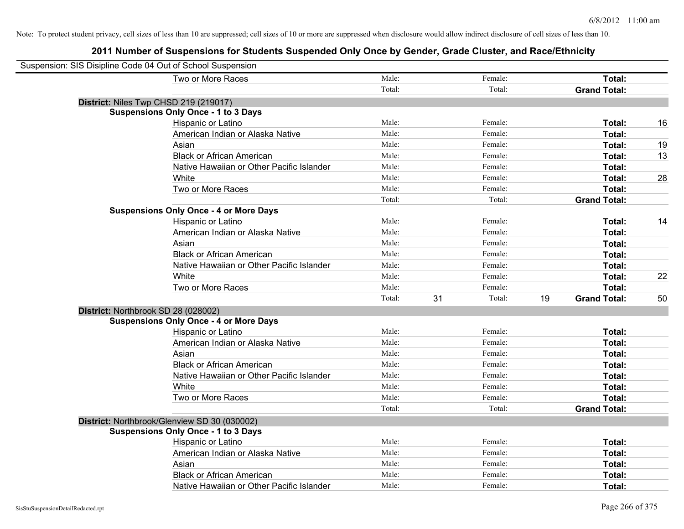| Suspension: SIS Disipline Code 04 Out of School Suspension |                                               |        |    |         |    |                     |    |
|------------------------------------------------------------|-----------------------------------------------|--------|----|---------|----|---------------------|----|
|                                                            | Two or More Races                             | Male:  |    | Female: |    | Total:              |    |
|                                                            |                                               | Total: |    | Total:  |    | <b>Grand Total:</b> |    |
| District: Niles Twp CHSD 219 (219017)                      |                                               |        |    |         |    |                     |    |
|                                                            | <b>Suspensions Only Once - 1 to 3 Days</b>    |        |    |         |    |                     |    |
|                                                            | Hispanic or Latino                            | Male:  |    | Female: |    | Total:              | 16 |
|                                                            | American Indian or Alaska Native              | Male:  |    | Female: |    | Total:              |    |
|                                                            | Asian                                         | Male:  |    | Female: |    | Total:              | 19 |
|                                                            | <b>Black or African American</b>              | Male:  |    | Female: |    | Total:              | 13 |
|                                                            | Native Hawaiian or Other Pacific Islander     | Male:  |    | Female: |    | Total:              |    |
|                                                            | White                                         | Male:  |    | Female: |    | Total:              | 28 |
|                                                            | Two or More Races                             | Male:  |    | Female: |    | Total:              |    |
|                                                            |                                               | Total: |    | Total:  |    | <b>Grand Total:</b> |    |
|                                                            | <b>Suspensions Only Once - 4 or More Days</b> |        |    |         |    |                     |    |
|                                                            | Hispanic or Latino                            | Male:  |    | Female: |    | Total:              | 14 |
|                                                            | American Indian or Alaska Native              | Male:  |    | Female: |    | Total:              |    |
|                                                            | Asian                                         | Male:  |    | Female: |    | Total:              |    |
|                                                            | <b>Black or African American</b>              | Male:  |    | Female: |    | Total:              |    |
|                                                            | Native Hawaiian or Other Pacific Islander     | Male:  |    | Female: |    | Total:              |    |
|                                                            | White                                         | Male:  |    | Female: |    | Total:              | 22 |
|                                                            | Two or More Races                             | Male:  |    | Female: |    | Total:              |    |
|                                                            |                                               | Total: | 31 | Total:  | 19 | <b>Grand Total:</b> | 50 |
| District: Northbrook SD 28 (028002)                        |                                               |        |    |         |    |                     |    |
|                                                            | <b>Suspensions Only Once - 4 or More Days</b> |        |    |         |    |                     |    |
|                                                            | Hispanic or Latino                            | Male:  |    | Female: |    | Total:              |    |
|                                                            | American Indian or Alaska Native              | Male:  |    | Female: |    | Total:              |    |
|                                                            | Asian                                         | Male:  |    | Female: |    | Total:              |    |
|                                                            | <b>Black or African American</b>              | Male:  |    | Female: |    | Total:              |    |
|                                                            | Native Hawaiian or Other Pacific Islander     | Male:  |    | Female: |    | Total:              |    |
|                                                            | White                                         | Male:  |    | Female: |    | Total:              |    |
|                                                            | Two or More Races                             | Male:  |    | Female: |    | Total:              |    |
|                                                            |                                               | Total: |    | Total:  |    | <b>Grand Total:</b> |    |
|                                                            | District: Northbrook/Glenview SD 30 (030002)  |        |    |         |    |                     |    |
|                                                            | <b>Suspensions Only Once - 1 to 3 Days</b>    |        |    |         |    |                     |    |
|                                                            | Hispanic or Latino                            | Male:  |    | Female: |    | Total:              |    |
|                                                            | American Indian or Alaska Native              | Male:  |    | Female: |    | Total:              |    |
|                                                            | Asian                                         | Male:  |    | Female: |    | Total:              |    |
|                                                            | <b>Black or African American</b>              | Male:  |    | Female: |    | Total:              |    |
|                                                            | Native Hawaiian or Other Pacific Islander     | Male:  |    | Female: |    | Total:              |    |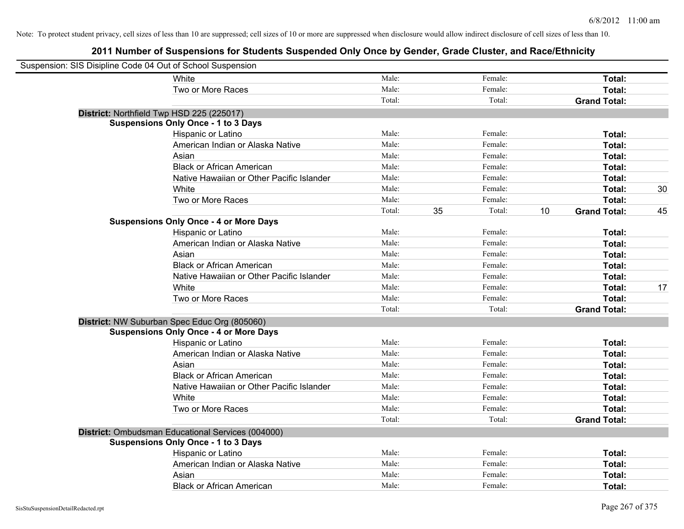| Suspension: SIS Disipline Code 04 Out of School Suspension |                                                   |        |              |    |                     |    |
|------------------------------------------------------------|---------------------------------------------------|--------|--------------|----|---------------------|----|
|                                                            | White                                             | Male:  | Female:      |    | Total:              |    |
|                                                            | Two or More Races                                 | Male:  | Female:      |    | Total:              |    |
|                                                            |                                                   | Total: | Total:       |    | <b>Grand Total:</b> |    |
| District: Northfield Twp HSD 225 (225017)                  |                                                   |        |              |    |                     |    |
|                                                            | <b>Suspensions Only Once - 1 to 3 Days</b>        |        |              |    |                     |    |
|                                                            | Hispanic or Latino                                | Male:  | Female:      |    | Total:              |    |
|                                                            | American Indian or Alaska Native                  | Male:  | Female:      |    | Total:              |    |
|                                                            | Asian                                             | Male:  | Female:      |    | Total:              |    |
|                                                            | <b>Black or African American</b>                  | Male:  | Female:      |    | Total:              |    |
|                                                            | Native Hawaiian or Other Pacific Islander         | Male:  | Female:      |    | Total:              |    |
|                                                            | White                                             | Male:  | Female:      |    | Total:              | 30 |
|                                                            | Two or More Races                                 | Male:  | Female:      |    | Total:              |    |
|                                                            |                                                   | Total: | 35<br>Total: | 10 | <b>Grand Total:</b> | 45 |
|                                                            | <b>Suspensions Only Once - 4 or More Days</b>     |        |              |    |                     |    |
|                                                            | Hispanic or Latino                                | Male:  | Female:      |    | Total:              |    |
|                                                            | American Indian or Alaska Native                  | Male:  | Female:      |    | Total:              |    |
|                                                            | Asian                                             | Male:  | Female:      |    | Total:              |    |
|                                                            | <b>Black or African American</b>                  | Male:  | Female:      |    | Total:              |    |
|                                                            | Native Hawaiian or Other Pacific Islander         | Male:  | Female:      |    | Total:              |    |
|                                                            | White                                             | Male:  | Female:      |    | Total:              | 17 |
|                                                            | Two or More Races                                 | Male:  | Female:      |    | Total:              |    |
|                                                            |                                                   | Total: | Total:       |    | <b>Grand Total:</b> |    |
|                                                            | District: NW Suburban Spec Educ Org (805060)      |        |              |    |                     |    |
|                                                            | <b>Suspensions Only Once - 4 or More Days</b>     |        |              |    |                     |    |
|                                                            | Hispanic or Latino                                | Male:  | Female:      |    | Total:              |    |
|                                                            | American Indian or Alaska Native                  | Male:  | Female:      |    | Total:              |    |
|                                                            | Asian                                             | Male:  | Female:      |    | Total:              |    |
|                                                            | <b>Black or African American</b>                  | Male:  | Female:      |    | Total:              |    |
|                                                            | Native Hawaiian or Other Pacific Islander         | Male:  | Female:      |    | Total:              |    |
|                                                            | White                                             | Male:  | Female:      |    | Total:              |    |
|                                                            | Two or More Races                                 | Male:  | Female:      |    | Total:              |    |
|                                                            |                                                   | Total: | Total:       |    | <b>Grand Total:</b> |    |
|                                                            | District: Ombudsman Educational Services (004000) |        |              |    |                     |    |
|                                                            | <b>Suspensions Only Once - 1 to 3 Days</b>        |        |              |    |                     |    |
|                                                            | Hispanic or Latino                                | Male:  | Female:      |    | Total:              |    |
|                                                            | American Indian or Alaska Native                  | Male:  | Female:      |    | Total:              |    |
|                                                            | Asian                                             | Male:  | Female:      |    | Total:              |    |
|                                                            | <b>Black or African American</b>                  | Male:  | Female:      |    | Total:              |    |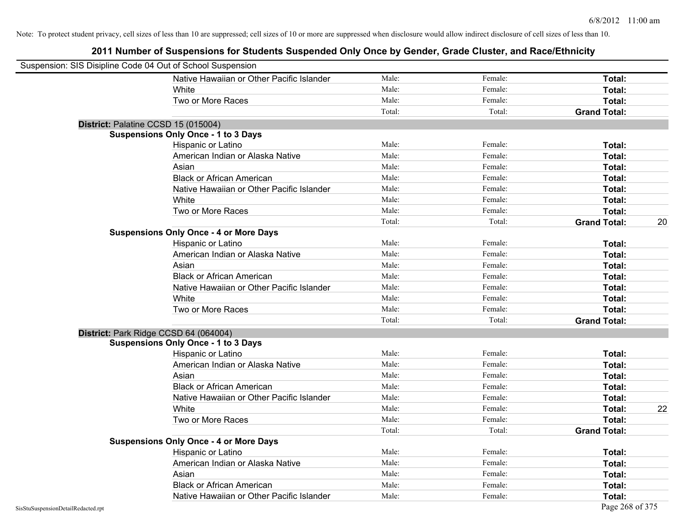| Suspension: SIS Disipline Code 04 Out of School Suspension |                                               |        |         |                     |    |
|------------------------------------------------------------|-----------------------------------------------|--------|---------|---------------------|----|
|                                                            | Native Hawaiian or Other Pacific Islander     | Male:  | Female: | Total:              |    |
|                                                            | White                                         | Male:  | Female: | Total:              |    |
|                                                            | Two or More Races                             | Male:  | Female: | Total:              |    |
|                                                            |                                               | Total: | Total:  | <b>Grand Total:</b> |    |
| District: Palatine CCSD 15 (015004)                        |                                               |        |         |                     |    |
|                                                            | <b>Suspensions Only Once - 1 to 3 Days</b>    |        |         |                     |    |
|                                                            | Hispanic or Latino                            | Male:  | Female: | Total:              |    |
|                                                            | American Indian or Alaska Native              | Male:  | Female: | Total:              |    |
|                                                            | Asian                                         | Male:  | Female: | Total:              |    |
|                                                            | <b>Black or African American</b>              | Male:  | Female: | Total:              |    |
|                                                            | Native Hawaiian or Other Pacific Islander     | Male:  | Female: | Total:              |    |
|                                                            | White                                         | Male:  | Female: | Total:              |    |
|                                                            | Two or More Races                             | Male:  | Female: | Total:              |    |
|                                                            |                                               | Total: | Total:  | <b>Grand Total:</b> | 20 |
|                                                            | <b>Suspensions Only Once - 4 or More Days</b> |        |         |                     |    |
|                                                            | Hispanic or Latino                            | Male:  | Female: | Total:              |    |
|                                                            | American Indian or Alaska Native              | Male:  | Female: | Total:              |    |
|                                                            | Asian                                         | Male:  | Female: | Total:              |    |
|                                                            | <b>Black or African American</b>              | Male:  | Female: | Total:              |    |
|                                                            | Native Hawaiian or Other Pacific Islander     | Male:  | Female: | Total:              |    |
|                                                            | White                                         | Male:  | Female: | Total:              |    |
|                                                            | Two or More Races                             | Male:  | Female: | Total:              |    |
|                                                            |                                               | Total: | Total:  | <b>Grand Total:</b> |    |
| District: Park Ridge CCSD 64 (064004)                      |                                               |        |         |                     |    |
|                                                            | <b>Suspensions Only Once - 1 to 3 Days</b>    |        |         |                     |    |
|                                                            | Hispanic or Latino                            | Male:  | Female: | Total:              |    |
|                                                            | American Indian or Alaska Native              | Male:  | Female: | Total:              |    |
|                                                            | Asian                                         | Male:  | Female: | Total:              |    |
|                                                            | <b>Black or African American</b>              | Male:  | Female: | Total:              |    |
|                                                            | Native Hawaiian or Other Pacific Islander     | Male:  | Female: | Total:              |    |
|                                                            | White                                         | Male:  | Female: | Total:              | 22 |
|                                                            | Two or More Races                             | Male:  | Female: | Total:              |    |
|                                                            |                                               | Total: | Total:  | <b>Grand Total:</b> |    |
|                                                            | <b>Suspensions Only Once - 4 or More Days</b> |        |         |                     |    |
|                                                            | Hispanic or Latino                            | Male:  | Female: | Total:              |    |
|                                                            | American Indian or Alaska Native              | Male:  | Female: | Total:              |    |
|                                                            | Asian                                         | Male:  | Female: | Total:              |    |
|                                                            | <b>Black or African American</b>              | Male:  | Female: | Total:              |    |
|                                                            | Native Hawaiian or Other Pacific Islander     | Male:  | Female: | Total:              |    |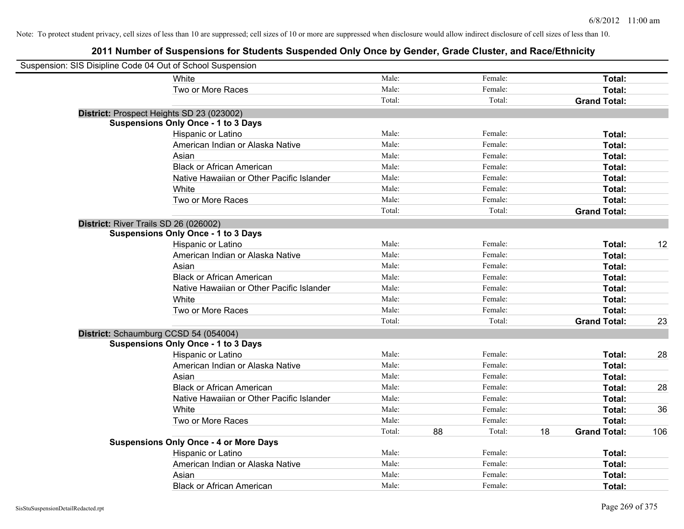| Suspension: SIS Disipline Code 04 Out of School Suspension |                                               |        |    |         |                           |              |
|------------------------------------------------------------|-----------------------------------------------|--------|----|---------|---------------------------|--------------|
|                                                            | <b>White</b>                                  | Male:  |    | Female: |                           | Total:       |
|                                                            | Two or More Races                             | Male:  |    | Female: |                           | Total:       |
|                                                            |                                               | Total: |    | Total:  | <b>Grand Total:</b>       |              |
| District: Prospect Heights SD 23 (023002)                  |                                               |        |    |         |                           |              |
|                                                            | <b>Suspensions Only Once - 1 to 3 Days</b>    |        |    |         |                           |              |
|                                                            | Hispanic or Latino                            | Male:  |    | Female: |                           | Total:       |
|                                                            | American Indian or Alaska Native              | Male:  |    | Female: |                           | Total:       |
|                                                            | Asian                                         | Male:  |    | Female: |                           | Total:       |
|                                                            | <b>Black or African American</b>              | Male:  |    | Female: |                           | Total:       |
|                                                            | Native Hawaiian or Other Pacific Islander     | Male:  |    | Female: |                           | Total:       |
|                                                            | White                                         | Male:  |    | Female: |                           | Total:       |
|                                                            | Two or More Races                             | Male:  |    | Female: |                           | Total:       |
|                                                            |                                               | Total: |    | Total:  | <b>Grand Total:</b>       |              |
| District: River Trails SD 26 (026002)                      |                                               |        |    |         |                           |              |
|                                                            | <b>Suspensions Only Once - 1 to 3 Days</b>    |        |    |         |                           |              |
|                                                            | Hispanic or Latino                            | Male:  |    | Female: |                           | Total:<br>12 |
|                                                            | American Indian or Alaska Native              | Male:  |    | Female: |                           | Total:       |
|                                                            | Asian                                         | Male:  |    | Female: |                           | Total:       |
|                                                            | <b>Black or African American</b>              | Male:  |    | Female: |                           | Total:       |
|                                                            | Native Hawaiian or Other Pacific Islander     | Male:  |    | Female: |                           | Total:       |
|                                                            | White                                         | Male:  |    | Female: |                           | Total:       |
|                                                            | Two or More Races                             | Male:  |    | Female: |                           | Total:       |
|                                                            |                                               | Total: |    | Total:  | <b>Grand Total:</b>       | 23           |
| District: Schaumburg CCSD 54 (054004)                      |                                               |        |    |         |                           |              |
|                                                            | <b>Suspensions Only Once - 1 to 3 Days</b>    |        |    |         |                           |              |
|                                                            | Hispanic or Latino                            | Male:  |    | Female: |                           | 28<br>Total: |
|                                                            | American Indian or Alaska Native              | Male:  |    | Female: |                           | Total:       |
|                                                            | Asian                                         | Male:  |    | Female: |                           | Total:       |
|                                                            | <b>Black or African American</b>              | Male:  |    | Female: |                           | 28<br>Total: |
|                                                            | Native Hawaiian or Other Pacific Islander     | Male:  |    | Female: |                           | Total:       |
|                                                            | White                                         | Male:  |    | Female: |                           | 36<br>Total: |
|                                                            | Two or More Races                             | Male:  |    | Female: |                           | Total:       |
|                                                            |                                               | Total: | 88 | Total:  | 18<br><b>Grand Total:</b> | 106          |
|                                                            | <b>Suspensions Only Once - 4 or More Days</b> |        |    |         |                           |              |
|                                                            | Hispanic or Latino                            | Male:  |    | Female: |                           | Total:       |
|                                                            | American Indian or Alaska Native              | Male:  |    | Female: |                           | Total:       |
|                                                            | Asian                                         | Male:  |    | Female: |                           | Total:       |
|                                                            | <b>Black or African American</b>              | Male:  |    | Female: |                           | Total:       |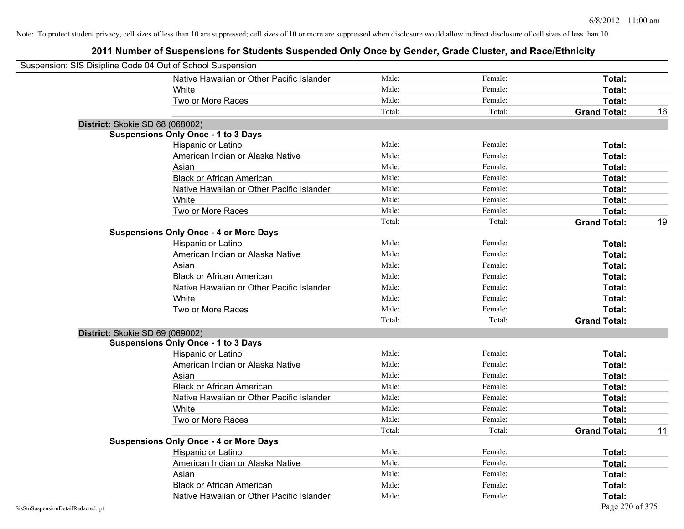| Suspension: SIS Disipline Code 04 Out of School Suspension |                                               |        |         |                     |    |
|------------------------------------------------------------|-----------------------------------------------|--------|---------|---------------------|----|
|                                                            | Native Hawaiian or Other Pacific Islander     | Male:  | Female: | Total:              |    |
|                                                            | White                                         | Male:  | Female: | Total:              |    |
|                                                            | Two or More Races                             | Male:  | Female: | Total:              |    |
|                                                            |                                               | Total: | Total:  | <b>Grand Total:</b> | 16 |
| District: Skokie SD 68 (068002)                            |                                               |        |         |                     |    |
|                                                            | <b>Suspensions Only Once - 1 to 3 Days</b>    |        |         |                     |    |
|                                                            | Hispanic or Latino                            | Male:  | Female: | Total:              |    |
|                                                            | American Indian or Alaska Native              | Male:  | Female: | Total:              |    |
|                                                            | Asian                                         | Male:  | Female: | Total:              |    |
|                                                            | <b>Black or African American</b>              | Male:  | Female: | Total:              |    |
|                                                            | Native Hawaiian or Other Pacific Islander     | Male:  | Female: | Total:              |    |
|                                                            | White                                         | Male:  | Female: | Total:              |    |
|                                                            | Two or More Races                             | Male:  | Female: | Total:              |    |
|                                                            |                                               | Total: | Total:  | <b>Grand Total:</b> | 19 |
|                                                            | <b>Suspensions Only Once - 4 or More Days</b> |        |         |                     |    |
|                                                            | Hispanic or Latino                            | Male:  | Female: | Total:              |    |
|                                                            | American Indian or Alaska Native              | Male:  | Female: | Total:              |    |
|                                                            | Asian                                         | Male:  | Female: | Total:              |    |
|                                                            | <b>Black or African American</b>              | Male:  | Female: | Total:              |    |
|                                                            | Native Hawaiian or Other Pacific Islander     | Male:  | Female: | Total:              |    |
|                                                            | White                                         | Male:  | Female: | Total:              |    |
|                                                            | Two or More Races                             | Male:  | Female: | Total:              |    |
|                                                            |                                               | Total: | Total:  | <b>Grand Total:</b> |    |
| District: Skokie SD 69 (069002)                            |                                               |        |         |                     |    |
|                                                            | <b>Suspensions Only Once - 1 to 3 Days</b>    |        |         |                     |    |
|                                                            | Hispanic or Latino                            | Male:  | Female: | Total:              |    |
|                                                            | American Indian or Alaska Native              | Male:  | Female: | Total:              |    |
|                                                            | Asian                                         | Male:  | Female: | Total:              |    |
|                                                            | <b>Black or African American</b>              | Male:  | Female: | Total:              |    |
|                                                            | Native Hawaiian or Other Pacific Islander     | Male:  | Female: | Total:              |    |
|                                                            | White                                         | Male:  | Female: | Total:              |    |
|                                                            | Two or More Races                             | Male:  | Female: | Total:              |    |
|                                                            |                                               | Total: | Total:  | <b>Grand Total:</b> | 11 |
|                                                            | <b>Suspensions Only Once - 4 or More Days</b> |        |         |                     |    |
|                                                            | Hispanic or Latino                            | Male:  | Female: | Total:              |    |
|                                                            | American Indian or Alaska Native              | Male:  | Female: | Total:              |    |
|                                                            | Asian                                         | Male:  | Female: | Total:              |    |
|                                                            | <b>Black or African American</b>              | Male:  | Female: | Total:              |    |
|                                                            | Native Hawaiian or Other Pacific Islander     | Male:  | Female: | Total:              |    |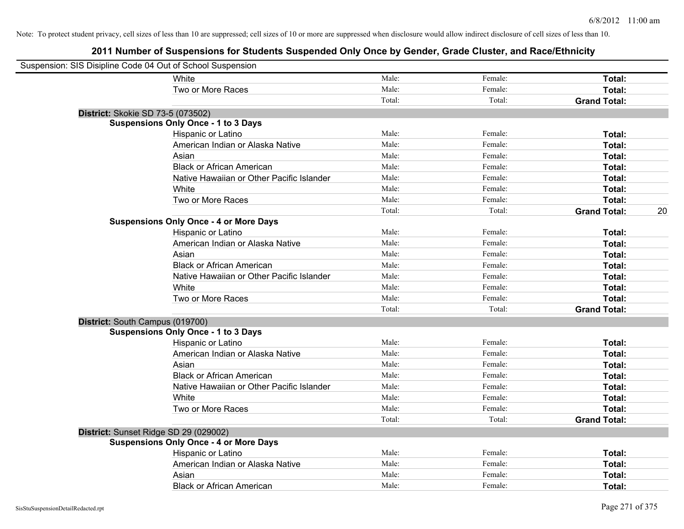| Suspension: SIS Disipline Code 04 Out of School Suspension |                                               |        |         |                     |    |
|------------------------------------------------------------|-----------------------------------------------|--------|---------|---------------------|----|
|                                                            | White                                         | Male:  | Female: | Total:              |    |
|                                                            | Two or More Races                             | Male:  | Female: | Total:              |    |
|                                                            |                                               | Total: | Total:  | <b>Grand Total:</b> |    |
| District: Skokie SD 73-5 (073502)                          |                                               |        |         |                     |    |
|                                                            | <b>Suspensions Only Once - 1 to 3 Days</b>    |        |         |                     |    |
|                                                            | Hispanic or Latino                            | Male:  | Female: | Total:              |    |
|                                                            | American Indian or Alaska Native              | Male:  | Female: | Total:              |    |
|                                                            | Asian                                         | Male:  | Female: | Total:              |    |
|                                                            | <b>Black or African American</b>              | Male:  | Female: | Total:              |    |
|                                                            | Native Hawaiian or Other Pacific Islander     | Male:  | Female: | Total:              |    |
|                                                            | White                                         | Male:  | Female: | Total:              |    |
|                                                            | Two or More Races                             | Male:  | Female: | Total:              |    |
|                                                            |                                               | Total: | Total:  | <b>Grand Total:</b> | 20 |
|                                                            | <b>Suspensions Only Once - 4 or More Days</b> |        |         |                     |    |
|                                                            | Hispanic or Latino                            | Male:  | Female: | Total:              |    |
|                                                            | American Indian or Alaska Native              | Male:  | Female: | Total:              |    |
|                                                            | Asian                                         | Male:  | Female: | Total:              |    |
|                                                            | <b>Black or African American</b>              | Male:  | Female: | Total:              |    |
|                                                            | Native Hawaiian or Other Pacific Islander     | Male:  | Female: | Total:              |    |
|                                                            | White                                         | Male:  | Female: | Total:              |    |
|                                                            | Two or More Races                             | Male:  | Female: | Total:              |    |
|                                                            |                                               | Total: | Total:  | <b>Grand Total:</b> |    |
| District: South Campus (019700)                            |                                               |        |         |                     |    |
|                                                            | <b>Suspensions Only Once - 1 to 3 Days</b>    |        |         |                     |    |
|                                                            | Hispanic or Latino                            | Male:  | Female: | Total:              |    |
|                                                            | American Indian or Alaska Native              | Male:  | Female: | Total:              |    |
|                                                            | Asian                                         | Male:  | Female: | Total:              |    |
|                                                            | <b>Black or African American</b>              | Male:  | Female: | Total:              |    |
|                                                            | Native Hawaiian or Other Pacific Islander     | Male:  | Female: | Total:              |    |
|                                                            | White                                         | Male:  | Female: | Total:              |    |
|                                                            | Two or More Races                             | Male:  | Female: | Total:              |    |
|                                                            |                                               | Total: | Total:  | <b>Grand Total:</b> |    |
| District: Sunset Ridge SD 29 (029002)                      |                                               |        |         |                     |    |
|                                                            | <b>Suspensions Only Once - 4 or More Days</b> |        |         |                     |    |
|                                                            | Hispanic or Latino                            | Male:  | Female: | Total:              |    |
|                                                            | American Indian or Alaska Native              | Male:  | Female: | Total:              |    |
|                                                            | Asian                                         | Male:  | Female: | Total:              |    |
|                                                            | <b>Black or African American</b>              | Male:  | Female: | Total:              |    |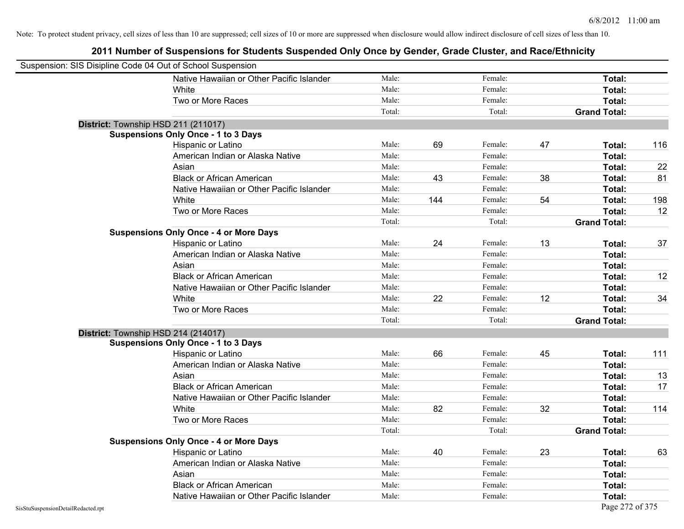|                                    | Suspension: SIS Disipline Code 04 Out of School Suspension |        |     |         |    |                     |     |
|------------------------------------|------------------------------------------------------------|--------|-----|---------|----|---------------------|-----|
|                                    | Native Hawaiian or Other Pacific Islander                  | Male:  |     | Female: |    | Total:              |     |
|                                    | White                                                      | Male:  |     | Female: |    | Total:              |     |
|                                    | Two or More Races                                          | Male:  |     | Female: |    | Total:              |     |
|                                    |                                                            | Total: |     | Total:  |    | <b>Grand Total:</b> |     |
|                                    | District: Township HSD 211 (211017)                        |        |     |         |    |                     |     |
|                                    | <b>Suspensions Only Once - 1 to 3 Days</b>                 |        |     |         |    |                     |     |
|                                    | Hispanic or Latino                                         | Male:  | 69  | Female: | 47 | Total:              | 116 |
|                                    | American Indian or Alaska Native                           | Male:  |     | Female: |    | Total:              |     |
|                                    | Asian                                                      | Male:  |     | Female: |    | Total:              | 22  |
|                                    | <b>Black or African American</b>                           | Male:  | 43  | Female: | 38 | Total:              | 81  |
|                                    | Native Hawaiian or Other Pacific Islander                  | Male:  |     | Female: |    | Total:              |     |
|                                    | White                                                      | Male:  | 144 | Female: | 54 | Total:              | 198 |
|                                    | Two or More Races                                          | Male:  |     | Female: |    | Total:              | 12  |
|                                    |                                                            | Total: |     | Total:  |    | <b>Grand Total:</b> |     |
|                                    | <b>Suspensions Only Once - 4 or More Days</b>              |        |     |         |    |                     |     |
|                                    | Hispanic or Latino                                         | Male:  | 24  | Female: | 13 | Total:              | 37  |
|                                    | American Indian or Alaska Native                           | Male:  |     | Female: |    | Total:              |     |
|                                    | Asian                                                      | Male:  |     | Female: |    | Total:              |     |
|                                    | <b>Black or African American</b>                           | Male:  |     | Female: |    | Total:              | 12  |
|                                    | Native Hawaiian or Other Pacific Islander                  | Male:  |     | Female: |    | Total:              |     |
|                                    | White                                                      | Male:  | 22  | Female: | 12 | Total:              | 34  |
|                                    | Two or More Races                                          | Male:  |     | Female: |    | Total:              |     |
|                                    |                                                            | Total: |     | Total:  |    | <b>Grand Total:</b> |     |
|                                    | District: Township HSD 214 (214017)                        |        |     |         |    |                     |     |
|                                    | <b>Suspensions Only Once - 1 to 3 Days</b>                 |        |     |         |    |                     |     |
|                                    | Hispanic or Latino                                         | Male:  | 66  | Female: | 45 | Total:              | 111 |
|                                    | American Indian or Alaska Native                           | Male:  |     | Female: |    | Total:              |     |
|                                    | Asian                                                      | Male:  |     | Female: |    | Total:              | 13  |
|                                    | <b>Black or African American</b>                           | Male:  |     | Female: |    | Total:              | 17  |
|                                    | Native Hawaiian or Other Pacific Islander                  | Male:  |     | Female: |    | Total:              |     |
|                                    | White                                                      | Male:  | 82  | Female: | 32 | Total:              | 114 |
|                                    | Two or More Races                                          | Male:  |     | Female: |    | Total:              |     |
|                                    |                                                            | Total: |     | Total:  |    | <b>Grand Total:</b> |     |
|                                    | <b>Suspensions Only Once - 4 or More Days</b>              |        |     |         |    |                     |     |
|                                    | Hispanic or Latino                                         | Male:  | 40  | Female: | 23 | Total:              | 63  |
|                                    | American Indian or Alaska Native                           | Male:  |     | Female: |    | Total:              |     |
|                                    | Asian                                                      | Male:  |     | Female: |    | Total:              |     |
|                                    | <b>Black or African American</b>                           | Male:  |     | Female: |    | Total:              |     |
|                                    | Native Hawaiian or Other Pacific Islander                  | Male:  |     | Female: |    | Total:              |     |
| SisStuSuspensionDetailRedacted.rpt |                                                            |        |     |         |    | Page 272 of 375     |     |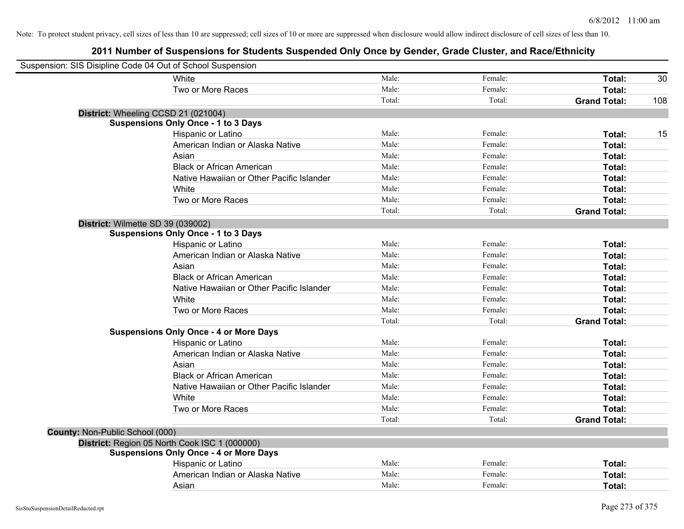| Suspension: SIS Disipline Code 04 Out of School Suspension |                                               |        |         |                     |     |
|------------------------------------------------------------|-----------------------------------------------|--------|---------|---------------------|-----|
|                                                            | White                                         | Male:  | Female: | Total:              | 30  |
|                                                            | Two or More Races                             | Male:  | Female: | Total:              |     |
|                                                            |                                               | Total: | Total:  | <b>Grand Total:</b> | 108 |
| District: Wheeling CCSD 21 (021004)                        |                                               |        |         |                     |     |
|                                                            | <b>Suspensions Only Once - 1 to 3 Days</b>    |        |         |                     |     |
|                                                            | Hispanic or Latino                            | Male:  | Female: | Total:              | 15  |
|                                                            | American Indian or Alaska Native              | Male:  | Female: | Total:              |     |
|                                                            | Asian                                         | Male:  | Female: | Total:              |     |
|                                                            | <b>Black or African American</b>              | Male:  | Female: | Total:              |     |
|                                                            | Native Hawaiian or Other Pacific Islander     | Male:  | Female: | Total:              |     |
|                                                            | White                                         | Male:  | Female: | Total:              |     |
|                                                            | Two or More Races                             | Male:  | Female: | Total:              |     |
|                                                            |                                               | Total: | Total:  | <b>Grand Total:</b> |     |
| District: Wilmette SD 39 (039002)                          |                                               |        |         |                     |     |
|                                                            | <b>Suspensions Only Once - 1 to 3 Days</b>    |        |         |                     |     |
|                                                            | Hispanic or Latino                            | Male:  | Female: | Total:              |     |
|                                                            | American Indian or Alaska Native              | Male:  | Female: | Total:              |     |
|                                                            | Asian                                         | Male:  | Female: | Total:              |     |
|                                                            | <b>Black or African American</b>              | Male:  | Female: | Total:              |     |
|                                                            | Native Hawaiian or Other Pacific Islander     | Male:  | Female: | Total:              |     |
|                                                            | White                                         | Male:  | Female: | Total:              |     |
|                                                            | Two or More Races                             | Male:  | Female: | Total:              |     |
|                                                            |                                               | Total: | Total:  | <b>Grand Total:</b> |     |
|                                                            | <b>Suspensions Only Once - 4 or More Days</b> |        |         |                     |     |
|                                                            | Hispanic or Latino                            | Male:  | Female: | Total:              |     |
|                                                            | American Indian or Alaska Native              | Male:  | Female: | Total:              |     |
|                                                            | Asian                                         | Male:  | Female: | Total:              |     |
|                                                            | <b>Black or African American</b>              | Male:  | Female: | Total:              |     |
|                                                            | Native Hawaiian or Other Pacific Islander     | Male:  | Female: | Total:              |     |
|                                                            | White                                         | Male:  | Female: | Total:              |     |
|                                                            | Two or More Races                             | Male:  | Female: | Total:              |     |
|                                                            |                                               | Total: | Total:  | <b>Grand Total:</b> |     |
| County: Non-Public School (000)                            |                                               |        |         |                     |     |
|                                                            | District: Region 05 North Cook ISC 1 (000000) |        |         |                     |     |
|                                                            | <b>Suspensions Only Once - 4 or More Days</b> |        |         |                     |     |
|                                                            | Hispanic or Latino                            | Male:  | Female: | Total:              |     |
|                                                            | American Indian or Alaska Native              | Male:  | Female: | Total:              |     |
|                                                            | Asian                                         | Male:  | Female: | Total:              |     |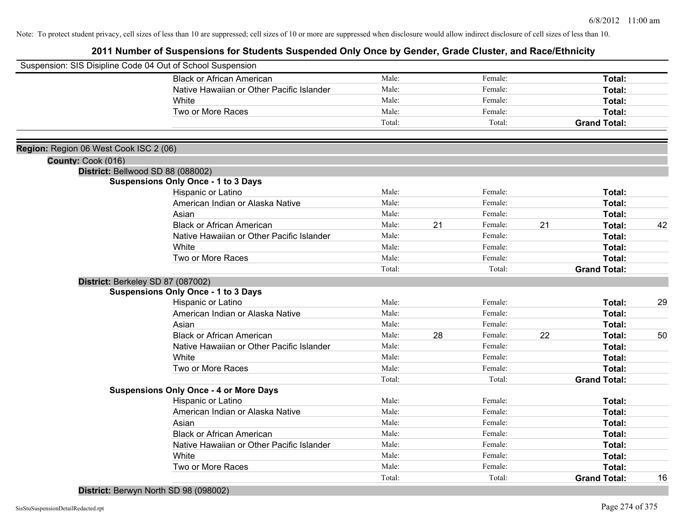|                                        | Suspension: SIS Disipline Code 04 Out of School Suspension |        |    |         |    |                     |    |
|----------------------------------------|------------------------------------------------------------|--------|----|---------|----|---------------------|----|
|                                        | <b>Black or African American</b>                           | Male:  |    | Female: |    | Total:              |    |
|                                        | Native Hawaiian or Other Pacific Islander                  | Male:  |    | Female: |    | Total:              |    |
|                                        | White                                                      | Male:  |    | Female: |    | Total:              |    |
|                                        | Two or More Races                                          | Male:  |    | Female: |    | Total:              |    |
|                                        |                                                            | Total: |    | Total:  |    | <b>Grand Total:</b> |    |
|                                        |                                                            |        |    |         |    |                     |    |
| Region: Region 06 West Cook ISC 2 (06) |                                                            |        |    |         |    |                     |    |
| County: Cook (016)                     |                                                            |        |    |         |    |                     |    |
|                                        | District: Bellwood SD 88 (088002)                          |        |    |         |    |                     |    |
|                                        | <b>Suspensions Only Once - 1 to 3 Days</b>                 |        |    |         |    |                     |    |
|                                        | Hispanic or Latino                                         | Male:  |    | Female: |    | Total:              |    |
|                                        | American Indian or Alaska Native                           | Male:  |    | Female: |    | Total:              |    |
|                                        | Asian                                                      | Male:  |    | Female: |    | Total:              |    |
|                                        | <b>Black or African American</b>                           | Male:  | 21 | Female: | 21 | Total:              | 42 |
|                                        | Native Hawaiian or Other Pacific Islander                  | Male:  |    | Female: |    | Total:              |    |
|                                        | White                                                      | Male:  |    | Female: |    | Total:              |    |
|                                        | Two or More Races                                          | Male:  |    | Female: |    | Total:              |    |
|                                        |                                                            | Total: |    | Total:  |    | <b>Grand Total:</b> |    |
|                                        | District: Berkeley SD 87 (087002)                          |        |    |         |    |                     |    |
|                                        | <b>Suspensions Only Once - 1 to 3 Days</b>                 |        |    |         |    |                     |    |
|                                        | Hispanic or Latino                                         | Male:  |    | Female: |    | Total:              | 29 |
|                                        | American Indian or Alaska Native                           | Male:  |    | Female: |    | Total:              |    |
|                                        | Asian                                                      | Male:  |    | Female: |    | Total:              |    |
|                                        | <b>Black or African American</b>                           | Male:  | 28 | Female: | 22 | Total:              | 50 |
|                                        | Native Hawaiian or Other Pacific Islander                  | Male:  |    | Female: |    | Total:              |    |
|                                        | White                                                      | Male:  |    | Female: |    | Total:              |    |
|                                        | Two or More Races                                          | Male:  |    | Female: |    | Total:              |    |
|                                        |                                                            | Total: |    | Total:  |    | <b>Grand Total:</b> |    |
|                                        | <b>Suspensions Only Once - 4 or More Days</b>              |        |    |         |    |                     |    |
|                                        | Hispanic or Latino                                         | Male:  |    | Female: |    | Total:              |    |
|                                        | American Indian or Alaska Native                           | Male:  |    | Female: |    | Total:              |    |
|                                        | Asian                                                      | Male:  |    | Female: |    | Total:              |    |
|                                        | <b>Black or African American</b>                           | Male:  |    | Female: |    | Total:              |    |
|                                        | Native Hawaiian or Other Pacific Islander                  | Male:  |    | Female: |    | Total:              |    |
|                                        | White                                                      | Male:  |    | Female: |    | <b>Total:</b>       |    |
|                                        | Two or More Races                                          | Male:  |    | Female: |    | Total:              |    |
|                                        |                                                            | Total: |    | Total:  |    | <b>Grand Total:</b> | 16 |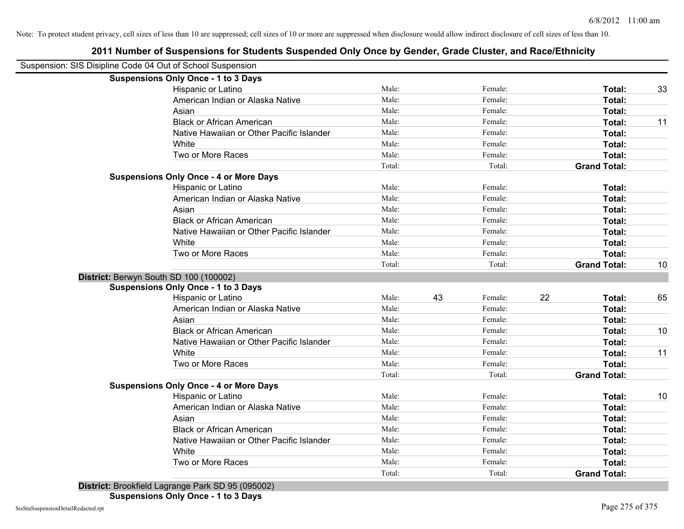|                                                            | 2011 Number of Suspensions for Students Suspended Only Once by Gender, Grade Cluster, and Race/Ethnicity |        |    |         |    |                     |    |
|------------------------------------------------------------|----------------------------------------------------------------------------------------------------------|--------|----|---------|----|---------------------|----|
| Suspension: SIS Disipline Code 04 Out of School Suspension |                                                                                                          |        |    |         |    |                     |    |
|                                                            | <b>Suspensions Only Once - 1 to 3 Days</b>                                                               |        |    |         |    |                     |    |
|                                                            | Hispanic or Latino                                                                                       | Male:  |    | Female: |    | Total:              | 33 |
|                                                            | American Indian or Alaska Native                                                                         | Male:  |    | Female: |    | Total:              |    |
|                                                            | Asian                                                                                                    | Male:  |    | Female: |    | Total:              |    |
|                                                            | <b>Black or African American</b>                                                                         | Male:  |    | Female: |    | Total:              | 11 |
|                                                            | Native Hawaiian or Other Pacific Islander                                                                | Male:  |    | Female: |    | Total:              |    |
|                                                            | White                                                                                                    | Male:  |    | Female: |    | Total:              |    |
|                                                            | Two or More Races                                                                                        | Male:  |    | Female: |    | Total:              |    |
|                                                            |                                                                                                          | Total: |    | Total:  |    | <b>Grand Total:</b> |    |
|                                                            | <b>Suspensions Only Once - 4 or More Days</b>                                                            |        |    |         |    |                     |    |
|                                                            | Hispanic or Latino                                                                                       | Male:  |    | Female: |    | Total:              |    |
|                                                            | American Indian or Alaska Native                                                                         | Male:  |    | Female: |    | Total:              |    |
|                                                            | Asian                                                                                                    | Male:  |    | Female: |    | Total:              |    |
|                                                            | <b>Black or African American</b>                                                                         | Male:  |    | Female: |    | Total:              |    |
|                                                            | Native Hawaiian or Other Pacific Islander                                                                | Male:  |    | Female: |    | Total:              |    |
|                                                            | White                                                                                                    | Male:  |    | Female: |    | Total:              |    |
|                                                            | Two or More Races                                                                                        | Male:  |    | Female: |    | Total:              |    |
|                                                            |                                                                                                          | Total: |    | Total:  |    | <b>Grand Total:</b> | 10 |
|                                                            | District: Berwyn South SD 100 (100002)                                                                   |        |    |         |    |                     |    |
|                                                            | <b>Suspensions Only Once - 1 to 3 Days</b>                                                               |        |    |         |    |                     |    |
|                                                            | Hispanic or Latino                                                                                       | Male:  | 43 | Female: | 22 | Total:              | 65 |
|                                                            | American Indian or Alaska Native                                                                         | Male:  |    | Female: |    | Total:              |    |
|                                                            | Asian                                                                                                    | Male:  |    | Female: |    | Total:              |    |
|                                                            | <b>Black or African American</b>                                                                         | Male:  |    | Female: |    | Total:              | 10 |
|                                                            | Native Hawaiian or Other Pacific Islander                                                                | Male:  |    | Female: |    | Total:              |    |
|                                                            | White                                                                                                    | Male:  |    | Female: |    | Total:              | 11 |
|                                                            | Two or More Races                                                                                        | Male:  |    | Female: |    | Total:              |    |
|                                                            |                                                                                                          | Total: |    | Total:  |    | <b>Grand Total:</b> |    |
|                                                            | <b>Suspensions Only Once - 4 or More Days</b>                                                            |        |    |         |    |                     |    |
|                                                            | Hispanic or Latino                                                                                       | Male:  |    | Female: |    | Total:              | 10 |
|                                                            | American Indian or Alaska Native                                                                         | Male:  |    | Female: |    | Total:              |    |
|                                                            | Asian                                                                                                    | Male:  |    | Female: |    | Total:              |    |
|                                                            | <b>Black or African American</b>                                                                         | Male:  |    | Female: |    | Total:              |    |
|                                                            | Native Hawaiian or Other Pacific Islander                                                                | Male:  |    | Female: |    | Total:              |    |
|                                                            | White                                                                                                    | Male:  |    | Female: |    | Total:              |    |
|                                                            | Two or More Races                                                                                        | Male:  |    | Female: |    | Total:              |    |
|                                                            |                                                                                                          | Total: |    | Total:  |    | <b>Grand Total:</b> |    |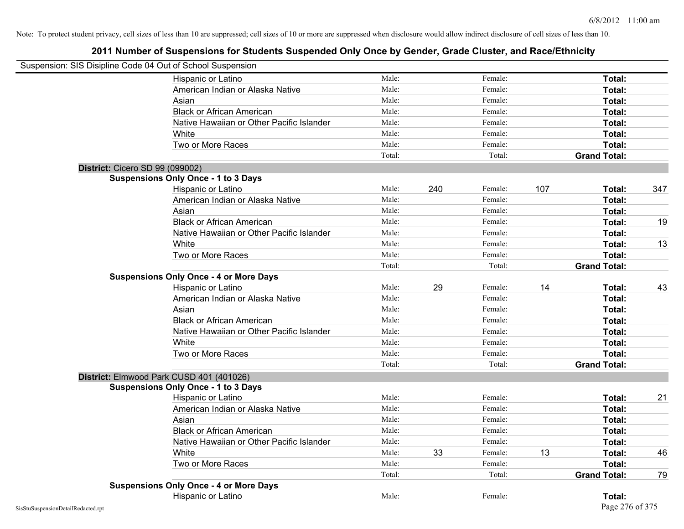| Suspension: SIS Disipline Code 04 Out of School Suspension |        |     |         |     |                     |     |
|------------------------------------------------------------|--------|-----|---------|-----|---------------------|-----|
| Hispanic or Latino                                         | Male:  |     | Female: |     | Total:              |     |
| American Indian or Alaska Native                           | Male:  |     | Female: |     | Total:              |     |
| Asian                                                      | Male:  |     | Female: |     | Total:              |     |
| <b>Black or African American</b>                           | Male:  |     | Female: |     | Total:              |     |
| Native Hawaiian or Other Pacific Islander                  | Male:  |     | Female: |     | Total:              |     |
| White                                                      | Male:  |     | Female: |     | Total:              |     |
| Two or More Races                                          | Male:  |     | Female: |     | Total:              |     |
|                                                            | Total: |     | Total:  |     | <b>Grand Total:</b> |     |
| District: Cicero SD 99 (099002)                            |        |     |         |     |                     |     |
| <b>Suspensions Only Once - 1 to 3 Days</b>                 |        |     |         |     |                     |     |
| Hispanic or Latino                                         | Male:  | 240 | Female: | 107 | Total:              | 347 |
| American Indian or Alaska Native                           | Male:  |     | Female: |     | Total:              |     |
| Asian                                                      | Male:  |     | Female: |     | Total:              |     |
| <b>Black or African American</b>                           | Male:  |     | Female: |     | Total:              | 19  |
| Native Hawaiian or Other Pacific Islander                  | Male:  |     | Female: |     | Total:              |     |
| White                                                      | Male:  |     | Female: |     | Total:              | 13  |
| Two or More Races                                          | Male:  |     | Female: |     | Total:              |     |
|                                                            | Total: |     | Total:  |     | <b>Grand Total:</b> |     |
| <b>Suspensions Only Once - 4 or More Days</b>              |        |     |         |     |                     |     |
| Hispanic or Latino                                         | Male:  | 29  | Female: | 14  | Total:              | 43  |
| American Indian or Alaska Native                           | Male:  |     | Female: |     | Total:              |     |
| Asian                                                      | Male:  |     | Female: |     | Total:              |     |
| <b>Black or African American</b>                           | Male:  |     | Female: |     | Total:              |     |
| Native Hawaiian or Other Pacific Islander                  | Male:  |     | Female: |     | Total:              |     |
| White                                                      | Male:  |     | Female: |     | Total:              |     |
| Two or More Races                                          | Male:  |     | Female: |     | Total:              |     |
|                                                            | Total: |     | Total:  |     | <b>Grand Total:</b> |     |
| District: Elmwood Park CUSD 401 (401026)                   |        |     |         |     |                     |     |
| <b>Suspensions Only Once - 1 to 3 Days</b>                 |        |     |         |     |                     |     |
| Hispanic or Latino                                         | Male:  |     | Female: |     | Total:              | 21  |
| American Indian or Alaska Native                           | Male:  |     | Female: |     | Total:              |     |
| Asian                                                      | Male:  |     | Female: |     | Total:              |     |
| <b>Black or African American</b>                           | Male:  |     | Female: |     | Total:              |     |
| Native Hawaiian or Other Pacific Islander                  | Male:  |     | Female: |     | Total:              |     |
| White                                                      | Male:  | 33  | Female: | 13  | Total:              | 46  |
| Two or More Races                                          | Male:  |     | Female: |     | Total:              |     |
|                                                            | Total: |     | Total:  |     | <b>Grand Total:</b> | 79  |
| <b>Suspensions Only Once - 4 or More Days</b>              |        |     |         |     |                     |     |
| Hispanic or Latino                                         | Male:  |     | Female: |     | Total:              |     |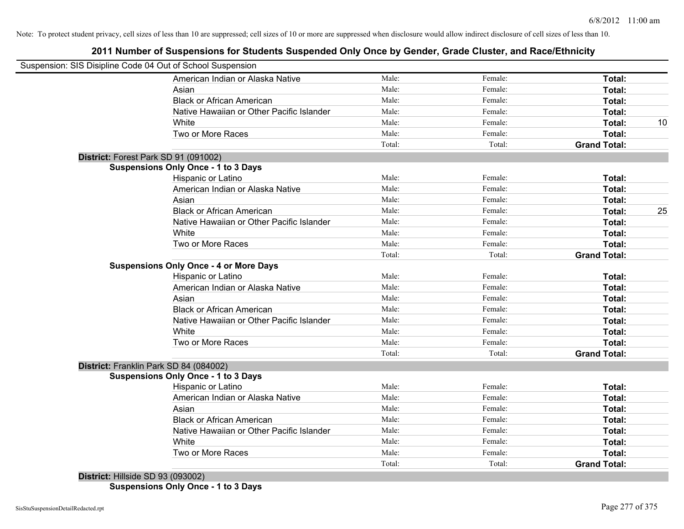# **2011 Number of Suspensions for Students Suspended Only Once by Gender, Grade Cluster, and Race/Ethnicity**

|                                   | Suspension: SIS Disipline Code 04 Out of School Suspension |        |         |                     |    |
|-----------------------------------|------------------------------------------------------------|--------|---------|---------------------|----|
|                                   | American Indian or Alaska Native                           | Male:  | Female: | Total:              |    |
|                                   | Asian                                                      | Male:  | Female: | Total:              |    |
|                                   | <b>Black or African American</b>                           | Male:  | Female: | Total:              |    |
|                                   | Native Hawaiian or Other Pacific Islander                  | Male:  | Female: | Total:              |    |
|                                   | White                                                      | Male:  | Female: | Total:              | 10 |
|                                   | Two or More Races                                          | Male:  | Female: | Total:              |    |
|                                   |                                                            | Total: | Total:  | <b>Grand Total:</b> |    |
|                                   | District: Forest Park SD 91 (091002)                       |        |         |                     |    |
|                                   | <b>Suspensions Only Once - 1 to 3 Days</b>                 |        |         |                     |    |
|                                   | Hispanic or Latino                                         | Male:  | Female: | Total:              |    |
|                                   | American Indian or Alaska Native                           | Male:  | Female: | Total:              |    |
|                                   | Asian                                                      | Male:  | Female: | Total:              |    |
|                                   | <b>Black or African American</b>                           | Male:  | Female: | Total:              | 25 |
|                                   | Native Hawaiian or Other Pacific Islander                  | Male:  | Female: | Total:              |    |
|                                   | White                                                      | Male:  | Female: | Total:              |    |
|                                   | Two or More Races                                          | Male:  | Female: | Total:              |    |
|                                   |                                                            | Total: | Total:  | <b>Grand Total:</b> |    |
|                                   | <b>Suspensions Only Once - 4 or More Days</b>              |        |         |                     |    |
|                                   | Hispanic or Latino                                         | Male:  | Female: | Total:              |    |
|                                   | American Indian or Alaska Native                           | Male:  | Female: | Total:              |    |
|                                   | Asian                                                      | Male:  | Female: | Total:              |    |
|                                   | <b>Black or African American</b>                           | Male:  | Female: | Total:              |    |
|                                   | Native Hawaiian or Other Pacific Islander                  | Male:  | Female: | Total:              |    |
|                                   | White                                                      | Male:  | Female: | Total:              |    |
|                                   | Two or More Races                                          | Male:  | Female: | Total:              |    |
|                                   |                                                            | Total: | Total:  | <b>Grand Total:</b> |    |
|                                   | District: Franklin Park SD 84 (084002)                     |        |         |                     |    |
|                                   | <b>Suspensions Only Once - 1 to 3 Days</b>                 |        |         |                     |    |
|                                   | Hispanic or Latino                                         | Male:  | Female: | Total:              |    |
|                                   | American Indian or Alaska Native                           | Male:  | Female: | Total:              |    |
|                                   | Asian                                                      | Male:  | Female: | Total:              |    |
|                                   | <b>Black or African American</b>                           | Male:  | Female: | Total:              |    |
|                                   | Native Hawaiian or Other Pacific Islander                  | Male:  | Female: | Total:              |    |
|                                   | White                                                      | Male:  | Female: | Total:              |    |
|                                   | Two or More Races                                          | Male:  | Female: | Total:              |    |
|                                   |                                                            | Total: | Total:  | <b>Grand Total:</b> |    |
| District: Hillside SD 93 (093002) |                                                            |        |         |                     |    |

**Suspensions Only Once - 1 to 3 Days**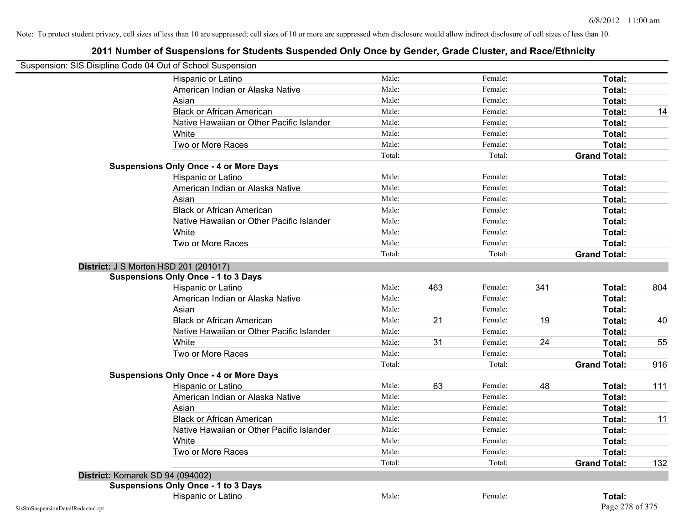|                                    | Suspension: SIS Disipline Code 04 Out of School Suspension |        |     |         |     |                     |     |
|------------------------------------|------------------------------------------------------------|--------|-----|---------|-----|---------------------|-----|
|                                    | Hispanic or Latino                                         | Male:  |     | Female: |     | Total:              |     |
|                                    | American Indian or Alaska Native                           | Male:  |     | Female: |     | Total:              |     |
|                                    | Asian                                                      | Male:  |     | Female: |     | Total:              |     |
|                                    | <b>Black or African American</b>                           | Male:  |     | Female: |     | Total:              | 14  |
|                                    | Native Hawaiian or Other Pacific Islander                  | Male:  |     | Female: |     | Total:              |     |
|                                    | White                                                      | Male:  |     | Female: |     | Total:              |     |
|                                    | Two or More Races                                          | Male:  |     | Female: |     | Total:              |     |
|                                    |                                                            | Total: |     | Total:  |     | <b>Grand Total:</b> |     |
|                                    | <b>Suspensions Only Once - 4 or More Days</b>              |        |     |         |     |                     |     |
|                                    | Hispanic or Latino                                         | Male:  |     | Female: |     | Total:              |     |
|                                    | American Indian or Alaska Native                           | Male:  |     | Female: |     | Total:              |     |
|                                    | Asian                                                      | Male:  |     | Female: |     | Total:              |     |
|                                    | <b>Black or African American</b>                           | Male:  |     | Female: |     | Total:              |     |
|                                    | Native Hawaiian or Other Pacific Islander                  | Male:  |     | Female: |     | Total:              |     |
|                                    | White                                                      | Male:  |     | Female: |     | Total:              |     |
|                                    | Two or More Races                                          | Male:  |     | Female: |     | Total:              |     |
|                                    |                                                            | Total: |     | Total:  |     | <b>Grand Total:</b> |     |
|                                    | <b>District: J S Morton HSD 201 (201017)</b>               |        |     |         |     |                     |     |
|                                    | <b>Suspensions Only Once - 1 to 3 Days</b>                 |        |     |         |     |                     |     |
|                                    | Hispanic or Latino                                         | Male:  | 463 | Female: | 341 | Total:              | 804 |
|                                    | American Indian or Alaska Native                           | Male:  |     | Female: |     | Total:              |     |
|                                    | Asian                                                      | Male:  |     | Female: |     | Total:              |     |
|                                    | <b>Black or African American</b>                           | Male:  | 21  | Female: | 19  | Total:              | 40  |
|                                    | Native Hawaiian or Other Pacific Islander                  | Male:  |     | Female: |     | Total:              |     |
|                                    | White                                                      | Male:  | 31  | Female: | 24  | Total:              | 55  |
|                                    | Two or More Races                                          | Male:  |     | Female: |     | Total:              |     |
|                                    |                                                            | Total: |     | Total:  |     | <b>Grand Total:</b> | 916 |
|                                    | <b>Suspensions Only Once - 4 or More Days</b>              |        |     |         |     |                     |     |
|                                    | Hispanic or Latino                                         | Male:  | 63  | Female: | 48  | Total:              | 111 |
|                                    | American Indian or Alaska Native                           | Male:  |     | Female: |     | Total:              |     |
|                                    | Asian                                                      | Male:  |     | Female: |     | Total:              |     |
|                                    | <b>Black or African American</b>                           | Male:  |     | Female: |     | Total:              | 11  |
|                                    | Native Hawaiian or Other Pacific Islander                  | Male:  |     | Female: |     | Total:              |     |
|                                    | White                                                      | Male:  |     | Female: |     | Total:              |     |
|                                    | Two or More Races                                          | Male:  |     | Female: |     | Total:              |     |
|                                    |                                                            | Total: |     | Total:  |     | <b>Grand Total:</b> | 132 |
|                                    | District: Komarek SD 94 (094002)                           |        |     |         |     |                     |     |
|                                    | <b>Suspensions Only Once - 1 to 3 Days</b>                 |        |     |         |     |                     |     |
|                                    | Hispanic or Latino                                         | Male:  |     | Female: |     | Total:              |     |
| SisStuSuspensionDetailRedacted.rpt |                                                            |        |     |         |     | Page 278 of 375     |     |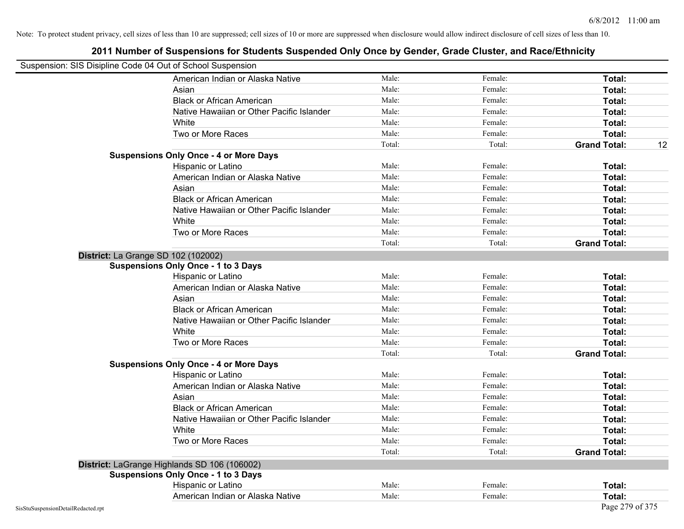| Suspension: SIS Disipline Code 04 Out of School Suspension |                                               |        |         |                           |
|------------------------------------------------------------|-----------------------------------------------|--------|---------|---------------------------|
|                                                            | American Indian or Alaska Native              | Male:  | Female: | Total:                    |
|                                                            | Asian                                         | Male:  | Female: | Total:                    |
|                                                            | <b>Black or African American</b>              | Male:  | Female: | Total:                    |
|                                                            | Native Hawaiian or Other Pacific Islander     | Male:  | Female: | Total:                    |
|                                                            | White                                         | Male:  | Female: | Total:                    |
|                                                            | Two or More Races                             | Male:  | Female: | Total:                    |
|                                                            |                                               | Total: | Total:  | <b>Grand Total:</b><br>12 |
|                                                            | <b>Suspensions Only Once - 4 or More Days</b> |        |         |                           |
|                                                            | Hispanic or Latino                            | Male:  | Female: | Total:                    |
|                                                            | American Indian or Alaska Native              | Male:  | Female: | Total:                    |
|                                                            | Asian                                         | Male:  | Female: | Total:                    |
|                                                            | <b>Black or African American</b>              | Male:  | Female: | Total:                    |
|                                                            | Native Hawaiian or Other Pacific Islander     | Male:  | Female: | Total:                    |
|                                                            | White                                         | Male:  | Female: | Total:                    |
|                                                            | Two or More Races                             | Male:  | Female: | Total:                    |
|                                                            |                                               | Total: | Total:  | <b>Grand Total:</b>       |
|                                                            | District: La Grange SD 102 (102002)           |        |         |                           |
|                                                            | <b>Suspensions Only Once - 1 to 3 Days</b>    |        |         |                           |
|                                                            | Hispanic or Latino                            | Male:  | Female: | Total:                    |
|                                                            | American Indian or Alaska Native              | Male:  | Female: | Total:                    |
|                                                            | Asian                                         | Male:  | Female: | Total:                    |
|                                                            | <b>Black or African American</b>              | Male:  | Female: | Total:                    |
|                                                            | Native Hawaiian or Other Pacific Islander     | Male:  | Female: | Total:                    |
|                                                            | White                                         | Male:  | Female: | Total:                    |
|                                                            | Two or More Races                             | Male:  | Female: | Total:                    |
|                                                            |                                               | Total: | Total:  | <b>Grand Total:</b>       |
|                                                            | <b>Suspensions Only Once - 4 or More Days</b> |        |         |                           |
|                                                            | Hispanic or Latino                            | Male:  | Female: | Total:                    |
|                                                            | American Indian or Alaska Native              | Male:  | Female: | Total:                    |
|                                                            | Asian                                         | Male:  | Female: | Total:                    |
|                                                            | <b>Black or African American</b>              | Male:  | Female: | Total:                    |
|                                                            | Native Hawaiian or Other Pacific Islander     | Male:  | Female: | Total:                    |
|                                                            | White                                         | Male:  | Female: | <b>Total:</b>             |
|                                                            | Two or More Races                             | Male:  | Female: | Total:                    |
|                                                            |                                               | Total: | Total:  | <b>Grand Total:</b>       |
|                                                            | District: LaGrange Highlands SD 106 (106002)  |        |         |                           |
|                                                            | <b>Suspensions Only Once - 1 to 3 Days</b>    |        |         |                           |
|                                                            | Hispanic or Latino                            | Male:  | Female: | Total:                    |
|                                                            | American Indian or Alaska Native              | Male:  | Female: | Total:                    |
| SisStuSuspensionDetailRedacted.rpt                         |                                               |        |         | Page 279 of 375           |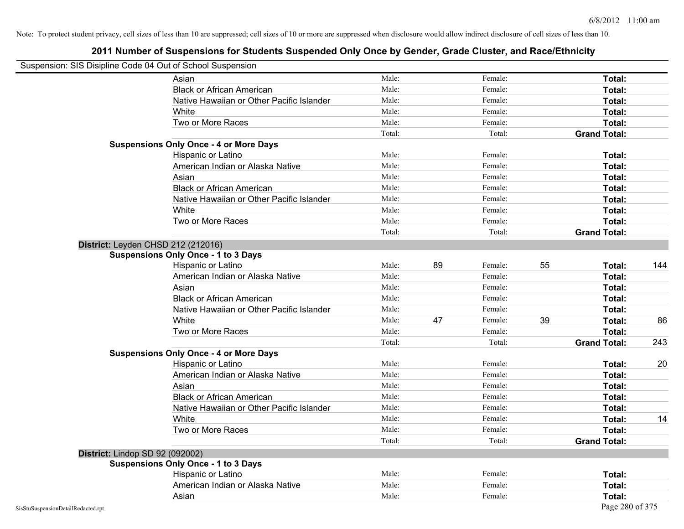| Suspension: SIS Disipline Code 04 Out of School Suspension |                                               |        |    |         |    |                     |     |
|------------------------------------------------------------|-----------------------------------------------|--------|----|---------|----|---------------------|-----|
|                                                            | Asian                                         | Male:  |    | Female: |    | Total:              |     |
|                                                            | <b>Black or African American</b>              | Male:  |    | Female: |    | Total:              |     |
|                                                            | Native Hawaiian or Other Pacific Islander     | Male:  |    | Female: |    | Total:              |     |
|                                                            | White                                         | Male:  |    | Female: |    | Total:              |     |
|                                                            | Two or More Races                             | Male:  |    | Female: |    | Total:              |     |
|                                                            |                                               | Total: |    | Total:  |    | <b>Grand Total:</b> |     |
|                                                            | <b>Suspensions Only Once - 4 or More Days</b> |        |    |         |    |                     |     |
|                                                            | Hispanic or Latino                            | Male:  |    | Female: |    | Total:              |     |
|                                                            | American Indian or Alaska Native              | Male:  |    | Female: |    | Total:              |     |
|                                                            | Asian                                         | Male:  |    | Female: |    | Total:              |     |
|                                                            | <b>Black or African American</b>              | Male:  |    | Female: |    | Total:              |     |
|                                                            | Native Hawaiian or Other Pacific Islander     | Male:  |    | Female: |    | Total:              |     |
|                                                            | White                                         | Male:  |    | Female: |    | Total:              |     |
|                                                            | Two or More Races                             | Male:  |    | Female: |    | Total:              |     |
|                                                            |                                               | Total: |    | Total:  |    | <b>Grand Total:</b> |     |
|                                                            | District: Leyden CHSD 212 (212016)            |        |    |         |    |                     |     |
|                                                            | <b>Suspensions Only Once - 1 to 3 Days</b>    |        |    |         |    |                     |     |
|                                                            | Hispanic or Latino                            | Male:  | 89 | Female: | 55 | Total:              | 144 |
|                                                            | American Indian or Alaska Native              | Male:  |    | Female: |    | Total:              |     |
|                                                            | Asian                                         | Male:  |    | Female: |    | Total:              |     |
|                                                            | <b>Black or African American</b>              | Male:  |    | Female: |    | Total:              |     |
|                                                            | Native Hawaiian or Other Pacific Islander     | Male:  |    | Female: |    | Total:              |     |
|                                                            | White                                         | Male:  | 47 | Female: | 39 | Total:              | 86  |
|                                                            | Two or More Races                             | Male:  |    | Female: |    | Total:              |     |
|                                                            |                                               | Total: |    | Total:  |    | <b>Grand Total:</b> | 243 |
|                                                            | <b>Suspensions Only Once - 4 or More Days</b> |        |    |         |    |                     |     |
|                                                            | Hispanic or Latino                            | Male:  |    | Female: |    | Total:              | 20  |
|                                                            | American Indian or Alaska Native              | Male:  |    | Female: |    | Total:              |     |
|                                                            | Asian                                         | Male:  |    | Female: |    | Total:              |     |
|                                                            | <b>Black or African American</b>              | Male:  |    | Female: |    | Total:              |     |
|                                                            | Native Hawaiian or Other Pacific Islander     | Male:  |    | Female: |    | Total:              |     |
|                                                            | White                                         | Male:  |    | Female: |    | Total:              | 14  |
|                                                            | Two or More Races                             | Male:  |    | Female: |    | Total:              |     |
|                                                            |                                               | Total: |    | Total:  |    | <b>Grand Total:</b> |     |
| District: Lindop SD 92 (092002)                            |                                               |        |    |         |    |                     |     |
|                                                            | <b>Suspensions Only Once - 1 to 3 Days</b>    |        |    |         |    |                     |     |
|                                                            | Hispanic or Latino                            | Male:  |    | Female: |    | Total:              |     |
|                                                            | American Indian or Alaska Native              | Male:  |    | Female: |    | Total:              |     |
|                                                            | Asian                                         | Male:  |    | Female: |    | Total:              |     |
| SisStuSuspensionDetailRedacted.rpt                         |                                               |        |    |         |    | Page 280 of 375     |     |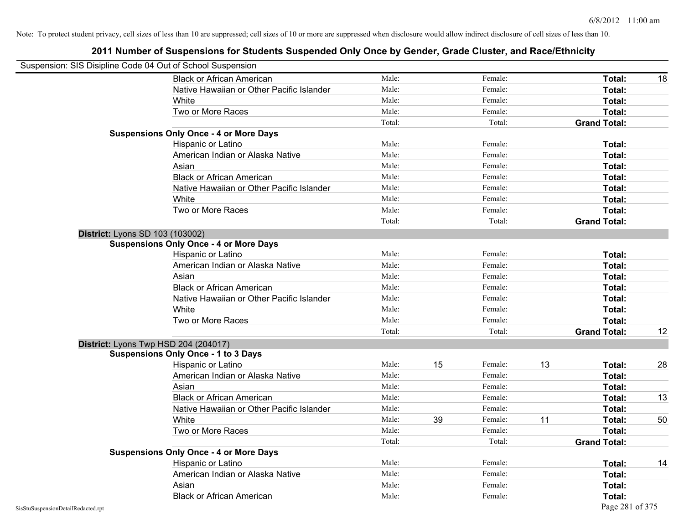|                                    | Suspension: SIS Disipline Code 04 Out of School Suspension |        |    |         |    |                     |    |
|------------------------------------|------------------------------------------------------------|--------|----|---------|----|---------------------|----|
|                                    | <b>Black or African American</b>                           | Male:  |    | Female: |    | <b>Total:</b>       | 18 |
|                                    | Native Hawaiian or Other Pacific Islander                  | Male:  |    | Female: |    | Total:              |    |
|                                    | White                                                      | Male:  |    | Female: |    | Total:              |    |
|                                    | Two or More Races                                          | Male:  |    | Female: |    | Total:              |    |
|                                    |                                                            | Total: |    | Total:  |    | <b>Grand Total:</b> |    |
|                                    | <b>Suspensions Only Once - 4 or More Days</b>              |        |    |         |    |                     |    |
|                                    | Hispanic or Latino                                         | Male:  |    | Female: |    | Total:              |    |
|                                    | American Indian or Alaska Native                           | Male:  |    | Female: |    | Total:              |    |
|                                    | Asian                                                      | Male:  |    | Female: |    | Total:              |    |
|                                    | <b>Black or African American</b>                           | Male:  |    | Female: |    | Total:              |    |
|                                    | Native Hawaiian or Other Pacific Islander                  | Male:  |    | Female: |    | Total:              |    |
|                                    | White                                                      | Male:  |    | Female: |    | Total:              |    |
|                                    | Two or More Races                                          | Male:  |    | Female: |    | Total:              |    |
|                                    |                                                            | Total: |    | Total:  |    | <b>Grand Total:</b> |    |
|                                    | <b>District: Lyons SD 103 (103002)</b>                     |        |    |         |    |                     |    |
|                                    | <b>Suspensions Only Once - 4 or More Days</b>              |        |    |         |    |                     |    |
|                                    | Hispanic or Latino                                         | Male:  |    | Female: |    | Total:              |    |
|                                    | American Indian or Alaska Native                           | Male:  |    | Female: |    | Total:              |    |
|                                    | Asian                                                      | Male:  |    | Female: |    | Total:              |    |
|                                    | <b>Black or African American</b>                           | Male:  |    | Female: |    | Total:              |    |
|                                    | Native Hawaiian or Other Pacific Islander                  | Male:  |    | Female: |    | Total:              |    |
|                                    | White                                                      | Male:  |    | Female: |    | Total:              |    |
|                                    | Two or More Races                                          | Male:  |    | Female: |    | Total:              |    |
|                                    |                                                            | Total: |    | Total:  |    | <b>Grand Total:</b> | 12 |
|                                    | District: Lyons Twp HSD 204 (204017)                       |        |    |         |    |                     |    |
|                                    | <b>Suspensions Only Once - 1 to 3 Days</b>                 |        |    |         |    |                     |    |
|                                    | Hispanic or Latino                                         | Male:  | 15 | Female: | 13 | Total:              | 28 |
|                                    | American Indian or Alaska Native                           | Male:  |    | Female: |    | <b>Total:</b>       |    |
|                                    | Asian                                                      | Male:  |    | Female: |    | Total:              |    |
|                                    | <b>Black or African American</b>                           | Male:  |    | Female: |    | Total:              | 13 |
|                                    | Native Hawaiian or Other Pacific Islander                  | Male:  |    | Female: |    | Total:              |    |
|                                    | White                                                      | Male:  | 39 | Female: | 11 | Total:              | 50 |
|                                    | Two or More Races                                          | Male:  |    | Female: |    | Total:              |    |
|                                    |                                                            | Total: |    | Total:  |    | <b>Grand Total:</b> |    |
|                                    | <b>Suspensions Only Once - 4 or More Days</b>              |        |    |         |    |                     |    |
|                                    | Hispanic or Latino                                         | Male:  |    | Female: |    | Total:              | 14 |
|                                    | American Indian or Alaska Native                           | Male:  |    | Female: |    | Total:              |    |
|                                    | Asian                                                      | Male:  |    | Female: |    | Total:              |    |
|                                    | <b>Black or African American</b>                           | Male:  |    | Female: |    | Total:              |    |
| SisStuSuspensionDetailRedacted.rpt |                                                            |        |    |         |    | Page 281 of 375     |    |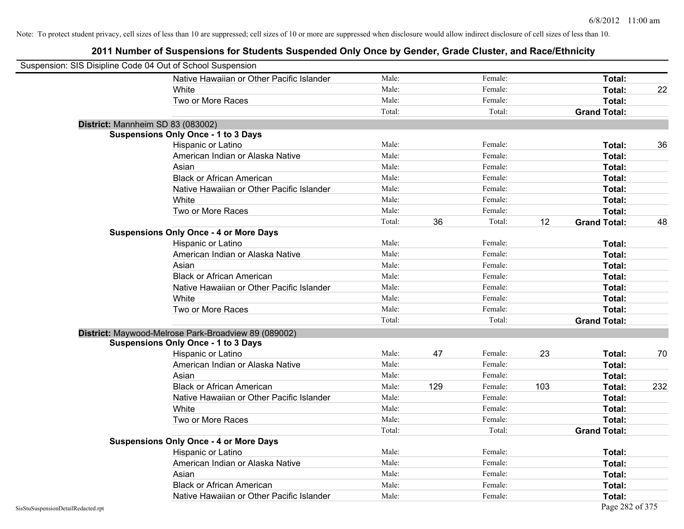|                                    | Suspension: SIS Disipline Code 04 Out of School Suspension |        |     |         |     |                     |     |
|------------------------------------|------------------------------------------------------------|--------|-----|---------|-----|---------------------|-----|
|                                    | Native Hawaiian or Other Pacific Islander                  | Male:  |     | Female: |     | Total:              |     |
|                                    | White                                                      | Male:  |     | Female: |     | Total:              | 22  |
|                                    | Two or More Races                                          | Male:  |     | Female: |     | Total:              |     |
|                                    |                                                            | Total: |     | Total:  |     | <b>Grand Total:</b> |     |
|                                    | District: Mannheim SD 83 (083002)                          |        |     |         |     |                     |     |
|                                    | <b>Suspensions Only Once - 1 to 3 Days</b>                 |        |     |         |     |                     |     |
|                                    | Hispanic or Latino                                         | Male:  |     | Female: |     | Total:              | 36  |
|                                    | American Indian or Alaska Native                           | Male:  |     | Female: |     | Total:              |     |
|                                    | Asian                                                      | Male:  |     | Female: |     | Total:              |     |
|                                    | <b>Black or African American</b>                           | Male:  |     | Female: |     | Total:              |     |
|                                    | Native Hawaiian or Other Pacific Islander                  | Male:  |     | Female: |     | Total:              |     |
|                                    | White                                                      | Male:  |     | Female: |     | Total:              |     |
|                                    | Two or More Races                                          | Male:  |     | Female: |     | Total:              |     |
|                                    |                                                            | Total: | 36  | Total:  | 12  | <b>Grand Total:</b> | 48  |
|                                    | <b>Suspensions Only Once - 4 or More Days</b>              |        |     |         |     |                     |     |
|                                    | Hispanic or Latino                                         | Male:  |     | Female: |     | Total:              |     |
|                                    | American Indian or Alaska Native                           | Male:  |     | Female: |     | Total:              |     |
|                                    | Asian                                                      | Male:  |     | Female: |     | Total:              |     |
|                                    | <b>Black or African American</b>                           | Male:  |     | Female: |     | Total:              |     |
|                                    | Native Hawaiian or Other Pacific Islander                  | Male:  |     | Female: |     | Total:              |     |
|                                    | White                                                      | Male:  |     | Female: |     | Total:              |     |
|                                    | Two or More Races                                          | Male:  |     | Female: |     | Total:              |     |
|                                    |                                                            | Total: |     | Total:  |     | <b>Grand Total:</b> |     |
|                                    | District: Maywood-Melrose Park-Broadview 89 (089002)       |        |     |         |     |                     |     |
|                                    | <b>Suspensions Only Once - 1 to 3 Days</b>                 |        |     |         |     |                     |     |
|                                    | Hispanic or Latino                                         | Male:  | 47  | Female: | 23  | Total:              | 70  |
|                                    | American Indian or Alaska Native                           | Male:  |     | Female: |     | Total:              |     |
|                                    | Asian                                                      | Male:  |     | Female: |     | Total:              |     |
|                                    | <b>Black or African American</b>                           | Male:  | 129 | Female: | 103 | Total:              | 232 |
|                                    | Native Hawaiian or Other Pacific Islander                  | Male:  |     | Female: |     | Total:              |     |
|                                    | White                                                      | Male:  |     | Female: |     | Total:              |     |
|                                    | Two or More Races                                          | Male:  |     | Female: |     | Total:              |     |
|                                    |                                                            | Total: |     | Total:  |     | <b>Grand Total:</b> |     |
|                                    | <b>Suspensions Only Once - 4 or More Days</b>              |        |     |         |     |                     |     |
|                                    | Hispanic or Latino                                         | Male:  |     | Female: |     | Total:              |     |
|                                    | American Indian or Alaska Native                           | Male:  |     | Female: |     | Total:              |     |
|                                    | Asian                                                      | Male:  |     | Female: |     | Total:              |     |
|                                    | <b>Black or African American</b>                           | Male:  |     | Female: |     | Total:              |     |
|                                    | Native Hawaiian or Other Pacific Islander                  | Male:  |     | Female: |     | Total:              |     |
| SisStuSuspensionDetailRedacted.rpt |                                                            |        |     |         |     | Page 282 of 375     |     |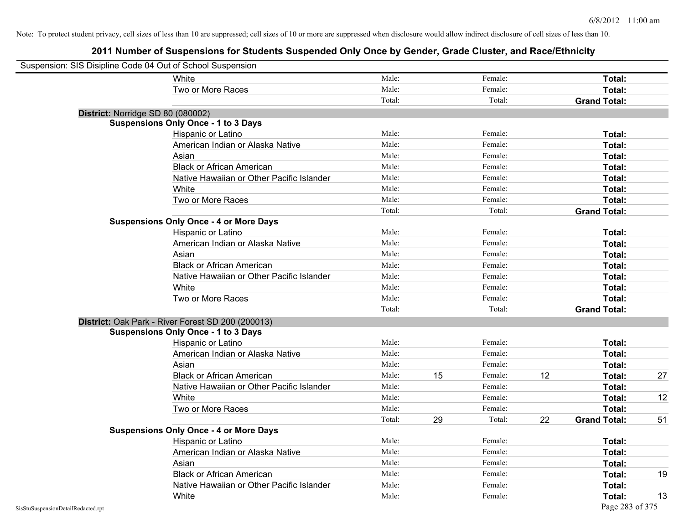| Suspension: SIS Disipline Code 04 Out of School Suspension |                                                   |        |    |         |    |                     |    |
|------------------------------------------------------------|---------------------------------------------------|--------|----|---------|----|---------------------|----|
|                                                            | White                                             | Male:  |    | Female: |    | Total:              |    |
|                                                            | Two or More Races                                 | Male:  |    | Female: |    | Total:              |    |
|                                                            |                                                   | Total: |    | Total:  |    | <b>Grand Total:</b> |    |
| District: Norridge SD 80 (080002)                          |                                                   |        |    |         |    |                     |    |
|                                                            | <b>Suspensions Only Once - 1 to 3 Days</b>        |        |    |         |    |                     |    |
|                                                            | Hispanic or Latino                                | Male:  |    | Female: |    | Total:              |    |
|                                                            | American Indian or Alaska Native                  | Male:  |    | Female: |    | Total:              |    |
|                                                            | Asian                                             | Male:  |    | Female: |    | Total:              |    |
|                                                            | <b>Black or African American</b>                  | Male:  |    | Female: |    | Total:              |    |
|                                                            | Native Hawaiian or Other Pacific Islander         | Male:  |    | Female: |    | Total:              |    |
|                                                            | White                                             | Male:  |    | Female: |    | Total:              |    |
|                                                            | Two or More Races                                 | Male:  |    | Female: |    | Total:              |    |
|                                                            |                                                   | Total: |    | Total:  |    | <b>Grand Total:</b> |    |
|                                                            | <b>Suspensions Only Once - 4 or More Days</b>     |        |    |         |    |                     |    |
|                                                            | Hispanic or Latino                                | Male:  |    | Female: |    | Total:              |    |
|                                                            | American Indian or Alaska Native                  | Male:  |    | Female: |    | Total:              |    |
|                                                            | Asian                                             | Male:  |    | Female: |    | Total:              |    |
|                                                            | <b>Black or African American</b>                  | Male:  |    | Female: |    | Total:              |    |
|                                                            | Native Hawaiian or Other Pacific Islander         | Male:  |    | Female: |    | Total:              |    |
|                                                            | White                                             | Male:  |    | Female: |    | Total:              |    |
|                                                            | Two or More Races                                 | Male:  |    | Female: |    | Total:              |    |
|                                                            |                                                   | Total: |    | Total:  |    | <b>Grand Total:</b> |    |
|                                                            | District: Oak Park - River Forest SD 200 (200013) |        |    |         |    |                     |    |
|                                                            | <b>Suspensions Only Once - 1 to 3 Days</b>        |        |    |         |    |                     |    |
|                                                            | Hispanic or Latino                                | Male:  |    | Female: |    | Total:              |    |
|                                                            | American Indian or Alaska Native                  | Male:  |    | Female: |    | Total:              |    |
|                                                            | Asian                                             | Male:  |    | Female: |    | Total:              |    |
|                                                            | <b>Black or African American</b>                  | Male:  | 15 | Female: | 12 | Total:              | 27 |
|                                                            | Native Hawaiian or Other Pacific Islander         | Male:  |    | Female: |    | Total:              |    |
|                                                            | White                                             | Male:  |    | Female: |    | Total:              | 12 |
|                                                            | Two or More Races                                 | Male:  |    | Female: |    | Total:              |    |
|                                                            |                                                   | Total: | 29 | Total:  | 22 | <b>Grand Total:</b> | 51 |
|                                                            | <b>Suspensions Only Once - 4 or More Days</b>     |        |    |         |    |                     |    |
|                                                            | Hispanic or Latino                                | Male:  |    | Female: |    | Total:              |    |
|                                                            | American Indian or Alaska Native                  | Male:  |    | Female: |    | Total:              |    |
|                                                            | Asian                                             | Male:  |    | Female: |    | Total:              |    |
|                                                            | <b>Black or African American</b>                  | Male:  |    | Female: |    | Total:              | 19 |
|                                                            | Native Hawaiian or Other Pacific Islander         | Male:  |    | Female: |    | Total:              |    |
|                                                            | White                                             | Male:  |    | Female: |    | Total:              | 13 |
| SisStuSuspensionDetailRedacted.rpt                         |                                                   |        |    |         |    | Page 283 of 375     |    |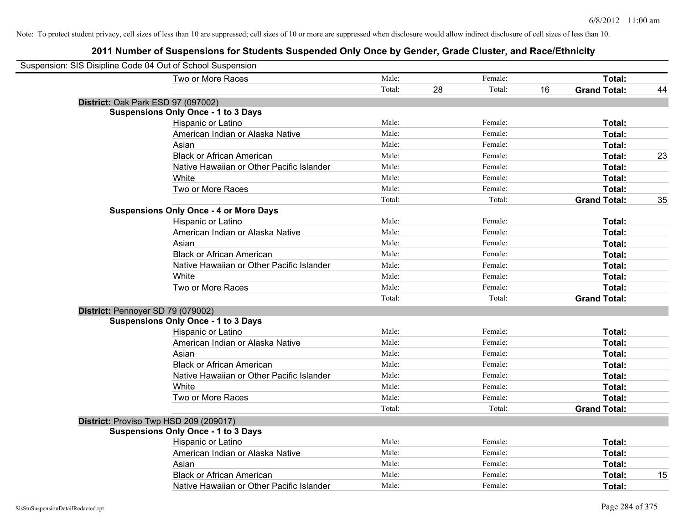| Suspension: SIS Disipline Code 04 Out of School Suspension |                                               |        |    |         |    |                     |    |
|------------------------------------------------------------|-----------------------------------------------|--------|----|---------|----|---------------------|----|
|                                                            | Two or More Races                             | Male:  |    | Female: |    | Total:              |    |
|                                                            |                                               | Total: | 28 | Total:  | 16 | <b>Grand Total:</b> | 44 |
|                                                            | District: Oak Park ESD 97 (097002)            |        |    |         |    |                     |    |
|                                                            | <b>Suspensions Only Once - 1 to 3 Days</b>    |        |    |         |    |                     |    |
|                                                            | Hispanic or Latino                            | Male:  |    | Female: |    | Total:              |    |
|                                                            | American Indian or Alaska Native              | Male:  |    | Female: |    | Total:              |    |
|                                                            | Asian                                         | Male:  |    | Female: |    | Total:              |    |
|                                                            | <b>Black or African American</b>              | Male:  |    | Female: |    | Total:              | 23 |
|                                                            | Native Hawaiian or Other Pacific Islander     | Male:  |    | Female: |    | Total:              |    |
|                                                            | White                                         | Male:  |    | Female: |    | Total:              |    |
|                                                            | Two or More Races                             | Male:  |    | Female: |    | Total:              |    |
|                                                            |                                               | Total: |    | Total:  |    | <b>Grand Total:</b> | 35 |
|                                                            | <b>Suspensions Only Once - 4 or More Days</b> |        |    |         |    |                     |    |
|                                                            | Hispanic or Latino                            | Male:  |    | Female: |    | Total:              |    |
|                                                            | American Indian or Alaska Native              | Male:  |    | Female: |    | Total:              |    |
|                                                            | Asian                                         | Male:  |    | Female: |    | Total:              |    |
|                                                            | <b>Black or African American</b>              | Male:  |    | Female: |    | Total:              |    |
|                                                            | Native Hawaiian or Other Pacific Islander     | Male:  |    | Female: |    | Total:              |    |
|                                                            | White                                         | Male:  |    | Female: |    | Total:              |    |
|                                                            | Two or More Races                             | Male:  |    | Female: |    | Total:              |    |
|                                                            |                                               | Total: |    | Total:  |    | <b>Grand Total:</b> |    |
|                                                            | District: Pennoyer SD 79 (079002)             |        |    |         |    |                     |    |
|                                                            | <b>Suspensions Only Once - 1 to 3 Days</b>    |        |    |         |    |                     |    |
|                                                            | Hispanic or Latino                            | Male:  |    | Female: |    | Total:              |    |
|                                                            | American Indian or Alaska Native              | Male:  |    | Female: |    | Total:              |    |
|                                                            | Asian                                         | Male:  |    | Female: |    | Total:              |    |
|                                                            | <b>Black or African American</b>              | Male:  |    | Female: |    | Total:              |    |
|                                                            | Native Hawaiian or Other Pacific Islander     | Male:  |    | Female: |    | Total:              |    |
|                                                            | White                                         | Male:  |    | Female: |    | Total:              |    |
|                                                            | Two or More Races                             | Male:  |    | Female: |    | Total:              |    |
|                                                            |                                               | Total: |    | Total:  |    | <b>Grand Total:</b> |    |
|                                                            | District: Proviso Twp HSD 209 (209017)        |        |    |         |    |                     |    |
|                                                            | <b>Suspensions Only Once - 1 to 3 Days</b>    |        |    |         |    |                     |    |
|                                                            | Hispanic or Latino                            | Male:  |    | Female: |    | Total:              |    |
|                                                            | American Indian or Alaska Native              | Male:  |    | Female: |    | Total:              |    |
|                                                            | Asian                                         | Male:  |    | Female: |    | Total:              |    |
|                                                            | <b>Black or African American</b>              | Male:  |    | Female: |    | Total:              | 15 |
|                                                            | Native Hawaiian or Other Pacific Islander     | Male:  |    | Female: |    | Total:              |    |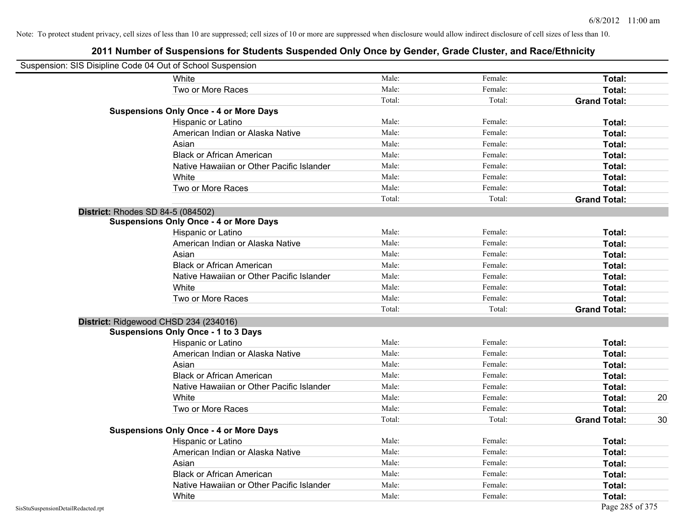| Suspension: SIS Disipline Code 04 Out of School Suspension |                                               |        |         |                     |    |
|------------------------------------------------------------|-----------------------------------------------|--------|---------|---------------------|----|
|                                                            | White                                         | Male:  | Female: | Total:              |    |
|                                                            | Two or More Races                             | Male:  | Female: | Total:              |    |
|                                                            |                                               | Total: | Total:  | <b>Grand Total:</b> |    |
|                                                            | <b>Suspensions Only Once - 4 or More Days</b> |        |         |                     |    |
|                                                            | Hispanic or Latino                            | Male:  | Female: | Total:              |    |
|                                                            | American Indian or Alaska Native              | Male:  | Female: | Total:              |    |
|                                                            | Asian                                         | Male:  | Female: | Total:              |    |
|                                                            | <b>Black or African American</b>              | Male:  | Female: | Total:              |    |
|                                                            | Native Hawaiian or Other Pacific Islander     | Male:  | Female: | Total:              |    |
|                                                            | White                                         | Male:  | Female: | Total:              |    |
|                                                            | Two or More Races                             | Male:  | Female: | Total:              |    |
|                                                            |                                               | Total: | Total:  | <b>Grand Total:</b> |    |
|                                                            | District: Rhodes SD 84-5 (084502)             |        |         |                     |    |
|                                                            | <b>Suspensions Only Once - 4 or More Days</b> |        |         |                     |    |
|                                                            | Hispanic or Latino                            | Male:  | Female: | Total:              |    |
|                                                            | American Indian or Alaska Native              | Male:  | Female: | Total:              |    |
|                                                            | Asian                                         | Male:  | Female: | Total:              |    |
|                                                            | <b>Black or African American</b>              | Male:  | Female: | Total:              |    |
|                                                            | Native Hawaiian or Other Pacific Islander     | Male:  | Female: | Total:              |    |
|                                                            | White                                         | Male:  | Female: | Total:              |    |
|                                                            | Two or More Races                             | Male:  | Female: | Total:              |    |
|                                                            |                                               | Total: | Total:  | <b>Grand Total:</b> |    |
|                                                            | District: Ridgewood CHSD 234 (234016)         |        |         |                     |    |
|                                                            | <b>Suspensions Only Once - 1 to 3 Days</b>    |        |         |                     |    |
|                                                            | Hispanic or Latino                            | Male:  | Female: | Total:              |    |
|                                                            | American Indian or Alaska Native              | Male:  | Female: | Total:              |    |
|                                                            | Asian                                         | Male:  | Female: | Total:              |    |
|                                                            | <b>Black or African American</b>              | Male:  | Female: | Total:              |    |
|                                                            | Native Hawaiian or Other Pacific Islander     | Male:  | Female: | Total:              |    |
|                                                            | White                                         | Male:  | Female: | Total:              | 20 |
|                                                            | Two or More Races                             | Male:  | Female: | Total:              |    |
|                                                            |                                               | Total: | Total:  | <b>Grand Total:</b> | 30 |
|                                                            | <b>Suspensions Only Once - 4 or More Days</b> |        |         |                     |    |
|                                                            | Hispanic or Latino                            | Male:  | Female: | Total:              |    |
|                                                            | American Indian or Alaska Native              | Male:  | Female: | Total:              |    |
|                                                            | Asian                                         | Male:  | Female: | Total:              |    |
|                                                            | <b>Black or African American</b>              | Male:  | Female: | Total:              |    |
|                                                            | Native Hawaiian or Other Pacific Islander     | Male:  | Female: | Total:              |    |
|                                                            | White                                         | Male:  | Female: | Total:              |    |
| SisStuSuspensionDetailRedacted.rpt                         |                                               |        |         | Page 285 of 375     |    |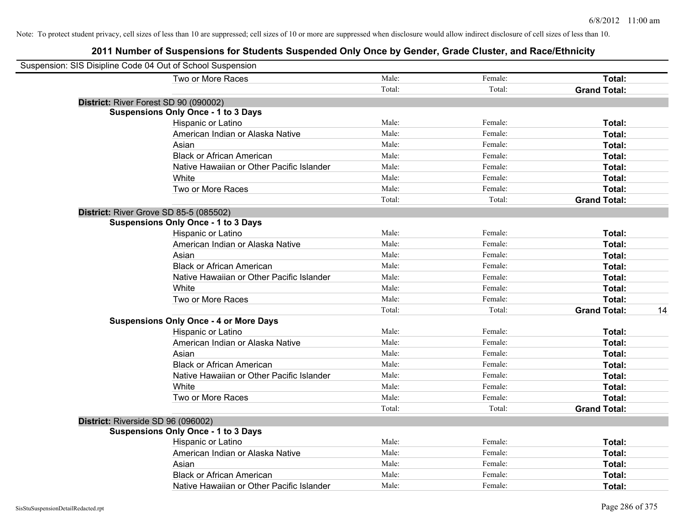| Suspension: SIS Disipline Code 04 Out of School Suspension |                                               |        |         |                           |
|------------------------------------------------------------|-----------------------------------------------|--------|---------|---------------------------|
|                                                            | Two or More Races                             | Male:  | Female: | Total:                    |
|                                                            |                                               | Total: | Total:  | <b>Grand Total:</b>       |
| District: River Forest SD 90 (090002)                      |                                               |        |         |                           |
|                                                            | <b>Suspensions Only Once - 1 to 3 Days</b>    |        |         |                           |
|                                                            | Hispanic or Latino                            | Male:  | Female: | Total:                    |
|                                                            | American Indian or Alaska Native              | Male:  | Female: | Total:                    |
|                                                            | Asian                                         | Male:  | Female: | Total:                    |
|                                                            | <b>Black or African American</b>              | Male:  | Female: | Total:                    |
|                                                            | Native Hawaiian or Other Pacific Islander     | Male:  | Female: | Total:                    |
|                                                            | White                                         | Male:  | Female: | Total:                    |
|                                                            | Two or More Races                             | Male:  | Female: | Total:                    |
|                                                            |                                               | Total: | Total:  | <b>Grand Total:</b>       |
| District: River Grove SD 85-5 (085502)                     |                                               |        |         |                           |
|                                                            | <b>Suspensions Only Once - 1 to 3 Days</b>    |        |         |                           |
|                                                            | Hispanic or Latino                            | Male:  | Female: | Total:                    |
|                                                            | American Indian or Alaska Native              | Male:  | Female: | Total:                    |
|                                                            | Asian                                         | Male:  | Female: | Total:                    |
|                                                            | <b>Black or African American</b>              | Male:  | Female: | Total:                    |
|                                                            | Native Hawaiian or Other Pacific Islander     | Male:  | Female: | Total:                    |
|                                                            | White                                         | Male:  | Female: | Total:                    |
|                                                            | Two or More Races                             | Male:  | Female: | Total:                    |
|                                                            |                                               | Total: | Total:  | <b>Grand Total:</b><br>14 |
|                                                            | <b>Suspensions Only Once - 4 or More Days</b> |        |         |                           |
|                                                            | Hispanic or Latino                            | Male:  | Female: | Total:                    |
|                                                            | American Indian or Alaska Native              | Male:  | Female: | Total:                    |
|                                                            | Asian                                         | Male:  | Female: | Total:                    |
|                                                            | <b>Black or African American</b>              | Male:  | Female: | Total:                    |
|                                                            | Native Hawaiian or Other Pacific Islander     | Male:  | Female: | Total:                    |
|                                                            | White                                         | Male:  | Female: | Total:                    |
|                                                            | Two or More Races                             | Male:  | Female: | Total:                    |
|                                                            |                                               | Total: | Total:  | <b>Grand Total:</b>       |
| District: Riverside SD 96 (096002)                         |                                               |        |         |                           |
|                                                            | <b>Suspensions Only Once - 1 to 3 Days</b>    |        |         |                           |
|                                                            | Hispanic or Latino                            | Male:  | Female: | Total:                    |
|                                                            | American Indian or Alaska Native              | Male:  | Female: | Total:                    |
|                                                            | Asian                                         | Male:  | Female: | Total:                    |
|                                                            | <b>Black or African American</b>              | Male:  | Female: | Total:                    |
|                                                            | Native Hawaiian or Other Pacific Islander     | Male:  | Female: | Total:                    |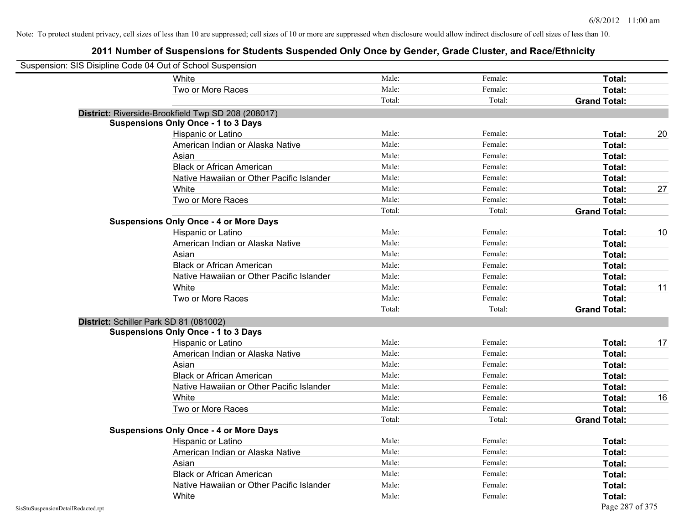| Suspension: SIS Disipline Code 04 Out of School Suspension |                                                    |        |         |                     |    |
|------------------------------------------------------------|----------------------------------------------------|--------|---------|---------------------|----|
|                                                            | White                                              | Male:  | Female: | Total:              |    |
|                                                            | Two or More Races                                  | Male:  | Female: | Total:              |    |
|                                                            |                                                    | Total: | Total:  | <b>Grand Total:</b> |    |
|                                                            | District: Riverside-Brookfield Twp SD 208 (208017) |        |         |                     |    |
|                                                            | <b>Suspensions Only Once - 1 to 3 Days</b>         |        |         |                     |    |
|                                                            | Hispanic or Latino                                 | Male:  | Female: | Total:              | 20 |
|                                                            | American Indian or Alaska Native                   | Male:  | Female: | Total:              |    |
|                                                            | Asian                                              | Male:  | Female: | Total:              |    |
|                                                            | <b>Black or African American</b>                   | Male:  | Female: | Total:              |    |
|                                                            | Native Hawaiian or Other Pacific Islander          | Male:  | Female: | Total:              |    |
|                                                            | White                                              | Male:  | Female: | Total:              | 27 |
|                                                            | Two or More Races                                  | Male:  | Female: | Total:              |    |
|                                                            |                                                    | Total: | Total:  | <b>Grand Total:</b> |    |
|                                                            | <b>Suspensions Only Once - 4 or More Days</b>      |        |         |                     |    |
|                                                            | Hispanic or Latino                                 | Male:  | Female: | Total:              | 10 |
|                                                            | American Indian or Alaska Native                   | Male:  | Female: | Total:              |    |
|                                                            | Asian                                              | Male:  | Female: | Total:              |    |
|                                                            | <b>Black or African American</b>                   | Male:  | Female: | Total:              |    |
|                                                            | Native Hawaiian or Other Pacific Islander          | Male:  | Female: | Total:              |    |
|                                                            | White                                              | Male:  | Female: | Total:              | 11 |
|                                                            | Two or More Races                                  | Male:  | Female: | Total:              |    |
|                                                            |                                                    | Total: | Total:  | <b>Grand Total:</b> |    |
| District: Schiller Park SD 81 (081002)                     |                                                    |        |         |                     |    |
|                                                            | <b>Suspensions Only Once - 1 to 3 Days</b>         |        |         |                     |    |
|                                                            | Hispanic or Latino                                 | Male:  | Female: | Total:              | 17 |
|                                                            | American Indian or Alaska Native                   | Male:  | Female: | Total:              |    |
|                                                            | Asian                                              | Male:  | Female: | Total:              |    |
|                                                            | <b>Black or African American</b>                   | Male:  | Female: | Total:              |    |
|                                                            | Native Hawaiian or Other Pacific Islander          | Male:  | Female: | Total:              |    |
|                                                            | White                                              | Male:  | Female: | Total:              | 16 |
|                                                            | Two or More Races                                  | Male:  | Female: | Total:              |    |
|                                                            |                                                    | Total: | Total:  | <b>Grand Total:</b> |    |
|                                                            | <b>Suspensions Only Once - 4 or More Days</b>      |        |         |                     |    |
|                                                            | Hispanic or Latino                                 | Male:  | Female: | Total:              |    |
|                                                            | American Indian or Alaska Native                   | Male:  | Female: | Total:              |    |
|                                                            | Asian                                              | Male:  | Female: | Total:              |    |
|                                                            | <b>Black or African American</b>                   | Male:  | Female: | Total:              |    |
|                                                            | Native Hawaiian or Other Pacific Islander          | Male:  | Female: | Total:              |    |
|                                                            | White                                              | Male:  | Female: | Total:              |    |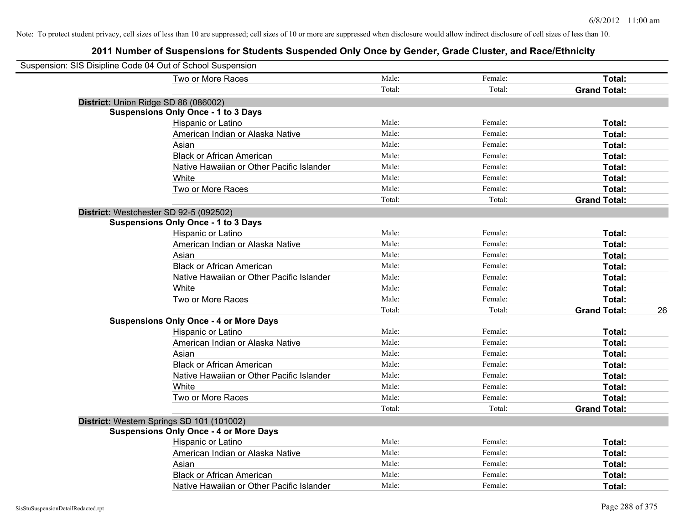| Suspension: SIS Disipline Code 04 Out of School Suspension |                                               |        |         |                           |
|------------------------------------------------------------|-----------------------------------------------|--------|---------|---------------------------|
|                                                            | Two or More Races                             | Male:  | Female: | Total:                    |
|                                                            |                                               | Total: | Total:  | <b>Grand Total:</b>       |
| District: Union Ridge SD 86 (086002)                       |                                               |        |         |                           |
|                                                            | <b>Suspensions Only Once - 1 to 3 Days</b>    |        |         |                           |
|                                                            | Hispanic or Latino                            | Male:  | Female: | Total:                    |
|                                                            | American Indian or Alaska Native              | Male:  | Female: | Total:                    |
|                                                            | Asian                                         | Male:  | Female: | Total:                    |
|                                                            | <b>Black or African American</b>              | Male:  | Female: | Total:                    |
|                                                            | Native Hawaiian or Other Pacific Islander     | Male:  | Female: | Total:                    |
|                                                            | White                                         | Male:  | Female: | Total:                    |
|                                                            | Two or More Races                             | Male:  | Female: | Total:                    |
|                                                            |                                               | Total: | Total:  | <b>Grand Total:</b>       |
|                                                            | District: Westchester SD 92-5 (092502)        |        |         |                           |
|                                                            | <b>Suspensions Only Once - 1 to 3 Days</b>    |        |         |                           |
|                                                            | Hispanic or Latino                            | Male:  | Female: | Total:                    |
|                                                            | American Indian or Alaska Native              | Male:  | Female: | Total:                    |
|                                                            | Asian                                         | Male:  | Female: | Total:                    |
|                                                            | <b>Black or African American</b>              | Male:  | Female: | Total:                    |
|                                                            | Native Hawaiian or Other Pacific Islander     | Male:  | Female: | Total:                    |
|                                                            | White                                         | Male:  | Female: | Total:                    |
|                                                            | Two or More Races                             | Male:  | Female: | Total:                    |
|                                                            |                                               | Total: | Total:  | <b>Grand Total:</b><br>26 |
|                                                            | <b>Suspensions Only Once - 4 or More Days</b> |        |         |                           |
|                                                            | Hispanic or Latino                            | Male:  | Female: | Total:                    |
|                                                            | American Indian or Alaska Native              | Male:  | Female: | Total:                    |
|                                                            | Asian                                         | Male:  | Female: | Total:                    |
|                                                            | <b>Black or African American</b>              | Male:  | Female: | Total:                    |
|                                                            | Native Hawaiian or Other Pacific Islander     | Male:  | Female: | Total:                    |
|                                                            | White                                         | Male:  | Female: | Total:                    |
|                                                            | Two or More Races                             | Male:  | Female: | Total:                    |
|                                                            |                                               | Total: | Total:  | <b>Grand Total:</b>       |
|                                                            | District: Western Springs SD 101 (101002)     |        |         |                           |
|                                                            | <b>Suspensions Only Once - 4 or More Days</b> |        |         |                           |
|                                                            | Hispanic or Latino                            | Male:  | Female: | Total:                    |
|                                                            | American Indian or Alaska Native              | Male:  | Female: | Total:                    |
|                                                            | Asian                                         | Male:  | Female: | Total:                    |
|                                                            | <b>Black or African American</b>              | Male:  | Female: | <b>Total:</b>             |
|                                                            | Native Hawaiian or Other Pacific Islander     | Male:  | Female: | Total:                    |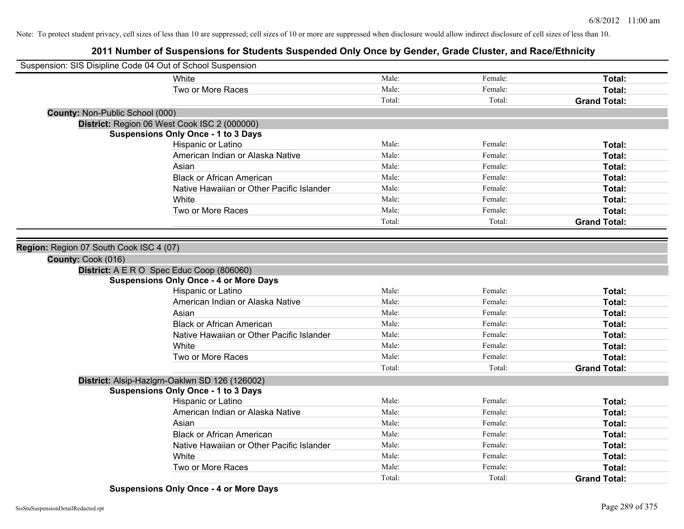| Suspension: SIS Disipline Code 04 Out of School Suspension |                                                |        |         |                     |
|------------------------------------------------------------|------------------------------------------------|--------|---------|---------------------|
|                                                            | White                                          | Male:  | Female: | Total:              |
|                                                            | Two or More Races                              | Male:  | Female: | Total:              |
|                                                            |                                                | Total: | Total:  | <b>Grand Total:</b> |
| <b>County: Non-Public School (000)</b>                     |                                                |        |         |                     |
|                                                            | District: Region 06 West Cook ISC 2 (000000)   |        |         |                     |
|                                                            | <b>Suspensions Only Once - 1 to 3 Days</b>     |        |         |                     |
|                                                            | Hispanic or Latino                             | Male:  | Female: | Total:              |
|                                                            | American Indian or Alaska Native               | Male:  | Female: | Total:              |
|                                                            | Asian                                          | Male:  | Female: | Total:              |
|                                                            | <b>Black or African American</b>               | Male:  | Female: | Total:              |
|                                                            | Native Hawaiian or Other Pacific Islander      | Male:  | Female: | Total:              |
|                                                            | White                                          | Male:  | Female: | Total:              |
|                                                            | Two or More Races                              | Male:  | Female: | Total:              |
|                                                            |                                                | Total: | Total:  | <b>Grand Total:</b> |
|                                                            |                                                |        |         |                     |
| Region: Region 07 South Cook ISC 4 (07)                    |                                                |        |         |                     |
| County: Cook (016)                                         |                                                |        |         |                     |
|                                                            | District: A E R O Spec Educ Coop (806060)      |        |         |                     |
|                                                            | <b>Suspensions Only Once - 4 or More Days</b>  |        |         |                     |
|                                                            | Hispanic or Latino                             | Male:  | Female: | Total:              |
|                                                            | American Indian or Alaska Native               | Male:  | Female: | Total:              |
|                                                            | Asian                                          | Male:  | Female: | Total:              |
|                                                            | <b>Black or African American</b>               | Male:  | Female: | Total:              |
|                                                            | Native Hawaiian or Other Pacific Islander      | Male:  | Female: | Total:              |
|                                                            | White                                          | Male:  | Female: | Total:              |
|                                                            | Two or More Races                              | Male:  | Female: | Total:              |
|                                                            |                                                | Total: | Total:  | <b>Grand Total:</b> |
|                                                            | District: Alsip-Hazlgrn-Oaklwn SD 126 (126002) |        |         |                     |
|                                                            | <b>Suspensions Only Once - 1 to 3 Days</b>     |        |         |                     |
|                                                            | Hispanic or Latino                             | Male:  | Female: | Total:              |
|                                                            | American Indian or Alaska Native               | Male:  | Female: | Total:              |
|                                                            | Asian                                          | Male:  | Female: | Total:              |
|                                                            | <b>Black or African American</b>               | Male:  | Female: | Total:              |
|                                                            | Native Hawaiian or Other Pacific Islander      | Male:  | Female: | Total:              |
|                                                            | White                                          | Male:  | Female: | Total:              |
|                                                            | Two or More Races                              | Male:  | Female: | <b>Total:</b>       |
|                                                            |                                                | Total: | Total:  | <b>Grand Total:</b> |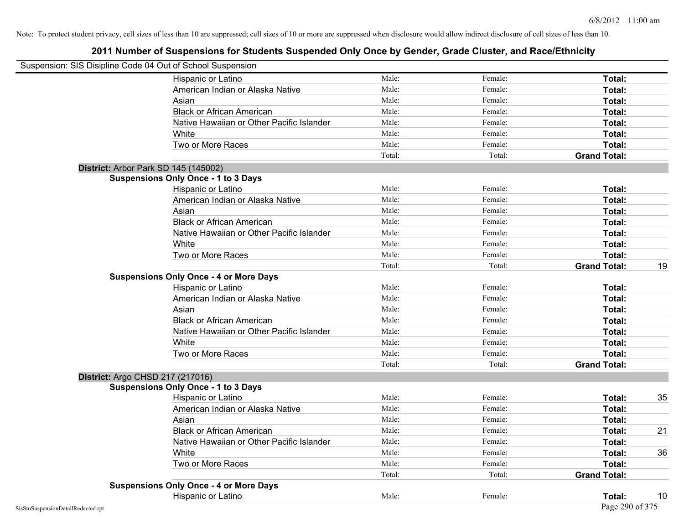| Suspension: SIS Disipline Code 04 Out of School Suspension |                                               |        |         |                     |    |
|------------------------------------------------------------|-----------------------------------------------|--------|---------|---------------------|----|
|                                                            | Hispanic or Latino                            | Male:  | Female: | Total:              |    |
|                                                            | American Indian or Alaska Native              | Male:  | Female: | Total:              |    |
|                                                            | Asian                                         | Male:  | Female: | <b>Total:</b>       |    |
|                                                            | <b>Black or African American</b>              | Male:  | Female: | Total:              |    |
|                                                            | Native Hawaiian or Other Pacific Islander     | Male:  | Female: | Total:              |    |
|                                                            | White                                         | Male:  | Female: | Total:              |    |
|                                                            | Two or More Races                             | Male:  | Female: | Total:              |    |
|                                                            |                                               | Total: | Total:  | <b>Grand Total:</b> |    |
|                                                            | District: Arbor Park SD 145 (145002)          |        |         |                     |    |
|                                                            | <b>Suspensions Only Once - 1 to 3 Days</b>    |        |         |                     |    |
|                                                            | Hispanic or Latino                            | Male:  | Female: | Total:              |    |
|                                                            | American Indian or Alaska Native              | Male:  | Female: | Total:              |    |
|                                                            | Asian                                         | Male:  | Female: | Total:              |    |
|                                                            | <b>Black or African American</b>              | Male:  | Female: | Total:              |    |
|                                                            | Native Hawaiian or Other Pacific Islander     | Male:  | Female: | Total:              |    |
|                                                            | White                                         | Male:  | Female: | Total:              |    |
|                                                            | Two or More Races                             | Male:  | Female: | Total:              |    |
|                                                            |                                               | Total: | Total:  | <b>Grand Total:</b> | 19 |
|                                                            | <b>Suspensions Only Once - 4 or More Days</b> |        |         |                     |    |
|                                                            | Hispanic or Latino                            | Male:  | Female: | Total:              |    |
|                                                            | American Indian or Alaska Native              | Male:  | Female: | Total:              |    |
|                                                            | Asian                                         | Male:  | Female: | Total:              |    |
|                                                            | <b>Black or African American</b>              | Male:  | Female: | Total:              |    |
|                                                            | Native Hawaiian or Other Pacific Islander     | Male:  | Female: | Total:              |    |
|                                                            | White                                         | Male:  | Female: | Total:              |    |
|                                                            | Two or More Races                             | Male:  | Female: | Total:              |    |
|                                                            |                                               | Total: | Total:  | <b>Grand Total:</b> |    |
|                                                            | District: Argo CHSD 217 (217016)              |        |         |                     |    |
|                                                            | <b>Suspensions Only Once - 1 to 3 Days</b>    |        |         |                     |    |
|                                                            | Hispanic or Latino                            | Male:  | Female: | Total:              | 35 |
|                                                            | American Indian or Alaska Native              | Male:  | Female: | Total:              |    |
|                                                            | Asian                                         | Male:  | Female: | Total:              |    |
|                                                            | <b>Black or African American</b>              | Male:  | Female: | Total:              | 21 |
|                                                            | Native Hawaiian or Other Pacific Islander     | Male:  | Female: | Total:              |    |
|                                                            | White                                         | Male:  | Female: | Total:              | 36 |
|                                                            | Two or More Races                             | Male:  | Female: | Total:              |    |
|                                                            |                                               | Total: | Total:  | <b>Grand Total:</b> |    |
|                                                            | <b>Suspensions Only Once - 4 or More Days</b> |        |         |                     |    |
|                                                            | Hispanic or Latino                            | Male:  | Female: | Total:              | 10 |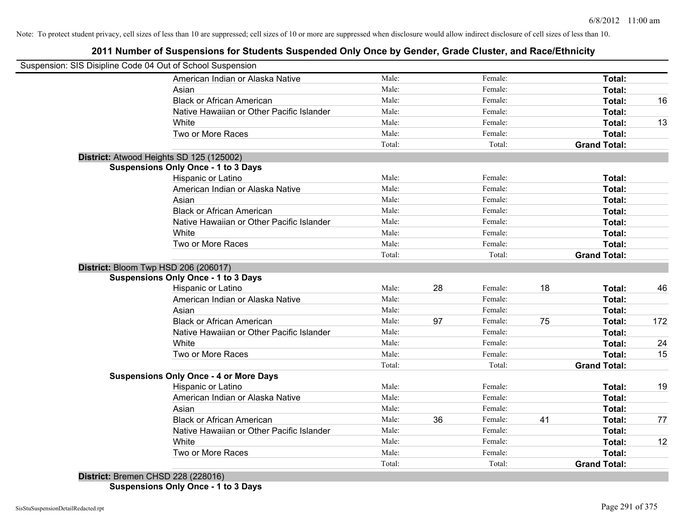## **2011 Number of Suspensions for Students Suspended Only Once by Gender, Grade Cluster, and Race/Ethnicity**

| Suspension: SIS Disipline Code 04 Out of School Suspension |        |    |         |    |                     |     |
|------------------------------------------------------------|--------|----|---------|----|---------------------|-----|
| American Indian or Alaska Native                           | Male:  |    | Female: |    | Total:              |     |
| Asian                                                      | Male:  |    | Female: |    | Total:              |     |
| <b>Black or African American</b>                           | Male:  |    | Female: |    | Total:              | 16  |
| Native Hawaiian or Other Pacific Islander                  | Male:  |    | Female: |    | Total:              |     |
| White                                                      | Male:  |    | Female: |    | Total:              | 13  |
| Two or More Races                                          | Male:  |    | Female: |    | Total:              |     |
|                                                            | Total: |    | Total:  |    | <b>Grand Total:</b> |     |
| District: Atwood Heights SD 125 (125002)                   |        |    |         |    |                     |     |
| <b>Suspensions Only Once - 1 to 3 Days</b>                 |        |    |         |    |                     |     |
| Hispanic or Latino                                         | Male:  |    | Female: |    | Total:              |     |
| American Indian or Alaska Native                           | Male:  |    | Female: |    | Total:              |     |
| Asian                                                      | Male:  |    | Female: |    | Total:              |     |
| <b>Black or African American</b>                           | Male:  |    | Female: |    | Total:              |     |
| Native Hawaiian or Other Pacific Islander                  | Male:  |    | Female: |    | Total:              |     |
| White                                                      | Male:  |    | Female: |    | Total:              |     |
| Two or More Races                                          | Male:  |    | Female: |    | Total:              |     |
|                                                            | Total: |    | Total:  |    | <b>Grand Total:</b> |     |
| District: Bloom Twp HSD 206 (206017)                       |        |    |         |    |                     |     |
| <b>Suspensions Only Once - 1 to 3 Days</b>                 |        |    |         |    |                     |     |
| Hispanic or Latino                                         | Male:  | 28 | Female: | 18 | Total:              | 46  |
| American Indian or Alaska Native                           | Male:  |    | Female: |    | Total:              |     |
| Asian                                                      | Male:  |    | Female: |    | Total:              |     |
| <b>Black or African American</b>                           | Male:  | 97 | Female: | 75 | Total:              | 172 |
| Native Hawaiian or Other Pacific Islander                  | Male:  |    | Female: |    | Total:              |     |
| White                                                      | Male:  |    | Female: |    | Total:              | 24  |
| Two or More Races                                          | Male:  |    | Female: |    | Total:              | 15  |
|                                                            | Total: |    | Total:  |    | <b>Grand Total:</b> |     |
| <b>Suspensions Only Once - 4 or More Days</b>              |        |    |         |    |                     |     |
| Hispanic or Latino                                         | Male:  |    | Female: |    | Total:              | 19  |
| American Indian or Alaska Native                           | Male:  |    | Female: |    | Total:              |     |
| Asian                                                      | Male:  |    | Female: |    | Total:              |     |
| <b>Black or African American</b>                           | Male:  | 36 | Female: | 41 | Total:              | 77  |
| Native Hawaiian or Other Pacific Islander                  | Male:  |    | Female: |    | Total:              |     |
| White                                                      | Male:  |    | Female: |    | Total:              | 12  |
| Two or More Races                                          | Male:  |    | Female: |    | Total:              |     |
| $Dichthat$ , Draman CHCD 338 (338016)                      | Total: |    | Total:  |    | <b>Grand Total:</b> |     |

**District:** Bremen CHSD 228 (228016) **Suspensions Only Once - 1 to 3 Days**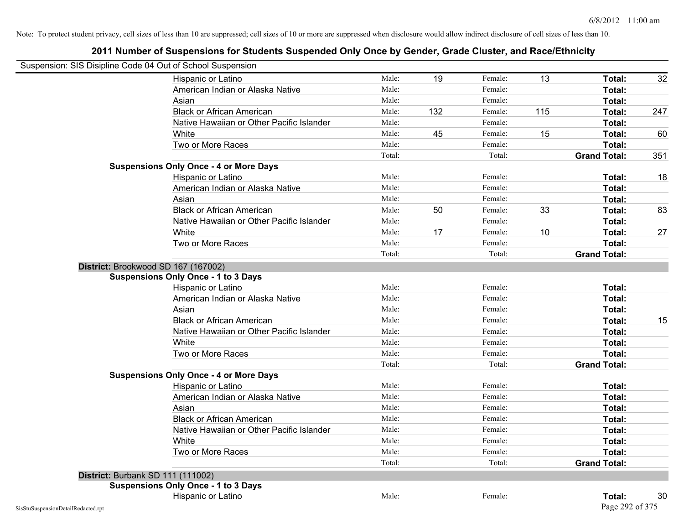|                                    | Suspension: SIS Disipline Code 04 Out of School Suspension |        |     |         |     |                     |     |
|------------------------------------|------------------------------------------------------------|--------|-----|---------|-----|---------------------|-----|
|                                    | Hispanic or Latino                                         | Male:  | 19  | Female: | 13  | Total:              | 32  |
|                                    | American Indian or Alaska Native                           | Male:  |     | Female: |     | Total:              |     |
|                                    | Asian                                                      | Male:  |     | Female: |     | Total:              |     |
|                                    | <b>Black or African American</b>                           | Male:  | 132 | Female: | 115 | Total:              | 247 |
|                                    | Native Hawaiian or Other Pacific Islander                  | Male:  |     | Female: |     | Total:              |     |
|                                    | White                                                      | Male:  | 45  | Female: | 15  | Total:              | 60  |
|                                    | Two or More Races                                          | Male:  |     | Female: |     | Total:              |     |
|                                    |                                                            | Total: |     | Total:  |     | <b>Grand Total:</b> | 351 |
|                                    | <b>Suspensions Only Once - 4 or More Days</b>              |        |     |         |     |                     |     |
|                                    | Hispanic or Latino                                         | Male:  |     | Female: |     | Total:              | 18  |
|                                    | American Indian or Alaska Native                           | Male:  |     | Female: |     | Total:              |     |
|                                    | Asian                                                      | Male:  |     | Female: |     | Total:              |     |
|                                    | <b>Black or African American</b>                           | Male:  | 50  | Female: | 33  | Total:              | 83  |
|                                    | Native Hawaiian or Other Pacific Islander                  | Male:  |     | Female: |     | Total:              |     |
|                                    | White                                                      | Male:  | 17  | Female: | 10  | Total:              | 27  |
|                                    | Two or More Races                                          | Male:  |     | Female: |     | Total:              |     |
|                                    |                                                            | Total: |     | Total:  |     | <b>Grand Total:</b> |     |
|                                    | District: Brookwood SD 167 (167002)                        |        |     |         |     |                     |     |
|                                    | <b>Suspensions Only Once - 1 to 3 Days</b>                 |        |     |         |     |                     |     |
|                                    | Hispanic or Latino                                         | Male:  |     | Female: |     | Total:              |     |
|                                    | American Indian or Alaska Native                           | Male:  |     | Female: |     | Total:              |     |
|                                    | Asian                                                      | Male:  |     | Female: |     | Total:              |     |
|                                    | <b>Black or African American</b>                           | Male:  |     | Female: |     | Total:              | 15  |
|                                    | Native Hawaiian or Other Pacific Islander                  | Male:  |     | Female: |     | Total:              |     |
|                                    | White                                                      | Male:  |     | Female: |     | Total:              |     |
|                                    | Two or More Races                                          | Male:  |     | Female: |     | Total:              |     |
|                                    |                                                            | Total: |     | Total:  |     | <b>Grand Total:</b> |     |
|                                    | <b>Suspensions Only Once - 4 or More Days</b>              |        |     |         |     |                     |     |
|                                    | Hispanic or Latino                                         | Male:  |     | Female: |     | Total:              |     |
|                                    | American Indian or Alaska Native                           | Male:  |     | Female: |     | Total:              |     |
|                                    | Asian                                                      | Male:  |     | Female: |     | Total:              |     |
|                                    | <b>Black or African American</b>                           | Male:  |     | Female: |     | Total:              |     |
|                                    | Native Hawaiian or Other Pacific Islander                  | Male:  |     | Female: |     | Total:              |     |
|                                    | White                                                      | Male:  |     | Female: |     | Total:              |     |
|                                    | Two or More Races                                          | Male:  |     | Female: |     | Total:              |     |
|                                    |                                                            | Total: |     | Total:  |     | <b>Grand Total:</b> |     |
|                                    | <b>District: Burbank SD 111 (111002)</b>                   |        |     |         |     |                     |     |
|                                    | <b>Suspensions Only Once - 1 to 3 Days</b>                 |        |     |         |     |                     |     |
|                                    | Hispanic or Latino                                         | Male:  |     | Female: |     | Total:              | 30  |
| SisStuSuspensionDetailRedacted.rpt |                                                            |        |     |         |     | Page 292 of 375     |     |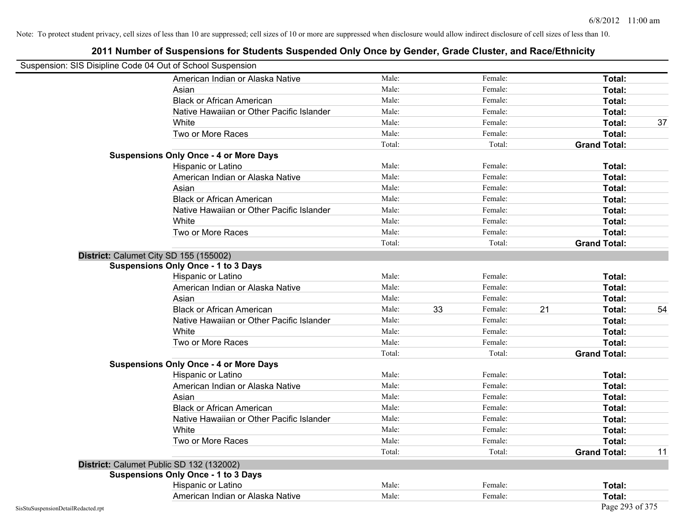| Suspension: SIS Disipline Code 04 Out of School Suspension |                                               |        |    |         |    |                     |    |
|------------------------------------------------------------|-----------------------------------------------|--------|----|---------|----|---------------------|----|
|                                                            | American Indian or Alaska Native              | Male:  |    | Female: |    | Total:              |    |
|                                                            | Asian                                         | Male:  |    | Female: |    | Total:              |    |
|                                                            | <b>Black or African American</b>              | Male:  |    | Female: |    | Total:              |    |
|                                                            | Native Hawaiian or Other Pacific Islander     | Male:  |    | Female: |    | Total:              |    |
|                                                            | White                                         | Male:  |    | Female: |    | Total:              | 37 |
|                                                            | Two or More Races                             | Male:  |    | Female: |    | Total:              |    |
|                                                            |                                               | Total: |    | Total:  |    | <b>Grand Total:</b> |    |
|                                                            | <b>Suspensions Only Once - 4 or More Days</b> |        |    |         |    |                     |    |
|                                                            | Hispanic or Latino                            | Male:  |    | Female: |    | Total:              |    |
|                                                            | American Indian or Alaska Native              | Male:  |    | Female: |    | Total:              |    |
|                                                            | Asian                                         | Male:  |    | Female: |    | Total:              |    |
|                                                            | <b>Black or African American</b>              | Male:  |    | Female: |    | Total:              |    |
|                                                            | Native Hawaiian or Other Pacific Islander     | Male:  |    | Female: |    | Total:              |    |
|                                                            | White                                         | Male:  |    | Female: |    | Total:              |    |
|                                                            | Two or More Races                             | Male:  |    | Female: |    | Total:              |    |
|                                                            |                                               | Total: |    | Total:  |    | <b>Grand Total:</b> |    |
|                                                            | District: Calumet City SD 155 (155002)        |        |    |         |    |                     |    |
|                                                            | <b>Suspensions Only Once - 1 to 3 Days</b>    |        |    |         |    |                     |    |
|                                                            | Hispanic or Latino                            | Male:  |    | Female: |    | Total:              |    |
|                                                            | American Indian or Alaska Native              | Male:  |    | Female: |    | Total:              |    |
|                                                            | Asian                                         | Male:  |    | Female: |    | Total:              |    |
|                                                            | <b>Black or African American</b>              | Male:  | 33 | Female: | 21 | Total:              | 54 |
|                                                            | Native Hawaiian or Other Pacific Islander     | Male:  |    | Female: |    | Total:              |    |
|                                                            | White                                         | Male:  |    | Female: |    | Total:              |    |
|                                                            | Two or More Races                             | Male:  |    | Female: |    | Total:              |    |
|                                                            |                                               | Total: |    | Total:  |    | <b>Grand Total:</b> |    |
|                                                            | <b>Suspensions Only Once - 4 or More Days</b> |        |    |         |    |                     |    |
|                                                            | Hispanic or Latino                            | Male:  |    | Female: |    | Total:              |    |
|                                                            | American Indian or Alaska Native              | Male:  |    | Female: |    | Total:              |    |
|                                                            | Asian                                         | Male:  |    | Female: |    | Total:              |    |
|                                                            | <b>Black or African American</b>              | Male:  |    | Female: |    | Total:              |    |
|                                                            | Native Hawaiian or Other Pacific Islander     | Male:  |    | Female: |    | Total:              |    |
|                                                            | White                                         | Male:  |    | Female: |    | Total:              |    |
|                                                            | Two or More Races                             | Male:  |    | Female: |    | Total:              |    |
|                                                            |                                               | Total: |    | Total:  |    | <b>Grand Total:</b> | 11 |
|                                                            | District: Calumet Public SD 132 (132002)      |        |    |         |    |                     |    |
|                                                            | <b>Suspensions Only Once - 1 to 3 Days</b>    |        |    |         |    |                     |    |
|                                                            | Hispanic or Latino                            | Male:  |    | Female: |    | Total:              |    |
|                                                            | American Indian or Alaska Native              | Male:  |    | Female: |    | Total:              |    |
| SisStuSuspensionDetailRedacted.rpt                         |                                               |        |    |         |    | Page 293 of 375     |    |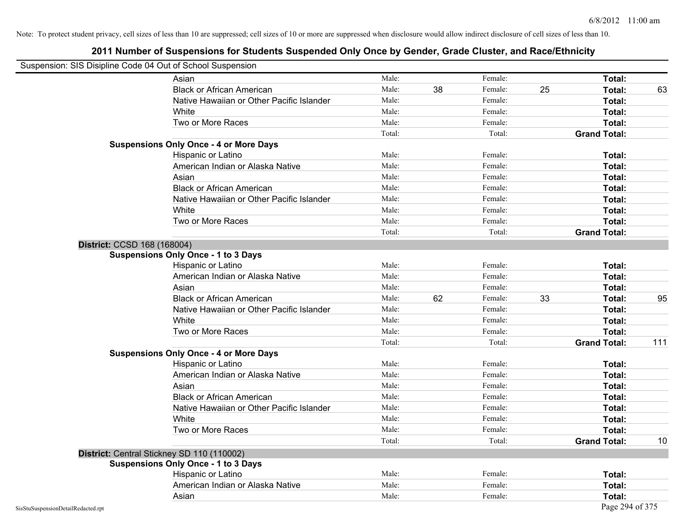|                                            | Asian                                         | Male:  |    | Female: |    | Total:              |     |
|--------------------------------------------|-----------------------------------------------|--------|----|---------|----|---------------------|-----|
|                                            | <b>Black or African American</b>              | Male:  | 38 | Female: | 25 | Total:              | 63  |
|                                            | Native Hawaiian or Other Pacific Islander     | Male:  |    | Female: |    | Total:              |     |
|                                            | White                                         | Male:  |    | Female: |    | Total:              |     |
|                                            | Two or More Races                             | Male:  |    | Female: |    | Total:              |     |
|                                            |                                               | Total: |    | Total:  |    | <b>Grand Total:</b> |     |
|                                            | <b>Suspensions Only Once - 4 or More Days</b> |        |    |         |    |                     |     |
|                                            | Hispanic or Latino                            | Male:  |    | Female: |    | Total:              |     |
|                                            | American Indian or Alaska Native              | Male:  |    | Female: |    | Total:              |     |
|                                            | Asian                                         | Male:  |    | Female: |    | Total:              |     |
|                                            | <b>Black or African American</b>              | Male:  |    | Female: |    | Total:              |     |
|                                            | Native Hawaiian or Other Pacific Islander     | Male:  |    | Female: |    | Total:              |     |
|                                            | White                                         | Male:  |    | Female: |    | Total:              |     |
|                                            | Two or More Races                             | Male:  |    | Female: |    | Total:              |     |
|                                            |                                               | Total: |    | Total:  |    | <b>Grand Total:</b> |     |
| District: CCSD 168 (168004)                |                                               |        |    |         |    |                     |     |
|                                            | <b>Suspensions Only Once - 1 to 3 Days</b>    |        |    |         |    |                     |     |
|                                            | Hispanic or Latino                            | Male:  |    | Female: |    | Total:              |     |
|                                            | American Indian or Alaska Native              | Male:  |    | Female: |    | Total:              |     |
|                                            | Asian                                         | Male:  |    | Female: |    | Total:              |     |
|                                            | <b>Black or African American</b>              | Male:  | 62 | Female: | 33 | Total:              | 95  |
|                                            | Native Hawaiian or Other Pacific Islander     | Male:  |    | Female: |    | Total:              |     |
|                                            | White                                         | Male:  |    | Female: |    | Total:              |     |
|                                            | Two or More Races                             | Male:  |    | Female: |    | Total:              |     |
|                                            |                                               | Total: |    | Total:  |    | <b>Grand Total:</b> | 111 |
|                                            | <b>Suspensions Only Once - 4 or More Days</b> |        |    |         |    |                     |     |
|                                            | Hispanic or Latino                            | Male:  |    | Female: |    | Total:              |     |
|                                            | American Indian or Alaska Native              | Male:  |    | Female: |    | Total:              |     |
|                                            | Asian                                         | Male:  |    | Female: |    | Total:              |     |
|                                            | <b>Black or African American</b>              | Male:  |    | Female: |    | Total:              |     |
|                                            | Native Hawaiian or Other Pacific Islander     | Male:  |    | Female: |    | Total:              |     |
|                                            | White                                         | Male:  |    | Female: |    | Total:              |     |
|                                            | Two or More Races                             | Male:  |    | Female: |    | Total:              |     |
|                                            |                                               | Total: |    | Total:  |    | <b>Grand Total:</b> | 10  |
| District: Central Stickney SD 110 (110002) |                                               |        |    |         |    |                     |     |
|                                            | <b>Suspensions Only Once - 1 to 3 Days</b>    |        |    |         |    |                     |     |
|                                            | Hispanic or Latino                            | Male:  |    | Female: |    | Total:              |     |
|                                            | American Indian or Alaska Native              | Male:  |    | Female: |    | Total:              |     |
|                                            | Asian                                         | Male:  |    | Female: |    | Total:              |     |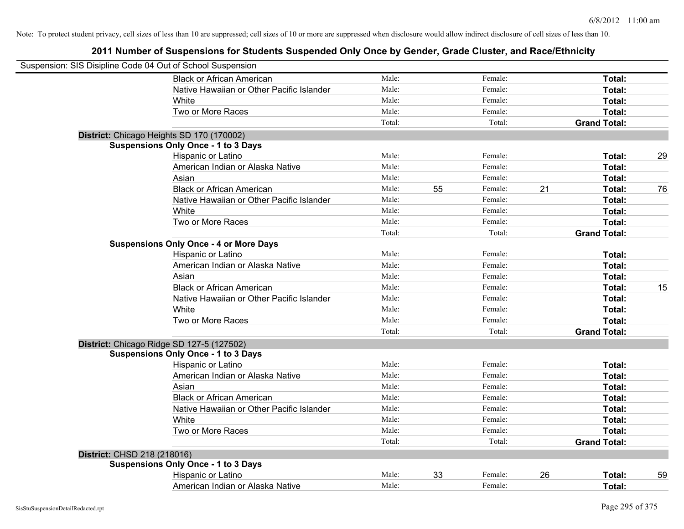| Suspension: SIS Disipline Code 04 Out of School Suspension |                                                                                         |        |    |         |    |                     |    |
|------------------------------------------------------------|-----------------------------------------------------------------------------------------|--------|----|---------|----|---------------------|----|
|                                                            | <b>Black or African American</b>                                                        | Male:  |    | Female: |    | Total:              |    |
|                                                            | Native Hawaiian or Other Pacific Islander                                               | Male:  |    | Female: |    | Total:              |    |
|                                                            | White                                                                                   | Male:  |    | Female: |    | Total:              |    |
|                                                            | Two or More Races                                                                       | Male:  |    | Female: |    | Total:              |    |
|                                                            |                                                                                         | Total: |    | Total:  |    | <b>Grand Total:</b> |    |
|                                                            | District: Chicago Heights SD 170 (170002)                                               |        |    |         |    |                     |    |
|                                                            | <b>Suspensions Only Once - 1 to 3 Days</b>                                              |        |    |         |    |                     |    |
|                                                            | Hispanic or Latino                                                                      | Male:  |    | Female: |    | Total:              | 29 |
|                                                            | American Indian or Alaska Native                                                        | Male:  |    | Female: |    | Total:              |    |
|                                                            | Asian                                                                                   | Male:  |    | Female: |    | Total:              |    |
|                                                            | <b>Black or African American</b>                                                        | Male:  | 55 | Female: | 21 | Total:              | 76 |
|                                                            | Native Hawaiian or Other Pacific Islander                                               | Male:  |    | Female: |    | Total:              |    |
|                                                            | White                                                                                   | Male:  |    | Female: |    | Total:              |    |
|                                                            | Two or More Races                                                                       | Male:  |    | Female: |    | Total:              |    |
|                                                            |                                                                                         | Total: |    | Total:  |    | <b>Grand Total:</b> |    |
|                                                            | <b>Suspensions Only Once - 4 or More Days</b>                                           |        |    |         |    |                     |    |
|                                                            | Hispanic or Latino                                                                      | Male:  |    | Female: |    | Total:              |    |
|                                                            | American Indian or Alaska Native                                                        | Male:  |    | Female: |    | Total:              |    |
|                                                            | Asian                                                                                   | Male:  |    | Female: |    | Total:              |    |
|                                                            | <b>Black or African American</b>                                                        | Male:  |    | Female: |    | Total:              | 15 |
|                                                            | Native Hawaiian or Other Pacific Islander                                               | Male:  |    | Female: |    | Total:              |    |
|                                                            | White                                                                                   | Male:  |    | Female: |    | Total:              |    |
|                                                            | Two or More Races                                                                       | Male:  |    | Female: |    | Total:              |    |
|                                                            |                                                                                         | Total: |    | Total:  |    | <b>Grand Total:</b> |    |
|                                                            | District: Chicago Ridge SD 127-5 (127502)<br><b>Suspensions Only Once - 1 to 3 Days</b> |        |    |         |    |                     |    |
|                                                            | Hispanic or Latino                                                                      | Male:  |    | Female: |    | Total:              |    |
|                                                            | American Indian or Alaska Native                                                        | Male:  |    | Female: |    | Total:              |    |
|                                                            | Asian                                                                                   | Male:  |    | Female: |    | Total:              |    |
|                                                            | <b>Black or African American</b>                                                        | Male:  |    | Female: |    | Total:              |    |
|                                                            | Native Hawaiian or Other Pacific Islander                                               | Male:  |    | Female: |    | Total:              |    |
|                                                            | White                                                                                   | Male:  |    | Female: |    | Total:              |    |
|                                                            | Two or More Races                                                                       | Male:  |    | Female: |    | Total:              |    |
|                                                            |                                                                                         | Total: |    | Total:  |    | <b>Grand Total:</b> |    |
| District: CHSD 218 (218016)                                |                                                                                         |        |    |         |    |                     |    |
|                                                            | <b>Suspensions Only Once - 1 to 3 Days</b>                                              |        |    |         |    |                     |    |
|                                                            | Hispanic or Latino                                                                      | Male:  | 33 | Female: | 26 | Total:              | 59 |
|                                                            | American Indian or Alaska Native                                                        | Male:  |    | Female: |    | Total:              |    |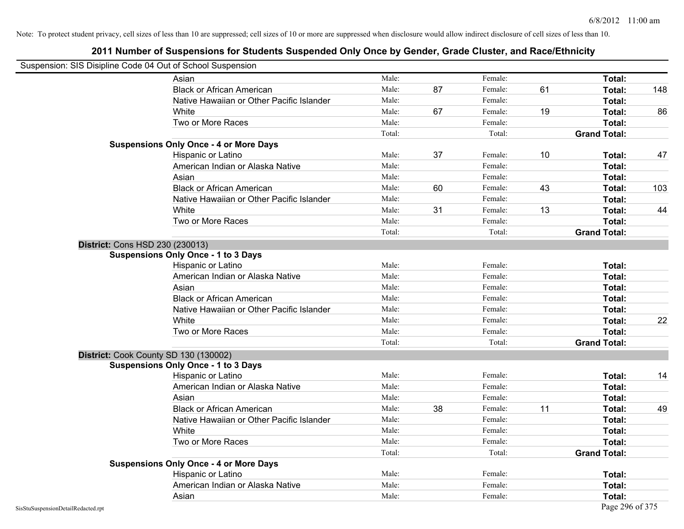|                                    | Suspension: SIS Disipline Code 04 Out of School Suspension |        |    |         |    |                     |     |
|------------------------------------|------------------------------------------------------------|--------|----|---------|----|---------------------|-----|
|                                    | Asian                                                      | Male:  |    | Female: |    | Total:              |     |
|                                    | <b>Black or African American</b>                           | Male:  | 87 | Female: | 61 | Total:              | 148 |
|                                    | Native Hawaiian or Other Pacific Islander                  | Male:  |    | Female: |    | Total:              |     |
|                                    | White                                                      | Male:  | 67 | Female: | 19 | Total:              | 86  |
|                                    | Two or More Races                                          | Male:  |    | Female: |    | Total:              |     |
|                                    |                                                            | Total: |    | Total:  |    | <b>Grand Total:</b> |     |
|                                    | <b>Suspensions Only Once - 4 or More Days</b>              |        |    |         |    |                     |     |
|                                    | Hispanic or Latino                                         | Male:  | 37 | Female: | 10 | Total:              | 47  |
|                                    | American Indian or Alaska Native                           | Male:  |    | Female: |    | Total:              |     |
|                                    | Asian                                                      | Male:  |    | Female: |    | Total:              |     |
|                                    | <b>Black or African American</b>                           | Male:  | 60 | Female: | 43 | Total:              | 103 |
|                                    | Native Hawaiian or Other Pacific Islander                  | Male:  |    | Female: |    | Total:              |     |
|                                    | White                                                      | Male:  | 31 | Female: | 13 | Total:              | 44  |
|                                    | Two or More Races                                          | Male:  |    | Female: |    | Total:              |     |
|                                    |                                                            | Total: |    | Total:  |    | <b>Grand Total:</b> |     |
|                                    | <b>District: Cons HSD 230 (230013)</b>                     |        |    |         |    |                     |     |
|                                    | <b>Suspensions Only Once - 1 to 3 Days</b>                 |        |    |         |    |                     |     |
|                                    | Hispanic or Latino                                         | Male:  |    | Female: |    | Total:              |     |
|                                    | American Indian or Alaska Native                           | Male:  |    | Female: |    | Total:              |     |
|                                    | Asian                                                      | Male:  |    | Female: |    | Total:              |     |
|                                    | <b>Black or African American</b>                           | Male:  |    | Female: |    | Total:              |     |
|                                    | Native Hawaiian or Other Pacific Islander                  | Male:  |    | Female: |    | Total:              |     |
|                                    | White                                                      | Male:  |    | Female: |    | Total:              | 22  |
|                                    | Two or More Races                                          | Male:  |    | Female: |    | Total:              |     |
|                                    |                                                            | Total: |    | Total:  |    | <b>Grand Total:</b> |     |
|                                    | District: Cook County SD 130 (130002)                      |        |    |         |    |                     |     |
|                                    | <b>Suspensions Only Once - 1 to 3 Days</b>                 |        |    |         |    |                     |     |
|                                    | Hispanic or Latino                                         | Male:  |    | Female: |    | Total:              | 14  |
|                                    | American Indian or Alaska Native                           | Male:  |    | Female: |    | Total:              |     |
|                                    | Asian                                                      | Male:  |    | Female: |    | Total:              |     |
|                                    | <b>Black or African American</b>                           | Male:  | 38 | Female: | 11 | Total:              | 49  |
|                                    | Native Hawaiian or Other Pacific Islander                  | Male:  |    | Female: |    | Total:              |     |
|                                    | White                                                      | Male:  |    | Female: |    | Total:              |     |
|                                    | Two or More Races                                          | Male:  |    | Female: |    | Total:              |     |
|                                    |                                                            | Total: |    | Total:  |    | <b>Grand Total:</b> |     |
|                                    | <b>Suspensions Only Once - 4 or More Days</b>              |        |    |         |    |                     |     |
|                                    | Hispanic or Latino                                         | Male:  |    | Female: |    | Total:              |     |
|                                    | American Indian or Alaska Native                           | Male:  |    | Female: |    | Total:              |     |
|                                    | Asian                                                      | Male:  |    | Female: |    | Total:              |     |
| SisStuSuspensionDetailRedacted.rpt |                                                            |        |    |         |    | Page 296 of 375     |     |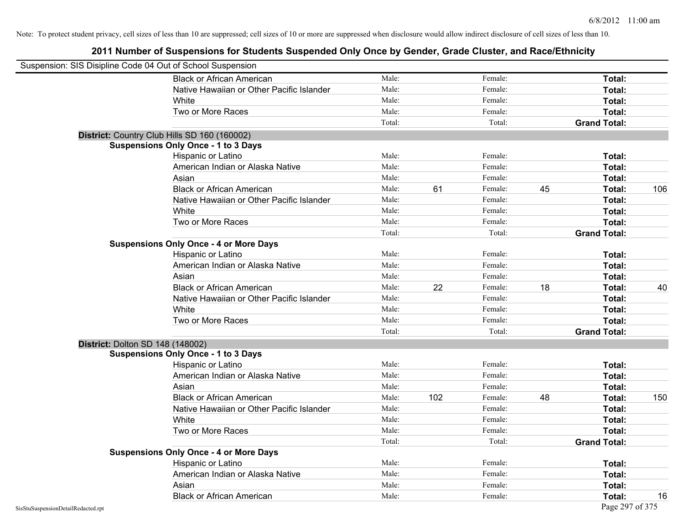| Suspension: SIS Disipline Code 04 Out of School Suspension |                                               |        |     |         |    |                     |     |
|------------------------------------------------------------|-----------------------------------------------|--------|-----|---------|----|---------------------|-----|
|                                                            | <b>Black or African American</b>              | Male:  |     | Female: |    | Total:              |     |
|                                                            | Native Hawaiian or Other Pacific Islander     | Male:  |     | Female: |    | Total:              |     |
|                                                            | White                                         | Male:  |     | Female: |    | Total:              |     |
|                                                            | Two or More Races                             | Male:  |     | Female: |    | Total:              |     |
|                                                            |                                               | Total: |     | Total:  |    | <b>Grand Total:</b> |     |
|                                                            | District: Country Club Hills SD 160 (160002)  |        |     |         |    |                     |     |
|                                                            | <b>Suspensions Only Once - 1 to 3 Days</b>    |        |     |         |    |                     |     |
|                                                            | Hispanic or Latino                            | Male:  |     | Female: |    | Total:              |     |
|                                                            | American Indian or Alaska Native              | Male:  |     | Female: |    | Total:              |     |
|                                                            | Asian                                         | Male:  |     | Female: |    | Total:              |     |
|                                                            | <b>Black or African American</b>              | Male:  | 61  | Female: | 45 | Total:              | 106 |
|                                                            | Native Hawaiian or Other Pacific Islander     | Male:  |     | Female: |    | Total:              |     |
|                                                            | White                                         | Male:  |     | Female: |    | <b>Total:</b>       |     |
|                                                            | Two or More Races                             | Male:  |     | Female: |    | Total:              |     |
|                                                            |                                               | Total: |     | Total:  |    | <b>Grand Total:</b> |     |
|                                                            | <b>Suspensions Only Once - 4 or More Days</b> |        |     |         |    |                     |     |
|                                                            | Hispanic or Latino                            | Male:  |     | Female: |    | Total:              |     |
|                                                            | American Indian or Alaska Native              | Male:  |     | Female: |    | <b>Total:</b>       |     |
|                                                            | Asian                                         | Male:  |     | Female: |    | Total:              |     |
|                                                            | <b>Black or African American</b>              | Male:  | 22  | Female: | 18 | Total:              | 40  |
|                                                            | Native Hawaiian or Other Pacific Islander     | Male:  |     | Female: |    | Total:              |     |
|                                                            | White                                         | Male:  |     | Female: |    | Total:              |     |
|                                                            | Two or More Races                             | Male:  |     | Female: |    | <b>Total:</b>       |     |
|                                                            |                                               | Total: |     | Total:  |    | <b>Grand Total:</b> |     |
|                                                            | <b>District: Dolton SD 148 (148002)</b>       |        |     |         |    |                     |     |
|                                                            | <b>Suspensions Only Once - 1 to 3 Days</b>    |        |     |         |    |                     |     |
|                                                            | Hispanic or Latino                            | Male:  |     | Female: |    | Total:              |     |
|                                                            | American Indian or Alaska Native              | Male:  |     | Female: |    | Total:              |     |
|                                                            | Asian                                         | Male:  |     | Female: |    | Total:              |     |
|                                                            | <b>Black or African American</b>              | Male:  | 102 | Female: | 48 | Total:              | 150 |
|                                                            | Native Hawaiian or Other Pacific Islander     | Male:  |     | Female: |    | Total:              |     |
|                                                            | White                                         | Male:  |     | Female: |    | <b>Total:</b>       |     |
|                                                            | Two or More Races                             | Male:  |     | Female: |    | Total:              |     |
|                                                            |                                               | Total: |     | Total:  |    | <b>Grand Total:</b> |     |
|                                                            | <b>Suspensions Only Once - 4 or More Days</b> |        |     |         |    |                     |     |
|                                                            | Hispanic or Latino                            | Male:  |     | Female: |    | Total:              |     |
|                                                            | American Indian or Alaska Native              | Male:  |     | Female: |    | Total:              |     |
|                                                            | Asian                                         | Male:  |     | Female: |    | <b>Total:</b>       |     |
|                                                            | <b>Black or African American</b>              | Male:  |     | Female: |    | Total:              | 16  |
| SisStuSuspensionDetailRedacted.rpt                         |                                               |        |     |         |    | Page 297 of 375     |     |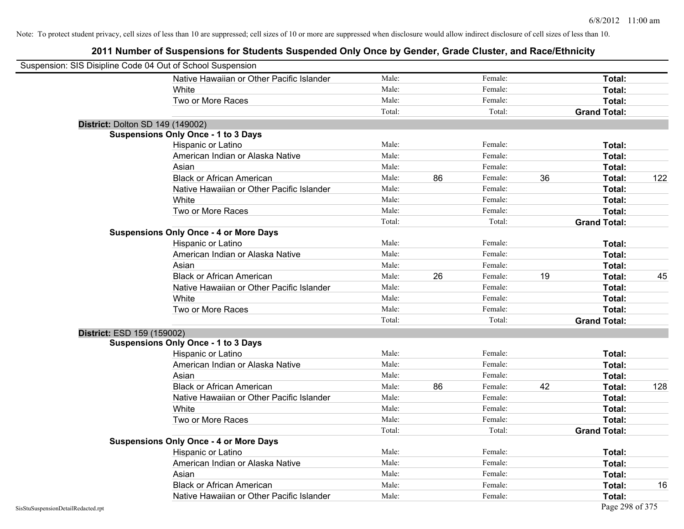|                                    | Suspension: SIS Disipline Code 04 Out of School Suspension |        |    |         |    |                     |     |
|------------------------------------|------------------------------------------------------------|--------|----|---------|----|---------------------|-----|
|                                    | Native Hawaiian or Other Pacific Islander                  | Male:  |    | Female: |    | Total:              |     |
|                                    | White                                                      | Male:  |    | Female: |    | Total:              |     |
|                                    | Two or More Races                                          | Male:  |    | Female: |    | Total:              |     |
|                                    |                                                            | Total: |    | Total:  |    | <b>Grand Total:</b> |     |
|                                    | District: Dolton SD 149 (149002)                           |        |    |         |    |                     |     |
|                                    | <b>Suspensions Only Once - 1 to 3 Days</b>                 |        |    |         |    |                     |     |
|                                    | Hispanic or Latino                                         | Male:  |    | Female: |    | Total:              |     |
|                                    | American Indian or Alaska Native                           | Male:  |    | Female: |    | Total:              |     |
|                                    | Asian                                                      | Male:  |    | Female: |    | Total:              |     |
|                                    | <b>Black or African American</b>                           | Male:  | 86 | Female: | 36 | Total:              | 122 |
|                                    | Native Hawaiian or Other Pacific Islander                  | Male:  |    | Female: |    | Total:              |     |
|                                    | White                                                      | Male:  |    | Female: |    | Total:              |     |
|                                    | Two or More Races                                          | Male:  |    | Female: |    | Total:              |     |
|                                    |                                                            | Total: |    | Total:  |    | <b>Grand Total:</b> |     |
|                                    | <b>Suspensions Only Once - 4 or More Days</b>              |        |    |         |    |                     |     |
|                                    | Hispanic or Latino                                         | Male:  |    | Female: |    | Total:              |     |
|                                    | American Indian or Alaska Native                           | Male:  |    | Female: |    | Total:              |     |
|                                    | Asian                                                      | Male:  |    | Female: |    | Total:              |     |
|                                    | <b>Black or African American</b>                           | Male:  | 26 | Female: | 19 | Total:              | 45  |
|                                    | Native Hawaiian or Other Pacific Islander                  | Male:  |    | Female: |    | Total:              |     |
|                                    | White                                                      | Male:  |    | Female: |    | Total:              |     |
|                                    | Two or More Races                                          | Male:  |    | Female: |    | Total:              |     |
|                                    |                                                            | Total: |    | Total:  |    | <b>Grand Total:</b> |     |
| District: ESD 159 (159002)         |                                                            |        |    |         |    |                     |     |
|                                    | <b>Suspensions Only Once - 1 to 3 Days</b>                 |        |    |         |    |                     |     |
|                                    | Hispanic or Latino                                         | Male:  |    | Female: |    | Total:              |     |
|                                    | American Indian or Alaska Native                           | Male:  |    | Female: |    | Total:              |     |
|                                    | Asian                                                      | Male:  |    | Female: |    | Total:              |     |
|                                    | <b>Black or African American</b>                           | Male:  | 86 | Female: | 42 | Total:              | 128 |
|                                    | Native Hawaiian or Other Pacific Islander                  | Male:  |    | Female: |    | Total:              |     |
|                                    | White                                                      | Male:  |    | Female: |    | Total:              |     |
|                                    | Two or More Races                                          | Male:  |    | Female: |    | Total:              |     |
|                                    |                                                            | Total: |    | Total:  |    | <b>Grand Total:</b> |     |
|                                    | <b>Suspensions Only Once - 4 or More Days</b>              |        |    |         |    |                     |     |
|                                    | Hispanic or Latino                                         | Male:  |    | Female: |    | Total:              |     |
|                                    | American Indian or Alaska Native                           | Male:  |    | Female: |    | Total:              |     |
|                                    | Asian                                                      | Male:  |    | Female: |    | Total:              |     |
|                                    | <b>Black or African American</b>                           | Male:  |    | Female: |    | Total:              | 16  |
|                                    | Native Hawaiian or Other Pacific Islander                  | Male:  |    | Female: |    | Total:              |     |
| SisStuSuspensionDetailRedacted.rpt |                                                            |        |    |         |    | Page 298 of 375     |     |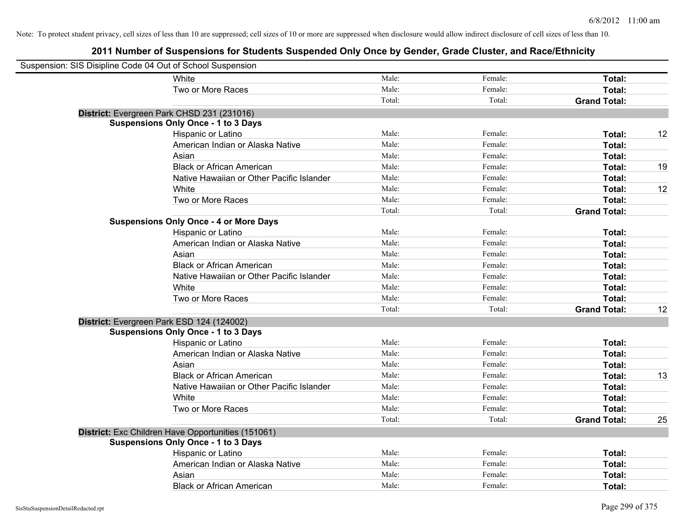| Suspension: SIS Disipline Code 04 Out of School Suspension |                                                    |        |         |                     |    |
|------------------------------------------------------------|----------------------------------------------------|--------|---------|---------------------|----|
|                                                            | White                                              | Male:  | Female: | Total:              |    |
|                                                            | Two or More Races                                  | Male:  | Female: | Total:              |    |
|                                                            |                                                    | Total: | Total:  | <b>Grand Total:</b> |    |
|                                                            | District: Evergreen Park CHSD 231 (231016)         |        |         |                     |    |
|                                                            | <b>Suspensions Only Once - 1 to 3 Days</b>         |        |         |                     |    |
|                                                            | Hispanic or Latino                                 | Male:  | Female: | Total:              | 12 |
|                                                            | American Indian or Alaska Native                   | Male:  | Female: | Total:              |    |
|                                                            | Asian                                              | Male:  | Female: | Total:              |    |
|                                                            | <b>Black or African American</b>                   | Male:  | Female: | Total:              | 19 |
|                                                            | Native Hawaiian or Other Pacific Islander          | Male:  | Female: | Total:              |    |
|                                                            | White                                              | Male:  | Female: | Total:              | 12 |
|                                                            | Two or More Races                                  | Male:  | Female: | Total:              |    |
|                                                            |                                                    | Total: | Total:  | <b>Grand Total:</b> |    |
|                                                            | <b>Suspensions Only Once - 4 or More Days</b>      |        |         |                     |    |
|                                                            | Hispanic or Latino                                 | Male:  | Female: | Total:              |    |
|                                                            | American Indian or Alaska Native                   | Male:  | Female: | Total:              |    |
|                                                            | Asian                                              | Male:  | Female: | Total:              |    |
|                                                            | <b>Black or African American</b>                   | Male:  | Female: | Total:              |    |
|                                                            | Native Hawaiian or Other Pacific Islander          | Male:  | Female: | Total:              |    |
|                                                            | White                                              | Male:  | Female: | Total:              |    |
|                                                            | Two or More Races                                  | Male:  | Female: | Total:              |    |
|                                                            |                                                    | Total: | Total:  | <b>Grand Total:</b> | 12 |
|                                                            | District: Evergreen Park ESD 124 (124002)          |        |         |                     |    |
|                                                            | <b>Suspensions Only Once - 1 to 3 Days</b>         |        |         |                     |    |
|                                                            | Hispanic or Latino                                 | Male:  | Female: | Total:              |    |
|                                                            | American Indian or Alaska Native                   | Male:  | Female: | Total:              |    |
|                                                            | Asian                                              | Male:  | Female: | Total:              |    |
|                                                            | <b>Black or African American</b>                   | Male:  | Female: | Total:              | 13 |
|                                                            | Native Hawaiian or Other Pacific Islander          | Male:  | Female: | Total:              |    |
|                                                            | White                                              | Male:  | Female: | Total:              |    |
|                                                            | Two or More Races                                  | Male:  | Female: | Total:              |    |
|                                                            |                                                    | Total: | Total:  | <b>Grand Total:</b> | 25 |
|                                                            | District: Exc Children Have Opportunities (151061) |        |         |                     |    |
|                                                            | <b>Suspensions Only Once - 1 to 3 Days</b>         |        |         |                     |    |
|                                                            | Hispanic or Latino                                 | Male:  | Female: | Total:              |    |
|                                                            | American Indian or Alaska Native                   | Male:  | Female: | Total:              |    |
|                                                            | Asian                                              | Male:  | Female: | Total:              |    |
|                                                            | <b>Black or African American</b>                   | Male:  | Female: | Total:              |    |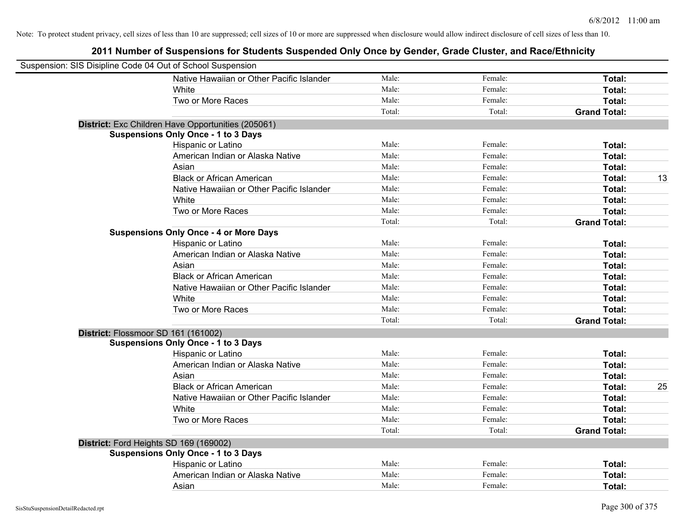| Suspension: SIS Disipline Code 04 Out of School Suspension |                                                    |        |         |                     |
|------------------------------------------------------------|----------------------------------------------------|--------|---------|---------------------|
|                                                            | Native Hawaiian or Other Pacific Islander          | Male:  | Female: | Total:              |
|                                                            | White                                              | Male:  | Female: | Total:              |
|                                                            | Two or More Races                                  | Male:  | Female: | Total:              |
|                                                            |                                                    | Total: | Total:  | <b>Grand Total:</b> |
|                                                            | District: Exc Children Have Opportunities (205061) |        |         |                     |
|                                                            | <b>Suspensions Only Once - 1 to 3 Days</b>         |        |         |                     |
|                                                            | Hispanic or Latino                                 | Male:  | Female: | Total:              |
|                                                            | American Indian or Alaska Native                   | Male:  | Female: | Total:              |
|                                                            | Asian                                              | Male:  | Female: | Total:              |
|                                                            | <b>Black or African American</b>                   | Male:  | Female: | 13<br>Total:        |
|                                                            | Native Hawaiian or Other Pacific Islander          | Male:  | Female: | Total:              |
|                                                            | White                                              | Male:  | Female: | Total:              |
|                                                            | Two or More Races                                  | Male:  | Female: | Total:              |
|                                                            |                                                    | Total: | Total:  | <b>Grand Total:</b> |
|                                                            | <b>Suspensions Only Once - 4 or More Days</b>      |        |         |                     |
|                                                            | Hispanic or Latino                                 | Male:  | Female: | Total:              |
|                                                            | American Indian or Alaska Native                   | Male:  | Female: | Total:              |
|                                                            | Asian                                              | Male:  | Female: | Total:              |
|                                                            | <b>Black or African American</b>                   | Male:  | Female: | Total:              |
|                                                            | Native Hawaiian or Other Pacific Islander          | Male:  | Female: | Total:              |
|                                                            | White                                              | Male:  | Female: | Total:              |
|                                                            | Two or More Races                                  | Male:  | Female: | Total:              |
|                                                            |                                                    | Total: | Total:  | <b>Grand Total:</b> |
| District: Flossmoor SD 161 (161002)                        |                                                    |        |         |                     |
|                                                            | <b>Suspensions Only Once - 1 to 3 Days</b>         |        |         |                     |
|                                                            | Hispanic or Latino                                 | Male:  | Female: | Total:              |
|                                                            | American Indian or Alaska Native                   | Male:  | Female: | Total:              |
|                                                            | Asian                                              | Male:  | Female: | Total:              |
|                                                            | <b>Black or African American</b>                   | Male:  | Female: | Total:<br>25        |
|                                                            | Native Hawaiian or Other Pacific Islander          | Male:  | Female: | Total:              |
|                                                            | <b>White</b>                                       | Male:  | Female: | Total:              |
|                                                            | Two or More Races                                  | Male:  | Female: | Total:              |
|                                                            |                                                    | Total: | Total:  | <b>Grand Total:</b> |
| District: Ford Heights SD 169 (169002)                     |                                                    |        |         |                     |
|                                                            | <b>Suspensions Only Once - 1 to 3 Days</b>         |        |         |                     |
|                                                            | Hispanic or Latino                                 | Male:  | Female: | Total:              |
|                                                            | American Indian or Alaska Native                   | Male:  | Female: | Total:              |
|                                                            | Asian                                              | Male:  | Female: | Total:              |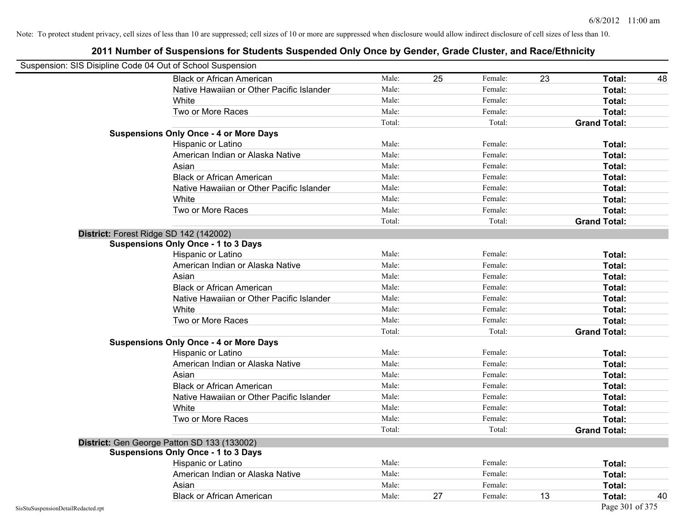| Suspension: SIS Disipline Code 04 Out of School Suspension |                                               |        |    |         |    |                     |    |
|------------------------------------------------------------|-----------------------------------------------|--------|----|---------|----|---------------------|----|
|                                                            | <b>Black or African American</b>              | Male:  | 25 | Female: | 23 | Total:              | 48 |
|                                                            | Native Hawaiian or Other Pacific Islander     | Male:  |    | Female: |    | Total:              |    |
|                                                            | White                                         | Male:  |    | Female: |    | Total:              |    |
|                                                            | Two or More Races                             | Male:  |    | Female: |    | Total:              |    |
|                                                            |                                               | Total: |    | Total:  |    | <b>Grand Total:</b> |    |
|                                                            | <b>Suspensions Only Once - 4 or More Days</b> |        |    |         |    |                     |    |
|                                                            | Hispanic or Latino                            | Male:  |    | Female: |    | Total:              |    |
|                                                            | American Indian or Alaska Native              | Male:  |    | Female: |    | Total:              |    |
|                                                            | Asian                                         | Male:  |    | Female: |    | Total:              |    |
|                                                            | <b>Black or African American</b>              | Male:  |    | Female: |    | Total:              |    |
|                                                            | Native Hawaiian or Other Pacific Islander     | Male:  |    | Female: |    | Total:              |    |
|                                                            | White                                         | Male:  |    | Female: |    | Total:              |    |
|                                                            | Two or More Races                             | Male:  |    | Female: |    | Total:              |    |
|                                                            |                                               | Total: |    | Total:  |    | <b>Grand Total:</b> |    |
|                                                            | District: Forest Ridge SD 142 (142002)        |        |    |         |    |                     |    |
|                                                            | <b>Suspensions Only Once - 1 to 3 Days</b>    |        |    |         |    |                     |    |
|                                                            | Hispanic or Latino                            | Male:  |    | Female: |    | Total:              |    |
|                                                            | American Indian or Alaska Native              | Male:  |    | Female: |    | Total:              |    |
|                                                            | Asian                                         | Male:  |    | Female: |    | Total:              |    |
|                                                            | <b>Black or African American</b>              | Male:  |    | Female: |    | Total:              |    |
|                                                            | Native Hawaiian or Other Pacific Islander     | Male:  |    | Female: |    | Total:              |    |
|                                                            | White                                         | Male:  |    | Female: |    | Total:              |    |
|                                                            | Two or More Races                             | Male:  |    | Female: |    | Total:              |    |
|                                                            |                                               | Total: |    | Total:  |    | <b>Grand Total:</b> |    |
|                                                            | <b>Suspensions Only Once - 4 or More Days</b> |        |    |         |    |                     |    |
|                                                            | Hispanic or Latino                            | Male:  |    | Female: |    | Total:              |    |
|                                                            | American Indian or Alaska Native              | Male:  |    | Female: |    | Total:              |    |
|                                                            | Asian                                         | Male:  |    | Female: |    | Total:              |    |
|                                                            | <b>Black or African American</b>              | Male:  |    | Female: |    | Total:              |    |
|                                                            | Native Hawaiian or Other Pacific Islander     | Male:  |    | Female: |    | Total:              |    |
|                                                            | White                                         | Male:  |    | Female: |    | Total:              |    |
|                                                            | Two or More Races                             | Male:  |    | Female: |    | Total:              |    |
|                                                            |                                               | Total: |    | Total:  |    | <b>Grand Total:</b> |    |
|                                                            | District: Gen George Patton SD 133 (133002)   |        |    |         |    |                     |    |
|                                                            | <b>Suspensions Only Once - 1 to 3 Days</b>    |        |    |         |    |                     |    |
|                                                            | Hispanic or Latino                            | Male:  |    | Female: |    | Total:              |    |
|                                                            | American Indian or Alaska Native              | Male:  |    | Female: |    | Total:              |    |
|                                                            | Asian                                         | Male:  |    | Female: |    | Total:              |    |
|                                                            | <b>Black or African American</b>              | Male:  | 27 | Female: | 13 | Total:              | 40 |
| SisStuSuspensionDetailRedacted.rpt                         |                                               |        |    |         |    | Page 301 of 375     |    |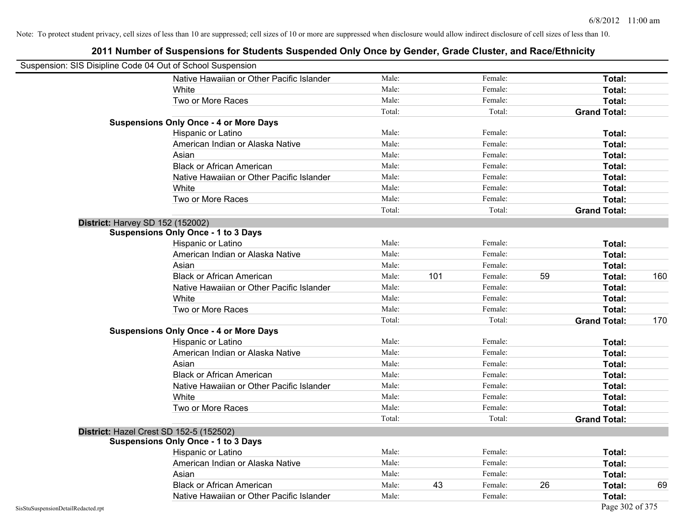|                                    | Suspension: SIS Disipline Code 04 Out of School Suspension |        |     |         |    |                     |     |
|------------------------------------|------------------------------------------------------------|--------|-----|---------|----|---------------------|-----|
|                                    | Native Hawaiian or Other Pacific Islander                  | Male:  |     | Female: |    | Total:              |     |
|                                    | White                                                      | Male:  |     | Female: |    | Total:              |     |
|                                    | Two or More Races                                          | Male:  |     | Female: |    | Total:              |     |
|                                    |                                                            | Total: |     | Total:  |    | <b>Grand Total:</b> |     |
|                                    | <b>Suspensions Only Once - 4 or More Days</b>              |        |     |         |    |                     |     |
|                                    | Hispanic or Latino                                         | Male:  |     | Female: |    | Total:              |     |
|                                    | American Indian or Alaska Native                           | Male:  |     | Female: |    | Total:              |     |
|                                    | Asian                                                      | Male:  |     | Female: |    | Total:              |     |
|                                    | <b>Black or African American</b>                           | Male:  |     | Female: |    | Total:              |     |
|                                    | Native Hawaiian or Other Pacific Islander                  | Male:  |     | Female: |    | Total:              |     |
|                                    | White                                                      | Male:  |     | Female: |    | Total:              |     |
|                                    | Two or More Races                                          | Male:  |     | Female: |    | Total:              |     |
|                                    |                                                            | Total: |     | Total:  |    | <b>Grand Total:</b> |     |
|                                    | <b>District: Harvey SD 152 (152002)</b>                    |        |     |         |    |                     |     |
|                                    | <b>Suspensions Only Once - 1 to 3 Days</b>                 |        |     |         |    |                     |     |
|                                    | Hispanic or Latino                                         | Male:  |     | Female: |    | Total:              |     |
|                                    | American Indian or Alaska Native                           | Male:  |     | Female: |    | Total:              |     |
|                                    | Asian                                                      | Male:  |     | Female: |    | Total:              |     |
|                                    | <b>Black or African American</b>                           | Male:  | 101 | Female: | 59 | Total:              | 160 |
|                                    | Native Hawaiian or Other Pacific Islander                  | Male:  |     | Female: |    | Total:              |     |
|                                    | White                                                      | Male:  |     | Female: |    | Total:              |     |
|                                    | Two or More Races                                          | Male:  |     | Female: |    | Total:              |     |
|                                    |                                                            | Total: |     | Total:  |    | <b>Grand Total:</b> | 170 |
|                                    | <b>Suspensions Only Once - 4 or More Days</b>              |        |     |         |    |                     |     |
|                                    | Hispanic or Latino                                         | Male:  |     | Female: |    | Total:              |     |
|                                    | American Indian or Alaska Native                           | Male:  |     | Female: |    | Total:              |     |
|                                    | Asian                                                      | Male:  |     | Female: |    | Total:              |     |
|                                    | <b>Black or African American</b>                           | Male:  |     | Female: |    | Total:              |     |
|                                    | Native Hawaiian or Other Pacific Islander                  | Male:  |     | Female: |    | Total:              |     |
|                                    | White                                                      | Male:  |     | Female: |    | Total:              |     |
|                                    | Two or More Races                                          | Male:  |     | Female: |    | Total:              |     |
|                                    |                                                            | Total: |     | Total:  |    | <b>Grand Total:</b> |     |
|                                    | District: Hazel Crest SD 152-5 (152502)                    |        |     |         |    |                     |     |
|                                    | <b>Suspensions Only Once - 1 to 3 Days</b>                 |        |     |         |    |                     |     |
|                                    | Hispanic or Latino                                         | Male:  |     | Female: |    | Total:              |     |
|                                    | American Indian or Alaska Native                           | Male:  |     | Female: |    | Total:              |     |
|                                    | Asian                                                      | Male:  |     | Female: |    | Total:              |     |
|                                    | <b>Black or African American</b>                           | Male:  | 43  | Female: | 26 | Total:              | 69  |
|                                    | Native Hawaiian or Other Pacific Islander                  | Male:  |     | Female: |    | Total:              |     |
| SisStuSuspensionDetailRedacted.rpt |                                                            |        |     |         |    | Page 302 of 375     |     |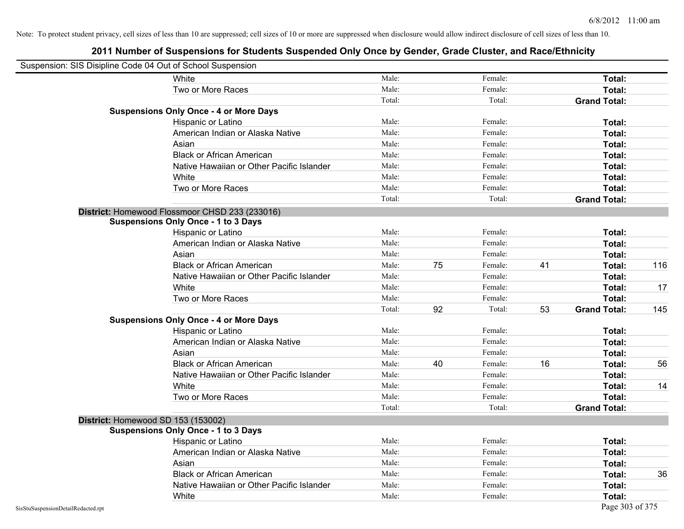| Suspension: SIS Disipline Code 04 Out of School Suspension |                                                |        |    |         |    |                     |     |
|------------------------------------------------------------|------------------------------------------------|--------|----|---------|----|---------------------|-----|
|                                                            | White                                          | Male:  |    | Female: |    | Total:              |     |
|                                                            | Two or More Races                              | Male:  |    | Female: |    | Total:              |     |
|                                                            |                                                | Total: |    | Total:  |    | <b>Grand Total:</b> |     |
|                                                            | <b>Suspensions Only Once - 4 or More Days</b>  |        |    |         |    |                     |     |
|                                                            | Hispanic or Latino                             | Male:  |    | Female: |    | Total:              |     |
|                                                            | American Indian or Alaska Native               | Male:  |    | Female: |    | Total:              |     |
|                                                            | Asian                                          | Male:  |    | Female: |    | Total:              |     |
|                                                            | <b>Black or African American</b>               | Male:  |    | Female: |    | Total:              |     |
|                                                            | Native Hawaiian or Other Pacific Islander      | Male:  |    | Female: |    | Total:              |     |
|                                                            | White                                          | Male:  |    | Female: |    | Total:              |     |
|                                                            | Two or More Races                              | Male:  |    | Female: |    | Total:              |     |
|                                                            |                                                | Total: |    | Total:  |    | <b>Grand Total:</b> |     |
|                                                            | District: Homewood Flossmoor CHSD 233 (233016) |        |    |         |    |                     |     |
|                                                            | <b>Suspensions Only Once - 1 to 3 Days</b>     |        |    |         |    |                     |     |
|                                                            | Hispanic or Latino                             | Male:  |    | Female: |    | Total:              |     |
|                                                            | American Indian or Alaska Native               | Male:  |    | Female: |    | Total:              |     |
|                                                            | Asian                                          | Male:  |    | Female: |    | Total:              |     |
|                                                            | <b>Black or African American</b>               | Male:  | 75 | Female: | 41 | Total:              | 116 |
|                                                            | Native Hawaiian or Other Pacific Islander      | Male:  |    | Female: |    | Total:              |     |
|                                                            | White                                          | Male:  |    | Female: |    | Total:              | 17  |
|                                                            | Two or More Races                              | Male:  |    | Female: |    | Total:              |     |
|                                                            |                                                | Total: | 92 | Total:  | 53 | <b>Grand Total:</b> | 145 |
|                                                            | <b>Suspensions Only Once - 4 or More Days</b>  |        |    |         |    |                     |     |
|                                                            | Hispanic or Latino                             | Male:  |    | Female: |    | Total:              |     |
|                                                            | American Indian or Alaska Native               | Male:  |    | Female: |    | Total:              |     |
|                                                            | Asian                                          | Male:  |    | Female: |    | Total:              |     |
|                                                            | <b>Black or African American</b>               | Male:  | 40 | Female: | 16 | Total:              | 56  |
|                                                            | Native Hawaiian or Other Pacific Islander      | Male:  |    | Female: |    | Total:              |     |
|                                                            | White                                          | Male:  |    | Female: |    | Total:              | 14  |
|                                                            | Two or More Races                              | Male:  |    | Female: |    | Total:              |     |
|                                                            |                                                | Total: |    | Total:  |    | <b>Grand Total:</b> |     |
|                                                            | District: Homewood SD 153 (153002)             |        |    |         |    |                     |     |
|                                                            | <b>Suspensions Only Once - 1 to 3 Days</b>     |        |    |         |    |                     |     |
|                                                            | Hispanic or Latino                             | Male:  |    | Female: |    | Total:              |     |
|                                                            | American Indian or Alaska Native               | Male:  |    | Female: |    | Total:              |     |
|                                                            | Asian                                          | Male:  |    | Female: |    | Total:              |     |
|                                                            | <b>Black or African American</b>               | Male:  |    | Female: |    | Total:              | 36  |
|                                                            | Native Hawaiian or Other Pacific Islander      | Male:  |    | Female: |    | Total:              |     |
|                                                            | White                                          | Male:  |    | Female: |    | Total:              |     |
| SisStuSuspensionDetailRedacted.rpt                         |                                                |        |    |         |    | Page 303 of 375     |     |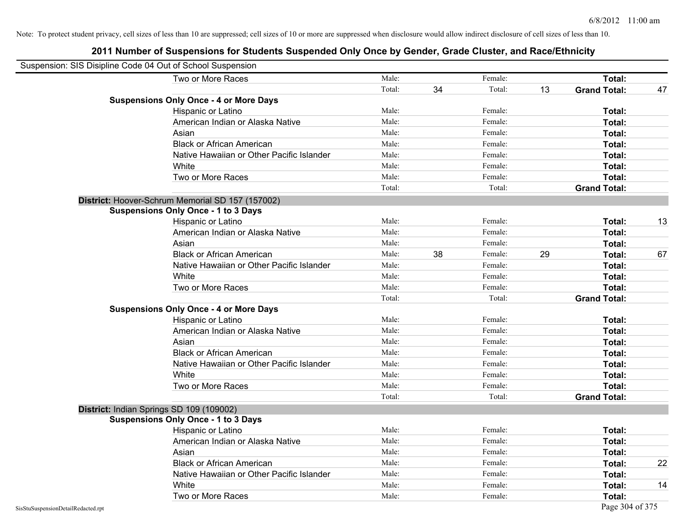| Suspension: SIS Disipline Code 04 Out of School Suspension |                                                  |        |    |         |    |                     |    |
|------------------------------------------------------------|--------------------------------------------------|--------|----|---------|----|---------------------|----|
|                                                            | Two or More Races                                | Male:  |    | Female: |    | Total:              |    |
|                                                            |                                                  | Total: | 34 | Total:  | 13 | <b>Grand Total:</b> | 47 |
|                                                            | <b>Suspensions Only Once - 4 or More Days</b>    |        |    |         |    |                     |    |
|                                                            | Hispanic or Latino                               | Male:  |    | Female: |    | Total:              |    |
|                                                            | American Indian or Alaska Native                 | Male:  |    | Female: |    | Total:              |    |
|                                                            | Asian                                            | Male:  |    | Female: |    | <b>Total:</b>       |    |
|                                                            | <b>Black or African American</b>                 | Male:  |    | Female: |    | Total:              |    |
|                                                            | Native Hawaiian or Other Pacific Islander        | Male:  |    | Female: |    | Total:              |    |
|                                                            | White                                            | Male:  |    | Female: |    | Total:              |    |
|                                                            | Two or More Races                                | Male:  |    | Female: |    | Total:              |    |
|                                                            |                                                  | Total: |    | Total:  |    | <b>Grand Total:</b> |    |
|                                                            | District: Hoover-Schrum Memorial SD 157 (157002) |        |    |         |    |                     |    |
|                                                            | <b>Suspensions Only Once - 1 to 3 Days</b>       |        |    |         |    |                     |    |
|                                                            | Hispanic or Latino                               | Male:  |    | Female: |    | Total:              | 13 |
|                                                            | American Indian or Alaska Native                 | Male:  |    | Female: |    | <b>Total:</b>       |    |
|                                                            | Asian                                            | Male:  |    | Female: |    | Total:              |    |
|                                                            | <b>Black or African American</b>                 | Male:  | 38 | Female: | 29 | Total:              | 67 |
|                                                            | Native Hawaiian or Other Pacific Islander        | Male:  |    | Female: |    | Total:              |    |
|                                                            | White                                            | Male:  |    | Female: |    | Total:              |    |
|                                                            | Two or More Races                                | Male:  |    | Female: |    | Total:              |    |
|                                                            |                                                  | Total: |    | Total:  |    | <b>Grand Total:</b> |    |
|                                                            | <b>Suspensions Only Once - 4 or More Days</b>    |        |    |         |    |                     |    |
|                                                            | Hispanic or Latino                               | Male:  |    | Female: |    | Total:              |    |
|                                                            | American Indian or Alaska Native                 | Male:  |    | Female: |    | Total:              |    |
|                                                            | Asian                                            | Male:  |    | Female: |    | Total:              |    |
|                                                            | <b>Black or African American</b>                 | Male:  |    | Female: |    | Total:              |    |
|                                                            | Native Hawaiian or Other Pacific Islander        | Male:  |    | Female: |    | Total:              |    |
|                                                            | White                                            | Male:  |    | Female: |    | <b>Total:</b>       |    |
|                                                            | Two or More Races                                | Male:  |    | Female: |    | Total:              |    |
|                                                            |                                                  | Total: |    | Total:  |    | <b>Grand Total:</b> |    |
|                                                            | District: Indian Springs SD 109 (109002)         |        |    |         |    |                     |    |
|                                                            | <b>Suspensions Only Once - 1 to 3 Days</b>       |        |    |         |    |                     |    |
|                                                            | Hispanic or Latino                               | Male:  |    | Female: |    | <b>Total:</b>       |    |
|                                                            | American Indian or Alaska Native                 | Male:  |    | Female: |    | <b>Total:</b>       |    |
|                                                            | Asian                                            | Male:  |    | Female: |    | Total:              |    |
|                                                            | <b>Black or African American</b>                 | Male:  |    | Female: |    | Total:              | 22 |
|                                                            | Native Hawaiian or Other Pacific Islander        | Male:  |    | Female: |    | Total:              |    |
|                                                            | White                                            | Male:  |    | Female: |    | Total:              | 14 |
|                                                            | Two or More Races                                | Male:  |    | Female: |    | <b>Total:</b>       |    |
| SisStuSuspensionDetailRedacted.rpt                         |                                                  |        |    |         |    | Page 304 of 375     |    |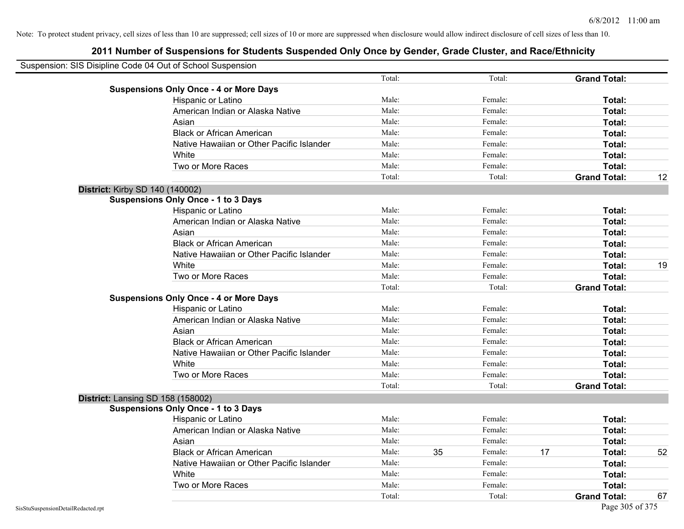| Suspension: SIS Disipline Code 04 Out of School Suspension |        |    |         |    |                     |    |
|------------------------------------------------------------|--------|----|---------|----|---------------------|----|
|                                                            | Total: |    | Total:  |    | <b>Grand Total:</b> |    |
| <b>Suspensions Only Once - 4 or More Days</b>              |        |    |         |    |                     |    |
| Hispanic or Latino                                         | Male:  |    | Female: |    | Total:              |    |
| American Indian or Alaska Native                           | Male:  |    | Female: |    | Total:              |    |
| Asian                                                      | Male:  |    | Female: |    | Total:              |    |
| <b>Black or African American</b>                           | Male:  |    | Female: |    | Total:              |    |
| Native Hawaiian or Other Pacific Islander                  | Male:  |    | Female: |    | Total:              |    |
| White                                                      | Male:  |    | Female: |    | Total:              |    |
| Two or More Races                                          | Male:  |    | Female: |    | Total:              |    |
|                                                            | Total: |    | Total:  |    | <b>Grand Total:</b> | 12 |
| District: Kirby SD 140 (140002)                            |        |    |         |    |                     |    |
| <b>Suspensions Only Once - 1 to 3 Days</b>                 |        |    |         |    |                     |    |
| Hispanic or Latino                                         | Male:  |    | Female: |    | Total:              |    |
| American Indian or Alaska Native                           | Male:  |    | Female: |    | Total:              |    |
| Asian                                                      | Male:  |    | Female: |    | Total:              |    |
| <b>Black or African American</b>                           | Male:  |    | Female: |    | Total:              |    |
| Native Hawaiian or Other Pacific Islander                  | Male:  |    | Female: |    | Total:              |    |
| White                                                      | Male:  |    | Female: |    | Total:              | 19 |
| Two or More Races                                          | Male:  |    | Female: |    | Total:              |    |
|                                                            | Total: |    | Total:  |    | <b>Grand Total:</b> |    |
| <b>Suspensions Only Once - 4 or More Days</b>              |        |    |         |    |                     |    |
| Hispanic or Latino                                         | Male:  |    | Female: |    | Total:              |    |
| American Indian or Alaska Native                           | Male:  |    | Female: |    | Total:              |    |
| Asian                                                      | Male:  |    | Female: |    | Total:              |    |
| <b>Black or African American</b>                           | Male:  |    | Female: |    | Total:              |    |
| Native Hawaiian or Other Pacific Islander                  | Male:  |    | Female: |    | Total:              |    |
| White                                                      | Male:  |    | Female: |    | Total:              |    |
| Two or More Races                                          | Male:  |    | Female: |    | Total:              |    |
|                                                            | Total: |    | Total:  |    | <b>Grand Total:</b> |    |
| District: Lansing SD 158 (158002)                          |        |    |         |    |                     |    |
| <b>Suspensions Only Once - 1 to 3 Days</b>                 |        |    |         |    |                     |    |
| Hispanic or Latino                                         | Male:  |    | Female: |    | Total:              |    |
| American Indian or Alaska Native                           | Male:  |    | Female: |    | Total:              |    |
| Asian                                                      | Male:  |    | Female: |    | Total:              |    |
| <b>Black or African American</b>                           | Male:  | 35 | Female: | 17 | Total:              | 52 |
| Native Hawaiian or Other Pacific Islander                  | Male:  |    | Female: |    | Total:              |    |
| White                                                      | Male:  |    | Female: |    | Total:              |    |
| Two or More Races                                          | Male:  |    | Female: |    | Total:              |    |
|                                                            | Total: |    | Total:  |    | <b>Grand Total:</b> | 67 |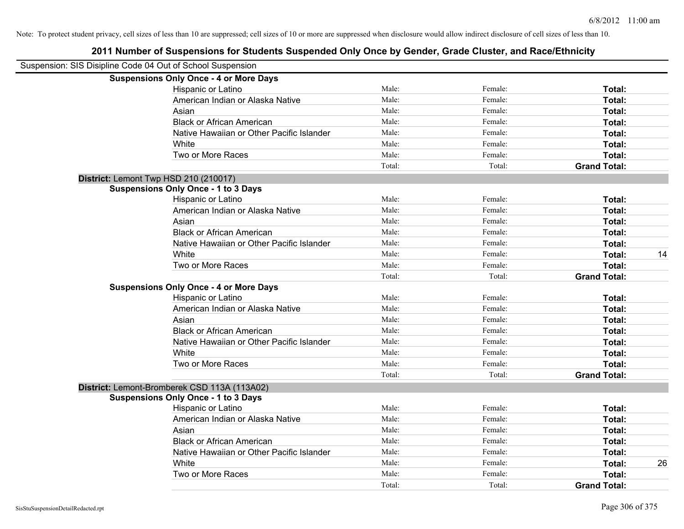| Suspension: SIS Disipline Code 04 Out of School Suspension |                                               |        |         |                     |    |
|------------------------------------------------------------|-----------------------------------------------|--------|---------|---------------------|----|
|                                                            | <b>Suspensions Only Once - 4 or More Days</b> |        |         |                     |    |
|                                                            | Hispanic or Latino                            | Male:  | Female: | Total:              |    |
|                                                            | American Indian or Alaska Native              | Male:  | Female: | Total:              |    |
|                                                            | Asian                                         | Male:  | Female: | Total:              |    |
|                                                            | <b>Black or African American</b>              | Male:  | Female: | Total:              |    |
|                                                            | Native Hawaiian or Other Pacific Islander     | Male:  | Female: | Total:              |    |
|                                                            | White                                         | Male:  | Female: | Total:              |    |
|                                                            | Two or More Races                             | Male:  | Female: | Total:              |    |
|                                                            |                                               | Total: | Total:  | <b>Grand Total:</b> |    |
| District: Lemont Twp HSD 210 (210017)                      |                                               |        |         |                     |    |
|                                                            | <b>Suspensions Only Once - 1 to 3 Days</b>    |        |         |                     |    |
|                                                            | Hispanic or Latino                            | Male:  | Female: | Total:              |    |
|                                                            | American Indian or Alaska Native              | Male:  | Female: | Total:              |    |
|                                                            | Asian                                         | Male:  | Female: | Total:              |    |
|                                                            | <b>Black or African American</b>              | Male:  | Female: | Total:              |    |
|                                                            | Native Hawaiian or Other Pacific Islander     | Male:  | Female: | Total:              |    |
|                                                            | White                                         | Male:  | Female: | Total:              | 14 |
|                                                            | Two or More Races                             | Male:  | Female: | Total:              |    |
|                                                            |                                               | Total: | Total:  | <b>Grand Total:</b> |    |
|                                                            | <b>Suspensions Only Once - 4 or More Days</b> |        |         |                     |    |
|                                                            | Hispanic or Latino                            | Male:  | Female: | Total:              |    |
|                                                            | American Indian or Alaska Native              | Male:  | Female: | Total:              |    |
|                                                            | Asian                                         | Male:  | Female: | Total:              |    |
|                                                            | <b>Black or African American</b>              | Male:  | Female: | Total:              |    |
|                                                            | Native Hawaiian or Other Pacific Islander     | Male:  | Female: | Total:              |    |
|                                                            | White                                         | Male:  | Female: | Total:              |    |
|                                                            | Two or More Races                             | Male:  | Female: | Total:              |    |
|                                                            |                                               | Total: | Total:  | <b>Grand Total:</b> |    |
|                                                            | District: Lemont-Bromberek CSD 113A (113A02)  |        |         |                     |    |
|                                                            | <b>Suspensions Only Once - 1 to 3 Days</b>    |        |         |                     |    |
|                                                            | Hispanic or Latino                            | Male:  | Female: | Total:              |    |
|                                                            | American Indian or Alaska Native              | Male:  | Female: | Total:              |    |
|                                                            | Asian                                         | Male:  | Female: | Total:              |    |
|                                                            | <b>Black or African American</b>              | Male:  | Female: | Total:              |    |
|                                                            | Native Hawaiian or Other Pacific Islander     | Male:  | Female: | Total:              |    |
|                                                            | White                                         | Male:  | Female: | Total:              | 26 |
|                                                            | Two or More Races                             | Male:  | Female: | Total:              |    |
|                                                            |                                               | Total: | Total:  | <b>Grand Total:</b> |    |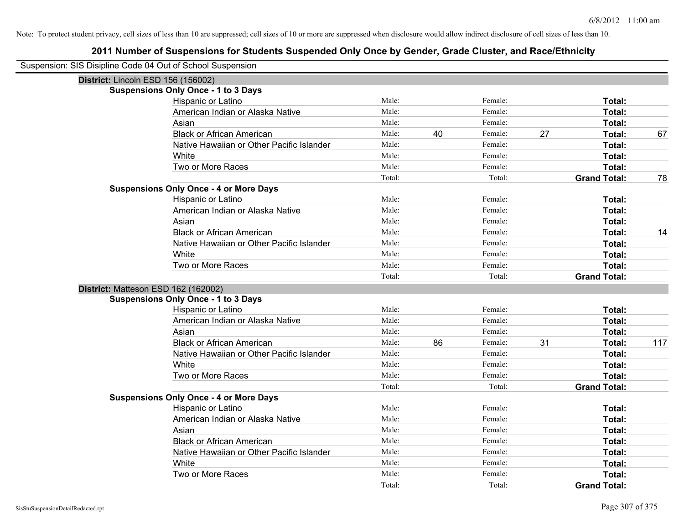| Suspension: SIS Disipline Code 04 Out of School Suspension |                                               |        |    |         |    |                               |     |
|------------------------------------------------------------|-----------------------------------------------|--------|----|---------|----|-------------------------------|-----|
| District: Lincoln ESD 156 (156002)                         |                                               |        |    |         |    |                               |     |
|                                                            | <b>Suspensions Only Once - 1 to 3 Days</b>    |        |    |         |    |                               |     |
|                                                            | Hispanic or Latino                            | Male:  |    | Female: |    | Total:                        |     |
|                                                            | American Indian or Alaska Native              | Male:  |    | Female: |    | Total:                        |     |
|                                                            | Asian                                         | Male:  |    | Female: |    | Total:                        |     |
|                                                            | <b>Black or African American</b>              | Male:  | 40 | Female: | 27 | Total:                        | 67  |
|                                                            | Native Hawaiian or Other Pacific Islander     | Male:  |    | Female: |    | Total:                        |     |
|                                                            | White                                         | Male:  |    | Female: |    | Total:                        |     |
|                                                            | Two or More Races                             | Male:  |    | Female: |    | Total:                        |     |
|                                                            |                                               | Total: |    | Total:  |    | <b>Grand Total:</b>           | 78  |
|                                                            | <b>Suspensions Only Once - 4 or More Days</b> |        |    |         |    |                               |     |
|                                                            | Hispanic or Latino                            | Male:  |    | Female: |    | Total:                        |     |
|                                                            | American Indian or Alaska Native              | Male:  |    | Female: |    | Total:                        |     |
|                                                            | Asian                                         | Male:  |    | Female: |    | Total:                        |     |
|                                                            | <b>Black or African American</b>              | Male:  |    | Female: |    | Total:                        | 14  |
|                                                            | Native Hawaiian or Other Pacific Islander     | Male:  |    | Female: |    | Total:                        |     |
|                                                            | White                                         | Male:  |    | Female: |    | Total:                        |     |
|                                                            | Two or More Races                             | Male:  |    | Female: |    | Total:                        |     |
|                                                            |                                               | Total: |    | Total:  |    | <b>Grand Total:</b>           |     |
|                                                            |                                               |        |    |         |    |                               |     |
| District: Matteson ESD 162 (162002)                        |                                               |        |    |         |    |                               |     |
|                                                            | <b>Suspensions Only Once - 1 to 3 Days</b>    |        |    |         |    |                               |     |
|                                                            | Hispanic or Latino                            | Male:  |    | Female: |    | Total:                        |     |
|                                                            | American Indian or Alaska Native              | Male:  |    | Female: |    | Total:                        |     |
|                                                            | Asian                                         | Male:  |    | Female: |    | Total:                        |     |
|                                                            | <b>Black or African American</b>              | Male:  | 86 | Female: | 31 | Total:                        | 117 |
|                                                            | Native Hawaiian or Other Pacific Islander     | Male:  |    | Female: |    | <b>Total:</b>                 |     |
|                                                            | White                                         | Male:  |    | Female: |    | Total:                        |     |
|                                                            | Two or More Races                             | Male:  |    | Female: |    | Total:                        |     |
|                                                            |                                               | Total: |    | Total:  |    | <b>Grand Total:</b>           |     |
|                                                            | <b>Suspensions Only Once - 4 or More Days</b> |        |    |         |    |                               |     |
|                                                            | Hispanic or Latino                            | Male:  |    | Female: |    | Total:                        |     |
|                                                            | American Indian or Alaska Native              | Male:  |    | Female: |    | Total:                        |     |
|                                                            | Asian                                         | Male:  |    | Female: |    | Total:                        |     |
|                                                            | <b>Black or African American</b>              | Male:  |    | Female: |    | Total:                        |     |
|                                                            | Native Hawaiian or Other Pacific Islander     | Male:  |    | Female: |    | Total:                        |     |
|                                                            | White                                         | Male:  |    | Female: |    | Total:                        |     |
|                                                            | Two or More Races                             | Male:  |    | Female: |    | Total:<br><b>Grand Total:</b> |     |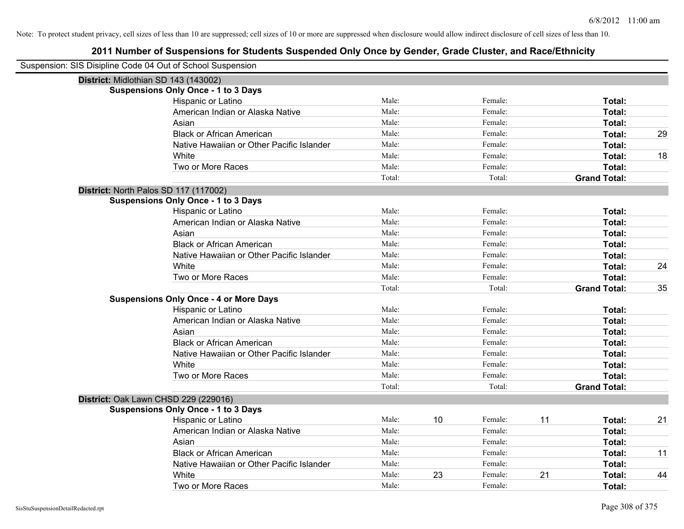| Suspension: SIS Disipline Code 04 Out of School Suspension |                                               |        |    |         |    |                     |    |
|------------------------------------------------------------|-----------------------------------------------|--------|----|---------|----|---------------------|----|
| District: Midlothian SD 143 (143002)                       |                                               |        |    |         |    |                     |    |
|                                                            | <b>Suspensions Only Once - 1 to 3 Days</b>    |        |    |         |    |                     |    |
|                                                            | Hispanic or Latino                            | Male:  |    | Female: |    | Total:              |    |
|                                                            | American Indian or Alaska Native              | Male:  |    | Female: |    | Total:              |    |
|                                                            | Asian                                         | Male:  |    | Female: |    | Total:              |    |
|                                                            | <b>Black or African American</b>              | Male:  |    | Female: |    | Total:              | 29 |
|                                                            | Native Hawaiian or Other Pacific Islander     | Male:  |    | Female: |    | Total:              |    |
|                                                            | White                                         | Male:  |    | Female: |    | Total:              | 18 |
|                                                            | Two or More Races                             | Male:  |    | Female: |    | Total:              |    |
|                                                            |                                               | Total: |    | Total:  |    | <b>Grand Total:</b> |    |
| District: North Palos SD 117 (117002)                      |                                               |        |    |         |    |                     |    |
|                                                            | <b>Suspensions Only Once - 1 to 3 Days</b>    |        |    |         |    |                     |    |
|                                                            | Hispanic or Latino                            | Male:  |    | Female: |    | Total:              |    |
|                                                            | American Indian or Alaska Native              | Male:  |    | Female: |    | Total:              |    |
|                                                            | Asian                                         | Male:  |    | Female: |    | Total:              |    |
|                                                            | <b>Black or African American</b>              | Male:  |    | Female: |    | Total:              |    |
|                                                            | Native Hawaiian or Other Pacific Islander     | Male:  |    | Female: |    | Total:              |    |
|                                                            | White                                         | Male:  |    | Female: |    | Total:              | 24 |
|                                                            | Two or More Races                             | Male:  |    | Female: |    | Total:              |    |
|                                                            |                                               | Total: |    | Total:  |    | <b>Grand Total:</b> | 35 |
|                                                            | <b>Suspensions Only Once - 4 or More Days</b> |        |    |         |    |                     |    |
|                                                            | Hispanic or Latino                            | Male:  |    | Female: |    | Total:              |    |
|                                                            | American Indian or Alaska Native              | Male:  |    | Female: |    | Total:              |    |
|                                                            | Asian                                         | Male:  |    | Female: |    | Total:              |    |
|                                                            | <b>Black or African American</b>              | Male:  |    | Female: |    | Total:              |    |
|                                                            | Native Hawaiian or Other Pacific Islander     | Male:  |    | Female: |    | Total:              |    |
|                                                            | White                                         | Male:  |    | Female: |    | Total:              |    |
|                                                            | Two or More Races                             | Male:  |    | Female: |    | Total:              |    |
|                                                            |                                               | Total: |    | Total:  |    | <b>Grand Total:</b> |    |
| District: Oak Lawn CHSD 229 (229016)                       |                                               |        |    |         |    |                     |    |
|                                                            | <b>Suspensions Only Once - 1 to 3 Days</b>    |        |    |         |    |                     |    |
|                                                            | Hispanic or Latino                            | Male:  | 10 | Female: | 11 | Total:              | 21 |
|                                                            | American Indian or Alaska Native              | Male:  |    | Female: |    | Total:              |    |
|                                                            | Asian                                         | Male:  |    | Female: |    | Total:              |    |
|                                                            | <b>Black or African American</b>              | Male:  |    | Female: |    | Total:              | 11 |
|                                                            | Native Hawaiian or Other Pacific Islander     | Male:  |    | Female: |    | Total:              |    |
|                                                            | White                                         | Male:  | 23 | Female: | 21 | Total:              | 44 |
|                                                            | Two or More Races                             | Male:  |    | Female: |    | Total:              |    |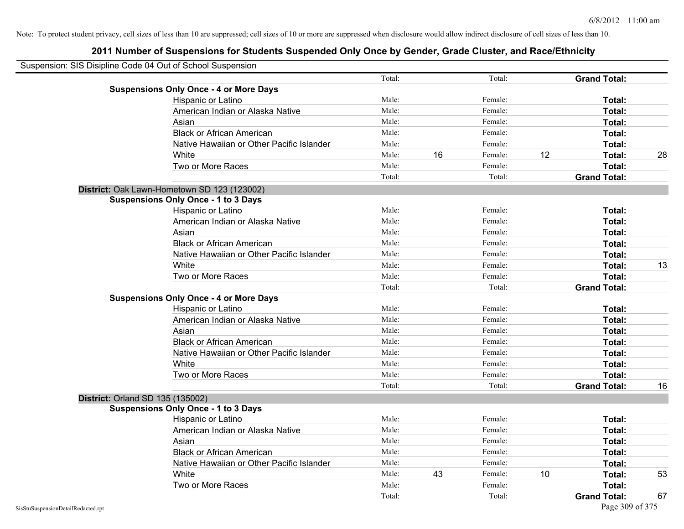| Suspension: SIS Disipline Code 04 Out of School Suspension |        |    |         |    |                     |    |
|------------------------------------------------------------|--------|----|---------|----|---------------------|----|
|                                                            | Total: |    | Total:  |    | <b>Grand Total:</b> |    |
| <b>Suspensions Only Once - 4 or More Days</b>              |        |    |         |    |                     |    |
| Hispanic or Latino                                         | Male:  |    | Female: |    | Total:              |    |
| American Indian or Alaska Native                           | Male:  |    | Female: |    | Total:              |    |
| Asian                                                      | Male:  |    | Female: |    | Total:              |    |
| <b>Black or African American</b>                           | Male:  |    | Female: |    | Total:              |    |
| Native Hawaiian or Other Pacific Islander                  | Male:  |    | Female: |    | Total:              |    |
| White                                                      | Male:  | 16 | Female: | 12 | Total:              | 28 |
| Two or More Races                                          | Male:  |    | Female: |    | Total:              |    |
|                                                            | Total: |    | Total:  |    | <b>Grand Total:</b> |    |
| District: Oak Lawn-Hometown SD 123 (123002)                |        |    |         |    |                     |    |
| <b>Suspensions Only Once - 1 to 3 Days</b>                 |        |    |         |    |                     |    |
| Hispanic or Latino                                         | Male:  |    | Female: |    | Total:              |    |
| American Indian or Alaska Native                           | Male:  |    | Female: |    | Total:              |    |
| Asian                                                      | Male:  |    | Female: |    | Total:              |    |
| <b>Black or African American</b>                           | Male:  |    | Female: |    | Total:              |    |
| Native Hawaiian or Other Pacific Islander                  | Male:  |    | Female: |    | Total:              |    |
| White                                                      | Male:  |    | Female: |    | Total:              | 13 |
| Two or More Races                                          | Male:  |    | Female: |    | Total:              |    |
|                                                            | Total: |    | Total:  |    | <b>Grand Total:</b> |    |
| <b>Suspensions Only Once - 4 or More Days</b>              |        |    |         |    |                     |    |
| Hispanic or Latino                                         | Male:  |    | Female: |    | Total:              |    |
| American Indian or Alaska Native                           | Male:  |    | Female: |    | Total:              |    |
| Asian                                                      | Male:  |    | Female: |    | Total:              |    |
| <b>Black or African American</b>                           | Male:  |    | Female: |    | Total:              |    |
| Native Hawaiian or Other Pacific Islander                  | Male:  |    | Female: |    | Total:              |    |
| White                                                      | Male:  |    | Female: |    | Total:              |    |
| Two or More Races                                          | Male:  |    | Female: |    | Total:              |    |
|                                                            | Total: |    | Total:  |    | <b>Grand Total:</b> | 16 |
| District: Orland SD 135 (135002)                           |        |    |         |    |                     |    |
| <b>Suspensions Only Once - 1 to 3 Days</b>                 |        |    |         |    |                     |    |
| Hispanic or Latino                                         | Male:  |    | Female: |    | Total:              |    |
| American Indian or Alaska Native                           | Male:  |    | Female: |    | Total:              |    |
| Asian                                                      | Male:  |    | Female: |    | Total:              |    |
| <b>Black or African American</b>                           | Male:  |    | Female: |    | Total:              |    |
| Native Hawaiian or Other Pacific Islander                  | Male:  |    | Female: |    | Total:              |    |
| White                                                      | Male:  | 43 | Female: | 10 | Total:              | 53 |
| Two or More Races                                          | Male:  |    | Female: |    | <b>Total:</b>       |    |
|                                                            | Total: |    | Total:  |    | <b>Grand Total:</b> | 67 |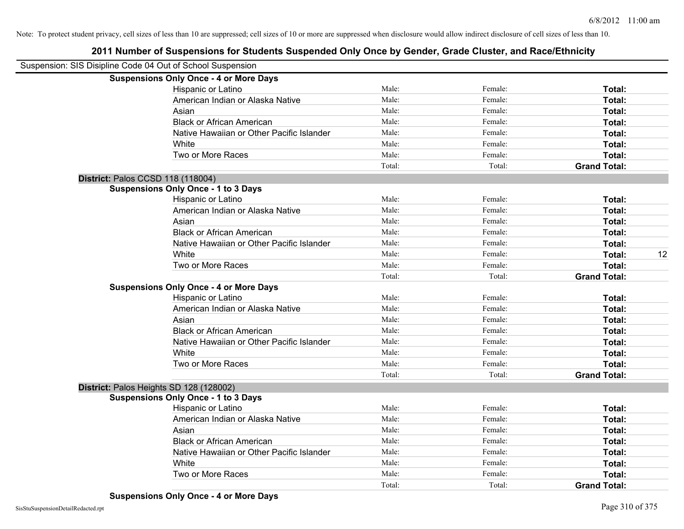| Suspension: SIS Disipline Code 04 Out of School Suspension |                                               |        |         |                     |    |
|------------------------------------------------------------|-----------------------------------------------|--------|---------|---------------------|----|
|                                                            | <b>Suspensions Only Once - 4 or More Days</b> |        |         |                     |    |
|                                                            | Hispanic or Latino                            | Male:  | Female: | Total:              |    |
|                                                            | American Indian or Alaska Native              | Male:  | Female: | Total:              |    |
|                                                            | Asian                                         | Male:  | Female: | Total:              |    |
|                                                            | <b>Black or African American</b>              | Male:  | Female: | Total:              |    |
|                                                            | Native Hawaiian or Other Pacific Islander     | Male:  | Female: | Total:              |    |
|                                                            | White                                         | Male:  | Female: | Total:              |    |
|                                                            | Two or More Races                             | Male:  | Female: | Total:              |    |
|                                                            |                                               | Total: | Total:  | <b>Grand Total:</b> |    |
| District: Palos CCSD 118 (118004)                          |                                               |        |         |                     |    |
|                                                            | <b>Suspensions Only Once - 1 to 3 Days</b>    |        |         |                     |    |
|                                                            | Hispanic or Latino                            | Male:  | Female: | Total:              |    |
|                                                            | American Indian or Alaska Native              | Male:  | Female: | Total:              |    |
|                                                            | Asian                                         | Male:  | Female: | Total:              |    |
|                                                            | <b>Black or African American</b>              | Male:  | Female: | Total:              |    |
|                                                            | Native Hawaiian or Other Pacific Islander     | Male:  | Female: | Total:              |    |
|                                                            | White                                         | Male:  | Female: | Total:              | 12 |
|                                                            | Two or More Races                             | Male:  | Female: | <b>Total:</b>       |    |
|                                                            |                                               | Total: | Total:  | <b>Grand Total:</b> |    |
|                                                            | <b>Suspensions Only Once - 4 or More Days</b> |        |         |                     |    |
|                                                            | Hispanic or Latino                            | Male:  | Female: | Total:              |    |
|                                                            | American Indian or Alaska Native              | Male:  | Female: | Total:              |    |
|                                                            | Asian                                         | Male:  | Female: | Total:              |    |
|                                                            | <b>Black or African American</b>              | Male:  | Female: | Total:              |    |
|                                                            | Native Hawaiian or Other Pacific Islander     | Male:  | Female: | Total:              |    |
|                                                            | White                                         | Male:  | Female: | Total:              |    |
|                                                            | Two or More Races                             | Male:  | Female: | Total:              |    |
|                                                            |                                               | Total: | Total:  | <b>Grand Total:</b> |    |
|                                                            | District: Palos Heights SD 128 (128002)       |        |         |                     |    |
|                                                            | <b>Suspensions Only Once - 1 to 3 Days</b>    |        |         |                     |    |
|                                                            | Hispanic or Latino                            | Male:  | Female: | Total:              |    |
|                                                            | American Indian or Alaska Native              | Male:  | Female: | Total:              |    |
|                                                            | Asian                                         | Male:  | Female: | Total:              |    |
|                                                            | <b>Black or African American</b>              | Male:  | Female: | Total:              |    |
|                                                            | Native Hawaiian or Other Pacific Islander     | Male:  | Female: | Total:              |    |
|                                                            | White                                         | Male:  | Female: | <b>Total:</b>       |    |
|                                                            | Two or More Races                             | Male:  | Female: | <b>Total:</b>       |    |
|                                                            |                                               | Total: | Total:  | <b>Grand Total:</b> |    |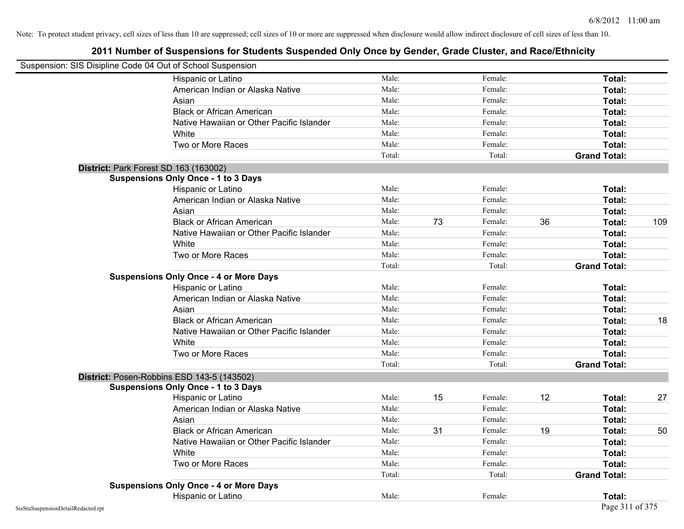| Suspension: SIS Disipline Code 04 Out of School Suspension |                                               |        |    |         |    |                     |     |
|------------------------------------------------------------|-----------------------------------------------|--------|----|---------|----|---------------------|-----|
|                                                            | Hispanic or Latino                            | Male:  |    | Female: |    | Total:              |     |
|                                                            | American Indian or Alaska Native              | Male:  |    | Female: |    | Total:              |     |
|                                                            | Asian                                         | Male:  |    | Female: |    | <b>Total:</b>       |     |
|                                                            | <b>Black or African American</b>              | Male:  |    | Female: |    | Total:              |     |
|                                                            | Native Hawaiian or Other Pacific Islander     | Male:  |    | Female: |    | Total:              |     |
|                                                            | White                                         | Male:  |    | Female: |    | Total:              |     |
|                                                            | Two or More Races                             | Male:  |    | Female: |    | Total:              |     |
|                                                            |                                               | Total: |    | Total:  |    | <b>Grand Total:</b> |     |
|                                                            | District: Park Forest SD 163 (163002)         |        |    |         |    |                     |     |
|                                                            | <b>Suspensions Only Once - 1 to 3 Days</b>    |        |    |         |    |                     |     |
|                                                            | Hispanic or Latino                            | Male:  |    | Female: |    | Total:              |     |
|                                                            | American Indian or Alaska Native              | Male:  |    | Female: |    | Total:              |     |
|                                                            | Asian                                         | Male:  |    | Female: |    | Total:              |     |
|                                                            | <b>Black or African American</b>              | Male:  | 73 | Female: | 36 | Total:              | 109 |
|                                                            | Native Hawaiian or Other Pacific Islander     | Male:  |    | Female: |    | Total:              |     |
|                                                            | White                                         | Male:  |    | Female: |    | Total:              |     |
|                                                            | Two or More Races                             | Male:  |    | Female: |    | Total:              |     |
|                                                            |                                               | Total: |    | Total:  |    | <b>Grand Total:</b> |     |
|                                                            | <b>Suspensions Only Once - 4 or More Days</b> |        |    |         |    |                     |     |
|                                                            | Hispanic or Latino                            | Male:  |    | Female: |    | Total:              |     |
|                                                            | American Indian or Alaska Native              | Male:  |    | Female: |    | Total:              |     |
|                                                            | Asian                                         | Male:  |    | Female: |    | Total:              |     |
|                                                            | <b>Black or African American</b>              | Male:  |    | Female: |    | Total:              | 18  |
|                                                            | Native Hawaiian or Other Pacific Islander     | Male:  |    | Female: |    | Total:              |     |
|                                                            | White                                         | Male:  |    | Female: |    | Total:              |     |
|                                                            | Two or More Races                             | Male:  |    | Female: |    | Total:              |     |
|                                                            |                                               | Total: |    | Total:  |    | <b>Grand Total:</b> |     |
|                                                            | District: Posen-Robbins ESD 143-5 (143502)    |        |    |         |    |                     |     |
|                                                            | <b>Suspensions Only Once - 1 to 3 Days</b>    |        |    |         |    |                     |     |
|                                                            | Hispanic or Latino                            | Male:  | 15 | Female: | 12 | Total:              | 27  |
|                                                            | American Indian or Alaska Native              | Male:  |    | Female: |    | Total:              |     |
|                                                            | Asian                                         | Male:  |    | Female: |    | Total:              |     |
|                                                            | <b>Black or African American</b>              | Male:  | 31 | Female: | 19 | Total:              | 50  |
|                                                            | Native Hawaiian or Other Pacific Islander     | Male:  |    | Female: |    | Total:              |     |
|                                                            | White                                         | Male:  |    | Female: |    | Total:              |     |
|                                                            | Two or More Races                             | Male:  |    | Female: |    | Total:              |     |
|                                                            |                                               | Total: |    | Total:  |    | <b>Grand Total:</b> |     |
|                                                            | <b>Suspensions Only Once - 4 or More Days</b> |        |    |         |    |                     |     |
|                                                            | Hispanic or Latino                            | Male:  |    | Female: |    | Total:              |     |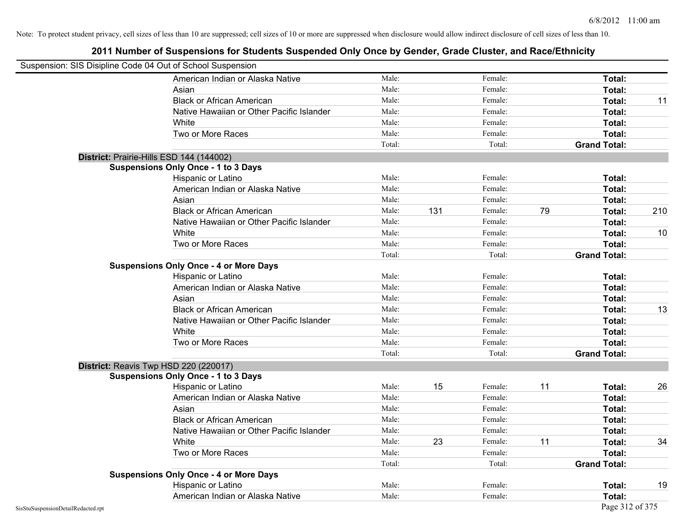|                                    | Suspension: SIS Disipline Code 04 Out of School Suspension |        |     |         |    |                     |     |
|------------------------------------|------------------------------------------------------------|--------|-----|---------|----|---------------------|-----|
|                                    | American Indian or Alaska Native                           | Male:  |     | Female: |    | Total:              |     |
|                                    | Asian                                                      | Male:  |     | Female: |    | Total:              |     |
|                                    | <b>Black or African American</b>                           | Male:  |     | Female: |    | Total:              | 11  |
|                                    | Native Hawaiian or Other Pacific Islander                  | Male:  |     | Female: |    | Total:              |     |
|                                    | White                                                      | Male:  |     | Female: |    | Total:              |     |
|                                    | Two or More Races                                          | Male:  |     | Female: |    | Total:              |     |
|                                    |                                                            | Total: |     | Total:  |    | <b>Grand Total:</b> |     |
|                                    | District: Prairie-Hills ESD 144 (144002)                   |        |     |         |    |                     |     |
|                                    | <b>Suspensions Only Once - 1 to 3 Days</b>                 |        |     |         |    |                     |     |
|                                    | Hispanic or Latino                                         | Male:  |     | Female: |    | Total:              |     |
|                                    | American Indian or Alaska Native                           | Male:  |     | Female: |    | Total:              |     |
|                                    | Asian                                                      | Male:  |     | Female: |    | Total:              |     |
|                                    | <b>Black or African American</b>                           | Male:  | 131 | Female: | 79 | Total:              | 210 |
|                                    | Native Hawaiian or Other Pacific Islander                  | Male:  |     | Female: |    | Total:              |     |
|                                    | White                                                      | Male:  |     | Female: |    | Total:              | 10  |
|                                    | Two or More Races                                          | Male:  |     | Female: |    | Total:              |     |
|                                    |                                                            | Total: |     | Total:  |    | <b>Grand Total:</b> |     |
|                                    | <b>Suspensions Only Once - 4 or More Days</b>              |        |     |         |    |                     |     |
|                                    | Hispanic or Latino                                         | Male:  |     | Female: |    | Total:              |     |
|                                    | American Indian or Alaska Native                           | Male:  |     | Female: |    | Total:              |     |
|                                    | Asian                                                      | Male:  |     | Female: |    | Total:              |     |
|                                    | <b>Black or African American</b>                           | Male:  |     | Female: |    | Total:              | 13  |
|                                    | Native Hawaiian or Other Pacific Islander                  | Male:  |     | Female: |    | Total:              |     |
|                                    | White                                                      | Male:  |     | Female: |    | Total:              |     |
|                                    | Two or More Races                                          | Male:  |     | Female: |    | Total:              |     |
|                                    |                                                            | Total: |     | Total:  |    | <b>Grand Total:</b> |     |
|                                    | District: Reavis Twp HSD 220 (220017)                      |        |     |         |    |                     |     |
|                                    | <b>Suspensions Only Once - 1 to 3 Days</b>                 |        |     |         |    |                     |     |
|                                    | Hispanic or Latino                                         | Male:  | 15  | Female: | 11 | Total:              | 26  |
|                                    | American Indian or Alaska Native                           | Male:  |     | Female: |    | Total:              |     |
|                                    | Asian                                                      | Male:  |     | Female: |    | Total:              |     |
|                                    | <b>Black or African American</b>                           | Male:  |     | Female: |    | Total:              |     |
|                                    | Native Hawaiian or Other Pacific Islander                  | Male:  |     | Female: |    | Total:              |     |
|                                    | White                                                      | Male:  | 23  | Female: | 11 | Total:              | 34  |
|                                    | Two or More Races                                          | Male:  |     | Female: |    | Total:              |     |
|                                    |                                                            | Total: |     | Total:  |    | <b>Grand Total:</b> |     |
|                                    | <b>Suspensions Only Once - 4 or More Days</b>              |        |     |         |    |                     |     |
|                                    | Hispanic or Latino                                         | Male:  |     | Female: |    | Total:              | 19  |
|                                    | American Indian or Alaska Native                           | Male:  |     | Female: |    | Total:              |     |
| SisStuSuspensionDetailRedacted.rpt |                                                            |        |     |         |    | Page 312 of 375     |     |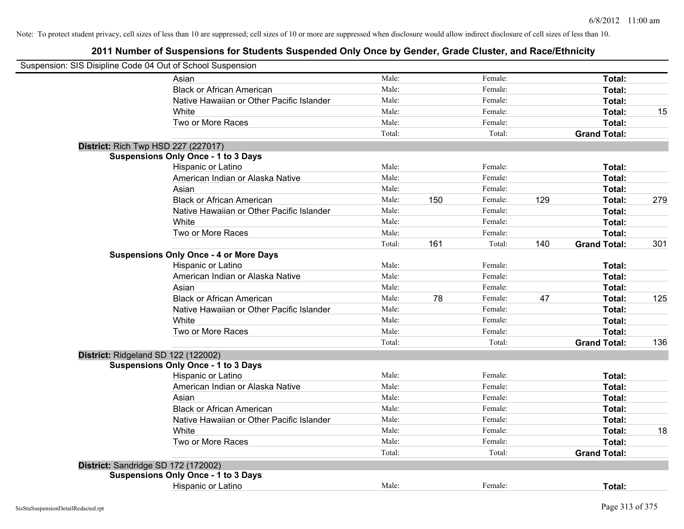| Suspension: SIS Disipline Code 04 Out of School Suspension |                                               |        |     |         |     |                     |     |
|------------------------------------------------------------|-----------------------------------------------|--------|-----|---------|-----|---------------------|-----|
|                                                            | Asian                                         | Male:  |     | Female: |     | Total:              |     |
|                                                            | <b>Black or African American</b>              | Male:  |     | Female: |     | Total:              |     |
|                                                            | Native Hawaiian or Other Pacific Islander     | Male:  |     | Female: |     | Total:              |     |
|                                                            | White                                         | Male:  |     | Female: |     | Total:              | 15  |
|                                                            | Two or More Races                             | Male:  |     | Female: |     | Total:              |     |
|                                                            |                                               | Total: |     | Total:  |     | <b>Grand Total:</b> |     |
|                                                            | <b>District: Rich Twp HSD 227 (227017)</b>    |        |     |         |     |                     |     |
|                                                            | <b>Suspensions Only Once - 1 to 3 Days</b>    |        |     |         |     |                     |     |
|                                                            | Hispanic or Latino                            | Male:  |     | Female: |     | Total:              |     |
|                                                            | American Indian or Alaska Native              | Male:  |     | Female: |     | Total:              |     |
|                                                            | Asian                                         | Male:  |     | Female: |     | Total:              |     |
|                                                            | <b>Black or African American</b>              | Male:  | 150 | Female: | 129 | Total:              | 279 |
|                                                            | Native Hawaiian or Other Pacific Islander     | Male:  |     | Female: |     | Total:              |     |
|                                                            | White                                         | Male:  |     | Female: |     | Total:              |     |
|                                                            | Two or More Races                             | Male:  |     | Female: |     | Total:              |     |
|                                                            |                                               | Total: | 161 | Total:  | 140 | <b>Grand Total:</b> | 301 |
|                                                            | <b>Suspensions Only Once - 4 or More Days</b> |        |     |         |     |                     |     |
|                                                            | Hispanic or Latino                            | Male:  |     | Female: |     | Total:              |     |
|                                                            | American Indian or Alaska Native              | Male:  |     | Female: |     | Total:              |     |
|                                                            | Asian                                         | Male:  |     | Female: |     | Total:              |     |
|                                                            | <b>Black or African American</b>              | Male:  | 78  | Female: | 47  | Total:              | 125 |
|                                                            | Native Hawaiian or Other Pacific Islander     | Male:  |     | Female: |     | Total:              |     |
|                                                            | White                                         | Male:  |     | Female: |     | Total:              |     |
|                                                            | Two or More Races                             | Male:  |     | Female: |     | Total:              |     |
|                                                            |                                               | Total: |     | Total:  |     | <b>Grand Total:</b> | 136 |
| District: Ridgeland SD 122 (122002)                        |                                               |        |     |         |     |                     |     |
|                                                            | <b>Suspensions Only Once - 1 to 3 Days</b>    |        |     |         |     |                     |     |
|                                                            | Hispanic or Latino                            | Male:  |     | Female: |     | Total:              |     |
|                                                            | American Indian or Alaska Native              | Male:  |     | Female: |     | Total:              |     |
|                                                            | Asian                                         | Male:  |     | Female: |     | Total:              |     |
|                                                            | <b>Black or African American</b>              | Male:  |     | Female: |     | Total:              |     |
|                                                            | Native Hawaiian or Other Pacific Islander     | Male:  |     | Female: |     | Total:              |     |
|                                                            | White                                         | Male:  |     | Female: |     | <b>Total:</b>       | 18  |
|                                                            | Two or More Races                             | Male:  |     | Female: |     | Total:              |     |
|                                                            |                                               | Total: |     | Total:  |     | <b>Grand Total:</b> |     |
|                                                            | District: Sandridge SD 172 (172002)           |        |     |         |     |                     |     |
|                                                            | <b>Suspensions Only Once - 1 to 3 Days</b>    |        |     |         |     |                     |     |
|                                                            | Hispanic or Latino                            | Male:  |     | Female: |     | Total:              |     |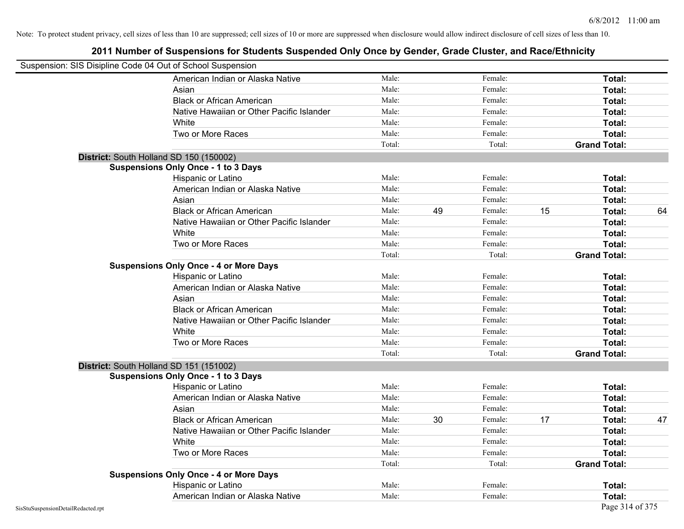| Suspension: SIS Disipline Code 04 Out of School Suspension |                                               |        |    |         |    |                     |    |
|------------------------------------------------------------|-----------------------------------------------|--------|----|---------|----|---------------------|----|
|                                                            | American Indian or Alaska Native              | Male:  |    | Female: |    | Total:              |    |
|                                                            | Asian                                         | Male:  |    | Female: |    | Total:              |    |
|                                                            | <b>Black or African American</b>              | Male:  |    | Female: |    | Total:              |    |
|                                                            | Native Hawaiian or Other Pacific Islander     | Male:  |    | Female: |    | Total:              |    |
|                                                            | White                                         | Male:  |    | Female: |    | Total:              |    |
|                                                            | Two or More Races                             | Male:  |    | Female: |    | Total:              |    |
|                                                            |                                               | Total: |    | Total:  |    | <b>Grand Total:</b> |    |
|                                                            | District: South Holland SD 150 (150002)       |        |    |         |    |                     |    |
|                                                            | <b>Suspensions Only Once - 1 to 3 Days</b>    |        |    |         |    |                     |    |
|                                                            | Hispanic or Latino                            | Male:  |    | Female: |    | Total:              |    |
|                                                            | American Indian or Alaska Native              | Male:  |    | Female: |    | Total:              |    |
|                                                            | Asian                                         | Male:  |    | Female: |    | Total:              |    |
|                                                            | <b>Black or African American</b>              | Male:  | 49 | Female: | 15 | Total:              | 64 |
|                                                            | Native Hawaiian or Other Pacific Islander     | Male:  |    | Female: |    | Total:              |    |
|                                                            | White                                         | Male:  |    | Female: |    | Total:              |    |
|                                                            | Two or More Races                             | Male:  |    | Female: |    | Total:              |    |
|                                                            |                                               | Total: |    | Total:  |    | <b>Grand Total:</b> |    |
|                                                            | <b>Suspensions Only Once - 4 or More Days</b> |        |    |         |    |                     |    |
|                                                            | Hispanic or Latino                            | Male:  |    | Female: |    | Total:              |    |
|                                                            | American Indian or Alaska Native              | Male:  |    | Female: |    | Total:              |    |
|                                                            | Asian                                         | Male:  |    | Female: |    | Total:              |    |
|                                                            | <b>Black or African American</b>              | Male:  |    | Female: |    | Total:              |    |
|                                                            | Native Hawaiian or Other Pacific Islander     | Male:  |    | Female: |    | Total:              |    |
|                                                            | White                                         | Male:  |    | Female: |    | Total:              |    |
|                                                            | Two or More Races                             | Male:  |    | Female: |    | Total:              |    |
|                                                            |                                               | Total: |    | Total:  |    | <b>Grand Total:</b> |    |
|                                                            | District: South Holland SD 151 (151002)       |        |    |         |    |                     |    |
|                                                            | <b>Suspensions Only Once - 1 to 3 Days</b>    |        |    |         |    |                     |    |
|                                                            | Hispanic or Latino                            | Male:  |    | Female: |    | Total:              |    |
|                                                            | American Indian or Alaska Native              | Male:  |    | Female: |    | Total:              |    |
|                                                            | Asian                                         | Male:  |    | Female: |    | Total:              |    |
|                                                            | <b>Black or African American</b>              | Male:  | 30 | Female: | 17 | Total:              | 47 |
|                                                            | Native Hawaiian or Other Pacific Islander     | Male:  |    | Female: |    | Total:              |    |
|                                                            | White                                         | Male:  |    | Female: |    | Total:              |    |
|                                                            | Two or More Races                             | Male:  |    | Female: |    | Total:              |    |
|                                                            |                                               | Total: |    | Total:  |    | <b>Grand Total:</b> |    |
|                                                            | <b>Suspensions Only Once - 4 or More Days</b> |        |    |         |    |                     |    |
|                                                            | Hispanic or Latino                            | Male:  |    | Female: |    | Total:              |    |
|                                                            | American Indian or Alaska Native              | Male:  |    | Female: |    | Total:              |    |
| SisStuSuspensionDetailRedacted.rpt                         |                                               |        |    |         |    | Page 314 of 375     |    |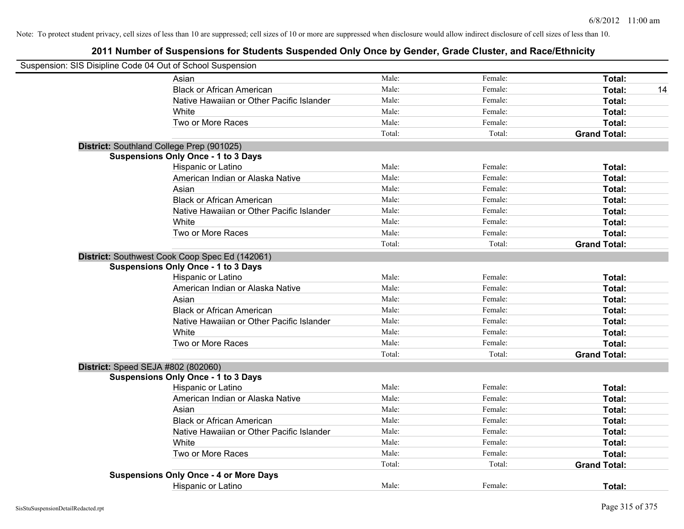| Suspension: SIS Disipline Code 04 Out of School Suspension |                                                |        |         |                     |
|------------------------------------------------------------|------------------------------------------------|--------|---------|---------------------|
|                                                            | Asian                                          | Male:  | Female: | Total:              |
|                                                            | <b>Black or African American</b>               | Male:  | Female: | Total:<br>14        |
|                                                            | Native Hawaiian or Other Pacific Islander      | Male:  | Female: | Total:              |
|                                                            | White                                          | Male:  | Female: | Total:              |
|                                                            | Two or More Races                              | Male:  | Female: | Total:              |
|                                                            |                                                | Total: | Total:  | <b>Grand Total:</b> |
|                                                            | District: Southland College Prep (901025)      |        |         |                     |
|                                                            | <b>Suspensions Only Once - 1 to 3 Days</b>     |        |         |                     |
|                                                            | Hispanic or Latino                             | Male:  | Female: | Total:              |
|                                                            | American Indian or Alaska Native               | Male:  | Female: | Total:              |
|                                                            | Asian                                          | Male:  | Female: | Total:              |
|                                                            | <b>Black or African American</b>               | Male:  | Female: | Total:              |
|                                                            | Native Hawaiian or Other Pacific Islander      | Male:  | Female: | Total:              |
|                                                            | White                                          | Male:  | Female: | Total:              |
|                                                            | Two or More Races                              | Male:  | Female: | Total:              |
|                                                            |                                                | Total: | Total:  | <b>Grand Total:</b> |
|                                                            | District: Southwest Cook Coop Spec Ed (142061) |        |         |                     |
|                                                            | <b>Suspensions Only Once - 1 to 3 Days</b>     |        |         |                     |
|                                                            | Hispanic or Latino                             | Male:  | Female: | Total:              |
|                                                            | American Indian or Alaska Native               | Male:  | Female: | Total:              |
|                                                            | Asian                                          | Male:  | Female: | Total:              |
|                                                            | <b>Black or African American</b>               | Male:  | Female: | Total:              |
|                                                            | Native Hawaiian or Other Pacific Islander      | Male:  | Female: | Total:              |
|                                                            | White                                          | Male:  | Female: | Total:              |
|                                                            | Two or More Races                              | Male:  | Female: | Total:              |
|                                                            |                                                | Total: | Total:  | <b>Grand Total:</b> |
|                                                            | District: Speed SEJA #802 (802060)             |        |         |                     |
|                                                            | <b>Suspensions Only Once - 1 to 3 Days</b>     |        |         |                     |
|                                                            | Hispanic or Latino                             | Male:  | Female: | Total:              |
|                                                            | American Indian or Alaska Native               | Male:  | Female: | Total:              |
|                                                            | Asian                                          | Male:  | Female: | Total:              |
|                                                            | <b>Black or African American</b>               | Male:  | Female: | Total:              |
|                                                            | Native Hawaiian or Other Pacific Islander      | Male:  | Female: | Total:              |
|                                                            | White                                          | Male:  | Female: | Total:              |
|                                                            | Two or More Races                              | Male:  | Female: | Total:              |
|                                                            |                                                | Total: | Total:  | <b>Grand Total:</b> |
|                                                            | <b>Suspensions Only Once - 4 or More Days</b>  |        |         |                     |
|                                                            | <b>Hispanic or Latino</b>                      | Male:  | Female: | Total:              |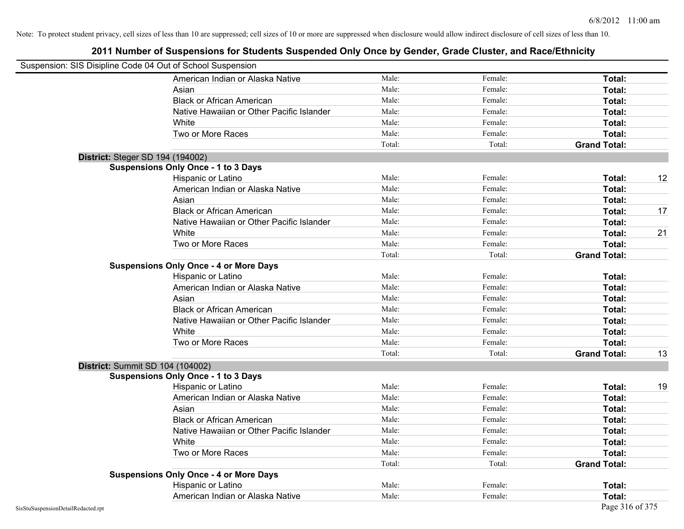| Suspension: SIS Disipline Code 04 Out of School Suspension |                                               |        |         |                     |    |
|------------------------------------------------------------|-----------------------------------------------|--------|---------|---------------------|----|
|                                                            | American Indian or Alaska Native              | Male:  | Female: | Total:              |    |
|                                                            | Asian                                         | Male:  | Female: | Total:              |    |
|                                                            | <b>Black or African American</b>              | Male:  | Female: | Total:              |    |
|                                                            | Native Hawaiian or Other Pacific Islander     | Male:  | Female: | Total:              |    |
|                                                            | White                                         | Male:  | Female: | Total:              |    |
|                                                            | Two or More Races                             | Male:  | Female: | Total:              |    |
|                                                            |                                               | Total: | Total:  | <b>Grand Total:</b> |    |
|                                                            | <b>District: Steger SD 194 (194002)</b>       |        |         |                     |    |
|                                                            | <b>Suspensions Only Once - 1 to 3 Days</b>    |        |         |                     |    |
|                                                            | Hispanic or Latino                            | Male:  | Female: | Total:              | 12 |
|                                                            | American Indian or Alaska Native              | Male:  | Female: | <b>Total:</b>       |    |
|                                                            | Asian                                         | Male:  | Female: | Total:              |    |
|                                                            | <b>Black or African American</b>              | Male:  | Female: | Total:              | 17 |
|                                                            | Native Hawaiian or Other Pacific Islander     | Male:  | Female: | Total:              |    |
|                                                            | White                                         | Male:  | Female: | Total:              | 21 |
|                                                            | Two or More Races                             | Male:  | Female: | Total:              |    |
|                                                            |                                               | Total: | Total:  | <b>Grand Total:</b> |    |
|                                                            | <b>Suspensions Only Once - 4 or More Days</b> |        |         |                     |    |
|                                                            | Hispanic or Latino                            | Male:  | Female: | Total:              |    |
|                                                            | American Indian or Alaska Native              | Male:  | Female: | Total:              |    |
|                                                            | Asian                                         | Male:  | Female: | Total:              |    |
|                                                            | <b>Black or African American</b>              | Male:  | Female: | Total:              |    |
|                                                            | Native Hawaiian or Other Pacific Islander     | Male:  | Female: | Total:              |    |
|                                                            | White                                         | Male:  | Female: | Total:              |    |
|                                                            | Two or More Races                             | Male:  | Female: | Total:              |    |
|                                                            |                                               | Total: | Total:  | <b>Grand Total:</b> | 13 |
|                                                            | <b>District: Summit SD 104 (104002)</b>       |        |         |                     |    |
|                                                            | <b>Suspensions Only Once - 1 to 3 Days</b>    |        |         |                     |    |
|                                                            | Hispanic or Latino                            | Male:  | Female: | Total:              | 19 |
|                                                            | American Indian or Alaska Native              | Male:  | Female: | Total:              |    |
|                                                            | Asian                                         | Male:  | Female: | Total:              |    |
|                                                            | <b>Black or African American</b>              | Male:  | Female: | Total:              |    |
|                                                            | Native Hawaiian or Other Pacific Islander     | Male:  | Female: | <b>Total:</b>       |    |
|                                                            | White                                         | Male:  | Female: | Total:              |    |
|                                                            | Two or More Races                             | Male:  | Female: | Total:              |    |
|                                                            |                                               | Total: | Total:  | <b>Grand Total:</b> |    |
|                                                            | <b>Suspensions Only Once - 4 or More Days</b> |        |         |                     |    |
|                                                            | Hispanic or Latino                            | Male:  | Female: | Total:              |    |
|                                                            | American Indian or Alaska Native              | Male:  | Female: | Total:              |    |
| SisStuSuspensionDetailRedacted.rpt                         |                                               |        |         | Page 316 of 375     |    |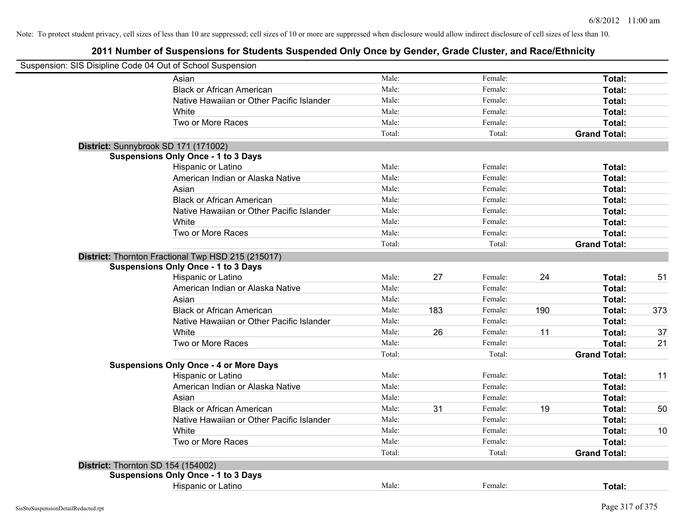| Suspension: SIS Disipline Code 04 Out of School Suspension |                                                    |        |     |         |     |                     |     |
|------------------------------------------------------------|----------------------------------------------------|--------|-----|---------|-----|---------------------|-----|
|                                                            | Asian                                              | Male:  |     | Female: |     | Total:              |     |
|                                                            | <b>Black or African American</b>                   | Male:  |     | Female: |     | Total:              |     |
|                                                            | Native Hawaiian or Other Pacific Islander          | Male:  |     | Female: |     | Total:              |     |
|                                                            | White                                              | Male:  |     | Female: |     | Total:              |     |
|                                                            | Two or More Races                                  | Male:  |     | Female: |     | Total:              |     |
|                                                            |                                                    | Total: |     | Total:  |     | <b>Grand Total:</b> |     |
|                                                            | District: Sunnybrook SD 171 (171002)               |        |     |         |     |                     |     |
|                                                            | <b>Suspensions Only Once - 1 to 3 Days</b>         |        |     |         |     |                     |     |
|                                                            | Hispanic or Latino                                 | Male:  |     | Female: |     | Total:              |     |
|                                                            | American Indian or Alaska Native                   | Male:  |     | Female: |     | Total:              |     |
|                                                            | Asian                                              | Male:  |     | Female: |     | Total:              |     |
|                                                            | <b>Black or African American</b>                   | Male:  |     | Female: |     | Total:              |     |
|                                                            | Native Hawaiian or Other Pacific Islander          | Male:  |     | Female: |     | Total:              |     |
|                                                            | White                                              | Male:  |     | Female: |     | Total:              |     |
|                                                            | Two or More Races                                  | Male:  |     | Female: |     | Total:              |     |
|                                                            |                                                    | Total: |     | Total:  |     | <b>Grand Total:</b> |     |
|                                                            | District: Thornton Fractional Twp HSD 215 (215017) |        |     |         |     |                     |     |
|                                                            | <b>Suspensions Only Once - 1 to 3 Days</b>         |        |     |         |     |                     |     |
|                                                            | Hispanic or Latino                                 | Male:  | 27  | Female: | 24  | Total:              | 51  |
|                                                            | American Indian or Alaska Native                   | Male:  |     | Female: |     | Total:              |     |
|                                                            | Asian                                              | Male:  |     | Female: |     | Total:              |     |
|                                                            | <b>Black or African American</b>                   | Male:  | 183 | Female: | 190 | Total:              | 373 |
|                                                            | Native Hawaiian or Other Pacific Islander          | Male:  |     | Female: |     | Total:              |     |
|                                                            | White                                              | Male:  | 26  | Female: | 11  | Total:              | 37  |
|                                                            | Two or More Races                                  | Male:  |     | Female: |     | Total:              | 21  |
|                                                            |                                                    | Total: |     | Total:  |     | <b>Grand Total:</b> |     |
|                                                            | <b>Suspensions Only Once - 4 or More Days</b>      |        |     |         |     |                     |     |
|                                                            | Hispanic or Latino                                 | Male:  |     | Female: |     | Total:              | 11  |
|                                                            | American Indian or Alaska Native                   | Male:  |     | Female: |     | Total:              |     |
|                                                            | Asian                                              | Male:  |     | Female: |     | Total:              |     |
|                                                            | <b>Black or African American</b>                   | Male:  | 31  | Female: | 19  | Total:              | 50  |
|                                                            | Native Hawaiian or Other Pacific Islander          | Male:  |     | Female: |     | Total:              |     |
|                                                            | White                                              | Male:  |     | Female: |     | Total:              | 10  |
|                                                            | Two or More Races                                  | Male:  |     | Female: |     | Total:              |     |
|                                                            |                                                    | Total: |     | Total:  |     | <b>Grand Total:</b> |     |
|                                                            | District: Thornton SD 154 (154002)                 |        |     |         |     |                     |     |
|                                                            | <b>Suspensions Only Once - 1 to 3 Days</b>         |        |     |         |     |                     |     |
|                                                            | Hispanic or Latino                                 | Male:  |     | Female: |     | Total:              |     |
|                                                            |                                                    |        |     |         |     |                     |     |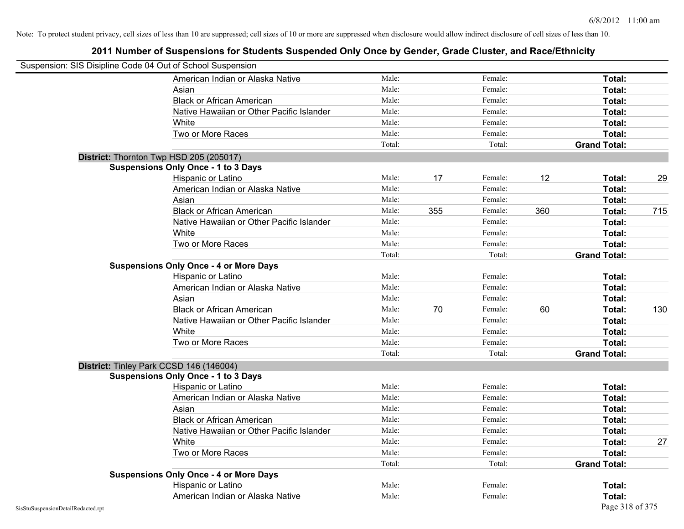|                                    | Suspension: SIS Disipline Code 04 Out of School Suspension |        |     |         |     |                     |     |
|------------------------------------|------------------------------------------------------------|--------|-----|---------|-----|---------------------|-----|
|                                    | American Indian or Alaska Native                           | Male:  |     | Female: |     | Total:              |     |
|                                    | Asian                                                      | Male:  |     | Female: |     | Total:              |     |
|                                    | <b>Black or African American</b>                           | Male:  |     | Female: |     | Total:              |     |
|                                    | Native Hawaiian or Other Pacific Islander                  | Male:  |     | Female: |     | Total:              |     |
|                                    | White                                                      | Male:  |     | Female: |     | Total:              |     |
|                                    | Two or More Races                                          | Male:  |     | Female: |     | Total:              |     |
|                                    |                                                            | Total: |     | Total:  |     | <b>Grand Total:</b> |     |
|                                    | District: Thornton Twp HSD 205 (205017)                    |        |     |         |     |                     |     |
|                                    | <b>Suspensions Only Once - 1 to 3 Days</b>                 |        |     |         |     |                     |     |
|                                    | Hispanic or Latino                                         | Male:  | 17  | Female: | 12  | Total:              | 29  |
|                                    | American Indian or Alaska Native                           | Male:  |     | Female: |     | Total:              |     |
|                                    | Asian                                                      | Male:  |     | Female: |     | Total:              |     |
|                                    | <b>Black or African American</b>                           | Male:  | 355 | Female: | 360 | Total:              | 715 |
|                                    | Native Hawaiian or Other Pacific Islander                  | Male:  |     | Female: |     | Total:              |     |
|                                    | White                                                      | Male:  |     | Female: |     | Total:              |     |
|                                    | Two or More Races                                          | Male:  |     | Female: |     | Total:              |     |
|                                    |                                                            | Total: |     | Total:  |     | <b>Grand Total:</b> |     |
|                                    | <b>Suspensions Only Once - 4 or More Days</b>              |        |     |         |     |                     |     |
|                                    | Hispanic or Latino                                         | Male:  |     | Female: |     | Total:              |     |
|                                    | American Indian or Alaska Native                           | Male:  |     | Female: |     | Total:              |     |
|                                    | Asian                                                      | Male:  |     | Female: |     | Total:              |     |
|                                    | <b>Black or African American</b>                           | Male:  | 70  | Female: | 60  | Total:              | 130 |
|                                    | Native Hawaiian or Other Pacific Islander                  | Male:  |     | Female: |     | Total:              |     |
|                                    | White                                                      | Male:  |     | Female: |     | Total:              |     |
|                                    | Two or More Races                                          | Male:  |     | Female: |     | Total:              |     |
|                                    |                                                            | Total: |     | Total:  |     | <b>Grand Total:</b> |     |
|                                    | District: Tinley Park CCSD 146 (146004)                    |        |     |         |     |                     |     |
|                                    | <b>Suspensions Only Once - 1 to 3 Days</b>                 |        |     |         |     |                     |     |
|                                    | Hispanic or Latino                                         | Male:  |     | Female: |     | Total:              |     |
|                                    | American Indian or Alaska Native                           | Male:  |     | Female: |     | Total:              |     |
|                                    | Asian                                                      | Male:  |     | Female: |     | Total:              |     |
|                                    | <b>Black or African American</b>                           | Male:  |     | Female: |     | Total:              |     |
|                                    | Native Hawaiian or Other Pacific Islander                  | Male:  |     | Female: |     | Total:              |     |
|                                    | White                                                      | Male:  |     | Female: |     | Total:              | 27  |
|                                    | Two or More Races                                          | Male:  |     | Female: |     | Total:              |     |
|                                    |                                                            | Total: |     | Total:  |     | <b>Grand Total:</b> |     |
|                                    | <b>Suspensions Only Once - 4 or More Days</b>              |        |     |         |     |                     |     |
|                                    | Hispanic or Latino                                         | Male:  |     | Female: |     | Total:              |     |
|                                    | American Indian or Alaska Native                           | Male:  |     | Female: |     | Total:              |     |
| SisStuSuspensionDetailRedacted.rpt |                                                            |        |     |         |     | Page 318 of 375     |     |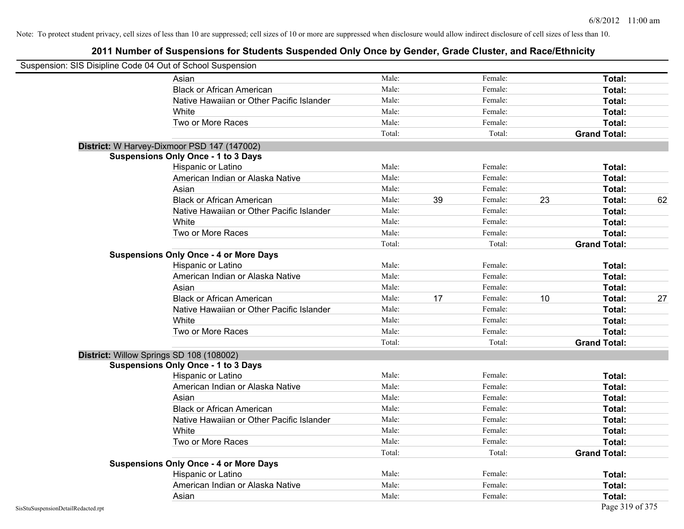|                                    | Suspension: SIS Disipline Code 04 Out of School Suspension |        |    |         |    |                     |    |
|------------------------------------|------------------------------------------------------------|--------|----|---------|----|---------------------|----|
|                                    | Asian                                                      | Male:  |    | Female: |    | Total:              |    |
|                                    | <b>Black or African American</b>                           | Male:  |    | Female: |    | Total:              |    |
|                                    | Native Hawaiian or Other Pacific Islander                  | Male:  |    | Female: |    | Total:              |    |
|                                    | White                                                      | Male:  |    | Female: |    | Total:              |    |
|                                    | Two or More Races                                          | Male:  |    | Female: |    | Total:              |    |
|                                    |                                                            | Total: |    | Total:  |    | <b>Grand Total:</b> |    |
|                                    | District: W Harvey-Dixmoor PSD 147 (147002)                |        |    |         |    |                     |    |
|                                    | <b>Suspensions Only Once - 1 to 3 Days</b>                 |        |    |         |    |                     |    |
|                                    | Hispanic or Latino                                         | Male:  |    | Female: |    | Total:              |    |
|                                    | American Indian or Alaska Native                           | Male:  |    | Female: |    | Total:              |    |
|                                    | Asian                                                      | Male:  |    | Female: |    | Total:              |    |
|                                    | <b>Black or African American</b>                           | Male:  | 39 | Female: | 23 | Total:              | 62 |
|                                    | Native Hawaiian or Other Pacific Islander                  | Male:  |    | Female: |    | <b>Total:</b>       |    |
|                                    | White                                                      | Male:  |    | Female: |    | <b>Total:</b>       |    |
|                                    | Two or More Races                                          | Male:  |    | Female: |    | Total:              |    |
|                                    |                                                            | Total: |    | Total:  |    | <b>Grand Total:</b> |    |
|                                    | <b>Suspensions Only Once - 4 or More Days</b>              |        |    |         |    |                     |    |
|                                    | Hispanic or Latino                                         | Male:  |    | Female: |    | Total:              |    |
|                                    | American Indian or Alaska Native                           | Male:  |    | Female: |    | Total:              |    |
|                                    | Asian                                                      | Male:  |    | Female: |    | Total:              |    |
|                                    | <b>Black or African American</b>                           | Male:  | 17 | Female: | 10 | Total:              | 27 |
|                                    | Native Hawaiian or Other Pacific Islander                  | Male:  |    | Female: |    | Total:              |    |
|                                    | White                                                      | Male:  |    | Female: |    | Total:              |    |
|                                    | Two or More Races                                          | Male:  |    | Female: |    | Total:              |    |
|                                    |                                                            | Total: |    | Total:  |    | <b>Grand Total:</b> |    |
|                                    | District: Willow Springs SD 108 (108002)                   |        |    |         |    |                     |    |
|                                    | <b>Suspensions Only Once - 1 to 3 Days</b>                 |        |    |         |    |                     |    |
|                                    | Hispanic or Latino                                         | Male:  |    | Female: |    | <b>Total:</b>       |    |
|                                    | American Indian or Alaska Native                           | Male:  |    | Female: |    | <b>Total:</b>       |    |
|                                    | Asian                                                      | Male:  |    | Female: |    | Total:              |    |
|                                    | <b>Black or African American</b>                           | Male:  |    | Female: |    | Total:              |    |
|                                    | Native Hawaiian or Other Pacific Islander                  | Male:  |    | Female: |    | Total:              |    |
|                                    | White                                                      | Male:  |    | Female: |    | <b>Total:</b>       |    |
|                                    | Two or More Races                                          | Male:  |    | Female: |    | <b>Total:</b>       |    |
|                                    |                                                            | Total: |    | Total:  |    | <b>Grand Total:</b> |    |
|                                    | <b>Suspensions Only Once - 4 or More Days</b>              |        |    |         |    |                     |    |
|                                    | Hispanic or Latino                                         | Male:  |    | Female: |    | Total:              |    |
|                                    | American Indian or Alaska Native                           | Male:  |    | Female: |    | Total:              |    |
|                                    | Asian                                                      | Male:  |    | Female: |    | <b>Total:</b>       |    |
| SisStuSuspensionDetailRedacted.rpt |                                                            |        |    |         |    | Page 319 of 375     |    |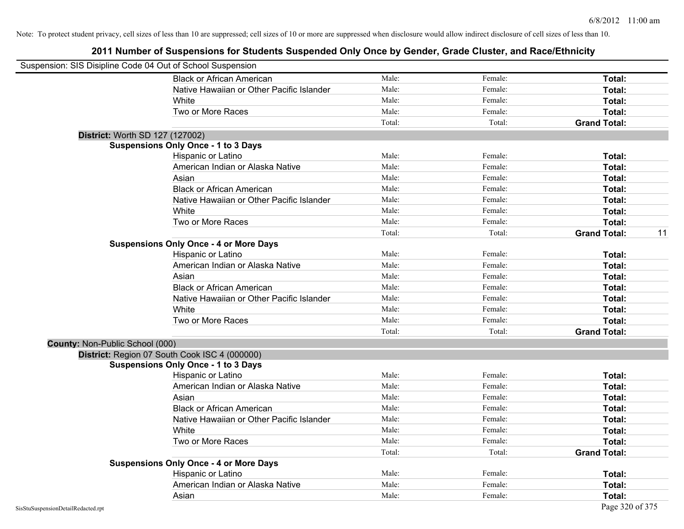| Suspension: SIS Disipline Code 04 Out of School Suspension |                                               |        |         |                     |    |
|------------------------------------------------------------|-----------------------------------------------|--------|---------|---------------------|----|
|                                                            | <b>Black or African American</b>              | Male:  | Female: | Total:              |    |
|                                                            | Native Hawaiian or Other Pacific Islander     | Male:  | Female: | Total:              |    |
|                                                            | White                                         | Male:  | Female: | Total:              |    |
|                                                            | Two or More Races                             | Male:  | Female: | Total:              |    |
|                                                            |                                               | Total: | Total:  | <b>Grand Total:</b> |    |
|                                                            | District: Worth SD 127 (127002)               |        |         |                     |    |
|                                                            | <b>Suspensions Only Once - 1 to 3 Days</b>    |        |         |                     |    |
|                                                            | Hispanic or Latino                            | Male:  | Female: | Total:              |    |
|                                                            | American Indian or Alaska Native              | Male:  | Female: | Total:              |    |
|                                                            | Asian                                         | Male:  | Female: | Total:              |    |
|                                                            | <b>Black or African American</b>              | Male:  | Female: | Total:              |    |
|                                                            | Native Hawaiian or Other Pacific Islander     | Male:  | Female: | Total:              |    |
|                                                            | White                                         | Male:  | Female: | Total:              |    |
|                                                            | Two or More Races                             | Male:  | Female: | Total:              |    |
|                                                            |                                               | Total: | Total:  | <b>Grand Total:</b> | 11 |
|                                                            | <b>Suspensions Only Once - 4 or More Days</b> |        |         |                     |    |
|                                                            | Hispanic or Latino                            | Male:  | Female: | Total:              |    |
|                                                            | American Indian or Alaska Native              | Male:  | Female: | Total:              |    |
|                                                            | Asian                                         | Male:  | Female: | Total:              |    |
|                                                            | <b>Black or African American</b>              | Male:  | Female: | Total:              |    |
|                                                            | Native Hawaiian or Other Pacific Islander     | Male:  | Female: | Total:              |    |
|                                                            | White                                         | Male:  | Female: | Total:              |    |
|                                                            | Two or More Races                             | Male:  | Female: | Total:              |    |
|                                                            |                                               | Total: | Total:  | <b>Grand Total:</b> |    |
| County: Non-Public School (000)                            |                                               |        |         |                     |    |
|                                                            | District: Region 07 South Cook ISC 4 (000000) |        |         |                     |    |
|                                                            | <b>Suspensions Only Once - 1 to 3 Days</b>    |        |         |                     |    |
|                                                            | Hispanic or Latino                            | Male:  | Female: | Total:              |    |
|                                                            | American Indian or Alaska Native              | Male:  | Female: | Total:              |    |
|                                                            | Asian                                         | Male:  | Female: | Total:              |    |
|                                                            | <b>Black or African American</b>              | Male:  | Female: | Total:              |    |
|                                                            | Native Hawaiian or Other Pacific Islander     | Male:  | Female: | Total:              |    |
|                                                            | White                                         | Male:  | Female: | Total:              |    |
|                                                            | Two or More Races                             | Male:  | Female: | Total:              |    |
|                                                            |                                               | Total: | Total:  | <b>Grand Total:</b> |    |
|                                                            | <b>Suspensions Only Once - 4 or More Days</b> |        |         |                     |    |
|                                                            | Hispanic or Latino                            | Male:  | Female: | Total:              |    |
|                                                            | American Indian or Alaska Native              | Male:  | Female: | Total:              |    |
|                                                            | Asian                                         | Male:  | Female: | Total:              |    |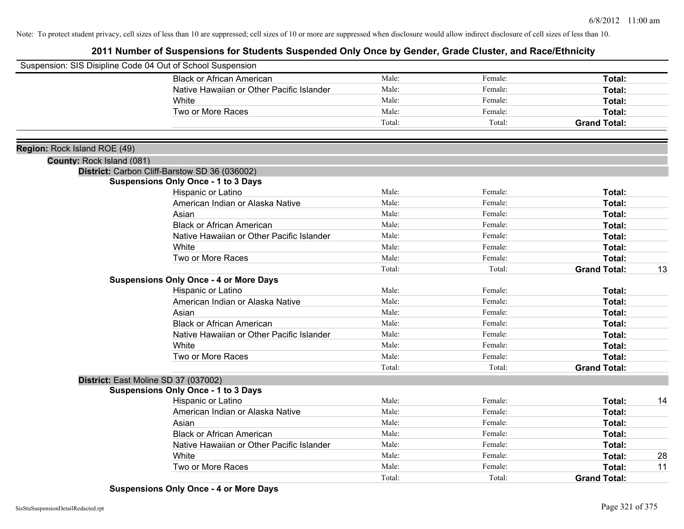|                              | Suspension: SIS Disipline Code 04 Out of School Suspension                                  |        |         |                     |    |
|------------------------------|---------------------------------------------------------------------------------------------|--------|---------|---------------------|----|
|                              | <b>Black or African American</b>                                                            | Male:  | Female: | Total:              |    |
|                              | Native Hawaiian or Other Pacific Islander                                                   | Male:  | Female: | Total:              |    |
|                              | White                                                                                       | Male:  | Female: | Total:              |    |
|                              | Two or More Races                                                                           | Male:  | Female: | <b>Total:</b>       |    |
|                              |                                                                                             | Total: | Total:  | <b>Grand Total:</b> |    |
|                              |                                                                                             |        |         |                     |    |
| Region: Rock Island ROE (49) |                                                                                             |        |         |                     |    |
| County: Rock Island (081)    |                                                                                             |        |         |                     |    |
|                              | District: Carbon Cliff-Barstow SD 36 (036002)<br><b>Suspensions Only Once - 1 to 3 Days</b> |        |         |                     |    |
|                              | Hispanic or Latino                                                                          | Male:  | Female: | Total:              |    |
|                              | American Indian or Alaska Native                                                            | Male:  | Female: | Total:              |    |
|                              | Asian                                                                                       | Male:  | Female: | Total:              |    |
|                              | <b>Black or African American</b>                                                            | Male:  | Female: | Total:              |    |
|                              | Native Hawaiian or Other Pacific Islander                                                   | Male:  | Female: | Total:              |    |
|                              | <b>White</b>                                                                                | Male:  | Female: | Total:              |    |
|                              | Two or More Races                                                                           | Male:  | Female: | Total:              |    |
|                              |                                                                                             | Total: | Total:  | <b>Grand Total:</b> | 13 |
|                              | <b>Suspensions Only Once - 4 or More Days</b>                                               |        |         |                     |    |
|                              | <b>Hispanic or Latino</b>                                                                   | Male:  | Female: | Total:              |    |
|                              | American Indian or Alaska Native                                                            | Male:  | Female: | Total:              |    |
|                              | Asian                                                                                       | Male:  | Female: | Total:              |    |
|                              | <b>Black or African American</b>                                                            | Male:  | Female: | Total:              |    |
|                              | Native Hawaiian or Other Pacific Islander                                                   | Male:  | Female: | Total:              |    |
|                              | White                                                                                       | Male:  | Female: | Total:              |    |
|                              | Two or More Races                                                                           | Male:  | Female: | Total:              |    |
|                              |                                                                                             | Total: | Total:  | <b>Grand Total:</b> |    |
|                              | District: East Moline SD 37 (037002)                                                        |        |         |                     |    |
|                              | <b>Suspensions Only Once - 1 to 3 Days</b>                                                  |        |         |                     |    |
|                              | Hispanic or Latino                                                                          | Male:  | Female: | <b>Total:</b>       | 14 |
|                              | American Indian or Alaska Native                                                            | Male:  | Female: | <b>Total:</b>       |    |
|                              | Asian                                                                                       | Male:  | Female: | <b>Total:</b>       |    |
|                              | <b>Black or African American</b>                                                            | Male:  | Female: | Total:              |    |
|                              | Native Hawaiian or Other Pacific Islander                                                   | Male:  | Female: | Total:              |    |
|                              | White                                                                                       | Male:  | Female: | <b>Total:</b>       | 28 |
|                              | Two or More Races                                                                           | Male:  | Female: | <b>Total:</b>       | 11 |
|                              |                                                                                             | Total: | Total:  | <b>Grand Total:</b> |    |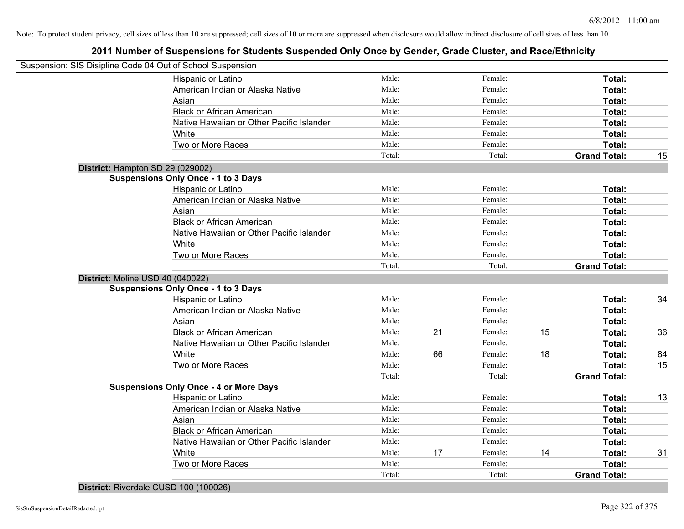## **2011 Number of Suspensions for Students Suspended Only Once by Gender, Grade Cluster, and Race/Ethnicity**

| Suspension: SIS Disipline Code 04 Out of School Suspension |        |    |         |    |                     |    |
|------------------------------------------------------------|--------|----|---------|----|---------------------|----|
| Hispanic or Latino                                         | Male:  |    | Female: |    | Total:              |    |
| American Indian or Alaska Native                           | Male:  |    | Female: |    | Total:              |    |
| Asian                                                      | Male:  |    | Female: |    | Total:              |    |
| <b>Black or African American</b>                           | Male:  |    | Female: |    | Total:              |    |
| Native Hawaiian or Other Pacific Islander                  | Male:  |    | Female: |    | Total:              |    |
| White                                                      | Male:  |    | Female: |    | Total:              |    |
| Two or More Races                                          | Male:  |    | Female: |    | Total:              |    |
|                                                            | Total: |    | Total:  |    | <b>Grand Total:</b> | 15 |
| District: Hampton SD 29 (029002)                           |        |    |         |    |                     |    |
| <b>Suspensions Only Once - 1 to 3 Days</b>                 |        |    |         |    |                     |    |
| Hispanic or Latino                                         | Male:  |    | Female: |    | Total:              |    |
| American Indian or Alaska Native                           | Male:  |    | Female: |    | Total:              |    |
| Asian                                                      | Male:  |    | Female: |    | Total:              |    |
| <b>Black or African American</b>                           | Male:  |    | Female: |    | Total:              |    |
| Native Hawaiian or Other Pacific Islander                  | Male:  |    | Female: |    | Total:              |    |
| White                                                      | Male:  |    | Female: |    | Total:              |    |
| Two or More Races                                          | Male:  |    | Female: |    | Total:              |    |
|                                                            | Total: |    | Total:  |    | <b>Grand Total:</b> |    |
| District: Moline USD 40 (040022)                           |        |    |         |    |                     |    |
| <b>Suspensions Only Once - 1 to 3 Days</b>                 |        |    |         |    |                     |    |
| Hispanic or Latino                                         | Male:  |    | Female: |    | Total:              | 34 |
| American Indian or Alaska Native                           | Male:  |    | Female: |    | Total:              |    |
| Asian                                                      | Male:  |    | Female: |    | Total:              |    |
| <b>Black or African American</b>                           | Male:  | 21 | Female: | 15 | Total:              | 36 |
| Native Hawaiian or Other Pacific Islander                  | Male:  |    | Female: |    | Total:              |    |
| White                                                      | Male:  | 66 | Female: | 18 | Total:              | 84 |
| Two or More Races                                          | Male:  |    | Female: |    | <b>Total:</b>       | 15 |
|                                                            | Total: |    | Total:  |    | <b>Grand Total:</b> |    |
| <b>Suspensions Only Once - 4 or More Days</b>              |        |    |         |    |                     |    |
| Hispanic or Latino                                         | Male:  |    | Female: |    | Total:              | 13 |
| American Indian or Alaska Native                           | Male:  |    | Female: |    | Total:              |    |
| Asian                                                      | Male:  |    | Female: |    | Total:              |    |
| <b>Black or African American</b>                           | Male:  |    | Female: |    | Total:              |    |
| Native Hawaiian or Other Pacific Islander                  | Male:  |    | Female: |    | Total:              |    |
| White                                                      | Male:  | 17 | Female: | 14 | Total:              | 31 |
| Two or More Races                                          | Male:  |    | Female: |    | Total:              |    |
|                                                            | Total: |    | Total:  |    | <b>Grand Total:</b> |    |
|                                                            |        |    |         |    |                     |    |

**District:** Riverdale CUSD 100 (100026)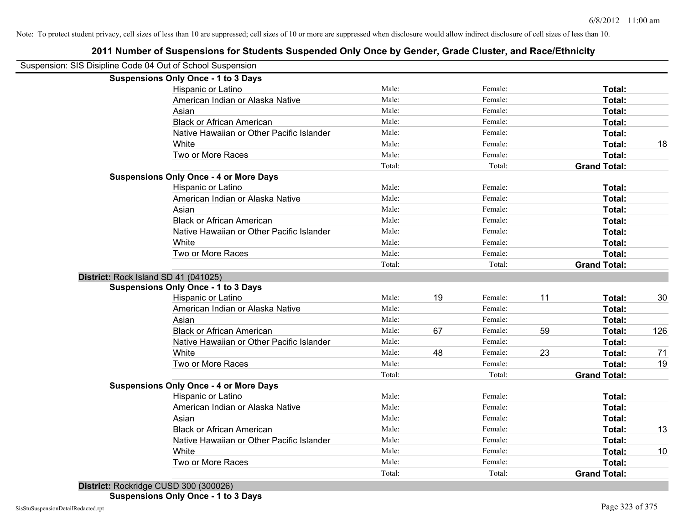# **2011 Number of Suspensions for Students Suspended Only Once by Gender, Grade Cluster, and Race/Ethnicity** Suspension: SIS Disipline Code 04 Out of School Suspension

| <b>Suspensions Only Once - 1 to 3 Days</b>    |        |    |         |    |                     |     |
|-----------------------------------------------|--------|----|---------|----|---------------------|-----|
| Hispanic or Latino                            | Male:  |    | Female: |    | Total:              |     |
| American Indian or Alaska Native              | Male:  |    | Female: |    | Total:              |     |
| Asian                                         | Male:  |    | Female: |    | Total:              |     |
| <b>Black or African American</b>              | Male:  |    | Female: |    | Total:              |     |
| Native Hawaiian or Other Pacific Islander     | Male:  |    | Female: |    | Total:              |     |
| White                                         | Male:  |    | Female: |    | Total:              | 18  |
| Two or More Races                             | Male:  |    | Female: |    | Total:              |     |
|                                               | Total: |    | Total:  |    | <b>Grand Total:</b> |     |
| <b>Suspensions Only Once - 4 or More Days</b> |        |    |         |    |                     |     |
| Hispanic or Latino                            | Male:  |    | Female: |    | Total:              |     |
| American Indian or Alaska Native              | Male:  |    | Female: |    | Total:              |     |
| Asian                                         | Male:  |    | Female: |    | Total:              |     |
| <b>Black or African American</b>              | Male:  |    | Female: |    | Total:              |     |
| Native Hawaiian or Other Pacific Islander     | Male:  |    | Female: |    | Total:              |     |
| White                                         | Male:  |    | Female: |    | Total:              |     |
| Two or More Races                             | Male:  |    | Female: |    | Total:              |     |
|                                               | Total: |    | Total:  |    | <b>Grand Total:</b> |     |
| District: Rock Island SD 41 (041025)          |        |    |         |    |                     |     |
| <b>Suspensions Only Once - 1 to 3 Days</b>    |        |    |         |    |                     |     |
| Hispanic or Latino                            | Male:  | 19 | Female: | 11 | Total:              | 30  |
| American Indian or Alaska Native              | Male:  |    | Female: |    | Total:              |     |
| Asian                                         | Male:  |    | Female: |    | Total:              |     |
| <b>Black or African American</b>              | Male:  | 67 | Female: | 59 | Total:              | 126 |
| Native Hawaiian or Other Pacific Islander     | Male:  |    | Female: |    | Total:              |     |
| White                                         | Male:  | 48 | Female: | 23 | Total:              | 71  |
| Two or More Races                             | Male:  |    | Female: |    | Total:              | 19  |
|                                               | Total: |    | Total:  |    | <b>Grand Total:</b> |     |
| <b>Suspensions Only Once - 4 or More Days</b> |        |    |         |    |                     |     |
| Hispanic or Latino                            | Male:  |    | Female: |    | Total:              |     |
| American Indian or Alaska Native              | Male:  |    | Female: |    | Total:              |     |
| Asian                                         | Male:  |    | Female: |    | Total:              |     |
| <b>Black or African American</b>              | Male:  |    | Female: |    | Total:              | 13  |
| Native Hawaiian or Other Pacific Islander     | Male:  |    | Female: |    | Total:              |     |
| White                                         | Male:  |    | Female: |    | Total:              | 10  |
| Two or More Races                             | Male:  |    | Female: |    | Total:              |     |
|                                               | Total: |    | Total:  |    | <b>Grand Total:</b> |     |
|                                               |        |    |         |    |                     |     |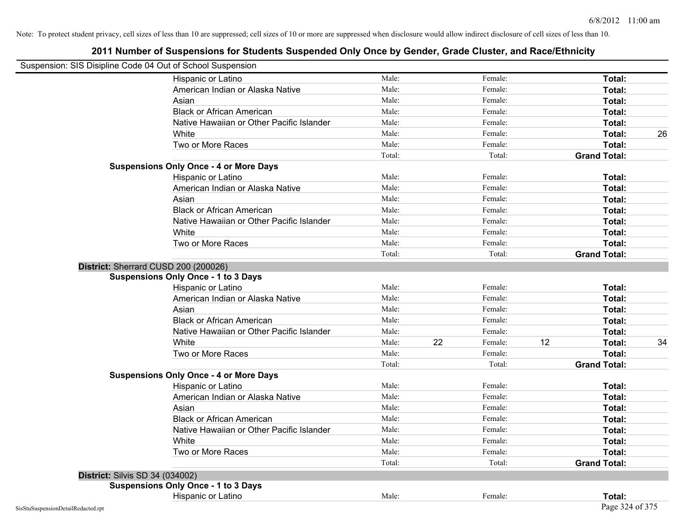| Suspension: SIS Disipline Code 04 Out of School Suspension |                                               |        |    |         |    |                     |    |
|------------------------------------------------------------|-----------------------------------------------|--------|----|---------|----|---------------------|----|
|                                                            | Hispanic or Latino                            | Male:  |    | Female: |    | <b>Total:</b>       |    |
|                                                            | American Indian or Alaska Native              | Male:  |    | Female: |    | Total:              |    |
|                                                            | Asian                                         | Male:  |    | Female: |    | Total:              |    |
|                                                            | <b>Black or African American</b>              | Male:  |    | Female: |    | Total:              |    |
|                                                            | Native Hawaiian or Other Pacific Islander     | Male:  |    | Female: |    | Total:              |    |
|                                                            | White                                         | Male:  |    | Female: |    | Total:              | 26 |
|                                                            | Two or More Races                             | Male:  |    | Female: |    | Total:              |    |
|                                                            |                                               | Total: |    | Total:  |    | <b>Grand Total:</b> |    |
|                                                            | <b>Suspensions Only Once - 4 or More Days</b> |        |    |         |    |                     |    |
|                                                            | Hispanic or Latino                            | Male:  |    | Female: |    | Total:              |    |
|                                                            | American Indian or Alaska Native              | Male:  |    | Female: |    | Total:              |    |
|                                                            | Asian                                         | Male:  |    | Female: |    | Total:              |    |
|                                                            | <b>Black or African American</b>              | Male:  |    | Female: |    | Total:              |    |
|                                                            | Native Hawaiian or Other Pacific Islander     | Male:  |    | Female: |    | Total:              |    |
|                                                            | White                                         | Male:  |    | Female: |    | Total:              |    |
|                                                            | Two or More Races                             | Male:  |    | Female: |    | Total:              |    |
|                                                            |                                               | Total: |    | Total:  |    | <b>Grand Total:</b> |    |
|                                                            | District: Sherrard CUSD 200 (200026)          |        |    |         |    |                     |    |
|                                                            | <b>Suspensions Only Once - 1 to 3 Days</b>    |        |    |         |    |                     |    |
|                                                            | Hispanic or Latino                            | Male:  |    | Female: |    | Total:              |    |
|                                                            | American Indian or Alaska Native              | Male:  |    | Female: |    | Total:              |    |
|                                                            | Asian                                         | Male:  |    | Female: |    | Total:              |    |
|                                                            | <b>Black or African American</b>              | Male:  |    | Female: |    | Total:              |    |
|                                                            | Native Hawaiian or Other Pacific Islander     | Male:  |    | Female: |    | Total:              |    |
|                                                            | White                                         | Male:  | 22 | Female: | 12 | Total:              | 34 |
|                                                            | Two or More Races                             | Male:  |    | Female: |    | Total:              |    |
|                                                            |                                               | Total: |    | Total:  |    | <b>Grand Total:</b> |    |
|                                                            | <b>Suspensions Only Once - 4 or More Days</b> |        |    |         |    |                     |    |
|                                                            | Hispanic or Latino                            | Male:  |    | Female: |    | Total:              |    |
|                                                            | American Indian or Alaska Native              | Male:  |    | Female: |    | Total:              |    |
|                                                            | Asian                                         | Male:  |    | Female: |    | Total:              |    |
|                                                            | <b>Black or African American</b>              | Male:  |    | Female: |    | Total:              |    |
|                                                            | Native Hawaiian or Other Pacific Islander     | Male:  |    | Female: |    | Total:              |    |
|                                                            | White                                         | Male:  |    | Female: |    | Total:              |    |
|                                                            | Two or More Races                             | Male:  |    | Female: |    | Total:              |    |
|                                                            |                                               | Total: |    | Total:  |    | <b>Grand Total:</b> |    |
| <b>District: Silvis SD 34 (034002)</b>                     |                                               |        |    |         |    |                     |    |
|                                                            | <b>Suspensions Only Once - 1 to 3 Days</b>    |        |    |         |    |                     |    |
|                                                            | Hispanic or Latino                            | Male:  |    | Female: |    | Total:              |    |
| SisStuSuspensionDetailRedacted.rpt                         |                                               |        |    |         |    | Page 324 of 375     |    |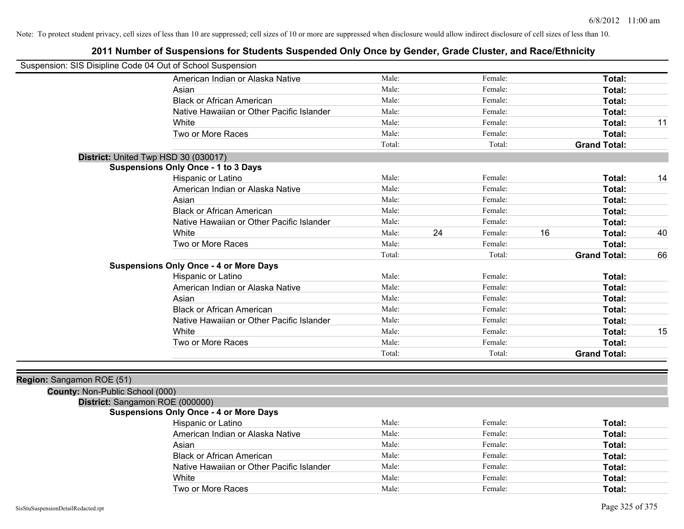| Suspension: SIS Disipline Code 04 Out of School Suspension |                                               |        |    |         |    |                     |    |
|------------------------------------------------------------|-----------------------------------------------|--------|----|---------|----|---------------------|----|
|                                                            | American Indian or Alaska Native              | Male:  |    | Female: |    | Total:              |    |
|                                                            | Asian                                         | Male:  |    | Female: |    | Total:              |    |
|                                                            | <b>Black or African American</b>              | Male:  |    | Female: |    | Total:              |    |
|                                                            | Native Hawaiian or Other Pacific Islander     | Male:  |    | Female: |    | Total:              |    |
|                                                            | White                                         | Male:  |    | Female: |    | Total:              | 11 |
|                                                            | Two or More Races                             | Male:  |    | Female: |    | Total:              |    |
|                                                            |                                               | Total: |    | Total:  |    | <b>Grand Total:</b> |    |
|                                                            | District: United Twp HSD 30 (030017)          |        |    |         |    |                     |    |
|                                                            | <b>Suspensions Only Once - 1 to 3 Days</b>    |        |    |         |    |                     |    |
|                                                            | Hispanic or Latino                            | Male:  |    | Female: |    | Total:              | 14 |
|                                                            | American Indian or Alaska Native              | Male:  |    | Female: |    | Total:              |    |
|                                                            | Asian                                         | Male:  |    | Female: |    | Total:              |    |
|                                                            | <b>Black or African American</b>              | Male:  |    | Female: |    | Total:              |    |
|                                                            | Native Hawaiian or Other Pacific Islander     | Male:  |    | Female: |    | Total:              |    |
|                                                            | White                                         | Male:  | 24 | Female: | 16 | Total:              | 40 |
|                                                            | Two or More Races                             | Male:  |    | Female: |    | Total:              |    |
|                                                            |                                               | Total: |    | Total:  |    | <b>Grand Total:</b> | 66 |
|                                                            | <b>Suspensions Only Once - 4 or More Days</b> |        |    |         |    |                     |    |
|                                                            | Hispanic or Latino                            | Male:  |    | Female: |    | Total:              |    |
|                                                            | American Indian or Alaska Native              | Male:  |    | Female: |    | Total:              |    |
|                                                            | Asian                                         | Male:  |    | Female: |    | Total:              |    |
|                                                            | <b>Black or African American</b>              | Male:  |    | Female: |    | Total:              |    |
|                                                            | Native Hawaiian or Other Pacific Islander     | Male:  |    | Female: |    | Total:              |    |
|                                                            | White                                         | Male:  |    | Female: |    | Total:              | 15 |
|                                                            | Two or More Races                             | Male:  |    | Female: |    | Total:              |    |
|                                                            |                                               | Total: |    | Total:  |    | <b>Grand Total:</b> |    |
|                                                            |                                               |        |    |         |    |                     |    |
| Region: Sangamon ROE (51)                                  |                                               |        |    |         |    |                     |    |
| County: Non-Public School (000)                            |                                               |        |    |         |    |                     |    |
| District: Sangamon ROE (000000)                            |                                               |        |    |         |    |                     |    |
|                                                            | <b>Suspensions Only Once - 4 or More Days</b> |        |    |         |    |                     |    |
|                                                            | Hispanic or Latino                            | Male:  |    | Female: |    | Total:              |    |
|                                                            | American Indian or Alaska Native              | Male:  |    | Female: |    | Total:              |    |

| Hispanic or Latino                        | Male: | Female: | l otal: |
|-------------------------------------------|-------|---------|---------|
| American Indian or Alaska Native          | Male: | Female: | Total:  |
| Asian                                     | Male: | Female: | Total:  |
| <b>Black or African American</b>          | Male: | Female: | Total:  |
| Native Hawaiian or Other Pacific Islander | Male: | Female: | Total:  |
| White                                     | Male: | Female: | Total:  |
| Two or More Races                         | Male: | Female: | Total:  |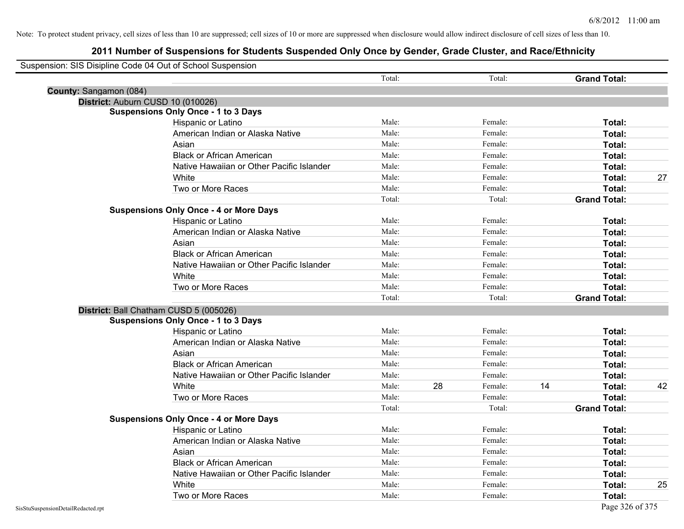|                        | Suspension: SIS Disipline Code 04 Out of School Suspension |        |    |         |    |                     |    |
|------------------------|------------------------------------------------------------|--------|----|---------|----|---------------------|----|
|                        |                                                            | Total: |    | Total:  |    | <b>Grand Total:</b> |    |
| County: Sangamon (084) |                                                            |        |    |         |    |                     |    |
|                        | District: Auburn CUSD 10 (010026)                          |        |    |         |    |                     |    |
|                        | <b>Suspensions Only Once - 1 to 3 Days</b>                 |        |    |         |    |                     |    |
|                        | Hispanic or Latino                                         | Male:  |    | Female: |    | Total:              |    |
|                        | American Indian or Alaska Native                           | Male:  |    | Female: |    | Total:              |    |
|                        | Asian                                                      | Male:  |    | Female: |    | Total:              |    |
|                        | <b>Black or African American</b>                           | Male:  |    | Female: |    | Total:              |    |
|                        | Native Hawaiian or Other Pacific Islander                  | Male:  |    | Female: |    | Total:              |    |
|                        | White                                                      | Male:  |    | Female: |    | Total:              | 27 |
|                        | Two or More Races                                          | Male:  |    | Female: |    | Total:              |    |
|                        |                                                            | Total: |    | Total:  |    | <b>Grand Total:</b> |    |
|                        | <b>Suspensions Only Once - 4 or More Days</b>              |        |    |         |    |                     |    |
|                        | Hispanic or Latino                                         | Male:  |    | Female: |    | Total:              |    |
|                        | American Indian or Alaska Native                           | Male:  |    | Female: |    | Total:              |    |
|                        | Asian                                                      | Male:  |    | Female: |    | Total:              |    |
|                        | <b>Black or African American</b>                           | Male:  |    | Female: |    | Total:              |    |
|                        | Native Hawaiian or Other Pacific Islander                  | Male:  |    | Female: |    | Total:              |    |
|                        | White                                                      | Male:  |    | Female: |    | Total:              |    |
|                        | Two or More Races                                          | Male:  |    | Female: |    | Total:              |    |
|                        |                                                            | Total: |    | Total:  |    | <b>Grand Total:</b> |    |
|                        | District: Ball Chatham CUSD 5 (005026)                     |        |    |         |    |                     |    |
|                        | <b>Suspensions Only Once - 1 to 3 Days</b>                 |        |    |         |    |                     |    |
|                        | Hispanic or Latino                                         | Male:  |    | Female: |    | Total:              |    |
|                        | American Indian or Alaska Native                           | Male:  |    | Female: |    | Total:              |    |
|                        | Asian                                                      | Male:  |    | Female: |    | Total:              |    |
|                        | <b>Black or African American</b>                           | Male:  |    | Female: |    | Total:              |    |
|                        | Native Hawaiian or Other Pacific Islander                  | Male:  |    | Female: |    | Total:              |    |
|                        | White                                                      | Male:  | 28 | Female: | 14 | Total:              | 42 |
|                        | Two or More Races                                          | Male:  |    | Female: |    | Total:              |    |
|                        |                                                            | Total: |    | Total:  |    | <b>Grand Total:</b> |    |
|                        | <b>Suspensions Only Once - 4 or More Days</b>              |        |    |         |    |                     |    |
|                        | Hispanic or Latino                                         | Male:  |    | Female: |    | Total:              |    |
|                        | American Indian or Alaska Native                           | Male:  |    | Female: |    | Total:              |    |
|                        | Asian                                                      | Male:  |    | Female: |    | Total:              |    |
|                        | <b>Black or African American</b>                           | Male:  |    | Female: |    | Total:              |    |
|                        | Native Hawaiian or Other Pacific Islander                  | Male:  |    | Female: |    | Total:              |    |
|                        | White                                                      | Male:  |    | Female: |    | Total:              | 25 |
|                        | Two or More Races                                          | Male:  |    | Female: |    | Total:              |    |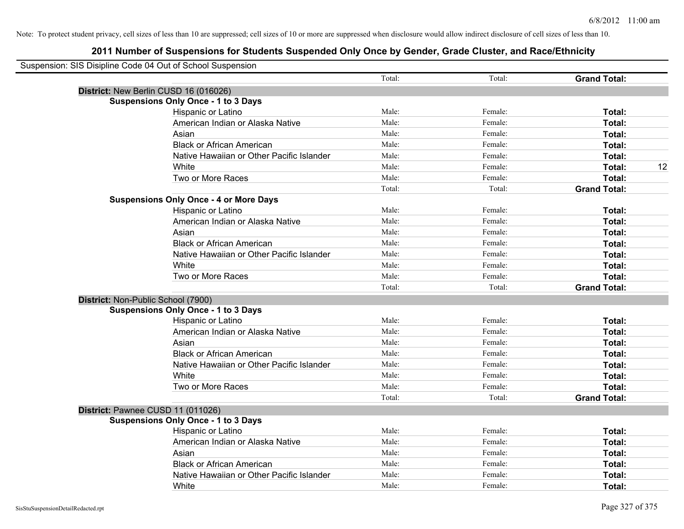| Suspension: SIS Disipline Code 04 Out of School Suspension |                                               |        |         |                     |    |
|------------------------------------------------------------|-----------------------------------------------|--------|---------|---------------------|----|
|                                                            |                                               | Total: | Total:  | <b>Grand Total:</b> |    |
|                                                            | District: New Berlin CUSD 16 (016026)         |        |         |                     |    |
|                                                            | <b>Suspensions Only Once - 1 to 3 Days</b>    |        |         |                     |    |
|                                                            | Hispanic or Latino                            | Male:  | Female: | Total:              |    |
|                                                            | American Indian or Alaska Native              | Male:  | Female: | Total:              |    |
|                                                            | Asian                                         | Male:  | Female: | Total:              |    |
|                                                            | <b>Black or African American</b>              | Male:  | Female: | Total:              |    |
|                                                            | Native Hawaiian or Other Pacific Islander     | Male:  | Female: | Total:              |    |
|                                                            | White                                         | Male:  | Female: | Total:              | 12 |
|                                                            | Two or More Races                             | Male:  | Female: | Total:              |    |
|                                                            |                                               | Total: | Total:  | <b>Grand Total:</b> |    |
|                                                            | <b>Suspensions Only Once - 4 or More Days</b> |        |         |                     |    |
|                                                            | Hispanic or Latino                            | Male:  | Female: | Total:              |    |
|                                                            | American Indian or Alaska Native              | Male:  | Female: | Total:              |    |
|                                                            | Asian                                         | Male:  | Female: | Total:              |    |
|                                                            | <b>Black or African American</b>              | Male:  | Female: | Total:              |    |
|                                                            | Native Hawaiian or Other Pacific Islander     | Male:  | Female: | Total:              |    |
|                                                            | White                                         | Male:  | Female: | Total:              |    |
|                                                            | Two or More Races                             | Male:  | Female: | Total:              |    |
|                                                            |                                               | Total: | Total:  | <b>Grand Total:</b> |    |
|                                                            | District: Non-Public School (7900)            |        |         |                     |    |
|                                                            | <b>Suspensions Only Once - 1 to 3 Days</b>    |        |         |                     |    |
|                                                            | Hispanic or Latino                            | Male:  | Female: | Total:              |    |
|                                                            | American Indian or Alaska Native              | Male:  | Female: | Total:              |    |
|                                                            | Asian                                         | Male:  | Female: | Total:              |    |
|                                                            | <b>Black or African American</b>              | Male:  | Female: | Total:              |    |
|                                                            | Native Hawaiian or Other Pacific Islander     | Male:  | Female: | Total:              |    |
|                                                            | White                                         | Male:  | Female: | Total:              |    |
|                                                            | Two or More Races                             | Male:  | Female: | Total:              |    |
|                                                            |                                               | Total: | Total:  | <b>Grand Total:</b> |    |
|                                                            | District: Pawnee CUSD 11 (011026)             |        |         |                     |    |
|                                                            | <b>Suspensions Only Once - 1 to 3 Days</b>    |        |         |                     |    |
|                                                            | Hispanic or Latino                            | Male:  | Female: | Total:              |    |
|                                                            | American Indian or Alaska Native              | Male:  | Female: | Total:              |    |
|                                                            | Asian                                         | Male:  | Female: | Total:              |    |
|                                                            | <b>Black or African American</b>              | Male:  | Female: | Total:              |    |
|                                                            | Native Hawaiian or Other Pacific Islander     | Male:  | Female: | Total:              |    |
|                                                            | White                                         | Male:  | Female: | Total:              |    |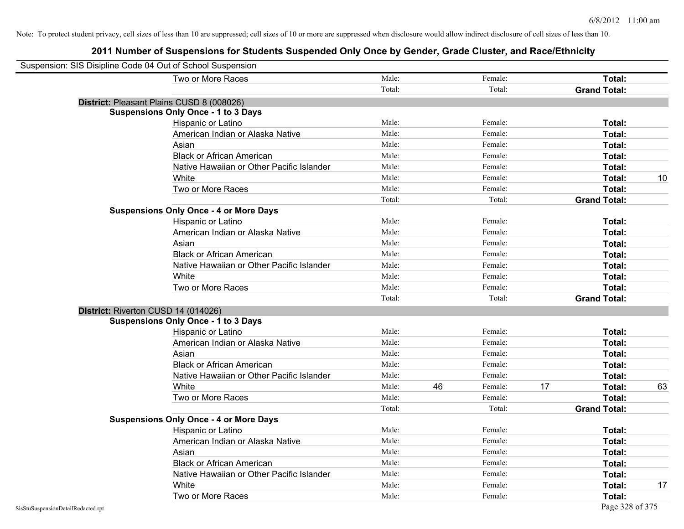| Suspension: SIS Disipline Code 04 Out of School Suspension |        |    |         |    |                     |    |
|------------------------------------------------------------|--------|----|---------|----|---------------------|----|
| Two or More Races                                          | Male:  |    | Female: |    | Total:              |    |
|                                                            | Total: |    | Total:  |    | <b>Grand Total:</b> |    |
| District: Pleasant Plains CUSD 8 (008026)                  |        |    |         |    |                     |    |
| <b>Suspensions Only Once - 1 to 3 Days</b>                 |        |    |         |    |                     |    |
| Hispanic or Latino                                         | Male:  |    | Female: |    | Total:              |    |
| American Indian or Alaska Native                           | Male:  |    | Female: |    | Total:              |    |
| Asian                                                      | Male:  |    | Female: |    | Total:              |    |
| <b>Black or African American</b>                           | Male:  |    | Female: |    | Total:              |    |
| Native Hawaiian or Other Pacific Islander                  | Male:  |    | Female: |    | Total:              |    |
| White                                                      | Male:  |    | Female: |    | Total:              | 10 |
| Two or More Races                                          | Male:  |    | Female: |    | Total:              |    |
|                                                            | Total: |    | Total:  |    | <b>Grand Total:</b> |    |
| <b>Suspensions Only Once - 4 or More Days</b>              |        |    |         |    |                     |    |
| Hispanic or Latino                                         | Male:  |    | Female: |    | Total:              |    |
| American Indian or Alaska Native                           | Male:  |    | Female: |    | Total:              |    |
| Asian                                                      | Male:  |    | Female: |    | Total:              |    |
| <b>Black or African American</b>                           | Male:  |    | Female: |    | Total:              |    |
| Native Hawaiian or Other Pacific Islander                  | Male:  |    | Female: |    | Total:              |    |
| White                                                      | Male:  |    | Female: |    | Total:              |    |
| Two or More Races                                          | Male:  |    | Female: |    | Total:              |    |
|                                                            | Total: |    | Total:  |    | <b>Grand Total:</b> |    |
| District: Riverton CUSD 14 (014026)                        |        |    |         |    |                     |    |
| <b>Suspensions Only Once - 1 to 3 Days</b>                 |        |    |         |    |                     |    |
| Hispanic or Latino                                         | Male:  |    | Female: |    | Total:              |    |
| American Indian or Alaska Native                           | Male:  |    | Female: |    | Total:              |    |
| Asian                                                      | Male:  |    | Female: |    | Total:              |    |
| <b>Black or African American</b>                           | Male:  |    | Female: |    | Total:              |    |
| Native Hawaiian or Other Pacific Islander                  | Male:  |    | Female: |    | Total:              |    |
| White                                                      | Male:  | 46 | Female: | 17 | Total:              | 63 |
| Two or More Races                                          | Male:  |    | Female: |    | Total:              |    |
|                                                            | Total: |    | Total:  |    | <b>Grand Total:</b> |    |
| <b>Suspensions Only Once - 4 or More Days</b>              |        |    |         |    |                     |    |
| Hispanic or Latino                                         | Male:  |    | Female: |    | Total:              |    |
| American Indian or Alaska Native                           | Male:  |    | Female: |    | Total:              |    |
| Asian                                                      | Male:  |    | Female: |    | Total:              |    |
| <b>Black or African American</b>                           | Male:  |    | Female: |    | Total:              |    |
| Native Hawaiian or Other Pacific Islander                  | Male:  |    | Female: |    | Total:              |    |
| White                                                      | Male:  |    | Female: |    | Total:              | 17 |
| Two or More Races                                          | Male:  |    | Female: |    | Total:              |    |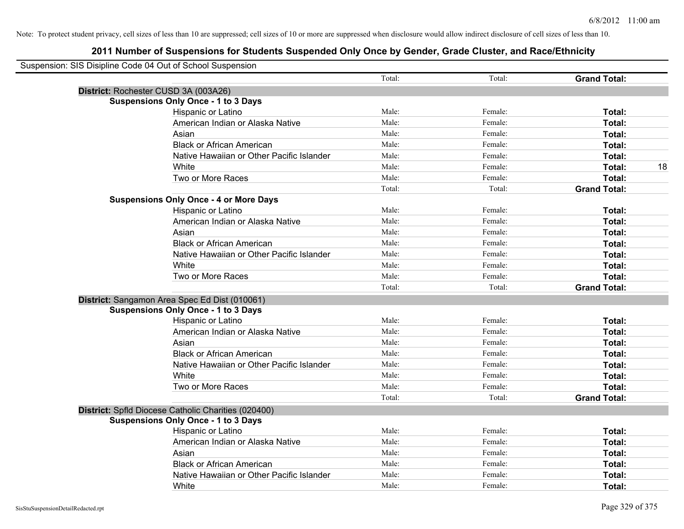| Suspension: SIS Disipline Code 04 Out of School Suspension |                                                     |        |         |                     |
|------------------------------------------------------------|-----------------------------------------------------|--------|---------|---------------------|
|                                                            |                                                     | Total: | Total:  | <b>Grand Total:</b> |
|                                                            | District: Rochester CUSD 3A (003A26)                |        |         |                     |
|                                                            | <b>Suspensions Only Once - 1 to 3 Days</b>          |        |         |                     |
|                                                            | Hispanic or Latino                                  | Male:  | Female: | Total:              |
|                                                            | American Indian or Alaska Native                    | Male:  | Female: | Total:              |
|                                                            | Asian                                               | Male:  | Female: | Total:              |
|                                                            | <b>Black or African American</b>                    | Male:  | Female: | Total:              |
|                                                            | Native Hawaiian or Other Pacific Islander           | Male:  | Female: | Total:              |
|                                                            | White                                               | Male:  | Female: | 18<br>Total:        |
|                                                            | Two or More Races                                   | Male:  | Female: | Total:              |
|                                                            |                                                     | Total: | Total:  | <b>Grand Total:</b> |
|                                                            | <b>Suspensions Only Once - 4 or More Days</b>       |        |         |                     |
|                                                            | Hispanic or Latino                                  | Male:  | Female: | Total:              |
|                                                            | American Indian or Alaska Native                    | Male:  | Female: | Total:              |
|                                                            | Asian                                               | Male:  | Female: | Total:              |
|                                                            | <b>Black or African American</b>                    | Male:  | Female: | Total:              |
|                                                            | Native Hawaiian or Other Pacific Islander           | Male:  | Female: | Total:              |
|                                                            | White                                               | Male:  | Female: | Total:              |
|                                                            | Two or More Races                                   | Male:  | Female: | Total:              |
|                                                            |                                                     | Total: | Total:  | <b>Grand Total:</b> |
|                                                            | District: Sangamon Area Spec Ed Dist (010061)       |        |         |                     |
|                                                            | <b>Suspensions Only Once - 1 to 3 Days</b>          |        |         |                     |
|                                                            | Hispanic or Latino                                  | Male:  | Female: | Total:              |
|                                                            | American Indian or Alaska Native                    | Male:  | Female: | Total:              |
|                                                            | Asian                                               | Male:  | Female: | Total:              |
|                                                            | <b>Black or African American</b>                    | Male:  | Female: | Total:              |
|                                                            | Native Hawaiian or Other Pacific Islander           | Male:  | Female: | Total:              |
|                                                            | White                                               | Male:  | Female: | Total:              |
|                                                            | Two or More Races                                   | Male:  | Female: | Total:              |
|                                                            |                                                     | Total: | Total:  | <b>Grand Total:</b> |
|                                                            | District: Spfld Diocese Catholic Charities (020400) |        |         |                     |
|                                                            | <b>Suspensions Only Once - 1 to 3 Days</b>          |        |         |                     |
|                                                            | Hispanic or Latino                                  | Male:  | Female: | Total:              |
|                                                            | American Indian or Alaska Native                    | Male:  | Female: | Total:              |
|                                                            | Asian                                               | Male:  | Female: | Total:              |
|                                                            | <b>Black or African American</b>                    | Male:  | Female: | Total:              |
|                                                            | Native Hawaiian or Other Pacific Islander           | Male:  | Female: | Total:              |
|                                                            | White                                               | Male:  | Female: | Total:              |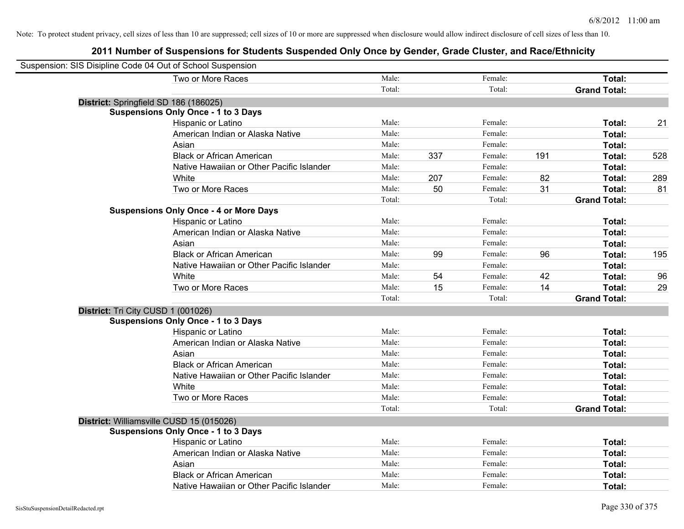| Suspension: SIS Disipline Code 04 Out of School Suspension |                                               |        |     |         |     |                     |     |
|------------------------------------------------------------|-----------------------------------------------|--------|-----|---------|-----|---------------------|-----|
|                                                            | Two or More Races                             | Male:  |     | Female: |     | Total:              |     |
|                                                            |                                               | Total: |     | Total:  |     | <b>Grand Total:</b> |     |
|                                                            | District: Springfield SD 186 (186025)         |        |     |         |     |                     |     |
|                                                            | <b>Suspensions Only Once - 1 to 3 Days</b>    |        |     |         |     |                     |     |
|                                                            | Hispanic or Latino                            | Male:  |     | Female: |     | Total:              | 21  |
|                                                            | American Indian or Alaska Native              | Male:  |     | Female: |     | Total:              |     |
|                                                            | Asian                                         | Male:  |     | Female: |     | Total:              |     |
|                                                            | <b>Black or African American</b>              | Male:  | 337 | Female: | 191 | Total:              | 528 |
|                                                            | Native Hawaiian or Other Pacific Islander     | Male:  |     | Female: |     | Total:              |     |
|                                                            | White                                         | Male:  | 207 | Female: | 82  | Total:              | 289 |
|                                                            | Two or More Races                             | Male:  | 50  | Female: | 31  | Total:              | 81  |
|                                                            |                                               | Total: |     | Total:  |     | <b>Grand Total:</b> |     |
|                                                            | <b>Suspensions Only Once - 4 or More Days</b> |        |     |         |     |                     |     |
|                                                            | Hispanic or Latino                            | Male:  |     | Female: |     | Total:              |     |
|                                                            | American Indian or Alaska Native              | Male:  |     | Female: |     | Total:              |     |
|                                                            | Asian                                         | Male:  |     | Female: |     | Total:              |     |
|                                                            | <b>Black or African American</b>              | Male:  | 99  | Female: | 96  | Total:              | 195 |
|                                                            | Native Hawaiian or Other Pacific Islander     | Male:  |     | Female: |     | Total:              |     |
|                                                            | White                                         | Male:  | 54  | Female: | 42  | Total:              | 96  |
|                                                            | Two or More Races                             | Male:  | 15  | Female: | 14  | Total:              | 29  |
|                                                            |                                               | Total: |     | Total:  |     | <b>Grand Total:</b> |     |
| District: Tri City CUSD 1 (001026)                         |                                               |        |     |         |     |                     |     |
|                                                            | <b>Suspensions Only Once - 1 to 3 Days</b>    |        |     |         |     |                     |     |
|                                                            | <b>Hispanic or Latino</b>                     | Male:  |     | Female: |     | Total:              |     |
|                                                            | American Indian or Alaska Native              | Male:  |     | Female: |     | Total:              |     |
|                                                            | Asian                                         | Male:  |     | Female: |     | Total:              |     |
|                                                            | <b>Black or African American</b>              | Male:  |     | Female: |     | Total:              |     |
|                                                            | Native Hawaiian or Other Pacific Islander     | Male:  |     | Female: |     | Total:              |     |
|                                                            | White                                         | Male:  |     | Female: |     | Total:              |     |
|                                                            | Two or More Races                             | Male:  |     | Female: |     | Total:              |     |
|                                                            |                                               | Total: |     | Total:  |     | <b>Grand Total:</b> |     |
|                                                            | District: Williamsville CUSD 15 (015026)      |        |     |         |     |                     |     |
|                                                            | <b>Suspensions Only Once - 1 to 3 Days</b>    |        |     |         |     |                     |     |
|                                                            | Hispanic or Latino                            | Male:  |     | Female: |     | Total:              |     |
|                                                            | American Indian or Alaska Native              | Male:  |     | Female: |     | Total:              |     |
|                                                            | Asian                                         | Male:  |     | Female: |     | Total:              |     |
|                                                            | <b>Black or African American</b>              | Male:  |     | Female: |     | Total:              |     |
|                                                            | Native Hawaiian or Other Pacific Islander     | Male:  |     | Female: |     | Total:              |     |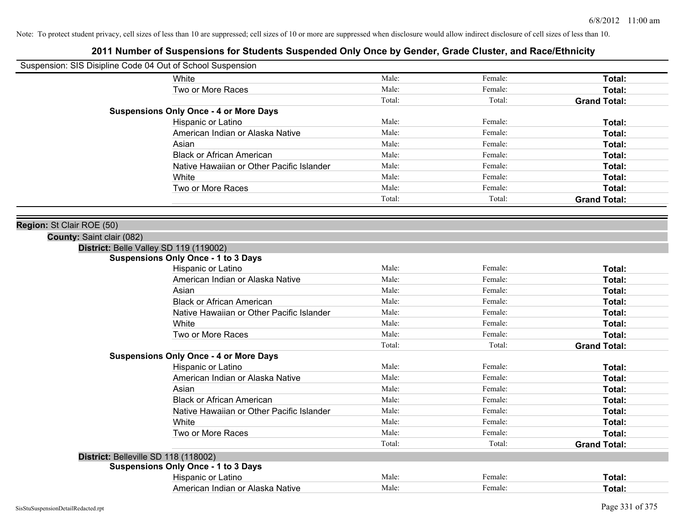| Male:<br>Male: | Female: | Total:              |
|----------------|---------|---------------------|
|                |         |                     |
|                |         |                     |
|                | Female: | Total:              |
| Total:         | Total:  | <b>Grand Total:</b> |
|                |         |                     |
| Male:          | Female: | Total:              |
| Male:          | Female: | Total:              |
| Male:          | Female: | Total:              |
| Male:          | Female: | Total:              |
| Male:          | Female: | Total:              |
| Male:          | Female: | Total:              |
| Male:          | Female: | Total:              |
| Total:         | Total:  | <b>Grand Total:</b> |
|                |         |                     |
|                |         |                     |
|                |         |                     |
|                |         |                     |
|                |         |                     |
| Male:          | Female: | Total:              |
| Male:          | Female: | Total:              |
| Male:          | Female: | Total:              |
| Male:          | Female: | Total:              |
| Male:          | Female: | Total:              |
| Male:          | Female: | Total:              |
| Male:          | Female: | Total:              |
| Total:         | Total:  | <b>Grand Total:</b> |
|                |         |                     |
| Male:          | Female: | Total:              |
| Male:          | Female: | Total:              |
| Male:          | Female: | Total:              |
| Male:          | Female: | Total:              |
| Male:          | Female: | Total:              |
| Male:          | Female: | Total:              |
| Male:          | Female: | Total:              |
| Total:         | Total:  | <b>Grand Total:</b> |
|                |         |                     |
|                |         |                     |
| Male:          | Female: | Total:              |
| Male:          | Female: | Total:              |
|                |         |                     |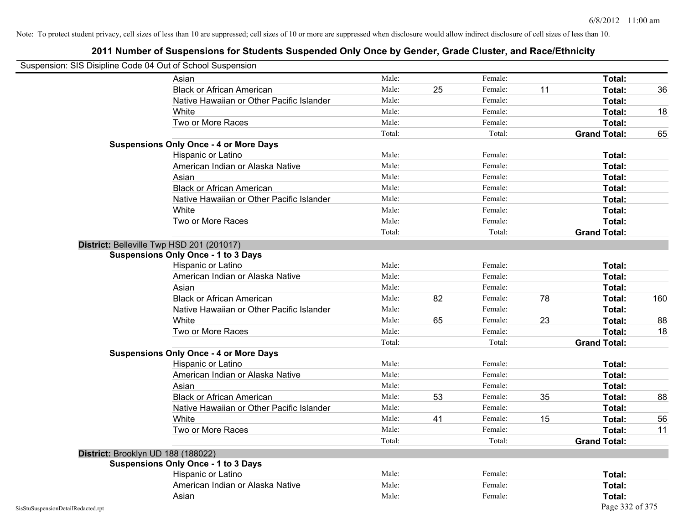Note: To protect student privacy, cell sizes of less than 10 are suppressed; cell sizes of 10 or more are suppressed when disclosure would allow indirect disclosure of cell sizes of less than 10.

| Suspension: SIS Disipline Code 04 Out of School Suspension |                                               |        |    |         |    |                     |     |
|------------------------------------------------------------|-----------------------------------------------|--------|----|---------|----|---------------------|-----|
|                                                            | Asian                                         | Male:  |    | Female: |    | Total:              |     |
|                                                            | <b>Black or African American</b>              | Male:  | 25 | Female: | 11 | Total:              | 36  |
|                                                            | Native Hawaiian or Other Pacific Islander     | Male:  |    | Female: |    | Total:              |     |
|                                                            | White                                         | Male:  |    | Female: |    | Total:              | 18  |
|                                                            | Two or More Races                             | Male:  |    | Female: |    | Total:              |     |
|                                                            |                                               | Total: |    | Total:  |    | <b>Grand Total:</b> | 65  |
|                                                            | <b>Suspensions Only Once - 4 or More Days</b> |        |    |         |    |                     |     |
|                                                            | Hispanic or Latino                            | Male:  |    | Female: |    | Total:              |     |
|                                                            | American Indian or Alaska Native              | Male:  |    | Female: |    | Total:              |     |
|                                                            | Asian                                         | Male:  |    | Female: |    | Total:              |     |
|                                                            | <b>Black or African American</b>              | Male:  |    | Female: |    | Total:              |     |
|                                                            | Native Hawaiian or Other Pacific Islander     | Male:  |    | Female: |    | Total:              |     |
|                                                            | White                                         | Male:  |    | Female: |    | Total:              |     |
|                                                            | Two or More Races                             | Male:  |    | Female: |    | Total:              |     |
|                                                            |                                               | Total: |    | Total:  |    | <b>Grand Total:</b> |     |
|                                                            | District: Belleville Twp HSD 201 (201017)     |        |    |         |    |                     |     |
|                                                            | <b>Suspensions Only Once - 1 to 3 Days</b>    |        |    |         |    |                     |     |
|                                                            | Hispanic or Latino                            | Male:  |    | Female: |    | Total:              |     |
|                                                            | American Indian or Alaska Native              | Male:  |    | Female: |    | Total:              |     |
|                                                            | Asian                                         | Male:  |    | Female: |    | Total:              |     |
|                                                            | <b>Black or African American</b>              | Male:  | 82 | Female: | 78 | Total:              | 160 |
|                                                            | Native Hawaiian or Other Pacific Islander     | Male:  |    | Female: |    | Total:              |     |
|                                                            | White                                         | Male:  | 65 | Female: | 23 | Total:              | 88  |
|                                                            | Two or More Races                             | Male:  |    | Female: |    | Total:              | 18  |
|                                                            |                                               | Total: |    | Total:  |    | <b>Grand Total:</b> |     |
|                                                            | <b>Suspensions Only Once - 4 or More Days</b> |        |    |         |    |                     |     |
|                                                            | Hispanic or Latino                            | Male:  |    | Female: |    | Total:              |     |
|                                                            | American Indian or Alaska Native              | Male:  |    | Female: |    | Total:              |     |
|                                                            | Asian                                         | Male:  |    | Female: |    | Total:              |     |
|                                                            | <b>Black or African American</b>              | Male:  | 53 | Female: | 35 | Total:              | 88  |
|                                                            | Native Hawaiian or Other Pacific Islander     | Male:  |    | Female: |    | Total:              |     |
|                                                            | White                                         | Male:  | 41 | Female: | 15 | Total:              | 56  |
|                                                            | Two or More Races                             | Male:  |    | Female: |    | Total:              | 11  |
|                                                            |                                               | Total: |    | Total:  |    | <b>Grand Total:</b> |     |
| District: Brooklyn UD 188 (188022)                         |                                               |        |    |         |    |                     |     |
|                                                            | <b>Suspensions Only Once - 1 to 3 Days</b>    |        |    |         |    |                     |     |
|                                                            | Hispanic or Latino                            | Male:  |    | Female: |    | Total:              |     |
|                                                            | American Indian or Alaska Native              | Male:  |    | Female: |    | Total:              |     |
|                                                            | Asian                                         | Male:  |    | Female: |    | Total:              |     |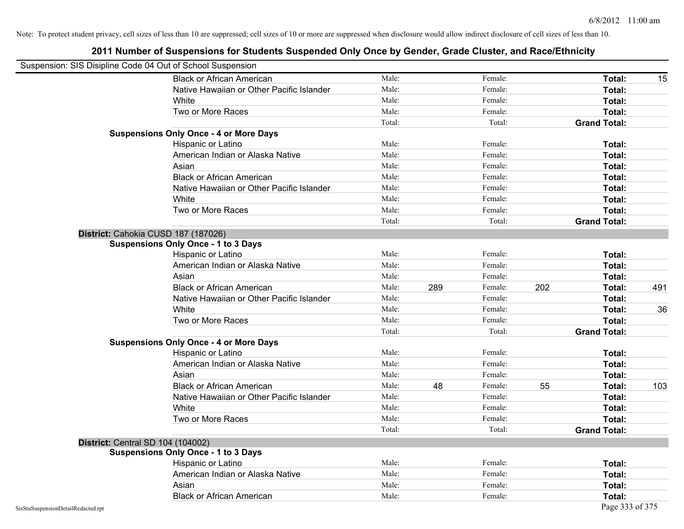|                                    | Suspension: SIS Disipline Code 04 Out of School Suspension |        |     |         |     |                     |     |
|------------------------------------|------------------------------------------------------------|--------|-----|---------|-----|---------------------|-----|
|                                    | <b>Black or African American</b>                           | Male:  |     | Female: |     | Total:              | 15  |
|                                    | Native Hawaiian or Other Pacific Islander                  | Male:  |     | Female: |     | Total:              |     |
|                                    | White                                                      | Male:  |     | Female: |     | Total:              |     |
|                                    | Two or More Races                                          | Male:  |     | Female: |     | Total:              |     |
|                                    |                                                            | Total: |     | Total:  |     | <b>Grand Total:</b> |     |
|                                    | <b>Suspensions Only Once - 4 or More Days</b>              |        |     |         |     |                     |     |
|                                    | Hispanic or Latino                                         | Male:  |     | Female: |     | Total:              |     |
|                                    | American Indian or Alaska Native                           | Male:  |     | Female: |     | Total:              |     |
|                                    | Asian                                                      | Male:  |     | Female: |     | Total:              |     |
|                                    | <b>Black or African American</b>                           | Male:  |     | Female: |     | Total:              |     |
|                                    | Native Hawaiian or Other Pacific Islander                  | Male:  |     | Female: |     | Total:              |     |
|                                    | White                                                      | Male:  |     | Female: |     | Total:              |     |
|                                    | Two or More Races                                          | Male:  |     | Female: |     | Total:              |     |
|                                    |                                                            | Total: |     | Total:  |     | <b>Grand Total:</b> |     |
|                                    | District: Cahokia CUSD 187 (187026)                        |        |     |         |     |                     |     |
|                                    | <b>Suspensions Only Once - 1 to 3 Days</b>                 |        |     |         |     |                     |     |
|                                    | Hispanic or Latino                                         | Male:  |     | Female: |     | Total:              |     |
|                                    | American Indian or Alaska Native                           | Male:  |     | Female: |     | Total:              |     |
|                                    | Asian                                                      | Male:  |     | Female: |     | Total:              |     |
|                                    | <b>Black or African American</b>                           | Male:  | 289 | Female: | 202 | Total:              | 491 |
|                                    | Native Hawaiian or Other Pacific Islander                  | Male:  |     | Female: |     | Total:              |     |
|                                    | White                                                      | Male:  |     | Female: |     | Total:              | 36  |
|                                    | Two or More Races                                          | Male:  |     | Female: |     | Total:              |     |
|                                    |                                                            | Total: |     | Total:  |     | <b>Grand Total:</b> |     |
|                                    | <b>Suspensions Only Once - 4 or More Days</b>              |        |     |         |     |                     |     |
|                                    | Hispanic or Latino                                         | Male:  |     | Female: |     | Total:              |     |
|                                    | American Indian or Alaska Native                           | Male:  |     | Female: |     | Total:              |     |
|                                    | Asian                                                      | Male:  |     | Female: |     | Total:              |     |
|                                    | <b>Black or African American</b>                           | Male:  | 48  | Female: | 55  | Total:              | 103 |
|                                    | Native Hawaiian or Other Pacific Islander                  | Male:  |     | Female: |     | Total:              |     |
|                                    | White                                                      | Male:  |     | Female: |     | Total:              |     |
|                                    | Two or More Races                                          | Male:  |     | Female: |     | Total:              |     |
|                                    |                                                            | Total: |     | Total:  |     | <b>Grand Total:</b> |     |
|                                    | <b>District: Central SD 104 (104002)</b>                   |        |     |         |     |                     |     |
|                                    | <b>Suspensions Only Once - 1 to 3 Days</b>                 |        |     |         |     |                     |     |
|                                    | Hispanic or Latino                                         | Male:  |     | Female: |     | Total:              |     |
|                                    | American Indian or Alaska Native                           | Male:  |     | Female: |     | Total:              |     |
|                                    | Asian                                                      | Male:  |     | Female: |     | Total:              |     |
|                                    | <b>Black or African American</b>                           | Male:  |     | Female: |     | Total:              |     |
| SisStuSuspensionDetailRedacted.rpt |                                                            |        |     |         |     | Page 333 of 375     |     |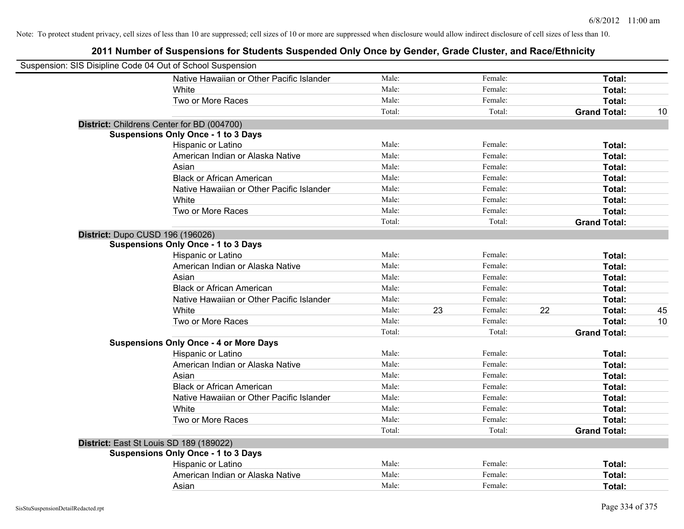| Suspension: SIS Disipline Code 04 Out of School Suspension |                                               |        |    |         |    |                     |    |
|------------------------------------------------------------|-----------------------------------------------|--------|----|---------|----|---------------------|----|
|                                                            | Native Hawaiian or Other Pacific Islander     | Male:  |    | Female: |    | Total:              |    |
|                                                            | White                                         | Male:  |    | Female: |    | Total:              |    |
|                                                            | Two or More Races                             | Male:  |    | Female: |    | Total:              |    |
|                                                            |                                               | Total: |    | Total:  |    | <b>Grand Total:</b> | 10 |
| District: Childrens Center for BD (004700)                 |                                               |        |    |         |    |                     |    |
|                                                            | <b>Suspensions Only Once - 1 to 3 Days</b>    |        |    |         |    |                     |    |
|                                                            | Hispanic or Latino                            | Male:  |    | Female: |    | Total:              |    |
|                                                            | American Indian or Alaska Native              | Male:  |    | Female: |    | Total:              |    |
|                                                            | Asian                                         | Male:  |    | Female: |    | Total:              |    |
|                                                            | <b>Black or African American</b>              | Male:  |    | Female: |    | Total:              |    |
|                                                            | Native Hawaiian or Other Pacific Islander     | Male:  |    | Female: |    | Total:              |    |
|                                                            | White                                         | Male:  |    | Female: |    | Total:              |    |
|                                                            | Two or More Races                             | Male:  |    | Female: |    | Total:              |    |
|                                                            |                                               | Total: |    | Total:  |    | <b>Grand Total:</b> |    |
| District: Dupo CUSD 196 (196026)                           |                                               |        |    |         |    |                     |    |
|                                                            | <b>Suspensions Only Once - 1 to 3 Days</b>    |        |    |         |    |                     |    |
|                                                            | Hispanic or Latino                            | Male:  |    | Female: |    | Total:              |    |
|                                                            | American Indian or Alaska Native              | Male:  |    | Female: |    | Total:              |    |
|                                                            | Asian                                         | Male:  |    | Female: |    | Total:              |    |
|                                                            | <b>Black or African American</b>              | Male:  |    | Female: |    | Total:              |    |
|                                                            | Native Hawaiian or Other Pacific Islander     | Male:  |    | Female: |    | Total:              |    |
|                                                            | White                                         | Male:  | 23 | Female: | 22 | Total:              | 45 |
|                                                            | Two or More Races                             | Male:  |    | Female: |    | Total:              | 10 |
|                                                            |                                               | Total: |    | Total:  |    | <b>Grand Total:</b> |    |
|                                                            | <b>Suspensions Only Once - 4 or More Days</b> |        |    |         |    |                     |    |
|                                                            | Hispanic or Latino                            | Male:  |    | Female: |    | Total:              |    |
|                                                            | American Indian or Alaska Native              | Male:  |    | Female: |    | Total:              |    |
|                                                            | Asian                                         | Male:  |    | Female: |    | Total:              |    |
|                                                            | <b>Black or African American</b>              | Male:  |    | Female: |    | Total:              |    |
|                                                            | Native Hawaiian or Other Pacific Islander     | Male:  |    | Female: |    | Total:              |    |
|                                                            | White                                         | Male:  |    | Female: |    | Total:              |    |
|                                                            | Two or More Races                             | Male:  |    | Female: |    | Total:              |    |
|                                                            |                                               | Total: |    | Total:  |    | <b>Grand Total:</b> |    |
| District: East St Louis SD 189 (189022)                    |                                               |        |    |         |    |                     |    |
|                                                            | <b>Suspensions Only Once - 1 to 3 Days</b>    |        |    |         |    |                     |    |
|                                                            | Hispanic or Latino                            | Male:  |    | Female: |    | Total:              |    |
|                                                            | American Indian or Alaska Native              | Male:  |    | Female: |    | Total:              |    |
|                                                            | Asian                                         | Male:  |    | Female: |    | Total:              |    |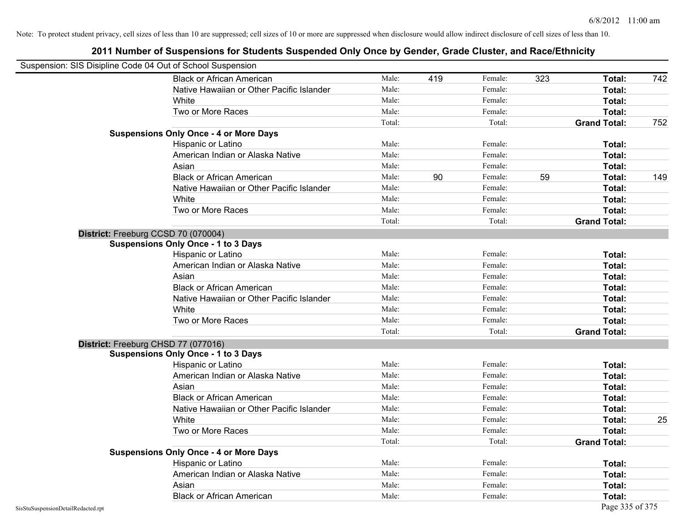|                                    | Suspension: SIS Disipline Code 04 Out of School Suspension |        |     |         |     |                     |     |
|------------------------------------|------------------------------------------------------------|--------|-----|---------|-----|---------------------|-----|
|                                    | <b>Black or African American</b>                           | Male:  | 419 | Female: | 323 | Total:              | 742 |
|                                    | Native Hawaiian or Other Pacific Islander                  | Male:  |     | Female: |     | Total:              |     |
|                                    | White                                                      | Male:  |     | Female: |     | Total:              |     |
|                                    | Two or More Races                                          | Male:  |     | Female: |     | Total:              |     |
|                                    |                                                            | Total: |     | Total:  |     | <b>Grand Total:</b> | 752 |
|                                    | <b>Suspensions Only Once - 4 or More Days</b>              |        |     |         |     |                     |     |
|                                    | Hispanic or Latino                                         | Male:  |     | Female: |     | Total:              |     |
|                                    | American Indian or Alaska Native                           | Male:  |     | Female: |     | Total:              |     |
|                                    | Asian                                                      | Male:  |     | Female: |     | Total:              |     |
|                                    | <b>Black or African American</b>                           | Male:  | 90  | Female: | 59  | Total:              | 149 |
|                                    | Native Hawaiian or Other Pacific Islander                  | Male:  |     | Female: |     | Total:              |     |
|                                    | White                                                      | Male:  |     | Female: |     | Total:              |     |
|                                    | Two or More Races                                          | Male:  |     | Female: |     | Total:              |     |
|                                    |                                                            | Total: |     | Total:  |     | <b>Grand Total:</b> |     |
|                                    | District: Freeburg CCSD 70 (070004)                        |        |     |         |     |                     |     |
|                                    | <b>Suspensions Only Once - 1 to 3 Days</b>                 |        |     |         |     |                     |     |
|                                    | Hispanic or Latino                                         | Male:  |     | Female: |     | Total:              |     |
|                                    | American Indian or Alaska Native                           | Male:  |     | Female: |     | Total:              |     |
|                                    | Asian                                                      | Male:  |     | Female: |     | Total:              |     |
|                                    | <b>Black or African American</b>                           | Male:  |     | Female: |     | Total:              |     |
|                                    | Native Hawaiian or Other Pacific Islander                  | Male:  |     | Female: |     | Total:              |     |
|                                    | White                                                      | Male:  |     | Female: |     | Total:              |     |
|                                    | Two or More Races                                          | Male:  |     | Female: |     | Total:              |     |
|                                    |                                                            | Total: |     | Total:  |     | <b>Grand Total:</b> |     |
|                                    | District: Freeburg CHSD 77 (077016)                        |        |     |         |     |                     |     |
|                                    | <b>Suspensions Only Once - 1 to 3 Days</b>                 |        |     |         |     |                     |     |
|                                    | Hispanic or Latino                                         | Male:  |     | Female: |     | Total:              |     |
|                                    | American Indian or Alaska Native                           | Male:  |     | Female: |     | Total:              |     |
|                                    | Asian                                                      | Male:  |     | Female: |     | Total:              |     |
|                                    | <b>Black or African American</b>                           | Male:  |     | Female: |     | Total:              |     |
|                                    | Native Hawaiian or Other Pacific Islander                  | Male:  |     | Female: |     | Total:              |     |
|                                    | White                                                      | Male:  |     | Female: |     | Total:              | 25  |
|                                    | Two or More Races                                          | Male:  |     | Female: |     | Total:              |     |
|                                    |                                                            | Total: |     | Total:  |     | <b>Grand Total:</b> |     |
|                                    | <b>Suspensions Only Once - 4 or More Days</b>              |        |     |         |     |                     |     |
|                                    | Hispanic or Latino                                         | Male:  |     | Female: |     | Total:              |     |
|                                    | American Indian or Alaska Native                           | Male:  |     | Female: |     | Total:              |     |
|                                    | Asian                                                      | Male:  |     | Female: |     | Total:              |     |
|                                    | <b>Black or African American</b>                           | Male:  |     | Female: |     | Total:              |     |
| SisStuSuspensionDetailRedacted.rpt |                                                            |        |     |         |     | Page 335 of 375     |     |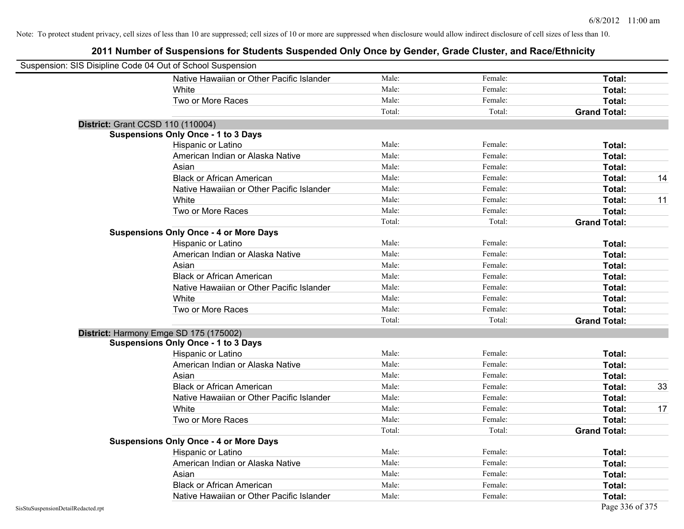| Suspension: SIS Disipline Code 04 Out of School Suspension |                                               |        |         |                     |    |
|------------------------------------------------------------|-----------------------------------------------|--------|---------|---------------------|----|
|                                                            | Native Hawaiian or Other Pacific Islander     | Male:  | Female: | Total:              |    |
|                                                            | White                                         | Male:  | Female: | Total:              |    |
|                                                            | Two or More Races                             | Male:  | Female: | Total:              |    |
|                                                            |                                               | Total: | Total:  | <b>Grand Total:</b> |    |
| District: Grant CCSD 110 (110004)                          |                                               |        |         |                     |    |
|                                                            | <b>Suspensions Only Once - 1 to 3 Days</b>    |        |         |                     |    |
|                                                            | Hispanic or Latino                            | Male:  | Female: | Total:              |    |
|                                                            | American Indian or Alaska Native              | Male:  | Female: | Total:              |    |
|                                                            | Asian                                         | Male:  | Female: | Total:              |    |
|                                                            | <b>Black or African American</b>              | Male:  | Female: | Total:              | 14 |
|                                                            | Native Hawaiian or Other Pacific Islander     | Male:  | Female: | Total:              |    |
|                                                            | White                                         | Male:  | Female: | Total:              | 11 |
|                                                            | Two or More Races                             | Male:  | Female: | Total:              |    |
|                                                            |                                               | Total: | Total:  | <b>Grand Total:</b> |    |
|                                                            | <b>Suspensions Only Once - 4 or More Days</b> |        |         |                     |    |
|                                                            | Hispanic or Latino                            | Male:  | Female: | Total:              |    |
|                                                            | American Indian or Alaska Native              | Male:  | Female: | Total:              |    |
|                                                            | Asian                                         | Male:  | Female: | Total:              |    |
|                                                            | <b>Black or African American</b>              | Male:  | Female: | Total:              |    |
|                                                            | Native Hawaiian or Other Pacific Islander     | Male:  | Female: | Total:              |    |
|                                                            | White                                         | Male:  | Female: | Total:              |    |
|                                                            | Two or More Races                             | Male:  | Female: | Total:              |    |
|                                                            |                                               | Total: | Total:  | <b>Grand Total:</b> |    |
| District: Harmony Emge SD 175 (175002)                     |                                               |        |         |                     |    |
|                                                            | <b>Suspensions Only Once - 1 to 3 Days</b>    |        |         |                     |    |
|                                                            | Hispanic or Latino                            | Male:  | Female: | Total:              |    |
|                                                            | American Indian or Alaska Native              | Male:  | Female: | Total:              |    |
|                                                            | Asian                                         | Male:  | Female: | Total:              |    |
|                                                            | <b>Black or African American</b>              | Male:  | Female: | Total:              | 33 |
|                                                            | Native Hawaiian or Other Pacific Islander     | Male:  | Female: | Total:              |    |
|                                                            | White                                         | Male:  | Female: | Total:              | 17 |
|                                                            | Two or More Races                             | Male:  | Female: | Total:              |    |
|                                                            |                                               | Total: | Total:  | <b>Grand Total:</b> |    |
|                                                            | <b>Suspensions Only Once - 4 or More Days</b> |        |         |                     |    |
|                                                            | Hispanic or Latino                            | Male:  | Female: | Total:              |    |
|                                                            | American Indian or Alaska Native              | Male:  | Female: | Total:              |    |
|                                                            | Asian                                         | Male:  | Female: | Total:              |    |
|                                                            | <b>Black or African American</b>              | Male:  | Female: | Total:              |    |
|                                                            | Native Hawaiian or Other Pacific Islander     | Male:  | Female: | Total:              |    |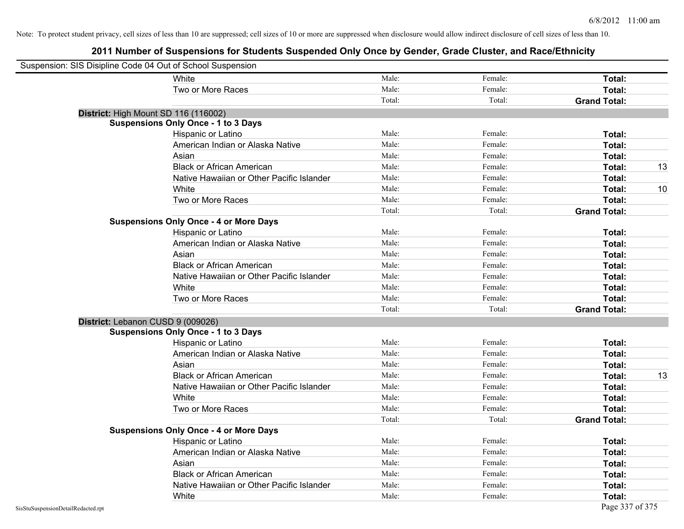| Suspension: SIS Disipline Code 04 Out of School Suspension |                                               |        |         |                     |    |
|------------------------------------------------------------|-----------------------------------------------|--------|---------|---------------------|----|
|                                                            | White                                         | Male:  | Female: | Total:              |    |
|                                                            | Two or More Races                             | Male:  | Female: | Total:              |    |
|                                                            |                                               | Total: | Total:  | <b>Grand Total:</b> |    |
| District: High Mount SD 116 (116002)                       |                                               |        |         |                     |    |
|                                                            | <b>Suspensions Only Once - 1 to 3 Days</b>    |        |         |                     |    |
|                                                            | Hispanic or Latino                            | Male:  | Female: | Total:              |    |
|                                                            | American Indian or Alaska Native              | Male:  | Female: | Total:              |    |
|                                                            | Asian                                         | Male:  | Female: | Total:              |    |
|                                                            | <b>Black or African American</b>              | Male:  | Female: | Total:              | 13 |
|                                                            | Native Hawaiian or Other Pacific Islander     | Male:  | Female: | Total:              |    |
|                                                            | White                                         | Male:  | Female: | Total:              | 10 |
|                                                            | Two or More Races                             | Male:  | Female: | Total:              |    |
|                                                            |                                               | Total: | Total:  | <b>Grand Total:</b> |    |
|                                                            | <b>Suspensions Only Once - 4 or More Days</b> |        |         |                     |    |
|                                                            | Hispanic or Latino                            | Male:  | Female: | Total:              |    |
|                                                            | American Indian or Alaska Native              | Male:  | Female: | Total:              |    |
|                                                            | Asian                                         | Male:  | Female: | Total:              |    |
|                                                            | <b>Black or African American</b>              | Male:  | Female: | Total:              |    |
|                                                            | Native Hawaiian or Other Pacific Islander     | Male:  | Female: | Total:              |    |
|                                                            | White                                         | Male:  | Female: | Total:              |    |
|                                                            | Two or More Races                             | Male:  | Female: | Total:              |    |
|                                                            |                                               | Total: | Total:  | <b>Grand Total:</b> |    |
| District: Lebanon CUSD 9 (009026)                          |                                               |        |         |                     |    |
|                                                            | <b>Suspensions Only Once - 1 to 3 Days</b>    |        |         |                     |    |
|                                                            | Hispanic or Latino                            | Male:  | Female: | Total:              |    |
|                                                            | American Indian or Alaska Native              | Male:  | Female: | Total:              |    |
|                                                            | Asian                                         | Male:  | Female: | Total:              |    |
|                                                            | <b>Black or African American</b>              | Male:  | Female: | Total:              | 13 |
|                                                            | Native Hawaiian or Other Pacific Islander     | Male:  | Female: | Total:              |    |
|                                                            | White                                         | Male:  | Female: | Total:              |    |
|                                                            | Two or More Races                             | Male:  | Female: | Total:              |    |
|                                                            |                                               | Total: | Total:  | <b>Grand Total:</b> |    |
|                                                            | <b>Suspensions Only Once - 4 or More Days</b> |        |         |                     |    |
|                                                            | Hispanic or Latino                            | Male:  | Female: | Total:              |    |
|                                                            | American Indian or Alaska Native              | Male:  | Female: | Total:              |    |
|                                                            | Asian                                         | Male:  | Female: | Total:              |    |
|                                                            | <b>Black or African American</b>              | Male:  | Female: | Total:              |    |
|                                                            | Native Hawaiian or Other Pacific Islander     | Male:  | Female: | Total:              |    |
|                                                            | White                                         | Male:  | Female: | Total:              |    |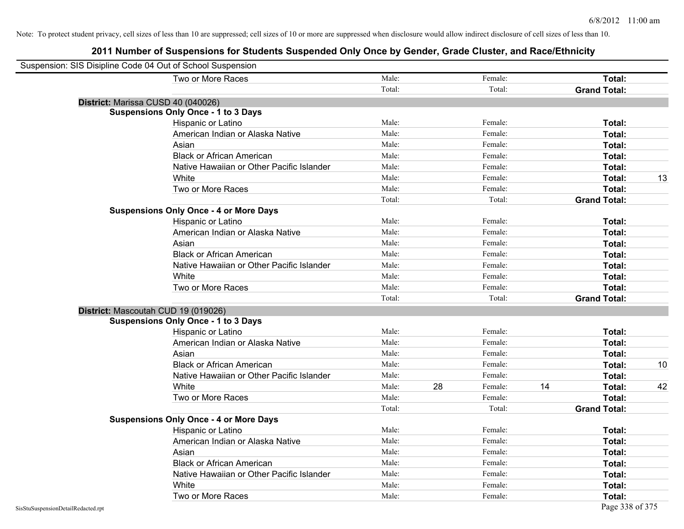| Suspension: SIS Disipline Code 04 Out of School Suspension |        |    |         |    |                     |    |
|------------------------------------------------------------|--------|----|---------|----|---------------------|----|
| Two or More Races                                          | Male:  |    | Female: |    | Total:              |    |
|                                                            | Total: |    | Total:  |    | <b>Grand Total:</b> |    |
| District: Marissa CUSD 40 (040026)                         |        |    |         |    |                     |    |
| <b>Suspensions Only Once - 1 to 3 Days</b>                 |        |    |         |    |                     |    |
| Hispanic or Latino                                         | Male:  |    | Female: |    | Total:              |    |
| American Indian or Alaska Native                           | Male:  |    | Female: |    | Total:              |    |
| Asian                                                      | Male:  |    | Female: |    | Total:              |    |
| <b>Black or African American</b>                           | Male:  |    | Female: |    | Total:              |    |
| Native Hawaiian or Other Pacific Islander                  | Male:  |    | Female: |    | Total:              |    |
| White                                                      | Male:  |    | Female: |    | Total:              | 13 |
| Two or More Races                                          | Male:  |    | Female: |    | Total:              |    |
|                                                            | Total: |    | Total:  |    | <b>Grand Total:</b> |    |
| <b>Suspensions Only Once - 4 or More Days</b>              |        |    |         |    |                     |    |
| Hispanic or Latino                                         | Male:  |    | Female: |    | Total:              |    |
| American Indian or Alaska Native                           | Male:  |    | Female: |    | Total:              |    |
| Asian                                                      | Male:  |    | Female: |    | Total:              |    |
| <b>Black or African American</b>                           | Male:  |    | Female: |    | Total:              |    |
| Native Hawaiian or Other Pacific Islander                  | Male:  |    | Female: |    | Total:              |    |
| White                                                      | Male:  |    | Female: |    | Total:              |    |
| Two or More Races                                          | Male:  |    | Female: |    | Total:              |    |
|                                                            | Total: |    | Total:  |    | <b>Grand Total:</b> |    |
| District: Mascoutah CUD 19 (019026)                        |        |    |         |    |                     |    |
| <b>Suspensions Only Once - 1 to 3 Days</b>                 |        |    |         |    |                     |    |
| Hispanic or Latino                                         | Male:  |    | Female: |    | Total:              |    |
| American Indian or Alaska Native                           | Male:  |    | Female: |    | Total:              |    |
| Asian                                                      | Male:  |    | Female: |    | Total:              |    |
| <b>Black or African American</b>                           | Male:  |    | Female: |    | Total:              | 10 |
| Native Hawaiian or Other Pacific Islander                  | Male:  |    | Female: |    | Total:              |    |
| White                                                      | Male:  | 28 | Female: | 14 | Total:              | 42 |
| Two or More Races                                          | Male:  |    | Female: |    | Total:              |    |
|                                                            | Total: |    | Total:  |    | <b>Grand Total:</b> |    |
| <b>Suspensions Only Once - 4 or More Days</b>              |        |    |         |    |                     |    |
| Hispanic or Latino                                         | Male:  |    | Female: |    | Total:              |    |
| American Indian or Alaska Native                           | Male:  |    | Female: |    | Total:              |    |
| Asian                                                      | Male:  |    | Female: |    | Total:              |    |
| <b>Black or African American</b>                           | Male:  |    | Female: |    | Total:              |    |
| Native Hawaiian or Other Pacific Islander                  | Male:  |    | Female: |    | Total:              |    |
| White                                                      | Male:  |    | Female: |    | Total:              |    |
| Two or More Races                                          | Male:  |    | Female: |    | Total:              |    |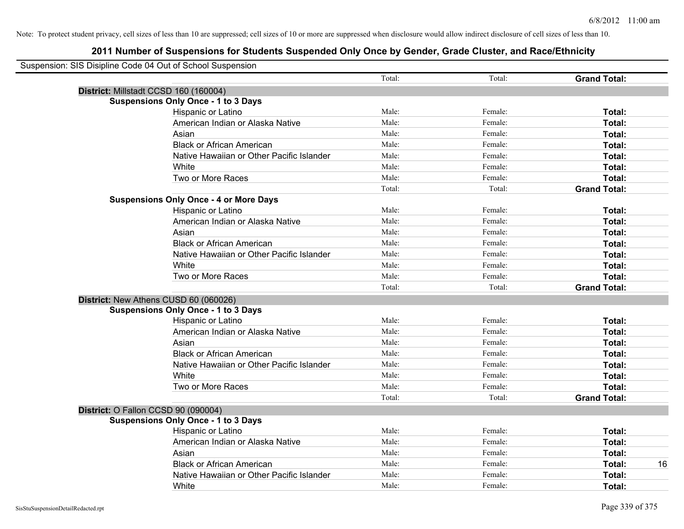| Suspension: SIS Disipline Code 04 Out of School Suspension |                                               |        |         |                     |
|------------------------------------------------------------|-----------------------------------------------|--------|---------|---------------------|
|                                                            |                                               | Total: | Total:  | <b>Grand Total:</b> |
| District: Millstadt CCSD 160 (160004)                      |                                               |        |         |                     |
|                                                            | <b>Suspensions Only Once - 1 to 3 Days</b>    |        |         |                     |
|                                                            | Hispanic or Latino                            | Male:  | Female: | Total:              |
|                                                            | American Indian or Alaska Native              | Male:  | Female: | Total:              |
|                                                            | Asian                                         | Male:  | Female: | Total:              |
|                                                            | <b>Black or African American</b>              | Male:  | Female: | Total:              |
|                                                            | Native Hawaiian or Other Pacific Islander     | Male:  | Female: | Total:              |
|                                                            | White                                         | Male:  | Female: | Total:              |
|                                                            | Two or More Races                             | Male:  | Female: | Total:              |
|                                                            |                                               | Total: | Total:  | <b>Grand Total:</b> |
|                                                            | <b>Suspensions Only Once - 4 or More Days</b> |        |         |                     |
|                                                            | Hispanic or Latino                            | Male:  | Female: | Total:              |
|                                                            | American Indian or Alaska Native              | Male:  | Female: | Total:              |
|                                                            | Asian                                         | Male:  | Female: | Total:              |
|                                                            | <b>Black or African American</b>              | Male:  | Female: | Total:              |
|                                                            | Native Hawaiian or Other Pacific Islander     | Male:  | Female: | Total:              |
|                                                            | White                                         | Male:  | Female: | Total:              |
|                                                            | Two or More Races                             | Male:  | Female: | Total:              |
|                                                            |                                               | Total: | Total:  | <b>Grand Total:</b> |
|                                                            | District: New Athens CUSD 60 (060026)         |        |         |                     |
|                                                            | <b>Suspensions Only Once - 1 to 3 Days</b>    |        |         |                     |
|                                                            | Hispanic or Latino                            | Male:  | Female: | Total:              |
|                                                            | American Indian or Alaska Native              | Male:  | Female: | Total:              |
|                                                            | Asian                                         | Male:  | Female: | Total:              |
|                                                            | <b>Black or African American</b>              | Male:  | Female: | Total:              |
|                                                            | Native Hawaiian or Other Pacific Islander     | Male:  | Female: | Total:              |
|                                                            | White                                         | Male:  | Female: | Total:              |
|                                                            | Two or More Races                             | Male:  | Female: | Total:              |
|                                                            |                                               | Total: | Total:  | <b>Grand Total:</b> |
| District: O Fallon CCSD 90 (090004)                        |                                               |        |         |                     |
|                                                            | <b>Suspensions Only Once - 1 to 3 Days</b>    |        |         |                     |
|                                                            | Hispanic or Latino                            | Male:  | Female: | Total:              |
|                                                            | American Indian or Alaska Native              | Male:  | Female: | Total:              |
|                                                            | Asian                                         | Male:  | Female: | Total:              |
|                                                            | <b>Black or African American</b>              | Male:  | Female: | 16<br>Total:        |
|                                                            | Native Hawaiian or Other Pacific Islander     | Male:  | Female: | Total:              |
|                                                            | White                                         | Male:  | Female: | Total:              |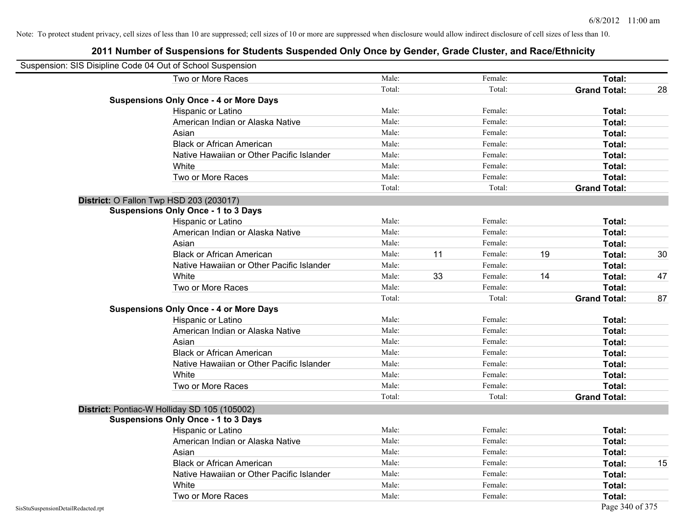| Suspension: SIS Disipline Code 04 Out of School Suspension |                                               |        |    |         |    |                     |    |
|------------------------------------------------------------|-----------------------------------------------|--------|----|---------|----|---------------------|----|
|                                                            | Two or More Races                             | Male:  |    | Female: |    | Total:              |    |
|                                                            |                                               | Total: |    | Total:  |    | <b>Grand Total:</b> | 28 |
|                                                            | <b>Suspensions Only Once - 4 or More Days</b> |        |    |         |    |                     |    |
|                                                            | Hispanic or Latino                            | Male:  |    | Female: |    | Total:              |    |
|                                                            | American Indian or Alaska Native              | Male:  |    | Female: |    | Total:              |    |
|                                                            | Asian                                         | Male:  |    | Female: |    | Total:              |    |
|                                                            | <b>Black or African American</b>              | Male:  |    | Female: |    | Total:              |    |
|                                                            | Native Hawaiian or Other Pacific Islander     | Male:  |    | Female: |    | Total:              |    |
|                                                            | White                                         | Male:  |    | Female: |    | Total:              |    |
|                                                            | Two or More Races                             | Male:  |    | Female: |    | Total:              |    |
|                                                            |                                               | Total: |    | Total:  |    | <b>Grand Total:</b> |    |
|                                                            | District: O Fallon Twp HSD 203 (203017)       |        |    |         |    |                     |    |
|                                                            | <b>Suspensions Only Once - 1 to 3 Days</b>    |        |    |         |    |                     |    |
|                                                            | Hispanic or Latino                            | Male:  |    | Female: |    | Total:              |    |
|                                                            | American Indian or Alaska Native              | Male:  |    | Female: |    | Total:              |    |
|                                                            | Asian                                         | Male:  |    | Female: |    | Total:              |    |
|                                                            | <b>Black or African American</b>              | Male:  | 11 | Female: | 19 | Total:              | 30 |
|                                                            | Native Hawaiian or Other Pacific Islander     | Male:  |    | Female: |    | Total:              |    |
|                                                            | White                                         | Male:  | 33 | Female: | 14 | Total:              | 47 |
|                                                            | Two or More Races                             | Male:  |    | Female: |    | Total:              |    |
|                                                            |                                               | Total: |    | Total:  |    | <b>Grand Total:</b> | 87 |
|                                                            | <b>Suspensions Only Once - 4 or More Days</b> |        |    |         |    |                     |    |
|                                                            | Hispanic or Latino                            | Male:  |    | Female: |    | Total:              |    |
|                                                            | American Indian or Alaska Native              | Male:  |    | Female: |    | Total:              |    |
|                                                            | Asian                                         | Male:  |    | Female: |    | Total:              |    |
|                                                            | <b>Black or African American</b>              | Male:  |    | Female: |    | Total:              |    |
|                                                            | Native Hawaiian or Other Pacific Islander     | Male:  |    | Female: |    | Total:              |    |
|                                                            | White                                         | Male:  |    | Female: |    | Total:              |    |
|                                                            | Two or More Races                             | Male:  |    | Female: |    | Total:              |    |
|                                                            |                                               | Total: |    | Total:  |    | <b>Grand Total:</b> |    |
|                                                            | District: Pontiac-W Holliday SD 105 (105002)  |        |    |         |    |                     |    |
|                                                            | <b>Suspensions Only Once - 1 to 3 Days</b>    |        |    |         |    |                     |    |
|                                                            | Hispanic or Latino                            | Male:  |    | Female: |    | Total:              |    |
|                                                            | American Indian or Alaska Native              | Male:  |    | Female: |    | Total:              |    |
|                                                            | Asian                                         | Male:  |    | Female: |    | Total:              |    |
|                                                            | <b>Black or African American</b>              | Male:  |    | Female: |    | Total:              | 15 |
|                                                            | Native Hawaiian or Other Pacific Islander     | Male:  |    | Female: |    | Total:              |    |
|                                                            | White                                         | Male:  |    | Female: |    | Total:              |    |
|                                                            | Two or More Races                             | Male:  |    | Female: |    | Total:              |    |
| SisStuSuspensionDetailRedacted.rpt                         |                                               |        |    |         |    | Page 340 of 375     |    |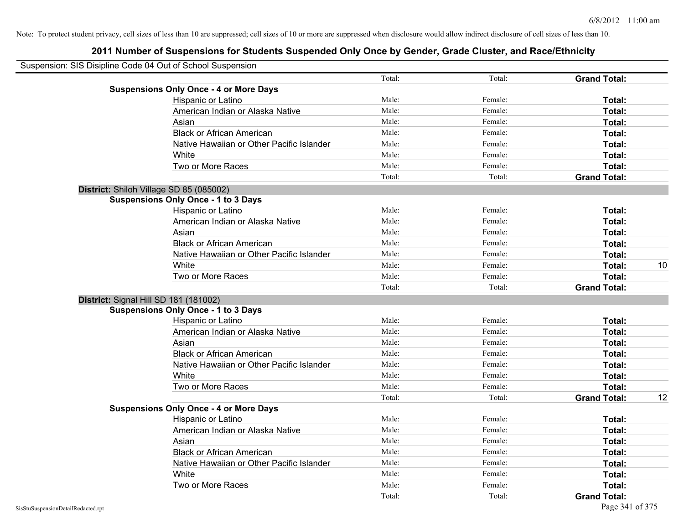| Suspension: SIS Disipline Code 04 Out of School Suspension |                                               |        |         |                     |    |
|------------------------------------------------------------|-----------------------------------------------|--------|---------|---------------------|----|
|                                                            |                                               | Total: | Total:  | <b>Grand Total:</b> |    |
|                                                            | <b>Suspensions Only Once - 4 or More Days</b> |        |         |                     |    |
|                                                            | Hispanic or Latino                            | Male:  | Female: | Total:              |    |
|                                                            | American Indian or Alaska Native              | Male:  | Female: | Total:              |    |
|                                                            | Asian                                         | Male:  | Female: | Total:              |    |
|                                                            | <b>Black or African American</b>              | Male:  | Female: | Total:              |    |
|                                                            | Native Hawaiian or Other Pacific Islander     | Male:  | Female: | Total:              |    |
|                                                            | White                                         | Male:  | Female: | Total:              |    |
|                                                            | Two or More Races                             | Male:  | Female: | Total:              |    |
|                                                            |                                               | Total: | Total:  | <b>Grand Total:</b> |    |
|                                                            | District: Shiloh Village SD 85 (085002)       |        |         |                     |    |
|                                                            | <b>Suspensions Only Once - 1 to 3 Days</b>    |        |         |                     |    |
|                                                            | Hispanic or Latino                            | Male:  | Female: | Total:              |    |
|                                                            | American Indian or Alaska Native              | Male:  | Female: | Total:              |    |
|                                                            | Asian                                         | Male:  | Female: | Total:              |    |
|                                                            | <b>Black or African American</b>              | Male:  | Female: | Total:              |    |
|                                                            | Native Hawaiian or Other Pacific Islander     | Male:  | Female: | Total:              |    |
|                                                            | White                                         | Male:  | Female: | Total:              | 10 |
|                                                            | Two or More Races                             | Male:  | Female: | Total:              |    |
|                                                            |                                               | Total: | Total:  | <b>Grand Total:</b> |    |
|                                                            | District: Signal Hill SD 181 (181002)         |        |         |                     |    |
|                                                            | <b>Suspensions Only Once - 1 to 3 Days</b>    |        |         |                     |    |
|                                                            | Hispanic or Latino                            | Male:  | Female: | Total:              |    |
|                                                            | American Indian or Alaska Native              | Male:  | Female: | Total:              |    |
|                                                            | Asian                                         | Male:  | Female: | Total:              |    |
|                                                            | <b>Black or African American</b>              | Male:  | Female: | Total:              |    |
|                                                            | Native Hawaiian or Other Pacific Islander     | Male:  | Female: | Total:              |    |
|                                                            | White                                         | Male:  | Female: | Total:              |    |
|                                                            | Two or More Races                             | Male:  | Female: | Total:              |    |
|                                                            |                                               | Total: | Total:  | <b>Grand Total:</b> | 12 |
|                                                            | <b>Suspensions Only Once - 4 or More Days</b> |        |         |                     |    |
|                                                            | Hispanic or Latino                            | Male:  | Female: | Total:              |    |
|                                                            | American Indian or Alaska Native              | Male:  | Female: | Total:              |    |
|                                                            | Asian                                         | Male:  | Female: | Total:              |    |
|                                                            | <b>Black or African American</b>              | Male:  | Female: | Total:              |    |
|                                                            | Native Hawaiian or Other Pacific Islander     | Male:  | Female: | Total:              |    |
|                                                            | White                                         | Male:  | Female: | Total:              |    |
|                                                            | Two or More Races                             | Male:  | Female: | <b>Total:</b>       |    |
|                                                            |                                               | Total: | Total:  | <b>Grand Total:</b> |    |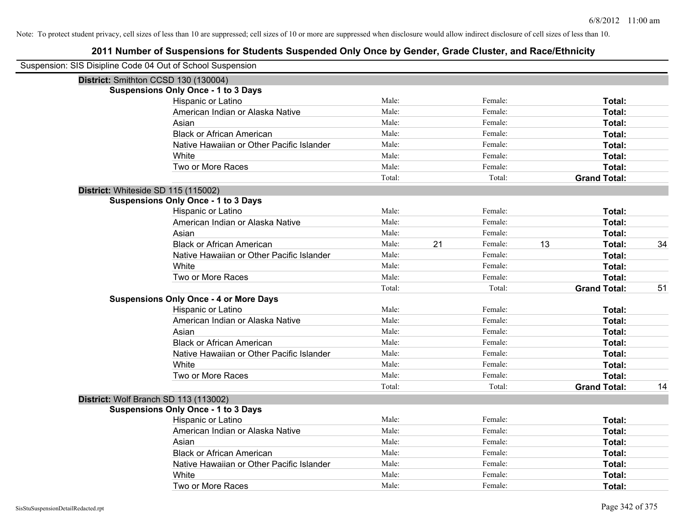| Suspension: SIS Disipline Code 04 Out of School Suspension |                                               |        |    |         |    |                     |    |
|------------------------------------------------------------|-----------------------------------------------|--------|----|---------|----|---------------------|----|
|                                                            | District: Smithton CCSD 130 (130004)          |        |    |         |    |                     |    |
|                                                            | <b>Suspensions Only Once - 1 to 3 Days</b>    |        |    |         |    |                     |    |
|                                                            | Hispanic or Latino                            | Male:  |    | Female: |    | Total:              |    |
|                                                            | American Indian or Alaska Native              | Male:  |    | Female: |    | Total:              |    |
|                                                            | Asian                                         | Male:  |    | Female: |    | Total:              |    |
|                                                            | <b>Black or African American</b>              | Male:  |    | Female: |    | Total:              |    |
|                                                            | Native Hawaiian or Other Pacific Islander     | Male:  |    | Female: |    | Total:              |    |
|                                                            | White                                         | Male:  |    | Female: |    | Total:              |    |
|                                                            | Two or More Races                             | Male:  |    | Female: |    | Total:              |    |
|                                                            |                                               | Total: |    | Total:  |    | <b>Grand Total:</b> |    |
|                                                            | District: Whiteside SD 115 (115002)           |        |    |         |    |                     |    |
|                                                            | <b>Suspensions Only Once - 1 to 3 Days</b>    |        |    |         |    |                     |    |
|                                                            | Hispanic or Latino                            | Male:  |    | Female: |    | Total:              |    |
|                                                            | American Indian or Alaska Native              | Male:  |    | Female: |    | Total:              |    |
|                                                            | Asian                                         | Male:  |    | Female: |    | Total:              |    |
|                                                            | <b>Black or African American</b>              | Male:  | 21 | Female: | 13 | Total:              | 34 |
|                                                            | Native Hawaiian or Other Pacific Islander     | Male:  |    | Female: |    | Total:              |    |
|                                                            | White                                         | Male:  |    | Female: |    | Total:              |    |
|                                                            | Two or More Races                             | Male:  |    | Female: |    | Total:              |    |
|                                                            |                                               | Total: |    | Total:  |    | <b>Grand Total:</b> | 51 |
|                                                            | <b>Suspensions Only Once - 4 or More Days</b> |        |    |         |    |                     |    |
|                                                            | Hispanic or Latino                            | Male:  |    | Female: |    | Total:              |    |
|                                                            | American Indian or Alaska Native              | Male:  |    | Female: |    | Total:              |    |
|                                                            | Asian                                         | Male:  |    | Female: |    | Total:              |    |
|                                                            | <b>Black or African American</b>              | Male:  |    | Female: |    | Total:              |    |
|                                                            | Native Hawaiian or Other Pacific Islander     | Male:  |    | Female: |    | Total:              |    |
|                                                            | White                                         | Male:  |    | Female: |    | Total:              |    |
|                                                            | Two or More Races                             | Male:  |    | Female: |    | Total:              |    |
|                                                            |                                               | Total: |    | Total:  |    | <b>Grand Total:</b> | 14 |
|                                                            | District: Wolf Branch SD 113 (113002)         |        |    |         |    |                     |    |
|                                                            | <b>Suspensions Only Once - 1 to 3 Days</b>    |        |    |         |    |                     |    |
|                                                            | Hispanic or Latino                            | Male:  |    | Female: |    | Total:              |    |
|                                                            | American Indian or Alaska Native              | Male:  |    | Female: |    | Total:              |    |
|                                                            | Asian                                         | Male:  |    | Female: |    | Total:              |    |
|                                                            | <b>Black or African American</b>              | Male:  |    | Female: |    | Total:              |    |
|                                                            | Native Hawaiian or Other Pacific Islander     | Male:  |    | Female: |    | Total:              |    |
|                                                            | White                                         | Male:  |    | Female: |    | <b>Total:</b>       |    |
|                                                            | Two or More Races                             | Male:  |    | Female: |    | Total:              |    |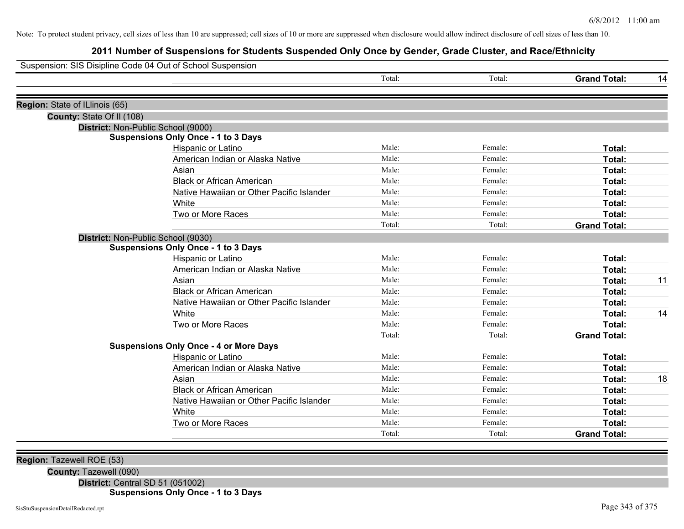# **2011 Number of Suspensions for Students Suspended Only Once by Gender, Grade Cluster, and Race/Ethnicity**

| Suspension: SIS Disipline Code 04 Out of School Suspension |                                               |        |         |                     |    |
|------------------------------------------------------------|-----------------------------------------------|--------|---------|---------------------|----|
|                                                            |                                               | Total: | Total:  | <b>Grand Total:</b> | 14 |
|                                                            |                                               |        |         |                     |    |
| Region: State of ILlinois (65)                             |                                               |        |         |                     |    |
| County: State Of II (108)                                  |                                               |        |         |                     |    |
| District: Non-Public School (9000)                         | <b>Suspensions Only Once - 1 to 3 Days</b>    |        |         |                     |    |
|                                                            | Hispanic or Latino                            | Male:  | Female: | Total:              |    |
|                                                            | American Indian or Alaska Native              | Male:  | Female: | Total:              |    |
|                                                            | Asian                                         | Male:  | Female: | Total:              |    |
|                                                            | <b>Black or African American</b>              | Male:  | Female: | Total:              |    |
|                                                            | Native Hawaiian or Other Pacific Islander     | Male:  | Female: | Total:              |    |
|                                                            | White                                         | Male:  | Female: | Total:              |    |
|                                                            | Two or More Races                             | Male:  | Female: | Total:              |    |
|                                                            |                                               | Total: | Total:  | <b>Grand Total:</b> |    |
| District: Non-Public School (9030)                         |                                               |        |         |                     |    |
|                                                            | <b>Suspensions Only Once - 1 to 3 Days</b>    |        |         |                     |    |
|                                                            | Hispanic or Latino                            | Male:  | Female: | Total:              |    |
|                                                            | American Indian or Alaska Native              | Male:  | Female: | Total:              |    |
|                                                            | Asian                                         | Male:  | Female: | Total:              | 11 |
|                                                            | <b>Black or African American</b>              | Male:  | Female: | Total:              |    |
|                                                            | Native Hawaiian or Other Pacific Islander     | Male:  | Female: | Total:              |    |
|                                                            | White                                         | Male:  | Female: | Total:              | 14 |
|                                                            | Two or More Races                             | Male:  | Female: | Total:              |    |
|                                                            |                                               | Total: | Total:  | <b>Grand Total:</b> |    |
|                                                            | <b>Suspensions Only Once - 4 or More Days</b> |        |         |                     |    |
|                                                            | Hispanic or Latino                            | Male:  | Female: | Total:              |    |
|                                                            | American Indian or Alaska Native              | Male:  | Female: | Total:              |    |
|                                                            | Asian                                         | Male:  | Female: | Total:              | 18 |
|                                                            | <b>Black or African American</b>              | Male:  | Female: | Total:              |    |
|                                                            | Native Hawaiian or Other Pacific Islander     | Male:  | Female: | Total:              |    |
|                                                            | White                                         | Male:  | Female: | Total:              |    |
|                                                            | Two or More Races                             | Male:  | Female: | Total:              |    |
|                                                            |                                               | Total: | Total:  | <b>Grand Total:</b> |    |

**Region:** Tazewell ROE (53)

**County:** Tazewell (090)

**District:** Central SD 51 (051002)

**Suspensions Only Once - 1 to 3 Days**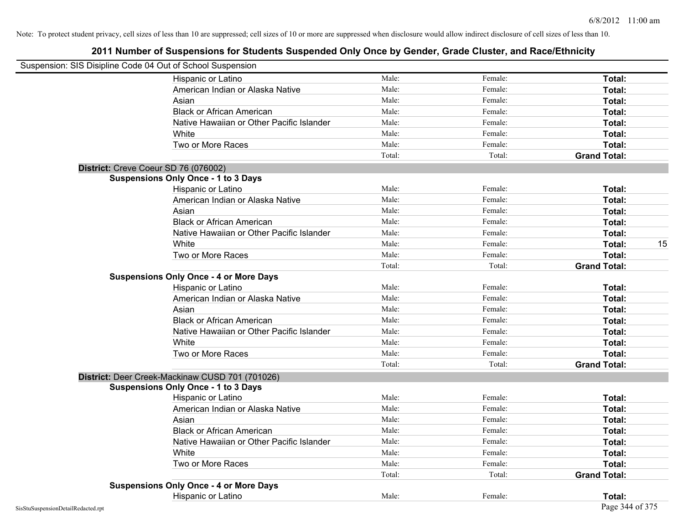| Suspension: SIS Disipline Code 04 Out of School Suspension |                                                                                    |                |                    |                     |    |
|------------------------------------------------------------|------------------------------------------------------------------------------------|----------------|--------------------|---------------------|----|
|                                                            | Hispanic or Latino                                                                 | Male:          | Female:            | Total:              |    |
|                                                            | American Indian or Alaska Native                                                   | Male:          | Female:            | Total:              |    |
|                                                            | Asian                                                                              | Male:          | Female:            | Total:              |    |
|                                                            | <b>Black or African American</b>                                                   | Male:          | Female:            | Total:              |    |
|                                                            | Native Hawaiian or Other Pacific Islander                                          | Male:          | Female:            | Total:              |    |
|                                                            | White                                                                              | Male:          | Female:            | Total:              |    |
|                                                            | Two or More Races                                                                  | Male:          | Female:            | Total:              |    |
|                                                            |                                                                                    | Total:         | Total:             | <b>Grand Total:</b> |    |
|                                                            |                                                                                    |                |                    |                     |    |
|                                                            | District: Creve Coeur SD 76 (076002)<br><b>Suspensions Only Once - 1 to 3 Days</b> |                |                    |                     |    |
|                                                            | Hispanic or Latino                                                                 | Male:          | Female:            | Total:              |    |
|                                                            | American Indian or Alaska Native                                                   | Male:          | Female:            | Total:              |    |
|                                                            | Asian                                                                              | Male:          | Female:            | Total:              |    |
|                                                            | <b>Black or African American</b>                                                   | Male:          | Female:            | Total:              |    |
|                                                            | Native Hawaiian or Other Pacific Islander                                          | Male:          | Female:            | Total:              |    |
|                                                            | White                                                                              | Male:          | Female:            | Total:              | 15 |
|                                                            | Two or More Races                                                                  | Male:          | Female:            | Total:              |    |
|                                                            |                                                                                    | Total:         | Total:             | <b>Grand Total:</b> |    |
|                                                            | <b>Suspensions Only Once - 4 or More Days</b>                                      |                |                    |                     |    |
|                                                            | Hispanic or Latino                                                                 | Male:          | Female:            | Total:              |    |
|                                                            | American Indian or Alaska Native                                                   | Male:          | Female:            | Total:              |    |
|                                                            | Asian                                                                              | Male:          | Female:            | Total:              |    |
|                                                            | <b>Black or African American</b>                                                   | Male:          | Female:            | Total:              |    |
|                                                            | Native Hawaiian or Other Pacific Islander                                          | Male:          | Female:            | Total:              |    |
|                                                            | White                                                                              | Male:          | Female:            | Total:              |    |
|                                                            | Two or More Races                                                                  | Male:          | Female:            | Total:              |    |
|                                                            |                                                                                    | Total:         | Total:             | <b>Grand Total:</b> |    |
|                                                            |                                                                                    |                |                    |                     |    |
|                                                            | District: Deer Creek-Mackinaw CUSD 701 (701026)                                    |                |                    |                     |    |
|                                                            | <b>Suspensions Only Once - 1 to 3 Days</b>                                         | Male:          | Female:            | Total:              |    |
|                                                            | Hispanic or Latino<br>American Indian or Alaska Native                             | Male:          | Female:            | Total:              |    |
|                                                            |                                                                                    | Male:          | Female:            | Total:              |    |
|                                                            | Asian<br><b>Black or African American</b>                                          | Male:          | Female:            | Total:              |    |
|                                                            |                                                                                    | Male:          | Female:            |                     |    |
|                                                            | Native Hawaiian or Other Pacific Islander                                          |                |                    | Total:              |    |
|                                                            | White                                                                              | Male:<br>Male: | Female:<br>Female: | Total:              |    |
|                                                            | Two or More Races                                                                  |                |                    | Total:              |    |
|                                                            | <b>Suspensions Only Once - 4 or More Days</b>                                      | Total:         | Total:             | <b>Grand Total:</b> |    |
|                                                            |                                                                                    | Male:          | Female:            |                     |    |
|                                                            | Hispanic or Latino                                                                 |                |                    | Total:              |    |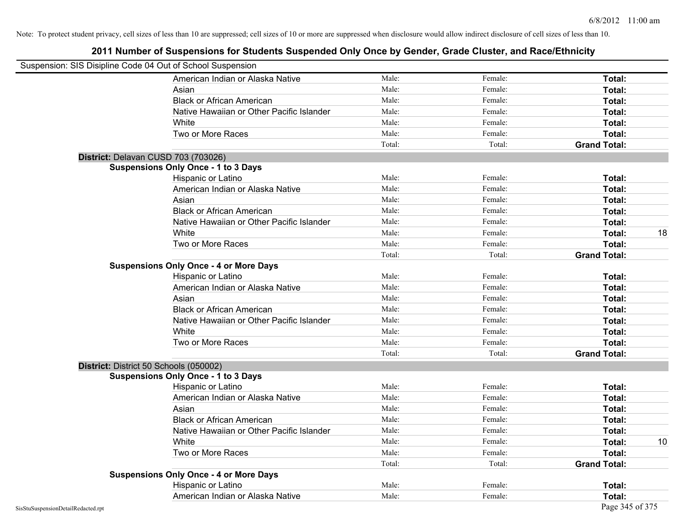| Suspension: SIS Disipline Code 04 Out of School Suspension |        |         |                     |    |
|------------------------------------------------------------|--------|---------|---------------------|----|
| American Indian or Alaska Native                           | Male:  | Female: | Total:              |    |
| Asian                                                      | Male:  | Female: | Total:              |    |
| <b>Black or African American</b>                           | Male:  | Female: | Total:              |    |
| Native Hawaiian or Other Pacific Islander                  | Male:  | Female: | Total:              |    |
| White                                                      | Male:  | Female: | Total:              |    |
| Two or More Races                                          | Male:  | Female: | Total:              |    |
|                                                            | Total: | Total:  | <b>Grand Total:</b> |    |
| District: Delavan CUSD 703 (703026)                        |        |         |                     |    |
| <b>Suspensions Only Once - 1 to 3 Days</b>                 |        |         |                     |    |
| Hispanic or Latino                                         | Male:  | Female: | Total:              |    |
| American Indian or Alaska Native                           | Male:  | Female: | Total:              |    |
| Asian                                                      | Male:  | Female: | Total:              |    |
| <b>Black or African American</b>                           | Male:  | Female: | Total:              |    |
| Native Hawaiian or Other Pacific Islander                  | Male:  | Female: | Total:              |    |
| White                                                      | Male:  | Female: | Total:              | 18 |
| Two or More Races                                          | Male:  | Female: | Total:              |    |
|                                                            | Total: | Total:  | <b>Grand Total:</b> |    |
| <b>Suspensions Only Once - 4 or More Days</b>              |        |         |                     |    |
| Hispanic or Latino                                         | Male:  | Female: | Total:              |    |
| American Indian or Alaska Native                           | Male:  | Female: | Total:              |    |
| Asian                                                      | Male:  | Female: | Total:              |    |
| <b>Black or African American</b>                           | Male:  | Female: | Total:              |    |
| Native Hawaiian or Other Pacific Islander                  | Male:  | Female: | Total:              |    |
| White                                                      | Male:  | Female: | Total:              |    |
| Two or More Races                                          | Male:  | Female: | Total:              |    |
|                                                            | Total: | Total:  | <b>Grand Total:</b> |    |
| District: District 50 Schools (050002)                     |        |         |                     |    |
| <b>Suspensions Only Once - 1 to 3 Days</b>                 |        |         |                     |    |
| Hispanic or Latino                                         | Male:  | Female: | Total:              |    |
| American Indian or Alaska Native                           | Male:  | Female: | Total:              |    |
| Asian                                                      | Male:  | Female: | Total:              |    |
| <b>Black or African American</b>                           | Male:  | Female: | Total:              |    |
| Native Hawaiian or Other Pacific Islander                  | Male:  | Female: | Total:              |    |
| White                                                      | Male:  | Female: | Total:              | 10 |
| Two or More Races                                          | Male:  | Female: | Total:              |    |
|                                                            | Total: | Total:  | <b>Grand Total:</b> |    |
| <b>Suspensions Only Once - 4 or More Days</b>              |        |         |                     |    |
| Hispanic or Latino                                         | Male:  | Female: | Total:              |    |
| American Indian or Alaska Native                           | Male:  | Female: | Total:              |    |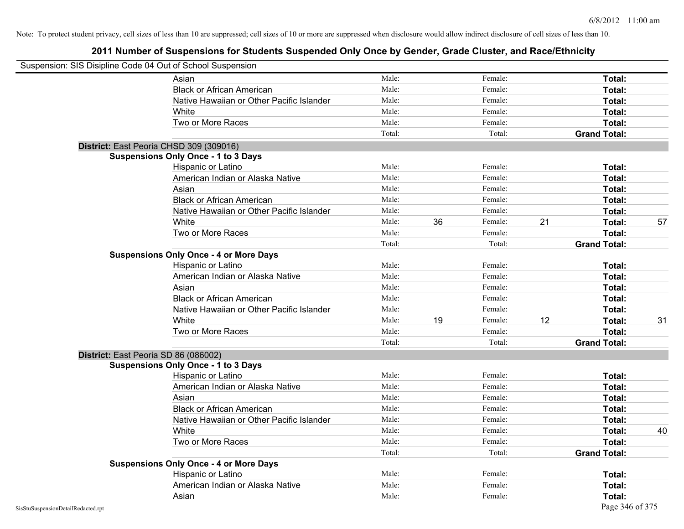|                                    | Suspension: SIS Disipline Code 04 Out of School Suspension |        |    |         |    |                     |    |
|------------------------------------|------------------------------------------------------------|--------|----|---------|----|---------------------|----|
|                                    | Asian                                                      | Male:  |    | Female: |    | Total:              |    |
|                                    | <b>Black or African American</b>                           | Male:  |    | Female: |    | Total:              |    |
|                                    | Native Hawaiian or Other Pacific Islander                  | Male:  |    | Female: |    | Total:              |    |
|                                    | White                                                      | Male:  |    | Female: |    | Total:              |    |
|                                    | Two or More Races                                          | Male:  |    | Female: |    | Total:              |    |
|                                    |                                                            | Total: |    | Total:  |    | <b>Grand Total:</b> |    |
|                                    | District: East Peoria CHSD 309 (309016)                    |        |    |         |    |                     |    |
|                                    | <b>Suspensions Only Once - 1 to 3 Days</b>                 |        |    |         |    |                     |    |
|                                    | Hispanic or Latino                                         | Male:  |    | Female: |    | Total:              |    |
|                                    | American Indian or Alaska Native                           | Male:  |    | Female: |    | Total:              |    |
|                                    | Asian                                                      | Male:  |    | Female: |    | Total:              |    |
|                                    | <b>Black or African American</b>                           | Male:  |    | Female: |    | Total:              |    |
|                                    | Native Hawaiian or Other Pacific Islander                  | Male:  |    | Female: |    | Total:              |    |
|                                    | White                                                      | Male:  | 36 | Female: | 21 | Total:              | 57 |
|                                    | Two or More Races                                          | Male:  |    | Female: |    | Total:              |    |
|                                    |                                                            | Total: |    | Total:  |    | <b>Grand Total:</b> |    |
|                                    | <b>Suspensions Only Once - 4 or More Days</b>              |        |    |         |    |                     |    |
|                                    | Hispanic or Latino                                         | Male:  |    | Female: |    | Total:              |    |
|                                    | American Indian or Alaska Native                           | Male:  |    | Female: |    | Total:              |    |
|                                    | Asian                                                      | Male:  |    | Female: |    | Total:              |    |
|                                    | <b>Black or African American</b>                           | Male:  |    | Female: |    | Total:              |    |
|                                    | Native Hawaiian or Other Pacific Islander                  | Male:  |    | Female: |    | Total:              |    |
|                                    | White                                                      | Male:  | 19 | Female: | 12 | Total:              | 31 |
|                                    | Two or More Races                                          | Male:  |    | Female: |    | Total:              |    |
|                                    |                                                            | Total: |    | Total:  |    | <b>Grand Total:</b> |    |
|                                    | District: East Peoria SD 86 (086002)                       |        |    |         |    |                     |    |
|                                    | <b>Suspensions Only Once - 1 to 3 Days</b>                 |        |    |         |    |                     |    |
|                                    | Hispanic or Latino                                         | Male:  |    | Female: |    | Total:              |    |
|                                    | American Indian or Alaska Native                           | Male:  |    | Female: |    | Total:              |    |
|                                    | Asian                                                      | Male:  |    | Female: |    | Total:              |    |
|                                    | <b>Black or African American</b>                           | Male:  |    | Female: |    | Total:              |    |
|                                    | Native Hawaiian or Other Pacific Islander                  | Male:  |    | Female: |    | Total:              |    |
|                                    | White                                                      | Male:  |    | Female: |    | Total:              | 40 |
|                                    | Two or More Races                                          | Male:  |    | Female: |    | Total:              |    |
|                                    |                                                            | Total: |    | Total:  |    | <b>Grand Total:</b> |    |
|                                    | <b>Suspensions Only Once - 4 or More Days</b>              |        |    |         |    |                     |    |
|                                    | Hispanic or Latino                                         | Male:  |    | Female: |    | Total:              |    |
|                                    | American Indian or Alaska Native                           | Male:  |    | Female: |    | Total:              |    |
|                                    | Asian                                                      | Male:  |    | Female: |    | Total:              |    |
| SisStuSuspensionDetailRedacted.rpt |                                                            |        |    |         |    | Page 346 of 375     |    |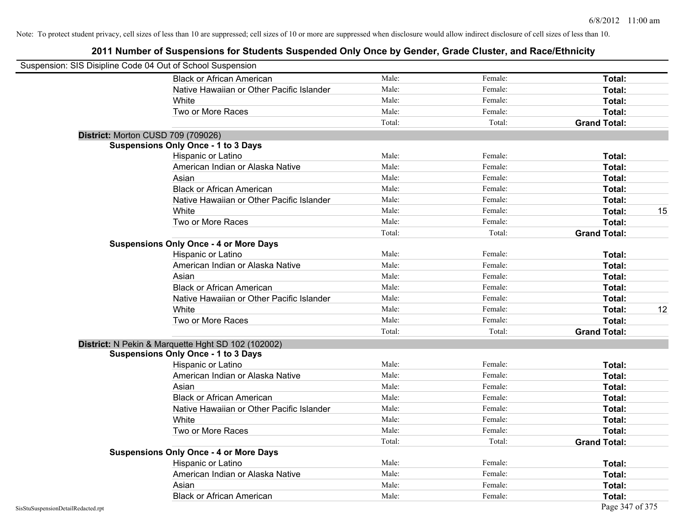| Suspension: SIS Disipline Code 04 Out of School Suspension |                                                    |        |         |                     |
|------------------------------------------------------------|----------------------------------------------------|--------|---------|---------------------|
|                                                            | <b>Black or African American</b>                   | Male:  | Female: | Total:              |
|                                                            | Native Hawaiian or Other Pacific Islander          | Male:  | Female: | Total:              |
|                                                            | White                                              | Male:  | Female: | Total:              |
|                                                            | Two or More Races                                  | Male:  | Female: | Total:              |
|                                                            |                                                    | Total: | Total:  | <b>Grand Total:</b> |
|                                                            | District: Morton CUSD 709 (709026)                 |        |         |                     |
|                                                            | <b>Suspensions Only Once - 1 to 3 Days</b>         |        |         |                     |
|                                                            | Hispanic or Latino                                 | Male:  | Female: | Total:              |
|                                                            | American Indian or Alaska Native                   | Male:  | Female: | Total:              |
|                                                            | Asian                                              | Male:  | Female: | Total:              |
|                                                            | <b>Black or African American</b>                   | Male:  | Female: | Total:              |
|                                                            | Native Hawaiian or Other Pacific Islander          | Male:  | Female: | Total:              |
|                                                            | White                                              | Male:  | Female: | 15<br>Total:        |
|                                                            | Two or More Races                                  | Male:  | Female: | Total:              |
|                                                            |                                                    | Total: | Total:  | <b>Grand Total:</b> |
|                                                            | <b>Suspensions Only Once - 4 or More Days</b>      |        |         |                     |
|                                                            | Hispanic or Latino                                 | Male:  | Female: | Total:              |
|                                                            | American Indian or Alaska Native                   | Male:  | Female: | Total:              |
|                                                            | Asian                                              | Male:  | Female: | Total:              |
|                                                            | <b>Black or African American</b>                   | Male:  | Female: | Total:              |
|                                                            | Native Hawaiian or Other Pacific Islander          | Male:  | Female: | Total:              |
|                                                            | White                                              | Male:  | Female: | 12<br>Total:        |
|                                                            | Two or More Races                                  | Male:  | Female: | Total:              |
|                                                            |                                                    | Total: | Total:  | <b>Grand Total:</b> |
|                                                            | District: N Pekin & Marquette Hght SD 102 (102002) |        |         |                     |
|                                                            | <b>Suspensions Only Once - 1 to 3 Days</b>         |        |         |                     |
|                                                            | Hispanic or Latino                                 | Male:  | Female: | Total:              |
|                                                            | American Indian or Alaska Native                   | Male:  | Female: | Total:              |
|                                                            | Asian                                              | Male:  | Female: | Total:              |
|                                                            | <b>Black or African American</b>                   | Male:  | Female: | Total:              |
|                                                            | Native Hawaiian or Other Pacific Islander          | Male:  | Female: | Total:              |
|                                                            | White                                              | Male:  | Female: | Total:              |
|                                                            | Two or More Races                                  | Male:  | Female: | Total:              |
|                                                            |                                                    | Total: | Total:  | <b>Grand Total:</b> |
|                                                            | <b>Suspensions Only Once - 4 or More Days</b>      |        |         |                     |
|                                                            | Hispanic or Latino                                 | Male:  | Female: | Total:              |
|                                                            | American Indian or Alaska Native                   | Male:  | Female: | Total:              |
|                                                            | Asian                                              | Male:  | Female: | Total:              |
|                                                            | <b>Black or African American</b>                   | Male:  | Female: | Total:              |
| SisStuSuspensionDetailRedacted.rpt                         |                                                    |        |         | Page 347 of 375     |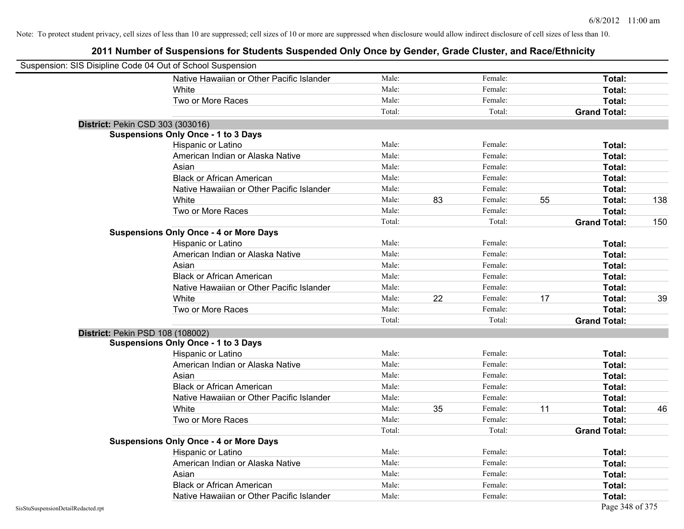|                                    | Suspension: SIS Disipline Code 04 Out of School Suspension |        |    |         |    |                     |     |
|------------------------------------|------------------------------------------------------------|--------|----|---------|----|---------------------|-----|
|                                    | Native Hawaiian or Other Pacific Islander                  | Male:  |    | Female: |    | Total:              |     |
|                                    | White                                                      | Male:  |    | Female: |    | Total:              |     |
|                                    | Two or More Races                                          | Male:  |    | Female: |    | Total:              |     |
|                                    |                                                            | Total: |    | Total:  |    | <b>Grand Total:</b> |     |
|                                    | District: Pekin CSD 303 (303016)                           |        |    |         |    |                     |     |
|                                    | <b>Suspensions Only Once - 1 to 3 Days</b>                 |        |    |         |    |                     |     |
|                                    | Hispanic or Latino                                         | Male:  |    | Female: |    | Total:              |     |
|                                    | American Indian or Alaska Native                           | Male:  |    | Female: |    | Total:              |     |
|                                    | Asian                                                      | Male:  |    | Female: |    | Total:              |     |
|                                    | <b>Black or African American</b>                           | Male:  |    | Female: |    | Total:              |     |
|                                    | Native Hawaiian or Other Pacific Islander                  | Male:  |    | Female: |    | Total:              |     |
|                                    | White                                                      | Male:  | 83 | Female: | 55 | Total:              | 138 |
|                                    | Two or More Races                                          | Male:  |    | Female: |    | Total:              |     |
|                                    |                                                            | Total: |    | Total:  |    | <b>Grand Total:</b> | 150 |
|                                    | <b>Suspensions Only Once - 4 or More Days</b>              |        |    |         |    |                     |     |
|                                    | Hispanic or Latino                                         | Male:  |    | Female: |    | Total:              |     |
|                                    | American Indian or Alaska Native                           | Male:  |    | Female: |    | Total:              |     |
|                                    | Asian                                                      | Male:  |    | Female: |    | Total:              |     |
|                                    | <b>Black or African American</b>                           | Male:  |    | Female: |    | Total:              |     |
|                                    | Native Hawaiian or Other Pacific Islander                  | Male:  |    | Female: |    | Total:              |     |
|                                    | White                                                      | Male:  | 22 | Female: | 17 | Total:              | 39  |
|                                    | Two or More Races                                          | Male:  |    | Female: |    | Total:              |     |
|                                    |                                                            | Total: |    | Total:  |    | <b>Grand Total:</b> |     |
|                                    | District: Pekin PSD 108 (108002)                           |        |    |         |    |                     |     |
|                                    | <b>Suspensions Only Once - 1 to 3 Days</b>                 |        |    |         |    |                     |     |
|                                    | Hispanic or Latino                                         | Male:  |    | Female: |    | Total:              |     |
|                                    | American Indian or Alaska Native                           | Male:  |    | Female: |    | Total:              |     |
|                                    | Asian                                                      | Male:  |    | Female: |    | Total:              |     |
|                                    | <b>Black or African American</b>                           | Male:  |    | Female: |    | Total:              |     |
|                                    | Native Hawaiian or Other Pacific Islander                  | Male:  |    | Female: |    | Total:              |     |
|                                    | White                                                      | Male:  | 35 | Female: | 11 | Total:              | 46  |
|                                    | Two or More Races                                          | Male:  |    | Female: |    | Total:              |     |
|                                    |                                                            | Total: |    | Total:  |    | <b>Grand Total:</b> |     |
|                                    | <b>Suspensions Only Once - 4 or More Days</b>              |        |    |         |    |                     |     |
|                                    | Hispanic or Latino                                         | Male:  |    | Female: |    | Total:              |     |
|                                    | American Indian or Alaska Native                           | Male:  |    | Female: |    | Total:              |     |
|                                    | Asian                                                      | Male:  |    | Female: |    | Total:              |     |
|                                    | <b>Black or African American</b>                           | Male:  |    | Female: |    | Total:              |     |
|                                    | Native Hawaiian or Other Pacific Islander                  | Male:  |    | Female: |    | Total:              |     |
| SisStuSuspensionDetailRedacted.rpt |                                                            |        |    |         |    | Page 348 of 375     |     |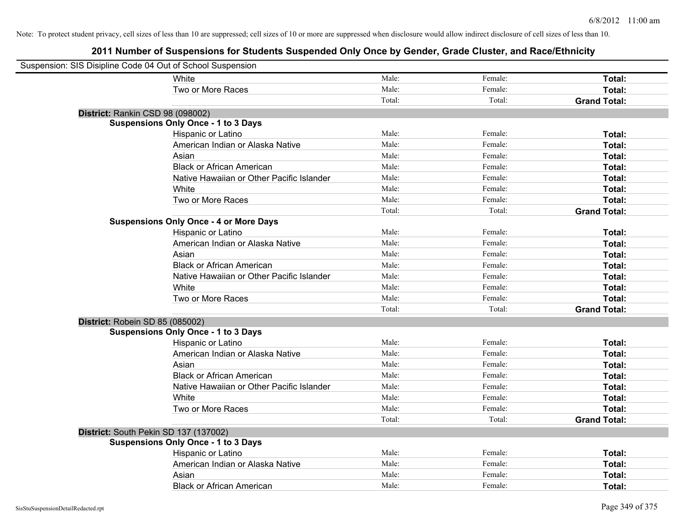| Suspension: SIS Disipline Code 04 Out of School Suspension |                                               |        |         |                     |
|------------------------------------------------------------|-----------------------------------------------|--------|---------|---------------------|
|                                                            | White                                         | Male:  | Female: | Total:              |
|                                                            | Two or More Races                             | Male:  | Female: | Total:              |
|                                                            |                                               | Total: | Total:  | <b>Grand Total:</b> |
| District: Rankin CSD 98 (098002)                           |                                               |        |         |                     |
|                                                            | <b>Suspensions Only Once - 1 to 3 Days</b>    |        |         |                     |
|                                                            | Hispanic or Latino                            | Male:  | Female: | Total:              |
|                                                            | American Indian or Alaska Native              | Male:  | Female: | Total:              |
|                                                            | Asian                                         | Male:  | Female: | Total:              |
|                                                            | <b>Black or African American</b>              | Male:  | Female: | Total:              |
|                                                            | Native Hawaiian or Other Pacific Islander     | Male:  | Female: | Total:              |
|                                                            | White                                         | Male:  | Female: | Total:              |
|                                                            | Two or More Races                             | Male:  | Female: | Total:              |
|                                                            |                                               | Total: | Total:  | <b>Grand Total:</b> |
|                                                            | <b>Suspensions Only Once - 4 or More Days</b> |        |         |                     |
|                                                            | Hispanic or Latino                            | Male:  | Female: | Total:              |
|                                                            | American Indian or Alaska Native              | Male:  | Female: | Total:              |
|                                                            | Asian                                         | Male:  | Female: | Total:              |
|                                                            | <b>Black or African American</b>              | Male:  | Female: | Total:              |
|                                                            | Native Hawaiian or Other Pacific Islander     | Male:  | Female: | Total:              |
|                                                            | White                                         | Male:  | Female: | Total:              |
|                                                            | Two or More Races                             | Male:  | Female: | Total:              |
|                                                            |                                               | Total: | Total:  | <b>Grand Total:</b> |
| District: Robein SD 85 (085002)                            |                                               |        |         |                     |
|                                                            | <b>Suspensions Only Once - 1 to 3 Days</b>    |        |         |                     |
|                                                            | Hispanic or Latino                            | Male:  | Female: | Total:              |
|                                                            | American Indian or Alaska Native              | Male:  | Female: | Total:              |
|                                                            | Asian                                         | Male:  | Female: | Total:              |
|                                                            | <b>Black or African American</b>              | Male:  | Female: | Total:              |
|                                                            | Native Hawaiian or Other Pacific Islander     | Male:  | Female: | Total:              |
|                                                            | White                                         | Male:  | Female: | Total:              |
|                                                            | Two or More Races                             | Male:  | Female: | Total:              |
|                                                            |                                               | Total: | Total:  | <b>Grand Total:</b> |
| District: South Pekin SD 137 (137002)                      |                                               |        |         |                     |
|                                                            | <b>Suspensions Only Once - 1 to 3 Days</b>    |        |         |                     |
|                                                            | Hispanic or Latino                            | Male:  | Female: | Total:              |
|                                                            | American Indian or Alaska Native              | Male:  | Female: | Total:              |
|                                                            | Asian                                         | Male:  | Female: | Total:              |
|                                                            | <b>Black or African American</b>              | Male:  | Female: | Total:              |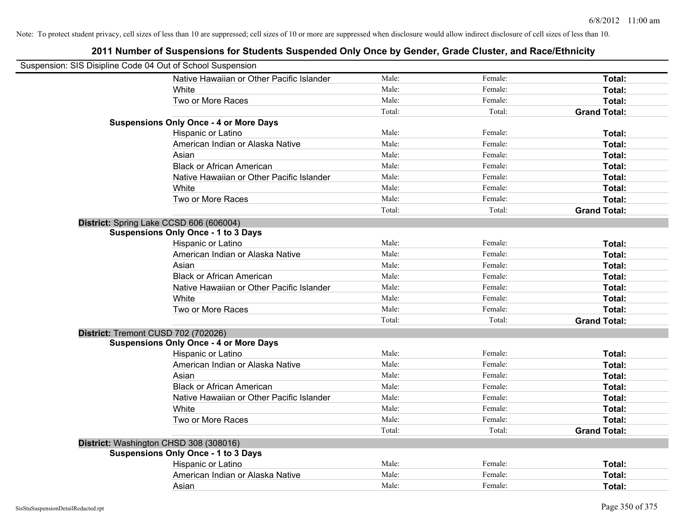| Suspension: SIS Disipline Code 04 Out of School Suspension |                                               |        |         |                     |
|------------------------------------------------------------|-----------------------------------------------|--------|---------|---------------------|
|                                                            | Native Hawaiian or Other Pacific Islander     | Male:  | Female: | Total:              |
|                                                            | White                                         | Male:  | Female: | Total:              |
|                                                            | Two or More Races                             | Male:  | Female: | Total:              |
|                                                            |                                               | Total: | Total:  | <b>Grand Total:</b> |
|                                                            | <b>Suspensions Only Once - 4 or More Days</b> |        |         |                     |
|                                                            | Hispanic or Latino                            | Male:  | Female: | Total:              |
|                                                            | American Indian or Alaska Native              | Male:  | Female: | Total:              |
|                                                            | Asian                                         | Male:  | Female: | Total:              |
|                                                            | <b>Black or African American</b>              | Male:  | Female: | Total:              |
|                                                            | Native Hawaiian or Other Pacific Islander     | Male:  | Female: | Total:              |
|                                                            | White                                         | Male:  | Female: | Total:              |
|                                                            | Two or More Races                             | Male:  | Female: | Total:              |
|                                                            |                                               | Total: | Total:  | <b>Grand Total:</b> |
|                                                            | District: Spring Lake CCSD 606 (606004)       |        |         |                     |
|                                                            | <b>Suspensions Only Once - 1 to 3 Days</b>    |        |         |                     |
|                                                            | Hispanic or Latino                            | Male:  | Female: | Total:              |
|                                                            | American Indian or Alaska Native              | Male:  | Female: | Total:              |
|                                                            | Asian                                         | Male:  | Female: | Total:              |
|                                                            | <b>Black or African American</b>              | Male:  | Female: | Total:              |
|                                                            | Native Hawaiian or Other Pacific Islander     | Male:  | Female: | Total:              |
|                                                            | White                                         | Male:  | Female: | Total:              |
|                                                            | Two or More Races                             | Male:  | Female: | Total:              |
|                                                            |                                               | Total: | Total:  | <b>Grand Total:</b> |
| District: Tremont CUSD 702 (702026)                        |                                               |        |         |                     |
|                                                            | <b>Suspensions Only Once - 4 or More Days</b> |        |         |                     |
|                                                            | Hispanic or Latino                            | Male:  | Female: | Total:              |
|                                                            | American Indian or Alaska Native              | Male:  | Female: | Total:              |
|                                                            | Asian                                         | Male:  | Female: | Total:              |
|                                                            | <b>Black or African American</b>              | Male:  | Female: | Total:              |
|                                                            | Native Hawaiian or Other Pacific Islander     | Male:  | Female: | Total:              |
|                                                            | White                                         | Male:  | Female: | Total:              |
|                                                            | Two or More Races                             | Male:  | Female: | Total:              |
|                                                            |                                               | Total: | Total:  | <b>Grand Total:</b> |
|                                                            | District: Washington CHSD 308 (308016)        |        |         |                     |
|                                                            | <b>Suspensions Only Once - 1 to 3 Days</b>    |        |         |                     |
|                                                            | Hispanic or Latino                            | Male:  | Female: | Total:              |
|                                                            | American Indian or Alaska Native              | Male:  | Female: | Total:              |
|                                                            | Asian                                         | Male:  | Female: | Total:              |
|                                                            |                                               |        |         |                     |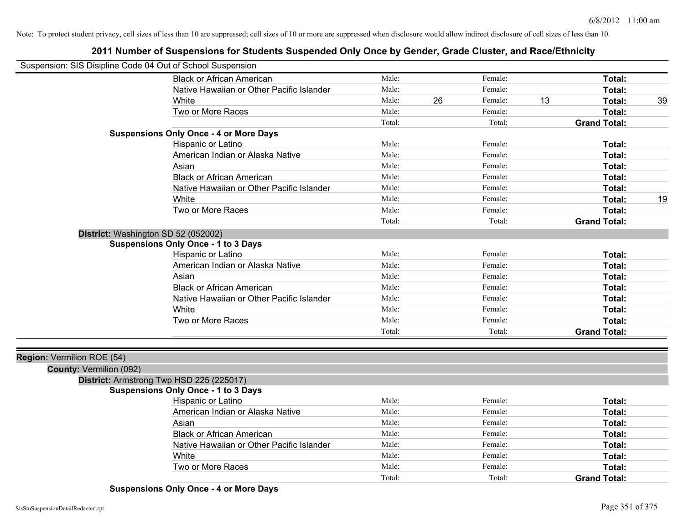# **2011 Number of Suspensions for Students Suspended Only Once by Gender, Grade Cluster, and Race/Ethnicity**

|                            | Suspension: SIS Disipline Code 04 Out of School Suspension |        |    |         |    |                     |    |
|----------------------------|------------------------------------------------------------|--------|----|---------|----|---------------------|----|
|                            | <b>Black or African American</b>                           | Male:  |    | Female: |    | Total:              |    |
|                            | Native Hawaiian or Other Pacific Islander                  | Male:  |    | Female: |    | Total:              |    |
|                            | White                                                      | Male:  | 26 | Female: | 13 | Total:              | 39 |
|                            | Two or More Races                                          | Male:  |    | Female: |    | <b>Total:</b>       |    |
|                            |                                                            | Total: |    | Total:  |    | <b>Grand Total:</b> |    |
|                            | <b>Suspensions Only Once - 4 or More Days</b>              |        |    |         |    |                     |    |
|                            | Hispanic or Latino                                         | Male:  |    | Female: |    | Total:              |    |
|                            | American Indian or Alaska Native                           | Male:  |    | Female: |    | <b>Total:</b>       |    |
|                            | Asian                                                      | Male:  |    | Female: |    | <b>Total:</b>       |    |
|                            | <b>Black or African American</b>                           | Male:  |    | Female: |    | <b>Total:</b>       |    |
|                            | Native Hawaiian or Other Pacific Islander                  | Male:  |    | Female: |    | <b>Total:</b>       |    |
|                            | White                                                      | Male:  |    | Female: |    | <b>Total:</b>       | 19 |
|                            | Two or More Races                                          | Male:  |    | Female: |    | <b>Total:</b>       |    |
|                            |                                                            | Total: |    | Total:  |    | <b>Grand Total:</b> |    |
|                            | District: Washington SD 52 (052002)                        |        |    |         |    |                     |    |
|                            | <b>Suspensions Only Once - 1 to 3 Days</b>                 |        |    |         |    |                     |    |
|                            | Hispanic or Latino                                         | Male:  |    | Female: |    | Total:              |    |
|                            | American Indian or Alaska Native                           | Male:  |    | Female: |    | Total:              |    |
|                            | Asian                                                      | Male:  |    | Female: |    | Total:              |    |
|                            | <b>Black or African American</b>                           | Male:  |    | Female: |    | <b>Total:</b>       |    |
|                            | Native Hawaiian or Other Pacific Islander                  | Male:  |    | Female: |    | <b>Total:</b>       |    |
|                            | White                                                      | Male:  |    | Female: |    | <b>Total:</b>       |    |
|                            | Two or More Races                                          | Male:  |    | Female: |    | <b>Total:</b>       |    |
|                            |                                                            | Total: |    | Total:  |    | <b>Grand Total:</b> |    |
|                            |                                                            |        |    |         |    |                     |    |
| Region: Vermilion ROE (54) |                                                            |        |    |         |    |                     |    |
| County: Vermilion (092)    |                                                            |        |    |         |    |                     |    |
|                            | District: Armstrong Twp HSD 225 (225017)                   |        |    |         |    |                     |    |
|                            | <b>Suspensions Only Once - 1 to 3 Days</b>                 |        |    |         |    |                     |    |
|                            | Hispanic or Latino                                         | Male:  |    | Female: |    | <b>Total:</b>       |    |
|                            | American Indian or Alaska Native                           | Male:  |    | Female: |    | <b>Total:</b>       |    |
|                            | Asian                                                      | Male:  |    | Female: |    | Total:              |    |
|                            | <b>Black or African American</b>                           | Male:  |    | Female: |    | <b>Total:</b>       |    |
|                            | Native Hawaiian or Other Pacific Islander                  | Male:  |    | Female: |    | <b>Total:</b>       |    |
|                            | White                                                      | Male:  |    | Female: |    | <b>Total:</b>       |    |
|                            | Two or More Races                                          | Male:  |    | Female: |    | <b>Total:</b>       |    |
|                            |                                                            | Total: |    | Total:  |    | <b>Grand Total:</b> |    |
|                            |                                                            |        |    |         |    |                     |    |

**Suspensions Only Once - 4 or More Days**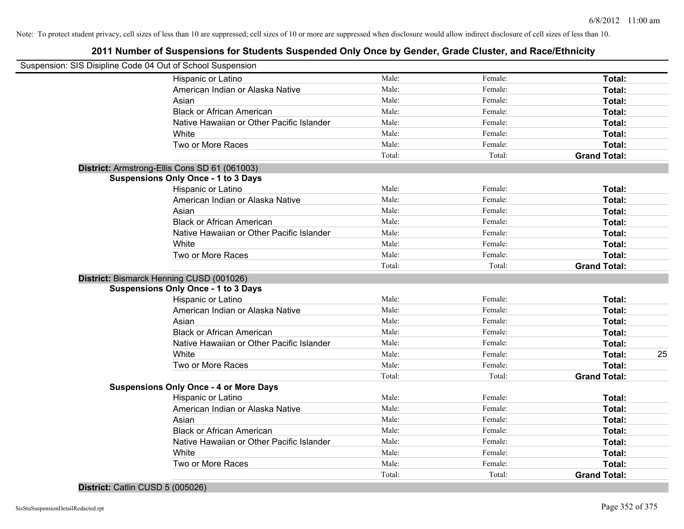# **2011 Number of Suspensions for Students Suspended Only Once by Gender, Grade Cluster, and Race/Ethnicity**

| Suspension: SIS Disipline Code 04 Out of School Suspension |        |         |                     |    |
|------------------------------------------------------------|--------|---------|---------------------|----|
| Hispanic or Latino                                         | Male:  | Female: | Total:              |    |
| American Indian or Alaska Native                           | Male:  | Female: | Total:              |    |
| Asian                                                      | Male:  | Female: | Total:              |    |
| <b>Black or African American</b>                           | Male:  | Female: | Total:              |    |
| Native Hawaiian or Other Pacific Islander                  | Male:  | Female: | Total:              |    |
| White                                                      | Male:  | Female: | Total:              |    |
| Two or More Races                                          | Male:  | Female: | Total:              |    |
|                                                            | Total: | Total:  | <b>Grand Total:</b> |    |
| District: Armstrong-Ellis Cons SD 61 (061003)              |        |         |                     |    |
| <b>Suspensions Only Once - 1 to 3 Days</b>                 |        |         |                     |    |
| Hispanic or Latino                                         | Male:  | Female: | Total:              |    |
| American Indian or Alaska Native                           | Male:  | Female: | Total:              |    |
| Asian                                                      | Male:  | Female: | Total:              |    |
| <b>Black or African American</b>                           | Male:  | Female: | Total:              |    |
| Native Hawaiian or Other Pacific Islander                  | Male:  | Female: | Total:              |    |
| White                                                      | Male:  | Female: | Total:              |    |
| Two or More Races                                          | Male:  | Female: | Total:              |    |
|                                                            | Total: | Total:  | <b>Grand Total:</b> |    |
| District: Bismarck Henning CUSD (001026)                   |        |         |                     |    |
| <b>Suspensions Only Once - 1 to 3 Days</b>                 |        |         |                     |    |
| Hispanic or Latino                                         | Male:  | Female: | Total:              |    |
| American Indian or Alaska Native                           | Male:  | Female: | Total:              |    |
| Asian                                                      | Male:  | Female: | Total:              |    |
| <b>Black or African American</b>                           | Male:  | Female: | Total:              |    |
| Native Hawaiian or Other Pacific Islander                  | Male:  | Female: | Total:              |    |
| White                                                      | Male:  | Female: | Total:              | 25 |
| Two or More Races                                          | Male:  | Female: | Total:              |    |
|                                                            | Total: | Total:  | <b>Grand Total:</b> |    |
| <b>Suspensions Only Once - 4 or More Days</b>              |        |         |                     |    |
| Hispanic or Latino                                         | Male:  | Female: | Total:              |    |
| American Indian or Alaska Native                           | Male:  | Female: | Total:              |    |
| Asian                                                      | Male:  | Female: | Total:              |    |
| <b>Black or African American</b>                           | Male:  | Female: | Total:              |    |
| Native Hawaiian or Other Pacific Islander                  | Male:  | Female: | Total:              |    |
| White                                                      | Male:  | Female: | Total:              |    |
| Two or More Races                                          | Male:  | Female: | Total:              |    |
|                                                            | Total: | Total:  | <b>Grand Total:</b> |    |
|                                                            |        |         |                     |    |

**District:** Catlin CUSD 5 (005026)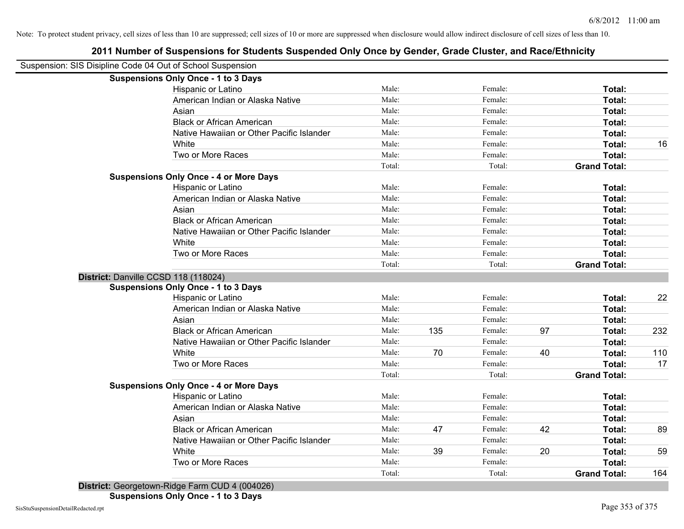| Suspension: SIS Disipline Code 04 Out of School Suspension |                |     |         |    |                     |     |
|------------------------------------------------------------|----------------|-----|---------|----|---------------------|-----|
| <b>Suspensions Only Once - 1 to 3 Days</b>                 |                |     |         |    |                     |     |
| Hispanic or Latino                                         | Male:          |     | Female: |    | Total:              |     |
| American Indian or Alaska Native                           | Male:          |     | Female: |    | Total:              |     |
| Asian                                                      | Male:          |     | Female: |    | Total:              |     |
| <b>Black or African American</b>                           | Male:          |     | Female: |    | Total:              |     |
| Native Hawaiian or Other Pacific Islander                  | Male:          |     | Female: |    | Total:              |     |
| White                                                      | Male:          |     | Female: |    | Total:              | 16  |
| Two or More Races                                          | Male:          |     | Female: |    | Total:              |     |
|                                                            | Total:         |     | Total:  |    | <b>Grand Total:</b> |     |
| <b>Suspensions Only Once - 4 or More Days</b>              |                |     |         |    |                     |     |
| Hispanic or Latino                                         | Male:          |     | Female: |    | Total:              |     |
| American Indian or Alaska Native                           | Male:          |     | Female: |    | Total:              |     |
| Asian                                                      | Male:          |     | Female: |    | Total:              |     |
| <b>Black or African American</b>                           | Male:          |     | Female: |    | Total:              |     |
| Native Hawaiian or Other Pacific Islander                  | Male:          |     | Female: |    | Total:              |     |
| White                                                      | Male:          |     | Female: |    | Total:              |     |
| Two or More Races                                          | Male:          |     | Female: |    | Total:              |     |
|                                                            | Total:         |     | Total:  |    | <b>Grand Total:</b> |     |
| District: Danville CCSD 118 (118024)                       |                |     |         |    |                     |     |
| <b>Suspensions Only Once - 1 to 3 Days</b>                 |                |     |         |    |                     |     |
| Hispanic or Latino                                         | Male:          |     | Female: |    | Total:              | 22  |
| American Indian or Alaska Native                           | Male:          |     | Female: |    | Total:              |     |
| Asian                                                      | Male:          |     | Female: |    | Total:              |     |
| <b>Black or African American</b>                           | Male:          | 135 | Female: | 97 | Total:              | 232 |
| Native Hawaiian or Other Pacific Islander                  | Male:          |     | Female: |    | Total:              |     |
| White                                                      | Male:          | 70  | Female: | 40 | Total:              | 110 |
| Two or More Races                                          | Male:          |     | Female: |    | <b>Total:</b>       | 17  |
|                                                            | Total:         |     | Total:  |    | <b>Grand Total:</b> |     |
| <b>Suspensions Only Once - 4 or More Days</b>              |                |     |         |    |                     |     |
| Hispanic or Latino                                         | Male:<br>Male: |     | Female: |    | Total:              |     |
| American Indian or Alaska Native                           |                |     | Female: |    | Total:              |     |
| Asian<br><b>Black or African American</b>                  | Male:          |     | Female: | 42 | Total:              |     |
|                                                            | Male:          | 47  | Female: |    | Total:              | 89  |
| Native Hawaiian or Other Pacific Islander                  | Male:          |     | Female: |    | Total:              |     |
| White                                                      | Male:          | 39  | Female: | 20 | Total:              | 59  |
| Two or More Races                                          | Male:          |     | Female: |    | Total:              |     |
|                                                            | Total:         |     | Total:  |    | <b>Grand Total:</b> | 164 |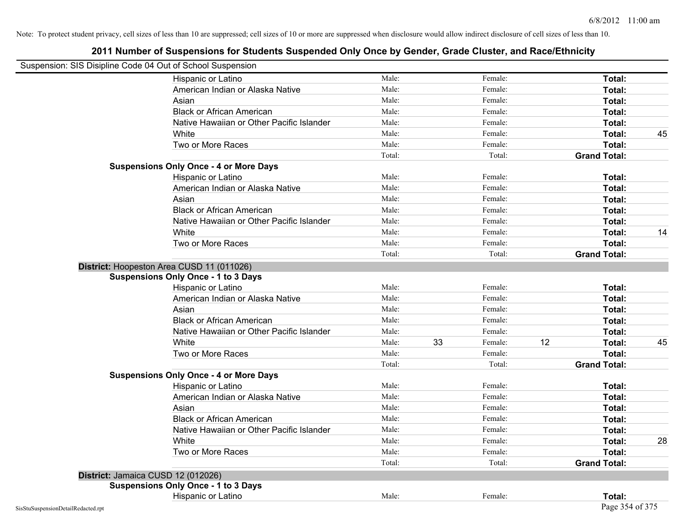|                                    | Suspension: SIS Disipline Code 04 Out of School Suspension |        |    |         |    |                     |    |
|------------------------------------|------------------------------------------------------------|--------|----|---------|----|---------------------|----|
|                                    | Hispanic or Latino                                         | Male:  |    | Female: |    | Total:              |    |
|                                    | American Indian or Alaska Native                           | Male:  |    | Female: |    | Total:              |    |
|                                    | Asian                                                      | Male:  |    | Female: |    | Total:              |    |
|                                    | <b>Black or African American</b>                           | Male:  |    | Female: |    | Total:              |    |
|                                    | Native Hawaiian or Other Pacific Islander                  | Male:  |    | Female: |    | Total:              |    |
|                                    | White                                                      | Male:  |    | Female: |    | Total:              | 45 |
|                                    | Two or More Races                                          | Male:  |    | Female: |    | Total:              |    |
|                                    |                                                            | Total: |    | Total:  |    | <b>Grand Total:</b> |    |
|                                    | <b>Suspensions Only Once - 4 or More Days</b>              |        |    |         |    |                     |    |
|                                    | Hispanic or Latino                                         | Male:  |    | Female: |    | Total:              |    |
|                                    | American Indian or Alaska Native                           | Male:  |    | Female: |    | Total:              |    |
|                                    | Asian                                                      | Male:  |    | Female: |    | Total:              |    |
|                                    | <b>Black or African American</b>                           | Male:  |    | Female: |    | Total:              |    |
|                                    | Native Hawaiian or Other Pacific Islander                  | Male:  |    | Female: |    | Total:              |    |
|                                    | White                                                      | Male:  |    | Female: |    | Total:              | 14 |
|                                    | Two or More Races                                          | Male:  |    | Female: |    | Total:              |    |
|                                    |                                                            | Total: |    | Total:  |    | <b>Grand Total:</b> |    |
|                                    | District: Hoopeston Area CUSD 11 (011026)                  |        |    |         |    |                     |    |
|                                    | <b>Suspensions Only Once - 1 to 3 Days</b>                 |        |    |         |    |                     |    |
|                                    | Hispanic or Latino                                         | Male:  |    | Female: |    | Total:              |    |
|                                    | American Indian or Alaska Native                           | Male:  |    | Female: |    | Total:              |    |
|                                    | Asian                                                      | Male:  |    | Female: |    | Total:              |    |
|                                    | <b>Black or African American</b>                           | Male:  |    | Female: |    | Total:              |    |
|                                    | Native Hawaiian or Other Pacific Islander                  | Male:  |    | Female: |    | Total:              |    |
|                                    | White                                                      | Male:  | 33 | Female: | 12 | Total:              | 45 |
|                                    | Two or More Races                                          | Male:  |    | Female: |    | Total:              |    |
|                                    |                                                            | Total: |    | Total:  |    | <b>Grand Total:</b> |    |
|                                    | <b>Suspensions Only Once - 4 or More Days</b>              |        |    |         |    |                     |    |
|                                    | Hispanic or Latino                                         | Male:  |    | Female: |    | Total:              |    |
|                                    | American Indian or Alaska Native                           | Male:  |    | Female: |    | Total:              |    |
|                                    | Asian                                                      | Male:  |    | Female: |    | Total:              |    |
|                                    | <b>Black or African American</b>                           | Male:  |    | Female: |    | Total:              |    |
|                                    | Native Hawaiian or Other Pacific Islander                  | Male:  |    | Female: |    | Total:              |    |
|                                    | White                                                      | Male:  |    | Female: |    | Total:              | 28 |
|                                    | Two or More Races                                          | Male:  |    | Female: |    | Total:              |    |
|                                    |                                                            | Total: |    | Total:  |    | <b>Grand Total:</b> |    |
|                                    | District: Jamaica CUSD 12 (012026)                         |        |    |         |    |                     |    |
|                                    | <b>Suspensions Only Once - 1 to 3 Days</b>                 |        |    |         |    |                     |    |
|                                    | Hispanic or Latino                                         | Male:  |    | Female: |    | Total:              |    |
| SisStuSuspensionDetailRedacted.rpt |                                                            |        |    |         |    | Page 354 of 375     |    |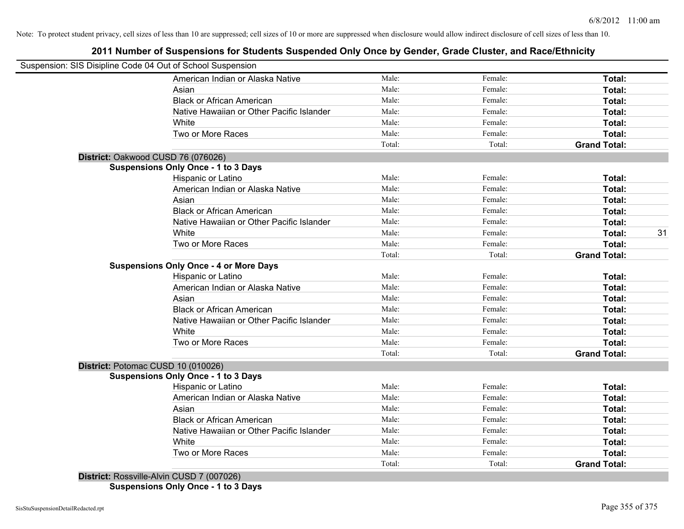# **2011 Number of Suspensions for Students Suspended Only Once by Gender, Grade Cluster, and Race/Ethnicity**

| Suspension: SIS Disipline Code 04 Out of School Suspension |                                               |        |         |                     |    |
|------------------------------------------------------------|-----------------------------------------------|--------|---------|---------------------|----|
|                                                            | American Indian or Alaska Native              | Male:  | Female: | Total:              |    |
|                                                            | Asian                                         | Male:  | Female: | Total:              |    |
|                                                            | <b>Black or African American</b>              | Male:  | Female: | Total:              |    |
|                                                            | Native Hawaiian or Other Pacific Islander     | Male:  | Female: | Total:              |    |
|                                                            | White                                         | Male:  | Female: | Total:              |    |
|                                                            | Two or More Races                             | Male:  | Female: | Total:              |    |
|                                                            |                                               | Total: | Total:  | <b>Grand Total:</b> |    |
| District: Oakwood CUSD 76 (076026)                         |                                               |        |         |                     |    |
|                                                            | <b>Suspensions Only Once - 1 to 3 Days</b>    |        |         |                     |    |
|                                                            | Hispanic or Latino                            | Male:  | Female: | Total:              |    |
|                                                            | American Indian or Alaska Native              | Male:  | Female: | Total:              |    |
|                                                            | Asian                                         | Male:  | Female: | Total:              |    |
|                                                            | <b>Black or African American</b>              | Male:  | Female: | Total:              |    |
|                                                            | Native Hawaiian or Other Pacific Islander     | Male:  | Female: | Total:              |    |
|                                                            | White                                         | Male:  | Female: | Total:              | 31 |
|                                                            | Two or More Races                             | Male:  | Female: | Total:              |    |
|                                                            |                                               | Total: | Total:  | <b>Grand Total:</b> |    |
|                                                            | <b>Suspensions Only Once - 4 or More Days</b> |        |         |                     |    |
|                                                            | Hispanic or Latino                            | Male:  | Female: | Total:              |    |
|                                                            | American Indian or Alaska Native              | Male:  | Female: | Total:              |    |
|                                                            | Asian                                         | Male:  | Female: | Total:              |    |
|                                                            | <b>Black or African American</b>              | Male:  | Female: | Total:              |    |
|                                                            | Native Hawaiian or Other Pacific Islander     | Male:  | Female: | Total:              |    |
|                                                            | White                                         | Male:  | Female: | Total:              |    |
|                                                            | Two or More Races                             | Male:  | Female: | Total:              |    |
|                                                            |                                               | Total: | Total:  | <b>Grand Total:</b> |    |
| District: Potomac CUSD 10 (010026)                         |                                               |        |         |                     |    |
|                                                            | <b>Suspensions Only Once - 1 to 3 Days</b>    |        |         |                     |    |
|                                                            | Hispanic or Latino                            | Male:  | Female: | Total:              |    |
|                                                            | American Indian or Alaska Native              | Male:  | Female: | Total:              |    |
|                                                            | Asian                                         | Male:  | Female: | Total:              |    |
|                                                            | <b>Black or African American</b>              | Male:  | Female: | Total:              |    |
|                                                            | Native Hawaiian or Other Pacific Islander     | Male:  | Female: | Total:              |    |
|                                                            | White                                         | Male:  | Female: | Total:              |    |
|                                                            | Two or More Races                             | Male:  | Female: | <b>Total:</b>       |    |
|                                                            |                                               | Total: | Total:  | <b>Grand Total:</b> |    |
| District: Rossville-Alvin CUSD 7 (007026)                  |                                               |        |         |                     |    |

**Suspensions Only Once - 1 to 3 Days**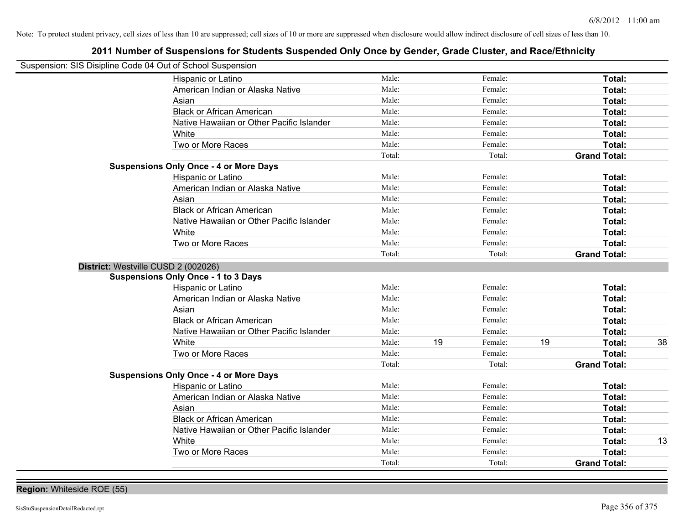| Suspension: SIS Disipline Code 04 Out of School Suspension |                                               |        |    |         |    |                     |    |
|------------------------------------------------------------|-----------------------------------------------|--------|----|---------|----|---------------------|----|
|                                                            | Hispanic or Latino                            | Male:  |    | Female: |    | Total:              |    |
|                                                            | American Indian or Alaska Native              | Male:  |    | Female: |    | Total:              |    |
|                                                            | Asian                                         | Male:  |    | Female: |    | Total:              |    |
|                                                            | <b>Black or African American</b>              | Male:  |    | Female: |    | Total:              |    |
|                                                            | Native Hawaiian or Other Pacific Islander     | Male:  |    | Female: |    | Total:              |    |
|                                                            | White                                         | Male:  |    | Female: |    | Total:              |    |
|                                                            | Two or More Races                             | Male:  |    | Female: |    | Total:              |    |
|                                                            |                                               | Total: |    | Total:  |    | <b>Grand Total:</b> |    |
|                                                            | <b>Suspensions Only Once - 4 or More Days</b> |        |    |         |    |                     |    |
|                                                            | Hispanic or Latino                            | Male:  |    | Female: |    | Total:              |    |
|                                                            | American Indian or Alaska Native              | Male:  |    | Female: |    | Total:              |    |
|                                                            | Asian                                         | Male:  |    | Female: |    | Total:              |    |
|                                                            | <b>Black or African American</b>              | Male:  |    | Female: |    | Total:              |    |
|                                                            | Native Hawaiian or Other Pacific Islander     | Male:  |    | Female: |    | Total:              |    |
|                                                            | White                                         | Male:  |    | Female: |    | Total:              |    |
|                                                            | Two or More Races                             | Male:  |    | Female: |    | Total:              |    |
|                                                            |                                               | Total: |    | Total:  |    | <b>Grand Total:</b> |    |
| District: Westville CUSD 2 (002026)                        |                                               |        |    |         |    |                     |    |
|                                                            | <b>Suspensions Only Once - 1 to 3 Days</b>    |        |    |         |    |                     |    |
|                                                            | Hispanic or Latino                            | Male:  |    | Female: |    | Total:              |    |
|                                                            | American Indian or Alaska Native              | Male:  |    | Female: |    | Total:              |    |
|                                                            | Asian                                         | Male:  |    | Female: |    | Total:              |    |
|                                                            | <b>Black or African American</b>              | Male:  |    | Female: |    | Total:              |    |
|                                                            | Native Hawaiian or Other Pacific Islander     | Male:  |    | Female: |    | Total:              |    |
|                                                            | White                                         | Male:  | 19 | Female: | 19 | Total:              | 38 |
|                                                            | Two or More Races                             | Male:  |    | Female: |    | Total:              |    |
|                                                            |                                               | Total: |    | Total:  |    | <b>Grand Total:</b> |    |
|                                                            | <b>Suspensions Only Once - 4 or More Days</b> |        |    |         |    |                     |    |
|                                                            | Hispanic or Latino                            | Male:  |    | Female: |    | Total:              |    |
|                                                            | American Indian or Alaska Native              | Male:  |    | Female: |    | Total:              |    |
|                                                            | Asian                                         | Male:  |    | Female: |    | Total:              |    |
|                                                            | <b>Black or African American</b>              | Male:  |    | Female: |    | Total:              |    |
|                                                            | Native Hawaiian or Other Pacific Islander     | Male:  |    | Female: |    | Total:              |    |
|                                                            | White                                         | Male:  |    | Female: |    | Total:              | 13 |
|                                                            | Two or More Races                             | Male:  |    | Female: |    | <b>Total:</b>       |    |
|                                                            |                                               | Total: |    | Total:  |    | <b>Grand Total:</b> |    |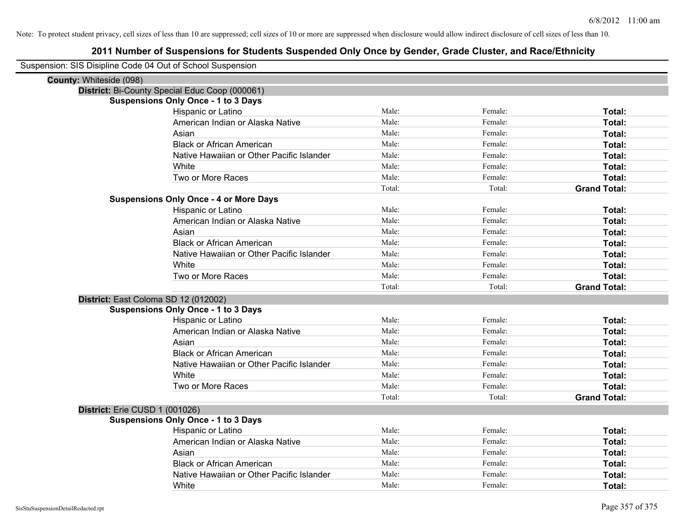| Suspension: SIS Disipline Code 04 Out of School Suspension |                                                |        |         |                     |
|------------------------------------------------------------|------------------------------------------------|--------|---------|---------------------|
| <b>County: Whiteside (098)</b>                             |                                                |        |         |                     |
|                                                            | District: Bi-County Special Educ Coop (000061) |        |         |                     |
|                                                            | <b>Suspensions Only Once - 1 to 3 Days</b>     |        |         |                     |
|                                                            | <b>Hispanic or Latino</b>                      | Male:  | Female: | Total:              |
|                                                            | American Indian or Alaska Native               | Male:  | Female: | Total:              |
|                                                            | Asian                                          | Male:  | Female: | Total:              |
|                                                            | <b>Black or African American</b>               | Male:  | Female: | Total:              |
|                                                            | Native Hawaiian or Other Pacific Islander      | Male:  | Female: | Total:              |
|                                                            | White                                          | Male:  | Female: | Total:              |
|                                                            | Two or More Races                              | Male:  | Female: | Total:              |
|                                                            |                                                | Total: | Total:  | <b>Grand Total:</b> |
|                                                            | <b>Suspensions Only Once - 4 or More Days</b>  |        |         |                     |
|                                                            | Hispanic or Latino                             | Male:  | Female: | Total:              |
|                                                            | American Indian or Alaska Native               | Male:  | Female: | Total:              |
|                                                            | Asian                                          | Male:  | Female: | Total:              |
|                                                            | <b>Black or African American</b>               | Male:  | Female: | Total:              |
|                                                            | Native Hawaiian or Other Pacific Islander      | Male:  | Female: | Total:              |
|                                                            | White                                          | Male:  | Female: | Total:              |
|                                                            | Two or More Races                              | Male:  | Female: | Total:              |
|                                                            |                                                | Total: | Total:  | <b>Grand Total:</b> |
| District: East Coloma SD 12 (012002)                       |                                                |        |         |                     |
|                                                            | <b>Suspensions Only Once - 1 to 3 Days</b>     |        |         |                     |
|                                                            | Hispanic or Latino                             | Male:  | Female: | Total:              |
|                                                            | American Indian or Alaska Native               | Male:  | Female: | Total:              |
|                                                            | Asian                                          | Male:  | Female: | Total:              |
|                                                            | <b>Black or African American</b>               | Male:  | Female: | Total:              |
|                                                            | Native Hawaiian or Other Pacific Islander      | Male:  | Female: | Total:              |
|                                                            | White                                          | Male:  | Female: | Total:              |
|                                                            | Two or More Races                              | Male:  | Female: | Total:              |
|                                                            |                                                | Total: | Total:  | <b>Grand Total:</b> |
| District: Erie CUSD 1 (001026)                             |                                                |        |         |                     |
|                                                            | <b>Suspensions Only Once - 1 to 3 Days</b>     |        |         |                     |
|                                                            | Hispanic or Latino                             | Male:  | Female: | Total:              |
|                                                            | American Indian or Alaska Native               | Male:  | Female: | Total:              |
|                                                            | Asian                                          | Male:  | Female: | Total:              |
|                                                            | <b>Black or African American</b>               | Male:  | Female: | Total:              |
|                                                            | Native Hawaiian or Other Pacific Islander      | Male:  | Female: | Total:              |
|                                                            | White                                          | Male:  | Female: | Total:              |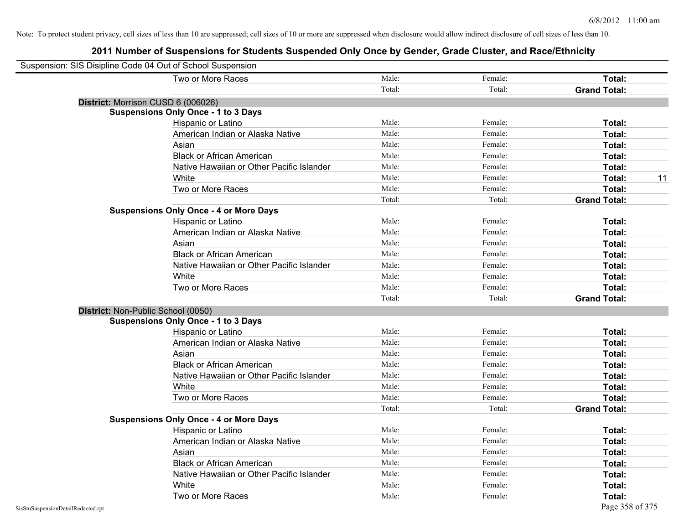| Suspension: SIS Disipline Code 04 Out of School Suspension |        |         |                     |
|------------------------------------------------------------|--------|---------|---------------------|
| Two or More Races                                          | Male:  | Female: | Total:              |
|                                                            | Total: | Total:  | <b>Grand Total:</b> |
| District: Morrison CUSD 6 (006026)                         |        |         |                     |
| <b>Suspensions Only Once - 1 to 3 Days</b>                 |        |         |                     |
| Hispanic or Latino                                         | Male:  | Female: | Total:              |
| American Indian or Alaska Native                           | Male:  | Female: | Total:              |
| Asian                                                      | Male:  | Female: | Total:              |
| <b>Black or African American</b>                           | Male:  | Female: | Total:              |
| Native Hawaiian or Other Pacific Islander                  | Male:  | Female: | Total:              |
| White                                                      | Male:  | Female: | 11<br>Total:        |
| Two or More Races                                          | Male:  | Female: | Total:              |
|                                                            | Total: | Total:  | <b>Grand Total:</b> |
| <b>Suspensions Only Once - 4 or More Days</b>              |        |         |                     |
| Hispanic or Latino                                         | Male:  | Female: | Total:              |
| American Indian or Alaska Native                           | Male:  | Female: | Total:              |
| Asian                                                      | Male:  | Female: | Total:              |
| <b>Black or African American</b>                           | Male:  | Female: | Total:              |
| Native Hawaiian or Other Pacific Islander                  | Male:  | Female: | Total:              |
| White                                                      | Male:  | Female: | Total:              |
| Two or More Races                                          | Male:  | Female: | Total:              |
|                                                            | Total: | Total:  | <b>Grand Total:</b> |
| District: Non-Public School (0050)                         |        |         |                     |
| <b>Suspensions Only Once - 1 to 3 Days</b>                 |        |         |                     |
| Hispanic or Latino                                         | Male:  | Female: | Total:              |
| American Indian or Alaska Native                           | Male:  | Female: | Total:              |
| Asian                                                      | Male:  | Female: | Total:              |
| <b>Black or African American</b>                           | Male:  | Female: | Total:              |
| Native Hawaiian or Other Pacific Islander                  | Male:  | Female: | Total:              |
| White                                                      | Male:  | Female: | Total:              |
| Two or More Races                                          | Male:  | Female: | Total:              |
|                                                            | Total: | Total:  | <b>Grand Total:</b> |
| <b>Suspensions Only Once - 4 or More Days</b>              |        |         |                     |
| <b>Hispanic or Latino</b>                                  | Male:  | Female: | Total:              |
| American Indian or Alaska Native                           | Male:  | Female: | Total:              |
| Asian                                                      | Male:  | Female: | Total:              |
| <b>Black or African American</b>                           | Male:  | Female: | Total:              |
| Native Hawaiian or Other Pacific Islander                  | Male:  | Female: | Total:              |
| White                                                      | Male:  | Female: | Total:              |
| Two or More Races                                          | Male:  | Female: | Total:              |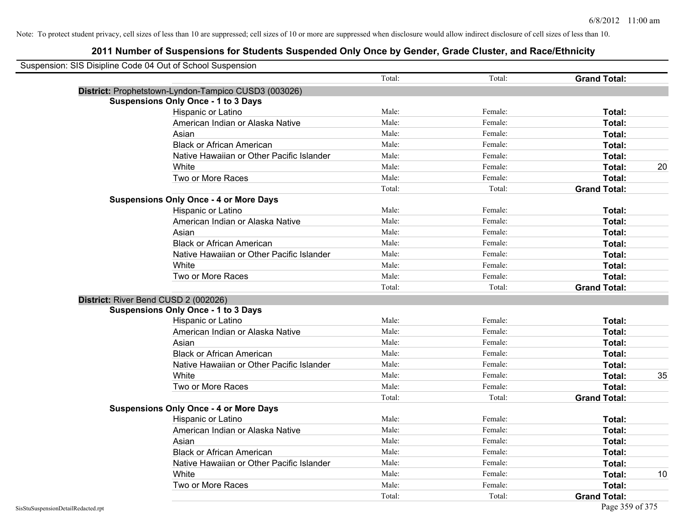| Suspension: SIS Disipline Code 04 Out of School Suspension |                                                      |        |         |                     |    |
|------------------------------------------------------------|------------------------------------------------------|--------|---------|---------------------|----|
|                                                            |                                                      | Total: | Total:  | <b>Grand Total:</b> |    |
|                                                            | District: Prophetstown-Lyndon-Tampico CUSD3 (003026) |        |         |                     |    |
|                                                            | <b>Suspensions Only Once - 1 to 3 Days</b>           |        |         |                     |    |
|                                                            | Hispanic or Latino                                   | Male:  | Female: | Total:              |    |
|                                                            | American Indian or Alaska Native                     | Male:  | Female: | Total:              |    |
|                                                            | Asian                                                | Male:  | Female: | Total:              |    |
|                                                            | <b>Black or African American</b>                     | Male:  | Female: | Total:              |    |
|                                                            | Native Hawaiian or Other Pacific Islander            | Male:  | Female: | Total:              |    |
|                                                            | White                                                | Male:  | Female: | Total:              | 20 |
|                                                            | Two or More Races                                    | Male:  | Female: | Total:              |    |
|                                                            |                                                      | Total: | Total:  | <b>Grand Total:</b> |    |
|                                                            | <b>Suspensions Only Once - 4 or More Days</b>        |        |         |                     |    |
|                                                            | Hispanic or Latino                                   | Male:  | Female: | Total:              |    |
|                                                            | American Indian or Alaska Native                     | Male:  | Female: | Total:              |    |
|                                                            | Asian                                                | Male:  | Female: | Total:              |    |
|                                                            | <b>Black or African American</b>                     | Male:  | Female: | Total:              |    |
|                                                            | Native Hawaiian or Other Pacific Islander            | Male:  | Female: | Total:              |    |
|                                                            | White                                                | Male:  | Female: | Total:              |    |
|                                                            | Two or More Races                                    | Male:  | Female: | Total:              |    |
|                                                            |                                                      | Total: | Total:  | <b>Grand Total:</b> |    |
| District: River Bend CUSD 2 (002026)                       |                                                      |        |         |                     |    |
|                                                            | <b>Suspensions Only Once - 1 to 3 Days</b>           |        |         |                     |    |
|                                                            | Hispanic or Latino                                   | Male:  | Female: | Total:              |    |
|                                                            | American Indian or Alaska Native                     | Male:  | Female: | Total:              |    |
|                                                            | Asian                                                | Male:  | Female: | Total:              |    |
|                                                            | <b>Black or African American</b>                     | Male:  | Female: | Total:              |    |
|                                                            | Native Hawaiian or Other Pacific Islander            | Male:  | Female: | Total:              |    |
|                                                            | White                                                | Male:  | Female: | Total:              | 35 |
|                                                            | Two or More Races                                    | Male:  | Female: | Total:              |    |
|                                                            |                                                      | Total: | Total:  | <b>Grand Total:</b> |    |
|                                                            | <b>Suspensions Only Once - 4 or More Days</b>        |        |         |                     |    |
|                                                            | Hispanic or Latino                                   | Male:  | Female: | Total:              |    |
|                                                            | American Indian or Alaska Native                     | Male:  | Female: | Total:              |    |
|                                                            | Asian                                                | Male:  | Female: | Total:              |    |
|                                                            | <b>Black or African American</b>                     | Male:  | Female: | Total:              |    |
|                                                            | Native Hawaiian or Other Pacific Islander            | Male:  | Female: | Total:              |    |
|                                                            | White                                                | Male:  | Female: | Total:              | 10 |
|                                                            | Two or More Races                                    | Male:  | Female: | Total:              |    |
|                                                            |                                                      | Total: | Total:  | <b>Grand Total:</b> |    |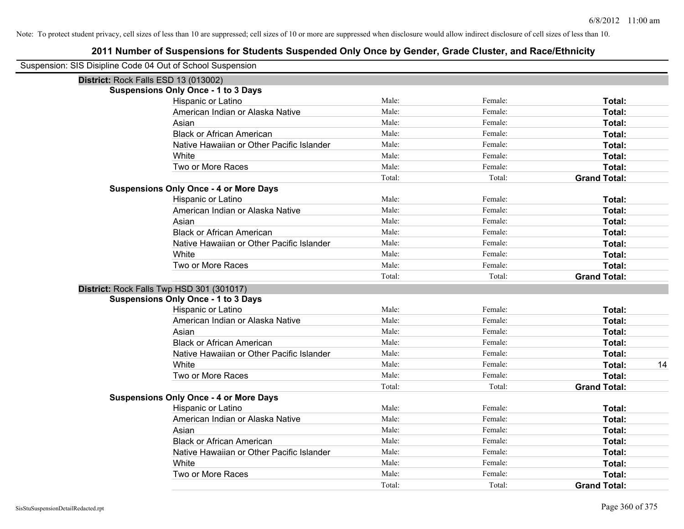| Suspension: SIS Disipline Code 04 Out of School Suspension |                                               |        |         |                     |
|------------------------------------------------------------|-----------------------------------------------|--------|---------|---------------------|
| District: Rock Falls ESD 13 (013002)                       |                                               |        |         |                     |
|                                                            | <b>Suspensions Only Once - 1 to 3 Days</b>    |        |         |                     |
|                                                            | Hispanic or Latino                            | Male:  | Female: | Total:              |
|                                                            | American Indian or Alaska Native              | Male:  | Female: | Total:              |
|                                                            | Asian                                         | Male:  | Female: | Total:              |
|                                                            | <b>Black or African American</b>              | Male:  | Female: | Total:              |
|                                                            | Native Hawaiian or Other Pacific Islander     | Male:  | Female: | Total:              |
|                                                            | White                                         | Male:  | Female: | Total:              |
|                                                            | Two or More Races                             | Male:  | Female: | Total:              |
|                                                            |                                               | Total: | Total:  | <b>Grand Total:</b> |
| <b>Suspensions Only Once - 4 or More Days</b>              |                                               |        |         |                     |
|                                                            | Hispanic or Latino                            | Male:  | Female: | Total:              |
|                                                            | American Indian or Alaska Native              | Male:  | Female: | Total:              |
|                                                            | Asian                                         | Male:  | Female: | Total:              |
|                                                            | <b>Black or African American</b>              | Male:  | Female: | Total:              |
|                                                            | Native Hawaiian or Other Pacific Islander     | Male:  | Female: | Total:              |
|                                                            | White                                         | Male:  | Female: | Total:              |
|                                                            | Two or More Races                             | Male:  | Female: | Total:              |
|                                                            |                                               | Total: | Total:  | <b>Grand Total:</b> |
| District: Rock Falls Twp HSD 301 (301017)                  |                                               |        |         |                     |
|                                                            | <b>Suspensions Only Once - 1 to 3 Days</b>    |        |         |                     |
|                                                            | Hispanic or Latino                            | Male:  | Female: | Total:              |
|                                                            | American Indian or Alaska Native              | Male:  | Female: | Total:              |
|                                                            | Asian                                         | Male:  | Female: | Total:              |
|                                                            | <b>Black or African American</b>              | Male:  | Female: | Total:              |
|                                                            | Native Hawaiian or Other Pacific Islander     | Male:  | Female: | Total:              |
|                                                            | White                                         | Male:  | Female: | Total:<br>14        |
|                                                            | Two or More Races                             | Male:  | Female: | Total:              |
|                                                            |                                               | Total: | Total:  | <b>Grand Total:</b> |
|                                                            | <b>Suspensions Only Once - 4 or More Days</b> |        |         |                     |
|                                                            | Hispanic or Latino                            | Male:  | Female: | Total:              |
|                                                            | American Indian or Alaska Native              | Male:  | Female: | Total:              |
|                                                            | Asian                                         | Male:  | Female: | Total:              |
|                                                            | <b>Black or African American</b>              | Male:  | Female: | Total:              |
|                                                            | Native Hawaiian or Other Pacific Islander     | Male:  | Female: | Total:              |
|                                                            | White                                         | Male:  | Female: | Total:              |
|                                                            | Two or More Races                             | Male:  | Female: | Total:              |
|                                                            |                                               | Total: | Total:  | <b>Grand Total:</b> |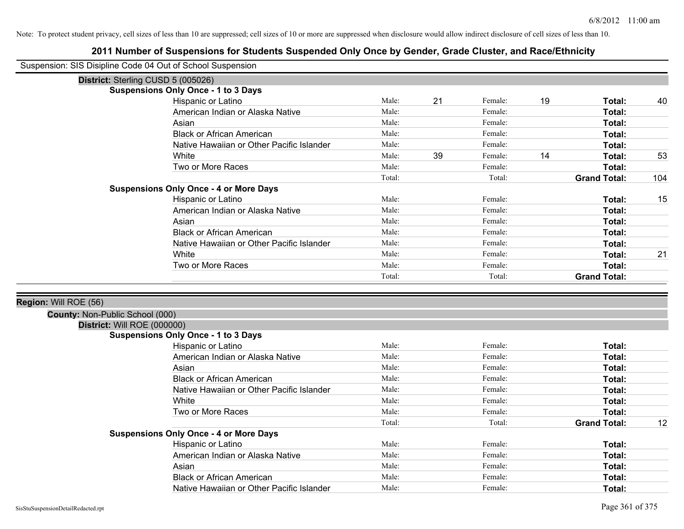| Suspension: SIS Disipline Code 04 Out of School Suspension |                                               |        |    |         |    |                     |     |
|------------------------------------------------------------|-----------------------------------------------|--------|----|---------|----|---------------------|-----|
|                                                            | District: Sterling CUSD 5 (005026)            |        |    |         |    |                     |     |
|                                                            | <b>Suspensions Only Once - 1 to 3 Days</b>    |        |    |         |    |                     |     |
|                                                            | Hispanic or Latino                            | Male:  | 21 | Female: | 19 | Total:              | 40  |
|                                                            | American Indian or Alaska Native              | Male:  |    | Female: |    | Total:              |     |
|                                                            | Asian                                         | Male:  |    | Female: |    | Total:              |     |
|                                                            | <b>Black or African American</b>              | Male:  |    | Female: |    | Total:              |     |
|                                                            | Native Hawaiian or Other Pacific Islander     | Male:  |    | Female: |    | Total:              |     |
|                                                            | White                                         | Male:  | 39 | Female: | 14 | Total:              | 53  |
|                                                            | Two or More Races                             | Male:  |    | Female: |    | Total:              |     |
|                                                            |                                               | Total: |    | Total:  |    | <b>Grand Total:</b> | 104 |
|                                                            | <b>Suspensions Only Once - 4 or More Days</b> |        |    |         |    |                     |     |
|                                                            | Hispanic or Latino                            | Male:  |    | Female: |    | Total:              | 15  |
|                                                            | American Indian or Alaska Native              | Male:  |    | Female: |    | Total:              |     |
|                                                            | Asian                                         | Male:  |    | Female: |    | Total:              |     |
|                                                            | <b>Black or African American</b>              | Male:  |    | Female: |    | Total:              |     |
|                                                            | Native Hawaiian or Other Pacific Islander     | Male:  |    | Female: |    | Total:              |     |
|                                                            | White                                         | Male:  |    | Female: |    | Total:              | 21  |
|                                                            | Two or More Races                             | Male:  |    | Female: |    | Total:              |     |
|                                                            |                                               | Total: |    | Total:  |    | <b>Grand Total:</b> |     |
|                                                            |                                               |        |    |         |    |                     |     |
| Region: Will ROE (56)                                      |                                               |        |    |         |    |                     |     |
| County: Non-Public School (000)                            |                                               |        |    |         |    |                     |     |
| District: Will ROE (000000)                                |                                               |        |    |         |    |                     |     |
|                                                            | <b>Suspensions Only Once - 1 to 3 Days</b>    |        |    |         |    |                     |     |
|                                                            | Hispanic or Latino                            | Male:  |    | Female: |    | Total:              |     |
|                                                            | American Indian or Alaska Native              | Male:  |    | Female: |    | Total:              |     |
|                                                            | Asian                                         | Male:  |    | Female: |    | Total:              |     |
|                                                            | <b>Black or African American</b>              | Male:  |    | Female: |    | Total:              |     |
|                                                            | Native Hawaiian or Other Pacific Islander     | Male:  |    | Female: |    | Total:              |     |
|                                                            | White                                         | Male:  |    | Female: |    | Total:              |     |
|                                                            | Two or More Races                             | Male:  |    | Female: |    | Total:              |     |
|                                                            |                                               | Total: |    | Total:  |    | <b>Grand Total:</b> | 12  |
|                                                            | <b>Suspensions Only Once - 4 or More Days</b> |        |    |         |    |                     |     |
|                                                            | Hispanic or Latino                            | Male:  |    | Female: |    | Total:              |     |
|                                                            | American Indian or Alaska Native              | Male:  |    | Female: |    | Total:              |     |
|                                                            | Asian                                         | Male:  |    | Female: |    | Total:              |     |
|                                                            | <b>Black or African American</b>              | Male:  |    | Female: |    | Total:              |     |
|                                                            | Native Hawaiian or Other Pacific Islander     | Male:  |    | Female: |    | Total:              |     |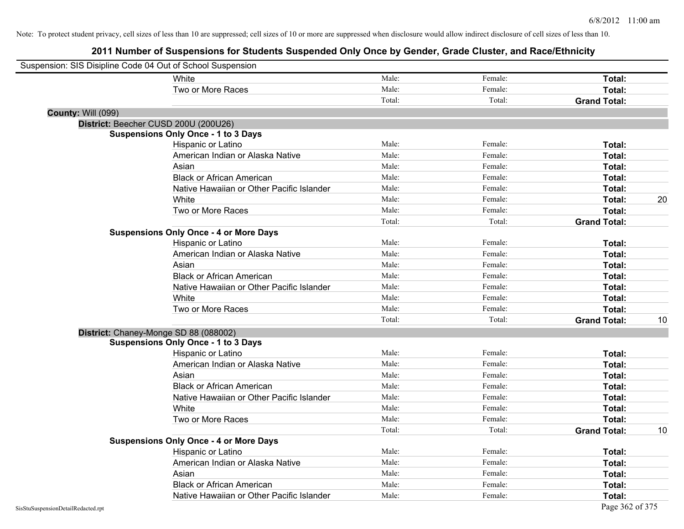| Suspension: SIS Disipline Code 04 Out of School Suspension |                                               |        |         |                     |    |
|------------------------------------------------------------|-----------------------------------------------|--------|---------|---------------------|----|
|                                                            | White                                         | Male:  | Female: | Total:              |    |
|                                                            | Two or More Races                             | Male:  | Female: | Total:              |    |
|                                                            |                                               | Total: | Total:  | <b>Grand Total:</b> |    |
| County: Will (099)                                         |                                               |        |         |                     |    |
|                                                            | District: Beecher CUSD 200U (200U26)          |        |         |                     |    |
|                                                            | <b>Suspensions Only Once - 1 to 3 Days</b>    |        |         |                     |    |
|                                                            | Hispanic or Latino                            | Male:  | Female: | Total:              |    |
|                                                            | American Indian or Alaska Native              | Male:  | Female: | Total:              |    |
|                                                            | Asian                                         | Male:  | Female: | Total:              |    |
|                                                            | <b>Black or African American</b>              | Male:  | Female: | Total:              |    |
|                                                            | Native Hawaiian or Other Pacific Islander     | Male:  | Female: | Total:              |    |
|                                                            | White                                         | Male:  | Female: | Total:              | 20 |
|                                                            | Two or More Races                             | Male:  | Female: | Total:              |    |
|                                                            |                                               | Total: | Total:  | <b>Grand Total:</b> |    |
|                                                            | <b>Suspensions Only Once - 4 or More Days</b> |        |         |                     |    |
|                                                            | Hispanic or Latino                            | Male:  | Female: | Total:              |    |
|                                                            | American Indian or Alaska Native              | Male:  | Female: | Total:              |    |
|                                                            | Asian                                         | Male:  | Female: | Total:              |    |
|                                                            | <b>Black or African American</b>              | Male:  | Female: | Total:              |    |
|                                                            | Native Hawaiian or Other Pacific Islander     | Male:  | Female: | Total:              |    |
|                                                            | White                                         | Male:  | Female: | Total:              |    |
|                                                            | Two or More Races                             | Male:  | Female: | Total:              |    |
|                                                            |                                               | Total: | Total:  | <b>Grand Total:</b> | 10 |
|                                                            | District: Chaney-Monge SD 88 (088002)         |        |         |                     |    |
|                                                            | <b>Suspensions Only Once - 1 to 3 Days</b>    |        |         |                     |    |
|                                                            | Hispanic or Latino                            | Male:  | Female: | Total:              |    |
|                                                            | American Indian or Alaska Native              | Male:  | Female: | Total:              |    |
|                                                            | Asian                                         | Male:  | Female: | Total:              |    |
|                                                            | <b>Black or African American</b>              | Male:  | Female: | Total:              |    |
|                                                            | Native Hawaiian or Other Pacific Islander     | Male:  | Female: | Total:              |    |
|                                                            | White                                         | Male:  | Female: | Total:              |    |
|                                                            | Two or More Races                             | Male:  | Female: | Total:              |    |
|                                                            |                                               | Total: | Total:  | <b>Grand Total:</b> | 10 |
|                                                            | <b>Suspensions Only Once - 4 or More Days</b> |        |         |                     |    |
|                                                            | Hispanic or Latino                            | Male:  | Female: | Total:              |    |
|                                                            | American Indian or Alaska Native              | Male:  | Female: | Total:              |    |
|                                                            | Asian                                         | Male:  | Female: | Total:              |    |
|                                                            | <b>Black or African American</b>              | Male:  | Female: | Total:              |    |
|                                                            | Native Hawaiian or Other Pacific Islander     | Male:  | Female: | Total:              |    |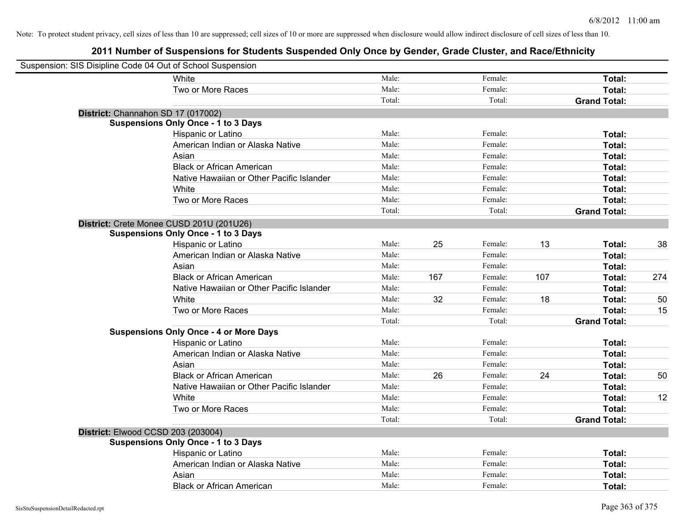| Suspension: SIS Disipline Code 04 Out of School Suspension |                                               |        |     |         |     |                     |     |
|------------------------------------------------------------|-----------------------------------------------|--------|-----|---------|-----|---------------------|-----|
|                                                            | White                                         | Male:  |     | Female: |     | Total:              |     |
|                                                            | Two or More Races                             | Male:  |     | Female: |     | Total:              |     |
|                                                            |                                               | Total: |     | Total:  |     | <b>Grand Total:</b> |     |
| District: Channahon SD 17 (017002)                         |                                               |        |     |         |     |                     |     |
|                                                            | <b>Suspensions Only Once - 1 to 3 Days</b>    |        |     |         |     |                     |     |
|                                                            | Hispanic or Latino                            | Male:  |     | Female: |     | Total:              |     |
|                                                            | American Indian or Alaska Native              | Male:  |     | Female: |     | Total:              |     |
|                                                            | Asian                                         | Male:  |     | Female: |     | Total:              |     |
|                                                            | <b>Black or African American</b>              | Male:  |     | Female: |     | Total:              |     |
|                                                            | Native Hawaiian or Other Pacific Islander     | Male:  |     | Female: |     | Total:              |     |
|                                                            | White                                         | Male:  |     | Female: |     | Total:              |     |
|                                                            | Two or More Races                             | Male:  |     | Female: |     | Total:              |     |
|                                                            |                                               | Total: |     | Total:  |     | <b>Grand Total:</b> |     |
|                                                            | District: Crete Monee CUSD 201U (201U26)      |        |     |         |     |                     |     |
|                                                            | <b>Suspensions Only Once - 1 to 3 Days</b>    |        |     |         |     |                     |     |
|                                                            | Hispanic or Latino                            | Male:  | 25  | Female: | 13  | Total:              | 38  |
|                                                            | American Indian or Alaska Native              | Male:  |     | Female: |     | Total:              |     |
|                                                            | Asian                                         | Male:  |     | Female: |     | Total:              |     |
|                                                            | <b>Black or African American</b>              | Male:  | 167 | Female: | 107 | Total:              | 274 |
|                                                            | Native Hawaiian or Other Pacific Islander     | Male:  |     | Female: |     | Total:              |     |
|                                                            | White                                         | Male:  | 32  | Female: | 18  | Total:              | 50  |
|                                                            | Two or More Races                             | Male:  |     | Female: |     | Total:              | 15  |
|                                                            |                                               | Total: |     | Total:  |     | <b>Grand Total:</b> |     |
|                                                            | <b>Suspensions Only Once - 4 or More Days</b> |        |     |         |     |                     |     |
|                                                            | Hispanic or Latino                            | Male:  |     | Female: |     | Total:              |     |
|                                                            | American Indian or Alaska Native              | Male:  |     | Female: |     | Total:              |     |
|                                                            | Asian                                         | Male:  |     | Female: |     | Total:              |     |
|                                                            | <b>Black or African American</b>              | Male:  | 26  | Female: | 24  | Total:              | 50  |
|                                                            | Native Hawaiian or Other Pacific Islander     | Male:  |     | Female: |     | Total:              |     |
|                                                            | White                                         | Male:  |     | Female: |     | Total:              | 12  |
|                                                            | Two or More Races                             | Male:  |     | Female: |     | Total:              |     |
|                                                            |                                               | Total: |     | Total:  |     | <b>Grand Total:</b> |     |
| District: Elwood CCSD 203 (203004)                         |                                               |        |     |         |     |                     |     |
|                                                            | <b>Suspensions Only Once - 1 to 3 Days</b>    |        |     |         |     |                     |     |
|                                                            | Hispanic or Latino                            | Male:  |     | Female: |     | Total:              |     |
|                                                            | American Indian or Alaska Native              | Male:  |     | Female: |     | Total:              |     |
|                                                            | Asian                                         | Male:  |     | Female: |     | <b>Total:</b>       |     |
|                                                            | <b>Black or African American</b>              | Male:  |     | Female: |     | Total:              |     |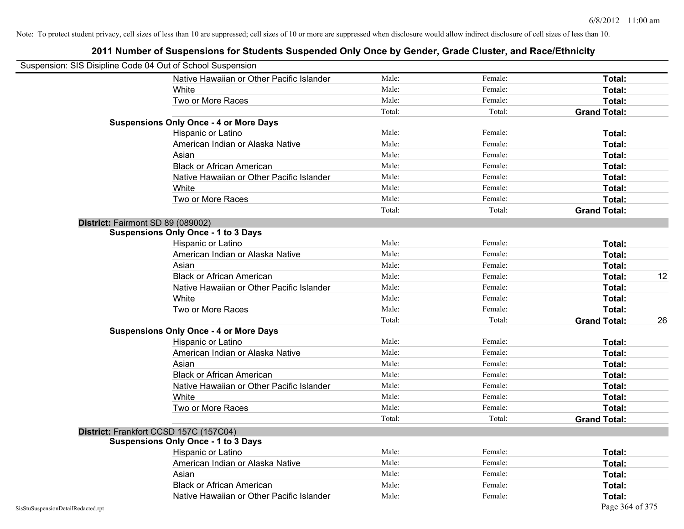|                                    | Suspension: SIS Disipline Code 04 Out of School Suspension |        |         |                           |
|------------------------------------|------------------------------------------------------------|--------|---------|---------------------------|
|                                    | Native Hawaiian or Other Pacific Islander                  | Male:  | Female: | Total:                    |
|                                    | White                                                      | Male:  | Female: | Total:                    |
|                                    | Two or More Races                                          | Male:  | Female: | Total:                    |
|                                    |                                                            | Total: | Total:  | <b>Grand Total:</b>       |
|                                    | <b>Suspensions Only Once - 4 or More Days</b>              |        |         |                           |
|                                    | Hispanic or Latino                                         | Male:  | Female: | Total:                    |
|                                    | American Indian or Alaska Native                           | Male:  | Female: | Total:                    |
|                                    | Asian                                                      | Male:  | Female: | Total:                    |
|                                    | <b>Black or African American</b>                           | Male:  | Female: | Total:                    |
|                                    | Native Hawaiian or Other Pacific Islander                  | Male:  | Female: | Total:                    |
|                                    | White                                                      | Male:  | Female: | Total:                    |
|                                    | Two or More Races                                          | Male:  | Female: | Total:                    |
|                                    |                                                            | Total: | Total:  | <b>Grand Total:</b>       |
|                                    | District: Fairmont SD 89 (089002)                          |        |         |                           |
|                                    | <b>Suspensions Only Once - 1 to 3 Days</b>                 |        |         |                           |
|                                    | Hispanic or Latino                                         | Male:  | Female: | Total:                    |
|                                    | American Indian or Alaska Native                           | Male:  | Female: | Total:                    |
|                                    | Asian                                                      | Male:  | Female: | Total:                    |
|                                    | <b>Black or African American</b>                           | Male:  | Female: | 12<br>Total:              |
|                                    | Native Hawaiian or Other Pacific Islander                  | Male:  | Female: | Total:                    |
|                                    | White                                                      | Male:  | Female: | Total:                    |
|                                    | Two or More Races                                          | Male:  | Female: | Total:                    |
|                                    |                                                            | Total: | Total:  | 26<br><b>Grand Total:</b> |
|                                    | <b>Suspensions Only Once - 4 or More Days</b>              |        |         |                           |
|                                    | Hispanic or Latino                                         | Male:  | Female: | Total:                    |
|                                    | American Indian or Alaska Native                           | Male:  | Female: | Total:                    |
|                                    | Asian                                                      | Male:  | Female: | Total:                    |
|                                    | <b>Black or African American</b>                           | Male:  | Female: | Total:                    |
|                                    | Native Hawaiian or Other Pacific Islander                  | Male:  | Female: | Total:                    |
|                                    | White                                                      | Male:  | Female: | Total:                    |
|                                    | Two or More Races                                          | Male:  | Female: | Total:                    |
|                                    |                                                            | Total: | Total:  | <b>Grand Total:</b>       |
|                                    | District: Frankfort CCSD 157C (157C04)                     |        |         |                           |
|                                    | <b>Suspensions Only Once - 1 to 3 Days</b>                 |        |         |                           |
|                                    | Hispanic or Latino                                         | Male:  | Female: | Total:                    |
|                                    | American Indian or Alaska Native                           | Male:  | Female: | Total:                    |
|                                    | Asian                                                      | Male:  | Female: | Total:                    |
|                                    | <b>Black or African American</b>                           | Male:  | Female: | Total:                    |
|                                    | Native Hawaiian or Other Pacific Islander                  | Male:  | Female: | Total:                    |
| SisStuSuspensionDetailRedacted.rpt |                                                            |        |         | Page 364 of 375           |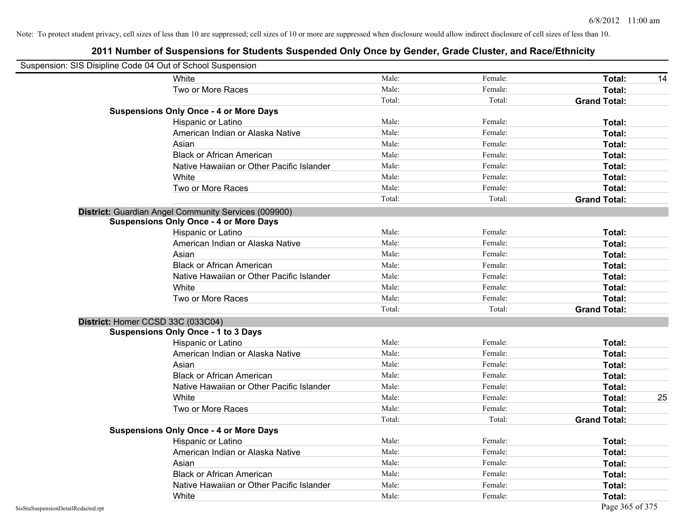|                                    | Suspension: SIS Disipline Code 04 Out of School Suspension |        |         |                     |
|------------------------------------|------------------------------------------------------------|--------|---------|---------------------|
|                                    | White                                                      | Male:  | Female: | Total:<br>14        |
|                                    | Two or More Races                                          | Male:  | Female: | Total:              |
|                                    |                                                            | Total: | Total:  | <b>Grand Total:</b> |
|                                    | <b>Suspensions Only Once - 4 or More Days</b>              |        |         |                     |
|                                    | Hispanic or Latino                                         | Male:  | Female: | Total:              |
|                                    | American Indian or Alaska Native                           | Male:  | Female: | Total:              |
|                                    | Asian                                                      | Male:  | Female: | Total:              |
|                                    | <b>Black or African American</b>                           | Male:  | Female: | Total:              |
|                                    | Native Hawaiian or Other Pacific Islander                  | Male:  | Female: | Total:              |
|                                    | White                                                      | Male:  | Female: | Total:              |
|                                    | Two or More Races                                          | Male:  | Female: | Total:              |
|                                    |                                                            | Total: | Total:  | <b>Grand Total:</b> |
|                                    | District: Guardian Angel Community Services (009900)       |        |         |                     |
|                                    | <b>Suspensions Only Once - 4 or More Days</b>              |        |         |                     |
|                                    | Hispanic or Latino                                         | Male:  | Female: | Total:              |
|                                    | American Indian or Alaska Native                           | Male:  | Female: | Total:              |
|                                    | Asian                                                      | Male:  | Female: | Total:              |
|                                    | <b>Black or African American</b>                           | Male:  | Female: | Total:              |
|                                    | Native Hawaiian or Other Pacific Islander                  | Male:  | Female: | Total:              |
|                                    | White                                                      | Male:  | Female: | Total:              |
|                                    | Two or More Races                                          | Male:  | Female: | Total:              |
|                                    |                                                            | Total: | Total:  | <b>Grand Total:</b> |
|                                    | District: Homer CCSD 33C (033C04)                          |        |         |                     |
|                                    | <b>Suspensions Only Once - 1 to 3 Days</b>                 |        |         |                     |
|                                    | Hispanic or Latino                                         | Male:  | Female: | Total:              |
|                                    | American Indian or Alaska Native                           | Male:  | Female: | Total:              |
|                                    | Asian                                                      | Male:  | Female: | Total:              |
|                                    | <b>Black or African American</b>                           | Male:  | Female: | Total:              |
|                                    | Native Hawaiian or Other Pacific Islander                  | Male:  | Female: | Total:              |
|                                    | White                                                      | Male:  | Female: | 25<br>Total:        |
|                                    | Two or More Races                                          | Male:  | Female: | Total:              |
|                                    |                                                            | Total: | Total:  | <b>Grand Total:</b> |
|                                    | <b>Suspensions Only Once - 4 or More Days</b>              |        |         |                     |
|                                    | Hispanic or Latino                                         | Male:  | Female: | Total:              |
|                                    | American Indian or Alaska Native                           | Male:  | Female: | Total:              |
|                                    | Asian                                                      | Male:  | Female: | Total:              |
|                                    | <b>Black or African American</b>                           | Male:  | Female: | Total:              |
|                                    | Native Hawaiian or Other Pacific Islander                  | Male:  | Female: | Total:              |
|                                    | White                                                      | Male:  | Female: | Total:              |
| SisStuSuspensionDetailRedacted.rpt |                                                            |        |         | Page 365 of 375     |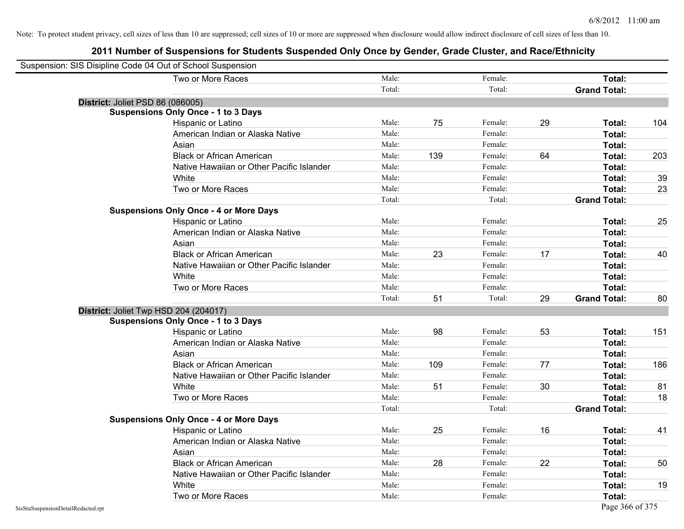|                                    | Suspension: SIS Disipline Code 04 Out of School Suspension |        |     |         |    |                     |     |
|------------------------------------|------------------------------------------------------------|--------|-----|---------|----|---------------------|-----|
|                                    | Two or More Races                                          | Male:  |     | Female: |    | Total:              |     |
|                                    |                                                            | Total: |     | Total:  |    | <b>Grand Total:</b> |     |
|                                    | District: Joliet PSD 86 (086005)                           |        |     |         |    |                     |     |
|                                    | <b>Suspensions Only Once - 1 to 3 Days</b>                 |        |     |         |    |                     |     |
|                                    | Hispanic or Latino                                         | Male:  | 75  | Female: | 29 | <b>Total:</b>       | 104 |
|                                    | American Indian or Alaska Native                           | Male:  |     | Female: |    | <b>Total:</b>       |     |
|                                    | Asian                                                      | Male:  |     | Female: |    | Total:              |     |
|                                    | <b>Black or African American</b>                           | Male:  | 139 | Female: | 64 | Total:              | 203 |
|                                    | Native Hawaiian or Other Pacific Islander                  | Male:  |     | Female: |    | Total:              |     |
|                                    | White                                                      | Male:  |     | Female: |    | Total:              | 39  |
|                                    | Two or More Races                                          | Male:  |     | Female: |    | Total:              | 23  |
|                                    |                                                            | Total: |     | Total:  |    | <b>Grand Total:</b> |     |
|                                    | <b>Suspensions Only Once - 4 or More Days</b>              |        |     |         |    |                     |     |
|                                    | Hispanic or Latino                                         | Male:  |     | Female: |    | Total:              | 25  |
|                                    | American Indian or Alaska Native                           | Male:  |     | Female: |    | Total:              |     |
|                                    | Asian                                                      | Male:  |     | Female: |    | Total:              |     |
|                                    | <b>Black or African American</b>                           | Male:  | 23  | Female: | 17 | <b>Total:</b>       | 40  |
|                                    | Native Hawaiian or Other Pacific Islander                  | Male:  |     | Female: |    | <b>Total:</b>       |     |
|                                    | White                                                      | Male:  |     | Female: |    | Total:              |     |
|                                    | Two or More Races                                          | Male:  |     | Female: |    | Total:              |     |
|                                    |                                                            | Total: | 51  | Total:  | 29 | <b>Grand Total:</b> | 80  |
|                                    | District: Joliet Twp HSD 204 (204017)                      |        |     |         |    |                     |     |
|                                    | <b>Suspensions Only Once - 1 to 3 Days</b>                 |        |     |         |    |                     |     |
|                                    | Hispanic or Latino                                         | Male:  | 98  | Female: | 53 | Total:              | 151 |
|                                    | American Indian or Alaska Native                           | Male:  |     | Female: |    | Total:              |     |
|                                    | Asian                                                      | Male:  |     | Female: |    | Total:              |     |
|                                    | <b>Black or African American</b>                           | Male:  | 109 | Female: | 77 | Total:              | 186 |
|                                    | Native Hawaiian or Other Pacific Islander                  | Male:  |     | Female: |    | Total:              |     |
|                                    | White                                                      | Male:  | 51  | Female: | 30 | Total:              | 81  |
|                                    | Two or More Races                                          | Male:  |     | Female: |    | Total:              | 18  |
|                                    |                                                            | Total: |     | Total:  |    | <b>Grand Total:</b> |     |
|                                    | <b>Suspensions Only Once - 4 or More Days</b>              |        |     |         |    |                     |     |
|                                    | Hispanic or Latino                                         | Male:  | 25  | Female: | 16 | Total:              | 41  |
|                                    | American Indian or Alaska Native                           | Male:  |     | Female: |    | <b>Total:</b>       |     |
|                                    | Asian                                                      | Male:  |     | Female: |    | Total:              |     |
|                                    | <b>Black or African American</b>                           | Male:  | 28  | Female: | 22 | Total:              | 50  |
|                                    | Native Hawaiian or Other Pacific Islander                  | Male:  |     | Female: |    | Total:              |     |
|                                    | White                                                      | Male:  |     | Female: |    | Total:              | 19  |
|                                    | Two or More Races                                          | Male:  |     | Female: |    | <b>Total:</b>       |     |
| SisStuSuspensionDetailRedacted.rpt |                                                            |        |     |         |    | Page 366 of 375     |     |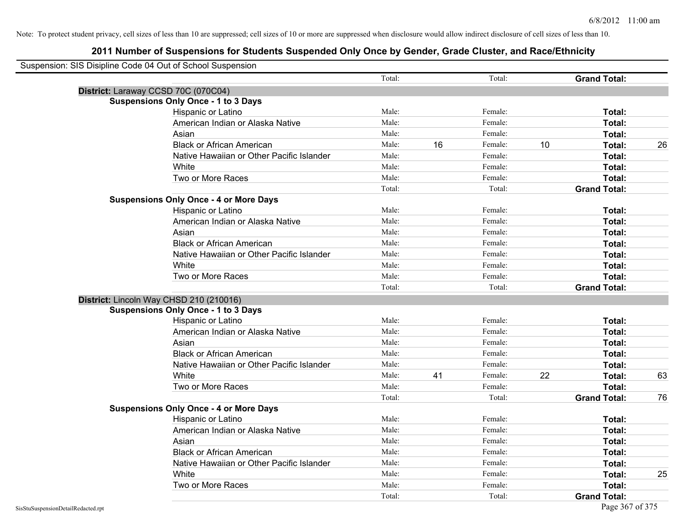| Suspension: SIS Disipline Code 04 Out of School Suspension |                                               |        |    |         |    |                     |    |
|------------------------------------------------------------|-----------------------------------------------|--------|----|---------|----|---------------------|----|
|                                                            |                                               | Total: |    | Total:  |    | <b>Grand Total:</b> |    |
| District: Laraway CCSD 70C (070C04)                        |                                               |        |    |         |    |                     |    |
|                                                            | <b>Suspensions Only Once - 1 to 3 Days</b>    |        |    |         |    |                     |    |
|                                                            | Hispanic or Latino                            | Male:  |    | Female: |    | Total:              |    |
|                                                            | American Indian or Alaska Native              | Male:  |    | Female: |    | Total:              |    |
|                                                            | Asian                                         | Male:  |    | Female: |    | Total:              |    |
|                                                            | <b>Black or African American</b>              | Male:  | 16 | Female: | 10 | Total:              | 26 |
|                                                            | Native Hawaiian or Other Pacific Islander     | Male:  |    | Female: |    | Total:              |    |
|                                                            | White                                         | Male:  |    | Female: |    | Total:              |    |
|                                                            | Two or More Races                             | Male:  |    | Female: |    | Total:              |    |
|                                                            |                                               | Total: |    | Total:  |    | <b>Grand Total:</b> |    |
|                                                            | <b>Suspensions Only Once - 4 or More Days</b> |        |    |         |    |                     |    |
|                                                            | Hispanic or Latino                            | Male:  |    | Female: |    | Total:              |    |
|                                                            | American Indian or Alaska Native              | Male:  |    | Female: |    | Total:              |    |
|                                                            | Asian                                         | Male:  |    | Female: |    | Total:              |    |
|                                                            | <b>Black or African American</b>              | Male:  |    | Female: |    | Total:              |    |
|                                                            | Native Hawaiian or Other Pacific Islander     | Male:  |    | Female: |    | Total:              |    |
|                                                            | White                                         | Male:  |    | Female: |    | Total:              |    |
|                                                            | Two or More Races                             | Male:  |    | Female: |    | Total:              |    |
|                                                            |                                               | Total: |    | Total:  |    | <b>Grand Total:</b> |    |
| District: Lincoln Way CHSD 210 (210016)                    |                                               |        |    |         |    |                     |    |
|                                                            | <b>Suspensions Only Once - 1 to 3 Days</b>    |        |    |         |    |                     |    |
|                                                            | Hispanic or Latino                            | Male:  |    | Female: |    | Total:              |    |
|                                                            | American Indian or Alaska Native              | Male:  |    | Female: |    | Total:              |    |
|                                                            | Asian                                         | Male:  |    | Female: |    | Total:              |    |
|                                                            | <b>Black or African American</b>              | Male:  |    | Female: |    | Total:              |    |
|                                                            | Native Hawaiian or Other Pacific Islander     | Male:  |    | Female: |    | Total:              |    |
|                                                            | White                                         | Male:  | 41 | Female: | 22 | Total:              | 63 |
|                                                            | Two or More Races                             | Male:  |    | Female: |    | Total:              |    |
|                                                            |                                               | Total: |    | Total:  |    | <b>Grand Total:</b> | 76 |
|                                                            | <b>Suspensions Only Once - 4 or More Days</b> |        |    |         |    |                     |    |
|                                                            | Hispanic or Latino                            | Male:  |    | Female: |    | Total:              |    |
|                                                            | American Indian or Alaska Native              | Male:  |    | Female: |    | Total:              |    |
|                                                            | Asian                                         | Male:  |    | Female: |    | Total:              |    |
|                                                            | <b>Black or African American</b>              | Male:  |    | Female: |    | Total:              |    |
|                                                            | Native Hawaiian or Other Pacific Islander     | Male:  |    | Female: |    | Total:              |    |
|                                                            | White                                         | Male:  |    | Female: |    | Total:              | 25 |
|                                                            | Two or More Races                             | Male:  |    | Female: |    | <b>Total:</b>       |    |
|                                                            |                                               | Total: |    | Total:  |    | <b>Grand Total:</b> |    |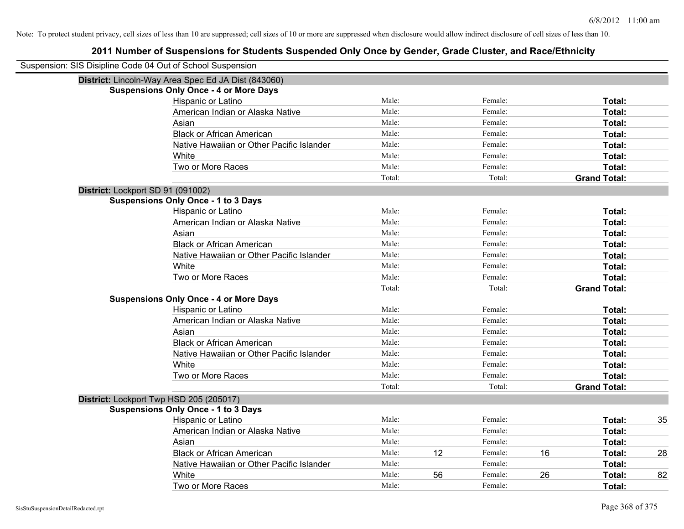| Suspension: SIS Disipline Code 04 Out of School Suspension |                                           |        |    |         |    |                     |    |
|------------------------------------------------------------|-------------------------------------------|--------|----|---------|----|---------------------|----|
| District: Lincoln-Way Area Spec Ed JA Dist (843060)        |                                           |        |    |         |    |                     |    |
| <b>Suspensions Only Once - 4 or More Days</b>              |                                           |        |    |         |    |                     |    |
|                                                            | Hispanic or Latino                        | Male:  |    | Female: |    | Total:              |    |
|                                                            | American Indian or Alaska Native          | Male:  |    | Female: |    | Total:              |    |
| Asian                                                      |                                           | Male:  |    | Female: |    | Total:              |    |
|                                                            | <b>Black or African American</b>          | Male:  |    | Female: |    | Total:              |    |
|                                                            | Native Hawaiian or Other Pacific Islander | Male:  |    | Female: |    | Total:              |    |
| White                                                      |                                           | Male:  |    | Female: |    | Total:              |    |
|                                                            | Two or More Races                         | Male:  |    | Female: |    | Total:              |    |
|                                                            |                                           | Total: |    | Total:  |    | <b>Grand Total:</b> |    |
| District: Lockport SD 91 (091002)                          |                                           |        |    |         |    |                     |    |
| <b>Suspensions Only Once - 1 to 3 Days</b>                 |                                           |        |    |         |    |                     |    |
|                                                            | Hispanic or Latino                        | Male:  |    | Female: |    | Total:              |    |
|                                                            | American Indian or Alaska Native          | Male:  |    | Female: |    | Total:              |    |
| Asian                                                      |                                           | Male:  |    | Female: |    | Total:              |    |
|                                                            | <b>Black or African American</b>          | Male:  |    | Female: |    | Total:              |    |
|                                                            | Native Hawaiian or Other Pacific Islander | Male:  |    | Female: |    | Total:              |    |
| White                                                      |                                           | Male:  |    | Female: |    | Total:              |    |
|                                                            | Two or More Races                         | Male:  |    | Female: |    | Total:              |    |
|                                                            |                                           | Total: |    | Total:  |    | <b>Grand Total:</b> |    |
| <b>Suspensions Only Once - 4 or More Days</b>              |                                           |        |    |         |    |                     |    |
|                                                            | Hispanic or Latino                        | Male:  |    | Female: |    | Total:              |    |
|                                                            | American Indian or Alaska Native          | Male:  |    | Female: |    | Total:              |    |
| Asian                                                      |                                           | Male:  |    | Female: |    | Total:              |    |
|                                                            | <b>Black or African American</b>          | Male:  |    | Female: |    | Total:              |    |
|                                                            | Native Hawaiian or Other Pacific Islander | Male:  |    | Female: |    | Total:              |    |
| White                                                      |                                           | Male:  |    | Female: |    | Total:              |    |
|                                                            | Two or More Races                         | Male:  |    | Female: |    | <b>Total:</b>       |    |
|                                                            |                                           | Total: |    | Total:  |    | <b>Grand Total:</b> |    |
| District: Lockport Twp HSD 205 (205017)                    |                                           |        |    |         |    |                     |    |
| <b>Suspensions Only Once - 1 to 3 Days</b>                 |                                           |        |    |         |    |                     |    |
|                                                            | Hispanic or Latino                        | Male:  |    | Female: |    | Total:              | 35 |
|                                                            | American Indian or Alaska Native          | Male:  |    | Female: |    | Total:              |    |
| Asian                                                      |                                           | Male:  |    | Female: |    | Total:              |    |
|                                                            | <b>Black or African American</b>          | Male:  | 12 | Female: | 16 | Total:              | 28 |
|                                                            | Native Hawaiian or Other Pacific Islander | Male:  |    | Female: |    | Total:              |    |
| White                                                      |                                           | Male:  | 56 | Female: | 26 | Total:              | 82 |
|                                                            | Two or More Races                         | Male:  |    | Female: |    | Total:              |    |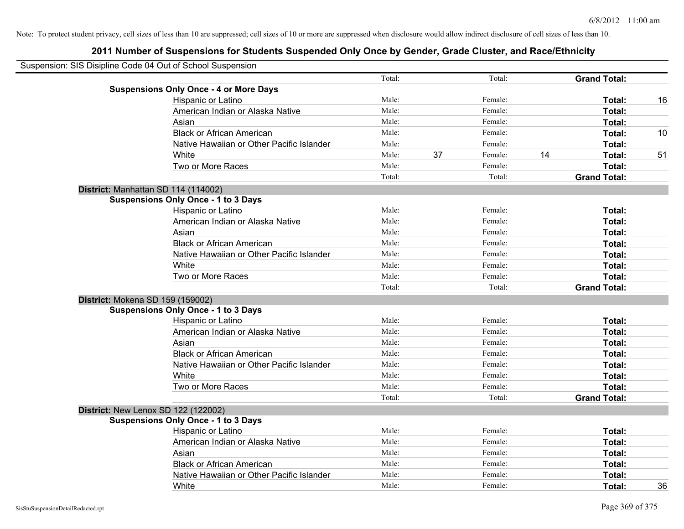| Suspension: SIS Disipline Code 04 Out of School Suspension |        |    |         |    |                     |    |
|------------------------------------------------------------|--------|----|---------|----|---------------------|----|
|                                                            | Total: |    | Total:  |    | <b>Grand Total:</b> |    |
| <b>Suspensions Only Once - 4 or More Days</b>              |        |    |         |    |                     |    |
| Hispanic or Latino                                         | Male:  |    | Female: |    | Total:              | 16 |
| American Indian or Alaska Native                           | Male:  |    | Female: |    | Total:              |    |
| Asian                                                      | Male:  |    | Female: |    | Total:              |    |
| <b>Black or African American</b>                           | Male:  |    | Female: |    | Total:              | 10 |
| Native Hawaiian or Other Pacific Islander                  | Male:  |    | Female: |    | Total:              |    |
| White                                                      | Male:  | 37 | Female: | 14 | Total:              | 51 |
| Two or More Races                                          | Male:  |    | Female: |    | Total:              |    |
|                                                            | Total: |    | Total:  |    | <b>Grand Total:</b> |    |
| District: Manhattan SD 114 (114002)                        |        |    |         |    |                     |    |
| <b>Suspensions Only Once - 1 to 3 Days</b>                 |        |    |         |    |                     |    |
| Hispanic or Latino                                         | Male:  |    | Female: |    | Total:              |    |
| American Indian or Alaska Native                           | Male:  |    | Female: |    | Total:              |    |
| Asian                                                      | Male:  |    | Female: |    | Total:              |    |
| <b>Black or African American</b>                           | Male:  |    | Female: |    | Total:              |    |
| Native Hawaiian or Other Pacific Islander                  | Male:  |    | Female: |    | Total:              |    |
| White                                                      | Male:  |    | Female: |    | Total:              |    |
| Two or More Races                                          | Male:  |    | Female: |    | Total:              |    |
|                                                            | Total: |    | Total:  |    | <b>Grand Total:</b> |    |
| District: Mokena SD 159 (159002)                           |        |    |         |    |                     |    |
| <b>Suspensions Only Once - 1 to 3 Days</b>                 |        |    |         |    |                     |    |
| Hispanic or Latino                                         | Male:  |    | Female: |    | <b>Total:</b>       |    |
| American Indian or Alaska Native                           | Male:  |    | Female: |    | Total:              |    |
| Asian                                                      | Male:  |    | Female: |    | Total:              |    |
| <b>Black or African American</b>                           | Male:  |    | Female: |    | Total:              |    |
| Native Hawaiian or Other Pacific Islander                  | Male:  |    | Female: |    | Total:              |    |
| White                                                      | Male:  |    | Female: |    | Total:              |    |
| Two or More Races                                          | Male:  |    | Female: |    | Total:              |    |
|                                                            | Total: |    | Total:  |    | <b>Grand Total:</b> |    |
| District: New Lenox SD 122 (122002)                        |        |    |         |    |                     |    |
| <b>Suspensions Only Once - 1 to 3 Days</b>                 |        |    |         |    |                     |    |
| Hispanic or Latino                                         | Male:  |    | Female: |    | Total:              |    |
| American Indian or Alaska Native                           | Male:  |    | Female: |    | Total:              |    |
| Asian                                                      | Male:  |    | Female: |    | Total:              |    |
| <b>Black or African American</b>                           | Male:  |    | Female: |    | Total:              |    |
| Native Hawaiian or Other Pacific Islander                  | Male:  |    | Female: |    | <b>Total:</b>       |    |
| White                                                      | Male:  |    | Female: |    | Total:              | 36 |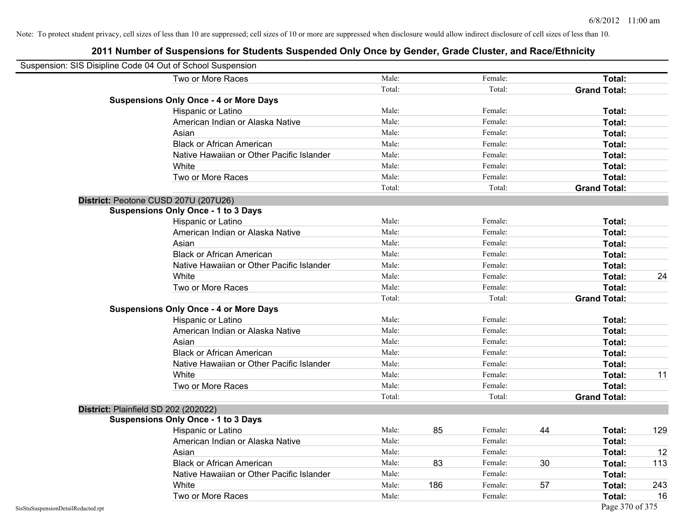| Suspension: SIS Disipline Code 04 Out of School Suspension |                                               |        |     |         |    |                     |     |
|------------------------------------------------------------|-----------------------------------------------|--------|-----|---------|----|---------------------|-----|
|                                                            | Two or More Races                             | Male:  |     | Female: |    | Total:              |     |
|                                                            |                                               | Total: |     | Total:  |    | <b>Grand Total:</b> |     |
|                                                            | <b>Suspensions Only Once - 4 or More Days</b> |        |     |         |    |                     |     |
|                                                            | Hispanic or Latino                            | Male:  |     | Female: |    | Total:              |     |
|                                                            | American Indian or Alaska Native              | Male:  |     | Female: |    | <b>Total:</b>       |     |
|                                                            | Asian                                         | Male:  |     | Female: |    | <b>Total:</b>       |     |
|                                                            | <b>Black or African American</b>              | Male:  |     | Female: |    | Total:              |     |
|                                                            | Native Hawaiian or Other Pacific Islander     | Male:  |     | Female: |    | Total:              |     |
|                                                            | White                                         | Male:  |     | Female: |    | Total:              |     |
|                                                            | Two or More Races                             | Male:  |     | Female: |    | Total:              |     |
|                                                            |                                               | Total: |     | Total:  |    | <b>Grand Total:</b> |     |
|                                                            | District: Peotone CUSD 207U (207U26)          |        |     |         |    |                     |     |
|                                                            | <b>Suspensions Only Once - 1 to 3 Days</b>    |        |     |         |    |                     |     |
|                                                            | Hispanic or Latino                            | Male:  |     | Female: |    | <b>Total:</b>       |     |
|                                                            | American Indian or Alaska Native              | Male:  |     | Female: |    | Total:              |     |
|                                                            | Asian                                         | Male:  |     | Female: |    | Total:              |     |
|                                                            | <b>Black or African American</b>              | Male:  |     | Female: |    | Total:              |     |
|                                                            | Native Hawaiian or Other Pacific Islander     | Male:  |     | Female: |    | <b>Total:</b>       |     |
|                                                            | White                                         | Male:  |     | Female: |    | Total:              | 24  |
|                                                            | Two or More Races                             | Male:  |     | Female: |    | Total:              |     |
|                                                            |                                               | Total: |     | Total:  |    | <b>Grand Total:</b> |     |
|                                                            | <b>Suspensions Only Once - 4 or More Days</b> |        |     |         |    |                     |     |
|                                                            | Hispanic or Latino                            | Male:  |     | Female: |    | Total:              |     |
|                                                            | American Indian or Alaska Native              | Male:  |     | Female: |    | Total:              |     |
|                                                            | Asian                                         | Male:  |     | Female: |    | Total:              |     |
|                                                            | <b>Black or African American</b>              | Male:  |     | Female: |    | Total:              |     |
|                                                            | Native Hawaiian or Other Pacific Islander     | Male:  |     | Female: |    | Total:              |     |
|                                                            | White                                         | Male:  |     | Female: |    | <b>Total:</b>       | 11  |
|                                                            | Two or More Races                             | Male:  |     | Female: |    | Total:              |     |
|                                                            |                                               | Total: |     | Total:  |    | <b>Grand Total:</b> |     |
|                                                            | District: Plainfield SD 202 (202022)          |        |     |         |    |                     |     |
|                                                            | <b>Suspensions Only Once - 1 to 3 Days</b>    |        |     |         |    |                     |     |
|                                                            | Hispanic or Latino                            | Male:  | 85  | Female: | 44 | Total:              | 129 |
|                                                            | American Indian or Alaska Native              | Male:  |     | Female: |    | Total:              |     |
|                                                            | Asian                                         | Male:  |     | Female: |    | Total:              | 12  |
|                                                            | <b>Black or African American</b>              | Male:  | 83  | Female: | 30 | Total:              | 113 |
|                                                            | Native Hawaiian or Other Pacific Islander     | Male:  |     | Female: |    | Total:              |     |
|                                                            | White                                         | Male:  | 186 | Female: | 57 | Total:              | 243 |
|                                                            | Two or More Races                             | Male:  |     | Female: |    | Total:              | 16  |
| SisStuSuspensionDetailRedacted.rpt                         |                                               |        |     |         |    | Page 370 of 375     |     |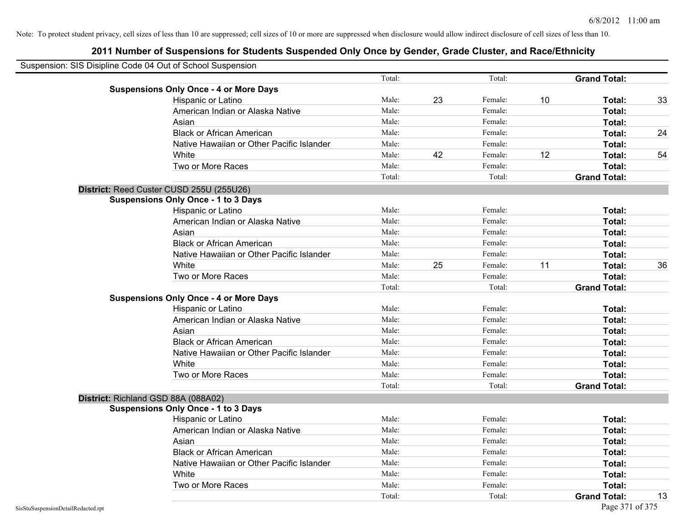| Suspension: SIS Disipline Code 04 Out of School Suspension |                |    |         |    |                     |    |
|------------------------------------------------------------|----------------|----|---------|----|---------------------|----|
|                                                            | Total:         |    | Total:  |    | <b>Grand Total:</b> |    |
| <b>Suspensions Only Once - 4 or More Days</b>              |                |    | Female: |    |                     |    |
| Hispanic or Latino                                         | Male:<br>Male: | 23 | Female: | 10 | Total:              | 33 |
| American Indian or Alaska Native                           |                |    |         |    | Total:              |    |
| Asian                                                      | Male:          |    | Female: |    | Total:              |    |
| <b>Black or African American</b>                           | Male:          |    | Female: |    | Total:              | 24 |
| Native Hawaiian or Other Pacific Islander                  | Male:          |    | Female: |    | Total:              |    |
| White                                                      | Male:          | 42 | Female: | 12 | Total:              | 54 |
| Two or More Races                                          | Male:          |    | Female: |    | Total:              |    |
|                                                            | Total:         |    | Total:  |    | <b>Grand Total:</b> |    |
| District: Reed Custer CUSD 255U (255U26)                   |                |    |         |    |                     |    |
| <b>Suspensions Only Once - 1 to 3 Days</b>                 |                |    |         |    |                     |    |
| Hispanic or Latino                                         | Male:          |    | Female: |    | Total:              |    |
| American Indian or Alaska Native                           | Male:          |    | Female: |    | Total:              |    |
| Asian                                                      | Male:          |    | Female: |    | Total:              |    |
| <b>Black or African American</b>                           | Male:          |    | Female: |    | Total:              |    |
| Native Hawaiian or Other Pacific Islander                  | Male:          |    | Female: |    | Total:              |    |
| White                                                      | Male:          | 25 | Female: | 11 | Total:              | 36 |
| Two or More Races                                          | Male:          |    | Female: |    | Total:              |    |
|                                                            | Total:         |    | Total:  |    | <b>Grand Total:</b> |    |
| <b>Suspensions Only Once - 4 or More Days</b>              |                |    |         |    |                     |    |
| Hispanic or Latino                                         | Male:          |    | Female: |    | Total:              |    |
| American Indian or Alaska Native                           | Male:          |    | Female: |    | Total:              |    |
| Asian                                                      | Male:          |    | Female: |    | Total:              |    |
| <b>Black or African American</b>                           | Male:          |    | Female: |    | Total:              |    |
| Native Hawaiian or Other Pacific Islander                  | Male:          |    | Female: |    | Total:              |    |
| White                                                      | Male:          |    | Female: |    | Total:              |    |
| Two or More Races                                          | Male:          |    | Female: |    | Total:              |    |
|                                                            | Total:         |    | Total:  |    | <b>Grand Total:</b> |    |
| District: Richland GSD 88A (088A02)                        |                |    |         |    |                     |    |
| <b>Suspensions Only Once - 1 to 3 Days</b>                 |                |    |         |    |                     |    |
| Hispanic or Latino                                         | Male:          |    | Female: |    | Total:              |    |
| American Indian or Alaska Native                           | Male:          |    | Female: |    | Total:              |    |
| Asian                                                      | Male:          |    | Female: |    | Total:              |    |
| <b>Black or African American</b>                           | Male:          |    | Female: |    | Total:              |    |
| Native Hawaiian or Other Pacific Islander                  | Male:          |    | Female: |    | Total:              |    |
| White                                                      | Male:          |    | Female: |    | Total:              |    |
| Two or More Races                                          | Male:          |    | Female: |    | Total:              |    |
|                                                            | Total:         |    | Total:  |    | <b>Grand Total:</b> | 13 |
|                                                            |                |    |         |    |                     |    |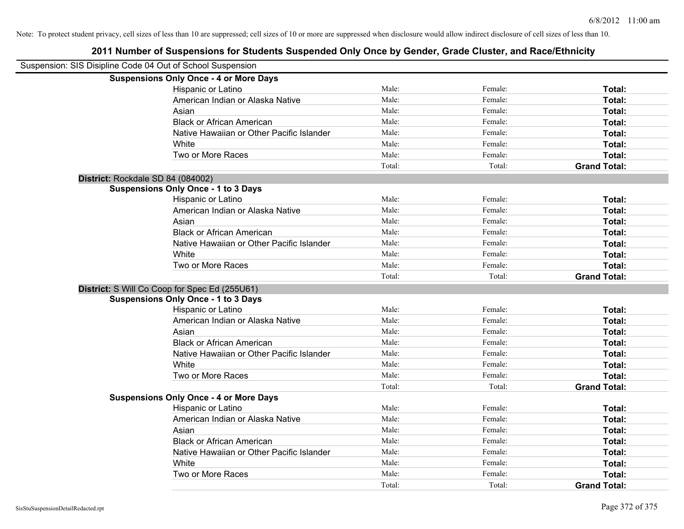| Suspension: SIS Disipline Code 04 Out of School Suspension |                                               |        |         |                     |
|------------------------------------------------------------|-----------------------------------------------|--------|---------|---------------------|
|                                                            | <b>Suspensions Only Once - 4 or More Days</b> |        |         |                     |
|                                                            | Hispanic or Latino                            | Male:  | Female: | Total:              |
|                                                            | American Indian or Alaska Native              | Male:  | Female: | Total:              |
|                                                            | Asian                                         | Male:  | Female: | Total:              |
|                                                            | <b>Black or African American</b>              | Male:  | Female: | Total:              |
|                                                            | Native Hawaiian or Other Pacific Islander     | Male:  | Female: | Total:              |
|                                                            | White                                         | Male:  | Female: | Total:              |
|                                                            | Two or More Races                             | Male:  | Female: | Total:              |
|                                                            |                                               | Total: | Total:  | <b>Grand Total:</b> |
| District: Rockdale SD 84 (084002)                          |                                               |        |         |                     |
|                                                            | <b>Suspensions Only Once - 1 to 3 Days</b>    |        |         |                     |
|                                                            | Hispanic or Latino                            | Male:  | Female: | Total:              |
|                                                            | American Indian or Alaska Native              | Male:  | Female: | Total:              |
|                                                            | Asian                                         | Male:  | Female: | Total:              |
|                                                            | <b>Black or African American</b>              | Male:  | Female: | Total:              |
|                                                            | Native Hawaiian or Other Pacific Islander     | Male:  | Female: | Total:              |
|                                                            | White                                         | Male:  | Female: | Total:              |
|                                                            | Two or More Races                             | Male:  | Female: | Total:              |
|                                                            |                                               | Total: | Total:  | <b>Grand Total:</b> |
|                                                            | District: S Will Co Coop for Spec Ed (255U61) |        |         |                     |
|                                                            | <b>Suspensions Only Once - 1 to 3 Days</b>    |        |         |                     |
|                                                            | Hispanic or Latino                            | Male:  | Female: | Total:              |
|                                                            | American Indian or Alaska Native              | Male:  | Female: | Total:              |
|                                                            | Asian                                         | Male:  | Female: | Total:              |
|                                                            | <b>Black or African American</b>              | Male:  | Female: | Total:              |
|                                                            | Native Hawaiian or Other Pacific Islander     | Male:  | Female: | Total:              |
|                                                            | White                                         | Male:  | Female: | Total:              |
|                                                            | Two or More Races                             | Male:  | Female: | Total:              |
|                                                            |                                               | Total: | Total:  | <b>Grand Total:</b> |
|                                                            | <b>Suspensions Only Once - 4 or More Days</b> |        |         |                     |
|                                                            | Hispanic or Latino                            | Male:  | Female: | Total:              |
|                                                            | American Indian or Alaska Native              | Male:  | Female: | Total:              |
|                                                            | Asian                                         | Male:  | Female: | Total:              |
|                                                            | <b>Black or African American</b>              | Male:  | Female: | Total:              |
|                                                            | Native Hawaiian or Other Pacific Islander     | Male:  | Female: | Total:              |
|                                                            | White                                         | Male:  | Female: | Total:              |
|                                                            | Two or More Races                             | Male:  | Female: | Total:              |
|                                                            |                                               | Total: | Total:  | <b>Grand Total:</b> |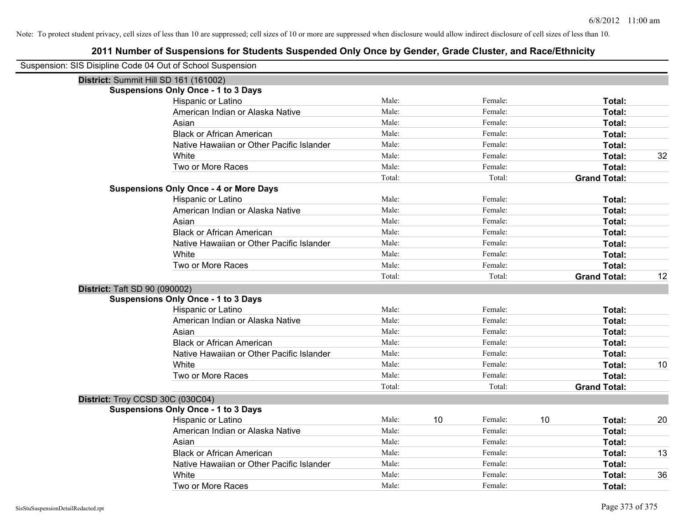| Suspension: SIS Disipline Code 04 Out of School Suspension |                                               |        |               |                     |    |
|------------------------------------------------------------|-----------------------------------------------|--------|---------------|---------------------|----|
| District: Summit Hill SD 161 (161002)                      |                                               |        |               |                     |    |
|                                                            | <b>Suspensions Only Once - 1 to 3 Days</b>    |        |               |                     |    |
|                                                            | Hispanic or Latino                            | Male:  | Female:       | Total:              |    |
|                                                            | American Indian or Alaska Native              | Male:  | Female:       | Total:              |    |
|                                                            | Asian                                         | Male:  | Female:       | <b>Total:</b>       |    |
|                                                            | <b>Black or African American</b>              | Male:  | Female:       | Total:              |    |
|                                                            | Native Hawaiian or Other Pacific Islander     | Male:  | Female:       | Total:              |    |
|                                                            | White                                         | Male:  | Female:       | Total:              | 32 |
|                                                            | Two or More Races                             | Male:  | Female:       | Total:              |    |
|                                                            |                                               | Total: | Total:        | <b>Grand Total:</b> |    |
|                                                            | <b>Suspensions Only Once - 4 or More Days</b> |        |               |                     |    |
|                                                            | Hispanic or Latino                            | Male:  | Female:       | Total:              |    |
|                                                            | American Indian or Alaska Native              | Male:  | Female:       | Total:              |    |
|                                                            | Asian                                         | Male:  | Female:       | Total:              |    |
|                                                            | <b>Black or African American</b>              | Male:  | Female:       | Total:              |    |
|                                                            | Native Hawaiian or Other Pacific Islander     | Male:  | Female:       | Total:              |    |
|                                                            | White                                         | Male:  | Female:       | Total:              |    |
|                                                            | Two or More Races                             | Male:  | Female:       | Total:              |    |
|                                                            |                                               | Total: | Total:        | <b>Grand Total:</b> | 12 |
| <b>District: Taft SD 90 (090002)</b>                       |                                               |        |               |                     |    |
|                                                            | <b>Suspensions Only Once - 1 to 3 Days</b>    |        |               |                     |    |
|                                                            |                                               |        |               |                     |    |
|                                                            | Hispanic or Latino                            | Male:  | Female:       | Total:              |    |
|                                                            | American Indian or Alaska Native              | Male:  | Female:       | Total:              |    |
|                                                            | Asian                                         | Male:  | Female:       | Total:              |    |
|                                                            | <b>Black or African American</b>              | Male:  | Female:       | Total:              |    |
|                                                            | Native Hawaiian or Other Pacific Islander     | Male:  | Female:       | Total:              |    |
|                                                            | White                                         | Male:  | Female:       | Total:              | 10 |
|                                                            | Two or More Races                             | Male:  | Female:       | Total:              |    |
|                                                            |                                               | Total: | Total:        | <b>Grand Total:</b> |    |
| District: Troy CCSD 30C (030C04)                           |                                               |        |               |                     |    |
|                                                            | <b>Suspensions Only Once - 1 to 3 Days</b>    |        |               |                     |    |
|                                                            | Hispanic or Latino                            | Male:  | 10<br>Female: | 10<br>Total:        | 20 |
|                                                            | American Indian or Alaska Native              | Male:  | Female:       | Total:              |    |
|                                                            | Asian                                         | Male:  | Female:       | Total:              |    |
|                                                            | <b>Black or African American</b>              | Male:  | Female:       | Total:              | 13 |
|                                                            | Native Hawaiian or Other Pacific Islander     | Male:  | Female:       | Total:              |    |
|                                                            | White                                         | Male:  | Female:       | Total:              | 36 |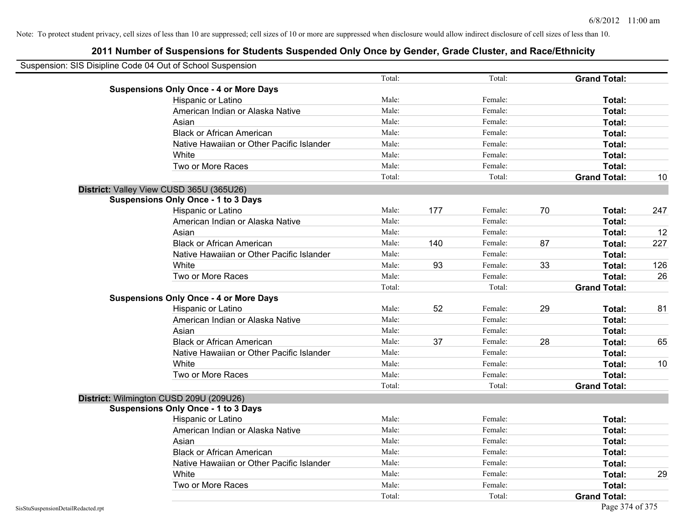| Suspension: SIS Disipline Code 04 Out of School Suspension |        |     |         |    |                     |     |
|------------------------------------------------------------|--------|-----|---------|----|---------------------|-----|
|                                                            | Total: |     | Total:  |    | <b>Grand Total:</b> |     |
| <b>Suspensions Only Once - 4 or More Days</b>              |        |     |         |    |                     |     |
| Hispanic or Latino                                         | Male:  |     | Female: |    | Total:              |     |
| American Indian or Alaska Native                           | Male:  |     | Female: |    | Total:              |     |
| Asian                                                      | Male:  |     | Female: |    | Total:              |     |
| <b>Black or African American</b>                           | Male:  |     | Female: |    | Total:              |     |
| Native Hawaiian or Other Pacific Islander                  | Male:  |     | Female: |    | Total:              |     |
| White                                                      | Male:  |     | Female: |    | Total:              |     |
| Two or More Races                                          | Male:  |     | Female: |    | Total:              |     |
|                                                            | Total: |     | Total:  |    | <b>Grand Total:</b> | 10  |
| District: Valley View CUSD 365U (365U26)                   |        |     |         |    |                     |     |
| <b>Suspensions Only Once - 1 to 3 Days</b>                 |        |     |         |    |                     |     |
| Hispanic or Latino                                         | Male:  | 177 | Female: | 70 | Total:              | 247 |
| American Indian or Alaska Native                           | Male:  |     | Female: |    | Total:              |     |
| Asian                                                      | Male:  |     | Female: |    | Total:              | 12  |
| <b>Black or African American</b>                           | Male:  | 140 | Female: | 87 | Total:              | 227 |
| Native Hawaiian or Other Pacific Islander                  | Male:  |     | Female: |    | Total:              |     |
| White                                                      | Male:  | 93  | Female: | 33 | Total:              | 126 |
| Two or More Races                                          | Male:  |     | Female: |    | Total:              | 26  |
|                                                            | Total: |     | Total:  |    | <b>Grand Total:</b> |     |
| <b>Suspensions Only Once - 4 or More Days</b>              |        |     |         |    |                     |     |
| Hispanic or Latino                                         | Male:  | 52  | Female: | 29 | Total:              | 81  |
| American Indian or Alaska Native                           | Male:  |     | Female: |    | Total:              |     |
| Asian                                                      | Male:  |     | Female: |    | Total:              |     |
| <b>Black or African American</b>                           | Male:  | 37  | Female: | 28 | Total:              | 65  |
| Native Hawaiian or Other Pacific Islander                  | Male:  |     | Female: |    | Total:              |     |
| White                                                      | Male:  |     | Female: |    | Total:              | 10  |
| Two or More Races                                          | Male:  |     | Female: |    | Total:              |     |
|                                                            | Total: |     | Total:  |    | <b>Grand Total:</b> |     |
| District: Wilmington CUSD 209U (209U26)                    |        |     |         |    |                     |     |
| <b>Suspensions Only Once - 1 to 3 Days</b>                 |        |     |         |    |                     |     |
| Hispanic or Latino                                         | Male:  |     | Female: |    | Total:              |     |
| American Indian or Alaska Native                           | Male:  |     | Female: |    | Total:              |     |
| Asian                                                      | Male:  |     | Female: |    | Total:              |     |
| <b>Black or African American</b>                           | Male:  |     | Female: |    | Total:              |     |
| Native Hawaiian or Other Pacific Islander                  | Male:  |     | Female: |    | Total:              |     |
| White                                                      | Male:  |     | Female: |    | Total:              | 29  |
| Two or More Races                                          | Male:  |     | Female: |    | Total:              |     |
|                                                            | Total: |     | Total:  |    | <b>Grand Total:</b> |     |